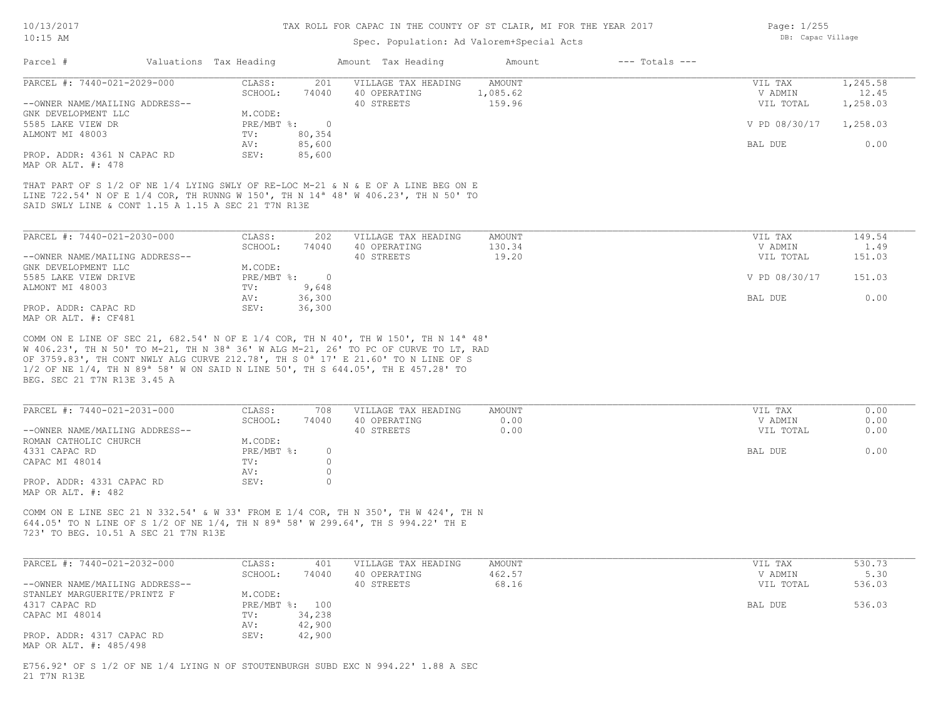| $10:15$ AM |                              | DB: Capac Village      |                     |         |                    |  |
|------------|------------------------------|------------------------|---------------------|---------|--------------------|--|
| Parcel #   |                              | Valuations Tax Heading | Amount Tax Heading  | Amount  | $---$ Totals $---$ |  |
|            | PARCEI # • 7440-021-2029-000 | CTASS                  | VILLAGE TAY HEADING | AMOIINT |                    |  |

Page: 1/255

| PARCEL #: 7440-021-2029-000    | CLASS:     | 201    | VILLAGE TAX HEADING | AMOUNT   | VIL TAX                | 1,245.58 |
|--------------------------------|------------|--------|---------------------|----------|------------------------|----------|
|                                | SCHOOL:    | 74040  | 40 OPERATING        | 1,085.62 | V ADMIN                | 12.45    |
| --OWNER NAME/MAILING ADDRESS-- |            |        | 40 STREETS          | 159.96   | VIL TOTAL              | 1,258.03 |
| GNK DEVELOPMENT LLC            | M.CODE:    |        |                     |          |                        |          |
| 5585 LAKE VIEW DR              | PRE/MBT %: |        |                     |          | V PD 08/30/17 1,258.03 |          |
| ALMONT MI 48003                | TV:        | 80,354 |                     |          |                        |          |
|                                | AV:        | 85,600 |                     |          | BAL DUE                | 0.00     |
| PROP. ADDR: 4361 N CAPAC RD    | SEV:       | 85,600 |                     |          |                        |          |
|                                |            |        |                     |          |                        |          |

MAP OR ALT. #: 478

SAID SWLY LINE & CONT 1.15 A 1.15 A SEC 21 T7N R13E LINE 722.54' N OF E 1/4 COR, TH RUNNG W 150', TH N 14ª 48' W 406.23', TH N 50' TO THAT PART OF S 1/2 OF NE 1/4 LYING SWLY OF RE-LOC M-21 & N & E OF A LINE BEG ON E

| PARCEL #: 7440-021-2030-000    | CLASS:     | 202    | VILLAGE TAX HEADING | AMOUNT | VIL TAX       | 149.54 |
|--------------------------------|------------|--------|---------------------|--------|---------------|--------|
|                                | SCHOOL:    | 74040  | 40 OPERATING        | 130.34 | V ADMIN       | 1.49   |
| --OWNER NAME/MAILING ADDRESS-- |            |        | 40 STREETS          | 19.20  | VIL TOTAL     | 151.03 |
| GNK DEVELOPMENT LLC            | M.CODE:    |        |                     |        |               |        |
| 5585 LAKE VIEW DRIVE           | PRE/MBT %: |        |                     |        | V PD 08/30/17 | 151.03 |
| ALMONT MI 48003                | TV:        | 9,648  |                     |        |               |        |
|                                | AV:        | 36,300 |                     |        | BAL DUE       | 0.00   |
| PROP. ADDR: CAPAC RD           | SEV:       | 36,300 |                     |        |               |        |
| MAP OR ALT. #: CF481           |            |        |                     |        |               |        |

BEG. SEC 21 T7N R13E 3.45 A 1/2 OF NE 1/4, TH N 89ª 58' W ON SAID N LINE 50', TH S 644.05', TH E 457.28' TO OF 3759.83', TH CONT NWLY ALG CURVE 212.78', TH S 0ª 17' E 21.60' TO N LINE OF S W 406.23', TH N 50' TO M-21, TH N 38ª 36' W ALG M-21, 26' TO PC OF CURVE TO LT, RAD COMM ON E LINE OF SEC 21, 682.54' N OF E 1/4 COR, TH N 40', TH W 150', TH N 14ª 48'

| PARCEL #: 7440-021-2031-000                     | CLASS:     | 708   | VILLAGE TAX HEADING | AMOUNT | VIL TAX   | 0.00 |
|-------------------------------------------------|------------|-------|---------------------|--------|-----------|------|
|                                                 | SCHOOL:    | 74040 | 40 OPERATING        | 0.00   | V ADMIN   | 0.00 |
| --OWNER NAME/MAILING ADDRESS--                  |            |       | 40 STREETS          | 0.00   | VIL TOTAL | 0.00 |
| ROMAN CATHOLIC CHURCH                           | M.CODE:    |       |                     |        |           |      |
| 4331 CAPAC RD                                   | PRE/MBT %: |       |                     |        | BAL DUE   | 0.00 |
| CAPAC MI 48014                                  | TV:        |       |                     |        |           |      |
|                                                 | AV:        |       |                     |        |           |      |
| PROP. ADDR: 4331 CAPAC RD<br>MAP OR ALT. #: 482 | SEV:       |       |                     |        |           |      |

723' TO BEG. 10.51 A SEC 21 T7N R13E 644.05' TO N LINE OF S 1/2 OF NE 1/4, TH N 89ª 58' W 299.64', TH S 994.22' TH E COMM ON E LINE SEC 21 N 332.54' & W 33' FROM E 1/4 COR, TH N 350', TH W 424', TH N

| PARCEL #: 7440-021-2032-000    | CLASS:     | 401    | VILLAGE TAX HEADING | AMOUNT | VIL TAX   | 530.73 |
|--------------------------------|------------|--------|---------------------|--------|-----------|--------|
|                                | SCHOOL:    | 74040  | 40 OPERATING        | 462.57 | V ADMIN   | 5.30   |
| --OWNER NAME/MAILING ADDRESS-- |            |        | 40 STREETS          | 68.16  | VIL TOTAL | 536.03 |
| STANLEY MARGUERITE/PRINTZ F    | M.CODE:    |        |                     |        |           |        |
| 4317 CAPAC RD                  | PRE/MBT %: | 100    |                     |        | BAL DUE   | 536.03 |
| CAPAC MI 48014                 | TV:        | 34,238 |                     |        |           |        |
|                                | AV:        | 42,900 |                     |        |           |        |
| PROP. ADDR: 4317 CAPAC RD      | SEV:       | 42,900 |                     |        |           |        |
| MAP OR ALT. #: 485/498         |            |        |                     |        |           |        |

21 T7N R13E E756.92' OF S 1/2 OF NE 1/4 LYING N OF STOUTENBURGH SUBD EXC N 994.22' 1.88 A SEC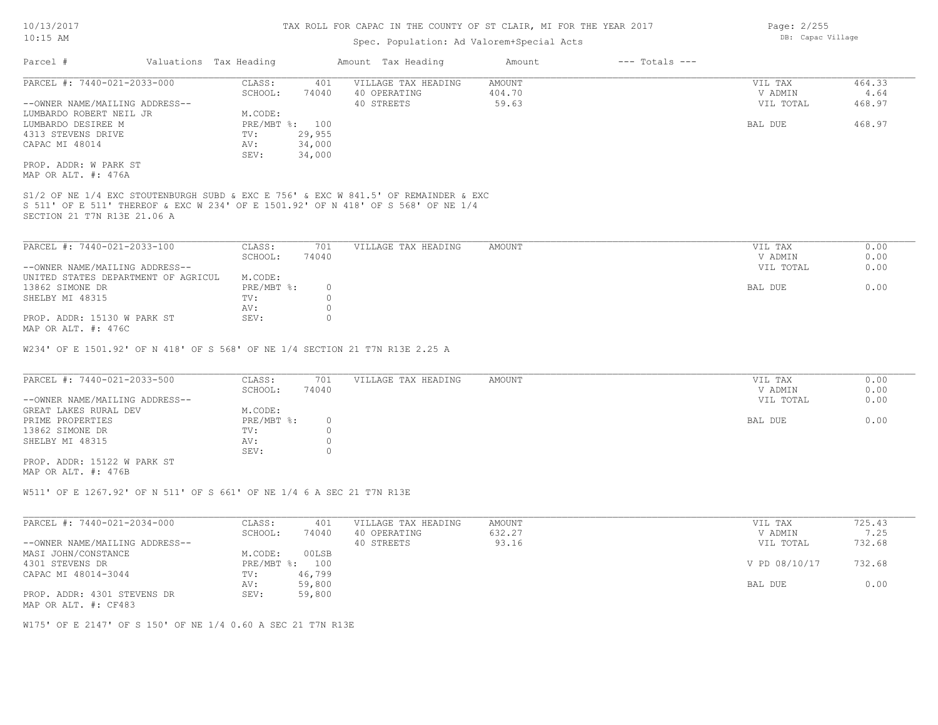### Spec. Population: Ad Valorem+Special Acts

| Parcel #                       |  | Valuations Tax Heading |        | Amount Tax Heading                                                                  | Amount | $---$ Totals $---$ |           |        |
|--------------------------------|--|------------------------|--------|-------------------------------------------------------------------------------------|--------|--------------------|-----------|--------|
| PARCEL #: 7440-021-2033-000    |  | CLASS:                 | 401    | VILLAGE TAX HEADING                                                                 | AMOUNT |                    | VIL TAX   | 464.33 |
|                                |  | SCHOOL:                | 74040  | 40 OPERATING                                                                        | 404.70 |                    | V ADMIN   | 4.64   |
| --OWNER NAME/MAILING ADDRESS-- |  |                        |        | 40 STREETS                                                                          | 59.63  |                    | VIL TOTAL | 468.97 |
| LUMBARDO ROBERT NEIL JR        |  | M.CODE:                |        |                                                                                     |        |                    |           |        |
| LUMBARDO DESIREE M             |  | PRE/MBT %: 100         |        |                                                                                     |        |                    | BAL DUE   | 468.97 |
| 4313 STEVENS DRIVE             |  | TV:                    | 29,955 |                                                                                     |        |                    |           |        |
| CAPAC MI 48014                 |  | AV:                    | 34,000 |                                                                                     |        |                    |           |        |
|                                |  | SEV:                   | 34,000 |                                                                                     |        |                    |           |        |
| PROP. ADDR: W PARK ST          |  |                        |        |                                                                                     |        |                    |           |        |
| MAP OR ALT. #: 476A            |  |                        |        |                                                                                     |        |                    |           |        |
|                                |  |                        |        |                                                                                     |        |                    |           |        |
|                                |  |                        |        | S1/2 OF NE 1/4 EXC STOUTENBURGH SUBD & EXC E 756' & EXC W 841.5' OF REMAINDER & EXC |        |                    |           |        |
|                                |  |                        |        | S 511' OF E 511' THEREOF & EXC W 234' OF E 1501.92' OF N 418' OF S 568' OF NE 1/4   |        |                    |           |        |

SECTION 21 T7N R13E 21.06 A

| PARCEL #: 7440-021-2033-100         | CLASS:     | 701   | VILLAGE TAX HEADING | AMOUNT | VIL TAX   | 0.00 |
|-------------------------------------|------------|-------|---------------------|--------|-----------|------|
|                                     | SCHOOL:    | 74040 |                     |        | V ADMIN   | 0.00 |
| --OWNER NAME/MAILING ADDRESS--      |            |       |                     |        | VIL TOTAL | 0.00 |
| UNITED STATES DEPARTMENT OF AGRICUL | M.CODE:    |       |                     |        |           |      |
| 13862 SIMONE DR                     | PRE/MBT %: |       |                     |        | BAL DUE   | 0.00 |
| SHELBY MI 48315                     | TV:        |       |                     |        |           |      |
|                                     | AV:        |       |                     |        |           |      |
| PROP. ADDR: 15130 W PARK ST         | SEV:       |       |                     |        |           |      |
| MAP OR ALT. #: 476C                 |            |       |                     |        |           |      |

W234' OF E 1501.92' OF N 418' OF S 568' OF NE 1/4 SECTION 21 T7N R13E 2.25 A

| PARCEL #: 7440-021-2033-500    | CLASS:     | 701   | VILLAGE TAX HEADING | AMOUNT | VIL TAX   | 0.00 |
|--------------------------------|------------|-------|---------------------|--------|-----------|------|
|                                | SCHOOL:    | 74040 |                     |        | V ADMIN   | 0.00 |
| --OWNER NAME/MAILING ADDRESS-- |            |       |                     |        | VIL TOTAL | 0.00 |
| GREAT LAKES RURAL DEV          | M.CODE:    |       |                     |        |           |      |
| PRIME PROPERTIES               | PRE/MBT %: |       |                     |        | BAL DUE   | 0.00 |
| 13862 SIMONE DR                | TV:        |       |                     |        |           |      |
| SHELBY MI 48315                | AV:        |       |                     |        |           |      |
|                                | SEV:       |       |                     |        |           |      |
| PROP. ADDR: 15122 W PARK ST    |            |       |                     |        |           |      |

MAP OR ALT. #: 476B

W511' OF E 1267.92' OF N 511' OF S 661' OF NE 1/4 6 A SEC 21 T7N R13E

| PARCEL #: 7440-021-2034-000    | CLASS:  | 401            | VILLAGE TAX HEADING | AMOUNT | VIL TAX       | 725.43 |
|--------------------------------|---------|----------------|---------------------|--------|---------------|--------|
|                                | SCHOOL: | 74040          | 40 OPERATING        | 632.27 | V ADMIN       | 7.25   |
| --OWNER NAME/MAILING ADDRESS-- |         |                | 40 STREETS          | 93.16  | VIL TOTAL     | 732.68 |
| MASI JOHN/CONSTANCE            | M.CODE: | 00LSB          |                     |        |               |        |
| 4301 STEVENS DR                |         | PRE/MBT %: 100 |                     |        | V PD 08/10/17 | 732.68 |
| CAPAC MI 48014-3044            | TV:     | 46,799         |                     |        |               |        |
|                                | AV:     | 59,800         |                     |        | BAL DUE       | 0.00   |
| PROP. ADDR: 4301 STEVENS DR    | SEV:    | 59,800         |                     |        |               |        |
| MAP OR ALT. #: CF483           |         |                |                     |        |               |        |

W175' OF E 2147' OF S 150' OF NE 1/4 0.60 A SEC 21 T7N R13E

Page: 2/255 DB: Capac Village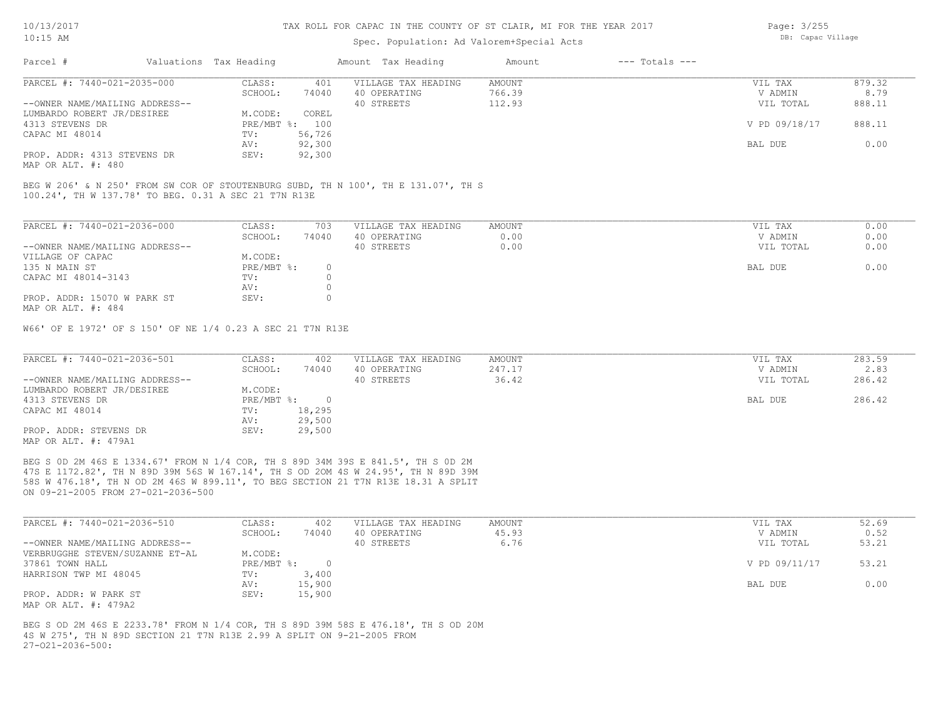MAP OR ALT. #: 480

#### TAX ROLL FOR CAPAC IN THE COUNTY OF ST CLAIR, MI FOR THE YEAR 2017

### Spec. Population: Ad Valorem+Special Acts

AV: 92,300 BAL DUE 0.00

| Parcel #                       | Valuations Tax Heading |        | Amount Tax Heading  | Amount | $---$ Totals $---$ |               |        |
|--------------------------------|------------------------|--------|---------------------|--------|--------------------|---------------|--------|
| PARCEL #: 7440-021-2035-000    | CLASS:                 | 401    | VILLAGE TAX HEADING | AMOUNT |                    | VIL TAX       | 879.32 |
|                                | SCHOOL:                | 74040  | 40 OPERATING        | 766.39 |                    | V ADMIN       | 8.79   |
| --OWNER NAME/MAILING ADDRESS-- |                        |        | 40 STREETS          | 112.93 |                    | VIL TOTAL     | 888.11 |
| LUMBARDO ROBERT JR/DESIREE     | M.CODE:                | COREL  |                     |        |                    |               |        |
| 4313 STEVENS DR                | PRE/MBT %: 100         |        |                     |        |                    | V PD 09/18/17 | 888.11 |
| CAPAC MI 48014                 | TV:                    | 56,726 |                     |        |                    |               |        |
|                                |                        |        |                     |        |                    |               |        |

100.24', TH W 137.78' TO BEG. 0.31 A SEC 21 T7N R13E BEG W 206' & N 250' FROM SW COR OF STOUTENBURG SUBD, TH N 100', TH E 131.07', TH S

| PARCEL #: 7440-021-2036-000    | CLASS:       | 703   | VILLAGE TAX HEADING | AMOUNT | 0.00<br>VIL TAX   |
|--------------------------------|--------------|-------|---------------------|--------|-------------------|
|                                | SCHOOL:      | 74040 | 40 OPERATING        | 0.00   | 0.00<br>V ADMIN   |
| --OWNER NAME/MAILING ADDRESS-- |              |       | 40 STREETS          | 0.00   | 0.00<br>VIL TOTAL |
| VILLAGE OF CAPAC               | M.CODE:      |       |                     |        |                   |
| 135 N MAIN ST                  | $PRE/MBT$ %: | 0.    |                     |        | 0.00<br>BAL DUE   |
| CAPAC MI 48014-3143            | TV:          |       |                     |        |                   |
|                                | AV:          |       |                     |        |                   |
| PROP. ADDR: 15070 W PARK ST    | SEV:         |       |                     |        |                   |
| MAP OR ALT. #: 484             |              |       |                     |        |                   |

W66' OF E 1972' OF S 150' OF NE 1/4 0.23 A SEC 21 T7N R13E

PROP. ADDR: 4313 STEVENS DR SEV: 92,300

| PARCEL #: 7440-021-2036-501    | CLASS:       | 402    | VILLAGE TAX HEADING | AMOUNT | VIL TAX   | 283.59 |
|--------------------------------|--------------|--------|---------------------|--------|-----------|--------|
|                                | SCHOOL:      | 74040  | 40 OPERATING        | 247.17 | V ADMIN   | 2.83   |
| --OWNER NAME/MAILING ADDRESS-- |              |        | 40 STREETS          | 36.42  | VIL TOTAL | 286.42 |
| LUMBARDO ROBERT JR/DESIREE     | M.CODE:      |        |                     |        |           |        |
| 4313 STEVENS DR                | $PRE/MBT$ %: |        |                     |        | BAL DUE   | 286.42 |
| CAPAC MI 48014                 | TV:          | 18,295 |                     |        |           |        |
|                                | AV:          | 29,500 |                     |        |           |        |
| PROP. ADDR: STEVENS DR         | SEV:         | 29,500 |                     |        |           |        |
| MAP OR ALT. #: 479A1           |              |        |                     |        |           |        |

ON 09-21-2005 FROM 27-021-2036-500 58S W 476.18', TH N OD 2M 46S W 899.11', TO BEG SECTION 21 T7N R13E 18.31 A SPLIT 47S E 1172.82', TH N 89D 39M 56S W 167.14', TH S OD 2OM 4S W 24.95', TH N 89D 39M BEG S 0D 2M 46S E 1334.67' FROM N 1/4 COR, TH S 89D 34M 39S E 841.5', TH S 0D 2M

| PARCEL #: 7440-021-2036-510     | CLASS:       | 402    | VILLAGE TAX HEADING | AMOUNT | VIL TAX       | 52.69 |
|---------------------------------|--------------|--------|---------------------|--------|---------------|-------|
|                                 | SCHOOL:      | 74040  | 40 OPERATING        | 45.93  | V ADMIN       | 0.52  |
| --OWNER NAME/MAILING ADDRESS--  |              |        | 40 STREETS          | 6.76   | VIL TOTAL     | 53.21 |
| VERBRUGGHE STEVEN/SUZANNE ET-AL | M.CODE:      |        |                     |        |               |       |
| 37861 TOWN HALL                 | $PRE/MBT$ %: |        |                     |        | V PD 09/11/17 | 53.21 |
| HARRISON TWP MI 48045           | TV:          | 3,400  |                     |        |               |       |
|                                 | AV:          | 15,900 |                     |        | BAL DUE       | 0.00  |
| PROP. ADDR: W PARK ST           | SEV:         | 15,900 |                     |        |               |       |
| MAP OR ALT. #: 479A2            |              |        |                     |        |               |       |

27-O21-2036-500: 4S W 275', TH N 89D SECTION 21 T7N R13E 2.99 A SPLIT ON 9-21-2005 FROM BEG S OD 2M 46S E 2233.78' FROM N 1/4 COR, TH S 89D 39M 58S E 476.18', TH S OD 20M Page: 3/255 DB: Capac Village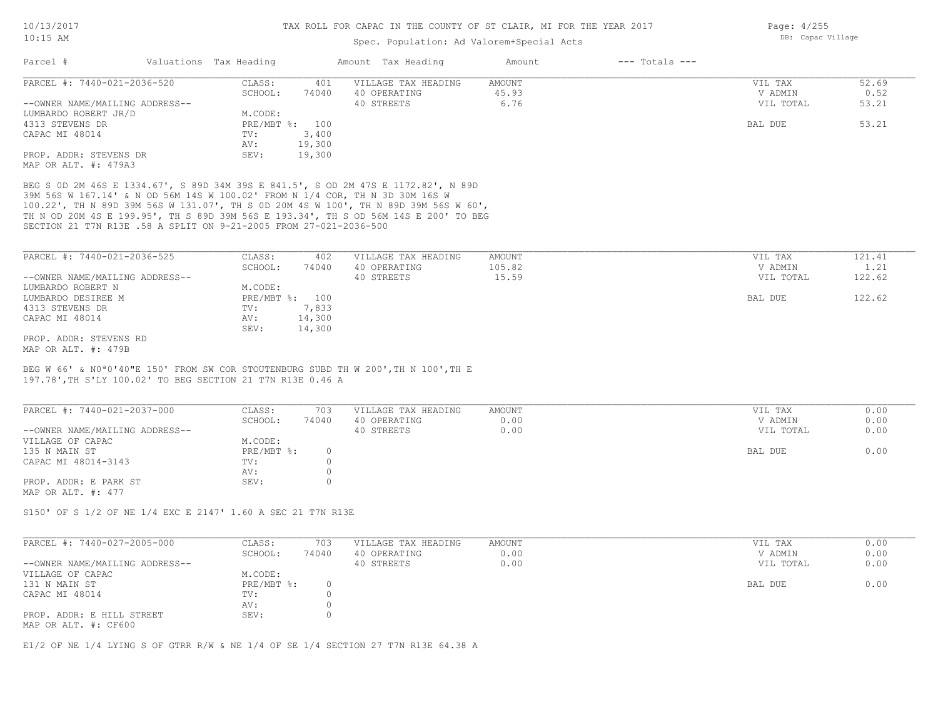### Spec. Population: Ad Valorem+Special Acts

| Page: 4/255       |
|-------------------|
| DB: Capac Village |

| Parcel #                       | Valuations Tax Heading |        | Amount Tax Heading  | Amount | $---$ Totals $---$ |           |       |
|--------------------------------|------------------------|--------|---------------------|--------|--------------------|-----------|-------|
| PARCEL #: 7440-021-2036-520    | CLASS:                 | 401    | VILLAGE TAX HEADING | AMOUNT |                    | VIL TAX   | 52.69 |
|                                | SCHOOL:                | 74040  | 40 OPERATING        | 45.93  |                    | V ADMIN   | 0.52  |
| --OWNER NAME/MAILING ADDRESS-- |                        |        | 40 STREETS          | 6.76   |                    | VIL TOTAL | 53.21 |
| LUMBARDO ROBERT JR/D           | M.CODE:                |        |                     |        |                    |           |       |
| 4313 STEVENS DR                | PRE/MBT %:             | 100    |                     |        |                    | BAL DUE   | 53.21 |
| CAPAC MI 48014                 | TV:                    | 3,400  |                     |        |                    |           |       |
|                                | AV:                    | 19,300 |                     |        |                    |           |       |
| PROP. ADDR: STEVENS DR         | SEV:                   | 19,300 |                     |        |                    |           |       |
| MAP OR ALT. #: 479A3           |                        |        |                     |        |                    |           |       |

SECTION 21 T7N R13E .58 A SPLIT ON 9-21-2005 FROM 27-021-2036-500 TH N OD 20M 4S E 199.95', TH S 89D 39M 56S E 193.34', TH S OD 56M 14S E 200' TO BEG 100.22', TH N 89D 39M 56S W 131.07', TH S 0D 20M 4S W 100', TH N 89D 39M 56S W 60', 39M 56S W 167.14' & N OD 56M 14S W 100.02' FROM N 1/4 COR, TH N 3D 30M 16S W BEG S 0D 2M 46S E 1334.67', S 89D 34M 39S E 841.5', S OD 2M 47S E 1172.82', N 89D

| PARCEL #: 7440-021-2036-525    | CLASS:  | 402            | VILLAGE TAX HEADING | AMOUNT | VIL TAX   | 121.41 |
|--------------------------------|---------|----------------|---------------------|--------|-----------|--------|
|                                | SCHOOL: | 74040          | 40 OPERATING        | 105.82 | V ADMIN   | 1.21   |
| --OWNER NAME/MAILING ADDRESS-- |         |                | 40 STREETS          | 15.59  | VIL TOTAL | 122.62 |
| LUMBARDO ROBERT N              | M.CODE: |                |                     |        |           |        |
| LUMBARDO DESIREE M             |         | PRE/MBT %: 100 |                     |        | BAL DUE   | 122.62 |
| 4313 STEVENS DR                | TV:     | 7,833          |                     |        |           |        |
| CAPAC MI 48014                 | AV:     | 14,300         |                     |        |           |        |
|                                | SEV:    | 14,300         |                     |        |           |        |
| PROP. ADDR: STEVENS RD         |         |                |                     |        |           |        |
| MAP OR ALT. #: 479B            |         |                |                     |        |           |        |

197.78',TH S'LY 100.02' TO BEG SECTION 21 T7N R13E 0.46 A BEG W 66' & N0ª0'40"E 150' FROM SW COR STOUTENBURG SUBD TH W 200',TH N 100',TH E

| PARCEL #: 7440-021-2037-000    | CLASS:     | 703   | VILLAGE TAX HEADING | AMOUNT | VIL TAX   | 0.00 |
|--------------------------------|------------|-------|---------------------|--------|-----------|------|
|                                | SCHOOL:    | 74040 | 40 OPERATING        | 0.00   | V ADMIN   | 0.00 |
| --OWNER NAME/MAILING ADDRESS-- |            |       | 40 STREETS          | 0.00   | VIL TOTAL | 0.00 |
| VILLAGE OF CAPAC               | M.CODE:    |       |                     |        |           |      |
| 135 N MAIN ST                  | PRE/MBT %: |       |                     |        | BAL DUE   | 0.00 |
| CAPAC MI 48014-3143            | TV:        |       |                     |        |           |      |
|                                | AV:        |       |                     |        |           |      |
| PROP. ADDR: E PARK ST          | SEV:       |       |                     |        |           |      |
| MAP OR ALT. #: 477             |            |       |                     |        |           |      |

S150' OF S 1/2 OF NE 1/4 EXC E 2147' 1.60 A SEC 21 T7N R13E

| PARCEL #: 7440-027-2005-000                       | CLASS:     | 703      | VILLAGE TAX HEADING | AMOUNT | VIL TAX   | 0.00 |
|---------------------------------------------------|------------|----------|---------------------|--------|-----------|------|
|                                                   | SCHOOL:    | 74040    | 40 OPERATING        | 0.00   | V ADMIN   | 0.00 |
| --OWNER NAME/MAILING ADDRESS--                    |            |          | 40 STREETS          | 0.00   | VIL TOTAL | 0.00 |
| VILLAGE OF CAPAC                                  | M.CODE:    |          |                     |        |           |      |
| 131 N MAIN ST                                     | PRE/MBT %: | $\Omega$ |                     |        | BAL DUE   | 0.00 |
| CAPAC MI 48014                                    | TV:        |          |                     |        |           |      |
|                                                   | AV:        |          |                     |        |           |      |
| PROP. ADDR: E HILL STREET<br>MAP OR ALT. #: CF600 | SEV:       |          |                     |        |           |      |

 $\mathcal{L}_\mathcal{L} = \mathcal{L}_\mathcal{L} = \mathcal{L}_\mathcal{L} = \mathcal{L}_\mathcal{L} = \mathcal{L}_\mathcal{L} = \mathcal{L}_\mathcal{L} = \mathcal{L}_\mathcal{L} = \mathcal{L}_\mathcal{L} = \mathcal{L}_\mathcal{L} = \mathcal{L}_\mathcal{L} = \mathcal{L}_\mathcal{L} = \mathcal{L}_\mathcal{L} = \mathcal{L}_\mathcal{L} = \mathcal{L}_\mathcal{L} = \mathcal{L}_\mathcal{L} = \mathcal{L}_\mathcal{L} = \mathcal{L}_\mathcal{L}$ 

E1/2 OF NE 1/4 LYING S OF GTRR R/W & NE 1/4 OF SE 1/4 SECTION 27 T7N R13E 64.38 A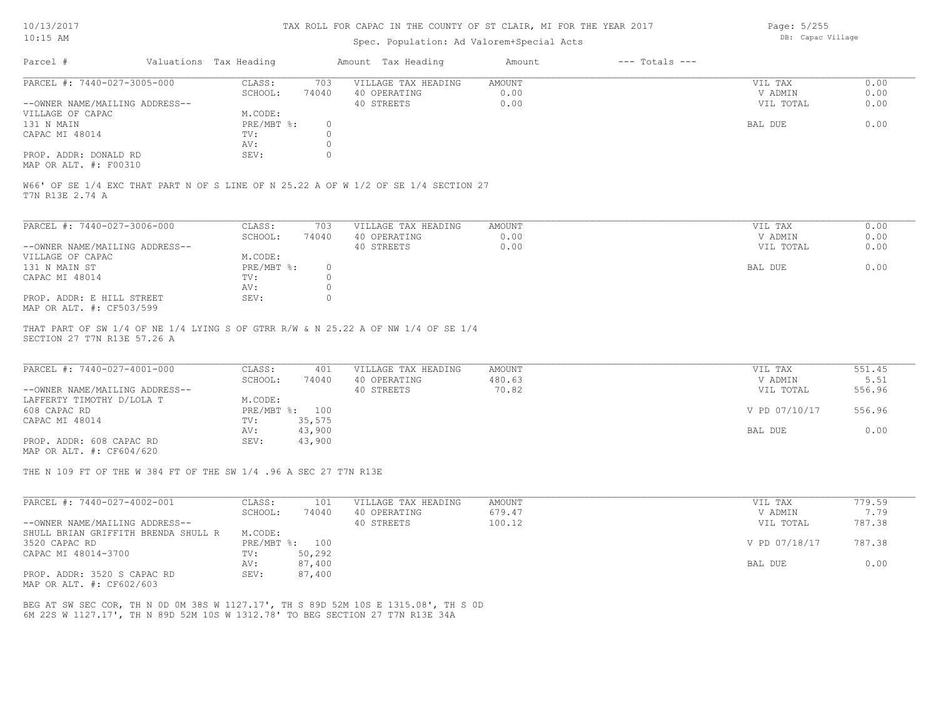### Spec. Population: Ad Valorem+Special Acts

Page: 5/255 DB: Capac Village

| Parcel #                       |         | Valuations Tax Heading |              | Amount Tax Heading  | Amount | $---$ Totals $---$ |           |      |
|--------------------------------|---------|------------------------|--------------|---------------------|--------|--------------------|-----------|------|
| PARCEL #: 7440-027-3005-000    |         | CLASS:                 | 703          | VILLAGE TAX HEADING | AMOUNT |                    | VIL TAX   | 0.00 |
|                                | SCHOOL: | 74040                  | 40 OPERATING | 0.00                |        | V ADMIN            | 0.00      |      |
| --OWNER NAME/MAILING ADDRESS-- |         |                        |              | 40 STREETS          | 0.00   |                    | VIL TOTAL | 0.00 |
| VILLAGE OF CAPAC               |         | M.CODE:                |              |                     |        |                    |           |      |
| 131 N MAIN                     |         | PRE/MBT %:             |              |                     |        |                    | BAL DUE   | 0.00 |
| CAPAC MI 48014                 |         | TV:                    |              |                     |        |                    |           |      |
|                                |         | AV:                    |              |                     |        |                    |           |      |
| PROP. ADDR: DONALD RD          |         | SEV:                   |              |                     |        |                    |           |      |
|                                |         |                        |              |                     |        |                    |           |      |

MAP OR ALT. #: F00310

T7N R13E 2.74 A W66' OF SE 1/4 EXC THAT PART N OF S LINE OF N 25.22 A OF W 1/2 OF SE 1/4 SECTION 27

| PARCEL #: 7440-027-3006-000    | CLASS:       | 703      | VILLAGE TAX HEADING | AMOUNT | VIL TAX   | 0.00 |
|--------------------------------|--------------|----------|---------------------|--------|-----------|------|
|                                | SCHOOL:      | 74040    | 40 OPERATING        | 0.00   | V ADMIN   | 0.00 |
| --OWNER NAME/MAILING ADDRESS-- |              |          | 40 STREETS          | 0.00   | VIL TOTAL | 0.00 |
| VILLAGE OF CAPAC               | M.CODE:      |          |                     |        |           |      |
| 131 N MAIN ST                  | $PRE/MBT$ %: | $\Omega$ |                     |        | BAL DUE   | 0.00 |
| CAPAC MI 48014                 | TV:          |          |                     |        |           |      |
|                                | AV:          |          |                     |        |           |      |
| PROP. ADDR: E HILL STREET      | SEV:         |          |                     |        |           |      |
| MAP OR ALT. #: CF503/599       |              |          |                     |        |           |      |

SECTION 27 T7N R13E 57.26 A THAT PART OF SW 1/4 OF NE 1/4 LYING S OF GTRR R/W & N 25.22 A OF NW 1/4 OF SE 1/4

| PARCEL #: 7440-027-4001-000    | CLASS:  | 401            | VILLAGE TAX HEADING | AMOUNT | VIL TAX       | 551.45 |
|--------------------------------|---------|----------------|---------------------|--------|---------------|--------|
|                                | SCHOOL: | 74040          | 40 OPERATING        | 480.63 | V ADMIN       | 5.51   |
| --OWNER NAME/MAILING ADDRESS-- |         |                | 40 STREETS          | 70.82  | VIL TOTAL     | 556.96 |
| LAFFERTY TIMOTHY D/LOLA T      | M.CODE: |                |                     |        |               |        |
| 608 CAPAC RD                   |         | PRE/MBT %: 100 |                     |        | V PD 07/10/17 | 556.96 |
| CAPAC MI 48014                 | TV:     | 35,575         |                     |        |               |        |
|                                | AV:     | 43,900         |                     |        | BAL DUE       | 0.00   |
| PROP. ADDR: 608 CAPAC RD       | SEV:    | 43,900         |                     |        |               |        |
|                                |         |                |                     |        |               |        |

MAP OR ALT. #: CF604/620

THE N 109 FT OF THE W 384 FT OF THE SW 1/4 .96 A SEC 27 T7N R13E

| PARCEL #: 7440-027-4002-001                  | CLASS:     | 101    | VILLAGE TAX HEADING | AMOUNT | VIL TAX       | 779.59 |
|----------------------------------------------|------------|--------|---------------------|--------|---------------|--------|
|                                              | SCHOOL:    | 74040  | 40 OPERATING        | 679.47 | V ADMIN       | 7.79   |
| --OWNER NAME/MAILING ADDRESS--               |            |        | 40 STREETS          | 100.12 | VIL TOTAL     | 787.38 |
| SHULL BRIAN GRIFFITH BRENDA SHULL R          | M.CODE:    |        |                     |        |               |        |
| 3520 CAPAC RD                                | PRE/MBT %: | 100    |                     |        | V PD 07/18/17 | 787.38 |
| CAPAC MI 48014-3700                          | TV:        | 50,292 |                     |        |               |        |
|                                              | AV:        | 87,400 |                     |        | BAL DUE       | 0.00   |
| PROP. ADDR: 3520 S CAPAC RD<br>$\frac{1}{2}$ | SEV:       | 87,400 |                     |        |               |        |

MAP OR ALT. #: CF602/603

6M 22S W 1127.17', TH N 89D 52M 10S W 1312.78' TO BEG SECTION 27 T7N R13E 34A BEG AT SW SEC COR, TH N 0D 0M 38S W 1127.17', TH S 89D 52M 10S E 1315.08', TH S 0D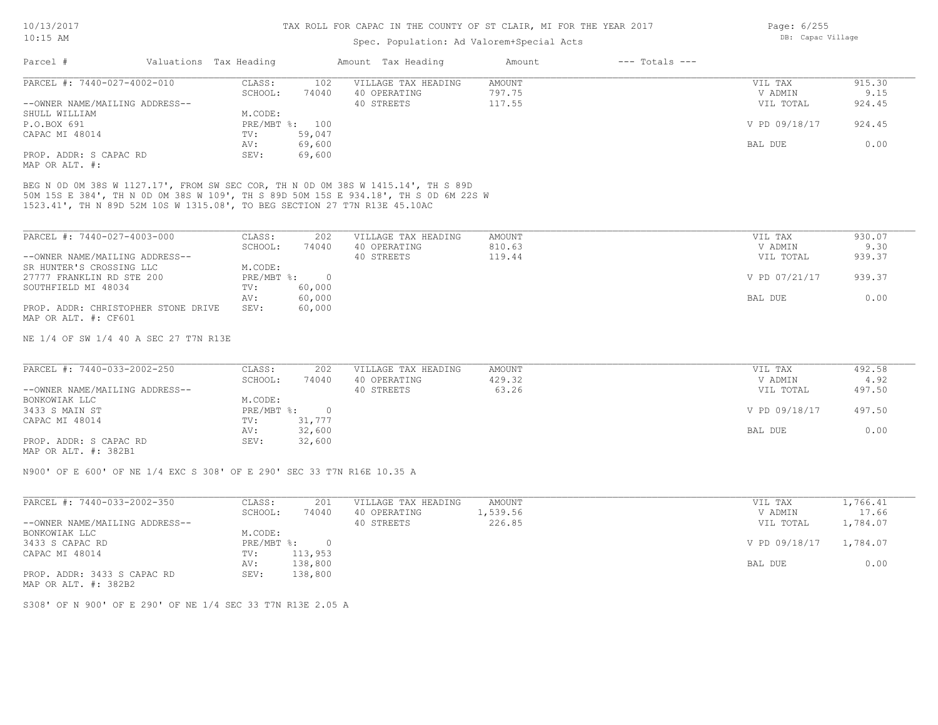### Spec. Population: Ad Valorem+Special Acts

| Parcel #                       | Valuations Tax Heading |                | Amount Tax Heading  | Amount | $---$ Totals $---$ |               |        |
|--------------------------------|------------------------|----------------|---------------------|--------|--------------------|---------------|--------|
| PARCEL #: 7440-027-4002-010    | CLASS:                 | 102            | VILLAGE TAX HEADING | AMOUNT |                    | VIL TAX       | 915.30 |
|                                | SCHOOL:                | 74040          | 40 OPERATING        | 797.75 |                    | V ADMIN       | 9.15   |
| --OWNER NAME/MAILING ADDRESS-- |                        |                | 40 STREETS          | 117.55 |                    | VIL TOTAL     | 924.45 |
| SHULL WILLIAM                  | M.CODE:                |                |                     |        |                    |               |        |
| P.O.BOX 691                    |                        | PRE/MBT %: 100 |                     |        |                    | V PD 09/18/17 | 924.45 |
| CAPAC MI 48014                 | TV:                    | 59,047         |                     |        |                    |               |        |
|                                | AV:                    | 69,600         |                     |        |                    | BAL DUE       | 0.00   |
| PROP. ADDR: S CAPAC RD         | SEV:                   | 69,600         |                     |        |                    |               |        |
|                                |                        |                |                     |        |                    |               |        |

MAP OR ALT. #:

1523.41', TH N 89D 52M 10S W 1315.08', TO BEG SECTION 27 T7N R13E 45.10AC 50M 15S E 384', TH N 0D 0M 38S W 109', TH S 89D 50M 15S E 934.18', TH S 0D 6M 22S W BEG N 0D 0M 38S W 1127.17', FROM SW SEC COR, TH N 0D 0M 38S W 1415.14', TH S 89D

| PARCEL #: 7440-027-4003-000         | CLASS:     | 202    | VILLAGE TAX HEADING | AMOUNT | VIL TAX       | 930.07 |
|-------------------------------------|------------|--------|---------------------|--------|---------------|--------|
|                                     | SCHOOL:    | 74040  | 40 OPERATING        | 810.63 | V ADMIN       | 9.30   |
| --OWNER NAME/MAILING ADDRESS--      |            |        | 40 STREETS          | 119.44 | VIL TOTAL     | 939.37 |
| SR HUNTER'S CROSSING LLC            | M.CODE:    |        |                     |        |               |        |
| 27777 FRANKLIN RD STE 200           | PRE/MBT %: |        |                     |        | V PD 07/21/17 | 939.37 |
| SOUTHFIELD MI 48034                 | TV:        | 60,000 |                     |        |               |        |
|                                     | AV:        | 60,000 |                     |        | BAL DUE       | 0.00   |
| PROP. ADDR: CHRISTOPHER STONE DRIVE | SEV:       | 60,000 |                     |        |               |        |
| MAP OR ALT. #: CF601                |            |        |                     |        |               |        |

NE 1/4 OF SW 1/4 40 A SEC 27 T7N R13E

| PARCEL #: 7440-033-2002-250    | CLASS:       | 202    | VILLAGE TAX HEADING | AMOUNT | VIL TAX       | 492.58 |
|--------------------------------|--------------|--------|---------------------|--------|---------------|--------|
|                                | SCHOOL:      | 74040  | 40 OPERATING        | 429.32 | V ADMIN       | 4.92   |
| --OWNER NAME/MAILING ADDRESS-- |              |        | 40 STREETS          | 63.26  | VIL TOTAL     | 497.50 |
| BONKOWIAK LLC                  | M.CODE:      |        |                     |        |               |        |
| 3433 S MAIN ST                 | $PRE/MBT$ %: |        |                     |        | V PD 09/18/17 | 497.50 |
| CAPAC MI 48014                 | TV:          | 31,777 |                     |        |               |        |
|                                | AV:          | 32,600 |                     |        | BAL DUE       | 0.00   |
| PROP. ADDR: S CAPAC RD         | SEV:         | 32,600 |                     |        |               |        |
|                                |              |        |                     |        |               |        |

MAP OR ALT. #: 382B1

N900' OF E 600' OF NE 1/4 EXC S 308' OF E 290' SEC 33 T7N R16E 10.35 A

| PARCEL #: 7440-033-2002-350    | CLASS:     | 201          | VILLAGE TAX HEADING | AMOUNT   | VIL TAX                | 1,766.41 |
|--------------------------------|------------|--------------|---------------------|----------|------------------------|----------|
|                                | SCHOOL:    | 74040        | 40 OPERATING        | 1,539.56 | V ADMIN                | 17.66    |
| --OWNER NAME/MAILING ADDRESS-- |            |              | 40 STREETS          | 226.85   | VIL TOTAL              | 1,784.07 |
| BONKOWIAK LLC                  | M.CODE:    |              |                     |          |                        |          |
| 3433 S CAPAC RD                | PRE/MBT %: | <sup>n</sup> |                     |          | V PD 09/18/17 1,784.07 |          |
| CAPAC MI 48014                 | TV:        | 113,953      |                     |          |                        |          |
|                                | AV:        | 138,800      |                     |          | BAL DUE                | 0.00     |
| PROP. ADDR: 3433 S CAPAC RD    | SEV:       | 138,800      |                     |          |                        |          |

MAP OR ALT. #: 382B2

S308' OF N 900' OF E 290' OF NE 1/4 SEC 33 T7N R13E 2.05 A

Page: 6/255 DB: Capac Village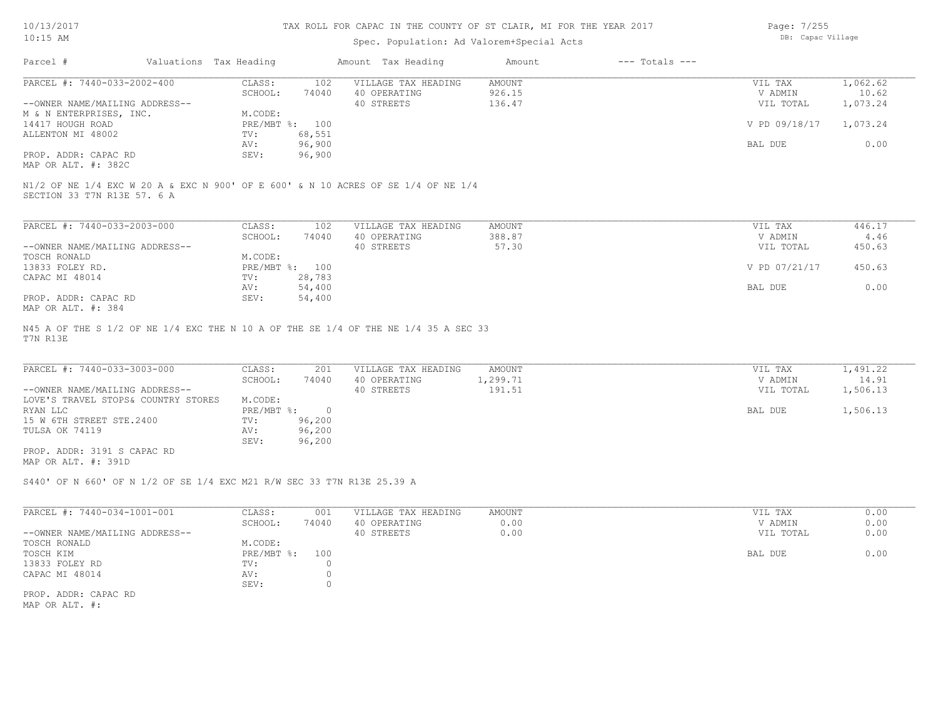#### TAX ROLL FOR CAPAC IN THE COUNTY OF ST CLAIR, MI FOR THE YEAR 2017

### Spec. Population: Ad Valorem+Special Acts

Page: 7/255 DB: Capac Village

| Parcel #                       | Valuations Tax Heading |        | Amount Tax Heading                                                                | Amount        | $---$ Totals $---$ |               |          |
|--------------------------------|------------------------|--------|-----------------------------------------------------------------------------------|---------------|--------------------|---------------|----------|
| PARCEL #: 7440-033-2002-400    | CLASS:                 | 102    | VILLAGE TAX HEADING                                                               | <b>AMOUNT</b> |                    | VIL TAX       | 1,062.62 |
|                                | SCHOOL:                | 74040  | 40 OPERATING                                                                      | 926.15        |                    | V ADMIN       | 10.62    |
| --OWNER NAME/MAILING ADDRESS-- |                        |        | 40 STREETS                                                                        | 136.47        |                    | VIL TOTAL     | 1,073.24 |
| M & N ENTERPRISES, INC.        | M.CODE:                |        |                                                                                   |               |                    |               |          |
| 14417 HOUGH ROAD               | PRE/MBT %: 100         |        |                                                                                   |               |                    | V PD 09/18/17 | 1,073.24 |
| ALLENTON MI 48002              | TV:                    | 68,551 |                                                                                   |               |                    |               |          |
|                                | AV:                    | 96,900 |                                                                                   |               |                    | BAL DUE       | 0.00     |
| PROP. ADDR: CAPAC RD           | SEV:                   | 96,900 |                                                                                   |               |                    |               |          |
| MAP OR ALT. #: 382C            |                        |        |                                                                                   |               |                    |               |          |
| SECTION 33 T7N R13E 57. 6 A    |                        |        | N1/2 OF NE 1/4 EXC W 20 A & EXC N 900' OF E 600' & N 10 ACRES OF SE 1/4 OF NE 1/4 |               |                    |               |          |
| PARCEL #: 7440-033-2003-000    | CLASS:                 | 102    | VILLAGE TAX HEADING                                                               | AMOUNT        |                    | VIL TAX       | 446.17   |
|                                | SCHOOL:                | 74040  | 40 OPERATING                                                                      | 388.87        |                    | V ADMIN       | 4.46     |
| --OWNER NAME/MAILING ADDRESS-- |                        |        | 40 STREETS                                                                        | 57.30         |                    | VIL TOTAL     | 450.63   |
| TOSCH RONALD                   | M.CODE:                |        |                                                                                   |               |                    |               |          |
| 13833 FOLEY RD.                | $PRE/MBT$ %:           | 100    |                                                                                   |               |                    | V PD 07/21/17 | 450.63   |
| CAPAC MI 48014                 | TV:                    | 28,783 |                                                                                   |               |                    |               |          |
|                                | AV:                    | 54,400 |                                                                                   |               |                    | BAL DUE       | 0.00     |
|                                |                        |        |                                                                                   |               |                    |               |          |

MAP OR ALT. #: 384 PROP. ADDR: CAPAC RD SEV: 54,400

T7N R13E N45 A OF THE S 1/2 OF NE 1/4 EXC THE N 10 A OF THE SE 1/4 OF THE NE 1/4 35 A SEC 33

| PARCEL #: 7440-033-3003-000         | CLASS:     | 201    | VILLAGE TAX HEADING | AMOUNT   | VIL TAX   | 1,491.22 |
|-------------------------------------|------------|--------|---------------------|----------|-----------|----------|
|                                     | SCHOOL:    | 74040  | 40 OPERATING        | 1,299.71 | V ADMIN   | 14.91    |
| --OWNER NAME/MAILING ADDRESS--      |            |        | 40 STREETS          | 191.51   | VIL TOTAL | 1,506.13 |
| LOVE'S TRAVEL STOPS& COUNTRY STORES | M.CODE:    |        |                     |          |           |          |
| RYAN LLC                            | PRE/MBT %: |        |                     |          | BAL DUE   | 1,506.13 |
| 15 W 6TH STREET STE.2400            | TV:        | 96,200 |                     |          |           |          |
| TULSA OK 74119                      | AV:        | 96,200 |                     |          |           |          |
|                                     | SEV:       | 96,200 |                     |          |           |          |
| PROP. ADDR: 3191 S CAPAC RD         |            |        |                     |          |           |          |

MAP OR ALT. #: 391D

S440' OF N 660' OF N 1/2 OF SE 1/4 EXC M21 R/W SEC 33 T7N R13E 25.39 A

| PARCEL #: 7440-034-1001-001    | CLASS:        | 001   | VILLAGE TAX HEADING | AMOUNT | VIL TAX   | 0.00 |
|--------------------------------|---------------|-------|---------------------|--------|-----------|------|
|                                | SCHOOL:       | 74040 | 40 OPERATING        | 0.00   | V ADMIN   | 0.00 |
| --OWNER NAME/MAILING ADDRESS-- |               |       | 40 STREETS          | 0.00   | VIL TOTAL | 0.00 |
| TOSCH RONALD                   | M.CODE:       |       |                     |        |           |      |
| TOSCH KIM                      | $PRE/MBT$ %:  | 100   |                     |        | BAL DUE   | 0.00 |
| 13833 FOLEY RD                 | $\text{TV}$ : |       |                     |        |           |      |
| CAPAC MI 48014                 | AV:           |       |                     |        |           |      |
|                                | SEV:          |       |                     |        |           |      |
| PROP. ADDR: CAPAC RD           |               |       |                     |        |           |      |

MAP OR ALT. #: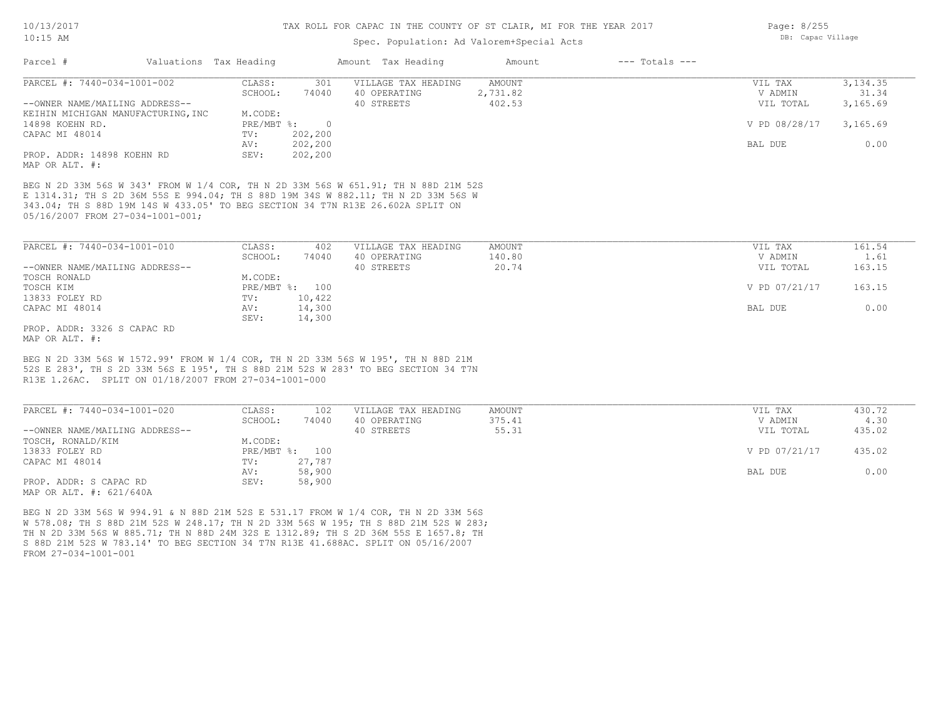### Spec. Population: Ad Valorem+Special Acts

| PARCEL #: 7440-034-1001-002                                                                                                                                                     | 301<br>CLASS:                          | VILLAGE TAX HEADING                               | <b>AMOUNT</b>             | VIL TAX                         | 3, 134.35                |
|---------------------------------------------------------------------------------------------------------------------------------------------------------------------------------|----------------------------------------|---------------------------------------------------|---------------------------|---------------------------------|--------------------------|
|                                                                                                                                                                                 | SCHOOL:<br>74040                       | 40 OPERATING                                      | 2,731.82                  | V ADMIN                         | 31.34                    |
| --OWNER NAME/MAILING ADDRESS--                                                                                                                                                  |                                        | 40 STREETS                                        | 402.53                    | VIL TOTAL                       | 3,165.69                 |
| KEIHIN MICHIGAN MANUFACTURING, INC                                                                                                                                              | M.CODE:                                |                                                   |                           |                                 |                          |
| 14898 KOEHN RD.                                                                                                                                                                 | PRE/MBT %:<br>$\overline{0}$           |                                                   |                           | V PD 08/28/17                   | 3,165.69                 |
| CAPAC MI 48014                                                                                                                                                                  | 202,200<br>TV:                         |                                                   |                           |                                 |                          |
|                                                                                                                                                                                 | 202,200<br>AV:                         |                                                   |                           | BAL DUE                         | 0.00                     |
| PROP. ADDR: 14898 KOEHN RD<br>MAP OR ALT. #:                                                                                                                                    | 202,200<br>SEV:                        |                                                   |                           |                                 |                          |
| 05/16/2007 FROM 27-034-1001-001;                                                                                                                                                |                                        |                                                   |                           |                                 |                          |
|                                                                                                                                                                                 | CLASS:<br>402<br>SCHOOL:<br>74040      | VILLAGE TAX HEADING<br>40 OPERATING<br>40 STREETS | AMOUNT<br>140.80<br>20.74 | VIL TAX<br>V ADMIN<br>VIL TOTAL | 161.54<br>1.61<br>163.15 |
|                                                                                                                                                                                 | M.CODE:                                |                                                   |                           |                                 |                          |
|                                                                                                                                                                                 | PRE/MBT %: 100                         |                                                   |                           | V PD 07/21/17                   | 163.15                   |
|                                                                                                                                                                                 | 10,422<br>TV:<br>14,300<br>AV:<br>SEV: |                                                   |                           | BAL DUE                         | 0.00                     |
| PARCEL #: 7440-034-1001-010<br>--OWNER NAME/MAILING ADDRESS--<br>TOSCH RONALD<br>TOSCH KIM<br>13833 FOLEY RD<br>CAPAC MI 48014<br>PROP. ADDR: 3326 S CAPAC RD<br>MAP OR ALT. #: | 14,300                                 |                                                   |                           |                                 |                          |

| PARCEL #: 7440-034-1001-020    | CLASS:       | 102    | VILLAGE TAX HEADING | AMOUNT | 430.72<br>VIL TAX       |
|--------------------------------|--------------|--------|---------------------|--------|-------------------------|
|                                | SCHOOL:      | 74040  | 40 OPERATING        | 375.41 | 4.30<br>V ADMIN         |
| --OWNER NAME/MAILING ADDRESS-- |              |        | 40 STREETS          | 55.31  | 435.02<br>VIL TOTAL     |
| TOSCH, RONALD/KIM              | M.CODE:      |        |                     |        |                         |
| 13833 FOLEY RD                 | $PRE/MBT$ %: | 100    |                     |        | V PD 07/21/17<br>435.02 |
| CAPAC MI 48014                 | TV:          | 27,787 |                     |        |                         |
|                                | AV:          | 58,900 |                     |        | 0.00<br>BAL DUE         |
| PROP. ADDR: S CAPAC RD         | SEV:         | 58,900 |                     |        |                         |
| MAP OR ALT. #: 621/640A        |              |        |                     |        |                         |

FROM 27-034-1001-001 S 88D 21M 52S W 783.14' TO BEG SECTION 34 T7N R13E 41.688AC. SPLIT ON 05/16/2007 TH N 2D 33M 56S W 885.71; TH N 88D 24M 32S E 1312.89; TH S 2D 36M 55S E 1657.8; TH W 578.08; TH S 88D 21M 52S W 248.17; TH N 2D 33M 56S W 195; TH S 88D 21M 52S W 283; BEG N 2D 33M 56S W 994.91 & N 88D 21M 52S E 531.17 FROM W 1/4 COR, TH N 2D 33M 56S

Page: 8/255 DB: Capac Village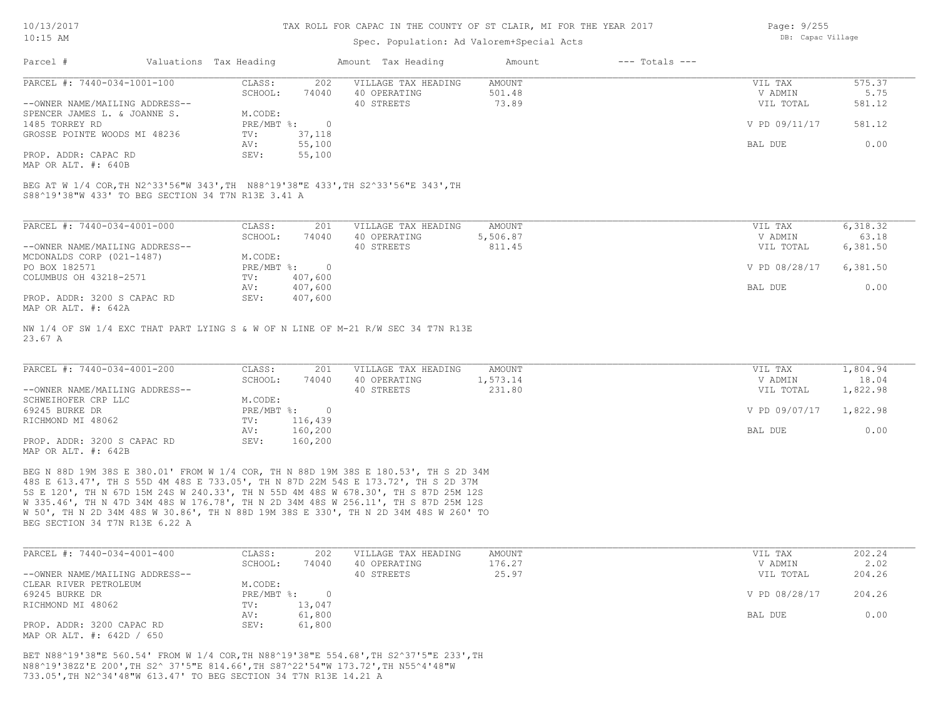### Spec. Population: Ad Valorem+Special Acts

| Page: 9/255 |                   |
|-------------|-------------------|
|             | DB: Capac Village |

| Parcel #                       | Valuations Tax Heading |        | Amount Tax Heading  | Amount | $---$ Totals $---$ |               |        |
|--------------------------------|------------------------|--------|---------------------|--------|--------------------|---------------|--------|
| PARCEL #: 7440-034-1001-100    | CLASS:                 | 202    | VILLAGE TAX HEADING | AMOUNT |                    | VIL TAX       | 575.37 |
|                                | SCHOOL:                | 74040  | 40 OPERATING        | 501.48 |                    | V ADMIN       | 5.75   |
| --OWNER NAME/MAILING ADDRESS-- |                        |        | 40 STREETS          | 73.89  |                    | VIL TOTAL     | 581.12 |
| SPENCER JAMES L. & JOANNE S.   | M.CODE:                |        |                     |        |                    |               |        |
| 1485 TORREY RD                 | PRE/MBT %:             |        |                     |        |                    | V PD 09/11/17 | 581.12 |
| GROSSE POINTE WOODS MI 48236   | TV:                    | 37,118 |                     |        |                    |               |        |
|                                | AV:                    | 55,100 |                     |        |                    | BAL DUE       | 0.00   |
| PROP. ADDR: CAPAC RD           | SEV:                   | 55,100 |                     |        |                    |               |        |

MAP OR ALT. #: 640B

S88^19'38"W 433' TO BEG SECTION 34 T7N R13E 3.41 A BEG AT W 1/4 COR,TH N2^33'56"W 343',TH N88^19'38"E 433',TH S2^33'56"E 343',TH

| PARCEL #: 7440-034-4001-000    | CLASS:     | 201     | VILLAGE TAX HEADING | AMOUNT   | VIL TAX       | 6,318.32 |
|--------------------------------|------------|---------|---------------------|----------|---------------|----------|
|                                | SCHOOL:    | 74040   | 40 OPERATING        | 5,506.87 | V ADMIN       | 63.18    |
| --OWNER NAME/MAILING ADDRESS-- |            |         | 40 STREETS          | 811.45   | VIL TOTAL     | 6,381.50 |
| MCDONALDS CORP (021-1487)      | M.CODE:    |         |                     |          |               |          |
| PO BOX 182571                  | PRE/MBT %: |         |                     |          | V PD 08/28/17 | 6,381.50 |
| COLUMBUS OH 43218-2571         | TV:        | 407,600 |                     |          |               |          |
|                                | AV:        | 407,600 |                     |          | BAL DUE       | 0.00     |
| PROP. ADDR: 3200 S CAPAC RD    | SEV:       | 407,600 |                     |          |               |          |
| MAP OR ALT. #: 642A            |            |         |                     |          |               |          |

23.67 A NW 1/4 OF SW 1/4 EXC THAT PART LYING S & W OF N LINE OF M-21 R/W SEC 34 T7N R13E

| PARCEL #: 7440-034-4001-200    | CLASS:     | 201     | VILLAGE TAX HEADING | AMOUNT   | VIL TAX       | 1,804.94 |
|--------------------------------|------------|---------|---------------------|----------|---------------|----------|
|                                | SCHOOL:    | 74040   | 40 OPERATING        | 1,573.14 | V ADMIN       | 18.04    |
| --OWNER NAME/MAILING ADDRESS-- |            |         | 40 STREETS          | 231.80   | VIL TOTAL     | 1,822.98 |
| SCHWEIHOFER CRP LLC            | M.CODE:    |         |                     |          |               |          |
| 69245 BURKE DR                 | PRE/MBT %: |         |                     |          | V PD 09/07/17 | 1,822.98 |
| RICHMOND MI 48062              | TV:        | 116,439 |                     |          |               |          |
|                                | AV:        | 160,200 |                     |          | BAL DUE       | 0.00     |
| PROP. ADDR: 3200 S CAPAC RD    | SEV:       | 160,200 |                     |          |               |          |
| MAP OR ALT. #: 642B            |            |         |                     |          |               |          |

BEG SECTION 34 T7N R13E 6.22 A W 50', TH N 2D 34M 48S W 30.86', TH N 88D 19M 38S E 330', TH N 2D 34M 48S W 260' TO W 335.46', TH N 47D 34M 48S W 176.78', TH N 2D 34M 48S W 256.11', TH S 87D 25M 12S 5S E 120', TH N 67D 15M 24S W 240.33', TH N 55D 4M 48S W 678.30', TH S 87D 25M 12S 48S E 613.47', TH S 55D 4M 48S E 733.05', TH N 87D 22M 54S E 173.72', TH S 2D 37M BEG N 88D 19M 38S E 380.01' FROM W 1/4 COR, TH N 88D 19M 38S E 180.53', TH S 2D 34M

| PARCEL #: 7440-034-4001-400    | CLASS:       | 202    | VILLAGE TAX HEADING | AMOUNT | VIL TAX       | 202.24 |
|--------------------------------|--------------|--------|---------------------|--------|---------------|--------|
|                                | SCHOOL:      | 74040  | 40 OPERATING        | 176.27 | V ADMIN       | 2.02   |
| --OWNER NAME/MAILING ADDRESS-- |              |        | 40 STREETS          | 25.97  | VIL TOTAL     | 204.26 |
| CLEAR RIVER PETROLEUM          | M.CODE:      |        |                     |        |               |        |
| 69245 BURKE DR                 | $PRE/MBT$ %: |        |                     |        | V PD 08/28/17 | 204.26 |
| RICHMOND MI 48062              | TV:          | 13,047 |                     |        |               |        |
|                                | AV:          | 61,800 |                     |        | BAL DUE       | 0.00   |
| PROP. ADDR: 3200 CAPAC RD      | SEV:         | 61,800 |                     |        |               |        |
| MAP OR ALT. #: 642D / 650      |              |        |                     |        |               |        |

733.05',TH N2^34'48"W 613.47' TO BEG SECTION 34 T7N R13E 14.21 A N88^19'38ZZ'E 200',TH S2^ 37'5"E 814.66',TH S87^22'54"W 173.72',TH N55^4'48"W BET N88^19'38"E 560.54' FROM W 1/4 COR,TH N88^19'38"E 554.68',TH S2^37'5"E 233',TH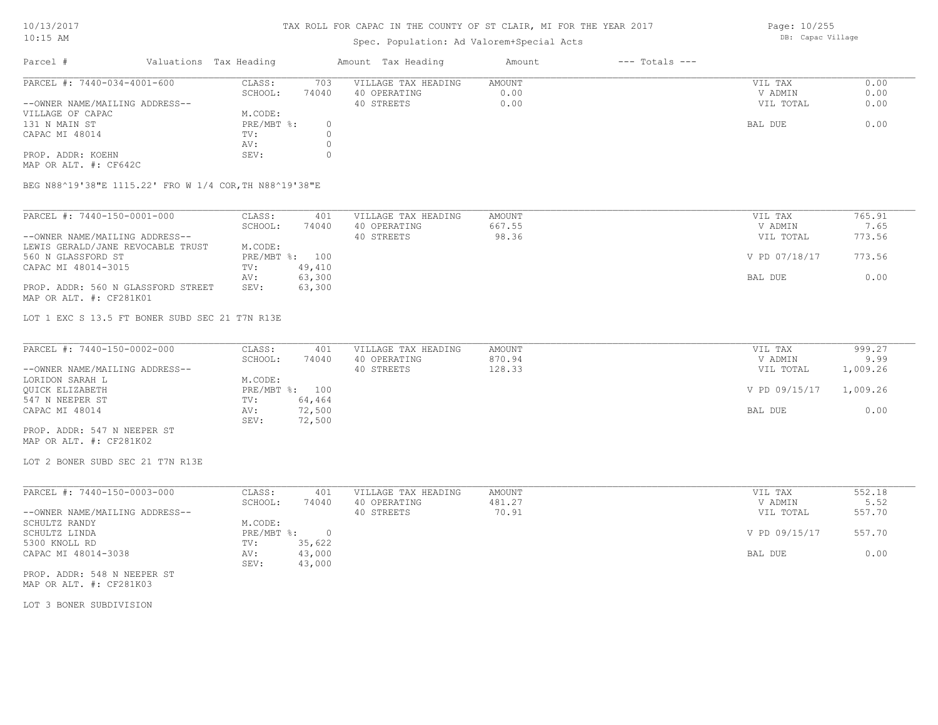### Spec. Population: Ad Valorem+Special Acts

Page: 10/255 DB: Capac Village

| Parcel #                       | Valuations Tax Heading |       | Amount Tax Heading  | Amount | $---$ Totals $---$ |           |      |
|--------------------------------|------------------------|-------|---------------------|--------|--------------------|-----------|------|
| PARCEL #: 7440-034-4001-600    | CLASS:                 | 703   | VILLAGE TAX HEADING | AMOUNT |                    | VIL TAX   | 0.00 |
|                                | SCHOOL:                | 74040 | 40 OPERATING        | 0.00   |                    | V ADMIN   | 0.00 |
| --OWNER NAME/MAILING ADDRESS-- |                        |       | 40 STREETS          | 0.00   |                    | VIL TOTAL | 0.00 |
| VILLAGE OF CAPAC               | M.CODE:                |       |                     |        |                    |           |      |
| 131 N MAIN ST                  | PRE/MBT %:             | 0     |                     |        |                    | BAL DUE   | 0.00 |
| CAPAC MI 48014                 | TV:                    |       |                     |        |                    |           |      |
|                                | AV:                    |       |                     |        |                    |           |      |
| PROP. ADDR: KOEHN              | SEV:                   |       |                     |        |                    |           |      |

MAP OR ALT. #: CF642C

BEG N88^19'38"E 1115.22' FRO W 1/4 COR,TH N88^19'38"E

| PARCEL #: 7440-150-0001-000        | CLASS:  | 401            | VILLAGE TAX HEADING | AMOUNT | VIL TAX       | 765.91 |
|------------------------------------|---------|----------------|---------------------|--------|---------------|--------|
|                                    | SCHOOL: | 74040          | 40 OPERATING        | 667.55 | V ADMIN       | 7.65   |
| --OWNER NAME/MAILING ADDRESS--     |         |                | 40 STREETS          | 98.36  | VIL TOTAL     | 773.56 |
| LEWIS GERALD/JANE REVOCABLE TRUST  | M.CODE: |                |                     |        |               |        |
| 560 N GLASSFORD ST                 |         | PRE/MBT %: 100 |                     |        | V PD 07/18/17 | 773.56 |
| CAPAC MI 48014-3015                | TV:     | 49,410         |                     |        |               |        |
|                                    | AV:     | 63,300         |                     |        | BAL DUE       | 0.00   |
| PROP. ADDR: 560 N GLASSFORD STREET | SEV:    | 63,300         |                     |        |               |        |
| MAP OR ALT. #: CF281K01            |         |                |                     |        |               |        |

LOT 1 EXC S 13.5 FT BONER SUBD SEC 21 T7N R13E

| PARCEL #: 7440-150-0002-000    | CLASS:  | 401            | VILLAGE TAX HEADING | AMOUNT | VIL TAX       | 999.27   |
|--------------------------------|---------|----------------|---------------------|--------|---------------|----------|
|                                | SCHOOL: | 74040          | 40 OPERATING        | 870.94 | V ADMIN       | 9.99     |
| --OWNER NAME/MAILING ADDRESS-- |         |                | 40 STREETS          | 128.33 | VIL TOTAL     | 1,009.26 |
| LORIDON SARAH L                | M.CODE: |                |                     |        |               |          |
| OUICK ELIZABETH                |         | PRE/MBT %: 100 |                     |        | V PD 09/15/17 | 1,009.26 |
| 547 N NEEPER ST                | TV:     | 64,464         |                     |        |               |          |
| CAPAC MI 48014                 | AV:     | 72,500         |                     |        | BAL DUE       | 0.00     |
|                                | SEV:    | 72,500         |                     |        |               |          |
| PROP. ADDR: 547 N NEEPER ST    |         |                |                     |        |               |          |

MAP OR ALT. #: CF281K02

LOT 2 BONER SUBD SEC 21 T7N R13E

| 74040<br>481.27<br>SCHOOL:<br>40 OPERATING            | V ADMIN       | 5.52   |
|-------------------------------------------------------|---------------|--------|
|                                                       |               |        |
| --OWNER NAME/MAILING ADDRESS--<br>70.91<br>40 STREETS | VIL TOTAL     | 557.70 |
| M.CODE:<br>SCHULTZ RANDY                              |               |        |
| PRE/MBT %:<br>SCHULTZ LINDA                           | V PD 09/15/17 | 557.70 |
| 5300 KNOLL RD<br>35,622<br>TV:                        |               |        |
| 43,000<br>CAPAC MI 48014-3038<br>AV:                  | BAL DUE       | 0.00   |
| 43,000<br>SEV:                                        |               |        |

MAP OR ALT. #: CF281K03 PROP. ADDR: 548 N NEEPER ST

LOT 3 BONER SUBDIVISION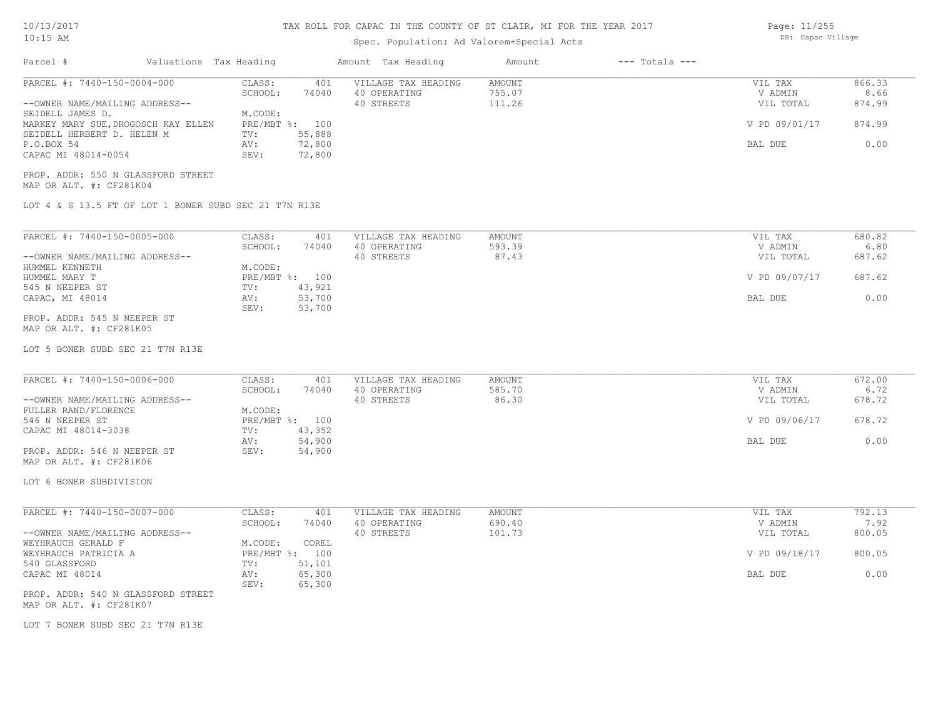# TAX ROLL FOR CAPAC IN THE COUNTY OF ST CLAIR, MI FOR THE YEAR 2017

Page: 11/255 DB: Capac Village

# Spec. Population: Ad Valorem+Special Acts

| Parcel #                                                        | Valuations Tax Heading |                                  |                            | Amount Tax Heading                                | Amount                     | $---$ Totals $---$ |                                 |                          |
|-----------------------------------------------------------------|------------------------|----------------------------------|----------------------------|---------------------------------------------------|----------------------------|--------------------|---------------------------------|--------------------------|
| PARCEL #: 7440-150-0004-000<br>--OWNER NAME/MAILING ADDRESS--   |                        | CLASS:<br>SCHOOL:                | 401<br>74040               | VILLAGE TAX HEADING<br>40 OPERATING<br>40 STREETS | AMOUNT<br>755.07<br>111.26 |                    | VIL TAX<br>V ADMIN<br>VIL TOTAL | 866.33<br>8.66<br>874.99 |
| SEIDELL JAMES D.<br>MARKEY MARY SUE, DROGOSCH KAY ELLEN         |                        | M.CODE:<br>PRE/MBT %: 100        |                            |                                                   |                            |                    | V PD 09/01/17                   | 874.99                   |
| SEIDELL HERBERT D. HELEN M<br>P.O.BOX 54<br>CAPAC MI 48014-0054 |                        | TV:<br>AV:<br>SEV:               | 55,888<br>72,800<br>72,800 |                                                   |                            |                    | BAL DUE                         | 0.00                     |
| PROP. ADDR: 550 N GLASSFORD STREET<br>MAP OR ALT. #: CF281K04   |                        |                                  |                            |                                                   |                            |                    |                                 |                          |
| LOT 4 & S 13.5 FT OF LOT 1 BONER SUBD SEC 21 T7N R13E           |                        |                                  |                            |                                                   |                            |                    |                                 |                          |
| PARCEL #: 7440-150-0005-000                                     |                        | CLASS:                           | 401                        | VILLAGE TAX HEADING                               | AMOUNT                     |                    | VIL TAX                         | 680.82                   |
| --OWNER NAME/MAILING ADDRESS--                                  |                        | SCHOOL:                          | 74040                      | 40 OPERATING<br>40 STREETS                        | 593.39<br>87.43            |                    | V ADMIN<br>VIL TOTAL            | 6.80<br>687.62           |
| HUMMEL KENNETH<br>HUMMEL MARY T                                 |                        | M.CODE:<br>PRE/MBT %: 100<br>TV: | 43,921                     |                                                   |                            |                    | V PD 09/07/17                   | 687.62                   |
| 545 N NEEPER ST<br>CAPAC, MI 48014                              |                        | AV:<br>SEV:                      | 53,700<br>53,700           |                                                   |                            |                    | BAL DUE                         | 0.00                     |
| PROP. ADDR: 545 N NEEPER ST<br>MAP OR ALT. #: CF281K05          |                        |                                  |                            |                                                   |                            |                    |                                 |                          |
| LOT 5 BONER SUBD SEC 21 T7N R13E                                |                        |                                  |                            |                                                   |                            |                    |                                 |                          |
| PARCEL #: 7440-150-0006-000                                     |                        | CLASS:                           | 401                        | VILLAGE TAX HEADING                               | AMOUNT                     |                    | VIL TAX                         | 672.00                   |
| --OWNER NAME/MAILING ADDRESS--                                  |                        | SCHOOL:                          | 74040                      | 40 OPERATING<br>40 STREETS                        | 585.70<br>86.30            |                    | V ADMIN<br>VIL TOTAL            | 6.72<br>678.72           |
| FULLER RAND/FLORENCE<br>546 N NEEPER ST<br>CAPAC MI 48014-3038  |                        | M.CODE:<br>PRE/MBT %: 100<br>TV: | 43,352                     |                                                   |                            |                    | V PD 09/06/17                   | 678.72                   |
| PROP. ADDR: 546 N NEEPER ST                                     |                        | AV:<br>SEV:                      | 54,900<br>54,900           |                                                   |                            |                    | BAL DUE                         | 0.00                     |
| MAP OR ALT. #: CF281K06                                         |                        |                                  |                            |                                                   |                            |                    |                                 |                          |
| LOT 6 BONER SUBDIVISION                                         |                        |                                  |                            |                                                   |                            |                    |                                 |                          |
| PARCEL #: 7440-150-0007-000                                     |                        | CLASS:<br>SCHOOL:                | 401<br>74040               | VILLAGE TAX HEADING<br>40 OPERATING               | AMOUNT<br>690.40           |                    | VIL TAX<br>V ADMIN              | 792.13<br>7.92           |
| --OWNER NAME/MAILING ADDRESS--<br>WEYHRAUCH GERALD F            |                        | M.CODE:                          | COREL                      | 40 STREETS                                        | 101.73                     |                    | VIL TOTAL                       | 800.05                   |
| WEYHRAUCH PATRICIA A<br>540 GLASSFORD                           |                        | PRE/MBT %: 100<br>TV:            | 51,101                     |                                                   |                            |                    | V PD 09/18/17                   | 800.05                   |
| CAPAC MI 48014                                                  |                        | AV:<br>SEV:                      | 65,300<br>65,300           |                                                   |                            |                    | BAL DUE                         | 0.00                     |
| PROP. ADDR: 540 N GLASSFORD STREET<br>MAP OR ALT. #: CF281K07   |                        |                                  |                            |                                                   |                            |                    |                                 |                          |
| LOT 7 BONER SUBD SEC 21 T7N R13E                                |                        |                                  |                            |                                                   |                            |                    |                                 |                          |
|                                                                 |                        |                                  |                            |                                                   |                            |                    |                                 |                          |
|                                                                 |                        |                                  |                            |                                                   |                            |                    |                                 |                          |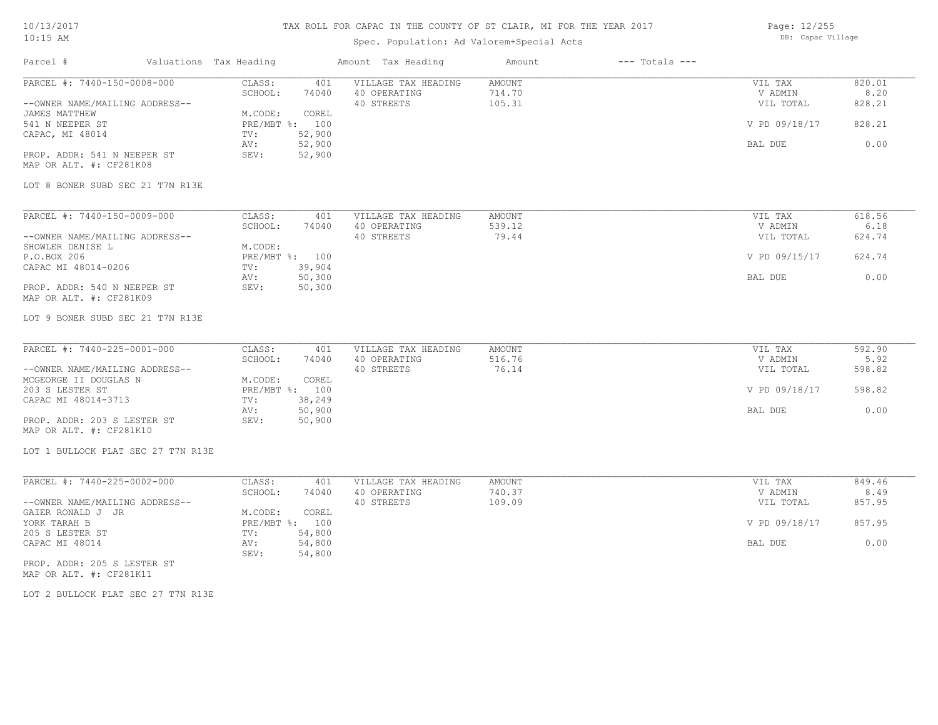## TAX ROLL FOR CAPAC IN THE COUNTY OF ST CLAIR, MI FOR THE YEAR 2017

## Spec. Population: Ad Valorem+Special Acts

Page: 12/255 DB: Capac Village

| Parcel #                                               | Valuations Tax Heading |                | Amount Tax Heading  | Amount | $---$ Totals $---$ |               |        |
|--------------------------------------------------------|------------------------|----------------|---------------------|--------|--------------------|---------------|--------|
| PARCEL #: 7440-150-0008-000                            | CLASS:                 | 401            | VILLAGE TAX HEADING | AMOUNT |                    | VIL TAX       | 820.01 |
|                                                        | SCHOOL:                | 74040          | 40 OPERATING        | 714.70 |                    | V ADMIN       | 8.20   |
| --OWNER NAME/MAILING ADDRESS--                         |                        |                | 40 STREETS          | 105.31 |                    | VIL TOTAL     | 828.21 |
| JAMES MATTHEW                                          | M.CODE:                | COREL          |                     |        |                    |               |        |
| 541 N NEEPER ST                                        |                        | PRE/MBT %: 100 |                     |        |                    | V PD 09/18/17 | 828.21 |
| CAPAC, MI 48014                                        | TV:                    | 52,900         |                     |        |                    |               |        |
|                                                        | AV:<br>SEV:            | 52,900         |                     |        |                    | BAL DUE       | 0.00   |
| PROP. ADDR: 541 N NEEPER ST<br>MAP OR ALT. #: CF281K08 |                        | 52,900         |                     |        |                    |               |        |
|                                                        |                        |                |                     |        |                    |               |        |
| LOT 8 BONER SUBD SEC 21 T7N R13E                       |                        |                |                     |        |                    |               |        |
|                                                        |                        |                |                     |        |                    |               |        |
| PARCEL #: 7440-150-0009-000                            | CLASS:                 | 401            | VILLAGE TAX HEADING | AMOUNT |                    | VIL TAX       | 618.56 |
|                                                        | SCHOOL:                | 74040          | 40 OPERATING        | 539.12 |                    | V ADMIN       | 6.18   |
| --OWNER NAME/MAILING ADDRESS--                         |                        |                | 40 STREETS          | 79.44  |                    | VIL TOTAL     | 624.74 |
| SHOWLER DENISE L                                       | M.CODE:                | PRE/MBT %: 100 |                     |        |                    |               | 624.74 |
| P.O.BOX 206<br>CAPAC MI 48014-0206                     | TV:                    | 39,904         |                     |        |                    | V PD 09/15/17 |        |
|                                                        | AV:                    | 50,300         |                     |        |                    | BAL DUE       | 0.00   |
| PROP. ADDR: 540 N NEEPER ST                            | SEV:                   | 50,300         |                     |        |                    |               |        |
| MAP OR ALT. #: CF281K09                                |                        |                |                     |        |                    |               |        |
| LOT 9 BONER SUBD SEC 21 T7N R13E                       |                        |                |                     |        |                    |               |        |
| PARCEL #: 7440-225-0001-000                            | CLASS:                 | 401            | VILLAGE TAX HEADING | AMOUNT |                    | VIL TAX       | 592.90 |
|                                                        | SCHOOL:                | 74040          | 40 OPERATING        | 516.76 |                    | V ADMIN       | 5.92   |
| --OWNER NAME/MAILING ADDRESS--                         |                        |                | 40 STREETS          | 76.14  |                    | VIL TOTAL     | 598.82 |
| MCGEORGE II DOUGLAS N                                  | M.CODE:                | COREL          |                     |        |                    |               |        |
| 203 S LESTER ST                                        |                        | PRE/MBT %: 100 |                     |        |                    | V PD 09/18/17 | 598.82 |
| CAPAC MI 48014-3713                                    | TV:                    | 38,249         |                     |        |                    |               |        |
|                                                        | AV:                    | 50,900         |                     |        |                    | BAL DUE       | 0.00   |
| PROP. ADDR: 203 S LESTER ST                            | SEV:                   | 50,900         |                     |        |                    |               |        |
| MAP OR ALT. #: CF281K10                                |                        |                |                     |        |                    |               |        |
| LOT 1 BULLOCK PLAT SEC 27 T7N R13E                     |                        |                |                     |        |                    |               |        |
| PARCEL #: 7440-225-0002-000                            | CLASS:                 | 401            | VILLAGE TAX HEADING | AMOUNT |                    | VIL TAX       | 849.46 |
|                                                        | SCHOOL:                | 74040          | 40 OPERATING        | 740.37 |                    | V ADMIN       | 8.49   |
| --OWNER NAME/MAILING ADDRESS--                         |                        |                | 40 STREETS          | 109.09 |                    | VIL TOTAL     | 857.95 |
| GAIER RONALD J JR                                      | M.CODE:                | COREL          |                     |        |                    |               |        |
| YORK TARAH B                                           |                        | PRE/MBT %: 100 |                     |        |                    | V PD 09/18/17 | 857.95 |
| 205 S LESTER ST                                        | TV:                    | 54,800         |                     |        |                    |               |        |
| CAPAC MI 48014                                         | AV:                    | 54,800         |                     |        |                    | BAL DUE       | 0.00   |
|                                                        | SEV:                   | 54,800         |                     |        |                    |               |        |
| PROP. ADDR: 205 S LESTER ST                            |                        |                |                     |        |                    |               |        |

MAP OR ALT. #: CF281K11

LOT 2 BULLOCK PLAT SEC 27 T7N R13E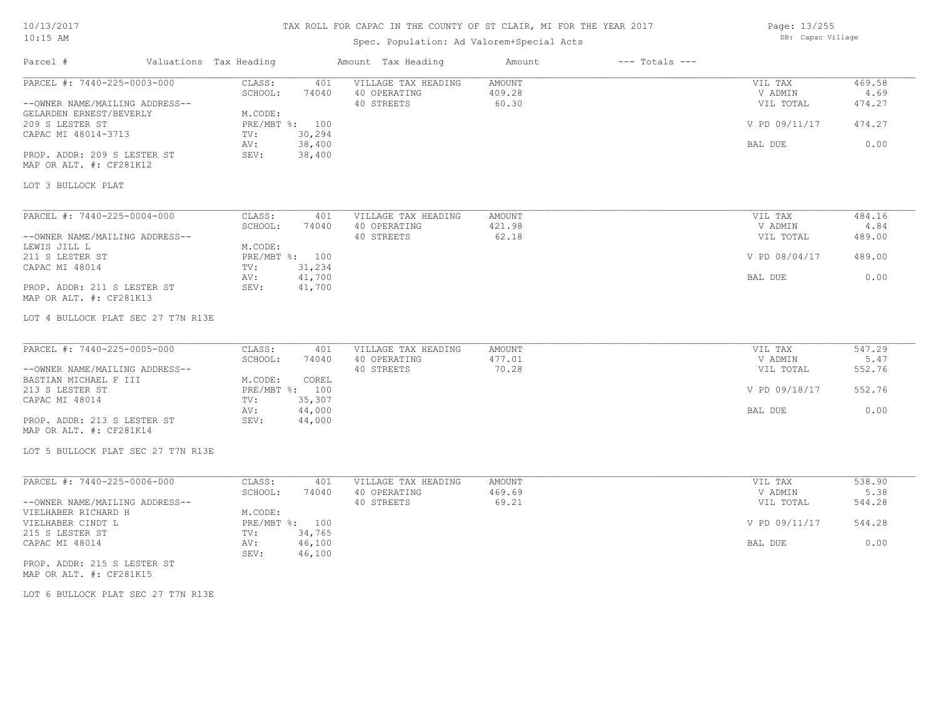## TAX ROLL FOR CAPAC IN THE COUNTY OF ST CLAIR, MI FOR THE YEAR 2017

## Spec. Population: Ad Valorem+Special Acts

Page: 13/255 DB: Capac Village

| Parcel #                                               | Valuations Tax Heading          | Amount Tax Heading  | Amount | $---$ Totals $---$ |                |        |
|--------------------------------------------------------|---------------------------------|---------------------|--------|--------------------|----------------|--------|
| PARCEL #: 7440-225-0003-000                            | CLASS:<br>401                   | VILLAGE TAX HEADING | AMOUNT |                    | VIL TAX        | 469.58 |
|                                                        | SCHOOL:<br>74040                | 40 OPERATING        | 409.28 |                    | V ADMIN        | 4.69   |
| --OWNER NAME/MAILING ADDRESS--                         |                                 | 40 STREETS          | 60.30  |                    | VIL TOTAL      | 474.27 |
| GELARDEN ERNEST/BEVERLY                                | M.CODE:                         |                     |        |                    |                |        |
| 209 S LESTER ST                                        | PRE/MBT %: 100<br>30,294<br>TV: |                     |        |                    | V PD 09/11/17  | 474.27 |
| CAPAC MI 48014-3713                                    | 38,400<br>AV:                   |                     |        |                    | BAL DUE        | 0.00   |
| PROP. ADDR: 209 S LESTER ST                            | 38,400<br>SEV:                  |                     |        |                    |                |        |
| MAP OR ALT. #: CF281K12                                |                                 |                     |        |                    |                |        |
|                                                        |                                 |                     |        |                    |                |        |
| LOT 3 BULLOCK PLAT                                     |                                 |                     |        |                    |                |        |
| PARCEL #: 7440-225-0004-000                            | CLASS:<br>401                   | VILLAGE TAX HEADING | AMOUNT |                    | VIL TAX        | 484.16 |
|                                                        | SCHOOL:<br>74040                | 40 OPERATING        | 421.98 |                    | V ADMIN        | 4.84   |
| --OWNER NAME/MAILING ADDRESS--                         |                                 | 40 STREETS          | 62.18  |                    | VIL TOTAL      | 489.00 |
| LEWIS JILL L                                           | M.CODE:                         |                     |        |                    |                |        |
| 211 S LESTER ST                                        | PRE/MBT %: 100                  |                     |        |                    | V PD 08/04/17  | 489.00 |
| CAPAC MI 48014                                         | 31,234<br>TV:                   |                     |        |                    |                |        |
|                                                        | 41,700<br>AV:                   |                     |        |                    | <b>BAL DUE</b> | 0.00   |
| PROP. ADDR: 211 S LESTER ST                            | 41,700<br>SEV:                  |                     |        |                    |                |        |
| MAP OR ALT. #: CF281K13                                |                                 |                     |        |                    |                |        |
| LOT 4 BULLOCK PLAT SEC 27 T7N R13E                     |                                 |                     |        |                    |                |        |
| PARCEL #: 7440-225-0005-000                            | CLASS:<br>401                   | VILLAGE TAX HEADING | AMOUNT |                    | VIL TAX        | 547.29 |
|                                                        | SCHOOL:<br>74040                | 40 OPERATING        | 477.01 |                    | V ADMIN        | 5.47   |
| --OWNER NAME/MAILING ADDRESS--                         |                                 | 40 STREETS          | 70.28  |                    | VIL TOTAL      | 552.76 |
| BASTIAN MICHAEL F III                                  | M.CODE:<br>COREL                |                     |        |                    |                |        |
| 213 S LESTER ST                                        | PRE/MBT %: 100                  |                     |        |                    | V PD 09/18/17  | 552.76 |
| CAPAC MI 48014                                         | 35,307<br>TV:                   |                     |        |                    |                |        |
|                                                        | 44,000<br>AV:                   |                     |        |                    | BAL DUE        | 0.00   |
| PROP. ADDR: 213 S LESTER ST<br>MAP OR ALT. #: CF281K14 | 44,000<br>SEV:                  |                     |        |                    |                |        |
| LOT 5 BULLOCK PLAT SEC 27 T7N R13E                     |                                 |                     |        |                    |                |        |
| PARCEL #: 7440-225-0006-000                            | CLASS:<br>401                   | VILLAGE TAX HEADING | AMOUNT |                    | VIL TAX        | 538.90 |
|                                                        | SCHOOL:<br>74040                | 40 OPERATING        | 469.69 |                    | V ADMIN        | 5.38   |
| --OWNER NAME/MAILING ADDRESS--                         |                                 | 40 STREETS          | 69.21  |                    | VIL TOTAL      | 544.28 |
| VIELHABER RICHARD H                                    | M.CODE:                         |                     |        |                    |                |        |
| VIELHABER CINDT L                                      | PRE/MBT %: 100                  |                     |        |                    | V PD 09/11/17  | 544.28 |
| 215 S LESTER ST                                        | 34,765<br>TV:                   |                     |        |                    |                |        |
| CAPAC MI 48014                                         | 46,100<br>AV:<br>46,100<br>SEV: |                     |        |                    | BAL DUE        | 0.00   |
| PROP. ADDR: 215 S LESTER ST<br>MAP OR ALT. #: CF281K15 |                                 |                     |        |                    |                |        |

LOT 6 BULLOCK PLAT SEC 27 T7N R13E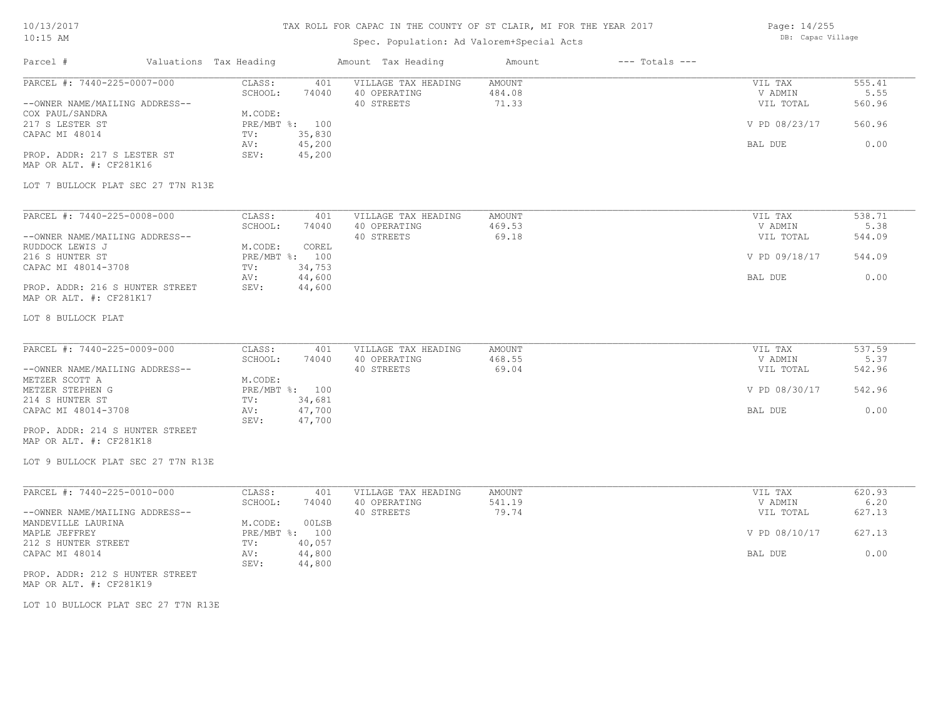Parcel # Valuations Tax Heading Amount Tax Heading Amount --- Totals ---TAX ROLL FOR CAPAC IN THE COUNTY OF ST CLAIR, MI FOR THE YEAR 2017 Spec. Population: Ad Valorem+Special Acts Page: 14/255 DB: Capac Village LOT 7 BULLOCK PLAT SEC 27 T7N R13E MAP OR ALT. #: CF281K16 PROP. ADDR: 217 S LESTER ST SEV: 45,200 AV: 45,200 and  $\sim$  45,200 and  $\sim$  500 and  $\sim$  500 and  $\sim$  600 and  $\sim$  600 and  $\sim$  600 and  $\sim$  600 and  $\sim$  600 and  $\sim$  600 and  $\sim$  600 and  $\sim$  600 and  $\sim$  600 and  $\sim$  600 and  $\sim$  600 and  $\sim$  600 and  $\sim$  600 CAPAC MI 48014 TV: 35,830<br>
AV: 45,200 217 S LESTER ST PRE/MBT %: 100 V PD 08/23/17 560.96 COX PAUL/SANDRA<br>
217 S LESTER ST
217 S LESTER ST
217 S LESTER ST
217 S LESTER ST
217 S LESTER ST --OWNER NAME/MAILING ADDRESS-- 40 STREETS 71.33 VIL TOTAL 560.96 SCHOOL: 74040 40 OPERATING 484.08 484.08 V ADMIN 5.55 PARCEL #: 7440-225-0007-000 CLASS: 401 VILLAGE TAX HEADING AMOUNT AMOUNT VIL TAX 555.41 555.41<br>555.41 SCHOOL: 74040 40 OPERATING 484.08 VADMIN 5.55  $\mathcal{L}_\mathcal{L} = \mathcal{L}_\mathcal{L} = \mathcal{L}_\mathcal{L} = \mathcal{L}_\mathcal{L} = \mathcal{L}_\mathcal{L} = \mathcal{L}_\mathcal{L} = \mathcal{L}_\mathcal{L} = \mathcal{L}_\mathcal{L} = \mathcal{L}_\mathcal{L} = \mathcal{L}_\mathcal{L} = \mathcal{L}_\mathcal{L} = \mathcal{L}_\mathcal{L} = \mathcal{L}_\mathcal{L} = \mathcal{L}_\mathcal{L} = \mathcal{L}_\mathcal{L} = \mathcal{L}_\mathcal{L} = \mathcal{L}_\mathcal{L}$ LOT 8 BULLOCK PLAT MAP OR ALT. #: CF281K17 PROP. ADDR: 216 S HUNTER STREET SEV: 44,600 AV: 44,600 AV: 44,600 AV: 44,600 AV: 5 AV: 5 AV: 5 AV: 5 AV: 5 AV: 5 AV: 5 AV: 5 AV: 5 AV: 5 AV: 5 AV: 5 AV: 5 AV: 5 AV: 5 AV: 5 AV: 5 AV: 5 AV: 5 AV: 5 AV: 5 AV: 5 AV: 5 AV: 5 AV: 5 AV: 5 AV: 5 AV: 5 AV: 5 AV: 5 AV: 5 AV: CAPAC MI 48014-3708 TV: 34,753<br>
AV: 44,600 216 S HUNTER ST PRE/MBT %: 100 V PD 09/18/17 544.09 RUDDOCK LEWIS J M.CODE: COREL --OWNER NAME/MAILING ADDRESS-- 40 STREETS 69.18 VIL TOTAL 544.09 SCHOOL: 74040 40 OPERATING 469.53 V ADMIN 5.38 PARCEL #: 7440-225-0008-000 CLASS: 401 VILLAGE TAX HEADING AMOUNT VIL TAX 538.71 538.71 SCHOOL: 74040 40 OPERATING 469.53  $\mathcal{L}_\mathcal{L} = \mathcal{L}_\mathcal{L} = \mathcal{L}_\mathcal{L} = \mathcal{L}_\mathcal{L} = \mathcal{L}_\mathcal{L} = \mathcal{L}_\mathcal{L} = \mathcal{L}_\mathcal{L} = \mathcal{L}_\mathcal{L} = \mathcal{L}_\mathcal{L} = \mathcal{L}_\mathcal{L} = \mathcal{L}_\mathcal{L} = \mathcal{L}_\mathcal{L} = \mathcal{L}_\mathcal{L} = \mathcal{L}_\mathcal{L} = \mathcal{L}_\mathcal{L} = \mathcal{L}_\mathcal{L} = \mathcal{L}_\mathcal{L}$ LOT 9 BULLOCK PLAT SEC 27 T7N R13E MAP OR ALT. #: CF281K18 PROP. ADDR: 214 S HUNTER STREET SEV: 47,700 CAPAC MI 48014-3708 AV: 47,700 BAL DUE 0.00 214 S HUNTER ST TV: 34,681 METZER STEPHEN G PRE/MBT %: 100 V PD 08/30/17 542.96 METZER SCOTT A M.CODE: --OWNER NAME/MAILING ADDRESS-- 40 STREETS 69.04 VIL TOTAL 542.96 SCHOOL: 74040 40 OPERATING 468.55 468.55 V ADMIN 5.37 PARCEL #: 7440-225-0009-000 CLASS: 401 VILLAGE TAX HEADING AMOUNT AMOUNT VIL TAX 537.59<br>SCHOOL: 74040 40 OPERATING 468.55 9 VADMIN 5.37  $\mathcal{L}_\mathcal{L} = \mathcal{L}_\mathcal{L} = \mathcal{L}_\mathcal{L} = \mathcal{L}_\mathcal{L} = \mathcal{L}_\mathcal{L} = \mathcal{L}_\mathcal{L} = \mathcal{L}_\mathcal{L} = \mathcal{L}_\mathcal{L} = \mathcal{L}_\mathcal{L} = \mathcal{L}_\mathcal{L} = \mathcal{L}_\mathcal{L} = \mathcal{L}_\mathcal{L} = \mathcal{L}_\mathcal{L} = \mathcal{L}_\mathcal{L} = \mathcal{L}_\mathcal{L} = \mathcal{L}_\mathcal{L} = \mathcal{L}_\mathcal{L}$ LOT 10 BULLOCK PLAT SEC 27 T7N R13E MAP OR ALT. #: CF281K19 PROP. ADDR: 212 S HUNTER STREET SEV: 44,800 CAPAC MI 48014 AV: 44,800 BAL DUE 0.00 212 S HUNTER STREET TV: 40,057<br>
CAPAC MI 48014 (2001) AV: 44,800 MAPLE JEFFREY PRE/MBT %: 100 V PD 08/10/17 627.13 MANDEVILLE LAURINA MANDEVILLE LAURINA MERICODE: 00LSB --OWNER NAME/MAILING ADDRESS-- 40 STREETS 79.74 VIL TOTAL 627.13 SCHOOL: 74040 40 OPERATING 541.19 SCHOOL: 540 SCHOOL: 540 SCHOOL: 541.19 PARCEL #: 7440-225-0010-000 CLASS: 401 VILLAGE TAX HEADING AMOUNT VIL TAX VIL TAX 620.93  $\mathcal{L}_\mathcal{L} = \mathcal{L}_\mathcal{L} = \mathcal{L}_\mathcal{L} = \mathcal{L}_\mathcal{L} = \mathcal{L}_\mathcal{L} = \mathcal{L}_\mathcal{L} = \mathcal{L}_\mathcal{L} = \mathcal{L}_\mathcal{L} = \mathcal{L}_\mathcal{L} = \mathcal{L}_\mathcal{L} = \mathcal{L}_\mathcal{L} = \mathcal{L}_\mathcal{L} = \mathcal{L}_\mathcal{L} = \mathcal{L}_\mathcal{L} = \mathcal{L}_\mathcal{L} = \mathcal{L}_\mathcal{L} = \mathcal{L}_\mathcal{L}$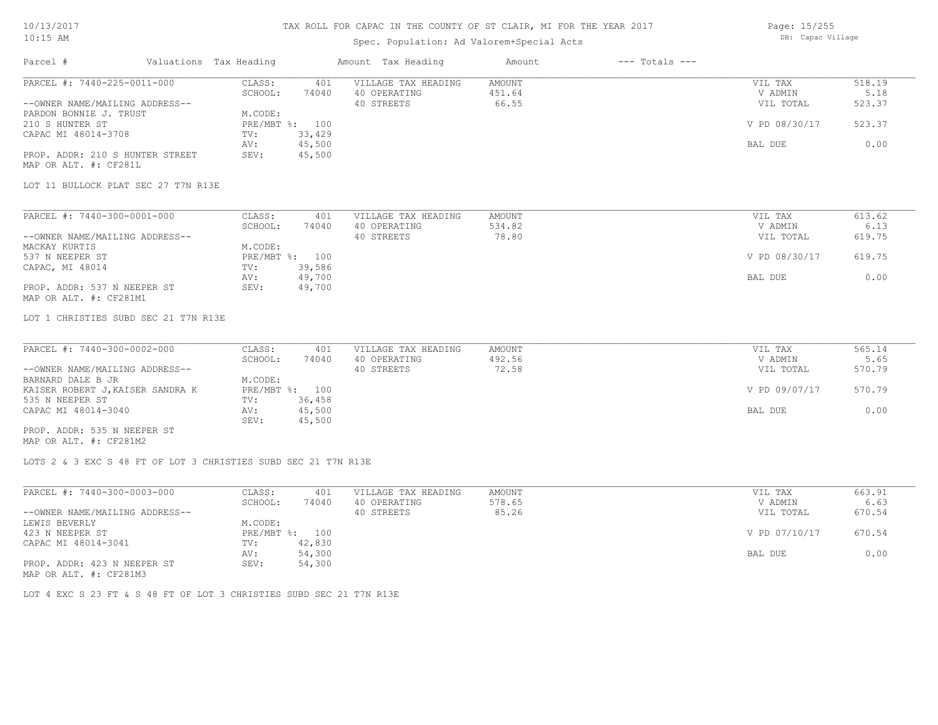### TAX ROLL FOR CAPAC IN THE COUNTY OF ST CLAIR, MI FOR THE YEAR 2017

## Spec. Population: Ad Valorem+Special Acts

Page: 15/255 DB: Capac Village

| Parcel #                                                                                                                                                                                                                             | Valuations Tax Heading |                                                                                                                    | Amount Tax Heading                                | Amount                           | $---$ Totals $---$ |                                                             |                                            |
|--------------------------------------------------------------------------------------------------------------------------------------------------------------------------------------------------------------------------------------|------------------------|--------------------------------------------------------------------------------------------------------------------|---------------------------------------------------|----------------------------------|--------------------|-------------------------------------------------------------|--------------------------------------------|
| PARCEL #: 7440-225-0011-000<br>--OWNER NAME/MAILING ADDRESS--<br>PARDON BONNIE J. TRUST<br>210 S HUNTER ST<br>CAPAC MI 48014-3708<br>PROP. ADDR: 210 S HUNTER STREET<br>MAP OR ALT. #: CF281L<br>LOT 11 BULLOCK PLAT SEC 27 T7N R13E |                        | CLASS:<br>401<br>SCHOOL:<br>74040<br>M.CODE:<br>PRE/MBT %: 100<br>33,429<br>TV:<br>45,500<br>AV:<br>45,500<br>SEV: | VILLAGE TAX HEADING<br>40 OPERATING<br>40 STREETS | <b>AMOUNT</b><br>451.64<br>66.55 |                    | VIL TAX<br>V ADMIN<br>VIL TOTAL<br>V PD 08/30/17<br>BAL DUE | 518.19<br>5.18<br>523.37<br>523.37<br>0.00 |
|                                                                                                                                                                                                                                      |                        |                                                                                                                    |                                                   |                                  |                    |                                                             |                                            |
| PARCEL #: 7440-300-0001-000<br>--OWNER NAME/MAILING ADDRESS--<br>MACKAY KURTIS                                                                                                                                                       |                        | CLASS:<br>401<br>SCHOOL:<br>74040<br>M.CODE:                                                                       | VILLAGE TAX HEADING<br>40 OPERATING<br>40 STREETS | <b>AMOUNT</b><br>534.82<br>78.80 |                    | VIL TAX<br>V ADMIN<br>VIL TOTAL                             | 613.62<br>6.13<br>619.75                   |
| 537 N NEEPER ST<br>CAPAC, MI 48014<br>PROP. ADDR: 537 N NEEPER ST                                                                                                                                                                    |                        | PRE/MBT %: 100<br>39,586<br>TV:<br>49,700<br>AV:<br>49,700<br>SEV:                                                 |                                                   |                                  |                    | V PD 08/30/17<br>BAL DUE                                    | 619.75<br>0.00                             |
| PARCEL #: 7440-300-0002-000                                                                                                                                                                                                          |                        | CLASS:<br>401<br>SCHOOL:<br>74040                                                                                  | VILLAGE TAX HEADING<br>40 OPERATING               | <b>AMOUNT</b><br>492.56          |                    | VIL TAX<br>V ADMIN                                          | 565.14<br>5.65                             |
| --OWNER NAME/MAILING ADDRESS--<br>BARNARD DALE B JR<br>KAISER ROBERT J, KAISER SANDRA K                                                                                                                                              |                        | M.CODE:<br>PRE/MBT %: 100                                                                                          | 40 STREETS                                        | 72.58                            |                    | VIL TOTAL<br>V PD 09/07/17                                  | 570.79<br>570.79                           |
| 535 N NEEPER ST<br>CAPAC MI 48014-3040                                                                                                                                                                                               |                        | 36,458<br>TV:<br>45,500<br>AV:<br>45,500<br>SEV:                                                                   |                                                   |                                  |                    | BAL DUE                                                     | 0.00                                       |
| PROP. ADDR: 535 N NEEPER ST<br>MAP OR ALT. #: CF281M2                                                                                                                                                                                |                        |                                                                                                                    |                                                   |                                  |                    |                                                             |                                            |
|                                                                                                                                                                                                                                      |                        | LOTS 2 & 3 EXC S 48 FT OF LOT 3 CHRISTIES SUBD SEC 21 T7N R13E                                                     |                                                   |                                  |                    |                                                             |                                            |
| PARCEL #: 7440-300-0003-000                                                                                                                                                                                                          |                        | CLASS:<br>401                                                                                                      | VILLAGE TAX HEADING                               | AMOUNT                           |                    | VIL TAX                                                     | 663.91                                     |
| --OWNER NAME/MAILING ADDRESS--                                                                                                                                                                                                       |                        | SCHOOL:<br>74040                                                                                                   | 40 OPERATING<br>40 STREETS                        | 578.65<br>85.26                  |                    | V ADMIN<br>VIL TOTAL                                        | 6.63<br>670.54                             |
| LEWIS BEVERLY<br>423 N NEEPER ST                                                                                                                                                                                                     |                        | M.CODE:<br>PRE/MBT %: 100                                                                                          |                                                   |                                  |                    | V PD 07/10/17                                               | 670.54                                     |
| CAPAC MI 48014-3041<br>PROP. ADDR: 423 N NEEPER ST<br>MAP OR ALT. #: CF281M3                                                                                                                                                         |                        | 42,830<br>TV:<br>54,300<br>AV:<br>54,300<br>SEV:                                                                   |                                                   |                                  |                    | BAL DUE                                                     | 0.00                                       |

LOT 4 EXC S 23 FT & S 48 FT OF LOT 3 CHRISTIES SUBD SEC 21 T7N R13E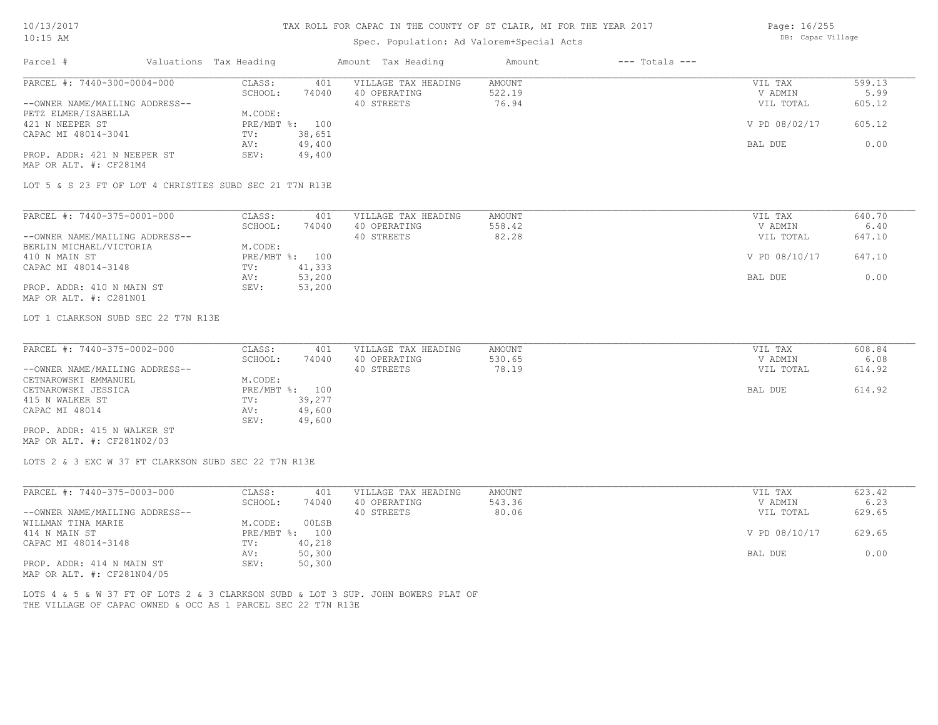# Spec. Population: Ad Valorem+Special Acts

Page: 16/255 DB: Capac Village

| Valuations Tax Heading<br>Parcel #                                                |                                    | Amount Tax Heading                  | Amount<br>$---$ Totals $---$ |                    |                |
|-----------------------------------------------------------------------------------|------------------------------------|-------------------------------------|------------------------------|--------------------|----------------|
| PARCEL #: 7440-300-0004-000                                                       | CLASS:<br>401<br>SCHOOL:<br>74040  | VILLAGE TAX HEADING<br>40 OPERATING | AMOUNT<br>522.19             | VIL TAX<br>V ADMIN | 599.13<br>5.99 |
| --OWNER NAME/MAILING ADDRESS--<br>PETZ ELMER/ISABELLA                             | M.CODE:                            | 40 STREETS                          | 76.94                        | VIL TOTAL          | 605.12         |
| 421 N NEEPER ST                                                                   | PRE/MBT %: 100                     |                                     |                              | V PD 08/02/17      | 605.12         |
| CAPAC MI 48014-3041                                                               | 38,651<br>TV:<br>49,400<br>AV:     |                                     |                              | BAL DUE            | 0.00           |
| PROP. ADDR: 421 N NEEPER ST<br>MAP OR ALT. #: CF281M4                             | 49,400<br>SEV:                     |                                     |                              |                    |                |
| LOT 5 & S 23 FT OF LOT 4 CHRISTIES SUBD SEC 21 T7N R13E                           |                                    |                                     |                              |                    |                |
| PARCEL #: 7440-375-0001-000                                                       | CLASS:<br>401                      | VILLAGE TAX HEADING                 | <b>AMOUNT</b>                | VIL TAX            | 640.70         |
|                                                                                   | SCHOOL:<br>74040                   | 40 OPERATING                        | 558.42                       | V ADMIN            | 6.40           |
| --OWNER NAME/MAILING ADDRESS--                                                    |                                    | 40 STREETS                          | 82.28                        | VIL TOTAL          | 647.10         |
| BERLIN MICHAEL/VICTORIA<br>410 N MAIN ST                                          | M.CODE:<br>PRE/MBT %: 100          |                                     |                              | V PD 08/10/17      | 647.10         |
| CAPAC MI 48014-3148                                                               | 41,333<br>TV:                      |                                     |                              |                    |                |
|                                                                                   | 53,200<br>AV:                      |                                     |                              | BAL DUE            | 0.00           |
| PROP. ADDR: 410 N MAIN ST<br>MAP OR ALT. #: C281N01                               | 53,200<br>SEV:                     |                                     |                              |                    |                |
| LOT 1 CLARKSON SUBD SEC 22 T7N R13E                                               |                                    |                                     |                              |                    |                |
| PARCEL #: 7440-375-0002-000                                                       | CLASS:<br>401                      | VILLAGE TAX HEADING                 | <b>AMOUNT</b>                | VIL TAX            | 608.84         |
|                                                                                   | SCHOOL:<br>74040                   | 40 OPERATING                        | 530.65                       | V ADMIN            | 6.08           |
| --OWNER NAME/MAILING ADDRESS--                                                    |                                    | 40 STREETS                          | 78.19                        | VIL TOTAL          | 614.92         |
| CETNAROWSKI EMMANUEL                                                              | M.CODE:                            |                                     |                              |                    |                |
| CETNAROWSKI JESSICA<br>415 N WALKER ST                                            | PRE/MBT %: 100<br>39,277<br>TV:    |                                     |                              | BAL DUE            | 614.92         |
| CAPAC MI 48014                                                                    | 49,600<br>AV:                      |                                     |                              |                    |                |
|                                                                                   | SEV:<br>49,600                     |                                     |                              |                    |                |
| PROP. ADDR: 415 N WALKER ST<br>MAP OR ALT. #: CF281N02/03                         |                                    |                                     |                              |                    |                |
| LOTS 2 & 3 EXC W 37 FT CLARKSON SUBD SEC 22 T7N R13E                              |                                    |                                     |                              |                    |                |
| PARCEL #: 7440-375-0003-000                                                       | CLASS:<br>401                      | VILLAGE TAX HEADING                 | <b>AMOUNT</b>                | VIL TAX            | 623.42         |
|                                                                                   | SCHOOL:<br>74040                   | 40 OPERATING                        | 543.36                       | V ADMIN            | 6.23           |
| --OWNER NAME/MAILING ADDRESS--                                                    |                                    | 40 STREETS                          | 80.06                        | VIL TOTAL          | 629.65         |
| WILLMAN TINA MARIE<br>414 N MAIN ST                                               | M.CODE:<br>00LSB<br>PRE/MBT %: 100 |                                     |                              | V PD 08/10/17      | 629.65         |
| CAPAC MI 48014-3148                                                               | TV:<br>40,218                      |                                     |                              |                    |                |
|                                                                                   | AV:<br>50,300                      |                                     |                              | BAL DUE            | 0.00           |
| PROP. ADDR: 414 N MAIN ST<br>MAP OR ALT. #: CF281N04/05                           | SEV:<br>50,300                     |                                     |                              |                    |                |
| LOTS 4 & 5 & W 37 FT OF LOTS 2 & 3 CLARKSON SUBD & LOT 3 SUP. JOHN BOWERS PLAT OF |                                    |                                     |                              |                    |                |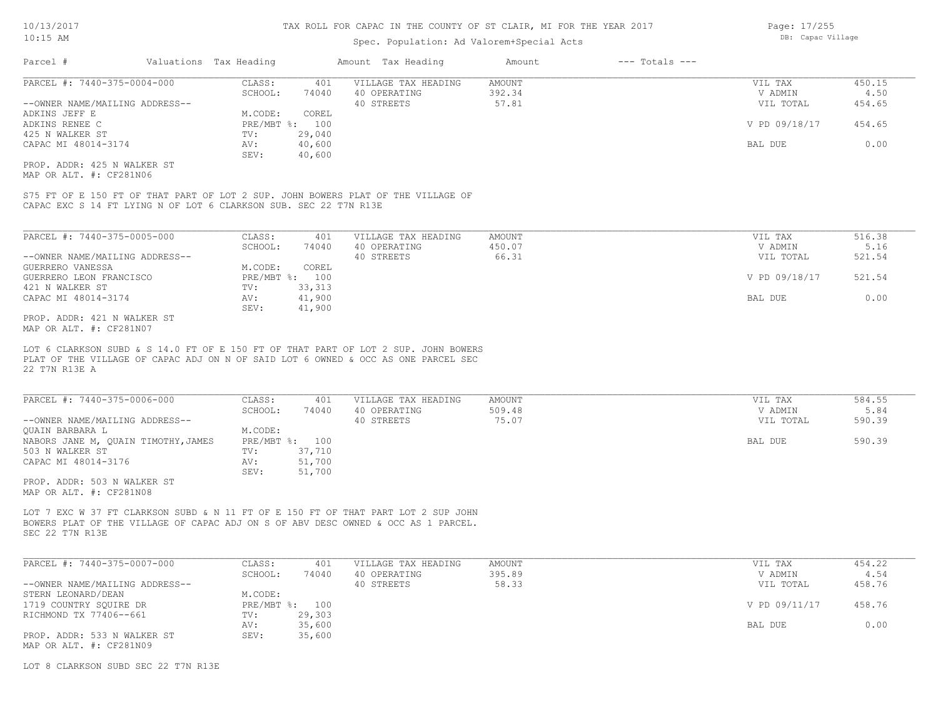### Spec. Population: Ad Valorem+Special Acts

| Parcel #                       | Valuations Tax Heading |        | Amount Tax Heading  | Amount | $---$ Totals $---$ |               |        |
|--------------------------------|------------------------|--------|---------------------|--------|--------------------|---------------|--------|
| PARCEL #: 7440-375-0004-000    | CLASS:                 | 401    | VILLAGE TAX HEADING | AMOUNT |                    | VIL TAX       | 450.15 |
|                                | SCHOOL:                | 74040  | 40 OPERATING        | 392.34 |                    | V ADMIN       | 4.50   |
| --OWNER NAME/MAILING ADDRESS-- |                        |        | 40 STREETS          | 57.81  |                    | VIL TOTAL     | 454.65 |
| ADKINS JEFF E                  | M.CODE:                | COREL  |                     |        |                    |               |        |
| ADKINS RENEE C                 | PRE/MBT %: 100         |        |                     |        |                    | V PD 09/18/17 | 454.65 |
| 425 N WALKER ST                | TV:                    | 29,040 |                     |        |                    |               |        |
| CAPAC MI 48014-3174            | AV:                    | 40,600 |                     |        |                    | BAL DUE       | 0.00   |
|                                | SEV:                   | 40,600 |                     |        |                    |               |        |
| PROP. ADDR: 425 N WALKER ST    |                        |        |                     |        |                    |               |        |

MAP OR ALT. #: CF281N06

CAPAC EXC S 14 FT LYING N OF LOT 6 CLARKSON SUB. SEC 22 T7N R13E S75 FT OF E 150 FT OF THAT PART OF LOT 2 SUP. JOHN BOWERS PLAT OF THE VILLAGE OF

| PARCEL #: 7440-375-0005-000    | CLASS:       | 401     | VILLAGE TAX HEADING | AMOUNT | VIL TAX       | 516.38 |
|--------------------------------|--------------|---------|---------------------|--------|---------------|--------|
|                                | SCHOOL:      | 74040   | 40 OPERATING        | 450.07 | V ADMIN       | 5.16   |
| --OWNER NAME/MAILING ADDRESS-- |              |         | 40 STREETS          | 66.31  | VIL TOTAL     | 521.54 |
| GUERRERO VANESSA               | M.CODE:      | COREL   |                     |        |               |        |
| GUERRERO LEON FRANCISCO        | $PRE/MBT$ %: | 100     |                     |        | V PD 09/18/17 | 521.54 |
| 421 N WALKER ST                | TV:          | 33, 313 |                     |        |               |        |
| CAPAC MI 48014-3174            | AV:          | 41,900  |                     |        | BAL DUE       | 0.00   |
|                                | SEV:         | 41,900  |                     |        |               |        |
| PROP. ADDR: 421 N WALKER ST    |              |         |                     |        |               |        |

MAP OR ALT. #: CF281N07

22 T7N R13E A PLAT OF THE VILLAGE OF CAPAC ADJ ON N OF SAID LOT 6 OWNED & OCC AS ONE PARCEL SEC LOT 6 CLARKSON SUBD & S 14.0 FT OF E 150 FT OF THAT PART OF LOT 2 SUP. JOHN BOWERS

| PARCEL #: 7440-375-0006-000         | CLASS:  | 401            | VILLAGE TAX HEADING | AMOUNT | VIL TAX   | 584.55 |
|-------------------------------------|---------|----------------|---------------------|--------|-----------|--------|
|                                     | SCHOOL: | 74040          | 40 OPERATING        | 509.48 | V ADMIN   | 5.84   |
| --OWNER NAME/MAILING ADDRESS--      |         |                | 40 STREETS          | 75.07  | VIL TOTAL | 590.39 |
| OUAIN BARBARA L                     | M.CODE: |                |                     |        |           |        |
| NABORS JANE M, QUAIN TIMOTHY, JAMES |         | PRE/MBT %: 100 |                     |        | BAL DUE   | 590.39 |
| 503 N WALKER ST                     | TV:     | 37,710         |                     |        |           |        |
| CAPAC MI 48014-3176                 | AV:     | 51,700         |                     |        |           |        |
|                                     | SEV:    | 51,700         |                     |        |           |        |
| PROP. ADDR: 503 N WALKER ST         |         |                |                     |        |           |        |
| MAP OR ALT. #: CF281N08             |         |                |                     |        |           |        |

SEC 22 T7N R13E BOWERS PLAT OF THE VILLAGE OF CAPAC ADJ ON S OF ABV DESC OWNED & OCC AS 1 PARCEL. LOT 7 EXC W 37 FT CLARKSON SUBD & N 11 FT OF E 150 FT OF THAT PART LOT 2 SUP JOHN

| PARCEL #: 7440-375-0007-000    | CLASS:  | 401            | VILLAGE TAX HEADING | AMOUNT | VIL TAX       | 454.22 |
|--------------------------------|---------|----------------|---------------------|--------|---------------|--------|
|                                | SCHOOL: | 74040          | 40 OPERATING        | 395.89 | V ADMIN       | 4.54   |
| --OWNER NAME/MAILING ADDRESS-- |         |                | 40 STREETS          | 58.33  | VIL TOTAL     | 458.76 |
| STERN LEONARD/DEAN             | M.CODE: |                |                     |        |               |        |
| 1719 COUNTRY SOUIRE DR         |         | PRE/MBT %: 100 |                     |        | V PD 09/11/17 | 458.76 |
| RICHMOND TX 77406--661         | TV:     | 29,303         |                     |        |               |        |
|                                | AV:     | 35,600         |                     |        | BAL DUE       | 0.00   |
| PROP. ADDR: 533 N WALKER ST    | SEV:    | 35,600         |                     |        |               |        |
| MAP OR ALT. #: CF281N09        |         |                |                     |        |               |        |

LOT 8 CLARKSON SUBD SEC 22 T7N R13E

Page: 17/255 DB: Capac Village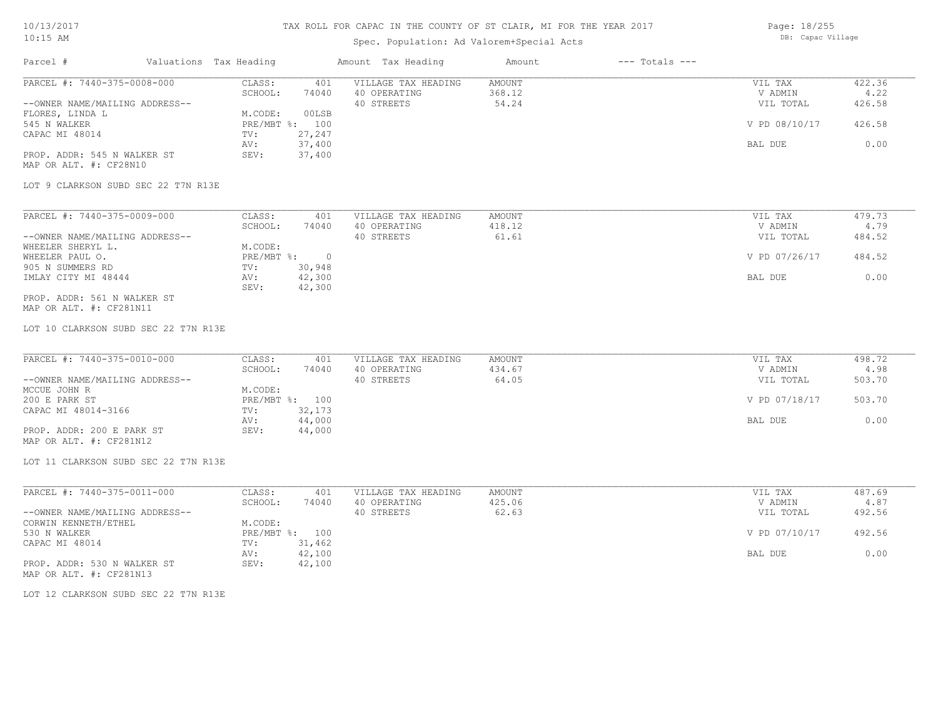## Spec. Population: Ad Valorem+Special Acts

Page: 18/255 DB: Capac Village

| Parcel #                                               | Valuations Tax Heading |                              | Amount Tax Heading  | Amount        | $---$ Totals $---$ |               |        |
|--------------------------------------------------------|------------------------|------------------------------|---------------------|---------------|--------------------|---------------|--------|
| PARCEL #: 7440-375-0008-000                            |                        | CLASS:<br>401                | VILLAGE TAX HEADING | <b>AMOUNT</b> |                    | VIL TAX       | 422.36 |
|                                                        |                        | SCHOOL:<br>74040             | 40 OPERATING        | 368.12        |                    | V ADMIN       | 4.22   |
| --OWNER NAME/MAILING ADDRESS--                         |                        | $00LSB$<br>M.CODE:           | 40 STREETS          | 54.24         |                    | VIL TOTAL     | 426.58 |
| FLORES, LINDA L<br>545 N WALKER                        |                        | PRE/MBT %: 100               |                     |               |                    | V PD 08/10/17 | 426.58 |
| CAPAC MI 48014                                         |                        | 27,247<br>TV:                |                     |               |                    |               |        |
|                                                        |                        | 37,400<br>AV:                |                     |               |                    | BAL DUE       | 0.00   |
| PROP. ADDR: 545 N WALKER ST<br>MAP OR ALT. #: CF28N10  |                        | SEV:<br>37,400               |                     |               |                    |               |        |
| LOT 9 CLARKSON SUBD SEC 22 T7N R13E                    |                        |                              |                     |               |                    |               |        |
|                                                        |                        |                              |                     |               |                    |               |        |
| PARCEL #: 7440-375-0009-000                            |                        | CLASS:<br>401                | VILLAGE TAX HEADING | AMOUNT        |                    | VIL TAX       | 479.73 |
| --OWNER NAME/MAILING ADDRESS--                         |                        | SCHOOL:<br>74040             | 40 OPERATING        | 418.12        |                    | V ADMIN       | 4.79   |
| WHEELER SHERYL L.                                      |                        | M.CODE:                      | 40 STREETS          | 61.61         |                    | VIL TOTAL     | 484.52 |
| WHEELER PAUL O.                                        |                        | PRE/MBT %:<br>$\overline{0}$ |                     |               |                    | V PD 07/26/17 | 484.52 |
| 905 N SUMMERS RD                                       |                        | 30,948<br>TV:                |                     |               |                    |               |        |
| IMLAY CITY MI 48444                                    |                        | 42,300<br>AV:                |                     |               |                    | BAL DUE       | 0.00   |
|                                                        |                        | 42,300<br>SEV:               |                     |               |                    |               |        |
| PROP. ADDR: 561 N WALKER ST                            |                        |                              |                     |               |                    |               |        |
| MAP OR ALT. #: CF281N11                                |                        |                              |                     |               |                    |               |        |
| LOT 10 CLARKSON SUBD SEC 22 T7N R13E                   |                        |                              |                     |               |                    |               |        |
|                                                        |                        |                              |                     |               |                    |               |        |
|                                                        |                        |                              |                     |               |                    |               |        |
| PARCEL #: 7440-375-0010-000                            |                        | CLASS:<br>401                | VILLAGE TAX HEADING | <b>AMOUNT</b> |                    | VIL TAX       | 498.72 |
|                                                        |                        | SCHOOL:<br>74040             | 40 OPERATING        | 434.67        |                    | V ADMIN       | 4.98   |
| --OWNER NAME/MAILING ADDRESS--<br>MCCUE JOHN R         |                        | M.CODE:                      | 40 STREETS          | 64.05         |                    | VIL TOTAL     | 503.70 |
| 200 E PARK ST                                          |                        | PRE/MBT %: 100               |                     |               |                    | V PD 07/18/17 | 503.70 |
| CAPAC MI 48014-3166                                    |                        | 32,173<br>TV:                |                     |               |                    |               |        |
|                                                        |                        | 44,000<br>AV:                |                     |               |                    | BAL DUE       | 0.00   |
| PROP. ADDR: 200 E PARK ST                              |                        | SEV:<br>44,000               |                     |               |                    |               |        |
| MAP OR ALT. #: CF281N12                                |                        |                              |                     |               |                    |               |        |
|                                                        |                        |                              |                     |               |                    |               |        |
| LOT 11 CLARKSON SUBD SEC 22 T7N R13E                   |                        |                              |                     |               |                    |               |        |
| PARCEL #: 7440-375-0011-000                            |                        | CLASS:<br>401                | VILLAGE TAX HEADING | AMOUNT        |                    | VIL TAX       | 487.69 |
|                                                        |                        | SCHOOL:<br>74040             | 40 OPERATING        | 425.06        |                    | V ADMIN       | 4.87   |
| --OWNER NAME/MAILING ADDRESS--                         |                        |                              | 40 STREETS          | 62.63         |                    | VIL TOTAL     | 492.56 |
| CORWIN KENNETH/ETHEL                                   |                        | M.CODE:                      |                     |               |                    |               |        |
| 530 N WALKER                                           |                        | PRE/MBT %: 100               |                     |               |                    | V PD 07/10/17 | 492.56 |
| CAPAC MI 48014                                         |                        | 31,462<br>TV:                |                     |               |                    |               |        |
|                                                        |                        | 42,100<br>AV:                |                     |               |                    | BAL DUE       | 0.00   |
| PROP. ADDR: 530 N WALKER ST<br>MAP OR ALT. #: CF281N13 |                        | SEV:<br>42,100               |                     |               |                    |               |        |
|                                                        |                        |                              |                     |               |                    |               |        |
| LOT 12 CLARKSON SUBD SEC 22 T7N R13E                   |                        |                              |                     |               |                    |               |        |
|                                                        |                        |                              |                     |               |                    |               |        |
|                                                        |                        |                              |                     |               |                    |               |        |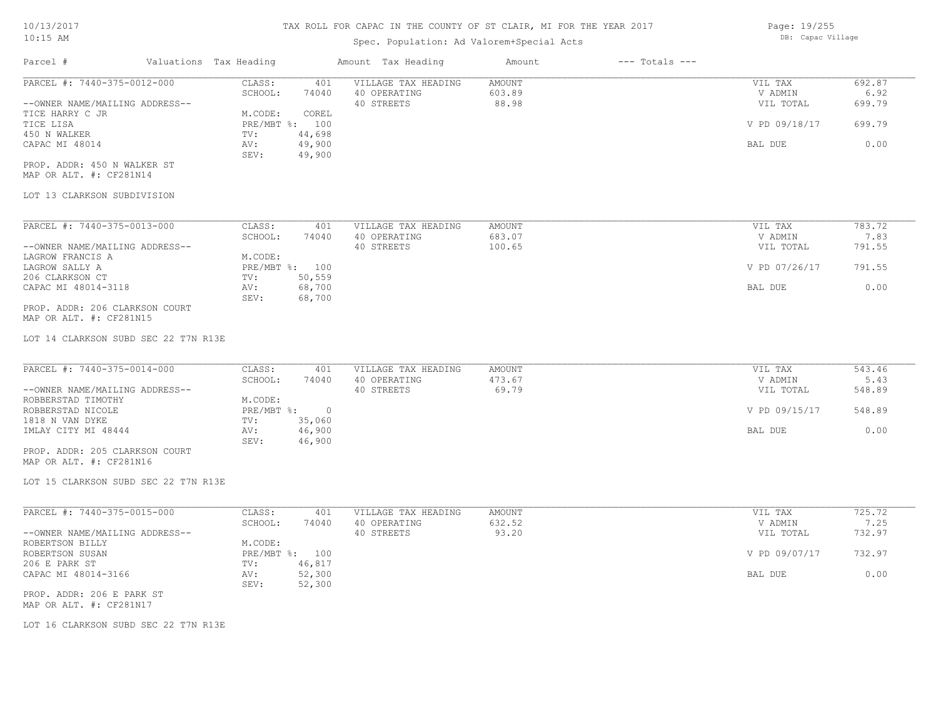### Spec. Population: Ad Valorem+Special Acts

Parcel # Valuations Tax Heading Amount Tax Heading Amount --- Totals ---MAP OR ALT. #: CF281N14 PROP. ADDR: 450 N WALKER ST SEV: 49,900 CAPAC MI 48014 AV: 49,900 BAL DUE 0.00 450 N WALKER TV: 44,698 TICE LISA PRE/MBT %: 100 V PD 09/18/17 699.79 TICE HARRY C JR M.CODE: COREL --OWNER NAME/MAILING ADDRESS-- 40 STREETS 88.98 VIL TOTAL 699.79 SCHOOL: 74040 40 OPERATING 603.89 V ADMIN 6.92 PARCEL #: 7440-375-0012-000 CLASS: 401 VILLAGE TAX HEADING AMOUNT VIL TAX VIL TAX 692.87<br>SCHOOL: 74040 40 OPERATING 603.89 603.89 VADMIN 6.92  $\mathcal{L}_\mathcal{L} = \mathcal{L}_\mathcal{L} = \mathcal{L}_\mathcal{L} = \mathcal{L}_\mathcal{L} = \mathcal{L}_\mathcal{L} = \mathcal{L}_\mathcal{L} = \mathcal{L}_\mathcal{L} = \mathcal{L}_\mathcal{L} = \mathcal{L}_\mathcal{L} = \mathcal{L}_\mathcal{L} = \mathcal{L}_\mathcal{L} = \mathcal{L}_\mathcal{L} = \mathcal{L}_\mathcal{L} = \mathcal{L}_\mathcal{L} = \mathcal{L}_\mathcal{L} = \mathcal{L}_\mathcal{L} = \mathcal{L}_\mathcal{L}$ 

#### LOT 13 CLARKSON SUBDIVISION

| PARCEL #: 7440-375-0013-000    | CLASS:     | 401    | VILLAGE TAX HEADING | AMOUNT | VIL TAX       | 783.72 |
|--------------------------------|------------|--------|---------------------|--------|---------------|--------|
|                                | SCHOOL:    | 74040  | 40 OPERATING        | 683.07 | V ADMIN       | 7.83   |
| --OWNER NAME/MAILING ADDRESS-- |            |        | 40 STREETS          | 100.65 | VIL TOTAL     | 791.55 |
| LAGROW FRANCIS A               | M.CODE:    |        |                     |        |               |        |
| LAGROW SALLY A                 | PRE/MBT %: | 100    |                     |        | V PD 07/26/17 | 791.55 |
| 206 CLARKSON CT                | TV:        | 50,559 |                     |        |               |        |
| CAPAC MI 48014-3118            | AV:        | 68,700 |                     |        | BAL DUE       | 0.00   |
|                                | SEV:       | 68,700 |                     |        |               |        |
| PROP. ADDR: 206 CLARKSON COURT |            |        |                     |        |               |        |

MAP OR ALT. #: CF281N15

LOT 14 CLARKSON SUBD SEC 22 T7N R13E

| PARCEL #: 7440-375-0014-000    | CLASS:     | 401    | VILLAGE TAX HEADING | AMOUNT | VIL TAX       | 543.46 |
|--------------------------------|------------|--------|---------------------|--------|---------------|--------|
|                                | SCHOOL:    | 74040  | 40 OPERATING        | 473.67 | V ADMIN       | 5.43   |
| --OWNER NAME/MAILING ADDRESS-- |            |        | 40 STREETS          | 69.79  | VIL TOTAL     | 548.89 |
| ROBBERSTAD TIMOTHY             | M.CODE:    |        |                     |        |               |        |
| ROBBERSTAD NICOLE              | PRE/MBT %: |        |                     |        | V PD 09/15/17 | 548.89 |
| 1818 N VAN DYKE                | TV:        | 35,060 |                     |        |               |        |
| IMLAY CITY MI 48444            | AV:        | 46,900 |                     |        | BAL DUE       | 0.00   |
|                                | SEV:       | 46,900 |                     |        |               |        |
| PROP. ADDR: 205 CLARKSON COURT |            |        |                     |        |               |        |

MAP OR ALT. #: CF281N16

LOT 15 CLARKSON SUBD SEC 22 T7N R13E

| PARCEL #: 7440-375-0015-000    | CLASS:       | 401    | VILLAGE TAX HEADING | AMOUNT | VIL TAX       | 725.72 |
|--------------------------------|--------------|--------|---------------------|--------|---------------|--------|
|                                | SCHOOL:      | 74040  | 40 OPERATING        | 632.52 | V ADMIN       | 7.25   |
| --OWNER NAME/MAILING ADDRESS-- |              |        | 40 STREETS          | 93.20  | VIL TOTAL     | 732.97 |
| ROBERTSON BILLY                | M.CODE:      |        |                     |        |               |        |
| ROBERTSON SUSAN                | $PRE/MBT$ %: | 100    |                     |        | V PD 09/07/17 | 732.97 |
| 206 E PARK ST                  | TV:          | 46,817 |                     |        |               |        |
| CAPAC MI 48014-3166            | AV:          | 52,300 |                     |        | BAL DUE       | 0.00   |
|                                | SEV:         | 52,300 |                     |        |               |        |
| PROP. ADDR: 206 E PARK ST      |              |        |                     |        |               |        |

 $\mathcal{L}_\mathcal{L} = \mathcal{L}_\mathcal{L} = \mathcal{L}_\mathcal{L} = \mathcal{L}_\mathcal{L} = \mathcal{L}_\mathcal{L} = \mathcal{L}_\mathcal{L} = \mathcal{L}_\mathcal{L} = \mathcal{L}_\mathcal{L} = \mathcal{L}_\mathcal{L} = \mathcal{L}_\mathcal{L} = \mathcal{L}_\mathcal{L} = \mathcal{L}_\mathcal{L} = \mathcal{L}_\mathcal{L} = \mathcal{L}_\mathcal{L} = \mathcal{L}_\mathcal{L} = \mathcal{L}_\mathcal{L} = \mathcal{L}_\mathcal{L}$ 

MAP OR ALT. #: CF281N17

LOT 16 CLARKSON SUBD SEC 22 T7N R13E

Page: 19/255 DB: Capac Village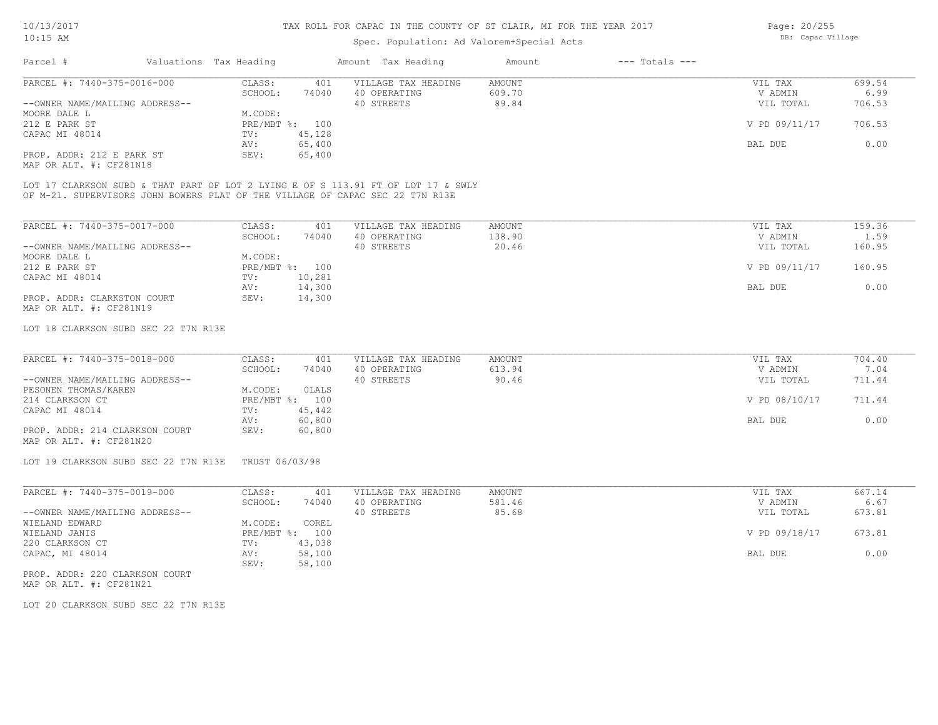### Spec. Population: Ad Valorem+Special Acts

| Parcel #                       | Valuations Tax Heading |                | Amount Tax Heading  | Amount | $---$ Totals $---$ |               |        |
|--------------------------------|------------------------|----------------|---------------------|--------|--------------------|---------------|--------|
| PARCEL #: 7440-375-0016-000    | CLASS:                 | 401            | VILLAGE TAX HEADING | AMOUNT |                    | VIL TAX       | 699.54 |
|                                | SCHOOL:                | 74040          | 40 OPERATING        | 609.70 |                    | V ADMIN       | 6.99   |
| --OWNER NAME/MAILING ADDRESS-- |                        |                | 40 STREETS          | 89.84  |                    | VIL TOTAL     | 706.53 |
| MOORE DALE L                   | M.CODE:                |                |                     |        |                    |               |        |
| 212 E PARK ST                  |                        | PRE/MBT %: 100 |                     |        |                    | V PD 09/11/17 | 706.53 |
| CAPAC MI 48014                 | TV:                    | 45,128         |                     |        |                    |               |        |
|                                | AV:                    | 65,400         |                     |        |                    | BAL DUE       | 0.00   |
| PROP. ADDR: 212 E PARK ST      | SEV:                   | 65,400         |                     |        |                    |               |        |
| MAP OR ALT. #: CF281N18        |                        |                |                     |        |                    |               |        |

OF M-21. SUPERVISORS JOHN BOWERS PLAT OF THE VILLAGE OF CAPAC SEC 22 T7N R13E LOT 17 CLARKSON SUBD & THAT PART OF LOT 2 LYING E OF S 113.91 FT OF LOT 17 & SWLY

| PARCEL #: 7440-375-0017-000    | CLASS:       | 401    | VILLAGE TAX HEADING | AMOUNT | VIL TAX       | 159.36 |
|--------------------------------|--------------|--------|---------------------|--------|---------------|--------|
|                                | SCHOOL:      | 74040  | 40 OPERATING        | 138.90 | V ADMIN       | 1.59   |
| --OWNER NAME/MAILING ADDRESS-- |              |        | 40 STREETS          | 20.46  | VIL TOTAL     | 160.95 |
| MOORE DALE L                   | M.CODE:      |        |                     |        |               |        |
| 212 E PARK ST                  | $PRE/MBT$ %: | 100    |                     |        | V PD 09/11/17 | 160.95 |
| CAPAC MI 48014                 | TV:          | 10,281 |                     |        |               |        |
|                                | AV:          | 14,300 |                     |        | BAL DUE       | 0.00   |
| PROP. ADDR: CLARKSTON COURT    | SEV:         | 14,300 |                     |        |               |        |
| MAP OR ALT. #: CF281N19        |              |        |                     |        |               |        |

#### LOT 18 CLARKSON SUBD SEC 22 T7N R13E

| PARCEL #: 7440-375-0018-000    | CLASS:  | 401            | VILLAGE TAX HEADING | AMOUNT | VIL TAX       | 704.40 |
|--------------------------------|---------|----------------|---------------------|--------|---------------|--------|
|                                | SCHOOL: | 74040          | 40 OPERATING        | 613.94 | V ADMIN       | 7.04   |
| --OWNER NAME/MAILING ADDRESS-- |         |                | 40 STREETS          | 90.46  | VIL TOTAL     | 711.44 |
| PESONEN THOMAS/KAREN           | M.CODE: | OLALS          |                     |        |               |        |
| 214 CLARKSON CT                |         | PRE/MBT %: 100 |                     |        | V PD 08/10/17 | 711.44 |
| CAPAC MI 48014                 | TV:     | 45,442         |                     |        |               |        |
|                                | AV:     | 60,800         |                     |        | BAL DUE       | 0.00   |
| PROP. ADDR: 214 CLARKSON COURT | SEV:    | 60,800         |                     |        |               |        |
| MAP OR ALT. #: CF281N20        |         |                |                     |        |               |        |

LOT 19 CLARKSON SUBD SEC 22 T7N R13E TRUST 06/03/98

| PARCEL #: 7440-375-0019-000    | CLASS:       | 401    | VILLAGE TAX HEADING | AMOUNT | VIL TAX       | 667.14 |
|--------------------------------|--------------|--------|---------------------|--------|---------------|--------|
|                                | SCHOOL:      | 74040  | 40 OPERATING        | 581.46 | V ADMIN       | 6.67   |
| --OWNER NAME/MAILING ADDRESS-- |              |        | 40 STREETS          | 85.68  | VIL TOTAL     | 673.81 |
| WIELAND EDWARD                 | M.CODE:      | COREL  |                     |        |               |        |
| WIELAND JANIS                  | $PRE/MBT$ %: | 100    |                     |        | V PD 09/18/17 | 673.81 |
| 220 CLARKSON CT                | TV:          | 43,038 |                     |        |               |        |
| CAPAC, MI 48014                | AV:          | 58,100 |                     |        | BAL DUE       | 0.00   |
|                                | SEV:         | 58,100 |                     |        |               |        |
|                                |              |        |                     |        |               |        |

MAP OR ALT. #: CF281N21 PROP. ADDR: 220 CLARKSON COURT

LOT 20 CLARKSON SUBD SEC 22 T7N R13E

Page: 20/255 DB: Capac Village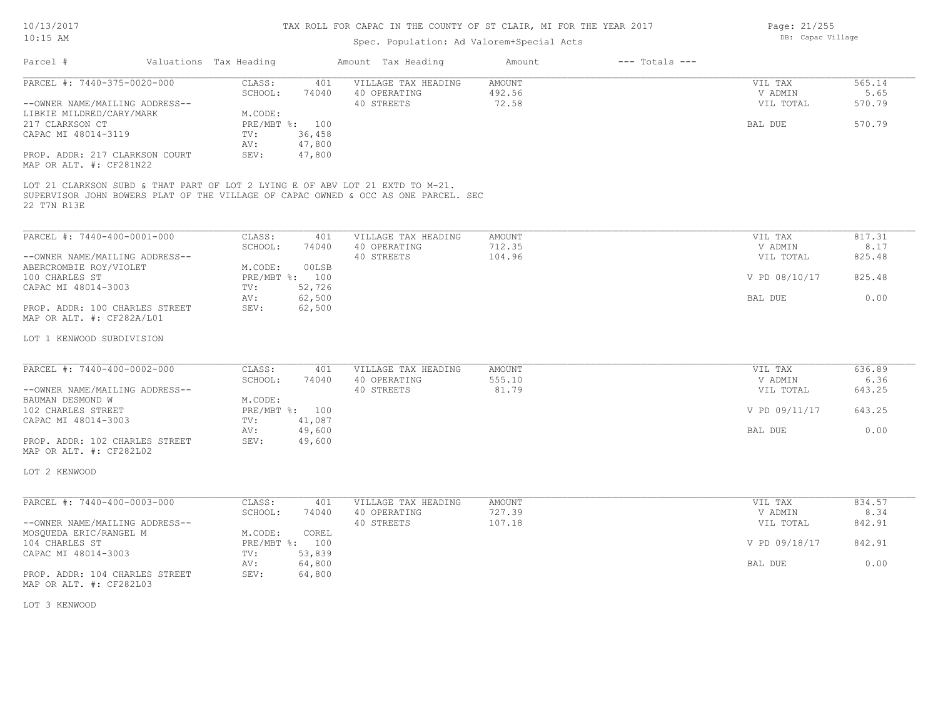## Spec. Population: Ad Valorem+Special Acts

| Page: 21/255 |                   |
|--------------|-------------------|
|              | DB: Capac Village |

| Parcel #                                                                                                                                                                                                                                                                          | Valuations Tax Heading                             |                                                              | Amount Tax Heading                                                                 | Amount                    | $---$ Totals $---$ |                                            |                                    |
|-----------------------------------------------------------------------------------------------------------------------------------------------------------------------------------------------------------------------------------------------------------------------------------|----------------------------------------------------|--------------------------------------------------------------|------------------------------------------------------------------------------------|---------------------------|--------------------|--------------------------------------------|------------------------------------|
| PARCEL #: 7440-375-0020-000<br>--OWNER NAME/MAILING ADDRESS--<br>LIBKIE MILDRED/CARY/MARK<br>217 CLARKSON CT<br>CAPAC MI 48014-3119<br>PROP. ADDR: 217 CLARKSON COURT<br>MAP OR ALT. #: CF281N22<br>LOT 21 CLARKSON SUBD & THAT PART OF LOT 2 LYING E OF ABV LOT 21 EXTD TO M-21. | CLASS:<br>SCHOOL:<br>M.CODE:<br>TV:<br>AV:<br>SEV: | 401<br>74040<br>PRE/MBT %: 100<br>36,458<br>47,800<br>47,800 | VILLAGE TAX HEADING<br>40 OPERATING<br>40 STREETS                                  | AMOUNT<br>492.56<br>72.58 |                    | VIL TAX<br>V ADMIN<br>VIL TOTAL<br>BAL DUE | 565.14<br>5.65<br>570.79<br>570.79 |
| 22 T7N R13E                                                                                                                                                                                                                                                                       |                                                    |                                                              | SUPERVISOR JOHN BOWERS PLAT OF THE VILLAGE OF CAPAC OWNED & OCC AS ONE PARCEL. SEC |                           |                    |                                            |                                    |
| PARCEL #: 7440-400-0001-000                                                                                                                                                                                                                                                       | CLASS:                                             | 401                                                          | VILLAGE TAX HEADING                                                                | AMOUNT                    |                    | VIL TAX                                    | 817.31                             |
|                                                                                                                                                                                                                                                                                   | SCHOOL:                                            | 74040                                                        | 40 OPERATING                                                                       | 712.35                    |                    | V ADMIN                                    | 8.17                               |
| --OWNER NAME/MAILING ADDRESS--<br>ABERCROMBIE ROY/VIOLET                                                                                                                                                                                                                          | M.CODE:                                            | 00LSB                                                        | 40 STREETS                                                                         | 104.96                    |                    | VIL TOTAL                                  | 825.48                             |
| 100 CHARLES ST                                                                                                                                                                                                                                                                    |                                                    | PRE/MBT %: 100                                               |                                                                                    |                           |                    | V PD 08/10/17                              | 825.48                             |
| CAPAC MI 48014-3003                                                                                                                                                                                                                                                               | TV:                                                | 52,726                                                       |                                                                                    |                           |                    |                                            |                                    |
|                                                                                                                                                                                                                                                                                   | AV:                                                | 62,500                                                       |                                                                                    |                           |                    | BAL DUE                                    | 0.00                               |
| PROP. ADDR: 100 CHARLES STREET<br>MAP OR ALT. #: CF282A/L01                                                                                                                                                                                                                       | SEV:                                               | 62,500                                                       |                                                                                    |                           |                    |                                            |                                    |
| LOT 1 KENWOOD SUBDIVISION                                                                                                                                                                                                                                                         |                                                    |                                                              |                                                                                    |                           |                    |                                            |                                    |
| PARCEL #: 7440-400-0002-000                                                                                                                                                                                                                                                       | CLASS:                                             | 401                                                          | VILLAGE TAX HEADING                                                                | AMOUNT                    |                    | VIL TAX                                    | 636.89                             |
|                                                                                                                                                                                                                                                                                   | SCHOOL:                                            | 74040                                                        | 40 OPERATING                                                                       | 555.10                    |                    | V ADMIN                                    | 6.36                               |
| --OWNER NAME/MAILING ADDRESS--                                                                                                                                                                                                                                                    |                                                    |                                                              | 40 STREETS                                                                         | 81.79                     |                    | VIL TOTAL                                  | 643.25                             |
| BAUMAN DESMOND W<br>102 CHARLES STREET                                                                                                                                                                                                                                            | M.CODE:                                            | PRE/MBT %: 100                                               |                                                                                    |                           |                    | V PD 09/11/17                              | 643.25                             |
| CAPAC MI 48014-3003                                                                                                                                                                                                                                                               | TV:                                                | 41,087                                                       |                                                                                    |                           |                    |                                            |                                    |
|                                                                                                                                                                                                                                                                                   | AV:                                                | 49,600                                                       |                                                                                    |                           |                    | BAL DUE                                    | 0.00                               |
| PROP. ADDR: 102 CHARLES STREET<br>MAP OR ALT. #: CF282L02                                                                                                                                                                                                                         | SEV:                                               | 49,600                                                       |                                                                                    |                           |                    |                                            |                                    |
| LOT 2 KENWOOD                                                                                                                                                                                                                                                                     |                                                    |                                                              |                                                                                    |                           |                    |                                            |                                    |
| PARCEL #: 7440-400-0003-000                                                                                                                                                                                                                                                       | CLASS:                                             | 401                                                          | VILLAGE TAX HEADING                                                                | AMOUNT                    |                    | VIL TAX                                    | 834.57                             |
|                                                                                                                                                                                                                                                                                   | SCHOOL:                                            | 74040                                                        | 40 OPERATING                                                                       | 727.39                    |                    | V ADMIN                                    | 8.34                               |
| --OWNER NAME/MAILING ADDRESS--                                                                                                                                                                                                                                                    |                                                    |                                                              | 40 STREETS                                                                         | 107.18                    |                    | VIL TOTAL                                  | 842.91                             |
| MOSQUEDA ERIC/RANGEL M                                                                                                                                                                                                                                                            | M.CODE:                                            | COREL                                                        |                                                                                    |                           |                    |                                            |                                    |
| 104 CHARLES ST<br>CAPAC MI 48014-3003                                                                                                                                                                                                                                             | TV:                                                | PRE/MBT %: 100<br>53,839                                     |                                                                                    |                           |                    | V PD 09/18/17                              | 842.91                             |
|                                                                                                                                                                                                                                                                                   | AV:                                                | 64,800                                                       |                                                                                    |                           |                    | BAL DUE                                    | 0.00                               |
| PROP. ADDR: 104 CHARLES STREET<br>MAP OR ALT. #: CF282L03                                                                                                                                                                                                                         | SEV:                                               | 64,800                                                       |                                                                                    |                           |                    |                                            |                                    |

LOT 3 KENWOOD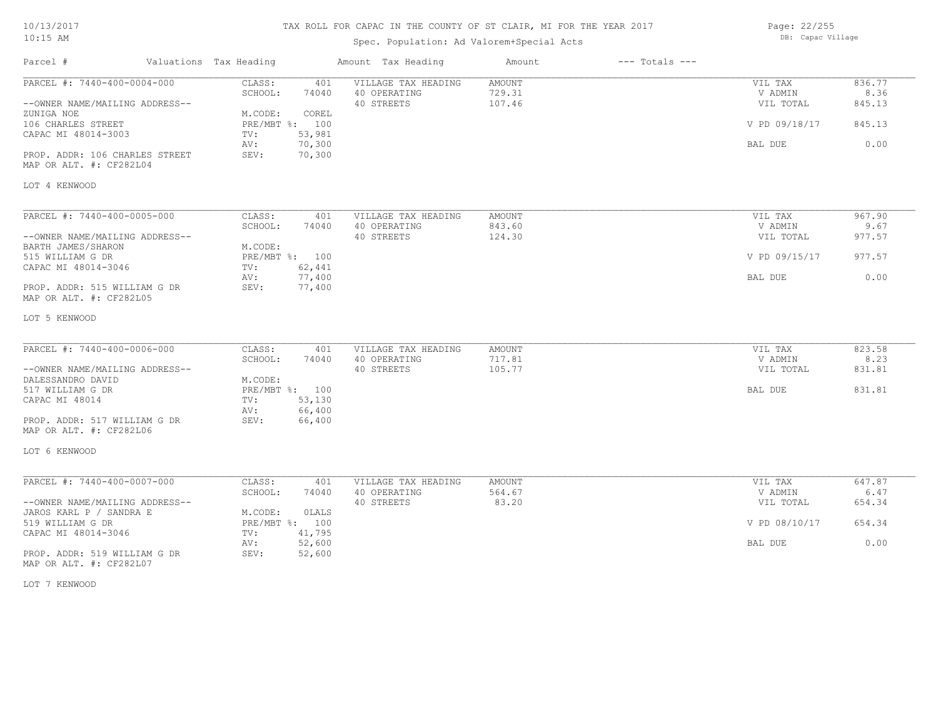## TAX ROLL FOR CAPAC IN THE COUNTY OF ST CLAIR, MI FOR THE YEAR 2017

## Spec. Population: Ad Valorem+Special Acts

Page: 22/255 DB: Capac Village

| Parcel #                                                | Valuations Tax Heading |                |                  | Amount Tax Heading  | Amount        | $---$ Totals $---$ |               |        |
|---------------------------------------------------------|------------------------|----------------|------------------|---------------------|---------------|--------------------|---------------|--------|
| PARCEL #: 7440-400-0004-000                             |                        | CLASS:         | 401              | VILLAGE TAX HEADING | AMOUNT        |                    | VIL TAX       | 836.77 |
|                                                         |                        | SCHOOL:        | 74040            | 40 OPERATING        | 729.31        |                    | V ADMIN       | 8.36   |
| --OWNER NAME/MAILING ADDRESS--                          |                        |                |                  | 40 STREETS          | 107.46        |                    | VIL TOTAL     | 845.13 |
| ZUNIGA NOE                                              |                        | M.CODE:        | COREL            |                     |               |                    |               |        |
| 106 CHARLES STREET                                      |                        | PRE/MBT %: 100 |                  |                     |               |                    | V PD 09/18/17 | 845.13 |
| CAPAC MI 48014-3003                                     |                        | TV:            | 53,981<br>70,300 |                     |               |                    | BAL DUE       | 0.00   |
| PROP. ADDR: 106 CHARLES STREET                          |                        | AV:<br>SEV:    | 70,300           |                     |               |                    |               |        |
| MAP OR ALT. #: CF282L04                                 |                        |                |                  |                     |               |                    |               |        |
|                                                         |                        |                |                  |                     |               |                    |               |        |
| LOT 4 KENWOOD                                           |                        |                |                  |                     |               |                    |               |        |
|                                                         |                        |                |                  |                     |               |                    |               |        |
| PARCEL #: 7440-400-0005-000                             |                        | CLASS:         | 401              | VILLAGE TAX HEADING | <b>AMOUNT</b> |                    | VIL TAX       | 967.90 |
|                                                         |                        | SCHOOL:        | 74040            | 40 OPERATING        | 843.60        |                    | V ADMIN       | 9.67   |
| --OWNER NAME/MAILING ADDRESS--                          |                        |                |                  | 40 STREETS          | 124.30        |                    | VIL TOTAL     | 977.57 |
| BARTH JAMES/SHARON                                      |                        | M.CODE:        |                  |                     |               |                    |               |        |
| 515 WILLIAM G DR                                        |                        | PRE/MBT %: 100 |                  |                     |               |                    | V PD 09/15/17 | 977.57 |
| CAPAC MI 48014-3046                                     |                        | TV:            | 62,441           |                     |               |                    |               |        |
|                                                         |                        | AV:            | 77,400           |                     |               |                    | BAL DUE       | 0.00   |
| PROP. ADDR: 515 WILLIAM G DR                            |                        | SEV:           | 77,400           |                     |               |                    |               |        |
| MAP OR ALT. #: CF282L05                                 |                        |                |                  |                     |               |                    |               |        |
| LOT 5 KENWOOD                                           |                        |                |                  |                     |               |                    |               |        |
|                                                         |                        |                |                  |                     |               |                    |               |        |
| PARCEL #: 7440-400-0006-000                             |                        | CLASS:         | 401              | VILLAGE TAX HEADING | AMOUNT        |                    | VIL TAX       | 823.58 |
|                                                         |                        | SCHOOL:        | 74040            | 40 OPERATING        | 717.81        |                    | V ADMIN       | 8.23   |
| --OWNER NAME/MAILING ADDRESS--                          |                        |                |                  | 40 STREETS          | 105.77        |                    | VIL TOTAL     | 831.81 |
| DALESSANDRO DAVID                                       |                        | M.CODE:        |                  |                     |               |                    |               |        |
| 517 WILLIAM G DR                                        |                        | PRE/MBT %: 100 |                  |                     |               |                    | BAL DUE       | 831.81 |
| CAPAC MI 48014                                          |                        | TV:            | 53,130           |                     |               |                    |               |        |
|                                                         |                        | AV:            | 66,400           |                     |               |                    |               |        |
| PROP. ADDR: 517 WILLIAM G DR                            |                        | SEV:           | 66,400           |                     |               |                    |               |        |
| MAP OR ALT. #: CF282L06                                 |                        |                |                  |                     |               |                    |               |        |
| LOT 6 KENWOOD                                           |                        |                |                  |                     |               |                    |               |        |
|                                                         |                        |                |                  |                     |               |                    |               |        |
| PARCEL #: 7440-400-0007-000                             |                        | CLASS:         | 401              | VILLAGE TAX HEADING | <b>AMOUNT</b> |                    | VIL TAX       | 647.87 |
|                                                         |                        | SCHOOL:        | 74040            | 40 OPERATING        | 564.67        |                    | V ADMIN       | 6.47   |
| --OWNER NAME/MAILING ADDRESS--                          |                        |                |                  | 40 STREETS          | 83.20         |                    | VIL TOTAL     | 654.34 |
| JAROS KARL P / SANDRA E                                 |                        | M.CODE:        | <b>OLALS</b>     |                     |               |                    |               |        |
| 519 WILLIAM G DR                                        |                        | PRE/MBT %: 100 |                  |                     |               |                    | V PD 08/10/17 | 654.34 |
| CAPAC MI 48014-3046                                     |                        | TV:            | 41,795           |                     |               |                    |               |        |
|                                                         |                        | AV:<br>SEV:    | 52,600           |                     |               |                    | BAL DUE       | 0.00   |
| PROP. ADDR: 519 WILLIAM G DR<br>MAP OR ALT. #: CF282L07 |                        |                | 52,600           |                     |               |                    |               |        |
|                                                         |                        |                |                  |                     |               |                    |               |        |

LOT 7 KENWOOD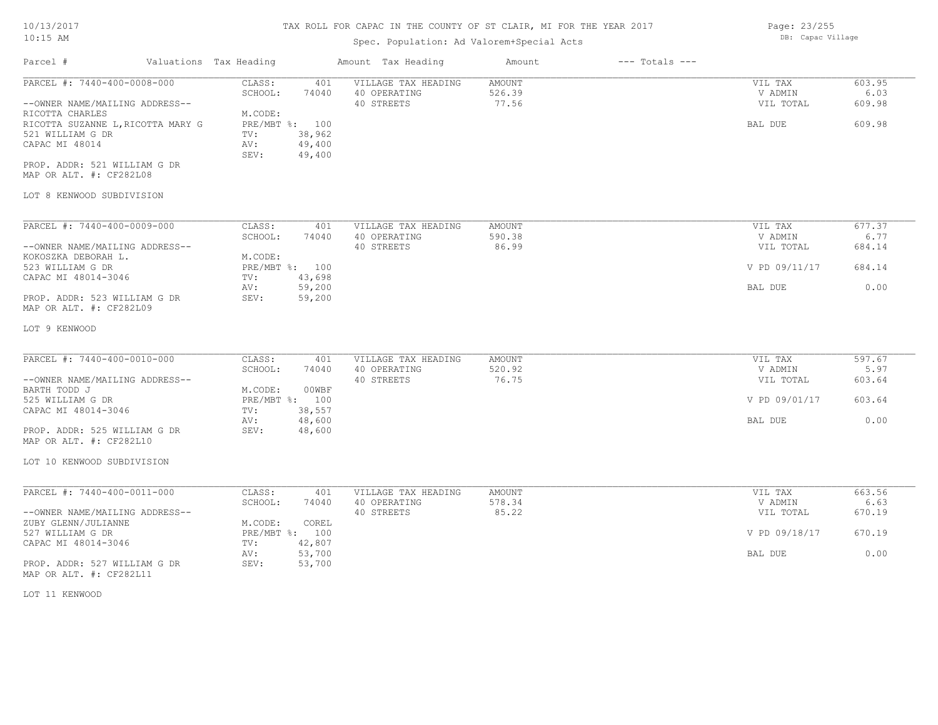# TAX ROLL FOR CAPAC IN THE COUNTY OF ST CLAIR, MI FOR THE YEAR 2017

Page: 23/255 DB: Capac Village

# Spec. Population: Ad Valorem+Special Acts

| Parcel #                                                                                                                                  | Valuations Tax Heading |                                                                                 | Amount Tax Heading                                | Amount                    | $---$ Totals $---$   |                                            |                                    |
|-------------------------------------------------------------------------------------------------------------------------------------------|------------------------|---------------------------------------------------------------------------------|---------------------------------------------------|---------------------------|----------------------|--------------------------------------------|------------------------------------|
| PARCEL #: 7440-400-0008-000<br>--OWNER NAME/MAILING ADDRESS--<br>RICOTTA CHARLES<br>RICOTTA SUZANNE L, RICOTTA MARY G<br>521 WILLIAM G DR |                        | CLASS:<br>401<br>SCHOOL:<br>74040<br>M.CODE:<br>PRE/MBT %: 100<br>38,962<br>TV: | VILLAGE TAX HEADING<br>40 OPERATING<br>40 STREETS | AMOUNT<br>526.39<br>77.56 |                      | VIL TAX<br>V ADMIN<br>VIL TOTAL<br>BAL DUE | 603.95<br>6.03<br>609.98<br>609.98 |
| CAPAC MI 48014<br>PROP. ADDR: 521 WILLIAM G DR<br>MAP OR ALT. #: CF282L08<br>LOT 8 KENWOOD SUBDIVISION                                    |                        | 49,400<br>AV:<br>49,400<br>SEV:                                                 |                                                   |                           |                      |                                            |                                    |
|                                                                                                                                           |                        |                                                                                 |                                                   | AMOUNT                    |                      |                                            |                                    |
| PARCEL #: 7440-400-0009-000<br>--OWNER NAME/MAILING ADDRESS--                                                                             |                        | CLASS:<br>401<br>SCHOOL:<br>74040                                               | VILLAGE TAX HEADING<br>40 OPERATING<br>40 STREETS | 590.38<br>86.99           |                      | VIL TAX<br>V ADMIN<br>VIL TOTAL            | 677.37<br>6.77<br>684.14           |
| KOKOSZKA DEBORAH L.<br>523 WILLIAM G DR                                                                                                   |                        | M.CODE:<br>PRE/MBT %: 100                                                       |                                                   |                           |                      | V PD 09/11/17                              | 684.14                             |
| CAPAC MI 48014-3046                                                                                                                       |                        | 43,698<br>TV:<br>59,200<br>AV:                                                  |                                                   |                           |                      | BAL DUE                                    | 0.00                               |
| PROP. ADDR: 523 WILLIAM G DR<br>MAP OR ALT. #: CF282L09                                                                                   |                        | 59,200<br>SEV:                                                                  |                                                   |                           |                      |                                            |                                    |
| LOT 9 KENWOOD                                                                                                                             |                        |                                                                                 |                                                   |                           |                      |                                            |                                    |
| PARCEL #: 7440-400-0010-000                                                                                                               |                        | CLASS:<br>401                                                                   | VILLAGE TAX HEADING                               | AMOUNT<br>520.92<br>76.75 |                      | VIL TAX                                    | 597.67                             |
| --OWNER NAME/MAILING ADDRESS--<br>BARTH TODD J                                                                                            |                        | SCHOOL:<br>74040<br>M.CODE:<br>00WBF                                            | 40 OPERATING<br>40 STREETS                        |                           |                      | V ADMIN<br>VIL TOTAL                       | 5.97<br>603.64                     |
| 525 WILLIAM G DR<br>CAPAC MI 48014-3046                                                                                                   |                        | PRE/MBT %: 100<br>38,557<br>TV:                                                 |                                                   |                           |                      | V PD 09/01/17                              | 603.64                             |
| PROP. ADDR: 525 WILLIAM G DR<br>MAP OR ALT. #: CF282L10                                                                                   |                        | 48,600<br>AV:<br>48,600<br>SEV:                                                 |                                                   |                           |                      | BAL DUE                                    | 0.00                               |
| LOT 10 KENWOOD SUBDIVISION                                                                                                                |                        |                                                                                 |                                                   |                           |                      |                                            |                                    |
| PARCEL #: 7440-400-0011-000                                                                                                               |                        | CLASS:<br>401                                                                   | VILLAGE TAX HEADING                               | AMOUNT                    |                      | VIL TAX                                    | 663.56                             |
| --OWNER NAME/MAILING ADDRESS--                                                                                                            |                        | SCHOOL:<br>74040                                                                | 40 OPERATING<br>40 STREETS                        | 578.34<br>85.22           | V ADMIN<br>VIL TOTAL | 6.63<br>670.19                             |                                    |
| ZUBY GLENN/JULIANNE<br>527 WILLIAM G DR<br>CAPAC MI 48014-3046                                                                            |                        | M.CODE:<br>COREL<br>PRE/MBT %: 100<br>42,807<br>TV:                             |                                                   |                           |                      | V PD 09/18/17                              | 670.19                             |
| PROP. ADDR: 527 WILLIAM G DR                                                                                                              |                        | 53,700<br>AV:<br>SEV:<br>53,700                                                 |                                                   |                           |                      | BAL DUE                                    | 0.00                               |
| MAP OR ALT. #: CF282L11                                                                                                                   |                        |                                                                                 |                                                   |                           |                      |                                            |                                    |
| LOT 11 KENWOOD                                                                                                                            |                        |                                                                                 |                                                   |                           |                      |                                            |                                    |
|                                                                                                                                           |                        |                                                                                 |                                                   |                           |                      |                                            |                                    |
|                                                                                                                                           |                        |                                                                                 |                                                   |                           |                      |                                            |                                    |
|                                                                                                                                           |                        |                                                                                 |                                                   |                           |                      |                                            |                                    |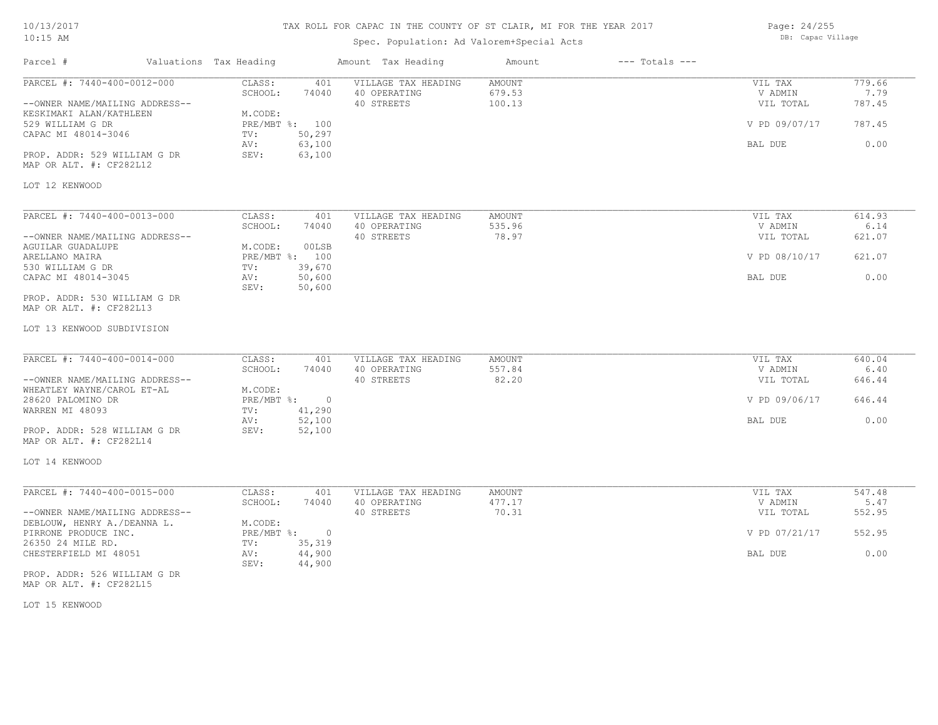LOT 12 KENWOOD

Parcel # Valuations Tax Heading Amount Tax Heading Amount --- Totals ---TAX ROLL FOR CAPAC IN THE COUNTY OF ST CLAIR, MI FOR THE YEAR 2017 Spec. Population: Ad Valorem+Special Acts Page: 24/255 DB: Capac Village MAP OR ALT. #: CF282L12 PROP. ADDR: 529 WILLIAM G DR SEV: 63,100 AV: 63,100 BAL DUE 0.00 CAPAC MI 48014-3046 TV: 50,297<br>AV: 63,100 529 WILLIAM G DR PRE/MBT %: 100 V PD 09/07/17 787.45 KESKIMAKI ALAN/KATHLEEN M.CODE:<br>529 WILLIAM G DR --OWNER NAME/MAILING ADDRESS-- 40 STREETS 100.13 VIL TOTAL 787.45 SCHOOL: 74040 40 OPERATING 679.53 679.53 V ADMIN 7.79 PARCEL #: 7440-400-0012-000 CLASS: 401 VILLAGE TAX HEADING AMOUNT AUGUST AND VIL TAX 779.66<br>SCHOOL: 74040 40 OPERATING 679.53 VADMIN 7.79  $\mathcal{L}_\mathcal{L} = \mathcal{L}_\mathcal{L} = \mathcal{L}_\mathcal{L} = \mathcal{L}_\mathcal{L} = \mathcal{L}_\mathcal{L} = \mathcal{L}_\mathcal{L} = \mathcal{L}_\mathcal{L} = \mathcal{L}_\mathcal{L} = \mathcal{L}_\mathcal{L} = \mathcal{L}_\mathcal{L} = \mathcal{L}_\mathcal{L} = \mathcal{L}_\mathcal{L} = \mathcal{L}_\mathcal{L} = \mathcal{L}_\mathcal{L} = \mathcal{L}_\mathcal{L} = \mathcal{L}_\mathcal{L} = \mathcal{L}_\mathcal{L}$ LOT 13 KENWOOD SUBDIVISION MAP OR ALT. #: CF282L13 PROP. ADDR: 530 WILLIAM G DR SEV: 50,600 CAPAC MI 48014-3045 AV: 50,600 BAL DUE 0.00 530 WILLIAM G DR TV: 39,670 ARELLANO MAIRA PRE/MBT %: 100 V PD 08/10/17 621.07 AGUILAR GUADALUPE M.CODE: 00LSB<br>ARELLANO MAIRA MERE MERE PRE/MBT %: 100 --OWNER NAME/MAILING ADDRESS-- 40 STREETS 78.97 VIL TOTAL 621.07 SCHOOL: 74040 40 OPERATING 535.96 535.96 V ADMIN 6.14 PARCEL #: 7440-400-0013-000 CLASS: 401 VILLAGE TAX HEADING AMOUNT VIL TAX VIL TAX 614.93<br>SCHOOL: 74040 40 OPERATING 535.96 VADMIN 6.14  $\mathcal{L}_\mathcal{L} = \mathcal{L}_\mathcal{L} = \mathcal{L}_\mathcal{L} = \mathcal{L}_\mathcal{L} = \mathcal{L}_\mathcal{L} = \mathcal{L}_\mathcal{L} = \mathcal{L}_\mathcal{L} = \mathcal{L}_\mathcal{L} = \mathcal{L}_\mathcal{L} = \mathcal{L}_\mathcal{L} = \mathcal{L}_\mathcal{L} = \mathcal{L}_\mathcal{L} = \mathcal{L}_\mathcal{L} = \mathcal{L}_\mathcal{L} = \mathcal{L}_\mathcal{L} = \mathcal{L}_\mathcal{L} = \mathcal{L}_\mathcal{L}$ MAP OR ALT. #: CF282L14 PROP. ADDR: 528 WILLIAM G DR SEV: 52,100 AV: 52,100 BAL DUE 0.00 WARREN MI 48093 TV: 41,290<br>AV: 52,100 28620 PALOMINO DR PRE/MBT %: 0 V PD 09/06/17 646.44 WHEATLEY WAYNE/CAROL ET-AL  $M. \text{CODE:}$ <br>28620 PALOMINO DR PRE/MBT %: --OWNER NAME/MAILING ADDRESS-- 40 STREETS 82.20 VIL TOTAL 646.44 SCHOOL: 74040 40 OPERATING 557.84 SERIES SOLUTION SOLUTION 5.40 PARCEL #: 7440-400-0014-000 CLASS: 401 VILLAGE TAX HEADING AMOUNT VIL TAX VIL TAX 640.04<br>SCHOOL: 74040 40 OPERATING 557.84 VADMIN 6.40  $\mathcal{L}_\mathcal{L} = \mathcal{L}_\mathcal{L} = \mathcal{L}_\mathcal{L} = \mathcal{L}_\mathcal{L} = \mathcal{L}_\mathcal{L} = \mathcal{L}_\mathcal{L} = \mathcal{L}_\mathcal{L} = \mathcal{L}_\mathcal{L} = \mathcal{L}_\mathcal{L} = \mathcal{L}_\mathcal{L} = \mathcal{L}_\mathcal{L} = \mathcal{L}_\mathcal{L} = \mathcal{L}_\mathcal{L} = \mathcal{L}_\mathcal{L} = \mathcal{L}_\mathcal{L} = \mathcal{L}_\mathcal{L} = \mathcal{L}_\mathcal{L}$ MAP OR ALT. #: CF282L15 PROP. ADDR: 526 WILLIAM G DR SEV: 44,900 CHESTERFIELD MI 48051 AV: 44,900 BAL DUE 0.00 26350 24 MILE RD. TV: 35,319<br>CHESTERFIELD MI 48051 2V: 44.900 PIRRONE PRODUCE INC. THE PRESSURE TO PRESSURE SECTION OF PRESSURE TO PRESSURE TO PRESSURE TO PRESSURE TO PRESSURE TO PRESSURE TO PRESSURE TO PRESSURE TO PRESSURE TO PRESSURE TO PRESSURE TO PRESSURE TO PRESSURE TO PRESSURE DEBLOUW, HENRY A./DEANNA L. M.CODE: --OWNER NAME/MAILING ADDRESS-- 40 STREETS 70.31 VIL TOTAL 552.95 SCHOOL: 74040 40 OPERATING 477.17 477.17 V ADMIN 5.47 PARCEL #: 7440-400-0015-000 CLASS: 401 VILLAGE TAX HEADING AMOUNT AMOUNT VIL TAX 547.48<br>SCHOOL: 74040 40 OPERATING 477.17 9 VADMIN 5.47  $\mathcal{L}_\mathcal{L} = \mathcal{L}_\mathcal{L} = \mathcal{L}_\mathcal{L} = \mathcal{L}_\mathcal{L} = \mathcal{L}_\mathcal{L} = \mathcal{L}_\mathcal{L} = \mathcal{L}_\mathcal{L} = \mathcal{L}_\mathcal{L} = \mathcal{L}_\mathcal{L} = \mathcal{L}_\mathcal{L} = \mathcal{L}_\mathcal{L} = \mathcal{L}_\mathcal{L} = \mathcal{L}_\mathcal{L} = \mathcal{L}_\mathcal{L} = \mathcal{L}_\mathcal{L} = \mathcal{L}_\mathcal{L} = \mathcal{L}_\mathcal{L}$ 

LOT 15 KENWOOD

LOT 14 KENWOOD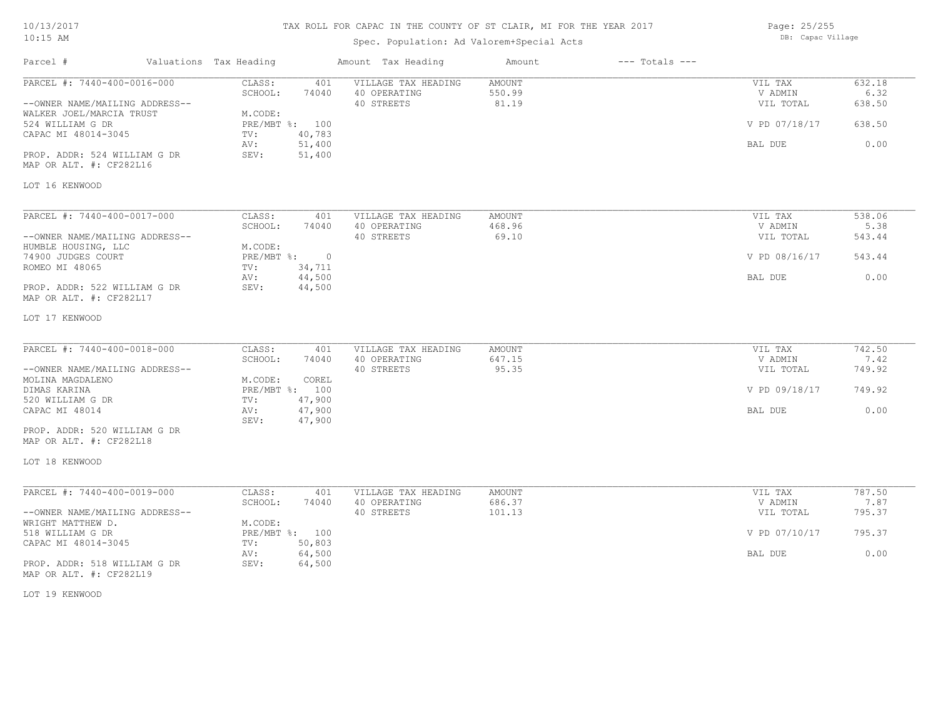## TAX ROLL FOR CAPAC IN THE COUNTY OF ST CLAIR, MI FOR THE YEAR 2017

## Spec. Population: Ad Valorem+Special Acts

Parcel # Valuations Tax Heading Amount Tax Heading Amount --- Totals ---

Page: 25/255 DB: Capac Village

| PARCEL #: 7440-400-0016-000                             | CLASS:<br>401<br>SCHOOL:<br>74040           | VILLAGE TAX HEADING<br>40 OPERATING | <b>AMOUNT</b><br>550.99 | VIL TAX<br>V ADMIN | 632.18<br>6.32 |
|---------------------------------------------------------|---------------------------------------------|-------------------------------------|-------------------------|--------------------|----------------|
| --OWNER NAME/MAILING ADDRESS--                          |                                             | 40 STREETS                          | 81.19                   | VIL TOTAL          | 638.50         |
| WALKER JOEL/MARCIA TRUST                                | M.CODE:                                     |                                     |                         |                    |                |
| 524 WILLIAM G DR                                        | PRE/MBT %: 100                              |                                     |                         | V PD 07/18/17      | 638.50         |
| CAPAC MI 48014-3045                                     | 40,783<br>TV:                               |                                     |                         |                    |                |
|                                                         | 51,400<br>AV:                               |                                     |                         | BAL DUE            | 0.00           |
| PROP. ADDR: 524 WILLIAM G DR<br>MAP OR ALT. #: CF282L16 | 51,400<br>SEV:                              |                                     |                         |                    |                |
| LOT 16 KENWOOD                                          |                                             |                                     |                         |                    |                |
| PARCEL #: 7440-400-0017-000                             | CLASS:<br>401                               | VILLAGE TAX HEADING                 | <b>AMOUNT</b>           | VIL TAX            | 538.06         |
|                                                         | SCHOOL:<br>74040                            | 40 OPERATING                        | 468.96                  | V ADMIN            | 5.38           |
| --OWNER NAME/MAILING ADDRESS--                          |                                             | 40 STREETS                          | 69.10                   | VIL TOTAL          | 543.44         |
| HUMBLE HOUSING, LLC                                     | M.CODE:                                     |                                     |                         |                    |                |
| 74900 JUDGES COURT                                      | $\overline{0}$<br>$PRE/MBT$ $\frac{1}{6}$ : |                                     |                         | V PD 08/16/17      | 543.44         |
| ROMEO MI 48065                                          | 34,711<br>TV:<br>44,500<br>AV:              |                                     |                         | BAL DUE            | 0.00           |
| PROP. ADDR: 522 WILLIAM G DR<br>MAP OR ALT. #: CF282L17 | SEV:<br>44,500                              |                                     |                         |                    |                |
| LOT 17 KENWOOD                                          |                                             |                                     |                         |                    |                |
| PARCEL #: 7440-400-0018-000                             | CLASS:<br>401                               | VILLAGE TAX HEADING                 | AMOUNT                  | VIL TAX            | 742.50         |
|                                                         | SCHOOL:<br>74040                            | 40 OPERATING                        | 647.15                  | V ADMIN            | 7.42           |
| --OWNER NAME/MAILING ADDRESS--                          |                                             | 40 STREETS                          | 95.35                   | VIL TOTAL          | 749.92         |
| MOLINA MAGDALENO                                        | M.CODE:<br>COREL                            |                                     |                         |                    |                |
| DIMAS KARINA                                            | PRE/MBT %: 100                              |                                     |                         | V PD 09/18/17      | 749.92         |
| 520 WILLIAM G DR<br>CAPAC MI 48014                      | 47,900<br>TV:<br>47,900<br>AV:              |                                     |                         | BAL DUE            | 0.00           |
|                                                         | SEV:<br>47,900                              |                                     |                         |                    |                |
| PROP. ADDR: 520 WILLIAM G DR<br>MAP OR ALT. #: CF282L18 |                                             |                                     |                         |                    |                |
| LOT 18 KENWOOD                                          |                                             |                                     |                         |                    |                |
| PARCEL #: 7440-400-0019-000                             | CLASS:<br>401                               | VILLAGE TAX HEADING                 | AMOUNT                  | VIL TAX            | 787.50         |
|                                                         | SCHOOL:<br>74040                            | 40 OPERATING                        | 686.37                  | V ADMIN            | 7.87           |
| --OWNER NAME/MAILING ADDRESS--                          |                                             | 40 STREETS                          | 101.13                  | VIL TOTAL          | 795.37         |
| WRIGHT MATTHEW D.<br>518 WILLIAM G DR                   | M.CODE:<br>PRE/MBT %: 100                   |                                     |                         | V PD 07/10/17      | 795.37         |
| CAPAC MI 48014-3045                                     | 50,803<br>TV:                               |                                     |                         |                    |                |
|                                                         | AV:<br>64,500                               |                                     |                         | BAL DUE            | 0.00           |
| PROP. ADDR: 518 WILLIAM G DR<br>MAP OR ALT. #: CF282L19 | SEV:<br>64,500                              |                                     |                         |                    |                |

LOT 19 KENWOOD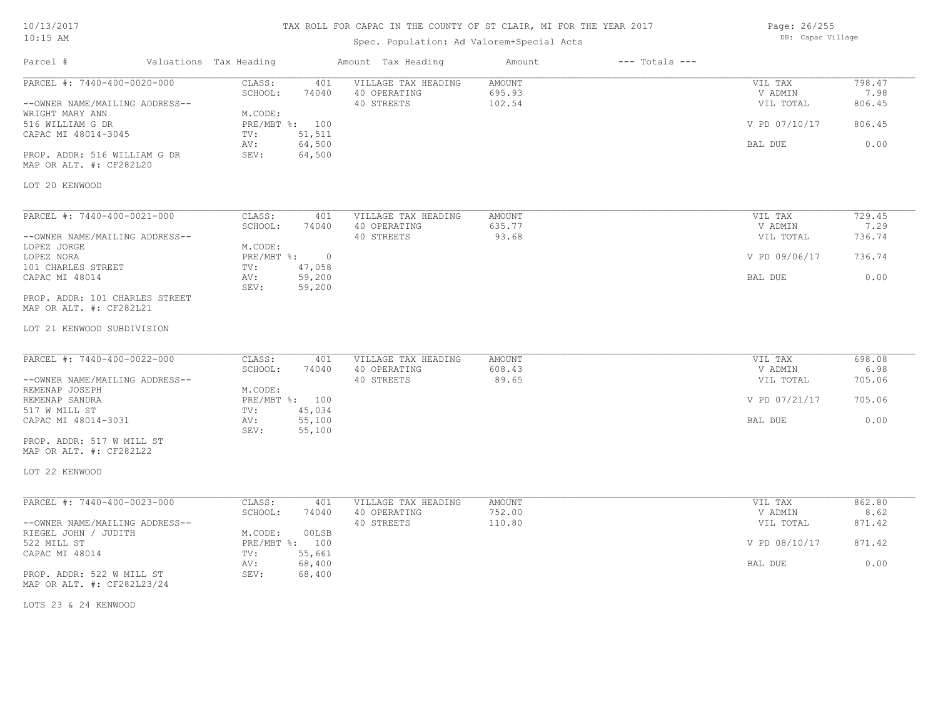#### TAX ROLL FOR CAPAC IN THE COUNTY OF ST CLAIR, MI FOR THE YEAR 2017

Spec. Population: Ad Valorem+Special Acts

Parcel # Valuations Tax Heading Amount Tax Heading Amount --- Totals ---LOT 20 KENWOOD MAP OR ALT. #: CF282L20 PROP. ADDR: 516 WILLIAM G DR SEV: 64,500 AV: 64,500 BAL DUE 0.00 CAPAC MI 48014-3045 TV: 51,511<br>
AV: 64,500 516 WILLIAM G DR PRE/MBT %: 100 V PD 07/10/17 806.45 WRIGHT MARY ANN M.CODE: --OWNER NAME/MAILING ADDRESS-- 40 STREETS 102.54 VIL TOTAL 806.45 SCHOOL: 74040 40 OPERATING 695.93 V ADMIN 7.98 PARCEL #: 7440-400-0020-000 CLASS: 401 VILLAGE TAX HEADING AMOUNT AMOUNT VIL TAX 798.47<br>SCHOOL: 74040 40 OPERATING 695.93 VADMIN 7.98  $\mathcal{L}_\mathcal{L} = \mathcal{L}_\mathcal{L} = \mathcal{L}_\mathcal{L} = \mathcal{L}_\mathcal{L} = \mathcal{L}_\mathcal{L} = \mathcal{L}_\mathcal{L} = \mathcal{L}_\mathcal{L} = \mathcal{L}_\mathcal{L} = \mathcal{L}_\mathcal{L} = \mathcal{L}_\mathcal{L} = \mathcal{L}_\mathcal{L} = \mathcal{L}_\mathcal{L} = \mathcal{L}_\mathcal{L} = \mathcal{L}_\mathcal{L} = \mathcal{L}_\mathcal{L} = \mathcal{L}_\mathcal{L} = \mathcal{L}_\mathcal{L}$ LOT 21 KENWOOD SUBDIVISION MAP OR ALT. #: CF282L21 PROP. ADDR: 101 CHARLES STREET SEV: 59,200 CAPAC MI 48014 AV: 59,200 BAL DUE 0.00 101 CHARLES STREET TV: 47,058<br>
CAPAC MI 48014 AV: 59,200 LOPEZ NORA PRE/MBT %: 0 V PD 09/06/17 736.74 LOPEZ JORGE M.CODE: --OWNER NAME/MAILING ADDRESS-- 40 STREETS 93.68 VIL TOTAL 736.74 SCHOOL: 74040 40 OPERATING 635.77 6635.77 V ADMIN 7.29 PARCEL #: 7440-400-0021-000 CLASS: 401 VILLAGE TAX HEADING AMOUNT VIL TAX VIL TAX 729.45  $\mathcal{L}_\mathcal{L} = \mathcal{L}_\mathcal{L} = \mathcal{L}_\mathcal{L} = \mathcal{L}_\mathcal{L} = \mathcal{L}_\mathcal{L} = \mathcal{L}_\mathcal{L} = \mathcal{L}_\mathcal{L} = \mathcal{L}_\mathcal{L} = \mathcal{L}_\mathcal{L} = \mathcal{L}_\mathcal{L} = \mathcal{L}_\mathcal{L} = \mathcal{L}_\mathcal{L} = \mathcal{L}_\mathcal{L} = \mathcal{L}_\mathcal{L} = \mathcal{L}_\mathcal{L} = \mathcal{L}_\mathcal{L} = \mathcal{L}_\mathcal{L}$ LOT 22 KENWOOD MAP OR ALT. #: CF282L22 PROP. ADDR: 517 W MILL ST SEV: 55,100 CAPAC MI 48014-3031 AV: 55,100 BAL DUE 0.00 517 W MILL ST TV: 45,034 REMENAP SANDRA PRE/MBT %: 100 V PD 07/21/17 705.06 REMENAP JOSEPH M.CODE:<br>REMENAP SANDRA MEXICOPH PRE/MBT %: 100 --OWNER NAME/MAILING ADDRESS-- 40 STREETS 89.65 VIL TOTAL 705.06 SCHOOL: 74040 40 OPERATING 608.43 V ADMIN 6.98 PARCEL #: 7440-400-0022-000 CLASS: 401 VILLAGE TAX HEADING AMOUNT AUGUST AND VIL TAX 698.08<br>SCHOOL: 74040 40 OPERATING 608.43 VADMIN 6.98  $\mathcal{L}_\mathcal{L} = \mathcal{L}_\mathcal{L} = \mathcal{L}_\mathcal{L} = \mathcal{L}_\mathcal{L} = \mathcal{L}_\mathcal{L} = \mathcal{L}_\mathcal{L} = \mathcal{L}_\mathcal{L} = \mathcal{L}_\mathcal{L} = \mathcal{L}_\mathcal{L} = \mathcal{L}_\mathcal{L} = \mathcal{L}_\mathcal{L} = \mathcal{L}_\mathcal{L} = \mathcal{L}_\mathcal{L} = \mathcal{L}_\mathcal{L} = \mathcal{L}_\mathcal{L} = \mathcal{L}_\mathcal{L} = \mathcal{L}_\mathcal{L}$ MAP OR ALT. #: CF282L23/24 PROP. ADDR: 522 W MILL ST SEV: 68,400 AV: 68,400 BAL DUE 0.00 CAPAC MI 48014 TV: 55,661<br>
AV: 68,400 522 MILL ST PRE/MBT %: 100 V PD 08/10/17 871.42 RIEGEL JOHN / JUDITH M.CODE: 00LSB --OWNER NAME/MAILING ADDRESS-- 4 20 STREETS 40 STREETS 40 STREETS 42 SCHOOL: 74040 40 OPERATING 752.00 752.00 V ADMIN 8.62 PARCEL #: 7440-400-0023-000 CLASS: 401 VILLAGE TAX HEADING AMOUNT VIL TAX VIL TAX 862.80<br>SCHOOL: 74040 40 OPERATING 752.00 752.00 VADMIN 8.62

LOTS 23 & 24 KENWOOD

Page: 26/255 DB: Capac Village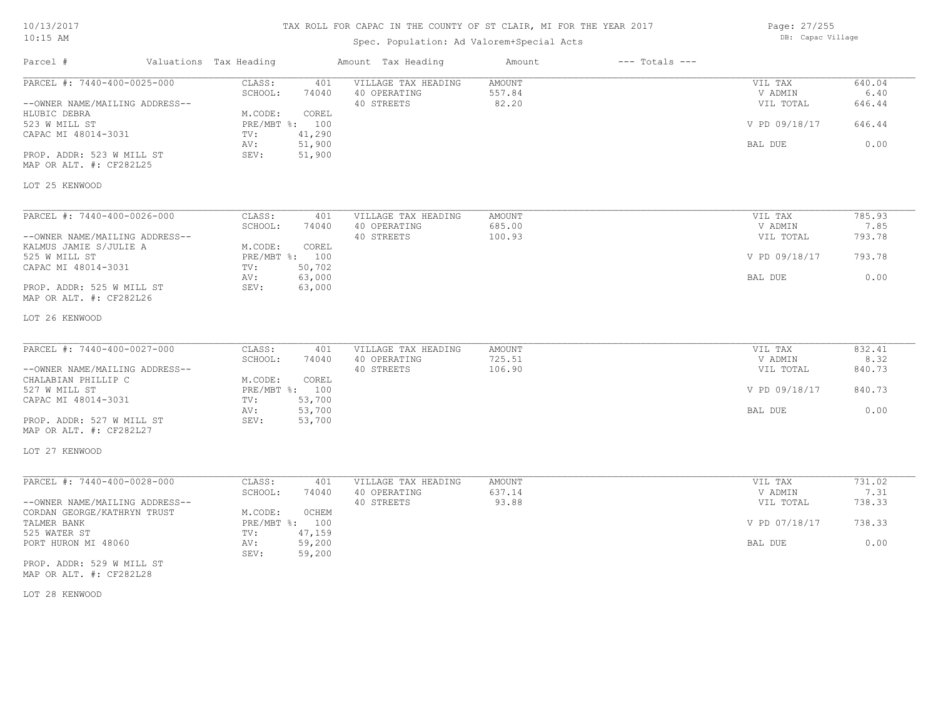| 10/13/2017 |  |
|------------|--|
| $10:15$ AM |  |

Spec. Population: Ad Valorem+Special Acts

Parcel # Valuations Tax Heading Amount Tax Heading Amount --- Totals ---

Page: 27/255 DB: Capac Village

| PARCEL #: 7440-400-0025-000    | CLASS:<br>401<br>SCHOOL:<br>74040 | VILLAGE TAX HEADING<br>40 OPERATING | AMOUNT<br>557.84 | VIL TAX<br>V ADMIN   | 640.04<br>6.40 |
|--------------------------------|-----------------------------------|-------------------------------------|------------------|----------------------|----------------|
| --OWNER NAME/MAILING ADDRESS-- |                                   | 40 STREETS                          | 82.20            | VIL TOTAL            | 646.44         |
| HLUBIC DEBRA                   | M.CODE:<br>COREL                  |                                     |                  |                      |                |
| 523 W MILL ST                  | PRE/MBT %: 100                    |                                     |                  | V PD 09/18/17        | 646.44         |
| CAPAC MI 48014-3031            | 41,290<br>TV:                     |                                     |                  |                      |                |
|                                | 51,900<br>AV:                     |                                     |                  | BAL DUE              | 0.00           |
| PROP. ADDR: 523 W MILL ST      | SEV:<br>51,900                    |                                     |                  |                      |                |
| MAP OR ALT. #: CF282L25        |                                   |                                     |                  |                      |                |
| LOT 25 KENWOOD                 |                                   |                                     |                  |                      |                |
| PARCEL #: 7440-400-0026-000    | CLASS:<br>401                     | VILLAGE TAX HEADING                 | AMOUNT           | VIL TAX              | 785.93         |
|                                | SCHOOL:<br>74040                  | 40 OPERATING                        | 685.00           | V ADMIN              | 7.85           |
| --OWNER NAME/MAILING ADDRESS-- |                                   | 40 STREETS                          | 100.93           | VIL TOTAL            | 793.78         |
| KALMUS JAMIE S/JULIE A         | M.CODE:<br>COREL                  |                                     |                  |                      |                |
| 525 W MILL ST                  | PRE/MBT %: 100                    |                                     |                  | V PD 09/18/17        | 793.78         |
| CAPAC MI 48014-3031            | 50,702<br>TV:                     |                                     |                  |                      |                |
|                                | 63,000<br>AV:                     |                                     |                  | BAL DUE              | 0.00           |
| PROP. ADDR: 525 W MILL ST      | SEV:<br>63,000                    |                                     |                  |                      |                |
| MAP OR ALT. #: CF282L26        |                                   |                                     |                  |                      |                |
| LOT 26 KENWOOD                 |                                   |                                     |                  |                      |                |
|                                |                                   |                                     |                  |                      |                |
| PARCEL #: 7440-400-0027-000    | CLASS:<br>401                     | VILLAGE TAX HEADING                 | AMOUNT<br>725.51 | VIL TAX              | 832.41         |
| --OWNER NAME/MAILING ADDRESS-- | SCHOOL:<br>74040                  | 40 OPERATING<br>40 STREETS          | 106.90           | V ADMIN<br>VIL TOTAL | 8.32<br>840.73 |
| CHALABIAN PHILLIP C            | M.CODE:<br>COREL                  |                                     |                  |                      |                |
| 527 W MILL ST                  | PRE/MBT %: 100                    |                                     |                  | V PD 09/18/17        | 840.73         |
| CAPAC MI 48014-3031            | 53,700<br>TV:                     |                                     |                  |                      |                |
|                                | 53,700<br>AV:                     |                                     |                  | BAL DUE              | 0.00           |
| PROP. ADDR: 527 W MILL ST      | SEV:<br>53,700                    |                                     |                  |                      |                |
| MAP OR ALT. #: CF282L27        |                                   |                                     |                  |                      |                |
| LOT 27 KENWOOD                 |                                   |                                     |                  |                      |                |
|                                |                                   |                                     |                  |                      |                |
| PARCEL #: 7440-400-0028-000    | CLASS:<br>401                     | VILLAGE TAX HEADING                 | AMOUNT           | VIL TAX              | 731.02         |
|                                | SCHOOL:<br>74040                  | 40 OPERATING                        | 637.14           | V ADMIN              | 7.31           |
| --OWNER NAME/MAILING ADDRESS-- |                                   | 40 STREETS                          | 93.88            | VIL TOTAL            | 738.33         |
| CORDAN GEORGE/KATHRYN TRUST    | M.CODE:<br><b>OCHEM</b>           |                                     |                  |                      |                |
| TALMER BANK                    | PRE/MBT %: 100                    |                                     |                  | V PD 07/18/17        | 738.33         |
| 525 WATER ST                   | 47,159<br>TV:                     |                                     |                  |                      |                |
| PORT HURON MI 48060            | 59,200<br>AV:<br>SEV:<br>59,200   |                                     |                  | BAL DUE              | 0.00           |
| PROP. ADDR: 529 W MILL ST      |                                   |                                     |                  |                      |                |
|                                |                                   |                                     |                  |                      |                |

MAP OR ALT. #: CF282L28

LOT 28 KENWOOD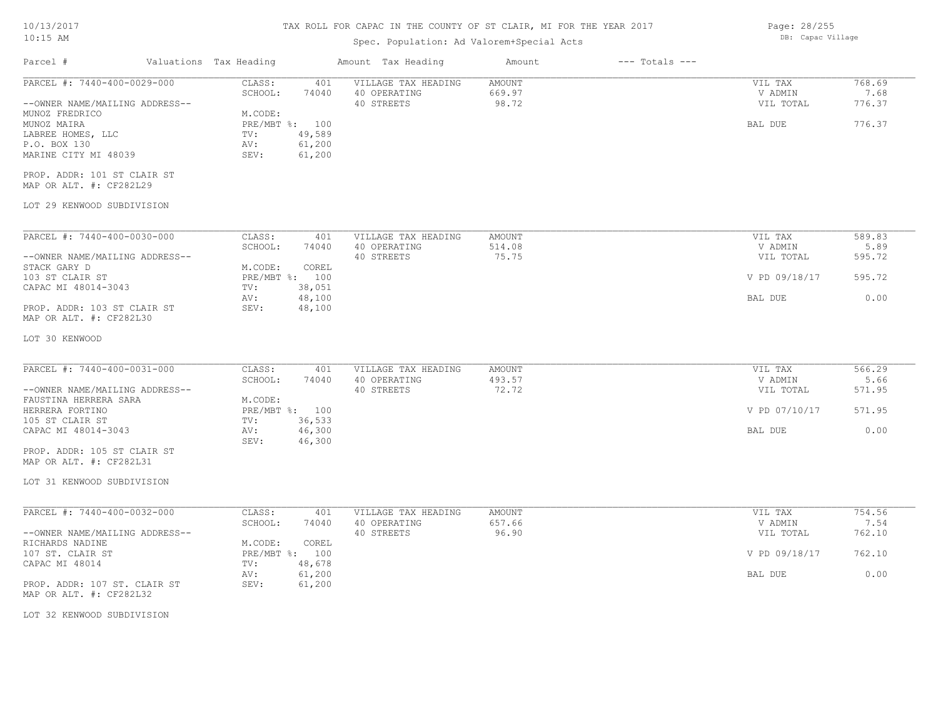## TAX ROLL FOR CAPAC IN THE COUNTY OF ST CLAIR, MI FOR THE YEAR 2017

## Spec. Population: Ad Valorem+Special Acts

| Parcel #                                                                                                                                                                                                                                            | Valuations Tax Heading                                                         |                                            | Amount Tax Heading                                | Amount                           | $---$ Totals $---$ |                                            |                                    |
|-----------------------------------------------------------------------------------------------------------------------------------------------------------------------------------------------------------------------------------------------------|--------------------------------------------------------------------------------|--------------------------------------------|---------------------------------------------------|----------------------------------|--------------------|--------------------------------------------|------------------------------------|
| PARCEL #: 7440-400-0029-000<br>--OWNER NAME/MAILING ADDRESS--<br>MUNOZ FREDRICO<br>MUNOZ MAIRA<br>LABREE HOMES, LLC<br>P.O. BOX 130<br>MARINE CITY MI 48039<br>PROP. ADDR: 101 ST CLAIR ST<br>MAP OR ALT. #: CF282L29<br>LOT 29 KENWOOD SUBDIVISION | CLASS:<br>SCHOOL:<br>M.CODE:<br>PRE/MBT %: 100<br>$\text{TV}$ :<br>AV:<br>SEV: | 401<br>74040<br>49,589<br>61,200<br>61,200 | VILLAGE TAX HEADING<br>40 OPERATING<br>40 STREETS | AMOUNT<br>669.97<br>98.72        |                    | VIL TAX<br>V ADMIN<br>VIL TOTAL<br>BAL DUE | 768.69<br>7.68<br>776.37<br>776.37 |
| PARCEL #: 7440-400-0030-000                                                                                                                                                                                                                         | CLASS:<br>SCHOOL:                                                              | 401<br>74040                               | VILLAGE TAX HEADING<br>40 OPERATING<br>40 STREETS | AMOUNT<br>514.08<br>75.75        |                    | VIL TAX<br>V ADMIN<br>VIL TOTAL            | 589.83<br>5.89<br>595.72           |
| --OWNER NAME/MAILING ADDRESS--<br>STACK GARY D<br>103 ST CLAIR ST<br>CAPAC MI 48014-3043                                                                                                                                                            | M.CODE:<br>PRE/MBT %: 100<br>TV:                                               | COREL<br>38,051                            |                                                   |                                  |                    | V PD 09/18/17                              | 595.72                             |
| PROP. ADDR: 103 ST CLAIR ST<br>MAP OR ALT. #: CF282L30                                                                                                                                                                                              | AV:<br>SEV:                                                                    | 48,100<br>48,100                           |                                                   |                                  |                    | BAL DUE                                    | 0.00                               |
| LOT 30 KENWOOD                                                                                                                                                                                                                                      |                                                                                |                                            |                                                   |                                  |                    |                                            |                                    |
| PARCEL #: 7440-400-0031-000<br>--OWNER NAME/MAILING ADDRESS--                                                                                                                                                                                       | CLASS:<br>SCHOOL:                                                              | 401<br>74040                               | VILLAGE TAX HEADING<br>40 OPERATING<br>40 STREETS | <b>AMOUNT</b><br>493.57<br>72.72 |                    | VIL TAX<br>V ADMIN<br>VIL TOTAL            | 566.29<br>5.66<br>571.95           |
| FAUSTINA HERRERA SARA<br>HERRERA FORTINO<br>105 ST CLAIR ST                                                                                                                                                                                         | M.CODE:<br>PRE/MBT %: 100<br>TV:                                               | 36,533                                     |                                                   |                                  |                    | V PD 07/10/17                              | 571.95                             |
| CAPAC MI 48014-3043<br>PROP. ADDR: 105 ST CLAIR ST<br>MAP OR ALT. #: CF282L31                                                                                                                                                                       | AV:<br>SEV:                                                                    | 46,300<br>46,300                           |                                                   |                                  |                    | BAL DUE                                    | 0.00                               |
| LOT 31 KENWOOD SUBDIVISION                                                                                                                                                                                                                          |                                                                                |                                            |                                                   |                                  |                    |                                            |                                    |
| PARCEL #: 7440-400-0032-000<br>--OWNER NAME/MAILING ADDRESS--                                                                                                                                                                                       | CLASS:<br>SCHOOL:                                                              | 401<br>74040                               | VILLAGE TAX HEADING<br>40 OPERATING<br>40 STREETS | AMOUNT<br>657.66<br>96.90        |                    | VIL TAX<br>V ADMIN<br>VIL TOTAL            | 754.56<br>7.54<br>762.10           |
| RICHARDS NADINE<br>107 ST. CLAIR ST<br>CAPAC MI 48014                                                                                                                                                                                               | M.CODE:<br>PRE/MBT %: 100<br>$\texttt{TV}$ :                                   | COREL<br>48,678                            |                                                   |                                  |                    | V PD 09/18/17                              | 762.10                             |
| PROP. ADDR: 107 ST. CLAIR ST<br>MAP OR ALT. #: CF282L32                                                                                                                                                                                             | AV:<br>SEV:                                                                    | 61,200<br>61,200                           |                                                   |                                  |                    | BAL DUE                                    | 0.00                               |
| LOT 32 KENWOOD SUBDIVISION                                                                                                                                                                                                                          |                                                                                |                                            |                                                   |                                  |                    |                                            |                                    |

Page: 28/255 DB: Capac Village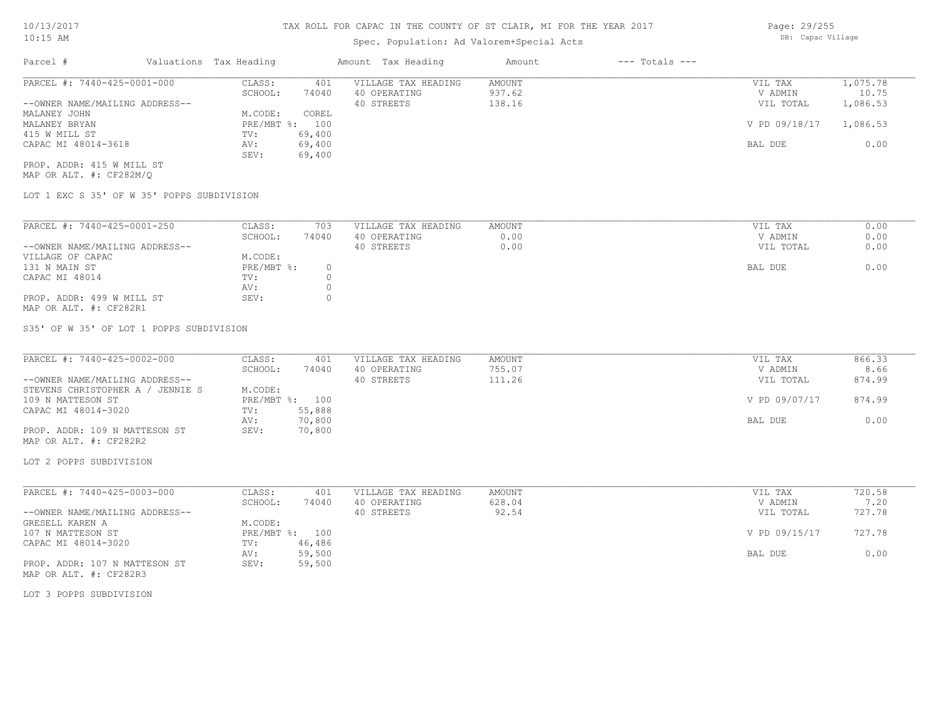### Spec. Population: Ad Valorem+Special Acts

| Parcel #                       | Valuations Tax Heading |        | Amount Tax Heading  | Amount | $---$ Totals $---$ |               |          |
|--------------------------------|------------------------|--------|---------------------|--------|--------------------|---------------|----------|
| PARCEL #: 7440-425-0001-000    | CLASS:                 | 401    | VILLAGE TAX HEADING | AMOUNT |                    | VIL TAX       | 1,075.78 |
|                                | SCHOOL:                | 74040  | 40 OPERATING        | 937.62 |                    | V ADMIN       | 10.75    |
| --OWNER NAME/MAILING ADDRESS-- |                        |        | 40 STREETS          | 138.16 |                    | VIL TOTAL     | 1,086.53 |
| MALANEY JOHN                   | M.CODE:                | COREL  |                     |        |                    |               |          |
| MALANEY BRYAN                  | PRE/MBT %: 100         |        |                     |        |                    | V PD 09/18/17 | 1,086.53 |
| 415 W MILL ST                  | TV:                    | 69,400 |                     |        |                    |               |          |
| CAPAC MI 48014-3618            | AV:                    | 69,400 |                     |        |                    | BAL DUE       | 0.00     |
|                                | SEV:                   | 69,400 |                     |        |                    |               |          |
|                                |                        |        |                     |        |                    |               |          |

MAP OR ALT. #: CF282M/Q PROP. ADDR: 415 W MILL ST

LOT 1 EXC S 35' OF W 35' POPPS SUBDIVISION

| PARCEL #: 7440-425-0001-250    | CLASS:     | 703   | VILLAGE TAX HEADING | AMOUNT | 0.00<br>VIL TAX   |
|--------------------------------|------------|-------|---------------------|--------|-------------------|
|                                | SCHOOL:    | 74040 | 40 OPERATING        | 0.00   | 0.00<br>V ADMIN   |
| --OWNER NAME/MAILING ADDRESS-- |            |       | 40 STREETS          | 0.00   | 0.00<br>VIL TOTAL |
| VILLAGE OF CAPAC               | M.CODE:    |       |                     |        |                   |
| 131 N MAIN ST                  | PRE/MBT %: | 0.    |                     |        | 0.00<br>BAL DUE   |
| CAPAC MI 48014                 | TV:        |       |                     |        |                   |
|                                | AV:        |       |                     |        |                   |
| PROP. ADDR: 499 W MILL ST      | SEV:       |       |                     |        |                   |
| MAP OR ALT. #: CF282R1         |            |       |                     |        |                   |

S35' OF W 35' OF LOT 1 POPPS SUBDIVISION

| PARCEL #: 7440-425-0002-000      | CLASS:  | 401            | VILLAGE TAX HEADING | AMOUNT | VIL TAX       | 866.33 |
|----------------------------------|---------|----------------|---------------------|--------|---------------|--------|
|                                  | SCHOOL: | 74040          | 40 OPERATING        | 755.07 | V ADMIN       | 8.66   |
| --OWNER NAME/MAILING ADDRESS--   |         |                | 40 STREETS          | 111.26 | VIL TOTAL     | 874.99 |
| STEVENS CHRISTOPHER A / JENNIE S | M.CODE: |                |                     |        |               |        |
| 109 N MATTESON ST                |         | PRE/MBT %: 100 |                     |        | V PD 09/07/17 | 874.99 |
| CAPAC MI 48014-3020              | TV:     | 55,888         |                     |        |               |        |
|                                  | AV:     | 70,800         |                     |        | BAL DUE       | 0.00   |
| PROP. ADDR: 109 N MATTESON ST    | SEV:    | 70,800         |                     |        |               |        |
| MAP OR ALT. #: CF282R2           |         |                |                     |        |               |        |

LOT 2 POPPS SUBDIVISION

| PARCEL #: 7440-425-0003-000    | CLASS:     | 401    | VILLAGE TAX HEADING | AMOUNT | VIL TAX       | 720.58 |
|--------------------------------|------------|--------|---------------------|--------|---------------|--------|
|                                | SCHOOL:    | 74040  | 40 OPERATING        | 628.04 | V ADMIN       | 7.20   |
| --OWNER NAME/MAILING ADDRESS-- |            |        | 40 STREETS          | 92.54  | VIL TOTAL     | 727.78 |
| GRESELL KAREN A                | M.CODE:    |        |                     |        |               |        |
| 107 N MATTESON ST              | PRE/MBT %: | 100    |                     |        | V PD 09/15/17 | 727.78 |
| CAPAC MI 48014-3020            | TV:        | 46,486 |                     |        |               |        |
|                                | AV:        | 59,500 |                     |        | BAL DUE       | 0.00   |
| PROP. ADDR: 107 N MATTESON ST  | SEV:       | 59,500 |                     |        |               |        |
| MAP OR ALT. #: CF282R3         |            |        |                     |        |               |        |

LOT 3 POPPS SUBDIVISION

Page: 29/255 DB: Capac Village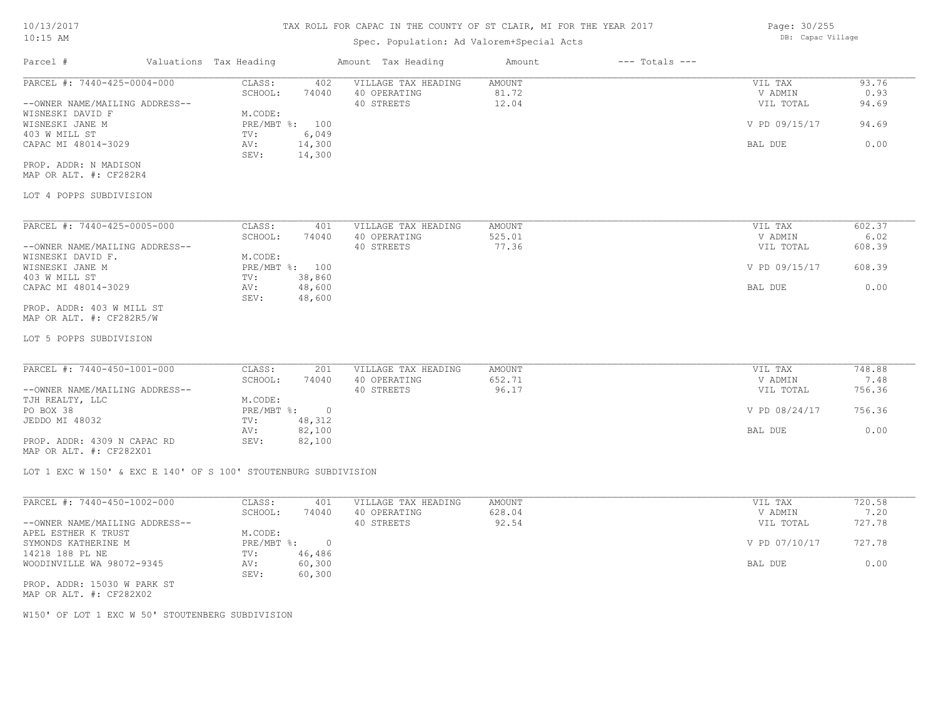### Spec. Population: Ad Valorem+Special Acts

Parcel # Valuations Tax Heading Amount Tax Heading Amount --- Totals ---LOT 4 POPPS SUBDIVISION MAP OR ALT. #: CF282R4 PROP. ADDR: N MADISON SEV: 14,300 CAPAC MI 48014-3029 AV: 14,300 AV: 15, 200 AV: 15, 200 BAL DUE 0.00 403 W MILL ST **TV:** 6,049 WISNESKI JANE M PRE/MBT %: 100 V PD 09/15/17 94.69 WISNESKI DAVID F<br>WISNESKI JANE M<br>PRE/MBT %: 100 --OWNER NAME/MAILING ADDRESS-- 40 STREETS 12.04 VIL TOTAL 94.69 SCHOOL: 74040 40 OPERATING 81.72 V ADMIN 0.93 PARCEL #: 7440-425-0004-000 CLASS: 402 VILLAGE TAX HEADING AMOUNT AMOUNT VIL TAX 93.76<br>SCHOOL: 74040 40 OPERATING 81.72 VADMIN 9.93  $\mathcal{L}_\mathcal{L} = \mathcal{L}_\mathcal{L} = \mathcal{L}_\mathcal{L} = \mathcal{L}_\mathcal{L} = \mathcal{L}_\mathcal{L} = \mathcal{L}_\mathcal{L} = \mathcal{L}_\mathcal{L} = \mathcal{L}_\mathcal{L} = \mathcal{L}_\mathcal{L} = \mathcal{L}_\mathcal{L} = \mathcal{L}_\mathcal{L} = \mathcal{L}_\mathcal{L} = \mathcal{L}_\mathcal{L} = \mathcal{L}_\mathcal{L} = \mathcal{L}_\mathcal{L} = \mathcal{L}_\mathcal{L} = \mathcal{L}_\mathcal{L}$ WISNESKI JANE M PRE/MBT %: 100 V PD 09/15/17 608.39 WISNESKI DAVID F. M.CODE:<br>
MISNESKI JANE M MISNESKI JANE M --OWNER NAME/MAILING ADDRESS-- 40 STREETS 77.36 VIL TOTAL 608.39 SCHOOL: 74040 40 OPERATING 525.01 V ADMIN 6.02 PARCEL #: 7440-425-0005-000 CLASS: 401 VILLAGE TAX HEADING AMOUNT VIL TAX VIL TAX 602.37<br>SCHOOL: 74040 40 OPERATING 525.01 VADMIN 6.02

MAP OR ALT. #: CF282R5/W PROP. ADDR: 403 W MILL ST

LOT 5 POPPS SUBDIVISION

| PARCEL #: 7440-450-1001-000    | CLASS:     | 201    | VILLAGE TAX HEADING | AMOUNT | VIL TAX       | 748.88 |
|--------------------------------|------------|--------|---------------------|--------|---------------|--------|
|                                | SCHOOL:    | 74040  | 40 OPERATING        | 652.71 | V ADMIN       | 7.48   |
| --OWNER NAME/MAILING ADDRESS-- |            |        | 40 STREETS          | 96.17  | VIL TOTAL     | 756.36 |
| TJH REALTY, LLC                | M.CODE:    |        |                     |        |               |        |
| PO BOX 38                      | PRE/MBT %: |        |                     |        | V PD 08/24/17 | 756.36 |
| JEDDO MI 48032                 | TV:        | 48,312 |                     |        |               |        |
|                                | AV:        | 82,100 |                     |        | BAL DUE       | 0.00   |
| PROP. ADDR: 4309 N CAPAC RD    | SEV:       | 82,100 |                     |        |               |        |

CAPAC MI 48014-3029 AV: 48,600 BAL DUE 0.00

MAP OR ALT. #: CF282X01

LOT 1 EXC W 150' & EXC E 140' OF S 100' STOUTENBURG SUBDIVISION

403 W MILL ST TV: 38,860

SEV: 48,600

| PARCEL #: 7440-450-1002-000    | CLASS:     | 401    | VILLAGE TAX HEADING | AMOUNT | VIL TAX       | 720.58 |
|--------------------------------|------------|--------|---------------------|--------|---------------|--------|
|                                | SCHOOL:    | 74040  | 40 OPERATING        | 628.04 | V ADMIN       | 7.20   |
| --OWNER NAME/MAILING ADDRESS-- |            |        | 40 STREETS          | 92.54  | VIL TOTAL     | 727.78 |
| APEL ESTHER K TRUST            | M.CODE:    |        |                     |        |               |        |
| SYMONDS KATHERINE M            | PRE/MBT %: | $\Box$ |                     |        | V PD 07/10/17 | 727.78 |
| 14218 188 PL NE                | TV:        | 46,486 |                     |        |               |        |
| WOODINVILLE WA 98072-9345      | AV:        | 60,300 |                     |        | BAL DUE       | 0.00   |
|                                | SEV:       | 60,300 |                     |        |               |        |
| PROP. ADDR: 15030 W PARK ST    |            |        |                     |        |               |        |

MAP OR ALT. #: CF282X02

W150' OF LOT 1 EXC W 50' STOUTENBERG SUBDIVISION

Page: 30/255 DB: Capac Village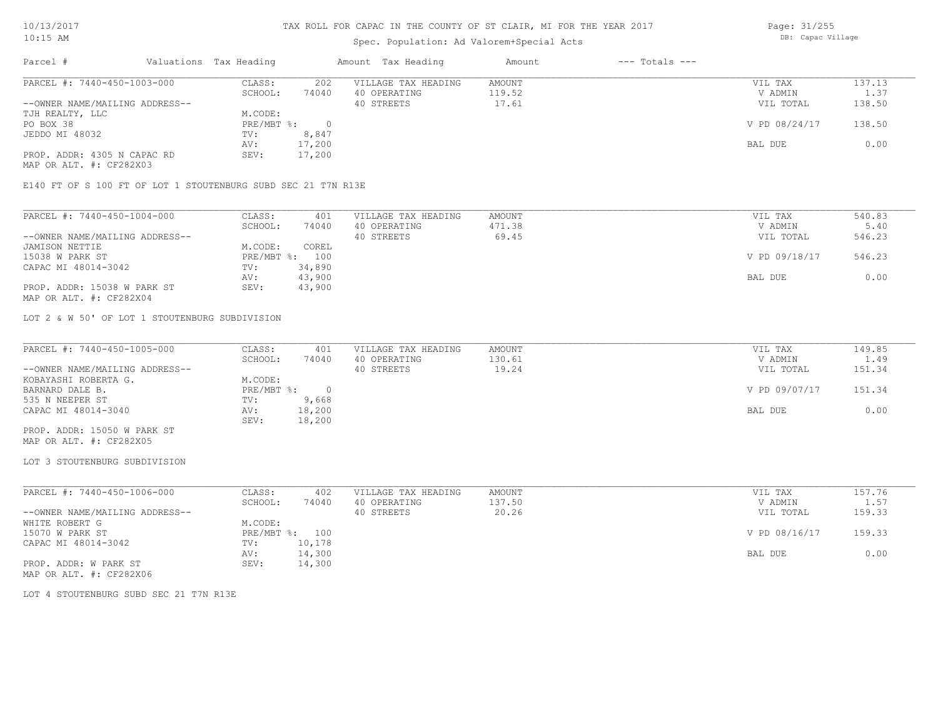### Spec. Population: Ad Valorem+Special Acts

Page: 31/255 DB: Capac Village

| Parcel #                       |  | Valuations Tax Heading |        | Amount Tax Heading  | Amount | $---$ Totals $---$ |               |            |
|--------------------------------|--|------------------------|--------|---------------------|--------|--------------------|---------------|------------|
| PARCEL #: 7440-450-1003-000    |  | CLASS:                 | 202    | VILLAGE TAX HEADING | AMOUNT |                    | VIL TAX       | 137.13     |
|                                |  | SCHOOL:                | 74040  | 40 OPERATING        | 119.52 |                    | V ADMIN       | $\pm 0.37$ |
| --OWNER NAME/MAILING ADDRESS-- |  |                        |        | 40 STREETS          | 17.61  |                    | VIL TOTAL     | 138.50     |
| TJH REALTY, LLC                |  | M.CODE:                |        |                     |        |                    |               |            |
| PO BOX 38                      |  | PRE/MBT %:             |        |                     |        |                    | V PD 08/24/17 | 138.50     |
| JEDDO MI 48032                 |  | TV:                    | 8,847  |                     |        |                    |               |            |
|                                |  | AV:                    | 17,200 |                     |        |                    | BAL DUE       | 0.00       |
| PROP. ADDR: 4305 N CAPAC RD    |  | SEV:                   | 17,200 |                     |        |                    |               |            |
| MAP OR ALT. #: CF282X03        |  |                        |        |                     |        |                    |               |            |

E140 FT OF S 100 FT OF LOT 1 STOUTENBURG SUBD SEC 21 T7N R13E

| PARCEL #: 7440-450-1004-000    | CLASS:  | 401            | VILLAGE TAX HEADING | AMOUNT | VIL TAX       | 540.83 |
|--------------------------------|---------|----------------|---------------------|--------|---------------|--------|
|                                | SCHOOL: | 74040          | 40 OPERATING        | 471.38 | V ADMIN       | 5.40   |
| --OWNER NAME/MAILING ADDRESS-- |         |                | 40 STREETS          | 69.45  | VIL TOTAL     | 546.23 |
| JAMISON NETTIE                 | M.CODE: | COREL          |                     |        |               |        |
| 15038 W PARK ST                |         | PRE/MBT %: 100 |                     |        | V PD 09/18/17 | 546.23 |
| CAPAC MI 48014-3042            | TV:     | 34,890         |                     |        |               |        |
|                                | AV:     | 43,900         |                     |        | BAL DUE       | 0.00   |
| PROP. ADDR: 15038 W PARK ST    | SEV:    | 43,900         |                     |        |               |        |
| MAP OR ALT. #: CF282X04        |         |                |                     |        |               |        |

LOT 2 & W 50' OF LOT 1 STOUTENBURG SUBDIVISION

| PARCEL #: 7440-450-1005-000    | CLASS:     | 401    | VILLAGE TAX HEADING | AMOUNT | VIL TAX       | 149.85 |
|--------------------------------|------------|--------|---------------------|--------|---------------|--------|
|                                | SCHOOL:    | 74040  | 40 OPERATING        | 130.61 | V ADMIN       | 1.49   |
| --OWNER NAME/MAILING ADDRESS-- |            |        | 40 STREETS          | 19.24  | VIL TOTAL     | 151.34 |
| KOBAYASHI ROBERTA G.           | M.CODE:    |        |                     |        |               |        |
| BARNARD DALE B.                | PRE/MBT %: |        |                     |        | V PD 09/07/17 | 151.34 |
| 535 N NEEPER ST                | TV:        | 9,668  |                     |        |               |        |
| CAPAC MI 48014-3040            | AV:        | 18,200 |                     |        | BAL DUE       | 0.00   |
|                                | SEV:       | 18,200 |                     |        |               |        |
| PROP. ADDR: 15050 W PARK ST    |            |        |                     |        |               |        |

MAP OR ALT. #: CF282X05

#### LOT 3 STOUTENBURG SUBDIVISION

| PARCEL #: 7440-450-1006-000    | CLASS:  | 402            | VILLAGE TAX HEADING | AMOUNT | VIL TAX       | 157.76 |
|--------------------------------|---------|----------------|---------------------|--------|---------------|--------|
|                                | SCHOOL: | 74040          | 40 OPERATING        | 137.50 | V ADMIN       | 1.57   |
| --OWNER NAME/MAILING ADDRESS-- |         |                | 40 STREETS          | 20.26  | VIL TOTAL     | 159.33 |
| WHITE ROBERT G                 | M.CODE: |                |                     |        |               |        |
| 15070 W PARK ST                |         | PRE/MBT %: 100 |                     |        | V PD 08/16/17 | 159.33 |
| CAPAC MI 48014-3042            | TV:     | 10,178         |                     |        |               |        |
|                                | AV:     | 14,300         |                     |        | BAL DUE       | 0.00   |
| PROP. ADDR: W PARK ST          | SEV:    | 14,300         |                     |        |               |        |
| MAP OR ALT. #: CF282X06        |         |                |                     |        |               |        |

LOT 4 STOUTENBURG SUBD SEC 21 T7N R13E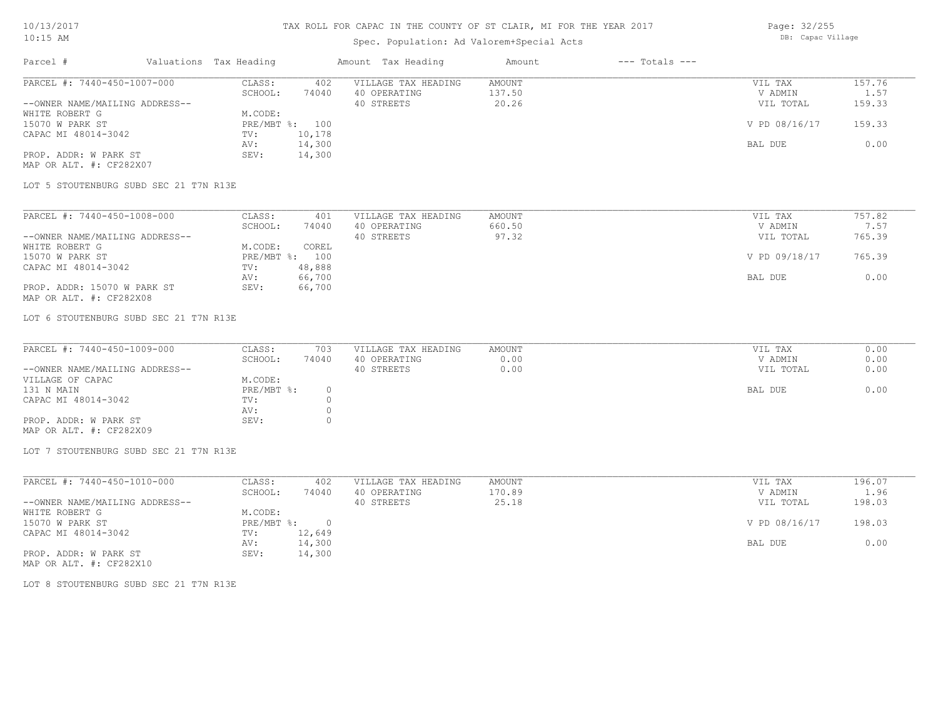## Spec. Population: Ad Valorem+Special Acts

Page: 32/255 DB: Capac Village

| Parcel #                       | Valuations Tax Heading |        | Amount Tax Heading  | Amount | $---$ Totals $---$ |               |        |
|--------------------------------|------------------------|--------|---------------------|--------|--------------------|---------------|--------|
| PARCEL #: 7440-450-1007-000    | CLASS:                 | 402    | VILLAGE TAX HEADING | AMOUNT |                    | VIL TAX       | 157.76 |
|                                | SCHOOL:                | 74040  | 40 OPERATING        | 137.50 |                    | V ADMIN       | 1.57   |
| --OWNER NAME/MAILING ADDRESS-- |                        |        | 40 STREETS          | 20.26  |                    | VIL TOTAL     | 159.33 |
| WHITE ROBERT G                 | M.CODE:                |        |                     |        |                    |               |        |
| 15070 W PARK ST                | PRE/MBT %: 100         |        |                     |        |                    | V PD 08/16/17 | 159.33 |
| CAPAC MI 48014-3042            | TV:                    | 10,178 |                     |        |                    |               |        |
|                                | AV:                    | 14,300 |                     |        |                    | BAL DUE       | 0.00   |
| PROP. ADDR: W PARK ST          | SEV:                   | 14,300 |                     |        |                    |               |        |
| MAP OR ALT. #: CF282X07        |                        |        |                     |        |                    |               |        |

LOT 5 STOUTENBURG SUBD SEC 21 T7N R13E

| PARCEL #: 7440-450-1008-000    | CLASS:     | 401    | VILLAGE TAX HEADING | AMOUNT | VIL TAX       | 757.82 |
|--------------------------------|------------|--------|---------------------|--------|---------------|--------|
|                                | SCHOOL:    | 74040  | 40 OPERATING        | 660.50 | V ADMIN       | 7.57   |
| --OWNER NAME/MAILING ADDRESS-- |            |        | 40 STREETS          | 97.32  | VIL TOTAL     | 765.39 |
| WHITE ROBERT G                 | M.CODE:    | COREL  |                     |        |               |        |
| 15070 W PARK ST                | PRE/MBT %: | 100    |                     |        | V PD 09/18/17 | 765.39 |
| CAPAC MI 48014-3042            | TV:        | 48,888 |                     |        |               |        |
|                                | AV:        | 66,700 |                     |        | BAL DUE       | 0.00   |
| PROP. ADDR: 15070 W PARK ST    | SEV:       | 66,700 |                     |        |               |        |
| MAP OR ALT. #: CF282X08        |            |        |                     |        |               |        |

LOT 6 STOUTENBURG SUBD SEC 21 T7N R13E

| PARCEL #: 7440-450-1009-000    | CLASS:     | 703   | VILLAGE TAX HEADING | AMOUNT | VIL TAX   | 0.00 |
|--------------------------------|------------|-------|---------------------|--------|-----------|------|
|                                | SCHOOL:    | 74040 | 40 OPERATING        | 0.00   | V ADMIN   | 0.00 |
| --OWNER NAME/MAILING ADDRESS-- |            |       | 40 STREETS          | 0.00   | VIL TOTAL | 0.00 |
| VILLAGE OF CAPAC               | M.CODE:    |       |                     |        |           |      |
| 131 N MAIN                     | PRE/MBT %: |       |                     |        | BAL DUE   | 0.00 |
| CAPAC MI 48014-3042            | TV:        |       |                     |        |           |      |
|                                | AV:        |       |                     |        |           |      |
| PROP. ADDR: W PARK ST          | SEV:       |       |                     |        |           |      |
| MAP OR ALT. #: CF282X09        |            |       |                     |        |           |      |

LOT 7 STOUTENBURG SUBD SEC 21 T7N R13E

| PARCEL #: 7440-450-1010-000    | CLASS:     | 402      | VILLAGE TAX HEADING | AMOUNT | VIL TAX       | 196.07 |
|--------------------------------|------------|----------|---------------------|--------|---------------|--------|
|                                | SCHOOL:    | 74040    | 40 OPERATING        | 170.89 | V ADMIN       | 1.96   |
| --OWNER NAME/MAILING ADDRESS-- |            |          | 40 STREETS          | 25.18  | VIL TOTAL     | 198.03 |
| WHITE ROBERT G                 | M.CODE:    |          |                     |        |               |        |
| 15070 W PARK ST                | PRE/MBT %: | $\Omega$ |                     |        | V PD 08/16/17 | 198.03 |
| CAPAC MI 48014-3042            | TV:        | 12,649   |                     |        |               |        |
|                                | AV:        | 14,300   |                     |        | BAL DUE       | 0.00   |
| PROP. ADDR: W PARK ST          | SEV:       | 14,300   |                     |        |               |        |

MAP OR ALT. #: CF282X10

LOT 8 STOUTENBURG SUBD SEC 21 T7N R13E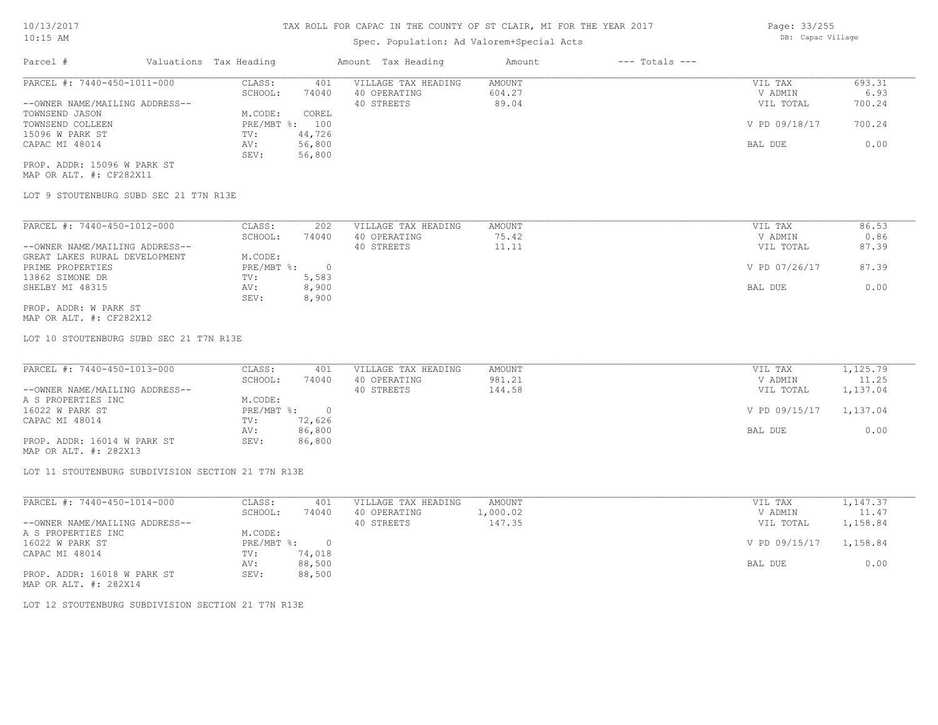### Spec. Population: Ad Valorem+Special Acts

| Parcel #                       | Valuations Tax Heading |        | Amount Tax Heading  | Amount | $---$ Totals $---$ |               |        |
|--------------------------------|------------------------|--------|---------------------|--------|--------------------|---------------|--------|
| PARCEL #: 7440-450-1011-000    | CLASS:                 | 401    | VILLAGE TAX HEADING | AMOUNT |                    | VIL TAX       | 693.31 |
|                                | SCHOOL:                | 74040  | 40 OPERATING        | 604.27 |                    | V ADMIN       | 6.93   |
| --OWNER NAME/MAILING ADDRESS-- |                        |        | 40 STREETS          | 89.04  |                    | VIL TOTAL     | 700.24 |
| TOWNSEND JASON                 | M.CODE:                | COREL  |                     |        |                    |               |        |
| TOWNSEND COLLEEN               | $PRE/MBT$ %:           | 100    |                     |        |                    | V PD 09/18/17 | 700.24 |
| 15096 W PARK ST                | TV:                    | 44,726 |                     |        |                    |               |        |
| CAPAC MI 48014                 | AV:                    | 56,800 |                     |        |                    | BAL DUE       | 0.00   |
|                                | SEV:                   | 56,800 |                     |        |                    |               |        |
| PROP. ADDR: 15096 W PARK ST    |                        |        |                     |        |                    |               |        |

MAP OR ALT. #: CF282X11

LOT 9 STOUTENBURG SUBD SEC 21 T7N R13E

| PARCEL #: 7440-450-1012-000    | CLASS:     | 202   | VILLAGE TAX HEADING | AMOUNT | VIL TAX       | 86.53 |
|--------------------------------|------------|-------|---------------------|--------|---------------|-------|
|                                | SCHOOL:    | 74040 | 40 OPERATING        | 75.42  | V ADMIN       | 0.86  |
| --OWNER NAME/MAILING ADDRESS-- |            |       | 40 STREETS          | 11.11  | VIL TOTAL     | 87.39 |
| GREAT LAKES RURAL DEVELOPMENT  | M.CODE:    |       |                     |        |               |       |
| PRIME PROPERTIES               | PRE/MBT %: |       |                     |        | V PD 07/26/17 | 87.39 |
| 13862 SIMONE DR                | TV:        | 5,583 |                     |        |               |       |
| SHELBY MI 48315                | AV:        | 8,900 |                     |        | BAL DUE       | 0.00  |
|                                | SEV:       | 8,900 |                     |        |               |       |
| PROP. ADDR: W PARK ST          |            |       |                     |        |               |       |

MAP OR ALT. #: CF282X12

LOT 10 STOUTENBURG SUBD SEC 21 T7N R13E

| PARCEL #: 7440-450-1013-000    | CLASS:     | 401    | VILLAGE TAX HEADING | AMOUNT | VIL TAX       | 1,125.79 |
|--------------------------------|------------|--------|---------------------|--------|---------------|----------|
|                                | SCHOOL:    | 74040  | 40 OPERATING        | 981.21 | V ADMIN       | 11.25    |
| --OWNER NAME/MAILING ADDRESS-- |            |        | 40 STREETS          | 144.58 | VIL TOTAL     | 1,137.04 |
| A S PROPERTIES INC             | M.CODE:    |        |                     |        |               |          |
| 16022 W PARK ST                | PRE/MBT %: |        |                     |        | V PD 09/15/17 | 1,137.04 |
| CAPAC MI 48014                 | TV:        | 72,626 |                     |        |               |          |
|                                | AV:        | 86,800 |                     |        | BAL DUE       | 0.00     |
| PROP. ADDR: 16014 W PARK ST    | SEV:       | 86,800 |                     |        |               |          |

MAP OR ALT. #: 282X13

LOT 11 STOUTENBURG SUBDIVISION SECTION 21 T7N R13E

| PARCEL #: 7440-450-1014-000    | CLASS:       | 401      | VILLAGE TAX HEADING | AMOUNT   | VIL TAX       | 1,147.37 |
|--------------------------------|--------------|----------|---------------------|----------|---------------|----------|
|                                | SCHOOL:      | 74040    | 40 OPERATING        | l,000.02 | V ADMIN       | 11.47    |
| --OWNER NAME/MAILING ADDRESS-- |              |          | 40 STREETS          | 147.35   | VIL TOTAL     | 1,158.84 |
| A S PROPERTIES INC             | M.CODE:      |          |                     |          |               |          |
| 16022 W PARK ST                | $PRE/MBT$ %: | $\Omega$ |                     |          | V PD 09/15/17 | 1,158.84 |
| CAPAC MI 48014                 | TV:          | 74,018   |                     |          |               |          |
|                                | AV:          | 88,500   |                     |          | BAL DUE       | 0.00     |
| PROP. ADDR: 16018 W PARK ST    | SEV:         | 88,500   |                     |          |               |          |
|                                |              |          |                     |          |               |          |

MAP OR ALT. #: 282X14

LOT 12 STOUTENBURG SUBDIVISION SECTION 21 T7N R13E

Page: 33/255 DB: Capac Village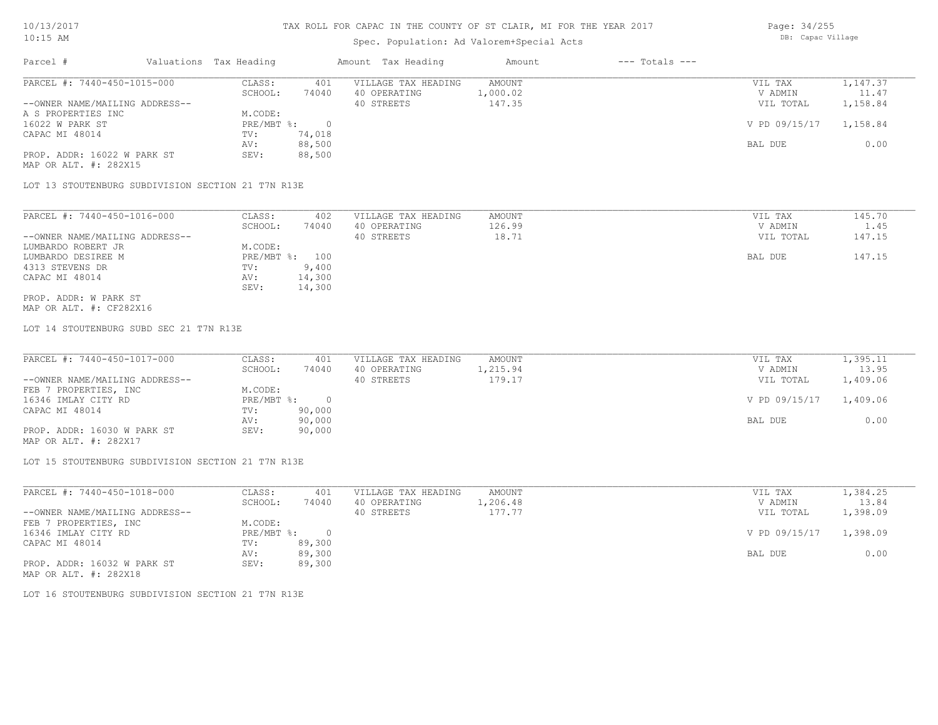### Spec. Population: Ad Valorem+Special Acts

Page: 34/255 DB: Capac Village

| Parcel #                       | Valuations Tax Heading |        | Amount Tax Heading  | Amount   | $---$ Totals $---$ |               |          |
|--------------------------------|------------------------|--------|---------------------|----------|--------------------|---------------|----------|
| PARCEL #: 7440-450-1015-000    | CLASS:                 | 401    | VILLAGE TAX HEADING | AMOUNT   |                    | VIL TAX       | 1,147.37 |
|                                | SCHOOL:                | 74040  | 40 OPERATING        | 1,000.02 |                    | V ADMIN       | 11.47    |
| --OWNER NAME/MAILING ADDRESS-- |                        |        | 40 STREETS          | 147.35   |                    | VIL TOTAL     | 1,158.84 |
| A S PROPERTIES INC             | M.CODE:                |        |                     |          |                    |               |          |
| 16022 W PARK ST                | $PRE/MBT$ %:           |        |                     |          |                    | V PD 09/15/17 | 1,158.84 |
| CAPAC MI 48014                 | TV:                    | 74,018 |                     |          |                    |               |          |
|                                | AV:                    | 88,500 |                     |          |                    | BAL DUE       | 0.00     |
| PROP. ADDR: 16022 W PARK ST    | SEV:                   | 88,500 |                     |          |                    |               |          |
| MAP OR ALT. #: 282X15          |                        |        |                     |          |                    |               |          |

LOT 13 STOUTENBURG SUBDIVISION SECTION 21 T7N R13E

| PARCEL #: 7440-450-1016-000    | CLASS:         | 402    | VILLAGE TAX HEADING | AMOUNT | VIL TAX   | 145.70 |
|--------------------------------|----------------|--------|---------------------|--------|-----------|--------|
|                                | SCHOOL:        | 74040  | 40 OPERATING        | 126.99 | V ADMIN   | 1.45   |
| --OWNER NAME/MAILING ADDRESS-- |                |        | 40 STREETS          | 18.71  | VIL TOTAL | 147.15 |
| LUMBARDO ROBERT JR             | M.CODE:        |        |                     |        |           |        |
| LUMBARDO DESIREE M             | PRE/MBT %: 100 |        |                     |        | BAL DUE   | 147.15 |
| 4313 STEVENS DR                | TV:            | 9,400  |                     |        |           |        |
| CAPAC MI 48014                 | AV:            | 14,300 |                     |        |           |        |
|                                | SEV:           | 14,300 |                     |        |           |        |
| PROP. ADDR: W PARK ST          |                |        |                     |        |           |        |

MAP OR ALT. #: CF282X16

LOT 14 STOUTENBURG SUBD SEC 21 T7N R13E

| PARCEL #: 7440-450-1017-000    | CLASS:     | 401    | VILLAGE TAX HEADING | AMOUNT   | VIL TAX       | 1,395.11 |
|--------------------------------|------------|--------|---------------------|----------|---------------|----------|
|                                | SCHOOL:    | 74040  | 40 OPERATING        | 1,215.94 | V ADMIN       | 13.95    |
| --OWNER NAME/MAILING ADDRESS-- |            |        | 40 STREETS          | 179.17   | VIL TOTAL     | 1,409.06 |
| FEB 7 PROPERTIES, INC          | M.CODE:    |        |                     |          |               |          |
| 16346 IMLAY CITY RD            | PRE/MBT %: |        |                     |          | V PD 09/15/17 | 1,409.06 |
| CAPAC MI 48014                 | TV:        | 90,000 |                     |          |               |          |
|                                | AV:        | 90,000 |                     |          | BAL DUE       | 0.00     |
| PROP. ADDR: 16030 W PARK ST    | SEV:       | 90,000 |                     |          |               |          |
| MAP OR ALT. #: 282X17          |            |        |                     |          |               |          |

LOT 15 STOUTENBURG SUBDIVISION SECTION 21 T7N R13E

| PARCEL #: 7440-450-1018-000    | CLASS:       | 401    | VILLAGE TAX HEADING | AMOUNT   | VIL TAX       | 1,384.25 |
|--------------------------------|--------------|--------|---------------------|----------|---------------|----------|
|                                | SCHOOL:      | 74040  | 40 OPERATING        | 1,206.48 | V ADMIN       | 13.84    |
| --OWNER NAME/MAILING ADDRESS-- |              |        | 40 STREETS          | 177.77   | VIL TOTAL     | 1,398.09 |
| FEB 7 PROPERTIES, INC          | M.CODE:      |        |                     |          |               |          |
| 16346 IMLAY CITY RD            | $PRE/MBT$ %: |        |                     |          | V PD 09/15/17 | 1,398.09 |
| CAPAC MI 48014                 | TV:          | 89,300 |                     |          |               |          |
|                                | AV:          | 89,300 |                     |          | BAL DUE       | 0.00     |
| PROP. ADDR: 16032 W PARK ST    | SEV:         | 89,300 |                     |          |               |          |
| MAP OR ALT. #: 282X18          |              |        |                     |          |               |          |

LOT 16 STOUTENBURG SUBDIVISION SECTION 21 T7N R13E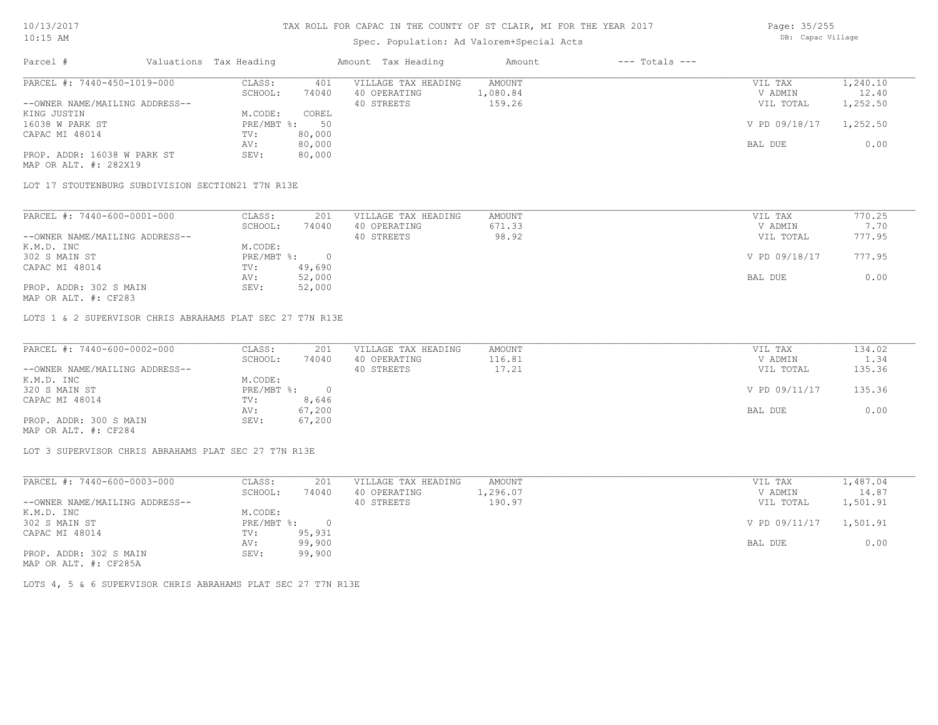### Spec. Population: Ad Valorem+Special Acts

| Page: 35/255      |
|-------------------|
| DB: Capac Village |

| Parcel #                       | Valuations Tax Heading |        | Amount Tax Heading  | Amount   | $---$ Totals $---$ |               |          |
|--------------------------------|------------------------|--------|---------------------|----------|--------------------|---------------|----------|
| PARCEL #: 7440-450-1019-000    | CLASS:                 | 401    | VILLAGE TAX HEADING | AMOUNT   |                    | VIL TAX       | 1,240.10 |
|                                | SCHOOL:                | 74040  | 40 OPERATING        | 1,080.84 |                    | V ADMIN       | 12.40    |
| --OWNER NAME/MAILING ADDRESS-- |                        |        | 40 STREETS          | 159.26   |                    | VIL TOTAL     | 1,252.50 |
| KING JUSTIN                    | M.CODE:                | COREL  |                     |          |                    |               |          |
| 16038 W PARK ST                | $PRE/MBT$ %:           | 50     |                     |          |                    | V PD 09/18/17 | 1,252.50 |
| CAPAC MI 48014                 | TV:                    | 80,000 |                     |          |                    |               |          |
|                                | AV:                    | 80,000 |                     |          |                    | BAL DUE       | 0.00     |
| PROP. ADDR: 16038 W PARK ST    | SEV:                   | 80,000 |                     |          |                    |               |          |
|                                |                        |        |                     |          |                    |               |          |

MAP OR ALT. #: 282X19

LOT 17 STOUTENBURG SUBDIVISION SECTION21 T7N R13E

| PARCEL #: 7440-600-0001-000    | CLASS:     | 201    | VILLAGE TAX HEADING | AMOUNT | VIL TAX       | 770.25 |
|--------------------------------|------------|--------|---------------------|--------|---------------|--------|
|                                | SCHOOL:    | 74040  | 40 OPERATING        | 671.33 | V ADMIN       | 7.70   |
| --OWNER NAME/MAILING ADDRESS-- |            |        | 40 STREETS          | 98.92  | VIL TOTAL     | 777.95 |
| K.M.D. INC                     | M.CODE:    |        |                     |        |               |        |
| 302 S MAIN ST                  | PRE/MBT %: |        |                     |        | V PD 09/18/17 | 777.95 |
| CAPAC MI 48014                 | TV:        | 49,690 |                     |        |               |        |
|                                | AV:        | 52,000 |                     |        | BAL DUE       | 0.00   |
| PROP. ADDR: 302 S MAIN         | SEV:       | 52,000 |                     |        |               |        |
|                                |            |        |                     |        |               |        |

MAP OR ALT. #: CF283

LOTS 1 & 2 SUPERVISOR CHRIS ABRAHAMS PLAT SEC 27 T7N R13E

| PARCEL #: 7440-600-0002-000    | CLASS:     | 201    | VILLAGE TAX HEADING | AMOUNT | VIL TAX       | 134.02 |
|--------------------------------|------------|--------|---------------------|--------|---------------|--------|
|                                | SCHOOL:    | 74040  | 40 OPERATING        | 116.81 | V ADMIN       | 1.34   |
| --OWNER NAME/MAILING ADDRESS-- |            |        | 40 STREETS          | 17.21  | VIL TOTAL     | 135.36 |
| K.M.D. INC                     | M.CODE:    |        |                     |        |               |        |
| 320 S MAIN ST                  | PRE/MBT %: |        |                     |        | V PD 09/11/17 | 135.36 |
| CAPAC MI 48014                 | TV:        | 8,646  |                     |        |               |        |
|                                | AV:        | 67,200 |                     |        | BAL DUE       | 0.00   |
| PROP. ADDR: 300 S MAIN         | SEV:       | 67,200 |                     |        |               |        |
| MAP OR ALT. #: CF284           |            |        |                     |        |               |        |

LOT 3 SUPERVISOR CHRIS ABRAHAMS PLAT SEC 27 T7N R13E

| PARCEL #: 7440-600-0003-000    | CLASS:     | 201    | VILLAGE TAX HEADING | AMOUNT   | VIL TAX                | 1,487.04 |
|--------------------------------|------------|--------|---------------------|----------|------------------------|----------|
|                                | SCHOOL:    | 74040  | 40 OPERATING        | 1,296.07 | V ADMIN                | 14.87    |
| --OWNER NAME/MAILING ADDRESS-- |            |        | 40 STREETS          | 190.97   | VIL TOTAL              | 1,501.91 |
| K.M.D. INC                     | M.CODE:    |        |                     |          |                        |          |
| 302 S MAIN ST                  | PRE/MBT %: |        |                     |          | V PD 09/11/17 1,501.91 |          |
| CAPAC MI 48014                 | TV:        | 95,931 |                     |          |                        |          |
|                                | AV:        | 99,900 |                     |          | BAL DUE                | 0.00     |
| PROP. ADDR: 302 S MAIN         | SEV:       | 99,900 |                     |          |                        |          |
| $\frac{1}{2}$                  |            |        |                     |          |                        |          |

MAP OR ALT. #: CF285A

LOTS 4, 5 & 6 SUPERVISOR CHRIS ABRAHAMS PLAT SEC 27 T7N R13E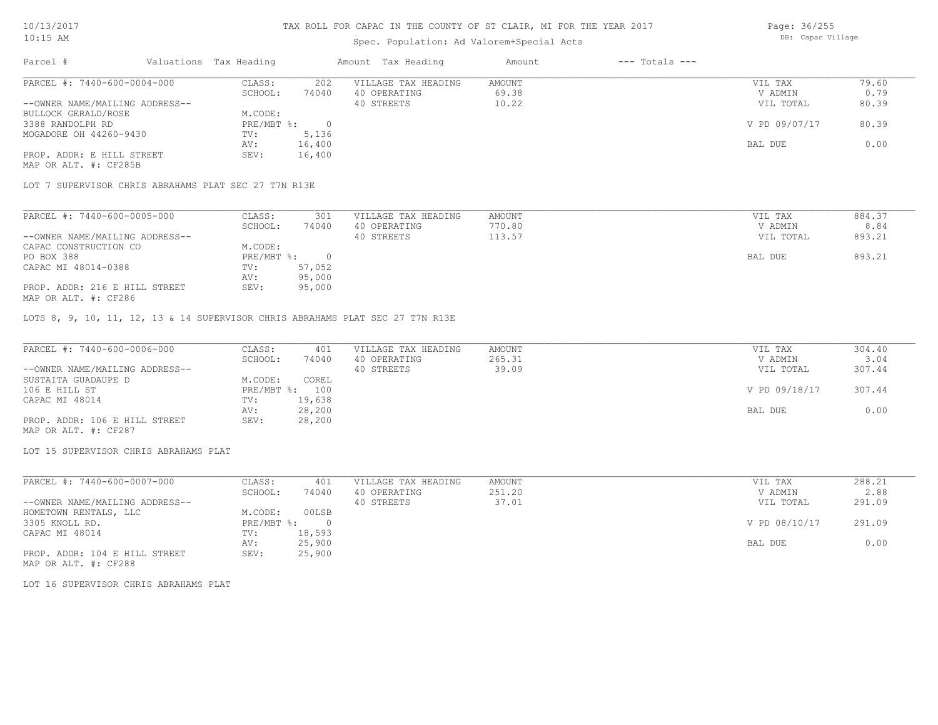## Spec. Population: Ad Valorem+Special Acts

Page: 36/255 DB: Capac Village

| Parcel #                       | Valuations Tax Heading |        | Amount Tax Heading  | Amount | $---$ Totals $---$ |               |       |
|--------------------------------|------------------------|--------|---------------------|--------|--------------------|---------------|-------|
| PARCEL #: 7440-600-0004-000    | CLASS:                 | 202    | VILLAGE TAX HEADING | AMOUNT |                    | VIL TAX       | 79.60 |
|                                | SCHOOL:                | 74040  | 40 OPERATING        | 69.38  |                    | V ADMIN       | 0.79  |
| --OWNER NAME/MAILING ADDRESS-- |                        |        | 40 STREETS          | 10.22  |                    | VIL TOTAL     | 80.39 |
| BULLOCK GERALD/ROSE            | M.CODE:                |        |                     |        |                    |               |       |
| 3388 RANDOLPH RD               | PRE/MBT %:             |        |                     |        |                    | V PD 09/07/17 | 80.39 |
| MOGADORE OH 44260-9430         | TV:                    | 5,136  |                     |        |                    |               |       |
|                                | AV:                    | 16,400 |                     |        |                    | BAL DUE       | 0.00  |
| PROP. ADDR: E HILL STREET      | SEV:                   | 16,400 |                     |        |                    |               |       |
| MAP OR ALT. #: CF285B          |                        |        |                     |        |                    |               |       |

LOT 7 SUPERVISOR CHRIS ABRAHAMS PLAT SEC 27 T7N R13E

| PARCEL #: 7440-600-0005-000    | CLASS:     | 301    | VILLAGE TAX HEADING | AMOUNT | VIL TAX   | 884.37 |
|--------------------------------|------------|--------|---------------------|--------|-----------|--------|
|                                | SCHOOL:    | 74040  | 40 OPERATING        | 770.80 | V ADMIN   | 8.84   |
| --OWNER NAME/MAILING ADDRESS-- |            |        | 40 STREETS          | 113.57 | VIL TOTAL | 893.21 |
| CAPAC CONSTRUCTION CO          | M.CODE:    |        |                     |        |           |        |
| PO BOX 388                     | PRE/MBT %: |        |                     |        | BAL DUE   | 893.21 |
| CAPAC MI 48014-0388            | TV:        | 57,052 |                     |        |           |        |
|                                | AV:        | 95,000 |                     |        |           |        |
| PROP. ADDR: 216 E HILL STREET  | SEV:       | 95,000 |                     |        |           |        |
| MAP OR ALT. #: CF286           |            |        |                     |        |           |        |

LOTS 8, 9, 10, 11, 12, 13 & 14 SUPERVISOR CHRIS ABRAHAMS PLAT SEC 27 T7N R13E

| PARCEL #: 7440-600-0006-000    | CLASS:  | 401            | VILLAGE TAX HEADING | AMOUNT | VIL TAX       | 304.40 |
|--------------------------------|---------|----------------|---------------------|--------|---------------|--------|
|                                | SCHOOL: | 74040          | 40 OPERATING        | 265.31 | V ADMIN       | 3.04   |
| --OWNER NAME/MAILING ADDRESS-- |         |                | 40 STREETS          | 39.09  | VIL TOTAL     | 307.44 |
| SUSTAITA GUADAUPE D            | M.CODE: | COREL          |                     |        |               |        |
| 106 E HILL ST                  |         | PRE/MBT %: 100 |                     |        | V PD 09/18/17 | 307.44 |
| CAPAC MI 48014                 | TV:     | 19,638         |                     |        |               |        |
|                                | AV:     | 28,200         |                     |        | BAL DUE       | 0.00   |
| PROP. ADDR: 106 E HILL STREET  | SEV:    | 28,200         |                     |        |               |        |
| MAP OR ALT. #: CF287           |         |                |                     |        |               |        |

LOT 15 SUPERVISOR CHRIS ABRAHAMS PLAT

| PARCEL #: 7440-600-0007-000    | CLASS:     | 401    | VILLAGE TAX HEADING | AMOUNT | VIL TAX       | 288.21 |
|--------------------------------|------------|--------|---------------------|--------|---------------|--------|
|                                | SCHOOL:    | 74040  | 40 OPERATING        | 251.20 | V ADMIN       | 2.88   |
| --OWNER NAME/MAILING ADDRESS-- |            |        | 40 STREETS          | 37.01  | VIL TOTAL     | 291.09 |
| HOMETOWN RENTALS, LLC          | M.CODE:    | 00LSB  |                     |        |               |        |
| 3305 KNOLL RD.                 | PRE/MBT %: |        |                     |        | V PD 08/10/17 | 291.09 |
| CAPAC MI 48014                 | TV:        | 18,593 |                     |        |               |        |
|                                | AV:        | 25,900 |                     |        | BAL DUE       | 0.00   |
| PROP. ADDR: 104 E HILL STREET  | SEV:       | 25,900 |                     |        |               |        |

MAP OR ALT. #: CF288

LOT 16 SUPERVISOR CHRIS ABRAHAMS PLAT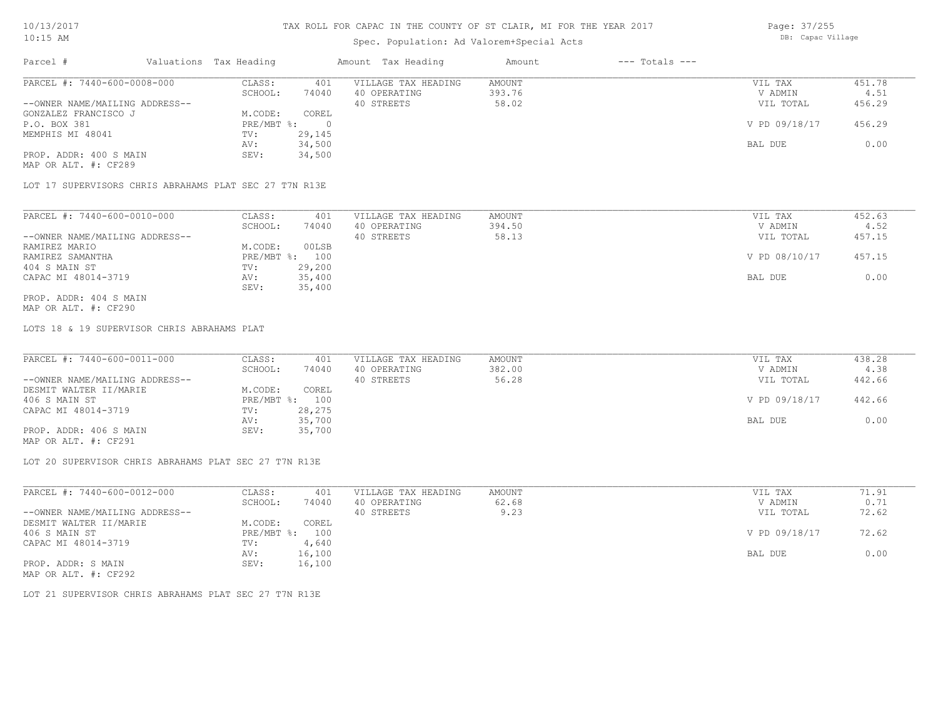## Spec. Population: Ad Valorem+Special Acts

Page: 37/255 DB: Capac Village

| Parcel #                       | Valuations Tax Heading |        | Amount Tax Heading  | Amount | $---$ Totals $---$ |               |        |
|--------------------------------|------------------------|--------|---------------------|--------|--------------------|---------------|--------|
| PARCEL #: 7440-600-0008-000    | CLASS:                 | 401    | VILLAGE TAX HEADING | AMOUNT |                    | VIL TAX       | 451.78 |
|                                | SCHOOL:                | 74040  | 40 OPERATING        | 393.76 |                    | V ADMIN       | 4.51   |
| --OWNER NAME/MAILING ADDRESS-- |                        |        | 40 STREETS          | 58.02  |                    | VIL TOTAL     | 456.29 |
| GONZALEZ FRANCISCO J           | M.CODE:                | COREL  |                     |        |                    |               |        |
| P.O. BOX 381                   | $PRE/MBT$ %:           |        |                     |        |                    | V PD 09/18/17 | 456.29 |
| MEMPHIS MI 48041               | TV:                    | 29,145 |                     |        |                    |               |        |
|                                | AV:                    | 34,500 |                     |        |                    | BAL DUE       | 0.00   |
| PROP. ADDR: 400 S MAIN         | SEV:                   | 34,500 |                     |        |                    |               |        |
| MAP OR ALT. #: CF289           |                        |        |                     |        |                    |               |        |

LOT 17 SUPERVISORS CHRIS ABRAHAMS PLAT SEC 27 T7N R13E

| PARCEL #: 7440-600-0010-000    | CLASS:  | 401            | VILLAGE TAX HEADING | AMOUNT | VIL TAX       | 452.63 |
|--------------------------------|---------|----------------|---------------------|--------|---------------|--------|
|                                | SCHOOL: | 74040          | 40 OPERATING        | 394.50 | V ADMIN       | 4.52   |
| --OWNER NAME/MAILING ADDRESS-- |         |                | 40 STREETS          | 58.13  | VIL TOTAL     | 457.15 |
| RAMIREZ MARIO                  | M.CODE: | 00LSB          |                     |        |               |        |
| RAMIREZ SAMANTHA               |         | PRE/MBT %: 100 |                     |        | V PD 08/10/17 | 457.15 |
| 404 S MAIN ST                  | TV:     | 29,200         |                     |        |               |        |
| CAPAC MI 48014-3719            | AV:     | 35,400         |                     |        | BAL DUE       | 0.00   |
|                                | SEV:    | 35,400         |                     |        |               |        |
| PROP. ADDR: 404 S MAIN         |         |                |                     |        |               |        |

MAP OR ALT. #: CF290

LOTS 18 & 19 SUPERVISOR CHRIS ABRAHAMS PLAT

| PARCEL #: 7440-600-0011-000    | CLASS:  | 401            | VILLAGE TAX HEADING | AMOUNT | VIL TAX       | 438.28 |
|--------------------------------|---------|----------------|---------------------|--------|---------------|--------|
|                                | SCHOOL: | 74040          | 40 OPERATING        | 382.00 | V ADMIN       | 4.38   |
| --OWNER NAME/MAILING ADDRESS-- |         |                | 40 STREETS          | 56.28  | VIL TOTAL     | 442.66 |
| DESMIT WALTER II/MARIE         | M.CODE: | COREL          |                     |        |               |        |
| 406 S MAIN ST                  |         | PRE/MBT %: 100 |                     |        | V PD 09/18/17 | 442.66 |
| CAPAC MI 48014-3719            | TV:     | 28,275         |                     |        |               |        |
|                                | AV:     | 35,700         |                     |        | BAL DUE       | 0.00   |
| PROP. ADDR: 406 S MAIN         | SEV:    | 35,700         |                     |        |               |        |
|                                |         |                |                     |        |               |        |

MAP OR ALT. #: CF291

LOT 20 SUPERVISOR CHRIS ABRAHAMS PLAT SEC 27 T7N R13E

| PARCEL #: 7440-600-0012-000    | CLASS:       | 401    | VILLAGE TAX HEADING | AMOUNT | VIL TAX       | 71.91 |
|--------------------------------|--------------|--------|---------------------|--------|---------------|-------|
|                                | SCHOOL:      | 74040  | 40 OPERATING        | 62.68  | V ADMIN       | 0.71  |
| --OWNER NAME/MAILING ADDRESS-- |              |        | 40 STREETS          | 9.23   | VIL TOTAL     | 72.62 |
| DESMIT WALTER II/MARIE         | M.CODE:      | COREL  |                     |        |               |       |
| 406 S MAIN ST                  | $PRE/MBT$ %: | 100    |                     |        | V PD 09/18/17 | 72.62 |
| CAPAC MI 48014-3719            | TV:          | 4,640  |                     |        |               |       |
|                                | AV:          | 16,100 |                     |        | BAL DUE       | 0.00  |
| PROP. ADDR: S MAIN             | SEV:         | 16,100 |                     |        |               |       |
| MAP OR ALT. #: CF292           |              |        |                     |        |               |       |

LOT 21 SUPERVISOR CHRIS ABRAHAMS PLAT SEC 27 T7N R13E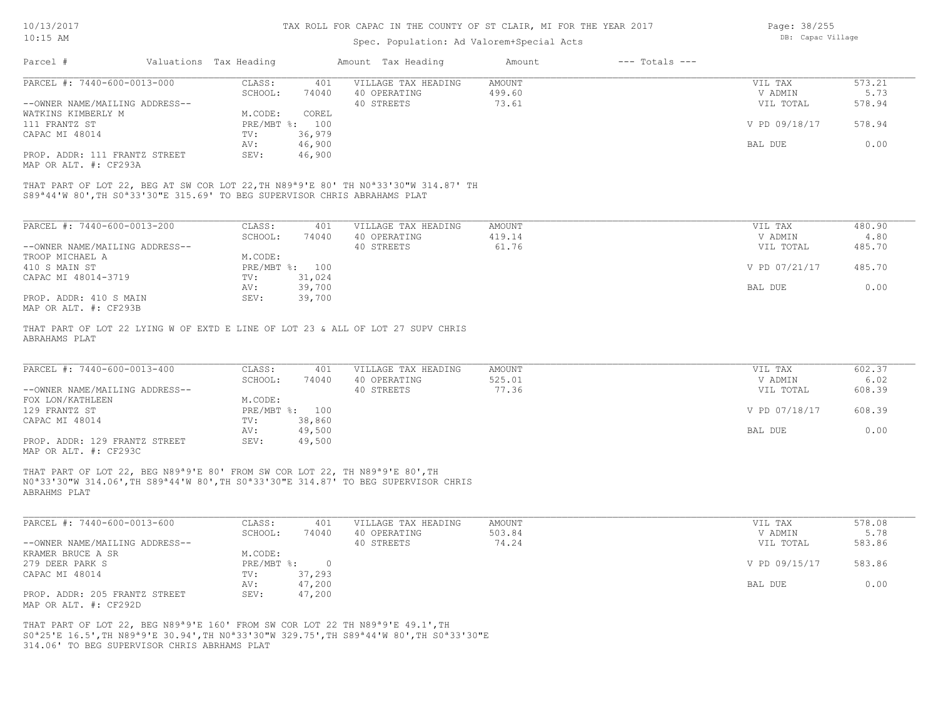### Spec. Population: Ad Valorem+Special Acts

| Page: 38/255      |
|-------------------|
| DB: Capac Village |

| Parcel #                                                                                                                                                                                                            | Valuations Tax Heading    |        | Amount Tax Heading  | Amount | $---$ Totals $---$ |               |        |
|---------------------------------------------------------------------------------------------------------------------------------------------------------------------------------------------------------------------|---------------------------|--------|---------------------|--------|--------------------|---------------|--------|
| PARCEL #: 7440-600-0013-000                                                                                                                                                                                         | CLASS:                    | 401    | VILLAGE TAX HEADING | AMOUNT |                    | VIL TAX       | 573.21 |
|                                                                                                                                                                                                                     | SCHOOL:                   | 74040  | 40 OPERATING        | 499.60 |                    | V ADMIN       | 5.73   |
| --OWNER NAME/MAILING ADDRESS--                                                                                                                                                                                      |                           |        | 40 STREETS          | 73.61  |                    | VIL TOTAL     | 578.94 |
| WATKINS KIMBERLY M                                                                                                                                                                                                  | M.CODE:                   | COREL  |                     |        |                    |               |        |
| 111 FRANTZ ST                                                                                                                                                                                                       | $PRE/MBT$ $\frac{1}{6}$ : | 100    |                     |        |                    | V PD 09/18/17 | 578.94 |
| CAPAC MI 48014                                                                                                                                                                                                      | TV:                       | 36,979 |                     |        |                    |               |        |
|                                                                                                                                                                                                                     | AV:                       | 46,900 |                     |        |                    | BAL DUE       | 0.00   |
| PROP. ADDR: 111 FRANTZ STREET                                                                                                                                                                                       | SEV:                      | 46,900 |                     |        |                    |               |        |
| MAP OR ALT. #: CF293A                                                                                                                                                                                               |                           |        |                     |        |                    |               |        |
| THAT PART OF LOT 22, BEG AT SW COR LOT 22, TH N89 <sup>a</sup> 9'E 80' TH N0 <sup>a</sup> 33'30"W 314.87' TH<br>S89 <sup>ª</sup> 44'W 80', TH S0 <sup>ª</sup> 33'30"E 315.69' TO BEG SUPERVISOR CHRIS ABRAHAMS PLAT |                           |        |                     |        |                    |               |        |
|                                                                                                                                                                                                                     |                           |        |                     |        |                    |               |        |
| PARCEL #: 7440-600-0013-200                                                                                                                                                                                         | CLASS:                    | 401    | VILLAGE TAX HEADING | AMOUNT |                    | VIL TAX       | 480.90 |
|                                                                                                                                                                                                                     | SCHOOL:                   | 74040  | 40 OPERATING        | 419.14 |                    | V ADMIN       | 4.80   |
| --OWNER NAME/MAILING ADDRESS--                                                                                                                                                                                      |                           |        | 40 STREETS          | 61.76  |                    | VIL TOTAL     | 485.70 |
| TROOP MICHAEL A                                                                                                                                                                                                     | M.CODE:                   |        |                     |        |                    |               |        |
| 410 S MAIN ST                                                                                                                                                                                                       | PRE/MBT %: 100            |        |                     |        |                    | V PD 07/21/17 | 485.70 |
| CAPAC MI 48014-3719                                                                                                                                                                                                 | TV:                       | 31,024 |                     |        |                    |               |        |
|                                                                                                                                                                                                                     | AV:                       | 39,700 |                     |        |                    | BAL DUE       | 0.00   |
| PROP. ADDR: 410 S MAIN<br>MAP OR ALT. #: CF293B                                                                                                                                                                     | SEV:                      | 39,700 |                     |        |                    |               |        |

ABRAHAMS PLAT THAT PART OF LOT 22 LYING W OF EXTD E LINE OF LOT 23 & ALL OF LOT 27 SUPV CHRIS

| PARCEL #: 7440-600-0013-400    | CLASS:  | 401            | VILLAGE TAX HEADING | AMOUNT | VIL TAX       | 602.37 |
|--------------------------------|---------|----------------|---------------------|--------|---------------|--------|
|                                | SCHOOL: | 74040          | 40 OPERATING        | 525.01 | V ADMIN       | 6.02   |
| --OWNER NAME/MAILING ADDRESS-- |         |                | 40 STREETS          | 77.36  | VIL TOTAL     | 608.39 |
| FOX LON/KATHLEEN               | M.CODE: |                |                     |        |               |        |
| 129 FRANTZ ST                  |         | PRE/MBT %: 100 |                     |        | V PD 07/18/17 | 608.39 |
| CAPAC MI 48014                 | TV:     | 38,860         |                     |        |               |        |
|                                | AV:     | 49,500         |                     |        | BAL DUE       | 0.00   |
| PROP. ADDR: 129 FRANTZ STREET  | SEV:    | 49,500         |                     |        |               |        |
| MAP OR ALT. #: CF293C          |         |                |                     |        |               |        |

ABRAHMS PLAT N0ª33'30"W 314.06',TH S89ª44'W 80',TH S0ª33'30"E 314.87' TO BEG SUPERVISOR CHRIS THAT PART OF LOT 22, BEG N89ª9'E 80' FROM SW COR LOT 22, TH N89ª9'E 80',TH

| PARCEL #: 7440-600-0013-600    | CLASS:       | 401    | VILLAGE TAX HEADING | AMOUNT | VIL TAX       | 578.08 |
|--------------------------------|--------------|--------|---------------------|--------|---------------|--------|
|                                | SCHOOL:      | 74040  | 40 OPERATING        | 503.84 | V ADMIN       | 5.78   |
| --OWNER NAME/MAILING ADDRESS-- |              |        | 40 STREETS          | 74.24  | VIL TOTAL     | 583.86 |
| KRAMER BRUCE A SR              | M.CODE:      |        |                     |        |               |        |
| 279 DEER PARK S                | $PRE/MBT$ %: |        |                     |        | V PD 09/15/17 | 583.86 |
| CAPAC MI 48014                 | TV:          | 37,293 |                     |        |               |        |
|                                | AV:          | 47,200 |                     |        | BAL DUE       | 0.00   |
| PROP. ADDR: 205 FRANTZ STREET  | SEV:         | 47,200 |                     |        |               |        |
| MAP OR ALT. #: CF292D          |              |        |                     |        |               |        |

314.06' TO BEG SUPERVISOR CHRIS ABRHAMS PLAT S0ª25'E 16.5',TH N89ª9'E 30.94',TH N0ª33'30"W 329.75',TH S89ª44'W 80',TH S0ª33'30"E THAT PART OF LOT 22, BEG N89ª9'E 160' FROM SW COR LOT 22 TH N89ª9'E 49.1',TH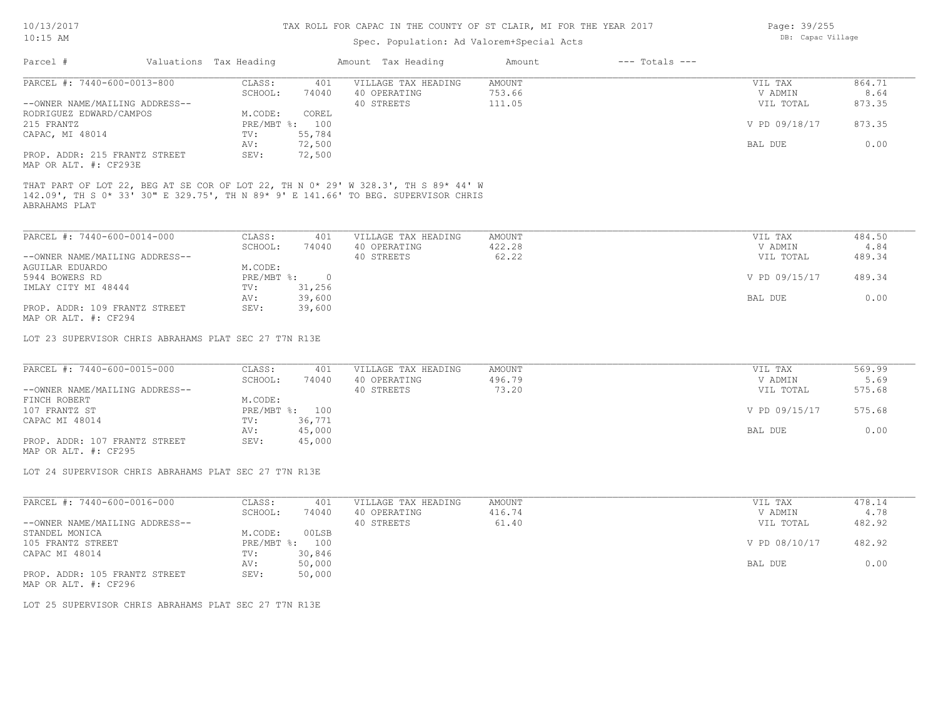## Spec. Population: Ad Valorem+Special Acts

| Page: 39/255      |
|-------------------|
| DB: Capac Village |

|                                                        | Valuations Tax Heading         | Amount Tax Heading  | Amount        | $---$ Totals $---$ |               |        |
|--------------------------------------------------------|--------------------------------|---------------------|---------------|--------------------|---------------|--------|
| PARCEL #: 7440-600-0013-800                            | CLASS:<br>401                  | VILLAGE TAX HEADING | <b>AMOUNT</b> |                    | VIL TAX       | 864.71 |
|                                                        | SCHOOL:<br>74040               | 40 OPERATING        | 753.66        |                    | V ADMIN       | 8.64   |
| --OWNER NAME/MAILING ADDRESS--                         |                                | 40 STREETS          | 111.05        |                    | VIL TOTAL     | 873.35 |
| RODRIGUEZ EDWARD/CAMPOS                                | M.CODE:<br>COREL               |                     |               |                    |               |        |
| 215 FRANTZ                                             | PRE/MBT %: 100                 |                     |               |                    | V PD 09/18/17 | 873.35 |
| CAPAC, MI 48014                                        | 55,784<br>TV:                  |                     |               |                    |               |        |
|                                                        | 72,500<br>AV:                  |                     |               |                    | BAL DUE       | 0.00   |
| PROP. ADDR: 215 FRANTZ STREET<br>MAP OR ALT. #: CF293E | 72,500<br>SEV:                 |                     |               |                    |               |        |
|                                                        |                                |                     |               |                    |               |        |
| PARCEL #: 7440-600-0014-000                            | CLASS:<br>401                  | VILLAGE TAX HEADING | AMOUNT        |                    | VIL TAX       | 484.50 |
| --OWNER NAME/MAILING ADDRESS--                         | SCHOOL:<br>74040               | 40 OPERATING        | 422.28        |                    | V ADMIN       | 4.84   |
| AGUILAR EDUARDO                                        | M.CODE:                        | 40 STREETS          | 62.22         |                    | VIL TOTAL     | 489.34 |
| 5944 BOWERS RD                                         | $PRE/MBT$ %:<br>$\overline{0}$ |                     |               |                    | V PD 09/15/17 | 489.34 |
| IMLAY CITY MI 48444                                    | 31,256<br>TV:                  |                     |               |                    |               |        |
|                                                        | 39,600<br>AV:                  |                     |               |                    | BAL DUE       | 0.00   |
| PROP. ADDR: 109 FRANTZ STREET                          | 39,600<br>SEV:                 |                     |               |                    |               |        |
| MAP OR ALT. #: CF294                                   |                                |                     |               |                    |               |        |
|                                                        |                                |                     |               |                    |               |        |
| LOT 23 SUPERVISOR CHRIS ABRAHAMS PLAT SEC 27 T7N R13E  |                                |                     |               |                    |               |        |

| PARCEL #: 7440-600-0015-000    | CLASS:       | 401    | VILLAGE TAX HEADING | AMOUNT | VIL TAX       | 569.99 |
|--------------------------------|--------------|--------|---------------------|--------|---------------|--------|
|                                | SCHOOL:      | 74040  | 40 OPERATING        | 496.79 | V ADMIN       | 5.69   |
| --OWNER NAME/MAILING ADDRESS-- |              |        | 40 STREETS          | 73.20  | VIL TOTAL     | 575.68 |
| FINCH ROBERT                   | M.CODE:      |        |                     |        |               |        |
| 107 FRANTZ ST                  | $PRE/MBT$ %: | 100    |                     |        | V PD 09/15/17 | 575.68 |
| CAPAC MI 48014                 | TV:          | 36,771 |                     |        |               |        |
|                                | AV:          | 45,000 |                     |        | BAL DUE       | 0.00   |
| PROP. ADDR: 107 FRANTZ STREET  | SEV:         | 45,000 |                     |        |               |        |

MAP OR ALT. #: CF295

LOT 24 SUPERVISOR CHRIS ABRAHAMS PLAT SEC 27 T7N R13E

| PARCEL #: 7440-600-0016-000    | CLASS:       | 401    | VILLAGE TAX HEADING | AMOUNT | VIL TAX       | 478.14 |
|--------------------------------|--------------|--------|---------------------|--------|---------------|--------|
|                                | SCHOOL:      | 74040  | 40 OPERATING        | 416.74 | V ADMIN       | 4.78   |
| --OWNER NAME/MAILING ADDRESS-- |              |        | 40 STREETS          | 61.40  | VIL TOTAL     | 482.92 |
| STANDEL MONICA                 | M.CODE:      | 00LSB  |                     |        |               |        |
| 105 FRANTZ STREET              | $PRE/MBT$ %: | 100    |                     |        | V PD 08/10/17 | 482.92 |
| CAPAC MI 48014                 | TV:          | 30,846 |                     |        |               |        |
|                                | AV:          | 50,000 |                     |        | BAL DUE       | 0.00   |
| PROP. ADDR: 105 FRANTZ STREET  | SEV:         | 50,000 |                     |        |               |        |
| MAP OR ALT. #: CF296           |              |        |                     |        |               |        |

LOT 25 SUPERVISOR CHRIS ABRAHAMS PLAT SEC 27 T7N R13E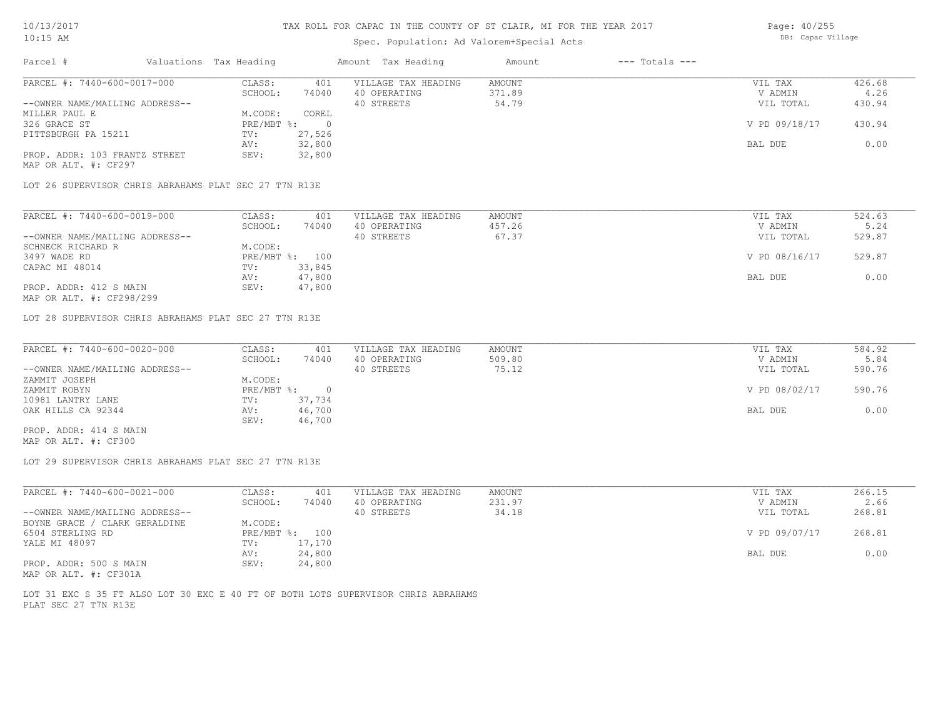## Spec. Population: Ad Valorem+Special Acts

| Page: 40/255      |
|-------------------|
| DB: Capac Village |

|                                                               |                                                       | Valuations Tax Heading |                | Amount Tax Heading                                | Amount                    | $---$ Totals $---$ |                                 |                          |
|---------------------------------------------------------------|-------------------------------------------------------|------------------------|----------------|---------------------------------------------------|---------------------------|--------------------|---------------------------------|--------------------------|
| PARCEL #: 7440-600-0017-000                                   |                                                       | CLASS:                 | 401            | VILLAGE TAX HEADING                               | <b>AMOUNT</b>             |                    | VIL TAX                         | 426.68                   |
|                                                               |                                                       | SCHOOL:                | 74040          | 40 OPERATING                                      | 371.89                    |                    | V ADMIN                         | 4.26                     |
| --OWNER NAME/MAILING ADDRESS--                                |                                                       |                        |                | 40 STREETS                                        | 54.79                     |                    | VIL TOTAL                       | 430.94                   |
| MILLER PAUL E                                                 |                                                       | M.CODE:                | COREL          |                                                   |                           |                    |                                 |                          |
| 326 GRACE ST                                                  |                                                       | $PRE/MBT$ $\div$       | $\overline{0}$ |                                                   |                           |                    | V PD 09/18/17                   | 430.94                   |
| PITTSBURGH PA 15211                                           |                                                       | TV:                    | 27,526         |                                                   |                           |                    |                                 |                          |
|                                                               |                                                       | AV:                    | 32,800         |                                                   |                           |                    | BAL DUE                         | 0.00                     |
| PROP. ADDR: 103 FRANTZ STREET                                 |                                                       | SEV:                   | 32,800         |                                                   |                           |                    |                                 |                          |
| MAP OR ALT. #: CF297                                          |                                                       |                        |                |                                                   |                           |                    |                                 |                          |
|                                                               | LOT 26 SUPERVISOR CHRIS ABRAHAMS PLAT SEC 27 T7N R13E |                        |                |                                                   |                           |                    |                                 |                          |
| PARCEL #: 7440-600-0019-000<br>--OWNER NAME/MAILING ADDRESS-- |                                                       | CLASS:<br>SCHOOL:      | 401<br>74040   | VILLAGE TAX HEADING<br>40 OPERATING<br>40 STREETS | AMOUNT<br>457.26<br>67.37 |                    | VIL TAX<br>V ADMIN<br>VIL TOTAL | 524.63<br>5.24<br>529.87 |
| SCHNECK RICHARD R                                             |                                                       | M.CODE:                |                |                                                   |                           |                    |                                 |                          |
| 3497 WADE RD                                                  |                                                       |                        | PRE/MBT %: 100 |                                                   |                           |                    | V PD 08/16/17                   | 529.87                   |
| CAPAC MI 48014                                                |                                                       | TV:                    | 33,845         |                                                   |                           |                    |                                 |                          |
|                                                               |                                                       | AV:                    | 47,800         |                                                   |                           |                    | BAL DUE                         | 0.00                     |
| PROP. ADDR: 412 S MAIN                                        |                                                       | SEV:                   | 47,800         |                                                   |                           |                    |                                 |                          |

| PARCEL #: 7440-600-0020-000    | CLASS:     | 401      | VILLAGE TAX HEADING | AMOUNT | VIL TAX       | 584.92 |
|--------------------------------|------------|----------|---------------------|--------|---------------|--------|
|                                | SCHOOL:    | 74040    | 40 OPERATING        | 509.80 | V ADMIN       | 5.84   |
| --OWNER NAME/MAILING ADDRESS-- |            |          | 40 STREETS          | 75.12  | VIL TOTAL     | 590.76 |
| ZAMMIT JOSEPH                  | M.CODE:    |          |                     |        |               |        |
| ZAMMIT ROBYN                   | PRE/MBT %: | $\Omega$ |                     |        | V PD 08/02/17 | 590.76 |
| 10981 LANTRY LANE              | TV:        | 37,734   |                     |        |               |        |
| OAK HILLS CA 92344             | AV:        | 46,700   |                     |        | BAL DUE       | 0.00   |
|                                | SEV:       | 46,700   |                     |        |               |        |
| PROP. ADDR: 414 S MAIN         |            |          |                     |        |               |        |

MAP OR ALT. #: CF300

LOT 29 SUPERVISOR CHRIS ABRAHAMS PLAT SEC 27 T7N R13E

| PARCEL #: 7440-600-0021-000    | CLASS:  | 401            | VILLAGE TAX HEADING | AMOUNT | VIL TAX       | 266.15 |
|--------------------------------|---------|----------------|---------------------|--------|---------------|--------|
|                                | SCHOOL: | 74040          | 40 OPERATING        | 231.97 | V ADMIN       | 2.66   |
| --OWNER NAME/MAILING ADDRESS-- |         |                | 40 STREETS          | 34.18  | VIL TOTAL     | 268.81 |
| BOYNE GRACE / CLARK GERALDINE  | M.CODE: |                |                     |        |               |        |
| 6504 STERLING RD               |         | PRE/MBT %: 100 |                     |        | V PD 09/07/17 | 268.81 |
| YALE MI 48097                  | TV:     | 17,170         |                     |        |               |        |
|                                | AV:     | 24,800         |                     |        | BAL DUE       | 0.00   |
| PROP. ADDR: 500 S MAIN         | SEV:    | 24,800         |                     |        |               |        |
| MAP OR ALT. #: CF301A          |         |                |                     |        |               |        |

PLAT SEC 27 T7N R13E LOT 31 EXC S 35 FT ALSO LOT 30 EXC E 40 FT OF BOTH LOTS SUPERVISOR CHRIS ABRAHAMS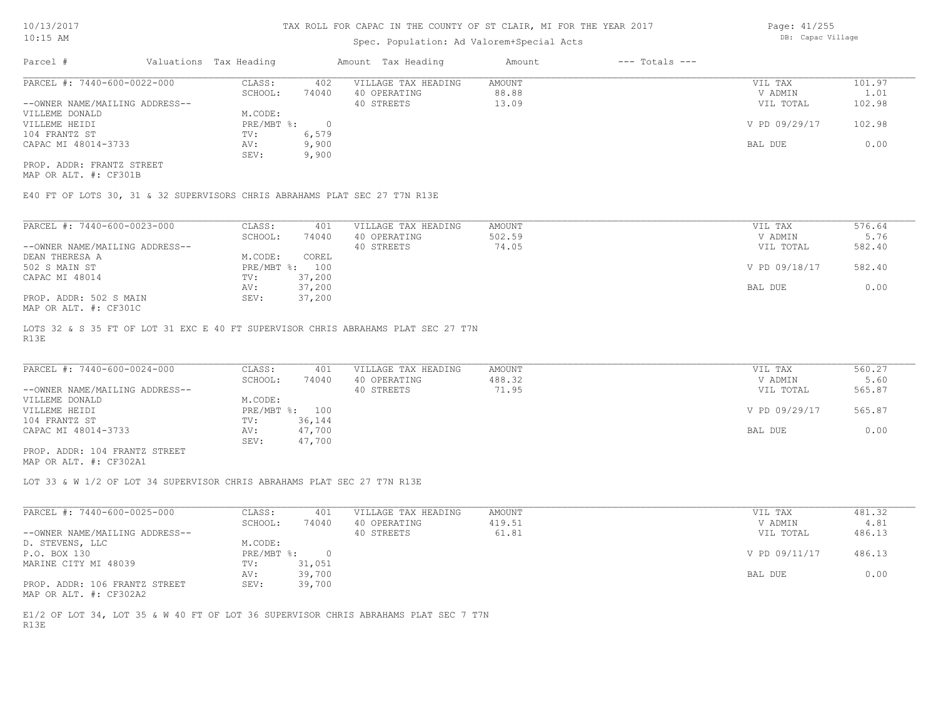### Spec. Population: Ad Valorem+Special Acts

Page: 41/255 DB: Capac Village

| Parcel #                       | Valuations Tax Heading |       | Amount Tax Heading  | Amount | $---$ Totals $---$ |               |        |
|--------------------------------|------------------------|-------|---------------------|--------|--------------------|---------------|--------|
| PARCEL #: 7440-600-0022-000    | CLASS:                 | 402   | VILLAGE TAX HEADING | AMOUNT |                    | VIL TAX       | 101.97 |
|                                | SCHOOL:                | 74040 | 40 OPERATING        | 88.88  |                    | V ADMIN       | 1.01   |
| --OWNER NAME/MAILING ADDRESS-- |                        |       | 40 STREETS          | 13.09  |                    | VIL TOTAL     | 102.98 |
| VILLEME DONALD                 | M.CODE:                |       |                     |        |                    |               |        |
| VILLEME HEIDI                  | PRE/MBT %:             |       |                     |        |                    | V PD 09/29/17 | 102.98 |
| 104 FRANTZ ST                  | TV:                    | 6,579 |                     |        |                    |               |        |
| CAPAC MI 48014-3733            | AV:                    | 9,900 |                     |        |                    | BAL DUE       | 0.00   |
|                                | SEV:                   | 9,900 |                     |        |                    |               |        |
| PROP. ADDR: FRANTZ STREET      |                        |       |                     |        |                    |               |        |

MAP OR ALT. #: CF301B

E40 FT OF LOTS 30, 31 & 32 SUPERVISORS CHRIS ABRAHAMS PLAT SEC 27 T7N R13E

| PARCEL #: 7440-600-0023-000      | CLASS:     | 401    | VILLAGE TAX HEADING | AMOUNT | VIL TAX       | 576.64 |
|----------------------------------|------------|--------|---------------------|--------|---------------|--------|
|                                  | SCHOOL:    | 74040  | 40 OPERATING        | 502.59 | V ADMIN       | 5.76   |
| --OWNER NAME/MAILING ADDRESS--   |            |        | 40 STREETS          | 74.05  | VIL TOTAL     | 582.40 |
| DEAN THERESA A                   | M.CODE:    | COREL  |                     |        |               |        |
| 502 S MAIN ST                    | PRE/MBT %: | 100    |                     |        | V PD 09/18/17 | 582.40 |
| CAPAC MI 48014                   | TV:        | 37,200 |                     |        |               |        |
|                                  | AV:        | 37,200 |                     |        | BAL DUE       | 0.00   |
| PROP. ADDR: 502 S MAIN           | SEV:       | 37,200 |                     |        |               |        |
| $1/25$ $25$ $37$ $1$ $25201$ $2$ |            |        |                     |        |               |        |

MAP OR ALT. #: CF301C

R13E LOTS 32 & S 35 FT OF LOT 31 EXC E 40 FT SUPERVISOR CHRIS ABRAHAMS PLAT SEC 27 T7N

| PARCEL #: 7440-600-0024-000    | CLASS:  | 401            | VILLAGE TAX HEADING | AMOUNT | VIL TAX       | 560.27 |
|--------------------------------|---------|----------------|---------------------|--------|---------------|--------|
|                                | SCHOOL: | 74040          | 40 OPERATING        | 488.32 | V ADMIN       | 5.60   |
| --OWNER NAME/MAILING ADDRESS-- |         |                | 40 STREETS          | 71.95  | VIL TOTAL     | 565.87 |
| VILLEME DONALD                 | M.CODE: |                |                     |        |               |        |
| VILLEME HEIDI                  |         | PRE/MBT %: 100 |                     |        | V PD 09/29/17 | 565.87 |
| 104 FRANTZ ST                  | TV:     | 36,144         |                     |        |               |        |
| CAPAC MI 48014-3733            | AV:     | 47,700         |                     |        | BAL DUE       | 0.00   |
|                                | SEV:    | 47,700         |                     |        |               |        |
|                                |         |                |                     |        |               |        |

MAP OR ALT. #: CF302A1 PROP. ADDR: 104 FRANTZ STREET

LOT 33 & W 1/2 OF LOT 34 SUPERVISOR CHRIS ABRAHAMS PLAT SEC 27 T7N R13E

| PARCEL #: 7440-600-0025-000    | CLASS:       | 401    | VILLAGE TAX HEADING | AMOUNT | VIL TAX       | 481.32 |
|--------------------------------|--------------|--------|---------------------|--------|---------------|--------|
|                                | SCHOOL:      | 74040  | 40 OPERATING        | 419.51 | V ADMIN       | 4.81   |
| --OWNER NAME/MAILING ADDRESS-- |              |        | 40 STREETS          | 61.81  | VIL TOTAL     | 486.13 |
| D. STEVENS, LLC                | M.CODE:      |        |                     |        |               |        |
| P.O. BOX 130                   | $PRE/MBT$ %: |        |                     |        | V PD 09/11/17 | 486.13 |
| MARINE CITY MI 48039           | TV:          | 31,051 |                     |        |               |        |
|                                | AV:          | 39,700 |                     |        | BAL DUE       | 0.00   |
| PROP. ADDR: 106 FRANTZ STREET  | SEV:         | 39,700 |                     |        |               |        |
| MAP OR ALT. #: CF302A2         |              |        |                     |        |               |        |

R13E E1/2 OF LOT 34, LOT 35 & W 40 FT OF LOT 36 SUPERVISOR CHRIS ABRAHAMS PLAT SEC 7 T7N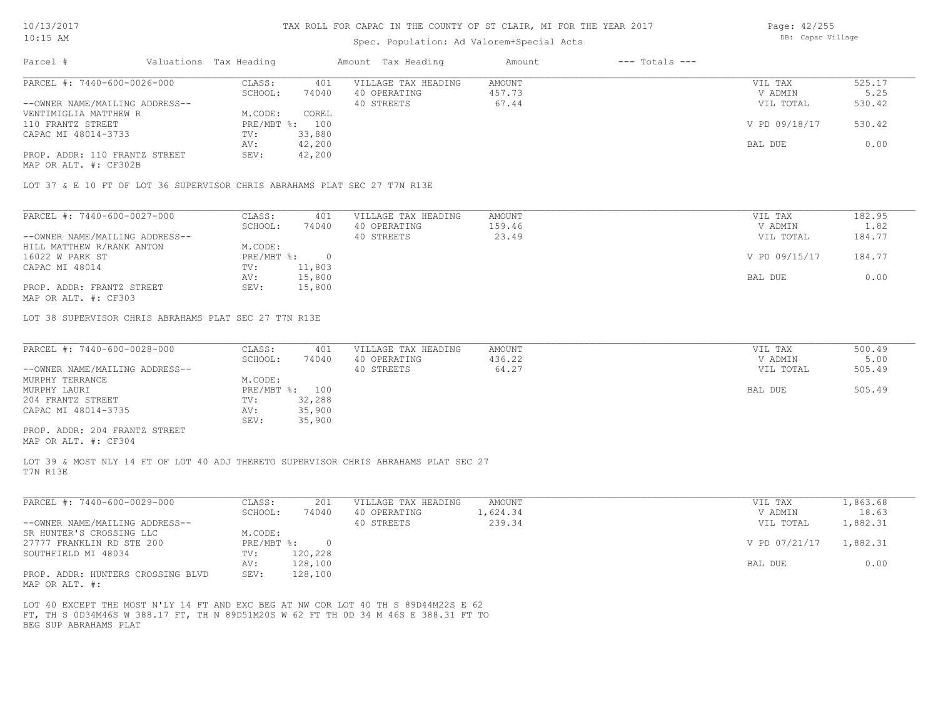### Spec. Population: Ad Valorem+Special Acts

Page: 42/255 DB: Capac Village

| Parcel #                                                                  | Valuations Tax Heading |                | Amount Tax Heading  | Amount | $---$ Totals $---$ |               |        |
|---------------------------------------------------------------------------|------------------------|----------------|---------------------|--------|--------------------|---------------|--------|
| PARCEL #: 7440-600-0026-000                                               | CLASS:                 | 401            | VILLAGE TAX HEADING | AMOUNT |                    | VIL TAX       | 525.17 |
|                                                                           | SCHOOL:                | 74040          | 40 OPERATING        | 457.73 |                    | V ADMIN       | 5.25   |
| --OWNER NAME/MAILING ADDRESS--                                            |                        |                | 40 STREETS          | 67.44  |                    | VIL TOTAL     | 530.42 |
| VENTIMIGLIA MATTHEW R                                                     | M.CODE:                | COREL          |                     |        |                    |               |        |
| 110 FRANTZ STREET                                                         |                        | PRE/MBT %: 100 |                     |        |                    | V PD 09/18/17 | 530.42 |
| CAPAC MI 48014-3733                                                       | TV:                    | 33,880         |                     |        |                    |               |        |
|                                                                           | AV:                    | 42,200         |                     |        |                    | BAL DUE       | 0.00   |
| PROP. ADDR: 110 FRANTZ STREET                                             | SEV:                   | 42,200         |                     |        |                    |               |        |
| MAP OR ALT. #: CF302B                                                     |                        |                |                     |        |                    |               |        |
|                                                                           |                        |                |                     |        |                    |               |        |
| LOT 37 & E 10 FT OF LOT 36 SUPERVISOR CHRIS ABRAHAMS PLAT SEC 27 T7N R13E |                        |                |                     |        |                    |               |        |

| PARCEL #: 7440-600-0027-000    | CLASS:     | 401    | VILLAGE TAX HEADING | AMOUNT | VIL TAX       | 182.95 |
|--------------------------------|------------|--------|---------------------|--------|---------------|--------|
|                                | SCHOOL:    | 74040  | 40 OPERATING        | 159.46 | V ADMIN       | 1.82   |
| --OWNER NAME/MAILING ADDRESS-- |            |        | 40 STREETS          | 23.49  | VIL TOTAL     | 184.77 |
| HILL MATTHEW R/RANK ANTON      | M.CODE:    |        |                     |        |               |        |
| 16022 W PARK ST                | PRE/MBT %: |        |                     |        | V PD 09/15/17 | 184.77 |
| CAPAC MI 48014                 | TV:        | 11,803 |                     |        |               |        |
|                                | AV:        | 15,800 |                     |        | BAL DUE       | 0.00   |
| PROP. ADDR: FRANTZ STREET      | SEV:       | 15,800 |                     |        |               |        |

MAP OR ALT. #: CF303

LOT 38 SUPERVISOR CHRIS ABRAHAMS PLAT SEC 27 T7N R13E

| PARCEL #: 7440-600-0028-000    | CLASS:  | 401            | VILLAGE TAX HEADING | AMOUNT | VIL TAX   | 500.49 |
|--------------------------------|---------|----------------|---------------------|--------|-----------|--------|
|                                | SCHOOL: | 74040          | 40 OPERATING        | 436.22 | V ADMIN   | 5.00   |
| --OWNER NAME/MAILING ADDRESS-- |         |                | 40 STREETS          | 64.27  | VIL TOTAL | 505.49 |
| MURPHY TERRANCE                | M.CODE: |                |                     |        |           |        |
| MURPHY LAURI                   |         | PRE/MBT %: 100 |                     |        | BAL DUE   | 505.49 |
| 204 FRANTZ STREET              | TV:     | 32,288         |                     |        |           |        |
| CAPAC MI 48014-3735            | AV:     | 35,900         |                     |        |           |        |
|                                | SEV:    | 35,900         |                     |        |           |        |
| PROP. ADDR: 204 FRANTZ STREET  |         |                |                     |        |           |        |

MAP OR ALT. #: CF304

T7N R13E LOT 39 & MOST NLY 14 FT OF LOT 40 ADJ THERETO SUPERVISOR CHRIS ABRAHAMS PLAT SEC 27

| PARCEL #: 7440-600-0029-000                                                       | CLASS:     | 201      | VILLAGE TAX HEADING | AMOUNT   | VIL TAX       | 1,863.68 |
|-----------------------------------------------------------------------------------|------------|----------|---------------------|----------|---------------|----------|
|                                                                                   | SCHOOL:    | 74040    | 40 OPERATING        | 1,624.34 | V ADMIN       | 18.63    |
| --OWNER NAME/MAILING ADDRESS--                                                    |            |          | 40 STREETS          | 239.34   | VIL TOTAL     | 1,882.31 |
| SR HUNTER'S CROSSING LLC                                                          | M.CODE:    |          |                     |          |               |          |
| 27777 FRANKLIN RD STE 200                                                         | PRE/MBT %: | $\Omega$ |                     |          | V PD 07/21/17 | 1,882.31 |
| SOUTHFIELD MI 48034                                                               | TV:        | 120,228  |                     |          |               |          |
|                                                                                   | AV:        | 128,100  |                     |          | BAL DUE       | 0.00     |
| PROP. ADDR: HUNTERS CROSSING BLVD<br>$\cdots$ $\cdots$ $\cdots$ $\cdots$ $\cdots$ | SEV:       | 128,100  |                     |          |               |          |

MAP OR ALT. #:

BEG SUP ABRAHAMS PLAT FT, TH S 0D34M46S W 388.17 FT, TH N 89D51M20S W 62 FT TH 0D 34 M 46S E 388.31 FT TO LOT 40 EXCEPT THE MOST N'LY 14 FT AND EXC BEG AT NW COR LOT 40 TH S 89D44M22S E 62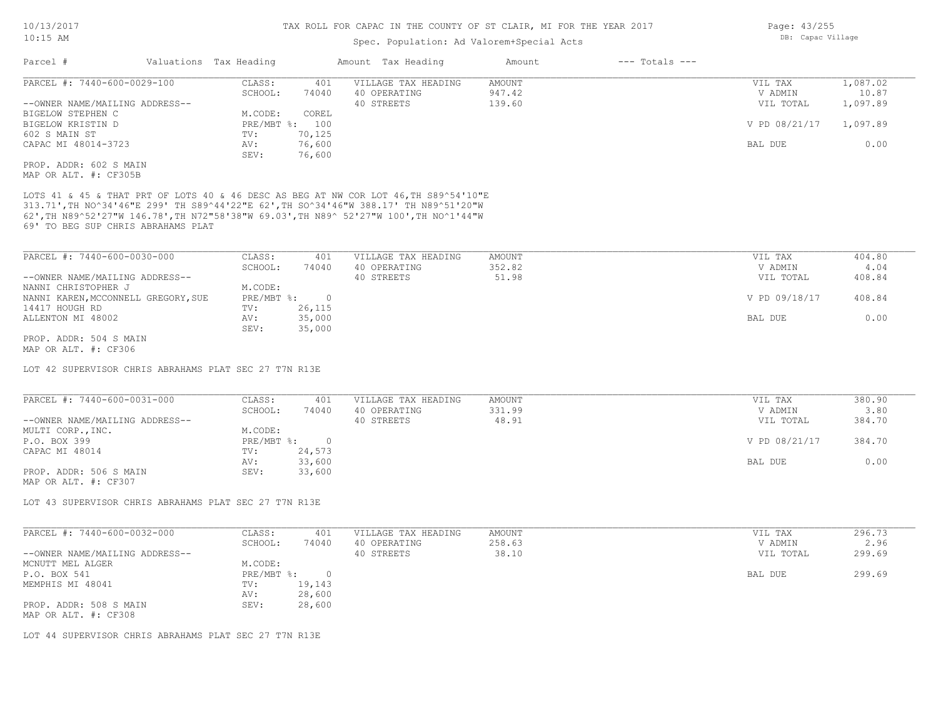### Spec. Population: Ad Valorem+Special Acts

| Parcel #                       | Valuations Tax Heading |        | Amount Tax Heading  | Amount | $---$ Totals $---$ |               |          |
|--------------------------------|------------------------|--------|---------------------|--------|--------------------|---------------|----------|
| PARCEL #: 7440-600-0029-100    | CLASS:                 | 401    | VILLAGE TAX HEADING | AMOUNT |                    | VIL TAX       | 1,087.02 |
|                                | SCHOOL:                | 74040  | 40 OPERATING        | 947.42 |                    | V ADMIN       | 10.87    |
| --OWNER NAME/MAILING ADDRESS-- |                        |        | 40 STREETS          | 139.60 |                    | VIL TOTAL     | 1,097.89 |
| BIGELOW STEPHEN C              | M.CODE:                | COREL  |                     |        |                    |               |          |
| BIGELOW KRISTIN D              | PRE/MBT %:             | 100    |                     |        |                    | V PD 08/21/17 | 1,097.89 |
| 602 S MAIN ST                  | TV:                    | 70,125 |                     |        |                    |               |          |
| CAPAC MI 48014-3723            | AV:                    | 76,600 |                     |        |                    | BAL DUE       | 0.00     |
|                                | SEV:                   | 76,600 |                     |        |                    |               |          |
| PROP. ADDR: 602 S MAIN         |                        |        |                     |        |                    |               |          |
| MAP OR ALT. #: CF305B          |                        |        |                     |        |                    |               |          |

69' TO BEG SUP CHRIS ABRAHAMS PLAT 62',TH N89^52'27"W 146.78',TH N72"58'38"W 69.03',TH N89^ 52'27"W 100',TH NO^1'44"W 313.71',TH NO^34'46"E 299' TH S89^44'22"E 62',TH SO^34'46"W 388.17' TH N89^51'20"W LOTS 41 & 45 & THAT PRT OF LOTS 40 & 46 DESC AS BEG AT NW COR LOT 46,TH S89^54'10"E

| PARCEL #: 7440-600-0030-000         | CLASS:       | 401    | VILLAGE TAX HEADING | AMOUNT | VIL TAX       | 404.80 |
|-------------------------------------|--------------|--------|---------------------|--------|---------------|--------|
|                                     | SCHOOL:      | 74040  | 40 OPERATING        | 352.82 | V ADMIN       | 4.04   |
| --OWNER NAME/MAILING ADDRESS--      |              |        | 40 STREETS          | 51.98  | VIL TOTAL     | 408.84 |
| NANNI CHRISTOPHER J                 | M.CODE:      |        |                     |        |               |        |
| NANNI KAREN, MCCONNELL GREGORY, SUE | $PRE/MBT$ %: |        |                     |        | V PD 09/18/17 | 408.84 |
| 14417 HOUGH RD                      | TV:          | 26,115 |                     |        |               |        |
| ALLENTON MI 48002                   | AV:          | 35,000 |                     |        | BAL DUE       | 0.00   |
|                                     | SEV:         | 35,000 |                     |        |               |        |
| PROP. ADDR: 504 S MAIN              |              |        |                     |        |               |        |

MAP OR ALT. #: CF306

LOT 42 SUPERVISOR CHRIS ABRAHAMS PLAT SEC 27 T7N R13E

| PARCEL #: 7440-600-0031-000    | CLASS:     | 401    | VILLAGE TAX HEADING | AMOUNT | VIL TAX       | 380.90 |
|--------------------------------|------------|--------|---------------------|--------|---------------|--------|
|                                | SCHOOL:    | 74040  | 40 OPERATING        | 331.99 | V ADMIN       | 3.80   |
| --OWNER NAME/MAILING ADDRESS-- |            |        | 40 STREETS          | 48.91  | VIL TOTAL     | 384.70 |
| MULTI CORP., INC.              | M.CODE:    |        |                     |        |               |        |
| P.O. BOX 399                   | PRE/MBT %: |        |                     |        | V PD 08/21/17 | 384.70 |
| CAPAC MI 48014                 | TV:        | 24,573 |                     |        |               |        |
|                                | AV:        | 33,600 |                     |        | BAL DUE       | 0.00   |
| PROP. ADDR: 506 S MAIN         | SEV:       | 33,600 |                     |        |               |        |
| MAP OR ALT. #: CF307           |            |        |                     |        |               |        |

LOT 43 SUPERVISOR CHRIS ABRAHAMS PLAT SEC 27 T7N R13E

| PARCEL #: 7440-600-0032-000                    | CLASS:     | 401    | VILLAGE TAX HEADING | AMOUNT | VIL TAX   | 296.73 |
|------------------------------------------------|------------|--------|---------------------|--------|-----------|--------|
|                                                | SCHOOL:    | 74040  | 40 OPERATING        | 258.63 | V ADMIN   | 2.96   |
| --OWNER NAME/MAILING ADDRESS--                 |            |        | 40 STREETS          | 38.10  | VIL TOTAL | 299.69 |
| MCNUTT MEL ALGER                               | M.CODE:    |        |                     |        |           |        |
| P.O. BOX 541                                   | PRE/MBT %: |        |                     |        | BAL DUE   | 299.69 |
| MEMPHIS MI 48041                               | TV:        | 19,143 |                     |        |           |        |
|                                                | AV:        | 28,600 |                     |        |           |        |
| PROP. ADDR: 508 S MAIN<br>MAP OR ALT. #: CF308 | SEV:       | 28,600 |                     |        |           |        |

LOT 44 SUPERVISOR CHRIS ABRAHAMS PLAT SEC 27 T7N R13E

Page: 43/255 DB: Capac Village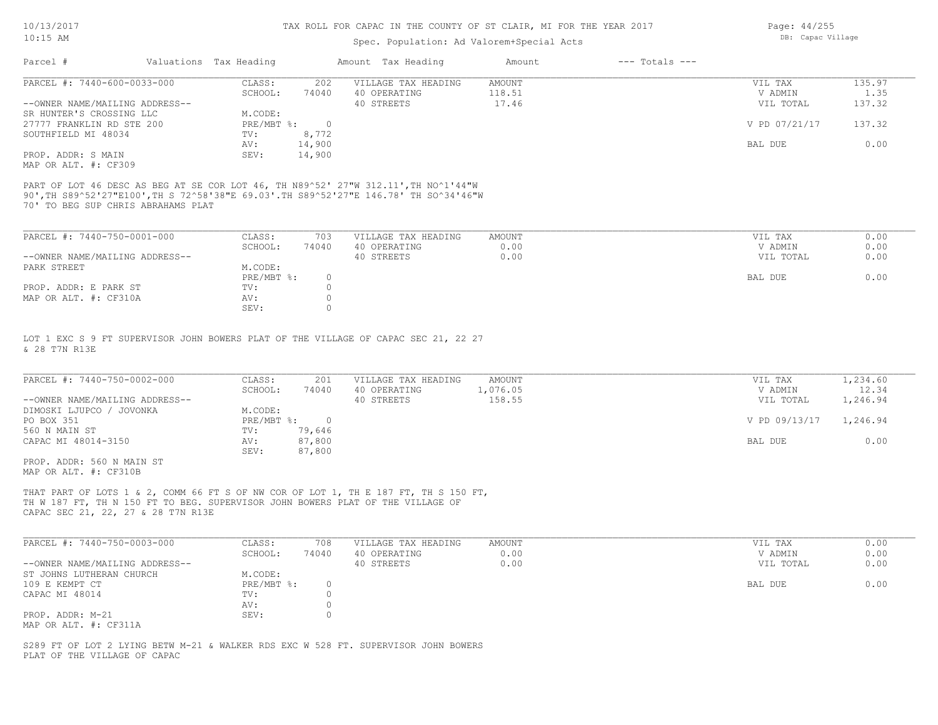### Spec. Population: Ad Valorem+Special Acts

| Parcel #                       | Valuations Tax Heading |        | Amount Tax Heading  | Amount | $---$ Totals $---$ |               |        |
|--------------------------------|------------------------|--------|---------------------|--------|--------------------|---------------|--------|
| PARCEL #: 7440-600-0033-000    | CLASS:                 | 202    | VILLAGE TAX HEADING | AMOUNT |                    | VIL TAX       | 135.97 |
|                                | SCHOOL:                | 74040  | 40 OPERATING        | 118.51 |                    | V ADMIN       | 1.35   |
| --OWNER NAME/MAILING ADDRESS-- |                        |        | 40 STREETS          | 17.46  |                    | VIL TOTAL     | 137.32 |
| SR HUNTER'S CROSSING LLC       | M.CODE:                |        |                     |        |                    |               |        |
| 27777 FRANKLIN RD STE 200      | PRE/MBT %:             |        |                     |        |                    | V PD 07/21/17 | 137.32 |
| SOUTHFIELD MI 48034            | TV:                    | 8,772  |                     |        |                    |               |        |
|                                | AV:                    | 14,900 |                     |        |                    | BAL DUE       | 0.00   |
| PROP. ADDR: S MAIN             | SEV:                   | 14,900 |                     |        |                    |               |        |

MAP OR ALT. #: CF309

70' TO BEG SUP CHRIS ABRAHAMS PLAT 90',TH S89^52'27"E100',TH S 72^58'38"E 69.03'.TH S89^52'27"E 146.78' TH SO^34'46"W PART OF LOT 46 DESC AS BEG AT SE COR LOT 46, TH N89^52' 27"W 312.11',TH NO^1'44"W

| PARCEL #: 7440-750-0001-000    | CLASS:     | 703   | VILLAGE TAX HEADING | AMOUNT | VIL TAX   | 0.00 |
|--------------------------------|------------|-------|---------------------|--------|-----------|------|
|                                | SCHOOL:    | 74040 | 40 OPERATING        | 0.00   | V ADMIN   | 0.00 |
| --OWNER NAME/MAILING ADDRESS-- |            |       | 40 STREETS          | 0.00   | VIL TOTAL | 0.00 |
| PARK STREET                    | M.CODE:    |       |                     |        |           |      |
|                                | PRE/MBT %: |       |                     |        | BAL DUE   | 0.00 |
| PROP. ADDR: E PARK ST          | TV:        |       |                     |        |           |      |
| MAP OR ALT. #: CF310A          | AV:        |       |                     |        |           |      |
|                                | SEV:       |       |                     |        |           |      |

& 28 T7N R13E LOT 1 EXC S 9 FT SUPERVISOR JOHN BOWERS PLAT OF THE VILLAGE OF CAPAC SEC 21, 22 27

| PARCEL #: 7440-750-0002-000    | CLASS:     | 201    | VILLAGE TAX HEADING | AMOUNT   | VIL TAX                | 1,234.60 |
|--------------------------------|------------|--------|---------------------|----------|------------------------|----------|
|                                | SCHOOL:    | 74040  | 40 OPERATING        | 1,076.05 | V ADMIN                | 12.34    |
| --OWNER NAME/MAILING ADDRESS-- |            |        | 40 STREETS          | 158.55   | VIL TOTAL              | 1,246.94 |
| DIMOSKI LJUPCO / JOVONKA       | M.CODE:    |        |                     |          |                        |          |
| PO BOX 351                     | PRE/MBT %: |        |                     |          | V PD 09/13/17 1,246.94 |          |
| 560 N MAIN ST                  | TV:        | 79,646 |                     |          |                        |          |
| CAPAC MI 48014-3150            | AV:        | 87,800 |                     |          | BAL DUE                | 0.00     |
|                                | SEV:       | 87,800 |                     |          |                        |          |
| PROP. ADDR: 560 N MAIN ST      |            |        |                     |          |                        |          |

 $\_$  , and the state of the state of the state of the state of the state of the state of the state of the state of the state of the state of the state of the state of the state of the state of the state of the state of the

 $\_$  , and the state of the state of the state of the state of the state of the state of the state of the state of the state of the state of the state of the state of the state of the state of the state of the state of the

MAP OR ALT. #: CF310B

CAPAC SEC 21, 22, 27 & 28 T7N R13E TH W 187 FT, TH N 150 FT TO BEG. SUPERVISOR JOHN BOWERS PLAT OF THE VILLAGE OF THAT PART OF LOTS 1 & 2, COMM 66 FT S OF NW COR OF LOT 1, TH E 187 FT, TH S 150 FT,

| PARCEL #: 7440-750-0003-000    | CLASS:     | 708   | VILLAGE TAX HEADING | AMOUNT | VIL TAX   | 0.00 |
|--------------------------------|------------|-------|---------------------|--------|-----------|------|
|                                | SCHOOL:    | 74040 | 40 OPERATING        | 0.00   | V ADMIN   | 0.00 |
| --OWNER NAME/MAILING ADDRESS-- |            |       | 40 STREETS          | 0.00   | VIL TOTAL | 0.00 |
| ST JOHNS LUTHERAN CHURCH       | M.CODE:    |       |                     |        |           |      |
| 109 E KEMPT CT                 | PRE/MBT %: | 0     |                     |        | BAL DUE   | 0.00 |
| CAPAC MI 48014                 | TV:        |       |                     |        |           |      |
|                                | AV:        |       |                     |        |           |      |
| PROP. ADDR: M-21               | SEV:       |       |                     |        |           |      |
| MAP OR ALT. #: CF311A          |            |       |                     |        |           |      |

PLAT OF THE VILLAGE OF CAPAC S289 FT OF LOT 2 LYING BETW M-21 & WALKER RDS EXC W 528 FT. SUPERVISOR JOHN BOWERS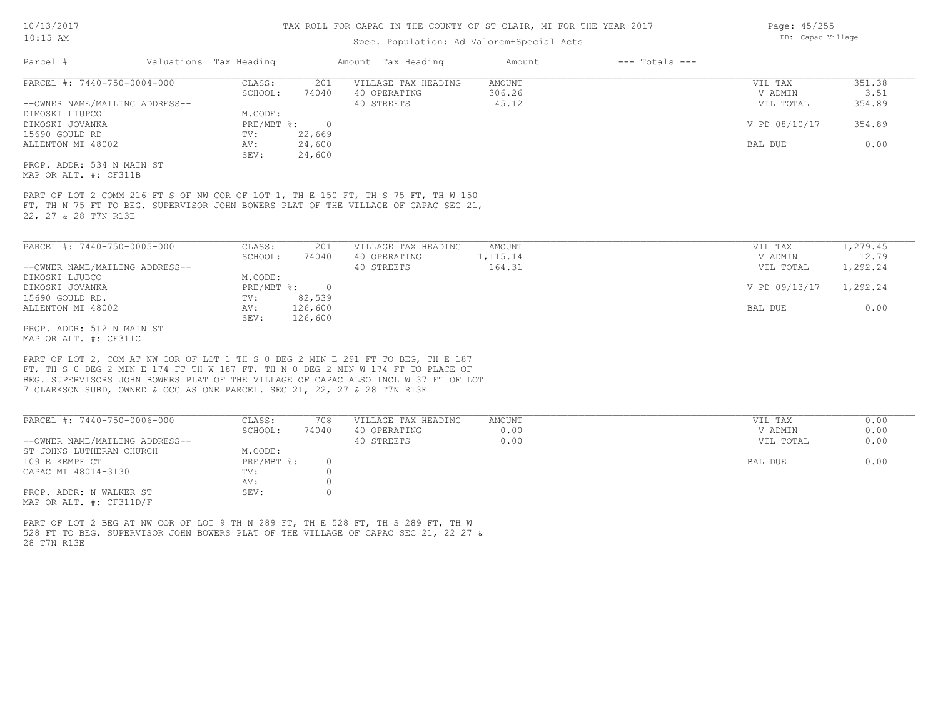### Spec. Population: Ad Valorem+Special Acts

| Parcel #                       | Valuations Tax Heading |        | Amount Tax Heading  | Amount | $---$ Totals $---$ |               |        |
|--------------------------------|------------------------|--------|---------------------|--------|--------------------|---------------|--------|
| PARCEL #: 7440-750-0004-000    | CLASS:                 | 201    | VILLAGE TAX HEADING | AMOUNT |                    | VIL TAX       | 351.38 |
|                                | SCHOOL:                | 74040  | 40 OPERATING        | 306.26 |                    | V ADMIN       | 3.51   |
| --OWNER NAME/MAILING ADDRESS-- |                        |        | 40 STREETS          | 45.12  |                    | VIL TOTAL     | 354.89 |
| DIMOSKI LIUPCO                 | M.CODE:                |        |                     |        |                    |               |        |
| DIMOSKI JOVANKA                | $PRE/MBT$ %:           |        |                     |        |                    | V PD 08/10/17 | 354.89 |
| 15690 GOULD RD                 | TV:                    | 22,669 |                     |        |                    |               |        |
| ALLENTON MI 48002              | AV:                    | 24,600 |                     |        |                    | BAL DUE       | 0.00   |
|                                | SEV:                   | 24,600 |                     |        |                    |               |        |
| PROP. ADDR: 534 N MAIN ST      |                        |        |                     |        |                    |               |        |

MAP OR ALT. #: CF311B

22, 27 & 28 T7N R13E FT, TH N 75 FT TO BEG. SUPERVISOR JOHN BOWERS PLAT OF THE VILLAGE OF CAPAC SEC 21, PART OF LOT 2 COMM 216 FT S OF NW COR OF LOT 1, TH E 150 FT, TH S 75 FT, TH W 150

| PARCEL #: 7440-750-0005-000    | CLASS:     | 201     | VILLAGE TAX HEADING | AMOUNT    | VIL TAX       | 1,279.45 |
|--------------------------------|------------|---------|---------------------|-----------|---------------|----------|
|                                | SCHOOL:    | 74040   | 40 OPERATING        | 1, 115.14 | V ADMIN       | 12.79    |
| --OWNER NAME/MAILING ADDRESS-- |            |         | 40 STREETS          | 164.31    | VIL TOTAL     | 1,292.24 |
| DIMOSKI LJUBCO                 | M.CODE:    |         |                     |           |               |          |
| DIMOSKI JOVANKA                | PRE/MBT %: |         |                     |           | V PD 09/13/17 | 1,292.24 |
| 15690 GOULD RD.                | TV:        | 82,539  |                     |           |               |          |
| ALLENTON MI 48002              | AV:        | 126,600 |                     |           | BAL DUE       | 0.00     |
|                                | SEV:       | 126,600 |                     |           |               |          |
| PROP. ADDR: 512 N MAIN ST      |            |         |                     |           |               |          |

MAP OR ALT. #: CF311C

7 CLARKSON SUBD, OWNED & OCC AS ONE PARCEL. SEC 21, 22, 27 & 28 T7N R13E BEG. SUPERVISORS JOHN BOWERS PLAT OF THE VILLAGE OF CAPAC ALSO INCL W 37 FT OF LOT FT, TH S 0 DEG 2 MIN E 174 FT TH W 187 FT, TH N 0 DEG 2 MIN W 174 FT TO PLACE OF PART OF LOT 2, COM AT NW COR OF LOT 1 TH S 0 DEG 2 MIN E 291 FT TO BEG, TH E 187

| PARCEL #: 7440-750-0006-000    | CLASS:       | 708   | VILLAGE TAX HEADING | AMOUNT | VIL TAX   | 0.00 |
|--------------------------------|--------------|-------|---------------------|--------|-----------|------|
|                                | SCHOOL:      | 74040 | 40 OPERATING        | 0.00   | V ADMIN   | 0.00 |
| --OWNER NAME/MAILING ADDRESS-- |              |       | 40 STREETS          | 0.00   | VIL TOTAL | 0.00 |
| ST JOHNS LUTHERAN CHURCH       | M.CODE:      |       |                     |        |           |      |
| 109 E KEMPF CT                 | $PRE/MBT$ %: |       |                     |        | BAL DUE   | 0.00 |
| CAPAC MI 48014-3130            | TV:          |       |                     |        |           |      |
|                                | AV:          |       |                     |        |           |      |
| PROP. ADDR: N WALKER ST        | SEV:         |       |                     |        |           |      |
| MAP OR ALT. $\#$ : CF311D/F    |              |       |                     |        |           |      |

28 T7N R13E 528 FT TO BEG. SUPERVISOR JOHN BOWERS PLAT OF THE VILLAGE OF CAPAC SEC 21, 22 27 & PART OF LOT 2 BEG AT NW COR OF LOT 9 TH N 289 FT, TH E 528 FT, TH S 289 FT, TH W

Page: 45/255 DB: Capac Village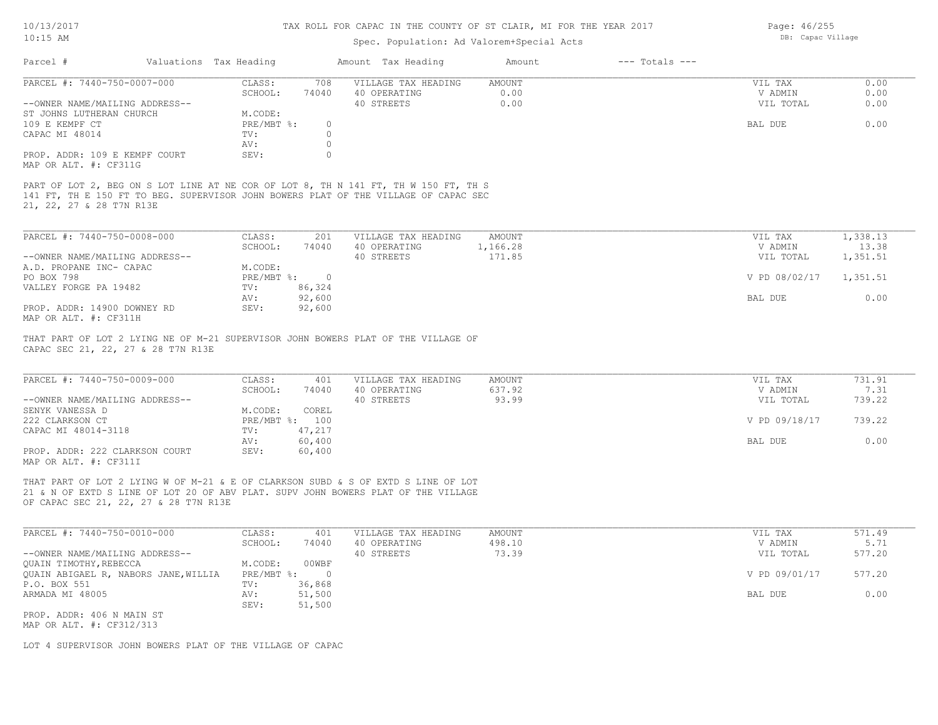### 10/13/2017 10:15 AM

## TAX ROLL FOR CAPAC IN THE COUNTY OF ST CLAIR, MI FOR THE YEAR 2017

### Spec. Population: Ad Valorem+Special Acts

| 10/13/2017 |                        | TAX ROLL FOR CAPAC IN THE COUNTY OF ST CLAIR, MI FOR THE YEAR 2017 |        |                | Page: $46/255$    |
|------------|------------------------|--------------------------------------------------------------------|--------|----------------|-------------------|
| $10:15$ AM |                        | Spec. Population: Ad Valorem+Special Acts                          |        |                | DB: Capac Village |
| Parcel #   | Valuations Tax Heading | Amount Tax Heading                                                 | Amount | --- Totals --- |                   |

| PARCEL #: 7440-750-0007-000                                                                                     | CLASS:     | 708   | VILLAGE TAX HEADING | AMOUNT | VIL TAX   | 0.00 |
|-----------------------------------------------------------------------------------------------------------------|------------|-------|---------------------|--------|-----------|------|
|                                                                                                                 | SCHOOL:    | 74040 | 40 OPERATING        | 0.00   | V ADMIN   | 0.00 |
| --OWNER NAME/MAILING ADDRESS--                                                                                  |            |       | 40 STREETS          | 0.00   | VIL TOTAL | 0.00 |
| ST JOHNS LUTHERAN CHURCH                                                                                        | M.CODE:    |       |                     |        |           |      |
| 109 E KEMPF CT                                                                                                  | PRE/MBT %: |       |                     |        | BAL DUE   | 0.00 |
| CAPAC MI 48014                                                                                                  | TV:        |       |                     |        |           |      |
|                                                                                                                 | AV:        |       |                     |        |           |      |
| PROP. ADDR: 109 E KEMPF COURT                                                                                   | SEV:       |       |                     |        |           |      |
| the contract of the contract of the contract of the contract of the contract of the contract of the contract of |            |       |                     |        |           |      |

MAP OR ALT. #: CF311G

21, 22, 27 & 28 T7N R13E 141 FT, TH E 150 FT TO BEG. SUPERVISOR JOHN BOWERS PLAT OF THE VILLAGE OF CAPAC SEC PART OF LOT 2, BEG ON S LOT LINE AT NE COR OF LOT 8, TH N 141 FT, TH W 150 FT, TH S

| PARCEL #: 7440-750-0008-000                  | CLASS:     | 201    | VILLAGE TAX HEADING | AMOUNT   | VIL TAX       | 1,338.13 |
|----------------------------------------------|------------|--------|---------------------|----------|---------------|----------|
|                                              | SCHOOL:    | 74040  | 40 OPERATING        | 1,166.28 | V ADMIN       | 13.38    |
| --OWNER NAME/MAILING ADDRESS--               |            |        | 40 STREETS          | 171.85   | VIL TOTAL     | 1,351.51 |
| A.D. PROPANE INC- CAPAC                      | M.CODE:    |        |                     |          |               |          |
| PO BOX 798                                   | PRE/MBT %: |        |                     |          | V PD 08/02/17 | 1,351.51 |
| VALLEY FORGE PA 19482                        | TV:        | 86,324 |                     |          |               |          |
|                                              | AV:        | 92,600 |                     |          | BAL DUE       | 0.00     |
| PROP. ADDR: 14900 DOWNEY RD                  | SEV:       | 92,600 |                     |          |               |          |
| $\cdots$ $\cdots$ $\cdots$ $\cdots$ $\cdots$ |            |        |                     |          |               |          |

MAP OR ALT. #: CF311H

CAPAC SEC 21, 22, 27 & 28 T7N R13E THAT PART OF LOT 2 LYING NE OF M-21 SUPERVISOR JOHN BOWERS PLAT OF THE VILLAGE OF

| PARCEL #: 7440-750-0009-000    | CLASS:       | 401    | VILLAGE TAX HEADING | AMOUNT | VIL TAX       | 731.91 |
|--------------------------------|--------------|--------|---------------------|--------|---------------|--------|
|                                | SCHOOL:      | 74040  | 40 OPERATING        | 637.92 | V ADMIN       | 7.31   |
| --OWNER NAME/MAILING ADDRESS-- |              |        | 40 STREETS          | 93.99  | VIL TOTAL     | 739.22 |
| SENYK VANESSA D                | M.CODE:      | COREL  |                     |        |               |        |
| 222 CLARKSON CT                | $PRE/MBT$ %: | 100    |                     |        | V PD 09/18/17 | 739.22 |
| CAPAC MI 48014-3118            | TV:          | 47,217 |                     |        |               |        |
|                                | AV:          | 60,400 |                     |        | BAL DUE       | 0.00   |
| PROP. ADDR: 222 CLARKSON COURT | SEV:         | 60,400 |                     |        |               |        |
| MAP OR ALT. #: CF311I          |              |        |                     |        |               |        |

 $\_$  , and the state of the state of the state of the state of the state of the state of the state of the state of the state of the state of the state of the state of the state of the state of the state of the state of the

21 & N OF EXTD S LINE OF LOT 20 OF ABV PLAT. SUPV JOHN BOWERS PLAT OF THE VILLAGE THAT PART OF LOT 2 LYING W OF M-21 & E OF CLARKSON SUBD & S OF EXTD S LINE OF LOT

OF CAPAC SEC 21, 22, 27 & 28 T7N R13E

| PARCEL #: 7440-750-0010-000          | CLASS:     | 401    | VILLAGE TAX HEADING | AMOUNT | VIL TAX       | 571.49 |
|--------------------------------------|------------|--------|---------------------|--------|---------------|--------|
|                                      | SCHOOL:    | 74040  | 40 OPERATING        | 498.10 | V ADMIN       | 5.71   |
| --OWNER NAME/MAILING ADDRESS--       |            |        | 40 STREETS          | 73.39  | VIL TOTAL     | 577.20 |
| QUAIN TIMOTHY, REBECCA               | M.CODE:    | 00WBF  |                     |        |               |        |
| QUAIN ABIGAEL R, NABORS JANE, WILLIA | PRE/MBT %: |        |                     |        | V PD 09/01/17 | 577.20 |
| P.O. BOX 551                         | TV:        | 36,868 |                     |        |               |        |
| ARMADA MI 48005                      | AV:        | 51,500 |                     |        | BAL DUE       | 0.00   |
|                                      | SEV:       | 51,500 |                     |        |               |        |
| PROP. ADDR: 406 N MAIN ST            |            |        |                     |        |               |        |

MAP OR ALT. #: CF312/313

LOT 4 SUPERVISOR JOHN BOWERS PLAT OF THE VILLAGE OF CAPAC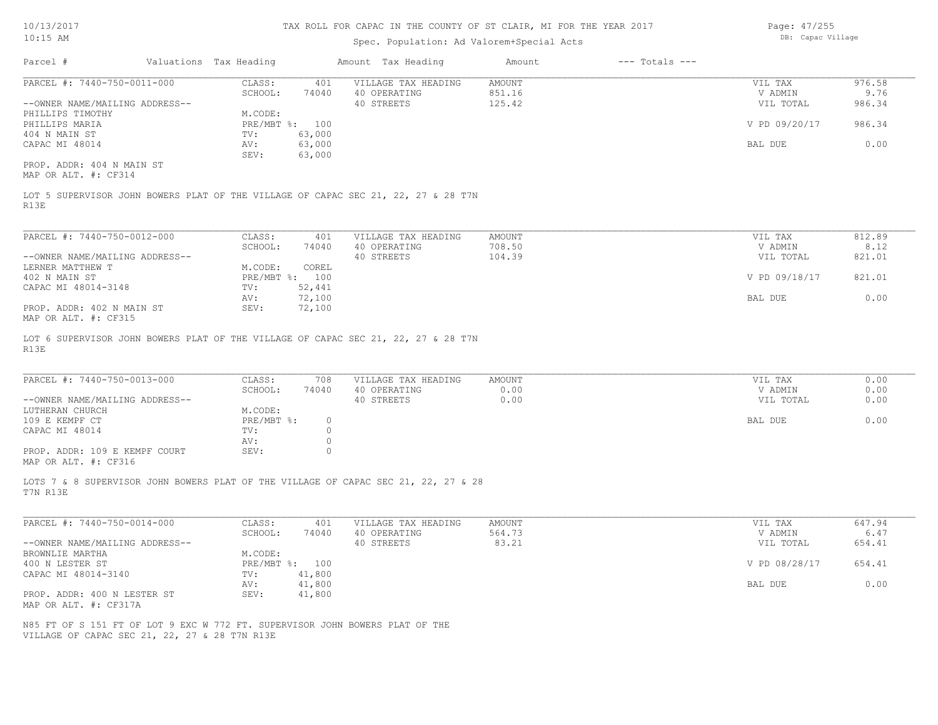Page: 47/255 DB: Capac Village

| Parcel #                                                                                                  | Valuations Tax Heading |                | Amount Tax Heading                                                                | Amount        | $---$ Totals $---$ |               |        |
|-----------------------------------------------------------------------------------------------------------|------------------------|----------------|-----------------------------------------------------------------------------------|---------------|--------------------|---------------|--------|
| PARCEL #: 7440-750-0011-000                                                                               | CLASS:                 | 401            | VILLAGE TAX HEADING                                                               | <b>AMOUNT</b> |                    | VIL TAX       | 976.58 |
|                                                                                                           | SCHOOL:                | 74040          | 40 OPERATING                                                                      | 851.16        |                    | V ADMIN       | 9.76   |
| --OWNER NAME/MAILING ADDRESS--                                                                            |                        |                | 40 STREETS                                                                        | 125.42        |                    | VIL TOTAL     | 986.34 |
| PHILLIPS TIMOTHY                                                                                          | M.CODE:                |                |                                                                                   |               |                    |               |        |
| PHILLIPS MARIA                                                                                            |                        | PRE/MBT %: 100 |                                                                                   |               |                    | V PD 09/20/17 | 986.34 |
| 404 N MAIN ST                                                                                             | TV:                    | 63,000         |                                                                                   |               |                    |               |        |
| CAPAC MI 48014                                                                                            | AV:                    | 63,000         |                                                                                   |               |                    | BAL DUE       | 0.00   |
|                                                                                                           | SEV:                   | 63,000         |                                                                                   |               |                    |               |        |
| PROP. ADDR: 404 N MAIN ST                                                                                 |                        |                |                                                                                   |               |                    |               |        |
| MAP OR ALT. #: CF314                                                                                      |                        |                |                                                                                   |               |                    |               |        |
|                                                                                                           |                        |                | LOT 5 SUPERVISOR JOHN BOWERS PLAT OF THE VILLAGE OF CAPAC SEC 21, 22, 27 & 28 T7N |               |                    |               |        |
| R13E<br>PARCEL #: 7440-750-0012-000                                                                       | CLASS:                 | 401            | VILLAGE TAX HEADING                                                               | <b>AMOUNT</b> |                    | VIL TAX       | 812.89 |
|                                                                                                           | SCHOOL:                | 74040          | 40 OPERATING                                                                      | 708.50        |                    | V ADMIN       | 8.12   |
| --OWNER NAME/MAILING ADDRESS--                                                                            |                        |                | 40 STREETS                                                                        | 104.39        |                    | VIL TOTAL     | 821.01 |
| LERNER MATTHEW T                                                                                          | M.CODE:                | COREL          |                                                                                   |               |                    |               |        |
| 402 N MAIN ST                                                                                             |                        | PRE/MBT %: 100 |                                                                                   |               |                    | V PD 09/18/17 | 821.01 |
| CAPAC MI 48014-3148                                                                                       | TV:                    | 52,441         |                                                                                   |               |                    |               |        |
|                                                                                                           | AV:                    | 72,100         |                                                                                   |               |                    | BAL DUE       | 0.00   |
|                                                                                                           | SEV:                   | 72,100         |                                                                                   |               |                    |               |        |
| PROP. ADDR: 402 N MAIN ST                                                                                 |                        |                |                                                                                   |               |                    |               |        |
| MAP OR ALT. #: CF315<br>LOT 6 SUPERVISOR JOHN BOWERS PLAT OF THE VILLAGE OF CAPAC SEC 21, 22, 27 & 28 T7N |                        |                |                                                                                   |               |                    |               |        |
| R13E                                                                                                      |                        |                |                                                                                   |               |                    |               |        |

| LANGLI T. 7770 730 0013 000    | - טטבע     | 1 U U    | VIILAGE IAA HEADING | APIOUN 1 | VII IAA   | $\cup$ . $\cup$ $\cup$ |
|--------------------------------|------------|----------|---------------------|----------|-----------|------------------------|
|                                | SCHOOL:    | 74040    | 40 OPERATING        | 0.00     | V ADMIN   | 0.00                   |
| --OWNER NAME/MAILING ADDRESS-- |            |          | 40 STREETS          | 0.00     | VIL TOTAL | 0.00                   |
| LUTHERAN CHURCH                | M.CODE:    |          |                     |          |           |                        |
| 109 E KEMPF CT                 | PRE/MBT %: | $\Omega$ |                     |          | BAL DUE   | 0.00                   |
| CAPAC MI 48014                 | TV:        |          |                     |          |           |                        |
|                                | AV:        |          |                     |          |           |                        |
| PROP. ADDR: 109 E KEMPF COURT  | SEV:       |          |                     |          |           |                        |
| MAP OR ALT. #: CF316           |            |          |                     |          |           |                        |
|                                |            |          |                     |          |           |                        |

T7N R13E LOTS 7 & 8 SUPERVISOR JOHN BOWERS PLAT OF THE VILLAGE OF CAPAC SEC 21, 22, 27 & 28

| PARCEL #: 7440-750-0014-000    | CLASS:     | 401    | VILLAGE TAX HEADING | AMOUNT | VIL TAX       | 647.94 |
|--------------------------------|------------|--------|---------------------|--------|---------------|--------|
|                                | SCHOOL:    | 74040  | 40 OPERATING        | 564.73 | V ADMIN       | 6.47   |
| --OWNER NAME/MAILING ADDRESS-- |            |        | 40 STREETS          | 83.21  | VIL TOTAL     | 654.41 |
| BROWNLIE MARTHA                | M.CODE:    |        |                     |        |               |        |
| 400 N LESTER ST                | PRE/MBT %: | 100    |                     |        | V PD 08/28/17 | 654.41 |
| CAPAC MI 48014-3140            | TV:        | 41,800 |                     |        |               |        |
|                                | AV:        | 41,800 |                     |        | BAL DUE       | 0.00   |
| PROP. ADDR: 400 N LESTER ST    | SEV:       | 41,800 |                     |        |               |        |
| MAP OR ALT. #: CF317A          |            |        |                     |        |               |        |

VILLAGE OF CAPAC SEC 21, 22, 27 & 28 T7N R13E N85 FT OF S 151 FT OF LOT 9 EXC W 772 FT. SUPERVISOR JOHN BOWERS PLAT OF THE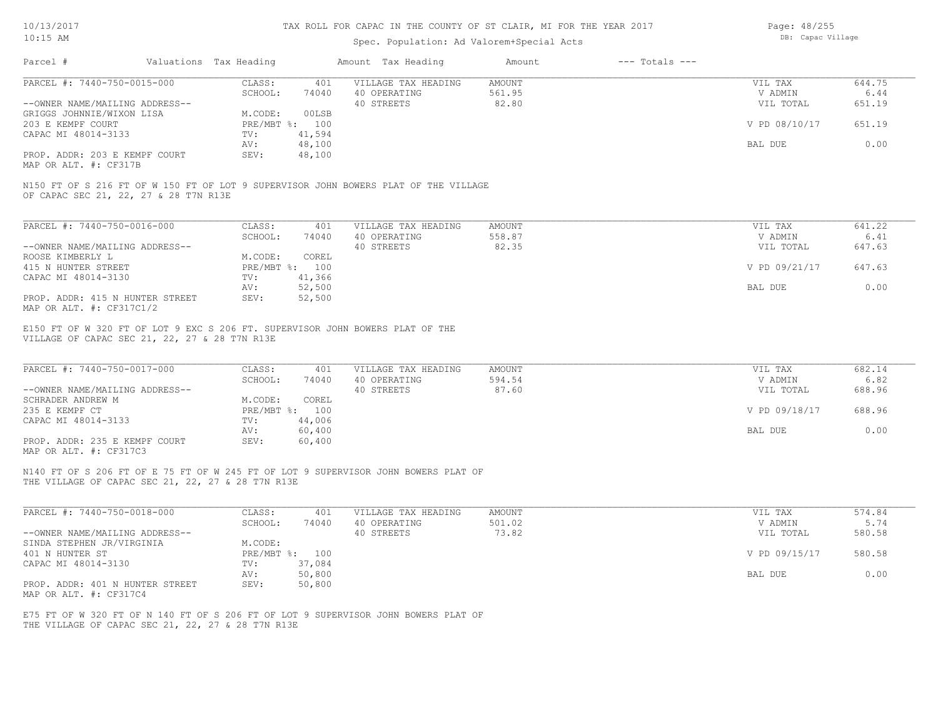## Spec. Population: Ad Valorem+Special Acts

| Page: 48/255      |
|-------------------|
| DB: Capac Village |

THE VILLAGE OF CAPAC SEC 21, 22, 27 & 28 T7N R13E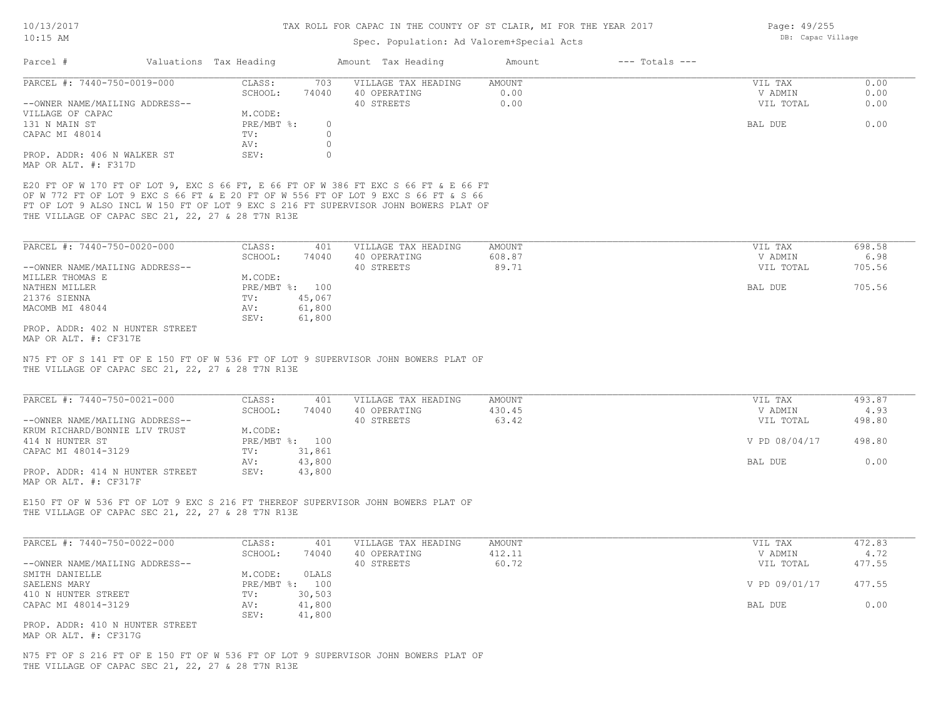# Spec. Population: Ad Valorem+Special Acts

| Parcel #                                                                   | Valuations Tax Heading    |                    | Amount Tax Heading                                                                                                                                                                                                                                               | Amount           | $---$ Totals $---$ |                      |                |
|----------------------------------------------------------------------------|---------------------------|--------------------|------------------------------------------------------------------------------------------------------------------------------------------------------------------------------------------------------------------------------------------------------------------|------------------|--------------------|----------------------|----------------|
| PARCEL #: 7440-750-0019-000                                                | CLASS:                    | 703                | VILLAGE TAX HEADING                                                                                                                                                                                                                                              | AMOUNT           |                    | VIL TAX              | 0.00           |
| --OWNER NAME/MAILING ADDRESS--                                             | SCHOOL:                   | 74040              | 40 OPERATING<br>40 STREETS                                                                                                                                                                                                                                       | 0.00<br>0.00     |                    | V ADMIN<br>VIL TOTAL | 0.00<br>0.00   |
| VILLAGE OF CAPAC                                                           | M.CODE:                   |                    |                                                                                                                                                                                                                                                                  |                  |                    |                      |                |
| 131 N MAIN ST                                                              | PRE/MBT %:                | $\circ$            |                                                                                                                                                                                                                                                                  |                  |                    | BAL DUE              | 0.00           |
| CAPAC MI 48014                                                             | TV:                       | $\circ$            |                                                                                                                                                                                                                                                                  |                  |                    |                      |                |
| PROP. ADDR: 406 N WALKER ST                                                | AV:<br>SEV:               | $\circ$<br>$\circ$ |                                                                                                                                                                                                                                                                  |                  |                    |                      |                |
| MAP OR ALT. #: F317D                                                       |                           |                    |                                                                                                                                                                                                                                                                  |                  |                    |                      |                |
| THE VILLAGE OF CAPAC SEC 21, 22, 27 & 28 T7N R13E                          |                           |                    | E20 FT OF W 170 FT OF LOT 9, EXC S 66 FT, E 66 FT OF W 386 FT EXC S 66 FT & E 66 FT<br>OF W 772 FT OF LOT 9 EXC S 66 FT & E 20 FT OF W 556 FT OF LOT 9 EXC S 66 FT & S 66<br>FT OF LOT 9 ALSO INCL W 150 FT OF LOT 9 EXC S 216 FT SUPERVISOR JOHN BOWERS PLAT OF |                  |                    |                      |                |
|                                                                            |                           |                    |                                                                                                                                                                                                                                                                  |                  |                    |                      |                |
| PARCEL #: 7440-750-0020-000                                                | CLASS:<br>SCHOOL:         | 401<br>74040       | VILLAGE TAX HEADING<br>40 OPERATING                                                                                                                                                                                                                              | AMOUNT<br>608.87 |                    | VIL TAX<br>V ADMIN   | 698.58<br>6.98 |
| --OWNER NAME/MAILING ADDRESS--                                             |                           |                    | 40 STREETS                                                                                                                                                                                                                                                       | 89.71            |                    | VIL TOTAL            | 705.56         |
| MILLER THOMAS E                                                            | M.CODE:                   |                    |                                                                                                                                                                                                                                                                  |                  |                    |                      |                |
| NATHEN MILLER                                                              | PRE/MBT %: 100            |                    |                                                                                                                                                                                                                                                                  |                  |                    | BAL DUE              | 705.56         |
| 21376 SIENNA                                                               | TV:                       | 45,067             |                                                                                                                                                                                                                                                                  |                  |                    |                      |                |
| MACOMB MI 48044                                                            | AV:<br>SEV:               | 61,800<br>61,800   |                                                                                                                                                                                                                                                                  |                  |                    |                      |                |
| PROP. ADDR: 402 N HUNTER STREET                                            |                           |                    |                                                                                                                                                                                                                                                                  |                  |                    |                      |                |
| MAP OR ALT. #: CF317E<br>THE VILLAGE OF CAPAC SEC 21, 22, 27 & 28 T7N R13E |                           |                    | N75 FT OF S 141 FT OF E 150 FT OF W 536 FT OF LOT 9 SUPERVISOR JOHN BOWERS PLAT OF                                                                                                                                                                               |                  |                    |                      |                |
| PARCEL #: 7440-750-0021-000                                                | CLASS:                    | 401                | VILLAGE TAX HEADING                                                                                                                                                                                                                                              | AMOUNT           |                    | VIL TAX              | 493.87         |
|                                                                            | SCHOOL:                   | 74040              | 40 OPERATING                                                                                                                                                                                                                                                     | 430.45           |                    | V ADMIN              | 4.93           |
| --OWNER NAME/MAILING ADDRESS--<br>KRUM RICHARD/BONNIE LIV TRUST            | M.CODE:                   |                    | 40 STREETS                                                                                                                                                                                                                                                       | 63.42            |                    | VIL TOTAL            | 498.80         |
| 414 N HUNTER ST                                                            | PRE/MBT %: 100            |                    |                                                                                                                                                                                                                                                                  |                  |                    | V PD 08/04/17        | 498.80         |
| CAPAC MI 48014-3129                                                        | TV:<br>AV:                | 31,861<br>43,800   |                                                                                                                                                                                                                                                                  |                  |                    | BAL DUE              | 0.00           |
| PROP. ADDR: 414 N HUNTER STREET<br>MAP OR ALT. #: CF317F                   | SEV:                      | 43,800             |                                                                                                                                                                                                                                                                  |                  |                    |                      |                |
| THE VILLAGE OF CAPAC SEC 21, 22, 27 & 28 T7N R13E                          |                           |                    | E150 FT OF W 536 FT OF LOT 9 EXC S 216 FT THEREOF SUPERVISOR JOHN BOWERS PLAT OF                                                                                                                                                                                 |                  |                    |                      |                |
| PARCEL #: 7440-750-0022-000                                                | CLASS:                    | 401                | VILLAGE TAX HEADING                                                                                                                                                                                                                                              | AMOUNT           |                    | VIL TAX              | 472.83         |
|                                                                            | SCHOOL:                   | 74040              | 40 OPERATING                                                                                                                                                                                                                                                     | 412.11           |                    | V ADMIN              | 4.72           |
| --OWNER NAME/MAILING ADDRESS--                                             |                           |                    | 40 STREETS                                                                                                                                                                                                                                                       | 60.72            |                    | VIL TOTAL            | 477.55         |
| SMITH DANIELLE<br>SAELENS MARY                                             | M.CODE:<br>PRE/MBT %: 100 | OLALS              |                                                                                                                                                                                                                                                                  |                  |                    | V PD 09/01/17        | 477.55         |
| 410 N HUNTER STREET                                                        | TV:                       | 30,503             |                                                                                                                                                                                                                                                                  |                  |                    |                      |                |
| CAPAC MI 48014-3129                                                        | AV:                       | 41,800             |                                                                                                                                                                                                                                                                  |                  |                    | BAL DUE              | 0.00           |
| PROP. ADDR: 410 N HUNTER STREET<br>MAP OR ALT. #: CF317G                   | SEV:                      | 41,800             |                                                                                                                                                                                                                                                                  |                  |                    |                      |                |

Page: 49/255 DB: Capac Village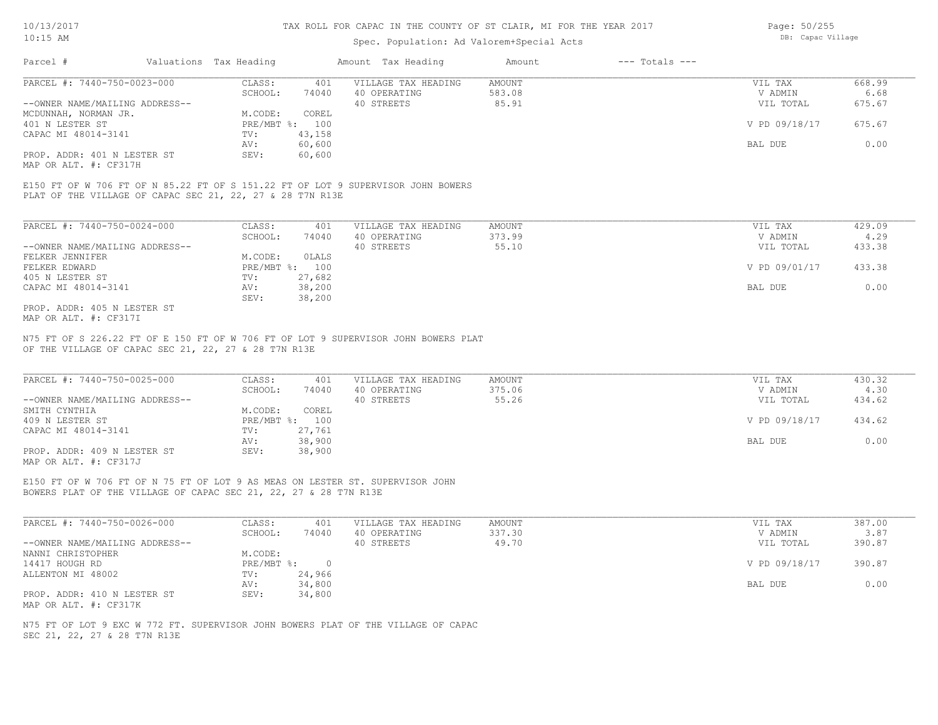### Spec. Population: Ad Valorem+Special Acts

| Page: 50/255      |
|-------------------|
| DB: Capac Village |

| Parcel #                       | Valuations Tax Heading |        | Amount Tax Heading  | Amount | $---$ Totals $---$ |               |        |
|--------------------------------|------------------------|--------|---------------------|--------|--------------------|---------------|--------|
| PARCEL #: 7440-750-0023-000    | CLASS:                 | 401    | VILLAGE TAX HEADING | AMOUNT |                    | VIL TAX       | 668.99 |
|                                | SCHOOL:                | 74040  | 40 OPERATING        | 583.08 |                    | V ADMIN       | 6.68   |
| --OWNER NAME/MAILING ADDRESS-- |                        |        | 40 STREETS          | 85.91  |                    | VIL TOTAL     | 675.67 |
| MCDUNNAH, NORMAN JR.           | M.CODE:                | COREL  |                     |        |                    |               |        |
| 401 N LESTER ST                | PRE/MBT %: 100         |        |                     |        |                    | V PD 09/18/17 | 675.67 |
| CAPAC MI 48014-3141            | TV:                    | 43,158 |                     |        |                    |               |        |
|                                | AV:                    | 60,600 |                     |        |                    | BAL DUE       | 0.00   |
| PROP. ADDR: 401 N LESTER ST    | SEV:                   | 60,600 |                     |        |                    |               |        |
|                                |                        |        |                     |        |                    |               |        |

MAP OR ALT. #: CF317H

PLAT OF THE VILLAGE OF CAPAC SEC 21, 22, 27 & 28 T7N R13E E150 FT OF W 706 FT OF N 85.22 FT OF S 151.22 FT OF LOT 9 SUPERVISOR JOHN BOWERS

| PARCEL #: 7440-750-0024-000    | CLASS:     | 401    | VILLAGE TAX HEADING | AMOUNT | 429.09<br>VIL TAX       |
|--------------------------------|------------|--------|---------------------|--------|-------------------------|
|                                | SCHOOL:    | 74040  | 40 OPERATING        | 373.99 | 4.29<br>V ADMIN         |
| --OWNER NAME/MAILING ADDRESS-- |            |        | 40 STREETS          | 55.10  | 433.38<br>VIL TOTAL     |
| FELKER JENNIFER                | M.CODE:    | OLALS  |                     |        |                         |
| FELKER EDWARD                  | PRE/MBT %: | 100    |                     |        | V PD 09/01/17<br>433.38 |
| 405 N LESTER ST                | TV:        | 27,682 |                     |        |                         |
| CAPAC MI 48014-3141            | AV:        | 38,200 |                     |        | 0.00<br>BAL DUE         |
|                                | SEV:       | 38,200 |                     |        |                         |
| PROP. ADDR: 405 N LESTER ST    |            |        |                     |        |                         |

MAP OR ALT. #: CF317I

OF THE VILLAGE OF CAPAC SEC 21, 22, 27 & 28 T7N R13E N75 FT OF S 226.22 FT OF E 150 FT OF W 706 FT OF LOT 9 SUPERVISOR JOHN BOWERS PLAT

| PARCEL #: 7440-750-0025-000                           | CLASS:         | 401    | VILLAGE TAX HEADING | AMOUNT | VIL TAX       | 430.32 |
|-------------------------------------------------------|----------------|--------|---------------------|--------|---------------|--------|
|                                                       | SCHOOL:        | 74040  | 40 OPERATING        | 375.06 | V ADMIN       | 4.30   |
| --OWNER NAME/MAILING ADDRESS--                        |                |        | 40 STREETS          | 55.26  | VIL TOTAL     | 434.62 |
| SMITH CYNTHIA                                         | M.CODE:        | COREL  |                     |        |               |        |
| 409 N LESTER ST                                       | PRE/MBT %: 100 |        |                     |        | V PD 09/18/17 | 434.62 |
| CAPAC MI 48014-3141                                   | TV:            | 27,761 |                     |        |               |        |
|                                                       | AV:            | 38,900 |                     |        | BAL DUE       | 0.00   |
| PROP. ADDR: 409 N LESTER ST                           | SEV:           | 38,900 |                     |        |               |        |
| $\cdots$ $\cdots$ $\cdots$ $\cdots$ $\cdots$ $\cdots$ |                |        |                     |        |               |        |

 $\_$  , and the state of the state of the state of the state of the state of the state of the state of the state of the state of the state of the state of the state of the state of the state of the state of the state of the

MAP OR ALT. #: CF317J

BOWERS PLAT OF THE VILLAGE OF CAPAC SEC 21, 22, 27 & 28 T7N R13E E150 FT OF W 706 FT OF N 75 FT OF LOT 9 AS MEAS ON LESTER ST. SUPERVISOR JOHN

| PARCEL #: 7440-750-0026-000    | CLASS:     | 401    | VILLAGE TAX HEADING | AMOUNT | VIL TAX       | 387.00 |
|--------------------------------|------------|--------|---------------------|--------|---------------|--------|
|                                | SCHOOL:    | 74040  | 40 OPERATING        | 337.30 | V ADMIN       | 3.87   |
| --OWNER NAME/MAILING ADDRESS-- |            |        | 40 STREETS          | 49.70  | VIL TOTAL     | 390.87 |
| NANNI CHRISTOPHER              | M.CODE:    |        |                     |        |               |        |
| 14417 HOUGH RD                 | PRE/MBT %: |        |                     |        | V PD 09/18/17 | 390.87 |
| ALLENTON MI 48002              | TV:        | 24,966 |                     |        |               |        |
|                                | AV:        | 34,800 |                     |        | BAL DUE       | 0.00   |
| PROP. ADDR: 410 N LESTER ST    | SEV:       | 34,800 |                     |        |               |        |
| MAP OR ALT. #: CF317K          |            |        |                     |        |               |        |

SEC 21, 22, 27 & 28 T7N R13E N75 FT OF LOT 9 EXC W 772 FT. SUPERVISOR JOHN BOWERS PLAT OF THE VILLAGE OF CAPAC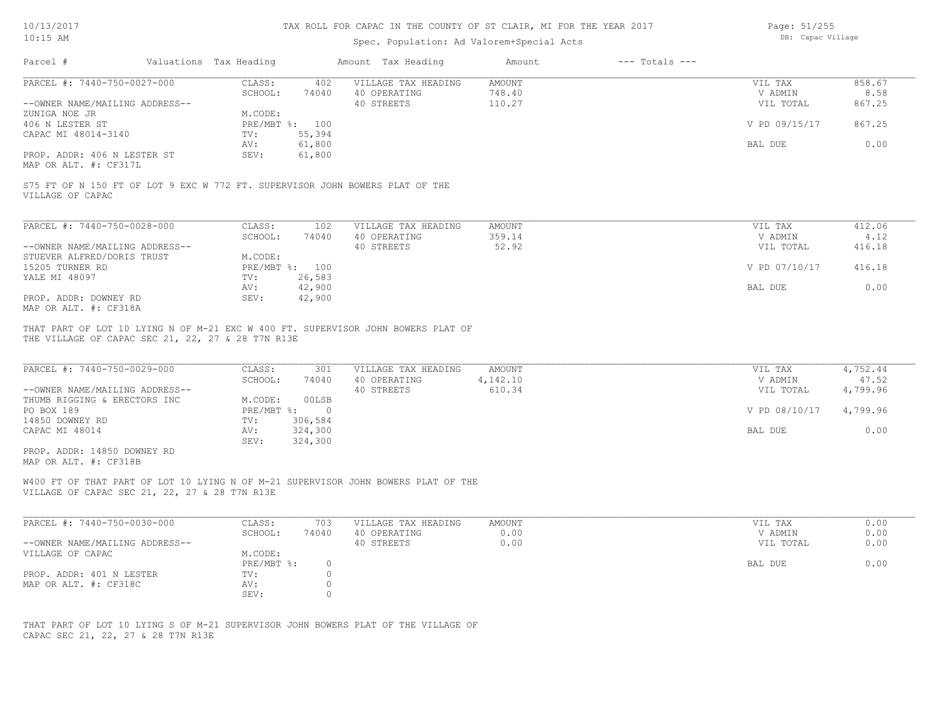## Spec. Population: Ad Valorem+Special Acts

Page: 51/255 DB: Capac Village

| Parcel #                                                                                                           | Valuations Tax Heading |                                      | Amount Tax Heading                                                                                                                    | Amount                              | $---$ Totals $---$ |                                 |                               |
|--------------------------------------------------------------------------------------------------------------------|------------------------|--------------------------------------|---------------------------------------------------------------------------------------------------------------------------------------|-------------------------------------|--------------------|---------------------------------|-------------------------------|
| PARCEL #: 7440-750-0027-000                                                                                        | CLASS:<br>SCHOOL:      | 402<br>74040                         | VILLAGE TAX HEADING<br>40 OPERATING                                                                                                   | <b>AMOUNT</b><br>748.40             |                    | VIL TAX<br>V ADMIN              | 858.67<br>8.58                |
| --OWNER NAME/MAILING ADDRESS--<br>ZUNIGA NOE JR                                                                    | M.CODE:                |                                      | 40 STREETS                                                                                                                            | 110.27                              |                    | VIL TOTAL                       | 867.25                        |
| 406 N LESTER ST<br>CAPAC MI 48014-3140                                                                             | TV:                    | PRE/MBT %: 100<br>55,394             |                                                                                                                                       |                                     |                    | V PD 09/15/17                   | 867.25                        |
| PROP. ADDR: 406 N LESTER ST<br>MAP OR ALT. #: CF317L                                                               | AV:<br>SEV:            | 61,800<br>61,800                     |                                                                                                                                       |                                     |                    | BAL DUE                         | 0.00                          |
| S75 FT OF N 150 FT OF LOT 9 EXC W 772 FT. SUPERVISOR JOHN BOWERS PLAT OF THE<br>VILLAGE OF CAPAC                   |                        |                                      |                                                                                                                                       |                                     |                    |                                 |                               |
| PARCEL #: 7440-750-0028-000                                                                                        | CLASS:                 | 102                                  | VILLAGE TAX HEADING                                                                                                                   | <b>AMOUNT</b>                       |                    | VIL TAX                         | 412.06                        |
| --OWNER NAME/MAILING ADDRESS--                                                                                     | SCHOOL:                | 74040                                | 40 OPERATING<br>40 STREETS                                                                                                            | 359.14<br>52.92                     |                    | V ADMIN<br>VIL TOTAL            | 4.12<br>416.18                |
| STUEVER ALFRED/DORIS TRUST<br>15205 TURNER RD                                                                      | M.CODE:                | PRE/MBT %: 100                       |                                                                                                                                       |                                     |                    | V PD 07/10/17                   | 416.18                        |
| YALE MI 48097                                                                                                      | TV:<br>AV:             | 26,583<br>42,900                     |                                                                                                                                       |                                     |                    | BAL DUE                         | 0.00                          |
| PROP. ADDR: DOWNEY RD<br>MAP OR ALT. #: CF318A                                                                     | SEV:                   | 42,900                               |                                                                                                                                       |                                     |                    |                                 |                               |
| THE VILLAGE OF CAPAC SEC 21, 22, 27 & 28 T7N R13E<br>PARCEL #: 7440-750-0029-000<br>--OWNER NAME/MAILING ADDRESS-- | CLASS:<br>SCHOOL:      | 301<br>74040                         | THAT PART OF LOT 10 LYING N OF M-21 EXC W 400 FT. SUPERVISOR JOHN BOWERS PLAT OF<br>VILLAGE TAX HEADING<br>40 OPERATING<br>40 STREETS | <b>AMOUNT</b><br>4,142.10<br>610.34 |                    | VIL TAX<br>V ADMIN<br>VIL TOTAL | 4,752.44<br>47.52<br>4,799.96 |
| THUMB RIGGING & ERECTORS INC<br>PO BOX 189                                                                         | M.CODE:                | 00LSB<br>$PRE/MBT$ $\frac{1}{6}$ : 0 |                                                                                                                                       |                                     |                    | V PD 08/10/17                   | 4,799.96                      |
| 14850 DOWNEY RD<br>CAPAC MI 48014                                                                                  | TV:<br>AV:<br>SEV:     | 306,584<br>324,300<br>324,300        |                                                                                                                                       |                                     |                    | BAL DUE                         | 0.00                          |
| PROP. ADDR: 14850 DOWNEY RD<br>MAP OR ALT. #: CF318B                                                               |                        |                                      |                                                                                                                                       |                                     |                    |                                 |                               |
| VILLAGE OF CAPAC SEC 21, 22, 27 & 28 T7N R13E                                                                      |                        |                                      | W400 FT OF THAT PART OF LOT 10 LYING N OF M-21 SUPERVISOR JOHN BOWERS PLAT OF THE                                                     |                                     |                    |                                 |                               |
| PARCEL #: 7440-750-0030-000                                                                                        | CLASS:                 | 703                                  | VILLAGE TAX HEADING                                                                                                                   | <b>AMOUNT</b>                       |                    | VIL TAX                         | 0.00                          |
| --OWNER NAME/MAILING ADDRESS--                                                                                     | SCHOOL:                | 74040                                | 40 OPERATING<br>40 STREETS                                                                                                            | 0.00<br>0.00                        |                    | V ADMIN<br>VIL TOTAL            | 0.00<br>0.00                  |
| VILLAGE OF CAPAC                                                                                                   | M.CODE:<br>PRE/MBT %:  | $\circ$                              |                                                                                                                                       |                                     |                    | BAL DUE                         | 0.00                          |
| PROP. ADDR: 401 N LESTER<br>MAP OR ALT. #: CF318C                                                                  | TV:<br>AV:<br>SEV:     | $\circ$<br>$\circ$<br>$\circ$        |                                                                                                                                       |                                     |                    |                                 |                               |
|                                                                                                                    |                        |                                      |                                                                                                                                       |                                     |                    |                                 |                               |

CAPAC SEC 21, 22, 27 & 28 T7N R13E THAT PART OF LOT 10 LYING S OF M-21 SUPERVISOR JOHN BOWERS PLAT OF THE VILLAGE OF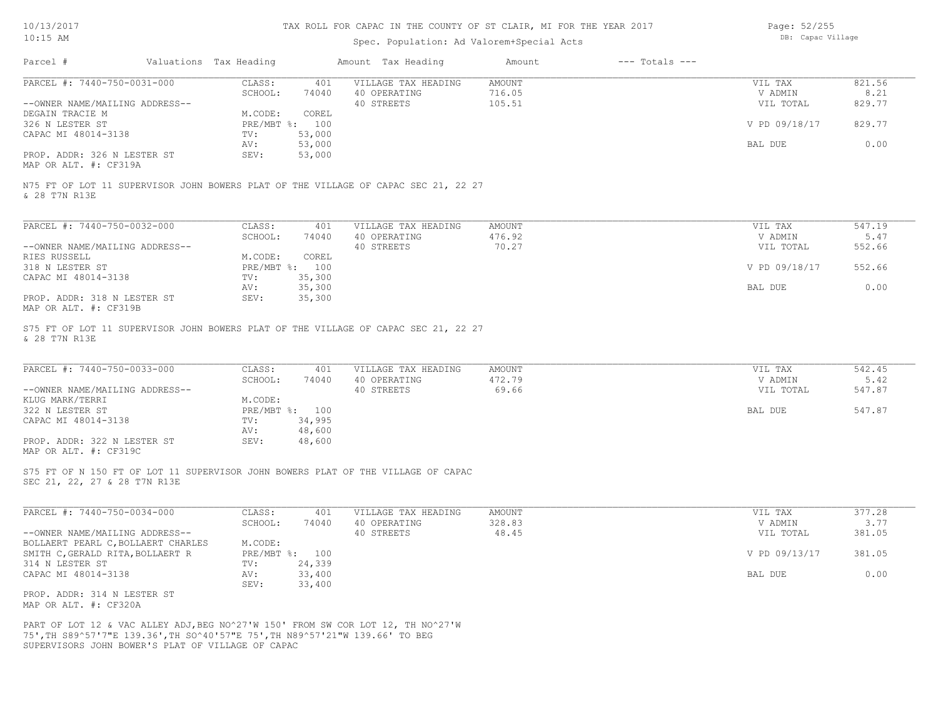# Spec. Population: Ad Valorem+Special Acts

Page: 52/255 DB: Capac Village

|                                                                                                                                                    | Valuations Tax Heading            | Amount Tax Heading                                | Amount<br>$---$ Totals $---$     |                                 |                          |
|----------------------------------------------------------------------------------------------------------------------------------------------------|-----------------------------------|---------------------------------------------------|----------------------------------|---------------------------------|--------------------------|
| PARCEL #: 7440-750-0031-000                                                                                                                        | CLASS:<br>401                     | VILLAGE TAX HEADING                               | <b>AMOUNT</b>                    | VIL TAX                         | 821.56                   |
|                                                                                                                                                    | SCHOOL:<br>74040                  | 40 OPERATING                                      | 716.05                           | V ADMIN                         | 8.21                     |
| --OWNER NAME/MAILING ADDRESS--                                                                                                                     |                                   | 40 STREETS                                        | 105.51                           | VIL TOTAL                       | 829.77                   |
| DEGAIN TRACIE M                                                                                                                                    | M.CODE:<br>COREL                  |                                                   |                                  |                                 |                          |
| 326 N LESTER ST                                                                                                                                    | PRE/MBT %: 100                    |                                                   |                                  | V PD 09/18/17                   | 829.77                   |
| CAPAC MI 48014-3138                                                                                                                                | 53,000<br>TV:                     |                                                   |                                  |                                 |                          |
|                                                                                                                                                    | 53,000<br>AV:                     |                                                   |                                  | BAL DUE                         | 0.00                     |
| PROP. ADDR: 326 N LESTER ST<br>MAP OR ALT. #: CF319A                                                                                               | SEV:<br>53,000                    |                                                   |                                  |                                 |                          |
| N75 FT OF LOT 11 SUPERVISOR JOHN BOWERS PLAT OF THE VILLAGE OF CAPAC SEC 21, 22 27<br>& 28 T7N R13E                                                |                                   |                                                   |                                  |                                 |                          |
| PARCEL #: 7440-750-0032-000                                                                                                                        | CLASS:<br>401                     | VILLAGE TAX HEADING                               | <b>AMOUNT</b>                    | VIL TAX                         | 547.19                   |
|                                                                                                                                                    | SCHOOL:<br>74040                  | 40 OPERATING                                      | 476.92                           | V ADMIN                         | 5.47                     |
| --OWNER NAME/MAILING ADDRESS--                                                                                                                     |                                   | 40 STREETS                                        | 70.27                            | VIL TOTAL                       | 552.66                   |
| RIES RUSSELL                                                                                                                                       | COREL<br>M.CODE:                  |                                                   |                                  |                                 |                          |
| 318 N LESTER ST                                                                                                                                    | PRE/MBT %: 100                    |                                                   |                                  | V PD 09/18/17                   | 552.66                   |
| CAPAC MI 48014-3138                                                                                                                                | 35,300<br>TV:                     |                                                   |                                  |                                 |                          |
|                                                                                                                                                    | 35,300<br>AV:                     |                                                   |                                  | BAL DUE                         | 0.00                     |
| PROP. ADDR: 318 N LESTER ST                                                                                                                        | SEV:<br>35,300                    |                                                   |                                  |                                 |                          |
| MAP OR ALT. #: CF319B                                                                                                                              |                                   |                                                   |                                  |                                 |                          |
| PARCEL #: 7440-750-0033-000<br>--OWNER NAME/MAILING ADDRESS--                                                                                      | CLASS:<br>401<br>SCHOOL:<br>74040 | VILLAGE TAX HEADING<br>40 OPERATING<br>40 STREETS | <b>AMOUNT</b><br>472.79<br>69.66 | VIL TAX<br>V ADMIN<br>VIL TOTAL | 542.45<br>5.42<br>547.87 |
| KLUG MARK/TERRI                                                                                                                                    | M.CODE:                           |                                                   |                                  |                                 |                          |
| 322 N LESTER ST                                                                                                                                    | PRE/MBT %: 100                    |                                                   |                                  | BAL DUE                         | 547.87                   |
| CAPAC MI 48014-3138                                                                                                                                | 34,995<br>TV:                     |                                                   |                                  |                                 |                          |
|                                                                                                                                                    | 48,600<br>AV:                     |                                                   |                                  |                                 |                          |
|                                                                                                                                                    | SEV:<br>48,600                    |                                                   |                                  |                                 |                          |
| PROP. ADDR: 322 N LESTER ST<br>MAP OR ALT. #: CF319C                                                                                               |                                   |                                                   |                                  |                                 |                          |
| S75 FT OF N 150 FT OF LOT 11 SUPERVISOR JOHN BOWERS PLAT OF THE VILLAGE OF CAPAC<br>SEC 21, 22, 27 & 28 T7N R13E                                   |                                   |                                                   |                                  |                                 |                          |
| PARCEL #: 7440-750-0034-000                                                                                                                        | CLASS:<br>401                     | VILLAGE TAX HEADING                               | <b>AMOUNT</b>                    | VIL TAX                         | 377.28                   |
|                                                                                                                                                    | SCHOOL:<br>74040                  | 40 OPERATING                                      | 328.83                           | V ADMIN                         | 3.77                     |
|                                                                                                                                                    |                                   | 40 STREETS                                        | 48.45                            | VIL TOTAL                       | 381.05                   |
|                                                                                                                                                    | M.CODE:                           |                                                   |                                  |                                 |                          |
|                                                                                                                                                    | PRE/MBT %: 100                    |                                                   |                                  | V PD 09/13/17                   | 381.05                   |
|                                                                                                                                                    | TV:<br>24,339                     |                                                   |                                  |                                 |                          |
| --OWNER NAME/MAILING ADDRESS--<br>BOLLAERT PEARL C, BOLLAERT CHARLES<br>SMITH C, GERALD RITA, BOLLAERT R<br>314 N LESTER ST<br>CAPAC MI 48014-3138 | AV:<br>33,400                     |                                                   |                                  | BAL DUE                         | 0.00                     |
|                                                                                                                                                    | SEV:<br>33,400                    |                                                   |                                  |                                 |                          |
| PROP. ADDR: 314 N LESTER ST<br>MAP OR ALT. #: CF320A                                                                                               |                                   |                                                   |                                  |                                 |                          |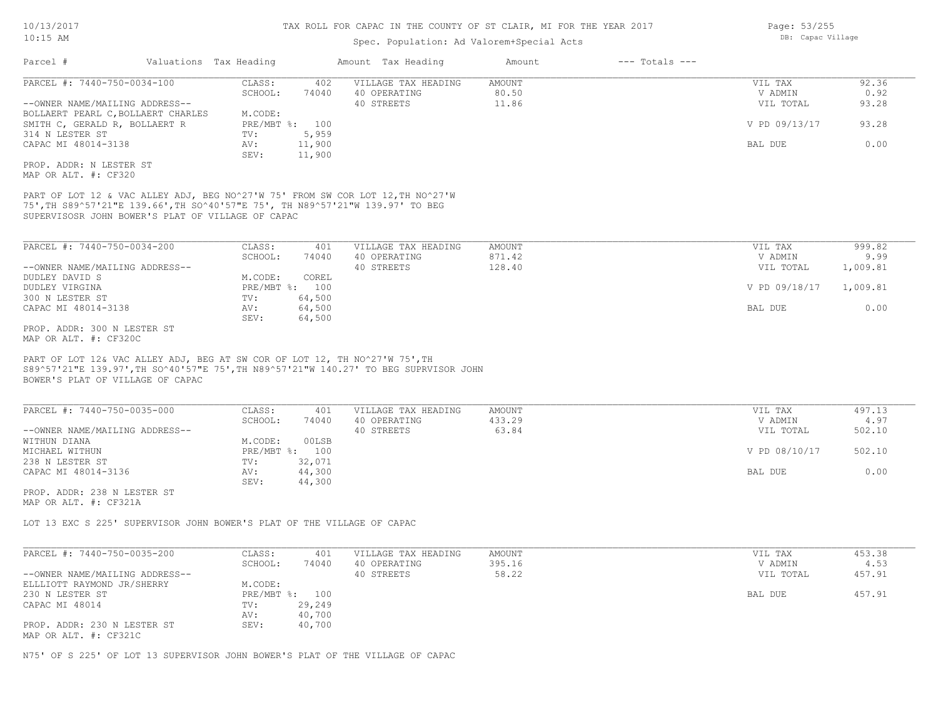## Spec. Population: Ad Valorem+Special Acts

| PARCEL #: 7440-750-0034-100<br>CLASS:<br>VILLAGE TAX HEADING<br>AMOUNT<br>VIL TAX<br>92.36<br>402<br>80.50<br>0.92<br>SCHOOL:<br>74040<br>40 OPERATING<br>V ADMIN<br>--OWNER NAME/MAILING ADDRESS--<br>40 STREETS<br>11.86<br>VIL TOTAL<br>93.28<br>BOLLAERT PEARL C, BOLLAERT CHARLES<br>M.CODE:<br>PRE/MBT %: 100<br>V PD 09/13/17<br>93.28<br>SMITH C, GERALD R, BOLLAERT R<br>5,959<br>314 N LESTER ST<br>TV:<br>0.00<br>11,900<br>CAPAC MI 48014-3138<br>AV:<br>BAL DUE<br>11,900<br>SEV:<br>PROP. ADDR: N LESTER ST<br>MAP OR ALT. #: CF320<br>PART OF LOT 12 & VAC ALLEY ADJ, BEG NO^27'W 75' FROM SW COR LOT 12, TH NO^27'W<br>75', TH S89^57'21"E 139.66', TH SO^40'57"E 75', TH N89^57'21"W 139.97' TO BEG<br>SUPERVISOSR JOHN BOWER'S PLAT OF VILLAGE OF CAPAC<br>PARCEL #: 7440-750-0034-200<br>999.82<br>CLASS:<br>401<br>VILLAGE TAX HEADING<br>AMOUNT<br>VIL TAX<br>SCHOOL:<br>40 OPERATING<br>871.42<br>V ADMIN<br>9.99<br>74040<br>40 STREETS<br>128.40<br>--OWNER NAME/MAILING ADDRESS--<br>VIL TOTAL<br>1,009.81<br>M.CODE:<br>COREL<br>DUDLEY DAVID S<br>DUDLEY VIRGINA<br>PRE/MBT %: 100<br>V PD 09/18/17<br>1,009.81<br>64,500<br>300 N LESTER ST<br>TV:<br>CAPAC MI 48014-3138<br>AV:<br>64,500<br>BAL DUE<br>0.00<br>64,500<br>SEV:<br>PROP. ADDR: 300 N LESTER ST<br>MAP OR ALT. #: CF320C<br>PART OF LOT 12& VAC ALLEY ADJ, BEG AT SW COR OF LOT 12, TH NO^27'W 75', TH<br>S89^57'21"E 139.97', TH SO^40'57"E 75', TH N89^57'21"W 140.27' TO BEG SUPRVISOR JOHN<br>BOWER'S PLAT OF VILLAGE OF CAPAC<br>PARCEL #: 7440-750-0035-000<br>CLASS:<br>497.13<br>401<br>VILLAGE TAX HEADING<br><b>AMOUNT</b><br>VIL TAX<br>SCHOOL:<br>433.29<br>4.97<br>74040<br>40 OPERATING<br>V ADMIN<br>40 STREETS<br>63.84<br>502.10<br>--OWNER NAME/MAILING ADDRESS--<br>VIL TOTAL<br>WITHUN DIANA<br>M.CODE:<br>00LSB<br>PRE/MBT %: 100<br>V PD 08/10/17<br>502.10<br>MICHAEL WITHUN<br>238 N LESTER ST<br>TV:<br>32,071<br>0.00<br>CAPAC MI 48014-3136<br>44,300<br>BAL DUE<br>AV:<br>SEV:<br>44,300<br>PROP. ADDR: 238 N LESTER ST<br>MAP OR ALT. #: CF321A<br>LOT 13 EXC S 225' SUPERVISOR JOHN BOWER'S PLAT OF THE VILLAGE OF CAPAC<br>PARCEL #: 7440-750-0035-200<br>453.38<br>CLASS:<br>401<br>VILLAGE TAX HEADING<br><b>AMOUNT</b><br>VIL TAX<br>395.16<br>4.53<br>SCHOOL:<br>74040<br>40 OPERATING<br>V ADMIN<br>58.22<br>40 STREETS<br>VIL TOTAL<br>457.91<br>--OWNER NAME/MAILING ADDRESS--<br>M.CODE:<br>ELLLIOTT RAYMOND JR/SHERRY<br>PRE/MBT %: 100<br>BAL DUE<br>457.91<br>230 N LESTER ST<br>CAPAC MI 48014<br>TV:<br>29,249<br>40,700<br>AV:<br>PROP. ADDR: 230 N LESTER ST<br>SEV:<br>40,700<br>MAP OR ALT. #: CF321C | Parcel # | Valuations Tax Heading |  | Amount Tax Heading | Amount | $---$ Totals $---$ |  |
|--------------------------------------------------------------------------------------------------------------------------------------------------------------------------------------------------------------------------------------------------------------------------------------------------------------------------------------------------------------------------------------------------------------------------------------------------------------------------------------------------------------------------------------------------------------------------------------------------------------------------------------------------------------------------------------------------------------------------------------------------------------------------------------------------------------------------------------------------------------------------------------------------------------------------------------------------------------------------------------------------------------------------------------------------------------------------------------------------------------------------------------------------------------------------------------------------------------------------------------------------------------------------------------------------------------------------------------------------------------------------------------------------------------------------------------------------------------------------------------------------------------------------------------------------------------------------------------------------------------------------------------------------------------------------------------------------------------------------------------------------------------------------------------------------------------------------------------------------------------------------------------------------------------------------------------------------------------------------------------------------------------------------------------------------------------------------------------------------------------------------------------------------------------------------------------------------------------------------------------------------------------------------------------------------------------------------------------------------------------------------------------------------------------------------------------------------------------------------------------------------------------------------------------------------------------------------------------------------------------------------------------------------|----------|------------------------|--|--------------------|--------|--------------------|--|
|                                                                                                                                                                                                                                                                                                                                                                                                                                                                                                                                                                                                                                                                                                                                                                                                                                                                                                                                                                                                                                                                                                                                                                                                                                                                                                                                                                                                                                                                                                                                                                                                                                                                                                                                                                                                                                                                                                                                                                                                                                                                                                                                                                                                                                                                                                                                                                                                                                                                                                                                                                                                                                                  |          |                        |  |                    |        |                    |  |
|                                                                                                                                                                                                                                                                                                                                                                                                                                                                                                                                                                                                                                                                                                                                                                                                                                                                                                                                                                                                                                                                                                                                                                                                                                                                                                                                                                                                                                                                                                                                                                                                                                                                                                                                                                                                                                                                                                                                                                                                                                                                                                                                                                                                                                                                                                                                                                                                                                                                                                                                                                                                                                                  |          |                        |  |                    |        |                    |  |
|                                                                                                                                                                                                                                                                                                                                                                                                                                                                                                                                                                                                                                                                                                                                                                                                                                                                                                                                                                                                                                                                                                                                                                                                                                                                                                                                                                                                                                                                                                                                                                                                                                                                                                                                                                                                                                                                                                                                                                                                                                                                                                                                                                                                                                                                                                                                                                                                                                                                                                                                                                                                                                                  |          |                        |  |                    |        |                    |  |
|                                                                                                                                                                                                                                                                                                                                                                                                                                                                                                                                                                                                                                                                                                                                                                                                                                                                                                                                                                                                                                                                                                                                                                                                                                                                                                                                                                                                                                                                                                                                                                                                                                                                                                                                                                                                                                                                                                                                                                                                                                                                                                                                                                                                                                                                                                                                                                                                                                                                                                                                                                                                                                                  |          |                        |  |                    |        |                    |  |
|                                                                                                                                                                                                                                                                                                                                                                                                                                                                                                                                                                                                                                                                                                                                                                                                                                                                                                                                                                                                                                                                                                                                                                                                                                                                                                                                                                                                                                                                                                                                                                                                                                                                                                                                                                                                                                                                                                                                                                                                                                                                                                                                                                                                                                                                                                                                                                                                                                                                                                                                                                                                                                                  |          |                        |  |                    |        |                    |  |
|                                                                                                                                                                                                                                                                                                                                                                                                                                                                                                                                                                                                                                                                                                                                                                                                                                                                                                                                                                                                                                                                                                                                                                                                                                                                                                                                                                                                                                                                                                                                                                                                                                                                                                                                                                                                                                                                                                                                                                                                                                                                                                                                                                                                                                                                                                                                                                                                                                                                                                                                                                                                                                                  |          |                        |  |                    |        |                    |  |
|                                                                                                                                                                                                                                                                                                                                                                                                                                                                                                                                                                                                                                                                                                                                                                                                                                                                                                                                                                                                                                                                                                                                                                                                                                                                                                                                                                                                                                                                                                                                                                                                                                                                                                                                                                                                                                                                                                                                                                                                                                                                                                                                                                                                                                                                                                                                                                                                                                                                                                                                                                                                                                                  |          |                        |  |                    |        |                    |  |
|                                                                                                                                                                                                                                                                                                                                                                                                                                                                                                                                                                                                                                                                                                                                                                                                                                                                                                                                                                                                                                                                                                                                                                                                                                                                                                                                                                                                                                                                                                                                                                                                                                                                                                                                                                                                                                                                                                                                                                                                                                                                                                                                                                                                                                                                                                                                                                                                                                                                                                                                                                                                                                                  |          |                        |  |                    |        |                    |  |
|                                                                                                                                                                                                                                                                                                                                                                                                                                                                                                                                                                                                                                                                                                                                                                                                                                                                                                                                                                                                                                                                                                                                                                                                                                                                                                                                                                                                                                                                                                                                                                                                                                                                                                                                                                                                                                                                                                                                                                                                                                                                                                                                                                                                                                                                                                                                                                                                                                                                                                                                                                                                                                                  |          |                        |  |                    |        |                    |  |
|                                                                                                                                                                                                                                                                                                                                                                                                                                                                                                                                                                                                                                                                                                                                                                                                                                                                                                                                                                                                                                                                                                                                                                                                                                                                                                                                                                                                                                                                                                                                                                                                                                                                                                                                                                                                                                                                                                                                                                                                                                                                                                                                                                                                                                                                                                                                                                                                                                                                                                                                                                                                                                                  |          |                        |  |                    |        |                    |  |
|                                                                                                                                                                                                                                                                                                                                                                                                                                                                                                                                                                                                                                                                                                                                                                                                                                                                                                                                                                                                                                                                                                                                                                                                                                                                                                                                                                                                                                                                                                                                                                                                                                                                                                                                                                                                                                                                                                                                                                                                                                                                                                                                                                                                                                                                                                                                                                                                                                                                                                                                                                                                                                                  |          |                        |  |                    |        |                    |  |
|                                                                                                                                                                                                                                                                                                                                                                                                                                                                                                                                                                                                                                                                                                                                                                                                                                                                                                                                                                                                                                                                                                                                                                                                                                                                                                                                                                                                                                                                                                                                                                                                                                                                                                                                                                                                                                                                                                                                                                                                                                                                                                                                                                                                                                                                                                                                                                                                                                                                                                                                                                                                                                                  |          |                        |  |                    |        |                    |  |
|                                                                                                                                                                                                                                                                                                                                                                                                                                                                                                                                                                                                                                                                                                                                                                                                                                                                                                                                                                                                                                                                                                                                                                                                                                                                                                                                                                                                                                                                                                                                                                                                                                                                                                                                                                                                                                                                                                                                                                                                                                                                                                                                                                                                                                                                                                                                                                                                                                                                                                                                                                                                                                                  |          |                        |  |                    |        |                    |  |
|                                                                                                                                                                                                                                                                                                                                                                                                                                                                                                                                                                                                                                                                                                                                                                                                                                                                                                                                                                                                                                                                                                                                                                                                                                                                                                                                                                                                                                                                                                                                                                                                                                                                                                                                                                                                                                                                                                                                                                                                                                                                                                                                                                                                                                                                                                                                                                                                                                                                                                                                                                                                                                                  |          |                        |  |                    |        |                    |  |
|                                                                                                                                                                                                                                                                                                                                                                                                                                                                                                                                                                                                                                                                                                                                                                                                                                                                                                                                                                                                                                                                                                                                                                                                                                                                                                                                                                                                                                                                                                                                                                                                                                                                                                                                                                                                                                                                                                                                                                                                                                                                                                                                                                                                                                                                                                                                                                                                                                                                                                                                                                                                                                                  |          |                        |  |                    |        |                    |  |
|                                                                                                                                                                                                                                                                                                                                                                                                                                                                                                                                                                                                                                                                                                                                                                                                                                                                                                                                                                                                                                                                                                                                                                                                                                                                                                                                                                                                                                                                                                                                                                                                                                                                                                                                                                                                                                                                                                                                                                                                                                                                                                                                                                                                                                                                                                                                                                                                                                                                                                                                                                                                                                                  |          |                        |  |                    |        |                    |  |
|                                                                                                                                                                                                                                                                                                                                                                                                                                                                                                                                                                                                                                                                                                                                                                                                                                                                                                                                                                                                                                                                                                                                                                                                                                                                                                                                                                                                                                                                                                                                                                                                                                                                                                                                                                                                                                                                                                                                                                                                                                                                                                                                                                                                                                                                                                                                                                                                                                                                                                                                                                                                                                                  |          |                        |  |                    |        |                    |  |
|                                                                                                                                                                                                                                                                                                                                                                                                                                                                                                                                                                                                                                                                                                                                                                                                                                                                                                                                                                                                                                                                                                                                                                                                                                                                                                                                                                                                                                                                                                                                                                                                                                                                                                                                                                                                                                                                                                                                                                                                                                                                                                                                                                                                                                                                                                                                                                                                                                                                                                                                                                                                                                                  |          |                        |  |                    |        |                    |  |
|                                                                                                                                                                                                                                                                                                                                                                                                                                                                                                                                                                                                                                                                                                                                                                                                                                                                                                                                                                                                                                                                                                                                                                                                                                                                                                                                                                                                                                                                                                                                                                                                                                                                                                                                                                                                                                                                                                                                                                                                                                                                                                                                                                                                                                                                                                                                                                                                                                                                                                                                                                                                                                                  |          |                        |  |                    |        |                    |  |
|                                                                                                                                                                                                                                                                                                                                                                                                                                                                                                                                                                                                                                                                                                                                                                                                                                                                                                                                                                                                                                                                                                                                                                                                                                                                                                                                                                                                                                                                                                                                                                                                                                                                                                                                                                                                                                                                                                                                                                                                                                                                                                                                                                                                                                                                                                                                                                                                                                                                                                                                                                                                                                                  |          |                        |  |                    |        |                    |  |
|                                                                                                                                                                                                                                                                                                                                                                                                                                                                                                                                                                                                                                                                                                                                                                                                                                                                                                                                                                                                                                                                                                                                                                                                                                                                                                                                                                                                                                                                                                                                                                                                                                                                                                                                                                                                                                                                                                                                                                                                                                                                                                                                                                                                                                                                                                                                                                                                                                                                                                                                                                                                                                                  |          |                        |  |                    |        |                    |  |

N75' OF S 225' OF LOT 13 SUPERVISOR JOHN BOWER'S PLAT OF THE VILLAGE OF CAPAC

Page: 53/255 DB: Capac Village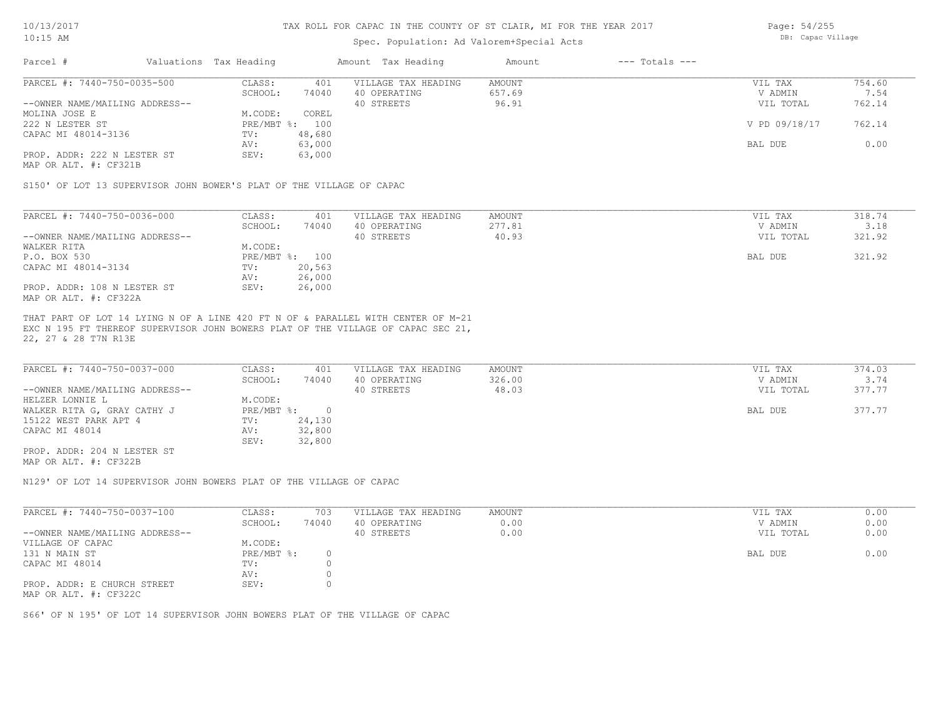### Spec. Population: Ad Valorem+Special Acts

| Page: 54/255      |
|-------------------|
| DB: Capac Village |

| Parcel #                       | Valuations Tax Heading |        | Amount Tax Heading  | Amount | $---$ Totals $---$ |               |        |
|--------------------------------|------------------------|--------|---------------------|--------|--------------------|---------------|--------|
| PARCEL #: 7440-750-0035-500    | CLASS:                 | 401    | VILLAGE TAX HEADING | AMOUNT |                    | VIL TAX       | 754.60 |
|                                | SCHOOL:                | 74040  | 40 OPERATING        | 657.69 |                    | V ADMIN       | 7.54   |
| --OWNER NAME/MAILING ADDRESS-- |                        |        | 40 STREETS          | 96.91  |                    | VIL TOTAL     | 762.14 |
| MOLINA JOSE E                  | M.CODE:                | COREL  |                     |        |                    |               |        |
| 222 N LESTER ST                | PRE/MBT %: 100         |        |                     |        |                    | V PD 09/18/17 | 762.14 |
| CAPAC MI 48014-3136            | TV:                    | 48,680 |                     |        |                    |               |        |
|                                | AV:                    | 63,000 |                     |        |                    | BAL DUE       | 0.00   |
| PROP. ADDR: 222 N LESTER ST    | SEV:                   | 63,000 |                     |        |                    |               |        |
|                                |                        |        |                     |        |                    |               |        |

MAP OR ALT. #: CF321B

S150' OF LOT 13 SUPERVISOR JOHN BOWER'S PLAT OF THE VILLAGE OF CAPAC

| PARCEL #: 7440-750-0036-000    | CLASS:     | 401    | VILLAGE TAX HEADING | AMOUNT | VIL TAX   | 318.74 |
|--------------------------------|------------|--------|---------------------|--------|-----------|--------|
|                                | SCHOOL:    | 74040  | 40 OPERATING        | 277.81 | V ADMIN   | 3.18   |
| --OWNER NAME/MAILING ADDRESS-- |            |        | 40 STREETS          | 40.93  | VIL TOTAL | 321.92 |
| WALKER RITA                    | M.CODE:    |        |                     |        |           |        |
| P.O. BOX 530                   | PRE/MBT %: | 100    |                     |        | BAL DUE   | 321.92 |
| CAPAC MI 48014-3134            | TV:        | 20,563 |                     |        |           |        |
|                                | AV:        | 26,000 |                     |        |           |        |
| PROP. ADDR: 108 N LESTER ST    | SEV:       | 26,000 |                     |        |           |        |
| MAP OR ALT. #: CF322A          |            |        |                     |        |           |        |

22, 27 & 28 T7N R13E EXC N 195 FT THEREOF SUPERVISOR JOHN BOWERS PLAT OF THE VILLAGE OF CAPAC SEC 21, THAT PART OF LOT 14 LYING N OF A LINE 420 FT N OF & PARALLEL WITH CENTER OF M-21

| PARCEL #: 7440-750-0037-000    | CLASS:     | 401    | VILLAGE TAX HEADING | AMOUNT | VIL TAX   | 374.03 |
|--------------------------------|------------|--------|---------------------|--------|-----------|--------|
|                                | SCHOOL:    | 74040  | 40 OPERATING        | 326.00 | V ADMIN   | 3.74   |
| --OWNER NAME/MAILING ADDRESS-- |            |        | 40 STREETS          | 48.03  | VIL TOTAL | 377.77 |
| HELZER LONNIE L                | M.CODE:    |        |                     |        |           |        |
| WALKER RITA G, GRAY CATHY J    | PRE/MBT %: |        |                     |        | BAL DUE   | 377.77 |
| 15122 WEST PARK APT 4          | TV:        | 24,130 |                     |        |           |        |
| CAPAC MI 48014                 | AV:        | 32,800 |                     |        |           |        |
|                                | SEV:       | 32,800 |                     |        |           |        |
| PROP. ADDR: 204 N LESTER ST    |            |        |                     |        |           |        |

MAP OR ALT. #: CF322B

N129' OF LOT 14 SUPERVISOR JOHN BOWERS PLAT OF THE VILLAGE OF CAPAC

| PARCEL #: 7440-750-0037-100    | CLASS:       | 703   | VILLAGE TAX HEADING | AMOUNT | VIL TAX   | 0.00 |
|--------------------------------|--------------|-------|---------------------|--------|-----------|------|
|                                | SCHOOL:      | 74040 | 40 OPERATING        | 0.00   | V ADMIN   | 0.00 |
| --OWNER NAME/MAILING ADDRESS-- |              |       | 40 STREETS          | 0.00   | VIL TOTAL | 0.00 |
| VILLAGE OF CAPAC               | M.CODE:      |       |                     |        |           |      |
| 131 N MAIN ST                  | $PRE/MBT$ %: |       |                     |        | BAL DUE   | 0.00 |
| CAPAC MI 48014                 | TV:          |       |                     |        |           |      |
|                                | AV:          |       |                     |        |           |      |
| PROP. ADDR: E CHURCH STREET    | SEV:         |       |                     |        |           |      |
| MAP OR ALT. #: CF322C          |              |       |                     |        |           |      |

S66' OF N 195' OF LOT 14 SUPERVISOR JOHN BOWERS PLAT OF THE VILLAGE OF CAPAC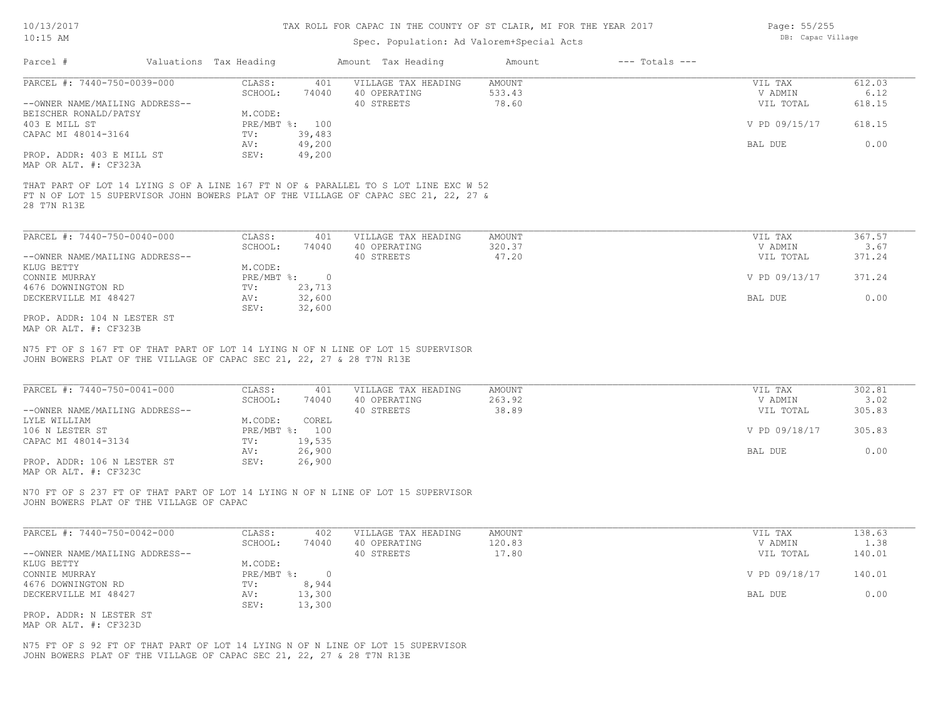### Spec. Population: Ad Valorem+Special Acts

Page: 55/255 DB: Capac Village

| Parcel #                       | Valuations Tax Heading |                | Amount Tax Heading  | Amount | $---$ Totals $---$ |               |        |
|--------------------------------|------------------------|----------------|---------------------|--------|--------------------|---------------|--------|
| PARCEL #: 7440-750-0039-000    | CLASS:                 | 401            | VILLAGE TAX HEADING | AMOUNT |                    | VIL TAX       | 612.03 |
|                                | SCHOOL:                | 74040          | 40 OPERATING        | 533.43 |                    | V ADMIN       | 6.12   |
| --OWNER NAME/MAILING ADDRESS-- |                        |                | 40 STREETS          | 78.60  |                    | VIL TOTAL     | 618.15 |
| BEISCHER RONALD/PATSY          | M.CODE:                |                |                     |        |                    |               |        |
| 403 E MILL ST                  |                        | PRE/MBT %: 100 |                     |        |                    | V PD 09/15/17 | 618.15 |
| CAPAC MI 48014-3164            | TV:                    | 39,483         |                     |        |                    |               |        |
|                                | AV:                    | 49,200         |                     |        |                    | BAL DUE       | 0.00   |
| PROP. ADDR: 403 E MILL ST      | SEV:                   | 49,200         |                     |        |                    |               |        |
| MAP OR ALT. #: CF323A          |                        |                |                     |        |                    |               |        |

28 T7N R13E FT N OF LOT 15 SUPERVISOR JOHN BOWERS PLAT OF THE VILLAGE OF CAPAC SEC 21, 22, 27 &

| PARCEL #: 7440-750-0040-000    | CLASS:     | 401    | VILLAGE TAX HEADING | AMOUNT | VIL TAX       | 367.57 |
|--------------------------------|------------|--------|---------------------|--------|---------------|--------|
|                                | SCHOOL:    | 74040  | 40 OPERATING        | 320.37 | V ADMIN       | 3.67   |
| --OWNER NAME/MAILING ADDRESS-- |            |        | 40 STREETS          | 47.20  | VIL TOTAL     | 371.24 |
| KLUG BETTY                     | M.CODE:    |        |                     |        |               |        |
| CONNIE MURRAY                  | PRE/MBT %: |        |                     |        | V PD 09/13/17 | 371.24 |
| 4676 DOWNINGTON RD             | TV:        | 23,713 |                     |        |               |        |
| DECKERVILLE MI 48427           | AV:        | 32,600 |                     |        | BAL DUE       | 0.00   |
|                                | SEV:       | 32,600 |                     |        |               |        |
| PROP. ADDR: 104 N LESTER ST    |            |        |                     |        |               |        |

MAP OR ALT. #: CF323B

JOHN BOWERS PLAT OF THE VILLAGE OF CAPAC SEC 21, 22, 27 & 28 T7N R13E N75 FT OF S 167 FT OF THAT PART OF LOT 14 LYING N OF N LINE OF LOT 15 SUPERVISOR

| PARCEL #: 7440-750-0041-000                                             | CLASS:  | 401            | VILLAGE TAX HEADING | AMOUNT | VIL TAX       | 302.81 |
|-------------------------------------------------------------------------|---------|----------------|---------------------|--------|---------------|--------|
|                                                                         | SCHOOL: | 74040          | 40 OPERATING        | 263.92 | V ADMIN       | 3.02   |
| --OWNER NAME/MAILING ADDRESS--                                          |         |                | 40 STREETS          | 38.89  | VIL TOTAL     | 305.83 |
| LYLE WILLIAM                                                            | M.CODE: | COREL          |                     |        |               |        |
| 106 N LESTER ST                                                         |         | PRE/MBT %: 100 |                     |        | V PD 09/18/17 | 305.83 |
| CAPAC MI 48014-3134                                                     | TV:     | 19,535         |                     |        |               |        |
|                                                                         | AV:     | 26,900         |                     |        | BAL DUE       | 0.00   |
| PROP. ADDR: 106 N LESTER ST                                             | SEV:    | 26,900         |                     |        |               |        |
| $\cdots$ $\cdots$ $\cdots$ $\cdots$ $\cdots$ $\cdots$ $\cdots$ $\cdots$ |         |                |                     |        |               |        |

MAP OR ALT. #: CF323C

JOHN BOWERS PLAT OF THE VILLAGE OF CAPAC N70 FT OF S 237 FT OF THAT PART OF LOT 14 LYING N OF N LINE OF LOT 15 SUPERVISOR

| PARCEL #: 7440-750-0042-000    | CLASS:       | 402    | VILLAGE TAX HEADING | AMOUNT | VIL TAX       | 138.63 |
|--------------------------------|--------------|--------|---------------------|--------|---------------|--------|
|                                | SCHOOL:      | 74040  | 40 OPERATING        | 120.83 | V ADMIN       | 1.38   |
| --OWNER NAME/MAILING ADDRESS-- |              |        | 40 STREETS          | 17.80  | VIL TOTAL     | 140.01 |
| KLUG BETTY                     | M.CODE:      |        |                     |        |               |        |
| CONNIE MURRAY                  | $PRE/MBT$ %: |        |                     |        | V PD 09/18/17 | 140.01 |
| 4676 DOWNINGTON RD             | TV:          | 8,944  |                     |        |               |        |
| DECKERVILLE MI 48427           | AV:          | 13,300 |                     |        | BAL DUE       | 0.00   |
|                                | SEV:         | 13,300 |                     |        |               |        |
| PROP. ADDR: N LESTER ST        |              |        |                     |        |               |        |

MAP OR ALT. #: CF323D

JOHN BOWERS PLAT OF THE VILLAGE OF CAPAC SEC 21, 22, 27 & 28 T7N R13E N75 FT OF S 92 FT OF THAT PART OF LOT 14 LYING N OF N LINE OF LOT 15 SUPERVISOR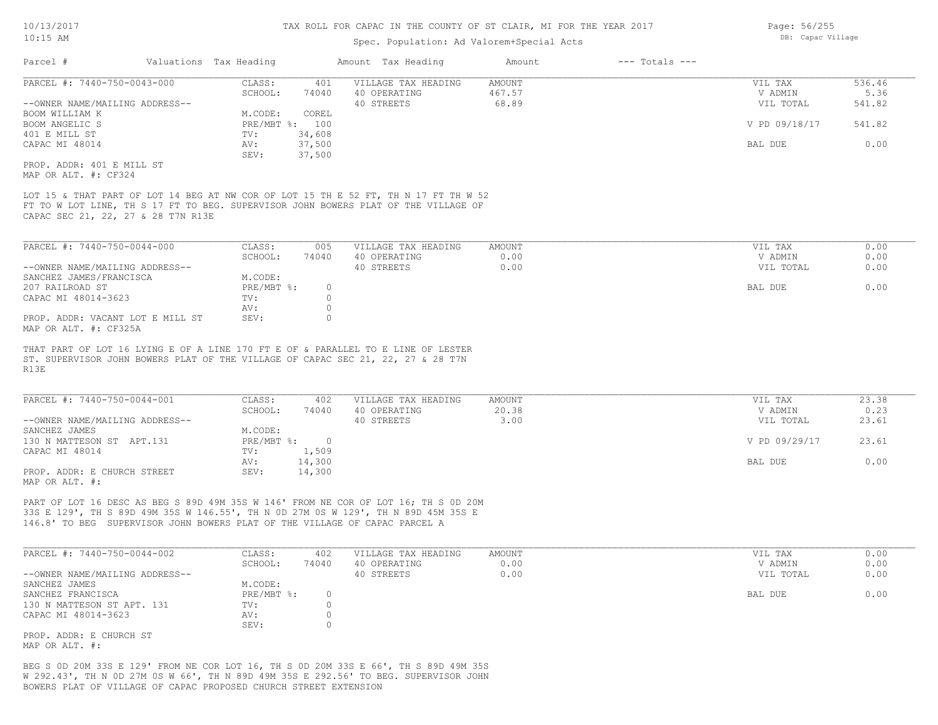# Spec. Population: Ad Valorem+Special Acts

|                                                                                                                                                                                                                                                       |                                                              | Spec. Population: Ad Valorem+Special Acts         |                              |                                                  |                                 |
|-------------------------------------------------------------------------------------------------------------------------------------------------------------------------------------------------------------------------------------------------------|--------------------------------------------------------------|---------------------------------------------------|------------------------------|--------------------------------------------------|---------------------------------|
| Parcel #                                                                                                                                                                                                                                              | Valuations Tax Heading                                       | Amount Tax Heading                                | Amount<br>$---$ Totals $---$ |                                                  |                                 |
| PARCEL #: 7440-750-0043-000                                                                                                                                                                                                                           | CLASS:<br>401                                                | VILLAGE TAX HEADING                               | <b>AMOUNT</b>                | VIL TAX                                          | 536.46                          |
|                                                                                                                                                                                                                                                       | SCHOOL:<br>74040                                             | 40 OPERATING                                      | 467.57                       | V ADMIN                                          | 5.36                            |
| --OWNER NAME/MAILING ADDRESS--                                                                                                                                                                                                                        |                                                              | 40 STREETS                                        | 68.89                        | VIL TOTAL                                        | 541.82                          |
| BOOM WILLIAM K                                                                                                                                                                                                                                        | M.CODE:<br>COREL                                             |                                                   |                              |                                                  |                                 |
| BOOM ANGELIC S                                                                                                                                                                                                                                        | PRE/MBT %: 100                                               |                                                   |                              | V PD 09/18/17                                    | 541.82                          |
|                                                                                                                                                                                                                                                       |                                                              |                                                   |                              |                                                  |                                 |
| 401 E MILL ST                                                                                                                                                                                                                                         | 34,608<br>TV:                                                |                                                   |                              |                                                  |                                 |
| CAPAC MI 48014                                                                                                                                                                                                                                        | 37,500<br>AV:                                                |                                                   |                              | BAL DUE                                          | 0.00                            |
|                                                                                                                                                                                                                                                       | SEV:<br>37,500                                               |                                                   |                              |                                                  |                                 |
| PROP. ADDR: 401 E MILL ST                                                                                                                                                                                                                             |                                                              |                                                   |                              |                                                  |                                 |
| MAP OR ALT. #: CF324                                                                                                                                                                                                                                  |                                                              |                                                   |                              |                                                  |                                 |
| LOT 15 & THAT PART OF LOT 14 BEG AT NW COR OF LOT 15 TH E 52 FT, TH N 17 FT TH W 52<br>FT TO W LOT LINE, TH S 17 FT TO BEG. SUPERVISOR JOHN BOWERS PLAT OF THE VILLAGE OF<br>CAPAC SEC 21, 22, 27 & 28 T7N R13E                                       |                                                              |                                                   |                              |                                                  |                                 |
|                                                                                                                                                                                                                                                       |                                                              |                                                   |                              |                                                  |                                 |
| PARCEL #: 7440-750-0044-000                                                                                                                                                                                                                           | CLASS:<br>005                                                | VILLAGE TAX HEADING                               | AMOUNT                       | VIL TAX                                          | 0.00                            |
|                                                                                                                                                                                                                                                       | SCHOOL:<br>74040                                             | 40 OPERATING                                      | 0.00                         | V ADMIN                                          | 0.00                            |
| --OWNER NAME/MAILING ADDRESS--                                                                                                                                                                                                                        |                                                              | 40 STREETS                                        | 0.00                         | VIL TOTAL                                        | 0.00                            |
| SANCHEZ JAMES/FRANCISCA                                                                                                                                                                                                                               | M.CODE:                                                      |                                                   |                              |                                                  |                                 |
| 207 RAILROAD ST                                                                                                                                                                                                                                       | PRE/MBT %:<br>$\circ$                                        |                                                   |                              | BAL DUE                                          | 0.00                            |
| CAPAC MI 48014-3623                                                                                                                                                                                                                                   | $\text{TV}$ :<br>$\circ$                                     |                                                   |                              |                                                  |                                 |
|                                                                                                                                                                                                                                                       | $\circ$<br>AV:                                               |                                                   |                              |                                                  |                                 |
| PROP. ADDR: VACANT LOT E MILL ST<br>MAP OR ALT. #: CF325A                                                                                                                                                                                             | SEV:<br>$\Omega$                                             |                                                   |                              |                                                  |                                 |
| R13E<br>PARCEL #: 7440-750-0044-001<br>--OWNER NAME/MAILING ADDRESS--<br>SANCHEZ JAMES<br>130 N MATTESON ST APT.131                                                                                                                                   | CLASS:<br>402<br>SCHOOL:<br>74040<br>M.CODE:<br>PRE/MBT %: 0 | VILLAGE TAX HEADING<br>40 OPERATING<br>40 STREETS | AMOUNT<br>20.38<br>3.00      | VIL TAX<br>V ADMIN<br>VIL TOTAL<br>V PD 09/29/17 | 23.38<br>0.23<br>23.61<br>23.61 |
| CAPAC MI 48014                                                                                                                                                                                                                                        | 1,509<br>TV:                                                 |                                                   |                              |                                                  |                                 |
|                                                                                                                                                                                                                                                       | 14,300<br>AV:                                                |                                                   |                              | BAL DUE                                          | 0.00                            |
| PROP. ADDR: E CHURCH STREET<br>MAP OR ALT. #:                                                                                                                                                                                                         | 14,300<br>SEV:                                               |                                                   |                              |                                                  |                                 |
| PART OF LOT 16 DESC AS BEG S 89D 49M 35S W 146' FROM NE COR OF LOT 16; TH S 0D 20M<br>33S E 129', TH S 89D 49M 35S W 146.55', TH N OD 27M OS W 129', TH N 89D 45M 35S E<br>146.8' TO BEG SUPERVISOR JOHN BOWERS PLAT OF THE VILLAGE OF CAPAC PARCEL A |                                                              |                                                   |                              |                                                  |                                 |
| PARCEL #: 7440-750-0044-002                                                                                                                                                                                                                           | CLASS:<br>402                                                | VILLAGE TAX HEADING                               | AMOUNT                       | VIL TAX                                          | 0.00                            |
|                                                                                                                                                                                                                                                       | SCHOOL:<br>74040                                             | 40 OPERATING                                      | 0.00                         | V ADMIN                                          | 0.00                            |
| --OWNER NAME/MAILING ADDRESS--                                                                                                                                                                                                                        |                                                              | 40 STREETS                                        | 0.00                         | VIL TOTAL                                        | 0.00                            |
| SANCHEZ JAMES                                                                                                                                                                                                                                         | M.CODE:                                                      |                                                   |                              |                                                  |                                 |
|                                                                                                                                                                                                                                                       |                                                              |                                                   |                              |                                                  | 0.00                            |
| SANCHEZ FRANCISCA                                                                                                                                                                                                                                     | PRE/MBT %:<br>$\circ$                                        |                                                   |                              | BAL DUE                                          |                                 |
| 130 N MATTESON ST APT. 131                                                                                                                                                                                                                            | $\circ$<br>TV:                                               |                                                   |                              |                                                  |                                 |
| CAPAC MI 48014-3623                                                                                                                                                                                                                                   | $\circ$<br>AV:                                               |                                                   |                              |                                                  |                                 |
|                                                                                                                                                                                                                                                       | $\Omega$<br>SEV:                                             |                                                   |                              |                                                  |                                 |

MAP OR ALT. #: PROP. ADDR: E CHURCH ST

BOWERS PLAT OF VILLAGE OF CAPAC PROPOSED CHURCH STREET EXTENSION W 292.43', TH N 0D 27M 0S W 66', TH N 89D 49M 35S E 292.56' TO BEG. SUPERVISOR JOHN BEG S 0D 20M 33S E 129' FROM NE COR LOT 16, TH S 0D 20M 33S E 66', TH S 89D 49M 35S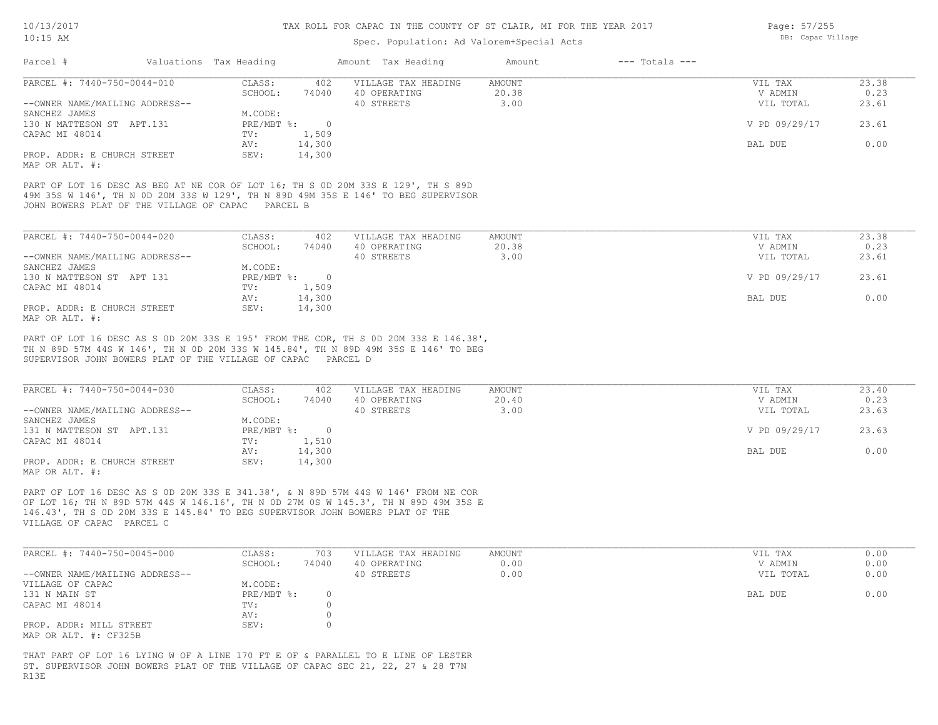### Spec. Population: Ad Valorem+Special Acts

| Parcel #                       | Valuations Tax Heading |        | Amount Tax Heading  | Amount | $---$ Totals $---$ |               |       |
|--------------------------------|------------------------|--------|---------------------|--------|--------------------|---------------|-------|
| PARCEL #: 7440-750-0044-010    | CLASS:                 | 402    | VILLAGE TAX HEADING | AMOUNT |                    | VIL TAX       | 23.38 |
|                                | SCHOOL:                | 74040  | 40 OPERATING        | 20.38  |                    | V ADMIN       | 0.23  |
| --OWNER NAME/MAILING ADDRESS-- |                        |        | 40 STREETS          | 3.00   |                    | VIL TOTAL     | 23.61 |
| SANCHEZ JAMES                  | M.CODE:                |        |                     |        |                    |               |       |
| 130 N MATTESON ST APT.131      | $PRE/MBT$ %:           |        |                     |        |                    | V PD 09/29/17 | 23.61 |
| CAPAC MI 48014                 | TV:                    | 1,509  |                     |        |                    |               |       |
|                                | AV:                    | 14,300 |                     |        |                    | BAL DUE       | 0.00  |
| PROP. ADDR: E CHURCH STREET    | SEV:                   | 14,300 |                     |        |                    |               |       |
|                                |                        |        |                     |        |                    |               |       |

MAP OR ALT. #:

JOHN BOWERS PLAT OF THE VILLAGE OF CAPAC PARCEL B 49M 35S W 146', TH N 0D 20M 33S W 129', TH N 89D 49M 35S E 146' TO BEG SUPERVISOR PART OF LOT 16 DESC AS BEG AT NE COR OF LOT 16; TH S 0D 20M 33S E 129', TH S 89D

| PARCEL #: 7440-750-0044-020    | CLASS:       | 402    | VILLAGE TAX HEADING | AMOUNT | VIL TAX       | 23.38 |
|--------------------------------|--------------|--------|---------------------|--------|---------------|-------|
|                                | SCHOOL:      | 74040  | 40 OPERATING        | 20.38  | V ADMIN       | 0.23  |
| --OWNER NAME/MAILING ADDRESS-- |              |        | 40 STREETS          | 3.00   | VIL TOTAL     | 23.61 |
| SANCHEZ JAMES                  | M.CODE:      |        |                     |        |               |       |
| 130 N MATTESON ST APT 131      | $PRE/MBT$ %: |        |                     |        | V PD 09/29/17 | 23.61 |
| CAPAC MI 48014                 | TV:          | 1,509  |                     |        |               |       |
|                                | AV:          | 14,300 |                     |        | BAL DUE       | 0.00  |
| PROP. ADDR: E CHURCH STREET    | SEV:         | 14,300 |                     |        |               |       |
| MAP OR ALT. #:                 |              |        |                     |        |               |       |

SUPERVISOR JOHN BOWERS PLAT OF THE VILLAGE OF CAPAC PARCEL D TH N 89D 57M 44S W 146', TH N 0D 20M 33S W 145.84', TH N 89D 49M 35S E 146' TO BEG PART OF LOT 16 DESC AS S 0D 20M 33S E 195' FROM THE COR, TH S 0D 20M 33S E 146.38',

| PARCEL #: 7440-750-0044-030    | CLASS:     | 402    | VILLAGE TAX HEADING | AMOUNT | VIL TAX       | 23.40 |
|--------------------------------|------------|--------|---------------------|--------|---------------|-------|
|                                | SCHOOL:    | 74040  | 40 OPERATING        | 20.40  | V ADMIN       | 0.23  |
| --OWNER NAME/MAILING ADDRESS-- |            |        | 40 STREETS          | 3.00   | VIL TOTAL     | 23.63 |
| SANCHEZ JAMES                  | M.CODE:    |        |                     |        |               |       |
| 131 N MATTESON ST APT.131      | PRE/MBT %: |        |                     |        | V PD 09/29/17 | 23.63 |
| CAPAC MI 48014                 | TV:        | 1,510  |                     |        |               |       |
|                                | AV:        | 14,300 |                     |        | BAL DUE       | 0.00  |
| PROP. ADDR: E CHURCH STREET    | SEV:       | 14,300 |                     |        |               |       |
| MAP OR ALT. #:                 |            |        |                     |        |               |       |

VILLAGE OF CAPAC PARCEL C 146.43', TH S 0D 20M 33S E 145.84' TO BEG SUPERVISOR JOHN BOWERS PLAT OF THE OF LOT 16; TH N 89D 57M 44S W 146.16', TH N 0D 27M 0S W 145.3', TH N 89D 49M 35S E PART OF LOT 16 DESC AS S 0D 20M 33S E 341.38', & N 89D 57M 44S W 146' FROM NE COR

| PARCEL #: 7440-750-0045-000    | CLASS:     | 703   | VILLAGE TAX HEADING | AMOUNT | VIL TAX   | 0.00 |
|--------------------------------|------------|-------|---------------------|--------|-----------|------|
|                                | SCHOOL:    | 74040 | 40 OPERATING        | 0.00   | V ADMIN   | 0.00 |
| --OWNER NAME/MAILING ADDRESS-- |            |       | 40 STREETS          | 0.00   | VIL TOTAL | 0.00 |
| VILLAGE OF CAPAC               | M.CODE:    |       |                     |        |           |      |
| 131 N MAIN ST                  | PRE/MBT %: |       |                     |        | BAL DUE   | 0.00 |
| CAPAC MI 48014                 | TV:        |       |                     |        |           |      |
|                                | AV:        |       |                     |        |           |      |
| PROP. ADDR: MILL STREET        | SEV:       |       |                     |        |           |      |
| MAP OR ALT. #: CF325B          |            |       |                     |        |           |      |

R13E ST. SUPERVISOR JOHN BOWERS PLAT OF THE VILLAGE OF CAPAC SEC 21, 22, 27 & 28 T7N THAT PART OF LOT 16 LYING W OF A LINE 170 FT E OF & PARALLEL TO E LINE OF LESTER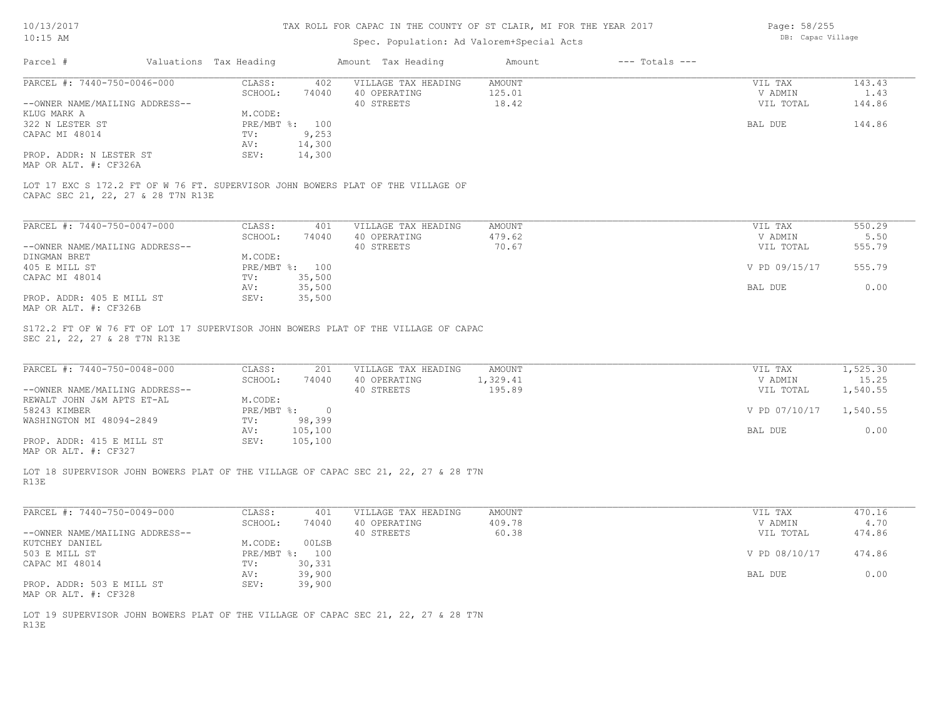Page: 58/255 DB: Capac Village

| Parcel #<br>Valuations Tax Heading<br>PARCEL #: 7440-750-0046-000<br>CLASS:<br>SCHOOL:<br>--OWNER NAME/MAILING ADDRESS--<br>KLUG MARK A<br>M.CODE:<br>322 N LESTER ST<br>CAPAC MI 48014<br>TV:<br>AV:<br>PROP. ADDR: N LESTER ST<br>SEV:<br>MAP OR ALT. #: CF326A<br>LOT 17 EXC S 172.2 FT OF W 76 FT. SUPERVISOR JOHN BOWERS PLAT OF THE VILLAGE OF<br>CAPAC SEC 21, 22, 27 & 28 T7N R13E | 402<br>74040<br>PRE/MBT %: 100<br>9,253<br>14,300<br>14,300 | Amount Tax Heading<br>VILLAGE TAX HEADING<br>40 OPERATING<br>40 STREETS | Amount<br><b>AMOUNT</b><br>125.01<br>18.42 | $---$ Totals $---$ | VIL TAX<br>V ADMIN<br>VIL TOTAL | 143.43<br>1.43<br>144.86 |
|--------------------------------------------------------------------------------------------------------------------------------------------------------------------------------------------------------------------------------------------------------------------------------------------------------------------------------------------------------------------------------------------|-------------------------------------------------------------|-------------------------------------------------------------------------|--------------------------------------------|--------------------|---------------------------------|--------------------------|
|                                                                                                                                                                                                                                                                                                                                                                                            |                                                             |                                                                         |                                            |                    |                                 |                          |
|                                                                                                                                                                                                                                                                                                                                                                                            |                                                             |                                                                         |                                            |                    |                                 |                          |
|                                                                                                                                                                                                                                                                                                                                                                                            |                                                             |                                                                         |                                            |                    |                                 |                          |
|                                                                                                                                                                                                                                                                                                                                                                                            |                                                             |                                                                         |                                            |                    |                                 |                          |
|                                                                                                                                                                                                                                                                                                                                                                                            |                                                             |                                                                         |                                            |                    |                                 |                          |
|                                                                                                                                                                                                                                                                                                                                                                                            |                                                             |                                                                         |                                            |                    | <b>BAL DUE</b>                  | 144.86                   |
|                                                                                                                                                                                                                                                                                                                                                                                            |                                                             |                                                                         |                                            |                    |                                 |                          |
|                                                                                                                                                                                                                                                                                                                                                                                            |                                                             |                                                                         |                                            |                    |                                 |                          |
|                                                                                                                                                                                                                                                                                                                                                                                            |                                                             |                                                                         |                                            |                    |                                 |                          |
|                                                                                                                                                                                                                                                                                                                                                                                            |                                                             |                                                                         |                                            |                    |                                 |                          |
|                                                                                                                                                                                                                                                                                                                                                                                            |                                                             |                                                                         |                                            |                    |                                 |                          |
| PARCEL #: 7440-750-0047-000<br>CLASS:                                                                                                                                                                                                                                                                                                                                                      | 401                                                         | VILLAGE TAX HEADING                                                     | AMOUNT                                     |                    | VIL TAX                         | 550.29                   |
| SCHOOL:                                                                                                                                                                                                                                                                                                                                                                                    | 74040                                                       | 40 OPERATING                                                            | 479.62                                     |                    | V ADMIN                         | 5.50                     |
| --OWNER NAME/MAILING ADDRESS--                                                                                                                                                                                                                                                                                                                                                             |                                                             | 40 STREETS                                                              | 70.67                                      |                    | VIL TOTAL                       | 555.79                   |
| DINGMAN BRET<br>M.CODE:                                                                                                                                                                                                                                                                                                                                                                    |                                                             |                                                                         |                                            |                    |                                 |                          |
| 405 E MILL ST                                                                                                                                                                                                                                                                                                                                                                              | PRE/MBT %: 100                                              |                                                                         |                                            |                    | V PD 09/15/17                   | 555.79                   |
|                                                                                                                                                                                                                                                                                                                                                                                            |                                                             |                                                                         |                                            |                    |                                 |                          |
| CAPAC MI 48014<br>TV:                                                                                                                                                                                                                                                                                                                                                                      | 35,500                                                      |                                                                         |                                            |                    |                                 |                          |
| AV:                                                                                                                                                                                                                                                                                                                                                                                        | 35,500                                                      |                                                                         |                                            |                    | BAL DUE                         | 0.00                     |
| PROP. ADDR: 405 E MILL ST<br>SEV:<br>MAP OR ALT. #: CF326B                                                                                                                                                                                                                                                                                                                                 | 35,500                                                      |                                                                         |                                            |                    |                                 |                          |
| PARCEL #: 7440-750-0048-000<br>CLASS:<br>SCHOOL:                                                                                                                                                                                                                                                                                                                                           | 201<br>74040                                                | VILLAGE TAX HEADING<br>40 OPERATING                                     | AMOUNT<br>1,329.41                         |                    | VIL TAX<br>V ADMIN              | 1,525.30<br>15.25        |
| --OWNER NAME/MAILING ADDRESS--                                                                                                                                                                                                                                                                                                                                                             |                                                             | 40 STREETS                                                              | 195.89                                     |                    | VIL TOTAL                       | 1,540.55                 |
| M.CODE:<br>REWALT JOHN J&M APTS ET-AL                                                                                                                                                                                                                                                                                                                                                      |                                                             |                                                                         |                                            |                    |                                 |                          |
| 58243 KIMBER                                                                                                                                                                                                                                                                                                                                                                               | $PRE/MBT$ %:<br>$\overline{0}$                              |                                                                         |                                            |                    | V PD 07/10/17                   | 1,540.55                 |
| WASHINGTON MI 48094-2849<br>TV:                                                                                                                                                                                                                                                                                                                                                            | 98,399                                                      |                                                                         |                                            |                    |                                 |                          |
| AV:                                                                                                                                                                                                                                                                                                                                                                                        | 105,100                                                     |                                                                         |                                            |                    | BAL DUE                         | 0.00                     |
| PROP. ADDR: 415 E MILL ST<br>SEV:                                                                                                                                                                                                                                                                                                                                                          | 105,100                                                     |                                                                         |                                            |                    |                                 |                          |
| MAP OR ALT. #: CF327                                                                                                                                                                                                                                                                                                                                                                       |                                                             |                                                                         |                                            |                    |                                 |                          |
|                                                                                                                                                                                                                                                                                                                                                                                            |                                                             |                                                                         |                                            |                    |                                 |                          |
| LOT 18 SUPERVISOR JOHN BOWERS PLAT OF THE VILLAGE OF CAPAC SEC 21, 22, 27 & 28 T7N<br>R13E                                                                                                                                                                                                                                                                                                 |                                                             |                                                                         |                                            |                    |                                 |                          |
| PARCEL #: 7440-750-0049-000<br>CLASS:                                                                                                                                                                                                                                                                                                                                                      | 401                                                         | VILLAGE TAX HEADING                                                     | <b>AMOUNT</b>                              |                    | VIL TAX                         | 470.16                   |
| SCHOOL:                                                                                                                                                                                                                                                                                                                                                                                    | 74040                                                       | 40 OPERATING                                                            | 409.78                                     |                    | V ADMIN                         | 4.70                     |
| --OWNER NAME/MAILING ADDRESS--                                                                                                                                                                                                                                                                                                                                                             |                                                             | 40 STREETS                                                              | 60.38                                      |                    | VIL TOTAL                       | 474.86                   |
| M.CODE:                                                                                                                                                                                                                                                                                                                                                                                    | 00LSB                                                       |                                                                         |                                            |                    |                                 |                          |
| KUTCHEY DANIEL                                                                                                                                                                                                                                                                                                                                                                             |                                                             |                                                                         |                                            |                    |                                 |                          |
| 503 E MILL ST                                                                                                                                                                                                                                                                                                                                                                              | PRE/MBT %: 100                                              |                                                                         |                                            |                    | V PD 08/10/17                   | 474.86                   |
| CAPAC MI 48014<br>TV:                                                                                                                                                                                                                                                                                                                                                                      | 30,331                                                      |                                                                         |                                            |                    |                                 |                          |
| AV:                                                                                                                                                                                                                                                                                                                                                                                        | 39,900                                                      |                                                                         |                                            |                    | BAL DUE                         | 0.00                     |
| SEV:<br>PROP. ADDR: 503 E MILL ST<br>MAP OR ALT. #: CF328                                                                                                                                                                                                                                                                                                                                  | 39,900                                                      |                                                                         |                                            |                    |                                 |                          |
| LOT 19 SUPERVISOR JOHN BOWERS PLAT OF THE VILLAGE OF CAPAC SEC 21, 22, 27 & 28 T7N                                                                                                                                                                                                                                                                                                         |                                                             |                                                                         |                                            |                    |                                 |                          |
| R13E                                                                                                                                                                                                                                                                                                                                                                                       |                                                             |                                                                         |                                            |                    |                                 |                          |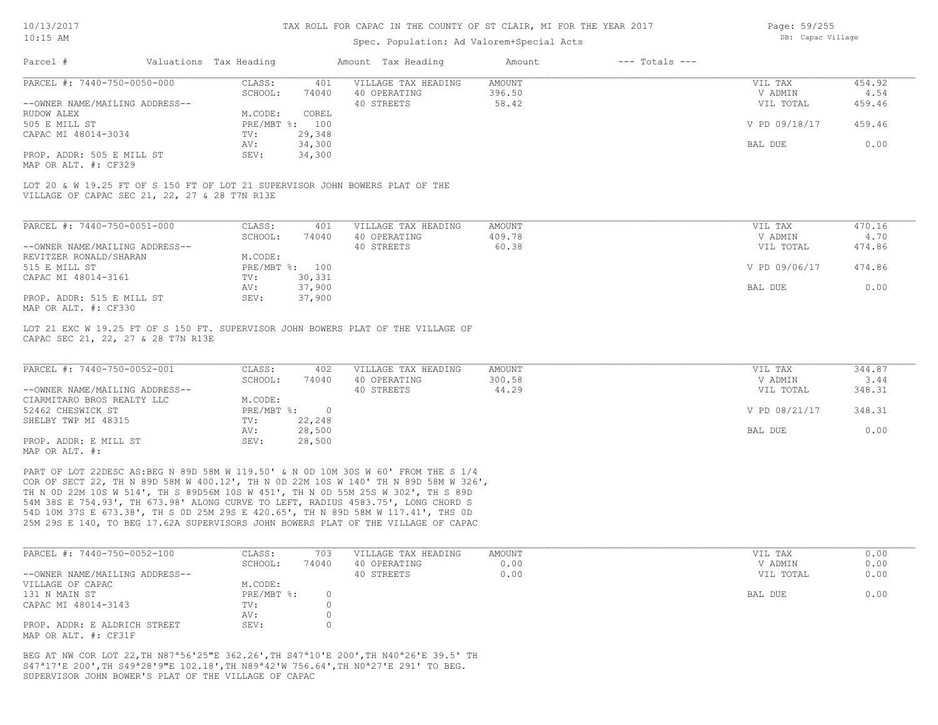### Spec. Population: Ad Valorem+Special Acts

Page: 59/255 DB: Capac Village

| Parcel #                                                                                                                      | Valuations Tax Heading |                | Amount Tax Heading                                                               | Amount        | $---$ Totals $---$ |               |        |
|-------------------------------------------------------------------------------------------------------------------------------|------------------------|----------------|----------------------------------------------------------------------------------|---------------|--------------------|---------------|--------|
| PARCEL #: 7440-750-0050-000                                                                                                   | CLASS:                 | 401            | VILLAGE TAX HEADING                                                              | <b>AMOUNT</b> |                    | VIL TAX       | 454.92 |
|                                                                                                                               | SCHOOL:                | 74040          | 40 OPERATING                                                                     | 396.50        |                    | V ADMIN       | 4.54   |
| --OWNER NAME/MAILING ADDRESS--                                                                                                |                        |                | 40 STREETS                                                                       | 58.42         |                    | VIL TOTAL     | 459.46 |
| <b>RUDOW ALEX</b>                                                                                                             | M.CODE:                | COREL          |                                                                                  |               |                    |               |        |
| 505 E MILL ST                                                                                                                 | PRE/MBT %:             | 100            |                                                                                  |               |                    | V PD 09/18/17 | 459.46 |
| CAPAC MI 48014-3034                                                                                                           | TV:                    | 29,348         |                                                                                  |               |                    |               |        |
|                                                                                                                               | AV:                    | 34,300         |                                                                                  |               |                    | BAL DUE       | 0.00   |
| PROP. ADDR: 505 E MILL ST<br>MAP OR ALT. #: CF329                                                                             | SEV:                   | 34,300         |                                                                                  |               |                    |               |        |
| LOT 20 & W 19.25 FT OF S 150 FT OF LOT 21 SUPERVISOR JOHN BOWERS PLAT OF THE<br>VILLAGE OF CAPAC SEC 21, 22, 27 & 28 T7N R13E |                        |                |                                                                                  |               |                    |               |        |
|                                                                                                                               |                        |                |                                                                                  |               |                    |               |        |
| PARCEL #: 7440-750-0051-000                                                                                                   | CLASS:                 | 401            | VILLAGE TAX HEADING                                                              | <b>AMOUNT</b> |                    | VIL TAX       | 470.16 |
|                                                                                                                               | SCHOOL:                | 74040          | 40 OPERATING                                                                     | 409.78        |                    | V ADMIN       | 4.70   |
| --OWNER NAME/MAILING ADDRESS--                                                                                                |                        |                | 40 STREETS                                                                       | 60.38         |                    | VIL TOTAL     | 474.86 |
| REVITZER RONALD/SHARAN                                                                                                        | M.CODE:                |                |                                                                                  |               |                    |               |        |
| 515 E MILL ST                                                                                                                 |                        | PRE/MBT %: 100 |                                                                                  |               |                    | V PD 09/06/17 | 474.86 |
| CAPAC MI 48014-3161                                                                                                           | TV:                    | 30,331         |                                                                                  |               |                    |               |        |
|                                                                                                                               | AV:                    | 37,900         |                                                                                  |               |                    | BAL DUE       | 0.00   |
| PROP. ADDR: 515 E MILL ST                                                                                                     | SEV:                   | 37,900         |                                                                                  |               |                    |               |        |
| MAP OR ALT. #: CF330                                                                                                          |                        |                |                                                                                  |               |                    |               |        |
| CAPAC SEC 21, 22, 27 & 28 T7N R13E                                                                                            |                        |                | LOT 21 EXC W 19.25 FT OF S 150 FT. SUPERVISOR JOHN BOWERS PLAT OF THE VILLAGE OF |               |                    |               |        |
|                                                                                                                               |                        |                |                                                                                  |               |                    |               |        |
| PARCEL #: 7440-750-0052-001                                                                                                   | CLASS:                 | 402            | VILLAGE TAX HEADING                                                              | <b>AMOUNT</b> |                    | VIL TAX       | 344.87 |
|                                                                                                                               | SCHOOL:                | 74040          | 40 OPERATING                                                                     | 300.58        |                    | V ADMIN       | 3.44   |
| --OWNER NAME/MAILING ADDRESS--                                                                                                |                        |                | 40 STREETS                                                                       | 44.29         |                    | VIL TOTAL     | 348.31 |
| CIARMITARO BROS REALTY LLC                                                                                                    | M.CODE:                |                |                                                                                  |               |                    |               |        |
| 52462 CHESWICK ST                                                                                                             | $PRE/MBT$ %:           | $\overline{0}$ |                                                                                  |               |                    | V PD 08/21/17 | 348.31 |
| SHELBY TWP MI 48315                                                                                                           | TV:                    | 22,248         |                                                                                  |               |                    |               |        |
|                                                                                                                               | AV:                    | 28,500         |                                                                                  |               |                    | BAL DUE       | 0.00   |

MAP OR ALT. #:

25M 29S E 140, TO BEG 17.62A SUPERVISORS JOHN BOWERS PLAT OF THE VILLAGE OF CAPAC 54D 10M 37S E 673.38', TH S 0D 25M 29S E 420.65', TH N 89D 58M W 117.41', THS 0D 54M 38S E 754.93', TH 673.98' ALONG CURVE TO LEFT, RADIUS 4583.75', LONG CHORD S TH N 0D 22M 10S W 514', TH S 89D56M 10S W 451', TH N 0D 55M 25S W 302', TH S 89D COR OF SECT 22, TH N 89D 58M W 400.12', TH N 0D 22M 10S W 140' TH N 89D 58M W 326', PART OF LOT 22DESC AS:BEG N 89D 58M W 119.50' & N 0D 10M 30S W 60' FROM THE S 1/4

PROP. ADDR: E MILL ST SEV: 28,500

| PARCEL #: 7440-750-0052-100    | CLASS:     | 703   | VILLAGE TAX HEADING | AMOUNT | VIL TAX   | 0.00 |
|--------------------------------|------------|-------|---------------------|--------|-----------|------|
|                                | SCHOOL:    | 74040 | 40 OPERATING        | 0.00   | V ADMIN   | 0.00 |
| --OWNER NAME/MAILING ADDRESS-- |            |       | 40 STREETS          | 0.00   | VIL TOTAL | 0.00 |
| VILLAGE OF CAPAC               | M.CODE:    |       |                     |        |           |      |
| 131 N MAIN ST                  | PRE/MBT %: |       |                     |        | BAL DUE   | 0.00 |
| CAPAC MI 48014-3143            | TV:        |       |                     |        |           |      |
|                                | AV:        |       |                     |        |           |      |
| PROP. ADDR: E ALDRICH STREET   | SEV:       |       |                     |        |           |      |
| MAP OR ALT. #: CF31F           |            |       |                     |        |           |      |

AV: 28,500 BAL DUE 0.00

SUPERVISOR JOHN BOWER'S PLAT OF THE VILLAGE OF CAPAC S47ª17'E 200',TH S49ª28'9"E 102.18',TH N89ª42'W 756.64',TH N0ª27'E 291' TO BEG. BEG AT NW COR LOT 22,TH N87ª56'25"E 362.26',TH S47ª10'E 200',TH N40ª26'E 39.5' TH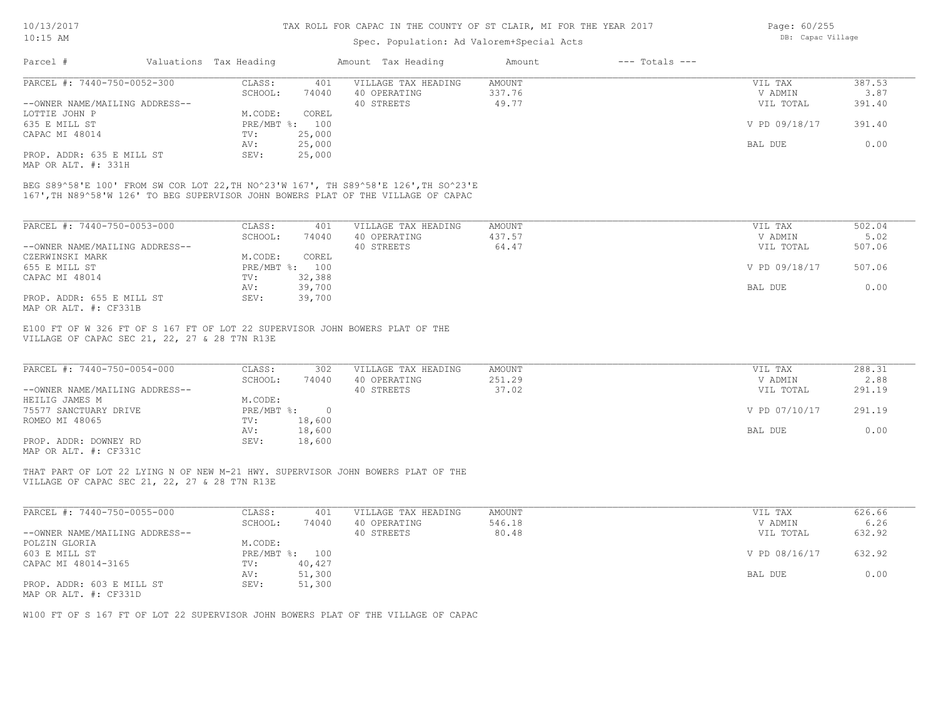### Spec. Population: Ad Valorem+Special Acts

| Page: 60/255      |
|-------------------|
| DB: Capac Village |

| Parcel #                       | Valuations Tax Heading |        | Amount Tax Heading  | Amount | $---$ Totals $---$ |               |        |
|--------------------------------|------------------------|--------|---------------------|--------|--------------------|---------------|--------|
| PARCEL #: 7440-750-0052-300    | CLASS:                 | 401    | VILLAGE TAX HEADING | AMOUNT |                    | VIL TAX       | 387.53 |
|                                | SCHOOL:                | 74040  | 40 OPERATING        | 337.76 |                    | V ADMIN       | 3.87   |
| --OWNER NAME/MAILING ADDRESS-- |                        |        | 40 STREETS          | 49.77  |                    | VIL TOTAL     | 391.40 |
| LOTTIE JOHN P                  | M.CODE:                | COREL  |                     |        |                    |               |        |
| 635 E MILL ST                  | PRE/MBT %:             | 100    |                     |        |                    | V PD 09/18/17 | 391.40 |
| CAPAC MI 48014                 | TV:                    | 25,000 |                     |        |                    |               |        |
|                                | AV:                    | 25,000 |                     |        |                    | BAL DUE       | 0.00   |
| PROP. ADDR: 635 E MILL ST      | SEV:                   | 25,000 |                     |        |                    |               |        |
|                                |                        |        |                     |        |                    |               |        |

MAP OR ALT. #: 331H

167',TH N89^58'W 126' TO BEG SUPERVISOR JOHN BOWERS PLAT OF THE VILLAGE OF CAPAC BEG S89^58'E 100' FROM SW COR LOT 22,TH NO^23'W 167', TH S89^58'E 126',TH SO^23'E

| PARCEL #: 7440-750-0053-000    | CLASS:       | 401    | VILLAGE TAX HEADING | AMOUNT | VIL TAX       | 502.04 |
|--------------------------------|--------------|--------|---------------------|--------|---------------|--------|
|                                | SCHOOL:      | 74040  | 40 OPERATING        | 437.57 | V ADMIN       | 5.02   |
| --OWNER NAME/MAILING ADDRESS-- |              |        | 40 STREETS          | 64.47  | VIL TOTAL     | 507.06 |
| CZERWINSKI MARK                | M.CODE:      | COREL  |                     |        |               |        |
| 655 E MILL ST                  | $PRE/MBT$ %: | 100    |                     |        | V PD 09/18/17 | 507.06 |
| CAPAC MI 48014                 | TV:          | 32,388 |                     |        |               |        |
|                                | AV:          | 39,700 |                     |        | BAL DUE       | 0.00   |
| PROP. ADDR: 655 E MILL ST      | SEV:         | 39,700 |                     |        |               |        |
| MAP OR ALT. #: CF331B          |              |        |                     |        |               |        |

VILLAGE OF CAPAC SEC 21, 22, 27 & 28 T7N R13E E100 FT OF W 326 FT OF S 167 FT OF LOT 22 SUPERVISOR JOHN BOWERS PLAT OF THE

| PARCEL #: 7440-750-0054-000    | CLASS:     | 302    | VILLAGE TAX HEADING | AMOUNT | VIL TAX       | 288.31 |
|--------------------------------|------------|--------|---------------------|--------|---------------|--------|
|                                | SCHOOL:    | 74040  | 40 OPERATING        | 251.29 | V ADMIN       | 2.88   |
| --OWNER NAME/MAILING ADDRESS-- |            |        | 40 STREETS          | 37.02  | VIL TOTAL     | 291.19 |
| HEILIG JAMES M                 | M.CODE:    |        |                     |        |               |        |
| 75577 SANCTUARY DRIVE          | PRE/MBT %: |        |                     |        | V PD 07/10/17 | 291.19 |
| ROMEO MI 48065                 | TV:        | 18,600 |                     |        |               |        |
|                                | AV:        | 18,600 |                     |        | BAL DUE       | 0.00   |
| PROP. ADDR: DOWNEY RD          | SEV:       | 18,600 |                     |        |               |        |
| $\cdots$                       |            |        |                     |        |               |        |

 $\_$  , and the state of the state of the state of the state of the state of the state of the state of the state of the state of the state of the state of the state of the state of the state of the state of the state of the

 $\_$  , and the state of the state of the state of the state of the state of the state of the state of the state of the state of the state of the state of the state of the state of the state of the state of the state of the

MAP OR ALT. #: CF331C

VILLAGE OF CAPAC SEC 21, 22, 27 & 28 T7N R13E THAT PART OF LOT 22 LYING N OF NEW M-21 HWY. SUPERVISOR JOHN BOWERS PLAT OF THE

| PARCEL #: 7440-750-0055-000    | CLASS:     | 401    | VILLAGE TAX HEADING | AMOUNT | VIL TAX       | 626.66 |
|--------------------------------|------------|--------|---------------------|--------|---------------|--------|
|                                | SCHOOL:    | 74040  | 40 OPERATING        | 546.18 | V ADMIN       | 6.26   |
| --OWNER NAME/MAILING ADDRESS-- |            |        | 40 STREETS          | 80.48  | VIL TOTAL     | 632.92 |
| POLZIN GLORIA                  | M.CODE:    |        |                     |        |               |        |
| 603 E MILL ST                  | PRE/MBT %: | 100    |                     |        | V PD 08/16/17 | 632.92 |
| CAPAC MI 48014-3165            | TV:        | 40,427 |                     |        |               |        |
|                                | AV:        | 51,300 |                     |        | BAL DUE       | 0.00   |
| PROP. ADDR: 603 E MILL ST      | SEV:       | 51,300 |                     |        |               |        |
| MAP OR ALT. #: CF331D          |            |        |                     |        |               |        |

W100 FT OF S 167 FT OF LOT 22 SUPERVISOR JOHN BOWERS PLAT OF THE VILLAGE OF CAPAC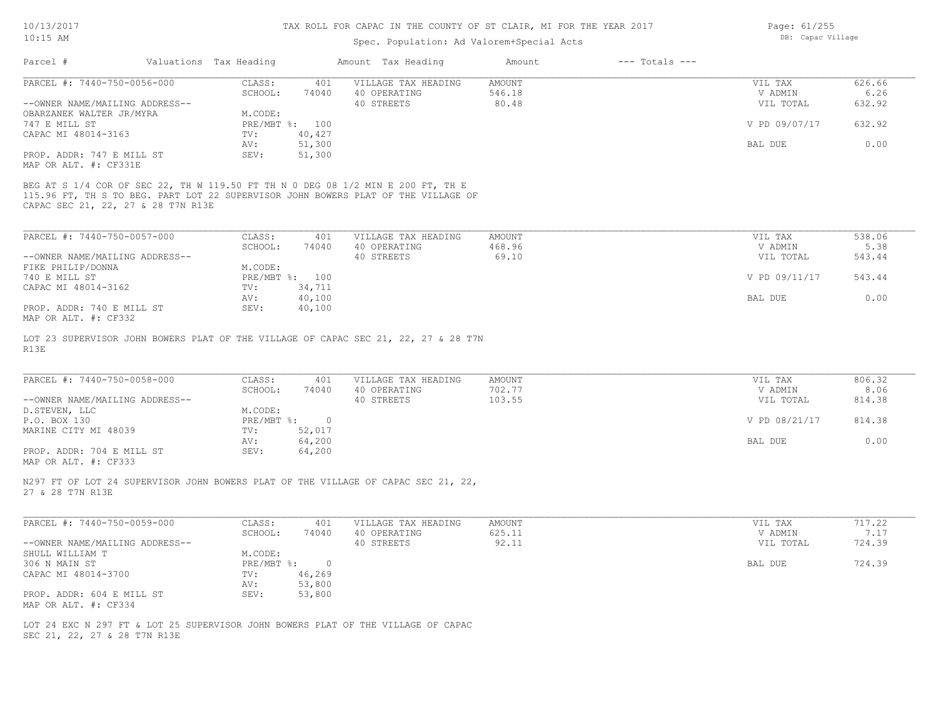## Spec. Population: Ad Valorem+Special Acts

Page: 61/255 DB: Capac Village

|                                                                                                                                                                                                                                                                                        |                                | Amount Tax Heading  | $---$ Totals $---$<br>Amount |               |        |
|----------------------------------------------------------------------------------------------------------------------------------------------------------------------------------------------------------------------------------------------------------------------------------------|--------------------------------|---------------------|------------------------------|---------------|--------|
| PARCEL #: 7440-750-0056-000                                                                                                                                                                                                                                                            | CLASS:<br>401                  | VILLAGE TAX HEADING | <b>AMOUNT</b>                | VIL TAX       | 626.66 |
|                                                                                                                                                                                                                                                                                        | SCHOOL:<br>74040               | 40 OPERATING        | 546.18                       | V ADMIN       | 6.26   |
| --OWNER NAME/MAILING ADDRESS--                                                                                                                                                                                                                                                         |                                | 40 STREETS          | 80.48                        | VIL TOTAL     | 632.92 |
| OBARZANEK WALTER JR/MYRA                                                                                                                                                                                                                                                               | M.CODE:                        |                     |                              |               |        |
| 747 E MILL ST                                                                                                                                                                                                                                                                          | PRE/MBT %: 100                 |                     |                              | V PD 09/07/17 | 632.92 |
| CAPAC MI 48014-3163                                                                                                                                                                                                                                                                    | 40,427<br>TV:<br>51,300        |                     |                              |               | 0.00   |
| PROP. ADDR: 747 E MILL ST                                                                                                                                                                                                                                                              | AV:<br>SEV:<br>51,300          |                     |                              | BAL DUE       |        |
| MAP OR ALT. #: CF331E                                                                                                                                                                                                                                                                  |                                |                     |                              |               |        |
|                                                                                                                                                                                                                                                                                        |                                |                     |                              |               |        |
| BEG AT S 1/4 COR OF SEC 22, TH W 119.50 FT TH N 0 DEG 08 1/2 MIN E 200 FT, TH E                                                                                                                                                                                                        |                                |                     |                              |               |        |
| 115.96 FT, TH S TO BEG. PART LOT 22 SUPERVISOR JOHN BOWERS PLAT OF THE VILLAGE OF                                                                                                                                                                                                      |                                |                     |                              |               |        |
| CAPAC SEC 21, 22, 27 & 28 T7N R13E                                                                                                                                                                                                                                                     |                                |                     |                              |               |        |
|                                                                                                                                                                                                                                                                                        |                                |                     |                              |               |        |
| PARCEL #: 7440-750-0057-000                                                                                                                                                                                                                                                            | CLASS:<br>401                  | VILLAGE TAX HEADING | <b>AMOUNT</b>                | VIL TAX       | 538.06 |
|                                                                                                                                                                                                                                                                                        | SCHOOL:<br>74040               | 40 OPERATING        | 468.96                       | V ADMIN       | 5.38   |
| --OWNER NAME/MAILING ADDRESS--                                                                                                                                                                                                                                                         |                                | 40 STREETS          | 69.10                        | VIL TOTAL     | 543.44 |
| FIKE PHILIP/DONNA                                                                                                                                                                                                                                                                      | M.CODE:                        |                     |                              |               |        |
| 740 E MILL ST                                                                                                                                                                                                                                                                          | PRE/MBT %: 100                 |                     |                              | V PD 09/11/17 | 543.44 |
| CAPAC MI 48014-3162                                                                                                                                                                                                                                                                    | 34,711<br>$\text{TV}$ :        |                     |                              |               |        |
|                                                                                                                                                                                                                                                                                        | AV:<br>40,100                  |                     |                              | BAL DUE       | 0.00   |
| PROP. ADDR: 740 E MILL ST                                                                                                                                                                                                                                                              | 40,100<br>SEV:                 |                     |                              |               |        |
| MAP OR ALT. #: CF332                                                                                                                                                                                                                                                                   |                                |                     |                              |               |        |
|                                                                                                                                                                                                                                                                                        |                                |                     |                              |               |        |
| LOT 23 SUPERVISOR JOHN BOWERS PLAT OF THE VILLAGE OF CAPAC SEC 21, 22, 27 & 28 T7N<br>R13E                                                                                                                                                                                             |                                |                     |                              |               |        |
|                                                                                                                                                                                                                                                                                        |                                |                     |                              |               |        |
|                                                                                                                                                                                                                                                                                        |                                |                     |                              |               |        |
| PARCEL #: 7440-750-0058-000                                                                                                                                                                                                                                                            | CLASS:<br>401                  | VILLAGE TAX HEADING | AMOUNT                       | VIL TAX       | 806.32 |
|                                                                                                                                                                                                                                                                                        | SCHOOL:<br>74040               | 40 OPERATING        | 702.77                       | V ADMIN       | 8.06   |
| --OWNER NAME/MAILING ADDRESS--                                                                                                                                                                                                                                                         |                                | 40 STREETS          | 103.55                       | VIL TOTAL     | 814.38 |
| D. STEVEN, LLC                                                                                                                                                                                                                                                                         | M.CODE:                        |                     |                              |               |        |
|                                                                                                                                                                                                                                                                                        | $PRE/MBT$ %:<br>$\overline{0}$ |                     |                              | V PD 08/21/17 | 814.38 |
|                                                                                                                                                                                                                                                                                        |                                |                     |                              |               | 0.00   |
| P.O. BOX 130<br>MARINE CITY MI 48039                                                                                                                                                                                                                                                   | TV:<br>52,017                  |                     |                              |               |        |
|                                                                                                                                                                                                                                                                                        | 64,200<br>AV:                  |                     |                              | BAL DUE       |        |
|                                                                                                                                                                                                                                                                                        | SEV:<br>64,200                 |                     |                              |               |        |
|                                                                                                                                                                                                                                                                                        |                                |                     |                              |               |        |
|                                                                                                                                                                                                                                                                                        |                                |                     |                              |               |        |
|                                                                                                                                                                                                                                                                                        |                                |                     |                              |               |        |
|                                                                                                                                                                                                                                                                                        |                                |                     |                              |               |        |
|                                                                                                                                                                                                                                                                                        |                                |                     |                              |               |        |
|                                                                                                                                                                                                                                                                                        | CLASS:<br>401                  | VILLAGE TAX HEADING | AMOUNT                       | VIL TAX       | 717.22 |
|                                                                                                                                                                                                                                                                                        | SCHOOL:<br>74040               | 40 OPERATING        | 625.11                       | V ADMIN       | 7.17   |
|                                                                                                                                                                                                                                                                                        |                                | 40 STREETS          | 92.11                        | VIL TOTAL     | 724.39 |
|                                                                                                                                                                                                                                                                                        | M.CODE:<br>$\circ$             |                     |                              | BAL DUE       |        |
|                                                                                                                                                                                                                                                                                        | PRE/MBT %:<br>TV: 46,269       |                     |                              |               | 724.39 |
| PROP. ADDR: 704 E MILL ST<br>MAP OR ALT. #: CF333<br>N297 FT OF LOT 24 SUPERVISOR JOHN BOWERS PLAT OF THE VILLAGE OF CAPAC SEC 21, 22,<br>27 & 28 T7N R13E<br>PARCEL #: 7440-750-0059-000<br>--OWNER NAME/MAILING ADDRESS--<br>SHULL WILLIAM T<br>306 N MAIN ST<br>CAPAC MI 48014-3700 | 53,800<br>AV:                  |                     |                              |               |        |
| PROP. ADDR: 604 E MILL ST                                                                                                                                                                                                                                                              | SEV:<br>53,800                 |                     |                              |               |        |
| MAP OR ALT. #: CF334                                                                                                                                                                                                                                                                   |                                |                     |                              |               |        |
|                                                                                                                                                                                                                                                                                        |                                |                     |                              |               |        |
| LOT 24 EXC N 297 FT & LOT 25 SUPERVISOR JOHN BOWERS PLAT OF THE VILLAGE OF CAPAC                                                                                                                                                                                                       |                                |                     |                              |               |        |
| SEC 21, 22, 27 & 28 T7N R13E                                                                                                                                                                                                                                                           |                                |                     |                              |               |        |
|                                                                                                                                                                                                                                                                                        |                                |                     |                              |               |        |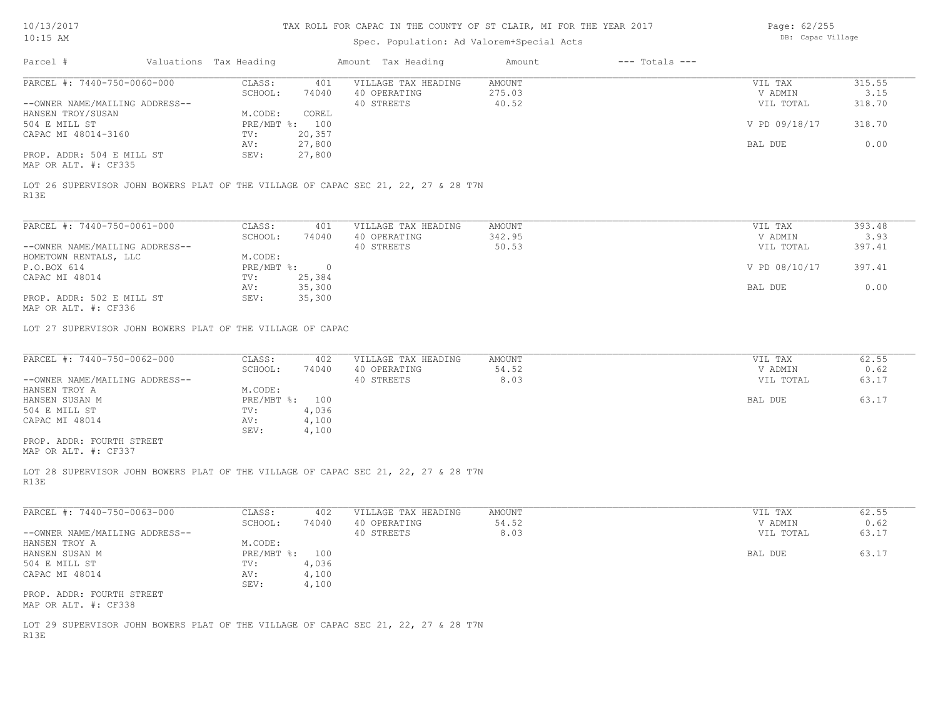# Spec. Population: Ad Valorem+Special Acts

Page: 62/255 DB: Capac Village

| Parcel #                                                   | Valuations Tax Heading |        | Amount Tax Heading                                                                 | Amount | $---$ Totals $---$ |               |        |
|------------------------------------------------------------|------------------------|--------|------------------------------------------------------------------------------------|--------|--------------------|---------------|--------|
| PARCEL #: 7440-750-0060-000                                | CLASS:                 | 401    | VILLAGE TAX HEADING                                                                | AMOUNT |                    | VIL TAX       | 315.55 |
|                                                            | SCHOOL:                | 74040  | 40 OPERATING                                                                       | 275.03 |                    | V ADMIN       | 3.15   |
| --OWNER NAME/MAILING ADDRESS--                             |                        |        | 40 STREETS                                                                         | 40.52  |                    | VIL TOTAL     | 318.70 |
| HANSEN TROY/SUSAN                                          | M.CODE:                | COREL  |                                                                                    |        |                    |               |        |
| 504 E MILL ST                                              | PRE/MBT %: 100         |        |                                                                                    |        |                    | V PD 09/18/17 | 318.70 |
| CAPAC MI 48014-3160                                        | TV:                    | 20,357 |                                                                                    |        |                    |               |        |
|                                                            | AV:                    | 27,800 |                                                                                    |        |                    | BAL DUE       | 0.00   |
| PROP. ADDR: 504 E MILL ST<br>MAP OR ALT. #: CF335          | SEV:                   | 27,800 |                                                                                    |        |                    |               |        |
| R13E                                                       |                        |        | LOT 26 SUPERVISOR JOHN BOWERS PLAT OF THE VILLAGE OF CAPAC SEC 21, 22, 27 & 28 T7N |        |                    |               |        |
|                                                            |                        |        |                                                                                    |        |                    |               |        |
| PARCEL #: 7440-750-0061-000                                | CLASS:                 | 401    | VILLAGE TAX HEADING                                                                | AMOUNT |                    | VIL TAX       | 393.48 |
|                                                            | SCHOOL:                | 74040  | 40 OPERATING                                                                       | 342.95 |                    | V ADMIN       | 3.93   |
| --OWNER NAME/MAILING ADDRESS--                             |                        |        | 40 STREETS                                                                         | 50.53  |                    | VIL TOTAL     | 397.41 |
| HOMETOWN RENTALS, LLC                                      | M.CODE:                |        |                                                                                    |        |                    |               |        |
| P.O.BOX 614                                                | $PRE/MBT$ $\div$ 0     |        |                                                                                    |        |                    | V PD 08/10/17 | 397.41 |
| CAPAC MI 48014                                             | TV:                    | 25,384 |                                                                                    |        |                    |               |        |
|                                                            | AV:                    | 35,300 |                                                                                    |        |                    | BAL DUE       | 0.00   |
| PROP. ADDR: 502 E MILL ST<br>MAP OR ALT. #: CF336          | SEV:                   | 35,300 |                                                                                    |        |                    |               |        |
| LOT 27 SUPERVISOR JOHN BOWERS PLAT OF THE VILLAGE OF CAPAC |                        |        |                                                                                    |        |                    |               |        |
|                                                            |                        |        |                                                                                    |        |                    |               |        |
| PARCEL #: 7440-750-0062-000                                | CLASS:                 | 402    | VILLAGE TAX HEADING                                                                | AMOUNT |                    | VIL TAX       | 62.55  |
|                                                            | SCHOOL:                | 74040  | 40 OPERATING                                                                       | 54.52  |                    | V ADMIN       | 0.62   |
| --OWNER NAME/MAILING ADDRESS--                             |                        |        | 40 STREETS                                                                         | 8.03   |                    | VIL TOTAL     | 63.17  |
| HANSEN TROY A                                              | M.CODE:                |        |                                                                                    |        |                    |               |        |
| HANSEN SUSAN M                                             | PRE/MBT %: 100         |        |                                                                                    |        |                    | BAL DUE       | 63.17  |
| 504 E MILL ST                                              | TV:                    | 4,036  |                                                                                    |        |                    |               |        |
| CAPAC MI 48014                                             | AV:                    | 4,100  |                                                                                    |        |                    |               |        |
|                                                            | SEV:                   | 4,100  |                                                                                    |        |                    |               |        |
| PROP. ADDR: FOURTH STREET                                  |                        |        |                                                                                    |        |                    |               |        |
| MAP OR ALT. #: CF337                                       |                        |        |                                                                                    |        |                    |               |        |
|                                                            |                        |        | LOT 28 SUPERVISOR JOHN BOWERS PLAT OF THE VILLAGE OF CAPAC SEC 21, 22, 27 & 28 T7N |        |                    |               |        |
| R13E                                                       |                        |        |                                                                                    |        |                    |               |        |
| PARCEL #: 7440-750-0063-000                                | CLASS:                 | 402    | VILLAGE TAX HEADING                                                                | AMOUNT |                    | VIL TAX       | 62.55  |
|                                                            | SCHOOL:                | 74040  | 40 OPERATING                                                                       | 54.52  |                    | V ADMIN       | 0.62   |
| --OWNER NAME/MAILING ADDRESS--                             |                        |        | 40 STREETS                                                                         | 8.03   |                    | VIL TOTAL     | 63.17  |
| HANSEN TROY A                                              | M.CODE:                |        |                                                                                    |        |                    |               |        |
| HANSEN SUSAN M                                             | PRE/MBT %: 100         |        |                                                                                    |        |                    | BAL DUE       | 63.17  |
| 504 E MILL ST                                              | TV:                    | 4,036  |                                                                                    |        |                    |               |        |
| CAPAC MI 48014                                             | AV:                    | 4,100  |                                                                                    |        |                    |               |        |
|                                                            | SEV:                   | 4,100  |                                                                                    |        |                    |               |        |
| PROP. ADDR: FOURTH STREET                                  |                        |        |                                                                                    |        |                    |               |        |
| MAP OR ALT. #: CF338                                       |                        |        |                                                                                    |        |                    |               |        |
|                                                            |                        |        | LOT 29 SUPERVISOR JOHN BOWERS PLAT OF THE VILLAGE OF CAPAC SEC 21, 22, 27 & 28 T7N |        |                    |               |        |
| R13E                                                       |                        |        |                                                                                    |        |                    |               |        |
|                                                            |                        |        |                                                                                    |        |                    |               |        |
|                                                            |                        |        |                                                                                    |        |                    |               |        |
|                                                            |                        |        |                                                                                    |        |                    |               |        |
|                                                            |                        |        |                                                                                    |        |                    |               |        |
|                                                            |                        |        |                                                                                    |        |                    |               |        |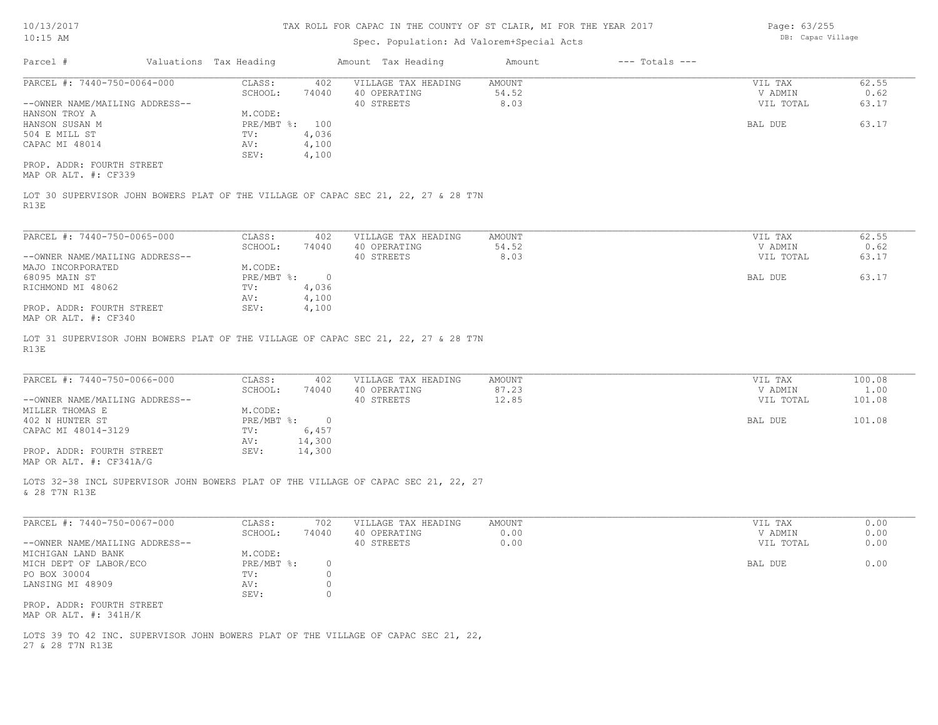## Spec. Population: Ad Valorem+Special Acts

Page: 63/255 DB: Capac Village

| Parcel #                                                      | Valuations Tax Heading |                                  |                                  | Amount Tax Heading                                                                 | Amount                  | $---$ Totals $---$ |                                 |                        |
|---------------------------------------------------------------|------------------------|----------------------------------|----------------------------------|------------------------------------------------------------------------------------|-------------------------|--------------------|---------------------------------|------------------------|
| PARCEL #: 7440-750-0064-000<br>--OWNER NAME/MAILING ADDRESS-- |                        | CLASS:<br>SCHOOL:                | 402<br>74040                     | VILLAGE TAX HEADING<br>40 OPERATING<br>40 STREETS                                  | AMOUNT<br>54.52<br>8.03 |                    | VIL TAX<br>V ADMIN<br>VIL TOTAL | 62.55<br>0.62<br>63.17 |
| HANSON TROY A<br>HANSON SUSAN M<br>504 E MILL ST              |                        | M.CODE:<br>PRE/MBT %: 100<br>TV: | 4,036                            |                                                                                    |                         |                    | BAL DUE                         | 63.17                  |
| CAPAC MI 48014                                                |                        | AV:<br>SEV:                      | 4,100<br>4,100                   |                                                                                    |                         |                    |                                 |                        |
| PROP. ADDR: FOURTH STREET<br>MAP OR ALT. #: CF339             |                        |                                  |                                  |                                                                                    |                         |                    |                                 |                        |
| R13E                                                          |                        |                                  |                                  | LOT 30 SUPERVISOR JOHN BOWERS PLAT OF THE VILLAGE OF CAPAC SEC 21, 22, 27 & 28 T7N |                         |                    |                                 |                        |
| PARCEL #: 7440-750-0065-000                                   |                        | CLASS:<br>SCHOOL:                | 402<br>74040                     | VILLAGE TAX HEADING<br>40 OPERATING                                                | AMOUNT<br>54.52         |                    | VIL TAX<br>V ADMIN              | 62.55<br>0.62          |
| --OWNER NAME/MAILING ADDRESS--<br>MAJO INCORPORATED           |                        | M.CODE:                          |                                  | 40 STREETS                                                                         | 8.03                    |                    | VIL TOTAL                       | 63.17                  |
| 68095 MAIN ST<br>RICHMOND MI 48062                            |                        | $PRE/MBT$ %:<br>TV:<br>AV:       | $\overline{0}$<br>4,036<br>4,100 |                                                                                    |                         |                    | BAL DUE                         | 63.17                  |
| PROP. ADDR: FOURTH STREET<br>MAP OR ALT. #: CF340             |                        | SEV:                             | 4,100                            |                                                                                    |                         |                    |                                 |                        |
| R13E                                                          |                        |                                  |                                  | LOT 31 SUPERVISOR JOHN BOWERS PLAT OF THE VILLAGE OF CAPAC SEC 21, 22, 27 & 28 T7N |                         |                    |                                 |                        |
| PARCEL #: 7440-750-0066-000                                   |                        | CLASS:                           | 402                              | VILLAGE TAX HEADING                                                                | AMOUNT                  |                    | VIL TAX                         | 100.08                 |
| --OWNER NAME/MAILING ADDRESS--                                |                        | SCHOOL:                          | 74040                            | 40 OPERATING<br>40 STREETS                                                         | 87.23<br>12.85          |                    | V ADMIN<br>VIL TOTAL            | 1.00<br>101.08         |
| MILLER THOMAS E<br>402 N HUNTER ST                            |                        | M.CODE:<br>PRE/MBT %: 0          |                                  |                                                                                    |                         |                    | BAL DUE                         | 101.08                 |
| CAPAC MI 48014-3129                                           |                        | TV:<br>AV:                       | 6,457<br>14,300                  |                                                                                    |                         |                    |                                 |                        |
| PROP. ADDR: FOURTH STREET<br>MAP OR ALT. #: CF341A/G          |                        | SEV:                             | 14,300                           |                                                                                    |                         |                    |                                 |                        |
| & 28 T7N R13E                                                 |                        |                                  |                                  | LOTS 32-38 INCL SUPERVISOR JOHN BOWERS PLAT OF THE VILLAGE OF CAPAC SEC 21, 22, 27 |                         |                    |                                 |                        |
| PARCEL #: 7440-750-0067-000                                   |                        | CLASS:                           | 702                              | VILLAGE TAX HEADING                                                                | AMOUNT                  |                    | VIL TAX                         | 0.00                   |
| --OWNER NAME/MAILING ADDRESS--                                |                        | SCHOOL:                          | 74040                            | 40 OPERATING<br>40 STREETS                                                         | 0.00<br>0.00            |                    | V ADMIN<br>VIL TOTAL            | 0.00<br>0.00           |
| MICHIGAN LAND BANK<br>MICH DEPT OF LABOR/ECO                  |                        | M.CODE:<br>$PRE/MBT$ %:          | $\circ$                          |                                                                                    |                         |                    | BAL DUE                         | 0.00                   |
| PO BOX 30004                                                  |                        | TV:                              | $\circ$<br>0                     |                                                                                    |                         |                    |                                 |                        |
| LANSING MI 48909                                              |                        | AV:<br>SEV:                      | $\circ$                          |                                                                                    |                         |                    |                                 |                        |
| PROP. ADDR: FOURTH STREET<br>MAP OR ALT. #: 341H/K            |                        |                                  |                                  |                                                                                    |                         |                    |                                 |                        |
| 27 & 28 T7N R13E                                              |                        |                                  |                                  | LOTS 39 TO 42 INC. SUPERVISOR JOHN BOWERS PLAT OF THE VILLAGE OF CAPAC SEC 21, 22, |                         |                    |                                 |                        |
|                                                               |                        |                                  |                                  |                                                                                    |                         |                    |                                 |                        |
|                                                               |                        |                                  |                                  |                                                                                    |                         |                    |                                 |                        |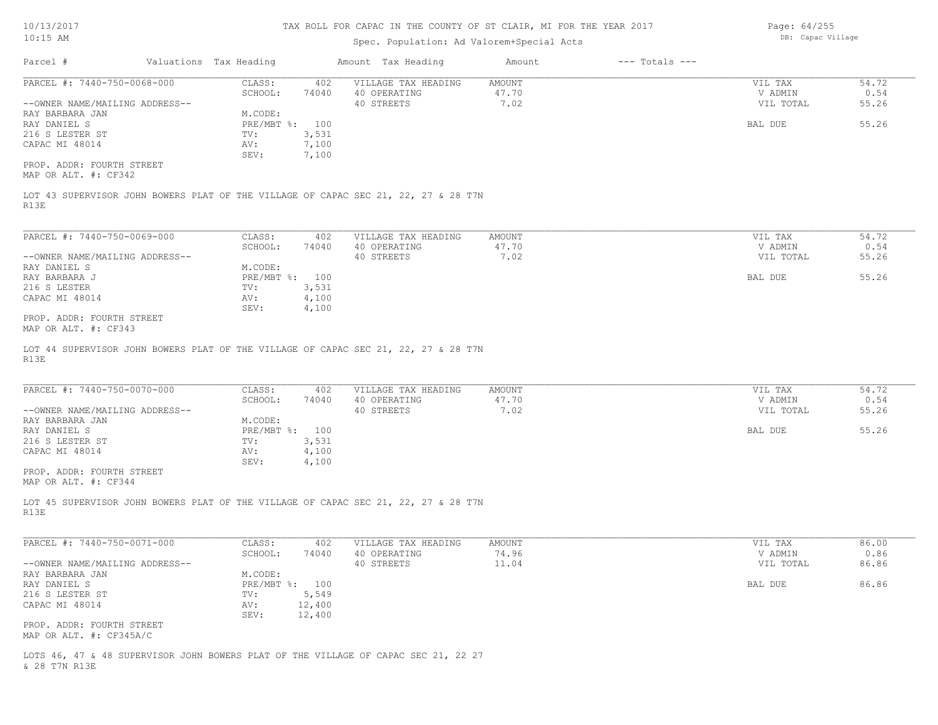## Spec. Population: Ad Valorem+Special Acts

Page: 64/255 DB: Capac Village

| Parcel #                                                      | Valuations Tax Heading |                                  |                         | Amount Tax Heading                                                                 | Amount                         | $---$ Totals $---$ |                                 |                        |
|---------------------------------------------------------------|------------------------|----------------------------------|-------------------------|------------------------------------------------------------------------------------|--------------------------------|--------------------|---------------------------------|------------------------|
| PARCEL #: 7440-750-0068-000<br>--OWNER NAME/MAILING ADDRESS-- |                        | CLASS:<br>SCHOOL:                | 402<br>74040            | VILLAGE TAX HEADING<br>40 OPERATING<br>40 STREETS                                  | <b>AMOUNT</b><br>47.70<br>7.02 |                    | VIL TAX<br>V ADMIN<br>VIL TOTAL | 54.72<br>0.54<br>55.26 |
| RAY BARBARA JAN<br>RAY DANIEL S<br>216 S LESTER ST            |                        | M.CODE:<br>PRE/MBT %: 100<br>TV: | 3,531                   |                                                                                    |                                |                    | BAL DUE                         | 55.26                  |
| CAPAC MI 48014                                                |                        | AV:<br>SEV:                      | 7,100<br>7,100          |                                                                                    |                                |                    |                                 |                        |
| PROP. ADDR: FOURTH STREET<br>MAP OR ALT. #: CF342             |                        |                                  |                         |                                                                                    |                                |                    |                                 |                        |
| R13E                                                          |                        |                                  |                         | LOT 43 SUPERVISOR JOHN BOWERS PLAT OF THE VILLAGE OF CAPAC SEC 21, 22, 27 & 28 T7N |                                |                    |                                 |                        |
| PARCEL #: 7440-750-0069-000                                   |                        | CLASS:<br>SCHOOL:                | 402<br>74040            | VILLAGE TAX HEADING<br>40 OPERATING                                                | <b>AMOUNT</b><br>47.70         |                    | VIL TAX<br>V ADMIN              | 54.72<br>0.54          |
| --OWNER NAME/MAILING ADDRESS--<br>RAY DANIEL S                |                        | M.CODE:                          |                         | 40 STREETS                                                                         | 7.02                           |                    | VIL TOTAL                       | 55.26                  |
| RAY BARBARA J                                                 |                        | PRE/MBT %: 100                   |                         |                                                                                    |                                |                    | BAL DUE                         | 55.26                  |
| 216 S LESTER<br>CAPAC MI 48014                                |                        | TV:<br>AV:<br>SEV:               | 3,531<br>4,100<br>4,100 |                                                                                    |                                |                    |                                 |                        |
| PROP. ADDR: FOURTH STREET<br>MAP OR ALT. #: CF343             |                        |                                  |                         |                                                                                    |                                |                    |                                 |                        |
| R13E                                                          |                        |                                  |                         | LOT 44 SUPERVISOR JOHN BOWERS PLAT OF THE VILLAGE OF CAPAC SEC 21, 22, 27 & 28 T7N |                                |                    |                                 |                        |
| PARCEL #: 7440-750-0070-000                                   |                        | CLASS:                           | 402                     | VILLAGE TAX HEADING                                                                | <b>AMOUNT</b><br>47.70         |                    | VIL TAX                         | 54.72                  |
| --OWNER NAME/MAILING ADDRESS--                                |                        | SCHOOL:                          | 74040                   | 40 OPERATING<br>40 STREETS                                                         | 7.02                           |                    | V ADMIN<br>VIL TOTAL            | 0.54<br>55.26          |
| RAY BARBARA JAN<br>RAY DANIEL S                               |                        | M.CODE:<br>PRE/MBT %: 100        |                         |                                                                                    |                                |                    | BAL DUE                         | 55.26                  |
| 216 S LESTER ST                                               |                        | TV:                              | 3,531                   |                                                                                    |                                |                    |                                 |                        |
| CAPAC MI 48014                                                |                        | AV:<br>SEV:                      | 4,100<br>4,100          |                                                                                    |                                |                    |                                 |                        |
| PROP. ADDR: FOURTH STREET<br>MAP OR ALT. #: CF344             |                        |                                  |                         |                                                                                    |                                |                    |                                 |                        |
| R13E                                                          |                        |                                  |                         | LOT 45 SUPERVISOR JOHN BOWERS PLAT OF THE VILLAGE OF CAPAC SEC 21, 22, 27 & 28 T7N |                                |                    |                                 |                        |
| PARCEL #: 7440-750-0071-000                                   |                        | CLASS:                           | 402                     | VILLAGE TAX HEADING                                                                | <b>AMOUNT</b>                  |                    | VIL TAX                         | 86.00                  |
| --OWNER NAME/MAILING ADDRESS--                                |                        | SCHOOL:                          | 74040                   | 40 OPERATING<br>40 STREETS                                                         | 74.96<br>11.04                 |                    | V ADMIN<br>VIL TOTAL            | 0.86<br>86.86          |
| RAY BARBARA JAN<br>RAY DANIEL S<br>216 S LESTER ST            |                        | M.CODE:<br>PRE/MBT %: 100<br>TV: | 5,549                   |                                                                                    |                                |                    | BAL DUE                         | 86.86                  |
| CAPAC MI 48014                                                |                        | AV:<br>SEV:                      | 12,400<br>12,400        |                                                                                    |                                |                    |                                 |                        |
| PROP. ADDR: FOURTH STREET<br>MAP OR ALT. #: CF345A/C          |                        |                                  |                         |                                                                                    |                                |                    |                                 |                        |
|                                                               |                        |                                  |                         | LOTS 46, 47 & 48 SUPERVISOR JOHN BOWERS PLAT OF THE VILLAGE OF CAPAC SEC 21, 22 27 |                                |                    |                                 |                        |

& 28 T7N R13E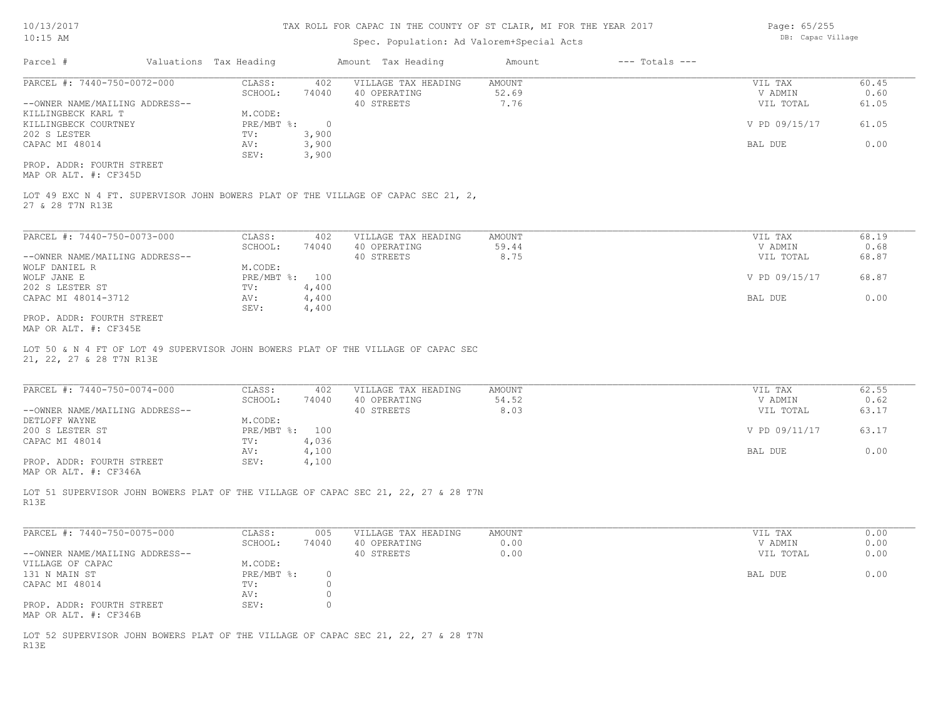## Spec. Population: Ad Valorem+Special Acts

| Page: 65/255      |
|-------------------|
| DB: Capac Village |

| Parcel #                                                                                              | Valuations Tax Heading |                | Amount Tax Heading  | Amount | $---$ Totals $---$ |               |       |
|-------------------------------------------------------------------------------------------------------|------------------------|----------------|---------------------|--------|--------------------|---------------|-------|
| PARCEL #: 7440-750-0072-000                                                                           | CLASS:                 | 402            | VILLAGE TAX HEADING | AMOUNT |                    | VIL TAX       | 60.45 |
|                                                                                                       | SCHOOL:                | 74040          | 40 OPERATING        | 52.69  |                    | V ADMIN       | 0.60  |
| --OWNER NAME/MAILING ADDRESS--                                                                        |                        |                | 40 STREETS          | 7.76   |                    | VIL TOTAL     | 61.05 |
| KILLINGBECK KARL T                                                                                    | M.CODE:                |                |                     |        |                    |               |       |
| KILLINGBECK COURTNEY                                                                                  | PRE/MBT %:             | $\overline{0}$ |                     |        |                    | V PD 09/15/17 | 61.05 |
| 202 S LESTER                                                                                          | TV:                    | 3,900          |                     |        |                    |               |       |
| CAPAC MI 48014                                                                                        | AV:                    | 3,900          |                     |        |                    | BAL DUE       | 0.00  |
|                                                                                                       | SEV:                   | 3,900          |                     |        |                    |               |       |
| PROP. ADDR: FOURTH STREET                                                                             |                        |                |                     |        |                    |               |       |
| MAP OR ALT. #: CF345D                                                                                 |                        |                |                     |        |                    |               |       |
| LOT 49 EXC N 4 FT. SUPERVISOR JOHN BOWERS PLAT OF THE VILLAGE OF CAPAC SEC 21, 2,<br>27 & 28 T7N R13E |                        |                |                     |        |                    |               |       |
|                                                                                                       |                        |                |                     |        |                    |               |       |
| PARCEL #: 7440-750-0073-000                                                                           | CLASS:                 | 402            | VILLAGE TAX HEADING | AMOUNT |                    | VIL TAX       | 68.19 |
|                                                                                                       | SCHOOL:                | 74040          | 40 OPERATING        | 59.44  |                    | V ADMIN       | 0.68  |
| --OWNER NAME/MAILING ADDRESS--                                                                        |                        |                | 40 STREETS          | 8.75   |                    | VIL TOTAL     | 68.87 |
| WOLF DANIEL R                                                                                         | M.CODE:                |                |                     |        |                    |               |       |
| WOLF JANE E                                                                                           | $PRE/MBT$ $\div$       | 100            |                     |        |                    | V PD 09/15/17 | 68.87 |
| 202 S LESTER ST                                                                                       | TV:                    | 4,400          |                     |        |                    |               |       |
| CAPAC MI 48014-3712                                                                                   | AV:                    | 4,400          |                     |        |                    | BAL DUE       | 0.00  |
|                                                                                                       | SEV:                   | 4,400          |                     |        |                    |               |       |
| PROP. ADDR: FOURTH STREET<br>MAP OR ALT. #: CF345E                                                    |                        |                |                     |        |                    |               |       |

21, 22, 27 & 28 T7N R13E LOT 50 & N 4 FT OF LOT 49 SUPERVISOR JOHN BOWERS PLAT OF THE VILLAGE OF CAPAC SEC

| PARCEL #: 7440-750-0074-000    | CLASS:       | 402   | VILLAGE TAX HEADING | AMOUNT | VIL TAX       | 62.55 |
|--------------------------------|--------------|-------|---------------------|--------|---------------|-------|
|                                | SCHOOL:      | 74040 | 40 OPERATING        | 54.52  | V ADMIN       | 0.62  |
| --OWNER NAME/MAILING ADDRESS-- |              |       | 40 STREETS          | 8.03   | VIL TOTAL     | 63.17 |
| DETLOFF WAYNE                  | M.CODE:      |       |                     |        |               |       |
| 200 S LESTER ST                | $PRE/MBT$ %: | 100   |                     |        | V PD 09/11/17 | 63.17 |
| CAPAC MI 48014                 | TV:          | 4,036 |                     |        |               |       |
|                                | AV:          | 4,100 |                     |        | BAL DUE       | 0.00  |
| PROP. ADDR: FOURTH STREET      | SEV:         | 4,100 |                     |        |               |       |
|                                |              |       |                     |        |               |       |

MAP OR ALT. #: CF346A

R13E LOT 51 SUPERVISOR JOHN BOWERS PLAT OF THE VILLAGE OF CAPAC SEC 21, 22, 27 & 28 T7N

| PARCEL #: 7440-750-0075-000    | CLASS:     | 005   | VILLAGE TAX HEADING | AMOUNT | VIL TAX   | 0.00 |
|--------------------------------|------------|-------|---------------------|--------|-----------|------|
|                                | SCHOOL:    | 74040 | 40 OPERATING        | 0.00   | V ADMIN   | 0.00 |
| --OWNER NAME/MAILING ADDRESS-- |            |       | 40 STREETS          | 0.00   | VIL TOTAL | 0.00 |
| VILLAGE OF CAPAC               | M.CODE:    |       |                     |        |           |      |
| 131 N MAIN ST                  | PRE/MBT %: |       |                     |        | BAL DUE   | 0.00 |
| CAPAC MI 48014                 | TV:        |       |                     |        |           |      |
|                                | AV:        |       |                     |        |           |      |
| PROP. ADDR: FOURTH STREET      | SEV:       |       |                     |        |           |      |
| MAP OR ALT. #: CF346B          |            |       |                     |        |           |      |

R13E LOT 52 SUPERVISOR JOHN BOWERS PLAT OF THE VILLAGE OF CAPAC SEC 21, 22, 27 & 28 T7N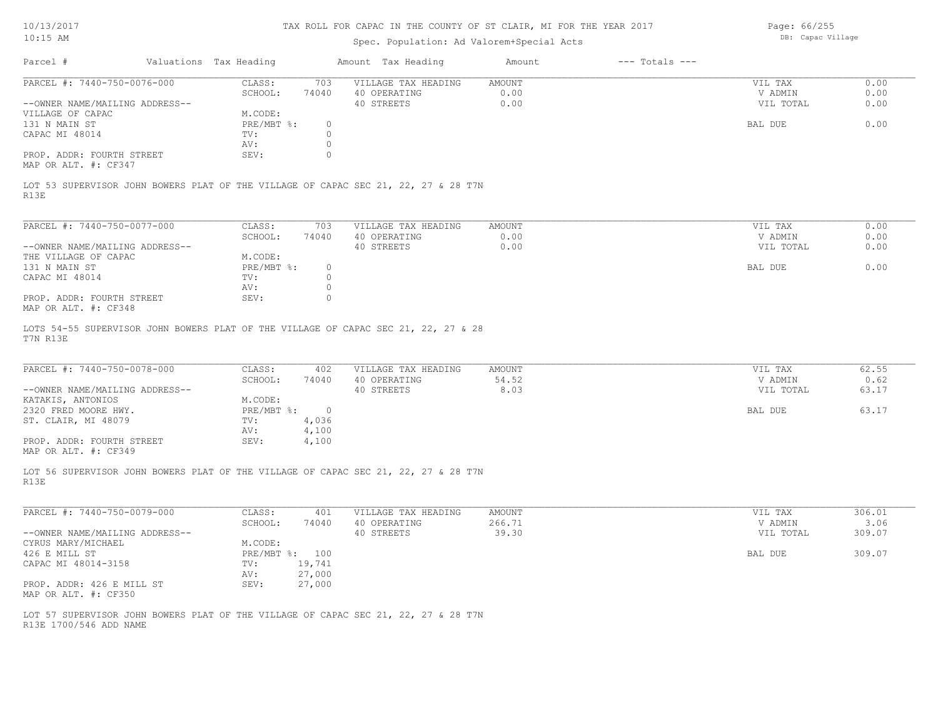10/13/2017 10:15 AM

## TAX ROLL FOR CAPAC IN THE COUNTY OF ST CLAIR, MI FOR THE YEAR 2017

## Spec. Population: Ad Valorem+Special Acts

Page: 66/255 DB: Capac Village

| Parcel #                                                      | Valuations Tax Heading |                         | Amount Tax Heading                                                                 | Amount                 | $---$ Totals $---$ |                                 |                      |
|---------------------------------------------------------------|------------------------|-------------------------|------------------------------------------------------------------------------------|------------------------|--------------------|---------------------------------|----------------------|
| PARCEL #: 7440-750-0076-000<br>--OWNER NAME/MAILING ADDRESS-- | CLASS:<br>SCHOOL:      | 703<br>74040            | VILLAGE TAX HEADING<br>40 OPERATING<br>40 STREETS                                  | AMOUNT<br>0.00<br>0.00 |                    | VIL TAX<br>V ADMIN<br>VIL TOTAL | 0.00<br>0.00<br>0.00 |
| VILLAGE OF CAPAC<br>131 N MAIN ST                             | M.CODE:<br>PRE/MBT %:  | $\circ$                 |                                                                                    |                        |                    | BAL DUE                         | 0.00                 |
| CAPAC MI 48014                                                | TV:<br>AV:             | $\circ$<br>$\circ$      |                                                                                    |                        |                    |                                 |                      |
| PROP. ADDR: FOURTH STREET<br>MAP OR ALT. #: CF347             | SEV:                   | $\circ$                 |                                                                                    |                        |                    |                                 |                      |
| R13E                                                          |                        |                         | LOT 53 SUPERVISOR JOHN BOWERS PLAT OF THE VILLAGE OF CAPAC SEC 21, 22, 27 & 28 T7N |                        |                    |                                 |                      |
| PARCEL #: 7440-750-0077-000                                   | CLASS:<br>SCHOOL:      | 703<br>74040            | VILLAGE TAX HEADING<br>40 OPERATING                                                | AMOUNT<br>0.00         |                    | VIL TAX<br>V ADMIN              | 0.00<br>0.00         |
| --OWNER NAME/MAILING ADDRESS--<br>THE VILLAGE OF CAPAC        | M.CODE:                |                         | 40 STREETS                                                                         | 0.00                   |                    | VIL TOTAL                       | 0.00                 |
| 131 N MAIN ST<br>CAPAC MI 48014                               | PRE/MBT %:<br>TV:      | $\circ$<br>$\circ$      |                                                                                    |                        |                    | BAL DUE                         | 0.00                 |
| PROP. ADDR: FOURTH STREET<br>MAP OR ALT. #: CF348             | AV:<br>SEV:            | $\circ$<br>$\circ$      |                                                                                    |                        |                    |                                 |                      |
| T7N R13E                                                      |                        |                         | LOTS 54-55 SUPERVISOR JOHN BOWERS PLAT OF THE VILLAGE OF CAPAC SEC 21, 22, 27 & 28 |                        |                    |                                 |                      |
| PARCEL #: 7440-750-0078-000                                   | CLASS:                 | 402                     | VILLAGE TAX HEADING                                                                | AMOUNT                 |                    | VIL TAX                         | 62.55                |
| --OWNER NAME/MAILING ADDRESS--<br>KATAKIS, ANTONIOS           | SCHOOL:<br>M.CODE:     | 74040                   | 40 OPERATING<br>40 STREETS                                                         | 54.52<br>8.03          |                    | V ADMIN<br>VIL TOTAL            | 0.62<br>63.17        |
| 2320 FRED MOORE HWY.<br>ST. CLAIR, MI 48079                   | PRE/MBT %:<br>TV:      | $\overline{0}$<br>4,036 |                                                                                    |                        |                    | BAL DUE                         | 63.17                |
| PROP. ADDR: FOURTH STREET<br>MAP OR ALT. #: CF349             | AV:<br>SEV:            | 4,100<br>4,100          |                                                                                    |                        |                    |                                 |                      |
| R13E                                                          |                        |                         | LOT 56 SUPERVISOR JOHN BOWERS PLAT OF THE VILLAGE OF CAPAC SEC 21, 22, 27 & 28 T7N |                        |                    |                                 |                      |
| PARCEL #: 7440-750-0079-000                                   | CLASS:<br>SCHOOL:      | 401                     | VILLAGE TAX HEADING                                                                | AMOUNT                 |                    | VIL TAX                         | 306.01               |
| --OWNER NAME/MAILING ADDRESS--<br>CYRUS MARY/MICHAEL          | M.CODE:                | 74040                   | 40 OPERATING<br>40 STREETS                                                         | 266.71<br>39.30        |                    | V ADMIN<br>VIL TOTAL            | 3.06<br>309.07       |
| 426 E MILL ST<br>CAPAC MI 48014-3158                          | PRE/MBT %: 100<br>TV:  | 19,741                  |                                                                                    |                        |                    | BAL DUE                         | 309.07               |
| PROP. ADDR: 426 E MILL ST<br>MAP OR ALT. #: CF350             | AV: 27,000<br>SEV:     | 27,000                  |                                                                                    |                        |                    |                                 |                      |
| R13E 1700/546 ADD NAME                                        |                        |                         | LOT 57 SUPERVISOR JOHN BOWERS PLAT OF THE VILLAGE OF CAPAC SEC 21, 22, 27 & 28 T7N |                        |                    |                                 |                      |
|                                                               |                        |                         |                                                                                    |                        |                    |                                 |                      |
|                                                               |                        |                         |                                                                                    |                        |                    |                                 |                      |
|                                                               |                        |                         |                                                                                    |                        |                    |                                 |                      |
|                                                               |                        |                         |                                                                                    |                        |                    |                                 |                      |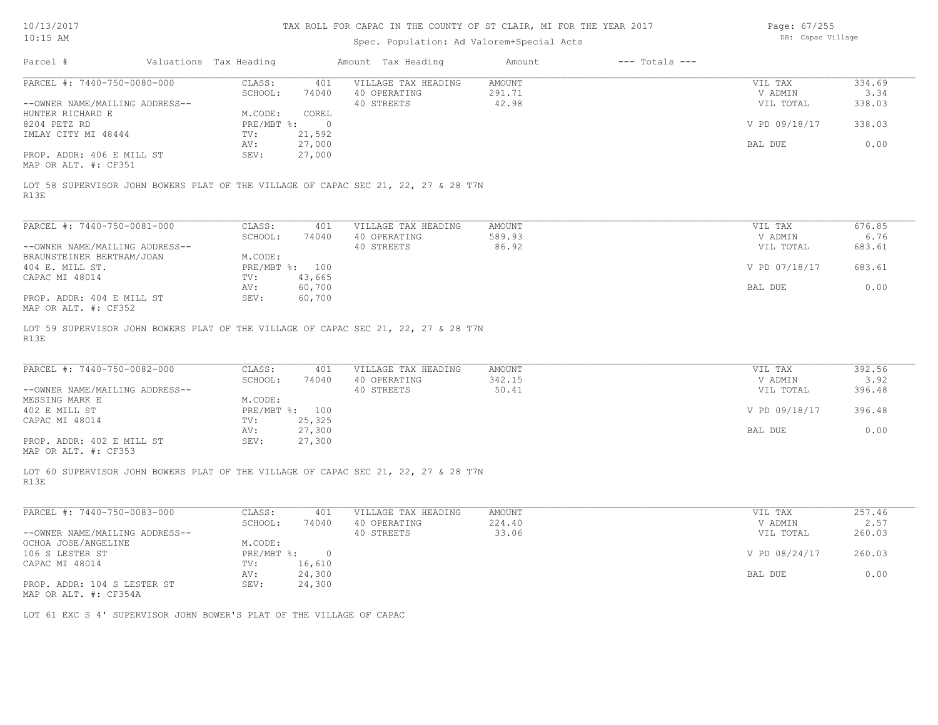Page: 67/255

| $10:15$ AM                                                                                                                                                                      |                                                    |                                                              | Spec. Population: Ad Valorem+Special Acts                                                                                               |                                  | DB: Capac Village                                           |                                            |
|---------------------------------------------------------------------------------------------------------------------------------------------------------------------------------|----------------------------------------------------|--------------------------------------------------------------|-----------------------------------------------------------------------------------------------------------------------------------------|----------------------------------|-------------------------------------------------------------|--------------------------------------------|
| Parcel #                                                                                                                                                                        | Valuations Tax Heading                             |                                                              | Amount Tax Heading                                                                                                                      | $---$ Totals $---$<br>Amount     |                                                             |                                            |
| PARCEL #: 7440-750-0080-000                                                                                                                                                     | CLASS:                                             | 401                                                          | VILLAGE TAX HEADING                                                                                                                     | <b>AMOUNT</b>                    | VIL TAX                                                     | 334.69                                     |
|                                                                                                                                                                                 | SCHOOL:                                            | 74040                                                        | 40 OPERATING                                                                                                                            | 291.71                           | V ADMIN                                                     | 3.34                                       |
| --OWNER NAME/MAILING ADDRESS--                                                                                                                                                  |                                                    |                                                              | 40 STREETS                                                                                                                              | 42.98                            | VIL TOTAL                                                   | 338.03                                     |
| HUNTER RICHARD E                                                                                                                                                                | M.CODE:                                            | COREL                                                        |                                                                                                                                         |                                  |                                                             |                                            |
| 8204 PETZ RD                                                                                                                                                                    | PRE/MBT %:                                         | $\circ$                                                      |                                                                                                                                         |                                  | V PD 09/18/17                                               | 338.03                                     |
| IMLAY CITY MI 48444                                                                                                                                                             | TV:                                                | 21,592                                                       |                                                                                                                                         |                                  |                                                             |                                            |
|                                                                                                                                                                                 | AV:                                                | 27,000                                                       |                                                                                                                                         |                                  | BAL DUE                                                     | 0.00                                       |
| PROP. ADDR: 406 E MILL ST                                                                                                                                                       | SEV:                                               | 27,000                                                       |                                                                                                                                         |                                  |                                                             |                                            |
| MAP OR ALT. #: CF351                                                                                                                                                            |                                                    |                                                              |                                                                                                                                         |                                  |                                                             |                                            |
| R13E                                                                                                                                                                            |                                                    |                                                              | LOT 58 SUPERVISOR JOHN BOWERS PLAT OF THE VILLAGE OF CAPAC SEC 21, 22, 27 & 28 T7N                                                      |                                  |                                                             |                                            |
| PARCEL #: 7440-750-0081-000                                                                                                                                                     | CLASS:                                             | 401                                                          | VILLAGE TAX HEADING                                                                                                                     | AMOUNT                           | VIL TAX                                                     | 676.85                                     |
|                                                                                                                                                                                 | SCHOOL:                                            | 74040                                                        | 40 OPERATING                                                                                                                            | 589.93                           | V ADMIN                                                     | 6.76                                       |
| --OWNER NAME/MAILING ADDRESS--                                                                                                                                                  |                                                    |                                                              | 40 STREETS                                                                                                                              | 86.92                            | VIL TOTAL                                                   | 683.61                                     |
|                                                                                                                                                                                 |                                                    |                                                              |                                                                                                                                         |                                  |                                                             |                                            |
| BRAUNSTEINER BERTRAM/JOAN                                                                                                                                                       | M.CODE:                                            |                                                              |                                                                                                                                         |                                  |                                                             |                                            |
| 404 E. MILL ST.                                                                                                                                                                 |                                                    | PRE/MBT %: 100                                               |                                                                                                                                         |                                  | V PD 07/18/17                                               | 683.61                                     |
| CAPAC MI 48014                                                                                                                                                                  | $\texttt{TV}$ :                                    | 43,665                                                       |                                                                                                                                         |                                  |                                                             |                                            |
|                                                                                                                                                                                 | AV:                                                | 60,700                                                       |                                                                                                                                         |                                  | BAL DUE                                                     | 0.00                                       |
| PROP. ADDR: 404 E MILL ST<br>MAP OR ALT. #: CF352                                                                                                                               | SEV:                                               | 60,700                                                       |                                                                                                                                         |                                  |                                                             |                                            |
| PARCEL #: 7440-750-0082-000<br>--OWNER NAME/MAILING ADDRESS--<br>MESSING MARK E<br>402 E MILL ST<br>CAPAC MI 48014<br>PROP. ADDR: 402 E MILL ST<br>MAP OR ALT. #: CF353<br>R13E | CLASS:<br>SCHOOL:<br>M.CODE:<br>TV:<br>AV:<br>SEV: | 401<br>74040<br>PRE/MBT %: 100<br>25,325<br>27,300<br>27,300 | VILLAGE TAX HEADING<br>40 OPERATING<br>40 STREETS<br>LOT 60 SUPERVISOR JOHN BOWERS PLAT OF THE VILLAGE OF CAPAC SEC 21, 22, 27 & 28 T7N | <b>AMOUNT</b><br>342.15<br>50.41 | VIL TAX<br>V ADMIN<br>VIL TOTAL<br>V PD 09/18/17<br>BAL DUE | 392.56<br>3.92<br>396.48<br>396.48<br>0.00 |
| PARCEL #: 7440-750-0083-000                                                                                                                                                     | CLASS:                                             | 401                                                          | VILLAGE TAX HEADING                                                                                                                     | AMOUNT                           | VIL TAX                                                     | 257.46                                     |
|                                                                                                                                                                                 | SCHOOL:                                            | 74040                                                        | 40 OPERATING                                                                                                                            | 224.40                           | V ADMIN                                                     | 2.57                                       |
| --OWNER NAME/MAILING ADDRESS--                                                                                                                                                  |                                                    |                                                              | 40 STREETS                                                                                                                              | 33.06                            | VIL TOTAL                                                   | 260.03                                     |
| OCHOA JOSE/ANGELINE                                                                                                                                                             | M.CODE:                                            |                                                              |                                                                                                                                         |                                  |                                                             |                                            |
| 106 S LESTER ST                                                                                                                                                                 | $PRE/MBT$ $\div$                                   | $\circ$                                                      |                                                                                                                                         |                                  | V PD 08/24/17                                               | 260.03                                     |
| CAPAC MI 48014                                                                                                                                                                  |                                                    | TV: 16,610                                                   |                                                                                                                                         |                                  |                                                             |                                            |
|                                                                                                                                                                                 |                                                    | 24,300                                                       |                                                                                                                                         |                                  |                                                             | 0.00                                       |
| PROP. ADDR: 104 S LESTER ST<br>MAP OR ALT. #: CF354A                                                                                                                            | AV:<br>SEV:                                        | 24,300                                                       |                                                                                                                                         |                                  | BAL DUE                                                     |                                            |
| LOT 61 EXC S 4' SUPERVISOR JOHN BOWER'S PLAT OF THE VILLAGE OF CAPAC                                                                                                            |                                                    |                                                              |                                                                                                                                         |                                  |                                                             |                                            |
|                                                                                                                                                                                 |                                                    |                                                              |                                                                                                                                         |                                  |                                                             |                                            |
|                                                                                                                                                                                 |                                                    |                                                              |                                                                                                                                         |                                  |                                                             |                                            |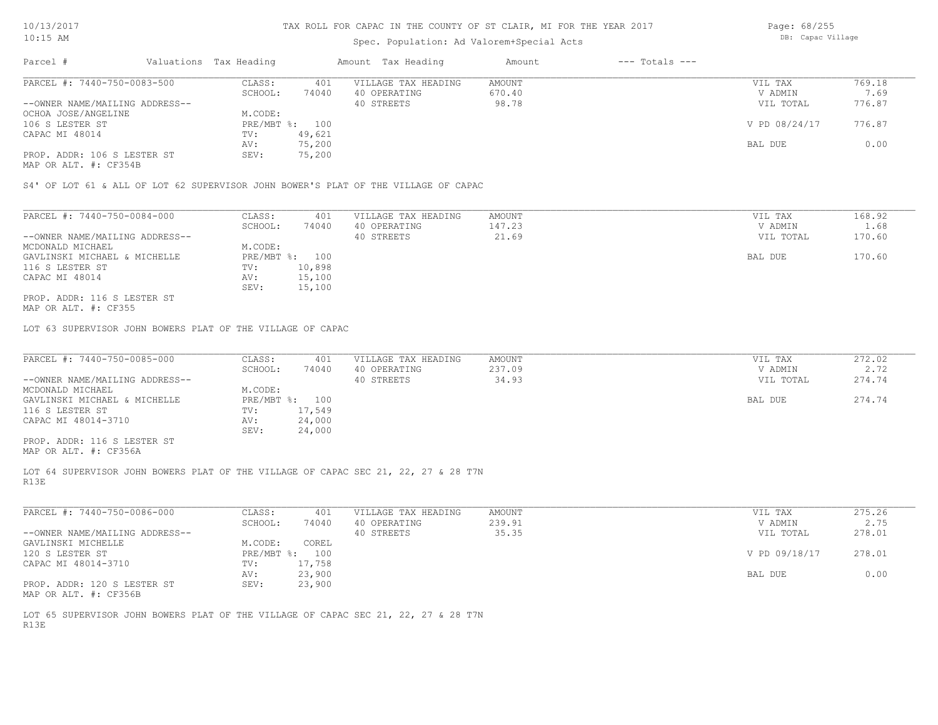### Spec. Population: Ad Valorem+Special Acts

| Page: 68/255      |
|-------------------|
| DB: Capac Village |

| Parcel #                       | Valuations Tax Heading |                | Amount Tax Heading  | Amount | $---$ Totals $---$ |               |        |
|--------------------------------|------------------------|----------------|---------------------|--------|--------------------|---------------|--------|
| PARCEL #: 7440-750-0083-500    | CLASS:                 | 401            | VILLAGE TAX HEADING | AMOUNT |                    | VIL TAX       | 769.18 |
|                                | SCHOOL:                | 74040          | 40 OPERATING        | 670.40 |                    | V ADMIN       | 7.69   |
| --OWNER NAME/MAILING ADDRESS-- |                        |                | 40 STREETS          | 98.78  |                    | VIL TOTAL     | 776.87 |
| OCHOA JOSE/ANGELINE            | M.CODE:                |                |                     |        |                    |               |        |
| 106 S LESTER ST                |                        | PRE/MBT %: 100 |                     |        |                    | V PD 08/24/17 | 776.87 |
| CAPAC MI 48014                 | TV:                    | 49,621         |                     |        |                    |               |        |
|                                | AV:                    | 75,200         |                     |        |                    | BAL DUE       | 0.00   |
| PROP. ADDR: 106 S LESTER ST    | SEV:                   | 75,200         |                     |        |                    |               |        |
|                                |                        |                |                     |        |                    |               |        |

MAP OR ALT. #: CF354B

S4' OF LOT 61 & ALL OF LOT 62 SUPERVISOR JOHN BOWER'S PLAT OF THE VILLAGE OF CAPAC

| PARCEL #: 7440-750-0084-000    | CLASS:       | 401    | VILLAGE TAX HEADING | AMOUNT | VIL TAX   | 168.92 |
|--------------------------------|--------------|--------|---------------------|--------|-----------|--------|
|                                | SCHOOL:      | 74040  | 40 OPERATING        | 147.23 | V ADMIN   | 1.68   |
| --OWNER NAME/MAILING ADDRESS-- |              |        | 40 STREETS          | 21.69  | VIL TOTAL | 170.60 |
| MCDONALD MICHAEL               | M.CODE:      |        |                     |        |           |        |
| GAVLINSKI MICHAEL & MICHELLE   | $PRE/MBT$ %: | 100    |                     |        | BAL DUE   | 170.60 |
| 116 S LESTER ST                | TV:          | 10,898 |                     |        |           |        |
| CAPAC MI 48014                 | AV:          | 15,100 |                     |        |           |        |
|                                | SEV:         | 15,100 |                     |        |           |        |
| PROP. ADDR: 116 S LESTER ST    |              |        |                     |        |           |        |

MAP OR ALT. #: CF355

LOT 63 SUPERVISOR JOHN BOWERS PLAT OF THE VILLAGE OF CAPAC

| PARCEL #: 7440-750-0085-000    | CLASS:  | 401            | VILLAGE TAX HEADING | AMOUNT | VIL TAX   | 272.02 |
|--------------------------------|---------|----------------|---------------------|--------|-----------|--------|
|                                | SCHOOL: | 74040          | 40 OPERATING        | 237.09 | V ADMIN   | 2.72   |
| --OWNER NAME/MAILING ADDRESS-- |         |                | 40 STREETS          | 34.93  | VIL TOTAL | 274.74 |
| MCDONALD MICHAEL               | M.CODE: |                |                     |        |           |        |
| GAVLINSKI MICHAEL & MICHELLE   |         | PRE/MBT %: 100 |                     |        | BAL DUE   | 274.74 |
| 116 S LESTER ST                | TV:     | 17,549         |                     |        |           |        |
| CAPAC MI 48014-3710            | AV:     | 24,000         |                     |        |           |        |
|                                | SEV:    | 24,000         |                     |        |           |        |
| PROP. ADDR: 116 S LESTER ST    |         |                |                     |        |           |        |
|                                |         |                |                     |        |           |        |

MAP OR ALT. #: CF356A

R13E LOT 64 SUPERVISOR JOHN BOWERS PLAT OF THE VILLAGE OF CAPAC SEC 21, 22, 27 & 28 T7N

| PARCEL #: 7440-750-0086-000    | CLASS:       | 401    | VILLAGE TAX HEADING | AMOUNT | VIL TAX       | 275.26 |
|--------------------------------|--------------|--------|---------------------|--------|---------------|--------|
|                                | SCHOOL:      | 74040  | 40 OPERATING        | 239.91 | V ADMIN       | 2.75   |
| --OWNER NAME/MAILING ADDRESS-- |              |        | 40 STREETS          | 35.35  | VIL TOTAL     | 278.01 |
| GAVLINSKI MICHELLE             | M.CODE:      | COREL  |                     |        |               |        |
| 120 S LESTER ST                | $PRE/MBT$ %: | 100    |                     |        | V PD 09/18/17 | 278.01 |
| CAPAC MI 48014-3710            | TV:          | 17,758 |                     |        |               |        |
|                                | AV:          | 23,900 |                     |        | BAL DUE       | 0.00   |
| PROP. ADDR: 120 S LESTER ST    | SEV:         | 23,900 |                     |        |               |        |
| MAP OR ALT. #: CF356B          |              |        |                     |        |               |        |

R13E LOT 65 SUPERVISOR JOHN BOWERS PLAT OF THE VILLAGE OF CAPAC SEC 21, 22, 27 & 28 T7N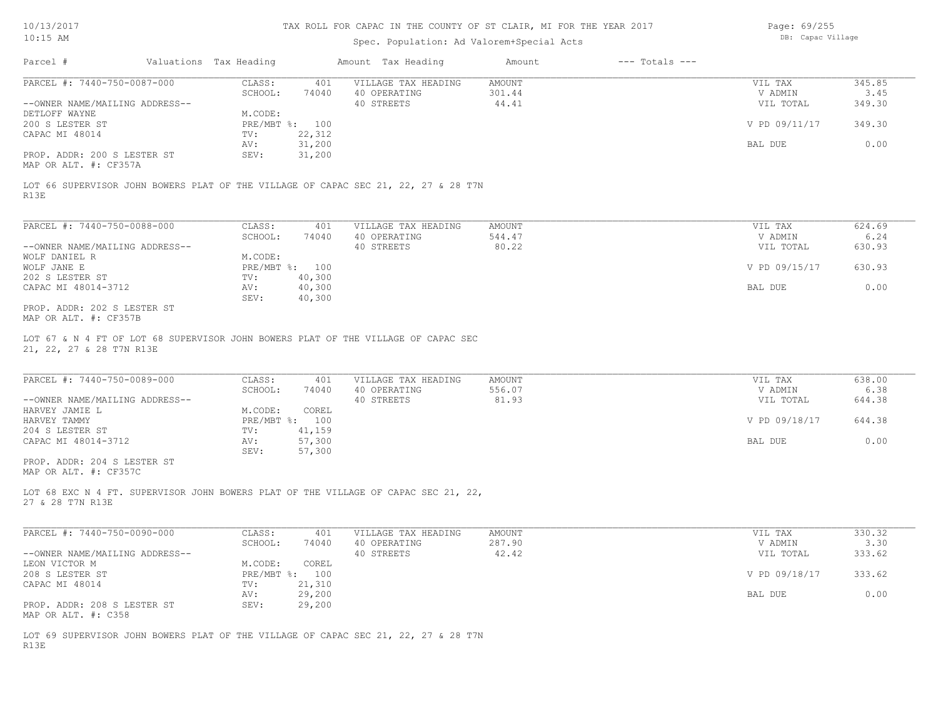### Spec. Population: Ad Valorem+Special Acts

| Page: 69/255      |
|-------------------|
| DB: Capac Village |

| Parcel #                                             | Valuations Tax Heading |        | Amount Tax Heading  | Amount | $---$ Totals $---$ |               |        |
|------------------------------------------------------|------------------------|--------|---------------------|--------|--------------------|---------------|--------|
| PARCEL #: 7440-750-0087-000                          | CLASS:                 | 401    | VILLAGE TAX HEADING | AMOUNT |                    | VIL TAX       | 345.85 |
|                                                      | SCHOOL:                | 74040  | 40 OPERATING        | 301.44 |                    | V ADMIN       | 3.45   |
| --OWNER NAME/MAILING ADDRESS--                       |                        |        | 40 STREETS          | 44.41  |                    | VIL TOTAL     | 349.30 |
| DETLOFF WAYNE                                        | M.CODE:                |        |                     |        |                    |               |        |
| 200 S LESTER ST                                      | PRE/MBT %: 100         |        |                     |        |                    | V PD 09/11/17 | 349.30 |
| CAPAC MI 48014                                       | TV:                    | 22,312 |                     |        |                    |               |        |
|                                                      | AV:                    | 31,200 |                     |        |                    | BAL DUE       | 0.00   |
| PROP. ADDR: 200 S LESTER ST<br>MAP OR ALT. #: CF357A | SEV:                   | 31,200 |                     |        |                    |               |        |

R13E LOT 66 SUPERVISOR JOHN BOWERS PLAT OF THE VILLAGE OF CAPAC SEC 21, 22, 27 & 28 T7N

| PARCEL #: 7440-750-0088-000    | CLASS:       | 401    | VILLAGE TAX HEADING | AMOUNT | VIL TAX       | 624.69 |
|--------------------------------|--------------|--------|---------------------|--------|---------------|--------|
|                                | SCHOOL:      | 74040  | 40 OPERATING        | 544.47 | V ADMIN       | 6.24   |
| --OWNER NAME/MAILING ADDRESS-- |              |        | 40 STREETS          | 80.22  | VIL TOTAL     | 630.93 |
| WOLF DANIEL R                  | M.CODE:      |        |                     |        |               |        |
| WOLF JANE E                    | $PRE/MBT$ %: | 100    |                     |        | V PD 09/15/17 | 630.93 |
| 202 S LESTER ST                | TV:          | 40,300 |                     |        |               |        |
| CAPAC MI 48014-3712            | AV:          | 40,300 |                     |        | BAL DUE       | 0.00   |
|                                | SEV:         | 40,300 |                     |        |               |        |
| PROP. ADDR: 202 S LESTER ST    |              |        |                     |        |               |        |

MAP OR ALT. #: CF357B

21, 22, 27 & 28 T7N R13E LOT 67 & N 4 FT OF LOT 68 SUPERVISOR JOHN BOWERS PLAT OF THE VILLAGE OF CAPAC SEC

| PARCEL #: 7440-750-0089-000    | CLASS:  | 401            | VILLAGE TAX HEADING | AMOUNT | VIL TAX       | 638.00 |
|--------------------------------|---------|----------------|---------------------|--------|---------------|--------|
|                                | SCHOOL: | 74040          | 40 OPERATING        | 556.07 | V ADMIN       | 6.38   |
| --OWNER NAME/MAILING ADDRESS-- |         |                | 40 STREETS          | 81.93  | VIL TOTAL     | 644.38 |
| HARVEY JAMIE L                 | M.CODE: | COREL          |                     |        |               |        |
| HARVEY TAMMY                   |         | PRE/MBT %: 100 |                     |        | V PD 09/18/17 | 644.38 |
| 204 S LESTER ST                | TV:     | 41,159         |                     |        |               |        |
| CAPAC MI 48014-3712            | AV:     | 57,300         |                     |        | BAL DUE       | 0.00   |
|                                | SEV:    | 57,300         |                     |        |               |        |
| PROP. ADDR: 204 S LESTER ST    |         |                |                     |        |               |        |

MAP OR ALT. #: CF357C

27 & 28 T7N R13E LOT 68 EXC N 4 FT. SUPERVISOR JOHN BOWERS PLAT OF THE VILLAGE OF CAPAC SEC 21, 22,

| PARCEL #: 7440-750-0090-000    | CLASS:  | 401            | VILLAGE TAX HEADING | AMOUNT | VIL TAX       | 330.32 |
|--------------------------------|---------|----------------|---------------------|--------|---------------|--------|
|                                | SCHOOL: | 74040          | 40 OPERATING        | 287.90 | V ADMIN       | 3.30   |
| --OWNER NAME/MAILING ADDRESS-- |         |                | 40 STREETS          | 42.42  | VIL TOTAL     | 333.62 |
| LEON VICTOR M                  | M.CODE: | COREL          |                     |        |               |        |
| 208 S LESTER ST                |         | PRE/MBT %: 100 |                     |        | V PD 09/18/17 | 333.62 |
| CAPAC MI 48014                 | TV:     | 21,310         |                     |        |               |        |
|                                | AV:     | 29,200         |                     |        | BAL DUE       | 0.00   |
| PROP. ADDR: 208 S LESTER ST    | SEV:    | 29,200         |                     |        |               |        |
| MAP OR ALT. #: C358            |         |                |                     |        |               |        |

R13E LOT 69 SUPERVISOR JOHN BOWERS PLAT OF THE VILLAGE OF CAPAC SEC 21, 22, 27 & 28 T7N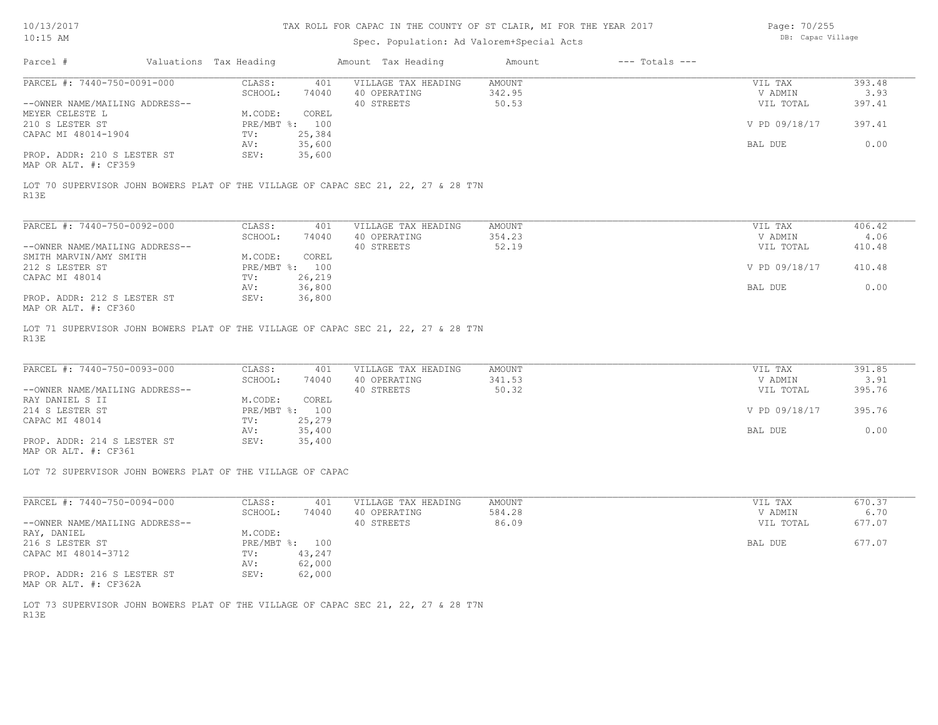### Spec. Population: Ad Valorem+Special Acts

Page: 70/255 DB: Capac Village

| Parcel #                       | Valuations Tax Heading |                | Amount Tax Heading  | Amount | $---$ Totals $---$ |               |        |
|--------------------------------|------------------------|----------------|---------------------|--------|--------------------|---------------|--------|
| PARCEL #: 7440-750-0091-000    | CLASS:                 | 401            | VILLAGE TAX HEADING | AMOUNT |                    | VIL TAX       | 393.48 |
|                                | SCHOOL:                | 74040          | 40 OPERATING        | 342.95 |                    | V ADMIN       | 3.93   |
| --OWNER NAME/MAILING ADDRESS-- |                        |                | 40 STREETS          | 50.53  |                    | VIL TOTAL     | 397.41 |
| MEYER CELESTE L                | M.CODE:                | COREL          |                     |        |                    |               |        |
| 210 S LESTER ST                |                        | PRE/MBT %: 100 |                     |        |                    | V PD 09/18/17 | 397.41 |
| CAPAC MI 48014-1904            | TV:                    | 25,384         |                     |        |                    |               |        |
|                                | AV:                    | 35,600         |                     |        |                    | BAL DUE       | 0.00   |
| PROP. ADDR: 210 S LESTER ST    | SEV:                   | 35,600         |                     |        |                    |               |        |
| MAP OR ALT. #: CF359           |                        |                |                     |        |                    |               |        |

R13E LOT 70 SUPERVISOR JOHN BOWERS PLAT OF THE VILLAGE OF CAPAC SEC 21, 22, 27 & 28 T7N

| PARCEL #: 7440-750-0092-000                                   | CLASS:     | 401    | VILLAGE TAX HEADING | AMOUNT | VIL TAX       | 406.42 |
|---------------------------------------------------------------|------------|--------|---------------------|--------|---------------|--------|
|                                                               | SCHOOL:    | 74040  | 40 OPERATING        | 354.23 | V ADMIN       | 4.06   |
| --OWNER NAME/MAILING ADDRESS--                                |            |        | 40 STREETS          | 52.19  | VIL TOTAL     | 410.48 |
| SMITH MARVIN/AMY SMITH                                        | M.CODE:    | COREL  |                     |        |               |        |
| 212 S LESTER ST                                               | PRE/MBT %: | 100    |                     |        | V PD 09/18/17 | 410.48 |
| CAPAC MI 48014                                                | TV:        | 26,219 |                     |        |               |        |
|                                                               | AV:        | 36,800 |                     |        | BAL DUE       | 0.00   |
| PROP. ADDR: 212 S LESTER ST<br>$MAD$ $CD$ $ATM$ $H$ , $CDQCD$ | SEV:       | 36,800 |                     |        |               |        |

MAP OR ALT. #: CF360

R13E LOT 71 SUPERVISOR JOHN BOWERS PLAT OF THE VILLAGE OF CAPAC SEC 21, 22, 27 & 28 T7N

| PARCEL #: 7440-750-0093-000    | CLASS:  | 401            | VILLAGE TAX HEADING | AMOUNT | VIL TAX       | 391.85 |
|--------------------------------|---------|----------------|---------------------|--------|---------------|--------|
|                                | SCHOOL: | 74040          | 40 OPERATING        | 341.53 | V ADMIN       | 3.91   |
| --OWNER NAME/MAILING ADDRESS-- |         |                | 40 STREETS          | 50.32  | VIL TOTAL     | 395.76 |
| RAY DANIEL S II                | M.CODE: | COREL          |                     |        |               |        |
| 214 S LESTER ST                |         | PRE/MBT %: 100 |                     |        | V PD 09/18/17 | 395.76 |
| CAPAC MI 48014                 | TV:     | 25,279         |                     |        |               |        |
|                                | AV:     | 35,400         |                     |        | BAL DUE       | 0.00   |
| PROP. ADDR: 214 S LESTER ST    | SEV:    | 35,400         |                     |        |               |        |

MAP OR ALT. #: CF361

LOT 72 SUPERVISOR JOHN BOWERS PLAT OF THE VILLAGE OF CAPAC

| PARCEL #: 7440-750-0094-000                                   | CLASS:       | 401    | VILLAGE TAX HEADING | AMOUNT | 670.37<br>VIL TAX   |
|---------------------------------------------------------------|--------------|--------|---------------------|--------|---------------------|
|                                                               | SCHOOL:      | 74040  | 40 OPERATING        | 584.28 | 6.70<br>V ADMIN     |
| --OWNER NAME/MAILING ADDRESS--                                |              |        | 40 STREETS          | 86.09  | 677.07<br>VIL TOTAL |
| RAY, DANIEL                                                   | M.CODE:      |        |                     |        |                     |
| 216 S LESTER ST                                               | $PRE/MBT$ %: | 100    |                     |        | 677.07<br>BAL DUE   |
| CAPAC MI 48014-3712                                           | TV:          | 43,247 |                     |        |                     |
|                                                               | AV:          | 62,000 |                     |        |                     |
| PROP. ADDR: 216 S LESTER ST<br>$MAD$ $CD$ $ATH$ $H$ , $CDQCD$ | SEV:         | 62,000 |                     |        |                     |

MAP OR ALT. #: CF362A

R13E LOT 73 SUPERVISOR JOHN BOWERS PLAT OF THE VILLAGE OF CAPAC SEC 21, 22, 27 & 28 T7N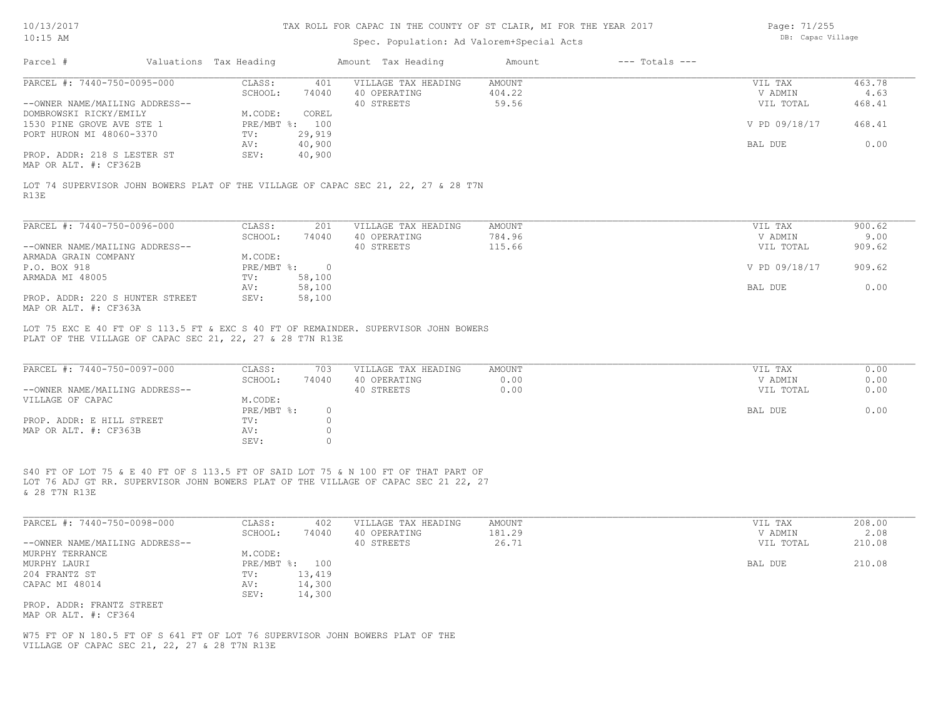## Spec. Population: Ad Valorem+Special Acts

Page: 71/255 DB: Capac Village

| Parcel #                                                                                                                   | Valuations Tax Heading |                                         |                                        | Amount Tax Heading                                                                                                                                                        | Amount                    | $---$ Totals $---$ |                                 |                          |
|----------------------------------------------------------------------------------------------------------------------------|------------------------|-----------------------------------------|----------------------------------------|---------------------------------------------------------------------------------------------------------------------------------------------------------------------------|---------------------------|--------------------|---------------------------------|--------------------------|
| PARCEL #: 7440-750-0095-000<br>--OWNER NAME/MAILING ADDRESS--<br>DOMBROWSKI RICKY/EMILY                                    |                        | CLASS:<br>SCHOOL:<br>M.CODE:            | 401<br>74040<br>COREL                  | VILLAGE TAX HEADING<br>40 OPERATING<br>40 STREETS                                                                                                                         | AMOUNT<br>404.22<br>59.56 |                    | VIL TAX<br>V ADMIN<br>VIL TOTAL | 463.78<br>4.63<br>468.41 |
| 1530 PINE GROVE AVE STE 1<br>PORT HURON MI 48060-3370                                                                      |                        | PRE/MBT %: 100<br>TV:                   | 29,919                                 |                                                                                                                                                                           |                           |                    | V PD 09/18/17                   | 468.41                   |
| PROP. ADDR: 218 S LESTER ST<br>MAP OR ALT. #: CF362B                                                                       |                        | AV:<br>SEV:                             | 40,900<br>40,900                       |                                                                                                                                                                           |                           |                    | BAL DUE                         | 0.00                     |
| R13E                                                                                                                       |                        |                                         |                                        | LOT 74 SUPERVISOR JOHN BOWERS PLAT OF THE VILLAGE OF CAPAC SEC 21, 22, 27 & 28 T7N                                                                                        |                           |                    |                                 |                          |
| PARCEL #: 7440-750-0096-000                                                                                                |                        | CLASS:                                  | 201                                    | VILLAGE TAX HEADING                                                                                                                                                       | <b>AMOUNT</b>             |                    | VIL TAX                         | 900.62                   |
| --OWNER NAME/MAILING ADDRESS--                                                                                             |                        | SCHOOL:                                 | 74040                                  | 40 OPERATING<br>40 STREETS                                                                                                                                                | 784.96<br>115.66          |                    | V ADMIN<br>VIL TOTAL            | 9.00<br>909.62           |
| ARMADA GRAIN COMPANY<br>P.O. BOX 918                                                                                       |                        | M.CODE:<br>$PRE/MBT$ $\div$ 0           |                                        |                                                                                                                                                                           |                           |                    | V PD 09/18/17                   | 909.62                   |
| ARMADA MI 48005                                                                                                            |                        | TV:<br>AV:                              | 58,100<br>58,100                       |                                                                                                                                                                           |                           |                    | BAL DUE                         | 0.00                     |
| PROP. ADDR: 220 S HUNTER STREET<br>MAP OR ALT. #: CF363A                                                                   |                        | SEV:                                    | 58,100                                 |                                                                                                                                                                           |                           |                    |                                 |                          |
| PLAT OF THE VILLAGE OF CAPAC SEC 21, 22, 27 & 28 T7N R13E<br>PARCEL #: 7440-750-0097-000<br>--OWNER NAME/MAILING ADDRESS-- |                        | CLASS:<br>SCHOOL:                       | 703<br>74040                           | VILLAGE TAX HEADING<br>40 OPERATING<br>40 STREETS                                                                                                                         | AMOUNT<br>0.00<br>0.00    |                    | VIL TAX<br>V ADMIN<br>VIL TOTAL | 0.00<br>0.00<br>0.00     |
| VILLAGE OF CAPAC                                                                                                           |                        | M.CODE:<br>PRE/MBT %:                   | $\circ$                                |                                                                                                                                                                           |                           |                    | BAL DUE                         | 0.00                     |
| PROP. ADDR: E HILL STREET<br>MAP OR ALT. #: CF363B                                                                         |                        | TV:<br>AV:<br>SEV:                      | $\mathbb O$<br>$\mathbb O$<br>$\Omega$ |                                                                                                                                                                           |                           |                    |                                 |                          |
| & 28 T7N R13E                                                                                                              |                        |                                         |                                        | S40 FT OF LOT 75 & E 40 FT OF S 113.5 FT OF SAID LOT 75 & N 100 FT OF THAT PART OF<br>LOT 76 ADJ GT RR. SUPERVISOR JOHN BOWERS PLAT OF THE VILLAGE OF CAPAC SEC 21 22, 27 |                           |                    |                                 |                          |
| PARCEL #: 7440-750-0098-000                                                                                                |                        | CLASS:                                  | 402                                    | VILLAGE TAX HEADING                                                                                                                                                       | <b>AMOUNT</b><br>181.29   |                    | VIL TAX<br>V ADMIN              | 208.00                   |
| --OWNER NAME/MAILING ADDRESS--                                                                                             |                        | SCHOOL:                                 | 74040                                  | 40 OPERATING<br>40 STREETS                                                                                                                                                | 26.71                     |                    | VIL TOTAL                       | 2.08<br>210.08           |
| MURPHY TERRANCE<br>MURPHY LAURI<br>204 FRANTZ ST<br>CAPAC MI 48014                                                         |                        | M.CODE:<br>PRE/MBT %: 100<br>TV:<br>AV: | 13,419<br>14,300                       |                                                                                                                                                                           |                           |                    | BAL DUE                         | 210.08                   |
| PROP. ADDR: FRANTZ STREET<br>MAP OR ALT. #: CF364                                                                          |                        | SEV:                                    | 14,300                                 |                                                                                                                                                                           |                           |                    |                                 |                          |

VILLAGE OF CAPAC SEC 21, 22, 27 & 28 T7N R13E W75 FT OF N 180.5 FT OF S 641 FT OF LOT 76 SUPERVISOR JOHN BOWERS PLAT OF THE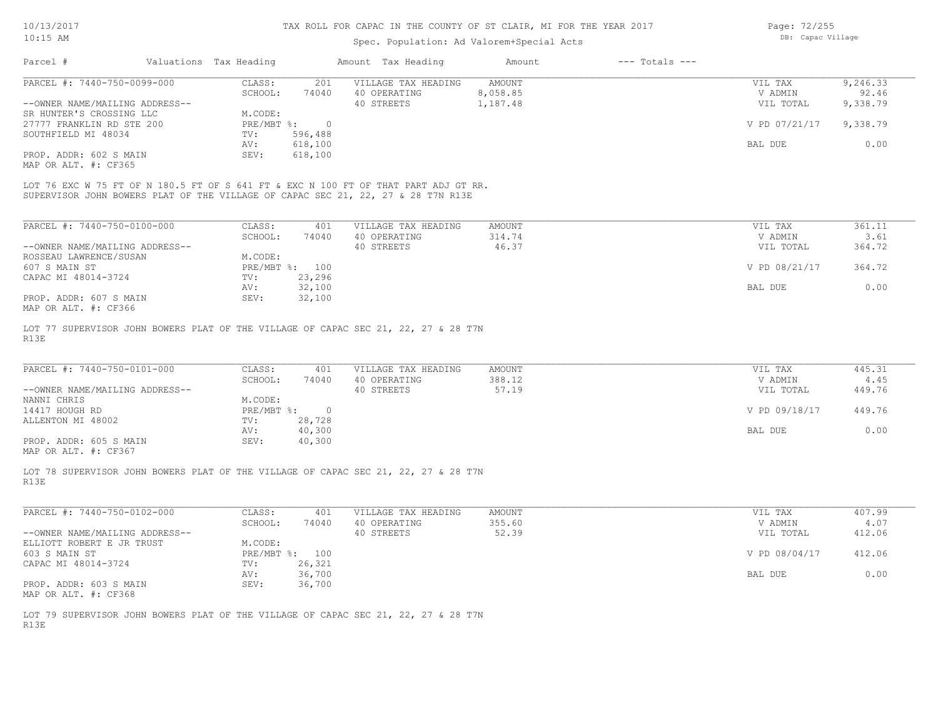## Spec. Population: Ad Valorem+Special Acts

| Page: 72/255      |
|-------------------|
| DB: Capac Village |

| Parcel #                       | Valuations Tax Heading |         | Amount Tax Heading                                                                  | Amount   | $---$ Totals $---$ |               |          |
|--------------------------------|------------------------|---------|-------------------------------------------------------------------------------------|----------|--------------------|---------------|----------|
| PARCEL #: 7440-750-0099-000    | CLASS:                 | 201     | VILLAGE TAX HEADING                                                                 | AMOUNT   |                    | VIL TAX       | 9,246.33 |
|                                | SCHOOL:                | 74040   | 40 OPERATING                                                                        | 8,058.85 |                    | V ADMIN       | 92.46    |
| --OWNER NAME/MAILING ADDRESS-- |                        |         | 40 STREETS                                                                          | 1,187.48 |                    | VIL TOTAL     | 9,338.79 |
| SR HUNTER'S CROSSING LLC       | M.CODE:                |         |                                                                                     |          |                    |               |          |
| 27777 FRANKLIN RD STE 200      | $PRE/MBT$ %:           |         |                                                                                     |          |                    | V PD 07/21/17 | 9,338.79 |
| SOUTHFIELD MI 48034            | TV:                    | 596,488 |                                                                                     |          |                    |               |          |
|                                | AV:                    | 618,100 |                                                                                     |          |                    | BAL DUE       | 0.00     |
| PROP. ADDR: 602 S MAIN         | SEV:                   | 618,100 |                                                                                     |          |                    |               |          |
| MAP OR ALT. #: CF365           |                        |         |                                                                                     |          |                    |               |          |
|                                |                        |         |                                                                                     |          |                    |               |          |
|                                |                        |         | LOT 76 EXC W 75 FT OF N 180.5 FT OF S 641 FT & EXC N 100 FT OF THAT PART ADJ GT RR. |          |                    |               |          |
|                                |                        |         | SUPERVISOR JOHN BOWERS PLAT OF THE VILLAGE OF CAPAC SEC 21, 22, 27 & 28 T7N R13E    |          |                    |               |          |

| PARCEL #: 7440-750-0100-000    | CLASS:  | 401            | VILLAGE TAX HEADING | AMOUNT | 361.11<br>VIL TAX       |
|--------------------------------|---------|----------------|---------------------|--------|-------------------------|
|                                | SCHOOL: | 74040          | 40 OPERATING        | 314.74 | 3.61<br>V ADMIN         |
| --OWNER NAME/MAILING ADDRESS-- |         |                | 40 STREETS          | 46.37  | 364.72<br>VIL TOTAL     |
| ROSSEAU LAWRENCE/SUSAN         | M.CODE: |                |                     |        |                         |
| 607 S MAIN ST                  |         | PRE/MBT %: 100 |                     |        | V PD 08/21/17<br>364.72 |
| CAPAC MI 48014-3724            | TV:     | 23,296         |                     |        |                         |
|                                | AV:     | 32,100         |                     |        | BAL DUE<br>0.00         |
| PROP. ADDR: 607 S MAIN         | SEV:    | 32,100         |                     |        |                         |
| MAP OR ALT. #: CF366           |         |                |                     |        |                         |

R13E LOT 77 SUPERVISOR JOHN BOWERS PLAT OF THE VILLAGE OF CAPAC SEC 21, 22, 27 & 28 T7N

| PARCEL #: 7440-750-0101-000    | CLASS:       | 401    | VILLAGE TAX HEADING | AMOUNT | VIL TAX       | 445.31 |
|--------------------------------|--------------|--------|---------------------|--------|---------------|--------|
|                                | SCHOOL:      | 74040  | 40 OPERATING        | 388.12 | V ADMIN       | 4.45   |
| --OWNER NAME/MAILING ADDRESS-- |              |        | 40 STREETS          | 57.19  | VIL TOTAL     | 449.76 |
| NANNI CHRIS                    | M.CODE:      |        |                     |        |               |        |
| 14417 HOUGH RD                 | $PRE/MBT$ %: |        |                     |        | V PD 09/18/17 | 449.76 |
| ALLENTON MI 48002              | TV:          | 28,728 |                     |        |               |        |
|                                | AV:          | 40,300 |                     |        | BAL DUE       | 0.00   |
| PROP. ADDR: 605 S MAIN         | SEV:         | 40,300 |                     |        |               |        |
|                                |              |        |                     |        |               |        |

MAP OR ALT. #: CF367

R13E LOT 78 SUPERVISOR JOHN BOWERS PLAT OF THE VILLAGE OF CAPAC SEC 21, 22, 27 & 28 T7N

| PARCEL #: 7440-750-0102-000    | CLASS:       | 401    | VILLAGE TAX HEADING | AMOUNT | VIL TAX       | 407.99 |
|--------------------------------|--------------|--------|---------------------|--------|---------------|--------|
|                                | SCHOOL:      | 74040  | 40 OPERATING        | 355.60 | V ADMIN       | 4.07   |
| --OWNER NAME/MAILING ADDRESS-- |              |        | 40 STREETS          | 52.39  | VIL TOTAL     | 412.06 |
| ELLIOTT ROBERT E JR TRUST      | M.CODE:      |        |                     |        |               |        |
| 603 S MAIN ST                  | $PRE/MBT$ %: | 100    |                     |        | V PD 08/04/17 | 412.06 |
| CAPAC MI 48014-3724            | TV:          | 26,321 |                     |        |               |        |
|                                | AV:          | 36,700 |                     |        | BAL DUE       | 0.00   |
| PROP. ADDR: 603 S MAIN         | SEV:         | 36,700 |                     |        |               |        |
| MAP OR ALT. #: CF368           |              |        |                     |        |               |        |

R13E LOT 79 SUPERVISOR JOHN BOWERS PLAT OF THE VILLAGE OF CAPAC SEC 21, 22, 27 & 28 T7N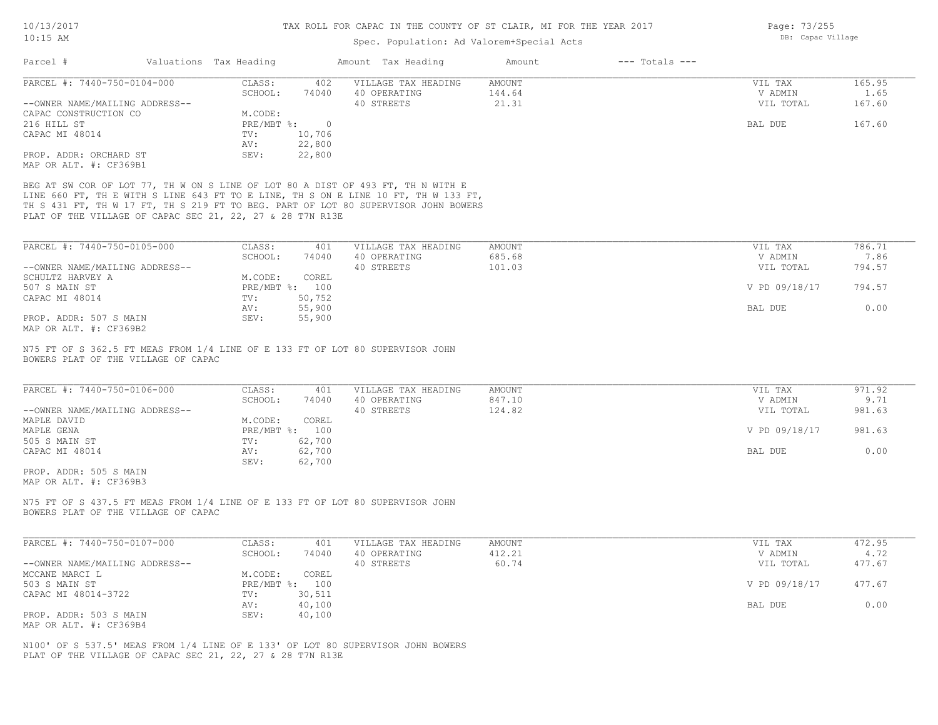Page: 73/255 DB: Capac Village

# Spec. Population: Ad Valorem+Special Acts

| Parcel #                                                                                                                                                                                                                                                                                                                 | Valuations Tax Heading            | Amount Tax Heading                  | $---$ Totals $---$<br>Amount |                    |                |
|--------------------------------------------------------------------------------------------------------------------------------------------------------------------------------------------------------------------------------------------------------------------------------------------------------------------------|-----------------------------------|-------------------------------------|------------------------------|--------------------|----------------|
| PARCEL #: 7440-750-0104-000                                                                                                                                                                                                                                                                                              | CLASS:<br>402                     | VILLAGE TAX HEADING                 | AMOUNT                       | VIL TAX            | 165.95         |
|                                                                                                                                                                                                                                                                                                                          | SCHOOL:<br>74040                  | 40 OPERATING                        | 144.64                       | V ADMIN            | 1.65           |
| --OWNER NAME/MAILING ADDRESS--                                                                                                                                                                                                                                                                                           |                                   | 40 STREETS                          | 21.31                        | VIL TOTAL          | 167.60         |
| CAPAC CONSTRUCTION CO                                                                                                                                                                                                                                                                                                    | M.CODE:                           |                                     |                              |                    |                |
| 216 HILL ST<br>CAPAC MI 48014                                                                                                                                                                                                                                                                                            | PRE/MBT %:<br>$\overline{0}$      |                                     |                              | BAL DUE            | 167.60         |
|                                                                                                                                                                                                                                                                                                                          | 10,706<br>TV:<br>22,800<br>AV:    |                                     |                              |                    |                |
| PROP. ADDR: ORCHARD ST                                                                                                                                                                                                                                                                                                   | 22,800<br>SEV:                    |                                     |                              |                    |                |
| MAP OR ALT. #: CF369B1                                                                                                                                                                                                                                                                                                   |                                   |                                     |                              |                    |                |
| BEG AT SW COR OF LOT 77, TH W ON S LINE OF LOT 80 A DIST OF 493 FT, TH N WITH E<br>LINE 660 FT, TH E WITH S LINE 643 FT TO E LINE, TH S ON E LINE 10 FT, TH W 133 FT,<br>TH S 431 FT, TH W 17 FT, TH S 219 FT TO BEG. PART OF LOT 80 SUPERVISOR JOHN BOWERS<br>PLAT OF THE VILLAGE OF CAPAC SEC 21, 22, 27 & 28 T7N R13E |                                   |                                     |                              |                    |                |
| PARCEL #: 7440-750-0105-000                                                                                                                                                                                                                                                                                              | CLASS:<br>401                     | VILLAGE TAX HEADING                 | AMOUNT                       | VIL TAX            | 786.71         |
|                                                                                                                                                                                                                                                                                                                          | SCHOOL:<br>74040                  | 40 OPERATING                        | 685.68                       | V ADMIN            | 7.86           |
| --OWNER NAME/MAILING ADDRESS--                                                                                                                                                                                                                                                                                           |                                   | 40 STREETS                          | 101.03                       | VIL TOTAL          | 794.57         |
| SCHULTZ HARVEY A                                                                                                                                                                                                                                                                                                         | M.CODE:<br>COREL                  |                                     |                              |                    |                |
| 507 S MAIN ST                                                                                                                                                                                                                                                                                                            | PRE/MBT %: 100                    |                                     |                              | V PD 09/18/17      | 794.57         |
| CAPAC MI 48014                                                                                                                                                                                                                                                                                                           | 50,752<br>TV:                     |                                     |                              |                    |                |
|                                                                                                                                                                                                                                                                                                                          | 55,900<br>AV:                     |                                     |                              | BAL DUE            | 0.00           |
| PROP. ADDR: 507 S MAIN<br>MAP OR ALT. #: CF369B2                                                                                                                                                                                                                                                                         | 55,900<br>SEV:                    |                                     |                              |                    |                |
| N75 FT OF S 362.5 FT MEAS FROM 1/4 LINE OF E 133 FT OF LOT 80 SUPERVISOR JOHN<br>BOWERS PLAT OF THE VILLAGE OF CAPAC<br>PARCEL #: 7440-750-0106-000                                                                                                                                                                      | CLASS:<br>401<br>SCHOOL:<br>74040 | VILLAGE TAX HEADING<br>40 OPERATING | <b>AMOUNT</b><br>847.10      | VIL TAX<br>V ADMIN | 971.92<br>9.71 |
| --OWNER NAME/MAILING ADDRESS--                                                                                                                                                                                                                                                                                           |                                   | 40 STREETS                          | 124.82                       | VIL TOTAL          | 981.63         |
| MAPLE DAVID                                                                                                                                                                                                                                                                                                              | M.CODE:<br>COREL                  |                                     |                              |                    |                |
| MAPLE GENA                                                                                                                                                                                                                                                                                                               | PRE/MBT %: 100                    |                                     |                              | V PD 09/18/17      | 981.63         |
| 505 S MAIN ST                                                                                                                                                                                                                                                                                                            | 62,700<br>TV:                     |                                     |                              |                    |                |
| CAPAC MI 48014                                                                                                                                                                                                                                                                                                           | AV:<br>62,700<br>62,700<br>SEV:   |                                     |                              | BAL DUE            | 0.00           |
| PROP. ADDR: 505 S MAIN<br>MAP OR ALT. #: CF369B3                                                                                                                                                                                                                                                                         |                                   |                                     |                              |                    |                |
| N75 FT OF S 437.5 FT MEAS FROM 1/4 LINE OF E 133 FT OF LOT 80 SUPERVISOR JOHN<br>BOWERS PLAT OF THE VILLAGE OF CAPAC                                                                                                                                                                                                     |                                   |                                     |                              |                    |                |
| PARCEL #: 7440-750-0107-000                                                                                                                                                                                                                                                                                              | CLASS:<br>401                     | VILLAGE TAX HEADING                 | AMOUNT                       | VIL TAX            | 472.95         |
|                                                                                                                                                                                                                                                                                                                          | SCHOOL:<br>74040                  | 40 OPERATING                        | 412.21                       | V ADMIN            | 4.72           |
| --OWNER NAME/MAILING ADDRESS--                                                                                                                                                                                                                                                                                           |                                   | 40 STREETS                          | 60.74                        | VIL TOTAL          | 477.67         |
| MCCANE MARCI L                                                                                                                                                                                                                                                                                                           | M.CODE:<br>COREL                  |                                     |                              |                    |                |
| 503 S MAIN ST<br>CAPAC MI 48014-3722                                                                                                                                                                                                                                                                                     | PRE/MBT %: 100<br>30,511<br>TV:   |                                     |                              | V PD 09/18/17      | 477.67         |
|                                                                                                                                                                                                                                                                                                                          | 40,100<br>AV:                     |                                     |                              | BAL DUE            | 0.00           |
| PROP. ADDR: 503 S MAIN<br>MAP OR ALT. #: CF369B4                                                                                                                                                                                                                                                                         | SEV:<br>40,100                    |                                     |                              |                    |                |
|                                                                                                                                                                                                                                                                                                                          |                                   |                                     |                              |                    |                |

PLAT OF THE VILLAGE OF CAPAC SEC 21, 22, 27 & 28 T7N R13E N100' OF S 537.5' MEAS FROM 1/4 LINE OF E 133' OF LOT 80 SUPERVISOR JOHN BOWERS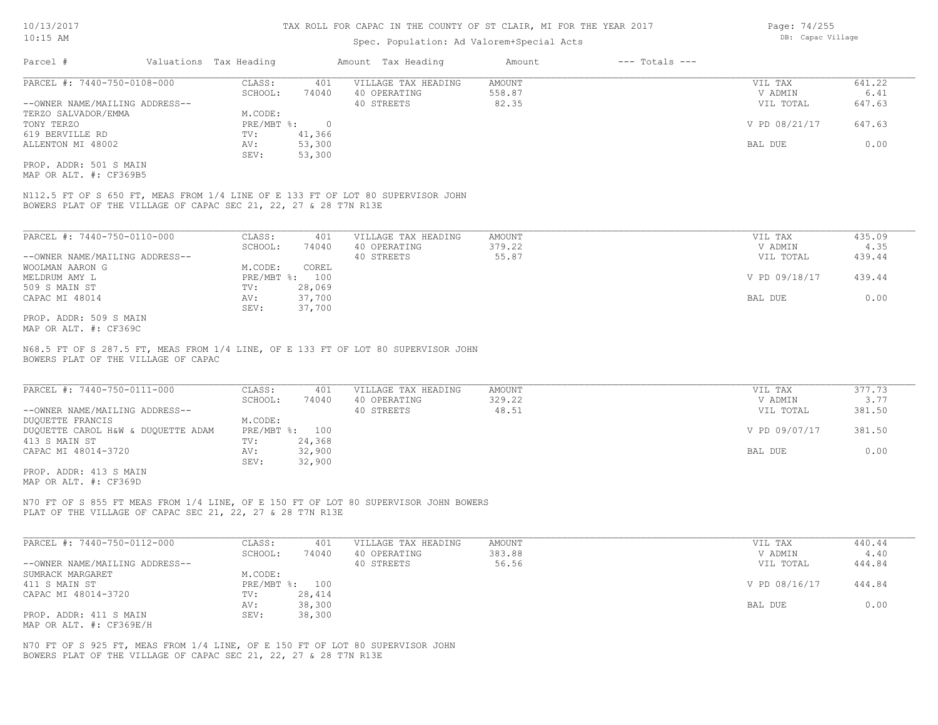## Spec. Population: Ad Valorem+Special Acts

| Parcel #                       | Valuations Tax Heading |        | Amount Tax Heading  | Amount | $---$ Totals $---$ |               |        |
|--------------------------------|------------------------|--------|---------------------|--------|--------------------|---------------|--------|
| PARCEL #: 7440-750-0108-000    | CLASS:                 | 401    | VILLAGE TAX HEADING | AMOUNT |                    | VIL TAX       | 641.22 |
|                                | SCHOOL:                | 74040  | 40 OPERATING        | 558.87 |                    | V ADMIN       | 6.41   |
| --OWNER NAME/MAILING ADDRESS-- |                        |        | 40 STREETS          | 82.35  |                    | VIL TOTAL     | 647.63 |
| TERZO SALVADOR/EMMA            | M.CODE:                |        |                     |        |                    |               |        |
| TONY TERZO                     | PRE/MBT %:             |        |                     |        |                    | V PD 08/21/17 | 647.63 |
| 619 BERVILLE RD                | TV:                    | 41,366 |                     |        |                    |               |        |
| ALLENTON MI 48002              | AV:                    | 53,300 |                     |        |                    | BAL DUE       | 0.00   |
|                                | SEV:                   | 53,300 |                     |        |                    |               |        |
| PROP. ADDR: 501 S MAIN         |                        |        |                     |        |                    |               |        |

MAP OR ALT. #: CF369B5

BOWERS PLAT OF THE VILLAGE OF CAPAC SEC 21, 22, 27 & 28 T7N R13E N112.5 FT OF S 650 FT, MEAS FROM 1/4 LINE OF E 133 FT OF LOT 80 SUPERVISOR JOHN

| PARCEL #: 7440-750-0110-000    | CLASS:       | 401    | VILLAGE TAX HEADING | AMOUNT | VIL TAX       | 435.09 |
|--------------------------------|--------------|--------|---------------------|--------|---------------|--------|
|                                | SCHOOL:      | 74040  | 40 OPERATING        | 379.22 | V ADMIN       | 4.35   |
| --OWNER NAME/MAILING ADDRESS-- |              |        | 40 STREETS          | 55.87  | VIL TOTAL     | 439.44 |
| WOOLMAN AARON G                | M.CODE:      | COREL  |                     |        |               |        |
| MELDRUM AMY L                  | $PRE/MBT$ %: | 100    |                     |        | V PD 09/18/17 | 439.44 |
| 509 S MAIN ST                  | TV:          | 28,069 |                     |        |               |        |
| CAPAC MI 48014                 | AV:          | 37,700 |                     |        | BAL DUE       | 0.00   |
|                                | SEV:         | 37,700 |                     |        |               |        |
| PROP. ADDR: 509 S MAIN         |              |        |                     |        |               |        |

MAP OR ALT. #: CF369C

BOWERS PLAT OF THE VILLAGE OF CAPAC N68.5 FT OF S 287.5 FT, MEAS FROM 1/4 LINE, OF E 133 FT OF LOT 80 SUPERVISOR JOHN

| PARCEL #: 7440-750-0111-000        | CLASS:         | 401    | VILLAGE TAX HEADING | AMOUNT | VIL TAX       | 377.73 |
|------------------------------------|----------------|--------|---------------------|--------|---------------|--------|
|                                    | SCHOOL:        | 74040  | 40 OPERATING        | 329.22 | V ADMIN       | 3.77   |
| --OWNER NAME/MAILING ADDRESS--     |                |        | 40 STREETS          | 48.51  | VIL TOTAL     | 381.50 |
| DUQUETTE FRANCIS                   | M.CODE:        |        |                     |        |               |        |
| DUQUETTE CAROL H&W & DUQUETTE ADAM | PRE/MBT %: 100 |        |                     |        | V PD 09/07/17 | 381.50 |
| 413 S MAIN ST                      | TV:            | 24,368 |                     |        |               |        |
| CAPAC MI 48014-3720                | AV:            | 32,900 |                     |        | BAL DUE       | 0.00   |
|                                    | SEV:           | 32,900 |                     |        |               |        |

MAP OR ALT. #: CF369D PROP. ADDR: 413 S MAIN

PLAT OF THE VILLAGE OF CAPAC SEC 21, 22, 27 & 28 T7N R13E N70 FT OF S 855 FT MEAS FROM 1/4 LINE, OF E 150 FT OF LOT 80 SUPERVISOR JOHN BOWERS

| PARCEL #: 7440-750-0112-000    | CLASS:  | 401            | VILLAGE TAX HEADING | AMOUNT | VIL TAX       | 440.44 |
|--------------------------------|---------|----------------|---------------------|--------|---------------|--------|
|                                | SCHOOL: | 74040          | 40 OPERATING        | 383.88 | V ADMIN       | 4.40   |
| --OWNER NAME/MAILING ADDRESS-- |         |                | 40 STREETS          | 56.56  | VIL TOTAL     | 444.84 |
| SUMRACK MARGARET               | M.CODE: |                |                     |        |               |        |
| 411 S MAIN ST                  |         | PRE/MBT %: 100 |                     |        | V PD 08/16/17 | 444.84 |
| CAPAC MI 48014-3720            | TV:     | 28,414         |                     |        |               |        |
|                                | AV:     | 38,300         |                     |        | BAL DUE       | 0.00   |
| PROP. ADDR: 411 S MAIN         | SEV:    | 38,300         |                     |        |               |        |
| MAP OR ALT. $\#$ : CF369E/H    |         |                |                     |        |               |        |

BOWERS PLAT OF THE VILLAGE OF CAPAC SEC 21, 22, 27 & 28 T7N R13E N70 FT OF S 925 FT, MEAS FROM 1/4 LINE, OF E 150 FT OF LOT 80 SUPERVISOR JOHN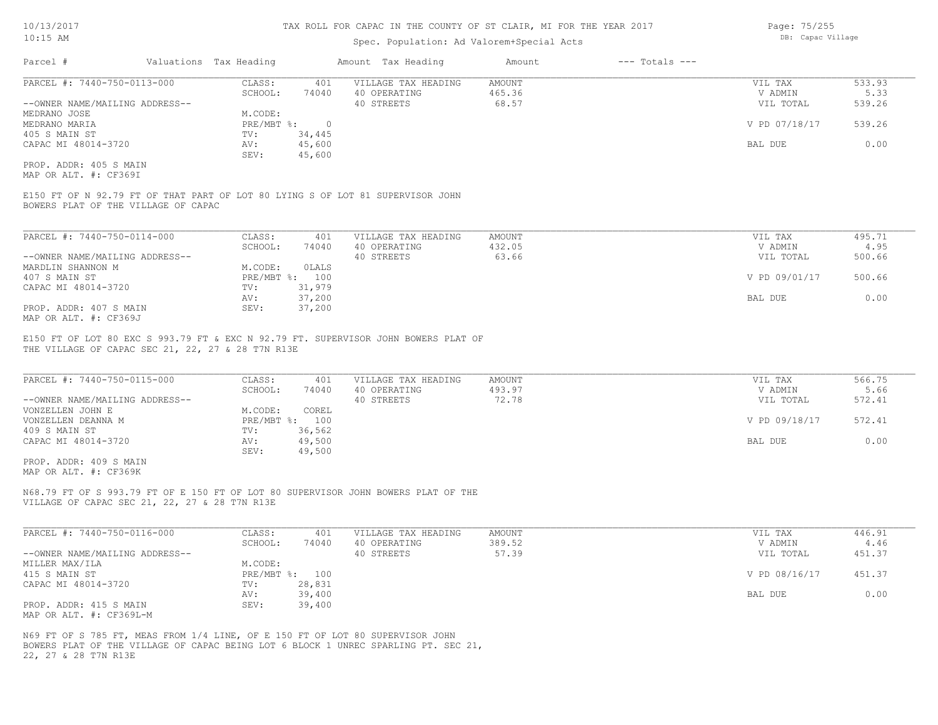## Spec. Population: Ad Valorem+Special Acts

| Page: 75/255 |                   |
|--------------|-------------------|
|              | DB: Capac Village |

| Parcel #                       | Valuations Tax Heading |        | Amount Tax Heading  | Amount | $---$ Totals $---$ |               |        |
|--------------------------------|------------------------|--------|---------------------|--------|--------------------|---------------|--------|
| PARCEL #: 7440-750-0113-000    | CLASS:                 | 401    | VILLAGE TAX HEADING | AMOUNT |                    | VIL TAX       | 533.93 |
|                                | SCHOOL:                | 74040  | 40 OPERATING        | 465.36 |                    | V ADMIN       | 5.33   |
| --OWNER NAME/MAILING ADDRESS-- |                        |        | 40 STREETS          | 68.57  |                    | VIL TOTAL     | 539.26 |
| MEDRANO JOSE                   | M.CODE:                |        |                     |        |                    |               |        |
| MEDRANO MARIA                  | $PRE/MBT$ %:           |        |                     |        |                    | V PD 07/18/17 | 539.26 |
| 405 S MAIN ST                  | TV:                    | 34,445 |                     |        |                    |               |        |
| CAPAC MI 48014-3720            | AV:                    | 45,600 |                     |        |                    | BAL DUE       | 0.00   |
|                                | SEV:                   | 45,600 |                     |        |                    |               |        |
| PROP. ADDR: 405 S MAIN         |                        |        |                     |        |                    |               |        |

MAP OR ALT. #: CF369I

BOWERS PLAT OF THE VILLAGE OF CAPAC E150 FT OF N 92.79 FT OF THAT PART OF LOT 80 LYING S OF LOT 81 SUPERVISOR JOHN

| PARCEL #: 7440-750-0114-000    | CLASS:  | 401            | VILLAGE TAX HEADING | AMOUNT | VIL TAX       | 495.71 |
|--------------------------------|---------|----------------|---------------------|--------|---------------|--------|
|                                | SCHOOL: | 74040          | 40 OPERATING        | 432.05 | V ADMIN       | 4.95   |
| --OWNER NAME/MAILING ADDRESS-- |         |                | 40 STREETS          | 63.66  | VIL TOTAL     | 500.66 |
| MARDLIN SHANNON M              | M.CODE: | OLALS          |                     |        |               |        |
| 407 S MAIN ST                  |         | PRE/MBT %: 100 |                     |        | V PD 09/01/17 | 500.66 |
| CAPAC MI 48014-3720            | TV:     | 31,979         |                     |        |               |        |
|                                | AV:     | 37,200         |                     |        | BAL DUE       | 0.00   |
| PROP. ADDR: 407 S MAIN         | SEV:    | 37,200         |                     |        |               |        |
| MAP OR ALT. #: CF369J          |         |                |                     |        |               |        |

THE VILLAGE OF CAPAC SEC 21, 22, 27 & 28 T7N R13E E150 FT OF LOT 80 EXC S 993.79 FT & EXC N 92.79 FT. SUPERVISOR JOHN BOWERS PLAT OF

| PARCEL #: 7440-750-0115-000    | CLASS:       | 401    | VILLAGE TAX HEADING | AMOUNT | VIL TAX       | 566.75 |
|--------------------------------|--------------|--------|---------------------|--------|---------------|--------|
|                                | SCHOOL:      | 74040  | 40 OPERATING        | 493.97 | V ADMIN       | 5.66   |
| --OWNER NAME/MAILING ADDRESS-- |              |        | 40 STREETS          | 72.78  | VIL TOTAL     | 572.41 |
| VONZELLEN JOHN E               | M.CODE:      | COREL  |                     |        |               |        |
| VONZELLEN DEANNA M             | $PRE/MBT$ %: | 100    |                     |        | V PD 09/18/17 | 572.41 |
| 409 S MAIN ST                  | TV:          | 36,562 |                     |        |               |        |
| CAPAC MI 48014-3720            | AV:          | 49,500 |                     |        | BAL DUE       | 0.00   |
|                                | SEV:         | 49,500 |                     |        |               |        |
| PROP. ADDR: 409 S MAIN         |              |        |                     |        |               |        |

 $\mathcal{L}_\mathcal{L} = \mathcal{L}_\mathcal{L} = \mathcal{L}_\mathcal{L} = \mathcal{L}_\mathcal{L} = \mathcal{L}_\mathcal{L} = \mathcal{L}_\mathcal{L} = \mathcal{L}_\mathcal{L} = \mathcal{L}_\mathcal{L} = \mathcal{L}_\mathcal{L} = \mathcal{L}_\mathcal{L} = \mathcal{L}_\mathcal{L} = \mathcal{L}_\mathcal{L} = \mathcal{L}_\mathcal{L} = \mathcal{L}_\mathcal{L} = \mathcal{L}_\mathcal{L} = \mathcal{L}_\mathcal{L} = \mathcal{L}_\mathcal{L}$ 

MAP OR ALT. #: CF369K

VILLAGE OF CAPAC SEC 21, 22, 27 & 28 T7N R13E N68.79 FT OF S 993.79 FT OF E 150 FT OF LOT 80 SUPERVISOR JOHN BOWERS PLAT OF THE

| PARCEL #: 7440-750-0116-000    | CLASS:  | 401            | VILLAGE TAX HEADING | AMOUNT | VIL TAX       | 446.91 |
|--------------------------------|---------|----------------|---------------------|--------|---------------|--------|
|                                | SCHOOL: | 74040          | 40 OPERATING        | 389.52 | V ADMIN       | 4.46   |
| --OWNER NAME/MAILING ADDRESS-- |         |                | 40 STREETS          | 57.39  | VIL TOTAL     | 451.37 |
| MILLER MAX/ILA                 | M.CODE: |                |                     |        |               |        |
| 415 S MAIN ST                  |         | PRE/MBT %: 100 |                     |        | V PD 08/16/17 | 451.37 |
| CAPAC MI 48014-3720            | TV:     | 28,831         |                     |        |               |        |
|                                | AV:     | 39,400         |                     |        | BAL DUE       | 0.00   |
| PROP. ADDR: 415 S MAIN         | SEV:    | 39,400         |                     |        |               |        |
| MAP OR ALT. #: CF369L-M        |         |                |                     |        |               |        |

22, 27 & 28 T7N R13E BOWERS PLAT OF THE VILLAGE OF CAPAC BEING LOT 6 BLOCK 1 UNREC SPARLING PT. SEC 21, N69 FT OF S 785 FT, MEAS FROM 1/4 LINE, OF E 150 FT OF LOT 80 SUPERVISOR JOHN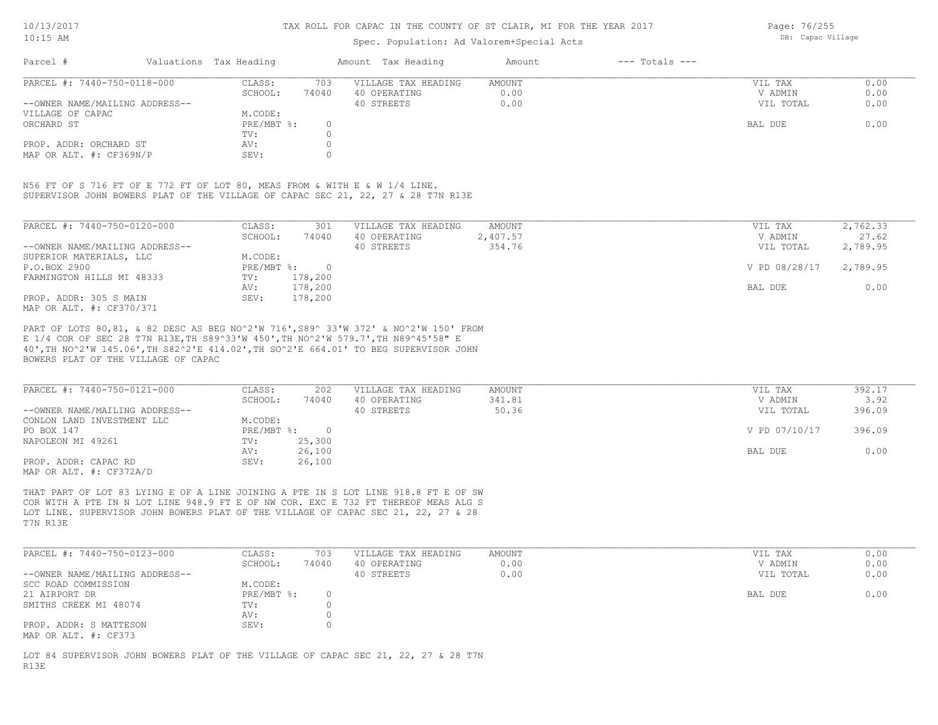## Spec. Population: Ad Valorem+Special Acts

Page: 76/255 DB: Capac Village

| Parcel #                       | Valuations Tax Heading |       | Amount Tax Heading  | Amount | $---$ Totals $---$ |           |      |
|--------------------------------|------------------------|-------|---------------------|--------|--------------------|-----------|------|
| PARCEL #: 7440-750-0118-000    | CLASS:                 | 703   | VILLAGE TAX HEADING | AMOUNT |                    | VIL TAX   | 0.00 |
|                                | SCHOOL:                | 74040 | 40 OPERATING        | 0.00   |                    | V ADMIN   | 0.00 |
| --OWNER NAME/MAILING ADDRESS-- |                        |       | 40 STREETS          | 0.00   |                    | VIL TOTAL | 0.00 |
| VILLAGE OF CAPAC               | M.CODE:                |       |                     |        |                    |           |      |
| ORCHARD ST                     | PRE/MBT %:             |       |                     |        |                    | BAL DUE   | 0.00 |
|                                | TV:                    |       |                     |        |                    |           |      |
| PROP. ADDR: ORCHARD ST         | AV:                    |       |                     |        |                    |           |      |
| MAP OR ALT. #: CF369N/P        | SEV:                   |       |                     |        |                    |           |      |

SUPERVISOR JOHN BOWERS PLAT OF THE VILLAGE OF CAPAC SEC 21, 22, 27 & 28 T7N R13E N56 FT OF S 716 FT OF E 772 FT OF LOT 80, MEAS FROM & WITH E & W 1/4 LINE.

| PARCEL #: 7440-750-0120-000    | CLASS:     | 301     | VILLAGE TAX HEADING | AMOUNT   | VIL TAX       | 2,762.33 |
|--------------------------------|------------|---------|---------------------|----------|---------------|----------|
|                                | SCHOOL:    | 74040   | 40 OPERATING        | 2,407.57 | V ADMIN       | 27.62    |
| --OWNER NAME/MAILING ADDRESS-- |            |         | 40 STREETS          | 354.76   | VIL TOTAL     | 2,789.95 |
| SUPERIOR MATERIALS, LLC        | M.CODE:    |         |                     |          |               |          |
| P.O.BOX 2900                   | PRE/MBT %: |         |                     |          | V PD 08/28/17 | 2,789.95 |
| FARMINGTON HILLS MI 48333      | TV:        | 178,200 |                     |          |               |          |
|                                | AV:        | 178,200 |                     |          | BAL DUE       | 0.00     |
| PROP. ADDR: 305 S MAIN         | SEV:       | 178,200 |                     |          |               |          |
| MAP OR ALT. #: CF370/371       |            |         |                     |          |               |          |

BOWERS PLAT OF THE VILLAGE OF CAPAC 40',TH NO^2'W 145.06',TH S82^2'E 414.02',TH SO^2'E 664.01' TO BEG SUPERVISOR JOHN E 1/4 COR OF SEC 28 T7N R13E,TH S89^33'W 450',TH NO^2'W 579.7',TH N89^45'58" E PART OF LOTS 80,81, & 82 DESC AS BEG NO^2'W 716',S89^ 33'W 372' & NO^2'W 150' FROM

| PARCEL #: 7440-750-0121-000    | CLASS:     | 202    | VILLAGE TAX HEADING | AMOUNT | VIL TAX       | 392.17 |
|--------------------------------|------------|--------|---------------------|--------|---------------|--------|
|                                | SCHOOL:    | 74040  | 40 OPERATING        | 341.81 | V ADMIN       | 3.92   |
| --OWNER NAME/MAILING ADDRESS-- |            |        | 40 STREETS          | 50.36  | VIL TOTAL     | 396.09 |
| CONLON LAND INVESTMENT LLC     | M.CODE:    |        |                     |        |               |        |
| PO BOX 147                     | PRE/MBT %: |        |                     |        | V PD 07/10/17 | 396.09 |
| NAPOLEON MI 49261              | TV:        | 25,300 |                     |        |               |        |
|                                | AV:        | 26,100 |                     |        | BAL DUE       | 0.00   |
| PROP. ADDR: CAPAC RD           | SEV:       | 26,100 |                     |        |               |        |
| MAP OR ALT. #: CF372A/D        |            |        |                     |        |               |        |

T7N R13E LOT LINE. SUPERVISOR JOHN BOWERS PLAT OF THE VILLAGE OF CAPAC SEC 21, 22, 27 & 28 COR WITH A PTE IN N LOT LINE 948.9 FT E OF NW COR. EXC E 732 FT THEREOF MEAS ALG S THAT PART OF LOT 83 LYING E OF A LINE JOINING A PTE IN S LOT LINE 918.8 FT E OF SW

| PARCEL #: 7440-750-0123-000    | CLASS:       | 703   | VILLAGE TAX HEADING | AMOUNT | VIL TAX   | 0.00 |
|--------------------------------|--------------|-------|---------------------|--------|-----------|------|
|                                | SCHOOL:      | 74040 | 40 OPERATING        | 0.00   | V ADMIN   | 0.00 |
| --OWNER NAME/MAILING ADDRESS-- |              |       | 40 STREETS          | 0.00   | VIL TOTAL | 0.00 |
| SCC ROAD COMMISSION            | M.CODE:      |       |                     |        |           |      |
| 21 AIRPORT DR                  | $PRE/MBT$ %: |       |                     |        | BAL DUE   | 0.00 |
| SMITHS CREEK MI 48074          | TV:          |       |                     |        |           |      |
|                                | AV:          |       |                     |        |           |      |
| PROP. ADDR: S MATTESON         | SEV:         |       |                     |        |           |      |
| MAP OR ALT. #: CF373           |              |       |                     |        |           |      |

R13E LOT 84 SUPERVISOR JOHN BOWERS PLAT OF THE VILLAGE OF CAPAC SEC 21, 22, 27 & 28 T7N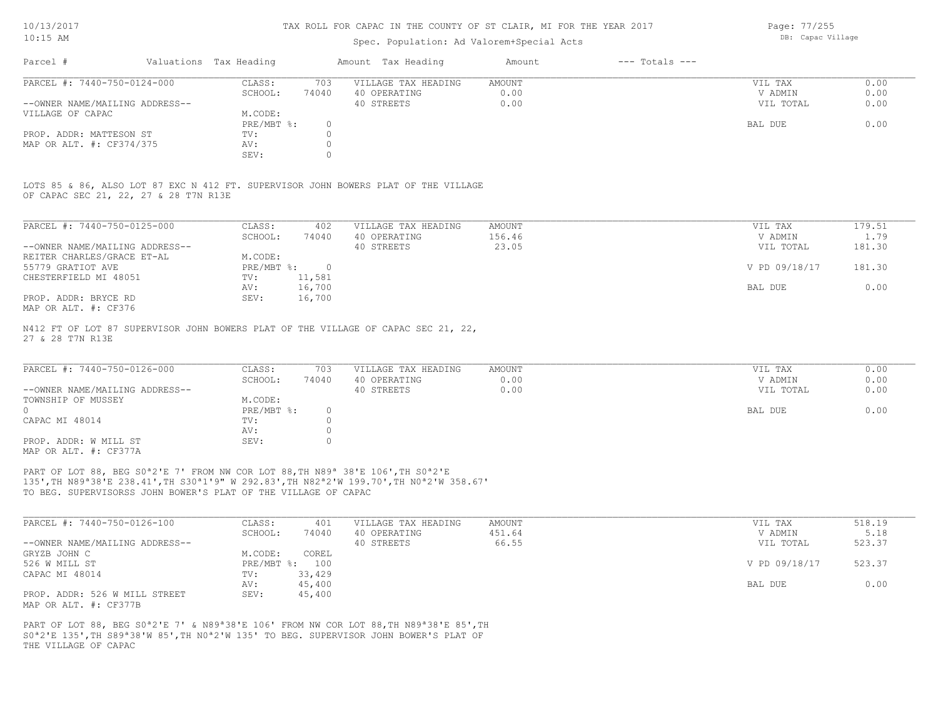## Spec. Population: Ad Valorem+Special Acts

Page: 77/255 DB: Capac Village

| Parcel #                       | Valuations Tax Heading |       | Amount Tax Heading  | Amount | $---$ Totals $---$ |           |      |
|--------------------------------|------------------------|-------|---------------------|--------|--------------------|-----------|------|
| PARCEL #: 7440-750-0124-000    | CLASS:                 | 703   | VILLAGE TAX HEADING | AMOUNT |                    | VIL TAX   | 0.00 |
|                                | SCHOOL:                | 74040 | 40 OPERATING        | 0.00   |                    | V ADMIN   | 0.00 |
| --OWNER NAME/MAILING ADDRESS-- |                        |       | 40 STREETS          | 0.00   |                    | VIL TOTAL | 0.00 |
| VILLAGE OF CAPAC               | M.CODE:                |       |                     |        |                    |           |      |
|                                | PRE/MBT %:             |       |                     |        |                    | BAL DUE   | 0.00 |
| PROP. ADDR: MATTESON ST        | TV:                    |       |                     |        |                    |           |      |
| MAP OR ALT. #: CF374/375       | AV:                    |       |                     |        |                    |           |      |
|                                | SEV:                   |       |                     |        |                    |           |      |

OF CAPAC SEC 21, 22, 27 & 28 T7N R13E LOTS 85 & 86, ALSO LOT 87 EXC N 412 FT. SUPERVISOR JOHN BOWERS PLAT OF THE VILLAGE

| PARCEL #: 7440-750-0125-000    | CLASS:     | 402      | VILLAGE TAX HEADING | AMOUNT | 179.51<br>VIL TAX       |
|--------------------------------|------------|----------|---------------------|--------|-------------------------|
|                                | SCHOOL:    | 74040    | 40 OPERATING        | 156.46 | 1.79<br>V ADMIN         |
| --OWNER NAME/MAILING ADDRESS-- |            |          | 40 STREETS          | 23.05  | 181.30<br>VIL TOTAL     |
| REITER CHARLES/GRACE ET-AL     | M.CODE:    |          |                     |        |                         |
| 55779 GRATIOT AVE              | PRE/MBT %: | $\Omega$ |                     |        | V PD 09/18/17<br>181.30 |
| CHESTERFIELD MI 48051          | TV:        | 11,581   |                     |        |                         |
|                                | AV:        | 16,700   |                     |        | 0.00<br>BAL DUE         |
| PROP. ADDR: BRYCE RD           | SEV:       | 16,700   |                     |        |                         |
| MAP OR ALT. #: CF376           |            |          |                     |        |                         |

27 & 28 T7N R13E N412 FT OF LOT 87 SUPERVISOR JOHN BOWERS PLAT OF THE VILLAGE OF CAPAC SEC 21, 22,

| PARCEL #: 7440-750-0126-000    | CLASS:       | 703   | VILLAGE TAX HEADING | AMOUNT | VIL TAX   | 0.00 |
|--------------------------------|--------------|-------|---------------------|--------|-----------|------|
|                                | SCHOOL:      | 74040 | 40 OPERATING        | 0.00   | V ADMIN   | 0.00 |
| --OWNER NAME/MAILING ADDRESS-- |              |       | 40 STREETS          | 0.00   | VIL TOTAL | 0.00 |
| TOWNSHIP OF MUSSEY             | M.CODE:      |       |                     |        |           |      |
|                                | $PRE/MBT$ %: |       |                     |        | BAL DUE   | 0.00 |
| CAPAC MI 48014                 | TV:          |       |                     |        |           |      |
|                                | AV:          |       |                     |        |           |      |
| PROP. ADDR: W MILL ST          | SEV:         |       |                     |        |           |      |
| MAP OR ALT. #: CF377A          |              |       |                     |        |           |      |

TO BEG. SUPERVISORSS JOHN BOWER'S PLAT OF THE VILLAGE OF CAPAC 135',TH N89ª38'E 238.41',TH S30ª1'9" W 292.83',TH N82ª2'W 199.70',TH N0ª2'W 358.67' PART OF LOT 88, BEG S0<sup>ª2'E</sup> 7' FROM NW COR LOT 88, TH N89<sup>ª</sup> 38'E 106', TH S0<sup>ª2'E</sup>

| PARCEL #: 7440-750-0126-100    | CLASS:  | 401            | VILLAGE TAX HEADING | AMOUNT | VIL TAX       | 518.19 |
|--------------------------------|---------|----------------|---------------------|--------|---------------|--------|
|                                | SCHOOL: | 74040          | 40 OPERATING        | 451.64 | V ADMIN       | 5.18   |
| --OWNER NAME/MAILING ADDRESS-- |         |                | 40 STREETS          | 66.55  | VIL TOTAL     | 523.37 |
| GRYZB JOHN C                   | M.CODE: | COREL          |                     |        |               |        |
| 526 W MILL ST                  |         | PRE/MBT %: 100 |                     |        | V PD 09/18/17 | 523.37 |
| CAPAC MI 48014                 | TV:     | 33,429         |                     |        |               |        |
|                                | AV:     | 45,400         |                     |        | BAL DUE       | 0.00   |
| PROP. ADDR: 526 W MILL STREET  | SEV:    | 45,400         |                     |        |               |        |
| MAP OR ALT. #: CF377B          |         |                |                     |        |               |        |

THE VILLAGE OF CAPAC S0ª2'E 135',TH S89ª38'W 85',TH N0ª2'W 135' TO BEG. SUPERVISOR JOHN BOWER'S PLAT OF PART OF LOT 88, BEG S0ª2'E 7' & N89ª38'E 106' FROM NW COR LOT 88,TH N89ª38'E 85',TH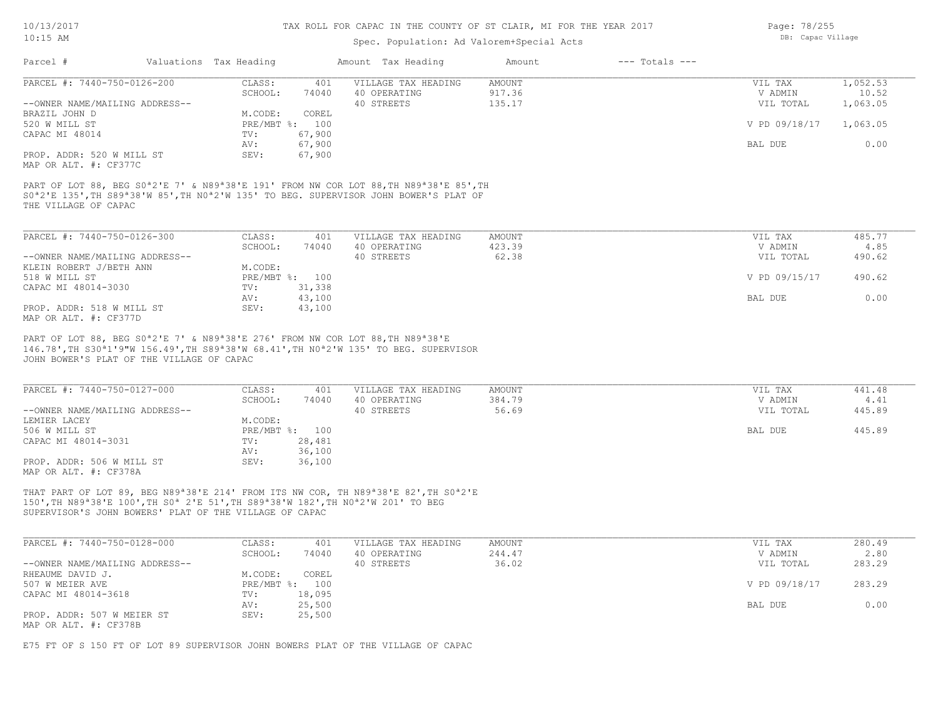# Spec. Population: Ad Valorem+Special Acts

Parcel # Valuations Tax Heading Amount Tax Heading Amount --- Totals ---

| Page: 78/255      |
|-------------------|
| DB: Capac Village |

| PARCEL #: 7440-750-0126-200                                                                                                                                                                                                                                                                                               | CLASS:<br>401<br>SCHOOL:<br>74040 | VILLAGE TAX HEADING<br>40 OPERATING               | <b>AMOUNT</b><br>917.36   | VIL TAX<br>V ADMIN              | 1,052.53<br>10.52        |
|---------------------------------------------------------------------------------------------------------------------------------------------------------------------------------------------------------------------------------------------------------------------------------------------------------------------------|-----------------------------------|---------------------------------------------------|---------------------------|---------------------------------|--------------------------|
| --OWNER NAME/MAILING ADDRESS--                                                                                                                                                                                                                                                                                            |                                   | 40 STREETS                                        | 135.17                    | VIL TOTAL                       | 1,063.05                 |
| BRAZIL JOHN D                                                                                                                                                                                                                                                                                                             | M.CODE:<br>COREL                  |                                                   |                           |                                 |                          |
| 520 W MILL ST                                                                                                                                                                                                                                                                                                             | PRE/MBT %: 100                    |                                                   |                           | V PD 09/18/17                   | 1,063.05                 |
| CAPAC MI 48014                                                                                                                                                                                                                                                                                                            | TV:<br>67,900                     |                                                   |                           |                                 |                          |
|                                                                                                                                                                                                                                                                                                                           | AV:<br>67,900                     |                                                   |                           | BAL DUE                         | 0.00                     |
| PROP. ADDR: 520 W MILL ST                                                                                                                                                                                                                                                                                                 | SEV:<br>67,900                    |                                                   |                           |                                 |                          |
| MAP OR ALT. #: CF377C                                                                                                                                                                                                                                                                                                     |                                   |                                                   |                           |                                 |                          |
| PART OF LOT 88, BEG S0 <sup>a</sup> 2'E 7' & N89 <sup>a</sup> 38'E 191' FROM NW COR LOT 88, TH N89 <sup>a</sup> 38'E 85', TH<br>S0 <sup>a</sup> 2'E 135', TH S89 <sup>a</sup> 38'W 85', TH N0 <sup>a</sup> 2'W 135' TO BEG. SUPERVISOR JOHN BOWER'S PLAT OF<br>THE VILLAGE OF CAPAC                                       |                                   |                                                   |                           |                                 |                          |
| PARCEL #: 7440-750-0126-300                                                                                                                                                                                                                                                                                               | CLASS:<br>401                     | VILLAGE TAX HEADING                               | <b>AMOUNT</b>             | VIL TAX                         | 485.77                   |
|                                                                                                                                                                                                                                                                                                                           | SCHOOL:<br>74040                  | 40 OPERATING                                      | 423.39                    | V ADMIN                         | 4.85                     |
| --OWNER NAME/MAILING ADDRESS--                                                                                                                                                                                                                                                                                            |                                   | 40 STREETS                                        | 62.38                     | VIL TOTAL                       | 490.62                   |
| KLEIN ROBERT J/BETH ANN                                                                                                                                                                                                                                                                                                   | M.CODE:                           |                                                   |                           |                                 |                          |
|                                                                                                                                                                                                                                                                                                                           |                                   |                                                   |                           |                                 |                          |
| 518 W MILL ST                                                                                                                                                                                                                                                                                                             | PRE/MBT %: 100                    |                                                   |                           | V PD 09/15/17                   | 490.62                   |
| CAPAC MI 48014-3030                                                                                                                                                                                                                                                                                                       | 31,338<br>TV:                     |                                                   |                           |                                 |                          |
|                                                                                                                                                                                                                                                                                                                           | 43,100<br>AV:                     |                                                   |                           | BAL DUE                         | 0.00                     |
| PROP. ADDR: 518 W MILL ST<br>MAP OR ALT. #: CF377D                                                                                                                                                                                                                                                                        | SEV:<br>43,100                    |                                                   |                           |                                 |                          |
| PART OF LOT 88, BEG S0 <sup>a</sup> 2'E 7' & N89 <sup>a</sup> 38'E 276' FROM NW COR LOT 88, TH N89 <sup>a</sup> 38'E<br>146.78', TH S30 <sup>a</sup> 1'9"W 156.49', TH S89 <sup>a</sup> 38'W 68.41', TH N0 <sup>a</sup> 2'W 135' TO BEG. SUPERVISOR<br>JOHN BOWER'S PLAT OF THE VILLAGE OF CAPAC                          |                                   |                                                   |                           |                                 |                          |
| PARCEL #: 7440-750-0127-000<br>--OWNER NAME/MAILING ADDRESS--                                                                                                                                                                                                                                                             | CLASS:<br>401<br>SCHOOL:<br>74040 | VILLAGE TAX HEADING<br>40 OPERATING<br>40 STREETS | AMOUNT<br>384.79<br>56.69 | VIL TAX<br>V ADMIN<br>VIL TOTAL | 441.48<br>4.41<br>445.89 |
| LEMIER LACEY<br>506 W MILL ST                                                                                                                                                                                                                                                                                             | M.CODE:<br>PRE/MBT %: 100         |                                                   |                           | BAL DUE                         | 445.89                   |
| CAPAC MI 48014-3031                                                                                                                                                                                                                                                                                                       | 28,481<br>TV:                     |                                                   |                           |                                 |                          |
|                                                                                                                                                                                                                                                                                                                           | AV:                               |                                                   |                           |                                 |                          |
| PROP. ADDR: 506 W MILL ST<br>MAP OR ALT. #: CF378A                                                                                                                                                                                                                                                                        | 36,100<br>SEV:<br>36,100          |                                                   |                           |                                 |                          |
| THAT PART OF LOT 89, BEG N89 <sup>a</sup> 38'E 214' FROM ITS NW COR, TH N89 <sup>a</sup> 38'E 82', TH S0 <sup>a</sup> 2'E<br>150', TH N89 <sup>a</sup> 38'E 100', TH S0 <sup>a</sup> 2'E 51', TH S89 <sup>a</sup> 38'W 182', TH N0 <sup>a</sup> 2'W 201' TO BEG<br>SUPERVISOR'S JOHN BOWERS' PLAT OF THE VILLAGE OF CAPAC |                                   |                                                   |                           |                                 |                          |
| PARCEL #: 7440-750-0128-000                                                                                                                                                                                                                                                                                               | CLASS:<br>401                     | VILLAGE TAX HEADING                               | AMOUNT                    | VIL TAX                         | 280.49                   |
|                                                                                                                                                                                                                                                                                                                           | SCHOOL:<br>74040                  | 40 OPERATING                                      | 244.47                    | V ADMIN                         | 2.80                     |
| --OWNER NAME/MAILING ADDRESS--                                                                                                                                                                                                                                                                                            |                                   | 40 STREETS                                        | 36.02                     | VIL TOTAL                       | 283.29                   |
| RHEAUME DAVID J.                                                                                                                                                                                                                                                                                                          | M.CODE:<br>COREL                  |                                                   |                           |                                 |                          |
| 507 W MEIER AVE                                                                                                                                                                                                                                                                                                           | PRE/MBT %: 100                    |                                                   |                           | V PD 09/18/17                   | 283.29                   |
| CAPAC MI 48014-3618                                                                                                                                                                                                                                                                                                       | TV:<br>18,095                     |                                                   |                           |                                 |                          |
|                                                                                                                                                                                                                                                                                                                           | 25,500<br>AV:                     |                                                   |                           | BAL DUE                         | 0.00                     |
| PROP. ADDR: 507 W MEIER ST                                                                                                                                                                                                                                                                                                | SEV:<br>25,500                    |                                                   |                           |                                 |                          |

E75 FT OF S 150 FT OF LOT 89 SUPERVISOR JOHN BOWERS PLAT OF THE VILLAGE OF CAPAC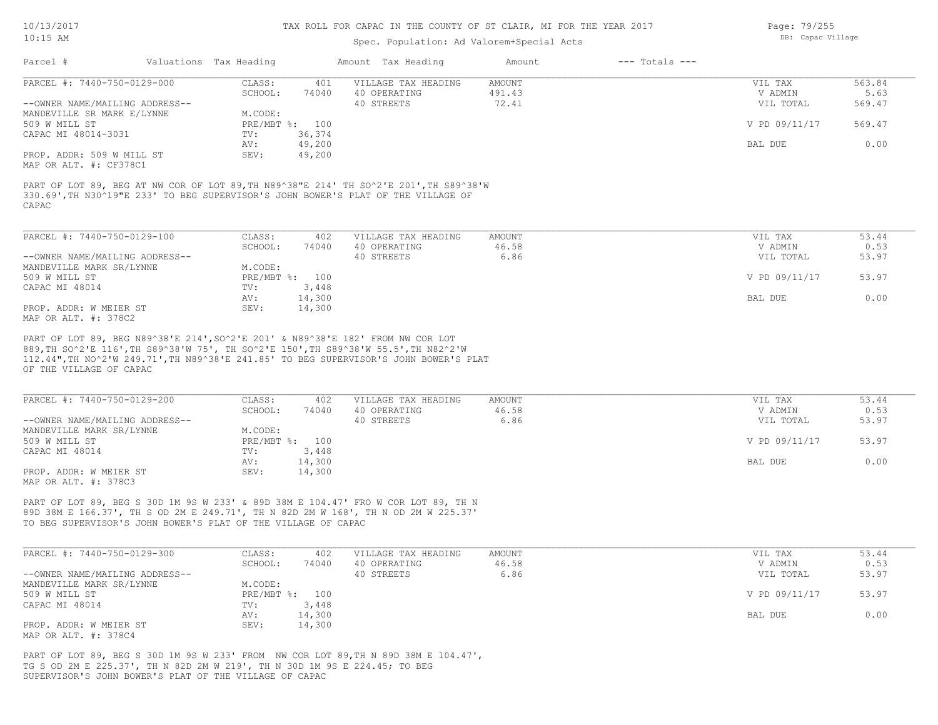## Spec. Population: Ad Valorem+Special Acts

| Page: 79/255      |
|-------------------|
| DB: Capac Village |

| Parcel #                       | Valuations Tax Heading |                | Amount Tax Heading                                                                                                                                                         | Amount | $---$ Totals $---$ |               |        |
|--------------------------------|------------------------|----------------|----------------------------------------------------------------------------------------------------------------------------------------------------------------------------|--------|--------------------|---------------|--------|
| PARCEL #: 7440-750-0129-000    | CLASS:                 | 401            | VILLAGE TAX HEADING                                                                                                                                                        | AMOUNT |                    | VIL TAX       | 563.84 |
|                                | SCHOOL:                | 74040          | 40 OPERATING                                                                                                                                                               | 491.43 |                    | V ADMIN       | 5.63   |
| --OWNER NAME/MAILING ADDRESS-- |                        |                | 40 STREETS                                                                                                                                                                 | 72.41  |                    | VIL TOTAL     | 569.47 |
| MANDEVILLE SR MARK E/LYNNE     | M.CODE:                |                |                                                                                                                                                                            |        |                    |               |        |
| 509 W MILL ST                  |                        | PRE/MBT %: 100 |                                                                                                                                                                            |        |                    | V PD 09/11/17 | 569.47 |
| CAPAC MI 48014-3031            | TV:                    | 36,374         |                                                                                                                                                                            |        |                    |               |        |
|                                | AV:                    | 49,200         |                                                                                                                                                                            |        |                    | BAL DUE       | 0.00   |
| PROP. ADDR: 509 W MILL ST      | SEV:                   | 49,200         |                                                                                                                                                                            |        |                    |               |        |
| MAP OR ALT. #: CF378C1         |                        |                |                                                                                                                                                                            |        |                    |               |        |
| CAPAC                          |                        |                | PART OF LOT 89, BEG AT NW COR OF LOT 89, TH N89^38"E 214' TH SO^2'E 201', TH S89^38'W<br>330.69', TH N30^19"E 233' TO BEG SUPERVISOR'S JOHN BOWER'S PLAT OF THE VILLAGE OF |        |                    |               |        |
| PARCEL #: 7440-750-0129-100    | CLASS:                 | 402            | VILLAGE TAX HEADING                                                                                                                                                        | AMOUNT |                    | VIL TAX       | 53.44  |

|                                | ------       | ---    |              | ------ |               | ----- |
|--------------------------------|--------------|--------|--------------|--------|---------------|-------|
|                                | SCHOOL:      | 74040  | 40 OPERATING | 46.58  | V ADMIN       | 0.53  |
| --OWNER NAME/MAILING ADDRESS-- |              |        | 40 STREETS   | 6.86   | VIL TOTAL     | 53.97 |
| MANDEVILLE MARK SR/LYNNE       | M.CODE:      |        |              |        |               |       |
| 509 W MILL ST                  | $PRE/MBT$ %: | 100    |              |        | V PD 09/11/17 | 53.97 |
| CAPAC MI 48014                 | TV:          | 3,448  |              |        |               |       |
|                                | AV:          | 14,300 |              |        | BAL DUE       | 0.00  |
| PROP. ADDR: W MEIER ST         | SEV:         | 14,300 |              |        |               |       |
| MAP OR ALT. #: 378C2           |              |        |              |        |               |       |

OF THE VILLAGE OF CAPAC 112.44",TH NO^2'W 249.71',TH N89^38'E 241.85' TO BEG SUPERVISOR'S JOHN BOWER'S PLAT 889,TH SO^2'E 116',TH S89^38'W 75', TH SO^2'E 150',TH S89^38'W 55.5',TH N82^2'W PART OF LOT 89, BEG N89^38'E 214',SO^2'E 201' & N89^38'E 182' FROM NW COR LOT

| PARCEL #: 7440-750-0129-200    | CLASS:  | 402            | VILLAGE TAX HEADING | AMOUNT | VIL TAX       | 53.44 |
|--------------------------------|---------|----------------|---------------------|--------|---------------|-------|
|                                | SCHOOL: | 74040          | 40 OPERATING        | 46.58  | V ADMIN       | 0.53  |
| --OWNER NAME/MAILING ADDRESS-- |         |                | 40 STREETS          | 6.86   | VIL TOTAL     | 53.97 |
| MANDEVILLE MARK SR/LYNNE       | M.CODE: |                |                     |        |               |       |
| 509 W MILL ST                  |         | PRE/MBT %: 100 |                     |        | V PD 09/11/17 | 53.97 |
| CAPAC MI 48014                 | TV:     | 3,448          |                     |        |               |       |
|                                | AV:     | 14,300         |                     |        | BAL DUE       | 0.00  |
| PROP. ADDR: W MEIER ST         | SEV:    | 14,300         |                     |        |               |       |
| MAP OR ALT. #: 378C3           |         |                |                     |        |               |       |

TO BEG SUPERVISOR'S JOHN BOWER'S PLAT OF THE VILLAGE OF CAPAC 89D 38M E 166.37', TH S OD 2M E 249.71', TH N 82D 2M W 168', TH N OD 2M W 225.37' PART OF LOT 89, BEG S 30D 1M 9S W 233' & 89D 38M E 104.47' FRO W COR LOT 89, TH N

| PARCEL #: 7440-750-0129-300    | CLASS:         | 402    | VILLAGE TAX HEADING | AMOUNT | VIL TAX       | 53.44 |
|--------------------------------|----------------|--------|---------------------|--------|---------------|-------|
|                                | SCHOOL:        | 74040  | 40 OPERATING        | 46.58  | V ADMIN       | 0.53  |
| --OWNER NAME/MAILING ADDRESS-- |                |        | 40 STREETS          | 6.86   | VIL TOTAL     | 53.97 |
| MANDEVILLE MARK SR/LYNNE       | M.CODE:        |        |                     |        |               |       |
| 509 W MILL ST                  | PRE/MBT %: 100 |        |                     |        | V PD 09/11/17 | 53.97 |
| CAPAC MI 48014                 | TV:            | 3,448  |                     |        |               |       |
|                                | AV:            | 14,300 |                     |        | BAL DUE       | 0.00  |
| PROP. ADDR: W MEIER ST         | SEV:           | 14,300 |                     |        |               |       |
| MAP OR ALT. #: 378C4           |                |        |                     |        |               |       |

SUPERVISOR'S JOHN BOWER'S PLAT OF THE VILLAGE OF CAPAC TG S OD 2M E 225.37', TH N 82D 2M W 219', TH N 30D 1M 9S E 224.45; TO BEG PART OF LOT 89, BEG S 30D 1M 9S W 233' FROM NW COR LOT 89,TH N 89D 38M E 104.47',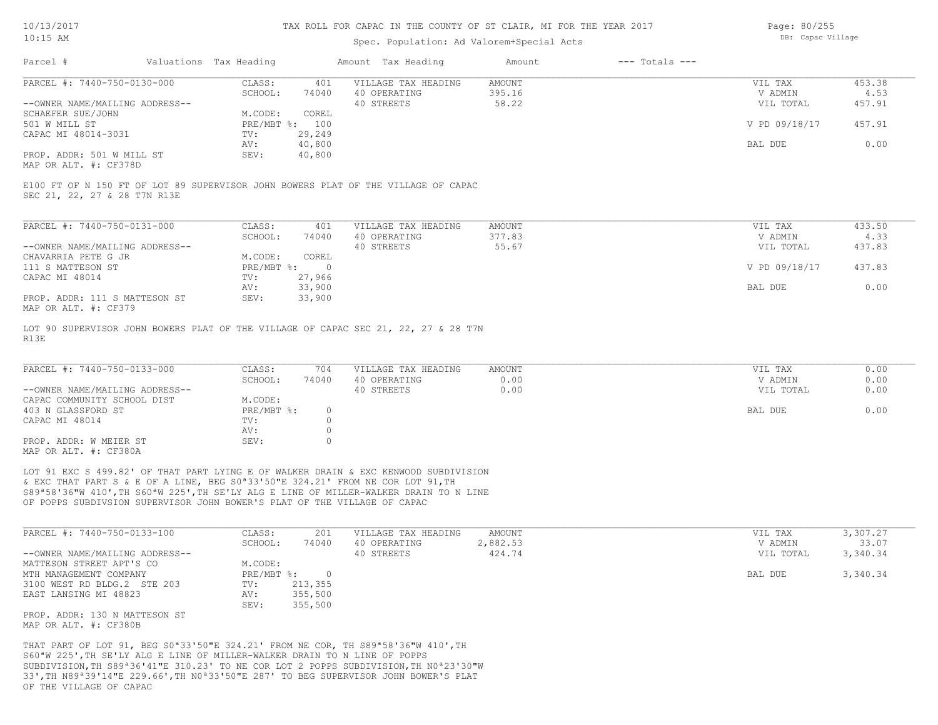## Spec. Population: Ad Valorem+Special Acts

Page: 80/255 DB: Capac Village

| Parcel #                       | Valuations Tax Heading |                | Amount Tax Heading  | Amount | $---$ Totals $---$ |               |        |
|--------------------------------|------------------------|----------------|---------------------|--------|--------------------|---------------|--------|
| PARCEL #: 7440-750-0130-000    | CLASS:                 | 401            | VILLAGE TAX HEADING | AMOUNT |                    | VIL TAX       | 453.38 |
|                                | SCHOOL:                | 74040          | 40 OPERATING        | 395.16 |                    | V ADMIN       | 4.53   |
| --OWNER NAME/MAILING ADDRESS-- |                        |                | 40 STREETS          | 58.22  |                    | VIL TOTAL     | 457.91 |
| SCHAEFER SUE/JOHN              | M.CODE:                | COREL          |                     |        |                    |               |        |
| 501 W MILL ST                  |                        | PRE/MBT %: 100 |                     |        |                    | V PD 09/18/17 | 457.91 |
| CAPAC MI 48014-3031            | TV:                    | 29,249         |                     |        |                    |               |        |
|                                | AV:                    | 40,800         |                     |        |                    | BAL DUE       | 0.00   |
| PROP. ADDR: 501 W MILL ST      | SEV:                   | 40,800         |                     |        |                    |               |        |
|                                |                        |                |                     |        |                    |               |        |

MAP OR ALT. #: CF378D

SEC 21, 22, 27 & 28 T7N R13E E100 FT OF N 150 FT OF LOT 89 SUPERVISOR JOHN BOWERS PLAT OF THE VILLAGE OF CAPAC

| PARCEL #: 7440-750-0131-000                              | CLASS:     | 401    | VILLAGE TAX HEADING | AMOUNT | VIL TAX       | 433.50 |
|----------------------------------------------------------|------------|--------|---------------------|--------|---------------|--------|
|                                                          | SCHOOL:    | 74040  | 40 OPERATING        | 377.83 | V ADMIN       | 4.33   |
| --OWNER NAME/MAILING ADDRESS--                           |            |        | 40 STREETS          | 55.67  | VIL TOTAL     | 437.83 |
| CHAVARRIA PETE G JR                                      | M.CODE:    | COREL  |                     |        |               |        |
| 111 S MATTESON ST                                        | PRE/MBT %: |        |                     |        | V PD 09/18/17 | 437.83 |
| CAPAC MI 48014                                           | TV:        | 27,966 |                     |        |               |        |
|                                                          | AV:        | 33,900 |                     |        | BAL DUE       | 0.00   |
| PROP. ADDR: 111 S MATTESON ST<br>מרכתים .4. חזו תם תומאו | SEV:       | 33,900 |                     |        |               |        |

MAP OR ALT. #: CF379

R13E LOT 90 SUPERVISOR JOHN BOWERS PLAT OF THE VILLAGE OF CAPAC SEC 21, 22, 27 & 28 T7N

| PARCEL #: 7440-750-0133-000    | CLASS:     | 704   | VILLAGE TAX HEADING | AMOUNT | VIL TAX   | 0.00 |
|--------------------------------|------------|-------|---------------------|--------|-----------|------|
|                                | SCHOOL:    | 74040 | 40 OPERATING        | 0.00   | V ADMIN   | 0.00 |
| --OWNER NAME/MAILING ADDRESS-- |            |       | 40 STREETS          | 0.00   | VIL TOTAL | 0.00 |
| CAPAC COMMUNITY SCHOOL DIST    | M.CODE:    |       |                     |        |           |      |
| 403 N GLASSFORD ST             | PRE/MBT %: |       |                     |        | BAL DUE   | 0.00 |
| CAPAC MI 48014                 | TV:        |       |                     |        |           |      |
|                                | AV:        |       |                     |        |           |      |
| PROP. ADDR: W MEIER ST         | SEV:       |       |                     |        |           |      |
| MAP OR ALT. #: CF380A          |            |       |                     |        |           |      |

OF POPPS SUBDIVSION SUPERVISOR JOHN BOWER'S PLAT OF THE VILLAGE OF CAPAC S89ª58'36"W 410',TH S60ªW 225',TH SE'LY ALG E LINE OF MILLER-WALKER DRAIN TO N LINE & EXC THAT PART S & E OF A LINE, BEG S0ª33'50"E 324.21' FROM NE COR LOT 91,TH LOT 91 EXC S 499.82' OF THAT PART LYING E OF WALKER DRAIN & EXC KENWOOD SUBDIVISION

| PARCEL #: 7440-750-0133-100    | CLASS:     | 201     | VILLAGE TAX HEADING | AMOUNT   | VIL TAX   | 3,307.27 |
|--------------------------------|------------|---------|---------------------|----------|-----------|----------|
|                                | SCHOOL:    | 74040   | 40 OPERATING        | 2,882.53 | V ADMIN   | 33.07    |
| --OWNER NAME/MAILING ADDRESS-- |            |         | 40 STREETS          | 424.74   | VIL TOTAL | 3,340.34 |
| MATTESON STREET APT'S CO       | M.CODE:    |         |                     |          |           |          |
| MTH MANAGEMENT COMPANY         | PRE/MBT %: |         |                     |          | BAL DUE   | 3,340.34 |
| 3100 WEST RD BLDG.2 STE 203    | TV:        | 213,355 |                     |          |           |          |
| EAST LANSING MI 48823          | AV:        | 355,500 |                     |          |           |          |
|                                | SEV:       | 355,500 |                     |          |           |          |
| PROP. ADDR: 130 N MATTESON ST  |            |         |                     |          |           |          |

MAP OR ALT. #: CF380B

OF THE VILLAGE OF CAPAC 33',TH N89ª39'14"E 229.66',TH N0ª33'50"E 287' TO BEG SUPERVISOR JOHN BOWER'S PLAT SUBDIVISION,TH S89ª36'41"E 310.23' TO NE COR LOT 2 POPPS SUBDIVISION,TH N0ª23'30"W S60ªW 225',TH SE'LY ALG E LINE OF MILLER-WALKER DRAIN TO N LINE OF POPPS THAT PART OF LOT 91, BEG S0ª33'50"E 324.21' FROM NE COR, TH S89ª58'36"W 410',TH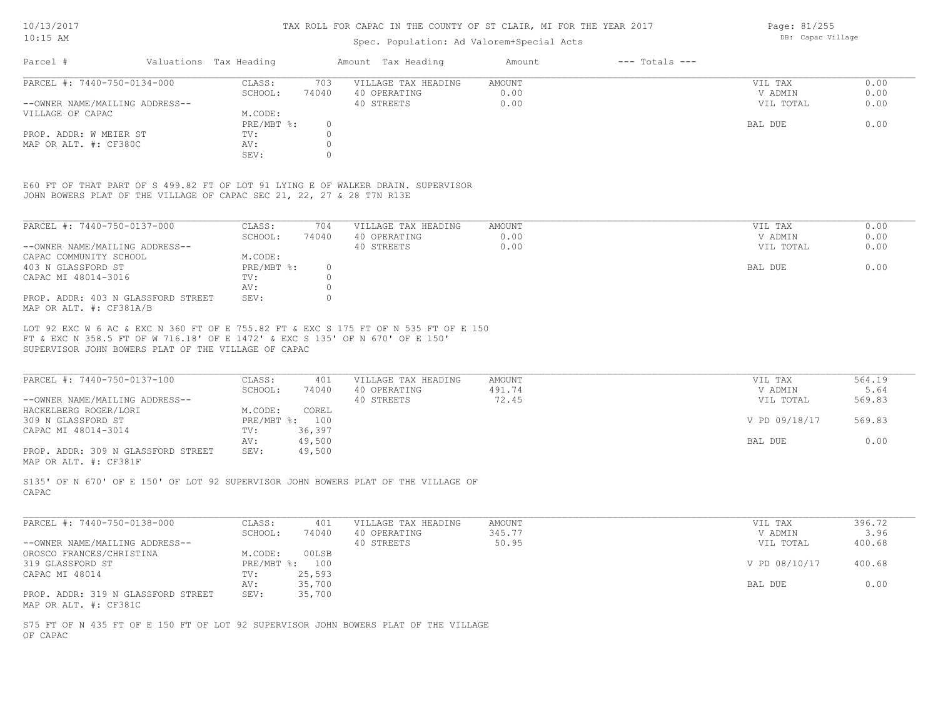## Spec. Population: Ad Valorem+Special Acts

| Parcel #                       | Valuations Tax Heading |       | Amount Tax Heading  | Amount | $---$ Totals $---$ |           |      |
|--------------------------------|------------------------|-------|---------------------|--------|--------------------|-----------|------|
| PARCEL #: 7440-750-0134-000    | CLASS:                 | 703   | VILLAGE TAX HEADING | AMOUNT |                    | VIL TAX   | 0.00 |
|                                | SCHOOL:                | 74040 | 40 OPERATING        | 0.00   |                    | V ADMIN   | 0.00 |
| --OWNER NAME/MAILING ADDRESS-- |                        |       | 40 STREETS          | 0.00   |                    | VIL TOTAL | 0.00 |
| VILLAGE OF CAPAC               | M.CODE:                |       |                     |        |                    |           |      |
|                                | PRE/MBT %:             |       |                     |        |                    | BAL DUE   | 0.00 |
| PROP. ADDR: W MEIER ST         | TV:                    |       |                     |        |                    |           |      |
| MAP OR ALT. #: CF380C          | AV:                    |       |                     |        |                    |           |      |
|                                | SEV:                   |       |                     |        |                    |           |      |

JOHN BOWERS PLAT OF THE VILLAGE OF CAPAC SEC 21, 22, 27 & 28 T7N R13E E60 FT OF THAT PART OF S 499.82 FT OF LOT 91 LYING E OF WALKER DRAIN. SUPERVISOR

| PARCEL #: 7440-750-0137-000                                   | CLASS:     | 704      | VILLAGE TAX HEADING | AMOUNT | VIL TAX   | 0.00 |
|---------------------------------------------------------------|------------|----------|---------------------|--------|-----------|------|
|                                                               | SCHOOL:    | 74040    | 40 OPERATING        | 0.00   | V ADMIN   | 0.00 |
| --OWNER NAME/MAILING ADDRESS--                                |            |          | 40 STREETS          | 0.00   | VIL TOTAL | 0.00 |
| CAPAC COMMUNITY SCHOOL                                        | M.CODE:    |          |                     |        |           |      |
| 403 N GLASSFORD ST                                            | PRE/MBT %: | $\Omega$ |                     |        | BAL DUE   | 0.00 |
| CAPAC MI 48014-3016                                           | TV:        |          |                     |        |           |      |
|                                                               | AV:        |          |                     |        |           |      |
| PROP. ADDR: 403 N GLASSFORD STREET<br>MAP OR ALT. #: CF381A/B | SEV:       |          |                     |        |           |      |

SUPERVISOR JOHN BOWERS PLAT OF THE VILLAGE OF CAPAC FT & EXC N 358.5 FT OF W 716.18' OF E 1472' & EXC S 135' OF N 670' OF E 150' LOT 92 EXC W 6 AC & EXC N 360 FT OF E 755.82 FT & EXC S 175 FT OF N 535 FT OF E 150

| PARCEL #: 7440-750-0137-100        | CLASS:  | 401            | VILLAGE TAX HEADING | AMOUNT | VIL TAX       | 564.19 |
|------------------------------------|---------|----------------|---------------------|--------|---------------|--------|
|                                    | SCHOOL: | 74040          | 40 OPERATING        | 491.74 | V ADMIN       | 5.64   |
| --OWNER NAME/MAILING ADDRESS--     |         |                | 40 STREETS          | 72.45  | VIL TOTAL     | 569.83 |
| HACKELBERG ROGER/LORI              | M.CODE: | COREL          |                     |        |               |        |
| 309 N GLASSFORD ST                 |         | PRE/MBT %: 100 |                     |        | V PD 09/18/17 | 569.83 |
| CAPAC MI 48014-3014                | TV:     | 36,397         |                     |        |               |        |
|                                    | AV:     | 49,500         |                     |        | BAL DUE       | 0.00   |
| PROP. ADDR: 309 N GLASSFORD STREET | SEV:    | 49,500         |                     |        |               |        |
|                                    |         |                |                     |        |               |        |

MAP OR ALT. #: CF381F

CAPAC S135' OF N 670' OF E 150' OF LOT 92 SUPERVISOR JOHN BOWERS PLAT OF THE VILLAGE OF

| PARCEL #: 7440-750-0138-000        | CLASS:     | 401    | VILLAGE TAX HEADING | AMOUNT | VIL TAX       | 396.72 |
|------------------------------------|------------|--------|---------------------|--------|---------------|--------|
|                                    | SCHOOL:    | 74040  | 40 OPERATING        | 345.77 | V ADMIN       | 3.96   |
| --OWNER NAME/MAILING ADDRESS--     |            |        | 40 STREETS          | 50.95  | VIL TOTAL     | 400.68 |
| OROSCO FRANCES/CHRISTINA           | M.CODE:    | 00LSB  |                     |        |               |        |
| 319 GLASSFORD ST                   | PRE/MBT %: | 100    |                     |        | V PD 08/10/17 | 400.68 |
| CAPAC MI 48014                     | TV:        | 25,593 |                     |        |               |        |
|                                    | AV:        | 35,700 |                     |        | BAL DUE       | 0.00   |
| PROP. ADDR: 319 N GLASSFORD STREET | SEV:       | 35,700 |                     |        |               |        |
| MAP OR ALT. #: CF381C              |            |        |                     |        |               |        |

OF CAPAC S75 FT OF N 435 FT OF E 150 FT OF LOT 92 SUPERVISOR JOHN BOWERS PLAT OF THE VILLAGE Page: 81/255 DB: Capac Village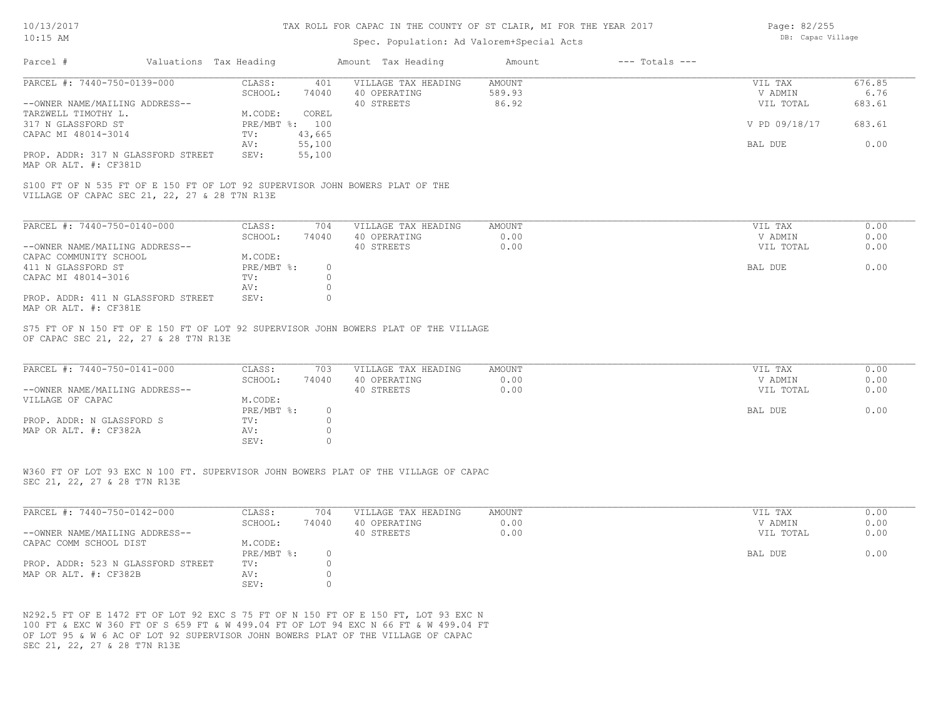## Spec. Population: Ad Valorem+Special Acts

| Page: 82/255      |
|-------------------|
| DB: Capac Village |

| PARCEL #: 7440-750-0139-000                                                                                                   | CLASS:<br>401                                                         | VILLAGE TAX HEADING                               | AMOUNT                 | VIL TAX                                    | 676.85                       |
|-------------------------------------------------------------------------------------------------------------------------------|-----------------------------------------------------------------------|---------------------------------------------------|------------------------|--------------------------------------------|------------------------------|
| --OWNER NAME/MAILING ADDRESS--                                                                                                | SCHOOL:<br>74040                                                      | 40 OPERATING<br>40 STREETS                        | 589.93<br>86.92        | V ADMIN<br>VIL TOTAL                       | 6.76<br>683.61               |
| TARZWELL TIMOTHY L.                                                                                                           | M.CODE:<br>COREL                                                      |                                                   |                        |                                            |                              |
| 317 N GLASSFORD ST                                                                                                            | PRE/MBT %: 100                                                        |                                                   |                        | V PD 09/18/17                              | 683.61                       |
| CAPAC MI 48014-3014                                                                                                           | 43,665<br>$\texttt{TV}$ :                                             |                                                   |                        |                                            |                              |
|                                                                                                                               | 55,100<br>AV:                                                         |                                                   |                        | BAL DUE                                    | 0.00                         |
| PROP. ADDR: 317 N GLASSFORD STREET                                                                                            | SEV:<br>55,100                                                        |                                                   |                        |                                            |                              |
| MAP OR ALT. #: CF381D                                                                                                         |                                                                       |                                                   |                        |                                            |                              |
| S100 FT OF N 535 FT OF E 150 FT OF LOT 92 SUPERVISOR JOHN BOWERS PLAT OF THE<br>VILLAGE OF CAPAC SEC 21, 22, 27 & 28 T7N R13E |                                                                       |                                                   |                        |                                            |                              |
|                                                                                                                               |                                                                       |                                                   |                        |                                            |                              |
| PARCEL #: 7440-750-0140-000                                                                                                   | CLASS:<br>704                                                         | VILLAGE TAX HEADING                               | AMOUNT                 | VIL TAX                                    | 0.00                         |
|                                                                                                                               | SCHOOL:<br>74040                                                      | 40 OPERATING                                      | 0.00                   | V ADMIN                                    | 0.00                         |
| --OWNER NAME/MAILING ADDRESS--                                                                                                |                                                                       | 40 STREETS                                        | 0.00                   | VIL TOTAL                                  | 0.00                         |
| CAPAC COMMUNITY SCHOOL                                                                                                        | M.CODE:                                                               |                                                   |                        |                                            |                              |
| 411 N GLASSFORD ST                                                                                                            | $PRE/MBT$ %:<br>$\Omega$                                              |                                                   |                        | BAL DUE                                    | 0.00                         |
| CAPAC MI 48014-3016                                                                                                           | $\Omega$<br>TV:                                                       |                                                   |                        |                                            |                              |
|                                                                                                                               | $\Omega$<br>AV:                                                       |                                                   |                        |                                            |                              |
| PROP. ADDR: 411 N GLASSFORD STREET<br>MAP OR ALT. #: CF381E                                                                   | $\Omega$<br>SEV:                                                      |                                                   |                        |                                            |                              |
|                                                                                                                               |                                                                       |                                                   |                        |                                            |                              |
| PARCEL #: 7440-750-0141-000<br>--OWNER NAME/MAILING ADDRESS--<br>VILLAGE OF CAPAC                                             | CLASS:<br>703<br>SCHOOL:<br>74040<br>M.CODE:<br>PRE/MBT %:<br>$\circ$ | VILLAGE TAX HEADING<br>40 OPERATING<br>40 STREETS | AMOUNT<br>0.00<br>0.00 | VIL TAX<br>V ADMIN<br>VIL TOTAL<br>BAL DUE | 0.00<br>0.00<br>0.00<br>0.00 |
| PROP. ADDR: N GLASSFORD S                                                                                                     | $\circ$<br>TV:<br>AV:<br>$\circ$                                      |                                                   |                        |                                            |                              |
| MAP OR ALT. #: CF382A                                                                                                         | $\Omega$<br>SEV:                                                      |                                                   |                        |                                            |                              |
| W360 FT OF LOT 93 EXC N 100 FT. SUPERVISOR JOHN BOWERS PLAT OF THE VILLAGE OF CAPAC<br>SEC 21, 22, 27 & 28 T7N R13E           |                                                                       |                                                   |                        |                                            |                              |
| PARCEL #: 7440-750-0142-000                                                                                                   | CLASS:<br>704                                                         | VILLAGE TAX HEADING                               | AMOUNT                 | VIL TAX                                    | 0.00                         |
|                                                                                                                               | SCHOOL:<br>74040                                                      | 40 OPERATING                                      | 0.00                   | V ADMIN                                    | 0.00                         |
| --OWNER NAME/MAILING ADDRESS--                                                                                                |                                                                       | 40 STREETS                                        | 0.00                   | VIL TOTAL                                  | 0.00                         |
| CAPAC COMM SCHOOL DIST                                                                                                        | M.CODE:                                                               |                                                   |                        |                                            |                              |
|                                                                                                                               | $PRE/MBT$ %:<br>$\circ$                                               |                                                   |                        | BAL DUE                                    | 0.00                         |
| PROP. ADDR: 523 N GLASSFORD STREET<br>MAP OR ALT. #: CF382B                                                                   | $\Omega$<br>TV:<br>$\circ$<br>AV:                                     |                                                   |                        |                                            |                              |

SEC 21, 22, 27 & 28 T7N R13E OF LOT 95 & W 6 AC OF LOT 92 SUPERVISOR JOHN BOWERS PLAT OF THE VILLAGE OF CAPAC 100 FT & EXC W 360 FT OF S 659 FT & W 499.04 FT OF LOT 94 EXC N 66 FT & W 499.04 FT N292.5 FT OF E 1472 FT OF LOT 92 EXC S 75 FT OF N 150 FT OF E 150 FT, LOT 93 EXC N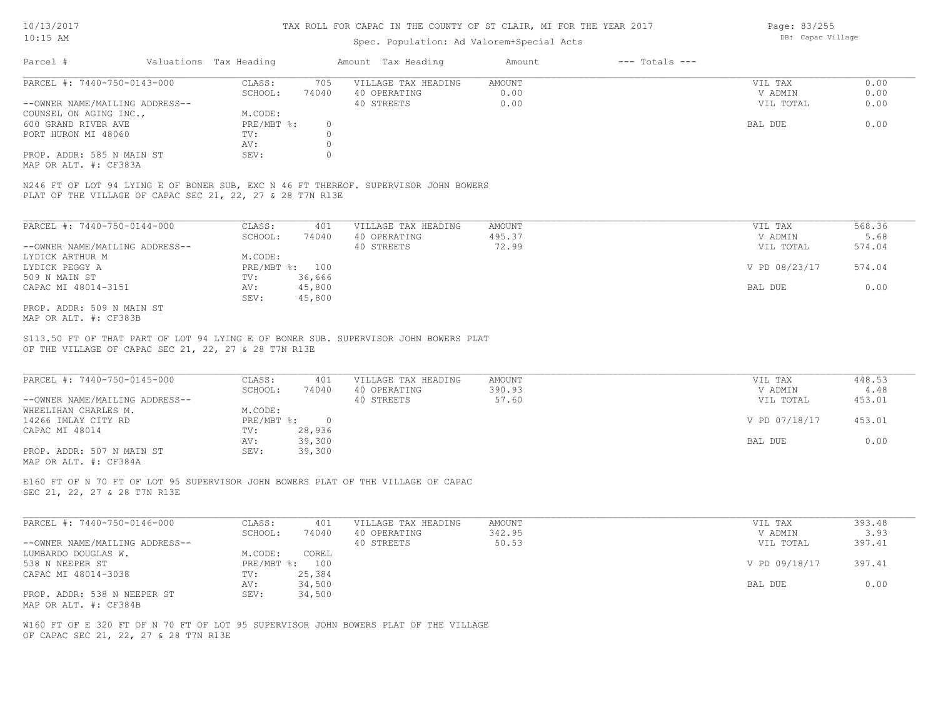## Spec. Population: Ad Valorem+Special Acts

Page: 83/255 DB: Capac Village

| Parcel #                       | Valuations Tax Heading |          | Amount Tax Heading  | Amount | $---$ Totals $---$ |           |      |
|--------------------------------|------------------------|----------|---------------------|--------|--------------------|-----------|------|
| PARCEL #: 7440-750-0143-000    | CLASS:                 | 705      | VILLAGE TAX HEADING | AMOUNT |                    | VIL TAX   | 0.00 |
|                                | SCHOOL:                | 74040    | 40 OPERATING        | 0.00   |                    | V ADMIN   | 0.00 |
| --OWNER NAME/MAILING ADDRESS-- |                        |          | 40 STREETS          | 0.00   |                    | VIL TOTAL | 0.00 |
| COUNSEL ON AGING INC.,         | M.CODE:                |          |                     |        |                    |           |      |
| 600 GRAND RIVER AVE            | PRE/MBT %:             | $^{(1)}$ |                     |        |                    | BAL DUE   | 0.00 |
| PORT HURON MI 48060            | TV:                    |          |                     |        |                    |           |      |
|                                | AV:                    |          |                     |        |                    |           |      |
| PROP. ADDR: 585 N MAIN ST      | SEV:                   |          |                     |        |                    |           |      |
|                                |                        |          |                     |        |                    |           |      |

MAP OR ALT. #: CF383A

PLAT OF THE VILLAGE OF CAPAC SEC 21, 22, 27 & 28 T7N R13E N246 FT OF LOT 94 LYING E OF BONER SUB, EXC N 46 FT THEREOF. SUPERVISOR JOHN BOWERS

| PARCEL #: 7440-750-0144-000    | CLASS:       | 401    | VILLAGE TAX HEADING | AMOUNT | VIL TAX       | 568.36 |
|--------------------------------|--------------|--------|---------------------|--------|---------------|--------|
|                                | SCHOOL:      | 74040  | 40 OPERATING        | 495.37 | V ADMIN       | 5.68   |
| --OWNER NAME/MAILING ADDRESS-- |              |        | 40 STREETS          | 72.99  | VIL TOTAL     | 574.04 |
| LYDICK ARTHUR M                | M.CODE:      |        |                     |        |               |        |
| LYDICK PEGGY A                 | $PRE/MBT$ %: | 100    |                     |        | V PD 08/23/17 | 574.04 |
| 509 N MAIN ST                  | TV:          | 36,666 |                     |        |               |        |
| CAPAC MI 48014-3151            | AV:          | 45,800 |                     |        | BAL DUE       | 0.00   |
|                                | SEV:         | 45,800 |                     |        |               |        |
| PROP. ADDR: 509 N MAIN ST      |              |        |                     |        |               |        |

MAP OR ALT. #: CF383B

OF THE VILLAGE OF CAPAC SEC 21, 22, 27 & 28 T7N R13E S113.50 FT OF THAT PART OF LOT 94 LYING E OF BONER SUB. SUPERVISOR JOHN BOWERS PLAT

| PARCEL #: 7440-750-0145-000    | CLASS:     | 401    | VILLAGE TAX HEADING | AMOUNT | VIL TAX       | 448.53 |
|--------------------------------|------------|--------|---------------------|--------|---------------|--------|
|                                | SCHOOL:    | 74040  | 40 OPERATING        | 390.93 | V ADMIN       | 4.48   |
| --OWNER NAME/MAILING ADDRESS-- |            |        | 40 STREETS          | 57.60  | VIL TOTAL     | 453.01 |
| WHEELIHAN CHARLES M.           | M.CODE:    |        |                     |        |               |        |
| 14266 IMLAY CITY RD            | PRE/MBT %: |        |                     |        | V PD 07/18/17 | 453.01 |
| CAPAC MI 48014                 | TV:        | 28,936 |                     |        |               |        |
|                                | AV:        | 39,300 |                     |        | BAL DUE       | 0.00   |
| PROP. ADDR: 507 N MAIN ST      | SEV:       | 39,300 |                     |        |               |        |
| MAP OR ALT. #: CF384A          |            |        |                     |        |               |        |

 $\mathcal{L}_\mathcal{L} = \mathcal{L}_\mathcal{L} = \mathcal{L}_\mathcal{L} = \mathcal{L}_\mathcal{L} = \mathcal{L}_\mathcal{L} = \mathcal{L}_\mathcal{L} = \mathcal{L}_\mathcal{L} = \mathcal{L}_\mathcal{L} = \mathcal{L}_\mathcal{L} = \mathcal{L}_\mathcal{L} = \mathcal{L}_\mathcal{L} = \mathcal{L}_\mathcal{L} = \mathcal{L}_\mathcal{L} = \mathcal{L}_\mathcal{L} = \mathcal{L}_\mathcal{L} = \mathcal{L}_\mathcal{L} = \mathcal{L}_\mathcal{L}$ 

SEC 21, 22, 27 & 28 T7N R13E E160 FT OF N 70 FT OF LOT 95 SUPERVISOR JOHN BOWERS PLAT OF THE VILLAGE OF CAPAC

| PARCEL #: 7440-750-0146-000    | CLASS:  | 401            | VILLAGE TAX HEADING | AMOUNT | VIL TAX       | 393.48 |
|--------------------------------|---------|----------------|---------------------|--------|---------------|--------|
|                                | SCHOOL: | 74040          | 40 OPERATING        | 342.95 | V ADMIN       | 3.93   |
| --OWNER NAME/MAILING ADDRESS-- |         |                | 40 STREETS          | 50.53  | VIL TOTAL     | 397.41 |
| LUMBARDO DOUGLAS W.            | M.CODE: | COREL          |                     |        |               |        |
| 538 N NEEPER ST                |         | PRE/MBT %: 100 |                     |        | V PD 09/18/17 | 397.41 |
| CAPAC MI 48014-3038            | TV:     | 25,384         |                     |        |               |        |
|                                | AV:     | 34,500         |                     |        | BAL DUE       | 0.00   |
| PROP. ADDR: 538 N NEEPER ST    | SEV:    | 34,500         |                     |        |               |        |
| MAP OR ALT. #: CF384B          |         |                |                     |        |               |        |

OF CAPAC SEC 21, 22, 27 & 28 T7N R13E W160 FT OF E 320 FT OF N 70 FT OF LOT 95 SUPERVISOR JOHN BOWERS PLAT OF THE VILLAGE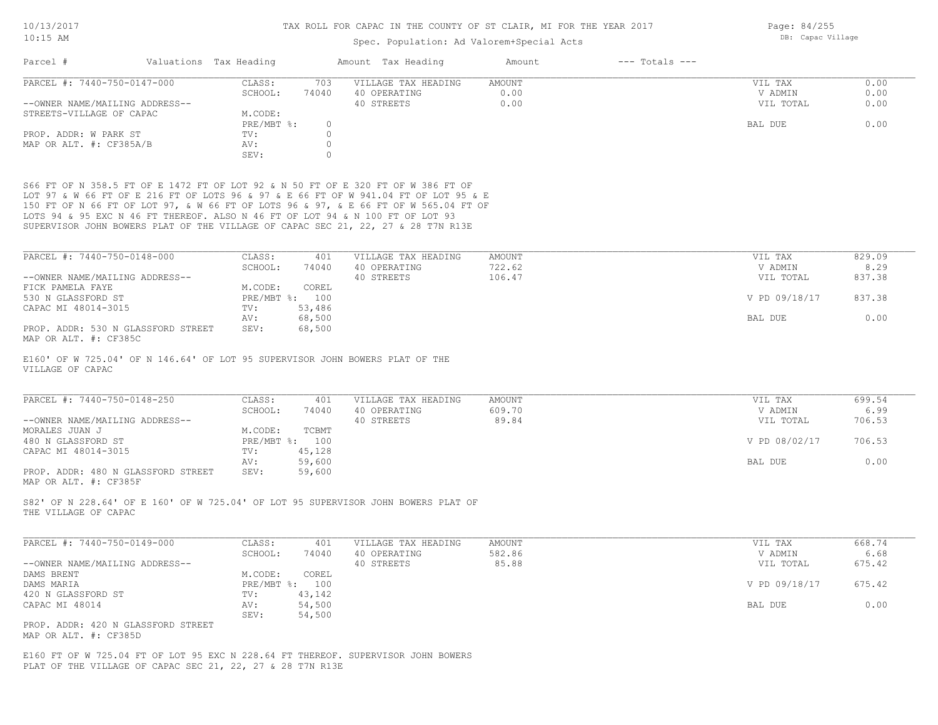## Spec. Population: Ad Valorem+Special Acts

| PARCEL #: 7440-750-0147-000    | CLASS:  | 703      |                     |        |           |      |
|--------------------------------|---------|----------|---------------------|--------|-----------|------|
|                                |         |          | VILLAGE TAX HEADING | AMOUNT | VIL TAX   | 0.00 |
|                                | SCHOOL: | 74040    | 40 OPERATING        | 0.00   | V ADMIN   | 0.00 |
| --OWNER NAME/MAILING ADDRESS-- |         |          | 40 STREETS          | 0.00   | VIL TOTAL | 0.00 |
| STREETS-VILLAGE OF CAPAC       | M.CODE: |          |                     |        |           |      |
|                                |         | $^{(1)}$ |                     |        | BAL DUE   | 0.00 |
|                                | TV:     |          |                     |        |           |      |
|                                | AV:     |          |                     |        |           |      |
|                                | SEV:    |          |                     |        |           |      |
|                                |         |          | PRE/MBT %:          |        |           |      |

SUPERVISOR JOHN BOWERS PLAT OF THE VILLAGE OF CAPAC SEC 21, 22, 27 & 28 T7N R13E LOTS 94 & 95 EXC N 46 FT THEREOF. ALSO N 46 FT OF LOT 94 & N 100 FT OF LOT 93 150 FT OF N 66 FT OF LOT 97, & W 66 FT OF LOTS 96 & 97, & E 66 FT OF W 565.04 FT OF LOT 97 & W 66 FT OF E 216 FT OF LOTS 96 & 97 & E 66 FT OF W 941.04 FT OF LOT 95 & E S66 FT OF N 358.5 FT OF E 1472 FT OF LOT 92 & N 50 FT OF E 320 FT OF W 386 FT OF

| PARCEL #: 7440-750-0148-000        | CLASS:     | 401    | VILLAGE TAX HEADING | AMOUNT | VIL TAX       | 829.09 |
|------------------------------------|------------|--------|---------------------|--------|---------------|--------|
|                                    | SCHOOL:    | 74040  | 40 OPERATING        | 722.62 | V ADMIN       | 8.29   |
| --OWNER NAME/MAILING ADDRESS--     |            |        | 40 STREETS          | 106.47 | VIL TOTAL     | 837.38 |
| FICK PAMELA FAYE                   | M.CODE:    | COREL  |                     |        |               |        |
| 530 N GLASSFORD ST                 | PRE/MBT %: | 100    |                     |        | V PD 09/18/17 | 837.38 |
| CAPAC MI 48014-3015                | TV:        | 53,486 |                     |        |               |        |
|                                    | AV:        | 68,500 |                     |        | BAL DUE       | 0.00   |
| PROP. ADDR: 530 N GLASSFORD STREET | SEV:       | 68,500 |                     |        |               |        |

MAP OR ALT. #: CF385C

VILLAGE OF CAPAC E160' OF W 725.04' OF N 146.64' OF LOT 95 SUPERVISOR JOHN BOWERS PLAT OF THE

| PARCEL #: 7440-750-0148-250        | CLASS:  | 401            | VILLAGE TAX HEADING | AMOUNT | VIL TAX       | 699.54 |
|------------------------------------|---------|----------------|---------------------|--------|---------------|--------|
|                                    | SCHOOL: | 74040          | 40 OPERATING        | 609.70 | V ADMIN       | 6.99   |
| --OWNER NAME/MAILING ADDRESS--     |         |                | 40 STREETS          | 89.84  | VIL TOTAL     | 706.53 |
| MORALES JUAN J                     | M.CODE: | TCBMT          |                     |        |               |        |
| 480 N GLASSFORD ST                 |         | PRE/MBT %: 100 |                     |        | V PD 08/02/17 | 706.53 |
| CAPAC MI 48014-3015                | TV:     | 45,128         |                     |        |               |        |
|                                    | AV:     | 59,600         |                     |        | BAL DUE       | 0.00   |
| PROP. ADDR: 480 N GLASSFORD STREET | SEV:    | 59,600         |                     |        |               |        |
| MAP OR ALT. #: CF385F              |         |                |                     |        |               |        |

THE VILLAGE OF CAPAC S82' OF N 228.64' OF E 160' OF W 725.04' OF LOT 95 SUPERVISOR JOHN BOWERS PLAT OF

| PARCEL #: 7440-750-0149-000        | CLASS:     | 401    | VILLAGE TAX HEADING | AMOUNT | VIL TAX       | 668.74 |
|------------------------------------|------------|--------|---------------------|--------|---------------|--------|
|                                    | SCHOOL:    | 74040  | 40 OPERATING        | 582.86 | V ADMIN       | 6.68   |
| --OWNER NAME/MAILING ADDRESS--     |            |        | 40 STREETS          | 85.88  | VIL TOTAL     | 675.42 |
| DAMS BRENT                         | M.CODE:    | COREL  |                     |        |               |        |
| DAMS MARIA                         | PRE/MBT %: | 100    |                     |        | V PD 09/18/17 | 675.42 |
| 420 N GLASSFORD ST                 | TV:        | 43,142 |                     |        |               |        |
| CAPAC MI 48014                     | AV:        | 54,500 |                     |        | BAL DUE       | 0.00   |
|                                    | SEV:       | 54,500 |                     |        |               |        |
| PROP. ADDR: 420 N GLASSFORD STREET |            |        |                     |        |               |        |

MAP OR ALT. #: CF385D

PLAT OF THE VILLAGE OF CAPAC SEC 21, 22, 27 & 28 T7N R13E E160 FT OF W 725.04 FT OF LOT 95 EXC N 228.64 FT THEREOF. SUPERVISOR JOHN BOWERS Page: 84/255 DB: Capac Village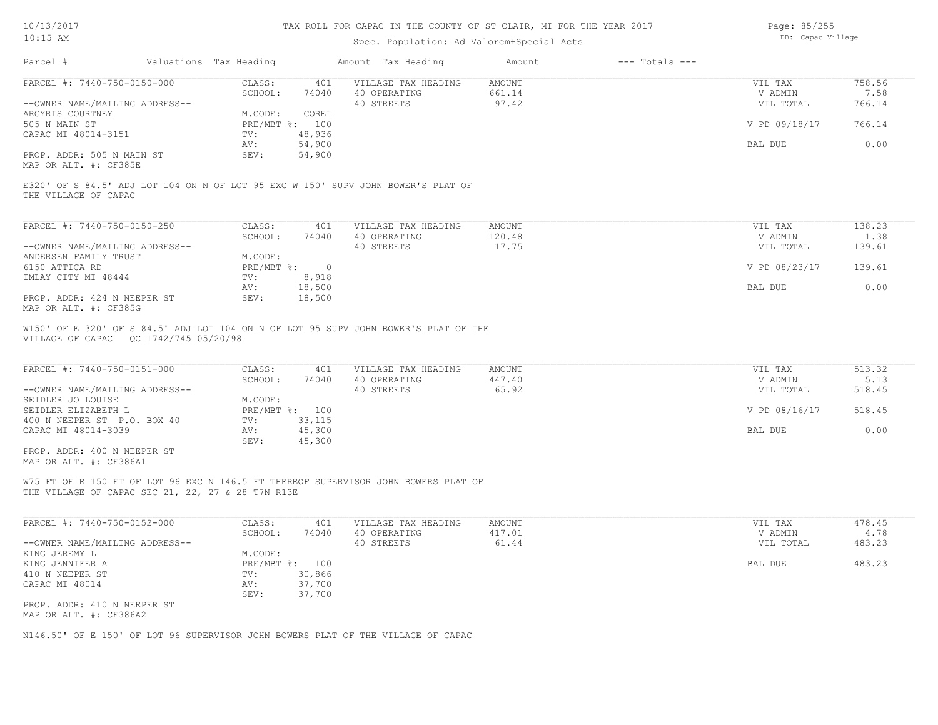# Spec. Population: Ad Valorem+Special Acts

Page: 85/255 DB: Capac Village

| Parcel #                                                      | Valuations Tax Heading |                            | Amount Tax Heading                                                                                                         | Amount                           | $---$ Totals $---$ |                                 |                          |
|---------------------------------------------------------------|------------------------|----------------------------|----------------------------------------------------------------------------------------------------------------------------|----------------------------------|--------------------|---------------------------------|--------------------------|
| PARCEL #: 7440-750-0150-000<br>--OWNER NAME/MAILING ADDRESS-- | CLASS:<br>SCHOOL:      | 401<br>74040               | VILLAGE TAX HEADING<br>40 OPERATING<br>40 STREETS                                                                          | <b>AMOUNT</b><br>661.14<br>97.42 |                    | VIL TAX<br>V ADMIN<br>VIL TOTAL | 758.56<br>7.58<br>766.14 |
| ARGYRIS COURTNEY<br>505 N MAIN ST                             | M.CODE:                | COREL<br>PRE/MBT %: 100    |                                                                                                                            |                                  |                    | V PD 09/18/17                   | 766.14                   |
| CAPAC MI 48014-3151                                           | TV:<br>AV:             | 48,936<br>54,900           |                                                                                                                            |                                  |                    | BAL DUE                         | 0.00                     |
| PROP. ADDR: 505 N MAIN ST<br>MAP OR ALT. #: CF385E            | SEV:                   | 54,900                     |                                                                                                                            |                                  |                    |                                 |                          |
| THE VILLAGE OF CAPAC                                          |                        |                            | E320' OF S 84.5' ADJ LOT 104 ON N OF LOT 95 EXC W 150' SUPV JOHN BOWER'S PLAT OF                                           |                                  |                    |                                 |                          |
| PARCEL #: 7440-750-0150-250                                   | CLASS:<br>SCHOOL:      | 401<br>74040               | VILLAGE TAX HEADING<br>40 OPERATING                                                                                        | AMOUNT<br>120.48                 |                    | VIL TAX<br>V ADMIN              | 138.23<br>1.38           |
| --OWNER NAME/MAILING ADDRESS--                                |                        |                            | 40 STREETS                                                                                                                 | 17.75                            |                    | VIL TOTAL                       | 139.61                   |
| ANDERSEN FAMILY TRUST<br>6150 ATTICA RD                       | M.CODE:                | $PRE/MBT$ $\div$ 0         |                                                                                                                            |                                  |                    | V PD 08/23/17                   | 139.61                   |
| IMLAY CITY MI 48444                                           | TV:<br>AV:             | 8,918<br>18,500            |                                                                                                                            |                                  |                    | BAL DUE                         | 0.00                     |
| PROP. ADDR: 424 N NEEPER ST<br>MAP OR ALT. #: CF385G          | SEV:                   | 18,500                     |                                                                                                                            |                                  |                    |                                 |                          |
| PARCEL #: 7440-750-0151-000                                   | CLASS:<br>SCHOOL:      | 401<br>74040               | W150' OF E 320' OF S 84.5' ADJ LOT 104 ON N OF LOT 95 SUPV JOHN BOWER'S PLAT OF THE<br>VILLAGE TAX HEADING<br>40 OPERATING | <b>AMOUNT</b><br>447.40          |                    | VIL TAX<br>V ADMIN              | 513.32<br>5.13           |
| --OWNER NAME/MAILING ADDRESS--<br>SEIDLER JO LOUISE           | M.CODE:                |                            | 40 STREETS                                                                                                                 | 65.92                            |                    | VIL TOTAL                       | 518.45                   |
| SEIDLER ELIZABETH L<br>400 N NEEPER ST P.O. BOX 40            | TV:                    | PRE/MBT %: 100<br>33,115   |                                                                                                                            |                                  |                    | V PD 08/16/17                   | 518.45                   |
| CAPAC MI 48014-3039                                           | AV:<br>SEV:            | 45,300<br>45,300           |                                                                                                                            |                                  |                    | BAL DUE                         | 0.00                     |
| PROP. ADDR: 400 N NEEPER ST<br>MAP OR ALT. #: CF386A1         |                        |                            |                                                                                                                            |                                  |                    |                                 |                          |
| THE VILLAGE OF CAPAC SEC 21, 22, 27 & 28 T7N R13E             |                        |                            | W75 FT OF E 150 FT OF LOT 96 EXC N 146.5 FT THEREOF SUPERVISOR JOHN BOWERS PLAT OF                                         |                                  |                    |                                 |                          |
| PARCEL #: 7440-750-0152-000                                   | CLASS:<br>SCHOOL:      | 401<br>74040               | VILLAGE TAX HEADING<br>40 OPERATING                                                                                        | <b>AMOUNT</b><br>417.01          |                    | VIL TAX<br>V ADMIN              | 478.45<br>4.78           |
| --OWNER NAME/MAILING ADDRESS--                                |                        |                            | 40 STREETS                                                                                                                 | 61.44                            |                    | VIL TOTAL                       | 483.23                   |
| KING JEREMY L<br>KING JENNIFER A                              | M.CODE:                | PRE/MBT %: 100             |                                                                                                                            |                                  |                    | BAL DUE                         | 483.23                   |
| 410 N NEEPER ST<br>CAPAC MI 48014                             | TV:<br>AV:<br>SEV:     | 30,866<br>37,700<br>37,700 |                                                                                                                            |                                  |                    |                                 |                          |
| PROP. ADDR: 410 N NEEPER ST<br>MAP OR ALT. #: CF386A2         |                        |                            |                                                                                                                            |                                  |                    |                                 |                          |
|                                                               |                        |                            | N146.50' OF E 150' OF LOT 96 SUPERVISOR JOHN BOWERS PLAT OF THE VILLAGE OF CAPAC                                           |                                  |                    |                                 |                          |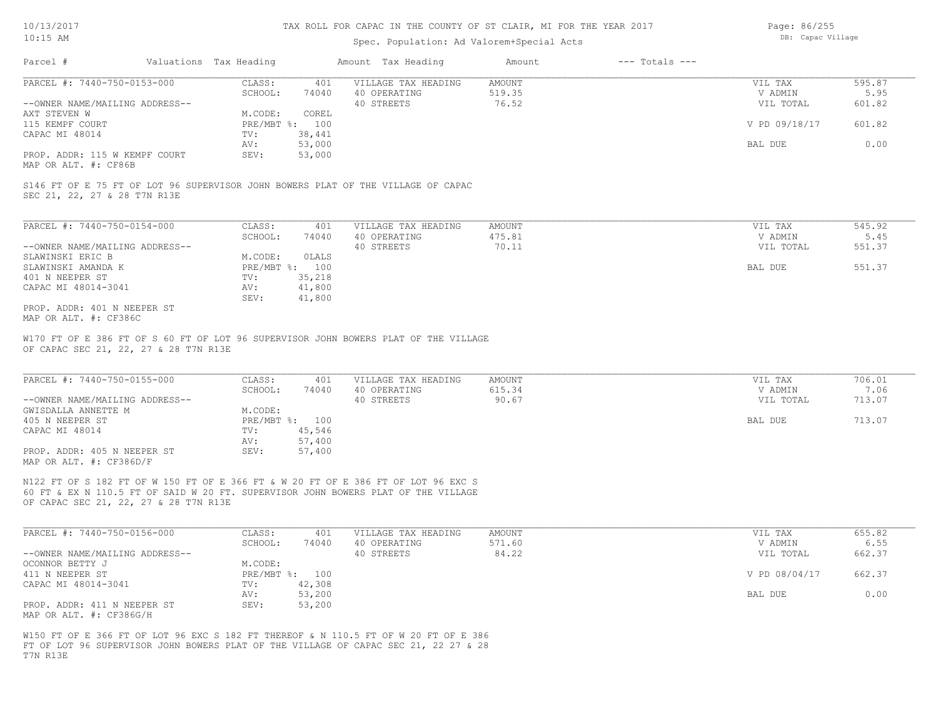## Spec. Population: Ad Valorem+Special Acts

Page: 86/255 DB: Capac Village

| Parcel #                       | Valuations Tax Heading |                | Amount Tax Heading  | Amount | $---$ Totals $---$ |               |        |
|--------------------------------|------------------------|----------------|---------------------|--------|--------------------|---------------|--------|
| PARCEL #: 7440-750-0153-000    | CLASS:                 | 401            | VILLAGE TAX HEADING | AMOUNT |                    | VIL TAX       | 595.87 |
|                                | SCHOOL:                | 74040          | 40 OPERATING        | 519.35 |                    | V ADMIN       | 5.95   |
| --OWNER NAME/MAILING ADDRESS-- |                        |                | 40 STREETS          | 76.52  |                    | VIL TOTAL     | 601.82 |
| AXT STEVEN W                   | M.CODE:                | COREL          |                     |        |                    |               |        |
| 115 KEMPF COURT                |                        | PRE/MBT %: 100 |                     |        |                    | V PD 09/18/17 | 601.82 |
| CAPAC MI 48014                 | TV:                    | 38,441         |                     |        |                    |               |        |
|                                | AV:                    | 53,000         |                     |        |                    | BAL DUE       | 0.00   |
| PROP. ADDR: 115 W KEMPF COURT  | SEV:                   | 53,000         |                     |        |                    |               |        |
| MAP OR ALT. #: CF86B           |                        |                |                     |        |                    |               |        |

SEC 21, 22, 27 & 28 T7N R13E S146 FT OF E 75 FT OF LOT 96 SUPERVISOR JOHN BOWERS PLAT OF THE VILLAGE OF CAPAC

 SEV: 41,800 CAPAC MI 48014-3041 AV: 41,800 401 N NEEPER ST TV: 35,218 SLAWINSKI AMANDA K SALAM PRE/MBT %: 100 SALAM PRE/MBT %: 100 BAL DUE 551.37 SLAWINSKI ERIC B M.CODE: 0LALS --OWNER NAME/MAILING ADDRESS-- 40 STREETS 70.11 VIL TOTAL 551.37 SCHOOL: 74040 40 OPERATING 475.81 V ADMIN 5.45 PARCEL #: 7440-750-0154-000 CLASS: 401 VILLAGE TAX HEADING AMOUNT NUMBER ON THE TAX 545.92<br>545.92 SCHOOL: 74040 40 OPERATING 475.81 VADMIN 5.45

MAP OR ALT. #: CF386C PROP. ADDR: 401 N NEEPER ST

OF CAPAC SEC 21, 22, 27 & 28 T7N R13E W170 FT OF E 386 FT OF S 60 FT OF LOT 96 SUPERVISOR JOHN BOWERS PLAT OF THE VILLAGE

| PARCEL #: 7440-750-0155-000    | CLASS:     | 401    | VILLAGE TAX HEADING | AMOUNT | VIL TAX   | 706.01 |
|--------------------------------|------------|--------|---------------------|--------|-----------|--------|
|                                | SCHOOL:    | 74040  | 40 OPERATING        | 615.34 | V ADMIN   | 7.06   |
| --OWNER NAME/MAILING ADDRESS-- |            |        | 40 STREETS          | 90.67  | VIL TOTAL | 713.07 |
| GWISDALLA ANNETTE M            | M.CODE:    |        |                     |        |           |        |
| 405 N NEEPER ST                | PRE/MBT %: | 100    |                     |        | BAL DUE   | 713.07 |
| CAPAC MI 48014                 | TV:        | 45,546 |                     |        |           |        |
|                                | AV:        | 57,400 |                     |        |           |        |
| PROP. ADDR: 405 N NEEPER ST    | SEV:       | 57,400 |                     |        |           |        |
| MAP OR ALT. #: CF386D/F        |            |        |                     |        |           |        |

 $\mathcal{L}_\mathcal{L} = \mathcal{L}_\mathcal{L} = \mathcal{L}_\mathcal{L} = \mathcal{L}_\mathcal{L} = \mathcal{L}_\mathcal{L} = \mathcal{L}_\mathcal{L} = \mathcal{L}_\mathcal{L} = \mathcal{L}_\mathcal{L} = \mathcal{L}_\mathcal{L} = \mathcal{L}_\mathcal{L} = \mathcal{L}_\mathcal{L} = \mathcal{L}_\mathcal{L} = \mathcal{L}_\mathcal{L} = \mathcal{L}_\mathcal{L} = \mathcal{L}_\mathcal{L} = \mathcal{L}_\mathcal{L} = \mathcal{L}_\mathcal{L}$ 

OF CAPAC SEC 21, 22, 27 & 28 T7N R13E 60 FT & EX N 110.5 FT OF SAID W 20 FT. SUPERVISOR JOHN BOWERS PLAT OF THE VILLAGE N122 FT OF S 182 FT OF W 150 FT OF E 366 FT & W 20 FT OF E 386 FT OF LOT 96 EXC S

| PARCEL #: 7440-750-0156-000    | CLASS:  | 401            | VILLAGE TAX HEADING | AMOUNT | VIL TAX       | 655.82 |
|--------------------------------|---------|----------------|---------------------|--------|---------------|--------|
|                                | SCHOOL: | 74040          | 40 OPERATING        | 571.60 | V ADMIN       | 6.55   |
| --OWNER NAME/MAILING ADDRESS-- |         |                | 40 STREETS          | 84.22  | VIL TOTAL     | 662.37 |
| OCONNOR BETTY J                | M.CODE: |                |                     |        |               |        |
| 411 N NEEPER ST                |         | PRE/MBT %: 100 |                     |        | V PD 08/04/17 | 662.37 |
| CAPAC MI 48014-3041            | TV:     | 42,308         |                     |        |               |        |
|                                | AV:     | 53,200         |                     |        | BAL DUE       | 0.00   |
| PROP. ADDR: 411 N NEEPER ST    | SEV:    | 53,200         |                     |        |               |        |
| MAP OR ALT. #: CF386G/H        |         |                |                     |        |               |        |

T7N R13E FT OF LOT 96 SUPERVISOR JOHN BOWERS PLAT OF THE VILLAGE OF CAPAC SEC 21, 22 27 & 28 W150 FT OF E 366 FT OF LOT 96 EXC S 182 FT THEREOF & N 110.5 FT OF W 20 FT OF E 386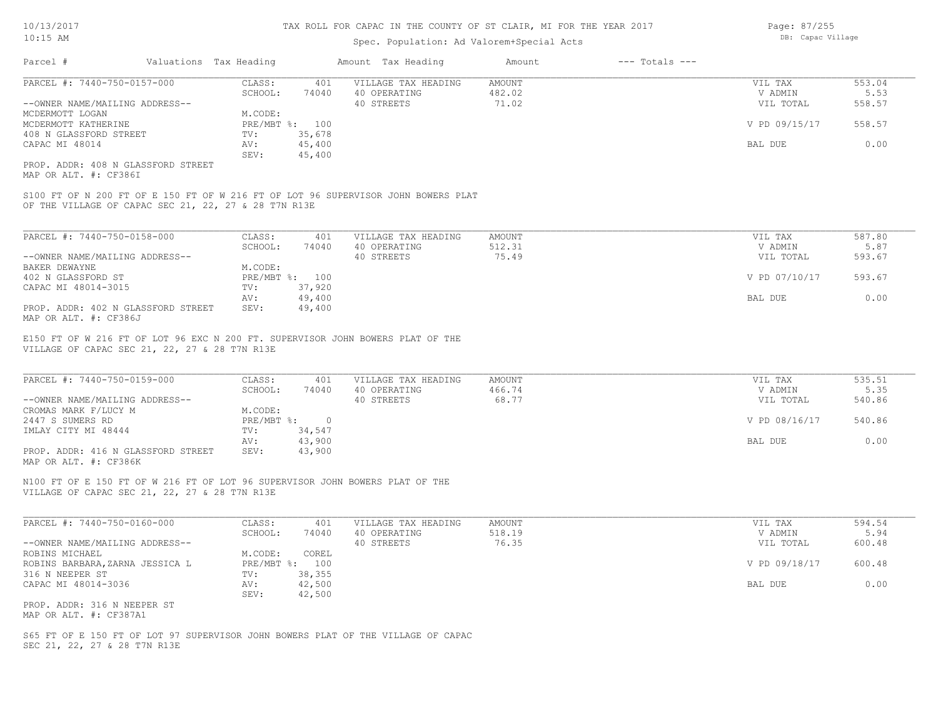## Spec. Population: Ad Valorem+Special Acts

| Parcel #                       | Valuations Tax Heading |        | Amount Tax Heading  | Amount | $---$ Totals $---$ |               |        |
|--------------------------------|------------------------|--------|---------------------|--------|--------------------|---------------|--------|
| PARCEL #: 7440-750-0157-000    | CLASS:                 | 401    | VILLAGE TAX HEADING | AMOUNT |                    | VIL TAX       | 553.04 |
|                                | SCHOOL:                | 74040  | 40 OPERATING        | 482.02 |                    | V ADMIN       | 5.53   |
| --OWNER NAME/MAILING ADDRESS-- |                        |        | 40 STREETS          | 71.02  |                    | VIL TOTAL     | 558.57 |
| MCDERMOTT LOGAN                | M.CODE:                |        |                     |        |                    |               |        |
| MCDERMOTT KATHERINE            | PRE/MBT %: 100         |        |                     |        |                    | V PD 09/15/17 | 558.57 |
| 408 N GLASSFORD STREET         | TV:                    | 35,678 |                     |        |                    |               |        |
| CAPAC MI 48014                 | AV:                    | 45,400 |                     |        |                    | BAL DUE       | 0.00   |
|                                | SEV:                   | 45,400 |                     |        |                    |               |        |
|                                |                        |        |                     |        |                    |               |        |

MAP OR ALT. #: CF386I PROP. ADDR: 408 N GLASSFORD STREET

OF THE VILLAGE OF CAPAC SEC 21, 22, 27 & 28 T7N R13E S100 FT OF N 200 FT OF E 150 FT OF W 216 FT OF LOT 96 SUPERVISOR JOHN BOWERS PLAT

| PARCEL #: 7440-750-0158-000        | CLASS:  | 401            | VILLAGE TAX HEADING | AMOUNT | VIL TAX       | 587.80 |
|------------------------------------|---------|----------------|---------------------|--------|---------------|--------|
|                                    | SCHOOL: | 74040          | 40 OPERATING        | 512.31 | V ADMIN       | 5.87   |
| --OWNER NAME/MAILING ADDRESS--     |         |                | 40 STREETS          | 75.49  | VIL TOTAL     | 593.67 |
| BAKER DEWAYNE                      | M.CODE: |                |                     |        |               |        |
| 402 N GLASSFORD ST                 |         | PRE/MBT %: 100 |                     |        | V PD 07/10/17 | 593.67 |
| CAPAC MI 48014-3015                | TV:     | 37,920         |                     |        |               |        |
|                                    | AV:     | 49,400         |                     |        | BAL DUE       | 0.00   |
| PROP. ADDR: 402 N GLASSFORD STREET | SEV:    | 49,400         |                     |        |               |        |
| MAP OR ALT. #: CF386J              |         |                |                     |        |               |        |

VILLAGE OF CAPAC SEC 21, 22, 27 & 28 T7N R13E E150 FT OF W 216 FT OF LOT 96 EXC N 200 FT. SUPERVISOR JOHN BOWERS PLAT OF THE

| PARCEL #: 7440-750-0159-000        | CLASS:       | 401    | VILLAGE TAX HEADING | AMOUNT | VIL TAX       | 535.51 |
|------------------------------------|--------------|--------|---------------------|--------|---------------|--------|
|                                    | SCHOOL:      | 74040  | 40 OPERATING        | 466.74 | V ADMIN       | 5.35   |
| --OWNER NAME/MAILING ADDRESS--     |              |        | 40 STREETS          | 68.77  | VIL TOTAL     | 540.86 |
| CROMAS MARK F/LUCY M               | M.CODE:      |        |                     |        |               |        |
| 2447 S SUMERS RD                   | $PRE/MBT$ %: | $\cap$ |                     |        | V PD 08/16/17 | 540.86 |
| IMLAY CITY MI 48444                | TV:          | 34,547 |                     |        |               |        |
|                                    | AV:          | 43,900 |                     |        | BAL DUE       | 0.00   |
| PROP. ADDR: 416 N GLASSFORD STREET | SEV:         | 43,900 |                     |        |               |        |
| MAP OR ALT. #: CF386K              |              |        |                     |        |               |        |

 $\mathcal{L}_\mathcal{L} = \mathcal{L}_\mathcal{L} = \mathcal{L}_\mathcal{L} = \mathcal{L}_\mathcal{L} = \mathcal{L}_\mathcal{L} = \mathcal{L}_\mathcal{L} = \mathcal{L}_\mathcal{L} = \mathcal{L}_\mathcal{L} = \mathcal{L}_\mathcal{L} = \mathcal{L}_\mathcal{L} = \mathcal{L}_\mathcal{L} = \mathcal{L}_\mathcal{L} = \mathcal{L}_\mathcal{L} = \mathcal{L}_\mathcal{L} = \mathcal{L}_\mathcal{L} = \mathcal{L}_\mathcal{L} = \mathcal{L}_\mathcal{L}$ 

VILLAGE OF CAPAC SEC 21, 22, 27 & 28 T7N R13E N100 FT OF E 150 FT OF W 216 FT OF LOT 96 SUPERVISOR JOHN BOWERS PLAT OF THE

| PARCEL #: 7440-750-0160-000     | CLASS:     | 401    | VILLAGE TAX HEADING | AMOUNT | VIL TAX       | 594.54 |
|---------------------------------|------------|--------|---------------------|--------|---------------|--------|
|                                 | SCHOOL:    | 74040  | 40 OPERATING        | 518.19 | V ADMIN       | 5.94   |
| --OWNER NAME/MAILING ADDRESS--  |            |        | 40 STREETS          | 76.35  | VIL TOTAL     | 600.48 |
| ROBINS MICHAEL                  | M.CODE:    | COREL  |                     |        |               |        |
| ROBINS BARBARA, ZARNA JESSICA L | PRE/MBT %: | 100    |                     |        | V PD 09/18/17 | 600.48 |
| 316 N NEEPER ST                 | TV:        | 38,355 |                     |        |               |        |
| CAPAC MI 48014-3036             | AV:        | 42,500 |                     |        | BAL DUE       | 0.00   |
|                                 | SEV:       | 42,500 |                     |        |               |        |
| PROP. ADDR: 316 N NEEPER ST     |            |        |                     |        |               |        |

MAP OR ALT. #: CF387A1

SEC 21, 22, 27 & 28 T7N R13E S65 FT OF E 150 FT OF LOT 97 SUPERVISOR JOHN BOWERS PLAT OF THE VILLAGE OF CAPAC Page: 87/255 DB: Capac Village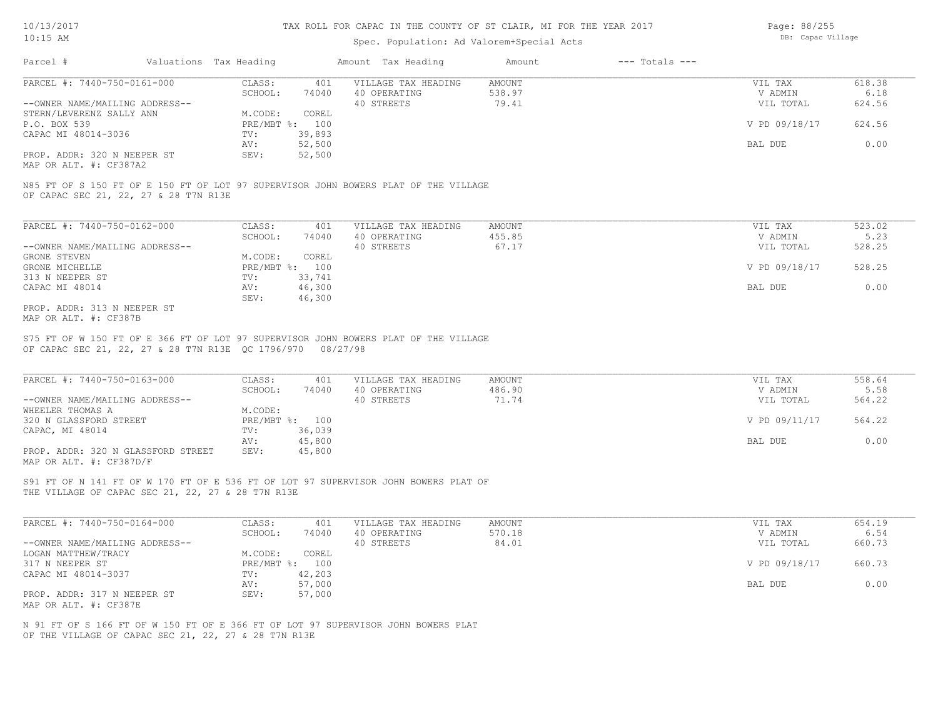## Spec. Population: Ad Valorem+Special Acts

Page: 88/255 DB: Capac Village

| Parcel #                       | Valuations Tax Heading |        | Amount Tax Heading  | Amount | $---$ Totals $---$ |               |        |
|--------------------------------|------------------------|--------|---------------------|--------|--------------------|---------------|--------|
| PARCEL #: 7440-750-0161-000    | CLASS:                 | 401    | VILLAGE TAX HEADING | AMOUNT |                    | VIL TAX       | 618.38 |
|                                | SCHOOL:                | 74040  | 40 OPERATING        | 538.97 |                    | V ADMIN       | 6.18   |
| --OWNER NAME/MAILING ADDRESS-- |                        |        | 40 STREETS          | 79.41  |                    | VIL TOTAL     | 624.56 |
| STERN/LEVERENZ SALLY ANN       | M.CODE:                | COREL  |                     |        |                    |               |        |
| P.O. BOX 539                   | PRE/MBT %: 100         |        |                     |        |                    | V PD 09/18/17 | 624.56 |
| CAPAC MI 48014-3036            | TV:                    | 39,893 |                     |        |                    |               |        |
|                                | AV:                    | 52,500 |                     |        |                    | BAL DUE       | 0.00   |
| PROP. ADDR: 320 N NEEPER ST    | SEV:                   | 52,500 |                     |        |                    |               |        |
|                                |                        |        |                     |        |                    |               |        |

MAP OR ALT. #: CF387A2

OF CAPAC SEC 21, 22, 27 & 28 T7N R13E N85 FT OF S 150 FT OF E 150 FT OF LOT 97 SUPERVISOR JOHN BOWERS PLAT OF THE VILLAGE

| PARCEL #: 7440-750-0162-000    | CLASS:     | 401    | VILLAGE TAX HEADING | AMOUNT | VIL TAX       | 523.02 |
|--------------------------------|------------|--------|---------------------|--------|---------------|--------|
|                                | SCHOOL:    | 74040  | 40 OPERATING        | 455.85 | V ADMIN       | 5.23   |
| --OWNER NAME/MAILING ADDRESS-- |            |        | 40 STREETS          | 67.17  | VIL TOTAL     | 528.25 |
| GRONE STEVEN                   | M.CODE:    | COREL  |                     |        |               |        |
| GRONE MICHELLE                 | PRE/MBT %: | 100    |                     |        | V PD 09/18/17 | 528.25 |
| 313 N NEEPER ST                | TV:        | 33,741 |                     |        |               |        |
| CAPAC MI 48014                 | AV:        | 46,300 |                     |        | BAL DUE       | 0.00   |
|                                | SEV:       | 46,300 |                     |        |               |        |
| PROP. ADDR: 313 N NEEPER ST    |            |        |                     |        |               |        |

MAP OR ALT. #: CF387B

OF CAPAC SEC 21, 22, 27 & 28 T7N R13E QC 1796/970 08/27/98 S75 FT OF W 150 FT OF E 366 FT OF LOT 97 SUPERVISOR JOHN BOWERS PLAT OF THE VILLAGE

| PARCEL #: 7440-750-0163-000        | CLASS:       | 401    | VILLAGE TAX HEADING | AMOUNT | VIL TAX       | 558.64 |
|------------------------------------|--------------|--------|---------------------|--------|---------------|--------|
|                                    | SCHOOL:      | 74040  | 40 OPERATING        | 486.90 | V ADMIN       | 5.58   |
| --OWNER NAME/MAILING ADDRESS--     |              |        | 40 STREETS          | 71.74  | VIL TOTAL     | 564.22 |
| WHEELER THOMAS A                   | M.CODE:      |        |                     |        |               |        |
| 320 N GLASSFORD STREET             | $PRE/MBT$ %: | 100    |                     |        | V PD 09/11/17 | 564.22 |
| CAPAC, MI 48014                    | TV:          | 36,039 |                     |        |               |        |
|                                    | AV:          | 45,800 |                     |        | BAL DUE       | 0.00   |
| PROP. ADDR: 320 N GLASSFORD STREET | SEV:         | 45,800 |                     |        |               |        |
| MAP OR ALT. #: CF387D/F            |              |        |                     |        |               |        |

 $\mathcal{L}_\mathcal{L} = \mathcal{L}_\mathcal{L} = \mathcal{L}_\mathcal{L} = \mathcal{L}_\mathcal{L} = \mathcal{L}_\mathcal{L} = \mathcal{L}_\mathcal{L} = \mathcal{L}_\mathcal{L} = \mathcal{L}_\mathcal{L} = \mathcal{L}_\mathcal{L} = \mathcal{L}_\mathcal{L} = \mathcal{L}_\mathcal{L} = \mathcal{L}_\mathcal{L} = \mathcal{L}_\mathcal{L} = \mathcal{L}_\mathcal{L} = \mathcal{L}_\mathcal{L} = \mathcal{L}_\mathcal{L} = \mathcal{L}_\mathcal{L}$ 

THE VILLAGE OF CAPAC SEC 21, 22, 27 & 28 T7N R13E S91 FT OF N 141 FT OF W 170 FT OF E 536 FT OF LOT 97 SUPERVISOR JOHN BOWERS PLAT OF

| PARCEL #: 7440-750-0164-000    | CLASS:  | 401            | VILLAGE TAX HEADING | AMOUNT | VIL TAX       | 654.19 |
|--------------------------------|---------|----------------|---------------------|--------|---------------|--------|
|                                | SCHOOL: | 74040          | 40 OPERATING        | 570.18 | V ADMIN       | 6.54   |
| --OWNER NAME/MAILING ADDRESS-- |         |                | 40 STREETS          | 84.01  | VIL TOTAL     | 660.73 |
| LOGAN MATTHEW/TRACY            | M.CODE: | COREL          |                     |        |               |        |
| 317 N NEEPER ST                |         | PRE/MBT %: 100 |                     |        | V PD 09/18/17 | 660.73 |
| CAPAC MI 48014-3037            | TV:     | 42,203         |                     |        |               |        |
|                                | AV:     | 57,000         |                     |        | BAL DUE       | 0.00   |
| PROP. ADDR: 317 N NEEPER ST    | SEV:    | 57,000         |                     |        |               |        |
| MAP OR ALT. #: CF387E          |         |                |                     |        |               |        |

OF THE VILLAGE OF CAPAC SEC 21, 22, 27 & 28 T7N R13E N 91 FT OF S 166 FT OF W 150 FT OF E 366 FT OF LOT 97 SUPERVISOR JOHN BOWERS PLAT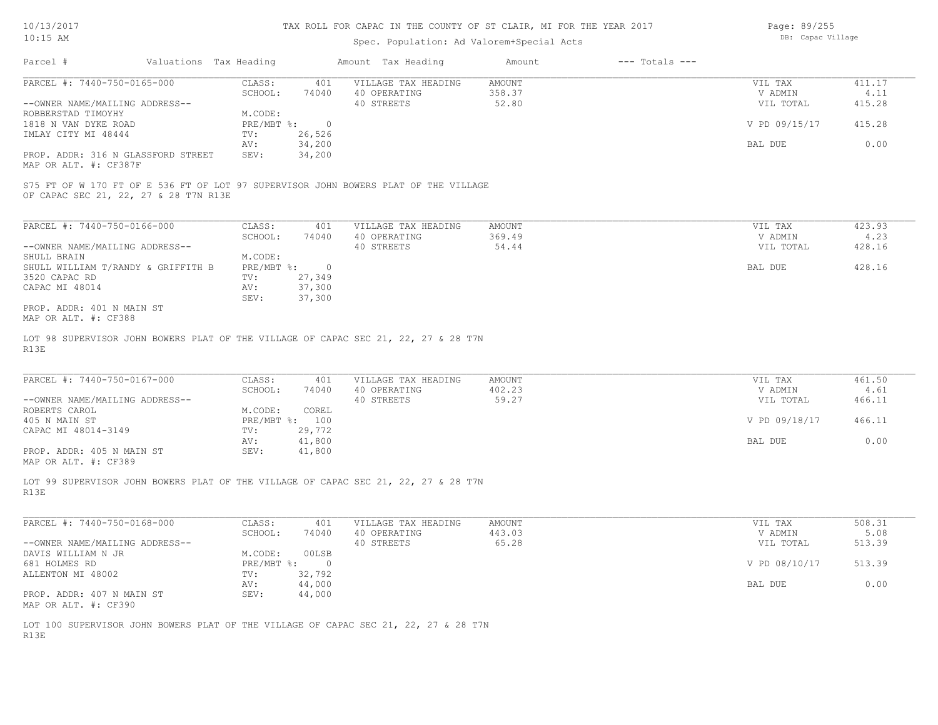| Page: 89/255     |
|------------------|
| DB: Capac Villag |

| $10:15$ AM                                                  |                        |                | Spec. Population: Ad Valorem+Special Acts                                           |        |                    | DB: Capac Village |        |
|-------------------------------------------------------------|------------------------|----------------|-------------------------------------------------------------------------------------|--------|--------------------|-------------------|--------|
| Parcel #                                                    | Valuations Tax Heading |                | Amount Tax Heading                                                                  | Amount | $---$ Totals $---$ |                   |        |
| PARCEL #: 7440-750-0165-000                                 | CLASS:                 | 401            | VILLAGE TAX HEADING                                                                 | AMOUNT |                    | VIL TAX           | 411.17 |
|                                                             | SCHOOL:                | 74040          | 40 OPERATING                                                                        | 358.37 |                    | V ADMIN           | 4.11   |
| --OWNER NAME/MAILING ADDRESS--                              |                        |                | 40 STREETS                                                                          | 52.80  |                    | VIL TOTAL         | 415.28 |
| ROBBERSTAD TIMOYHY                                          | M.CODE:                |                |                                                                                     |        |                    |                   |        |
| 1818 N VAN DYKE ROAD                                        | PRE/MBT %:             | $\overline{0}$ |                                                                                     |        |                    | V PD 09/15/17     | 415.28 |
| IMLAY CITY MI 48444                                         | TV:                    | 26,526         |                                                                                     |        |                    |                   |        |
|                                                             | AV:                    | 34,200         |                                                                                     |        |                    | BAL DUE           | 0.00   |
| PROP. ADDR: 316 N GLASSFORD STREET<br>MAP OR ALT. #: CF387F | SEV:                   | 34,200         |                                                                                     |        |                    |                   |        |
|                                                             |                        |                | S75 FT OF W 170 FT OF E 536 FT OF LOT 97 SUPERVISOR JOHN BOWERS PLAT OF THE VILLAGE |        |                    |                   |        |
| OF CAPAC SEC 21, 22, 27 & 28 T7N R13E                       |                        |                |                                                                                     |        |                    |                   |        |
|                                                             |                        |                |                                                                                     |        |                    |                   |        |
| PARCEL #: 7440-750-0166-000                                 | CLASS:                 | 401            | VILLAGE TAX HEADING                                                                 | AMOUNT |                    | VIL TAX           | 423.93 |
|                                                             | SCHOOL:                | 74040          | 40 OPERATING                                                                        | 369.49 |                    | V ADMIN           | 4.23   |
| --OWNER NAME/MAILING ADDRESS--                              |                        |                | 40 STREETS                                                                          | 54.44  |                    | VIL TOTAL         | 428.16 |
| SHULL BRAIN                                                 | M.CODE:                |                |                                                                                     |        |                    |                   |        |
| SHULL WILLIAM T/RANDY & GRIFFITH B                          | $PRE/MBT$ $\div$       | $\overline{0}$ |                                                                                     |        |                    | BAL DUE           | 428.16 |
| 3520 CAPAC RD                                               | TV:                    | 27,349         |                                                                                     |        |                    |                   |        |
| CAPAC MI 48014                                              | AV:                    | 37,300         |                                                                                     |        |                    |                   |        |
|                                                             | SEV:                   | 37,300         |                                                                                     |        |                    |                   |        |
| PROP. ADDR: 401 N MAIN ST                                   |                        |                |                                                                                     |        |                    |                   |        |
| MAP OR ALT. #: CF388                                        |                        |                |                                                                                     |        |                    |                   |        |
|                                                             |                        |                | LOT 98 SUPERVISOR JOHN BOWERS PLAT OF THE VILLAGE OF CAPAC SEC 21, 22, 27 & 28 T7N  |        |                    |                   |        |
| R13E                                                        |                        |                |                                                                                     |        |                    |                   |        |
|                                                             |                        |                |                                                                                     |        |                    |                   |        |
| PARCEL #: 7440-750-0167-000                                 | CLASS:                 | 401            | VILLAGE TAX HEADING                                                                 | AMOUNT |                    | VIL TAX           | 461.50 |
|                                                             | SCHOOL:                | 74040          | 40 OPERATING                                                                        | 402.23 |                    | V ADMIN           | 4.61   |
| --OWNER NAME/MAILING ADDRESS--                              |                        |                | 40 STREETS                                                                          | 59.27  |                    | VIL TOTAL         | 466.11 |
| ROBERTS CAROL                                               | M.CODE:                | COREL          |                                                                                     |        |                    |                   |        |
| 405 N MAIN ST                                               |                        | PRE/MBT %: 100 |                                                                                     |        |                    | V PD 09/18/17     | 466.11 |
| CAPAC MI 48014-3149                                         | TV:                    | 29,772         |                                                                                     |        |                    |                   |        |
|                                                             | AV:                    | 41,800         |                                                                                     |        |                    | BAL DUE           | 0.00   |
| PROP. ADDR: 405 N MAIN ST                                   | SEV:                   | 41,800         |                                                                                     |        |                    |                   |        |
| MAP OR ALT. #: CF389                                        |                        |                |                                                                                     |        |                    |                   |        |
|                                                             |                        |                |                                                                                     |        |                    |                   |        |
|                                                             |                        |                | LOT 99 SUPERVISOR JOHN BOWERS PLAT OF THE VILLAGE OF CAPAC SEC 21, 22, 27 & 28 T7N  |        |                    |                   |        |
| R13E                                                        |                        |                |                                                                                     |        |                    |                   |        |

| PARCEL #: 7440-750-0168-000    | CLASS:     | 401    | VILLAGE TAX HEADING | AMOUNT | VIL TAX       | 508.31 |
|--------------------------------|------------|--------|---------------------|--------|---------------|--------|
|                                | SCHOOL:    | 74040  | 40 OPERATING        | 443.03 | V ADMIN       | 5.08   |
| --OWNER NAME/MAILING ADDRESS-- |            |        | 40 STREETS          | 65.28  | VIL TOTAL     | 513.39 |
| DAVIS WILLIAM N JR             | M.CODE:    | 00LSB  |                     |        |               |        |
| 681 HOLMES RD                  | PRE/MBT %: |        |                     |        | V PD 08/10/17 | 513.39 |
| ALLENTON MI 48002              | TV:        | 32,792 |                     |        |               |        |
|                                | AV:        | 44,000 |                     |        | BAL DUE       | 0.00   |
| PROP. ADDR: 407 N MAIN ST      | SEV:       | 44,000 |                     |        |               |        |
| MAP OR ALT. #: CF390           |            |        |                     |        |               |        |

R13E LOT 100 SUPERVISOR JOHN BOWERS PLAT OF THE VILLAGE OF CAPAC SEC 21, 22, 27 & 28 T7N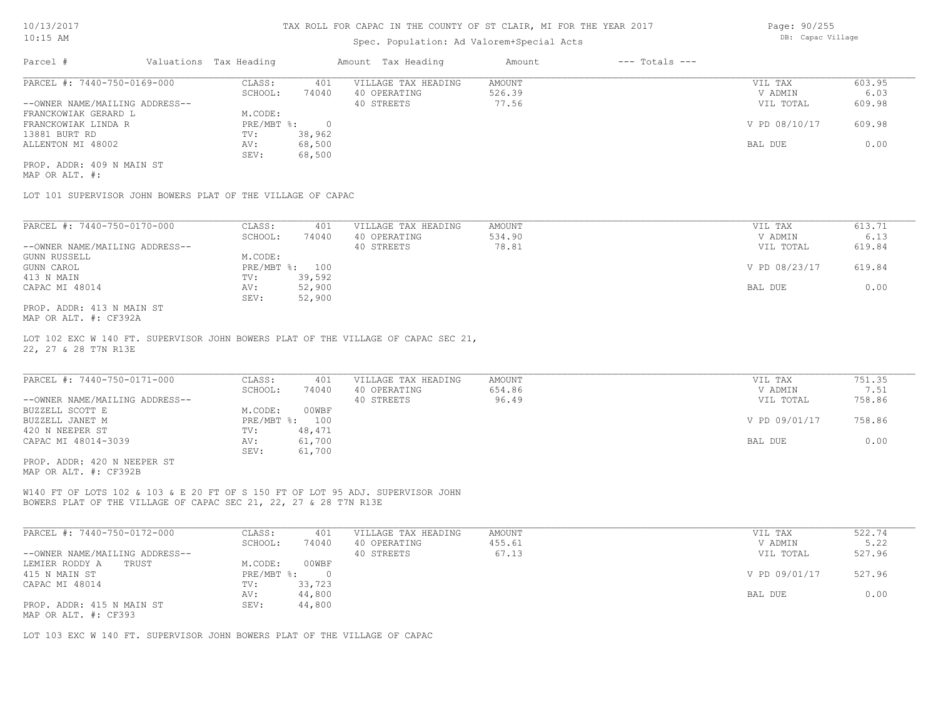## Spec. Population: Ad Valorem+Special Acts

| Parcel #                       | Valuations Tax Heading |        | Amount Tax Heading  | Amount | $---$ Totals $---$ |               |        |
|--------------------------------|------------------------|--------|---------------------|--------|--------------------|---------------|--------|
| PARCEL #: 7440-750-0169-000    | CLASS:                 | 401    | VILLAGE TAX HEADING | AMOUNT |                    | VIL TAX       | 603.95 |
|                                | SCHOOL:                | 74040  | 40 OPERATING        | 526.39 |                    | V ADMIN       | 6.03   |
| --OWNER NAME/MAILING ADDRESS-- |                        |        | 40 STREETS          | 77.56  |                    | VIL TOTAL     | 609.98 |
| FRANCKOWIAK GERARD L           | M.CODE:                |        |                     |        |                    |               |        |
| FRANCKOWIAK LINDA R            | PRE/MBT %:             |        |                     |        |                    | V PD 08/10/17 | 609.98 |
| 13881 BURT RD                  | TV:                    | 38,962 |                     |        |                    |               |        |
| ALLENTON MI 48002              | AV:                    | 68,500 |                     |        |                    | BAL DUE       | 0.00   |
|                                | SEV:                   | 68,500 |                     |        |                    |               |        |
| PROP. ADDR: 409 N MAIN ST      |                        |        |                     |        |                    |               |        |

MAP OR ALT. #:

LOT 101 SUPERVISOR JOHN BOWERS PLAT OF THE VILLAGE OF CAPAC

| PARCEL #: 7440-750-0170-000    | CLASS:       | 401    | VILLAGE TAX HEADING | AMOUNT | VIL TAX       | 613.71 |
|--------------------------------|--------------|--------|---------------------|--------|---------------|--------|
|                                | SCHOOL:      | 74040  | 40 OPERATING        | 534.90 | V ADMIN       | 6.13   |
| --OWNER NAME/MAILING ADDRESS-- |              |        | 40 STREETS          | 78.81  | VIL TOTAL     | 619.84 |
| GUNN RUSSELL                   | M.CODE:      |        |                     |        |               |        |
| GUNN CAROL                     | $PRE/MBT$ %: | 100    |                     |        | V PD 08/23/17 | 619.84 |
| 413 N MAIN                     | TV:          | 39,592 |                     |        |               |        |
| CAPAC MI 48014                 | AV:          | 52,900 |                     |        | BAL DUE       | 0.00   |
|                                | SEV:         | 52,900 |                     |        |               |        |
| PROP. ADDR: 413 N MAIN ST      |              |        |                     |        |               |        |

MAP OR ALT. #: CF392A

22, 27 & 28 T7N R13E LOT 102 EXC W 140 FT. SUPERVISOR JOHN BOWERS PLAT OF THE VILLAGE OF CAPAC SEC 21,

| PARCEL #: 7440-750-0171-000    | CLASS:  | 401            | VILLAGE TAX HEADING | AMOUNT | VIL TAX       | 751.35 |
|--------------------------------|---------|----------------|---------------------|--------|---------------|--------|
|                                | SCHOOL: | 74040          | 40 OPERATING        | 654.86 | V ADMIN       | 7.51   |
| --OWNER NAME/MAILING ADDRESS-- |         |                | 40 STREETS          | 96.49  | VIL TOTAL     | 758.86 |
| BUZZELL SCOTT E                | M.CODE: | 00WBF          |                     |        |               |        |
| BUZZELL JANET M                |         | PRE/MBT %: 100 |                     |        | V PD 09/01/17 | 758.86 |
| 420 N NEEPER ST                | TV:     | 48,471         |                     |        |               |        |
| CAPAC MI 48014-3039            | AV:     | 61,700         |                     |        | BAL DUE       | 0.00   |
|                                | SEV:    | 61,700         |                     |        |               |        |
| PROP. ADDR: 420 N NEEPER ST    |         |                |                     |        |               |        |

MAP OR ALT. #: CF392B

BOWERS PLAT OF THE VILLAGE OF CAPAC SEC 21, 22, 27 & 28 T7N R13E W140 FT OF LOTS 102 & 103 & E 20 FT OF S 150 FT OF LOT 95 ADJ. SUPERVISOR JOHN

| PARCEL #: 7440-750-0172-000    | CLASS:     | 401    | VILLAGE TAX HEADING | AMOUNT | VIL TAX       | 522.74 |
|--------------------------------|------------|--------|---------------------|--------|---------------|--------|
|                                | SCHOOL:    | 74040  | 40 OPERATING        | 455.61 | V ADMIN       | 5.22   |
| --OWNER NAME/MAILING ADDRESS-- |            |        | 40 STREETS          | 67.13  | VIL TOTAL     | 527.96 |
| LEMIER RODDY A<br>TRUST        | M.CODE:    | 00WBF  |                     |        |               |        |
| 415 N MAIN ST                  | PRE/MBT %: |        |                     |        | V PD 09/01/17 | 527.96 |
| CAPAC MI 48014                 | TV:        | 33,723 |                     |        |               |        |
|                                | AV:        | 44,800 |                     |        | BAL DUE       | 0.00   |
| PROP. ADDR: 415 N MAIN ST      | SEV:       | 44,800 |                     |        |               |        |
| MAP OR ALT. #: CF393           |            |        |                     |        |               |        |

LOT 103 EXC W 140 FT. SUPERVISOR JOHN BOWERS PLAT OF THE VILLAGE OF CAPAC

Page: 90/255 DB: Capac Village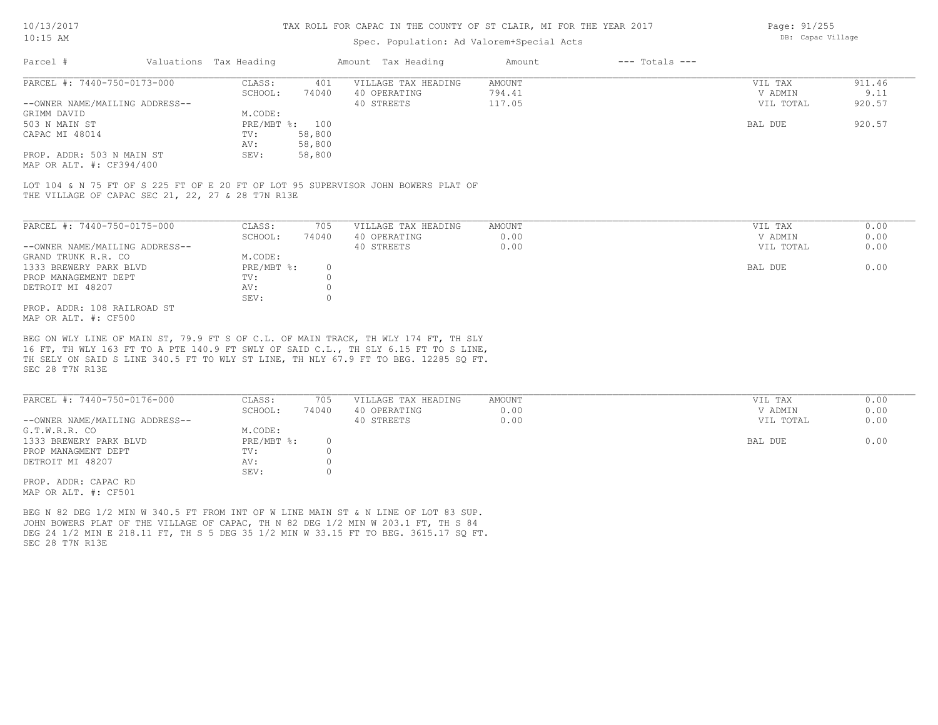## Spec. Population: Ad Valorem+Special Acts

Page: 91/255 DB: Capac Village

| Parcel #                       | Valuations Tax Heading |        | Amount Tax Heading  | Amount | $---$ Totals $---$ |           |        |
|--------------------------------|------------------------|--------|---------------------|--------|--------------------|-----------|--------|
| PARCEL #: 7440-750-0173-000    | CLASS:                 | 401    | VILLAGE TAX HEADING | AMOUNT |                    | VIL TAX   | 911.46 |
|                                | SCHOOL:                | 74040  | 40 OPERATING        | 794.41 |                    | V ADMIN   | 9.11   |
| --OWNER NAME/MAILING ADDRESS-- |                        |        | 40 STREETS          | 117.05 |                    | VIL TOTAL | 920.57 |
| GRIMM DAVID                    | M.CODE:                |        |                     |        |                    |           |        |
| 503 N MAIN ST                  | PRE/MBT %: 100         |        |                     |        |                    | BAL DUE   | 920.57 |
| CAPAC MI 48014                 | TV:                    | 58,800 |                     |        |                    |           |        |
|                                | AV:                    | 58,800 |                     |        |                    |           |        |
| PROP. ADDR: 503 N MAIN ST      | SEV:                   | 58,800 |                     |        |                    |           |        |
|                                |                        |        |                     |        |                    |           |        |

MAP OR ALT. #: CF394/400

THE VILLAGE OF CAPAC SEC 21, 22, 27 & 28 T7N R13E LOT 104 & N 75 FT OF S 225 FT OF E 20 FT OF LOT 95 SUPERVISOR JOHN BOWERS PLAT OF

| PARCEL #: 7440-750-0175-000    | CLASS:     | 705   | VILLAGE TAX HEADING | AMOUNT | VIL TAX   | 0.00 |
|--------------------------------|------------|-------|---------------------|--------|-----------|------|
|                                | SCHOOL:    | 74040 | 40 OPERATING        | 0.00   | V ADMIN   | 0.00 |
| --OWNER NAME/MAILING ADDRESS-- |            |       | 40 STREETS          | 0.00   | VIL TOTAL | 0.00 |
| GRAND TRUNK R.R. CO            | M.CODE:    |       |                     |        |           |      |
| 1333 BREWERY PARK BLVD         | PRE/MBT %: |       |                     |        | BAL DUE   | 0.00 |
| PROP MANAGEMENT DEPT           | TV:        |       |                     |        |           |      |
| DETROIT MI 48207               | AV:        |       |                     |        |           |      |
|                                | SEV:       |       |                     |        |           |      |
| PROP. ADDR: 108 RAILROAD ST    |            |       |                     |        |           |      |
| MAP OR ALT. #: CF500           |            |       |                     |        |           |      |

SEC 28 T7N R13E TH SELY ON SAID S LINE 340.5 FT TO WLY ST LINE, TH NLY 67.9 FT TO BEG. 12285 SQ FT. 16 FT, TH WLY 163 FT TO A PTE 140.9 FT SWLY OF SAID C.L., TH SLY 6.15 FT TO S LINE, BEG ON WLY LINE OF MAIN ST, 79.9 FT S OF C.L. OF MAIN TRACK, TH WLY 174 FT, TH SLY

| PARCEL #: 7440-750-0176-000    | CLASS:     | 705   | VILLAGE TAX HEADING | AMOUNT | VIL TAX   | 0.00 |
|--------------------------------|------------|-------|---------------------|--------|-----------|------|
|                                | SCHOOL:    | 74040 | 40 OPERATING        | 0.00   | V ADMIN   | 0.00 |
| --OWNER NAME/MAILING ADDRESS-- |            |       | 40 STREETS          | 0.00   | VIL TOTAL | 0.00 |
| G.T.W.R.R. CO                  | M.CODE:    |       |                     |        |           |      |
| 1333 BREWERY PARK BLVD         | PRE/MBT %: |       |                     |        | BAL DUE   | 0.00 |
| PROP MANAGMENT DEPT            | TV:        |       |                     |        |           |      |
| DETROIT MI 48207               | AV:        |       |                     |        |           |      |
|                                | SEV:       |       |                     |        |           |      |
| PROP. ADDR: CAPAC RD           |            |       |                     |        |           |      |

MAP OR ALT. #: CF501

SEC 28 T7N R13E DEG 24 1/2 MIN E 218.11 FT, TH S 5 DEG 35 1/2 MIN W 33.15 FT TO BEG. 3615.17 SQ FT. JOHN BOWERS PLAT OF THE VILLAGE OF CAPAC, TH N 82 DEG 1/2 MIN W 203.1 FT, TH S 84 BEG N 82 DEG 1/2 MIN W 340.5 FT FROM INT OF W LINE MAIN ST & N LINE OF LOT 83 SUP.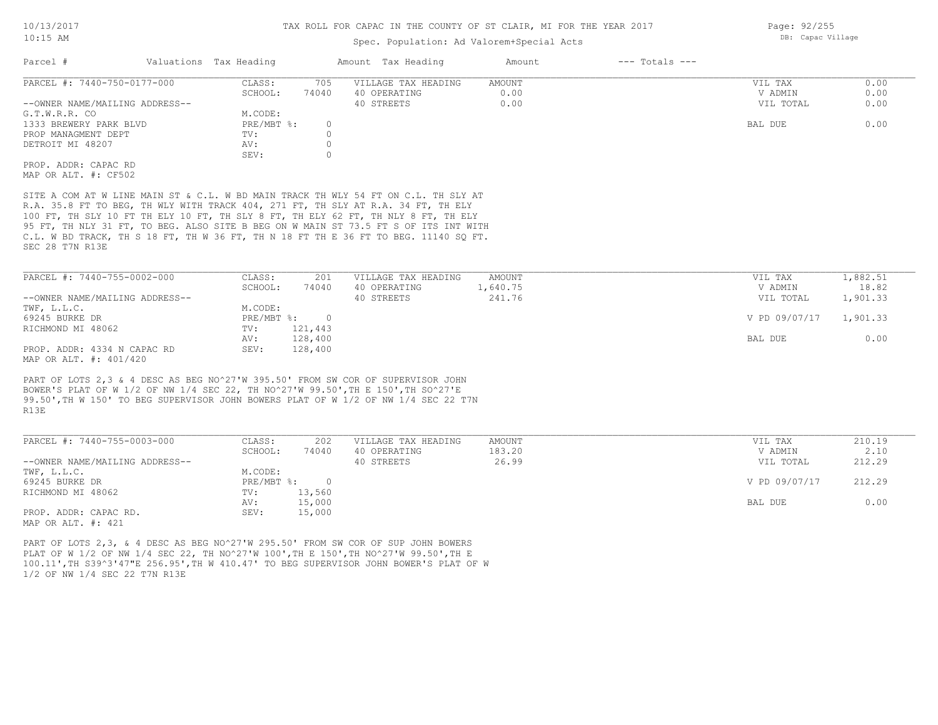## Spec. Population: Ad Valorem+Special Acts

| Parcel #                       | Valuations Tax Heading |       | Amount Tax Heading  | Amount | $---$ Totals $---$ |           |      |
|--------------------------------|------------------------|-------|---------------------|--------|--------------------|-----------|------|
| PARCEL #: 7440-750-0177-000    | CLASS:                 | 705   | VILLAGE TAX HEADING | AMOUNT |                    | VIL TAX   | 0.00 |
|                                | SCHOOL:                | 74040 | 40 OPERATING        | 0.00   |                    | V ADMIN   | 0.00 |
| --OWNER NAME/MAILING ADDRESS-- |                        |       | 40 STREETS          | 0.00   |                    | VIL TOTAL | 0.00 |
| G.T.W.R.R. CO                  | M.CODE:                |       |                     |        |                    |           |      |
| 1333 BREWERY PARK BLVD         | PRE/MBT %:             |       |                     |        |                    | BAL DUE   | 0.00 |
| PROP MANAGMENT DEPT            | TV:                    |       |                     |        |                    |           |      |
| DETROIT MI 48207               | AV:                    |       |                     |        |                    |           |      |
|                                | SEV:                   |       |                     |        |                    |           |      |
| PROP. ADDR: CAPAC RD           |                        |       |                     |        |                    |           |      |
| MAP OR ALT. #: CF502           |                        |       |                     |        |                    |           |      |

SEC 28 T7N R13E C.L. W BD TRACK, TH S 18 FT, TH W 36 FT, TH N 18 FT TH E 36 FT TO BEG. 11140 SQ FT. 95 FT, TH NLY 31 FT, TO BEG. ALSO SITE B BEG ON W MAIN ST 73.5 FT S OF ITS INT WITH 100 FT, TH SLY 10 FT TH ELY 10 FT, TH SLY 8 FT, TH ELY 62 FT, TH NLY 8 FT, TH ELY R.A. 35.8 FT TO BEG, TH WLY WITH TRACK 404, 271 FT, TH SLY AT R.A. 34 FT, TH ELY SITE A COM AT W LINE MAIN ST & C.L. W BD MAIN TRACK TH WLY 54 FT ON C.L. TH SLY AT

| PARCEL #: 7440-755-0002-000    | CLASS:       | 201     | VILLAGE TAX HEADING | AMOUNT   | VIL TAX       | 1,882.51 |
|--------------------------------|--------------|---------|---------------------|----------|---------------|----------|
|                                | SCHOOL:      | 74040   | 40 OPERATING        | 1,640.75 | V ADMIN       | 18.82    |
| --OWNER NAME/MAILING ADDRESS-- |              |         | 40 STREETS          | 241.76   | VIL TOTAL     | 1,901.33 |
| TWF, L.L.C.                    | M.CODE:      |         |                     |          |               |          |
| 69245 BURKE DR                 | $PRE/MBT$ %: |         |                     |          | V PD 09/07/17 | 1,901.33 |
| RICHMOND MI 48062              | TV:          | 121,443 |                     |          |               |          |
|                                | AV:          | 128,400 |                     |          | BAL DUE       | 0.00     |
| PROP. ADDR: 4334 N CAPAC RD    | SEV:         | 128,400 |                     |          |               |          |
| MAP OR ALT. #: 401/420         |              |         |                     |          |               |          |

R13E 99.50',TH W 150' TO BEG SUPERVISOR JOHN BOWERS PLAT OF W 1/2 OF NW 1/4 SEC 22 T7N BOWER'S PLAT OF W 1/2 OF NW 1/4 SEC 22, TH NO^27'W 99.50',TH E 150',TH SO^27'E PART OF LOTS 2,3 & 4 DESC AS BEG NO^27'W 395.50' FROM SW COR OF SUPERVISOR JOHN

| PARCEL #: 7440-755-0003-000                | CLASS:     | 202    | VILLAGE TAX HEADING | AMOUNT | VIL TAX       | 210.19 |
|--------------------------------------------|------------|--------|---------------------|--------|---------------|--------|
|                                            | SCHOOL:    | 74040  | 40 OPERATING        | 183.20 | V ADMIN       | 2.10   |
| --OWNER NAME/MAILING ADDRESS--             |            |        | 40 STREETS          | 26.99  | VIL TOTAL     | 212.29 |
| TWF, L.L.C.                                | M.CODE:    |        |                     |        |               |        |
| 69245 BURKE DR                             | PRE/MBT %: |        |                     |        | V PD 09/07/17 | 212.29 |
| RICHMOND MI 48062                          | TV:        | 13,560 |                     |        |               |        |
|                                            | AV:        | 15,000 |                     |        | BAL DUE       | 0.00   |
| PROP. ADDR: CAPAC RD.<br>MAD OD 3TH 4. 491 | SEV:       | 15,000 |                     |        |               |        |

MAP OR ALT. #: 421

1/2 OF NW 1/4 SEC 22 T7N R13E 100.11',TH S39^3'47"E 256.95',TH W 410.47' TO BEG SUPERVISOR JOHN BOWER'S PLAT OF W PLAT OF W 1/2 OF NW 1/4 SEC 22, TH NO^27'W 100',TH E 150',TH NO^27'W 99.50',TH E PART OF LOTS 2,3, & 4 DESC AS BEG NO^27'W 295.50' FROM SW COR OF SUP JOHN BOWERS

Page: 92/255 DB: Capac Village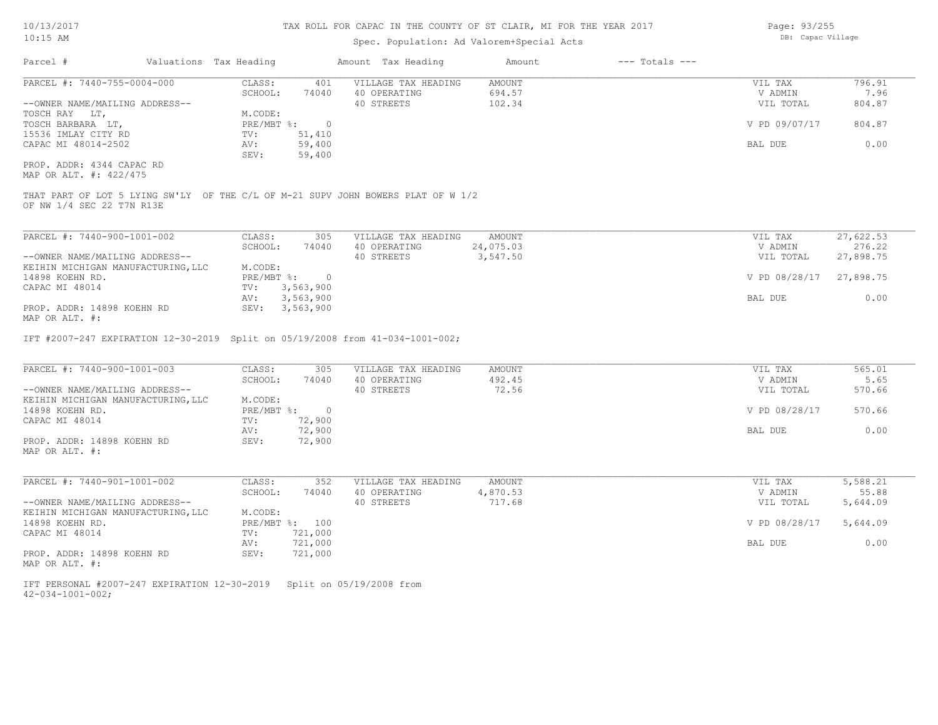# Spec. Population: Ad Valorem+Special Acts

Page: 93/255 DB: Capac Village

| Parcel #                                                                                                      | Valuations Tax Heading                                  | Amount Tax Heading                  | Amount                | $---$ Totals $---$ |                      |                     |
|---------------------------------------------------------------------------------------------------------------|---------------------------------------------------------|-------------------------------------|-----------------------|--------------------|----------------------|---------------------|
| PARCEL #: 7440-755-0004-000                                                                                   | CLASS:<br>401<br>SCHOOL:<br>74040                       | VILLAGE TAX HEADING<br>40 OPERATING | AMOUNT<br>694.57      |                    | VIL TAX<br>V ADMIN   | 796.91<br>7.96      |
| --OWNER NAME/MAILING ADDRESS--<br>TOSCH RAY LT,                                                               | M.CODE:                                                 | 40 STREETS                          | 102.34                |                    | VIL TOTAL            | 804.87              |
| TOSCH BARBARA LT,<br>15536 IMLAY CITY RD                                                                      | PRE/MBT %:<br>$\overline{\phantom{0}}$<br>TV:<br>51,410 |                                     |                       |                    | V PD 09/07/17        | 804.87              |
| CAPAC MI 48014-2502                                                                                           | 59,400<br>AV:<br>59,400<br>SEV:                         |                                     |                       |                    | BAL DUE              | 0.00                |
| PROP. ADDR: 4344 CAPAC RD<br>MAP OR ALT. #: 422/475                                                           |                                                         |                                     |                       |                    |                      |                     |
| THAT PART OF LOT 5 LYING SW'LY OF THE C/L OF M-21 SUPV JOHN BOWERS PLAT OF W 1/2<br>OF NW 1/4 SEC 22 T7N R13E |                                                         |                                     |                       |                    |                      |                     |
| PARCEL #: 7440-900-1001-002                                                                                   | CLASS:<br>305                                           | VILLAGE TAX HEADING                 | AMOUNT                |                    | VIL TAX              | 27,622.53           |
| --OWNER NAME/MAILING ADDRESS--                                                                                | SCHOOL:<br>74040                                        | 40 OPERATING<br>40 STREETS          | 24,075.03<br>3,547.50 |                    | V ADMIN<br>VIL TOTAL | 276.22<br>27,898.75 |
| KEIHIN MICHIGAN MANUFACTURING, LLC<br>14898 KOEHN RD.                                                         | M.CODE:<br>PRE/MBT %:<br>$\overline{\phantom{0}}$       |                                     |                       |                    | V PD 08/28/17        | 27,898.75           |
| CAPAC MI 48014<br>PROP. ADDR: 14898 KOEHN RD                                                                  | 3,563,900<br>TV:<br>3,563,900<br>AV:<br>SEV: 3,563,900  |                                     |                       |                    | BAL DUE              | 0.00                |
| MAP OR ALT. #:                                                                                                |                                                         |                                     |                       |                    |                      |                     |
| IFT #2007-247 EXPIRATION 12-30-2019 Split on 05/19/2008 from 41-034-1001-002;                                 |                                                         |                                     |                       |                    |                      |                     |
| PARCEL #: 7440-900-1001-003                                                                                   | CLASS:<br>305                                           | VILLAGE TAX HEADING                 | AMOUNT                |                    | VIL TAX              | 565.01              |
| --OWNER NAME/MAILING ADDRESS--                                                                                | SCHOOL:<br>74040                                        | 40 OPERATING<br>40 STREETS          | 492.45<br>72.56       |                    | V ADMIN<br>VIL TOTAL | 5.65<br>570.66      |
| KEIHIN MICHIGAN MANUFACTURING, LLC<br>14898 KOEHN RD.                                                         | M.CODE:<br>PRE/MBT %:<br>$\overline{0}$                 |                                     |                       |                    | V PD 08/28/17        | 570.66              |
| CAPAC MI 48014                                                                                                | 72,900<br>TV:<br>72,900<br>AV:<br>SEV:                  |                                     |                       |                    | BAL DUE              | 0.00                |
| PROP. ADDR: 14898 KOEHN RD<br>MAP OR ALT. #:                                                                  | 72,900                                                  |                                     |                       |                    |                      |                     |
| PARCEL #: 7440-901-1001-002                                                                                   | CLASS:<br>352                                           | VILLAGE TAX HEADING                 | AMOUNT                |                    | VIL TAX              | 5,588.21            |
| --OWNER NAME/MAILING ADDRESS--                                                                                | SCHOOL:<br>74040                                        | 40 OPERATING<br>40 STREETS          | 4,870.53<br>717.68    |                    | V ADMIN<br>VIL TOTAL | 55.88<br>5,644.09   |
| KEIHIN MICHIGAN MANUFACTURING, LLC<br>14898 KOEHN RD.                                                         | M.CODE:<br>PRE/MBT %: 100                               |                                     |                       |                    | V PD 08/28/17        | 5,644.09            |
| CAPAC MI 48014                                                                                                | 721,000<br>TV:<br>721,000<br>AV:                        |                                     |                       |                    | BAL DUE              | 0.00                |
| PROP. ADDR: 14898 KOEHN RD<br>MAP OR ALT. #:                                                                  | SEV:<br>721,000                                         |                                     |                       |                    |                      |                     |
| IFT PERSONAL #2007-247 EXPIRATION 12-30-2019                                                                  |                                                         | Split on 05/19/2008 from            |                       |                    |                      |                     |

42-034-1001-002;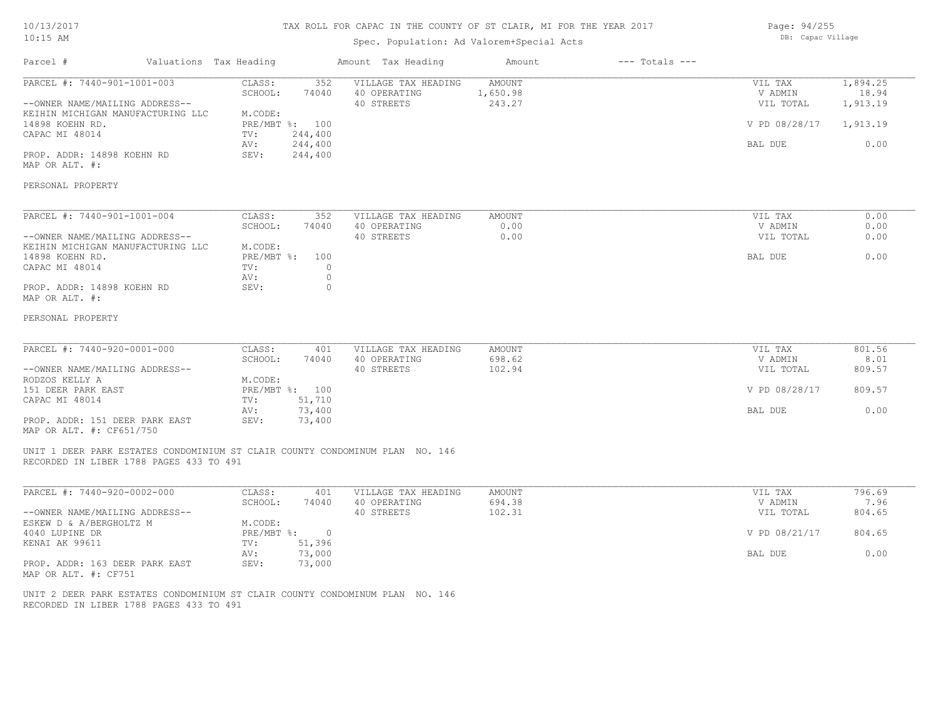## 10/13/2017 10:15 AM

## TAX ROLL FOR CAPAC IN THE COUNTY OF ST CLAIR, MI FOR THE YEAR 2017

# Spec. Population: Ad Valorem+Special Acts

Parcel # Valuations Tax Heading Amount Tax Heading Amount --- Totals ---

| Page: 94/255      |
|-------------------|
| DB: Capac Village |

| PARCEL #: 7440-901-1001-003                                                                                             | CLASS:<br>352<br>74040<br>SCHOOL: | VILLAGE TAX HEADING<br>40 OPERATING | <b>AMOUNT</b><br>1,650.98 | VIL TAX<br>V ADMIN | 1,894.25<br>18.94 |
|-------------------------------------------------------------------------------------------------------------------------|-----------------------------------|-------------------------------------|---------------------------|--------------------|-------------------|
| --OWNER NAME/MAILING ADDRESS--                                                                                          |                                   | 40 STREETS                          | 243.27                    | VIL TOTAL          | 1,913.19          |
| KEIHIN MICHIGAN MANUFACTURING LLC<br>14898 KOEHN RD.                                                                    | M.CODE:<br>PRE/MBT %: 100         |                                     |                           | V PD 08/28/17      | 1,913.19          |
| CAPAC MI 48014                                                                                                          | 244,400<br>TV:                    |                                     |                           |                    |                   |
|                                                                                                                         | 244,400<br>AV:                    |                                     |                           | BAL DUE            | 0.00              |
| PROP. ADDR: 14898 KOEHN RD<br>MAP OR ALT. #:                                                                            | 244,400<br>SEV:                   |                                     |                           |                    |                   |
| PERSONAL PROPERTY                                                                                                       |                                   |                                     |                           |                    |                   |
| PARCEL #: 7440-901-1001-004                                                                                             | CLASS:<br>352                     | VILLAGE TAX HEADING                 | AMOUNT                    | VIL TAX            | 0.00              |
|                                                                                                                         | SCHOOL:<br>74040                  | 40 OPERATING                        | 0.00                      | V ADMIN            | 0.00              |
| --OWNER NAME/MAILING ADDRESS--                                                                                          |                                   | 40 STREETS                          | 0.00                      | VIL TOTAL          | 0.00              |
| KEIHIN MICHIGAN MANUFACTURING LLC                                                                                       | M.CODE:                           |                                     |                           |                    |                   |
| 14898 KOEHN RD.                                                                                                         | PRE/MBT %:<br>100                 |                                     |                           | BAL DUE            | 0.00              |
| CAPAC MI 48014                                                                                                          | $\circ$<br>TV:<br>$\circ$         |                                     |                           |                    |                   |
| PROP. ADDR: 14898 KOEHN RD<br>MAP OR ALT. #:                                                                            | AV:<br>SEV:<br>$\circ$            |                                     |                           |                    |                   |
| PERSONAL PROPERTY                                                                                                       |                                   |                                     |                           |                    |                   |
| PARCEL #: 7440-920-0001-000                                                                                             | CLASS:<br>401                     | VILLAGE TAX HEADING                 | <b>AMOUNT</b>             | VIL TAX            | 801.56            |
|                                                                                                                         | SCHOOL:<br>74040                  | 40 OPERATING                        | 698.62                    | V ADMIN            | 8.01              |
| --OWNER NAME/MAILING ADDRESS--                                                                                          |                                   | 40 STREETS                          | 102.94                    | VIL TOTAL          | 809.57            |
| RODZOS KELLY A                                                                                                          | M.CODE:                           |                                     |                           |                    |                   |
| 151 DEER PARK EAST<br>CAPAC MI 48014                                                                                    | PRE/MBT %: 100                    |                                     |                           | V PD 08/28/17      | 809.57            |
|                                                                                                                         | 51,710<br>TV:<br>AV:<br>73,400    |                                     |                           | BAL DUE            | 0.00              |
| PROP. ADDR: 151 DEER PARK EAST<br>MAP OR ALT. #: CF651/750                                                              | 73,400<br>SEV:                    |                                     |                           |                    |                   |
| UNIT 1 DEER PARK ESTATES CONDOMINIUM ST CLAIR COUNTY CONDOMINUM PLAN NO. 146<br>RECORDED IN LIBER 1788 PAGES 433 TO 491 |                                   |                                     |                           |                    |                   |
|                                                                                                                         |                                   |                                     |                           |                    |                   |
| PARCEL #: 7440-920-0002-000                                                                                             | CLASS:<br>401<br>SCHOOL:<br>74040 | VILLAGE TAX HEADING<br>40 OPERATING | <b>AMOUNT</b><br>694.38   | VIL TAX<br>V ADMIN | 796.69<br>7.96    |
| --OWNER NAME/MAILING ADDRESS--                                                                                          |                                   | 40 STREETS                          | 102.31                    | VIL TOTAL          | 804.65            |
| ESKEW D & A/BERGHOLTZ M                                                                                                 | M.CODE:                           |                                     |                           |                    |                   |
| 4040 LUPINE DR                                                                                                          | PRE/MBT %:<br>$\circ$             |                                     |                           | V PD 08/21/17      | 804.65            |
| KENAI AK 99611                                                                                                          | TV:<br>51,396                     |                                     |                           |                    |                   |
|                                                                                                                         | 73,000<br>AV:                     |                                     |                           | BAL DUE            | 0.00              |
| PROP. ADDR: 163 DEER PARK EAST<br>MAP OR ALT. #: CF751                                                                  | SEV:<br>73,000                    |                                     |                           |                    |                   |

RECORDED IN LIBER 1788 PAGES 433 TO 491 UNIT 2 DEER PARK ESTATES CONDOMINIUM ST CLAIR COUNTY CONDOMINUM PLAN NO. 146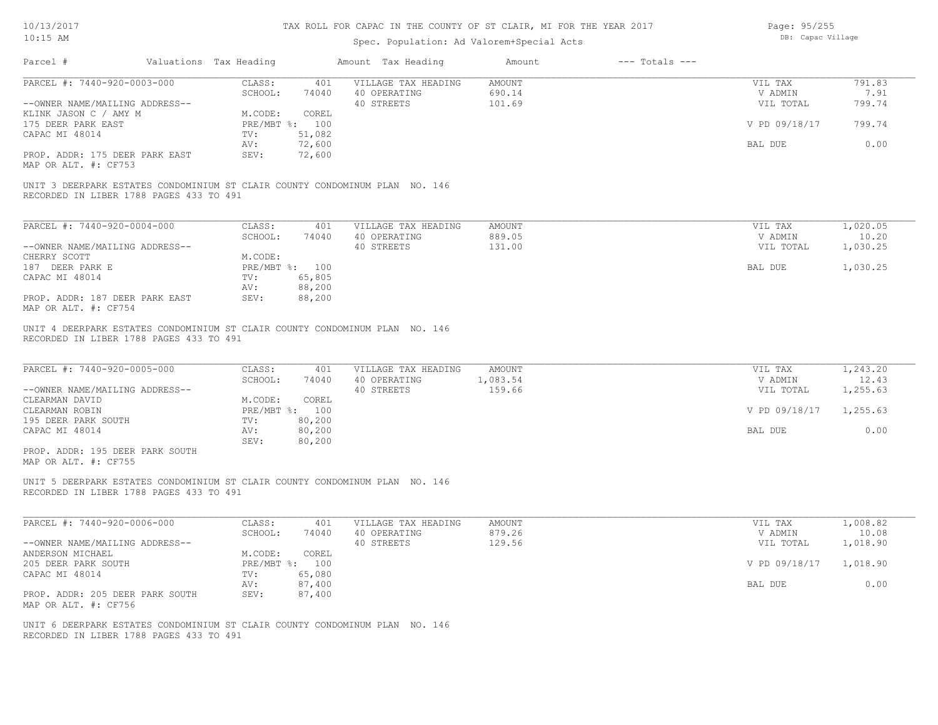# Spec. Population: Ad Valorem+Special Acts

| Page: 95/255      |
|-------------------|
| DB: Capac Village |

| Parcel #                                                                                                               | Valuations Tax Heading    |                         | Amount Tax Heading                                | Amount                            | $---$ Totals $---$ |                                 |                          |
|------------------------------------------------------------------------------------------------------------------------|---------------------------|-------------------------|---------------------------------------------------|-----------------------------------|--------------------|---------------------------------|--------------------------|
| PARCEL #: 7440-920-0003-000<br>--OWNER NAME/MAILING ADDRESS--                                                          | CLASS:<br>SCHOOL:         | 401<br>74040            | VILLAGE TAX HEADING<br>40 OPERATING<br>40 STREETS | <b>AMOUNT</b><br>690.14<br>101.69 |                    | VIL TAX<br>V ADMIN<br>VIL TOTAL | 791.83<br>7.91<br>799.74 |
| KLINK JASON C / AMY M<br>175 DEER PARK EAST                                                                            | M.CODE:                   | COREL<br>PRE/MBT %: 100 |                                                   |                                   |                    | V PD 09/18/17                   | 799.74                   |
| CAPAC MI 48014                                                                                                         | TV:<br>AV:                | 51,082<br>72,600        |                                                   |                                   |                    | BAL DUE                         | 0.00                     |
| PROP. ADDR: 175 DEER PARK EAST<br>MAP OR ALT. #: CF753                                                                 | SEV:                      | 72,600                  |                                                   |                                   |                    |                                 |                          |
| UNIT 3 DEERPARK ESTATES CONDOMINIUM ST CLAIR COUNTY CONDOMINUM PLAN NO. 146<br>RECORDED IN LIBER 1788 PAGES 433 TO 491 |                           |                         |                                                   |                                   |                    |                                 |                          |
| PARCEL #: 7440-920-0004-000                                                                                            | CLASS:<br>SCHOOL:         | 401<br>74040            | VILLAGE TAX HEADING<br>40 OPERATING               | AMOUNT<br>889.05                  |                    | VIL TAX<br>V ADMIN              | 1,020.05<br>10.20        |
| --OWNER NAME/MAILING ADDRESS--                                                                                         |                           |                         | 40 STREETS                                        | 131.00                            |                    | VIL TOTAL                       | 1,030.25                 |
| CHERRY SCOTT<br>187 DEER PARK E                                                                                        | M.CODE:<br>PRE/MBT %: 100 |                         |                                                   |                                   |                    | BAL DUE                         | 1,030.25                 |
| CAPAC MI 48014                                                                                                         | TV:<br>AV:                | 65,805<br>88,200        |                                                   |                                   |                    |                                 |                          |
| PROP. ADDR: 187 DEER PARK EAST<br>MAP OR ALT. #: CF754                                                                 | SEV:                      | 88,200                  |                                                   |                                   |                    |                                 |                          |
| UNIT 4 DEERPARK ESTATES CONDOMINIUM ST CLAIR COUNTY CONDOMINUM PLAN NO. 146<br>RECORDED IN LIBER 1788 PAGES 433 TO 491 |                           |                         |                                                   |                                   |                    |                                 |                          |
| PARCEL #: 7440-920-0005-000                                                                                            | CLASS:                    | 401                     | VILLAGE TAX HEADING                               | <b>AMOUNT</b>                     |                    | VIL TAX                         | 1,243.20                 |
|                                                                                                                        | SCHOOL:                   | 74040                   | 40 OPERATING<br>40 STREETS                        | 1,083.54<br>159.66                |                    | V ADMIN<br>VIL TOTAL            | 12.43<br>1,255.63        |
| --OWNER NAME/MAILING ADDRESS--<br>CLEARMAN DAVID                                                                       | M.CODE:                   | COREL                   |                                                   |                                   |                    |                                 |                          |
| CLEARMAN ROBIN                                                                                                         | PRE/MBT %: 100            |                         |                                                   |                                   |                    | V PD 09/18/17                   | 1,255.63                 |
| 195 DEER PARK SOUTH                                                                                                    | TV:                       | 80,200                  |                                                   |                                   |                    |                                 |                          |
| CAPAC MI 48014                                                                                                         | AV:<br>SEV:               | 80,200<br>80,200        |                                                   |                                   |                    | BAL DUE                         | 0.00                     |
| PROP. ADDR: 195 DEER PARK SOUTH<br>MAP OR ALT. #: CF755                                                                |                           |                         |                                                   |                                   |                    |                                 |                          |
| UNIT 5 DEERPARK ESTATES CONDOMINIUM ST CLAIR COUNTY CONDOMINUM PLAN NO. 146<br>RECORDED IN LIBER 1788 PAGES 433 TO 491 |                           |                         |                                                   |                                   |                    |                                 |                          |
| PARCEL #: 7440-920-0006-000                                                                                            | CLASS:                    | 401                     | VILLAGE TAX HEADING                               | AMOUNT                            |                    | VIL TAX                         | 1,008.82                 |
|                                                                                                                        | SCHOOL:                   | 74040                   | 40 OPERATING                                      | 879.26                            |                    | V ADMIN                         | 10.08                    |
| --OWNER NAME/MAILING ADDRESS--                                                                                         |                           |                         | 40 STREETS                                        | 129.56                            |                    | VIL TOTAL                       | 1,018.90                 |
| ANDERSON MICHAEL<br>205 DEER PARK SOUTH                                                                                | M.CODE:<br>PRE/MBT %: 100 | COREL                   |                                                   |                                   |                    | V PD 09/18/17                   | 1,018.90                 |
| CAPAC MI 48014                                                                                                         | TV:                       | 65,080                  |                                                   |                                   |                    |                                 |                          |
| PROP. ADDR: 205 DEER PARK SOUTH<br>MAP OR ALT. #: CF756                                                                | AV:<br>SEV:               | 87,400<br>87,400        |                                                   |                                   |                    | BAL DUE                         | 0.00                     |
| UNIT 6 DEERPARK ESTATES CONDOMINIUM ST CLAIR COUNTY CONDOMINUM PLAN NO. 146<br>RECORDED IN LIBER 1788 PAGES 433 TO 491 |                           |                         |                                                   |                                   |                    |                                 |                          |
|                                                                                                                        |                           |                         |                                                   |                                   |                    |                                 |                          |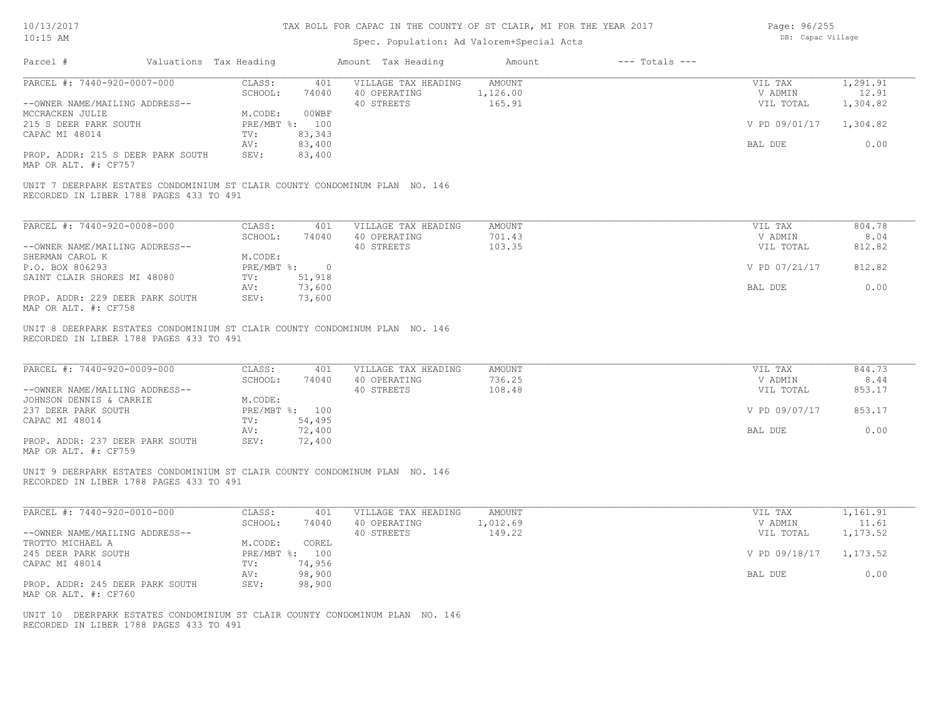# Spec. Population: Ad Valorem+Special Acts

| Page: 96/255      |
|-------------------|
| DB: Capac Village |

| Parcel #                                                                                                                | Valuations Tax Heading                   | Amount Tax Heading                  | Amount             | $---$ Totals $---$ |                      |                   |
|-------------------------------------------------------------------------------------------------------------------------|------------------------------------------|-------------------------------------|--------------------|--------------------|----------------------|-------------------|
| PARCEL #: 7440-920-0007-000                                                                                             | CLASS:<br>401                            | VILLAGE TAX HEADING                 | <b>AMOUNT</b>      |                    | VIL TAX              | 1,291.91          |
| --OWNER NAME/MAILING ADDRESS--                                                                                          | SCHOOL:<br>74040                         | 40 OPERATING<br>40 STREETS          | 1,126.00<br>165.91 |                    | V ADMIN<br>VIL TOTAL | 12.91<br>1,304.82 |
| MCCRACKEN JULIE                                                                                                         | M.CODE:<br>00WBF                         |                                     |                    |                    |                      |                   |
| 215 S DEER PARK SOUTH                                                                                                   | PRE/MBT %: 100                           |                                     |                    |                    | V PD 09/01/17        | 1,304.82          |
| CAPAC MI 48014                                                                                                          | 83,343<br>TV:                            |                                     |                    |                    |                      |                   |
|                                                                                                                         | 83,400<br>AV:                            |                                     |                    |                    | BAL DUE              | 0.00              |
| PROP. ADDR: 215 S DEER PARK SOUTH<br>MAP OR ALT. #: CF757                                                               | 83,400<br>SEV:                           |                                     |                    |                    |                      |                   |
| UNIT 7 DEERPARK ESTATES CONDOMINIUM ST CLAIR COUNTY CONDOMINUM PLAN NO. 146<br>RECORDED IN LIBER 1788 PAGES 433 TO 491  |                                          |                                     |                    |                    |                      |                   |
| PARCEL #: 7440-920-0008-000                                                                                             | CLASS:<br>401                            | VILLAGE TAX HEADING                 | AMOUNT             |                    | VIL TAX              | 804.78            |
|                                                                                                                         | SCHOOL:<br>74040                         | 40 OPERATING                        | 701.43             |                    | V ADMIN              | 8.04              |
| --OWNER NAME/MAILING ADDRESS--                                                                                          |                                          | 40 STREETS                          | 103.35             |                    | VIL TOTAL            | 812.82            |
| SHERMAN CAROL K                                                                                                         | M.CODE:                                  |                                     |                    |                    |                      |                   |
| P.O. BOX 806293                                                                                                         | PRE/MBT %: 0                             |                                     |                    |                    | V PD 07/21/17        | 812.82            |
| SAINT CLAIR SHORES MI 48080                                                                                             | 51,918<br>TV:                            |                                     |                    |                    |                      |                   |
|                                                                                                                         | 73,600<br>AV:                            |                                     |                    |                    | BAL DUE              | 0.00              |
| PROP. ADDR: 229 DEER PARK SOUTH<br>MAP OR ALT. #: CF758                                                                 | 73,600<br>SEV:                           |                                     |                    |                    |                      |                   |
| PARCEL #: 7440-920-0009-000                                                                                             | CLASS:<br>401<br>SCHOOL:<br>74040        | VILLAGE TAX HEADING<br>40 OPERATING | AMOUNT<br>736.25   |                    | VIL TAX<br>V ADMIN   | 844.73<br>8.44    |
| --OWNER NAME/MAILING ADDRESS--                                                                                          |                                          | 40 STREETS                          | 108.48             |                    | VIL TOTAL            | 853.17            |
| JOHNSON DENNIS & CARRIE                                                                                                 | M.CODE:                                  |                                     |                    |                    |                      |                   |
| 237 DEER PARK SOUTH                                                                                                     | PRE/MBT %: 100                           |                                     |                    |                    | V PD 09/07/17        | 853.17            |
| CAPAC MI 48014                                                                                                          | 54,495<br>$\text{TV}$ :<br>72,400<br>AV: |                                     |                    |                    | BAL DUE              | 0.00              |
| PROP. ADDR: 237 DEER PARK SOUTH                                                                                         | SEV:<br>72,400                           |                                     |                    |                    |                      |                   |
| MAP OR ALT. #: CF759                                                                                                    |                                          |                                     |                    |                    |                      |                   |
| UNIT 9 DEERPARK ESTATES CONDOMINIUM ST CLAIR COUNTY CONDOMINUM PLAN NO. 146<br>RECORDED IN LIBER 1788 PAGES 433 TO 491  |                                          |                                     |                    |                    |                      |                   |
| PARCEL #: 7440-920-0010-000                                                                                             | CLASS:<br>401                            | VILLAGE TAX HEADING                 | <b>AMOUNT</b>      |                    | VIL TAX              | 1,161.91          |
|                                                                                                                         | SCHOOL:<br>74040                         | 40 OPERATING                        | 1,012.69           |                    | V ADMIN              | 11.61             |
| --OWNER NAME/MAILING ADDRESS--                                                                                          |                                          | 40 STREETS                          | 149.22             |                    | VIL TOTAL            | 1,173.52          |
| TROTTO MICHAEL A                                                                                                        | M.CODE:<br>COREL                         |                                     |                    |                    |                      |                   |
| 245 DEER PARK SOUTH                                                                                                     | PRE/MBT %: 100                           |                                     |                    |                    | V PD 09/18/17        | 1,173.52          |
| CAPAC MI 48014                                                                                                          | TV:<br>74,956                            |                                     |                    |                    |                      |                   |
|                                                                                                                         | 98,900<br>AV:                            |                                     |                    |                    | BAL DUE              | 0.00              |
| PROP. ADDR: 245 DEER PARK SOUTH<br>MAP OR ALT. #: CF760                                                                 | SEV:<br>98,900                           |                                     |                    |                    |                      |                   |
| UNIT 10 DEERPARK ESTATES CONDOMINIUM ST CLAIR COUNTY CONDOMINUM PLAN NO. 146<br>RECORDED IN LIBER 1788 PAGES 433 TO 491 |                                          |                                     |                    |                    |                      |                   |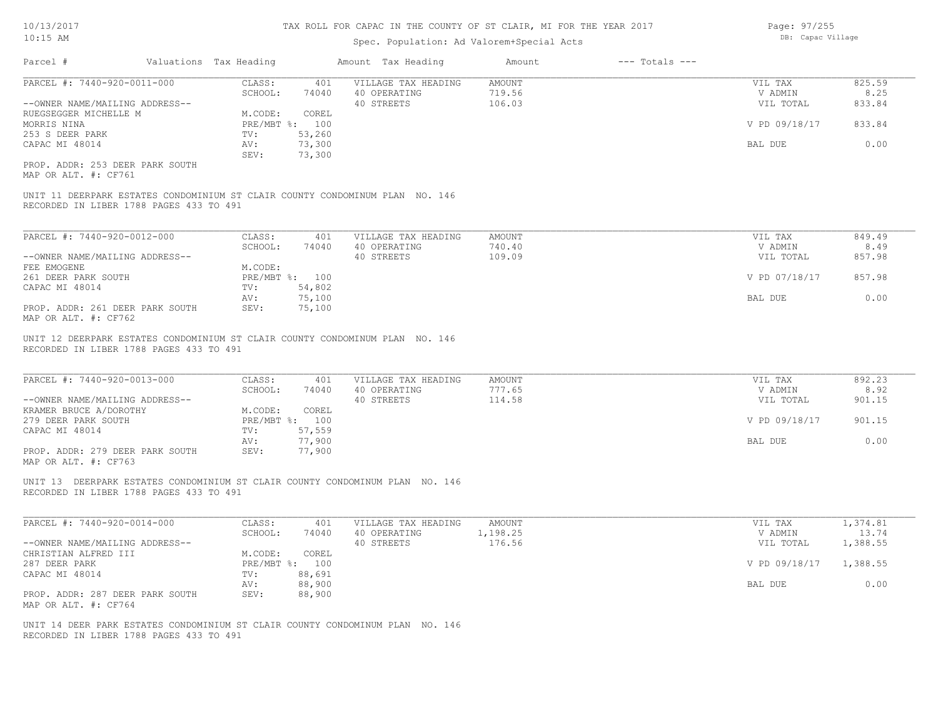## Spec. Population: Ad Valorem+Special Acts

| AR 2017 | Page: 97/255      |
|---------|-------------------|
|         | DB: Capac Village |
|         |                   |

| Parcel #                        | Valuations Tax Heading |                | Amount Tax Heading  | Amount | $---$ Totals $---$ |               |        |
|---------------------------------|------------------------|----------------|---------------------|--------|--------------------|---------------|--------|
| PARCEL #: 7440-920-0011-000     | CLASS:                 | 401            | VILLAGE TAX HEADING | AMOUNT |                    | VIL TAX       | 825.59 |
|                                 | SCHOOL:                | 74040          | 40 OPERATING        | 719.56 |                    | V ADMIN       | 8.25   |
| --OWNER NAME/MAILING ADDRESS--  |                        |                | 40 STREETS          | 106.03 |                    | VIL TOTAL     | 833.84 |
| RUEGSEGGER MICHELLE M           | M.CODE:                | COREL          |                     |        |                    |               |        |
| MORRIS NINA                     |                        | PRE/MBT %: 100 |                     |        |                    | V PD 09/18/17 | 833.84 |
| 253 S DEER PARK                 | TV:                    | 53,260         |                     |        |                    |               |        |
| CAPAC MI 48014                  | AV:                    | 73,300         |                     |        |                    | BAL DUE       | 0.00   |
|                                 | SEV:                   | 73,300         |                     |        |                    |               |        |
| PROP. ADDR: 253 DEER PARK SOUTH |                        |                |                     |        |                    |               |        |

MAP OR ALT. #: CF761

RECORDED IN LIBER 1788 PAGES 433 TO 491 UNIT 11 DEERPARK ESTATES CONDOMINIUM ST CLAIR COUNTY CONDOMINUM PLAN NO. 146

| PARCEL #: 7440-920-0012-000     | CLASS:  | 401            | VILLAGE TAX HEADING | AMOUNT | VIL TAX       | 849.49 |
|---------------------------------|---------|----------------|---------------------|--------|---------------|--------|
|                                 | SCHOOL: | 74040          | 40 OPERATING        | 740.40 | V ADMIN       | 8.49   |
| --OWNER NAME/MAILING ADDRESS--  |         |                | 40 STREETS          | 109.09 | VIL TOTAL     | 857.98 |
| FEE EMOGENE                     | M.CODE: |                |                     |        |               |        |
| 261 DEER PARK SOUTH             |         | PRE/MBT %: 100 |                     |        | V PD 07/18/17 | 857.98 |
| CAPAC MI 48014                  | TV:     | 54,802         |                     |        |               |        |
|                                 | AV:     | 75,100         |                     |        | BAL DUE       | 0.00   |
| PROP. ADDR: 261 DEER PARK SOUTH | SEV:    | 75,100         |                     |        |               |        |
| MAP OR ALT. #: CF762            |         |                |                     |        |               |        |

RECORDED IN LIBER 1788 PAGES 433 TO 491 UNIT 12 DEERPARK ESTATES CONDOMINIUM ST CLAIR COUNTY CONDOMINUM PLAN NO. 146

| PARCEL #: 7440-920-0013-000     | CLASS:       | 401    | VILLAGE TAX HEADING | AMOUNT | VIL TAX       | 892.23 |
|---------------------------------|--------------|--------|---------------------|--------|---------------|--------|
|                                 | SCHOOL:      | 74040  | 40 OPERATING        | 777.65 | V ADMIN       | 8.92   |
| --OWNER NAME/MAILING ADDRESS--  |              |        | 40 STREETS          | 114.58 | VIL TOTAL     | 901.15 |
| KRAMER BRUCE A/DOROTHY          | M.CODE:      | COREL  |                     |        |               |        |
| 279 DEER PARK SOUTH             | $PRE/MBT$ %: | 100    |                     |        | V PD 09/18/17 | 901.15 |
| CAPAC MI 48014                  | TV:          | 57,559 |                     |        |               |        |
|                                 | AV:          | 77,900 |                     |        | BAL DUE       | 0.00   |
| PROP. ADDR: 279 DEER PARK SOUTH | SEV:         | 77,900 |                     |        |               |        |
| MAP OR ALT. #: CF763            |              |        |                     |        |               |        |

 $\mathcal{L}_\mathcal{L} = \mathcal{L}_\mathcal{L} = \mathcal{L}_\mathcal{L} = \mathcal{L}_\mathcal{L} = \mathcal{L}_\mathcal{L} = \mathcal{L}_\mathcal{L} = \mathcal{L}_\mathcal{L} = \mathcal{L}_\mathcal{L} = \mathcal{L}_\mathcal{L} = \mathcal{L}_\mathcal{L} = \mathcal{L}_\mathcal{L} = \mathcal{L}_\mathcal{L} = \mathcal{L}_\mathcal{L} = \mathcal{L}_\mathcal{L} = \mathcal{L}_\mathcal{L} = \mathcal{L}_\mathcal{L} = \mathcal{L}_\mathcal{L}$ 

RECORDED IN LIBER 1788 PAGES 433 TO 491 UNIT 13 DEERPARK ESTATES CONDOMINIUM ST CLAIR COUNTY CONDOMINUM PLAN NO. 146

| PARCEL #: 7440-920-0014-000     | CLASS:  | 401            | VILLAGE TAX HEADING | AMOUNT   | VIL TAX       | 1,374.81 |
|---------------------------------|---------|----------------|---------------------|----------|---------------|----------|
|                                 | SCHOOL: | 74040          | 40 OPERATING        | 1,198.25 | V ADMIN       | 13.74    |
| --OWNER NAME/MAILING ADDRESS--  |         |                | 40 STREETS          | 176.56   | VIL TOTAL     | 1,388.55 |
| CHRISTIAN ALFRED III            | M.CODE: | COREL          |                     |          |               |          |
| 287 DEER PARK                   |         | PRE/MBT %: 100 |                     |          | V PD 09/18/17 | 1,388.55 |
| CAPAC MI 48014                  | TV:     | 88,691         |                     |          |               |          |
|                                 | AV:     | 88,900         |                     |          | BAL DUE       | 0.00     |
| PROP. ADDR: 287 DEER PARK SOUTH | SEV:    | 88,900         |                     |          |               |          |
| MAP OR ALT. #: CF764            |         |                |                     |          |               |          |

RECORDED IN LIBER 1788 PAGES 433 TO 491 UNIT 14 DEER PARK ESTATES CONDOMINIUM ST CLAIR COUNTY CONDOMINUM PLAN NO. 146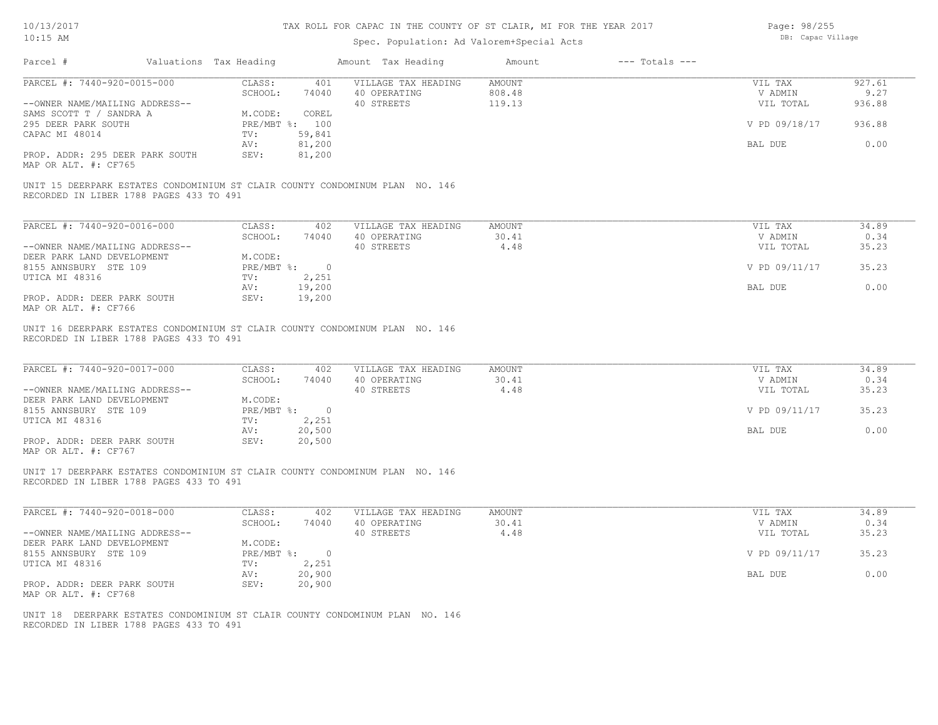# Spec. Population: Ad Valorem+Special Acts

Page: 98/255 DB: Capac Village

| PARCEL #: 7440-920-0015-000<br>CLASS:<br>401<br>SCHOOL:<br>74040<br>40 STREETS<br>--OWNER NAME/MAILING ADDRESS--<br>COREL<br>SAMS SCOTT T / SANDRA A<br>M.CODE:<br>295 DEER PARK SOUTH<br>PRE/MBT %: 100<br>59,841<br>CAPAC MI 48014<br>TV:<br>81,200<br>AV:<br>81,200<br>PROP. ADDR: 295 DEER PARK SOUTH<br>SEV:<br>MAP OR ALT. #: CF765<br>UNIT 15 DEERPARK ESTATES CONDOMINIUM ST CLAIR COUNTY CONDOMINUM PLAN NO. 146<br>RECORDED IN LIBER 1788 PAGES 433 TO 491<br>PARCEL #: 7440-920-0016-000<br>CLASS:<br>402<br>SCHOOL:<br>74040<br>40 STREETS<br>--OWNER NAME/MAILING ADDRESS--<br>M.CODE:<br>DEER PARK LAND DEVELOPMENT<br>PRE/MBT %: 0<br>8155 ANNSBURY STE 109 | <b>AMOUNT</b><br>VILLAGE TAX HEADING<br>808.48<br>40 OPERATING<br>119.13<br>VILLAGE TAX HEADING<br><b>AMOUNT</b><br>40 OPERATING<br>30.41 | 927.61<br>VIL TAX<br>9.27<br>V ADMIN<br>VIL TOTAL<br>936.88<br>V PD 09/18/17<br>936.88<br>0.00<br>BAL DUE<br>34.89<br>VIL TAX |
|----------------------------------------------------------------------------------------------------------------------------------------------------------------------------------------------------------------------------------------------------------------------------------------------------------------------------------------------------------------------------------------------------------------------------------------------------------------------------------------------------------------------------------------------------------------------------------------------------------------------------------------------------------------------------|-------------------------------------------------------------------------------------------------------------------------------------------|-------------------------------------------------------------------------------------------------------------------------------|
|                                                                                                                                                                                                                                                                                                                                                                                                                                                                                                                                                                                                                                                                            |                                                                                                                                           |                                                                                                                               |
|                                                                                                                                                                                                                                                                                                                                                                                                                                                                                                                                                                                                                                                                            |                                                                                                                                           |                                                                                                                               |
|                                                                                                                                                                                                                                                                                                                                                                                                                                                                                                                                                                                                                                                                            |                                                                                                                                           |                                                                                                                               |
|                                                                                                                                                                                                                                                                                                                                                                                                                                                                                                                                                                                                                                                                            |                                                                                                                                           |                                                                                                                               |
|                                                                                                                                                                                                                                                                                                                                                                                                                                                                                                                                                                                                                                                                            |                                                                                                                                           |                                                                                                                               |
|                                                                                                                                                                                                                                                                                                                                                                                                                                                                                                                                                                                                                                                                            |                                                                                                                                           |                                                                                                                               |
|                                                                                                                                                                                                                                                                                                                                                                                                                                                                                                                                                                                                                                                                            |                                                                                                                                           |                                                                                                                               |
|                                                                                                                                                                                                                                                                                                                                                                                                                                                                                                                                                                                                                                                                            |                                                                                                                                           |                                                                                                                               |
|                                                                                                                                                                                                                                                                                                                                                                                                                                                                                                                                                                                                                                                                            |                                                                                                                                           |                                                                                                                               |
|                                                                                                                                                                                                                                                                                                                                                                                                                                                                                                                                                                                                                                                                            |                                                                                                                                           |                                                                                                                               |
|                                                                                                                                                                                                                                                                                                                                                                                                                                                                                                                                                                                                                                                                            |                                                                                                                                           | V ADMIN<br>0.34<br>35.23<br>VIL TOTAL                                                                                         |
|                                                                                                                                                                                                                                                                                                                                                                                                                                                                                                                                                                                                                                                                            | 4.48                                                                                                                                      |                                                                                                                               |
|                                                                                                                                                                                                                                                                                                                                                                                                                                                                                                                                                                                                                                                                            |                                                                                                                                           | 35.23<br>V PD 09/11/17                                                                                                        |
| 2,251<br>UTICA MI 48316<br>TV:                                                                                                                                                                                                                                                                                                                                                                                                                                                                                                                                                                                                                                             |                                                                                                                                           |                                                                                                                               |
| AV:<br>19,200                                                                                                                                                                                                                                                                                                                                                                                                                                                                                                                                                                                                                                                              |                                                                                                                                           | 0.00<br>BAL DUE                                                                                                               |
| PROP. ADDR: DEER PARK SOUTH<br>19,200<br>SEV:<br>MAP OR ALT. #: CF766                                                                                                                                                                                                                                                                                                                                                                                                                                                                                                                                                                                                      |                                                                                                                                           |                                                                                                                               |
| RECORDED IN LIBER 1788 PAGES 433 TO 491<br>PARCEL #: 7440-920-0017-000<br>CLASS:<br>402<br>SCHOOL:<br>74040                                                                                                                                                                                                                                                                                                                                                                                                                                                                                                                                                                | VILLAGE TAX HEADING<br><b>AMOUNT</b><br>40 OPERATING<br>30.41                                                                             | VIL TAX<br>34.89<br>V ADMIN<br>0.34                                                                                           |
| --OWNER NAME/MAILING ADDRESS--<br>40 STREETS                                                                                                                                                                                                                                                                                                                                                                                                                                                                                                                                                                                                                               | 4.48                                                                                                                                      | 35.23<br>VIL TOTAL                                                                                                            |
| DEER PARK LAND DEVELOPMENT<br>M.CODE:                                                                                                                                                                                                                                                                                                                                                                                                                                                                                                                                                                                                                                      |                                                                                                                                           |                                                                                                                               |
| 8155 ANNSBURY STE 109<br>$PRE/MBT$ $\div$<br>$\overline{0}$                                                                                                                                                                                                                                                                                                                                                                                                                                                                                                                                                                                                                |                                                                                                                                           | V PD 09/11/17<br>35.23                                                                                                        |
| UTICA MI 48316<br>2,251<br>TV:<br>20,500<br>AV:                                                                                                                                                                                                                                                                                                                                                                                                                                                                                                                                                                                                                            |                                                                                                                                           | BAL DUE<br>0.00                                                                                                               |
| 20,500<br>PROP. ADDR: DEER PARK SOUTH<br>SEV:<br>MAP OR ALT. #: CF767                                                                                                                                                                                                                                                                                                                                                                                                                                                                                                                                                                                                      |                                                                                                                                           |                                                                                                                               |
| UNIT 17 DEERPARK ESTATES CONDOMINIUM ST CLAIR COUNTY CONDOMINUM PLAN NO. 146<br>RECORDED IN LIBER 1788 PAGES 433 TO 491                                                                                                                                                                                                                                                                                                                                                                                                                                                                                                                                                    |                                                                                                                                           |                                                                                                                               |
| PARCEL #: 7440-920-0018-000<br>CLASS:<br>402                                                                                                                                                                                                                                                                                                                                                                                                                                                                                                                                                                                                                               | VILLAGE TAX HEADING<br><b>AMOUNT</b>                                                                                                      | 34.89<br>VIL TAX                                                                                                              |
| SCHOOL:<br>74040                                                                                                                                                                                                                                                                                                                                                                                                                                                                                                                                                                                                                                                           | 40 OPERATING<br>30.41                                                                                                                     | V ADMIN<br>0.34                                                                                                               |
| --OWNER NAME/MAILING ADDRESS--<br>40 STREETS                                                                                                                                                                                                                                                                                                                                                                                                                                                                                                                                                                                                                               | 4.48                                                                                                                                      | 35.23<br>VIL TOTAL                                                                                                            |
| DEER PARK LAND DEVELOPMENT<br>M.CODE:                                                                                                                                                                                                                                                                                                                                                                                                                                                                                                                                                                                                                                      |                                                                                                                                           |                                                                                                                               |
| 8155 ANNSBURY STE 109<br>$PRE/MBT$ $\div$<br>$\overline{0}$                                                                                                                                                                                                                                                                                                                                                                                                                                                                                                                                                                                                                |                                                                                                                                           | V PD 09/11/17<br>35.23                                                                                                        |
| 2,251<br>UTICA MI 48316<br>TV:<br>20,900<br>AV:                                                                                                                                                                                                                                                                                                                                                                                                                                                                                                                                                                                                                            |                                                                                                                                           | 0.00<br>BAL DUE                                                                                                               |
| PROP. ADDR: DEER PARK SOUTH<br>SEV:<br>20,900<br>MAP OR ALT. #: CF768                                                                                                                                                                                                                                                                                                                                                                                                                                                                                                                                                                                                      |                                                                                                                                           |                                                                                                                               |
| UNIT 18 DEERPARK ESTATES CONDOMINIUM ST CLAIR COUNTY CONDOMINUM PLAN NO. 146<br>RECORDED IN LIBER 1788 PAGES 433 TO 491                                                                                                                                                                                                                                                                                                                                                                                                                                                                                                                                                    |                                                                                                                                           |                                                                                                                               |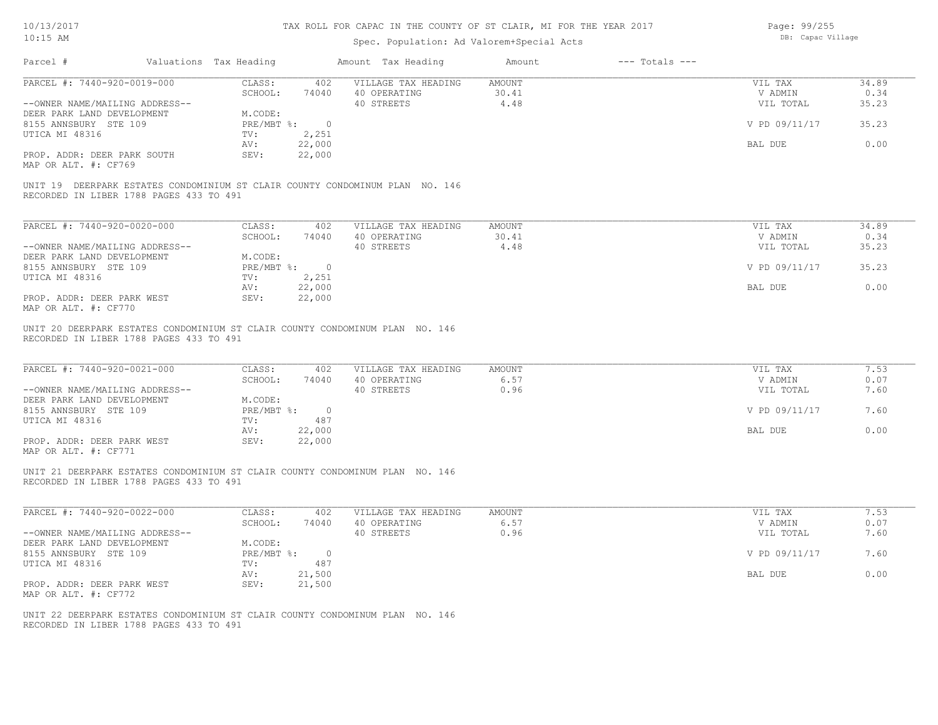# Spec. Population: Ad Valorem+Special Acts

Page: 99/255 DB: Capac Village

| Parcel #                                                                                                                               | Valuations Tax Heading                                               |                       | Amount Tax Heading                                                           | Amount                  | $---$ Totals $---$ |                                                             |                                         |
|----------------------------------------------------------------------------------------------------------------------------------------|----------------------------------------------------------------------|-----------------------|------------------------------------------------------------------------------|-------------------------|--------------------|-------------------------------------------------------------|-----------------------------------------|
| PARCEL #: 7440-920-0019-000<br>--OWNER NAME/MAILING ADDRESS--<br>DEER PARK LAND DEVELOPMENT<br>8155 ANNSBURY STE 109<br>UTICA MI 48316 | CLASS:<br>SCHOOL:<br>M.CODE:<br>PRE/MBT %: 0<br>TV:<br>22,000<br>AV: | 402<br>74040<br>2,251 | VILLAGE TAX HEADING<br>40 OPERATING<br>40 STREETS                            | AMOUNT<br>30.41<br>4.48 |                    | VIL TAX<br>V ADMIN<br>VIL TOTAL<br>V PD 09/11/17<br>BAL DUE | 34.89<br>0.34<br>35.23<br>35.23<br>0.00 |
| PROP. ADDR: DEER PARK SOUTH<br>MAP OR ALT. #: CF769<br>RECORDED IN LIBER 1788 PAGES 433 TO 491                                         | 22,000<br>SEV:                                                       |                       | UNIT 19 DEERPARK ESTATES CONDOMINIUM ST CLAIR COUNTY CONDOMINUM PLAN NO. 146 |                         |                    |                                                             |                                         |
| PARCEL #: 7440-920-0020-000                                                                                                            | CLASS:<br>SCHOOL:                                                    | 402<br>74040          | VILLAGE TAX HEADING<br>40 OPERATING                                          | <b>AMOUNT</b><br>30.41  |                    | VIL TAX<br>V ADMIN                                          | 34.89<br>0.34                           |
| --OWNER NAME/MAILING ADDRESS--                                                                                                         |                                                                      |                       | 40 STREETS                                                                   | 4.48                    |                    | VIL TOTAL                                                   | 35.23                                   |
| DEER PARK LAND DEVELOPMENT<br>8155 ANNSBURY STE 109                                                                                    | M.CODE:<br>$PRE/MBT$ $\frac{1}{6}$ : 0                               |                       |                                                                              |                         |                    | V PD 09/11/17                                               | 35.23                                   |
| UTICA MI 48316                                                                                                                         | 2,251<br>TV:<br>22,000<br>AV:                                        |                       |                                                                              |                         |                    | BAL DUE                                                     | 0.00                                    |
| PROP. ADDR: DEER PARK WEST<br>MAP OR ALT. #: CF770                                                                                     | 22,000<br>SEV:                                                       |                       |                                                                              |                         |                    |                                                             |                                         |
| UNIT 20 DEERPARK ESTATES CONDOMINIUM ST CLAIR COUNTY CONDOMINUM PLAN NO. 146<br>RECORDED IN LIBER 1788 PAGES 433 TO 491                |                                                                      |                       |                                                                              |                         |                    |                                                             |                                         |
| PARCEL #: 7440-920-0021-000                                                                                                            | CLASS:<br>SCHOOL:                                                    | 402<br>74040          | VILLAGE TAX HEADING<br>40 OPERATING                                          | <b>AMOUNT</b><br>6.57   |                    | VIL TAX<br>V ADMIN                                          | 7.53<br>0.07                            |
| --OWNER NAME/MAILING ADDRESS--<br>DEER PARK LAND DEVELOPMENT                                                                           | M.CODE:                                                              |                       | 40 STREETS                                                                   | 0.96                    |                    | VIL TOTAL                                                   | 7.60                                    |
| 8155 ANNSBURY STE 109<br>UTICA MI 48316                                                                                                | PRE/MBT %:<br>TV:                                                    | $\circ$<br>487        |                                                                              |                         |                    | V PD 09/11/17                                               | 7.60                                    |
| PROP. ADDR: DEER PARK WEST<br>MAP OR ALT. #: CF771                                                                                     | 22,000<br>AV:<br>SEV:<br>22,000                                      |                       |                                                                              |                         |                    | BAL DUE                                                     | 0.00                                    |
| UNIT 21 DEERPARK ESTATES CONDOMINIUM ST CLAIR COUNTY CONDOMINUM PLAN NO. 146<br>RECORDED IN LIBER 1788 PAGES 433 TO 491                |                                                                      |                       |                                                                              |                         |                    |                                                             |                                         |
| PARCEL #: 7440-920-0022-000                                                                                                            | CLASS:<br>SCHOOL:                                                    | 402<br>74040          | VILLAGE TAX HEADING<br>40 OPERATING                                          | <b>AMOUNT</b><br>6.57   |                    | VIL TAX<br>V ADMIN                                          | 7.53<br>0.07                            |
| --OWNER NAME/MAILING ADDRESS--<br>DEER PARK LAND DEVELOPMENT                                                                           | M.CODE:                                                              |                       | 40 STREETS                                                                   | 0.96                    |                    | VIL TOTAL                                                   | 7.60                                    |
| 8155 ANNSBURY STE 109                                                                                                                  | PRE/MBT %: 0<br>TV:                                                  | 487                   |                                                                              |                         |                    | V PD 09/11/17                                               | 7.60                                    |
| UTICA MI 48316<br>PROP. ADDR: DEER PARK WEST<br>MAP OR ALT. #: CF772                                                                   | 21,500<br>AV:<br>SEV:<br>21,500                                      |                       |                                                                              |                         |                    | BAL DUE                                                     | 0.00                                    |
| UNIT 22 DEERPARK ESTATES CONDOMINIUM ST CLAIR COUNTY CONDOMINUM PLAN NO. 146<br>RECORDED IN LIBER 1788 PAGES 433 TO 491                |                                                                      |                       |                                                                              |                         |                    |                                                             |                                         |
|                                                                                                                                        |                                                                      |                       |                                                                              |                         |                    |                                                             |                                         |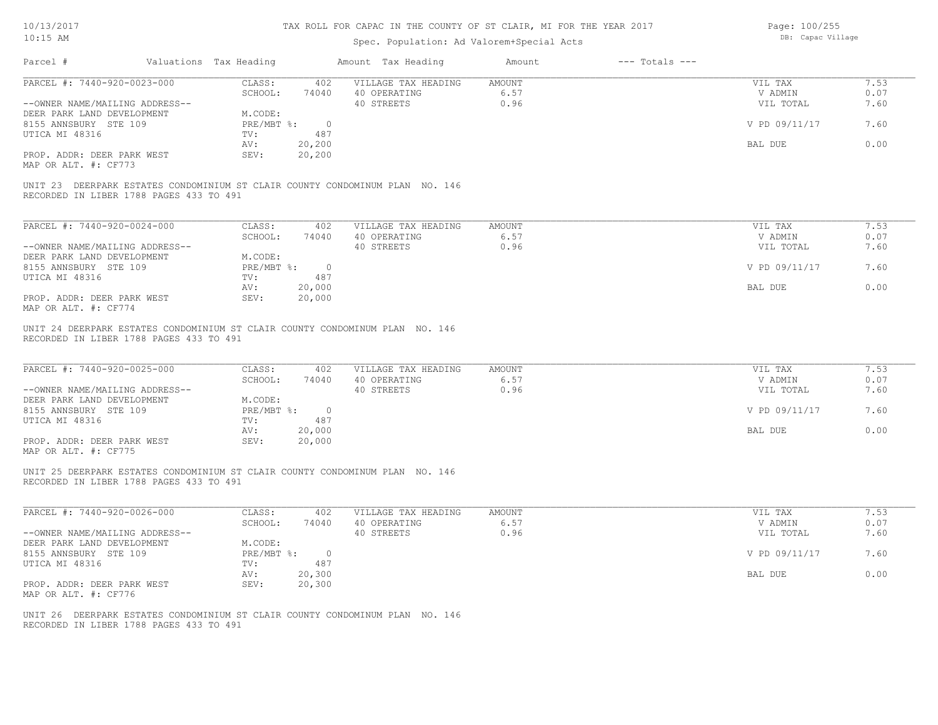# Spec. Population: Ad Valorem+Special Acts

Page: 100/255 DB: Capac Village

| Parcel #                                                                                                                | Valuations Tax Heading |                                    |                         | Amount Tax Heading                                | Amount                        | $---$ Totals $---$ |                                 |                      |
|-------------------------------------------------------------------------------------------------------------------------|------------------------|------------------------------------|-------------------------|---------------------------------------------------|-------------------------------|--------------------|---------------------------------|----------------------|
| PARCEL #: 7440-920-0023-000<br>--OWNER NAME/MAILING ADDRESS--                                                           |                        | CLASS:<br>SCHOOL:                  | 402<br>74040            | VILLAGE TAX HEADING<br>40 OPERATING<br>40 STREETS | <b>AMOUNT</b><br>6.57<br>0.96 |                    | VIL TAX<br>V ADMIN<br>VIL TOTAL | 7.53<br>0.07<br>7.60 |
| DEER PARK LAND DEVELOPMENT<br>8155 ANNSBURY STE 109<br>UTICA MI 48316                                                   |                        | M.CODE:<br>$PRE/MBT$ $\div$<br>TV: | $\overline{0}$<br>487   |                                                   |                               |                    | V PD 09/11/17                   | 7.60                 |
| PROP. ADDR: DEER PARK WEST                                                                                              |                        | AV:<br>SEV:                        | 20,200<br>20,200        |                                                   |                               |                    | BAL DUE                         | 0.00                 |
| MAP OR ALT. #: CF773                                                                                                    |                        |                                    |                         |                                                   |                               |                    |                                 |                      |
| UNIT 23 DEERPARK ESTATES CONDOMINIUM ST CLAIR COUNTY CONDOMINUM PLAN NO. 146<br>RECORDED IN LIBER 1788 PAGES 433 TO 491 |                        |                                    |                         |                                                   |                               |                    |                                 |                      |
| PARCEL #: 7440-920-0024-000                                                                                             |                        | CLASS:                             | 402                     | VILLAGE TAX HEADING                               | AMOUNT                        |                    | VIL TAX                         | 7.53                 |
| --OWNER NAME/MAILING ADDRESS--                                                                                          |                        | SCHOOL:                            | 74040                   | 40 OPERATING<br>40 STREETS                        | 6.57<br>0.96                  |                    | V ADMIN<br>VIL TOTAL            | 0.07<br>7.60         |
| DEER PARK LAND DEVELOPMENT<br>8155 ANNSBURY STE 109                                                                     |                        | M.CODE:                            | PRE/MBT %: 0            |                                                   |                               |                    | V PD 09/11/17                   | 7.60                 |
| UTICA MI 48316<br>PROP. ADDR: DEER PARK WEST                                                                            |                        | TV:<br>AV:<br>SEV:                 | 487<br>20,000<br>20,000 |                                                   |                               |                    | BAL DUE                         | 0.00                 |
| MAP OR ALT. #: CF774                                                                                                    |                        |                                    |                         |                                                   |                               |                    |                                 |                      |
| UNIT 24 DEERPARK ESTATES CONDOMINIUM ST CLAIR COUNTY CONDOMINUM PLAN NO. 146<br>RECORDED IN LIBER 1788 PAGES 433 TO 491 |                        |                                    |                         |                                                   |                               |                    |                                 |                      |
| PARCEL #: 7440-920-0025-000                                                                                             |                        | CLASS:<br>SCHOOL:                  | 402<br>74040            | VILLAGE TAX HEADING<br>40 OPERATING               | <b>AMOUNT</b><br>6.57         |                    | VIL TAX<br>V ADMIN              | 7.53<br>0.07         |
| --OWNER NAME/MAILING ADDRESS--<br>DEER PARK LAND DEVELOPMENT                                                            |                        | M.CODE:                            |                         | 40 STREETS                                        | 0.96                          |                    | VIL TOTAL                       | 7.60                 |
| 8155 ANNSBURY STE 109<br>UTICA MI 48316                                                                                 |                        | $PRE/MBT$ $\div$<br>TV:            | $\overline{0}$<br>487   |                                                   |                               |                    | V PD 09/11/17                   | 7.60                 |
| PROP. ADDR: DEER PARK WEST<br>MAP OR ALT. #: CF775                                                                      |                        | AV:<br>SEV:                        | 20,000<br>20,000        |                                                   |                               |                    | BAL DUE                         | 0.00                 |
| UNIT 25 DEERPARK ESTATES CONDOMINIUM ST CLAIR COUNTY CONDOMINUM PLAN NO. 146<br>RECORDED IN LIBER 1788 PAGES 433 TO 491 |                        |                                    |                         |                                                   |                               |                    |                                 |                      |
| PARCEL #: 7440-920-0026-000                                                                                             |                        | CLASS:<br>SCHOOL:                  | 402<br>74040            | VILLAGE TAX HEADING<br>40 OPERATING               | <b>AMOUNT</b><br>6.57         |                    | VIL TAX<br>V ADMIN              | 7.53<br>0.07         |
| --OWNER NAME/MAILING ADDRESS--<br>DEER PARK LAND DEVELOPMENT                                                            |                        | M.CODE:                            |                         | 40 STREETS                                        | 0.96                          |                    | VIL TOTAL                       | 7.60                 |
| 8155 ANNSBURY STE 109<br>UTICA MI 48316                                                                                 |                        | $PRE/MBT$ $\div$<br>TV:            | $\overline{0}$<br>487   |                                                   |                               |                    | V PD 09/11/17                   | 7.60                 |
| PROP. ADDR: DEER PARK WEST                                                                                              |                        | AV:<br>SEV:                        | 20,300<br>20,300        |                                                   |                               |                    | <b>BAL DUE</b>                  | 0.00                 |
| MAP OR ALT. #: CF776                                                                                                    |                        |                                    |                         |                                                   |                               |                    |                                 |                      |
| UNIT 26 DEERPARK ESTATES CONDOMINIUM ST CLAIR COUNTY CONDOMINUM PLAN NO. 146<br>RECORDED IN LIBER 1788 PAGES 433 TO 491 |                        |                                    |                         |                                                   |                               |                    |                                 |                      |
|                                                                                                                         |                        |                                    |                         |                                                   |                               |                    |                                 |                      |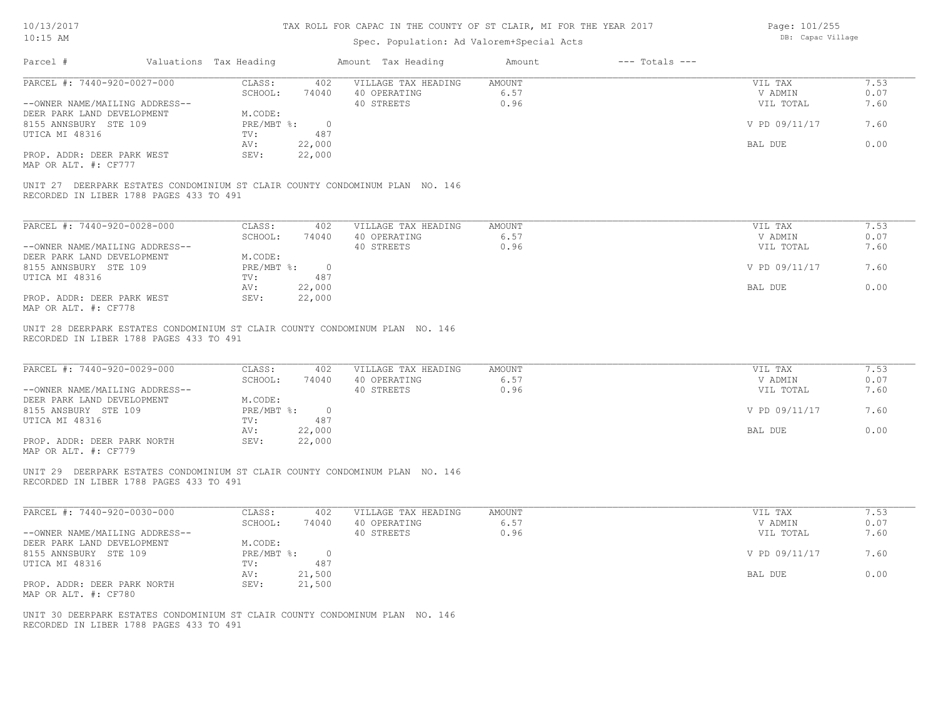# Spec. Population: Ad Valorem+Special Acts

Page: 101/255 DB: Capac Village

| PARCEL #: 7440-920-0027-000<br>CLASS:<br>VILLAGE TAX HEADING<br><b>AMOUNT</b><br>7.53<br>402<br>VIL TAX<br>SCHOOL:<br>74040<br>40 OPERATING<br>6.57<br>0.07<br>V ADMIN<br>0.96<br>7.60<br>--OWNER NAME/MAILING ADDRESS--<br>40 STREETS<br>VIL TOTAL<br>DEER PARK LAND DEVELOPMENT<br>M.CODE:<br>$PRE/MBT$ $\div$<br>V PD 09/11/17<br>7.60<br>8155 ANNSBURY STE 109<br>$\circ$<br>487<br>UTICA MI 48316<br>TV:<br>22,000<br>BAL DUE<br>0.00<br>AV:<br>PROP. ADDR: DEER PARK WEST<br>SEV:<br>22,000<br>MAP OR ALT. #: CF777<br>UNIT 27 DEERPARK ESTATES CONDOMINIUM ST CLAIR COUNTY CONDOMINUM PLAN NO. 146<br>RECORDED IN LIBER 1788 PAGES 433 TO 491<br>PARCEL #: 7440-920-0028-000<br>CLASS:<br>VILLAGE TAX HEADING<br><b>AMOUNT</b><br>VIL TAX<br>7.53<br>402<br>SCHOOL:<br>74040<br>40 OPERATING<br>6.57<br>V ADMIN<br>0.07<br>0.96<br>7.60<br>--OWNER NAME/MAILING ADDRESS--<br>40 STREETS<br>VIL TOTAL<br>DEER PARK LAND DEVELOPMENT<br>M.CODE:<br>$PRE/MBT$ $\div$<br>V PD 09/11/17<br>7.60<br>8155 ANNSBURY STE 109<br>$\circ$<br>UTICA MI 48316<br>TV:<br>487<br>22,000<br>0.00<br>BAL DUE<br>AV:<br>PROP. ADDR: DEER PARK WEST<br>SEV:<br>22,000<br>MAP OR ALT. #: CF778<br>UNIT 28 DEERPARK ESTATES CONDOMINIUM ST CLAIR COUNTY CONDOMINUM PLAN NO. 146<br>RECORDED IN LIBER 1788 PAGES 433 TO 491<br>PARCEL #: 7440-920-0029-000<br>7.53<br>CLASS:<br>402<br>VILLAGE TAX HEADING<br><b>AMOUNT</b><br>VIL TAX<br>SCHOOL:<br>6.57<br>0.07<br>74040<br>40 OPERATING<br>V ADMIN<br>7.60<br>--OWNER NAME/MAILING ADDRESS--<br>40 STREETS<br>0.96<br>VIL TOTAL<br>DEER PARK LAND DEVELOPMENT<br>M.CODE:<br>V PD 09/11/17<br>7.60<br>8155 ANSBURY STE 109<br>$PRE/MBT$ %:<br>$\circ$<br>487<br>UTICA MI 48316<br>TV:<br>22,000<br>0.00<br>AV:<br>BAL DUE<br>PROP. ADDR: DEER PARK NORTH<br>SEV:<br>22,000<br>MAP OR ALT. #: CF779<br>UNIT 29 DEERPARK ESTATES CONDOMINIUM ST CLAIR COUNTY CONDOMINUM PLAN NO. 146<br>RECORDED IN LIBER 1788 PAGES 433 TO 491<br>PARCEL #: 7440-920-0030-000<br>CLASS:<br>VILLAGE TAX HEADING<br><b>AMOUNT</b><br>7.53<br>402<br>VIL TAX<br>SCHOOL:<br>40 OPERATING<br>6.57<br>0.07<br>74040<br>V ADMIN<br>7.60<br>--OWNER NAME/MAILING ADDRESS--<br>40 STREETS<br>0.96<br>VIL TOTAL<br>DEER PARK LAND DEVELOPMENT<br>M.CODE:<br>8155 ANNSBURY STE 109<br>$PRE/MBT$ $\div$<br>$\overline{0}$<br>V PD 09/11/17<br>7.60<br>UTICA MI 48316<br>487<br>TV:<br>0.00<br>21,500<br>BAL DUE<br>AV:<br>PROP. ADDR: DEER PARK NORTH<br>SEV:<br>21,500<br>MAP OR ALT. #: CF780<br>UNIT 30 DEERPARK ESTATES CONDOMINIUM ST CLAIR COUNTY CONDOMINUM PLAN NO. 146<br>RECORDED IN LIBER 1788 PAGES 433 TO 491 | Parcel # | Valuations Tax Heading | Amount Tax Heading | Amount | $---$ Totals $---$ |  |
|----------------------------------------------------------------------------------------------------------------------------------------------------------------------------------------------------------------------------------------------------------------------------------------------------------------------------------------------------------------------------------------------------------------------------------------------------------------------------------------------------------------------------------------------------------------------------------------------------------------------------------------------------------------------------------------------------------------------------------------------------------------------------------------------------------------------------------------------------------------------------------------------------------------------------------------------------------------------------------------------------------------------------------------------------------------------------------------------------------------------------------------------------------------------------------------------------------------------------------------------------------------------------------------------------------------------------------------------------------------------------------------------------------------------------------------------------------------------------------------------------------------------------------------------------------------------------------------------------------------------------------------------------------------------------------------------------------------------------------------------------------------------------------------------------------------------------------------------------------------------------------------------------------------------------------------------------------------------------------------------------------------------------------------------------------------------------------------------------------------------------------------------------------------------------------------------------------------------------------------------------------------------------------------------------------------------------------------------------------------------------------------------------------------------------------------------------------------------------------------------------------------------------------------------------------------------------------------------------------------------------------|----------|------------------------|--------------------|--------|--------------------|--|
|                                                                                                                                                                                                                                                                                                                                                                                                                                                                                                                                                                                                                                                                                                                                                                                                                                                                                                                                                                                                                                                                                                                                                                                                                                                                                                                                                                                                                                                                                                                                                                                                                                                                                                                                                                                                                                                                                                                                                                                                                                                                                                                                                                                                                                                                                                                                                                                                                                                                                                                                                                                                                                  |          |                        |                    |        |                    |  |
|                                                                                                                                                                                                                                                                                                                                                                                                                                                                                                                                                                                                                                                                                                                                                                                                                                                                                                                                                                                                                                                                                                                                                                                                                                                                                                                                                                                                                                                                                                                                                                                                                                                                                                                                                                                                                                                                                                                                                                                                                                                                                                                                                                                                                                                                                                                                                                                                                                                                                                                                                                                                                                  |          |                        |                    |        |                    |  |
|                                                                                                                                                                                                                                                                                                                                                                                                                                                                                                                                                                                                                                                                                                                                                                                                                                                                                                                                                                                                                                                                                                                                                                                                                                                                                                                                                                                                                                                                                                                                                                                                                                                                                                                                                                                                                                                                                                                                                                                                                                                                                                                                                                                                                                                                                                                                                                                                                                                                                                                                                                                                                                  |          |                        |                    |        |                    |  |
|                                                                                                                                                                                                                                                                                                                                                                                                                                                                                                                                                                                                                                                                                                                                                                                                                                                                                                                                                                                                                                                                                                                                                                                                                                                                                                                                                                                                                                                                                                                                                                                                                                                                                                                                                                                                                                                                                                                                                                                                                                                                                                                                                                                                                                                                                                                                                                                                                                                                                                                                                                                                                                  |          |                        |                    |        |                    |  |
|                                                                                                                                                                                                                                                                                                                                                                                                                                                                                                                                                                                                                                                                                                                                                                                                                                                                                                                                                                                                                                                                                                                                                                                                                                                                                                                                                                                                                                                                                                                                                                                                                                                                                                                                                                                                                                                                                                                                                                                                                                                                                                                                                                                                                                                                                                                                                                                                                                                                                                                                                                                                                                  |          |                        |                    |        |                    |  |
|                                                                                                                                                                                                                                                                                                                                                                                                                                                                                                                                                                                                                                                                                                                                                                                                                                                                                                                                                                                                                                                                                                                                                                                                                                                                                                                                                                                                                                                                                                                                                                                                                                                                                                                                                                                                                                                                                                                                                                                                                                                                                                                                                                                                                                                                                                                                                                                                                                                                                                                                                                                                                                  |          |                        |                    |        |                    |  |
|                                                                                                                                                                                                                                                                                                                                                                                                                                                                                                                                                                                                                                                                                                                                                                                                                                                                                                                                                                                                                                                                                                                                                                                                                                                                                                                                                                                                                                                                                                                                                                                                                                                                                                                                                                                                                                                                                                                                                                                                                                                                                                                                                                                                                                                                                                                                                                                                                                                                                                                                                                                                                                  |          |                        |                    |        |                    |  |
|                                                                                                                                                                                                                                                                                                                                                                                                                                                                                                                                                                                                                                                                                                                                                                                                                                                                                                                                                                                                                                                                                                                                                                                                                                                                                                                                                                                                                                                                                                                                                                                                                                                                                                                                                                                                                                                                                                                                                                                                                                                                                                                                                                                                                                                                                                                                                                                                                                                                                                                                                                                                                                  |          |                        |                    |        |                    |  |
|                                                                                                                                                                                                                                                                                                                                                                                                                                                                                                                                                                                                                                                                                                                                                                                                                                                                                                                                                                                                                                                                                                                                                                                                                                                                                                                                                                                                                                                                                                                                                                                                                                                                                                                                                                                                                                                                                                                                                                                                                                                                                                                                                                                                                                                                                                                                                                                                                                                                                                                                                                                                                                  |          |                        |                    |        |                    |  |
|                                                                                                                                                                                                                                                                                                                                                                                                                                                                                                                                                                                                                                                                                                                                                                                                                                                                                                                                                                                                                                                                                                                                                                                                                                                                                                                                                                                                                                                                                                                                                                                                                                                                                                                                                                                                                                                                                                                                                                                                                                                                                                                                                                                                                                                                                                                                                                                                                                                                                                                                                                                                                                  |          |                        |                    |        |                    |  |
|                                                                                                                                                                                                                                                                                                                                                                                                                                                                                                                                                                                                                                                                                                                                                                                                                                                                                                                                                                                                                                                                                                                                                                                                                                                                                                                                                                                                                                                                                                                                                                                                                                                                                                                                                                                                                                                                                                                                                                                                                                                                                                                                                                                                                                                                                                                                                                                                                                                                                                                                                                                                                                  |          |                        |                    |        |                    |  |
|                                                                                                                                                                                                                                                                                                                                                                                                                                                                                                                                                                                                                                                                                                                                                                                                                                                                                                                                                                                                                                                                                                                                                                                                                                                                                                                                                                                                                                                                                                                                                                                                                                                                                                                                                                                                                                                                                                                                                                                                                                                                                                                                                                                                                                                                                                                                                                                                                                                                                                                                                                                                                                  |          |                        |                    |        |                    |  |
|                                                                                                                                                                                                                                                                                                                                                                                                                                                                                                                                                                                                                                                                                                                                                                                                                                                                                                                                                                                                                                                                                                                                                                                                                                                                                                                                                                                                                                                                                                                                                                                                                                                                                                                                                                                                                                                                                                                                                                                                                                                                                                                                                                                                                                                                                                                                                                                                                                                                                                                                                                                                                                  |          |                        |                    |        |                    |  |
|                                                                                                                                                                                                                                                                                                                                                                                                                                                                                                                                                                                                                                                                                                                                                                                                                                                                                                                                                                                                                                                                                                                                                                                                                                                                                                                                                                                                                                                                                                                                                                                                                                                                                                                                                                                                                                                                                                                                                                                                                                                                                                                                                                                                                                                                                                                                                                                                                                                                                                                                                                                                                                  |          |                        |                    |        |                    |  |
|                                                                                                                                                                                                                                                                                                                                                                                                                                                                                                                                                                                                                                                                                                                                                                                                                                                                                                                                                                                                                                                                                                                                                                                                                                                                                                                                                                                                                                                                                                                                                                                                                                                                                                                                                                                                                                                                                                                                                                                                                                                                                                                                                                                                                                                                                                                                                                                                                                                                                                                                                                                                                                  |          |                        |                    |        |                    |  |
|                                                                                                                                                                                                                                                                                                                                                                                                                                                                                                                                                                                                                                                                                                                                                                                                                                                                                                                                                                                                                                                                                                                                                                                                                                                                                                                                                                                                                                                                                                                                                                                                                                                                                                                                                                                                                                                                                                                                                                                                                                                                                                                                                                                                                                                                                                                                                                                                                                                                                                                                                                                                                                  |          |                        |                    |        |                    |  |
|                                                                                                                                                                                                                                                                                                                                                                                                                                                                                                                                                                                                                                                                                                                                                                                                                                                                                                                                                                                                                                                                                                                                                                                                                                                                                                                                                                                                                                                                                                                                                                                                                                                                                                                                                                                                                                                                                                                                                                                                                                                                                                                                                                                                                                                                                                                                                                                                                                                                                                                                                                                                                                  |          |                        |                    |        |                    |  |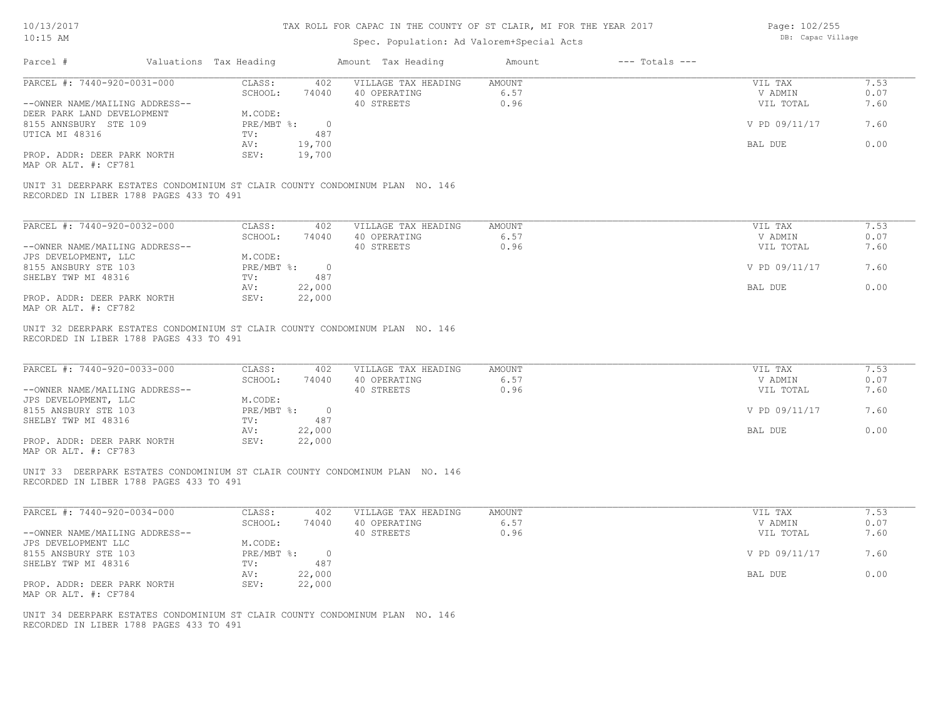# Spec. Population: Ad Valorem+Special Acts

| Page: 102/255     |
|-------------------|
| DB: Capac Village |

| Parcel #                                                                                                                                                            | Valuations Tax Heading |                                                                                                               | Amount Tax Heading                                                           | Amount                        | $---$ Totals $---$ |                                                             |                                      |
|---------------------------------------------------------------------------------------------------------------------------------------------------------------------|------------------------|---------------------------------------------------------------------------------------------------------------|------------------------------------------------------------------------------|-------------------------------|--------------------|-------------------------------------------------------------|--------------------------------------|
| PARCEL #: 7440-920-0031-000<br>--OWNER NAME/MAILING ADDRESS--                                                                                                       |                        | CLASS:<br>402<br>SCHOOL:<br>74040                                                                             | VILLAGE TAX HEADING<br>40 OPERATING<br>40 STREETS                            | <b>AMOUNT</b><br>6.57<br>0.96 |                    | VIL TAX<br>V ADMIN<br>VIL TOTAL                             | 7.53<br>0.07<br>7.60                 |
| DEER PARK LAND DEVELOPMENT<br>8155 ANNSBURY STE 109                                                                                                                 |                        | M.CODE:<br>$PRE/MBT$ $\div$<br>$\overline{0}$                                                                 |                                                                              |                               |                    | V PD 09/11/17                                               | 7.60                                 |
| UTICA MI 48316                                                                                                                                                      |                        | 487<br>TV:<br>AV:<br>19,700                                                                                   |                                                                              |                               |                    | BAL DUE                                                     | 0.00                                 |
| PROP. ADDR: DEER PARK NORTH<br>MAP OR ALT. #: CF781                                                                                                                 |                        | SEV:<br>19,700                                                                                                |                                                                              |                               |                    |                                                             |                                      |
| RECORDED IN LIBER 1788 PAGES 433 TO 491                                                                                                                             |                        |                                                                                                               | UNIT 31 DEERPARK ESTATES CONDOMINIUM ST CLAIR COUNTY CONDOMINUM PLAN NO. 146 |                               |                    |                                                             |                                      |
| PARCEL #: 7440-920-0032-000                                                                                                                                         |                        | CLASS:<br>402                                                                                                 | VILLAGE TAX HEADING                                                          | <b>AMOUNT</b>                 |                    | VIL TAX                                                     | 7.53                                 |
|                                                                                                                                                                     |                        | SCHOOL:<br>74040                                                                                              | 40 OPERATING                                                                 | 6.57                          |                    | V ADMIN                                                     | 0.07                                 |
| --OWNER NAME/MAILING ADDRESS--                                                                                                                                      |                        |                                                                                                               | 40 STREETS                                                                   | 0.96                          |                    | VIL TOTAL                                                   | 7.60                                 |
| JPS DEVELOPMENT, LLC                                                                                                                                                |                        | M.CODE:                                                                                                       |                                                                              |                               |                    |                                                             |                                      |
| 8155 ANSBURY STE 103                                                                                                                                                |                        | $PRE/MBT$ %:<br>$\overline{0}$                                                                                |                                                                              |                               |                    | V PD 09/11/17                                               | 7.60                                 |
| SHELBY TWP MI 48316                                                                                                                                                 |                        | 487<br>TV:                                                                                                    |                                                                              |                               |                    |                                                             |                                      |
| PROP. ADDR: DEER PARK NORTH                                                                                                                                         |                        | AV:<br>22,000<br>SEV:<br>22,000                                                                               |                                                                              |                               |                    | BAL DUE                                                     | 0.00                                 |
| MAP OR ALT. #: CF782                                                                                                                                                |                        |                                                                                                               |                                                                              |                               |                    |                                                             |                                      |
| PARCEL #: 7440-920-0033-000<br>--OWNER NAME/MAILING ADDRESS--<br>JPS DEVELOPMENT, LLC<br>8155 ANSBURY STE 103<br>SHELBY TWP MI 48316<br>PROP. ADDR: DEER PARK NORTH |                        | CLASS:<br>402<br>SCHOOL:<br>74040<br>M.CODE:<br>PRE/MBT %: 0<br>487<br>TV:<br>22,000<br>AV:<br>22,000<br>SEV: | VILLAGE TAX HEADING<br>40 OPERATING<br>40 STREETS                            | <b>AMOUNT</b><br>6.57<br>0.96 |                    | VIL TAX<br>V ADMIN<br>VIL TOTAL<br>V PD 09/11/17<br>BAL DUE | 7.53<br>0.07<br>7.60<br>7.60<br>0.00 |
| MAP OR ALT. #: CF783<br>RECORDED IN LIBER 1788 PAGES 433 TO 491                                                                                                     |                        |                                                                                                               | UNIT 33 DEERPARK ESTATES CONDOMINIUM ST CLAIR COUNTY CONDOMINUM PLAN NO. 146 |                               |                    |                                                             |                                      |
| PARCEL #: 7440-920-0034-000                                                                                                                                         |                        | CLASS:<br>402                                                                                                 | VILLAGE TAX HEADING                                                          | <b>AMOUNT</b>                 |                    | VIL TAX                                                     | 7.53                                 |
|                                                                                                                                                                     |                        | SCHOOL:<br>74040                                                                                              | 40 OPERATING                                                                 | 6.57                          |                    | V ADMIN                                                     | 0.07                                 |
| --OWNER NAME/MAILING ADDRESS--                                                                                                                                      |                        |                                                                                                               | 40 STREETS                                                                   | 0.96                          |                    | VIL TOTAL                                                   | 7.60                                 |
| JPS DEVELOPMENT LLC                                                                                                                                                 |                        | M.CODE:                                                                                                       |                                                                              |                               |                    |                                                             |                                      |
| 8155 ANSBURY STE 103                                                                                                                                                |                        | $PRE/MBT$ %:<br>$\overline{0}$                                                                                |                                                                              |                               |                    | V PD 09/11/17                                               | 7.60                                 |
| SHELBY TWP MI 48316                                                                                                                                                 |                        | 487<br>TV:<br>22,000<br>AV:                                                                                   |                                                                              |                               |                    | BAL DUE                                                     | 0.00                                 |
| PROP. ADDR: DEER PARK NORTH<br>MAP OR ALT. #: CF784                                                                                                                 |                        | 22,000<br>SEV:                                                                                                |                                                                              |                               |                    |                                                             |                                      |
| RECORDED IN LIBER 1788 PAGES 433 TO 491                                                                                                                             |                        |                                                                                                               | UNIT 34 DEERPARK ESTATES CONDOMINIUM ST CLAIR COUNTY CONDOMINUM PLAN NO. 146 |                               |                    |                                                             |                                      |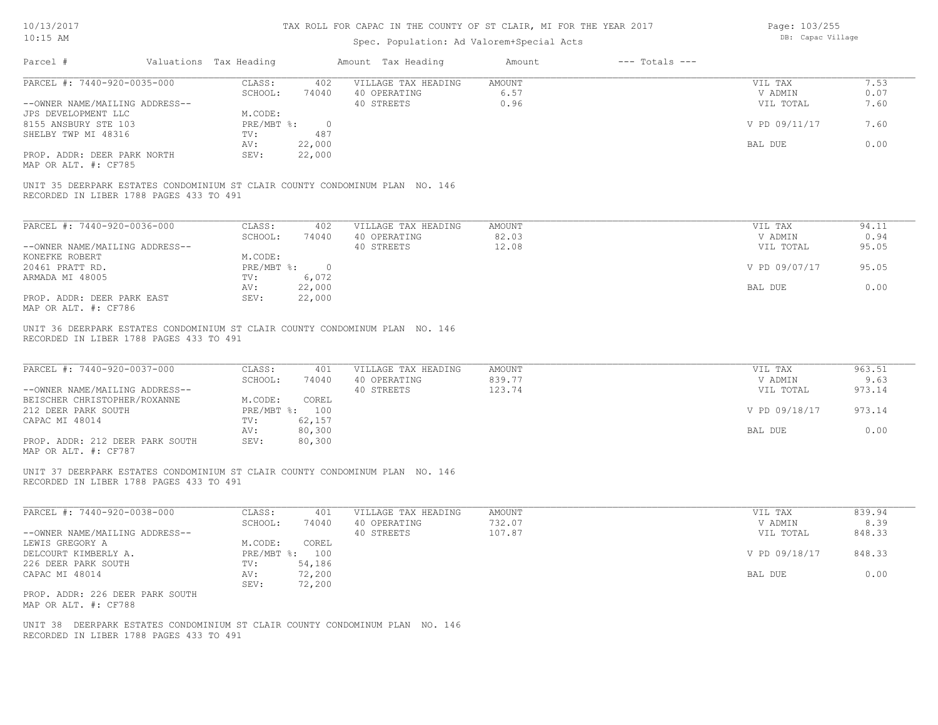# Spec. Population: Ad Valorem+Special Acts

Page: 103/255 DB: Capac Village

| PARCEL #: 7440-920-0035-000                                                                                             |                             |                            |               |               |              |
|-------------------------------------------------------------------------------------------------------------------------|-----------------------------|----------------------------|---------------|---------------|--------------|
|                                                                                                                         | CLASS:<br>402               | VILLAGE TAX HEADING        | <b>AMOUNT</b> | VIL TAX       | 7.53         |
| --OWNER NAME/MAILING ADDRESS--                                                                                          | SCHOOL:<br>74040            | 40 OPERATING<br>40 STREETS | 6.57<br>0.96  | V ADMIN       | 0.07<br>7.60 |
| JPS DEVELOPMENT LLC                                                                                                     | M.CODE:                     |                            |               | VIL TOTAL     |              |
| 8155 ANSBURY STE 103                                                                                                    | $PRE/MBT$ $\div$<br>$\circ$ |                            |               | V PD 09/11/17 | 7.60         |
| SHELBY TWP MI 48316                                                                                                     | 487<br>TV:                  |                            |               |               |              |
|                                                                                                                         | 22,000<br>AV:               |                            |               | BAL DUE       | 0.00         |
| PROP. ADDR: DEER PARK NORTH                                                                                             | SEV:<br>22,000              |                            |               |               |              |
| MAP OR ALT. #: CF785                                                                                                    |                             |                            |               |               |              |
| UNIT 35 DEERPARK ESTATES CONDOMINIUM ST CLAIR COUNTY CONDOMINUM PLAN NO. 146<br>RECORDED IN LIBER 1788 PAGES 433 TO 491 |                             |                            |               |               |              |
|                                                                                                                         |                             |                            |               |               |              |
| PARCEL #: 7440-920-0036-000                                                                                             | CLASS:<br>402               | VILLAGE TAX HEADING        | <b>AMOUNT</b> | VIL TAX       | 94.11        |
|                                                                                                                         | SCHOOL:<br>74040            | 40 OPERATING               | 82.03         | V ADMIN       | 0.94         |
| --OWNER NAME/MAILING ADDRESS--                                                                                          |                             | 40 STREETS                 | 12.08         | VIL TOTAL     | 95.05        |
| KONEFKE ROBERT                                                                                                          | M.CODE:                     |                            |               |               |              |
| 20461 PRATT RD.                                                                                                         | PRE/MBT %: 0                |                            |               | V PD 09/07/17 | 95.05        |
| ARMADA MI 48005                                                                                                         | 6,072<br>TV:                |                            |               |               |              |
|                                                                                                                         | 22,000<br>AV:               |                            |               | BAL DUE       | 0.00         |
| PROP. ADDR: DEER PARK EAST<br>MAP OR ALT. #: CF786                                                                      | 22,000<br>SEV:              |                            |               |               |              |
| PARCEL #: 7440-920-0037-000                                                                                             | CLASS:<br>401               | VILLAGE TAX HEADING        | <b>AMOUNT</b> | VIL TAX       | 963.51       |
|                                                                                                                         | SCHOOL:<br>74040            |                            | 839.77        | V ADMIN       | 9.63         |
| --OWNER NAME/MAILING ADDRESS--                                                                                          |                             | 40 OPERATING<br>40 STREETS | 123.74        | VIL TOTAL     | 973.14       |
| BEISCHER CHRISTOPHER/ROXANNE                                                                                            | M.CODE:<br>COREL            |                            |               |               |              |
| 212 DEER PARK SOUTH                                                                                                     | PRE/MBT %: 100              |                            |               | V PD 09/18/17 | 973.14       |
| CAPAC MI 48014                                                                                                          | 62,157<br>TV:               |                            |               |               |              |
|                                                                                                                         | 80,300<br>AV:               |                            |               | BAL DUE       | 0.00         |
| PROP. ADDR: 212 DEER PARK SOUTH<br>MAP OR ALT. #: CF787                                                                 | SEV:<br>80,300              |                            |               |               |              |
| UNIT 37 DEERPARK ESTATES CONDOMINIUM ST CLAIR COUNTY CONDOMINUM PLAN NO. 146<br>RECORDED IN LIBER 1788 PAGES 433 TO 491 |                             |                            |               |               |              |
|                                                                                                                         |                             |                            |               |               |              |
| PARCEL #: 7440-920-0038-000                                                                                             | CLASS:<br>401               | VILLAGE TAX HEADING        | <b>AMOUNT</b> | VIL TAX       | 839.94       |
|                                                                                                                         | SCHOOL:<br>74040            | 40 OPERATING               | 732.07        | V ADMIN       | 8.39         |
| --OWNER NAME/MAILING ADDRESS--                                                                                          |                             | 40 STREETS                 | 107.87        | VIL TOTAL     | 848.33       |
| LEWIS GREGORY A                                                                                                         | M.CODE:<br>COREL            |                            |               |               |              |
| DELCOURT KIMBERLY A.                                                                                                    | PRE/MBT %: 100              |                            |               | V PD 09/18/17 | 848.33       |
| 226 DEER PARK SOUTH                                                                                                     | 54,186<br>TV:               |                            |               |               |              |
| CAPAC MI 48014                                                                                                          | 72,200<br>AV:               |                            |               | BAL DUE       | 0.00         |
| PROP. ADDR: 226 DEER PARK SOUTH<br>MAP OR ALT. #: CF788                                                                 | 72,200<br>SEV:              |                            |               |               |              |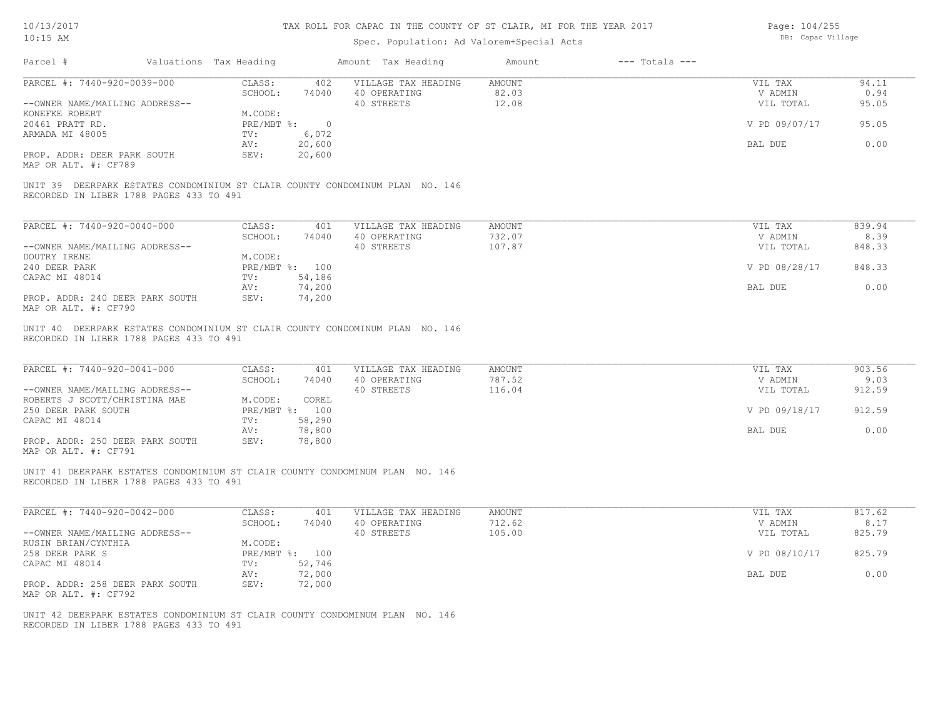10/13/2017 10:15 AM

# TAX ROLL FOR CAPAC IN THE COUNTY OF ST CLAIR, MI FOR THE YEAR 2017

# Spec. Population: Ad Valorem+Special Acts

Page: 104/255 DB: Capac Village

| Parcel #                                                                                                                | Valuations Tax Heading |                |        | Amount Tax Heading  | Amount        | $---$ Totals $---$ |               |        |
|-------------------------------------------------------------------------------------------------------------------------|------------------------|----------------|--------|---------------------|---------------|--------------------|---------------|--------|
| PARCEL #: 7440-920-0039-000                                                                                             |                        | CLASS:         | 402    | VILLAGE TAX HEADING | AMOUNT        |                    | VIL TAX       | 94.11  |
|                                                                                                                         |                        | SCHOOL:        | 74040  | 40 OPERATING        | 82.03         |                    | V ADMIN       | 0.94   |
| --OWNER NAME/MAILING ADDRESS--                                                                                          |                        |                |        | 40 STREETS          | 12.08         |                    | VIL TOTAL     | 95.05  |
| KONEFKE ROBERT                                                                                                          |                        | M.CODE:        |        |                     |               |                    |               |        |
| 20461 PRATT RD.                                                                                                         |                        | PRE/MBT %: 0   |        |                     |               |                    | V PD 09/07/17 | 95.05  |
| ARMADA MI 48005                                                                                                         |                        | TV:            | 6,072  |                     |               |                    |               |        |
|                                                                                                                         |                        | AV:            | 20,600 |                     |               |                    | BAL DUE       | 0.00   |
| PROP. ADDR: DEER PARK SOUTH                                                                                             |                        | SEV:           | 20,600 |                     |               |                    |               |        |
| MAP OR ALT. #: CF789                                                                                                    |                        |                |        |                     |               |                    |               |        |
|                                                                                                                         |                        |                |        |                     |               |                    |               |        |
| UNIT 39 DEERPARK ESTATES CONDOMINIUM ST CLAIR COUNTY CONDOMINUM PLAN NO. 146<br>RECORDED IN LIBER 1788 PAGES 433 TO 491 |                        |                |        |                     |               |                    |               |        |
|                                                                                                                         |                        |                |        |                     |               |                    |               |        |
| PARCEL #: 7440-920-0040-000                                                                                             |                        | CLASS:         | 401    | VILLAGE TAX HEADING | AMOUNT        |                    | VIL TAX       | 839.94 |
|                                                                                                                         |                        | SCHOOL:        | 74040  | 40 OPERATING        | 732.07        |                    | V ADMIN       | 8.39   |
| --OWNER NAME/MAILING ADDRESS--                                                                                          |                        |                |        | 40 STREETS          | 107.87        |                    | VIL TOTAL     | 848.33 |
| DOUTRY IRENE                                                                                                            |                        | M.CODE:        |        |                     |               |                    |               |        |
| 240 DEER PARK                                                                                                           |                        | PRE/MBT %: 100 |        |                     |               |                    | V PD 08/28/17 | 848.33 |
| CAPAC MI 48014                                                                                                          |                        | TV:            | 54,186 |                     |               |                    |               |        |
|                                                                                                                         |                        | AV:            | 74,200 |                     |               |                    | BAL DUE       | 0.00   |
|                                                                                                                         |                        | SEV:           |        |                     |               |                    |               |        |
| PROP. ADDR: 240 DEER PARK SOUTH<br>MAP OR ALT. #: CF790                                                                 |                        |                | 74,200 |                     |               |                    |               |        |
|                                                                                                                         |                        |                |        |                     |               |                    |               |        |
| RECORDED IN LIBER 1788 PAGES 433 TO 491                                                                                 |                        |                |        |                     |               |                    |               |        |
| PARCEL #: 7440-920-0041-000                                                                                             |                        | CLASS:         | 401    | VILLAGE TAX HEADING | <b>AMOUNT</b> |                    | VIL TAX       | 903.56 |
|                                                                                                                         |                        | SCHOOL:        | 74040  | 40 OPERATING        | 787.52        |                    | V ADMIN       | 9.03   |
| --OWNER NAME/MAILING ADDRESS--                                                                                          |                        |                |        | 40 STREETS          | 116.04        |                    | VIL TOTAL     | 912.59 |
| ROBERTS J SCOTT/CHRISTINA MAE                                                                                           |                        | M.CODE:        | COREL  |                     |               |                    |               |        |
| 250 DEER PARK SOUTH                                                                                                     |                        | PRE/MBT %: 100 |        |                     |               |                    | V PD 09/18/17 | 912.59 |
| CAPAC MI 48014                                                                                                          |                        | TV:            | 58,290 |                     |               |                    |               |        |
|                                                                                                                         |                        | AV:            | 78,800 |                     |               |                    | BAL DUE       | 0.00   |
| PROP. ADDR: 250 DEER PARK SOUTH                                                                                         |                        | SEV:           | 78,800 |                     |               |                    |               |        |
| MAP OR ALT. #: CF791                                                                                                    |                        |                |        |                     |               |                    |               |        |
|                                                                                                                         |                        |                |        |                     |               |                    |               |        |
| UNIT 41 DEERPARK ESTATES CONDOMINIUM ST CLAIR COUNTY CONDOMINUM PLAN NO. 146<br>RECORDED IN LIBER 1788 PAGES 433 TO 491 |                        |                |        |                     |               |                    |               |        |
| PARCEL #: 7440-920-0042-000                                                                                             |                        | CLASS:         | 401    | VILLAGE TAX HEADING | AMOUNT        |                    | VIL TAX       | 817.62 |
|                                                                                                                         |                        | SCHOOL:        | 74040  | 40 OPERATING        | 712.62        |                    | V ADMIN       | 8.17   |
| --OWNER NAME/MAILING ADDRESS--                                                                                          |                        |                |        | 40 STREETS          | 105.00        |                    | VIL TOTAL     | 825.79 |
| RUSIN BRIAN/CYNTHIA                                                                                                     |                        | M.CODE:        |        |                     |               |                    |               |        |
| 258 DEER PARK S                                                                                                         |                        | PRE/MBT %: 100 |        |                     |               |                    | V PD 08/10/17 | 825.79 |
| CAPAC MI 48014                                                                                                          |                        | TV:            | 52,746 |                     |               |                    |               |        |
|                                                                                                                         |                        |                |        |                     |               |                    |               | 0.00   |
|                                                                                                                         |                        | AV:            | 72,000 |                     |               |                    | BAL DUE       |        |
| PROP. ADDR: 258 DEER PARK SOUTH                                                                                         |                        | SEV:           | 72,000 |                     |               |                    |               |        |
| MAP OR ALT. #: CF792                                                                                                    |                        |                |        |                     |               |                    |               |        |
| UNIT 42 DEERPARK ESTATES CONDOMINIUM ST CLAIR COUNTY CONDOMINUM PLAN NO. 146<br>RECORDED IN LIBER 1788 PAGES 433 TO 491 |                        |                |        |                     |               |                    |               |        |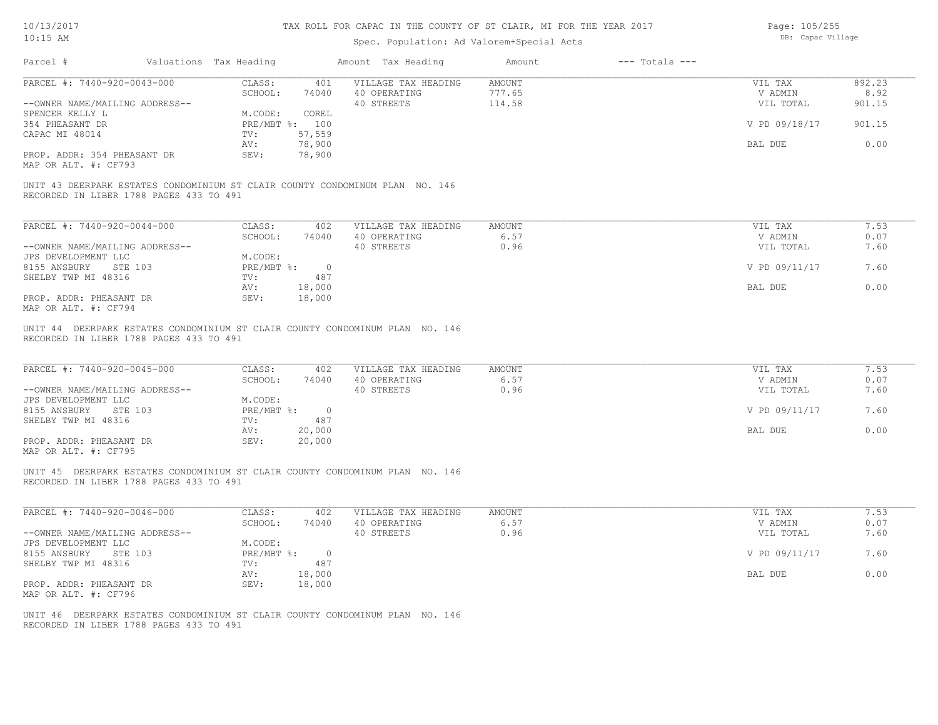# Spec. Population: Ad Valorem+Special Acts

Page: 105/255 DB: Capac Village

| PARCEL #: 7440-920-0043-000                                                          | Valuations Tax Heading      |                  | Amount Tax Heading                                                           | Amount                        | $---$ Totals $---$ |                    |                |
|--------------------------------------------------------------------------------------|-----------------------------|------------------|------------------------------------------------------------------------------|-------------------------------|--------------------|--------------------|----------------|
|                                                                                      | CLASS:<br>SCHOOL:           | 401<br>74040     | VILLAGE TAX HEADING<br>40 OPERATING                                          | <b>AMOUNT</b><br>777.65       |                    | VIL TAX<br>V ADMIN | 892.23<br>8.92 |
| --OWNER NAME/MAILING ADDRESS--                                                       |                             |                  | 40 STREETS                                                                   | 114.58                        |                    | VIL TOTAL          | 901.15         |
| SPENCER KELLY L                                                                      | M.CODE:                     | COREL            |                                                                              |                               |                    |                    |                |
| 354 PHEASANT DR                                                                      | PRE/MBT %: 100              |                  |                                                                              |                               |                    | V PD 09/18/17      | 901.15         |
| CAPAC MI 48014                                                                       | TV:                         | 57,559           |                                                                              |                               |                    |                    |                |
|                                                                                      | AV:                         | 78,900           |                                                                              |                               |                    | BAL DUE            | 0.00           |
| PROP. ADDR: 354 PHEASANT DR<br>MAP OR ALT. #: CF793                                  | SEV:                        | 78,900           |                                                                              |                               |                    |                    |                |
| RECORDED IN LIBER 1788 PAGES 433 TO 491                                              |                             |                  | UNIT 43 DEERPARK ESTATES CONDOMINIUM ST CLAIR COUNTY CONDOMINUM PLAN NO. 146 |                               |                    |                    |                |
|                                                                                      |                             |                  |                                                                              |                               |                    |                    |                |
| PARCEL #: 7440-920-0044-000                                                          | CLASS:<br>SCHOOL:           | 402<br>74040     | VILLAGE TAX HEADING<br>40 OPERATING                                          | <b>AMOUNT</b><br>6.57         |                    | VIL TAX<br>V ADMIN | 7.53<br>0.07   |
| --OWNER NAME/MAILING ADDRESS--                                                       |                             |                  | 40 STREETS                                                                   | 0.96                          |                    | VIL TOTAL          | 7.60           |
| JPS DEVELOPMENT LLC                                                                  | M.CODE:                     |                  |                                                                              |                               |                    |                    |                |
| 8155 ANSBURY<br>STE 103                                                              | PRE/MBT %:                  | $\overline{0}$   |                                                                              |                               |                    | V PD 09/11/17      | 7.60           |
| SHELBY TWP MI 48316                                                                  | TV:                         | 487              |                                                                              |                               |                    |                    |                |
|                                                                                      | AV:                         | 18,000           |                                                                              |                               |                    | BAL DUE            | 0.00           |
| PROP. ADDR: PHEASANT DR<br>MAP OR ALT. #: CF794                                      | SEV:                        | 18,000           |                                                                              |                               |                    |                    |                |
| PARCEL #: 7440-920-0045-000<br>--OWNER NAME/MAILING ADDRESS--<br>JPS DEVELOPMENT LLC | CLASS:<br>SCHOOL:           | 402<br>74040     | VILLAGE TAX HEADING<br>40 OPERATING<br>40 STREETS                            | <b>AMOUNT</b><br>6.57<br>0.96 |                    | VIL TAX<br>V ADMIN | 7.53<br>0.07   |
|                                                                                      |                             |                  |                                                                              |                               |                    | VIL TOTAL          | 7.60           |
| 8155 ANSBURY<br>STE 103                                                              | M.CODE:<br>$PRE/MBT$ $\div$ | $\overline{0}$   |                                                                              |                               |                    | V PD 09/11/17      | 7.60           |
| SHELBY TWP MI 48316                                                                  | TV:                         | 487              |                                                                              |                               |                    |                    |                |
| PROP. ADDR: PHEASANT DR<br>MAP OR ALT. #: CF795                                      | AV:<br>SEV:                 | 20,000<br>20,000 |                                                                              |                               |                    | BAL DUE            | 0.00           |
| RECORDED IN LIBER 1788 PAGES 433 TO 491                                              |                             |                  | UNIT 45 DEERPARK ESTATES CONDOMINIUM ST CLAIR COUNTY CONDOMINUM PLAN NO. 146 |                               |                    |                    |                |
| PARCEL #: 7440-920-0046-000                                                          | CLASS:                      | 402              | VILLAGE TAX HEADING                                                          | <b>AMOUNT</b>                 |                    | VIL TAX            | 7.53           |
|                                                                                      | SCHOOL:                     | 74040            | 40 OPERATING                                                                 | 6.57                          |                    | V ADMIN            | 0.07           |
| --OWNER NAME/MAILING ADDRESS--                                                       |                             |                  | 40 STREETS                                                                   | 0.96                          |                    | VIL TOTAL          | 7.60           |
| JPS DEVELOPMENT LLC                                                                  | M.CODE:                     |                  |                                                                              |                               |                    |                    |                |
| 8155 ANSBURY<br>STE 103                                                              | PRE/MBT %:                  | $\overline{0}$   |                                                                              |                               |                    | V PD 09/11/17      | 7.60           |
| SHELBY TWP MI 48316                                                                  | TV:                         | 487              |                                                                              |                               |                    |                    |                |
| PROP. ADDR: PHEASANT DR<br>MAP OR ALT. #: CF796                                      | AV:<br>SEV:                 | 18,000<br>18,000 |                                                                              |                               |                    | BAL DUE            | 0.00           |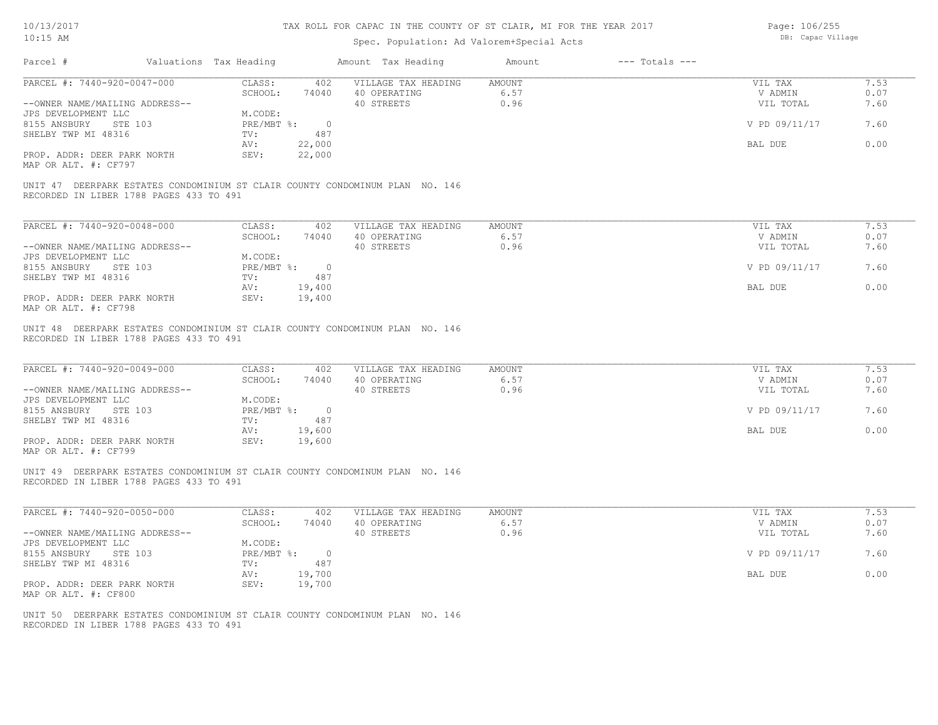# Spec. Population: Ad Valorem+Special Acts

Page: 106/255 DB: Capac Village

| Parcel #                                                              | Valuations Tax Heading             |                         | Amount Tax Heading                                                           | Amount                        | $---$ Totals $---$ |                                 |                      |
|-----------------------------------------------------------------------|------------------------------------|-------------------------|------------------------------------------------------------------------------|-------------------------------|--------------------|---------------------------------|----------------------|
| PARCEL #: 7440-920-0047-000<br>--OWNER NAME/MAILING ADDRESS--         | CLASS:<br>SCHOOL:                  | 402<br>74040            | VILLAGE TAX HEADING<br>40 OPERATING<br>40 STREETS                            | <b>AMOUNT</b><br>6.57<br>0.96 |                    | VIL TAX<br>V ADMIN<br>VIL TOTAL | 7.53<br>0.07<br>7.60 |
| JPS DEVELOPMENT LLC<br>8155 ANSBURY<br>STE 103<br>SHELBY TWP MI 48316 | M.CODE:<br>$PRE/MBT$ $\div$<br>TV: | $\overline{0}$<br>487   |                                                                              |                               |                    | V PD 09/11/17                   | 7.60                 |
| PROP. ADDR: DEER PARK NORTH                                           | AV:<br>SEV:                        | 22,000<br>22,000        |                                                                              |                               |                    | BAL DUE                         | 0.00                 |
| MAP OR ALT. #: CF797                                                  |                                    |                         | UNIT 47 DEERPARK ESTATES CONDOMINIUM ST CLAIR COUNTY CONDOMINUM PLAN NO. 146 |                               |                    |                                 |                      |
| RECORDED IN LIBER 1788 PAGES 433 TO 491                               |                                    |                         |                                                                              |                               |                    |                                 |                      |
| PARCEL #: 7440-920-0048-000                                           | CLASS:<br>SCHOOL:                  | 402<br>74040            | VILLAGE TAX HEADING<br>40 OPERATING                                          | AMOUNT<br>6.57                |                    | VIL TAX<br>V ADMIN              | 7.53<br>0.07         |
| --OWNER NAME/MAILING ADDRESS--<br>JPS DEVELOPMENT LLC                 | M.CODE:                            |                         | 40 STREETS                                                                   | 0.96                          |                    | VIL TOTAL                       | 7.60                 |
| STE 103<br>8155 ANSBURY<br>SHELBY TWP MI 48316                        | PRE/MBT %: 0<br>TV:                | 487                     |                                                                              |                               |                    | V PD 09/11/17                   | 7.60                 |
| PROP. ADDR: DEER PARK NORTH                                           | AV:<br>SEV:                        | 19,400<br>19,400        |                                                                              |                               |                    | BAL DUE                         | 0.00                 |
| MAP OR ALT. #: CF798                                                  |                                    |                         |                                                                              |                               |                    |                                 |                      |
| RECORDED IN LIBER 1788 PAGES 433 TO 491                               |                                    |                         | UNIT 48 DEERPARK ESTATES CONDOMINIUM ST CLAIR COUNTY CONDOMINUM PLAN NO. 146 |                               |                    |                                 |                      |
| PARCEL #: 7440-920-0049-000                                           | CLASS:<br>SCHOOL:                  | 402<br>74040            | VILLAGE TAX HEADING<br>40 OPERATING                                          | <b>AMOUNT</b><br>6.57         |                    | VIL TAX<br>V ADMIN              | 7.53<br>0.07         |
| --OWNER NAME/MAILING ADDRESS--<br>JPS DEVELOPMENT LLC                 | M.CODE:                            |                         | 40 STREETS                                                                   | 0.96                          |                    | VIL TOTAL                       | 7.60                 |
| 8155 ANSBURY<br>STE 103<br>SHELBY TWP MI 48316                        | PRE/MBT %: 0<br>TV:                | 487                     |                                                                              |                               |                    | V PD 09/11/17                   | 7.60                 |
| PROP. ADDR: DEER PARK NORTH<br>MAP OR ALT. #: CF799                   | AV:<br>SEV:                        | 19,600<br>19,600        |                                                                              |                               |                    | BAL DUE                         | 0.00                 |
| RECORDED IN LIBER 1788 PAGES 433 TO 491                               |                                    |                         | UNIT 49 DEERPARK ESTATES CONDOMINIUM ST CLAIR COUNTY CONDOMINUM PLAN NO. 146 |                               |                    |                                 |                      |
| PARCEL #: 7440-920-0050-000                                           | CLASS:<br>SCHOOL:                  | 402<br>74040            | VILLAGE TAX HEADING<br>40 OPERATING                                          | <b>AMOUNT</b><br>6.57         |                    | VIL TAX<br>V ADMIN              | 7.53<br>0.07         |
| --OWNER NAME/MAILING ADDRESS--                                        |                                    |                         | 40 STREETS                                                                   | 0.96                          |                    | VIL TOTAL                       | 7.60                 |
| JPS DEVELOPMENT LLC<br>8155 ANSBURY<br>STE 103                        | M.CODE:<br>$PRE/MBT$ %:            | $\overline{0}$          |                                                                              |                               |                    | V PD 09/11/17                   | 7.60                 |
| SHELBY TWP MI 48316<br>PROP. ADDR: DEER PARK NORTH                    | TV:<br>AV:<br>SEV:                 | 487<br>19,700<br>19,700 |                                                                              |                               |                    | BAL DUE                         | 0.00                 |
| MAP OR ALT. #: CF800                                                  |                                    |                         |                                                                              |                               |                    |                                 |                      |
| RECORDED IN LIBER 1788 PAGES 433 TO 491                               |                                    |                         | UNIT 50 DEERPARK ESTATES CONDOMINIUM ST CLAIR COUNTY CONDOMINUM PLAN NO. 146 |                               |                    |                                 |                      |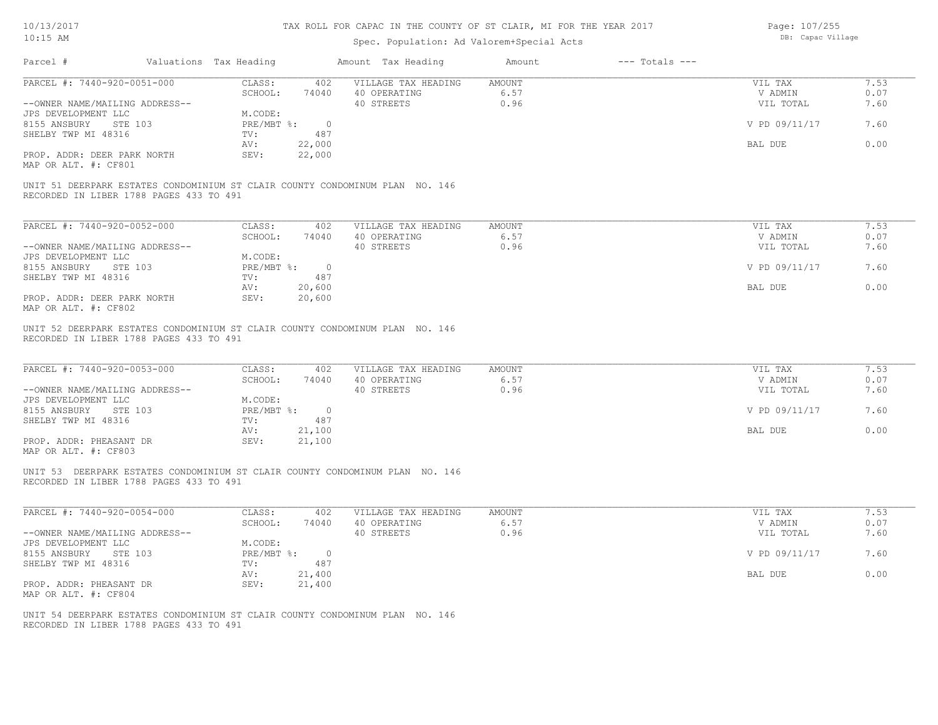# Spec. Population: Ad Valorem+Special Acts

Page: 107/255 DB: Capac Village

| Parcel #                                                           | Valuations Tax Heading |                                        |                       | Amount Tax Heading                                                           | Amount                        | $---$ Totals $---$ |                                 |                      |
|--------------------------------------------------------------------|------------------------|----------------------------------------|-----------------------|------------------------------------------------------------------------------|-------------------------------|--------------------|---------------------------------|----------------------|
| PARCEL #: 7440-920-0051-000<br>--OWNER NAME/MAILING ADDRESS--      |                        | CLASS:<br>SCHOOL:                      | 402<br>74040          | VILLAGE TAX HEADING<br>40 OPERATING<br>40 STREETS                            | <b>AMOUNT</b><br>6.57<br>0.96 |                    | VIL TAX<br>V ADMIN<br>VIL TOTAL | 7.53<br>0.07<br>7.60 |
| JPS DEVELOPMENT LLC<br>8155 ANSBURY STE 103<br>SHELBY TWP MI 48316 |                        | M.CODE:<br>$PRE/MBT$ %:<br>TV:         | $\overline{0}$<br>487 |                                                                              |                               |                    | V PD 09/11/17                   | 7.60                 |
| PROP. ADDR: DEER PARK NORTH                                        |                        | AV:<br>SEV:                            | 22,000<br>22,000      |                                                                              |                               |                    | BAL DUE                         | 0.00                 |
| MAP OR ALT. #: CF801                                               |                        |                                        |                       |                                                                              |                               |                    |                                 |                      |
| RECORDED IN LIBER 1788 PAGES 433 TO 491                            |                        |                                        |                       | UNIT 51 DEERPARK ESTATES CONDOMINIUM ST CLAIR COUNTY CONDOMINUM PLAN NO. 146 |                               |                    |                                 |                      |
| PARCEL #: 7440-920-0052-000                                        |                        | CLASS:                                 | 402                   | VILLAGE TAX HEADING                                                          | <b>AMOUNT</b>                 |                    | VIL TAX                         | 7.53                 |
| --OWNER NAME/MAILING ADDRESS--                                     |                        | SCHOOL:                                | 74040                 | 40 OPERATING<br>40 STREETS                                                   | 6.57<br>0.96                  |                    | V ADMIN<br>VIL TOTAL            | 0.07<br>7.60         |
| JPS DEVELOPMENT LLC<br>8155 ANSBURY<br>STE 103                     |                        | M.CODE:<br>$PRE/MBT$ $\div$ 0          |                       |                                                                              |                               |                    | V PD 09/11/17                   | 7.60                 |
| SHELBY TWP MI 48316<br>PROP. ADDR: DEER PARK NORTH                 |                        | TV:<br>AV:                             | 487<br>20,600         |                                                                              |                               |                    | BAL DUE                         | 0.00                 |
| MAP OR ALT. #: CF802                                               |                        | SEV:                                   | 20,600                |                                                                              |                               |                    |                                 |                      |
| RECORDED IN LIBER 1788 PAGES 433 TO 491                            |                        |                                        |                       | UNIT 52 DEERPARK ESTATES CONDOMINIUM ST CLAIR COUNTY CONDOMINUM PLAN NO. 146 |                               |                    |                                 |                      |
| PARCEL #: 7440-920-0053-000<br>--OWNER NAME/MAILING ADDRESS--      |                        | CLASS:<br>SCHOOL:                      | 402<br>74040          | VILLAGE TAX HEADING<br>40 OPERATING<br>40 STREETS                            | <b>AMOUNT</b><br>6.57<br>0.96 |                    | VIL TAX<br>V ADMIN<br>VIL TOTAL | 7.53<br>0.07<br>7.60 |
| JPS DEVELOPMENT LLC<br>8155 ANSBURY<br>STE 103                     |                        | M.CODE:<br>$PRE/MBT$ $\frac{1}{6}$ : 0 |                       |                                                                              |                               |                    | V PD 09/11/17                   | 7.60                 |
| SHELBY TWP MI 48316                                                |                        | TV:<br>AV:                             | 487<br>21,100         |                                                                              |                               |                    | BAL DUE                         | 0.00                 |
| PROP. ADDR: PHEASANT DR<br>MAP OR ALT. #: CF803                    |                        | SEV:                                   | 21,100                |                                                                              |                               |                    |                                 |                      |
| RECORDED IN LIBER 1788 PAGES 433 TO 491                            |                        |                                        |                       | UNIT 53 DEERPARK ESTATES CONDOMINIUM ST CLAIR COUNTY CONDOMINUM PLAN NO. 146 |                               |                    |                                 |                      |
| PARCEL #: 7440-920-0054-000                                        |                        | CLASS:<br>SCHOOL:                      | 402<br>74040          | VILLAGE TAX HEADING<br>40 OPERATING                                          | <b>AMOUNT</b><br>6.57         |                    | VIL TAX<br>V ADMIN              | 7.53<br>0.07         |
| --OWNER NAME/MAILING ADDRESS--                                     |                        |                                        |                       | 40 STREETS                                                                   | 0.96                          |                    | VIL TOTAL                       | 7.60                 |
| JPS DEVELOPMENT LLC<br>8155 ANSBURY                                | STE 103                | M.CODE:<br>$PRE/MBT$ $\div$ :          | $\circ$<br>487        |                                                                              |                               |                    | V PD 09/11/17                   | 7.60                 |
| SHELBY TWP MI 48316<br>PROP. ADDR: PHEASANT DR                     |                        | TV:<br>AV:<br>SEV:                     | 21,400<br>21,400      |                                                                              |                               |                    | BAL DUE                         | 0.00                 |
| MAP OR ALT. #: CF804                                               |                        |                                        |                       |                                                                              |                               |                    |                                 |                      |
| RECORDED IN LIBER 1788 PAGES 433 TO 491                            |                        |                                        |                       | UNIT 54 DEERPARK ESTATES CONDOMINIUM ST CLAIR COUNTY CONDOMINUM PLAN NO. 146 |                               |                    |                                 |                      |
|                                                                    |                        |                                        |                       |                                                                              |                               |                    |                                 |                      |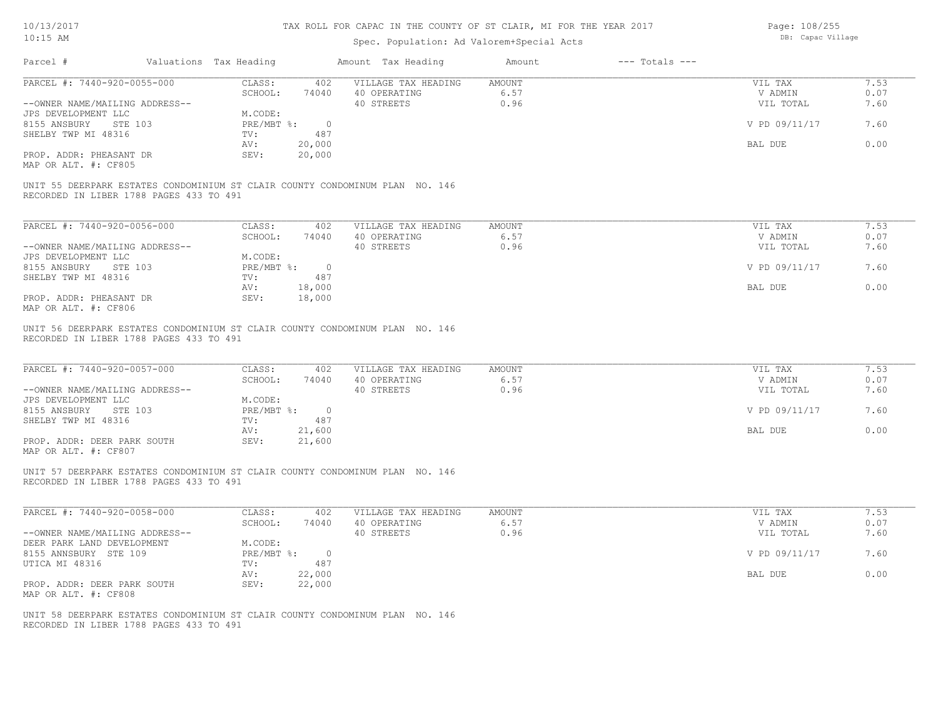# Spec. Population: Ad Valorem+Special Acts

| Page: 108/255     |
|-------------------|
| DB: Capac Village |

| Parcel #                                                      | Valuations Tax Heading |                   |                       | Amount Tax Heading                                                           | Amount                 | $---$ Totals $---$ |                                 |                      |
|---------------------------------------------------------------|------------------------|-------------------|-----------------------|------------------------------------------------------------------------------|------------------------|--------------------|---------------------------------|----------------------|
| PARCEL #: 7440-920-0055-000<br>--OWNER NAME/MAILING ADDRESS-- |                        | CLASS:<br>SCHOOL: | 402<br>74040          | VILLAGE TAX HEADING<br>40 OPERATING<br>40 STREETS                            | AMOUNT<br>6.57<br>0.96 |                    | VIL TAX<br>V ADMIN<br>VIL TOTAL | 7.53<br>0.07<br>7.60 |
| JPS DEVELOPMENT LLC<br>8155 ANSBURY STE 103                   |                        | M.CODE:           | PRE/MBT %: 0          |                                                                              |                        |                    | V PD 09/11/17                   | 7.60                 |
| SHELBY TWP MI 48316                                           |                        | TV:<br>AV:        | 487<br>20,000         |                                                                              |                        |                    | BAL DUE                         | 0.00                 |
| PROP. ADDR: PHEASANT DR<br>MAP OR ALT. #: CF805               |                        | SEV:              | 20,000                |                                                                              |                        |                    |                                 |                      |
| RECORDED IN LIBER 1788 PAGES 433 TO 491                       |                        |                   |                       | UNIT 55 DEERPARK ESTATES CONDOMINIUM ST CLAIR COUNTY CONDOMINUM PLAN NO. 146 |                        |                    |                                 |                      |
| PARCEL #: 7440-920-0056-000                                   |                        | CLASS:            | 402                   | VILLAGE TAX HEADING                                                          | <b>AMOUNT</b>          |                    | VIL TAX                         | 7.53                 |
| --OWNER NAME/MAILING ADDRESS--                                |                        | SCHOOL:           | 74040                 | 40 OPERATING<br>40 STREETS                                                   | 6.57<br>0.96           |                    | V ADMIN<br>VIL TOTAL            | 0.07<br>7.60         |
| JPS DEVELOPMENT LLC<br>8155 ANSBURY STE 103                   |                        | M.CODE:           | $PRE/MBT$ $\div$ 0    |                                                                              |                        |                    | V PD 09/11/17                   | 7.60                 |
| SHELBY TWP MI 48316                                           |                        | TV:<br>AV:        | 487<br>18,000         |                                                                              |                        |                    | BAL DUE                         | 0.00                 |
| PROP. ADDR: PHEASANT DR<br>MAP OR ALT. #: CF806               |                        | SEV:              | 18,000                |                                                                              |                        |                    |                                 |                      |
| RECORDED IN LIBER 1788 PAGES 433 TO 491                       |                        |                   |                       | UNIT 56 DEERPARK ESTATES CONDOMINIUM ST CLAIR COUNTY CONDOMINUM PLAN NO. 146 |                        |                    |                                 |                      |
| PARCEL #: 7440-920-0057-000                                   |                        | CLASS:<br>SCHOOL: | 402<br>74040          | VILLAGE TAX HEADING<br>40 OPERATING                                          | <b>AMOUNT</b><br>6.57  |                    | VIL TAX<br>V ADMIN              | 7.53<br>0.07         |
| --OWNER NAME/MAILING ADDRESS--<br>JPS DEVELOPMENT LLC         |                        | M.CODE:           |                       | 40 STREETS                                                                   | 0.96                   |                    | VIL TOTAL                       | 7.60                 |
| 8155 ANSBURY STE 103<br>SHELBY TWP MI 48316                   |                        | PRE/MBT %:<br>TV: | $\overline{0}$<br>487 |                                                                              |                        |                    | V PD 09/11/17                   | 7.60                 |
| PROP. ADDR: DEER PARK SOUTH<br>MAP OR ALT. #: CF807           |                        | AV:<br>SEV:       | 21,600<br>21,600      |                                                                              |                        |                    | BAL DUE                         | 0.00                 |
| RECORDED IN LIBER 1788 PAGES 433 TO 491                       |                        |                   |                       | UNIT 57 DEERPARK ESTATES CONDOMINIUM ST CLAIR COUNTY CONDOMINUM PLAN NO. 146 |                        |                    |                                 |                      |
| PARCEL #: 7440-920-0058-000                                   |                        | CLASS:<br>SCHOOL: | 402<br>74040          | VILLAGE TAX HEADING<br>40 OPERATING                                          | <b>AMOUNT</b><br>6.57  |                    | VIL TAX<br>V ADMIN              | 7.53<br>0.07         |
| --OWNER NAME/MAILING ADDRESS--<br>DEER PARK LAND DEVELOPMENT  |                        | M.CODE:           |                       | 40 STREETS                                                                   | 0.96                   |                    | VIL TOTAL                       | 7.60                 |
| 8155 ANNSBURY STE 109                                         |                        | PRE/MBT %:        | $\overline{0}$        |                                                                              |                        |                    | V PD 09/11/17                   | 7.60                 |
| UTICA MI 48316                                                |                        | TV:<br>AV:        | 487<br>22,000         |                                                                              |                        |                    | BAL DUE                         | 0.00                 |
| PROP. ADDR: DEER PARK SOUTH<br>MAP OR ALT. #: CF808           |                        | SEV:              | 22,000                |                                                                              |                        |                    |                                 |                      |
| RECORDED IN LIBER 1788 PAGES 433 TO 491                       |                        |                   |                       | UNIT 58 DEERPARK ESTATES CONDOMINIUM ST CLAIR COUNTY CONDOMINUM PLAN NO. 146 |                        |                    |                                 |                      |
|                                                               |                        |                   |                       |                                                                              |                        |                    |                                 |                      |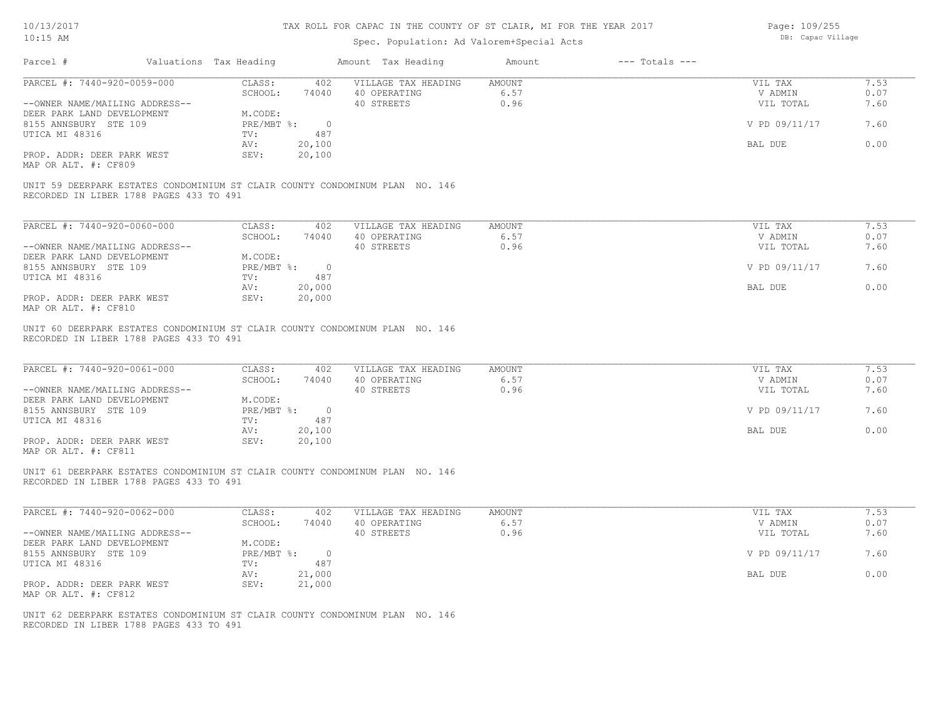### Spec. Population: Ad Valorem+Special Acts

| Page: 109/255     |
|-------------------|
| DB: Capac Village |

| Parcel #                                                                                                                | Valuations Tax Heading                        | Amount Tax Heading                                | Amount                 | $---$ Totals $---$ |                                 |                      |
|-------------------------------------------------------------------------------------------------------------------------|-----------------------------------------------|---------------------------------------------------|------------------------|--------------------|---------------------------------|----------------------|
| PARCEL #: 7440-920-0059-000<br>--OWNER NAME/MAILING ADDRESS--                                                           | CLASS:<br>402<br>SCHOOL:<br>74040             | VILLAGE TAX HEADING<br>40 OPERATING<br>40 STREETS | AMOUNT<br>6.57<br>0.96 |                    | VIL TAX<br>V ADMIN<br>VIL TOTAL | 7.53<br>0.07<br>7.60 |
| DEER PARK LAND DEVELOPMENT<br>8155 ANNSBURY STE 109                                                                     | M.CODE:<br>PRE/MBT %: 0                       |                                                   |                        |                    | V PD 09/11/17                   | 7.60                 |
| UTICA MI 48316<br>PROP. ADDR: DEER PARK WEST                                                                            | 487<br>TV:<br>20,100<br>AV:<br>SEV:<br>20,100 |                                                   |                        |                    | BAL DUE                         | 0.00                 |
| MAP OR ALT. #: CF809                                                                                                    |                                               |                                                   |                        |                    |                                 |                      |
| UNIT 59 DEERPARK ESTATES CONDOMINIUM ST CLAIR COUNTY CONDOMINUM PLAN NO. 146<br>RECORDED IN LIBER 1788 PAGES 433 TO 491 |                                               |                                                   |                        |                    |                                 |                      |
| PARCEL #: 7440-920-0060-000                                                                                             | CLASS:<br>402                                 | VILLAGE TAX HEADING                               | <b>AMOUNT</b>          |                    | VIL TAX                         | 7.53                 |
| --OWNER NAME/MAILING ADDRESS--                                                                                          | SCHOOL:<br>74040                              | 40 OPERATING<br>40 STREETS                        | 6.57<br>0.96           |                    | V ADMIN<br>VIL TOTAL            | 0.07<br>7.60         |
| DEER PARK LAND DEVELOPMENT<br>8155 ANNSBURY STE 109                                                                     | M.CODE:<br>$PRE/MBT$ %:<br>$\overline{0}$     |                                                   |                        |                    | V PD 09/11/17                   | 7.60                 |
| UTICA MI 48316                                                                                                          | 487<br>TV:<br>20,000<br>AV:                   |                                                   |                        |                    | BAL DUE                         | 0.00                 |
| PROP. ADDR: DEER PARK WEST<br>MAP OR ALT. #: CF810                                                                      | SEV:<br>20,000                                |                                                   |                        |                    |                                 |                      |
| RECORDED IN LIBER 1788 PAGES 433 TO 491<br>PARCEL #: 7440-920-0061-000                                                  | CLASS:<br>402                                 | VILLAGE TAX HEADING                               | AMOUNT                 |                    | VIL TAX                         | 7.53                 |
| --OWNER NAME/MAILING ADDRESS--                                                                                          | SCHOOL:<br>74040                              | 40 OPERATING<br>40 STREETS                        | 6.57<br>0.96           |                    | V ADMIN<br>VIL TOTAL            | 0.07<br>7.60         |
| DEER PARK LAND DEVELOPMENT<br>8155 ANNSBURY STE 109<br>UTICA MI 48316                                                   | M.CODE:<br>PRE/MBT %: 0<br>TV:<br>487         |                                                   |                        |                    | V PD 09/11/17                   | 7.60                 |
| PROP. ADDR: DEER PARK WEST                                                                                              | 20,100<br>AV:<br>SEV:<br>20,100               |                                                   |                        |                    | BAL DUE                         | 0.00                 |
| MAP OR ALT. #: CF811                                                                                                    |                                               |                                                   |                        |                    |                                 |                      |
| UNIT 61 DEERPARK ESTATES CONDOMINIUM ST CLAIR COUNTY CONDOMINUM PLAN NO. 146<br>RECORDED IN LIBER 1788 PAGES 433 TO 491 |                                               |                                                   |                        |                    |                                 |                      |
| PARCEL #: 7440-920-0062-000                                                                                             | CLASS:<br>402                                 | VILLAGE TAX HEADING                               | <b>AMOUNT</b>          |                    | VIL TAX                         | 7.53                 |
| --OWNER NAME/MAILING ADDRESS--                                                                                          | SCHOOL:<br>74040                              | 40 OPERATING<br>40 STREETS                        | 6.57<br>0.96           |                    | V ADMIN<br>VIL TOTAL            | 0.07<br>7.60         |
| DEER PARK LAND DEVELOPMENT<br>8155 ANNSBURY STE 109                                                                     | M.CODE:<br>PRE/MBT %: 0                       |                                                   |                        |                    | V PD 09/11/17                   | 7.60                 |
| UTICA MI 48316                                                                                                          | 487<br>TV:<br>AV:<br>21,000                   |                                                   |                        |                    | BAL DUE                         | 0.00                 |
| PROP. ADDR: DEER PARK WEST<br>MAP OR ALT. #: CF812                                                                      | SEV:<br>21,000                                |                                                   |                        |                    |                                 |                      |
| UNIT 62 DEERPARK ESTATES CONDOMINIUM ST CLAIR COUNTY CONDOMINUM PLAN NO. 146                                            |                                               |                                                   |                        |                    |                                 |                      |
| RECORDED IN LIBER 1788 PAGES 433 TO 491                                                                                 |                                               |                                                   |                        |                    |                                 |                      |
|                                                                                                                         |                                               |                                                   |                        |                    |                                 |                      |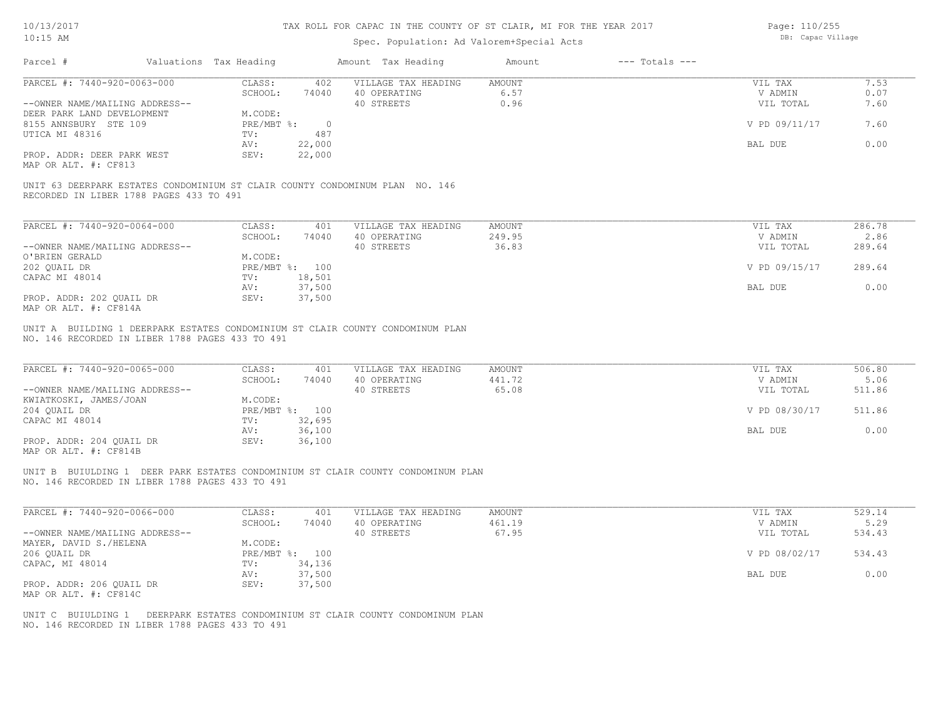### Spec. Population: Ad Valorem+Special Acts

Page: 110/255 DB: Capac Village

| Parcel #                                                                                                                | Valuations Tax Heading |                             |                          | Amount Tax Heading                                                               | Amount                           | $---$ Totals $---$ |                                 |                          |
|-------------------------------------------------------------------------------------------------------------------------|------------------------|-----------------------------|--------------------------|----------------------------------------------------------------------------------|----------------------------------|--------------------|---------------------------------|--------------------------|
| PARCEL #: 7440-920-0063-000                                                                                             |                        | CLASS:                      | 402                      | VILLAGE TAX HEADING                                                              | <b>AMOUNT</b>                    |                    | VIL TAX                         | 7.53                     |
|                                                                                                                         |                        | SCHOOL:                     | 74040                    | 40 OPERATING                                                                     | 6.57                             |                    | V ADMIN                         | 0.07                     |
| --OWNER NAME/MAILING ADDRESS--                                                                                          |                        |                             |                          | 40 STREETS                                                                       | 0.96                             |                    | VIL TOTAL                       | 7.60                     |
| DEER PARK LAND DEVELOPMENT<br>8155 ANNSBURY STE 109                                                                     |                        | M.CODE:<br>$PRE/MBT$ $\div$ | $\overline{\phantom{0}}$ |                                                                                  |                                  |                    | V PD 09/11/17                   | 7.60                     |
| UTICA MI 48316                                                                                                          |                        | TV:                         | 487                      |                                                                                  |                                  |                    |                                 |                          |
|                                                                                                                         |                        | AV:                         | 22,000                   |                                                                                  |                                  |                    | BAL DUE                         | 0.00                     |
| PROP. ADDR: DEER PARK WEST<br>MAP OR ALT. #: CF813                                                                      |                        | SEV:                        | 22,000                   |                                                                                  |                                  |                    |                                 |                          |
| UNIT 63 DEERPARK ESTATES CONDOMINIUM ST CLAIR COUNTY CONDOMINUM PLAN NO. 146<br>RECORDED IN LIBER 1788 PAGES 433 TO 491 |                        |                             |                          |                                                                                  |                                  |                    |                                 |                          |
| PARCEL #: 7440-920-0064-000                                                                                             |                        | CLASS:                      | 401                      | VILLAGE TAX HEADING                                                              | <b>AMOUNT</b>                    |                    | VIL TAX                         | 286.78                   |
|                                                                                                                         |                        | SCHOOL:                     | 74040                    | 40 OPERATING                                                                     | 249.95                           |                    | V ADMIN                         | 2.86                     |
| --OWNER NAME/MAILING ADDRESS--                                                                                          |                        |                             |                          | 40 STREETS                                                                       | 36.83                            |                    | VIL TOTAL                       | 289.64                   |
| O'BRIEN GERALD                                                                                                          |                        | M.CODE:                     |                          |                                                                                  |                                  |                    |                                 |                          |
| 202 QUAIL DR                                                                                                            |                        |                             | PRE/MBT %: 100           |                                                                                  |                                  |                    | V PD 09/15/17                   | 289.64                   |
| CAPAC MI 48014                                                                                                          |                        | TV:<br>AV:                  | 18,501<br>37,500         |                                                                                  |                                  |                    | BAL DUE                         | 0.00                     |
| PROP. ADDR: 202 QUAIL DR<br>MAP OR ALT. #: CF814A                                                                       |                        | SEV:                        | 37,500                   |                                                                                  |                                  |                    |                                 |                          |
| PARCEL #: 7440-920-0065-000<br>--OWNER NAME/MAILING ADDRESS--                                                           |                        | CLASS:<br>SCHOOL:           | 401<br>74040             | VILLAGE TAX HEADING<br>40 OPERATING<br>40 STREETS                                | <b>AMOUNT</b><br>441.72<br>65.08 |                    | VIL TAX<br>V ADMIN<br>VIL TOTAL | 506.80<br>5.06<br>511.86 |
| KWIATKOSKI, JAMES/JOAN<br>204 QUAIL DR                                                                                  |                        | M.CODE:                     | PRE/MBT %: 100           |                                                                                  |                                  |                    | V PD 08/30/17                   | 511.86                   |
| CAPAC MI 48014                                                                                                          |                        | TV:                         | 32,695                   |                                                                                  |                                  |                    |                                 |                          |
|                                                                                                                         |                        | AV:                         | 36,100                   |                                                                                  |                                  |                    | BAL DUE                         | 0.00                     |
| PROP. ADDR: 204 QUAIL DR<br>MAP OR ALT. #: CF814B                                                                       |                        | SEV:                        | 36,100                   |                                                                                  |                                  |                    |                                 |                          |
| NO. 146 RECORDED IN LIBER 1788 PAGES 433 TO 491                                                                         |                        |                             |                          | UNIT B BUIULDING 1 DEER PARK ESTATES CONDOMINIUM ST CLAIR COUNTY CONDOMINUM PLAN |                                  |                    |                                 |                          |
| PARCEL #: 7440-920-0066-000                                                                                             |                        | CLASS:                      | 401                      | VILLAGE TAX HEADING                                                              | <b>AMOUNT</b>                    |                    | VIL TAX                         | 529.14                   |
|                                                                                                                         |                        | SCHOOL:                     | 74040                    | 40 OPERATING                                                                     | 461.19                           |                    | V ADMIN                         | 5.29                     |
| --OWNER NAME/MAILING ADDRESS--<br>MAYER, DAVID S./HELENA                                                                |                        | M.CODE:                     |                          | 40 STREETS                                                                       | 67.95                            |                    | VIL TOTAL                       | 534.43                   |
| 206 QUAIL DR                                                                                                            |                        |                             | PRE/MBT %: 100           |                                                                                  |                                  |                    | V PD 08/02/17                   | 534.43                   |
| CAPAC, MI 48014                                                                                                         |                        | TV:                         | 34,136                   |                                                                                  |                                  |                    |                                 |                          |
|                                                                                                                         |                        | AV:                         | 37,500                   |                                                                                  |                                  |                    | BAL DUE                         | 0.00                     |
| PROP. ADDR: 206 QUAIL DR                                                                                                |                        | SEV:                        | 37,500                   |                                                                                  |                                  |                    |                                 |                          |
| MAP OR ALT. #: CF814C                                                                                                   |                        |                             |                          |                                                                                  |                                  |                    |                                 |                          |
| UNIT C BUIULDING 1<br>NO. 146 RECORDED IN LIBER 1788 PAGES 433 TO 491                                                   |                        |                             |                          | DEERPARK ESTATES CONDOMINIUM ST CLAIR COUNTY CONDOMINUM PLAN                     |                                  |                    |                                 |                          |
|                                                                                                                         |                        |                             |                          |                                                                                  |                                  |                    |                                 |                          |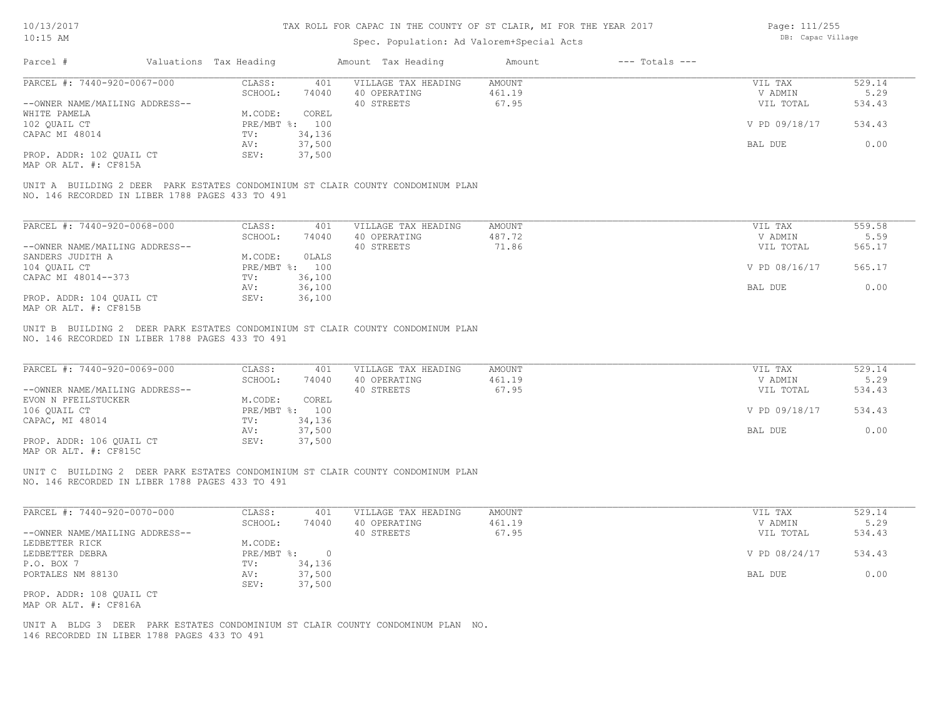Page: 111/255

| $10:15$ AM                                                                           |                        |                              |                       | Spec. Population: Ad Valorem+Special Acts                                       |                           |                    | DB: Capac Village               |                          |
|--------------------------------------------------------------------------------------|------------------------|------------------------------|-----------------------|---------------------------------------------------------------------------------|---------------------------|--------------------|---------------------------------|--------------------------|
| Parcel #                                                                             | Valuations Tax Heading |                              |                       | Amount Tax Heading                                                              | Amount                    | $---$ Totals $---$ |                                 |                          |
| PARCEL #: 7440-920-0067-000                                                          |                        | CLASS:                       | 401                   | VILLAGE TAX HEADING                                                             | AMOUNT                    |                    | VIL TAX                         | 529.14                   |
|                                                                                      |                        | SCHOOL:                      | 74040                 | 40 OPERATING                                                                    | 461.19                    |                    | V ADMIN                         | 5.29                     |
| --OWNER NAME/MAILING ADDRESS--                                                       |                        |                              |                       | 40 STREETS                                                                      | 67.95                     |                    | VIL TOTAL                       | 534.43                   |
| WHITE PAMELA                                                                         |                        | M.CODE:                      | COREL                 |                                                                                 |                           |                    |                                 |                          |
| 102 QUAIL CT                                                                         |                        | PRE/MBT %: 100               |                       |                                                                                 |                           |                    | V PD 09/18/17                   | 534.43                   |
| CAPAC MI 48014                                                                       |                        | TV:                          | 34,136                |                                                                                 |                           |                    |                                 |                          |
|                                                                                      |                        | AV:                          | 37,500                |                                                                                 |                           |                    | BAL DUE                         | 0.00                     |
| PROP. ADDR: 102 QUAIL CT<br>MAP OR ALT. #: CF815A                                    |                        | SEV:                         | 37,500                |                                                                                 |                           |                    |                                 |                          |
| NO. 146 RECORDED IN LIBER 1788 PAGES 433 TO 491                                      |                        |                              |                       | UNIT A BUILDING 2 DEER PARK ESTATES CONDOMINIUM ST CLAIR COUNTY CONDOMINUM PLAN |                           |                    |                                 |                          |
| PARCEL #: 7440-920-0068-000                                                          |                        | CLASS:                       | 401                   | VILLAGE TAX HEADING                                                             | AMOUNT                    |                    | VIL TAX                         | 559.58                   |
|                                                                                      |                        | SCHOOL:                      | 74040                 | 40 OPERATING                                                                    | 487.72                    |                    | V ADMIN                         | 5.59                     |
| --OWNER NAME/MAILING ADDRESS--                                                       |                        |                              |                       | 40 STREETS                                                                      | 71.86                     |                    | VIL TOTAL                       | 565.17                   |
| SANDERS JUDITH A                                                                     |                        | M.CODE:                      | OLALS                 |                                                                                 |                           |                    |                                 |                          |
| 104 QUAIL CT                                                                         |                        | PRE/MBT %: 100               |                       |                                                                                 |                           |                    | V PD 08/16/17                   | 565.17                   |
| CAPAC MI 48014--373                                                                  |                        | TV:                          | 36,100                |                                                                                 |                           |                    |                                 |                          |
|                                                                                      |                        | AV:                          | 36,100                |                                                                                 |                           |                    | BAL DUE                         | 0.00                     |
| PROP. ADDR: 104 QUAIL CT                                                             |                        | SEV:                         | 36,100                |                                                                                 |                           |                    |                                 |                          |
| MAP OR ALT. #: CF815B                                                                |                        |                              |                       |                                                                                 |                           |                    |                                 |                          |
| PARCEL #: 7440-920-0069-000<br>--OWNER NAME/MAILING ADDRESS--<br>EVON N PFEILSTUCKER |                        | CLASS:<br>SCHOOL:<br>M.CODE: | 401<br>74040<br>COREL | VILLAGE TAX HEADING<br>40 OPERATING<br>40 STREETS                               | AMOUNT<br>461.19<br>67.95 |                    | VIL TAX<br>V ADMIN<br>VIL TOTAL | 529.14<br>5.29<br>534.43 |
| 106 QUAIL CT<br>CAPAC, MI 48014                                                      |                        | PRE/MBT %: 100<br>TV:        | 34,136                |                                                                                 |                           |                    | V PD 09/18/17                   | 534.43                   |
|                                                                                      |                        | AV:                          | 37,500                |                                                                                 |                           |                    | BAL DUE                         | 0.00                     |
| PROP. ADDR: 106 QUAIL CT<br>MAP OR ALT. #: CF815C                                    |                        | SEV:                         | 37,500                |                                                                                 |                           |                    |                                 |                          |
| NO. 146 RECORDED IN LIBER 1788 PAGES 433 TO 491                                      |                        |                              |                       | UNIT C BUILDING 2 DEER PARK ESTATES CONDOMINIUM ST CLAIR COUNTY CONDOMINUM PLAN |                           |                    |                                 |                          |
| PARCEL #: 7440-920-0070-000                                                          |                        | CLASS:                       | 401                   | VILLAGE TAX HEADING                                                             | <b>AMOUNT</b>             |                    | VIL TAX                         | 529.14                   |
|                                                                                      |                        | SCHOOL:                      | 74040                 | 40 OPERATING                                                                    | 461.19                    |                    | V ADMIN                         | 5.29                     |
| --OWNER NAME/MAILING ADDRESS--                                                       |                        |                              |                       | 40 STREETS                                                                      | 67.95                     |                    | VIL TOTAL                       | 534.43                   |
| LEDBETTER RICK                                                                       |                        | M.CODE:                      |                       |                                                                                 |                           |                    |                                 |                          |
| LEDBETTER DEBRA                                                                      |                        | PRE/MBT %:                   | $\circ$               |                                                                                 |                           |                    | V PD 08/24/17                   | 534.43                   |
| P.O. BOX 7                                                                           |                        | TV: 34,136                   |                       |                                                                                 |                           |                    |                                 |                          |
| PORTALES NM 88130                                                                    |                        | AV:<br>SEV:                  | 37,500<br>37,500      |                                                                                 |                           |                    | BAL DUE                         | 0.00                     |
| PROP. ADDR: 108 QUAIL CT<br>MAP OR ALT. #: CF816A                                    |                        |                              |                       |                                                                                 |                           |                    |                                 |                          |
| 146 RECORDED IN LIBER 1788 PAGES 433 TO 491                                          |                        |                              |                       | UNIT A BLDG 3 DEER PARK ESTATES CONDOMINIUM ST CLAIR COUNTY CONDOMINUM PLAN NO. |                           |                    |                                 |                          |
|                                                                                      |                        |                              |                       |                                                                                 |                           |                    |                                 |                          |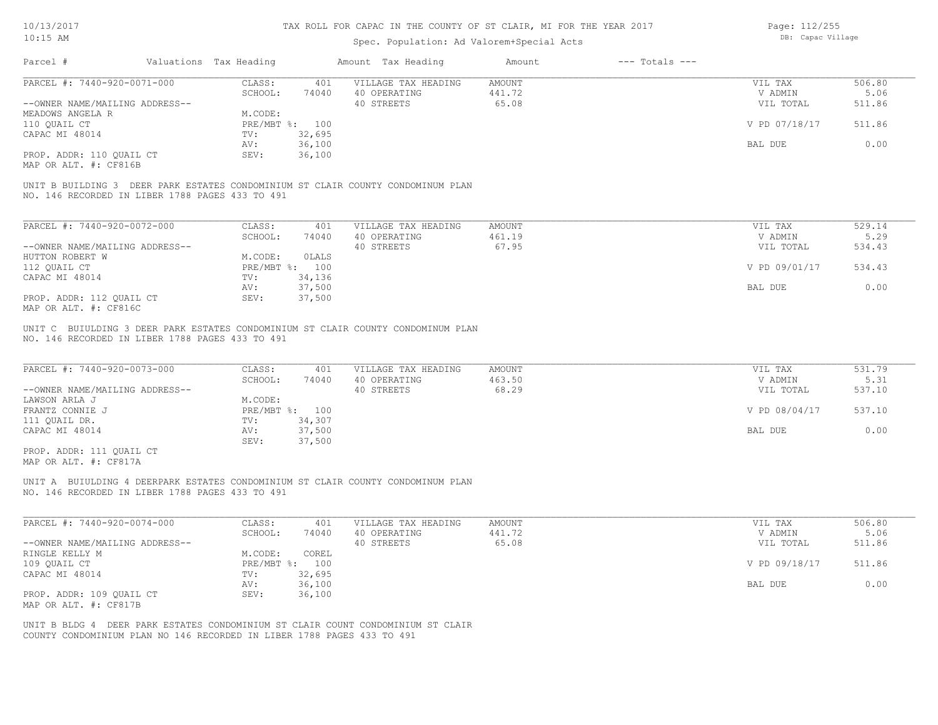Page: DB: Capac Village 112/255

| $10:15$ AM                                                                                                                                                |                        | Spec. Population: Ad Valorem+Special Acts |                              | DB: Capac village |        |
|-----------------------------------------------------------------------------------------------------------------------------------------------------------|------------------------|-------------------------------------------|------------------------------|-------------------|--------|
| Parcel #                                                                                                                                                  | Valuations Tax Heading | Amount Tax Heading                        | $---$ Totals $---$<br>Amount |                   |        |
| PARCEL #: 7440-920-0071-000                                                                                                                               | CLASS:<br>401          | VILLAGE TAX HEADING                       | AMOUNT                       | VIL TAX           | 506.80 |
|                                                                                                                                                           | SCHOOL:<br>74040       | 40 OPERATING                              | 441.72                       | V ADMIN           | 5.06   |
| --OWNER NAME/MAILING ADDRESS--                                                                                                                            |                        | 40 STREETS                                | 65.08                        | VIL TOTAL         | 511.86 |
| MEADOWS ANGELA R                                                                                                                                          | M.CODE:                |                                           |                              |                   |        |
| 110 QUAIL CT                                                                                                                                              | PRE/MBT %: 100         |                                           |                              | V PD 07/18/17     | 511.86 |
| CAPAC MI 48014                                                                                                                                            | 32,695<br>TV:          |                                           |                              |                   |        |
|                                                                                                                                                           | 36,100<br>AV:          |                                           |                              | BAL DUE           | 0.00   |
| PROP. ADDR: 110 QUAIL CT                                                                                                                                  | SEV:<br>36,100         |                                           |                              |                   |        |
| MAP OR ALT. #: CF816B                                                                                                                                     |                        |                                           |                              |                   |        |
| UNIT B BUILDING 3 DEER PARK ESTATES CONDOMINIUM ST CLAIR COUNTY CONDOMINUM PLAN<br>NO. 146 RECORDED IN LIBER 1788 PAGES 433 TO 491                        |                        |                                           |                              |                   |        |
|                                                                                                                                                           |                        |                                           |                              |                   |        |
| PARCEL #: 7440-920-0072-000                                                                                                                               | CLASS:<br>401          | VILLAGE TAX HEADING                       | AMOUNT                       | VIL TAX           | 529.14 |
|                                                                                                                                                           | SCHOOL:<br>74040       | 40 OPERATING                              | 461.19                       | V ADMIN           | 5.29   |
| --OWNER NAME/MAILING ADDRESS--                                                                                                                            |                        | 40 STREETS                                | 67.95                        | VIL TOTAL         | 534.43 |
| HUTTON ROBERT W                                                                                                                                           | M.CODE:<br>OLALS       |                                           |                              |                   |        |
| 112 QUAIL CT                                                                                                                                              | PRE/MBT %: 100         |                                           |                              | V PD 09/01/17     | 534.43 |
| CAPAC MI 48014                                                                                                                                            | 34,136<br>TV:          |                                           |                              |                   |        |
|                                                                                                                                                           | 37,500<br>AV:          |                                           |                              | BAL DUE           | 0.00   |
| PROP. ADDR: 112 QUAIL CT<br>MAP OR ALT. #: CF816C                                                                                                         | 37,500<br>SEV:         |                                           |                              |                   |        |
| NO. 146 RECORDED IN LIBER 1788 PAGES 433 TO 491<br>PARCEL #: 7440-920-0073-000                                                                            | CLASS:<br>401          | VILLAGE TAX HEADING                       | AMOUNT                       | VIL TAX           | 531.79 |
|                                                                                                                                                           | SCHOOL:<br>74040       | 40 OPERATING                              | 463.50                       | V ADMIN           | 5.31   |
| --OWNER NAME/MAILING ADDRESS--                                                                                                                            |                        | 40 STREETS                                | 68.29                        | VIL TOTAL         | 537.10 |
| LAWSON ARLA J                                                                                                                                             | M.CODE:                |                                           |                              |                   |        |
| FRANTZ CONNIE J                                                                                                                                           | PRE/MBT %: 100         |                                           |                              | V PD 08/04/17     | 537.10 |
| 111 QUAIL DR.                                                                                                                                             | 34,307<br>TV:          |                                           |                              |                   |        |
| CAPAC MI 48014                                                                                                                                            | 37,500<br>AV:          |                                           |                              | BAL DUE           | 0.00   |
|                                                                                                                                                           | 37,500<br>SEV:         |                                           |                              |                   |        |
| PROP. ADDR: 111 QUAIL CT<br>MAP OR ALT. #: CF817A                                                                                                         |                        |                                           |                              |                   |        |
| UNIT A BUIULDING 4 DEERPARK ESTATES CONDOMINIUM ST CLAIR COUNTY CONDOMINUM PLAN<br>NO. 146 RECORDED IN LIBER 1788 PAGES 433 TO 491                        |                        |                                           |                              |                   |        |
| PARCEL #: 7440-920-0074-000                                                                                                                               | CLASS:<br>401          | VILLAGE TAX HEADING                       | AMOUNT                       | VIL TAX           | 506.80 |
|                                                                                                                                                           | SCHOOL:<br>74040       | 40 OPERATING                              | 441.72                       | V ADMIN           | 5.06   |
| --OWNER NAME/MAILING ADDRESS--                                                                                                                            |                        | 40 STREETS                                | 65.08                        | VIL TOTAL         | 511.86 |
| RINGLE KELLY M                                                                                                                                            | M.CODE:<br>COREL       |                                           |                              |                   |        |
| 109 QUAIL CT                                                                                                                                              | PRE/MBT %: 100         |                                           |                              | V PD 09/18/17     | 511.86 |
| CAPAC MI 48014                                                                                                                                            | 32,695<br>TV:          |                                           |                              |                   |        |
|                                                                                                                                                           | AV:<br>36,100          |                                           |                              | BAL DUE           | 0.00   |
| PROP. ADDR: 109 QUAIL CT<br>MAP OR ALT. #: CF817B                                                                                                         | 36,100<br>SEV:         |                                           |                              |                   |        |
| UNIT B BLDG 4 DEER PARK ESTATES CONDOMINIUM ST CLAIR COUNT CONDOMINIUM ST CLAIR<br>COUNTY CONDOMINIUM PLAN NO 146 RECORDED IN LIBER 1788 PAGES 433 TO 491 |                        |                                           |                              |                   |        |
|                                                                                                                                                           |                        |                                           |                              |                   |        |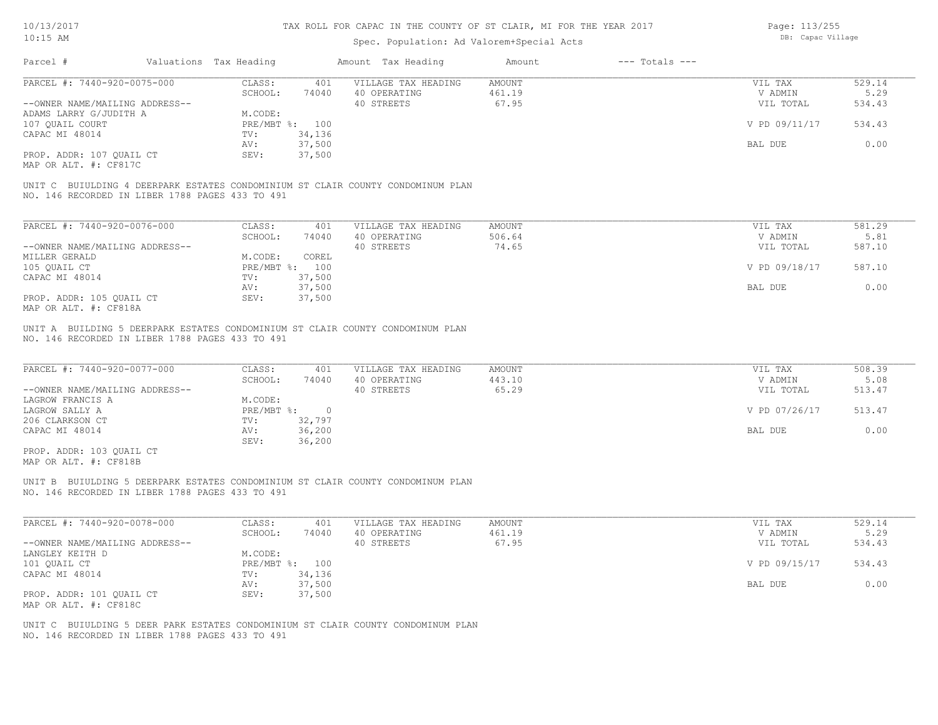# Spec. Population: Ad Valorem+Special Acts

Page: 113/255 DB: Capac Village

| Parcel #<br>Valuations Tax Heading<br>PARCEL #: 7440-920-0075-000<br>--OWNER NAME/MAILING ADDRESS--<br>ADAMS LARRY G/JUDITH A<br>107 QUAIL COURT<br>CAPAC MI 48014<br>PROP. ADDR: 107 QUAIL CT<br>MAP OR ALT. #: CF817C<br>UNIT C BUIULDING 4 DEERPARK ESTATES CONDOMINIUM ST CLAIR COUNTY CONDOMINUM PLAN<br>NO. 146 RECORDED IN LIBER 1788 PAGES 433 TO 491 | CLASS:<br>401<br>SCHOOL:<br>74040<br>M.CODE:<br>PRE/MBT %: 100<br>34,136<br>TV:<br>37,500<br>AV:<br>SEV:<br>37,500              | Amount Tax Heading<br>VILLAGE TAX HEADING<br>40 OPERATING<br>40 STREETS | $---$ Totals $---$<br>Amount<br>AMOUNT<br>461.19<br>67.95 | VIL TAX<br>V ADMIN<br>VIL TOTAL<br>V PD 09/11/17 | 529.14<br>5.29<br>534.43<br>534.43 |
|---------------------------------------------------------------------------------------------------------------------------------------------------------------------------------------------------------------------------------------------------------------------------------------------------------------------------------------------------------------|---------------------------------------------------------------------------------------------------------------------------------|-------------------------------------------------------------------------|-----------------------------------------------------------|--------------------------------------------------|------------------------------------|
|                                                                                                                                                                                                                                                                                                                                                               |                                                                                                                                 |                                                                         |                                                           |                                                  |                                    |
|                                                                                                                                                                                                                                                                                                                                                               |                                                                                                                                 |                                                                         |                                                           |                                                  |                                    |
|                                                                                                                                                                                                                                                                                                                                                               |                                                                                                                                 |                                                                         |                                                           |                                                  |                                    |
|                                                                                                                                                                                                                                                                                                                                                               |                                                                                                                                 |                                                                         |                                                           |                                                  |                                    |
|                                                                                                                                                                                                                                                                                                                                                               |                                                                                                                                 |                                                                         |                                                           |                                                  |                                    |
|                                                                                                                                                                                                                                                                                                                                                               |                                                                                                                                 |                                                                         |                                                           |                                                  |                                    |
|                                                                                                                                                                                                                                                                                                                                                               |                                                                                                                                 |                                                                         |                                                           |                                                  |                                    |
|                                                                                                                                                                                                                                                                                                                                                               |                                                                                                                                 |                                                                         |                                                           | BAL DUE                                          | 0.00                               |
|                                                                                                                                                                                                                                                                                                                                                               |                                                                                                                                 |                                                                         |                                                           |                                                  |                                    |
|                                                                                                                                                                                                                                                                                                                                                               |                                                                                                                                 |                                                                         |                                                           |                                                  |                                    |
| PARCEL #: 7440-920-0076-000                                                                                                                                                                                                                                                                                                                                   | CLASS:<br>401                                                                                                                   | VILLAGE TAX HEADING                                                     | AMOUNT                                                    | VIL TAX                                          | 581.29                             |
|                                                                                                                                                                                                                                                                                                                                                               | SCHOOL:<br>74040                                                                                                                | 40 OPERATING                                                            | 506.64                                                    | V ADMIN                                          | 5.81                               |
| --OWNER NAME/MAILING ADDRESS--                                                                                                                                                                                                                                                                                                                                |                                                                                                                                 | 40 STREETS                                                              | 74.65                                                     | VIL TOTAL                                        | 587.10                             |
| MILLER GERALD                                                                                                                                                                                                                                                                                                                                                 | M.CODE:<br>COREL                                                                                                                |                                                                         |                                                           |                                                  |                                    |
| 105 QUAIL CT                                                                                                                                                                                                                                                                                                                                                  | PRE/MBT %: 100                                                                                                                  |                                                                         |                                                           | V PD 09/18/17                                    | 587.10                             |
| CAPAC MI 48014                                                                                                                                                                                                                                                                                                                                                | 37,500<br>TV:                                                                                                                   |                                                                         |                                                           |                                                  |                                    |
|                                                                                                                                                                                                                                                                                                                                                               | 37,500<br>AV:                                                                                                                   |                                                                         |                                                           | BAL DUE                                          | 0.00                               |
| PROP. ADDR: 105 QUAIL CT<br>MAP OR ALT. #: CF818A                                                                                                                                                                                                                                                                                                             | SEV:<br>37,500                                                                                                                  |                                                                         |                                                           |                                                  |                                    |
| --OWNER NAME/MAILING ADDRESS--<br>LAGROW FRANCIS A<br>LAGROW SALLY A<br>206 CLARKSON CT<br>CAPAC MI 48014<br>PROP. ADDR: 103 QUAIL CT                                                                                                                                                                                                                         | SCHOOL:<br>74040<br>M.CODE:<br>$PRE/MBT$ $\div$<br>$\overline{\phantom{0}}$<br>32,797<br>TV:<br>AV:<br>36,200<br>SEV:<br>36,200 | 40 OPERATING<br>40 STREETS                                              | 443.10<br>65.29                                           | V ADMIN<br>VIL TOTAL<br>V PD 07/26/17<br>BAL DUE | 5.08<br>513.47<br>513.47<br>0.00   |
| MAP OR ALT. #: CF818B<br>UNIT B BUIULDING 5 DEERPARK ESTATES CONDOMINIUM ST CLAIR COUNTY CONDOMINUM PLAN<br>NO. 146 RECORDED IN LIBER 1788 PAGES 433 TO 491                                                                                                                                                                                                   |                                                                                                                                 |                                                                         |                                                           |                                                  |                                    |
| PARCEL #: 7440-920-0078-000                                                                                                                                                                                                                                                                                                                                   | CLASS:<br>401                                                                                                                   | VILLAGE TAX HEADING                                                     | AMOUNT                                                    | VIL TAX                                          | 529.14                             |
|                                                                                                                                                                                                                                                                                                                                                               | SCHOOL:<br>74040                                                                                                                | 40 OPERATING                                                            | 461.19                                                    | V ADMIN                                          | 5.29                               |
| --OWNER NAME/MAILING ADDRESS--                                                                                                                                                                                                                                                                                                                                |                                                                                                                                 | 40 STREETS                                                              | 67.95                                                     | VIL TOTAL                                        | 534.43                             |
| LANGLEY KEITH D                                                                                                                                                                                                                                                                                                                                               | M.CODE:                                                                                                                         |                                                                         |                                                           |                                                  |                                    |
| 101 QUAIL CT                                                                                                                                                                                                                                                                                                                                                  | PRE/MBT %: 100                                                                                                                  |                                                                         |                                                           | V PD 09/15/17                                    | 534.43                             |
| CAPAC MI 48014                                                                                                                                                                                                                                                                                                                                                | TV:<br>34,136                                                                                                                   |                                                                         |                                                           |                                                  |                                    |
|                                                                                                                                                                                                                                                                                                                                                               | 37,500<br>AV:                                                                                                                   |                                                                         |                                                           | BAL DUE                                          | 0.00                               |
| PROP. ADDR: 101 QUAIL CT<br>MAP OR ALT. #: CF818C                                                                                                                                                                                                                                                                                                             | SEV:<br>37,500                                                                                                                  |                                                                         |                                                           |                                                  |                                    |
| UNIT C BUIULDING 5 DEER PARK ESTATES CONDOMINIUM ST CLAIR COUNTY CONDOMINUM PLAN<br>NO. 146 RECORDED IN LIBER 1788 PAGES 433 TO 491                                                                                                                                                                                                                           |                                                                                                                                 |                                                                         |                                                           |                                                  |                                    |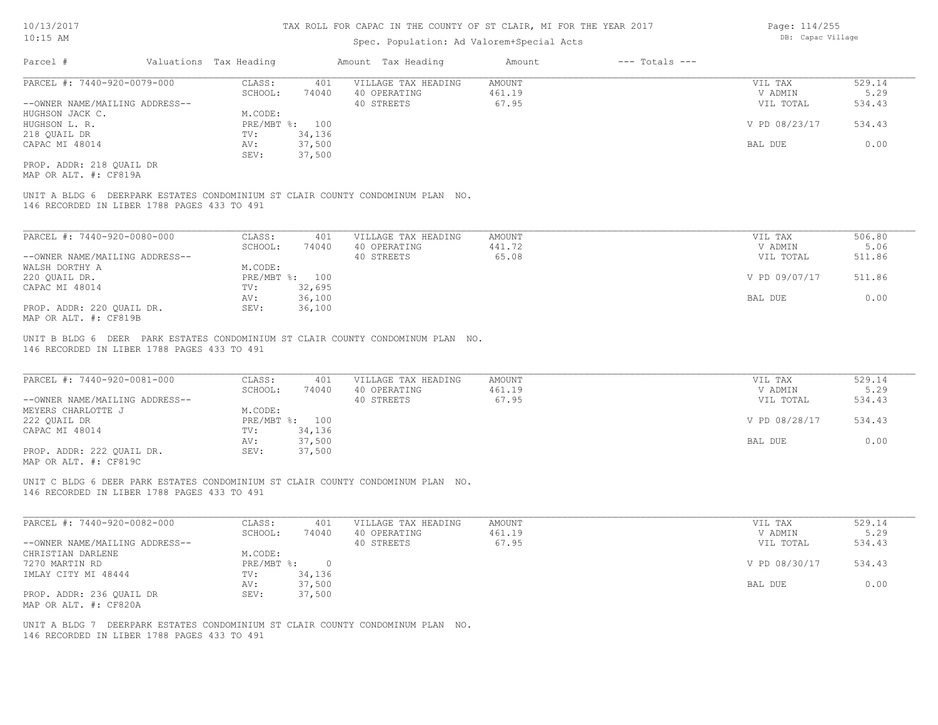### Spec. Population: Ad Valorem+Special Acts

| Parcel #                       | Valuations Tax Heading |        | Amount Tax Heading  | Amount | $---$ Totals $---$ |               |        |
|--------------------------------|------------------------|--------|---------------------|--------|--------------------|---------------|--------|
| PARCEL #: 7440-920-0079-000    | CLASS:                 | 401    | VILLAGE TAX HEADING | AMOUNT |                    | VIL TAX       | 529.14 |
|                                | SCHOOL:                | 74040  | 40 OPERATING        | 461.19 |                    | V ADMIN       | 5.29   |
| --OWNER NAME/MAILING ADDRESS-- |                        |        | 40 STREETS          | 67.95  |                    | VIL TOTAL     | 534.43 |
| HUGHSON JACK C.                | M.CODE:                |        |                     |        |                    |               |        |
| HUGHSON L. R.                  | PRE/MBT %: 100         |        |                     |        |                    | V PD 08/23/17 | 534.43 |
| 218 OUAIL DR                   | TV:                    | 34,136 |                     |        |                    |               |        |
| CAPAC MI 48014                 | AV:                    | 37,500 |                     |        |                    | BAL DUE       | 0.00   |
|                                | SEV:                   | 37,500 |                     |        |                    |               |        |
| PROP. ADDR: 218 OUAIL DR       |                        |        |                     |        |                    |               |        |

MAP OR ALT. #: CF819A

146 RECORDED IN LIBER 1788 PAGES 433 TO 491 UNIT A BLDG 6 DEERPARK ESTATES CONDOMINIUM ST CLAIR COUNTY CONDOMINUM PLAN NO.

| PARCEL #: 7440-920-0080-000    | CLASS:  | 401            | VILLAGE TAX HEADING | AMOUNT | VIL TAX       | 506.80 |
|--------------------------------|---------|----------------|---------------------|--------|---------------|--------|
|                                | SCHOOL: | 74040          | 40 OPERATING        | 441.72 | V ADMIN       | 5.06   |
| --OWNER NAME/MAILING ADDRESS-- |         |                | 40 STREETS          | 65.08  | VIL TOTAL     | 511.86 |
| WALSH DORTHY A                 | M.CODE: |                |                     |        |               |        |
| 220 OUAIL DR.                  |         | PRE/MBT %: 100 |                     |        | V PD 09/07/17 | 511.86 |
| CAPAC MI 48014                 | TV:     | 32,695         |                     |        |               |        |
|                                | AV:     | 36,100         |                     |        | BAL DUE       | 0.00   |
| PROP. ADDR: 220 OUAIL DR.      | SEV:    | 36,100         |                     |        |               |        |
| MAP OR ALT. #: CF819B          |         |                |                     |        |               |        |

146 RECORDED IN LIBER 1788 PAGES 433 TO 491 UNIT B BLDG 6 DEER PARK ESTATES CONDOMINIUM ST CLAIR COUNTY CONDOMINUM PLAN NO.

| PARCEL #: 7440-920-0081-000    | CLASS:       | 401    | VILLAGE TAX HEADING | AMOUNT | VIL TAX       | 529.14 |
|--------------------------------|--------------|--------|---------------------|--------|---------------|--------|
|                                | SCHOOL:      | 74040  | 40 OPERATING        | 461.19 | V ADMIN       | 5.29   |
| --OWNER NAME/MAILING ADDRESS-- |              |        | 40 STREETS          | 67.95  | VIL TOTAL     | 534.43 |
| MEYERS CHARLOTTE J             | M.CODE:      |        |                     |        |               |        |
| 222 OUAIL DR                   | $PRE/MBT$ %: | 100    |                     |        | V PD 08/28/17 | 534.43 |
| CAPAC MI 48014                 | TV:          | 34,136 |                     |        |               |        |
|                                | AV:          | 37,500 |                     |        | BAL DUE       | 0.00   |
| PROP. ADDR: 222 OUAIL DR.      | SEV:         | 37,500 |                     |        |               |        |
| $\frac{1}{2}$                  |              |        |                     |        |               |        |

 $\mathcal{L}_\mathcal{L} = \mathcal{L}_\mathcal{L} = \mathcal{L}_\mathcal{L} = \mathcal{L}_\mathcal{L} = \mathcal{L}_\mathcal{L} = \mathcal{L}_\mathcal{L} = \mathcal{L}_\mathcal{L} = \mathcal{L}_\mathcal{L} = \mathcal{L}_\mathcal{L} = \mathcal{L}_\mathcal{L} = \mathcal{L}_\mathcal{L} = \mathcal{L}_\mathcal{L} = \mathcal{L}_\mathcal{L} = \mathcal{L}_\mathcal{L} = \mathcal{L}_\mathcal{L} = \mathcal{L}_\mathcal{L} = \mathcal{L}_\mathcal{L}$ 

MAP OR ALT. #: CF819C

146 RECORDED IN LIBER 1788 PAGES 433 TO 491 UNIT C BLDG 6 DEER PARK ESTATES CONDOMINIUM ST CLAIR COUNTY CONDOMINUM PLAN NO.

| PARCEL #: 7440-920-0082-000    | CLASS:     | 401    | VILLAGE TAX HEADING | AMOUNT | VIL TAX       | 529.14 |
|--------------------------------|------------|--------|---------------------|--------|---------------|--------|
|                                | SCHOOL:    | 74040  | 40 OPERATING        | 461.19 | V ADMIN       | 5.29   |
| --OWNER NAME/MAILING ADDRESS-- |            |        | 40 STREETS          | 67.95  | VIL TOTAL     | 534.43 |
| CHRISTIAN DARLENE              | M.CODE:    |        |                     |        |               |        |
| 7270 MARTIN RD                 | PRE/MBT %: |        |                     |        | V PD 08/30/17 | 534.43 |
| IMLAY CITY MI 48444            | TV:        | 34,136 |                     |        |               |        |
|                                | AV:        | 37,500 |                     |        | BAL DUE       | 0.00   |
| PROP. ADDR: 236 OUAIL DR       | SEV:       | 37,500 |                     |        |               |        |
| MAP OR ALT. #: CF820A          |            |        |                     |        |               |        |

146 RECORDED IN LIBER 1788 PAGES 433 TO 491 UNIT A BLDG 7 DEERPARK ESTATES CONDOMINIUM ST CLAIR COUNTY CONDOMINUM PLAN NO. Page: 114/255 DB: Capac Village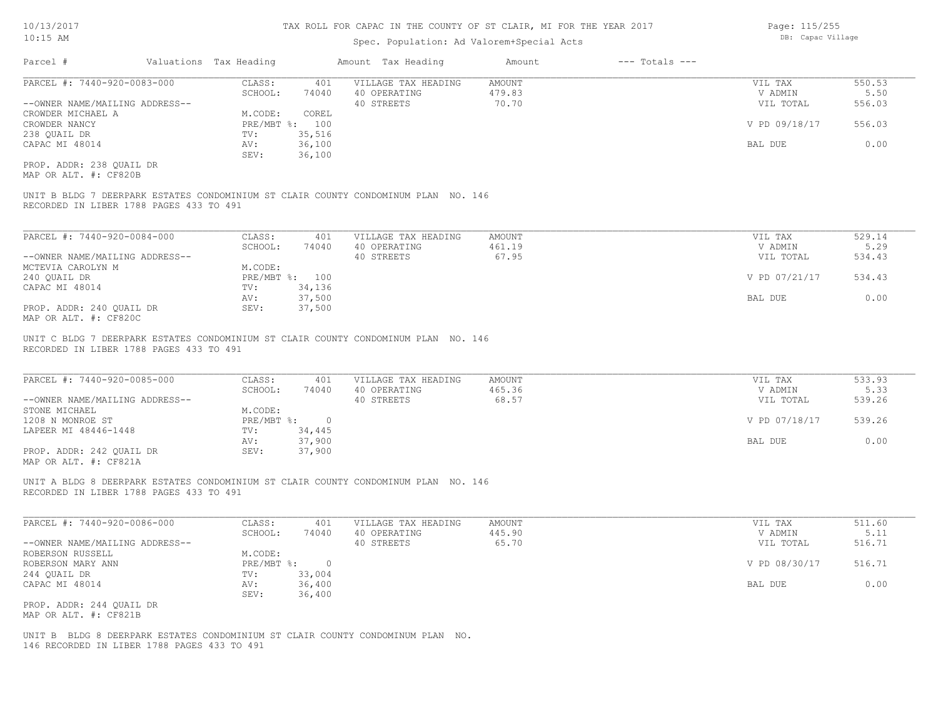### Spec. Population: Ad Valorem+Special Acts

|  | Page: 115/255<br>DB: Capac Village |
|--|------------------------------------|

| Parcel #                       | Valuations Tax Heading |        | Amount Tax Heading  | Amount | $---$ Totals $---$ |               |        |
|--------------------------------|------------------------|--------|---------------------|--------|--------------------|---------------|--------|
| PARCEL #: 7440-920-0083-000    | CLASS:                 | 401    | VILLAGE TAX HEADING | AMOUNT |                    | VIL TAX       | 550.53 |
|                                | SCHOOL:                | 74040  | 40 OPERATING        | 479.83 |                    | V ADMIN       | 5.50   |
| --OWNER NAME/MAILING ADDRESS-- |                        |        | 40 STREETS          | 70.70  |                    | VIL TOTAL     | 556.03 |
| CROWDER MICHAEL A              | M.CODE:                | COREL  |                     |        |                    |               |        |
| CROWDER NANCY                  | $PRE/MBT$ %:           | 100    |                     |        |                    | V PD 09/18/17 | 556.03 |
| 238 QUAIL DR                   | TV:                    | 35,516 |                     |        |                    |               |        |
| CAPAC MI 48014                 | AV:                    | 36,100 |                     |        |                    | BAL DUE       | 0.00   |
|                                | SEV:                   | 36,100 |                     |        |                    |               |        |
| PROP. ADDR: 238 QUAIL DR       |                        |        |                     |        |                    |               |        |
|                                |                        |        |                     |        |                    |               |        |

MAP OR ALT. #: CF820B

RECORDED IN LIBER 1788 PAGES 433 TO 491 UNIT B BLDG 7 DEERPARK ESTATES CONDOMINIUM ST CLAIR COUNTY CONDOMINUM PLAN NO. 146

| PARCEL #: 7440-920-0084-000    | CLASS:     | 401    | VILLAGE TAX HEADING | AMOUNT | VIL TAX       | 529.14 |
|--------------------------------|------------|--------|---------------------|--------|---------------|--------|
|                                | SCHOOL:    | 74040  | 40 OPERATING        | 461.19 | V ADMIN       | 5.29   |
| --OWNER NAME/MAILING ADDRESS-- |            |        | 40 STREETS          | 67.95  | VIL TOTAL     | 534.43 |
| MCTEVIA CAROLYN M              | M.CODE:    |        |                     |        |               |        |
| 240 QUAIL DR                   | PRE/MBT %: | 100    |                     |        | V PD 07/21/17 | 534.43 |
| CAPAC MI 48014                 | TV:        | 34,136 |                     |        |               |        |
|                                | AV:        | 37,500 |                     |        | BAL DUE       | 0.00   |
| PROP. ADDR: 240 QUAIL DR       | SEV:       | 37,500 |                     |        |               |        |
| MAP OR ALT. #: CF820C          |            |        |                     |        |               |        |

 $\mathcal{L}_\mathcal{L} = \mathcal{L}_\mathcal{L} = \mathcal{L}_\mathcal{L} = \mathcal{L}_\mathcal{L} = \mathcal{L}_\mathcal{L} = \mathcal{L}_\mathcal{L} = \mathcal{L}_\mathcal{L} = \mathcal{L}_\mathcal{L} = \mathcal{L}_\mathcal{L} = \mathcal{L}_\mathcal{L} = \mathcal{L}_\mathcal{L} = \mathcal{L}_\mathcal{L} = \mathcal{L}_\mathcal{L} = \mathcal{L}_\mathcal{L} = \mathcal{L}_\mathcal{L} = \mathcal{L}_\mathcal{L} = \mathcal{L}_\mathcal{L}$ 

 $\mathcal{L}_\mathcal{L} = \mathcal{L}_\mathcal{L} = \mathcal{L}_\mathcal{L} = \mathcal{L}_\mathcal{L} = \mathcal{L}_\mathcal{L} = \mathcal{L}_\mathcal{L} = \mathcal{L}_\mathcal{L} = \mathcal{L}_\mathcal{L} = \mathcal{L}_\mathcal{L} = \mathcal{L}_\mathcal{L} = \mathcal{L}_\mathcal{L} = \mathcal{L}_\mathcal{L} = \mathcal{L}_\mathcal{L} = \mathcal{L}_\mathcal{L} = \mathcal{L}_\mathcal{L} = \mathcal{L}_\mathcal{L} = \mathcal{L}_\mathcal{L}$ 

RECORDED IN LIBER 1788 PAGES 433 TO 491 UNIT C BLDG 7 DEERPARK ESTATES CONDOMINIUM ST CLAIR COUNTY CONDOMINUM PLAN NO. 146

| PARCEL #: 7440-920-0085-000    | CLASS:     | 401      | VILLAGE TAX HEADING | AMOUNT | VIL TAX       | 533.93 |  |
|--------------------------------|------------|----------|---------------------|--------|---------------|--------|--|
|                                | SCHOOL:    | 74040    | 40 OPERATING        | 465.36 | V ADMIN       | 5.33   |  |
| --OWNER NAME/MAILING ADDRESS-- |            |          | 40 STREETS          | 68.57  | VIL TOTAL     | 539.26 |  |
| STONE MICHAEL                  | M.CODE:    |          |                     |        |               |        |  |
| 1208 N MONROE ST               | PRE/MBT %: | $\Omega$ |                     |        | V PD 07/18/17 | 539.26 |  |
| LAPEER MI 48446-1448           | TV:        | 34,445   |                     |        |               |        |  |
|                                | AV:        | 37,900   |                     |        | BAL DUE       | 0.00   |  |
| PROP. ADDR: 242 OUAIL DR       | SEV:       | 37,900   |                     |        |               |        |  |
| $\frac{1}{2}$                  |            |          |                     |        |               |        |  |

MAP OR ALT. #: CF821A

RECORDED IN LIBER 1788 PAGES 433 TO 491 UNIT A BLDG 8 DEERPARK ESTATES CONDOMINIUM ST CLAIR COUNTY CONDOMINUM PLAN NO. 146

| PARCEL #: 7440-920-0086-000    | CLASS:     | 401    | VILLAGE TAX HEADING | AMOUNT | VIL TAX       | 511.60 |
|--------------------------------|------------|--------|---------------------|--------|---------------|--------|
|                                | SCHOOL:    | 74040  | 40 OPERATING        | 445.90 | V ADMIN       | 5.11   |
| --OWNER NAME/MAILING ADDRESS-- |            |        | 40 STREETS          | 65.70  | VIL TOTAL     | 516.71 |
| ROBERSON RUSSELL               | M.CODE:    |        |                     |        |               |        |
| ROBERSON MARY ANN              | PRE/MBT %: |        |                     |        | V PD 08/30/17 | 516.71 |
| 244 QUAIL DR                   | TV:        | 33,004 |                     |        |               |        |
| CAPAC MI 48014                 | AV:        | 36,400 |                     |        | BAL DUE       | 0.00   |
|                                | SEV:       | 36,400 |                     |        |               |        |
| PROP. ADDR: 244 OUAIL DR       |            |        |                     |        |               |        |

MAP OR ALT. #: CF821B

146 RECORDED IN LIBER 1788 PAGES 433 TO 491 UNIT B BLDG 8 DEERPARK ESTATES CONDOMINIUM ST CLAIR COUNTY CONDOMINUM PLAN NO.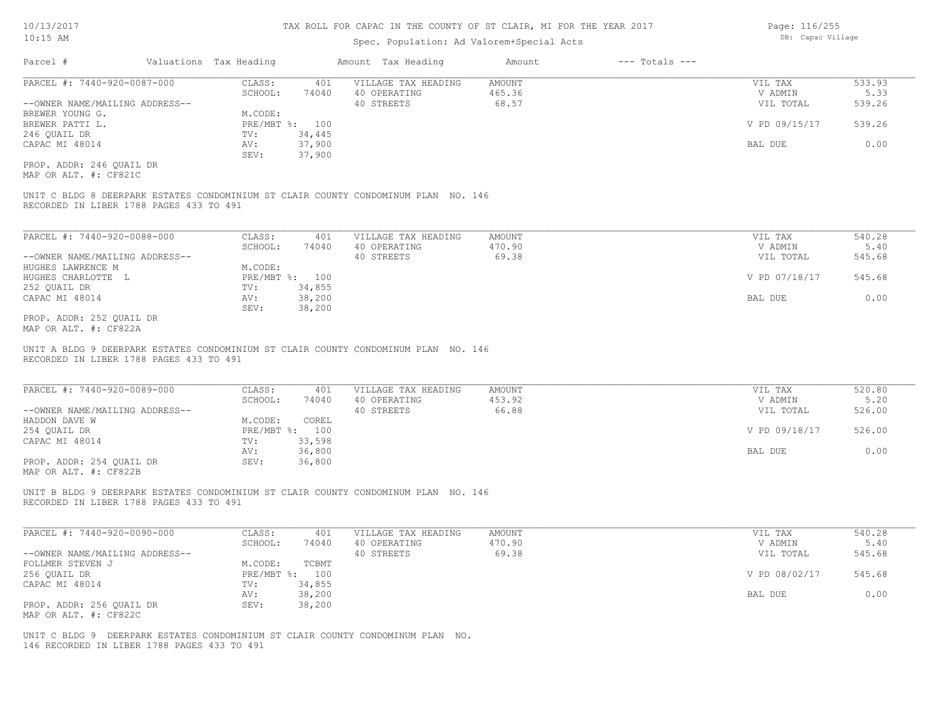### Spec. Population: Ad Valorem+Special Acts

| Parcel #                       | Valuations Tax Heading |        | Amount Tax Heading  | Amount | $---$ Totals $---$ |               |        |
|--------------------------------|------------------------|--------|---------------------|--------|--------------------|---------------|--------|
| PARCEL #: 7440-920-0087-000    | CLASS:                 | 401    | VILLAGE TAX HEADING | AMOUNT |                    | VIL TAX       | 533.93 |
|                                | SCHOOL:                | 74040  | 40 OPERATING        | 465.36 |                    | V ADMIN       | 5.33   |
| --OWNER NAME/MAILING ADDRESS-- |                        |        | 40 STREETS          | 68.57  |                    | VIL TOTAL     | 539.26 |
| BREWER YOUNG G.                | M.CODE:                |        |                     |        |                    |               |        |
| BREWER PATTI L.                | $PRE/MBT$ %:           | 100    |                     |        |                    | V PD 09/15/17 | 539.26 |
| 246 OUAIL DR                   | TV:                    | 34,445 |                     |        |                    |               |        |
| CAPAC MI 48014                 | AV:                    | 37,900 |                     |        |                    | BAL DUE       | 0.00   |
|                                | SEV:                   | 37,900 |                     |        |                    |               |        |
| PROP. ADDR: 246 QUAIL DR       |                        |        |                     |        |                    |               |        |
| MAP OR ALT. #: CF821C          |                        |        |                     |        |                    |               |        |

RECORDED IN LIBER 1788 PAGES 433 TO 491

| PARCEL #: 7440-920-0088-000    | CLASS:     | 401    | VILLAGE TAX HEADING | AMOUNT | VIL TAX       | 540.28 |
|--------------------------------|------------|--------|---------------------|--------|---------------|--------|
|                                | SCHOOL:    | 74040  | 40 OPERATING        | 470.90 | V ADMIN       | 5.40   |
| --OWNER NAME/MAILING ADDRESS-- |            |        | 40 STREETS          | 69.38  | VIL TOTAL     | 545.68 |
| HUGHES LAWRENCE M              | M.CODE:    |        |                     |        |               |        |
| HUGHES CHARLOTTE L             | PRE/MBT %: | 100    |                     |        | V PD 07/18/17 | 545.68 |
| 252 OUAIL DR                   | TV:        | 34,855 |                     |        |               |        |
| CAPAC MI 48014                 | AV:        | 38,200 |                     |        | BAL DUE       | 0.00   |
|                                | SEV:       | 38,200 |                     |        |               |        |
| PROP. ADDR: 252 OUAIL DR       |            |        |                     |        |               |        |

 $\mathcal{L}_\mathcal{L} = \mathcal{L}_\mathcal{L} = \mathcal{L}_\mathcal{L} = \mathcal{L}_\mathcal{L} = \mathcal{L}_\mathcal{L} = \mathcal{L}_\mathcal{L} = \mathcal{L}_\mathcal{L} = \mathcal{L}_\mathcal{L} = \mathcal{L}_\mathcal{L} = \mathcal{L}_\mathcal{L} = \mathcal{L}_\mathcal{L} = \mathcal{L}_\mathcal{L} = \mathcal{L}_\mathcal{L} = \mathcal{L}_\mathcal{L} = \mathcal{L}_\mathcal{L} = \mathcal{L}_\mathcal{L} = \mathcal{L}_\mathcal{L}$ 

MAP OR ALT. #: CF822A

RECORDED IN LIBER 1788 PAGES 433 TO 491 UNIT A BLDG 9 DEERPARK ESTATES CONDOMINIUM ST CLAIR COUNTY CONDOMINUM PLAN NO. 146

| PARCEL #: 7440-920-0089-000    | CLASS:  | 401            | VILLAGE TAX HEADING | AMOUNT | VIL TAX       | 520.80 |
|--------------------------------|---------|----------------|---------------------|--------|---------------|--------|
|                                | SCHOOL: | 74040          | 40 OPERATING        | 453.92 | V ADMIN       | 5.20   |
| --OWNER NAME/MAILING ADDRESS-- |         |                | 40 STREETS          | 66.88  | VIL TOTAL     | 526.00 |
| HADDON DAVE W                  | M.CODE: | COREL          |                     |        |               |        |
| 254 QUAIL DR                   |         | PRE/MBT %: 100 |                     |        | V PD 09/18/17 | 526.00 |
| CAPAC MI 48014                 | TV:     | 33,598         |                     |        |               |        |
|                                | AV:     | 36,800         |                     |        | BAL DUE       | 0.00   |
| PROP. ADDR: 254 QUAIL DR       | SEV:    | 36,800         |                     |        |               |        |
|                                |         |                |                     |        |               |        |

MAP OR ALT. #: CF822B

RECORDED IN LIBER 1788 PAGES 433 TO 491 UNIT B BLDG 9 DEERPARK ESTATES CONDOMINIUM ST CLAIR COUNTY CONDOMINUM PLAN NO. 146

| PARCEL #: 7440-920-0090-000    | CLASS:       | 401    | VILLAGE TAX HEADING | AMOUNT | VIL TAX       | 540.28 |
|--------------------------------|--------------|--------|---------------------|--------|---------------|--------|
|                                | SCHOOL:      | 74040  | 40 OPERATING        | 470.90 | V ADMIN       | 5.40   |
| --OWNER NAME/MAILING ADDRESS-- |              |        | 40 STREETS          | 69.38  | VIL TOTAL     | 545.68 |
| FOLLMER STEVEN J               | M.CODE:      | TCBMT  |                     |        |               |        |
| 256 OUAIL DR                   | $PRE/MBT$ %: | 100    |                     |        | V PD 08/02/17 | 545.68 |
| CAPAC MI 48014                 | TV:          | 34,855 |                     |        |               |        |
|                                | AV:          | 38,200 |                     |        | BAL DUE       | 0.00   |
| PROP. ADDR: 256 OUAIL DR       | SEV:         | 38,200 |                     |        |               |        |
| MAP OR ALT. #: CF822C          |              |        |                     |        |               |        |

146 RECORDED IN LIBER 1788 PAGES 433 TO 491 UNIT C BLDG 9 DEERPARK ESTATES CONDOMINIUM ST CLAIR COUNTY CONDOMINUM PLAN NO. Page: 116/255 DB: Capac Village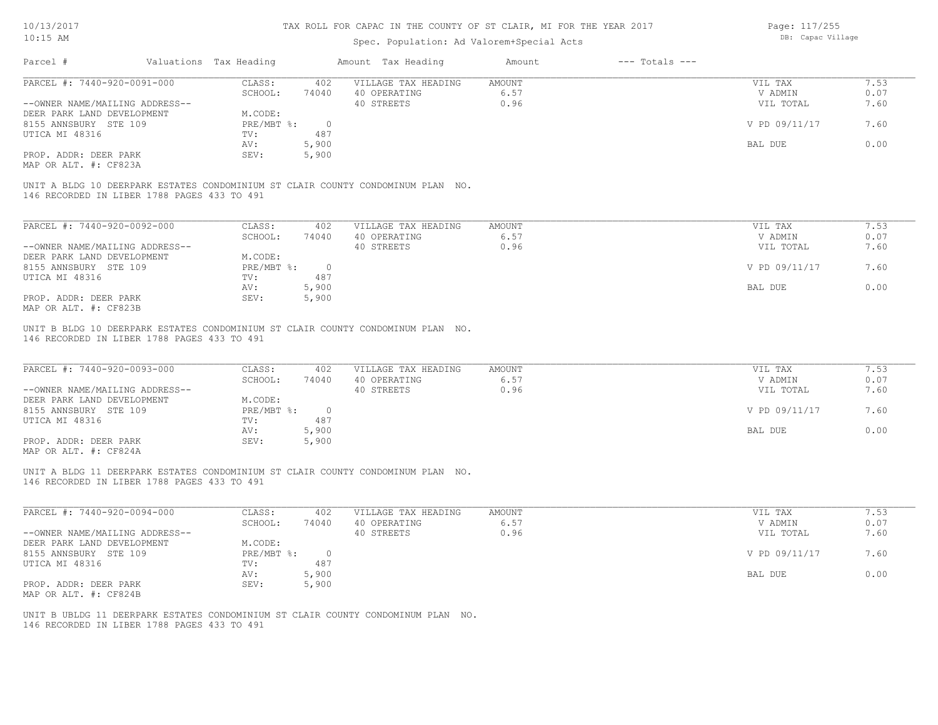Page: 117/255

| 1011012011                                     |                        |                                           | THIS INDIA FOR ANTISE IN THE COONIT OF OT ABRITING HIT FOR THE TENN CAT!        |               |                    | 1040.1111217220 |      |
|------------------------------------------------|------------------------|-------------------------------------------|---------------------------------------------------------------------------------|---------------|--------------------|-----------------|------|
| $10:15$ AM                                     |                        | Spec. Population: Ad Valorem+Special Acts | DB: Capac Village                                                               |               |                    |                 |      |
| Parcel #                                       | Valuations Tax Heading |                                           | Amount Tax Heading                                                              | Amount        | $---$ Totals $---$ |                 |      |
| PARCEL #: 7440-920-0091-000                    | CLASS:                 | 402                                       | VILLAGE TAX HEADING                                                             | AMOUNT        |                    | VIL TAX         | 7.53 |
|                                                | SCHOOL:                | 74040                                     | 40 OPERATING                                                                    | 6.57          |                    | V ADMIN         | 0.07 |
| --OWNER NAME/MAILING ADDRESS--                 |                        |                                           | 40 STREETS                                                                      | 0.96          |                    | VIL TOTAL       | 7.60 |
| DEER PARK LAND DEVELOPMENT                     | M.CODE:                |                                           |                                                                                 |               |                    |                 |      |
| 8155 ANNSBURY STE 109                          | PRE/MBT %:             | $\overline{0}$                            |                                                                                 |               |                    | V PD 09/11/17   | 7.60 |
| UTICA MI 48316                                 | TV:                    | 487                                       |                                                                                 |               |                    |                 |      |
|                                                | AV:                    | 5,900                                     |                                                                                 |               |                    | BAL DUE         | 0.00 |
| PROP. ADDR: DEER PARK<br>MAP OR ALT. #: CF823A | SEV:                   | 5,900                                     |                                                                                 |               |                    |                 |      |
|                                                |                        |                                           |                                                                                 |               |                    |                 |      |
| 146 RECORDED IN LIBER 1788 PAGES 433 TO 491    |                        |                                           | UNIT A BLDG 10 DEERPARK ESTATES CONDOMINIUM ST CLAIR COUNTY CONDOMINUM PLAN NO. |               |                    |                 |      |
|                                                |                        |                                           |                                                                                 |               |                    |                 |      |
| PARCEL #: 7440-920-0092-000                    | CLASS:                 | 402                                       | VILLAGE TAX HEADING                                                             | <b>AMOUNT</b> |                    | VIL TAX         | 7.53 |
|                                                | SCHOOL:                | 74040                                     | 40 OPERATING                                                                    | 6.57          |                    | V ADMIN         | 0.07 |
| --OWNER NAME/MAILING ADDRESS--                 |                        |                                           | 40 STREETS                                                                      | 0.96          |                    | VIL TOTAL       | 7.60 |
| DEER PARK LAND DEVELOPMENT                     | M.CODE:                |                                           |                                                                                 |               |                    |                 |      |
| 8155 ANNSBURY STE 109                          | PRE/MBT %:             | $\overline{0}$                            |                                                                                 |               |                    | V PD 09/11/17   | 7.60 |
| UTICA MI 48316                                 | TV:                    | 487                                       |                                                                                 |               |                    |                 |      |
|                                                | AV:                    | 5,900                                     |                                                                                 |               |                    | BAL DUE         | 0.00 |
| PROP. ADDR: DEER PARK<br>MAP OR ALT. #: CF823B | SEV:                   | 5,900                                     |                                                                                 |               |                    |                 |      |
|                                                |                        |                                           |                                                                                 |               |                    |                 |      |
| 146 RECORDED IN LIBER 1788 PAGES 433 TO 491    |                        |                                           | UNIT B BLDG 10 DEERPARK ESTATES CONDOMINIUM ST CLAIR COUNTY CONDOMINUM PLAN NO. |               |                    |                 |      |
|                                                |                        |                                           |                                                                                 |               |                    |                 |      |
| PARCEL #: 7440-920-0093-000                    | CLASS:                 | 402                                       | VILLAGE TAX HEADING                                                             | AMOUNT        |                    | VIL TAX         | 7.53 |
|                                                | SCHOOL:                | 74040                                     | 40 OPERATING                                                                    | 6.57          |                    | V ADMIN         | 0.07 |
| --OWNER NAME/MAILING ADDRESS--                 |                        |                                           | 40 STREETS                                                                      | 0.96          |                    | VIL TOTAL       | 7.60 |
| DEER PARK LAND DEVELOPMENT                     | M.CODE:                |                                           |                                                                                 |               |                    |                 |      |
| 8155 ANNSBURY STE 109                          | PRE/MBT %:             | $\overline{0}$                            |                                                                                 |               |                    | V PD 09/11/17   | 7.60 |
| UTICA MI 48316                                 | TV:                    | 487                                       |                                                                                 |               |                    |                 |      |
|                                                | AV:                    | 5,900                                     |                                                                                 |               |                    | BAL DUE         | 0.00 |
| PROP. ADDR: DEER PARK                          | SEV:                   | 5,900                                     |                                                                                 |               |                    |                 |      |
| MAP OR ALT. #: CF824A                          |                        |                                           |                                                                                 |               |                    |                 |      |

146 RECORDED IN LIBER 1788 PAGES 433 TO 491 UNIT A BLDG 11 DEERPARK ESTATES CONDOMINIUM ST CLAIR COUNTY CONDOMINUM PLAN NO.

| PARCEL #: 7440-920-0094-000    | CLASS:     | 402   | VILLAGE TAX HEADING | AMOUNT | VIL TAX       | 7.53 |
|--------------------------------|------------|-------|---------------------|--------|---------------|------|
|                                | SCHOOL:    | 74040 | 40 OPERATING        | 6.57   | V ADMIN       | 0.07 |
| --OWNER NAME/MAILING ADDRESS-- |            |       | 40 STREETS          | 0.96   | VIL TOTAL     | 7.60 |
| DEER PARK LAND DEVELOPMENT     | M.CODE:    |       |                     |        |               |      |
| 8155 ANNSBURY STE 109          | PRE/MBT %: |       |                     |        | V PD 09/11/17 | 7.60 |
| UTICA MI 48316                 | TV:        | 487   |                     |        |               |      |
|                                | AV:        | 5,900 |                     |        | BAL DUE       | 0.00 |
| PROP. ADDR: DEER PARK          | SEV:       | 5,900 |                     |        |               |      |
| MAP OR ALT. #: CF824B          |            |       |                     |        |               |      |

 $\mathcal{L}_\mathcal{L} = \mathcal{L}_\mathcal{L} = \mathcal{L}_\mathcal{L} = \mathcal{L}_\mathcal{L} = \mathcal{L}_\mathcal{L} = \mathcal{L}_\mathcal{L} = \mathcal{L}_\mathcal{L} = \mathcal{L}_\mathcal{L} = \mathcal{L}_\mathcal{L} = \mathcal{L}_\mathcal{L} = \mathcal{L}_\mathcal{L} = \mathcal{L}_\mathcal{L} = \mathcal{L}_\mathcal{L} = \mathcal{L}_\mathcal{L} = \mathcal{L}_\mathcal{L} = \mathcal{L}_\mathcal{L} = \mathcal{L}_\mathcal{L}$ 

146 RECORDED IN LIBER 1788 PAGES 433 TO 491 UNIT B UBLDG 11 DEERPARK ESTATES CONDOMINIUM ST CLAIR COUNTY CONDOMINUM PLAN NO.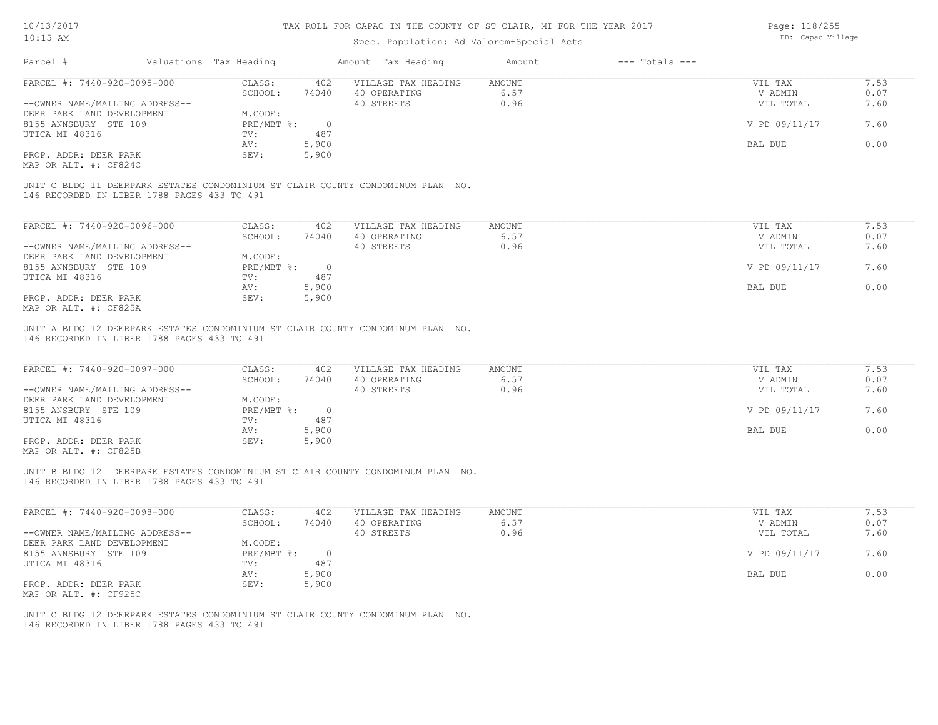Page: 118/255

| Parcel #<br>Valuations Tax Heading<br>Amount Tax Heading<br>$---$ Totals $---$<br>Amount<br>PARCEL #: 7440-920-0095-000<br>CLASS:<br>402<br>VILLAGE TAX HEADING<br>AMOUNT<br>VIL TAX<br>6.57<br>SCHOOL:<br>74040<br>40 OPERATING<br>V ADMIN<br>40 STREETS<br>0.96<br>--OWNER NAME/MAILING ADDRESS--<br>VIL TOTAL<br>DEER PARK LAND DEVELOPMENT<br>M.CODE:<br>8155 ANNSBURY STE 109<br>$PRE/MBT$ $\div$ :<br>V PD 09/11/17<br>$\overline{0}$<br>487<br>UTICA MI 48316<br>TV:<br>AV:<br>5,900<br>BAL DUE<br>5,900<br>PROP. ADDR: DEER PARK<br>SEV:<br>MAP OR ALT. #: CF824C<br>UNIT C BLDG 11 DEERPARK ESTATES CONDOMINIUM ST CLAIR COUNTY CONDOMINUM PLAN NO.<br>146 RECORDED IN LIBER 1788 PAGES 433 TO 491<br>PARCEL #: 7440-920-0096-000<br>CLASS:<br>402<br>VILLAGE TAX HEADING<br>AMOUNT<br>VIL TAX<br>6.57<br>SCHOOL:<br>74040<br>40 OPERATING<br>V ADMIN<br>0.96<br>--OWNER NAME/MAILING ADDRESS--<br>40 STREETS<br>VIL TOTAL<br>M.CODE:<br>DEER PARK LAND DEVELOPMENT<br>PRE/MBT %:<br>8155 ANNSBURY STE 109<br>$\overline{0}$<br>V PD 09/11/17<br>487<br>UTICA MI 48316<br>TV:<br>5,900<br>BAL DUE<br>AV:<br>5,900<br>PROP. ADDR: DEER PARK<br>SEV:<br>MAP OR ALT. #: CF825A<br>UNIT A BLDG 12 DEERPARK ESTATES CONDOMINIUM ST CLAIR COUNTY CONDOMINUM PLAN NO.<br>146 RECORDED IN LIBER 1788 PAGES 433 TO 491<br>PARCEL #: 7440-920-0097-000<br>CLASS:<br>402<br>VILLAGE TAX HEADING<br>AMOUNT<br>VIL TAX<br>6.57<br>SCHOOL:<br>40 OPERATING<br>V ADMIN<br>74040<br>40 STREETS<br>0.96<br>VIL TOTAL<br>--OWNER NAME/MAILING ADDRESS--<br>M.CODE:<br>DEER PARK LAND DEVELOPMENT<br>8155 ANSBURY STE 109<br>$PRE/MBT$ $\div$<br>$\overline{0}$<br>V PD 09/11/17<br>UTICA MI 48316<br>487<br>TV:<br>5,900<br>AV:<br>BAL DUE<br>PROP. ADDR: DEER PARK<br>SEV:<br>5,900<br>MAP OR ALT. #: CF825B<br>UNIT B BLDG 12 DEERPARK ESTATES CONDOMINIUM ST CLAIR COUNTY CONDOMINUM PLAN NO.<br>146 RECORDED IN LIBER 1788 PAGES 433 TO 491<br>PARCEL #: 7440-920-0098-000<br>CLASS:<br>402<br>VILLAGE TAX HEADING<br>AMOUNT<br>VIL TAX<br>6.57<br>V ADMIN<br>SCHOOL:<br>74040<br>40 OPERATING<br>--OWNER NAME/MAILING ADDRESS--<br>40 STREETS<br>0.96<br>VIL TOTAL<br>M.CODE:<br>DEER PARK LAND DEVELOPMENT<br>$PRE/MBT$ $\div$ :<br>V PD 09/11/17<br>8155 ANNSBURY STE 109<br>$\circ$<br>UTICA MI 48316<br>TV:<br>487<br>5,900<br>AV:<br>BAL DUE<br>5,900<br>PROP. ADDR: DEER PARK<br>SEV:<br>MAP OR ALT. #: CF925C<br>UNIT C BLDG 12 DEERPARK ESTATES CONDOMINIUM ST CLAIR COUNTY CONDOMINUM PLAN NO.<br>146 RECORDED IN LIBER 1788 PAGES 433 TO 491 | 7.60<br>7.60<br>0.00<br>7.60<br>0.00 | $10:15$ AM |  | Spec. Population: Ad Valorem+Special Acts |  | DB: Capac Village |      |
|----------------------------------------------------------------------------------------------------------------------------------------------------------------------------------------------------------------------------------------------------------------------------------------------------------------------------------------------------------------------------------------------------------------------------------------------------------------------------------------------------------------------------------------------------------------------------------------------------------------------------------------------------------------------------------------------------------------------------------------------------------------------------------------------------------------------------------------------------------------------------------------------------------------------------------------------------------------------------------------------------------------------------------------------------------------------------------------------------------------------------------------------------------------------------------------------------------------------------------------------------------------------------------------------------------------------------------------------------------------------------------------------------------------------------------------------------------------------------------------------------------------------------------------------------------------------------------------------------------------------------------------------------------------------------------------------------------------------------------------------------------------------------------------------------------------------------------------------------------------------------------------------------------------------------------------------------------------------------------------------------------------------------------------------------------------------------------------------------------------------------------------------------------------------------------------------------------------------------------------------------------------------------------------------------------------------------------------------------------------------------------------------------------------------------------------------------------------------------------------------------------------------------------------------------|--------------------------------------|------------|--|-------------------------------------------|--|-------------------|------|
|                                                                                                                                                                                                                                                                                                                                                                                                                                                                                                                                                                                                                                                                                                                                                                                                                                                                                                                                                                                                                                                                                                                                                                                                                                                                                                                                                                                                                                                                                                                                                                                                                                                                                                                                                                                                                                                                                                                                                                                                                                                                                                                                                                                                                                                                                                                                                                                                                                                                                                                                                    |                                      |            |  |                                           |  |                   |      |
|                                                                                                                                                                                                                                                                                                                                                                                                                                                                                                                                                                                                                                                                                                                                                                                                                                                                                                                                                                                                                                                                                                                                                                                                                                                                                                                                                                                                                                                                                                                                                                                                                                                                                                                                                                                                                                                                                                                                                                                                                                                                                                                                                                                                                                                                                                                                                                                                                                                                                                                                                    |                                      |            |  |                                           |  |                   | 7.53 |
|                                                                                                                                                                                                                                                                                                                                                                                                                                                                                                                                                                                                                                                                                                                                                                                                                                                                                                                                                                                                                                                                                                                                                                                                                                                                                                                                                                                                                                                                                                                                                                                                                                                                                                                                                                                                                                                                                                                                                                                                                                                                                                                                                                                                                                                                                                                                                                                                                                                                                                                                                    |                                      |            |  |                                           |  |                   | 0.07 |
|                                                                                                                                                                                                                                                                                                                                                                                                                                                                                                                                                                                                                                                                                                                                                                                                                                                                                                                                                                                                                                                                                                                                                                                                                                                                                                                                                                                                                                                                                                                                                                                                                                                                                                                                                                                                                                                                                                                                                                                                                                                                                                                                                                                                                                                                                                                                                                                                                                                                                                                                                    |                                      |            |  |                                           |  |                   | 7.60 |
|                                                                                                                                                                                                                                                                                                                                                                                                                                                                                                                                                                                                                                                                                                                                                                                                                                                                                                                                                                                                                                                                                                                                                                                                                                                                                                                                                                                                                                                                                                                                                                                                                                                                                                                                                                                                                                                                                                                                                                                                                                                                                                                                                                                                                                                                                                                                                                                                                                                                                                                                                    |                                      |            |  |                                           |  |                   |      |
|                                                                                                                                                                                                                                                                                                                                                                                                                                                                                                                                                                                                                                                                                                                                                                                                                                                                                                                                                                                                                                                                                                                                                                                                                                                                                                                                                                                                                                                                                                                                                                                                                                                                                                                                                                                                                                                                                                                                                                                                                                                                                                                                                                                                                                                                                                                                                                                                                                                                                                                                                    |                                      |            |  |                                           |  |                   | 7.60 |
|                                                                                                                                                                                                                                                                                                                                                                                                                                                                                                                                                                                                                                                                                                                                                                                                                                                                                                                                                                                                                                                                                                                                                                                                                                                                                                                                                                                                                                                                                                                                                                                                                                                                                                                                                                                                                                                                                                                                                                                                                                                                                                                                                                                                                                                                                                                                                                                                                                                                                                                                                    |                                      |            |  |                                           |  |                   |      |
|                                                                                                                                                                                                                                                                                                                                                                                                                                                                                                                                                                                                                                                                                                                                                                                                                                                                                                                                                                                                                                                                                                                                                                                                                                                                                                                                                                                                                                                                                                                                                                                                                                                                                                                                                                                                                                                                                                                                                                                                                                                                                                                                                                                                                                                                                                                                                                                                                                                                                                                                                    |                                      |            |  |                                           |  |                   | 0.00 |
|                                                                                                                                                                                                                                                                                                                                                                                                                                                                                                                                                                                                                                                                                                                                                                                                                                                                                                                                                                                                                                                                                                                                                                                                                                                                                                                                                                                                                                                                                                                                                                                                                                                                                                                                                                                                                                                                                                                                                                                                                                                                                                                                                                                                                                                                                                                                                                                                                                                                                                                                                    |                                      |            |  |                                           |  |                   |      |
|                                                                                                                                                                                                                                                                                                                                                                                                                                                                                                                                                                                                                                                                                                                                                                                                                                                                                                                                                                                                                                                                                                                                                                                                                                                                                                                                                                                                                                                                                                                                                                                                                                                                                                                                                                                                                                                                                                                                                                                                                                                                                                                                                                                                                                                                                                                                                                                                                                                                                                                                                    |                                      |            |  |                                           |  |                   |      |
|                                                                                                                                                                                                                                                                                                                                                                                                                                                                                                                                                                                                                                                                                                                                                                                                                                                                                                                                                                                                                                                                                                                                                                                                                                                                                                                                                                                                                                                                                                                                                                                                                                                                                                                                                                                                                                                                                                                                                                                                                                                                                                                                                                                                                                                                                                                                                                                                                                                                                                                                                    |                                      |            |  |                                           |  |                   |      |
|                                                                                                                                                                                                                                                                                                                                                                                                                                                                                                                                                                                                                                                                                                                                                                                                                                                                                                                                                                                                                                                                                                                                                                                                                                                                                                                                                                                                                                                                                                                                                                                                                                                                                                                                                                                                                                                                                                                                                                                                                                                                                                                                                                                                                                                                                                                                                                                                                                                                                                                                                    |                                      |            |  |                                           |  |                   | 7.53 |
|                                                                                                                                                                                                                                                                                                                                                                                                                                                                                                                                                                                                                                                                                                                                                                                                                                                                                                                                                                                                                                                                                                                                                                                                                                                                                                                                                                                                                                                                                                                                                                                                                                                                                                                                                                                                                                                                                                                                                                                                                                                                                                                                                                                                                                                                                                                                                                                                                                                                                                                                                    |                                      |            |  |                                           |  |                   | 0.07 |
|                                                                                                                                                                                                                                                                                                                                                                                                                                                                                                                                                                                                                                                                                                                                                                                                                                                                                                                                                                                                                                                                                                                                                                                                                                                                                                                                                                                                                                                                                                                                                                                                                                                                                                                                                                                                                                                                                                                                                                                                                                                                                                                                                                                                                                                                                                                                                                                                                                                                                                                                                    |                                      |            |  |                                           |  |                   |      |
|                                                                                                                                                                                                                                                                                                                                                                                                                                                                                                                                                                                                                                                                                                                                                                                                                                                                                                                                                                                                                                                                                                                                                                                                                                                                                                                                                                                                                                                                                                                                                                                                                                                                                                                                                                                                                                                                                                                                                                                                                                                                                                                                                                                                                                                                                                                                                                                                                                                                                                                                                    |                                      |            |  |                                           |  |                   |      |
|                                                                                                                                                                                                                                                                                                                                                                                                                                                                                                                                                                                                                                                                                                                                                                                                                                                                                                                                                                                                                                                                                                                                                                                                                                                                                                                                                                                                                                                                                                                                                                                                                                                                                                                                                                                                                                                                                                                                                                                                                                                                                                                                                                                                                                                                                                                                                                                                                                                                                                                                                    |                                      |            |  |                                           |  |                   |      |
|                                                                                                                                                                                                                                                                                                                                                                                                                                                                                                                                                                                                                                                                                                                                                                                                                                                                                                                                                                                                                                                                                                                                                                                                                                                                                                                                                                                                                                                                                                                                                                                                                                                                                                                                                                                                                                                                                                                                                                                                                                                                                                                                                                                                                                                                                                                                                                                                                                                                                                                                                    |                                      |            |  |                                           |  |                   |      |
|                                                                                                                                                                                                                                                                                                                                                                                                                                                                                                                                                                                                                                                                                                                                                                                                                                                                                                                                                                                                                                                                                                                                                                                                                                                                                                                                                                                                                                                                                                                                                                                                                                                                                                                                                                                                                                                                                                                                                                                                                                                                                                                                                                                                                                                                                                                                                                                                                                                                                                                                                    |                                      |            |  |                                           |  |                   |      |
|                                                                                                                                                                                                                                                                                                                                                                                                                                                                                                                                                                                                                                                                                                                                                                                                                                                                                                                                                                                                                                                                                                                                                                                                                                                                                                                                                                                                                                                                                                                                                                                                                                                                                                                                                                                                                                                                                                                                                                                                                                                                                                                                                                                                                                                                                                                                                                                                                                                                                                                                                    |                                      |            |  |                                           |  |                   |      |
|                                                                                                                                                                                                                                                                                                                                                                                                                                                                                                                                                                                                                                                                                                                                                                                                                                                                                                                                                                                                                                                                                                                                                                                                                                                                                                                                                                                                                                                                                                                                                                                                                                                                                                                                                                                                                                                                                                                                                                                                                                                                                                                                                                                                                                                                                                                                                                                                                                                                                                                                                    |                                      |            |  |                                           |  |                   |      |
|                                                                                                                                                                                                                                                                                                                                                                                                                                                                                                                                                                                                                                                                                                                                                                                                                                                                                                                                                                                                                                                                                                                                                                                                                                                                                                                                                                                                                                                                                                                                                                                                                                                                                                                                                                                                                                                                                                                                                                                                                                                                                                                                                                                                                                                                                                                                                                                                                                                                                                                                                    |                                      |            |  |                                           |  |                   | 7.53 |
|                                                                                                                                                                                                                                                                                                                                                                                                                                                                                                                                                                                                                                                                                                                                                                                                                                                                                                                                                                                                                                                                                                                                                                                                                                                                                                                                                                                                                                                                                                                                                                                                                                                                                                                                                                                                                                                                                                                                                                                                                                                                                                                                                                                                                                                                                                                                                                                                                                                                                                                                                    |                                      |            |  |                                           |  |                   | 0.07 |
|                                                                                                                                                                                                                                                                                                                                                                                                                                                                                                                                                                                                                                                                                                                                                                                                                                                                                                                                                                                                                                                                                                                                                                                                                                                                                                                                                                                                                                                                                                                                                                                                                                                                                                                                                                                                                                                                                                                                                                                                                                                                                                                                                                                                                                                                                                                                                                                                                                                                                                                                                    |                                      |            |  |                                           |  |                   | 7.60 |
|                                                                                                                                                                                                                                                                                                                                                                                                                                                                                                                                                                                                                                                                                                                                                                                                                                                                                                                                                                                                                                                                                                                                                                                                                                                                                                                                                                                                                                                                                                                                                                                                                                                                                                                                                                                                                                                                                                                                                                                                                                                                                                                                                                                                                                                                                                                                                                                                                                                                                                                                                    |                                      |            |  |                                           |  |                   |      |
|                                                                                                                                                                                                                                                                                                                                                                                                                                                                                                                                                                                                                                                                                                                                                                                                                                                                                                                                                                                                                                                                                                                                                                                                                                                                                                                                                                                                                                                                                                                                                                                                                                                                                                                                                                                                                                                                                                                                                                                                                                                                                                                                                                                                                                                                                                                                                                                                                                                                                                                                                    |                                      |            |  |                                           |  |                   |      |
|                                                                                                                                                                                                                                                                                                                                                                                                                                                                                                                                                                                                                                                                                                                                                                                                                                                                                                                                                                                                                                                                                                                                                                                                                                                                                                                                                                                                                                                                                                                                                                                                                                                                                                                                                                                                                                                                                                                                                                                                                                                                                                                                                                                                                                                                                                                                                                                                                                                                                                                                                    |                                      |            |  |                                           |  |                   |      |
|                                                                                                                                                                                                                                                                                                                                                                                                                                                                                                                                                                                                                                                                                                                                                                                                                                                                                                                                                                                                                                                                                                                                                                                                                                                                                                                                                                                                                                                                                                                                                                                                                                                                                                                                                                                                                                                                                                                                                                                                                                                                                                                                                                                                                                                                                                                                                                                                                                                                                                                                                    |                                      |            |  |                                           |  |                   |      |
|                                                                                                                                                                                                                                                                                                                                                                                                                                                                                                                                                                                                                                                                                                                                                                                                                                                                                                                                                                                                                                                                                                                                                                                                                                                                                                                                                                                                                                                                                                                                                                                                                                                                                                                                                                                                                                                                                                                                                                                                                                                                                                                                                                                                                                                                                                                                                                                                                                                                                                                                                    |                                      |            |  |                                           |  |                   |      |
|                                                                                                                                                                                                                                                                                                                                                                                                                                                                                                                                                                                                                                                                                                                                                                                                                                                                                                                                                                                                                                                                                                                                                                                                                                                                                                                                                                                                                                                                                                                                                                                                                                                                                                                                                                                                                                                                                                                                                                                                                                                                                                                                                                                                                                                                                                                                                                                                                                                                                                                                                    |                                      |            |  |                                           |  |                   |      |
|                                                                                                                                                                                                                                                                                                                                                                                                                                                                                                                                                                                                                                                                                                                                                                                                                                                                                                                                                                                                                                                                                                                                                                                                                                                                                                                                                                                                                                                                                                                                                                                                                                                                                                                                                                                                                                                                                                                                                                                                                                                                                                                                                                                                                                                                                                                                                                                                                                                                                                                                                    |                                      |            |  |                                           |  |                   |      |
|                                                                                                                                                                                                                                                                                                                                                                                                                                                                                                                                                                                                                                                                                                                                                                                                                                                                                                                                                                                                                                                                                                                                                                                                                                                                                                                                                                                                                                                                                                                                                                                                                                                                                                                                                                                                                                                                                                                                                                                                                                                                                                                                                                                                                                                                                                                                                                                                                                                                                                                                                    |                                      |            |  |                                           |  |                   |      |
|                                                                                                                                                                                                                                                                                                                                                                                                                                                                                                                                                                                                                                                                                                                                                                                                                                                                                                                                                                                                                                                                                                                                                                                                                                                                                                                                                                                                                                                                                                                                                                                                                                                                                                                                                                                                                                                                                                                                                                                                                                                                                                                                                                                                                                                                                                                                                                                                                                                                                                                                                    |                                      |            |  |                                           |  |                   | 7.53 |
|                                                                                                                                                                                                                                                                                                                                                                                                                                                                                                                                                                                                                                                                                                                                                                                                                                                                                                                                                                                                                                                                                                                                                                                                                                                                                                                                                                                                                                                                                                                                                                                                                                                                                                                                                                                                                                                                                                                                                                                                                                                                                                                                                                                                                                                                                                                                                                                                                                                                                                                                                    |                                      |            |  |                                           |  |                   | 0.07 |
|                                                                                                                                                                                                                                                                                                                                                                                                                                                                                                                                                                                                                                                                                                                                                                                                                                                                                                                                                                                                                                                                                                                                                                                                                                                                                                                                                                                                                                                                                                                                                                                                                                                                                                                                                                                                                                                                                                                                                                                                                                                                                                                                                                                                                                                                                                                                                                                                                                                                                                                                                    |                                      |            |  |                                           |  |                   | 7.60 |
|                                                                                                                                                                                                                                                                                                                                                                                                                                                                                                                                                                                                                                                                                                                                                                                                                                                                                                                                                                                                                                                                                                                                                                                                                                                                                                                                                                                                                                                                                                                                                                                                                                                                                                                                                                                                                                                                                                                                                                                                                                                                                                                                                                                                                                                                                                                                                                                                                                                                                                                                                    |                                      |            |  |                                           |  |                   |      |
|                                                                                                                                                                                                                                                                                                                                                                                                                                                                                                                                                                                                                                                                                                                                                                                                                                                                                                                                                                                                                                                                                                                                                                                                                                                                                                                                                                                                                                                                                                                                                                                                                                                                                                                                                                                                                                                                                                                                                                                                                                                                                                                                                                                                                                                                                                                                                                                                                                                                                                                                                    |                                      |            |  |                                           |  |                   | 7.60 |
|                                                                                                                                                                                                                                                                                                                                                                                                                                                                                                                                                                                                                                                                                                                                                                                                                                                                                                                                                                                                                                                                                                                                                                                                                                                                                                                                                                                                                                                                                                                                                                                                                                                                                                                                                                                                                                                                                                                                                                                                                                                                                                                                                                                                                                                                                                                                                                                                                                                                                                                                                    |                                      |            |  |                                           |  |                   |      |
|                                                                                                                                                                                                                                                                                                                                                                                                                                                                                                                                                                                                                                                                                                                                                                                                                                                                                                                                                                                                                                                                                                                                                                                                                                                                                                                                                                                                                                                                                                                                                                                                                                                                                                                                                                                                                                                                                                                                                                                                                                                                                                                                                                                                                                                                                                                                                                                                                                                                                                                                                    |                                      |            |  |                                           |  |                   | 0.00 |
|                                                                                                                                                                                                                                                                                                                                                                                                                                                                                                                                                                                                                                                                                                                                                                                                                                                                                                                                                                                                                                                                                                                                                                                                                                                                                                                                                                                                                                                                                                                                                                                                                                                                                                                                                                                                                                                                                                                                                                                                                                                                                                                                                                                                                                                                                                                                                                                                                                                                                                                                                    |                                      |            |  |                                           |  |                   |      |
|                                                                                                                                                                                                                                                                                                                                                                                                                                                                                                                                                                                                                                                                                                                                                                                                                                                                                                                                                                                                                                                                                                                                                                                                                                                                                                                                                                                                                                                                                                                                                                                                                                                                                                                                                                                                                                                                                                                                                                                                                                                                                                                                                                                                                                                                                                                                                                                                                                                                                                                                                    |                                      |            |  |                                           |  |                   |      |
|                                                                                                                                                                                                                                                                                                                                                                                                                                                                                                                                                                                                                                                                                                                                                                                                                                                                                                                                                                                                                                                                                                                                                                                                                                                                                                                                                                                                                                                                                                                                                                                                                                                                                                                                                                                                                                                                                                                                                                                                                                                                                                                                                                                                                                                                                                                                                                                                                                                                                                                                                    |                                      |            |  |                                           |  |                   |      |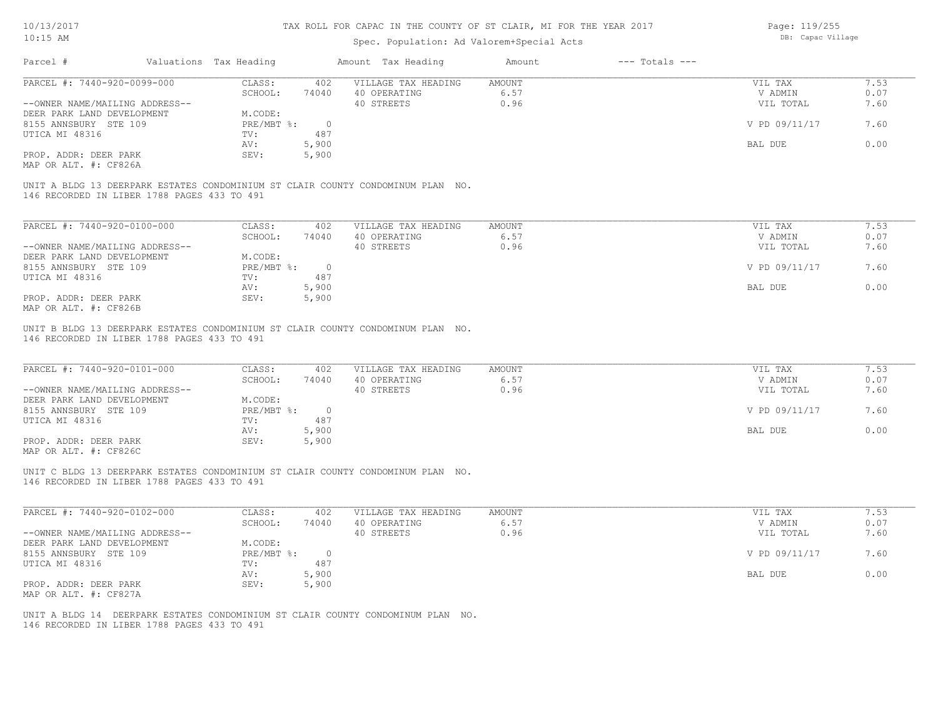MAP OR ALT. #: CF826C

#### TAX ROLL FOR CAPAC IN THE COUNTY OF ST CLAIR, MI FOR THE YEAR 2017

Page: 119/255

| $10:15$ AM                                     |                                             |                        |                | Spec. Population: Ad Valorem+Special Acts                                       | DB: Capac Village |                    |                |      |
|------------------------------------------------|---------------------------------------------|------------------------|----------------|---------------------------------------------------------------------------------|-------------------|--------------------|----------------|------|
| Parcel #                                       |                                             | Valuations Tax Heading |                | Amount Tax Heading                                                              | Amount            | $---$ Totals $---$ |                |      |
| PARCEL #: 7440-920-0099-000                    |                                             | CLASS:                 | 402            | VILLAGE TAX HEADING                                                             | AMOUNT            |                    | VIL TAX        | 7.53 |
|                                                |                                             | SCHOOL:                | 74040          | 40 OPERATING                                                                    | 6.57              |                    | V ADMIN        | 0.07 |
| --OWNER NAME/MAILING ADDRESS--                 |                                             |                        |                | 40 STREETS                                                                      | 0.96              |                    | VIL TOTAL      | 7.60 |
| DEER PARK LAND DEVELOPMENT                     |                                             | M.CODE:                |                |                                                                                 |                   |                    |                |      |
| 8155 ANNSBURY STE 109                          |                                             | PRE/MBT %:             | $\overline{0}$ |                                                                                 |                   |                    | V PD 09/11/17  | 7.60 |
| UTICA MI 48316                                 |                                             | TV:                    | 487            |                                                                                 |                   |                    |                |      |
|                                                |                                             | AV:                    | 5,900          |                                                                                 |                   |                    | BAL DUE        | 0.00 |
| PROP. ADDR: DEER PARK<br>MAP OR ALT. #: CF826A |                                             | SEV:                   | 5,900          |                                                                                 |                   |                    |                |      |
|                                                | 146 RECORDED IN LIBER 1788 PAGES 433 TO 491 |                        |                | UNIT A BLDG 13 DEERPARK ESTATES CONDOMINIUM ST CLAIR COUNTY CONDOMINUM PLAN NO. |                   |                    |                |      |
| PARCEL #: 7440-920-0100-000                    |                                             | CLASS:                 | 402            | VILLAGE TAX HEADING                                                             | <b>AMOUNT</b>     |                    | VIL TAX        | 7.53 |
|                                                |                                             | SCHOOL:                | 74040          | 40 OPERATING                                                                    | 6.57              |                    | V ADMIN        | 0.07 |
| --OWNER NAME/MAILING ADDRESS--                 |                                             |                        |                | 40 STREETS                                                                      | 0.96              |                    | VIL TOTAL      | 7.60 |
| DEER PARK LAND DEVELOPMENT                     |                                             | M.CODE:                |                |                                                                                 |                   |                    |                |      |
| 8155 ANNSBURY STE 109                          |                                             | PRE/MBT %:             | $\overline{0}$ |                                                                                 |                   |                    | V PD 09/11/17  | 7.60 |
| UTICA MI 48316                                 |                                             | TV:                    | 487            |                                                                                 |                   |                    |                |      |
|                                                |                                             | AV:                    | 5,900          |                                                                                 |                   |                    | <b>BAL DUE</b> | 0.00 |
| PROP. ADDR: DEER PARK                          |                                             | SEV:                   | 5,900          |                                                                                 |                   |                    |                |      |
| MAP OR ALT. #: CF826B                          |                                             |                        |                |                                                                                 |                   |                    |                |      |
|                                                | 146 RECORDED IN LIBER 1788 PAGES 433 TO 491 |                        |                | UNIT B BLDG 13 DEERPARK ESTATES CONDOMINIUM ST CLAIR COUNTY CONDOMINUM PLAN NO. |                   |                    |                |      |
|                                                |                                             |                        |                |                                                                                 |                   |                    |                |      |
| PARCEL #: 7440-920-0101-000                    |                                             | CLASS:                 | 402            | VILLAGE TAX HEADING                                                             | <b>AMOUNT</b>     |                    | VIL TAX        | 7.53 |
|                                                |                                             | SCHOOL:                | 74040          | 40 OPERATING                                                                    | 6.57              |                    | V ADMIN        | 0.07 |
| --OWNER NAME/MAILING ADDRESS--                 |                                             |                        |                | 40 STREETS                                                                      | 0.96              |                    | VIL TOTAL      | 7.60 |
| DEER PARK LAND DEVELOPMENT                     |                                             | M.CODE:                |                |                                                                                 |                   |                    |                |      |
| 8155 ANNSBURY STE 109                          |                                             | PRE/MBT %:             | $\overline{0}$ |                                                                                 |                   |                    | V PD 09/11/17  | 7.60 |
| UTICA MI 48316                                 |                                             | TV:                    | 487            |                                                                                 |                   |                    |                |      |
|                                                |                                             | AV:                    | 5,900          |                                                                                 |                   |                    | <b>BAL DUE</b> | 0.00 |

146 RECORDED IN LIBER 1788 PAGES 433 TO 491 UNIT C BLDG 13 DEERPARK ESTATES CONDOMINIUM ST CLAIR COUNTY CONDOMINUM PLAN NO.

PROP. ADDR: DEER PARK SEV: 5,900

| PARCEL #: 7440-920-0102-000    | CLASS:       | 402   | VILLAGE TAX HEADING | AMOUNT | VIL TAX       | 1.53 |
|--------------------------------|--------------|-------|---------------------|--------|---------------|------|
|                                | SCHOOL:      | 74040 | 40 OPERATING        | 6.57   | V ADMIN       | 0.07 |
| --OWNER NAME/MAILING ADDRESS-- |              |       | 40 STREETS          | 0.96   | VIL TOTAL     | 7.60 |
| DEER PARK LAND DEVELOPMENT     | M.CODE:      |       |                     |        |               |      |
| 8155 ANNSBURY STE 109          | $PRE/MBT$ %: |       |                     |        | V PD 09/11/17 | 7.60 |
| UTICA MI 48316                 | TV:          | 487   |                     |        |               |      |
|                                | AV:          | 5,900 |                     |        | BAL DUE       | 0.00 |
| PROP. ADDR: DEER PARK          | SEV:         | 5,900 |                     |        |               |      |
| MAP OR ALT. #: CF827A          |              |       |                     |        |               |      |

146 RECORDED IN LIBER 1788 PAGES 433 TO 491 UNIT A BLDG 14 DEERPARK ESTATES CONDOMINIUM ST CLAIR COUNTY CONDOMINUM PLAN NO.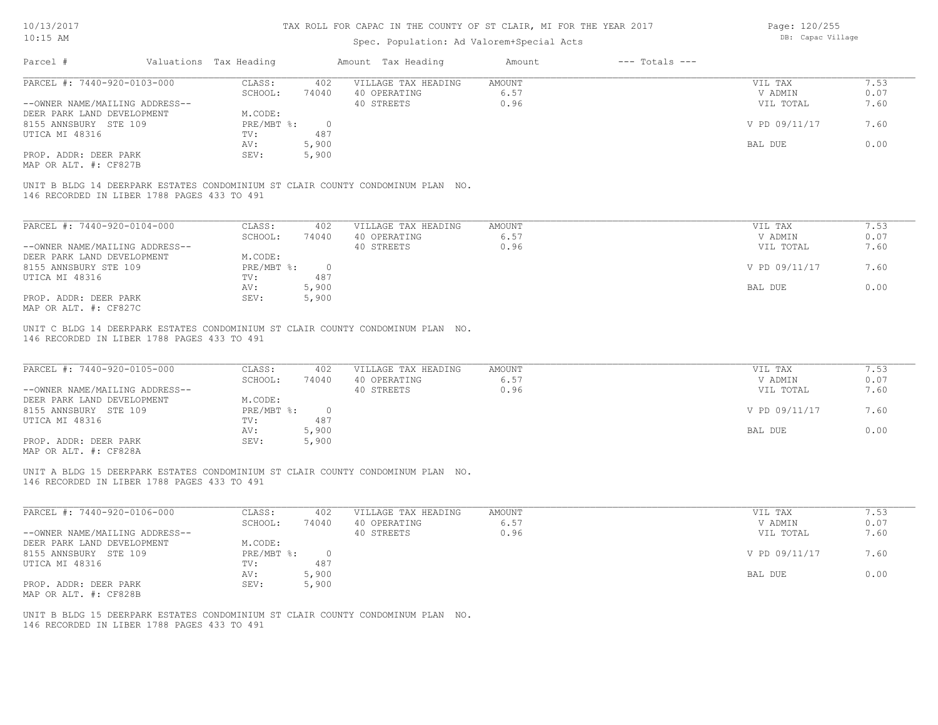## Spec. Population: Ad Valorem+Special Acts

Page: 120/255 DB: Capac Village

| Parcel #                                                                                                       | Valuations Tax Heading |                | Amount Tax Heading                  | Amount         | $---$ Totals $---$ |                    |              |
|----------------------------------------------------------------------------------------------------------------|------------------------|----------------|-------------------------------------|----------------|--------------------|--------------------|--------------|
| PARCEL #: 7440-920-0103-000                                                                                    | CLASS:                 | 402            | VILLAGE TAX HEADING                 | AMOUNT         |                    | VIL TAX            | 7.53         |
|                                                                                                                | SCHOOL:                | 74040          | 40 OPERATING                        | 6.57           |                    | V ADMIN            | 0.07         |
| --OWNER NAME/MAILING ADDRESS--                                                                                 |                        |                | 40 STREETS                          | 0.96           |                    | VIL TOTAL          | 7.60         |
| DEER PARK LAND DEVELOPMENT                                                                                     | M.CODE:                |                |                                     |                |                    |                    |              |
| 8155 ANNSBURY STE 109                                                                                          | PRE/MBT %:             | $\overline{0}$ |                                     |                |                    | V PD 09/11/17      | 7.60         |
| UTICA MI 48316                                                                                                 | TV:                    | 487            |                                     |                |                    |                    |              |
|                                                                                                                | AV:                    | 5,900          |                                     |                |                    | BAL DUE            | 0.00         |
| PROP. ADDR: DEER PARK                                                                                          | SEV:                   | 5,900          |                                     |                |                    |                    |              |
| MAP OR ALT. #: CF827B                                                                                          |                        |                |                                     |                |                    |                    |              |
| 146 RECORDED IN LIBER 1788 PAGES 433 TO 491                                                                    |                        |                |                                     |                |                    |                    |              |
| UNIT B BLDG 14 DEERPARK ESTATES CONDOMINIUM ST CLAIR COUNTY CONDOMINUM PLAN NO.<br>PARCEL #: 7440-920-0104-000 | CLASS:<br>SCHOOL:      | 402<br>74040   | VILLAGE TAX HEADING<br>40 OPERATING | AMOUNT<br>6.57 |                    | VIL TAX<br>V ADMIN | 7.53<br>0.07 |
| --OWNER NAME/MAILING ADDRESS--                                                                                 |                        |                | 40 STREETS                          | 0.96           |                    | VIL TOTAL          | 7.60         |
| DEER PARK LAND DEVELOPMENT<br>8155 ANNSBURY STE 109                                                            | M.CODE:<br>PRE/MBT %:  | $\overline{0}$ |                                     |                |                    | V PD 09/11/17      | 7.60         |
| UTICA MI 48316                                                                                                 | TV:                    | 487            |                                     |                |                    |                    |              |
| PROP. ADDR: DEER PARK                                                                                          | AV:<br>SEV:            | 5,900<br>5,900 |                                     |                |                    | BAL DUE            | 0.00         |

| PARCEL #: 7440-920-0105-000    | CLASS:       | 402    | VILLAGE TAX HEADING | AMOUNT | VIL TAX       | 7.53 |
|--------------------------------|--------------|--------|---------------------|--------|---------------|------|
|                                | SCHOOL:      | 74040  | 40 OPERATING        | 6.57   | V ADMIN       | 0.07 |
| --OWNER NAME/MAILING ADDRESS-- |              |        | 40 STREETS          | 0.96   | VIL TOTAL     | 7.60 |
| DEER PARK LAND DEVELOPMENT     | M.CODE:      |        |                     |        |               |      |
| 8155 ANNSBURY STE 109          | $PRE/MBT$ %: | $\cap$ |                     |        | V PD 09/11/17 | 7.60 |
| UTICA MI 48316                 | TV:          | 487    |                     |        |               |      |
|                                | AV:          | 5,900  |                     |        | BAL DUE       | 0.00 |
| PROP. ADDR: DEER PARK          | SEV:         | 5,900  |                     |        |               |      |
| MAP OR ALT. #: CF828A          |              |        |                     |        |               |      |

146 RECORDED IN LIBER 1788 PAGES 433 TO 491 UNIT A BLDG 15 DEERPARK ESTATES CONDOMINIUM ST CLAIR COUNTY CONDOMINUM PLAN NO.

| PARCEL #: 7440-920-0106-000    | CLASS:     | 402      | VILLAGE TAX HEADING | AMOUNT | VIL TAX       | 7.53 |
|--------------------------------|------------|----------|---------------------|--------|---------------|------|
|                                | SCHOOL:    | 74040    | 40 OPERATING        | 6.57   | V ADMIN       | 0.07 |
| --OWNER NAME/MAILING ADDRESS-- |            |          | 40 STREETS          | 0.96   | VIL TOTAL     | 7.60 |
| DEER PARK LAND DEVELOPMENT     | M.CODE:    |          |                     |        |               |      |
| 8155 ANNSBURY STE 109          | PRE/MBT %: | $\Omega$ |                     |        | V PD 09/11/17 | 7.60 |
| UTICA MI 48316                 | TV:        | 487      |                     |        |               |      |
|                                | AV:        | 5,900    |                     |        | BAL DUE       | 0.00 |
| PROP. ADDR: DEER PARK          | SEV:       | 5,900    |                     |        |               |      |
| MAP OR ALT. #: CF828B          |            |          |                     |        |               |      |

 $\mathcal{L}_\mathcal{L} = \mathcal{L}_\mathcal{L} = \mathcal{L}_\mathcal{L} = \mathcal{L}_\mathcal{L} = \mathcal{L}_\mathcal{L} = \mathcal{L}_\mathcal{L} = \mathcal{L}_\mathcal{L} = \mathcal{L}_\mathcal{L} = \mathcal{L}_\mathcal{L} = \mathcal{L}_\mathcal{L} = \mathcal{L}_\mathcal{L} = \mathcal{L}_\mathcal{L} = \mathcal{L}_\mathcal{L} = \mathcal{L}_\mathcal{L} = \mathcal{L}_\mathcal{L} = \mathcal{L}_\mathcal{L} = \mathcal{L}_\mathcal{L}$ 

146 RECORDED IN LIBER 1788 PAGES 433 TO 491 UNIT B BLDG 15 DEERPARK ESTATES CONDOMINIUM ST CLAIR COUNTY CONDOMINUM PLAN NO.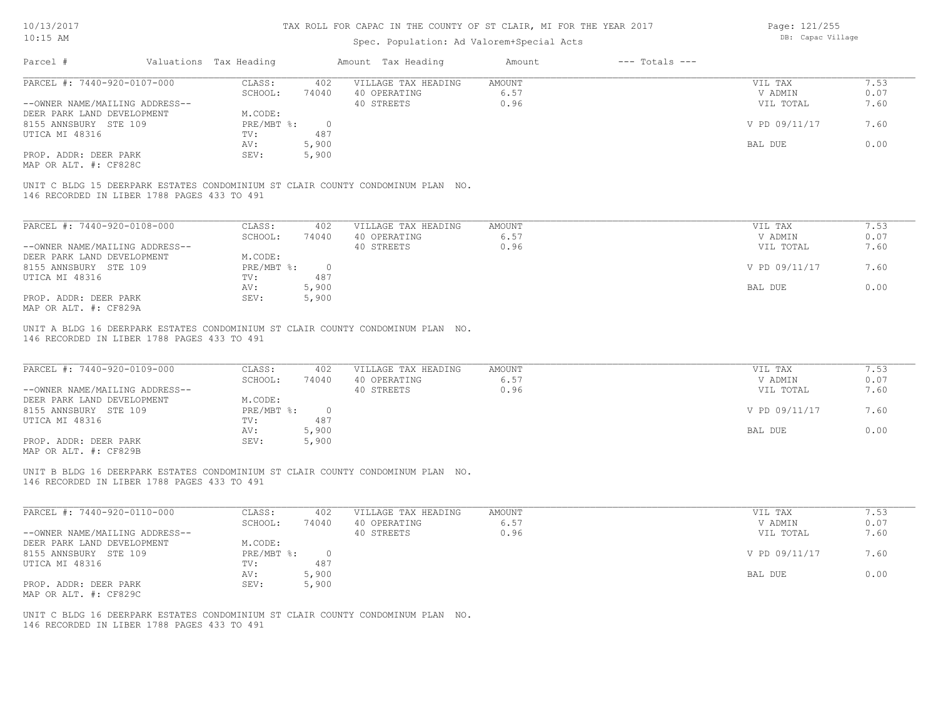# Spec. Population: Ad Valorem+Special Acts

Page: 121/255 DB: Capac Village

|                                                                            |                        |                   |              | Spec. Population: Ad Valorem+Special Acts                                       |                |                    |                    |              |
|----------------------------------------------------------------------------|------------------------|-------------------|--------------|---------------------------------------------------------------------------------|----------------|--------------------|--------------------|--------------|
| Parcel #                                                                   | Valuations Tax Heading |                   |              | Amount Tax Heading                                                              | Amount         | $---$ Totals $---$ |                    |              |
| PARCEL #: 7440-920-0107-000                                                |                        | CLASS:            | 402          | VILLAGE TAX HEADING                                                             | AMOUNT         |                    | VIL TAX            | 7.53         |
|                                                                            |                        | SCHOOL:           | 74040        | 40 OPERATING                                                                    | 6.57           |                    | V ADMIN            | 0.07         |
| --OWNER NAME/MAILING ADDRESS--                                             |                        |                   |              | 40 STREETS                                                                      | 0.96           |                    | VIL TOTAL          | 7.60         |
| DEER PARK LAND DEVELOPMENT                                                 |                        | M.CODE:           |              |                                                                                 |                |                    |                    |              |
| 8155 ANNSBURY STE 109                                                      |                        | PRE/MBT %:        | $\Omega$     |                                                                                 |                |                    | V PD 09/11/17      | 7.60         |
| UTICA MI 48316                                                             |                        | TV:               | 487          |                                                                                 |                |                    |                    |              |
|                                                                            |                        | AV:               | 5,900        |                                                                                 |                |                    | <b>BAL DUE</b>     | 0.00         |
| PROP. ADDR: DEER PARK                                                      |                        | SEV:              | 5,900        |                                                                                 |                |                    |                    |              |
| MAP OR ALT. #: CF828C                                                      |                        |                   |              |                                                                                 |                |                    |                    |              |
| 146 RECORDED IN LIBER 1788 PAGES 433 TO 491<br>PARCEL #: 7440-920-0108-000 |                        | CLASS:<br>SCHOOL: | 402<br>74040 | VILLAGE TAX HEADING<br>40 OPERATING                                             | AMOUNT<br>6.57 |                    | VIL TAX<br>V ADMIN | 7.53<br>0.07 |
| --OWNER NAME/MAILING ADDRESS--                                             |                        |                   |              | 40 STREETS                                                                      | 0.96           |                    | VIL TOTAL          | 7.60         |
| DEER PARK LAND DEVELOPMENT                                                 |                        | M.CODE:           |              |                                                                                 |                |                    |                    |              |
| 8155 ANNSBURY STE 109                                                      |                        | PRE/MBT %:        | $\circ$      |                                                                                 |                |                    | V PD 09/11/17      | 7.60         |
| UTICA MI 48316                                                             |                        | TV:               | 487          |                                                                                 |                |                    |                    |              |
|                                                                            |                        | AV:               | 5,900        |                                                                                 |                |                    | <b>BAL DUE</b>     | 0.00         |
| PROP. ADDR: DEER PARK                                                      |                        | SEV:              | 5,900        |                                                                                 |                |                    |                    |              |
| MAP OR ALT. #: CF829A                                                      |                        |                   |              |                                                                                 |                |                    |                    |              |
|                                                                            |                        |                   |              |                                                                                 |                |                    |                    |              |
| 146 RECORDED IN LIBER 1788 PAGES 433 TO 491                                |                        |                   |              | UNIT A BLDG 16 DEERPARK ESTATES CONDOMINIUM ST CLAIR COUNTY CONDOMINUM PLAN NO. |                |                    |                    |              |
| PARCEL #: 7440-920-0109-000                                                |                        | CLASS:            | 402          | VILLAGE TAX HEADING                                                             | <b>AMOUNT</b>  |                    | VIL TAX            | 7.53         |
|                                                                            |                        | SCHOOL:           | 74040        | 40 OPERATING                                                                    | 6.57           |                    | V ADMIN            | 0.07         |

|                                | SCHOOL:    | 74040 | 40 OPERATING | 0.57 | V ADMIN       | 0.07 |
|--------------------------------|------------|-------|--------------|------|---------------|------|
| --OWNER NAME/MAILING ADDRESS-- |            |       | 40 STREETS   | 0.96 | VIL TOTAL     | 7.60 |
| DEER PARK LAND DEVELOPMENT     | M.CODE:    |       |              |      |               |      |
| 8155 ANNSBURY STE 109          | PRE/MBT %: |       |              |      | V PD 09/11/17 | 7.60 |
| UTICA MI 48316                 | TV:        | 487   |              |      |               |      |
|                                | AV:        | 5,900 |              |      | BAL DUE       | 0.00 |
| PROP. ADDR: DEER PARK          | SEV:       | 5,900 |              |      |               |      |
|                                |            |       |              |      |               |      |

MAP OR ALT. #: CF829B

146 RECORDED IN LIBER 1788 PAGES 433 TO 491 UNIT B BLDG 16 DEERPARK ESTATES CONDOMINIUM ST CLAIR COUNTY CONDOMINUM PLAN NO.

| PARCEL #: 7440-920-0110-000    | CLASS:     | 402   | VILLAGE TAX HEADING | AMOUNT | VIL TAX       | 7.53 |
|--------------------------------|------------|-------|---------------------|--------|---------------|------|
|                                | SCHOOL:    | 74040 | 40 OPERATING        | 6.57   | V ADMIN       | 0.07 |
| --OWNER NAME/MAILING ADDRESS-- |            |       | 40 STREETS          | 0.96   | VIL TOTAL     | 7.60 |
| DEER PARK LAND DEVELOPMENT     | M.CODE:    |       |                     |        |               |      |
| 8155 ANNSBURY STE 109          | PRE/MBT %: |       |                     |        | V PD 09/11/17 | 7.60 |
| UTICA MI 48316                 | TV:        | 487   |                     |        |               |      |
|                                | AV:        | 5,900 |                     |        | BAL DUE       | 0.00 |
| PROP. ADDR: DEER PARK          | SEV:       | 5,900 |                     |        |               |      |
| MAP OR ALT. #: CF829C          |            |       |                     |        |               |      |

 $\mathcal{L}_\mathcal{L} = \mathcal{L}_\mathcal{L} = \mathcal{L}_\mathcal{L} = \mathcal{L}_\mathcal{L} = \mathcal{L}_\mathcal{L} = \mathcal{L}_\mathcal{L} = \mathcal{L}_\mathcal{L} = \mathcal{L}_\mathcal{L} = \mathcal{L}_\mathcal{L} = \mathcal{L}_\mathcal{L} = \mathcal{L}_\mathcal{L} = \mathcal{L}_\mathcal{L} = \mathcal{L}_\mathcal{L} = \mathcal{L}_\mathcal{L} = \mathcal{L}_\mathcal{L} = \mathcal{L}_\mathcal{L} = \mathcal{L}_\mathcal{L}$ 

146 RECORDED IN LIBER 1788 PAGES 433 TO 491 UNIT C BLDG 16 DEERPARK ESTATES CONDOMINIUM ST CLAIR COUNTY CONDOMINUM PLAN NO.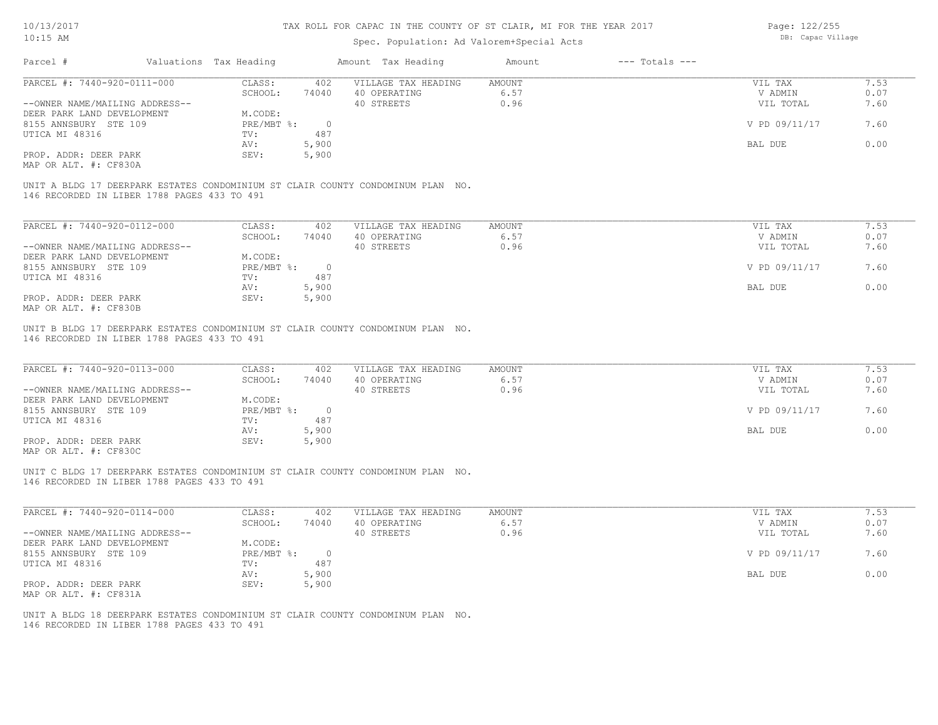| 10/13/2017                                          |                                             |                        |                | TAX ROLL FOR CAPAC IN THE COUNTY OF ST CLAIR, MI FOR THE YEAR 2017              |                |                    | Page: 122/255      |      |
|-----------------------------------------------------|---------------------------------------------|------------------------|----------------|---------------------------------------------------------------------------------|----------------|--------------------|--------------------|------|
| $10:15$ AM                                          |                                             |                        |                | Spec. Population: Ad Valorem+Special Acts                                       |                |                    | DB: Capac Village  |      |
| Parcel #                                            |                                             | Valuations Tax Heading |                | Amount Tax Heading                                                              | Amount         | $---$ Totals $---$ |                    |      |
| PARCEL #: 7440-920-0111-000                         |                                             | CLASS:                 | 402            | VILLAGE TAX HEADING                                                             | AMOUNT         |                    | VIL TAX            | 7.53 |
|                                                     |                                             | SCHOOL:                | 74040          | 40 OPERATING                                                                    | 6.57           |                    | V ADMIN            | 0.07 |
| --OWNER NAME/MAILING ADDRESS--                      |                                             |                        |                | 40 STREETS                                                                      | 0.96           |                    | VIL TOTAL          | 7.60 |
| DEER PARK LAND DEVELOPMENT<br>8155 ANNSBURY STE 109 |                                             | M.CODE:<br>PRE/MBT %:  | $\overline{0}$ |                                                                                 |                |                    | V PD 09/11/17      | 7.60 |
| UTICA MI 48316                                      |                                             | TV:                    | 487            |                                                                                 |                |                    |                    |      |
|                                                     |                                             | AV:                    | 5,900          |                                                                                 |                |                    | BAL DUE            | 0.00 |
| PROP. ADDR: DEER PARK                               |                                             | SEV:                   | 5,900          |                                                                                 |                |                    |                    |      |
| MAP OR ALT. #: CF830A                               |                                             |                        |                |                                                                                 |                |                    |                    |      |
|                                                     | 146 RECORDED IN LIBER 1788 PAGES 433 TO 491 |                        |                | UNIT A BLDG 17 DEERPARK ESTATES CONDOMINIUM ST CLAIR COUNTY CONDOMINUM PLAN NO. |                |                    |                    |      |
|                                                     |                                             |                        |                |                                                                                 |                |                    |                    | 7.53 |
| PARCEL #: 7440-920-0112-000                         |                                             | CLASS:<br>SCHOOL:      | 402<br>74040   | VILLAGE TAX HEADING<br>40 OPERATING                                             | AMOUNT<br>6.57 |                    | VIL TAX<br>V ADMIN | 0.07 |
| --OWNER NAME/MAILING ADDRESS--                      |                                             |                        |                | 40 STREETS                                                                      | 0.96           |                    | VIL TOTAL          | 7.60 |
| DEER PARK LAND DEVELOPMENT                          |                                             | M.CODE:                |                |                                                                                 |                |                    |                    |      |
| 8155 ANNSBURY STE 109                               |                                             | PRE/MBT %:             | $\overline{0}$ |                                                                                 |                |                    | V PD 09/11/17      | 7.60 |
| UTICA MI 48316                                      |                                             | TV:                    | 487            |                                                                                 |                |                    |                    |      |
|                                                     |                                             | AV:                    | 5,900          |                                                                                 |                |                    | BAL DUE            | 0.00 |
| PROP. ADDR: DEER PARK                               |                                             | SEV:                   | 5,900          |                                                                                 |                |                    |                    |      |
| MAP OR ALT. #: CF830B                               |                                             |                        |                |                                                                                 |                |                    |                    |      |
| PARCEL #: 7440-920-0113-000                         |                                             | CLASS:                 | 402            | VILLAGE TAX HEADING                                                             | AMOUNT         |                    | VIL TAX            | 7.53 |
|                                                     |                                             | SCHOOL:                | 74040          | 40 OPERATING                                                                    | 6.57           |                    | V ADMIN            | 0.07 |
| --OWNER NAME/MAILING ADDRESS--                      |                                             |                        |                | 40 STREETS                                                                      | 0.96           |                    | VIL TOTAL          | 7.60 |
| DEER PARK LAND DEVELOPMENT                          |                                             | M.CODE:                |                |                                                                                 |                |                    |                    |      |
| 8155 ANNSBURY STE 109                               |                                             | PRE/MBT %:             | $\overline{0}$ |                                                                                 |                |                    | V PD 09/11/17      | 7.60 |
| UTICA MI 48316                                      |                                             | TV:                    | 487            |                                                                                 |                |                    |                    |      |
|                                                     |                                             | AV:                    | 5,900          |                                                                                 |                |                    | BAL DUE            | 0.00 |
| PROP. ADDR: DEER PARK<br>MAP OR ALT. #: CF830C      |                                             | SEV:                   | 5,900          |                                                                                 |                |                    |                    |      |
|                                                     |                                             |                        |                | UNIT C BLDG 17 DEERPARK ESTATES CONDOMINIUM ST CLAIR COUNTY CONDOMINUM PLAN NO. |                |                    |                    |      |
|                                                     | 146 RECORDED IN LIBER 1788 PAGES 433 TO 491 |                        |                |                                                                                 |                |                    |                    |      |
|                                                     |                                             |                        |                |                                                                                 |                |                    |                    |      |
| PARCEL #: 7440-920-0114-000                         |                                             | CLASS:                 | 402            | VILLAGE TAX HEADING                                                             | <b>AMOUNT</b>  |                    | VIL TAX            | 7.53 |
|                                                     |                                             | SCHOOL:                | 74040          | 40 OPERATING                                                                    | 6.57<br>0.96   |                    | V ADMIN            | 0.07 |
|                                                     | --OWNER NAME/MAILING ADDRESS--              | M.CODE:                |                | 40 STREETS                                                                      |                |                    | VIL TOTAL          | 7.60 |
| DEER PARK LAND DEVELOPMENT<br>8155 ANNSBURY STE 109 |                                             | PRE/MBT %:             | $\overline{0}$ |                                                                                 |                |                    | V PD 09/11/17      | 7.60 |
| UTICA MI 48316                                      |                                             | TV:                    | 487            |                                                                                 |                |                    |                    |      |
|                                                     |                                             | AV:                    | 5,900          |                                                                                 |                |                    | BAL DUE            | 0.00 |
| PROP. ADDR: DEER PARK                               |                                             | SEV:                   | 5,900          |                                                                                 |                |                    |                    |      |
| MAP OR ALT. #: CF831A                               |                                             |                        |                |                                                                                 |                |                    |                    |      |
|                                                     |                                             |                        |                |                                                                                 |                |                    |                    |      |
|                                                     | 146 RECORDED IN LIBER 1788 PAGES 433 TO 491 |                        |                | UNIT A BLDG 18 DEERPARK ESTATES CONDOMINIUM ST CLAIR COUNTY CONDOMINUM PLAN NO. |                |                    |                    |      |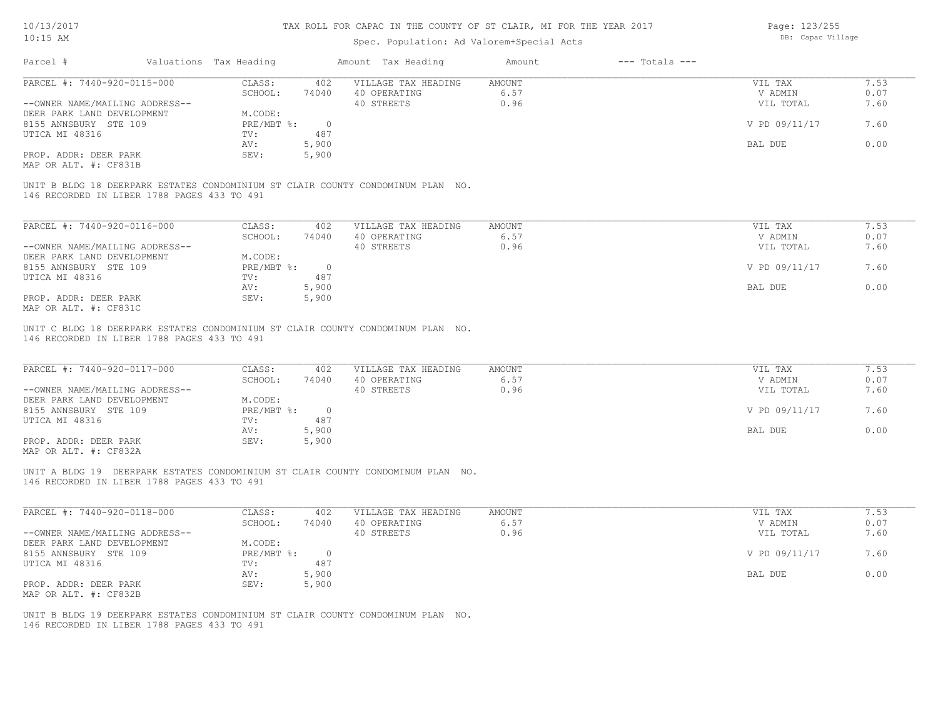Page: 123/255

| $10:15$ AM                                     |                        |                | Spec. Population: Ad Valorem+Special Acts                                       |        |                    | DB: Capac Village |      |
|------------------------------------------------|------------------------|----------------|---------------------------------------------------------------------------------|--------|--------------------|-------------------|------|
| Parcel #                                       | Valuations Tax Heading |                | Amount Tax Heading                                                              | Amount | $---$ Totals $---$ |                   |      |
| PARCEL #: 7440-920-0115-000                    | CLASS:                 | 402            | VILLAGE TAX HEADING                                                             | AMOUNT |                    | VIL TAX           | 7.53 |
|                                                | SCHOOL:                | 74040          | 40 OPERATING                                                                    | 6.57   |                    | V ADMIN           | 0.07 |
| --OWNER NAME/MAILING ADDRESS--                 |                        |                | 40 STREETS                                                                      | 0.96   |                    | VIL TOTAL         | 7.60 |
| DEER PARK LAND DEVELOPMENT                     | M.CODE:                |                |                                                                                 |        |                    |                   |      |
| 8155 ANNSBURY STE 109                          | PRE/MBT %:             | $\overline{0}$ |                                                                                 |        |                    | V PD 09/11/17     | 7.60 |
| UTICA MI 48316                                 | TV:                    | 487            |                                                                                 |        |                    |                   |      |
|                                                | AV:                    | 5,900          |                                                                                 |        |                    | BAL DUE           | 0.00 |
|                                                |                        |                |                                                                                 |        |                    |                   |      |
| PROP. ADDR: DEER PARK<br>MAP OR ALT. #: CF831B | SEV:                   | 5,900          |                                                                                 |        |                    |                   |      |
| 146 RECORDED IN LIBER 1788 PAGES 433 TO 491    |                        |                | UNIT B BLDG 18 DEERPARK ESTATES CONDOMINIUM ST CLAIR COUNTY CONDOMINUM PLAN NO. |        |                    |                   |      |
| PARCEL #: 7440-920-0116-000                    | CLASS:                 | 402            | VILLAGE TAX HEADING                                                             | AMOUNT |                    | VIL TAX           | 7.53 |
|                                                | SCHOOL:                | 74040          | 40 OPERATING                                                                    | 6.57   |                    | V ADMIN           | 0.07 |
| --OWNER NAME/MAILING ADDRESS--                 |                        |                | 40 STREETS                                                                      | 0.96   |                    | VIL TOTAL         | 7.60 |
|                                                |                        |                |                                                                                 |        |                    |                   |      |
| DEER PARK LAND DEVELOPMENT                     | M.CODE:                |                |                                                                                 |        |                    |                   |      |
| 8155 ANNSBURY STE 109                          | PRE/MBT %:             | $\overline{0}$ |                                                                                 |        |                    | V PD 09/11/17     | 7.60 |
| UTICA MI 48316                                 | TV:                    | 487            |                                                                                 |        |                    |                   |      |
|                                                | AV:                    | 5,900          |                                                                                 |        |                    | BAL DUE           | 0.00 |
| PROP. ADDR: DEER PARK                          | SEV:                   | 5,900          |                                                                                 |        |                    |                   |      |
| MAP OR ALT. #: CF831C                          |                        |                |                                                                                 |        |                    |                   |      |
| PARCEL #: 7440-920-0117-000                    | CLASS:                 | 402            | VILLAGE TAX HEADING                                                             | AMOUNT |                    | VIL TAX           | 7.53 |
|                                                | SCHOOL:                | 74040          | 40 OPERATING                                                                    | 6.57   |                    | V ADMIN           | 0.07 |
| --OWNER NAME/MAILING ADDRESS--                 |                        |                | 40 STREETS                                                                      | 0.96   |                    | VIL TOTAL         | 7.60 |
| DEER PARK LAND DEVELOPMENT                     | M.CODE:                |                |                                                                                 |        |                    |                   |      |
| 8155 ANNSBURY STE 109                          | $PRE/MBT$ $\div$ :     | $\overline{0}$ |                                                                                 |        |                    | V PD 09/11/17     | 7.60 |
| UTICA MI 48316                                 | TV:                    | 487            |                                                                                 |        |                    |                   |      |
|                                                | AV:                    | 5,900          |                                                                                 |        |                    | BAL DUE           | 0.00 |
| PROP. ADDR: DEER PARK                          | SEV:                   | 5,900          |                                                                                 |        |                    |                   |      |
| MAP OR ALT. #: CF832A                          |                        |                |                                                                                 |        |                    |                   |      |
|                                                |                        |                |                                                                                 |        |                    |                   |      |
| 146 RECORDED IN LIBER 1788 PAGES 433 TO 491    |                        |                | UNIT A BLDG 19 DEERPARK ESTATES CONDOMINIUM ST CLAIR COUNTY CONDOMINUM PLAN NO. |        |                    |                   |      |
| PARCEL #: 7440-920-0118-000                    | CLASS:                 | 402            | VILLAGE TAX HEADING                                                             | AMOUNT |                    | VIL TAX           | 7.53 |
|                                                | SCHOOL:                | 74040          | 40 OPERATING                                                                    | 6.57   |                    | V ADMIN           | 0.07 |
| --OWNER NAME/MAILING ADDRESS--                 |                        |                | 40 STREETS                                                                      | 0.96   |                    | VIL TOTAL         | 7.60 |
| DEER PARK LAND DEVELOPMENT                     | M.CODE:                |                |                                                                                 |        |                    |                   |      |
| 8155 ANNSBURY STE 109                          | $PRE/MBT$ $\div$ :     | $\circ$        |                                                                                 |        |                    | V PD 09/11/17     | 7.60 |
| UTICA MI 48316                                 | $\texttt{TV}$ :        | 487            |                                                                                 |        |                    |                   |      |
|                                                | AV:                    | 5,900          |                                                                                 |        |                    | BAL DUE           | 0.00 |
| PROP. ADDR: DEER PARK                          | SEV:                   | 5,900          |                                                                                 |        |                    |                   |      |
| MAP OR ALT. #: CF832B                          |                        |                |                                                                                 |        |                    |                   |      |
|                                                |                        |                |                                                                                 |        |                    |                   |      |
| 146 RECORDED IN LIBER 1788 PAGES 433 TO 491    |                        |                | UNIT B BLDG 19 DEERPARK ESTATES CONDOMINIUM ST CLAIR COUNTY CONDOMINUM PLAN NO. |        |                    |                   |      |
|                                                |                        |                |                                                                                 |        |                    |                   |      |
|                                                |                        |                |                                                                                 |        |                    |                   |      |
|                                                |                        |                |                                                                                 |        |                    |                   |      |
|                                                |                        |                |                                                                                 |        |                    |                   |      |
|                                                |                        |                |                                                                                 |        |                    |                   |      |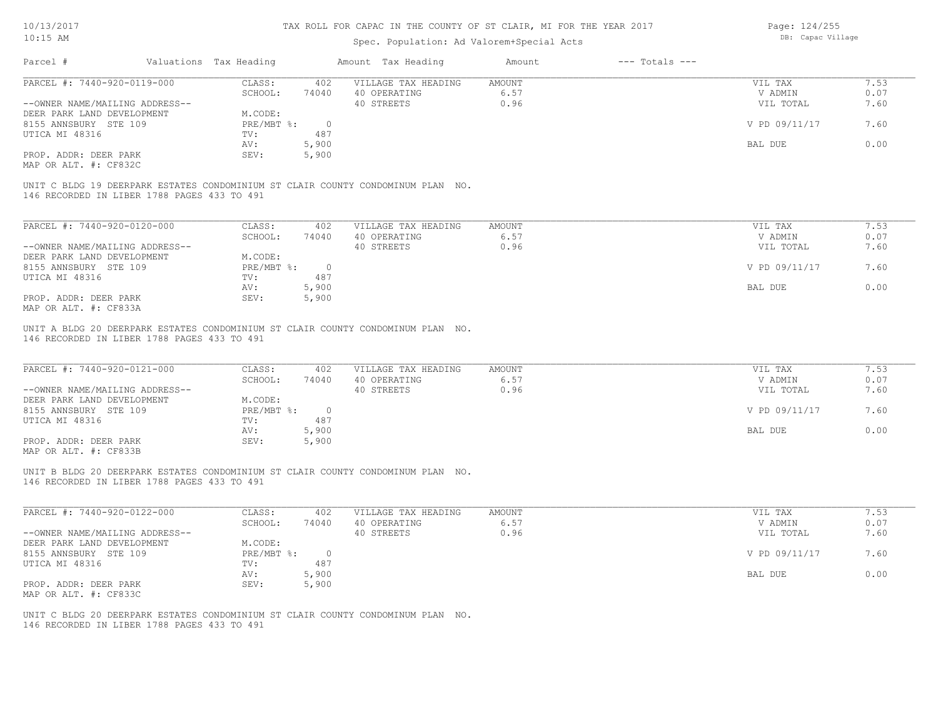| 10/13/2017                                     |                        |                | TAX ROLL FOR CAPAC IN THE COUNTY OF ST CLAIR, MI FOR THE YEAR 2017              |               |                    | Page: 124/255     |      |
|------------------------------------------------|------------------------|----------------|---------------------------------------------------------------------------------|---------------|--------------------|-------------------|------|
| $10:15$ AM                                     |                        |                | Spec. Population: Ad Valorem+Special Acts                                       |               |                    | DB: Capac Village |      |
| Parcel #                                       | Valuations Tax Heading |                | Amount Tax Heading                                                              | Amount        | $---$ Totals $---$ |                   |      |
| PARCEL #: 7440-920-0119-000                    | CLASS:                 | 402            | VILLAGE TAX HEADING                                                             | <b>AMOUNT</b> |                    | VIL TAX           | 7.53 |
|                                                | SCHOOL:                | 74040          | 40 OPERATING                                                                    | 6.57          |                    | V ADMIN           | 0.07 |
| --OWNER NAME/MAILING ADDRESS--                 |                        |                | 40 STREETS                                                                      | 0.96          |                    | VIL TOTAL         | 7.60 |
| DEER PARK LAND DEVELOPMENT                     | M.CODE:                |                |                                                                                 |               |                    |                   |      |
| 8155 ANNSBURY STE 109                          | PRE/MBT %:             | $\overline{0}$ |                                                                                 |               |                    | V PD 09/11/17     | 7.60 |
| UTICA MI 48316                                 | TV:                    | 487            |                                                                                 |               |                    |                   |      |
|                                                | AV:                    | 5,900          |                                                                                 |               |                    | BAL DUE           | 0.00 |
| PROP. ADDR: DEER PARK<br>MAP OR ALT. #: CF832C | SEV:                   | 5,900          |                                                                                 |               |                    |                   |      |
|                                                |                        |                |                                                                                 |               |                    |                   |      |
| 146 RECORDED IN LIBER 1788 PAGES 433 TO 491    |                        |                | UNIT C BLDG 19 DEERPARK ESTATES CONDOMINIUM ST CLAIR COUNTY CONDOMINUM PLAN NO. |               |                    |                   |      |
|                                                |                        |                |                                                                                 |               |                    |                   |      |
|                                                |                        |                |                                                                                 |               |                    |                   |      |
| PARCEL #: 7440-920-0120-000                    | CLASS:                 | 402            | VILLAGE TAX HEADING                                                             | <b>AMOUNT</b> |                    | VIL TAX           | 7.53 |
|                                                | SCHOOL:                | 74040          | 40 OPERATING                                                                    | 6.57          |                    | V ADMIN           | 0.07 |
| --OWNER NAME/MAILING ADDRESS--                 |                        |                | 40 STREETS                                                                      | 0.96          |                    | VIL TOTAL         | 7.60 |
| DEER PARK LAND DEVELOPMENT                     | M.CODE:                |                |                                                                                 |               |                    |                   |      |
| 8155 ANNSBURY STE 109                          | PRE/MBT %:             | $\overline{0}$ |                                                                                 |               |                    | V PD 09/11/17     | 7.60 |
| UTICA MI 48316                                 | TV:                    | 487            |                                                                                 |               |                    |                   |      |
|                                                | AV:                    | 5,900          |                                                                                 |               |                    | BAL DUE           | 0.00 |
| PROP. ADDR: DEER PARK                          | SEV:                   | 5,900          |                                                                                 |               |                    |                   |      |
| MAP OR ALT. #: CF833A                          |                        |                |                                                                                 |               |                    |                   |      |
|                                                |                        |                | UNIT A BLDG 20 DEERPARK ESTATES CONDOMINIUM ST CLAIR COUNTY CONDOMINUM PLAN NO. |               |                    |                   |      |
| 146 RECORDED IN LIBER 1788 PAGES 433 TO 491    |                        |                |                                                                                 |               |                    |                   |      |
|                                                |                        |                |                                                                                 |               |                    |                   |      |
| PARCEL #: 7440-920-0121-000                    | CLASS:                 | 402            | VILLAGE TAX HEADING                                                             | <b>AMOUNT</b> |                    | VIL TAX           | 7.53 |
|                                                | SCHOOL:                | 74040          | 40 OPERATING                                                                    | 6.57          |                    | V ADMIN           | 0.07 |
| --OWNER NAME/MAILING ADDRESS--                 |                        |                | 40 STREETS                                                                      | 0.96          |                    | VIL TOTAL         | 7.60 |
| DEER PARK LAND DEVELOPMENT                     | M.CODE:                |                |                                                                                 |               |                    |                   |      |
| 8155 ANNSBURY STE 109                          | PRE/MBT %:             | $\overline{0}$ |                                                                                 |               |                    | V PD 09/11/17     | 7.60 |
| UTICA MI 48316                                 | TV:                    | 487            |                                                                                 |               |                    |                   |      |
|                                                | AV:                    | 5,900          |                                                                                 |               |                    | BAL DUE           | 0.00 |
| PROP. ADDR: DEER PARK                          | SEV:                   | 5,900          |                                                                                 |               |                    |                   |      |
| MAP OR ALT. #: CF833B                          |                        |                |                                                                                 |               |                    |                   |      |
|                                                |                        |                |                                                                                 |               |                    |                   |      |
|                                                |                        |                | UNIT B BLDG 20 DEERPARK ESTATES CONDOMINIUM ST CLAIR COUNTY CONDOMINUM PLAN NO. |               |                    |                   |      |
| 146 RECORDED IN LIBER 1788 PAGES 433 TO 491    |                        |                |                                                                                 |               |                    |                   |      |
|                                                |                        |                |                                                                                 |               |                    |                   |      |
| PARCEL #: 7440-920-0122-000                    | CLASS:                 | 402            | VILLAGE TAX HEADING                                                             | <b>AMOUNT</b> |                    | VIL TAX           | 7.53 |
|                                                | SCHOOL:                | 74040          | 40 OPERATING                                                                    | 6.57          |                    | V ADMIN           | 0.07 |

| --OWNER NAME/MAILING ADDRESS--                 | -------           | .             | 40 STREETS | - - - -<br>0.96 | ---------<br>VIL TOTAL | .<br>7.60 |
|------------------------------------------------|-------------------|---------------|------------|-----------------|------------------------|-----------|
| DEER PARK LAND DEVELOPMENT                     | M.CODE:           |               |            |                 |                        |           |
| 8155 ANNSBURY STE 109<br>UTICA MI 48316        | PRE/MBT %:<br>TV: | $\cap$<br>487 |            |                 | V PD 09/11/17          | 7.60      |
|                                                | AV:               | 5,900         |            |                 | BAL DUE                | 0.00      |
| PROP. ADDR: DEER PARK<br>MAP OR ALT. #: CF833C | SEV:              | 5,900         |            |                 |                        |           |

146 RECORDED IN LIBER 1788 PAGES 433 TO 491 UNIT C BLDG 20 DEERPARK ESTATES CONDOMINIUM ST CLAIR COUNTY CONDOMINUM PLAN NO.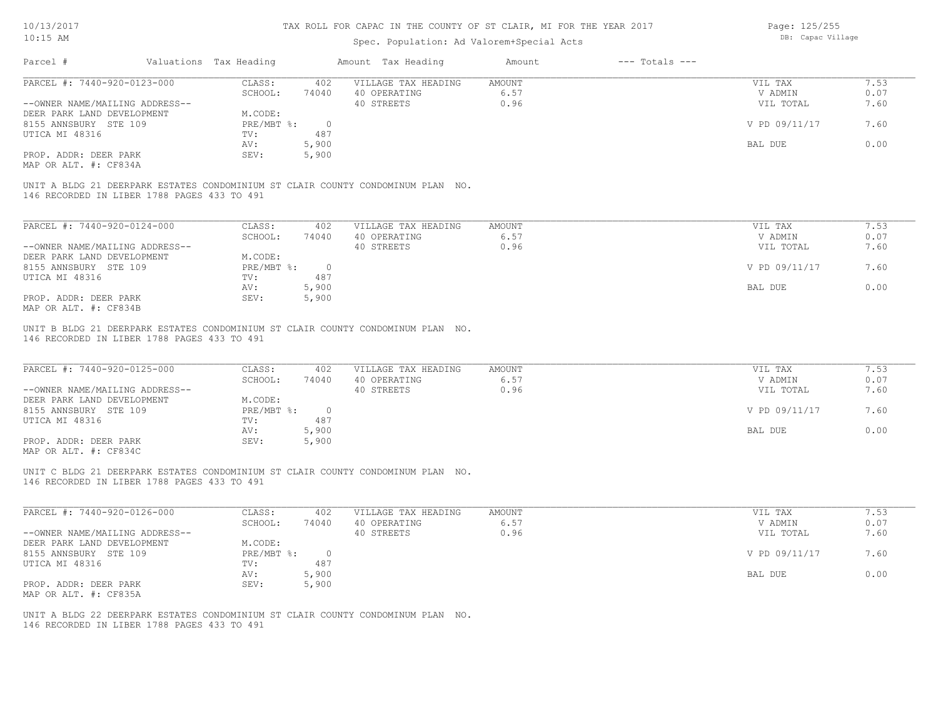### Spec. Population: Ad Valorem+Special Acts

Page: 125/255 DB: Capac Village

|                                                                                                                                                         | Valuations Tax Heading | Amount Tax Heading         | Amount | $---$ Totals $---$ |               |      |
|---------------------------------------------------------------------------------------------------------------------------------------------------------|------------------------|----------------------------|--------|--------------------|---------------|------|
| PARCEL #: 7440-920-0123-000                                                                                                                             | CLASS:                 | VILLAGE TAX HEADING<br>402 | AMOUNT |                    | VIL TAX       | 7.53 |
|                                                                                                                                                         | SCHOOL:                | 40 OPERATING<br>74040      | 6.57   |                    | V ADMIN       | 0.07 |
| --OWNER NAME/MAILING ADDRESS--                                                                                                                          |                        | 40 STREETS                 | 0.96   |                    | VIL TOTAL     | 7.60 |
| DEER PARK LAND DEVELOPMENT                                                                                                                              | M.CODE:                |                            |        |                    |               |      |
| 8155 ANNSBURY STE 109                                                                                                                                   | PRE/MBT %:             | $\overline{0}$             |        |                    | V PD 09/11/17 | 7.60 |
| UTICA MI 48316                                                                                                                                          | TV:                    | 487                        |        |                    |               |      |
|                                                                                                                                                         | AV:                    | 5,900                      |        |                    | BAL DUE       | 0.00 |
|                                                                                                                                                         |                        |                            |        |                    |               |      |
| PROP. ADDR: DEER PARK                                                                                                                                   | SEV:                   | 5,900                      |        |                    |               |      |
| MAP OR ALT. #: CF834A<br>UNIT A BLDG 21 DEERPARK ESTATES CONDOMINIUM ST CLAIR COUNTY CONDOMINUM PLAN NO.<br>146 RECORDED IN LIBER 1788 PAGES 433 TO 491 |                        |                            |        |                    |               |      |
| PARCEL #: 7440-920-0124-000                                                                                                                             | CLASS:                 | VILLAGE TAX HEADING<br>402 | AMOUNT |                    | VIL TAX       | 7.53 |
|                                                                                                                                                         | SCHOOL:                | 74040<br>40 OPERATING      | 6.57   |                    | V ADMIN       | 0.07 |
| --OWNER NAME/MAILING ADDRESS--                                                                                                                          |                        | 40 STREETS                 | 0.96   |                    | VIL TOTAL     | 7.60 |
| DEER PARK LAND DEVELOPMENT<br>8155 ANNSBURY STE 109                                                                                                     | M.CODE:<br>PRE/MBT %:  | $\overline{0}$             |        |                    | V PD 09/11/17 | 7.60 |
| UTICA MI 48316                                                                                                                                          | TV:                    | 487                        |        |                    |               |      |
|                                                                                                                                                         | AV:                    | 5,900                      |        |                    | BAL DUE       | 0.00 |
| PROP. ADDR: DEER PARK                                                                                                                                   | SEV:                   | 5,900                      |        |                    |               |      |

| PARCEL #: 7440-920-0125-000    | CLASS:     | 402    | VILLAGE TAX HEADING | AMOUNT | VIL TAX       | 7.53 |
|--------------------------------|------------|--------|---------------------|--------|---------------|------|
|                                | SCHOOL:    | 74040  | 40 OPERATING        | 6.57   | V ADMIN       | 0.07 |
| --OWNER NAME/MAILING ADDRESS-- |            |        | 40 STREETS          | 0.96   | VIL TOTAL     | 7.60 |
| DEER PARK LAND DEVELOPMENT     | M.CODE:    |        |                     |        |               |      |
| 8155 ANNSBURY STE 109          | PRE/MBT %: | $\cap$ |                     |        | V PD 09/11/17 | 7.60 |
| UTICA MI 48316                 | TV:        | 487    |                     |        |               |      |
|                                | AV:        | 5,900  |                     |        | BAL DUE       | 0.00 |
| PROP. ADDR: DEER PARK          | SEV:       | 5,900  |                     |        |               |      |
| MAP OR ALT. #: CF834C          |            |        |                     |        |               |      |

 $\mathcal{L}_\mathcal{L} = \mathcal{L}_\mathcal{L} = \mathcal{L}_\mathcal{L} = \mathcal{L}_\mathcal{L} = \mathcal{L}_\mathcal{L} = \mathcal{L}_\mathcal{L} = \mathcal{L}_\mathcal{L} = \mathcal{L}_\mathcal{L} = \mathcal{L}_\mathcal{L} = \mathcal{L}_\mathcal{L} = \mathcal{L}_\mathcal{L} = \mathcal{L}_\mathcal{L} = \mathcal{L}_\mathcal{L} = \mathcal{L}_\mathcal{L} = \mathcal{L}_\mathcal{L} = \mathcal{L}_\mathcal{L} = \mathcal{L}_\mathcal{L}$ 

 $\mathcal{L}_\mathcal{L} = \mathcal{L}_\mathcal{L} = \mathcal{L}_\mathcal{L} = \mathcal{L}_\mathcal{L} = \mathcal{L}_\mathcal{L} = \mathcal{L}_\mathcal{L} = \mathcal{L}_\mathcal{L} = \mathcal{L}_\mathcal{L} = \mathcal{L}_\mathcal{L} = \mathcal{L}_\mathcal{L} = \mathcal{L}_\mathcal{L} = \mathcal{L}_\mathcal{L} = \mathcal{L}_\mathcal{L} = \mathcal{L}_\mathcal{L} = \mathcal{L}_\mathcal{L} = \mathcal{L}_\mathcal{L} = \mathcal{L}_\mathcal{L}$ 

146 RECORDED IN LIBER 1788 PAGES 433 TO 491 UNIT C BLDG 21 DEERPARK ESTATES CONDOMINIUM ST CLAIR COUNTY CONDOMINUM PLAN NO.

| PARCEL #: 7440-920-0126-000    | CLASS:     | 402   | VILLAGE TAX HEADING | AMOUNT | 7.53<br>VIL TAX       |  |
|--------------------------------|------------|-------|---------------------|--------|-----------------------|--|
|                                | SCHOOL:    | 74040 | 40 OPERATING        | 6.57   | 0.07<br>V ADMIN       |  |
| --OWNER NAME/MAILING ADDRESS-- |            |       | 40 STREETS          | 0.96   | 7.60<br>VIL TOTAL     |  |
| DEER PARK LAND DEVELOPMENT     | M.CODE:    |       |                     |        |                       |  |
| 8155 ANNSBURY STE 109          | PRE/MBT %: |       |                     |        | V PD 09/11/17<br>7.60 |  |
| UTICA MI 48316                 | TV:        | 487   |                     |        |                       |  |
|                                | AV:        | 5,900 |                     |        | 0.00<br>BAL DUE       |  |
| PROP. ADDR: DEER PARK          | SEV:       | 5,900 |                     |        |                       |  |
| MAP OR ALT. #: CF835A          |            |       |                     |        |                       |  |

146 RECORDED IN LIBER 1788 PAGES 433 TO 491 UNIT A BLDG 22 DEERPARK ESTATES CONDOMINIUM ST CLAIR COUNTY CONDOMINUM PLAN NO.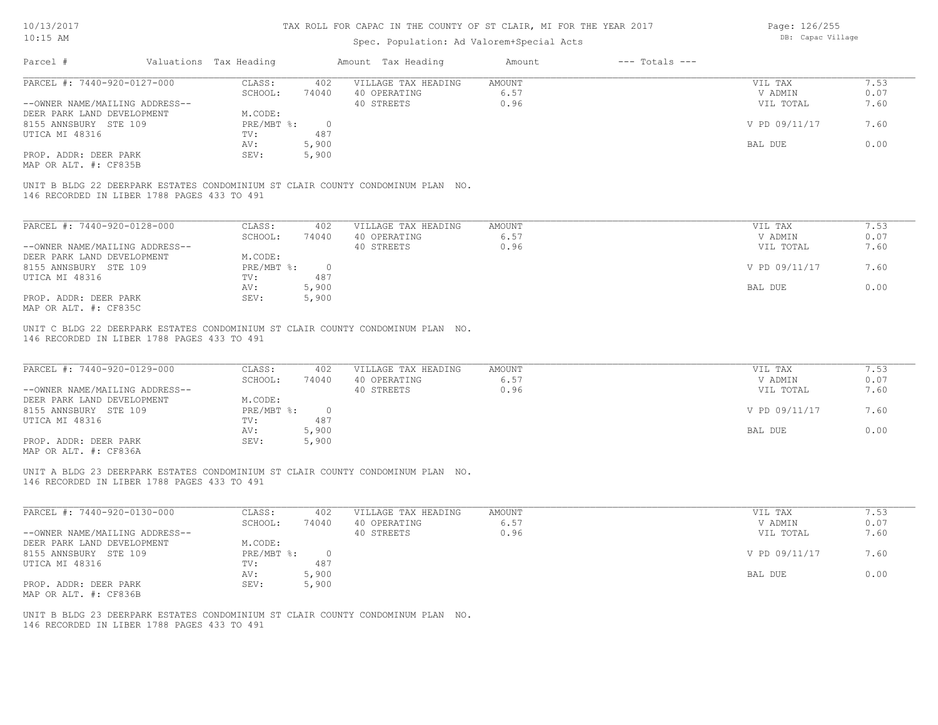### Spec. Population: Ad Valorem+Special Acts

Page: 126/255 DB: Capac Village

| Parcel #                                                                                                                       | Valuations Tax Heading |                | Amount Tax Heading  | Amount | $---$ Totals $---$ |               |      |
|--------------------------------------------------------------------------------------------------------------------------------|------------------------|----------------|---------------------|--------|--------------------|---------------|------|
| PARCEL #: 7440-920-0127-000                                                                                                    | CLASS:                 | 402            | VILLAGE TAX HEADING | AMOUNT |                    | VIL TAX       | 7.53 |
|                                                                                                                                | SCHOOL:                | 74040          | 40 OPERATING        | 6.57   |                    | V ADMIN       | 0.07 |
| --OWNER NAME/MAILING ADDRESS--                                                                                                 |                        |                | 40 STREETS          | 0.96   |                    | VIL TOTAL     | 7.60 |
| DEER PARK LAND DEVELOPMENT                                                                                                     | M.CODE:                |                |                     |        |                    |               |      |
| 8155 ANNSBURY STE 109                                                                                                          | PRE/MBT %:             | $\overline{0}$ |                     |        |                    | V PD 09/11/17 | 7.60 |
| UTICA MI 48316                                                                                                                 | TV:                    | 487            |                     |        |                    |               |      |
|                                                                                                                                | AV:                    | 5,900          |                     |        |                    | BAL DUE       | 0.00 |
| PROP. ADDR: DEER PARK                                                                                                          | SEV:                   | 5,900          |                     |        |                    |               |      |
| MAP OR ALT. #: CF835B                                                                                                          |                        |                |                     |        |                    |               |      |
| UNIT B BLDG 22 DEERPARK ESTATES CONDOMINIUM ST CLAIR COUNTY CONDOMINUM PLAN NO.<br>146 RECORDED IN LIBER 1788 PAGES 433 TO 491 |                        |                |                     |        |                    |               |      |
|                                                                                                                                |                        |                |                     |        |                    |               |      |
| PARCEL #: 7440-920-0128-000                                                                                                    | CLASS:                 | 402            | VILLAGE TAX HEADING | AMOUNT |                    | VIL TAX       | 7.53 |
|                                                                                                                                | SCHOOL:                | 74040          | 40 OPERATING        | 6.57   |                    | V ADMIN       | 0.07 |
| --OWNER NAME/MAILING ADDRESS--                                                                                                 |                        |                | 40 STREETS          | 0.96   |                    | VIL TOTAL     | 7.60 |
| DEER PARK LAND DEVELOPMENT                                                                                                     | M.CODE:                |                |                     |        |                    |               |      |
| 8155 ANNSBURY STE 109                                                                                                          | $PRE/MBT$ %:           | $\circ$        |                     |        |                    | V PD 09/11/17 | 7.60 |
| UTICA MI 48316                                                                                                                 | TV:                    | 487            |                     |        |                    |               |      |
|                                                                                                                                | AV:                    | 5,900          |                     |        |                    | BAL DUE       | 0.00 |

MAP OR ALT. #: CF835C

146 RECORDED IN LIBER 1788 PAGES 433 TO 491 UNIT C BLDG 22 DEERPARK ESTATES CONDOMINIUM ST CLAIR COUNTY CONDOMINUM PLAN NO.

| PARCEL #: 7440-920-0129-000                  | CLASS:     | 402   | VILLAGE TAX HEADING | AMOUNT | VIL TAX       | 7.53 |
|----------------------------------------------|------------|-------|---------------------|--------|---------------|------|
|                                              | SCHOOL:    | 74040 | 40 OPERATING        | 6.57   | V ADMIN       | 0.07 |
| --OWNER NAME/MAILING ADDRESS--               |            |       | 40 STREETS          | 0.96   | VIL TOTAL     | 7.60 |
| DEER PARK LAND DEVELOPMENT                   | M.CODE:    |       |                     |        |               |      |
| 8155 ANNSBURY STE 109                        | PRE/MBT %: |       |                     |        | V PD 09/11/17 | 7.60 |
| UTICA MI 48316                               | TV:        | 487   |                     |        |               |      |
|                                              | AV:        | 5,900 |                     |        | BAL DUE       | 0.00 |
| PROP. ADDR: DEER PARK                        | SEV:       | 5,900 |                     |        |               |      |
| $\cdots$ $\cdots$ $\cdots$ $\cdots$ $\cdots$ |            |       |                     |        |               |      |

MAP OR ALT. #: CF836A

146 RECORDED IN LIBER 1788 PAGES 433 TO 491 UNIT A BLDG 23 DEERPARK ESTATES CONDOMINIUM ST CLAIR COUNTY CONDOMINUM PLAN NO.

| PARCEL #: 7440-920-0130-000    | CLASS:     | 402    | VILLAGE TAX HEADING | AMOUNT | VIL TAX       | 7.53 |
|--------------------------------|------------|--------|---------------------|--------|---------------|------|
|                                | SCHOOL:    | 74040  | 40 OPERATING        | 6.57   | V ADMIN       | 0.07 |
| --OWNER NAME/MAILING ADDRESS-- |            |        | 40 STREETS          | 0.96   | VIL TOTAL     | 7.60 |
| DEER PARK LAND DEVELOPMENT     | M.CODE:    |        |                     |        |               |      |
| 8155 ANNSBURY STE 109          | PRE/MBT %: | $\cap$ |                     |        | V PD 09/11/17 | 7.60 |
| UTICA MI 48316                 | TV:        | 487    |                     |        |               |      |
|                                | AV:        | 5,900  |                     |        | BAL DUE       | 0.00 |
| PROP. ADDR: DEER PARK          | SEV:       | 5,900  |                     |        |               |      |
| MAP OR ALT. #: CF836B          |            |        |                     |        |               |      |

 $\mathcal{L}_\mathcal{L} = \mathcal{L}_\mathcal{L} = \mathcal{L}_\mathcal{L} = \mathcal{L}_\mathcal{L} = \mathcal{L}_\mathcal{L} = \mathcal{L}_\mathcal{L} = \mathcal{L}_\mathcal{L} = \mathcal{L}_\mathcal{L} = \mathcal{L}_\mathcal{L} = \mathcal{L}_\mathcal{L} = \mathcal{L}_\mathcal{L} = \mathcal{L}_\mathcal{L} = \mathcal{L}_\mathcal{L} = \mathcal{L}_\mathcal{L} = \mathcal{L}_\mathcal{L} = \mathcal{L}_\mathcal{L} = \mathcal{L}_\mathcal{L}$ 

146 RECORDED IN LIBER 1788 PAGES 433 TO 491 UNIT B BLDG 23 DEERPARK ESTATES CONDOMINIUM ST CLAIR COUNTY CONDOMINUM PLAN NO.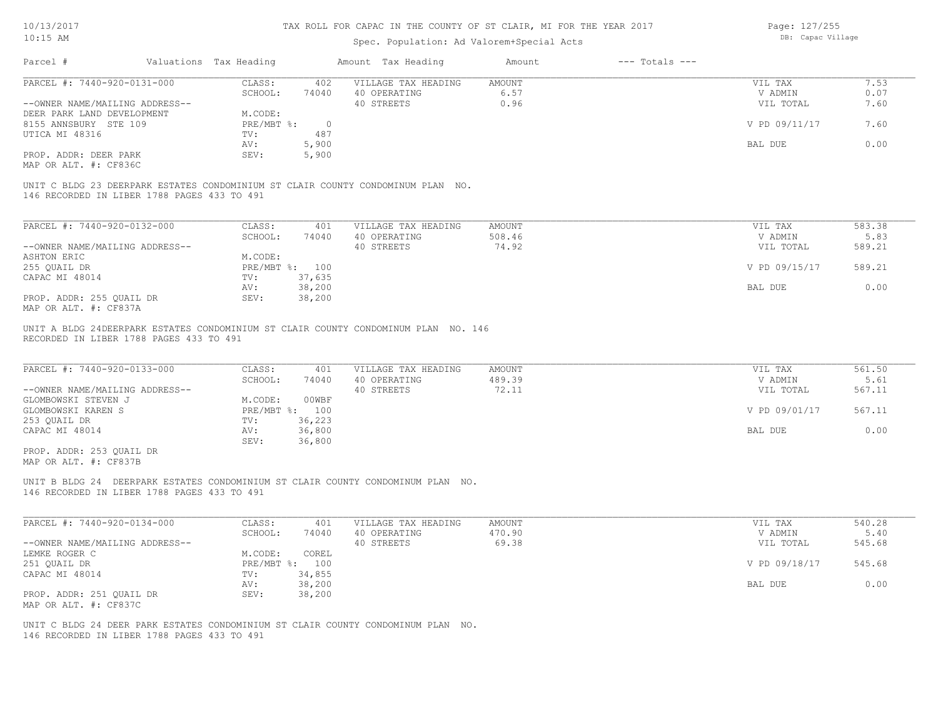| 10/13/2017<br>$10:15$ AM                          |                                             | TAX ROLL FOR CAPAC IN THE COUNTY OF ST CLAIR, MI FOR THE YEAR 2017 | Page: 127/255<br>DB: Capac Village |                                                                                 |                         |                    |                    |                |
|---------------------------------------------------|---------------------------------------------|--------------------------------------------------------------------|------------------------------------|---------------------------------------------------------------------------------|-------------------------|--------------------|--------------------|----------------|
|                                                   |                                             |                                                                    |                                    | Spec. Population: Ad Valorem+Special Acts                                       |                         |                    |                    |                |
| Parcel #                                          |                                             | Valuations Tax Heading                                             |                                    | Amount Tax Heading                                                              | Amount                  | $---$ Totals $---$ |                    |                |
| PARCEL #: 7440-920-0131-000                       |                                             | CLASS:                                                             | 402                                | VILLAGE TAX HEADING                                                             | <b>AMOUNT</b>           |                    | VIL TAX            | 7.53           |
|                                                   |                                             | SCHOOL:                                                            | 74040                              | 40 OPERATING                                                                    | 6.57                    |                    | V ADMIN            | 0.07           |
| --OWNER NAME/MAILING ADDRESS--                    |                                             |                                                                    |                                    | 40 STREETS                                                                      | 0.96                    |                    | VIL TOTAL          | 7.60           |
| DEER PARK LAND DEVELOPMENT                        |                                             | M.CODE:                                                            |                                    |                                                                                 |                         |                    |                    |                |
| 8155 ANNSBURY STE 109                             |                                             | PRE/MBT %:                                                         | $\overline{0}$<br>487              |                                                                                 |                         |                    | V PD 09/11/17      | 7.60           |
| UTICA MI 48316                                    |                                             | TV:<br>AV:                                                         | 5,900                              |                                                                                 |                         |                    | BAL DUE            | 0.00           |
| PROP. ADDR: DEER PARK                             |                                             | SEV:                                                               | 5,900                              |                                                                                 |                         |                    |                    |                |
| MAP OR ALT. #: CF836C                             |                                             |                                                                    |                                    |                                                                                 |                         |                    |                    |                |
|                                                   | 146 RECORDED IN LIBER 1788 PAGES 433 TO 491 |                                                                    |                                    | UNIT C BLDG 23 DEERPARK ESTATES CONDOMINIUM ST CLAIR COUNTY CONDOMINUM PLAN NO. |                         |                    |                    |                |
| PARCEL #: 7440-920-0132-000                       |                                             | CLASS:                                                             | 401                                | VILLAGE TAX HEADING                                                             | AMOUNT                  |                    | VIL TAX            | 583.38         |
|                                                   |                                             | SCHOOL:                                                            | 74040                              | 40 OPERATING                                                                    | 508.46                  |                    | V ADMIN            | 5.83           |
| --OWNER NAME/MAILING ADDRESS--                    |                                             |                                                                    |                                    | 40 STREETS                                                                      | 74.92                   |                    | VIL TOTAL          | 589.21         |
| ASHTON ERIC                                       |                                             | M.CODE:                                                            |                                    |                                                                                 |                         |                    |                    |                |
| 255 QUAIL DR                                      |                                             | PRE/MBT %: 100                                                     |                                    |                                                                                 |                         |                    | V PD 09/15/17      | 589.21         |
| CAPAC MI 48014                                    |                                             | TV:                                                                | 37,635                             |                                                                                 |                         |                    |                    |                |
|                                                   |                                             | AV:                                                                | 38,200                             |                                                                                 |                         |                    | BAL DUE            | 0.00           |
| PROP. ADDR: 255 QUAIL DR<br>MAP OR ALT. #: CF837A |                                             | SEV:                                                               | 38,200                             |                                                                                 |                         |                    |                    |                |
| PARCEL #: 7440-920-0133-000                       | RECORDED IN LIBER 1788 PAGES 433 TO 491     | CLASS:<br>SCHOOL:                                                  | 401<br>74040                       | VILLAGE TAX HEADING<br>40 OPERATING                                             | <b>AMOUNT</b><br>489.39 |                    | VIL TAX<br>V ADMIN | 561.50<br>5.61 |
| --OWNER NAME/MAILING ADDRESS--                    |                                             |                                                                    |                                    | 40 STREETS                                                                      | 72.11                   |                    | VIL TOTAL          | 567.11         |
| GLOMBOWSKI STEVEN J                               |                                             | M.CODE:                                                            | 00WBF                              |                                                                                 |                         |                    |                    |                |
| GLOMBOWSKI KAREN S                                |                                             | PRE/MBT %: 100                                                     |                                    |                                                                                 |                         |                    | V PD 09/01/17      | 567.11         |
| 253 QUAIL DR                                      |                                             | TV:                                                                | 36,223                             |                                                                                 |                         |                    |                    |                |
| CAPAC MI 48014                                    |                                             | AV:<br>SEV:                                                        | 36,800<br>36,800                   |                                                                                 |                         |                    | BAL DUE            | 0.00           |
| PROP. ADDR: 253 QUAIL DR<br>MAP OR ALT. #: CF837B |                                             |                                                                    |                                    |                                                                                 |                         |                    |                    |                |
|                                                   | 146 RECORDED IN LIBER 1788 PAGES 433 TO 491 |                                                                    |                                    | UNIT B BLDG 24 DEERPARK ESTATES CONDOMINIUM ST CLAIR COUNTY CONDOMINUM PLAN NO. |                         |                    |                    |                |
| PARCEL #: 7440-920-0134-000                       |                                             | CLASS:                                                             | 401                                | VILLAGE TAX HEADING                                                             | <b>AMOUNT</b>           |                    | VIL TAX            | 540.28         |
|                                                   |                                             | SCHOOL:                                                            | 74040                              | 40 OPERATING                                                                    | 470.90                  |                    | V ADMIN            | 5.40           |
| --OWNER NAME/MAILING ADDRESS--                    |                                             |                                                                    |                                    | 40 STREETS                                                                      | 69.38                   |                    | VIL TOTAL          | 545.68         |
| LEMKE ROGER C                                     |                                             | M.CODE:                                                            | COREL                              |                                                                                 |                         |                    |                    |                |
| 251 OUAIL DR                                      |                                             | PRE/MBT %: 100                                                     |                                    |                                                                                 |                         |                    | V PD 09/18/17      | 545.68         |
| CAPAC MI 48014                                    |                                             | TV:                                                                | 34,855                             |                                                                                 |                         |                    |                    |                |
|                                                   |                                             | AV:                                                                | 38,200                             |                                                                                 |                         |                    | BAL DUE            | 0.00           |
| PROP. ADDR: 251 QUAIL DR<br>MAP OR ALT. #: CF837C |                                             | SEV:                                                               | 38,200                             |                                                                                 |                         |                    |                    |                |

146 RECORDED IN LIBER 1788 PAGES 433 TO 491 UNIT C BLDG 24 DEER PARK ESTATES CONDOMINIUM ST CLAIR COUNTY CONDOMINUM PLAN NO.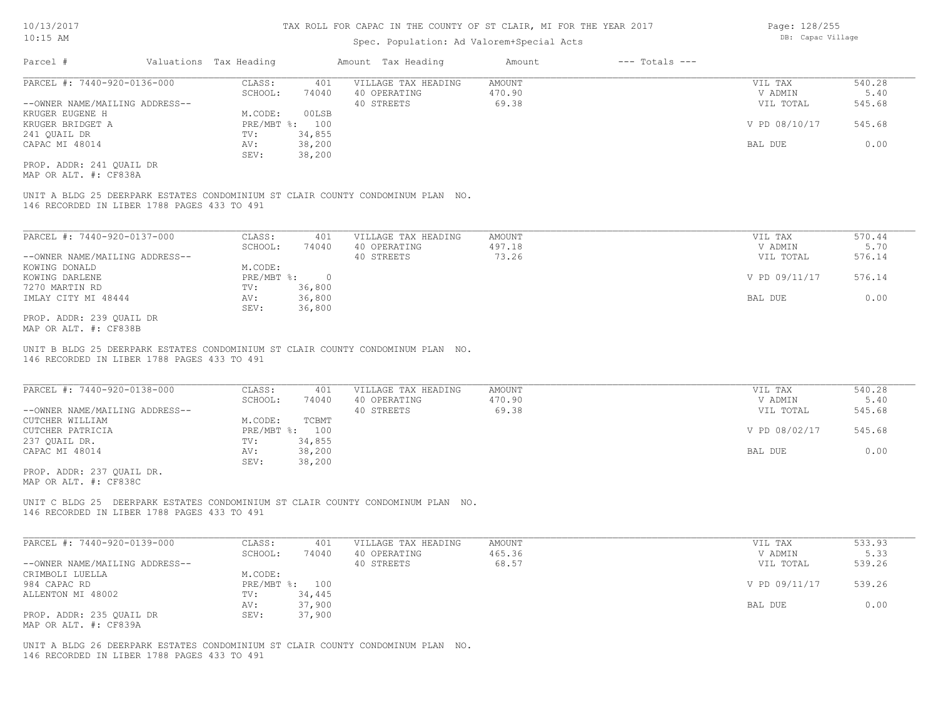### Spec. Population: Ad Valorem+Special Acts

| Parcel #                       | Valuations Tax Heading |        | Amount Tax Heading  | Amount | $---$ Totals $---$ |               |        |
|--------------------------------|------------------------|--------|---------------------|--------|--------------------|---------------|--------|
| PARCEL #: 7440-920-0136-000    | CLASS:                 | 401    | VILLAGE TAX HEADING | AMOUNT |                    | VIL TAX       | 540.28 |
|                                | SCHOOL:                | 74040  | 40 OPERATING        | 470.90 |                    | V ADMIN       | 5.40   |
| --OWNER NAME/MAILING ADDRESS-- |                        |        | 40 STREETS          | 69.38  |                    | VIL TOTAL     | 545.68 |
| KRUGER EUGENE H                | M.CODE:                | 00LSB  |                     |        |                    |               |        |
| KRUGER BRIDGET A               | PRE/MBT %: 100         |        |                     |        |                    | V PD 08/10/17 | 545.68 |
| 241 OUAIL DR                   | TV:                    | 34,855 |                     |        |                    |               |        |
| CAPAC MI 48014                 | AV:                    | 38,200 |                     |        |                    | BAL DUE       | 0.00   |
|                                | SEV:                   | 38,200 |                     |        |                    |               |        |
|                                |                        |        |                     |        |                    |               |        |

MAP OR ALT. #: CF838A PROP. ADDR: 241 QUAIL DR

146 RECORDED IN LIBER 1788 PAGES 433 TO 491 UNIT A BLDG 25 DEERPARK ESTATES CONDOMINIUM ST CLAIR COUNTY CONDOMINUM PLAN NO.

| PARCEL #: 7440-920-0137-000    | CLASS:       | 401    | VILLAGE TAX HEADING | AMOUNT | VIL TAX       | 570.44 |
|--------------------------------|--------------|--------|---------------------|--------|---------------|--------|
|                                | SCHOOL:      | 74040  | 40 OPERATING        | 497.18 | V ADMIN       | 5.70   |
| --OWNER NAME/MAILING ADDRESS-- |              |        | 40 STREETS          | 73.26  | VIL TOTAL     | 576.14 |
| KOWING DONALD                  | M.CODE:      |        |                     |        |               |        |
| KOWING DARLENE                 | $PRE/MBT$ %: |        |                     |        | V PD 09/11/17 | 576.14 |
| 7270 MARTIN RD                 | TV:          | 36,800 |                     |        |               |        |
| IMLAY CITY MI 48444            | AV:          | 36,800 |                     |        | BAL DUE       | 0.00   |
|                                | SEV:         | 36,800 |                     |        |               |        |
| PROP. ADDR: 239 OUAIL DR       |              |        |                     |        |               |        |

MAP OR ALT. #: CF838B

146 RECORDED IN LIBER 1788 PAGES 433 TO 491 UNIT B BLDG 25 DEERPARK ESTATES CONDOMINIUM ST CLAIR COUNTY CONDOMINUM PLAN NO.

| PARCEL #: 7440-920-0138-000    | CLASS:         | 401    | VILLAGE TAX HEADING | AMOUNT | VIL TAX       | 540.28 |
|--------------------------------|----------------|--------|---------------------|--------|---------------|--------|
|                                | SCHOOL:        | 74040  | 40 OPERATING        | 470.90 | V ADMIN       | 5.40   |
| --OWNER NAME/MAILING ADDRESS-- |                |        | 40 STREETS          | 69.38  | VIL TOTAL     | 545.68 |
| CUTCHER WILLIAM                | M.CODE:        | TCBMT  |                     |        |               |        |
| CUTCHER PATRICIA               | PRE/MBT %: 100 |        |                     |        | V PD 08/02/17 | 545.68 |
| 237 OUAIL DR.                  | TV:            | 34,855 |                     |        |               |        |
| CAPAC MI 48014                 | AV:            | 38,200 |                     |        | BAL DUE       | 0.00   |
|                                | SEV:           | 38,200 |                     |        |               |        |

MAP OR ALT. #: CF838C PROP. ADDR: 237 QUAIL DR.

146 RECORDED IN LIBER 1788 PAGES 433 TO 491 UNIT C BLDG 25 DEERPARK ESTATES CONDOMINIUM ST CLAIR COUNTY CONDOMINUM PLAN NO.

| PARCEL #: 7440-920-0139-000    | CLASS:  | 401            | VILLAGE TAX HEADING | AMOUNT | VIL TAX       | 533.93 |
|--------------------------------|---------|----------------|---------------------|--------|---------------|--------|
|                                | SCHOOL: | 74040          | 40 OPERATING        | 465.36 | V ADMIN       | 5.33   |
| --OWNER NAME/MAILING ADDRESS-- |         |                | 40 STREETS          | 68.57  | VIL TOTAL     | 539.26 |
| CRIMBOLI LUELLA                | M.CODE: |                |                     |        |               |        |
| 984 CAPAC RD                   |         | PRE/MBT %: 100 |                     |        | V PD 09/11/17 | 539.26 |
| ALLENTON MI 48002              | TV:     | 34,445         |                     |        |               |        |
|                                | AV:     | 37,900         |                     |        | BAL DUE       | 0.00   |
| PROP. ADDR: 235 OUAIL DR       | SEV:    | 37,900         |                     |        |               |        |
| MAP OR ALT. #: CF839A          |         |                |                     |        |               |        |

146 RECORDED IN LIBER 1788 PAGES 433 TO 491 UNIT A BLDG 26 DEERPARK ESTATES CONDOMINIUM ST CLAIR COUNTY CONDOMINUM PLAN NO. Page: 128/255 DB: Capac Village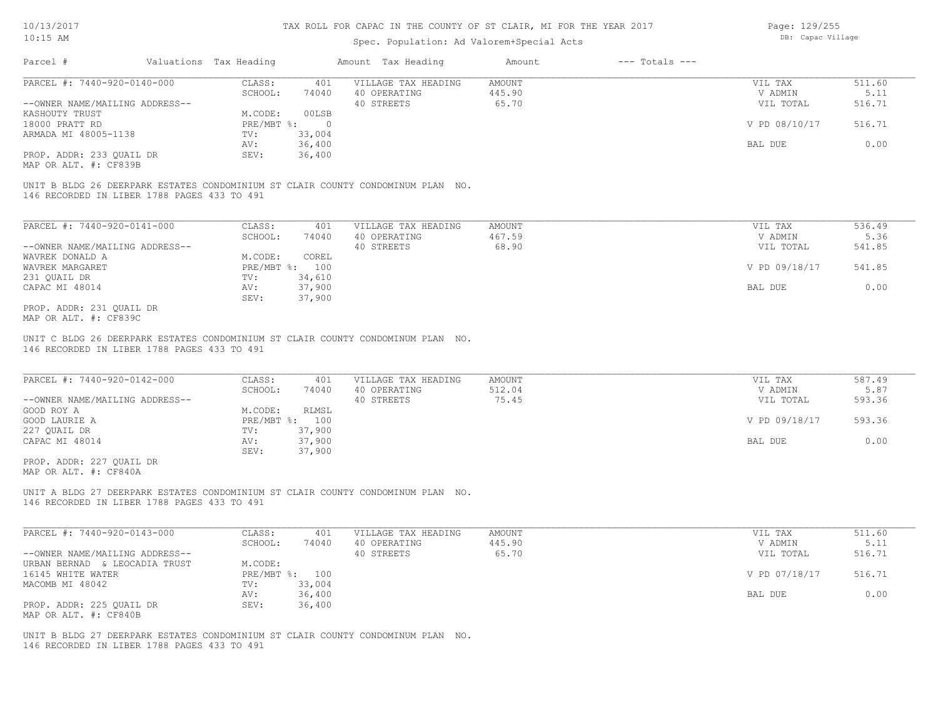### Spec. Population: Ad Valorem+Special Acts

Page: 129/255 DB: Capac Village

| Parcel #                       | Valuations Tax Heading |        | Amount Tax Heading  | Amount | $---$ Totals $---$ |               |        |
|--------------------------------|------------------------|--------|---------------------|--------|--------------------|---------------|--------|
| PARCEL #: 7440-920-0140-000    | CLASS:                 | 401    | VILLAGE TAX HEADING | AMOUNT |                    | VIL TAX       | 511.60 |
|                                | SCHOOL:                | 74040  | 40 OPERATING        | 445.90 |                    | V ADMIN       | 5.11   |
| --OWNER NAME/MAILING ADDRESS-- |                        |        | 40 STREETS          | 65.70  |                    | VIL TOTAL     | 516.71 |
| KASHOUTY TRUST                 | M.CODE:                | 00LSB  |                     |        |                    |               |        |
| 18000 PRATT RD                 | $PRE/MBT$ %:           |        |                     |        |                    | V PD 08/10/17 | 516.71 |
| ARMADA MI 48005-1138           | TV:                    | 33,004 |                     |        |                    |               |        |
|                                | AV:                    | 36,400 |                     |        |                    | BAL DUE       | 0.00   |
| PROP. ADDR: 233 QUAIL DR       | SEV:                   | 36,400 |                     |        |                    |               |        |
|                                |                        |        |                     |        |                    |               |        |

MAP OR ALT. #: CF839B

146 RECORDED IN LIBER 1788 PAGES 433 TO 491 UNIT B BLDG 26 DEERPARK ESTATES CONDOMINIUM ST CLAIR COUNTY CONDOMINUM PLAN NO.

| PARCEL #: 7440-920-0141-000    | CLASS:       | 401    | VILLAGE TAX HEADING | AMOUNT | VIL TAX       | 536.49 |
|--------------------------------|--------------|--------|---------------------|--------|---------------|--------|
|                                | SCHOOL:      | 74040  | 40 OPERATING        | 467.59 | V ADMIN       | 5.36   |
| --OWNER NAME/MAILING ADDRESS-- |              |        | 40 STREETS          | 68.90  | VIL TOTAL     | 541.85 |
| WAVREK DONALD A                | M.CODE:      | COREL  |                     |        |               |        |
| WAVREK MARGARET                | $PRE/MBT$ %: | 100    |                     |        | V PD 09/18/17 | 541.85 |
| 231 OUAIL DR                   | TV:          | 34,610 |                     |        |               |        |
| CAPAC MI 48014                 | AV:          | 37,900 |                     |        | BAL DUE       | 0.00   |
|                                | SEV:         | 37,900 |                     |        |               |        |
| PROP. ADDR: 231 QUAIL DR       |              |        |                     |        |               |        |

MAP OR ALT. #: CF839C

146 RECORDED IN LIBER 1788 PAGES 433 TO 491 UNIT C BLDG 26 DEERPARK ESTATES CONDOMINIUM ST CLAIR COUNTY CONDOMINUM PLAN NO.

| PARCEL #: 7440-920-0142-000    | CLASS:  | 401            | VILLAGE TAX HEADING | AMOUNT | VIL TAX       | 587.49 |
|--------------------------------|---------|----------------|---------------------|--------|---------------|--------|
|                                | SCHOOL: | 74040          | 40 OPERATING        | 512.04 | V ADMIN       | 5.87   |
| --OWNER NAME/MAILING ADDRESS-- |         |                | 40 STREETS          | 75.45  | VIL TOTAL     | 593.36 |
| GOOD ROY A                     | M.CODE: | RLMSL          |                     |        |               |        |
| GOOD LAURIE A                  |         | PRE/MBT %: 100 |                     |        | V PD 09/18/17 | 593.36 |
| 227 QUAIL DR                   | TV:     | 37,900         |                     |        |               |        |
| CAPAC MI 48014                 | AV:     | 37,900         |                     |        | BAL DUE       | 0.00   |
|                                | SEV:    | 37,900         |                     |        |               |        |
| PROP. ADDR: 227 QUAIL DR       |         |                |                     |        |               |        |

MAP OR ALT. #: CF840A

146 RECORDED IN LIBER 1788 PAGES 433 TO 491 UNIT A BLDG 27 DEERPARK ESTATES CONDOMINIUM ST CLAIR COUNTY CONDOMINUM PLAN NO.

| PARCEL #: 7440-920-0143-000    | CLASS:  | 401            | VILLAGE TAX HEADING | AMOUNT | VIL TAX       | 511.60 |
|--------------------------------|---------|----------------|---------------------|--------|---------------|--------|
|                                | SCHOOL: | 74040          | 40 OPERATING        | 445.90 | V ADMIN       | 5.11   |
| --OWNER NAME/MAILING ADDRESS-- |         |                | 40 STREETS          | 65.70  | VIL TOTAL     | 516.71 |
| URBAN BERNAD & LEOCADIA TRUST  | M.CODE: |                |                     |        |               |        |
| 16145 WHITE WATER              |         | PRE/MBT %: 100 |                     |        | V PD 07/18/17 | 516.71 |
| MACOMB MI 48042                | TV:     | 33,004         |                     |        |               |        |
|                                | AV:     | 36,400         |                     |        | BAL DUE       | 0.00   |
| PROP. ADDR: 225 QUAIL DR       | SEV:    | 36,400         |                     |        |               |        |
| MAP OR ALT. #: CF840B          |         |                |                     |        |               |        |

146 RECORDED IN LIBER 1788 PAGES 433 TO 491 UNIT B BLDG 27 DEERPARK ESTATES CONDOMINIUM ST CLAIR COUNTY CONDOMINUM PLAN NO.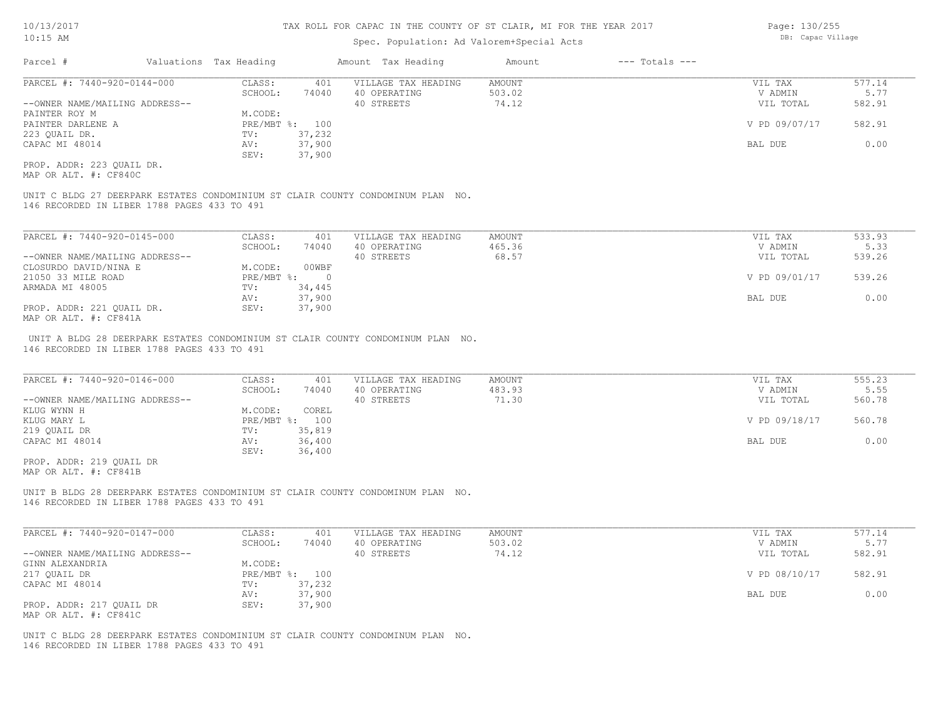### Spec. Population: Ad Valorem+Special Acts

| Parcel #                       | Valuations Tax Heading |                | Amount Tax Heading  | Amount | $---$ Totals $---$ |               |        |
|--------------------------------|------------------------|----------------|---------------------|--------|--------------------|---------------|--------|
| PARCEL #: 7440-920-0144-000    | CLASS:                 | 401            | VILLAGE TAX HEADING | AMOUNT |                    | VIL TAX       | 577.14 |
|                                | SCHOOL:                | 74040          | 40 OPERATING        | 503.02 |                    | V ADMIN       | 5.77   |
| --OWNER NAME/MAILING ADDRESS-- |                        |                | 40 STREETS          | 74.12  |                    | VIL TOTAL     | 582.91 |
| PAINTER ROY M                  | M.CODE:                |                |                     |        |                    |               |        |
| PAINTER DARLENE A              |                        | PRE/MBT %: 100 |                     |        |                    | V PD 09/07/17 | 582.91 |
| 223 QUAIL DR.                  | TV:                    | 37,232         |                     |        |                    |               |        |
| CAPAC MI 48014                 | AV:                    | 37,900         |                     |        |                    | BAL DUE       | 0.00   |
|                                | SEV:                   | 37,900         |                     |        |                    |               |        |
|                                |                        |                |                     |        |                    |               |        |

MAP OR ALT. #: CF840C PROP. ADDR: 223 QUAIL DR.

146 RECORDED IN LIBER 1788 PAGES 433 TO 491 UNIT C BLDG 27 DEERPARK ESTATES CONDOMINIUM ST CLAIR COUNTY CONDOMINUM PLAN NO.

| PARCEL #: 7440-920-0145-000    | CLASS:     | 401    | VILLAGE TAX HEADING | AMOUNT | VIL TAX       | 533.93 |
|--------------------------------|------------|--------|---------------------|--------|---------------|--------|
|                                | SCHOOL:    | 74040  | 40 OPERATING        | 465.36 | V ADMIN       | 5.33   |
| --OWNER NAME/MAILING ADDRESS-- |            |        | 40 STREETS          | 68.57  | VIL TOTAL     | 539.26 |
| CLOSURDO DAVID/NINA E          | M.CODE:    | 00WBF  |                     |        |               |        |
| 21050 33 MILE ROAD             | PRE/MBT %: |        |                     |        | V PD 09/01/17 | 539.26 |
| ARMADA MI 48005                | TV:        | 34,445 |                     |        |               |        |
|                                | AV:        | 37,900 |                     |        | BAL DUE       | 0.00   |
| PROP. ADDR: 221 OUAIL DR.      | SEV:       | 37,900 |                     |        |               |        |
| MAP OR ALT. #: CF841A          |            |        |                     |        |               |        |

146 RECORDED IN LIBER 1788 PAGES 433 TO 491 UNIT A BLDG 28 DEERPARK ESTATES CONDOMINIUM ST CLAIR COUNTY CONDOMINUM PLAN NO.

| PARCEL #: 7440-920-0146-000    | CLASS:     | 401    | VILLAGE TAX HEADING | AMOUNT | VIL TAX       | 555.23 |
|--------------------------------|------------|--------|---------------------|--------|---------------|--------|
|                                | SCHOOL:    | 74040  | 40 OPERATING        | 483.93 | V ADMIN       | 5.55   |
| --OWNER NAME/MAILING ADDRESS-- |            |        | 40 STREETS          | 71.30  | VIL TOTAL     | 560.78 |
| KLUG WYNN H                    | M.CODE:    | COREL  |                     |        |               |        |
| KLUG MARY L                    | PRE/MBT %: | 100    |                     |        | V PD 09/18/17 | 560.78 |
| 219 QUAIL DR                   | TV:        | 35,819 |                     |        |               |        |
| CAPAC MI 48014                 | AV:        | 36,400 |                     |        | BAL DUE       | 0.00   |
|                                | SEV:       | 36,400 |                     |        |               |        |
| PROP. ADDR: 219 OUAIL DR       |            |        |                     |        |               |        |

MAP OR ALT. #: CF841B

146 RECORDED IN LIBER 1788 PAGES 433 TO 491 UNIT B BLDG 28 DEERPARK ESTATES CONDOMINIUM ST CLAIR COUNTY CONDOMINUM PLAN NO.

| PARCEL #: 7440-920-0147-000    | CLASS:  | 401            | VILLAGE TAX HEADING | AMOUNT | VIL TAX       | 577.14 |
|--------------------------------|---------|----------------|---------------------|--------|---------------|--------|
|                                | SCHOOL: | 74040          | 40 OPERATING        | 503.02 | V ADMIN       | 5.77   |
| --OWNER NAME/MAILING ADDRESS-- |         |                | 40 STREETS          | 74.12  | VIL TOTAL     | 582.91 |
| GINN ALEXANDRIA                | M.CODE: |                |                     |        |               |        |
| 217 QUAIL DR                   |         | PRE/MBT %: 100 |                     |        | V PD 08/10/17 | 582.91 |
| CAPAC MI 48014                 | TV:     | 37,232         |                     |        |               |        |
|                                | AV:     | 37,900         |                     |        | BAL DUE       | 0.00   |
| PROP. ADDR: 217 OUAIL DR       | SEV:    | 37,900         |                     |        |               |        |
| MAP OR ALT. #: CF841C          |         |                |                     |        |               |        |

146 RECORDED IN LIBER 1788 PAGES 433 TO 491 UNIT C BLDG 28 DEERPARK ESTATES CONDOMINIUM ST CLAIR COUNTY CONDOMINUM PLAN NO. Page: 130/255 DB: Capac Village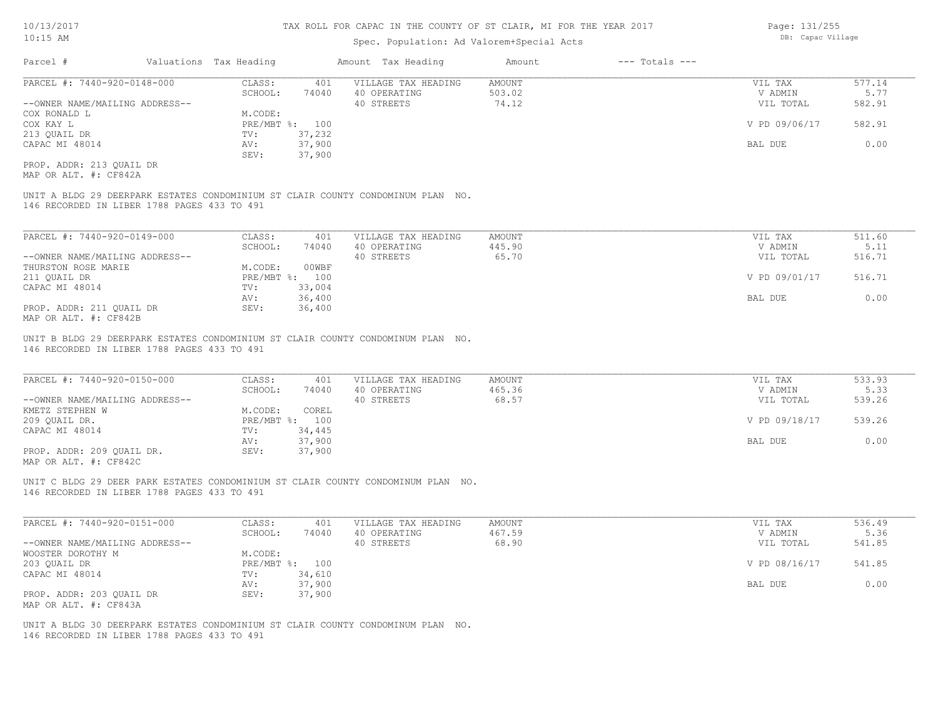### Spec. Population: Ad Valorem+Special Acts

| Parcel #                       | Valuations Tax Heading |        | Amount Tax Heading  | Amount | $---$ Totals $---$ |               |        |
|--------------------------------|------------------------|--------|---------------------|--------|--------------------|---------------|--------|
| PARCEL #: 7440-920-0148-000    | CLASS:                 | 401    | VILLAGE TAX HEADING | AMOUNT |                    | VIL TAX       | 577.14 |
|                                | SCHOOL:                | 74040  | 40 OPERATING        | 503.02 |                    | V ADMIN       | 5.77   |
| --OWNER NAME/MAILING ADDRESS-- |                        |        | 40 STREETS          | 74.12  |                    | VIL TOTAL     | 582.91 |
| COX RONALD L                   | M.CODE:                |        |                     |        |                    |               |        |
| COX KAY L                      | PRE/MBT %: 100         |        |                     |        |                    | V PD 09/06/17 | 582.91 |
| 213 QUAIL DR                   | TV:                    | 37,232 |                     |        |                    |               |        |
| CAPAC MI 48014                 | AV:                    | 37,900 |                     |        |                    | BAL DUE       | 0.00   |
|                                | SEV:                   | 37,900 |                     |        |                    |               |        |
| PROP. ADDR: 213 OUAIL DR       |                        |        |                     |        |                    |               |        |

MAP OR ALT. #: CF842A

146 RECORDED IN LIBER 1788 PAGES 433 TO 491 UNIT A BLDG 29 DEERPARK ESTATES CONDOMINIUM ST CLAIR COUNTY CONDOMINUM PLAN NO.

| PARCEL #: 7440-920-0149-000    | CLASS:  | 401            | VILLAGE TAX HEADING | AMOUNT | VIL TAX       | 511.60 |
|--------------------------------|---------|----------------|---------------------|--------|---------------|--------|
|                                | SCHOOL: | 74040          | 40 OPERATING        | 445.90 | V ADMIN       | 5.11   |
| --OWNER NAME/MAILING ADDRESS-- |         |                | 40 STREETS          | 65.70  | VIL TOTAL     | 516.71 |
| THURSTON ROSE MARIE            | M.CODE: | 00WBF          |                     |        |               |        |
| 211 OUAIL DR                   |         | PRE/MBT %: 100 |                     |        | V PD 09/01/17 | 516.71 |
| CAPAC MI 48014                 | TV:     | 33,004         |                     |        |               |        |
|                                | AV:     | 36,400         |                     |        | BAL DUE       | 0.00   |
| PROP. ADDR: 211 QUAIL DR       | SEV:    | 36,400         |                     |        |               |        |
| MAP OR ALT. #: CF842B          |         |                |                     |        |               |        |

UNIT B BLDG 29 DEERPARK ESTATES CONDOMINIUM ST CLAIR COUNTY CONDOMINUM PLAN NO.

146 RECORDED IN LIBER 1788 PAGES 433 TO 491

| PARCEL #: 7440-920-0150-000    | CLASS:  | 401            | VILLAGE TAX HEADING | AMOUNT | VIL TAX       | 533.93 |
|--------------------------------|---------|----------------|---------------------|--------|---------------|--------|
|                                | SCHOOL: | 74040          | 40 OPERATING        | 465.36 | V ADMIN       | 5.33   |
| --OWNER NAME/MAILING ADDRESS-- |         |                | 40 STREETS          | 68.57  | VIL TOTAL     | 539.26 |
| KMETZ STEPHEN W                | M.CODE: | COREL          |                     |        |               |        |
| 209 QUAIL DR.                  |         | PRE/MBT %: 100 |                     |        | V PD 09/18/17 | 539.26 |
| CAPAC MI 48014                 | TV:     | 34,445         |                     |        |               |        |
|                                | AV:     | 37,900         |                     |        | BAL DUE       | 0.00   |
| PROP. ADDR: 209 QUAIL DR.      | SEV:    | 37,900         |                     |        |               |        |
|                                |         |                |                     |        |               |        |

MAP OR ALT. #: CF842C

146 RECORDED IN LIBER 1788 PAGES 433 TO 491 UNIT C BLDG 29 DEER PARK ESTATES CONDOMINIUM ST CLAIR COUNTY CONDOMINUM PLAN NO.

| PARCEL #: 7440-920-0151-000    | CLASS:  | 401            | VILLAGE TAX HEADING | AMOUNT | VIL TAX       | 536.49 |
|--------------------------------|---------|----------------|---------------------|--------|---------------|--------|
|                                | SCHOOL: | 74040          | 40 OPERATING        | 467.59 | V ADMIN       | 5.36   |
| --OWNER NAME/MAILING ADDRESS-- |         |                | 40 STREETS          | 68.90  | VIL TOTAL     | 541.85 |
| WOOSTER DOROTHY M              | M.CODE: |                |                     |        |               |        |
| 203 QUAIL DR                   |         | PRE/MBT %: 100 |                     |        | V PD 08/16/17 | 541.85 |
| CAPAC MI 48014                 | TV:     | 34,610         |                     |        |               |        |
|                                | AV:     | 37,900         |                     |        | BAL DUE       | 0.00   |
| PROP. ADDR: 203 QUAIL DR       | SEV:    | 37,900         |                     |        |               |        |
| MAP OR ALT. #: CF843A          |         |                |                     |        |               |        |

146 RECORDED IN LIBER 1788 PAGES 433 TO 491 UNIT A BLDG 30 DEERPARK ESTATES CONDOMINIUM ST CLAIR COUNTY CONDOMINUM PLAN NO. Page: 131/255 DB: Capac Village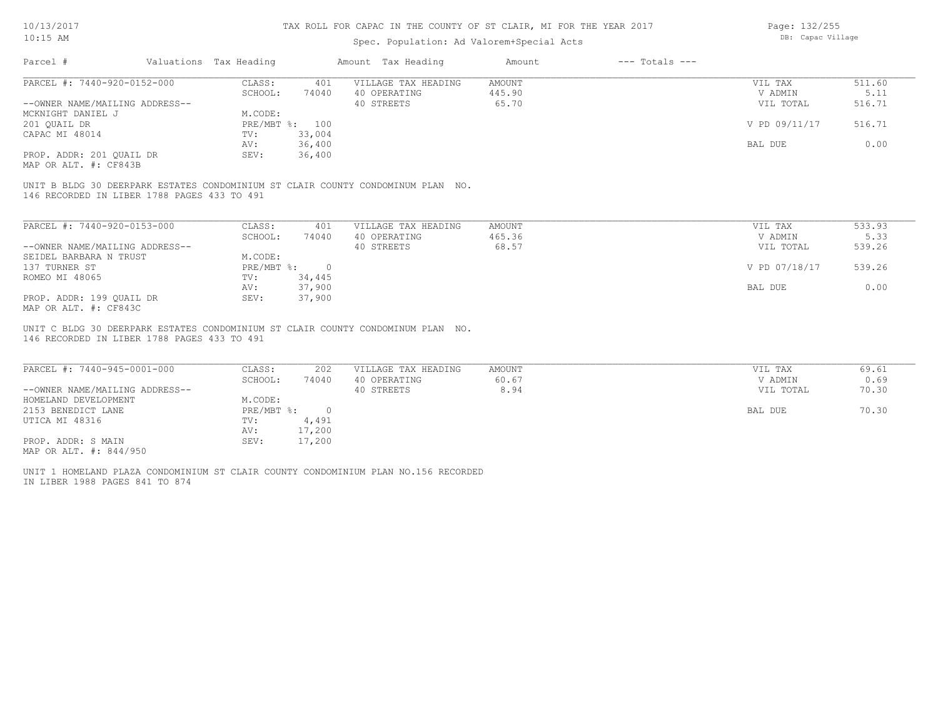### Spec. Population: Ad Valorem+Special Acts

Page: 132/255 DB: Capac Village

| Parcel #                       | Valuations Tax Heading |                | Amount Tax Heading  | Amount | $---$ Totals $---$ |               |        |
|--------------------------------|------------------------|----------------|---------------------|--------|--------------------|---------------|--------|
| PARCEL #: 7440-920-0152-000    | CLASS:                 | 401            | VILLAGE TAX HEADING | AMOUNT |                    | VIL TAX       | 511.60 |
|                                | SCHOOL:                | 74040          | 40 OPERATING        | 445.90 |                    | V ADMIN       | 5.11   |
| --OWNER NAME/MAILING ADDRESS-- |                        |                | 40 STREETS          | 65.70  |                    | VIL TOTAL     | 516.71 |
| MCKNIGHT DANIEL J              | M.CODE:                |                |                     |        |                    |               |        |
| 201 QUAIL DR                   |                        | PRE/MBT %: 100 |                     |        |                    | V PD 09/11/17 | 516.71 |
| CAPAC MI 48014                 | TV:                    | 33,004         |                     |        |                    |               |        |
|                                | AV:                    | 36,400         |                     |        |                    | BAL DUE       | 0.00   |
| PROP. ADDR: 201 QUAIL DR       | SEV:                   | 36,400         |                     |        |                    |               |        |
|                                |                        |                |                     |        |                    |               |        |

MAP OR ALT. #: CF843B

146 RECORDED IN LIBER 1788 PAGES 433 TO 491 UNIT B BLDG 30 DEERPARK ESTATES CONDOMINIUM ST CLAIR COUNTY CONDOMINUM PLAN NO.

| PARCEL #: 7440-920-0153-000    | CLASS:     | 401    | VILLAGE TAX HEADING | AMOUNT | VIL TAX       | 533.93 |
|--------------------------------|------------|--------|---------------------|--------|---------------|--------|
|                                | SCHOOL:    | 74040  | 40 OPERATING        | 465.36 | V ADMIN       | 5.33   |
| --OWNER NAME/MAILING ADDRESS-- |            |        | 40 STREETS          | 68.57  | VIL TOTAL     | 539.26 |
| SEIDEL BARBARA N TRUST         | M.CODE:    |        |                     |        |               |        |
| 137 TURNER ST                  | PRE/MBT %: |        |                     |        | V PD 07/18/17 | 539.26 |
| ROMEO MI 48065                 | TV:        | 34,445 |                     |        |               |        |
|                                | AV:        | 37,900 |                     |        | BAL DUE       | 0.00   |
| PROP. ADDR: 199 OUAIL DR       | SEV:       | 37,900 |                     |        |               |        |
| MAP OR ALT. #: CF843C          |            |        |                     |        |               |        |

146 RECORDED IN LIBER 1788 PAGES 433 TO 491 UNIT C BLDG 30 DEERPARK ESTATES CONDOMINIUM ST CLAIR COUNTY CONDOMINUM PLAN NO.

| PARCEL #: 7440-945-0001-000    | CLASS:     | 202    | VILLAGE TAX HEADING | AMOUNT | VIL TAX   | 69.61 |
|--------------------------------|------------|--------|---------------------|--------|-----------|-------|
|                                | SCHOOL:    | 74040  | 40 OPERATING        | 60.67  | V ADMIN   | 0.69  |
| --OWNER NAME/MAILING ADDRESS-- |            |        | 40 STREETS          | 8.94   | VIL TOTAL | 70.30 |
| HOMELAND DEVELOPMENT           | M.CODE:    |        |                     |        |           |       |
| 2153 BENEDICT LANE             | PRE/MBT %: |        |                     |        | BAL DUE   | 70.30 |
| UTICA MI 48316                 | TV:        | 4,491  |                     |        |           |       |
|                                | AV:        | 17,200 |                     |        |           |       |
| PROP. ADDR: S MAIN             | SEV:       | 17,200 |                     |        |           |       |
| MAP OR ALT. #: 844/950         |            |        |                     |        |           |       |

IN LIBER 1988 PAGES 841 TO 874 UNIT 1 HOMELAND PLAZA CONDOMINIUM ST CLAIR COUNTY CONDOMINIUM PLAN NO.156 RECORDED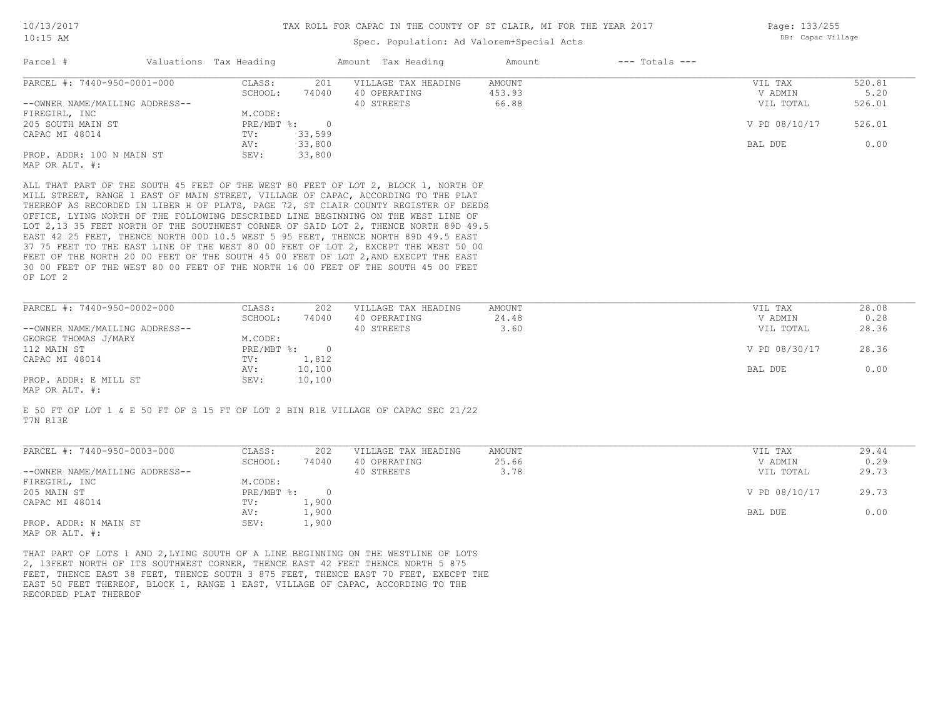### Spec. Population: Ad Valorem+Special Acts

| Page: 133/255     |
|-------------------|
| DB: Capac Village |

|                                                                                                                                                                                  | Valuations Tax Heading |        | Amount Tax Heading                                                                                                                                                            | Amount | $---$ Totals $---$ |               |        |
|----------------------------------------------------------------------------------------------------------------------------------------------------------------------------------|------------------------|--------|-------------------------------------------------------------------------------------------------------------------------------------------------------------------------------|--------|--------------------|---------------|--------|
| Parcel #<br>PARCEL #: 7440-950-0001-000<br>--OWNER NAME/MAILING ADDRESS--<br>FIREGIRL, INC<br>205 SOUTH MAIN ST<br>CAPAC MI 48014<br>PROP. ADDR: 100 N MAIN ST<br>MAP OR ALT. #: | CLASS:                 | 201    | VILLAGE TAX HEADING                                                                                                                                                           | AMOUNT |                    | VIL TAX       | 520.81 |
|                                                                                                                                                                                  | SCHOOL:                | 74040  | 40 OPERATING                                                                                                                                                                  | 453.93 |                    | V ADMIN       | 5.20   |
|                                                                                                                                                                                  |                        |        | 40 STREETS                                                                                                                                                                    | 66.88  |                    | VIL TOTAL     | 526.01 |
|                                                                                                                                                                                  | M.CODE:                |        |                                                                                                                                                                               |        |                    |               |        |
|                                                                                                                                                                                  | $PRE/MBT$ %:           | $\cap$ |                                                                                                                                                                               |        |                    | V PD 08/10/17 | 526.01 |
|                                                                                                                                                                                  | TV:                    | 33,599 |                                                                                                                                                                               |        |                    |               |        |
|                                                                                                                                                                                  | AV:                    | 33,800 |                                                                                                                                                                               |        |                    | BAL DUE       | 0.00   |
|                                                                                                                                                                                  | SEV:                   | 33,800 |                                                                                                                                                                               |        |                    |               |        |
|                                                                                                                                                                                  |                        |        |                                                                                                                                                                               |        |                    |               |        |
|                                                                                                                                                                                  |                        |        |                                                                                                                                                                               |        |                    |               |        |
|                                                                                                                                                                                  |                        |        | ALL THAT PART OF THE SOUTH 45 FEET OF THE WEST 80 FEET OF LOT 2, BLOCK 1, NORTH OF<br>$1/777$ amazon silian 1 miam an ultil amazon (1773-188 an ainia 'iaaabatila ma'mun bilm |        |                    |               |        |

OF LOT 2 30 00 FEET OF THE WEST 80 00 FEET OF THE NORTH 16 00 FEET OF THE SOUTH 45 00 FEET FEET OF THE NORTH 20 00 FEET OF THE SOUTH 45 00 FEET OF LOT 2, AND EXECPT THE EAST 37 75 FEET TO THE EAST LINE OF THE WEST 80 00 FEET OF LOT 2, EXCEPT THE WEST 50 00 EAST 42 25 FEET, THENCE NORTH 00D 10.5 WEST 5 95 FEET, THENCE NORTH 89D 49.5 EAST LOT 2,13 35 FEET NORTH OF THE SOUTHWEST CORNER OF SAID LOT 2, THENCE NORTH 89D 49.5 OFFICE, LYING NORTH OF THE FOLLOWING DESCRIBED LINE BEGINNING ON THE WEST LINE OF THEREOF AS RECORDED IN LIBER H OF PLATS, PAGE 72, ST CLAIR COUNTY REGISTER OF DEEDS MILL STREET, RANGE 1 EAST OF MAIN STREET, VILLAGE OF CAPAC, ACCORDING TO THE PLAT

| PARCEL #: 7440-950-0002-000         | CLASS:     | 202    | VILLAGE TAX HEADING | AMOUNT | VIL TAX       | 28.08 |
|-------------------------------------|------------|--------|---------------------|--------|---------------|-------|
|                                     | SCHOOL:    | 74040  | 40 OPERATING        | 24.48  | V ADMIN       | 0.28  |
| --OWNER NAME/MAILING ADDRESS--      |            |        | 40 STREETS          | 3.60   | VIL TOTAL     | 28.36 |
| GEORGE THOMAS J/MARY                | M.CODE:    |        |                     |        |               |       |
| 112 MAIN ST                         | PRE/MBT %: |        |                     |        | V PD 08/30/17 | 28.36 |
| CAPAC MI 48014                      | TV:        | 1,812  |                     |        |               |       |
|                                     | AV:        | 10,100 |                     |        | BAL DUE       | 0.00  |
| PROP. ADDR: E MILL ST               | SEV:       | 10,100 |                     |        |               |       |
| $\cdots$ $\cdots$ $\cdots$ $\cdots$ |            |        |                     |        |               |       |

MAP OR ALT. #:

T7N R13E E 50 FT OF LOT 1 & E 50 FT OF S 15 FT OF LOT 2 BIN R1E VILLAGE OF CAPAC SEC 21/22

| PARCEL #: 7440-950-0003-000    | CLASS:     | 202    | VILLAGE TAX HEADING | AMOUNT | VIL TAX       | 29.44 |
|--------------------------------|------------|--------|---------------------|--------|---------------|-------|
|                                | SCHOOL:    | 74040  | 40 OPERATING        | 25.66  | V ADMIN       | 0.29  |
| --OWNER NAME/MAILING ADDRESS-- |            |        | 40 STREETS          | 3.78   | VIL TOTAL     | 29.73 |
| FIREGIRL, INC                  | M.CODE:    |        |                     |        |               |       |
| 205 MAIN ST                    | PRE/MBT %: | $\cap$ |                     |        | V PD 08/10/17 | 29.73 |
| CAPAC MI 48014                 | TV:        | 1,900  |                     |        |               |       |
|                                | AV:        | 1,900  |                     |        | BAL DUE       | 0.00  |
| PROP. ADDR: N MAIN ST          | SEV:       | 1,900  |                     |        |               |       |
| MAP OR ALT. #:                 |            |        |                     |        |               |       |

 $\mathcal{L}_\mathcal{L} = \mathcal{L}_\mathcal{L} = \mathcal{L}_\mathcal{L} = \mathcal{L}_\mathcal{L} = \mathcal{L}_\mathcal{L} = \mathcal{L}_\mathcal{L} = \mathcal{L}_\mathcal{L} = \mathcal{L}_\mathcal{L} = \mathcal{L}_\mathcal{L} = \mathcal{L}_\mathcal{L} = \mathcal{L}_\mathcal{L} = \mathcal{L}_\mathcal{L} = \mathcal{L}_\mathcal{L} = \mathcal{L}_\mathcal{L} = \mathcal{L}_\mathcal{L} = \mathcal{L}_\mathcal{L} = \mathcal{L}_\mathcal{L}$ 

RECORDED PLAT THEREOF EAST 50 FEET THEREOF, BLOCK 1, RANGE 1 EAST, VILLAGE OF CAPAC, ACCORDING TO THE FEET, THENCE EAST 38 FEET, THENCE SOUTH 3 875 FEET, THENCE EAST 70 FEET, EXECPT THE 2, 13FEET NORTH OF ITS SOUTHWEST CORNER, THENCE EAST 42 FEET THENCE NORTH 5 875 THAT PART OF LOTS 1 AND 2,LYING SOUTH OF A LINE BEGINNING ON THE WESTLINE OF LOTS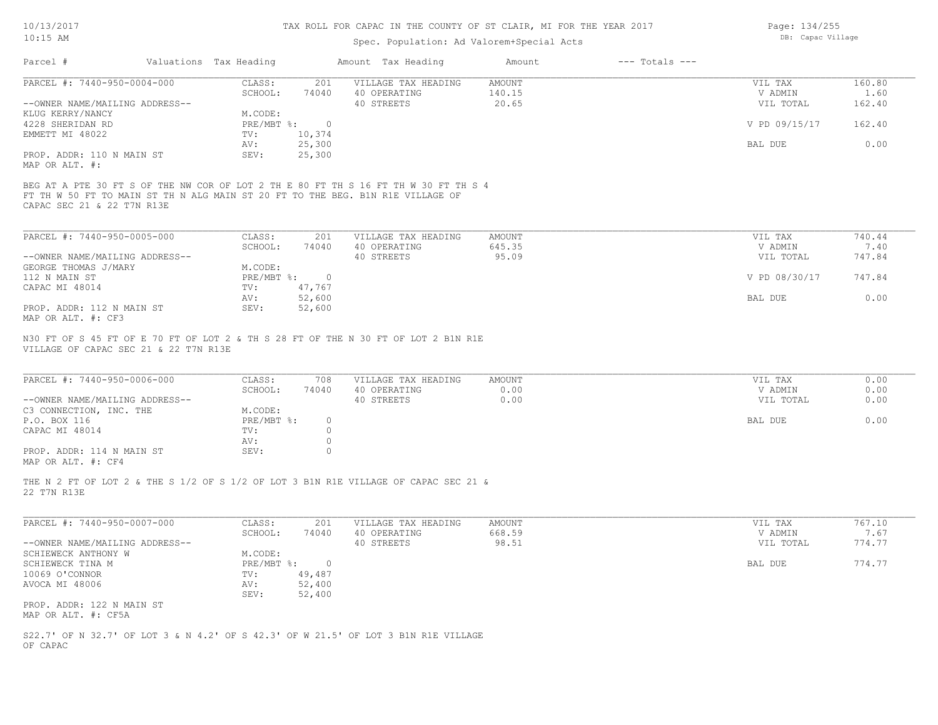### Spec. Population: Ad Valorem+Special Acts

| Page: 134/255     |
|-------------------|
| DB: Capac Village |

| Parcel #                    |                                                                                                                                                                                                                                                                                                                                                                                                                                                                                               |  |                                                                                | Amount | $---$ Totals $---$ |  |
|-----------------------------|-----------------------------------------------------------------------------------------------------------------------------------------------------------------------------------------------------------------------------------------------------------------------------------------------------------------------------------------------------------------------------------------------------------------------------------------------------------------------------------------------|--|--------------------------------------------------------------------------------|--------|--------------------|--|
| PARCEL #: 7440-950-0004-000 | Valuations Tax Heading<br>Amount Tax Heading<br>160.80<br>CLASS:<br>201<br>VILLAGE TAX HEADING<br>AMOUNT<br>VIL TAX<br>74040<br>140.15<br>40 OPERATING<br>1.60<br>SCHOOL:<br>V ADMIN<br>--OWNER NAME/MAILING ADDRESS--<br>162.40<br>20.65<br>VIL TOTAL<br>40 STREETS<br>M.CODE:<br>V PD 09/15/17<br>162.40<br>PRE/MBT %:<br>- 0<br>10,374<br>TV:<br>0.00<br>25,300<br>BAL DUE<br>AV:<br>25,300<br>SEV:<br>BEG AT A PTE 30 FT S OF THE NW COR OF LOT 2 TH E 80 FT TH S 16 FT TH W 30 FT TH S 4 |  |                                                                                |        |                    |  |
|                             |                                                                                                                                                                                                                                                                                                                                                                                                                                                                                               |  |                                                                                |        |                    |  |
|                             |                                                                                                                                                                                                                                                                                                                                                                                                                                                                                               |  |                                                                                |        |                    |  |
| KLUG KERRY/NANCY            |                                                                                                                                                                                                                                                                                                                                                                                                                                                                                               |  |                                                                                |        |                    |  |
| 4228 SHERIDAN RD            |                                                                                                                                                                                                                                                                                                                                                                                                                                                                                               |  |                                                                                |        |                    |  |
| EMMETT MI 48022             |                                                                                                                                                                                                                                                                                                                                                                                                                                                                                               |  |                                                                                |        |                    |  |
|                             |                                                                                                                                                                                                                                                                                                                                                                                                                                                                                               |  |                                                                                |        |                    |  |
| PROP. ADDR: 110 N MAIN ST   |                                                                                                                                                                                                                                                                                                                                                                                                                                                                                               |  |                                                                                |        |                    |  |
| MAP OR ALT. #:              |                                                                                                                                                                                                                                                                                                                                                                                                                                                                                               |  |                                                                                |        |                    |  |
| CAPAC SEC 21 & 22 T7N R13E  |                                                                                                                                                                                                                                                                                                                                                                                                                                                                                               |  | FT TH W 50 FT TO MAIN ST TH N ALG MAIN ST 20 FT TO THE BEG. B1N R1E VILLAGE OF |        |                    |  |

| PARCEL #: 7440-950-0005-000    | CLASS:       | 201    | VILLAGE TAX HEADING | AMOUNT | VIL TAX       | 740.44 |
|--------------------------------|--------------|--------|---------------------|--------|---------------|--------|
|                                | SCHOOL:      | 74040  | 40 OPERATING        | 645.35 | V ADMIN       | 7.40   |
| --OWNER NAME/MAILING ADDRESS-- |              |        | 40 STREETS          | 95.09  | VIL TOTAL     | 747.84 |
| GEORGE THOMAS J/MARY           | M.CODE:      |        |                     |        |               |        |
| 112 N MAIN ST                  | $PRE/MBT$ %: |        |                     |        | V PD 08/30/17 | 747.84 |
| CAPAC MI 48014                 | TV:          | 47.767 |                     |        |               |        |
|                                | AV:          | 52,600 |                     |        | BAL DUE       | 0.00   |
| PROP. ADDR: 112 N MAIN ST      | SEV:         | 52,600 |                     |        |               |        |
| MAP OR ALT. #: CF3             |              |        |                     |        |               |        |

VILLAGE OF CAPAC SEC 21 & 22 T7N R13E N30 FT OF S 45 FT OF E 70 FT OF LOT 2 & TH S 28 FT OF THE N 30 FT OF LOT 2 B1N R1E

| PARCEL #: 7440-950-0006-000    | CLASS:     | 708   | VILLAGE TAX HEADING | AMOUNT | VIL TAX   | 0.00 |
|--------------------------------|------------|-------|---------------------|--------|-----------|------|
|                                | SCHOOL:    | 74040 | 40 OPERATING        | 0.00   | V ADMIN   | 0.00 |
| --OWNER NAME/MAILING ADDRESS-- |            |       | 40 STREETS          | 0.00   | VIL TOTAL | 0.00 |
| C3 CONNECTION, INC. THE        | M.CODE:    |       |                     |        |           |      |
| P.O. BOX 116                   | PRE/MBT %: |       |                     |        | BAL DUE   | 0.00 |
| CAPAC MI 48014                 | TV:        |       |                     |        |           |      |
|                                | AV:        |       |                     |        |           |      |
| PROP. ADDR: 114 N MAIN ST      | SEV:       |       |                     |        |           |      |
|                                |            |       |                     |        |           |      |

 $\mathcal{L}_\mathcal{L} = \mathcal{L}_\mathcal{L} = \mathcal{L}_\mathcal{L} = \mathcal{L}_\mathcal{L} = \mathcal{L}_\mathcal{L} = \mathcal{L}_\mathcal{L} = \mathcal{L}_\mathcal{L} = \mathcal{L}_\mathcal{L} = \mathcal{L}_\mathcal{L} = \mathcal{L}_\mathcal{L} = \mathcal{L}_\mathcal{L} = \mathcal{L}_\mathcal{L} = \mathcal{L}_\mathcal{L} = \mathcal{L}_\mathcal{L} = \mathcal{L}_\mathcal{L} = \mathcal{L}_\mathcal{L} = \mathcal{L}_\mathcal{L}$ 

MAP OR ALT. #: CF4

22 T7N R13E THE N 2 FT OF LOT 2 & THE S 1/2 OF S 1/2 OF LOT 3 B1N R1E VILLAGE OF CAPAC SEC 21 &

| PARCEL #: 7440-950-0007-000    | CLASS:     | 201    | VILLAGE TAX HEADING | AMOUNT | VIL TAX   | 767.10 |
|--------------------------------|------------|--------|---------------------|--------|-----------|--------|
|                                | SCHOOL:    | 74040  | 40 OPERATING        | 668.59 | V ADMIN   | 7.67   |
| --OWNER NAME/MAILING ADDRESS-- |            |        | 40 STREETS          | 98.51  | VIL TOTAL | 774.77 |
| SCHIEWECK ANTHONY W            | M.CODE:    |        |                     |        |           |        |
| SCHIEWECK TINA M               | PRE/MBT %: |        |                     |        | BAL DUE   | 774.77 |
| 10069 O'CONNOR                 | TV:        | 49,487 |                     |        |           |        |
| AVOCA MI 48006                 | AV:        | 52,400 |                     |        |           |        |
|                                | SEV:       | 52,400 |                     |        |           |        |
| PROP. ADDR: 122 N MAIN ST      |            |        |                     |        |           |        |
| MAP OR ALT. #: CF5A            |            |        |                     |        |           |        |

OF CAPAC S22.7' OF N 32.7' OF LOT 3 & N 4.2' OF S 42.3' OF W 21.5' OF LOT 3 B1N R1E VILLAGE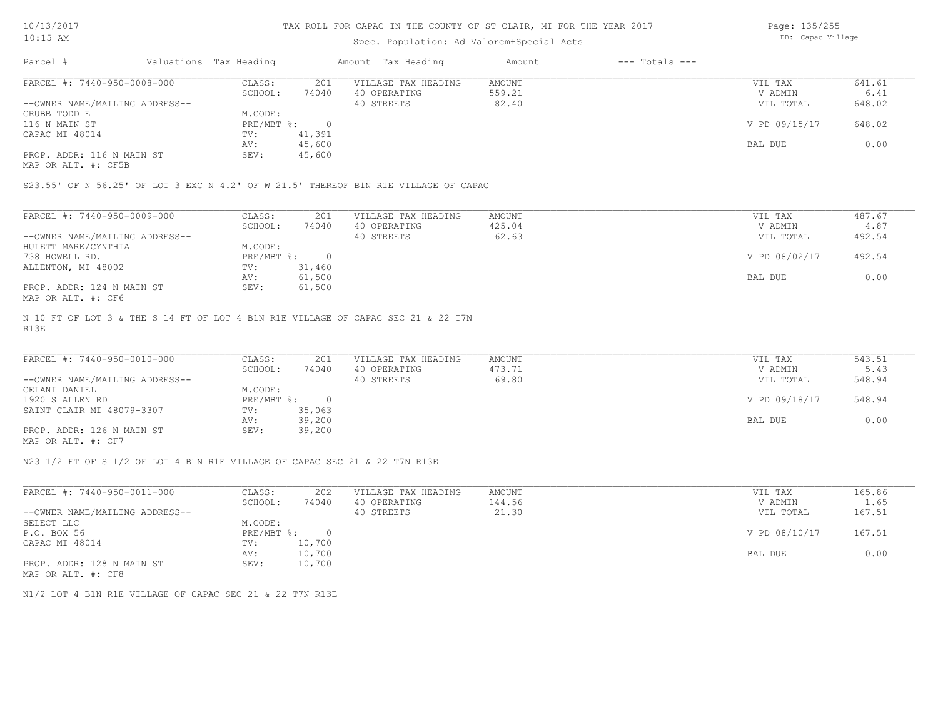### Spec. Population: Ad Valorem+Special Acts

Page: 135/255 DB: Capac Village

| Parcel #                       | Valuations Tax Heading |        | Amount Tax Heading  | Amount | $---$ Totals $---$ |               |        |
|--------------------------------|------------------------|--------|---------------------|--------|--------------------|---------------|--------|
| PARCEL #: 7440-950-0008-000    | CLASS:                 | 201    | VILLAGE TAX HEADING | AMOUNT |                    | VIL TAX       | 641.61 |
|                                | SCHOOL:                | 74040  | 40 OPERATING        | 559.21 |                    | V ADMIN       | 6.41   |
| --OWNER NAME/MAILING ADDRESS-- |                        |        | 40 STREETS          | 82.40  |                    | VIL TOTAL     | 648.02 |
| GRUBB TODD E                   | M.CODE:                |        |                     |        |                    |               |        |
| 116 N MAIN ST                  | $PRE/MBT$ %:           |        |                     |        |                    | V PD 09/15/17 | 648.02 |
| CAPAC MI 48014                 | TV:                    | 41,391 |                     |        |                    |               |        |
|                                | AV:                    | 45,600 |                     |        |                    | BAL DUE       | 0.00   |
| PROP. ADDR: 116 N MAIN ST      | SEV:                   | 45,600 |                     |        |                    |               |        |
|                                |                        |        |                     |        |                    |               |        |

MAP OR ALT. #: CF5B

S23.55' OF N 56.25' OF LOT 3 EXC N 4.2' OF W 21.5' THEREOF B1N R1E VILLAGE OF CAPAC

| PARCEL #: 7440-950-0009-000    | CLASS:     | 201    | VILLAGE TAX HEADING | AMOUNT | VIL TAX       | 487.67 |
|--------------------------------|------------|--------|---------------------|--------|---------------|--------|
|                                | SCHOOL:    | 74040  | 40 OPERATING        | 425.04 | V ADMIN       | 4.87   |
| --OWNER NAME/MAILING ADDRESS-- |            |        | 40 STREETS          | 62.63  | VIL TOTAL     | 492.54 |
| HULETT MARK/CYNTHIA            | M.CODE:    |        |                     |        |               |        |
| 738 HOWELL RD.                 | PRE/MBT %: |        |                     |        | V PD 08/02/17 | 492.54 |
| ALLENTON, MI 48002             | TV:        | 31,460 |                     |        |               |        |
|                                | AV:        | 61,500 |                     |        | BAL DUE       | 0.00   |
| PROP. ADDR: 124 N MAIN ST      | SEV:       | 61,500 |                     |        |               |        |
| MAP OR ALT. #: CF6             |            |        |                     |        |               |        |

R13E N 10 FT OF LOT 3 & THE S 14 FT OF LOT 4 B1N R1E VILLAGE OF CAPAC SEC 21 & 22 T7N

| PARCEL #: 7440-950-0010-000    | CLASS:       | 201    | VILLAGE TAX HEADING | AMOUNT | VIL TAX       | 543.51 |
|--------------------------------|--------------|--------|---------------------|--------|---------------|--------|
|                                | SCHOOL:      | 74040  | 40 OPERATING        | 473.71 | V ADMIN       | 5.43   |
| --OWNER NAME/MAILING ADDRESS-- |              |        | 40 STREETS          | 69.80  | VIL TOTAL     | 548.94 |
| CELANI DANIEL                  | M.CODE:      |        |                     |        |               |        |
| 1920 S ALLEN RD                | $PRE/MBT$ %: | $\cap$ |                     |        | V PD 09/18/17 | 548.94 |
| SAINT CLAIR MI 48079-3307      | TV:          | 35,063 |                     |        |               |        |
|                                | AV:          | 39,200 |                     |        | BAL DUE       | 0.00   |
| PROP. ADDR: 126 N MAIN ST      | SEV:         | 39,200 |                     |        |               |        |
| MAP OR ALT. #: CF7             |              |        |                     |        |               |        |

 $\mathcal{L}_\mathcal{L} = \mathcal{L}_\mathcal{L} = \mathcal{L}_\mathcal{L} = \mathcal{L}_\mathcal{L} = \mathcal{L}_\mathcal{L} = \mathcal{L}_\mathcal{L} = \mathcal{L}_\mathcal{L} = \mathcal{L}_\mathcal{L} = \mathcal{L}_\mathcal{L} = \mathcal{L}_\mathcal{L} = \mathcal{L}_\mathcal{L} = \mathcal{L}_\mathcal{L} = \mathcal{L}_\mathcal{L} = \mathcal{L}_\mathcal{L} = \mathcal{L}_\mathcal{L} = \mathcal{L}_\mathcal{L} = \mathcal{L}_\mathcal{L}$ 

N23 1/2 FT OF S 1/2 OF LOT 4 B1N R1E VILLAGE OF CAPAC SEC 21 & 22 T7N R13E

| PARCEL #: 7440-950-0011-000    | CLASS:       | 202    | VILLAGE TAX HEADING | AMOUNT | VIL TAX       | 165.86 |
|--------------------------------|--------------|--------|---------------------|--------|---------------|--------|
|                                | SCHOOL:      | 74040  | 40 OPERATING        | 144.56 | V ADMIN       | 1.65   |
| --OWNER NAME/MAILING ADDRESS-- |              |        | 40 STREETS          | 21.30  | VIL TOTAL     | 167.51 |
| SELECT LLC                     | M.CODE:      |        |                     |        |               |        |
| P.O. BOX 56                    | $PRE/MBT$ %: |        |                     |        | V PD 08/10/17 | 167.51 |
| CAPAC MI 48014                 | TV:          | 10,700 |                     |        |               |        |
|                                | AV:          | 10,700 |                     |        | BAL DUE       | 0.00   |
| PROP. ADDR: 128 N MAIN ST      | SEV:         | 10,700 |                     |        |               |        |
| MAP OR ALT. #: CF8             |              |        |                     |        |               |        |

N1/2 LOT 4 B1N R1E VILLAGE OF CAPAC SEC 21 & 22 T7N R13E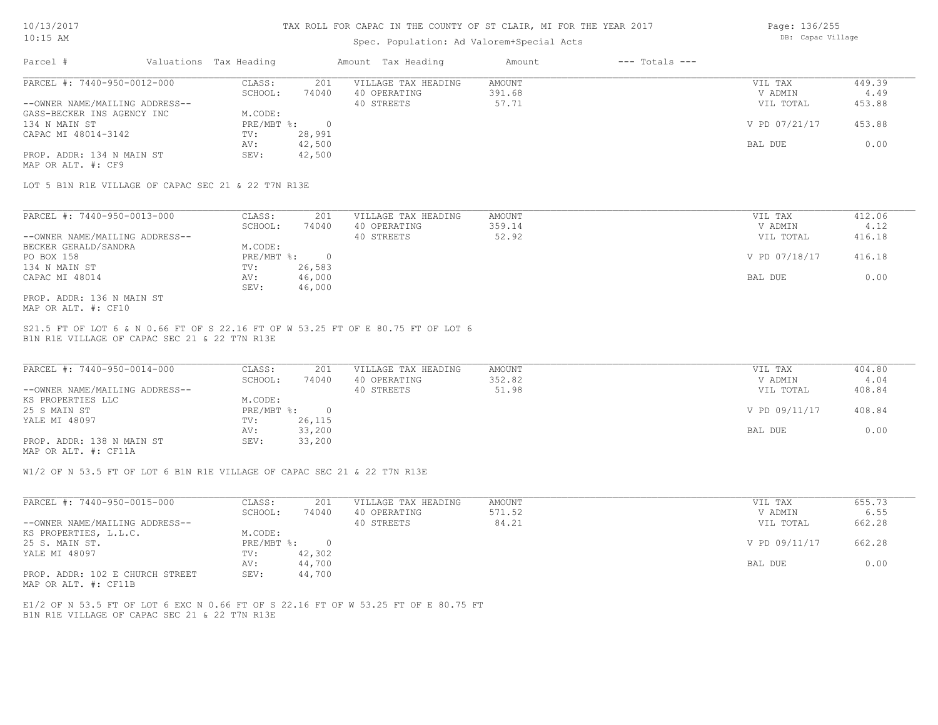### Spec. Population: Ad Valorem+Special Acts

Page: 136/255 DB: Capac Village

| Parcel #                       | Valuations Tax Heading |        | Amount Tax Heading  | Amount | $---$ Totals $---$ |               |        |
|--------------------------------|------------------------|--------|---------------------|--------|--------------------|---------------|--------|
| PARCEL #: 7440-950-0012-000    | CLASS:                 | 201    | VILLAGE TAX HEADING | AMOUNT |                    | VIL TAX       | 449.39 |
|                                | SCHOOL:                | 74040  | 40 OPERATING        | 391.68 |                    | V ADMIN       | 4.49   |
| --OWNER NAME/MAILING ADDRESS-- |                        |        | 40 STREETS          | 57.71  |                    | VIL TOTAL     | 453.88 |
| GASS-BECKER INS AGENCY INC     | M.CODE:                |        |                     |        |                    |               |        |
| 134 N MAIN ST                  | PRE/MBT %:             |        |                     |        |                    | V PD 07/21/17 | 453.88 |
| CAPAC MI 48014-3142            | TV:                    | 28,991 |                     |        |                    |               |        |
|                                | AV:                    | 42,500 |                     |        |                    | BAL DUE       | 0.00   |
| PROP. ADDR: 134 N MAIN ST      | SEV:                   | 42,500 |                     |        |                    |               |        |
| MAP OR ALT. #: CF9             |                        |        |                     |        |                    |               |        |

LOT 5 B1N R1E VILLAGE OF CAPAC SEC 21 & 22 T7N R13E

| PARCEL #: 7440-950-0013-000    | CLASS:     | 201    | VILLAGE TAX HEADING | AMOUNT | VIL TAX       | 412.06 |
|--------------------------------|------------|--------|---------------------|--------|---------------|--------|
|                                | SCHOOL:    | 74040  | 40 OPERATING        | 359.14 | V ADMIN       | 4.12   |
| --OWNER NAME/MAILING ADDRESS-- |            |        | 40 STREETS          | 52.92  | VIL TOTAL     | 416.18 |
| BECKER GERALD/SANDRA           | M.CODE:    |        |                     |        |               |        |
| PO BOX 158                     | PRE/MBT %: |        |                     |        | V PD 07/18/17 | 416.18 |
| 134 N MAIN ST                  | TV:        | 26,583 |                     |        |               |        |
| CAPAC MI 48014                 | AV:        | 46,000 |                     |        | BAL DUE       | 0.00   |
|                                | SEV:       | 46,000 |                     |        |               |        |
| PROP. ADDR: 136 N MAIN ST      |            |        |                     |        |               |        |

MAP OR ALT. #: CF10

B1N R1E VILLAGE OF CAPAC SEC 21 & 22 T7N R13E S21.5 FT OF LOT 6 & N 0.66 FT OF S 22.16 FT OF W 53.25 FT OF E 80.75 FT OF LOT 6

| PARCEL #: 7440-950-0014-000    | CLASS:       | 201    | VILLAGE TAX HEADING | AMOUNT | VIL TAX       | 404.80 |
|--------------------------------|--------------|--------|---------------------|--------|---------------|--------|
|                                | SCHOOL:      | 74040  | 40 OPERATING        | 352.82 | V ADMIN       | 4.04   |
| --OWNER NAME/MAILING ADDRESS-- |              |        | 40 STREETS          | 51.98  | VIL TOTAL     | 408.84 |
| KS PROPERTIES LLC              | M.CODE:      |        |                     |        |               |        |
| 25 S MAIN ST                   | $PRE/MBT$ %: |        |                     |        | V PD 09/11/17 | 408.84 |
| YALE MI 48097                  | TV:          | 26,115 |                     |        |               |        |
|                                | AV:          | 33,200 |                     |        | BAL DUE       | 0.00   |
| PROP. ADDR: 138 N MAIN ST      | SEV:         | 33,200 |                     |        |               |        |
|                                |              |        |                     |        |               |        |

MAP OR ALT. #: CF11A

W1/2 OF N 53.5 FT OF LOT 6 B1N R1E VILLAGE OF CAPAC SEC 21 & 22 T7N R13E

| PARCEL #: 7440-950-0015-000     | CLASS:     | 201    | VILLAGE TAX HEADING | AMOUNT | VIL TAX       | 655.73 |
|---------------------------------|------------|--------|---------------------|--------|---------------|--------|
|                                 | SCHOOL:    | 74040  | 40 OPERATING        | 571.52 | V ADMIN       | 6.55   |
| --OWNER NAME/MAILING ADDRESS--  |            |        | 40 STREETS          | 84.21  | VIL TOTAL     | 662.28 |
| KS PROPERTIES, L.L.C.           | M.CODE:    |        |                     |        |               |        |
| 25 S. MAIN ST.                  | PRE/MBT %: |        |                     |        | V PD 09/11/17 | 662.28 |
| YALE MI 48097                   | TV:        | 42,302 |                     |        |               |        |
|                                 | AV:        | 44,700 |                     |        | BAL DUE       | 0.00   |
| PROP. ADDR: 102 E CHURCH STREET | SEV:       | 44,700 |                     |        |               |        |

MAP OR ALT. #: CF11B

B1N R1E VILLAGE OF CAPAC SEC 21 & 22 T7N R13E E1/2 OF N 53.5 FT OF LOT 6 EXC N 0.66 FT OF S 22.16 FT OF W 53.25 FT OF E 80.75 FT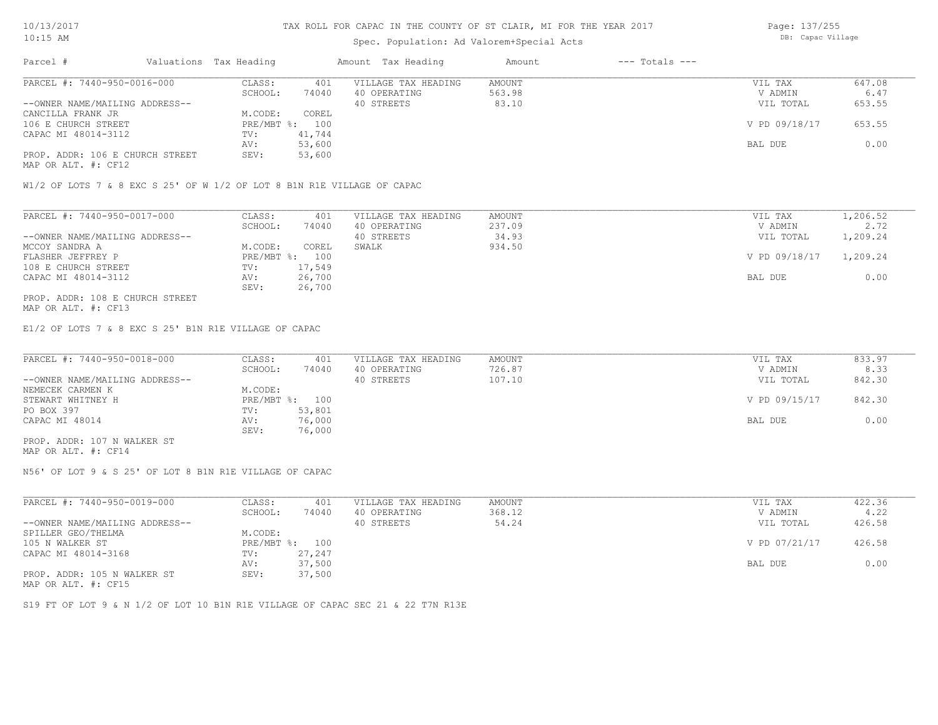### Spec. Population: Ad Valorem+Special Acts

Page: 137/255 DB: Capac Village

| Parcel #                        | Valuations Tax Heading |        | Amount Tax Heading  | Amount | $---$ Totals $---$ |               |        |
|---------------------------------|------------------------|--------|---------------------|--------|--------------------|---------------|--------|
| PARCEL #: 7440-950-0016-000     | CLASS:                 | 401    | VILLAGE TAX HEADING | AMOUNT |                    | VIL TAX       | 647.08 |
|                                 | SCHOOL:                | 74040  | 40 OPERATING        | 563.98 |                    | V ADMIN       | 6.47   |
| --OWNER NAME/MAILING ADDRESS--  |                        |        | 40 STREETS          | 83.10  |                    | VIL TOTAL     | 653.55 |
| CANCILLA FRANK JR               | M.CODE:                | COREL  |                     |        |                    |               |        |
| 106 E CHURCH STREET             | PRE/MBT %: 100         |        |                     |        |                    | V PD 09/18/17 | 653.55 |
| CAPAC MI 48014-3112             | TV:                    | 41,744 |                     |        |                    |               |        |
|                                 | AV:                    | 53,600 |                     |        |                    | BAL DUE       | 0.00   |
| PROP. ADDR: 106 E CHURCH STREET | SEV:                   | 53,600 |                     |        |                    |               |        |
|                                 |                        |        |                     |        |                    |               |        |

MAP OR ALT. #: CF12

W1/2 OF LOTS 7 & 8 EXC S 25' OF W 1/2 OF LOT 8 B1N R1E VILLAGE OF CAPAC

| PARCEL #: 7440-950-0017-000    | CLASS:         | 401    | VILLAGE TAX HEADING | AMOUNT | VIL TAX       | 1,206.52 |
|--------------------------------|----------------|--------|---------------------|--------|---------------|----------|
|                                | SCHOOL:        | 74040  | 40 OPERATING        | 237.09 | V ADMIN       | 2.72     |
| --OWNER NAME/MAILING ADDRESS-- |                |        | 40 STREETS          | 34.93  | VIL TOTAL     | 1,209.24 |
| MCCOY SANDRA A                 | M.CODE:        | COREL  | SWALK               | 934.50 |               |          |
| FLASHER JEFFREY P              | PRE/MBT %: 100 |        |                     |        | V PD 09/18/17 | 1,209.24 |
| 108 E CHURCH STREET            | TV:            | 17,549 |                     |        |               |          |
| CAPAC MI 48014-3112            | AV:            | 26,700 |                     |        | BAL DUE       | 0.00     |
|                                | SEV:           | 26,700 |                     |        |               |          |

MAP OR ALT. #: CF13 PROP. ADDR: 108 E CHURCH STREET

E1/2 OF LOTS 7 & 8 EXC S 25' B1N R1E VILLAGE OF CAPAC

| PARCEL #: 7440-950-0018-000    | CLASS:  | 401            | VILLAGE TAX HEADING | AMOUNT | VIL TAX       | 833.97 |
|--------------------------------|---------|----------------|---------------------|--------|---------------|--------|
|                                | SCHOOL: | 74040          | 40 OPERATING        | 726.87 | V ADMIN       | 8.33   |
| --OWNER NAME/MAILING ADDRESS-- |         |                | 40 STREETS          | 107.10 | VIL TOTAL     | 842.30 |
| NEMECEK CARMEN K               | M.CODE: |                |                     |        |               |        |
| STEWART WHITNEY H              |         | PRE/MBT %: 100 |                     |        | V PD 09/15/17 | 842.30 |
| PO BOX 397                     | TV:     | 53,801         |                     |        |               |        |
| CAPAC MI 48014                 | AV:     | 76,000         |                     |        | BAL DUE       | 0.00   |
|                                | SEV:    | 76,000         |                     |        |               |        |
| PROP. ADDR: 107 N WALKER ST    |         |                |                     |        |               |        |

MAP OR ALT. #: CF14

N56' OF LOT 9 & S 25' OF LOT 8 B1N R1E VILLAGE OF CAPAC

| PARCEL #: 7440-950-0019-000    | CLASS:       | 401    | VILLAGE TAX HEADING | AMOUNT | VIL TAX       | 422.36 |
|--------------------------------|--------------|--------|---------------------|--------|---------------|--------|
|                                | SCHOOL:      | 74040  | 40 OPERATING        | 368.12 | V ADMIN       | 4.22   |
| --OWNER NAME/MAILING ADDRESS-- |              |        | 40 STREETS          | 54.24  | VIL TOTAL     | 426.58 |
| SPILLER GEO/THELMA             | M.CODE:      |        |                     |        |               |        |
| 105 N WALKER ST                | $PRE/MBT$ %: | 100    |                     |        | V PD 07/21/17 | 426.58 |
| CAPAC MI 48014-3168            | TV:          | 27,247 |                     |        |               |        |
|                                | AV:          | 37,500 |                     |        | BAL DUE       | 0.00   |
| PROP. ADDR: 105 N WALKER ST    | SEV:         | 37,500 |                     |        |               |        |
|                                |              |        |                     |        |               |        |

MAP OR ALT. #: CF15

S19 FT OF LOT 9 & N 1/2 OF LOT 10 B1N R1E VILLAGE OF CAPAC SEC 21 & 22 T7N R13E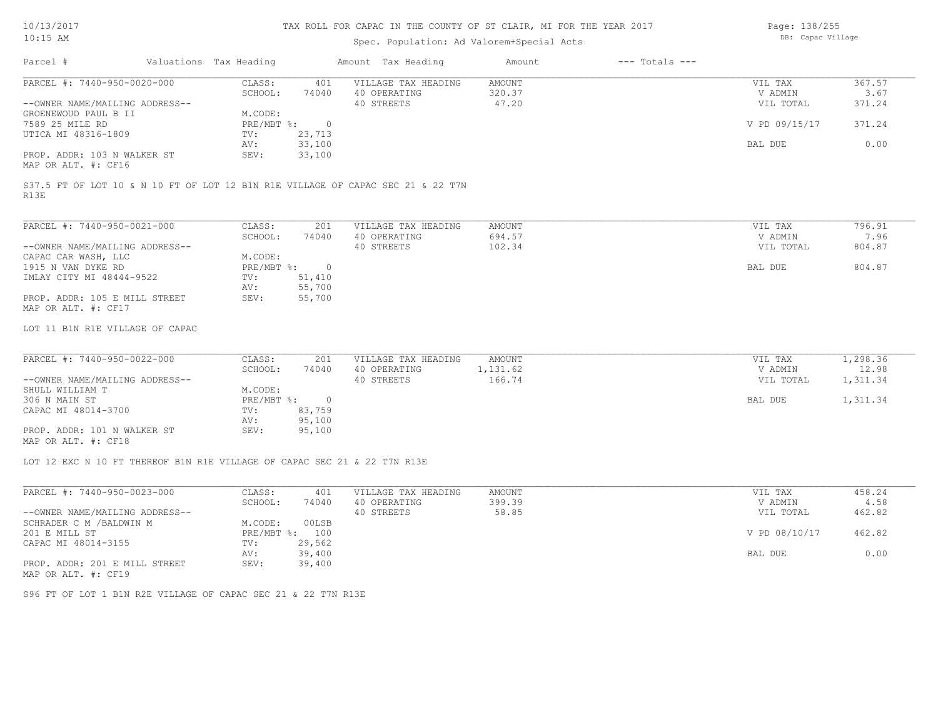Page: 138/255 DB: Capac Village

| TA: TO HM                                                                               |                        |                | Spec. Population: Ad Valorem+Special Acts |               |                    | pp. capac village |          |
|-----------------------------------------------------------------------------------------|------------------------|----------------|-------------------------------------------|---------------|--------------------|-------------------|----------|
| Parcel #                                                                                | Valuations Tax Heading |                | Amount Tax Heading                        | Amount        | $---$ Totals $---$ |                   |          |
| PARCEL #: 7440-950-0020-000                                                             | CLASS:                 | 401            | VILLAGE TAX HEADING                       | <b>AMOUNT</b> |                    | VIL TAX           | 367.57   |
|                                                                                         | SCHOOL:                | 74040          | 40 OPERATING                              | 320.37        |                    | V ADMIN           | 3.67     |
| --OWNER NAME/MAILING ADDRESS--                                                          |                        |                | 40 STREETS                                | 47.20         |                    | VIL TOTAL         | 371.24   |
| GROENEWOUD PAUL B II                                                                    | M.CODE:                |                |                                           |               |                    |                   |          |
| 7589 25 MILE RD                                                                         | $PRE/MBT$ %:           | $\overline{0}$ |                                           |               |                    | V PD 09/15/17     | 371.24   |
| UTICA MI 48316-1809                                                                     | TV:                    | 23,713         |                                           |               |                    |                   |          |
|                                                                                         | AV:                    | 33,100         |                                           |               |                    | BAL DUE           | 0.00     |
| PROP. ADDR: 103 N WALKER ST                                                             | SEV:                   | 33,100         |                                           |               |                    |                   |          |
| MAP OR ALT. #: CF16                                                                     |                        |                |                                           |               |                    |                   |          |
| S37.5 FT OF LOT 10 & N 10 FT OF LOT 12 B1N R1E VILLAGE OF CAPAC SEC 21 & 22 T7N<br>R13E |                        |                |                                           |               |                    |                   |          |
| PARCEL #: 7440-950-0021-000                                                             | CLASS:                 | 201            | VILLAGE TAX HEADING                       | AMOUNT        |                    | VIL TAX           | 796.91   |
|                                                                                         | SCHOOL:                | 74040          | 40 OPERATING                              | 694.57        |                    | V ADMIN           | 7.96     |
| --OWNER NAME/MAILING ADDRESS--                                                          |                        |                | 40 STREETS                                | 102.34        |                    | VIL TOTAL         | 804.87   |
| CAPAC CAR WASH, LLC                                                                     | M.CODE:                |                |                                           |               |                    |                   |          |
| 1915 N VAN DYKE RD                                                                      | $PRE/MBT$ %:           | $\overline{0}$ |                                           |               |                    | BAL DUE           | 804.87   |
| IMLAY CITY MI 48444-9522                                                                | TV:                    | 51,410         |                                           |               |                    |                   |          |
|                                                                                         | AV:                    | 55,700         |                                           |               |                    |                   |          |
| PROP. ADDR: 105 E MILL STREET                                                           | SEV:                   | 55,700         |                                           |               |                    |                   |          |
| MAP OR ALT. #: CF17                                                                     |                        |                |                                           |               |                    |                   |          |
| LOT 11 B1N R1E VILLAGE OF CAPAC                                                         |                        |                |                                           |               |                    |                   |          |
| PARCEL #: 7440-950-0022-000                                                             | CLASS:                 | 201            | VILLAGE TAX HEADING                       | <b>AMOUNT</b> |                    | VIL TAX           | 1,298.36 |
|                                                                                         | SCHOOL:                | 74040          | 40 OPERATING                              | 1,131.62      |                    | V ADMIN           | 12.98    |
| --OWNER NAME/MAILING ADDRESS--                                                          |                        |                | 40 STREETS                                | 166.74        |                    | VIL TOTAL         | 1,311.34 |
| SHULL WILLIAM T                                                                         | M.CODE:                |                |                                           |               |                    |                   |          |
| 306 N MAIN ST                                                                           | PRE/MBT %:             | $\overline{0}$ |                                           |               |                    | BAL DUE           | 1,311.34 |
| CAPAC MI 48014-3700                                                                     | TV:                    | 83,759         |                                           |               |                    |                   |          |
|                                                                                         | AV:                    | 95,100         |                                           |               |                    |                   |          |
| PROP. ADDR: 101 N WALKER ST<br>MAP OR ALT. #: CF18                                      | SEV:                   | 95,100         |                                           |               |                    |                   |          |
|                                                                                         |                        |                |                                           |               |                    |                   |          |
| LOT 12 EXC N 10 FT THEREOF B1N R1E VILLAGE OF CAPAC SEC 21 & 22 T7N R13E                |                        |                |                                           |               |                    |                   |          |
| PARCEL #: 7440-950-0023-000                                                             | CLASS:                 | 401            | VILLAGE TAX HEADING                       | <b>AMOUNT</b> |                    | VIL TAX           | 458.24   |
|                                                                                         | SCHOOL:                | 74040          | 40 OPERATING                              | 399.39        |                    | V ADMIN           | 4.58     |
| --OWNER NAME/MAILING ADDRESS--                                                          |                        |                | 40 STREETS                                | 58.85         |                    | VIL TOTAL         | 462.82   |
| SCHRADER C M / BALDWIN M                                                                | M.CODE:                | 00LSB          |                                           |               |                    |                   |          |
| 201 E MILL ST                                                                           |                        | PRE/MBT %: 100 |                                           |               |                    | V PD 08/10/17     | 462.82   |
| CAPAC MI 48014-3155                                                                     | TV:                    | 29,562         |                                           |               |                    |                   |          |
|                                                                                         | AV:                    | 39,400         |                                           |               |                    | BAL DUE           | 0.00     |
| PROP. ADDR: 201 E MILL STREET                                                           | SEV:                   | 39,400         |                                           |               |                    |                   |          |
| MAP OR ALT. #: CF19                                                                     |                        |                |                                           |               |                    |                   |          |
| S96 FT OF LOT 1 B1N R2E VILLAGE OF CAPAC SEC 21 & 22 T7N R13E                           |                        |                |                                           |               |                    |                   |          |
|                                                                                         |                        |                |                                           |               |                    |                   |          |
|                                                                                         |                        |                |                                           |               |                    |                   |          |
|                                                                                         |                        |                |                                           |               |                    |                   |          |
|                                                                                         |                        |                |                                           |               |                    |                   |          |
|                                                                                         |                        |                |                                           |               |                    |                   |          |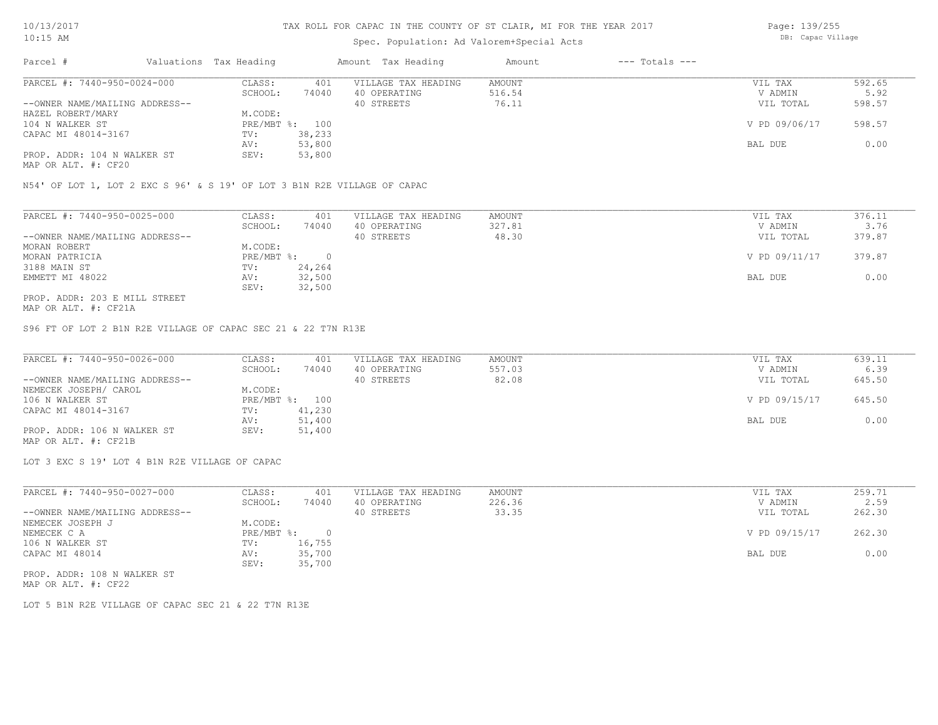### Spec. Population: Ad Valorem+Special Acts

Page: 139/255 DB: Capac Village

| Parcel #                       | Valuations Tax Heading |        | Amount Tax Heading  | Amount | $---$ Totals $---$ |               |        |
|--------------------------------|------------------------|--------|---------------------|--------|--------------------|---------------|--------|
| PARCEL #: 7440-950-0024-000    | CLASS:                 | 401    | VILLAGE TAX HEADING | AMOUNT |                    | VIL TAX       | 592.65 |
|                                | SCHOOL:                | 74040  | 40 OPERATING        | 516.54 |                    | V ADMIN       | 5.92   |
| --OWNER NAME/MAILING ADDRESS-- |                        |        | 40 STREETS          | 76.11  |                    | VIL TOTAL     | 598.57 |
| HAZEL ROBERT/MARY              | M.CODE:                |        |                     |        |                    |               |        |
| 104 N WALKER ST                | PRE/MBT %: 100         |        |                     |        |                    | V PD 09/06/17 | 598.57 |
| CAPAC MI 48014-3167            | TV:                    | 38,233 |                     |        |                    |               |        |
|                                | AV:                    | 53,800 |                     |        |                    | BAL DUE       | 0.00   |
| PROP. ADDR: 104 N WALKER ST    | SEV:                   | 53,800 |                     |        |                    |               |        |
|                                |                        |        |                     |        |                    |               |        |

MAP OR ALT. #: CF20

N54' OF LOT 1, LOT 2 EXC S 96' & S 19' OF LOT 3 B1N R2E VILLAGE OF CAPAC

| PARCEL #: 7440-950-0025-000    | CLASS:     | 401    | VILLAGE TAX HEADING | AMOUNT | VIL TAX       | 376.11 |
|--------------------------------|------------|--------|---------------------|--------|---------------|--------|
|                                | SCHOOL:    | 74040  | 40 OPERATING        | 327.81 | V ADMIN       | 3.76   |
| --OWNER NAME/MAILING ADDRESS-- |            |        | 40 STREETS          | 48.30  | VIL TOTAL     | 379.87 |
| MORAN ROBERT                   | M.CODE:    |        |                     |        |               |        |
| MORAN PATRICIA                 | PRE/MBT %: |        |                     |        | V PD 09/11/17 | 379.87 |
| 3188 MAIN ST                   | TV:        | 24,264 |                     |        |               |        |
| EMMETT MI 48022                | AV:        | 32,500 |                     |        | BAL DUE       | 0.00   |
|                                | SEV:       | 32,500 |                     |        |               |        |
| PROP. ADDR: 203 E MILL STREET  |            |        |                     |        |               |        |

MAP OR ALT. #: CF21A

S96 FT OF LOT 2 B1N R2E VILLAGE OF CAPAC SEC 21 & 22 T7N R13E

| PARCEL #: 7440-950-0026-000    | CLASS:  | 401            | VILLAGE TAX HEADING | AMOUNT | VIL TAX       | 639.11 |
|--------------------------------|---------|----------------|---------------------|--------|---------------|--------|
|                                | SCHOOL: | 74040          | 40 OPERATING        | 557.03 | V ADMIN       | 6.39   |
| --OWNER NAME/MAILING ADDRESS-- |         |                | 40 STREETS          | 82.08  | VIL TOTAL     | 645.50 |
| NEMECEK JOSEPH/ CAROL          | M.CODE: |                |                     |        |               |        |
| 106 N WALKER ST                |         | PRE/MBT %: 100 |                     |        | V PD 09/15/17 | 645.50 |
| CAPAC MI 48014-3167            | TV:     | 41,230         |                     |        |               |        |
|                                | AV:     | 51,400         |                     |        | BAL DUE       | 0.00   |
| PROP. ADDR: 106 N WALKER ST    | SEV:    | 51,400         |                     |        |               |        |
| MAP OR ALT. #: CF21B           |         |                |                     |        |               |        |

LOT 3 EXC S 19' LOT 4 B1N R2E VILLAGE OF CAPAC

| PARCEL #: 7440-950-0027-000    | CLASS:     | 401    | VILLAGE TAX HEADING | AMOUNT | VIL TAX       | 259.71 |
|--------------------------------|------------|--------|---------------------|--------|---------------|--------|
|                                | SCHOOL:    | 74040  | 40 OPERATING        | 226.36 | V ADMIN       | 2.59   |
| --OWNER NAME/MAILING ADDRESS-- |            |        | 40 STREETS          | 33.35  | VIL TOTAL     | 262.30 |
| NEMECEK JOSEPH J               | M.CODE:    |        |                     |        |               |        |
| NEMECEK C A                    | PRE/MBT %: |        |                     |        | V PD 09/15/17 | 262.30 |
| 106 N WALKER ST                | TV:        | 16,755 |                     |        |               |        |
| CAPAC MI 48014                 | AV:        | 35,700 |                     |        | BAL DUE       | 0.00   |
|                                | SEV:       | 35,700 |                     |        |               |        |
| PROP. ADDR: 108 N WALKER ST    |            |        |                     |        |               |        |

MAP OR ALT. #: CF22

LOT 5 B1N R2E VILLAGE OF CAPAC SEC 21 & 22 T7N R13E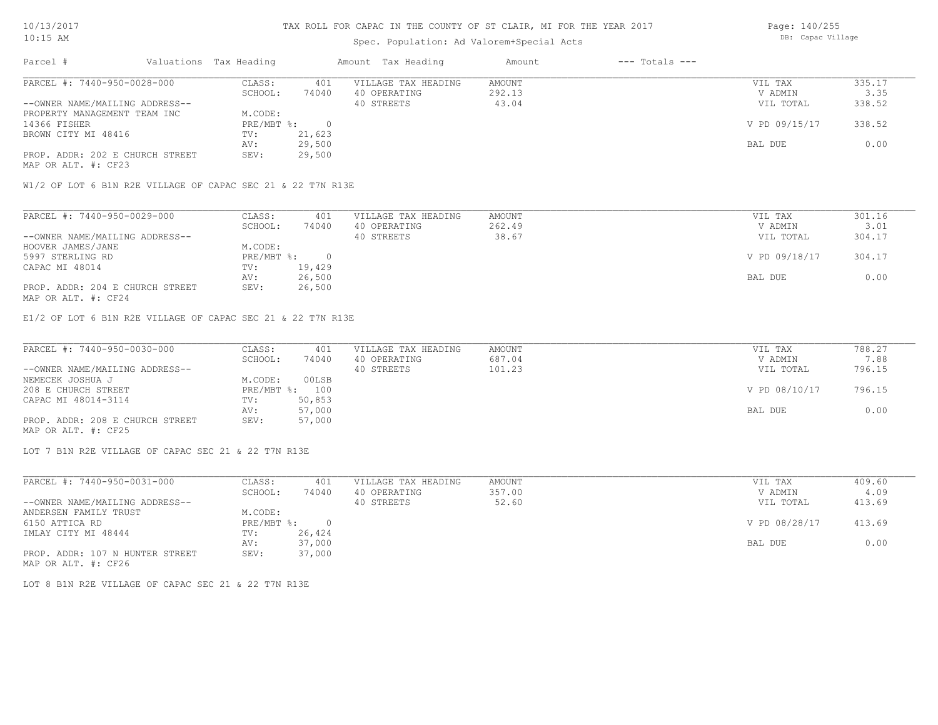### Spec. Population: Ad Valorem+Special Acts

Page: 140/255 DB: Capac Village

| Parcel #                        | Valuations Tax Heading |        | Amount Tax Heading  | Amount | $---$ Totals $---$ |               |        |
|---------------------------------|------------------------|--------|---------------------|--------|--------------------|---------------|--------|
| PARCEL #: 7440-950-0028-000     | CLASS:                 | 401    | VILLAGE TAX HEADING | AMOUNT |                    | VIL TAX       | 335.17 |
|                                 | SCHOOL:                | 74040  | 40 OPERATING        | 292.13 |                    | V ADMIN       | 3.35   |
| --OWNER NAME/MAILING ADDRESS--  |                        |        | 40 STREETS          | 43.04  |                    | VIL TOTAL     | 338.52 |
| PROPERTY MANAGEMENT TEAM INC    | M.CODE:                |        |                     |        |                    |               |        |
| 14366 FISHER                    | PRE/MBT %:             |        |                     |        |                    | V PD 09/15/17 | 338.52 |
| BROWN CITY MI 48416             | TV:                    | 21,623 |                     |        |                    |               |        |
|                                 | AV:                    | 29,500 |                     |        |                    | BAL DUE       | 0.00   |
| PROP. ADDR: 202 E CHURCH STREET | SEV:                   | 29,500 |                     |        |                    |               |        |
| MAP OR ALT. #: CF23             |                        |        |                     |        |                    |               |        |

W1/2 OF LOT 6 B1N R2E VILLAGE OF CAPAC SEC 21 & 22 T7N R13E

| PARCEL #: 7440-950-0029-000     | CLASS:     | 401    | VILLAGE TAX HEADING | AMOUNT | VIL TAX       | 301.16 |
|---------------------------------|------------|--------|---------------------|--------|---------------|--------|
|                                 | SCHOOL:    | 74040  | 40 OPERATING        | 262.49 | V ADMIN       | 3.01   |
| --OWNER NAME/MAILING ADDRESS--  |            |        | 40 STREETS          | 38.67  | VIL TOTAL     | 304.17 |
| HOOVER JAMES/JANE               | M.CODE:    |        |                     |        |               |        |
| 5997 STERLING RD                | PRE/MBT %: |        |                     |        | V PD 09/18/17 | 304.17 |
| CAPAC MI 48014                  | TV:        | 19,429 |                     |        |               |        |
|                                 | AV:        | 26,500 |                     |        | BAL DUE       | 0.00   |
| PROP. ADDR: 204 E CHURCH STREET | SEV:       | 26,500 |                     |        |               |        |
| MAP OR ALT. #: CF24             |            |        |                     |        |               |        |

E1/2 OF LOT 6 B1N R2E VILLAGE OF CAPAC SEC 21 & 22 T7N R13E

| PARCEL #: 7440-950-0030-000     | CLASS:  | 401            | VILLAGE TAX HEADING | AMOUNT | VIL TAX       | 788.27 |
|---------------------------------|---------|----------------|---------------------|--------|---------------|--------|
|                                 | SCHOOL: | 74040          | 40 OPERATING        | 687.04 | V ADMIN       | 7.88   |
| --OWNER NAME/MAILING ADDRESS--  |         |                | 40 STREETS          | 101.23 | VIL TOTAL     | 796.15 |
| NEMECEK JOSHUA J                | M.CODE: | 00LSB          |                     |        |               |        |
| 208 E CHURCH STREET             |         | PRE/MBT %: 100 |                     |        | V PD 08/10/17 | 796.15 |
| CAPAC MI 48014-3114             | TV:     | 50,853         |                     |        |               |        |
|                                 | AV:     | 57,000         |                     |        | BAL DUE       | 0.00   |
| PROP. ADDR: 208 E CHURCH STREET | SEV:    | 57,000         |                     |        |               |        |
| MAP OR ALT. #: CF25             |         |                |                     |        |               |        |

LOT 7 B1N R2E VILLAGE OF CAPAC SEC 21 & 22 T7N R13E

| PARCEL #: 7440-950-0031-000     | CLASS:     | 401      | VILLAGE TAX HEADING | AMOUNT | VIL TAX       | 409.60 |
|---------------------------------|------------|----------|---------------------|--------|---------------|--------|
|                                 | SCHOOL:    | 74040    | 40 OPERATING        | 357.00 | V ADMIN       | 4.09   |
| --OWNER NAME/MAILING ADDRESS--  |            |          | 40 STREETS          | 52.60  | VIL TOTAL     | 413.69 |
| ANDERSEN FAMILY TRUST           | M.CODE:    |          |                     |        |               |        |
| 6150 ATTICA RD                  | PRE/MBT %: | $\Omega$ |                     |        | V PD 08/28/17 | 413.69 |
| IMLAY CITY MI 48444             | TV:        | 26,424   |                     |        |               |        |
|                                 | AV:        | 37,000   |                     |        | BAL DUE       | 0.00   |
| PROP. ADDR: 107 N HUNTER STREET | SEV:       | 37,000   |                     |        |               |        |
| MAP OR ALT. #: CF26             |            |          |                     |        |               |        |

LOT 8 B1N R2E VILLAGE OF CAPAC SEC 21 & 22 T7N R13E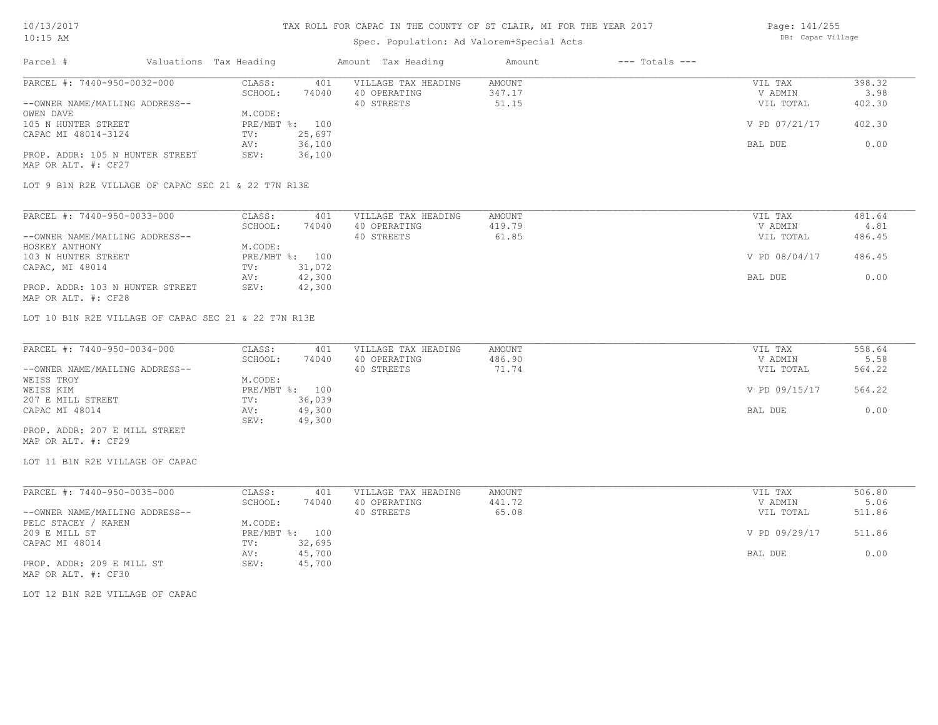Page: 141/255 DB: Capac Village

| Amount Tax Heading<br>401<br>VILLAGE TAX HEADING<br>74040<br>40 OPERATING<br>40 STREETS<br>PRE/MBT %: 100<br>25,697<br>36,100<br>36,100<br>LOT 9 B1N R2E VILLAGE OF CAPAC SEC 21 & 22 T7N R13E<br>401<br>VILLAGE TAX HEADING<br>40 OPERATING<br>74040<br>40 STREETS<br>PRE/MBT %: 100<br>31,072<br>42,300<br>42,300<br>LOT 10 B1N R2E VILLAGE OF CAPAC SEC 21 & 22 T7N R13E<br>VILLAGE TAX HEADING<br>401<br>40 OPERATING<br>74040<br>40 STREETS | $---$ Totals $---$<br>Amount<br>AMOUNT<br>347.17<br>51.15<br>AMOUNT<br>419.79<br>61.85<br>AMOUNT<br>486.90<br>71.74 | VIL TAX<br>V ADMIN<br>VIL TOTAL<br>V PD 07/21/17<br>BAL DUE<br>VIL TAX<br>V ADMIN<br>VIL TOTAL<br>V PD 08/04/17<br>BAL DUE<br>VIL TAX<br>V ADMIN | 398.32<br>3.98<br>402.30<br>402.30<br>0.00<br>481.64<br>4.81<br>486.45<br>486.45<br>0.00<br>558.64<br>5.58 |
|--------------------------------------------------------------------------------------------------------------------------------------------------------------------------------------------------------------------------------------------------------------------------------------------------------------------------------------------------------------------------------------------------------------------------------------------------|---------------------------------------------------------------------------------------------------------------------|--------------------------------------------------------------------------------------------------------------------------------------------------|------------------------------------------------------------------------------------------------------------|
|                                                                                                                                                                                                                                                                                                                                                                                                                                                  |                                                                                                                     |                                                                                                                                                  |                                                                                                            |
|                                                                                                                                                                                                                                                                                                                                                                                                                                                  |                                                                                                                     |                                                                                                                                                  |                                                                                                            |
|                                                                                                                                                                                                                                                                                                                                                                                                                                                  |                                                                                                                     |                                                                                                                                                  |                                                                                                            |
|                                                                                                                                                                                                                                                                                                                                                                                                                                                  |                                                                                                                     |                                                                                                                                                  |                                                                                                            |
|                                                                                                                                                                                                                                                                                                                                                                                                                                                  |                                                                                                                     |                                                                                                                                                  |                                                                                                            |
|                                                                                                                                                                                                                                                                                                                                                                                                                                                  |                                                                                                                     |                                                                                                                                                  |                                                                                                            |
|                                                                                                                                                                                                                                                                                                                                                                                                                                                  |                                                                                                                     |                                                                                                                                                  |                                                                                                            |
|                                                                                                                                                                                                                                                                                                                                                                                                                                                  |                                                                                                                     |                                                                                                                                                  |                                                                                                            |
|                                                                                                                                                                                                                                                                                                                                                                                                                                                  |                                                                                                                     |                                                                                                                                                  |                                                                                                            |
|                                                                                                                                                                                                                                                                                                                                                                                                                                                  |                                                                                                                     |                                                                                                                                                  |                                                                                                            |
|                                                                                                                                                                                                                                                                                                                                                                                                                                                  |                                                                                                                     |                                                                                                                                                  |                                                                                                            |
|                                                                                                                                                                                                                                                                                                                                                                                                                                                  |                                                                                                                     |                                                                                                                                                  |                                                                                                            |
|                                                                                                                                                                                                                                                                                                                                                                                                                                                  |                                                                                                                     |                                                                                                                                                  |                                                                                                            |
|                                                                                                                                                                                                                                                                                                                                                                                                                                                  |                                                                                                                     |                                                                                                                                                  |                                                                                                            |
|                                                                                                                                                                                                                                                                                                                                                                                                                                                  |                                                                                                                     |                                                                                                                                                  |                                                                                                            |
|                                                                                                                                                                                                                                                                                                                                                                                                                                                  |                                                                                                                     |                                                                                                                                                  |                                                                                                            |
|                                                                                                                                                                                                                                                                                                                                                                                                                                                  |                                                                                                                     |                                                                                                                                                  |                                                                                                            |
|                                                                                                                                                                                                                                                                                                                                                                                                                                                  |                                                                                                                     |                                                                                                                                                  |                                                                                                            |
|                                                                                                                                                                                                                                                                                                                                                                                                                                                  |                                                                                                                     |                                                                                                                                                  |                                                                                                            |
|                                                                                                                                                                                                                                                                                                                                                                                                                                                  |                                                                                                                     |                                                                                                                                                  |                                                                                                            |
|                                                                                                                                                                                                                                                                                                                                                                                                                                                  |                                                                                                                     |                                                                                                                                                  |                                                                                                            |
|                                                                                                                                                                                                                                                                                                                                                                                                                                                  |                                                                                                                     |                                                                                                                                                  |                                                                                                            |
|                                                                                                                                                                                                                                                                                                                                                                                                                                                  |                                                                                                                     |                                                                                                                                                  |                                                                                                            |
|                                                                                                                                                                                                                                                                                                                                                                                                                                                  |                                                                                                                     |                                                                                                                                                  |                                                                                                            |
|                                                                                                                                                                                                                                                                                                                                                                                                                                                  |                                                                                                                     | VIL TOTAL                                                                                                                                        | 564.22                                                                                                     |
|                                                                                                                                                                                                                                                                                                                                                                                                                                                  |                                                                                                                     |                                                                                                                                                  |                                                                                                            |
| PRE/MBT %: 100                                                                                                                                                                                                                                                                                                                                                                                                                                   |                                                                                                                     | V PD 09/15/17                                                                                                                                    | 564.22                                                                                                     |
| 36,039                                                                                                                                                                                                                                                                                                                                                                                                                                           |                                                                                                                     |                                                                                                                                                  |                                                                                                            |
| 49,300                                                                                                                                                                                                                                                                                                                                                                                                                                           |                                                                                                                     | BAL DUE                                                                                                                                          | 0.00                                                                                                       |
| 49,300                                                                                                                                                                                                                                                                                                                                                                                                                                           |                                                                                                                     |                                                                                                                                                  |                                                                                                            |
|                                                                                                                                                                                                                                                                                                                                                                                                                                                  |                                                                                                                     |                                                                                                                                                  |                                                                                                            |
|                                                                                                                                                                                                                                                                                                                                                                                                                                                  |                                                                                                                     |                                                                                                                                                  |                                                                                                            |
| 401<br>VILLAGE TAX HEADING                                                                                                                                                                                                                                                                                                                                                                                                                       | AMOUNT                                                                                                              | VIL TAX                                                                                                                                          | 506.80                                                                                                     |
| 40 OPERATING<br>74040                                                                                                                                                                                                                                                                                                                                                                                                                            | 441.72                                                                                                              | V ADMIN                                                                                                                                          | 5.06                                                                                                       |
| 40 STREETS                                                                                                                                                                                                                                                                                                                                                                                                                                       | 65.08                                                                                                               | VIL TOTAL                                                                                                                                        | 511.86                                                                                                     |
|                                                                                                                                                                                                                                                                                                                                                                                                                                                  |                                                                                                                     |                                                                                                                                                  |                                                                                                            |
| PRE/MBT %: 100                                                                                                                                                                                                                                                                                                                                                                                                                                   |                                                                                                                     |                                                                                                                                                  | 511.86                                                                                                     |
|                                                                                                                                                                                                                                                                                                                                                                                                                                                  |                                                                                                                     |                                                                                                                                                  |                                                                                                            |
|                                                                                                                                                                                                                                                                                                                                                                                                                                                  |                                                                                                                     |                                                                                                                                                  | 0.00                                                                                                       |
|                                                                                                                                                                                                                                                                                                                                                                                                                                                  |                                                                                                                     |                                                                                                                                                  |                                                                                                            |
|                                                                                                                                                                                                                                                                                                                                                                                                                                                  |                                                                                                                     |                                                                                                                                                  |                                                                                                            |
|                                                                                                                                                                                                                                                                                                                                                                                                                                                  |                                                                                                                     |                                                                                                                                                  |                                                                                                            |
|                                                                                                                                                                                                                                                                                                                                                                                                                                                  | 32,695<br>45,700<br>45,700                                                                                          |                                                                                                                                                  | V PD 09/29/17<br>BAL DUE                                                                                   |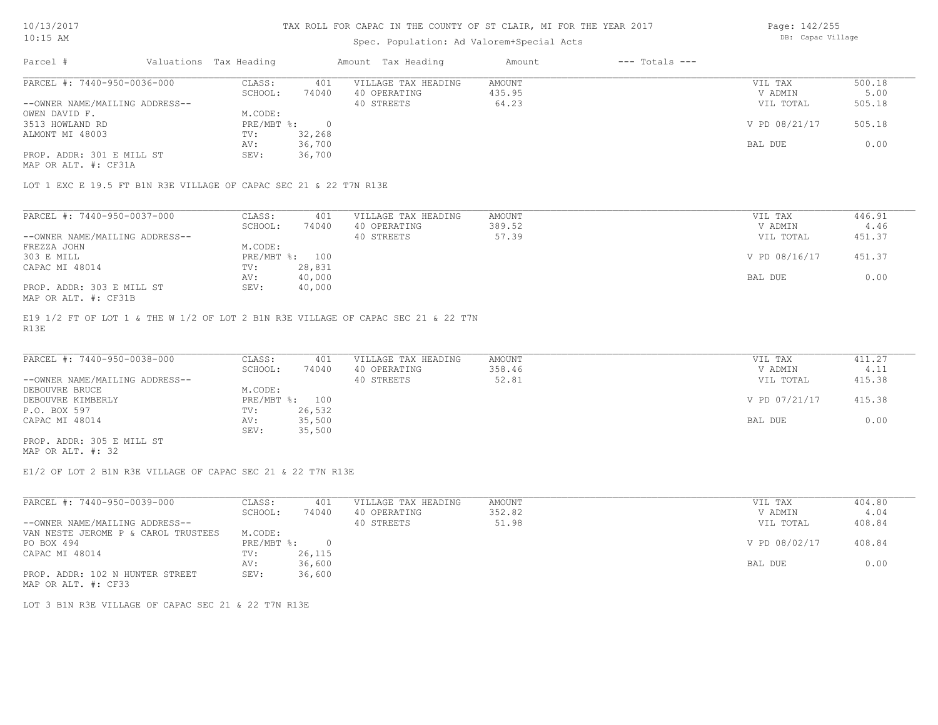### Spec. Population: Ad Valorem+Special Acts

Page: 142/255 DB: Capac Village

| Parcel #                       | Valuations Tax Heading |        | Amount Tax Heading  | Amount | $---$ Totals $---$ |               |        |
|--------------------------------|------------------------|--------|---------------------|--------|--------------------|---------------|--------|
| PARCEL #: 7440-950-0036-000    | CLASS:                 | 401    | VILLAGE TAX HEADING | AMOUNT |                    | VIL TAX       | 500.18 |
|                                | SCHOOL:                | 74040  | 40 OPERATING        | 435.95 |                    | V ADMIN       | 5.00   |
| --OWNER NAME/MAILING ADDRESS-- |                        |        | 40 STREETS          | 64.23  |                    | VIL TOTAL     | 505.18 |
| OWEN DAVID F.                  | M.CODE:                |        |                     |        |                    |               |        |
| 3513 HOWLAND RD                | PRE/MBT %:             |        |                     |        |                    | V PD 08/21/17 | 505.18 |
| ALMONT MI 48003                | TV:                    | 32,268 |                     |        |                    |               |        |
|                                | AV:                    | 36,700 |                     |        |                    | BAL DUE       | 0.00   |
| PROP. ADDR: 301 E MILL ST      | SEV:                   | 36,700 |                     |        |                    |               |        |
| MAP OR ALT. #: CF31A           |                        |        |                     |        |                    |               |        |

LOT 1 EXC E 19.5 FT B1N R3E VILLAGE OF CAPAC SEC 21 & 22 T7N R13E

| PARCEL #: 7440-950-0037-000    | CLASS:  | 401            | VILLAGE TAX HEADING | AMOUNT | VIL TAX       | 446.91 |
|--------------------------------|---------|----------------|---------------------|--------|---------------|--------|
|                                | SCHOOL: | 74040          | 40 OPERATING        | 389.52 | V ADMIN       | 4.46   |
| --OWNER NAME/MAILING ADDRESS-- |         |                | 40 STREETS          | 57.39  | VIL TOTAL     | 451.37 |
| FREZZA JOHN                    | M.CODE: |                |                     |        |               |        |
| 303 E MILL                     |         | PRE/MBT %: 100 |                     |        | V PD 08/16/17 | 451.37 |
| CAPAC MI 48014                 | TV:     | 28,831         |                     |        |               |        |
|                                | AV:     | 40,000         |                     |        | BAL DUE       | 0.00   |
| PROP. ADDR: 303 E MILL ST      | SEV:    | 40,000         |                     |        |               |        |
| MAP OR ALT. #: CF31B           |         |                |                     |        |               |        |

R13E E19 1/2 FT OF LOT 1 & THE W 1/2 OF LOT 2 B1N R3E VILLAGE OF CAPAC SEC 21 & 22 T7N

| PARCEL #: 7440-950-0038-000    | CLASS:  | 401            | VILLAGE TAX HEADING | AMOUNT | VIL TAX       | 411.27 |
|--------------------------------|---------|----------------|---------------------|--------|---------------|--------|
|                                | SCHOOL: | 74040          | 40 OPERATING        | 358.46 | V ADMIN       | 4.11   |
| --OWNER NAME/MAILING ADDRESS-- |         |                | 40 STREETS          | 52.81  | VIL TOTAL     | 415.38 |
| DEBOUVRE BRUCE                 | M.CODE: |                |                     |        |               |        |
| DEBOUVRE KIMBERLY              |         | PRE/MBT %: 100 |                     |        | V PD 07/21/17 | 415.38 |
| P.O. BOX 597                   | TV:     | 26,532         |                     |        |               |        |
| CAPAC MI 48014                 | AV:     | 35,500         |                     |        | BAL DUE       | 0.00   |
|                                | SEV:    | 35,500         |                     |        |               |        |
| PROP. ADDR: 305 E MILL ST      |         |                |                     |        |               |        |

MAP OR ALT. #: 32

E1/2 OF LOT 2 B1N R3E VILLAGE OF CAPAC SEC 21 & 22 T7N R13E

| PARCEL #: 7440-950-0039-000         | CLASS:     | 401    | VILLAGE TAX HEADING | AMOUNT | 404.80<br>VIL TAX       |  |
|-------------------------------------|------------|--------|---------------------|--------|-------------------------|--|
|                                     | SCHOOL:    | 74040  | 40 OPERATING        | 352.82 | 4.04<br>V ADMIN         |  |
| --OWNER NAME/MAILING ADDRESS--      |            |        | 40 STREETS          | 51.98  | 408.84<br>VIL TOTAL     |  |
| VAN NESTE JEROME P & CAROL TRUSTEES | M.CODE:    |        |                     |        |                         |  |
| PO BOX 494                          | PRE/MBT %: |        |                     |        | V PD 08/02/17<br>408.84 |  |
| CAPAC MI 48014                      | TV:        | 26,115 |                     |        |                         |  |
|                                     | AV:        | 36,600 |                     |        | 0.00<br>BAL DUE         |  |
| PROP. ADDR: 102 N HUNTER STREET     | SEV:       | 36,600 |                     |        |                         |  |
| MAP OR ALT. #: CF33                 |            |        |                     |        |                         |  |

LOT 3 B1N R3E VILLAGE OF CAPAC SEC 21 & 22 T7N R13E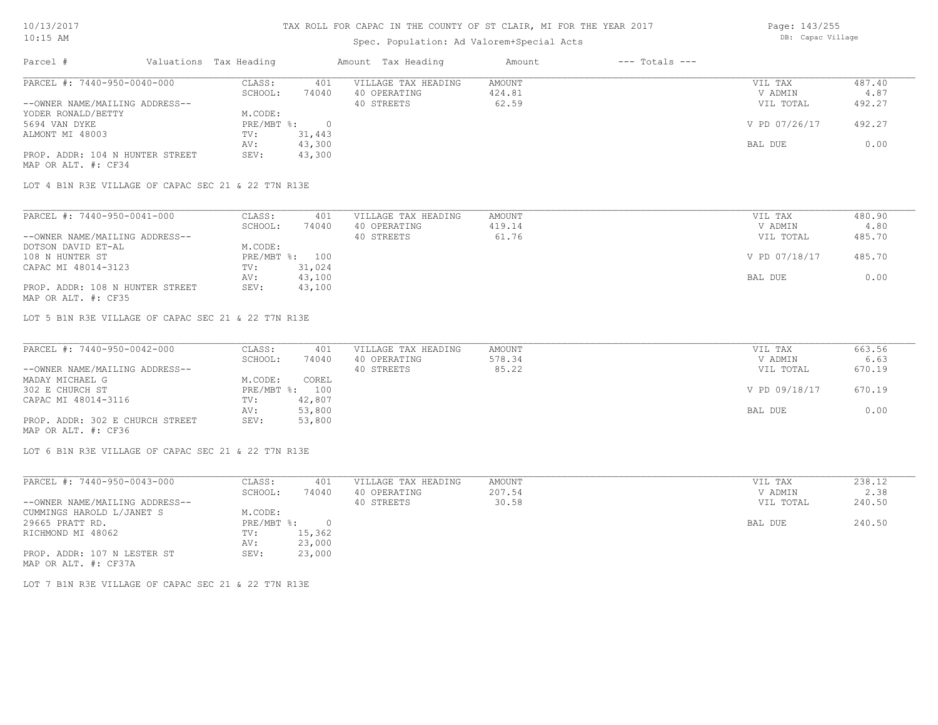### Spec. Population: Ad Valorem+Special Acts

Page: 143/255 DB: Capac Village

| Parcel #                        |         | Valuations Tax Heading |              | Amount Tax Heading  | Amount | $---$ Totals $---$ |               |        |
|---------------------------------|---------|------------------------|--------------|---------------------|--------|--------------------|---------------|--------|
| PARCEL #: 7440-950-0040-000     |         | CLASS:                 | 401          | VILLAGE TAX HEADING | AMOUNT |                    | VIL TAX       | 487.40 |
|                                 | SCHOOL: | 74040                  | 40 OPERATING | 424.81              |        | V ADMIN            | 4.87          |        |
| --OWNER NAME/MAILING ADDRESS--  |         |                        |              | 40 STREETS          | 62.59  |                    | VIL TOTAL     | 492.27 |
| YODER RONALD/BETTY              |         | M.CODE:                |              |                     |        |                    |               |        |
| 5694 VAN DYKE                   |         | PRE/MBT %:             |              |                     |        |                    | V PD 07/26/17 | 492.27 |
| ALMONT MI 48003                 | TV:     | 31,443                 |              |                     |        |                    |               |        |
|                                 |         | AV:                    | 43,300       |                     |        |                    | BAL DUE       | 0.00   |
| PROP. ADDR: 104 N HUNTER STREET |         | SEV:                   | 43,300       |                     |        |                    |               |        |
| MAP OR ALT. #: CF34             |         |                        |              |                     |        |                    |               |        |

LOT 4 B1N R3E VILLAGE OF CAPAC SEC 21 & 22 T7N R13E

| PARCEL #: 7440-950-0041-000     | CLASS:  | 401            | VILLAGE TAX HEADING | AMOUNT | VIL TAX       | 480.90 |
|---------------------------------|---------|----------------|---------------------|--------|---------------|--------|
|                                 | SCHOOL: | 74040          | 40 OPERATING        | 419.14 | V ADMIN       | 4.80   |
| --OWNER NAME/MAILING ADDRESS--  |         |                | 40 STREETS          | 61.76  | VIL TOTAL     | 485.70 |
| DOTSON DAVID ET-AL              | M.CODE: |                |                     |        |               |        |
| 108 N HUNTER ST                 |         | PRE/MBT %: 100 |                     |        | V PD 07/18/17 | 485.70 |
| CAPAC MI 48014-3123             | TV:     | 31,024         |                     |        |               |        |
|                                 | AV:     | 43,100         |                     |        | BAL DUE       | 0.00   |
| PROP. ADDR: 108 N HUNTER STREET | SEV:    | 43,100         |                     |        |               |        |
| MAP OR ALT. #: CF35             |         |                |                     |        |               |        |

LOT 5 B1N R3E VILLAGE OF CAPAC SEC 21 & 22 T7N R13E

| PARCEL #: 7440-950-0042-000     | CLASS:  | 401            | VILLAGE TAX HEADING | AMOUNT | VIL TAX       | 663.56 |
|---------------------------------|---------|----------------|---------------------|--------|---------------|--------|
|                                 | SCHOOL: | 74040          | 40 OPERATING        | 578.34 | V ADMIN       | 6.63   |
| --OWNER NAME/MAILING ADDRESS--  |         |                | 40 STREETS          | 85.22  | VIL TOTAL     | 670.19 |
| MADAY MICHAEL G                 | M.CODE: | COREL          |                     |        |               |        |
| 302 E CHURCH ST                 |         | PRE/MBT %: 100 |                     |        | V PD 09/18/17 | 670.19 |
| CAPAC MI 48014-3116             | TV:     | 42,807         |                     |        |               |        |
|                                 | AV:     | 53,800         |                     |        | BAL DUE       | 0.00   |
| PROP. ADDR: 302 E CHURCH STREET | SEV:    | 53,800         |                     |        |               |        |
| MAP OR ALT. #: CF36             |         |                |                     |        |               |        |

LOT 6 B1N R3E VILLAGE OF CAPAC SEC 21 & 22 T7N R13E

| PARCEL #: 7440-950-0043-000    | CLASS:     | 401    | VILLAGE TAX HEADING | AMOUNT | VIL TAX   | 238.12 |
|--------------------------------|------------|--------|---------------------|--------|-----------|--------|
|                                | SCHOOL:    | 74040  | 40 OPERATING        | 207.54 | V ADMIN   | 2.38   |
| --OWNER NAME/MAILING ADDRESS-- |            |        | 40 STREETS          | 30.58  | VIL TOTAL | 240.50 |
| CUMMINGS HAROLD L/JANET S      | M.CODE:    |        |                     |        |           |        |
| 29665 PRATT RD.                | PRE/MBT %: | 0      |                     |        | BAL DUE   | 240.50 |
| RICHMOND MI 48062              | TV:        | 15,362 |                     |        |           |        |
|                                | AV:        | 23,000 |                     |        |           |        |
| PROP. ADDR: 107 N LESTER ST    | SEV:       | 23,000 |                     |        |           |        |
| MAP OR ALT. #: CF37A           |            |        |                     |        |           |        |

LOT 7 B1N R3E VILLAGE OF CAPAC SEC 21 & 22 T7N R13E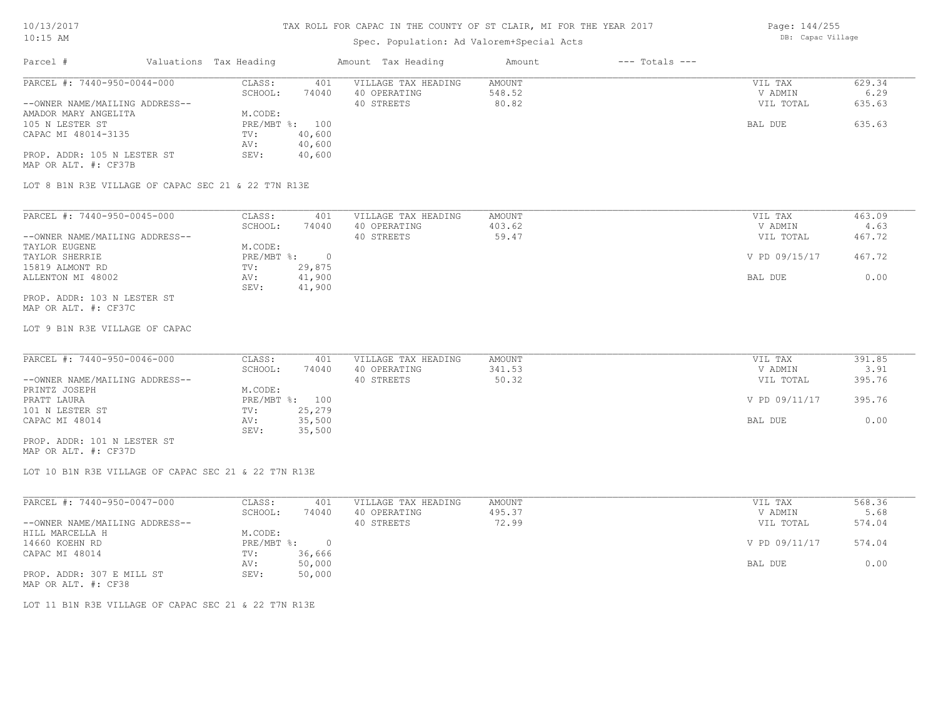### Spec. Population: Ad Valorem+Special Acts

Page: 144/255 DB: Capac Village

| Parcel #                       | Valuations Tax Heading |        | Amount Tax Heading  | Amount | $---$ Totals $---$ |           |        |
|--------------------------------|------------------------|--------|---------------------|--------|--------------------|-----------|--------|
| PARCEL #: 7440-950-0044-000    | CLASS:                 | 401    | VILLAGE TAX HEADING | AMOUNT |                    | VIL TAX   | 629.34 |
|                                | SCHOOL:                | 74040  | 40 OPERATING        | 548.52 |                    | V ADMIN   | 6.29   |
| --OWNER NAME/MAILING ADDRESS-- |                        |        | 40 STREETS          | 80.82  |                    | VIL TOTAL | 635.63 |
| AMADOR MARY ANGELITA           | M.CODE:                |        |                     |        |                    |           |        |
| 105 N LESTER ST                | $PRE/MBT$ %:           | 100    |                     |        |                    | BAL DUE   | 635.63 |
| CAPAC MI 48014-3135            | TV:                    | 40,600 |                     |        |                    |           |        |
|                                | AV:                    | 40,600 |                     |        |                    |           |        |
| PROP. ADDR: 105 N LESTER ST    | SEV:                   | 40,600 |                     |        |                    |           |        |
| MAP OR ALT. #: CF37B           |                        |        |                     |        |                    |           |        |

LOT 8 B1N R3E VILLAGE OF CAPAC SEC 21 & 22 T7N R13E

| PARCEL #: 7440-950-0045-000    | CLASS:     | 401    | VILLAGE TAX HEADING | AMOUNT | VIL TAX       | 463.09 |
|--------------------------------|------------|--------|---------------------|--------|---------------|--------|
|                                | SCHOOL:    | 74040  | 40 OPERATING        | 403.62 | V ADMIN       | 4.63   |
| --OWNER NAME/MAILING ADDRESS-- |            |        | 40 STREETS          | 59.47  | VIL TOTAL     | 467.72 |
| TAYLOR EUGENE                  | M.CODE:    |        |                     |        |               |        |
| TAYLOR SHERRIE                 | PRE/MBT %: |        |                     |        | V PD 09/15/17 | 467.72 |
| 15819 ALMONT RD                | TV:        | 29,875 |                     |        |               |        |
| ALLENTON MI 48002              | AV:        | 41,900 |                     |        | BAL DUE       | 0.00   |
|                                | SEV:       | 41,900 |                     |        |               |        |
| PROP. ADDR: 103 N LESTER ST    |            |        |                     |        |               |        |

MAP OR ALT. #: CF37C

LOT 9 B1N R3E VILLAGE OF CAPAC

| PARCEL #: 7440-950-0046-000    | CLASS:  | 401            | VILLAGE TAX HEADING | AMOUNT | VIL TAX       | 391.85 |
|--------------------------------|---------|----------------|---------------------|--------|---------------|--------|
|                                | SCHOOL: | 74040          | 40 OPERATING        | 341.53 | V ADMIN       | 3.91   |
| --OWNER NAME/MAILING ADDRESS-- |         |                | 40 STREETS          | 50.32  | VIL TOTAL     | 395.76 |
| PRINTZ JOSEPH                  | M.CODE: |                |                     |        |               |        |
| PRATT LAURA                    |         | PRE/MBT %: 100 |                     |        | V PD 09/11/17 | 395.76 |
| 101 N LESTER ST                | TV:     | 25,279         |                     |        |               |        |
| CAPAC MI 48014                 | AV:     | 35,500         |                     |        | BAL DUE       | 0.00   |
|                                | SEV:    | 35,500         |                     |        |               |        |
| PROP. ADDR: 101 N LESTER ST    |         |                |                     |        |               |        |

MAP OR ALT. #: CF37D

LOT 10 B1N R3E VILLAGE OF CAPAC SEC 21 & 22 T7N R13E

| PARCEL #: 7440-950-0047-000    | CLASS:     | 401    | VILLAGE TAX HEADING | AMOUNT | VIL TAX       | 568.36 |
|--------------------------------|------------|--------|---------------------|--------|---------------|--------|
|                                | SCHOOL:    | 74040  | 40 OPERATING        | 495.37 | V ADMIN       | 5.68   |
| --OWNER NAME/MAILING ADDRESS-- |            |        | 40 STREETS          | 72.99  | VIL TOTAL     | 574.04 |
| HILL MARCELLA H                | M.CODE:    |        |                     |        |               |        |
| 14660 KOEHN RD                 | PRE/MBT %: |        |                     |        | V PD 09/11/17 | 574.04 |
| CAPAC MI 48014                 | TV:        | 36,666 |                     |        |               |        |
|                                | AV:        | 50,000 |                     |        | BAL DUE       | 0.00   |
| PROP. ADDR: 307 E MILL ST      | SEV:       | 50,000 |                     |        |               |        |
|                                |            |        |                     |        |               |        |

MAP OR ALT. #: CF38

LOT 11 B1N R3E VILLAGE OF CAPAC SEC 21 & 22 T7N R13E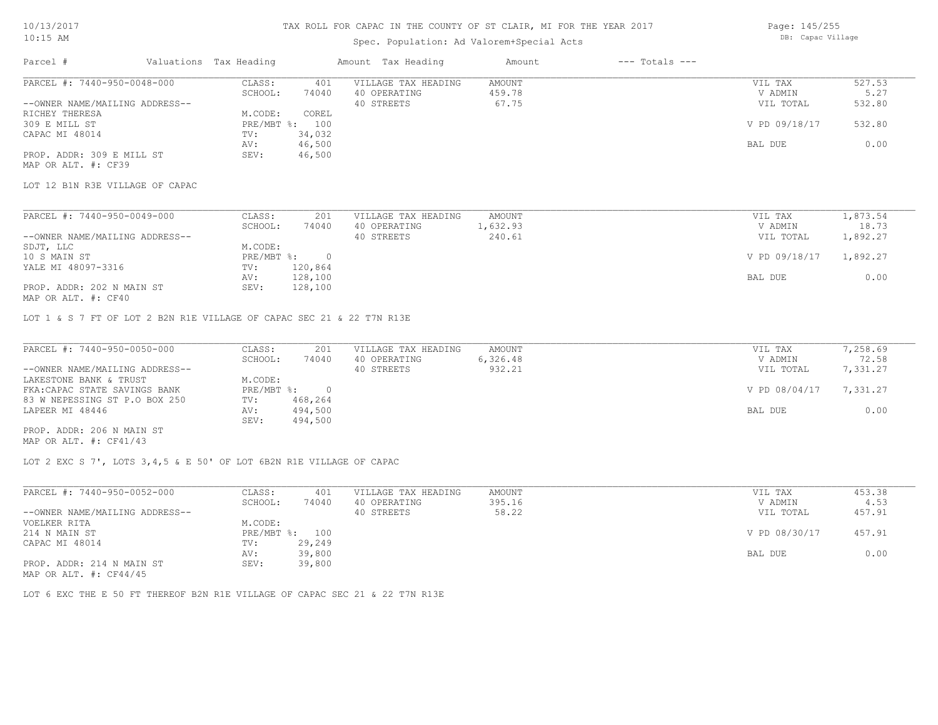### Spec. Population: Ad Valorem+Special Acts

| Page: 145/255     |
|-------------------|
| DB: Capac Village |

| Parcel #                       | Valuations Tax Heading |                | Amount Tax Heading  | Amount | $---$ Totals $---$ |               |        |
|--------------------------------|------------------------|----------------|---------------------|--------|--------------------|---------------|--------|
| PARCEL #: 7440-950-0048-000    | CLASS:                 | 401            | VILLAGE TAX HEADING | AMOUNT |                    | VIL TAX       | 527.53 |
|                                | SCHOOL:                | 74040          | 40 OPERATING        | 459.78 |                    | V ADMIN       | 5.27   |
| --OWNER NAME/MAILING ADDRESS-- |                        |                | 40 STREETS          | 67.75  |                    | VIL TOTAL     | 532.80 |
| RICHEY THERESA                 | M.CODE:                | COREL          |                     |        |                    |               |        |
| 309 E MILL ST                  |                        | PRE/MBT %: 100 |                     |        |                    | V PD 09/18/17 | 532.80 |
| CAPAC MI 48014                 | TV:                    | 34,032         |                     |        |                    |               |        |
|                                | AV:                    | 46,500         |                     |        |                    | BAL DUE       | 0.00   |
| PROP. ADDR: 309 E MILL ST      | SEV:                   | 46,500         |                     |        |                    |               |        |
| MAP OR ALT. #: CF39            |                        |                |                     |        |                    |               |        |

LOT 12 B1N R3E VILLAGE OF CAPAC

| PARCEL #: 7440-950-0049-000    | CLASS:     | 201     | VILLAGE TAX HEADING | AMOUNT   | VIL TAX       | 1,873.54 |
|--------------------------------|------------|---------|---------------------|----------|---------------|----------|
|                                | SCHOOL:    | 74040   | 40 OPERATING        | 1,632.93 | V ADMIN       | 18.73    |
| --OWNER NAME/MAILING ADDRESS-- |            |         | 40 STREETS          | 240.61   | VIL TOTAL     | 1,892.27 |
| SDJT, LLC                      | M.CODE:    |         |                     |          |               |          |
| 10 S MAIN ST                   | PRE/MBT %: |         |                     |          | V PD 09/18/17 | 1,892.27 |
| YALE MI 48097-3316             | TV:        | 120,864 |                     |          |               |          |
|                                | AV:        | 128,100 |                     |          | BAL DUE       | 0.00     |
| PROP. ADDR: 202 N MAIN ST      | SEV:       | 128,100 |                     |          |               |          |
|                                |            |         |                     |          |               |          |

MAP OR ALT. #: CF40

LOT 1 & S 7 FT OF LOT 2 B2N R1E VILLAGE OF CAPAC SEC 21 & 22 T7N R13E

| PARCEL #: 7440-950-0050-000    | CLASS:       | 201     | VILLAGE TAX HEADING | AMOUNT   | VIL TAX       | 7,258.69 |
|--------------------------------|--------------|---------|---------------------|----------|---------------|----------|
|                                | SCHOOL:      | 74040   | 40 OPERATING        | 6,326.48 | V ADMIN       | 72.58    |
| --OWNER NAME/MAILING ADDRESS-- |              |         | 40 STREETS          | 932.21   | VIL TOTAL     | 7,331.27 |
| LAKESTONE BANK & TRUST         | M.CODE:      |         |                     |          |               |          |
| FKA: CAPAC STATE SAVINGS BANK  | $PRE/MBT$ %: |         |                     |          | V PD 08/04/17 | 7,331.27 |
| 83 W NEPESSING ST P.O BOX 250  | TV:          | 468,264 |                     |          |               |          |
| LAPEER MI 48446                | AV:          | 494,500 |                     |          | BAL DUE       | 0.00     |
|                                | SEV:         | 494,500 |                     |          |               |          |
| PROP. ADDR: 206 N MAIN ST      |              |         |                     |          |               |          |

MAP OR ALT. #: CF41/43

LOT 2 EXC S 7', LOTS 3,4,5 & E 50' OF LOT 6B2N R1E VILLAGE OF CAPAC

| PARCEL #: 7440-950-0052-000    | CLASS:  | 401            | VILLAGE TAX HEADING | AMOUNT | VIL TAX       | 453.38 |
|--------------------------------|---------|----------------|---------------------|--------|---------------|--------|
|                                | SCHOOL: | 74040          | 40 OPERATING        | 395.16 | V ADMIN       | 4.53   |
| --OWNER NAME/MAILING ADDRESS-- |         |                | 40 STREETS          | 58.22  | VIL TOTAL     | 457.91 |
| VOELKER RITA                   | M.CODE: |                |                     |        |               |        |
| 214 N MAIN ST                  |         | PRE/MBT %: 100 |                     |        | V PD 08/30/17 | 457.91 |
| CAPAC MI 48014                 | TV:     | 29,249         |                     |        |               |        |
|                                | AV:     | 39,800         |                     |        | BAL DUE       | 0.00   |
| PROP. ADDR: 214 N MAIN ST      | SEV:    | 39,800         |                     |        |               |        |
| MAP OR ALT. $\#$ : CF44/45     |         |                |                     |        |               |        |

LOT 6 EXC THE E 50 FT THEREOF B2N R1E VILLAGE OF CAPAC SEC 21 & 22 T7N R13E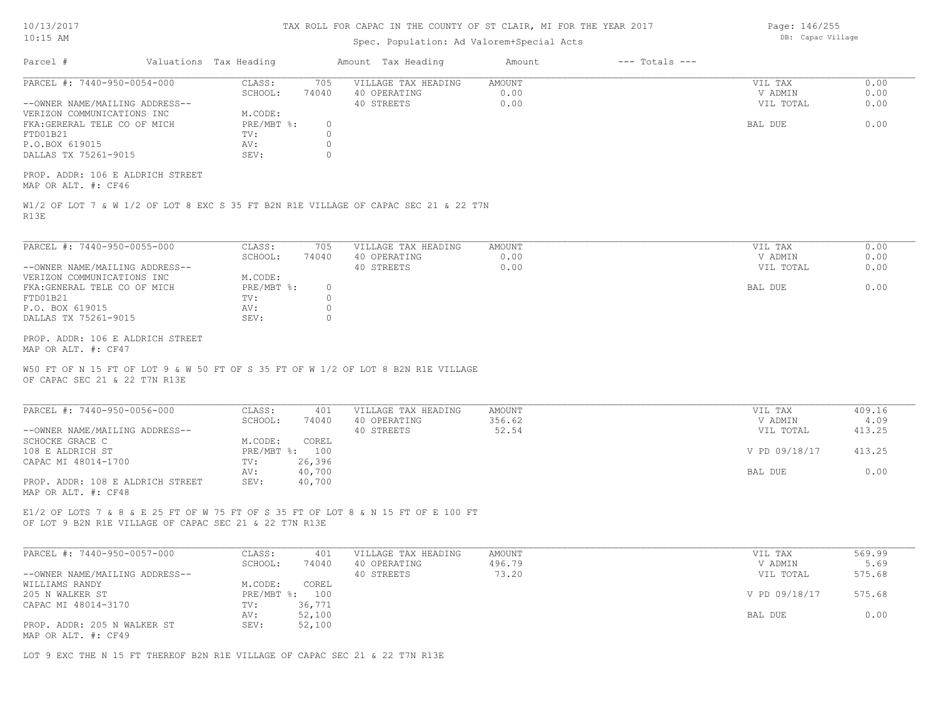| 0/13/2017 |  |
|-----------|--|
|           |  |

### Spec. Population: Ad Valorem+Special Acts

Parcel # Valuations Tax Heading Amount Tax Heading Amount --- Totals ---R13E W1/2 OF LOT 7 & W 1/2 OF LOT 8 EXC S 35 FT B2N R1E VILLAGE OF CAPAC SEC 21 & 22 T7N MAP OR ALT. #: CF46 PROP. ADDR: 106 E ALDRICH STREET DALLAS TX 75261-9015 SEV: 0 P.O.BOX 619015 AV: 0 FTD01B21 TV: 0 FKA:GERERAL TELE CO OF MICH PRE/MBT %: 0 BAL DUE 0.00 VERIZON COMMUNICATIONS INC M.CODE: --OWNER NAME/MAILING ADDRESS-- 40 STREETS 0.00 VIL TOTAL 0.00 SCHOOL: 74040 40 OPERATING 0.00 V ADMIN 0.00 PARCEL #: 7440-950-0054-000 CLASS: 705 VILLAGE TAX HEADING AMOUNT WIL TAX VIL TAX 0.00<br>CCHOOL: 74040 40 OPERATING 0.00 0.00 VADMIN 0.00  $\mathcal{L}_\mathcal{L} = \mathcal{L}_\mathcal{L} = \mathcal{L}_\mathcal{L} = \mathcal{L}_\mathcal{L} = \mathcal{L}_\mathcal{L} = \mathcal{L}_\mathcal{L} = \mathcal{L}_\mathcal{L} = \mathcal{L}_\mathcal{L} = \mathcal{L}_\mathcal{L} = \mathcal{L}_\mathcal{L} = \mathcal{L}_\mathcal{L} = \mathcal{L}_\mathcal{L} = \mathcal{L}_\mathcal{L} = \mathcal{L}_\mathcal{L} = \mathcal{L}_\mathcal{L} = \mathcal{L}_\mathcal{L} = \mathcal{L}_\mathcal{L}$ OF CAPAC SEC 21 & 22 T7N R13E W50 FT OF N 15 FT OF LOT 9 & W 50 FT OF S 35 FT OF W 1/2 OF LOT 8 B2N R1E VILLAGE MAP OR ALT. #: CF47 PROP. ADDR: 106 E ALDRICH STREET DALLAS TX 75261-9015 SEV: 0 P.O. BOX 619015 AV: 0 FTD01B21 TV: 0 FKA:GENERAL TELE CO OF MICH PRE/MBT %: 0<br>FTD01B21 BAL DUE 0.00 PRE/MBT %: 0 BAL DUE 0.00 VERIZON COMMUNICATIONS INC M.CODE: --OWNER NAME/MAILING ADDRESS-- 40 STREETS 0.00 VIL TOTAL 0.00 SCHOOL: 74040 40 OPERATING 0.00 V ADMIN 0.00 PARCEL #: 7440-950-0055-000 CLASS: 705 VILLAGE TAX HEADING AMOUNT AUGUST 20.00 VIL TAX 0.00<br>SCHOOL: 74040 40 OPERATING 0.00 000 VADMIN 0.00 OF LOT 9 B2N R1E VILLAGE OF CAPAC SEC 21 & 22 T7N R13E E1/2 OF LOTS 7 & 8 & E 25 FT OF W 75 FT OF S 35 FT OF LOT 8 & N 15 FT OF E 100 FT MAP OR ALT. #: CF48 PROP. ADDR: 108 E ALDRICH STREET SEV: 40,700 AV: 40,700 AV: 40,700 AV: 40,700 AV: 40,700 BAL DUE D.00 CAPAC MI 48014-1700 TV: 26,396 108 E ALDRICH ST PRE/MBT %: 100 V PD 09/18/17 413.25 SCHOCKE GRACE C<br>
M.CODE: COREL --OWNER NAME/MAILING ADDRESS-- 40 STREETS 52.54 VIL TOTAL 413.25 SCHOOL: 74040 40 OPERATING 356.62 V ADMIN 4.09 PARCEL #: 7440-950-0056-000 CLASS: 401 VILLAGE TAX HEADING AMOUNT VIL TAX VIL TAX 409.16<br>SCHOOL: 74040 40 OPERATING 356.62 VADMIN 4.09  $\mathcal{L}_\mathcal{L} = \mathcal{L}_\mathcal{L} = \mathcal{L}_\mathcal{L} = \mathcal{L}_\mathcal{L} = \mathcal{L}_\mathcal{L} = \mathcal{L}_\mathcal{L} = \mathcal{L}_\mathcal{L} = \mathcal{L}_\mathcal{L} = \mathcal{L}_\mathcal{L} = \mathcal{L}_\mathcal{L} = \mathcal{L}_\mathcal{L} = \mathcal{L}_\mathcal{L} = \mathcal{L}_\mathcal{L} = \mathcal{L}_\mathcal{L} = \mathcal{L}_\mathcal{L} = \mathcal{L}_\mathcal{L} = \mathcal{L}_\mathcal{L}$ MAP OR ALT. #: CF49 PROP. ADDR: 205 N WALKER ST SEV: 52,100 AV: 52,100 BAL DUE 0.00 CAPAC MI 48014-3170 TV: 36,771<br>
AV: 52,100 205 N WALKER ST PRE/MBT %: 100 V PD 09/18/17 575.68 WILLIAMS RANDY **M.CODE:** COREL 205 N WALKER ST --OWNER NAME/MAILING ADDRESS-- 40 STREETS 73.20 VIL TOTAL 575.68 SCHOOL: 74040 40 OPERATING 496.79 V ADMIN 5.69 PARCEL #: 7440-950-0057-000 CLASS: 401 VILLAGE TAX HEADING AMOUNT AMOUNT VIL TAX 569.99<br>5.69 SCHOOL: 74040 40 OPERATING 496.79 9 VADMIN 5.69  $\mathcal{L}_\mathcal{L} = \mathcal{L}_\mathcal{L} = \mathcal{L}_\mathcal{L} = \mathcal{L}_\mathcal{L} = \mathcal{L}_\mathcal{L} = \mathcal{L}_\mathcal{L} = \mathcal{L}_\mathcal{L} = \mathcal{L}_\mathcal{L} = \mathcal{L}_\mathcal{L} = \mathcal{L}_\mathcal{L} = \mathcal{L}_\mathcal{L} = \mathcal{L}_\mathcal{L} = \mathcal{L}_\mathcal{L} = \mathcal{L}_\mathcal{L} = \mathcal{L}_\mathcal{L} = \mathcal{L}_\mathcal{L} = \mathcal{L}_\mathcal{L}$ 

LOT 9 EXC THE N 15 FT THEREOF B2N R1E VILLAGE OF CAPAC SEC 21 & 22 T7N R13E

Page: 146/255 DB: Capac Village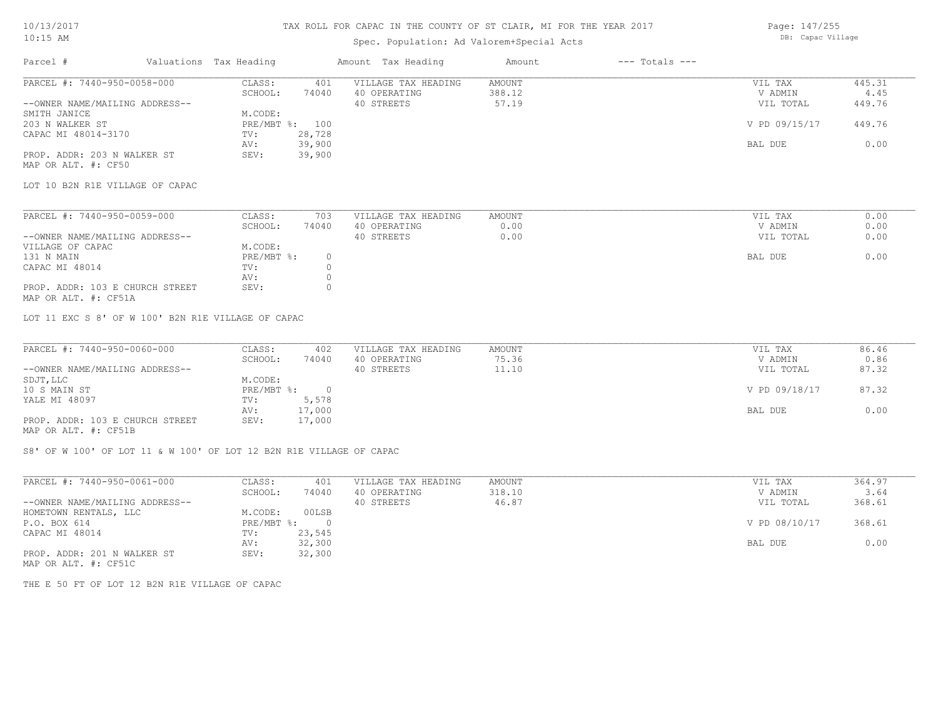### 10/13/2017 10:15 AM

#### TAX ROLL FOR CAPAC IN THE COUNTY OF ST CLAIR, MI FOR THE YEAR 2017

# Spec. Population: Ad Valorem+Special Acts

| Parcel #                       | Valuations Tax Heading |        | Amount Tax Heading  | Amount | $---$ Totals $---$ |               |        |
|--------------------------------|------------------------|--------|---------------------|--------|--------------------|---------------|--------|
| PARCEL #: 7440-950-0058-000    | CLASS:                 | 401    | VILLAGE TAX HEADING | AMOUNT |                    | VIL TAX       | 445.31 |
|                                | SCHOOL:                | 74040  | 40 OPERATING        | 388.12 |                    | V ADMIN       | 4.45   |
| --OWNER NAME/MAILING ADDRESS-- |                        |        | 40 STREETS          | 57.19  |                    | VIL TOTAL     | 449.76 |
| SMITH JANICE                   | M.CODE:                |        |                     |        |                    |               |        |
| 203 N WALKER ST                | PRE/MBT %: 100         |        |                     |        |                    | V PD 09/15/17 | 449.76 |
| CAPAC MI 48014-3170            | TV:                    | 28,728 |                     |        |                    |               |        |
|                                | AV:                    | 39,900 |                     |        |                    | BAL DUE       | 0.00   |
|                                |                        |        |                     |        |                    |               |        |

MAP OR ALT. #: CF50 PROP. ADDR: 203 N WALKER ST SEV: 39,900

LOT 10 B2N R1E VILLAGE OF CAPAC

| PARCEL #: 7440-950-0059-000     | CLASS:     | 703   | VILLAGE TAX HEADING | AMOUNT | VIL TAX   | 0.00 |
|---------------------------------|------------|-------|---------------------|--------|-----------|------|
|                                 | SCHOOL:    | 74040 | 40 OPERATING        | 0.00   | V ADMIN   | 0.00 |
| --OWNER NAME/MAILING ADDRESS--  |            |       | 40 STREETS          | 0.00   | VIL TOTAL | 0.00 |
| VILLAGE OF CAPAC                | M.CODE:    |       |                     |        |           |      |
| 131 N MAIN                      | PRE/MBT %: |       |                     |        | BAL DUE   | 0.00 |
| CAPAC MI 48014                  | TV:        |       |                     |        |           |      |
|                                 | AV:        |       |                     |        |           |      |
| PROP. ADDR: 103 E CHURCH STREET | SEV:       |       |                     |        |           |      |
|                                 |            |       |                     |        |           |      |

MAP OR ALT. #: CF51A

LOT 11 EXC S 8' OF W 100' B2N R1E VILLAGE OF CAPAC

| PARCEL #: 7440-950-0060-000     | CLASS:     | 402    | VILLAGE TAX HEADING | AMOUNT | VIL TAX       | 86.46 |
|---------------------------------|------------|--------|---------------------|--------|---------------|-------|
|                                 | SCHOOL:    | 74040  | 40 OPERATING        | 75.36  | V ADMIN       | 0.86  |
| --OWNER NAME/MAILING ADDRESS--  |            |        | 40 STREETS          | 11.10  | VIL TOTAL     | 87.32 |
| SDJT, LLC                       | M.CODE:    |        |                     |        |               |       |
| 10 S MAIN ST                    | PRE/MBT %: |        |                     |        | V PD 09/18/17 | 87.32 |
| YALE MI 48097                   | TV:        | 5,578  |                     |        |               |       |
|                                 | AV:        | 17,000 |                     |        | BAL DUE       | 0.00  |
| PROP. ADDR: 103 E CHURCH STREET | SEV:       | 17,000 |                     |        |               |       |
| MAP OR ALT. #: CF51B            |            |        |                     |        |               |       |

S8' OF W 100' OF LOT 11 & W 100' OF LOT 12 B2N R1E VILLAGE OF CAPAC

| PARCEL #: 7440-950-0061-000                                                 | CLASS:     | 401      | VILLAGE TAX HEADING | AMOUNT | VIL TAX       | 364.97 |
|-----------------------------------------------------------------------------|------------|----------|---------------------|--------|---------------|--------|
|                                                                             | SCHOOL:    | 74040    | 40 OPERATING        | 318.10 | V ADMIN       | 3.64   |
| --OWNER NAME/MAILING ADDRESS--                                              |            |          | 40 STREETS          | 46.87  | VIL TOTAL     | 368.61 |
| HOMETOWN RENTALS, LLC                                                       | M.CODE:    | 00LSB    |                     |        |               |        |
| P.O. BOX 614                                                                | PRE/MBT %: | $\Omega$ |                     |        | V PD 08/10/17 | 368.61 |
| CAPAC MI 48014                                                              | TV:        | 23,545   |                     |        |               |        |
|                                                                             | AV:        | 32,300   |                     |        | BAL DUE       | 0.00   |
| PROP. ADDR: 201 N WALKER ST<br>$\cdots$ $\cdots$ $\cdots$ $\cdots$ $\cdots$ | SEV:       | 32,300   |                     |        |               |        |

MAP OR ALT. #: CF51C

THE E 50 FT OF LOT 12 B2N R1E VILLAGE OF CAPAC

Page: 147/255 DB: Capac Village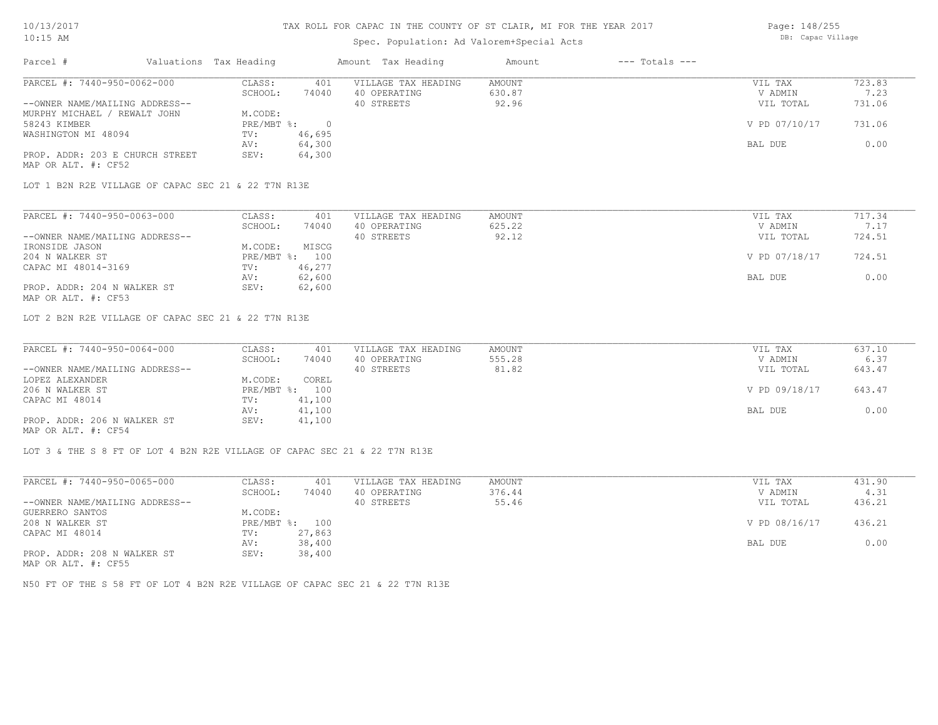### Spec. Population: Ad Valorem+Special Acts

| Page: 148/255     |
|-------------------|
| DB: Capac Village |

| Parcel #                        | Valuations Tax Heading |        | Amount Tax Heading  | Amount | $---$ Totals $---$ |               |        |
|---------------------------------|------------------------|--------|---------------------|--------|--------------------|---------------|--------|
| PARCEL #: 7440-950-0062-000     | CLASS:                 | 401    | VILLAGE TAX HEADING | AMOUNT |                    | VIL TAX       | 723.83 |
|                                 | SCHOOL:                | 74040  | 40 OPERATING        | 630.87 |                    | V ADMIN       | 7.23   |
| --OWNER NAME/MAILING ADDRESS--  |                        |        | 40 STREETS          | 92.96  |                    | VIL TOTAL     | 731.06 |
| MURPHY MICHAEL / REWALT JOHN    | M.CODE:                |        |                     |        |                    |               |        |
| 58243 KIMBER                    | $PRE/MBT$ %:           |        |                     |        |                    | V PD 07/10/17 | 731.06 |
| WASHINGTON MI 48094             | TV:                    | 46,695 |                     |        |                    |               |        |
|                                 | AV:                    | 64,300 |                     |        |                    | BAL DUE       | 0.00   |
| PROP. ADDR: 203 E CHURCH STREET | SEV:                   | 64,300 |                     |        |                    |               |        |
| MAP OR ALT. #: CF52             |                        |        |                     |        |                    |               |        |

LOT 1 B2N R2E VILLAGE OF CAPAC SEC 21 & 22 T7N R13E

| PARCEL #: 7440-950-0063-000    | CLASS:  | 401            | VILLAGE TAX HEADING | AMOUNT | VIL TAX       | 717.34 |
|--------------------------------|---------|----------------|---------------------|--------|---------------|--------|
|                                | SCHOOL: | 74040          | 40 OPERATING        | 625.22 | V ADMIN       |        |
| --OWNER NAME/MAILING ADDRESS-- |         |                | 40 STREETS          | 92.12  | VIL TOTAL     | 724.51 |
| IRONSIDE JASON                 | M.CODE: | MISCG          |                     |        |               |        |
| 204 N WALKER ST                |         | PRE/MBT %: 100 |                     |        | V PD 07/18/17 | 724.51 |
| CAPAC MI 48014-3169            | TV:     | 46,277         |                     |        |               |        |
|                                | AV:     | 62,600         |                     |        | BAL DUE       | 0.00   |
| PROP. ADDR: 204 N WALKER ST    | SEV:    | 62,600         |                     |        |               |        |
| MAP OR ALT. #: CF53            |         |                |                     |        |               |        |

LOT 2 B2N R2E VILLAGE OF CAPAC SEC 21 & 22 T7N R13E

| PARCEL #: 7440-950-0064-000    | CLASS:  | 401            | VILLAGE TAX HEADING | AMOUNT | VIL TAX       | 637.10 |
|--------------------------------|---------|----------------|---------------------|--------|---------------|--------|
|                                | SCHOOL: | 74040          | 40 OPERATING        | 555.28 | V ADMIN       | 6.37   |
| --OWNER NAME/MAILING ADDRESS-- |         |                | 40 STREETS          | 81.82  | VIL TOTAL     | 643.47 |
| LOPEZ ALEXANDER                | M.CODE: | COREL          |                     |        |               |        |
| 206 N WALKER ST                |         | PRE/MBT %: 100 |                     |        | V PD 09/18/17 | 643.47 |
| CAPAC MI 48014                 | TV:     | 41,100         |                     |        |               |        |
|                                | AV:     | 41,100         |                     |        | BAL DUE       | 0.00   |
| PROP. ADDR: 206 N WALKER ST    | SEV:    | 41,100         |                     |        |               |        |
|                                |         |                |                     |        |               |        |

MAP OR ALT. #: CF54

LOT 3 & THE S 8 FT OF LOT 4 B2N R2E VILLAGE OF CAPAC SEC 21 & 22 T7N R13E

| PARCEL #: 7440-950-0065-000    | CLASS:       | 401    | VILLAGE TAX HEADING | AMOUNT | VIL TAX       | 431.90 |
|--------------------------------|--------------|--------|---------------------|--------|---------------|--------|
|                                | SCHOOL:      | 74040  | 40 OPERATING        | 376.44 | V ADMIN       | 4.31   |
| --OWNER NAME/MAILING ADDRESS-- |              |        | 40 STREETS          | 55.46  | VIL TOTAL     | 436.21 |
| GUERRERO SANTOS                | M.CODE:      |        |                     |        |               |        |
| 208 N WALKER ST                | $PRE/MBT$ %: | 100    |                     |        | V PD 08/16/17 | 436.21 |
| CAPAC MI 48014                 | TV:          | 27,863 |                     |        |               |        |
|                                | AV:          | 38,400 |                     |        | BAL DUE       | 0.00   |
| PROP. ADDR: 208 N WALKER ST    | SEV:         | 38,400 |                     |        |               |        |
| $\frac{1}{2}$                  |              |        |                     |        |               |        |

MAP OR ALT. #: CF55

N50 FT OF THE S 58 FT OF LOT 4 B2N R2E VILLAGE OF CAPAC SEC 21 & 22 T7N R13E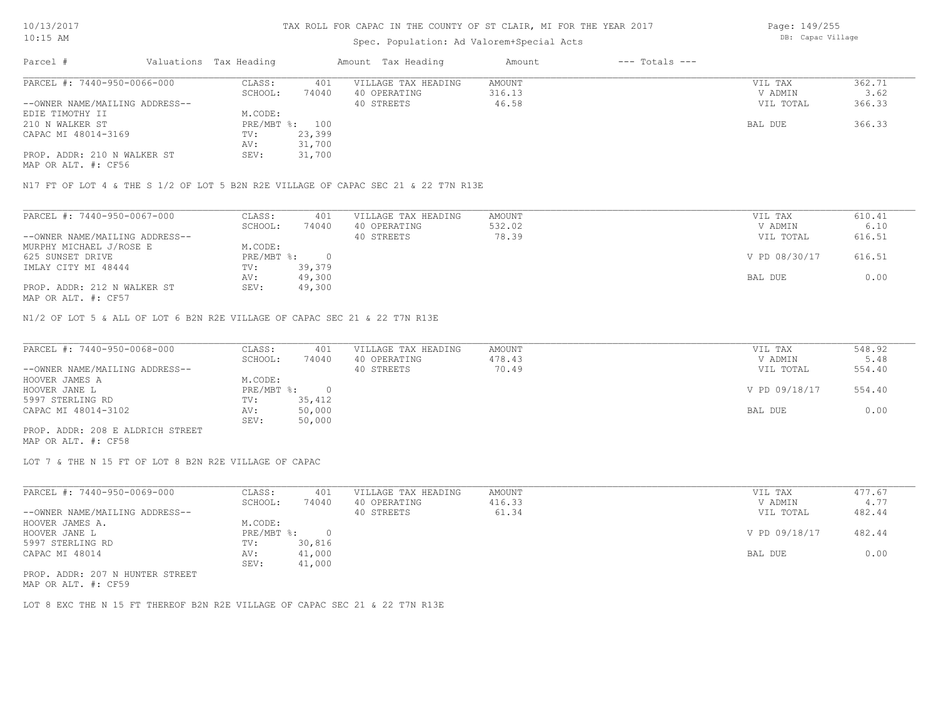## Spec. Population: Ad Valorem+Special Acts

Page: 149/255 DB: Capac Village

| Parcel #                       | Valuations Tax Heading |        | Amount Tax Heading  | Amount | $---$ Totals $---$ |           |        |
|--------------------------------|------------------------|--------|---------------------|--------|--------------------|-----------|--------|
| PARCEL #: 7440-950-0066-000    | CLASS:                 | 401    | VILLAGE TAX HEADING | AMOUNT |                    | VIL TAX   | 362.71 |
|                                | SCHOOL:                | 74040  | 40 OPERATING        | 316.13 |                    | V ADMIN   | 3.62   |
| --OWNER NAME/MAILING ADDRESS-- |                        |        | 40 STREETS          | 46.58  |                    | VIL TOTAL | 366.33 |
| EDIE TIMOTHY II                | M.CODE:                |        |                     |        |                    |           |        |
| 210 N WALKER ST                | PRE/MBT %: 100         |        |                     |        |                    | BAL DUE   | 366.33 |
| CAPAC MI 48014-3169            | TV:                    | 23,399 |                     |        |                    |           |        |
|                                | AV:                    | 31,700 |                     |        |                    |           |        |
| PROP. ADDR: 210 N WALKER ST    | SEV:                   | 31,700 |                     |        |                    |           |        |
|                                |                        |        |                     |        |                    |           |        |

MAP OR ALT. #: CF56

N17 FT OF LOT 4 & THE S 1/2 OF LOT 5 B2N R2E VILLAGE OF CAPAC SEC 21 & 22 T7N R13E

| PARCEL #: 7440-950-0067-000    | CLASS:     | 401    | VILLAGE TAX HEADING | AMOUNT | VIL TAX       | 610.41 |
|--------------------------------|------------|--------|---------------------|--------|---------------|--------|
|                                | SCHOOL:    | 74040  | 40 OPERATING        | 532.02 | V ADMIN       | 6.10   |
| --OWNER NAME/MAILING ADDRESS-- |            |        | 40 STREETS          | 78.39  | VIL TOTAL     | 616.51 |
| MURPHY MICHAEL J/ROSE E        | M.CODE:    |        |                     |        |               |        |
| 625 SUNSET DRIVE               | PRE/MBT %: |        |                     |        | V PD 08/30/17 | 616.51 |
| IMLAY CITY MI 48444            | TV:        | 39,379 |                     |        |               |        |
|                                | AV:        | 49,300 |                     |        | BAL DUE       | 0.00   |
| PROP. ADDR: 212 N WALKER ST    | SEV:       | 49,300 |                     |        |               |        |
| MAP OR ALT. #: CF57            |            |        |                     |        |               |        |

N1/2 OF LOT 5 & ALL OF LOT 6 B2N R2E VILLAGE OF CAPAC SEC 21 & 22 T7N R13E

| PARCEL #: 7440-950-0068-000      | CLASS:     | 401    | VILLAGE TAX HEADING | AMOUNT | VIL TAX       | 548.92 |
|----------------------------------|------------|--------|---------------------|--------|---------------|--------|
|                                  | SCHOOL:    | 74040  | 40 OPERATING        | 478.43 | V ADMIN       | 5.48   |
| --OWNER NAME/MAILING ADDRESS--   |            |        | 40 STREETS          | 70.49  | VIL TOTAL     | 554.40 |
| HOOVER JAMES A                   | M.CODE:    |        |                     |        |               |        |
| HOOVER JANE L                    | PRE/MBT %: |        |                     |        | V PD 09/18/17 | 554.40 |
| 5997 STERLING RD                 | TV:        | 35,412 |                     |        |               |        |
| CAPAC MI 48014-3102              | AV:        | 50,000 |                     |        | BAL DUE       | 0.00   |
|                                  | SEV:       | 50,000 |                     |        |               |        |
| PROP. ADDR: 208 E ALDRICH STREET |            |        |                     |        |               |        |

MAP OR ALT. #: CF58

LOT 7 & THE N 15 FT OF LOT 8 B2N R2E VILLAGE OF CAPAC

| PARCEL #: 7440-950-0069-000     | CLASS:     | 401    | VILLAGE TAX HEADING | AMOUNT | VIL TAX       | 477.67 |
|---------------------------------|------------|--------|---------------------|--------|---------------|--------|
|                                 | SCHOOL:    | 74040  | 40 OPERATING        | 416.33 | V ADMIN       | 4.77   |
| --OWNER NAME/MAILING ADDRESS--  |            |        | 40 STREETS          | 61.34  | VIL TOTAL     | 482.44 |
| HOOVER JAMES A.                 | M.CODE:    |        |                     |        |               |        |
| HOOVER JANE L                   | PRE/MBT %: |        |                     |        | V PD 09/18/17 | 482.44 |
| 5997 STERLING RD                | TV:        | 30,816 |                     |        |               |        |
| CAPAC MI 48014                  | AV:        | 41,000 |                     |        | BAL DUE       | 0.00   |
|                                 | SEV:       | 41,000 |                     |        |               |        |
| PROP. ADDR: 207 N HUNTER STREET |            |        |                     |        |               |        |

MAP OR ALT. #: CF59

LOT 8 EXC THE N 15 FT THEREOF B2N R2E VILLAGE OF CAPAC SEC 21 & 22 T7N R13E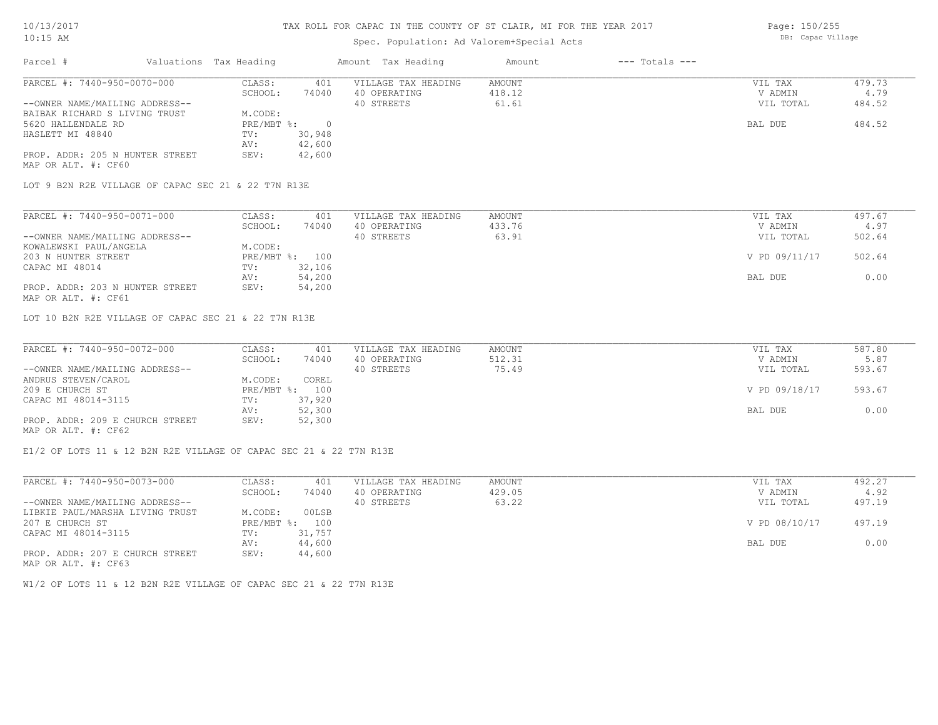## Spec. Population: Ad Valorem+Special Acts

Page: 150/255 DB: Capac Village

| Parcel #                        | Valuations Tax Heading |        | Amount Tax Heading  | Amount | $---$ Totals $---$ |           |        |
|---------------------------------|------------------------|--------|---------------------|--------|--------------------|-----------|--------|
| PARCEL #: 7440-950-0070-000     | CLASS:                 | 401    | VILLAGE TAX HEADING | AMOUNT |                    | VIL TAX   | 479.73 |
|                                 | SCHOOL:                | 74040  | 40 OPERATING        | 418.12 |                    | V ADMIN   | 4.79   |
| --OWNER NAME/MAILING ADDRESS--  |                        |        | 40 STREETS          | 61.61  |                    | VIL TOTAL | 484.52 |
| BAIBAK RICHARD S LIVING TRUST   | M.CODE:                |        |                     |        |                    |           |        |
| 5620 HALLENDALE RD              | $PRE/MBT$ %:           |        |                     |        |                    | BAL DUE   | 484.52 |
| HASLETT MI 48840                | TV:                    | 30,948 |                     |        |                    |           |        |
|                                 | AV:                    | 42,600 |                     |        |                    |           |        |
| PROP. ADDR: 205 N HUNTER STREET | SEV:                   | 42,600 |                     |        |                    |           |        |
| MAP OR ALT. #: CF60             |                        |        |                     |        |                    |           |        |

LOT 9 B2N R2E VILLAGE OF CAPAC SEC 21 & 22 T7N R13E

| PARCEL #: 7440-950-0071-000     | CLASS:  | 401            | VILLAGE TAX HEADING | AMOUNT | VIL TAX       | 497.67 |
|---------------------------------|---------|----------------|---------------------|--------|---------------|--------|
|                                 | SCHOOL: | 74040          | 40 OPERATING        | 433.76 | V ADMIN       | 4.97   |
| --OWNER NAME/MAILING ADDRESS--  |         |                | 40 STREETS          | 63.91  | VIL TOTAL     | 502.64 |
| KOWALEWSKI PAUL/ANGELA          | M.CODE: |                |                     |        |               |        |
| 203 N HUNTER STREET             |         | PRE/MBT %: 100 |                     |        | V PD 09/11/17 | 502.64 |
| CAPAC MI 48014                  | TV:     | 32,106         |                     |        |               |        |
|                                 | AV:     | 54,200         |                     |        | BAL DUE       | 0.00   |
| PROP. ADDR: 203 N HUNTER STREET | SEV:    | 54,200         |                     |        |               |        |
| MAP OR ALT. #: CF61             |         |                |                     |        |               |        |

LOT 10 B2N R2E VILLAGE OF CAPAC SEC 21 & 22 T7N R13E

| PARCEL #: 7440-950-0072-000     | CLASS:  | 401            | VILLAGE TAX HEADING | AMOUNT | VIL TAX       | 587.80 |
|---------------------------------|---------|----------------|---------------------|--------|---------------|--------|
|                                 | SCHOOL: | 74040          | 40 OPERATING        | 512.31 | V ADMIN       | 5.87   |
| --OWNER NAME/MAILING ADDRESS--  |         |                | 40 STREETS          | 75.49  | VIL TOTAL     | 593.67 |
| ANDRUS STEVEN/CAROL             | M.CODE: | COREL          |                     |        |               |        |
| 209 E CHURCH ST                 |         | PRE/MBT %: 100 |                     |        | V PD 09/18/17 | 593.67 |
| CAPAC MI 48014-3115             | TV:     | 37,920         |                     |        |               |        |
|                                 | AV:     | 52,300         |                     |        | BAL DUE       | 0.00   |
| PROP. ADDR: 209 E CHURCH STREET | SEV:    | 52,300         |                     |        |               |        |
| MAP OR ALT. #: CF62             |         |                |                     |        |               |        |

E1/2 OF LOTS 11 & 12 B2N R2E VILLAGE OF CAPAC SEC 21 & 22 T7N R13E

| PARCEL #: 7440-950-0073-000     | CLASS:     | 401    | VILLAGE TAX HEADING | AMOUNT | VIL TAX       | 492.27 |
|---------------------------------|------------|--------|---------------------|--------|---------------|--------|
|                                 | SCHOOL:    | 74040  | 40 OPERATING        | 429.05 | V ADMIN       | 4.92   |
| --OWNER NAME/MAILING ADDRESS--  |            |        | 40 STREETS          | 63.22  | VIL TOTAL     | 497.19 |
| LIBKIE PAUL/MARSHA LIVING TRUST | M.CODE:    | 00LSB  |                     |        |               |        |
| 207 E CHURCH ST                 | PRE/MBT %: | 100    |                     |        | V PD 08/10/17 | 497.19 |
| CAPAC MI 48014-3115             | TV:        | 31,757 |                     |        |               |        |
|                                 | AV:        | 44,600 |                     |        | BAL DUE       | 0.00   |
| PROP. ADDR: 207 E CHURCH STREET | SEV:       | 44,600 |                     |        |               |        |
| MAP OR ALT. #: CF63             |            |        |                     |        |               |        |

W1/2 OF LOTS 11 & 12 B2N R2E VILLAGE OF CAPAC SEC 21 & 22 T7N R13E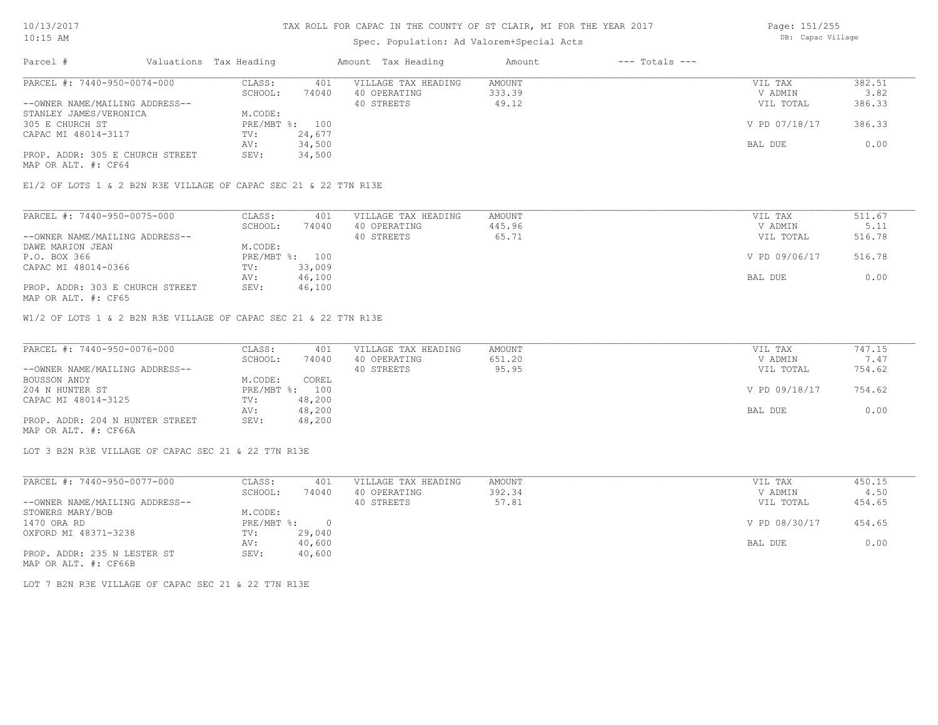## Spec. Population: Ad Valorem+Special Acts

Page: 151/255 DB: Capac Village

| Parcel #                        | Valuations Tax Heading |        | Amount Tax Heading  | Amount | $---$ Totals $---$ |               |        |
|---------------------------------|------------------------|--------|---------------------|--------|--------------------|---------------|--------|
| PARCEL #: 7440-950-0074-000     | CLASS:                 | 401    | VILLAGE TAX HEADING | AMOUNT |                    | VIL TAX       | 382.51 |
|                                 | SCHOOL:                | 74040  | 40 OPERATING        | 333.39 |                    | V ADMIN       | 3.82   |
| --OWNER NAME/MAILING ADDRESS--  |                        |        | 40 STREETS          | 49.12  |                    | VIL TOTAL     | 386.33 |
| STANLEY JAMES/VERONICA          | M.CODE:                |        |                     |        |                    |               |        |
| 305 E CHURCH ST                 | $PRE/MBT$ %:           | 100    |                     |        |                    | V PD 07/18/17 | 386.33 |
| CAPAC MI 48014-3117             | TV:                    | 24,677 |                     |        |                    |               |        |
|                                 | AV:                    | 34,500 |                     |        |                    | BAL DUE       | 0.00   |
| PROP. ADDR: 305 E CHURCH STREET | SEV:                   | 34,500 |                     |        |                    |               |        |
| MAP OR ALT. #: CF64             |                        |        |                     |        |                    |               |        |

E1/2 OF LOTS 1 & 2 B2N R3E VILLAGE OF CAPAC SEC 21 & 22 T7N R13E

| PARCEL #: 7440-950-0075-000     | CLASS:  | 401            | VILLAGE TAX HEADING | AMOUNT | VIL TAX       | 511.67 |
|---------------------------------|---------|----------------|---------------------|--------|---------------|--------|
|                                 | SCHOOL: | 74040          | 40 OPERATING        | 445.96 | V ADMIN       | 5.11   |
| --OWNER NAME/MAILING ADDRESS--  |         |                | 40 STREETS          | 65.71  | VIL TOTAL     | 516.78 |
| DAWE MARION JEAN                | M.CODE: |                |                     |        |               |        |
| P.O. BOX 366                    |         | PRE/MBT %: 100 |                     |        | V PD 09/06/17 | 516.78 |
| CAPAC MI 48014-0366             | TV:     | 33,009         |                     |        |               |        |
|                                 | AV:     | 46,100         |                     |        | BAL DUE       | 0.00   |
| PROP. ADDR: 303 E CHURCH STREET | SEV:    | 46,100         |                     |        |               |        |
| MAP OR ALT. #: CF65             |         |                |                     |        |               |        |

W1/2 OF LOTS 1 & 2 B2N R3E VILLAGE OF CAPAC SEC 21 & 22 T7N R13E

| PARCEL #: 7440-950-0076-000     | CLASS:  | 401            | VILLAGE TAX HEADING | AMOUNT | VIL TAX       | 747.15 |
|---------------------------------|---------|----------------|---------------------|--------|---------------|--------|
|                                 | SCHOOL: | 74040          | 40 OPERATING        | 651.20 | V ADMIN       | 7.47   |
| --OWNER NAME/MAILING ADDRESS--  |         |                | 40 STREETS          | 95.95  | VIL TOTAL     | 754.62 |
| BOUSSON ANDY                    | M.CODE: | COREL          |                     |        |               |        |
| 204 N HUNTER ST                 |         | PRE/MBT %: 100 |                     |        | V PD 09/18/17 | 754.62 |
| CAPAC MI 48014-3125             | TV:     | 48,200         |                     |        |               |        |
|                                 | AV:     | 48,200         |                     |        | BAL DUE       | 0.00   |
| PROP. ADDR: 204 N HUNTER STREET | SEV:    | 48,200         |                     |        |               |        |
| MAP OR ALT. #: CF66A            |         |                |                     |        |               |        |

LOT 3 B2N R3E VILLAGE OF CAPAC SEC 21 & 22 T7N R13E

| PARCEL #: 7440-950-0077-000    | CLASS:     | 401      | VILLAGE TAX HEADING | AMOUNT | VIL TAX       | 450.15 |
|--------------------------------|------------|----------|---------------------|--------|---------------|--------|
|                                | SCHOOL:    | 74040    | 40 OPERATING        | 392.34 | V ADMIN       | 4.50   |
| --OWNER NAME/MAILING ADDRESS-- |            |          | 40 STREETS          | 57.81  | VIL TOTAL     | 454.65 |
| STOWERS MARY/BOB               | M.CODE:    |          |                     |        |               |        |
| 1470 ORA RD                    | PRE/MBT %: | $\Omega$ |                     |        | V PD 08/30/17 | 454.65 |
| OXFORD MI 48371-3238           | TV:        | 29,040   |                     |        |               |        |
|                                | AV:        | 40,600   |                     |        | BAL DUE       | 0.00   |
| PROP. ADDR: 235 N LESTER ST    | SEV:       | 40,600   |                     |        |               |        |
| MAP OR ALT. #: CF66B           |            |          |                     |        |               |        |

LOT 7 B2N R3E VILLAGE OF CAPAC SEC 21 & 22 T7N R13E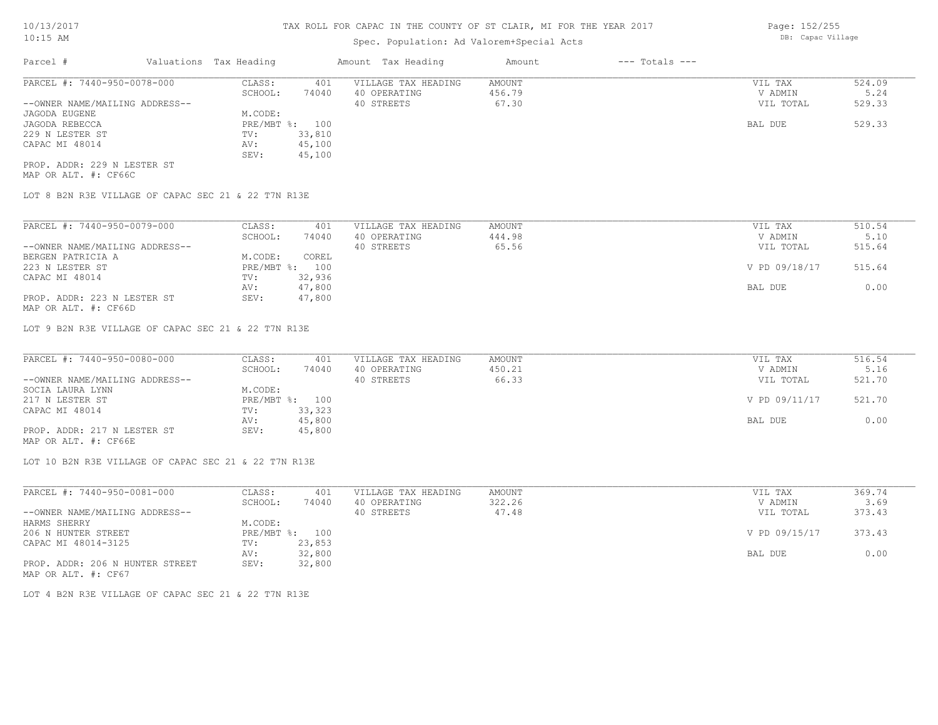## Spec. Population: Ad Valorem+Special Acts

| Parcel #                       | Valuations Tax Heading |        | Amount Tax Heading  | Amount | $---$ Totals $---$ |           |        |
|--------------------------------|------------------------|--------|---------------------|--------|--------------------|-----------|--------|
| PARCEL #: 7440-950-0078-000    | CLASS:                 | 401    | VILLAGE TAX HEADING | AMOUNT |                    | VIL TAX   | 524.09 |
|                                | SCHOOL:                | 74040  | 40 OPERATING        | 456.79 |                    | V ADMIN   | 5.24   |
| --OWNER NAME/MAILING ADDRESS-- |                        |        | 40 STREETS          | 67.30  |                    | VIL TOTAL | 529.33 |
| JAGODA EUGENE                  | M.CODE:                |        |                     |        |                    |           |        |
| JAGODA REBECCA                 | PRE/MBT %: 100         |        |                     |        |                    | BAL DUE   | 529.33 |
| 229 N LESTER ST                | TV:                    | 33,810 |                     |        |                    |           |        |
| CAPAC MI 48014                 | AV:                    | 45,100 |                     |        |                    |           |        |
|                                | SEV:                   | 45,100 |                     |        |                    |           |        |
| PROP. ADDR: 229 N LESTER ST    |                        |        |                     |        |                    |           |        |

MAP OR ALT. #: CF66C

LOT 8 B2N R3E VILLAGE OF CAPAC SEC 21 & 22 T7N R13E

| PARCEL #: 7440-950-0079-000    | CLASS:         | 401    | VILLAGE TAX HEADING | AMOUNT | VIL TAX       | 510.54 |
|--------------------------------|----------------|--------|---------------------|--------|---------------|--------|
|                                | SCHOOL:        | 74040  | 40 OPERATING        | 444.98 | V ADMIN       | 5.10   |
| --OWNER NAME/MAILING ADDRESS-- |                |        | 40 STREETS          | 65.56  | VIL TOTAL     | 515.64 |
| BERGEN PATRICIA A              | M.CODE:        | COREL  |                     |        |               |        |
| 223 N LESTER ST                | PRE/MBT %: 100 |        |                     |        | V PD 09/18/17 | 515.64 |
| CAPAC MI 48014                 | TV:            | 32,936 |                     |        |               |        |
|                                | AV:            | 47,800 |                     |        | BAL DUE       | 0.00   |
| PROP. ADDR: 223 N LESTER ST    | SEV:           | 47,800 |                     |        |               |        |

MAP OR ALT. #: CF66D

LOT 9 B2N R3E VILLAGE OF CAPAC SEC 21 & 22 T7N R13E

| PARCEL #: 7440-950-0080-000    | CLASS:  | 401            | VILLAGE TAX HEADING | AMOUNT | VIL TAX       | 516.54 |
|--------------------------------|---------|----------------|---------------------|--------|---------------|--------|
|                                | SCHOOL: | 74040          | 40 OPERATING        | 450.21 | V ADMIN       | 5.16   |
| --OWNER NAME/MAILING ADDRESS-- |         |                | 40 STREETS          | 66.33  | VIL TOTAL     | 521.70 |
| SOCIA LAURA LYNN               | M.CODE: |                |                     |        |               |        |
| 217 N LESTER ST                |         | PRE/MBT %: 100 |                     |        | V PD 09/11/17 | 521.70 |
| CAPAC MI 48014                 | TV:     | 33,323         |                     |        |               |        |
|                                | AV:     | 45,800         |                     |        | BAL DUE       | 0.00   |
| PROP. ADDR: 217 N LESTER ST    | SEV:    | 45,800         |                     |        |               |        |
|                                |         |                |                     |        |               |        |

MAP OR ALT. #: CF66E

LOT 10 B2N R3E VILLAGE OF CAPAC SEC 21 & 22 T7N R13E

| PARCEL #: 7440-950-0081-000     | CLASS:  | 401            | VILLAGE TAX HEADING | AMOUNT | VIL TAX       | 369.74 |
|---------------------------------|---------|----------------|---------------------|--------|---------------|--------|
|                                 | SCHOOL: | 74040          | 40 OPERATING        | 322.26 | V ADMIN       | 3.69   |
| --OWNER NAME/MAILING ADDRESS--  |         |                | 40 STREETS          | 47.48  | VIL TOTAL     | 373.43 |
| HARMS SHERRY                    | M.CODE: |                |                     |        |               |        |
| 206 N HUNTER STREET             |         | PRE/MBT %: 100 |                     |        | V PD 09/15/17 | 373.43 |
| CAPAC MI 48014-3125             | TV:     | 23,853         |                     |        |               |        |
|                                 | AV:     | 32,800         |                     |        | BAL DUE       | 0.00   |
| PROP. ADDR: 206 N HUNTER STREET | SEV:    | 32,800         |                     |        |               |        |
| MAP OR ALT. #: CF67             |         |                |                     |        |               |        |

LOT 4 B2N R3E VILLAGE OF CAPAC SEC 21 & 22 T7N R13E

Page: 152/255 DB: Capac Village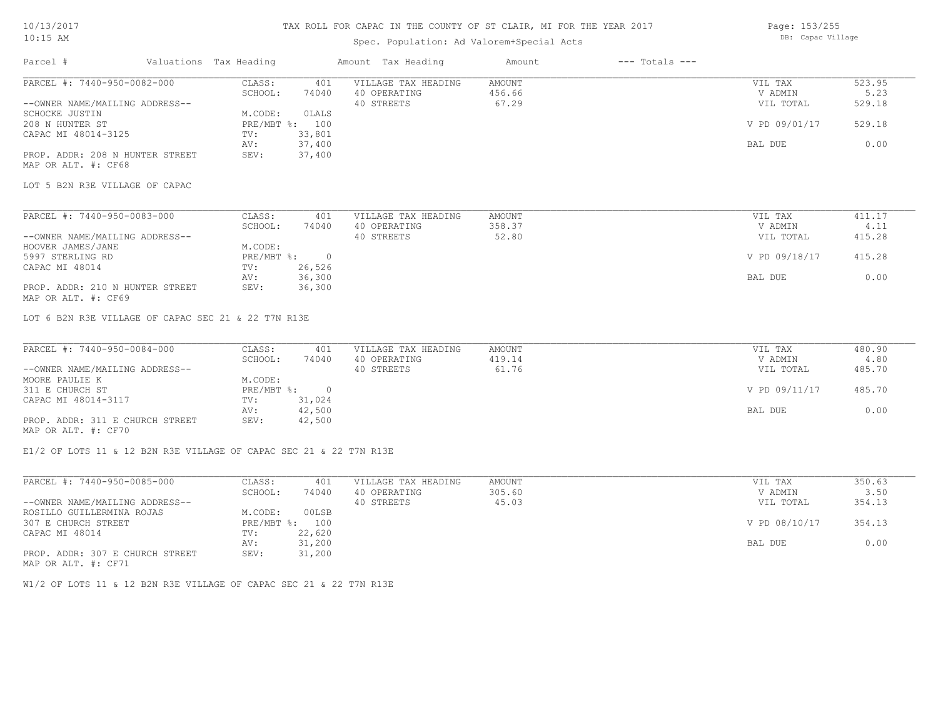# Spec. Population: Ad Valorem+Special Acts

Page: 153/255 DB: Capac Village

| Parcel #                                                           | Valuations Tax Heading | Amount Tax Heading         | Amount        | $---$ Totals $---$ |                |        |
|--------------------------------------------------------------------|------------------------|----------------------------|---------------|--------------------|----------------|--------|
| PARCEL #: 7440-950-0082-000                                        | CLASS:                 | VILLAGE TAX HEADING<br>401 | AMOUNT        |                    | VIL TAX        | 523.95 |
|                                                                    | SCHOOL:                | 40 OPERATING<br>74040      | 456.66        |                    | V ADMIN        | 5.23   |
| --OWNER NAME/MAILING ADDRESS--                                     |                        | 40 STREETS                 | 67.29         |                    | VIL TOTAL      | 529.18 |
| SCHOCKE JUSTIN                                                     | M.CODE:                | OLALS                      |               |                    |                |        |
| 208 N HUNTER ST                                                    | PRE/MBT %: 100         |                            |               |                    | V PD 09/01/17  | 529.18 |
| CAPAC MI 48014-3125                                                | TV:                    | 33,801                     |               |                    |                |        |
|                                                                    | AV:                    | 37,400                     |               |                    | BAL DUE        | 0.00   |
| PROP. ADDR: 208 N HUNTER STREET                                    | SEV:                   | 37,400                     |               |                    |                |        |
| MAP OR ALT. #: CF68                                                |                        |                            |               |                    |                |        |
| LOT 5 B2N R3E VILLAGE OF CAPAC                                     |                        |                            |               |                    |                |        |
|                                                                    |                        |                            |               |                    |                |        |
| PARCEL #: 7440-950-0083-000                                        | CLASS:                 | 401<br>VILLAGE TAX HEADING | AMOUNT        |                    | VIL TAX        | 411.17 |
|                                                                    | SCHOOL:                | 74040<br>40 OPERATING      | 358.37        |                    | V ADMIN        | 4.11   |
| --OWNER NAME/MAILING ADDRESS--                                     |                        | 40 STREETS                 | 52.80         |                    | VIL TOTAL      | 415.28 |
| HOOVER JAMES/JANE                                                  | M.CODE:                |                            |               |                    |                |        |
| 5997 STERLING RD                                                   | PRE/MBT %: 0           |                            |               |                    | V PD 09/18/17  | 415.28 |
| CAPAC MI 48014                                                     | TV:                    | 26,526                     |               |                    |                |        |
|                                                                    | AV:                    | 36,300                     |               |                    | BAL DUE        | 0.00   |
| PROP. ADDR: 210 N HUNTER STREET                                    | SEV:                   | 36,300                     |               |                    |                |        |
| MAP OR ALT. #: CF69                                                |                        |                            |               |                    |                |        |
| LOT 6 B2N R3E VILLAGE OF CAPAC SEC 21 & 22 T7N R13E                |                        |                            |               |                    |                |        |
|                                                                    |                        |                            |               |                    |                |        |
| PARCEL #: 7440-950-0084-000                                        | CLASS:                 | VILLAGE TAX HEADING<br>401 | <b>AMOUNT</b> |                    | VIL TAX        | 480.90 |
|                                                                    | SCHOOL:                | 74040<br>40 OPERATING      | 419.14        |                    | V ADMIN        | 4.80   |
| --OWNER NAME/MAILING ADDRESS--                                     |                        | 40 STREETS                 | 61.76         |                    | VIL TOTAL      | 485.70 |
| MOORE PAULIE K                                                     | M.CODE:                |                            |               |                    |                |        |
| 311 E CHURCH ST                                                    | PRE/MBT %: 0           |                            |               |                    | V PD 09/11/17  | 485.70 |
| CAPAC MI 48014-3117                                                | TV:                    | 31,024                     |               |                    |                |        |
|                                                                    | AV:                    | 42,500                     |               |                    | BAL DUE        | 0.00   |
| PROP. ADDR: 311 E CHURCH STREET                                    | SEV:                   | 42,500                     |               |                    |                |        |
| MAP OR ALT. #: CF70                                                |                        |                            |               |                    |                |        |
| E1/2 OF LOTS 11 & 12 B2N R3E VILLAGE OF CAPAC SEC 21 & 22 T7N R13E |                        |                            |               |                    |                |        |
| PARCEL #: 7440-950-0085-000                                        | CLASS:                 | VILLAGE TAX HEADING<br>401 | AMOUNT        |                    | VIL TAX        | 350.63 |
|                                                                    | $CCHOOT$ .             | 74040 40 OPPRTTNC          | 30560         |                    | <b>V ADMIN</b> | 350    |

|                                 | SCHOOL:                   | 74040  | 40 OPERATING | 305.60 | V ADMIN       | 3.50   |
|---------------------------------|---------------------------|--------|--------------|--------|---------------|--------|
| --OWNER NAME/MAILING ADDRESS--  |                           |        | 40 STREETS   | 45.03  | VIL TOTAL     | 354.13 |
| ROSILLO GUILLERMINA ROJAS       | M.CODE:                   | 00LSB  |              |        |               |        |
| 307 E CHURCH STREET             | $PRE/MBT$ $\frac{1}{6}$ : | 100    |              |        | V PD 08/10/17 | 354.13 |
| CAPAC MI 48014                  | TV:                       | 22,620 |              |        |               |        |
|                                 | AV:                       | 31,200 |              |        | BAL DUE       | 0.00   |
| PROP. ADDR: 307 E CHURCH STREET | SEV:                      | 31,200 |              |        |               |        |

MAP OR ALT. #: CF71

W1/2 OF LOTS 11 & 12 B2N R3E VILLAGE OF CAPAC SEC 21 & 22 T7N R13E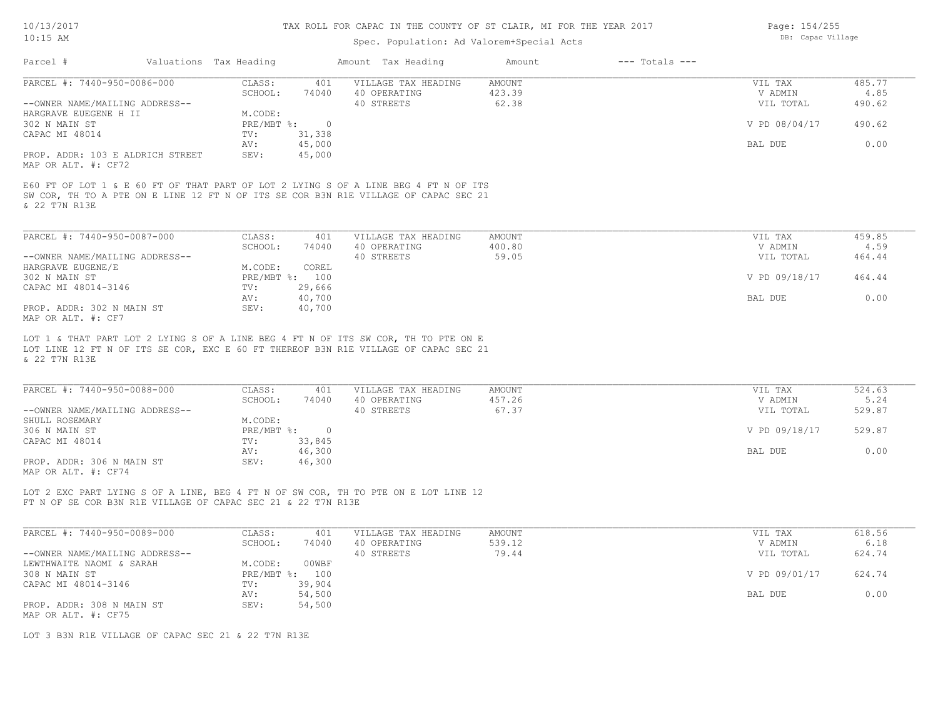# Spec. Population: Ad Valorem+Special Acts

Page: 154/255 DB: Capac Village

| Parcel #                                                     | Valuations Tax Heading |                         | Amount Tax Heading                                                                                                                                                         | Amount           | $---$ Totals $---$ |                    |                |
|--------------------------------------------------------------|------------------------|-------------------------|----------------------------------------------------------------------------------------------------------------------------------------------------------------------------|------------------|--------------------|--------------------|----------------|
| PARCEL #: 7440-950-0086-000                                  | CLASS:<br>SCHOOL:      | 401<br>74040            | VILLAGE TAX HEADING<br>40 OPERATING                                                                                                                                        | AMOUNT<br>423.39 |                    | VIL TAX<br>V ADMIN | 485.77<br>4.85 |
| --OWNER NAME/MAILING ADDRESS--<br>HARGRAVE EUEGENE H II      | M.CODE:                |                         | 40 STREETS                                                                                                                                                                 | 62.38            |                    | VIL TOTAL          | 490.62         |
| 302 N MAIN ST                                                |                        | PRE/MBT %: 0            |                                                                                                                                                                            |                  |                    | V PD 08/04/17      | 490.62         |
| CAPAC MI 48014                                               | TV:<br>AV:             | 31,338<br>45,000        |                                                                                                                                                                            |                  |                    | BAL DUE            | 0.00           |
| PROP. ADDR: 103 E ALDRICH STREET<br>MAP OR ALT. #: CF72      | SEV:                   | 45,000                  |                                                                                                                                                                            |                  |                    |                    |                |
| & 22 T7N R13E                                                |                        |                         | E60 FT OF LOT 1 & E 60 FT OF THAT PART OF LOT 2 LYING S OF A LINE BEG 4 FT N OF ITS<br>SW COR, TH TO A PTE ON E LINE 12 FT N OF ITS SE COR B3N R1E VILLAGE OF CAPAC SEC 21 |                  |                    |                    |                |
| PARCEL #: 7440-950-0087-000                                  | CLASS:                 | 401                     | VILLAGE TAX HEADING                                                                                                                                                        | AMOUNT           |                    | VIL TAX            | 459.85         |
|                                                              | SCHOOL:                | 74040                   | 40 OPERATING                                                                                                                                                               | 400.80           |                    | V ADMIN            | 4.59           |
| --OWNER NAME/MAILING ADDRESS--<br>HARGRAVE EUGENE/E          | M.CODE:                | COREL                   | 40 STREETS                                                                                                                                                                 | 59.05            |                    | VIL TOTAL          | 464.44         |
| 302 N MAIN ST                                                |                        | PRE/MBT %: 100          |                                                                                                                                                                            |                  |                    | V PD 09/18/17      | 464.44         |
| CAPAC MI 48014-3146                                          | TV:                    | 29,666                  |                                                                                                                                                                            |                  |                    |                    |                |
|                                                              | AV:                    | 40,700                  |                                                                                                                                                                            |                  |                    | BAL DUE            | 0.00           |
| PROP. ADDR: 302 N MAIN ST<br>MAP OR ALT. #: CF7              | SEV:                   | 40,700                  |                                                                                                                                                                            |                  |                    |                    |                |
| PARCEL #: 7440-950-0088-000                                  | CLASS:                 | 401                     | VILLAGE TAX HEADING                                                                                                                                                        | AMOUNT           |                    | VIL TAX            | 524.63         |
|                                                              | SCHOOL:                | 74040                   | 40 OPERATING                                                                                                                                                               | 457.26           |                    | V ADMIN            | 5.24           |
| --OWNER NAME/MAILING ADDRESS--                               |                        |                         | 40 STREETS                                                                                                                                                                 | 67.37            |                    | VIL TOTAL          | 529.87         |
| SHULL ROSEMARY                                               | M.CODE:                |                         |                                                                                                                                                                            |                  |                    |                    |                |
| 306 N MAIN ST                                                |                        | PRE/MBT %: 0            |                                                                                                                                                                            |                  |                    | V PD 09/18/17      | 529.87         |
| CAPAC MI 48014                                               | TV:<br>AV:             | 33,845<br>46,300        |                                                                                                                                                                            |                  |                    | BAL DUE            | 0.00           |
| PROP. ADDR: 306 N MAIN ST                                    | SEV:                   | 46,300                  |                                                                                                                                                                            |                  |                    |                    |                |
| MAP OR ALT. #: CF74                                          |                        |                         |                                                                                                                                                                            |                  |                    |                    |                |
| FT N OF SE COR B3N R1E VILLAGE OF CAPAC SEC 21 & 22 T7N R13E |                        |                         | LOT 2 EXC PART LYING S OF A LINE, BEG 4 FT N OF SW COR, TH TO PTE ON E LOT LINE 12                                                                                         |                  |                    |                    |                |
|                                                              |                        |                         |                                                                                                                                                                            |                  |                    |                    |                |
| PARCEL #: 7440-950-0089-000                                  | CLASS:                 | 401                     | VILLAGE TAX HEADING<br>40 OPERATING                                                                                                                                        | AMOUNT           |                    | VIL TAX            | 618.56<br>6.18 |
| --OWNER NAME/MAILING ADDRESS--                               |                        |                         |                                                                                                                                                                            | 539.12           |                    | V ADMIN            |                |
| LEWTHWAITE NAOMI & SARAH                                     | SCHOOL:                | 74040                   |                                                                                                                                                                            |                  |                    |                    |                |
| 308 N MAIN ST                                                |                        |                         | 40 STREETS                                                                                                                                                                 | 79.44            |                    | VIL TOTAL          | 624.74         |
|                                                              | M.CODE:                | 00WBF<br>PRE/MBT %: 100 |                                                                                                                                                                            |                  |                    | V PD 09/01/17      | 624.74         |
| CAPAC MI 48014-3146                                          | TV:                    | 39,904                  |                                                                                                                                                                            |                  |                    |                    |                |
|                                                              | AV:                    | 54,500                  |                                                                                                                                                                            |                  |                    | BAL DUE            | 0.00           |
| PROP. ADDR: 308 N MAIN ST                                    | SEV:                   | 54,500                  |                                                                                                                                                                            |                  |                    |                    |                |
| MAP OR ALT. #: CF75                                          |                        |                         |                                                                                                                                                                            |                  |                    |                    |                |

LOT 3 B3N R1E VILLAGE OF CAPAC SEC 21 & 22 T7N R13E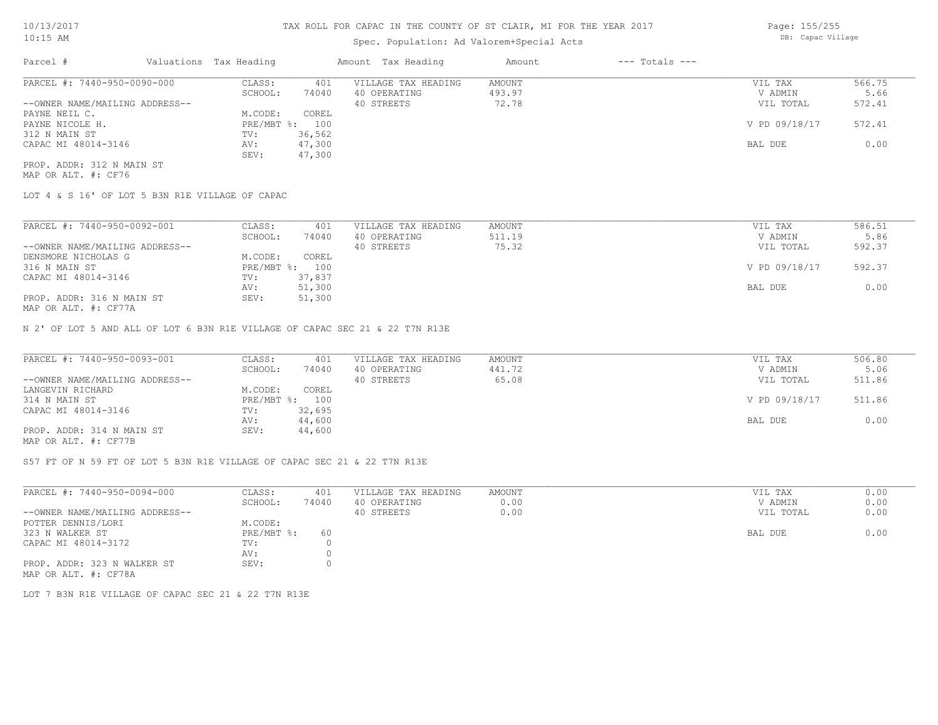# Spec. Population: Ad Valorem+Special Acts

| Parcel #                       | Valuations Tax Heading |        | Amount Tax Heading  | Amount | $---$ Totals $---$ |               |        |
|--------------------------------|------------------------|--------|---------------------|--------|--------------------|---------------|--------|
| PARCEL #: 7440-950-0090-000    | CLASS:                 | 401    | VILLAGE TAX HEADING | AMOUNT |                    | VIL TAX       | 566.75 |
|                                | SCHOOL:                | 74040  | 40 OPERATING        | 493.97 |                    | V ADMIN       | 5.66   |
| --OWNER NAME/MAILING ADDRESS-- |                        |        | 40 STREETS          | 72.78  |                    | VIL TOTAL     | 572.41 |
| PAYNE NEIL C.                  | M.CODE:                | COREL  |                     |        |                    |               |        |
| PAYNE NICOLE H.                | $PRE/MBT$ %:           | 100    |                     |        |                    | V PD 09/18/17 | 572.41 |
| 312 N MAIN ST                  | TV:                    | 36,562 |                     |        |                    |               |        |
| CAPAC MI 48014-3146            | AV:                    | 47,300 |                     |        |                    | BAL DUE       | 0.00   |
|                                | SEV:                   | 47,300 |                     |        |                    |               |        |
| PROP. ADDR: 312 N MAIN ST      |                        |        |                     |        |                    |               |        |

MAP OR ALT. #: CF76

LOT 4 & S 16' OF LOT 5 B3N R1E VILLAGE OF CAPAC

| PARCEL #: 7440-950-0092-001                               | CLASS:     | 401     | VILLAGE TAX HEADING | AMOUNT | VIL TAX       | 586.51 |
|-----------------------------------------------------------|------------|---------|---------------------|--------|---------------|--------|
|                                                           | SCHOOL:    | 74040   | 40 OPERATING        | 511.19 | V ADMIN       | 5.86   |
| --OWNER NAME/MAILING ADDRESS--                            |            |         | 40 STREETS          | 75.32  | VIL TOTAL     | 592.37 |
| DENSMORE NICHOLAS G                                       | M.CODE:    | COREL   |                     |        |               |        |
| 316 N MAIN ST                                             | PRE/MBT %: | $100 -$ |                     |        | V PD 09/18/17 | 592.37 |
| CAPAC MI 48014-3146                                       | TV:        | 37,837  |                     |        |               |        |
|                                                           | AV:        | 51,300  |                     |        | BAL DUE       | 0.00   |
| PROP. ADDR: 316 N MAIN ST<br>$MAD$ $CD$ $ATH$ $L$ $CDT72$ | SEV:       | 51,300  |                     |        |               |        |

MAP OR ALT. #: CF77A

N 2' OF LOT 5 AND ALL OF LOT 6 B3N R1E VILLAGE OF CAPAC SEC 21 & 22 T7N R13E

| PARCEL #: 7440-950-0093-001                           | CLASS:  | 401            | VILLAGE TAX HEADING | AMOUNT | VIL TAX       | 506.80 |
|-------------------------------------------------------|---------|----------------|---------------------|--------|---------------|--------|
|                                                       | SCHOOL: | 74040          | 40 OPERATING        | 441.72 | V ADMIN       | 5.06   |
| --OWNER NAME/MAILING ADDRESS--                        |         |                | 40 STREETS          | 65.08  | VIL TOTAL     | 511.86 |
| LANGEVIN RICHARD                                      | M.CODE: | COREL          |                     |        |               |        |
| 314 N MAIN ST                                         |         | PRE/MBT %: 100 |                     |        | V PD 09/18/17 | 511.86 |
| CAPAC MI 48014-3146                                   | TV:     | 32,695         |                     |        |               |        |
|                                                       | AV:     | 44,600         |                     |        | BAL DUE       | 0.00   |
| PROP. ADDR: 314 N MAIN ST                             | SEV:    | 44,600         |                     |        |               |        |
| $\cdots$ $\cdots$ $\cdots$ $\cdots$ $\cdots$ $\cdots$ |         |                |                     |        |               |        |

MAP OR ALT. #: CF77B

S57 FT OF N 59 FT OF LOT 5 B3N R1E VILLAGE OF CAPAC SEC 21 & 22 T7N R13E

| PARCEL #: 7440-950-0094-000                         | CLASS:       | 401   | VILLAGE TAX HEADING | AMOUNT | VIL TAX   | 0.00 |
|-----------------------------------------------------|--------------|-------|---------------------|--------|-----------|------|
|                                                     | SCHOOL:      | 74040 | 40 OPERATING        | 0.00   | V ADMIN   | 0.00 |
| --OWNER NAME/MAILING ADDRESS--                      |              |       | 40 STREETS          | 0.00   | VIL TOTAL | 0.00 |
| POTTER DENNIS/LORI                                  | M.CODE:      |       |                     |        |           |      |
| 323 N WALKER ST                                     | $PRE/MBT$ %: | 60    |                     |        | BAL DUE   | 0.00 |
| CAPAC MI 48014-3172                                 | TV:          |       |                     |        |           |      |
|                                                     | AV:          |       |                     |        |           |      |
| PROP. ADDR: 323 N WALKER ST<br>MAP OR ALT. #: CF78A | SEV:         |       |                     |        |           |      |

LOT 7 B3N R1E VILLAGE OF CAPAC SEC 21 & 22 T7N R13E

Page: 155/255 DB: Capac Village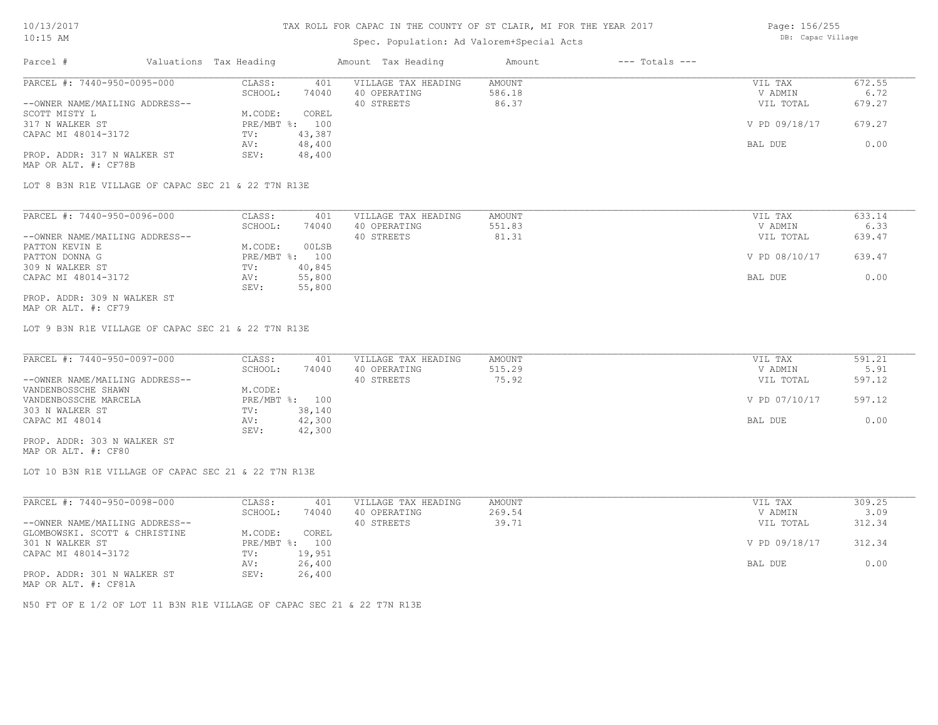### Spec. Population: Ad Valorem+Special Acts

| Page: 156/255     |
|-------------------|
| DB: Capac Village |

| Parcel #                       | Valuations Tax Heading |        | Amount Tax Heading  | Amount | $---$ Totals $---$ |               |        |
|--------------------------------|------------------------|--------|---------------------|--------|--------------------|---------------|--------|
| PARCEL #: 7440-950-0095-000    | CLASS:                 | 401    | VILLAGE TAX HEADING | AMOUNT |                    | VIL TAX       | 672.55 |
|                                | SCHOOL:                | 74040  | 40 OPERATING        | 586.18 |                    | V ADMIN       | 6.72   |
| --OWNER NAME/MAILING ADDRESS-- |                        |        | 40 STREETS          | 86.37  |                    | VIL TOTAL     | 679.27 |
| SCOTT MISTY L                  | M.CODE:                | COREL  |                     |        |                    |               |        |
| 317 N WALKER ST                | $PRE/MBT$ %:           | 100    |                     |        |                    | V PD 09/18/17 | 679.27 |
| CAPAC MI 48014-3172            | TV:                    | 43,387 |                     |        |                    |               |        |
|                                | AV:                    | 48,400 |                     |        |                    | BAL DUE       | 0.00   |
| PROP. ADDR: 317 N WALKER ST    | SEV:                   | 48,400 |                     |        |                    |               |        |
| MAP OR ALT. #: CF78B           |                        |        |                     |        |                    |               |        |

LOT 8 B3N R1E VILLAGE OF CAPAC SEC 21 & 22 T7N R13E

| PARCEL #: 7440-950-0096-000    | CLASS:  | 401            | VILLAGE TAX HEADING | AMOUNT | VIL TAX       | 633.14 |
|--------------------------------|---------|----------------|---------------------|--------|---------------|--------|
|                                | SCHOOL: | 74040          | 40 OPERATING        | 551.83 | V ADMIN       | 6.33   |
| --OWNER NAME/MAILING ADDRESS-- |         |                | 40 STREETS          | 81.31  | VIL TOTAL     | 639.47 |
| PATTON KEVIN E                 | M.CODE: | 00LSB          |                     |        |               |        |
| PATTON DONNA G                 |         | PRE/MBT %: 100 |                     |        | V PD 08/10/17 | 639.47 |
| 309 N WALKER ST                | TV:     | 40,845         |                     |        |               |        |
| CAPAC MI 48014-3172            | AV:     | 55,800         |                     |        | BAL DUE       | 0.00   |
|                                | SEV:    | 55,800         |                     |        |               |        |
| PROP. ADDR: 309 N WALKER ST    |         |                |                     |        |               |        |

MAP OR ALT. #: CF79

LOT 9 B3N R1E VILLAGE OF CAPAC SEC 21 & 22 T7N R13E

| PARCEL #: 7440-950-0097-000    | CLASS:  | 401            | VILLAGE TAX HEADING | AMOUNT | VIL TAX       | 591.21 |
|--------------------------------|---------|----------------|---------------------|--------|---------------|--------|
|                                | SCHOOL: | 74040          | 40 OPERATING        | 515.29 | V ADMIN       | 5.91   |
| --OWNER NAME/MAILING ADDRESS-- |         |                | 40 STREETS          | 75.92  | VIL TOTAL     | 597.12 |
| VANDENBOSSCHE SHAWN            | M.CODE: |                |                     |        |               |        |
| VANDENBOSSCHE MARCELA          |         | PRE/MBT %: 100 |                     |        | V PD 07/10/17 | 597.12 |
| 303 N WALKER ST                | TV:     | 38,140         |                     |        |               |        |
| CAPAC MI 48014                 | AV:     | 42,300         |                     |        | BAL DUE       | 0.00   |
|                                | SEV:    | 42,300         |                     |        |               |        |
| PROP. ADDR: 303 N WALKER ST    |         |                |                     |        |               |        |

MAP OR ALT. #: CF80

LOT 10 B3N R1E VILLAGE OF CAPAC SEC 21 & 22 T7N R13E

| PARCEL #: 7440-950-0098-000    | CLASS:       | 401    | VILLAGE TAX HEADING | AMOUNT | VIL TAX       | 309.25 |
|--------------------------------|--------------|--------|---------------------|--------|---------------|--------|
|                                | SCHOOL:      | 74040  | 40 OPERATING        | 269.54 | V ADMIN       | 3.09   |
| --OWNER NAME/MAILING ADDRESS-- |              |        | 40 STREETS          | 39.71  | VIL TOTAL     | 312.34 |
| GLOMBOWSKI. SCOTT & CHRISTINE  | M.CODE:      | COREL  |                     |        |               |        |
| 301 N WALKER ST                | $PRE/MBT$ %: | 100    |                     |        | V PD 09/18/17 | 312.34 |
| CAPAC MI 48014-3172            | TV:          | 19,951 |                     |        |               |        |
|                                | AV:          | 26,400 |                     |        | BAL DUE       | 0.00   |
| PROP. ADDR: 301 N WALKER ST    | SEV:         | 26,400 |                     |        |               |        |

MAP OR ALT. #: CF81A

N50 FT OF E 1/2 OF LOT 11 B3N R1E VILLAGE OF CAPAC SEC 21 & 22 T7N R13E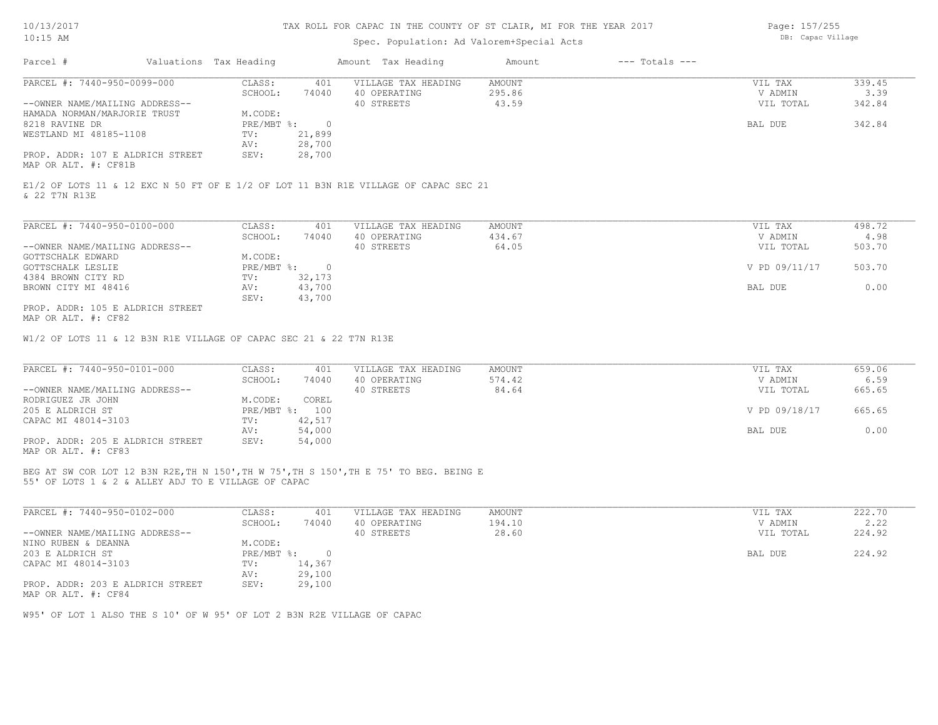## Spec. Population: Ad Valorem+Special Acts

Page: 157/255 DB: Capac Village

| Parcel #                         | Valuations Tax Heading |        | Amount Tax Heading  | Amount | $---$ Totals $---$ |           |        |
|----------------------------------|------------------------|--------|---------------------|--------|--------------------|-----------|--------|
| PARCEL #: 7440-950-0099-000      | CLASS:                 | 401    | VILLAGE TAX HEADING | AMOUNT |                    | VIL TAX   | 339.45 |
|                                  | SCHOOL:                | 74040  | 40 OPERATING        | 295.86 |                    | V ADMIN   | 3.39   |
| --OWNER NAME/MAILING ADDRESS--   |                        |        | 40 STREETS          | 43.59  |                    | VIL TOTAL | 342.84 |
| HAMADA NORMAN/MARJORIE TRUST     | M.CODE:                |        |                     |        |                    |           |        |
| 8218 RAVINE DR                   | $PRE/MBT$ %:           |        |                     |        |                    | BAL DUE   | 342.84 |
| WESTLAND MI 48185-1108           | TV:                    | 21,899 |                     |        |                    |           |        |
|                                  | AV:                    | 28,700 |                     |        |                    |           |        |
| PROP. ADDR: 107 E ALDRICH STREET | SEV:                   | 28,700 |                     |        |                    |           |        |
| MAP OR ALT. #: CF81B             |                        |        |                     |        |                    |           |        |

& 22 T7N R13E E1/2 OF LOTS 11 & 12 EXC N 50 FT OF E 1/2 OF LOT 11 B3N R1E VILLAGE OF CAPAC SEC 21

| PARCEL #: 7440-950-0100-000      | CLASS:     | 401    | VILLAGE TAX HEADING | AMOUNT | VIL TAX       | 498.72 |
|----------------------------------|------------|--------|---------------------|--------|---------------|--------|
|                                  | SCHOOL:    | 74040  | 40 OPERATING        | 434.67 | V ADMIN       | 4.98   |
| --OWNER NAME/MAILING ADDRESS--   |            |        | 40 STREETS          | 64.05  | VIL TOTAL     | 503.70 |
| GOTTSCHALK EDWARD                | M.CODE:    |        |                     |        |               |        |
| GOTTSCHALK LESLIE                | PRE/MBT %: |        |                     |        | V PD 09/11/17 | 503.70 |
| 4384 BROWN CITY RD               | TV:        | 32,173 |                     |        |               |        |
| BROWN CITY MI 48416              | AV:        | 43,700 |                     |        | BAL DUE       | 0.00   |
|                                  | SEV:       | 43,700 |                     |        |               |        |
| PROP. ADDR: 105 E ALDRICH STREET |            |        |                     |        |               |        |

MAP OR ALT. #: CF82

W1/2 OF LOTS 11 & 12 B3N R1E VILLAGE OF CAPAC SEC 21 & 22 T7N R13E

| PARCEL #: 7440-950-0101-000      | CLASS:  | 401            | VILLAGE TAX HEADING | AMOUNT | VIL TAX       | 659.06 |
|----------------------------------|---------|----------------|---------------------|--------|---------------|--------|
|                                  | SCHOOL: | 74040          | 40 OPERATING        | 574.42 | V ADMIN       | 6.59   |
| --OWNER NAME/MAILING ADDRESS--   |         |                | 40 STREETS          | 84.64  | VIL TOTAL     | 665.65 |
| RODRIGUEZ JR JOHN                | M.CODE: | COREL          |                     |        |               |        |
| 205 E ALDRICH ST                 |         | PRE/MBT %: 100 |                     |        | V PD 09/18/17 | 665.65 |
| CAPAC MI 48014-3103              | TV:     | 42,517         |                     |        |               |        |
|                                  | AV:     | 54,000         |                     |        | BAL DUE       | 0.00   |
| PROP. ADDR: 205 E ALDRICH STREET | SEV:    | 54,000         |                     |        |               |        |
| MAP OR ALT. #: CF83              |         |                |                     |        |               |        |

55' OF LOTS 1 & 2 & ALLEY ADJ TO E VILLAGE OF CAPAC BEG AT SW COR LOT 12 B3N R2E,TH N 150',TH W 75',TH S 150',TH E 75' TO BEG. BEING E

| PARCEL #: 7440-950-0102-000      | CLASS:       | 401    | VILLAGE TAX HEADING | AMOUNT | VIL TAX   | 222.70 |
|----------------------------------|--------------|--------|---------------------|--------|-----------|--------|
|                                  | SCHOOL:      | 74040  | 40 OPERATING        | 194.10 | V ADMIN   | 2.22   |
| --OWNER NAME/MAILING ADDRESS--   |              |        | 40 STREETS          | 28.60  | VIL TOTAL | 224.92 |
| NINO RUBEN & DEANNA              | M.CODE:      |        |                     |        |           |        |
| 203 E ALDRICH ST                 | $PRE/MBT$ %: |        |                     |        | BAL DUE   | 224.92 |
| CAPAC MI 48014-3103              | TV:          | 14,367 |                     |        |           |        |
|                                  | AV:          | 29,100 |                     |        |           |        |
| PROP. ADDR: 203 E ALDRICH STREET | SEV:         | 29,100 |                     |        |           |        |
| MAP OR ALT. #: CF84              |              |        |                     |        |           |        |

W95' OF LOT 1 ALSO THE S 10' OF W 95' OF LOT 2 B3N R2E VILLAGE OF CAPAC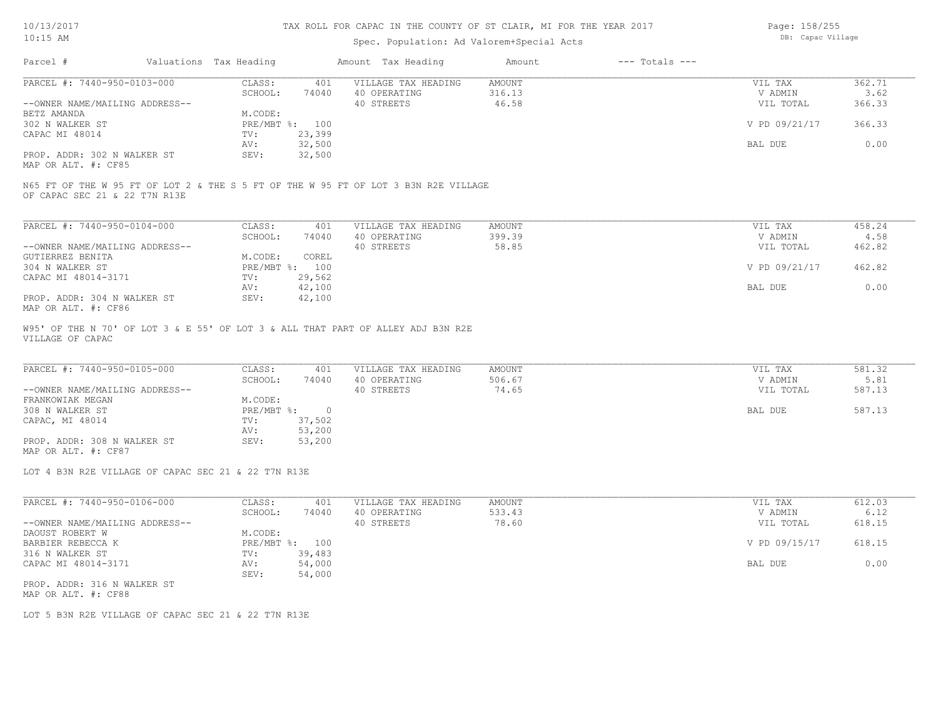### Spec. Population: Ad Valorem+Special Acts

Page: 158/255 DB: Capac Village

| Parcel #                                                                                                             | Valuations Tax Heading |        | Amount Tax Heading  | Amount | $---$ Totals $---$ |               |        |
|----------------------------------------------------------------------------------------------------------------------|------------------------|--------|---------------------|--------|--------------------|---------------|--------|
| PARCEL #: 7440-950-0103-000                                                                                          | CLASS:                 | 401    | VILLAGE TAX HEADING | AMOUNT |                    | VIL TAX       | 362.71 |
|                                                                                                                      | SCHOOL:                | 74040  | 40 OPERATING        | 316.13 |                    | V ADMIN       | 3.62   |
| --OWNER NAME/MAILING ADDRESS--                                                                                       |                        |        | 40 STREETS          | 46.58  |                    | VIL TOTAL     | 366.33 |
| BETZ AMANDA                                                                                                          | M.CODE:                |        |                     |        |                    |               |        |
| 302 N WALKER ST                                                                                                      | PRE/MBT %: 100         |        |                     |        |                    | V PD 09/21/17 | 366.33 |
| CAPAC MI 48014                                                                                                       | TV:                    | 23,399 |                     |        |                    |               |        |
|                                                                                                                      | AV:                    | 32,500 |                     |        |                    | BAL DUE       | 0.00   |
| PROP. ADDR: 302 N WALKER ST                                                                                          | SEV:                   | 32,500 |                     |        |                    |               |        |
| MAP OR ALT. #: CF85                                                                                                  |                        |        |                     |        |                    |               |        |
| N65 FT OF THE W 95 FT OF LOT 2 & THE S 5 FT OF THE W 95 FT OF LOT 3 B3N R2E VILLAGE<br>OF CAPAC SEC 21 & 22 T7N R13E |                        |        |                     |        |                    |               |        |
| PARCEL #: 7440-950-0104-000                                                                                          | CLASS:                 | 401    | VILLAGE TAX HEADING | AMOUNT |                    | VIL TAX       | 458.24 |
|                                                                                                                      | SCHOOL:                | 74040  | 40 OPERATING        | 399.39 |                    | V ADMIN       | 4.58   |
| --OWNER NAME/MAILING ADDRESS--                                                                                       |                        |        | 40 STREETS          | 58.85  |                    | VIL TOTAL     | 462.82 |
| GUTIERREZ BENITA                                                                                                     | M.CODE:                | COREL. |                     |        |                    |               |        |

| GUTIERREZ BENITA            | M.CODE: | COREL          |               |        |
|-----------------------------|---------|----------------|---------------|--------|
| 304 N WALKER ST             |         | PRE/MBT %: 100 | V PD 09/21/17 | 462.82 |
| CAPAC MI 48014-3171         | TV:     | 29,562         |               |        |
|                             | AV:     | 42,100         | BAL DUE       | 0.00   |
| PROP. ADDR: 304 N WALKER ST | SEV:    | 42,100         |               |        |
|                             |         |                |               |        |

MAP OR ALT. #: CF86

VILLAGE OF CAPAC W95' OF THE N 70' OF LOT 3 & E 55' OF LOT 3 & ALL THAT PART OF ALLEY ADJ B3N R2E

| PARCEL #: 7440-950-0105-000    | CLASS:     | 401    | VILLAGE TAX HEADING | AMOUNT | VIL TAX   | 581.32 |
|--------------------------------|------------|--------|---------------------|--------|-----------|--------|
|                                | SCHOOL:    | 74040  | 40 OPERATING        | 506.67 | V ADMIN   | 5.81   |
| --OWNER NAME/MAILING ADDRESS-- |            |        | 40 STREETS          | 74.65  | VIL TOTAL | 587.13 |
| FRANKOWIAK MEGAN               | M.CODE:    |        |                     |        |           |        |
| 308 N WALKER ST                | PRE/MBT %: |        |                     |        | BAL DUE   | 587.13 |
| CAPAC, MI 48014                | TV:        | 37,502 |                     |        |           |        |
|                                | AV:        | 53,200 |                     |        |           |        |
| PROP. ADDR: 308 N WALKER ST    | SEV:       | 53,200 |                     |        |           |        |
|                                |            |        |                     |        |           |        |

MAP OR ALT. #: CF87

LOT 4 B3N R2E VILLAGE OF CAPAC SEC 21 & 22 T7N R13E

| PARCEL #: 7440-950-0106-000    | CLASS:     | 401    | VILLAGE TAX HEADING | AMOUNT | VIL TAX       | 612.03 |
|--------------------------------|------------|--------|---------------------|--------|---------------|--------|
|                                | SCHOOL:    | 74040  | 40 OPERATING        | 533.43 | V ADMIN       | 6.12   |
| --OWNER NAME/MAILING ADDRESS-- |            |        | 40 STREETS          | 78.60  | VIL TOTAL     | 618.15 |
| DAOUST ROBERT W                | M.CODE:    |        |                     |        |               |        |
| BARBIER REBECCA K              | PRE/MBT %: | 100    |                     |        | V PD 09/15/17 | 618.15 |
| 316 N WALKER ST                | TV:        | 39,483 |                     |        |               |        |
| CAPAC MI 48014-3171            | AV:        | 54,000 |                     |        | BAL DUE       | 0.00   |
|                                | SEV:       | 54,000 |                     |        |               |        |
| PROP. ADDR: 316 N WALKER ST    |            |        |                     |        |               |        |

MAP OR ALT. #: CF88

LOT 5 B3N R2E VILLAGE OF CAPAC SEC 21 & 22 T7N R13E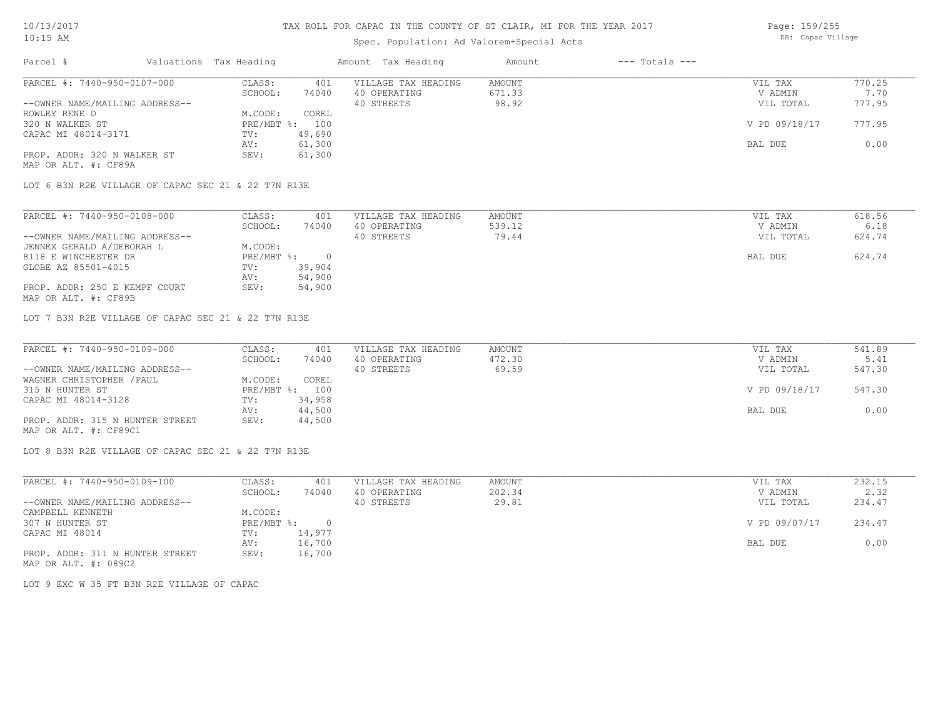## Spec. Population: Ad Valorem+Special Acts

| Page: 159/255     |
|-------------------|
| DB: Capac Village |

| Parcel #                       | Valuations Tax Heading |        | Amount Tax Heading  | Amount | $---$ Totals $---$ |               |        |
|--------------------------------|------------------------|--------|---------------------|--------|--------------------|---------------|--------|
| PARCEL #: 7440-950-0107-000    | CLASS:                 | 401    | VILLAGE TAX HEADING | AMOUNT |                    | VIL TAX       | 770.25 |
|                                | SCHOOL:                | 74040  | 40 OPERATING        | 671.33 |                    | V ADMIN       | 7.70   |
| --OWNER NAME/MAILING ADDRESS-- |                        |        | 40 STREETS          | 98.92  |                    | VIL TOTAL     | 777.95 |
| ROWLEY RENE D                  | M.CODE:                | COREL  |                     |        |                    |               |        |
| 320 N WALKER ST                | $PRE/MBT$ %:           | 100    |                     |        |                    | V PD 09/18/17 | 777.95 |
| CAPAC MI 48014-3171            | TV:                    | 49,690 |                     |        |                    |               |        |
|                                | AV:                    | 61,300 |                     |        |                    | BAL DUE       | 0.00   |
| PROP. ADDR: 320 N WALKER ST    | SEV:                   | 61,300 |                     |        |                    |               |        |
| MAP OR ALT. #: CF89A           |                        |        |                     |        |                    |               |        |

LOT 6 B3N R2E VILLAGE OF CAPAC SEC 21 & 22 T7N R13E

| PARCEL #: 7440-950-0108-000    | CLASS:     | 401    | VILLAGE TAX HEADING | AMOUNT | VIL TAX   | 618.56 |
|--------------------------------|------------|--------|---------------------|--------|-----------|--------|
|                                | SCHOOL:    | 74040  | 40 OPERATING        | 539.12 | V ADMIN   | 6.18   |
| --OWNER NAME/MAILING ADDRESS-- |            |        | 40 STREETS          | 79.44  | VIL TOTAL | 624.74 |
| JENNEX GERALD A/DEBORAH L      | M.CODE:    |        |                     |        |           |        |
| 8118 E WINCHESTER DR           | PRE/MBT %: |        |                     |        | BAL DUE   | 624.74 |
| GLOBE AZ 85501-4015            | TV:        | 39,904 |                     |        |           |        |
|                                | AV:        | 54,900 |                     |        |           |        |
| PROP. ADDR: 250 E KEMPF COURT  | SEV:       | 54,900 |                     |        |           |        |
| MAP OR ALT. #: CF89B           |            |        |                     |        |           |        |

LOT 7 B3N R2E VILLAGE OF CAPAC SEC 21 & 22 T7N R13E

| PARCEL #: 7440-950-0109-000     | CLASS:  | 401            | VILLAGE TAX HEADING | AMOUNT | VIL TAX       | 541.89 |
|---------------------------------|---------|----------------|---------------------|--------|---------------|--------|
|                                 | SCHOOL: | 74040          | 40 OPERATING        | 472.30 | V ADMIN       | 5.41   |
| --OWNER NAME/MAILING ADDRESS--  |         |                | 40 STREETS          | 69.59  | VIL TOTAL     | 547.30 |
| WAGNER CHRISTOPHER / PAUL       | M.CODE: | COREL          |                     |        |               |        |
| 315 N HUNTER ST                 |         | PRE/MBT %: 100 |                     |        | V PD 09/18/17 | 547.30 |
| CAPAC MI 48014-3128             | TV:     | 34,958         |                     |        |               |        |
|                                 | AV:     | 44,500         |                     |        | BAL DUE       | 0.00   |
| PROP. ADDR: 315 N HUNTER STREET | SEV:    | 44,500         |                     |        |               |        |
| MAP OR ALT. #: CF89C1           |         |                |                     |        |               |        |

LOT 8 B3N R2E VILLAGE OF CAPAC SEC 21 & 22 T7N R13E

| PARCEL #: 7440-950-0109-100     | CLASS:     | 401    | VILLAGE TAX HEADING | AMOUNT | VIL TAX       | 232.15 |
|---------------------------------|------------|--------|---------------------|--------|---------------|--------|
|                                 | SCHOOL:    | 74040  | 40 OPERATING        | 202.34 | V ADMIN       | 2.32   |
| --OWNER NAME/MAILING ADDRESS--  |            |        | 40 STREETS          | 29.81  | VIL TOTAL     | 234.47 |
| CAMPBELL KENNETH                | M.CODE:    |        |                     |        |               |        |
| 307 N HUNTER ST                 | PRE/MBT %: |        |                     |        | V PD 09/07/17 | 234.47 |
| CAPAC MI 48014                  | TV:        | 14,977 |                     |        |               |        |
|                                 | AV:        | 16,700 |                     |        | BAL DUE       | 0.00   |
| PROP. ADDR: 311 N HUNTER STREET | SEV:       | 16,700 |                     |        |               |        |
| MAP OR ALT. #: 089C2            |            |        |                     |        |               |        |

LOT 9 EXC W 35 FT B3N R2E VILLAGE OF CAPAC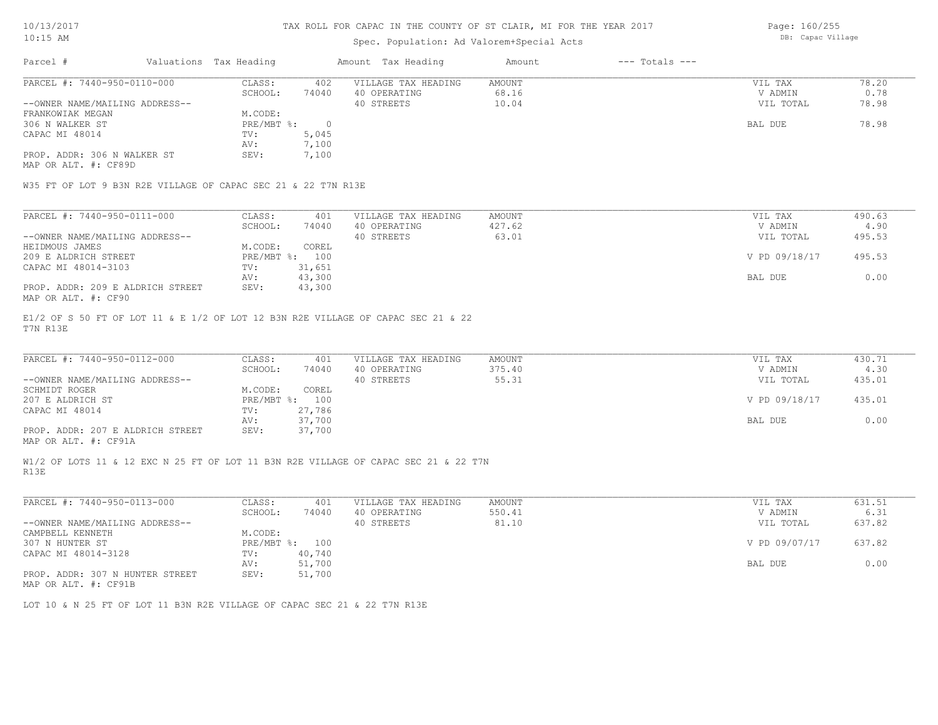### Spec. Population: Ad Valorem+Special Acts

Page: 160/255 DB: Capac Village

| Parcel #                                                      | Valuations Tax Heading |          | Amount Tax Heading  | Amount | $---$ Totals $---$ |           |       |
|---------------------------------------------------------------|------------------------|----------|---------------------|--------|--------------------|-----------|-------|
| PARCEL #: 7440-950-0110-000                                   | CLASS:                 | 402      | VILLAGE TAX HEADING | AMOUNT |                    | VIL TAX   | 78.20 |
|                                                               | SCHOOL:                | 74040    | 40 OPERATING        | 68.16  |                    | V ADMIN   | 0.78  |
| --OWNER NAME/MAILING ADDRESS--                                |                        |          | 40 STREETS          | 10.04  |                    | VIL TOTAL | 78.98 |
| FRANKOWIAK MEGAN                                              | M.CODE:                |          |                     |        |                    |           |       |
| 306 N WALKER ST                                               | $PRE/MBT$ %:           | $\Omega$ |                     |        |                    | BAL DUE   | 78.98 |
| CAPAC MI 48014                                                | TV:                    | 5,045    |                     |        |                    |           |       |
|                                                               | AV:                    | 7,100    |                     |        |                    |           |       |
| PROP. ADDR: 306 N WALKER ST                                   | SEV:                   | 7,100    |                     |        |                    |           |       |
| MAP OR ALT. #: CF89D                                          |                        |          |                     |        |                    |           |       |
|                                                               |                        |          |                     |        |                    |           |       |
| W35 FT OF LOT 9 B3N R2E VILLAGE OF CAPAC SEC 21 & 22 T7N R13E |                        |          |                     |        |                    |           |       |
|                                                               |                        |          |                     |        |                    |           |       |

| PARCEL #: 7440-950-0111-000      | CLASS:  | 401            | VILLAGE TAX HEADING | AMOUNT | VIL TAX       | 490.63 |
|----------------------------------|---------|----------------|---------------------|--------|---------------|--------|
|                                  | SCHOOL: | 74040          | 40 OPERATING        | 427.62 | V ADMIN       | 4.90   |
| --OWNER NAME/MAILING ADDRESS--   |         |                | 40 STREETS          | 63.01  | VIL TOTAL     | 495.53 |
| HEIDMOUS JAMES                   | M.CODE: | COREL          |                     |        |               |        |
| 209 E ALDRICH STREET             |         | PRE/MBT %: 100 |                     |        | V PD 09/18/17 | 495.53 |
| CAPAC MI 48014-3103              | TV:     | 31,651         |                     |        |               |        |
|                                  | AV:     | 43,300         |                     |        | BAL DUE       | 0.00   |
| PROP. ADDR: 209 E ALDRICH STREET | SEV:    | 43,300         |                     |        |               |        |
| MAP OR ALT. #: CF90              |         |                |                     |        |               |        |

T7N R13E E1/2 OF S 50 FT OF LOT 11 & E 1/2 OF LOT 12 B3N R2E VILLAGE OF CAPAC SEC 21 & 22

| PARCEL #: 7440-950-0112-000      | CLASS:     | 401    | VILLAGE TAX HEADING | AMOUNT | VIL TAX       | 430.71 |
|----------------------------------|------------|--------|---------------------|--------|---------------|--------|
|                                  | SCHOOL:    | 74040  | 40 OPERATING        | 375.40 | V ADMIN       | 4.30   |
| --OWNER NAME/MAILING ADDRESS--   |            |        | 40 STREETS          | 55.31  | VIL TOTAL     | 435.01 |
| SCHMIDT ROGER                    | M.CODE:    | COREL  |                     |        |               |        |
| 207 E ALDRICH ST                 | PRE/MBT %: | 100    |                     |        | V PD 09/18/17 | 435.01 |
| CAPAC MI 48014                   | TV:        | 27,786 |                     |        |               |        |
|                                  | AV:        | 37,700 |                     |        | BAL DUE       | 0.00   |
| PROP. ADDR: 207 E ALDRICH STREET | SEV:       | 37,700 |                     |        |               |        |
|                                  |            |        |                     |        |               |        |

 $\mathcal{L}_\mathcal{L} = \mathcal{L}_\mathcal{L} = \mathcal{L}_\mathcal{L} = \mathcal{L}_\mathcal{L} = \mathcal{L}_\mathcal{L} = \mathcal{L}_\mathcal{L} = \mathcal{L}_\mathcal{L} = \mathcal{L}_\mathcal{L} = \mathcal{L}_\mathcal{L} = \mathcal{L}_\mathcal{L} = \mathcal{L}_\mathcal{L} = \mathcal{L}_\mathcal{L} = \mathcal{L}_\mathcal{L} = \mathcal{L}_\mathcal{L} = \mathcal{L}_\mathcal{L} = \mathcal{L}_\mathcal{L} = \mathcal{L}_\mathcal{L}$ 

MAP OR ALT. #: CF91A

R13E W1/2 OF LOTS 11 & 12 EXC N 25 FT OF LOT 11 B3N R2E VILLAGE OF CAPAC SEC 21 & 22 T7N

| PARCEL #: 7440-950-0113-000                           | CLASS:       | 401    | VILLAGE TAX HEADING | AMOUNT | VIL TAX       | 631.51 |
|-------------------------------------------------------|--------------|--------|---------------------|--------|---------------|--------|
|                                                       | SCHOOL:      | 74040  | 40 OPERATING        | 550.41 | V ADMIN       | 6.31   |
| --OWNER NAME/MAILING ADDRESS--                        |              |        | 40 STREETS          | 81.10  | VIL TOTAL     | 637.82 |
| CAMPBELL KENNETH                                      | M.CODE:      |        |                     |        |               |        |
| 307 N HUNTER ST                                       | $PRE/MBT$ %: | 100    |                     |        | V PD 09/07/17 | 637.82 |
| CAPAC MI 48014-3128                                   | TV:          | 40,740 |                     |        |               |        |
|                                                       | AV:          | 51,700 |                     |        | BAL DUE       | 0.00   |
| PROP. ADDR: 307 N HUNTER STREET                       | SEV:         | 51,700 |                     |        |               |        |
| $\cdots$ $\cdots$ $\cdots$ $\cdots$ $\cdots$ $\cdots$ |              |        |                     |        |               |        |

MAP OR ALT. #: CF91B

LOT 10 & N 25 FT OF LOT 11 B3N R2E VILLAGE OF CAPAC SEC 21 & 22 T7N R13E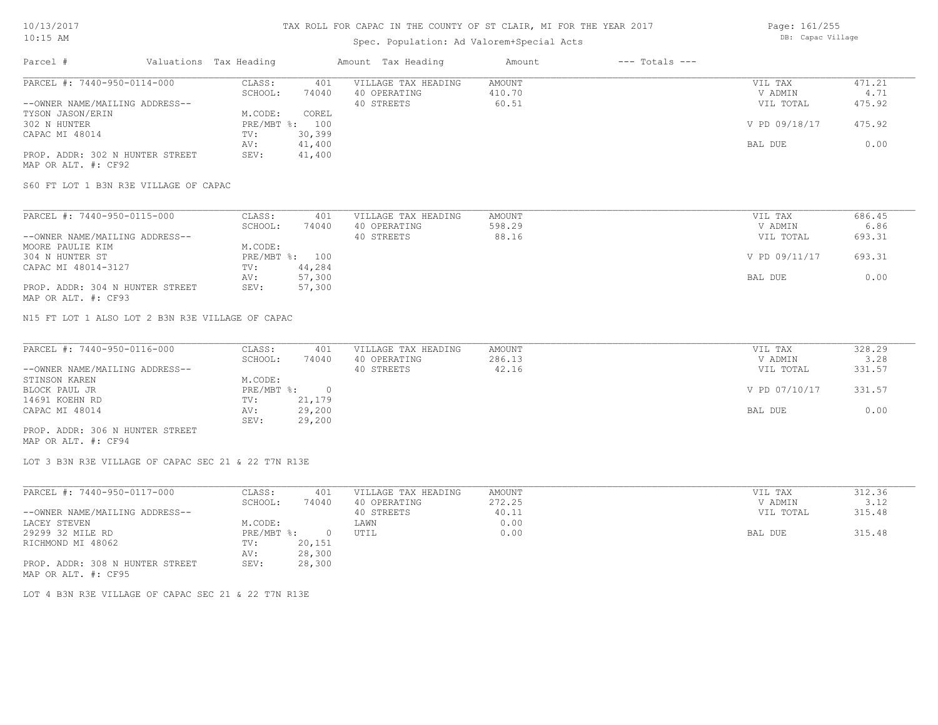### Spec. Population: Ad Valorem+Special Acts

Page: 161/255 DB: Capac Village

| Parcel #                        | Valuations Tax Heading |        | Amount Tax Heading  | Amount | $---$ Totals $---$ |               |        |
|---------------------------------|------------------------|--------|---------------------|--------|--------------------|---------------|--------|
| PARCEL #: 7440-950-0114-000     | CLASS:                 | 401    | VILLAGE TAX HEADING | AMOUNT |                    | VIL TAX       | 471.21 |
|                                 | SCHOOL:                | 74040  | 40 OPERATING        | 410.70 |                    | V ADMIN       | 4.71   |
| --OWNER NAME/MAILING ADDRESS--  |                        |        | 40 STREETS          | 60.51  |                    | VIL TOTAL     | 475.92 |
| TYSON JASON/ERIN                | M.CODE:                | COREL  |                     |        |                    |               |        |
| 302 N HUNTER                    | $PRE/MBT$ %:           | 100    |                     |        |                    | V PD 09/18/17 | 475.92 |
| CAPAC MI 48014                  | TV:                    | 30,399 |                     |        |                    |               |        |
|                                 | AV:                    | 41,400 |                     |        |                    | BAL DUE       | 0.00   |
| PROP. ADDR: 302 N HUNTER STREET | SEV:                   | 41,400 |                     |        |                    |               |        |
| MAP OR ALT. #: CF92             |                        |        |                     |        |                    |               |        |

S60 FT LOT 1 B3N R3E VILLAGE OF CAPAC

| PARCEL #: 7440-950-0115-000     | CLASS:  | 401            | VILLAGE TAX HEADING | AMOUNT | VIL TAX       | 686.45 |
|---------------------------------|---------|----------------|---------------------|--------|---------------|--------|
|                                 | SCHOOL: | 74040          | 40 OPERATING        | 598.29 | V ADMIN       | 6.86   |
| --OWNER NAME/MAILING ADDRESS--  |         |                | 40 STREETS          | 88.16  | VIL TOTAL     | 693.31 |
| MOORE PAULIE KIM                | M.CODE: |                |                     |        |               |        |
| 304 N HUNTER ST                 |         | PRE/MBT %: 100 |                     |        | V PD 09/11/17 | 693.31 |
| CAPAC MI 48014-3127             | TV:     | 44,284         |                     |        |               |        |
|                                 | AV:     | 57,300         |                     |        | BAL DUE       | 0.00   |
| PROP. ADDR: 304 N HUNTER STREET | SEV:    | 57,300         |                     |        |               |        |
| MAP OR ALT. #: CF93             |         |                |                     |        |               |        |

N15 FT LOT 1 ALSO LOT 2 B3N R3E VILLAGE OF CAPAC

| PARCEL #: 7440-950-0116-000     | CLASS:     | 401    | VILLAGE TAX HEADING | AMOUNT | VIL TAX       | 328.29 |
|---------------------------------|------------|--------|---------------------|--------|---------------|--------|
|                                 | SCHOOL:    | 74040  | 40 OPERATING        | 286.13 | V ADMIN       | 3.28   |
| --OWNER NAME/MAILING ADDRESS--  |            |        | 40 STREETS          | 42.16  | VIL TOTAL     | 331.57 |
| STINSON KAREN                   | M.CODE:    |        |                     |        |               |        |
| BLOCK PAUL JR                   | PRE/MBT %: |        |                     |        | V PD 07/10/17 | 331.57 |
| 14691 KOEHN RD                  | TV:        | 21,179 |                     |        |               |        |
| CAPAC MI 48014                  | AV:        | 29,200 |                     |        | BAL DUE       | 0.00   |
|                                 | SEV:       | 29,200 |                     |        |               |        |
| PROP. ADDR: 306 N HUNTER STREET |            |        |                     |        |               |        |

MAP OR ALT. #: CF94

LOT 3 B3N R3E VILLAGE OF CAPAC SEC 21 & 22 T7N R13E

| PARCEL #: 7440-950-0117-000     | CLASS:       | 401    | VILLAGE TAX HEADING | AMOUNT | VIL TAX   | 312.36 |
|---------------------------------|--------------|--------|---------------------|--------|-----------|--------|
|                                 | SCHOOL:      | 74040  | 40 OPERATING        | 272.25 | V ADMIN   | 3.12   |
| --OWNER NAME/MAILING ADDRESS--  |              |        | 40 STREETS          | 40.11  | VIL TOTAL | 315.48 |
| LACEY STEVEN                    | M.CODE:      |        | LAWN                | 0.00   |           |        |
| 29299 32 MILE RD                | $PRE/MBT$ %: |        | UTIL                | 0.00   | BAL DUE   | 315.48 |
| RICHMOND MI 48062               | TV:          | 20,151 |                     |        |           |        |
|                                 | AV:          | 28,300 |                     |        |           |        |
| PROP. ADDR: 308 N HUNTER STREET | SEV:         | 28,300 |                     |        |           |        |
| MAP OR ALT. #: CF95             |              |        |                     |        |           |        |

LOT 4 B3N R3E VILLAGE OF CAPAC SEC 21 & 22 T7N R13E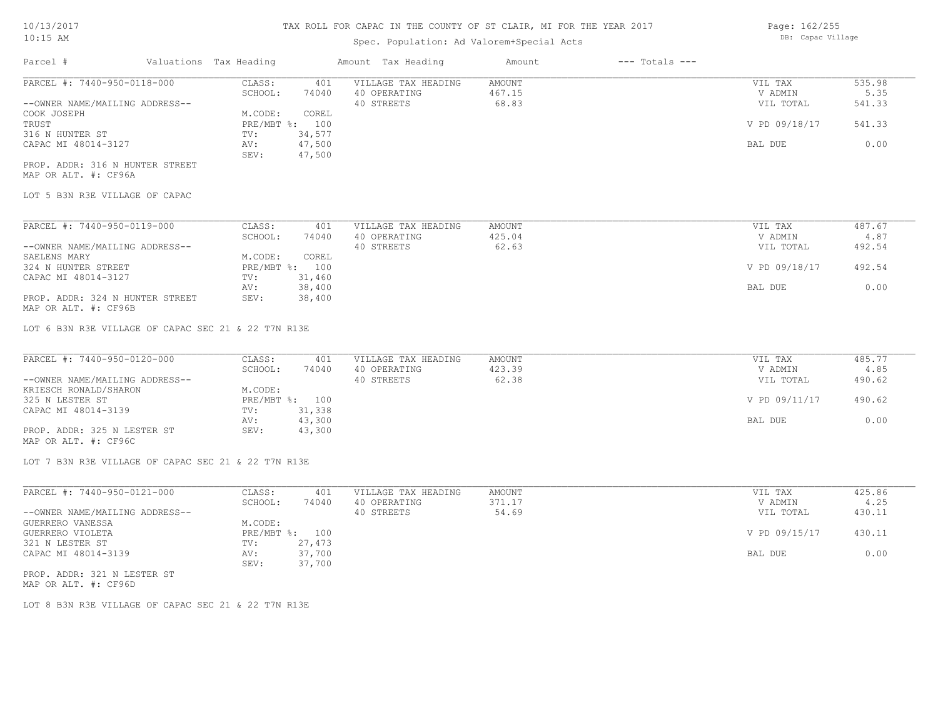### Spec.

| $10:15$ AM |                        | Spec. Population: Ad Valorem+Special Acts |        |                | DB: Capac Village |
|------------|------------------------|-------------------------------------------|--------|----------------|-------------------|
| Parcel #   | Valuations Tax Heading | Amount Tax Heading                        | Amount | --- Totals --- |                   |

Page: 162/255

| PARCEL #: 7440-950-0118-000     | CLASS:  | 401            | VILLAGE TAX HEADING | AMOUNT | VIL TAX       | 535.98 |
|---------------------------------|---------|----------------|---------------------|--------|---------------|--------|
|                                 | SCHOOL: | 74040          | 40 OPERATING        | 467.15 | V ADMIN       | 5.35   |
| --OWNER NAME/MAILING ADDRESS--  |         |                | 40 STREETS          | 68.83  | VIL TOTAL     | 541.33 |
| COOK JOSEPH                     | M.CODE: | COREL          |                     |        |               |        |
| TRUST                           |         | PRE/MBT %: 100 |                     |        | V PD 09/18/17 | 541.33 |
| 316 N HUNTER ST                 | TV:     | 34,577         |                     |        |               |        |
| CAPAC MI 48014-3127             | AV:     | 47,500         |                     |        | BAL DUE       | 0.00   |
|                                 | SEV:    | 47,500         |                     |        |               |        |
| PROP. ADDR: 316 N HUNTER STREET |         |                |                     |        |               |        |

MAP OR ALT. #: CF96A

LOT 5 B3N R3E VILLAGE OF CAPAC

| PARCEL #: 7440-950-0119-000     | CLASS:         | 401    | VILLAGE TAX HEADING | AMOUNT | VIL TAX       | 487.67 |
|---------------------------------|----------------|--------|---------------------|--------|---------------|--------|
|                                 | SCHOOL:        | 74040  | 40 OPERATING        | 425.04 | V ADMIN       | 4.87   |
| --OWNER NAME/MAILING ADDRESS--  |                |        | 40 STREETS          | 62.63  | VIL TOTAL     | 492.54 |
| SAELENS MARY                    | M.CODE:        | COREL  |                     |        |               |        |
| 324 N HUNTER STREET             | PRE/MBT %: 100 |        |                     |        | V PD 09/18/17 | 492.54 |
| CAPAC MI 48014-3127             | TV:            | 31,460 |                     |        |               |        |
|                                 | AV:            | 38,400 |                     |        | BAL DUE       | 0.00   |
| PROP. ADDR: 324 N HUNTER STREET | SEV:           | 38,400 |                     |        |               |        |

MAP OR ALT. #: CF96B

LOT 6 B3N R3E VILLAGE OF CAPAC SEC 21 & 22 T7N R13E

| PARCEL #: 7440-950-0120-000    | CLASS:  | 401            | VILLAGE TAX HEADING | AMOUNT | VIL TAX       | 485.77 |
|--------------------------------|---------|----------------|---------------------|--------|---------------|--------|
|                                | SCHOOL: | 74040          | 40 OPERATING        | 423.39 | V ADMIN       | 4.85   |
| --OWNER NAME/MAILING ADDRESS-- |         |                | 40 STREETS          | 62.38  | VIL TOTAL     | 490.62 |
| KRIESCH RONALD/SHARON          | M.CODE: |                |                     |        |               |        |
| 325 N LESTER ST                |         | PRE/MBT %: 100 |                     |        | V PD 09/11/17 | 490.62 |
| CAPAC MI 48014-3139            | TV:     | 31,338         |                     |        |               |        |
|                                | AV:     | 43,300         |                     |        | BAL DUE       | 0.00   |
| PROP. ADDR: 325 N LESTER ST    | SEV:    | 43,300         |                     |        |               |        |
| MAP OR ALT. #: CF96C           |         |                |                     |        |               |        |

LOT 7 B3N R3E VILLAGE OF CAPAC SEC 21 & 22 T7N R13E

| PARCEL #: 7440-950-0121-000    | CLASS:  | 401            | VILLAGE TAX HEADING | AMOUNT | VIL TAX       | 425.86 |
|--------------------------------|---------|----------------|---------------------|--------|---------------|--------|
|                                | SCHOOL: | 74040          | 40 OPERATING        | 371.17 | V ADMIN       | 4.25   |
| --OWNER NAME/MAILING ADDRESS-- |         |                | 40 STREETS          | 54.69  | VIL TOTAL     | 430.11 |
| GUERRERO VANESSA               | M.CODE: |                |                     |        |               |        |
| GUERRERO VIOLETA               |         | PRE/MBT %: 100 |                     |        | V PD 09/15/17 | 430.11 |
| 321 N LESTER ST                | TV:     | 27,473         |                     |        |               |        |
| CAPAC MI 48014-3139            | AV:     | 37,700         |                     |        | BAL DUE       | 0.00   |
|                                | SEV:    | 37,700         |                     |        |               |        |
| PROP. ADDR: 321 N LESTER ST    |         |                |                     |        |               |        |

MAP OR ALT. #: CF96D

LOT 8 B3N R3E VILLAGE OF CAPAC SEC 21 & 22 T7N R13E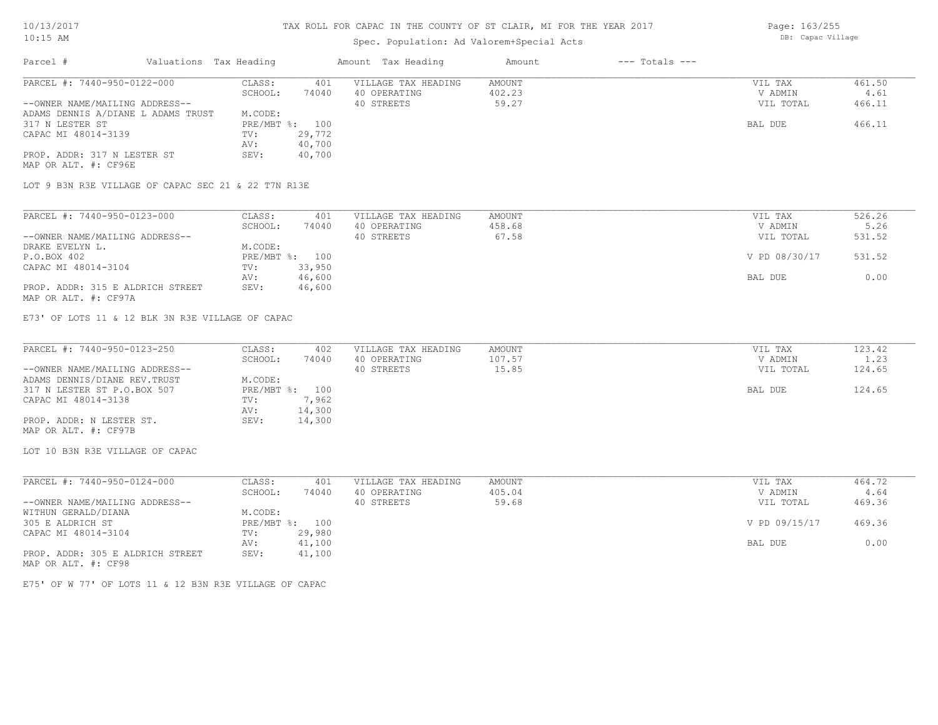## Spec. Population: Ad Valorem+Special Acts

| Parcel #                           | Valuations Tax Heading |                | Amount Tax Heading  | Amount | $---$ Totals $---$ |           |        |
|------------------------------------|------------------------|----------------|---------------------|--------|--------------------|-----------|--------|
| PARCEL #: 7440-950-0122-000        | CLASS:                 | 401            | VILLAGE TAX HEADING | AMOUNT |                    | VIL TAX   | 461.50 |
|                                    | SCHOOL:                | 74040          | 40 OPERATING        | 402.23 |                    | V ADMIN   | 4.61   |
| --OWNER NAME/MAILING ADDRESS--     |                        |                | 40 STREETS          | 59.27  |                    | VIL TOTAL | 466.11 |
| ADAMS DENNIS A/DIANE L ADAMS TRUST | M.CODE:                |                |                     |        |                    |           |        |
| 317 N LESTER ST                    |                        | PRE/MBT %: 100 |                     |        |                    | BAL DUE   | 466.11 |
| CAPAC MI 48014-3139                | TV:                    | 29,772         |                     |        |                    |           |        |
|                                    | AV:                    | 40,700         |                     |        |                    |           |        |
| PROP. ADDR: 317 N LESTER ST        | SEV:                   | 40,700         |                     |        |                    |           |        |
| MAP OR ALT. #: CF96E               |                        |                |                     |        |                    |           |        |

LOT 9 B3N R3E VILLAGE OF CAPAC SEC 21 & 22 T7N R13E

| PARCEL #: 7440-950-0123-000      | CLASS:  | 401            | VILLAGE TAX HEADING | AMOUNT | VIL TAX       | 526.26 |
|----------------------------------|---------|----------------|---------------------|--------|---------------|--------|
|                                  | SCHOOL: | 74040          | 40 OPERATING        | 458.68 | V ADMIN       | 5.26   |
| --OWNER NAME/MAILING ADDRESS--   |         |                | 40 STREETS          | 67.58  | VIL TOTAL     | 531.52 |
| DRAKE EVELYN L.                  | M.CODE: |                |                     |        |               |        |
| P.O.BOX 402                      |         | PRE/MBT %: 100 |                     |        | V PD 08/30/17 | 531.52 |
| CAPAC MI 48014-3104              | TV:     | 33,950         |                     |        |               |        |
|                                  | AV:     | 46,600         |                     |        | BAL DUE       | 0.00   |
| PROP. ADDR: 315 E ALDRICH STREET | SEV:    | 46,600         |                     |        |               |        |
| MAP OR ALT. #: CF97A             |         |                |                     |        |               |        |

E73' OF LOTS 11 & 12 BLK 3N R3E VILLAGE OF CAPAC

| PARCEL #: 7440-950-0123-250    | CLASS:  | 402            | VILLAGE TAX HEADING | AMOUNT | VIL TAX   | 123.42 |
|--------------------------------|---------|----------------|---------------------|--------|-----------|--------|
|                                | SCHOOL: | 74040          | 40 OPERATING        | 107.57 | V ADMIN   | 1.23   |
| --OWNER NAME/MAILING ADDRESS-- |         |                | 40 STREETS          | 15.85  | VIL TOTAL | 124.65 |
| ADAMS DENNIS/DIANE REV. TRUST  | M.CODE: |                |                     |        |           |        |
| 317 N LESTER ST P.O.BOX 507    |         | PRE/MBT %: 100 |                     |        | BAL DUE   | 124.65 |
| CAPAC MI 48014-3138            | TV:     | 7,962          |                     |        |           |        |
|                                | AV:     | 14,300         |                     |        |           |        |
| PROP. ADDR: N LESTER ST.       | SEV:    | 14,300         |                     |        |           |        |
| MAP OR ALT. #: CF97B           |         |                |                     |        |           |        |

LOT 10 B3N R3E VILLAGE OF CAPAC

| PARCEL #: 7440-950-0124-000      | CLASS:     | 401    | VILLAGE TAX HEADING | AMOUNT | VIL TAX       | 464.72 |
|----------------------------------|------------|--------|---------------------|--------|---------------|--------|
|                                  | SCHOOL:    | 74040  | 40 OPERATING        | 405.04 | V ADMIN       | 4.64   |
| --OWNER NAME/MAILING ADDRESS--   |            |        | 40 STREETS          | 59.68  | VIL TOTAL     | 469.36 |
| WITHUN GERALD/DIANA              | M.CODE:    |        |                     |        |               |        |
| 305 E ALDRICH ST                 | PRE/MBT %: | 100    |                     |        | V PD 09/15/17 | 469.36 |
| CAPAC MI 48014-3104              | TV:        | 29,980 |                     |        |               |        |
|                                  | AV:        | 41,100 |                     |        | BAL DUE       | 0.00   |
| PROP. ADDR: 305 E ALDRICH STREET | SEV:       | 41,100 |                     |        |               |        |
| MAP OR ALT. #: CF98              |            |        |                     |        |               |        |

E75' OF W 77' OF LOTS 11 & 12 B3N R3E VILLAGE OF CAPAC

Page: 163/255 DB: Capac Village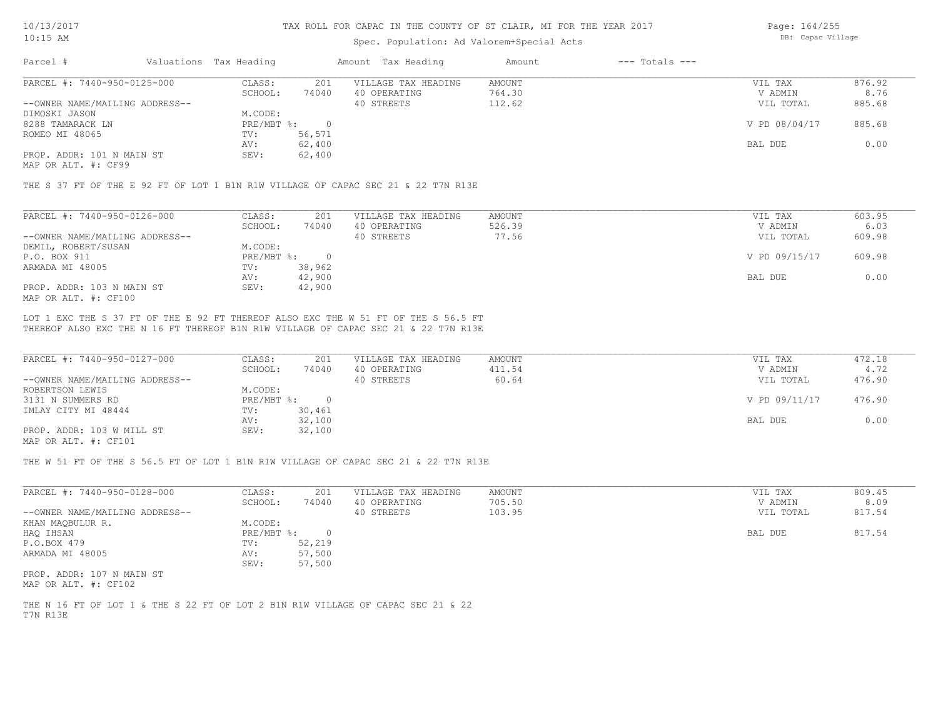### Spec. Population: Ad Valorem+Special Acts

Page: 164/255 DB: Capac Village

| Parcel #                       | Valuations Tax Heading |        | Amount Tax Heading  | Amount | $---$ Totals $---$ |               |        |
|--------------------------------|------------------------|--------|---------------------|--------|--------------------|---------------|--------|
| PARCEL #: 7440-950-0125-000    | CLASS:                 | 201    | VILLAGE TAX HEADING | AMOUNT |                    | VIL TAX       | 876.92 |
|                                | SCHOOL:                | 74040  | 40 OPERATING        | 764.30 |                    | V ADMIN       | 8.76   |
| --OWNER NAME/MAILING ADDRESS-- |                        |        | 40 STREETS          | 112.62 |                    | VIL TOTAL     | 885.68 |
| DIMOSKI JASON                  | M.CODE:                |        |                     |        |                    |               |        |
| 8288 TAMARACK LN               | $PRE/MBT$ %:           |        |                     |        |                    | V PD 08/04/17 | 885.68 |
| ROMEO MI 48065                 | TV:                    | 56,571 |                     |        |                    |               |        |
|                                | AV:                    | 62,400 |                     |        |                    | BAL DUE       | 0.00   |
| PROP. ADDR: 101 N MAIN ST      | SEV:                   | 62,400 |                     |        |                    |               |        |
|                                |                        |        |                     |        |                    |               |        |

MAP OR ALT. #: CF99

THE S 37 FT OF THE E 92 FT OF LOT 1 B1N R1W VILLAGE OF CAPAC SEC 21 & 22 T7N R13E

| PARCEL #: 7440-950-0126-000    | CLASS:     | 201    | VILLAGE TAX HEADING | AMOUNT | VIL TAX       | 603.95 |
|--------------------------------|------------|--------|---------------------|--------|---------------|--------|
|                                | SCHOOL:    | 74040  | 40 OPERATING        | 526.39 | V ADMIN       | 6.03   |
| --OWNER NAME/MAILING ADDRESS-- |            |        | 40 STREETS          | 77.56  | VIL TOTAL     | 609.98 |
| DEMIL, ROBERT/SUSAN            | M.CODE:    |        |                     |        |               |        |
| P.O. BOX 911                   | PRE/MBT %: |        |                     |        | V PD 09/15/17 | 609.98 |
| ARMADA MI 48005                | TV:        | 38,962 |                     |        |               |        |
|                                | AV:        | 42,900 |                     |        | BAL DUE       | 0.00   |
| PROP. ADDR: 103 N MAIN ST      | SEV:       | 42,900 |                     |        |               |        |
| MAP OR ALT. #: CF100           |            |        |                     |        |               |        |

THEREOF ALSO EXC THE N 16 FT THEREOF B1N R1W VILLAGE OF CAPAC SEC 21 & 22 T7N R13E LOT 1 EXC THE S 37 FT OF THE E 92 FT THEREOF ALSO EXC THE W 51 FT OF THE S 56.5 FT

| PARCEL #: 7440-950-0127-000    | CLASS:     | 201    | VILLAGE TAX HEADING | AMOUNT | VIL TAX       | 472.18 |
|--------------------------------|------------|--------|---------------------|--------|---------------|--------|
|                                | SCHOOL:    | 74040  | 40 OPERATING        | 411.54 | V ADMIN       | 4.72   |
| --OWNER NAME/MAILING ADDRESS-- |            |        | 40 STREETS          | 60.64  | VIL TOTAL     | 476.90 |
| ROBERTSON LEWIS                | M.CODE:    |        |                     |        |               |        |
| 3131 N SUMMERS RD              | PRE/MBT %: |        |                     |        | V PD 09/11/17 | 476.90 |
| IMLAY CITY MI 48444            | TV:        | 30,461 |                     |        |               |        |
|                                | AV:        | 32,100 |                     |        | BAL DUE       | 0.00   |
| PROP. ADDR: 103 W MILL ST      | SEV:       | 32,100 |                     |        |               |        |
| $\frac{1}{2}$                  |            |        |                     |        |               |        |

MAP OR ALT. #: CF101

THE W 51 FT OF THE S 56.5 FT OF LOT 1 B1N R1W VILLAGE OF CAPAC SEC 21 & 22 T7N R13E

| PARCEL #: 7440-950-0128-000    | CLASS:       | 201    | VILLAGE TAX HEADING | AMOUNT | VIL TAX   | 809.45 |
|--------------------------------|--------------|--------|---------------------|--------|-----------|--------|
|                                | SCHOOL:      | 74040  | 40 OPERATING        | 705.50 | V ADMIN   | 8.09   |
| --OWNER NAME/MAILING ADDRESS-- |              |        | 40 STREETS          | 103.95 | VIL TOTAL | 817.54 |
| KHAN MAOBULUR R.               | M.CODE:      |        |                     |        |           |        |
| HAQ IHSAN                      | $PRE/MBT$ %: |        |                     |        | BAL DUE   | 817.54 |
| P.O.BOX 479                    | TV:          | 52,219 |                     |        |           |        |
| ARMADA MI 48005                | AV:          | 57,500 |                     |        |           |        |
|                                | SEV:         | 57,500 |                     |        |           |        |
| PROP. ADDR: 107 N MAIN ST      |              |        |                     |        |           |        |

MAP OR ALT. #: CF102

T7N R13E THE N 16 FT OF LOT 1 & THE S 22 FT OF LOT 2 B1N R1W VILLAGE OF CAPAC SEC 21 & 22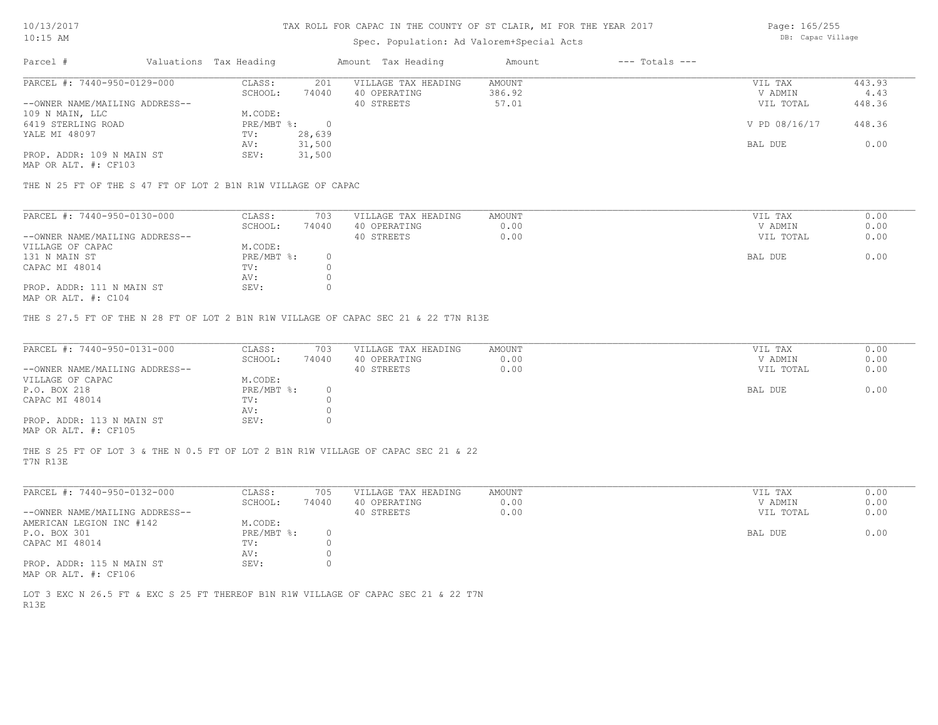## Spec. Population: Ad Valorem+Special Acts

Page: 165/255 DB: Capac Village

| Parcel #                       | Valuations Tax Heading |        | Amount Tax Heading  | Amount | $---$ Totals $---$ |               |        |
|--------------------------------|------------------------|--------|---------------------|--------|--------------------|---------------|--------|
| PARCEL #: 7440-950-0129-000    | CLASS:                 | 201    | VILLAGE TAX HEADING | AMOUNT |                    | VIL TAX       | 443.93 |
|                                | SCHOOL:                | 74040  | 40 OPERATING        | 386.92 |                    | V ADMIN       | 4.43   |
| --OWNER NAME/MAILING ADDRESS-- |                        |        | 40 STREETS          | 57.01  |                    | VIL TOTAL     | 448.36 |
| 109 N MAIN, LLC                | M.CODE:                |        |                     |        |                    |               |        |
| 6419 STERLING ROAD             | PRE/MBT %:             |        |                     |        |                    | V PD 08/16/17 | 448.36 |
| YALE MI 48097                  | TV:                    | 28,639 |                     |        |                    |               |        |
|                                | AV:                    | 31,500 |                     |        |                    | BAL DUE       | 0.00   |
| PROP. ADDR: 109 N MAIN ST      | SEV:                   | 31,500 |                     |        |                    |               |        |
| MAP OR ALT. #: CF103           |                        |        |                     |        |                    |               |        |

THE N 25 FT OF THE S 47 FT OF LOT 2 B1N R1W VILLAGE OF CAPAC

| PARCEL #: 7440-950-0130-000    | CLASS:     | 703   | VILLAGE TAX HEADING | AMOUNT | VIL TAX   | 0.00 |
|--------------------------------|------------|-------|---------------------|--------|-----------|------|
|                                | SCHOOL:    | 74040 | 40 OPERATING        | 0.00   | V ADMIN   | 0.00 |
| --OWNER NAME/MAILING ADDRESS-- |            |       | 40 STREETS          | 0.00   | VIL TOTAL | 0.00 |
| VILLAGE OF CAPAC               | M.CODE:    |       |                     |        |           |      |
| 131 N MAIN ST                  | PRE/MBT %: |       |                     |        | BAL DUE   | 0.00 |
| CAPAC MI 48014                 | TV:        |       |                     |        |           |      |
|                                | AV:        |       |                     |        |           |      |
| PROP. ADDR: 111 N MAIN ST      | SEV:       |       |                     |        |           |      |
|                                |            |       |                     |        |           |      |

MAP OR ALT. #: C104

THE S 27.5 FT OF THE N 28 FT OF LOT 2 B1N R1W VILLAGE OF CAPAC SEC 21 & 22 T7N R13E

| PARCEL #: 7440-950-0131-000    | CLASS:       | 703   | VILLAGE TAX HEADING | AMOUNT | VIL TAX   | 0.00 |
|--------------------------------|--------------|-------|---------------------|--------|-----------|------|
|                                | SCHOOL:      | 74040 | 40 OPERATING        | 0.00   | V ADMIN   | 0.00 |
| --OWNER NAME/MAILING ADDRESS-- |              |       | 40 STREETS          | 0.00   | VIL TOTAL | 0.00 |
| VILLAGE OF CAPAC               | M.CODE:      |       |                     |        |           |      |
| P.O. BOX 218                   | $PRE/MBT$ %: |       |                     |        | BAL DUE   | 0.00 |
| CAPAC MI 48014                 | TV:          |       |                     |        |           |      |
|                                | AV:          |       |                     |        |           |      |
| PROP. ADDR: 113 N MAIN ST      | SEV:         |       |                     |        |           |      |
| MAP OR ALT. #: CF105           |              |       |                     |        |           |      |

T7N R13E THE S 25 FT OF LOT 3 & THE N 0.5 FT OF LOT 2 B1N R1W VILLAGE OF CAPAC SEC 21 & 22

| PARCEL #: 7440-950-0132-000    | CLASS:     | 705   | VILLAGE TAX HEADING | AMOUNT | VIL TAX   | 0.00 |
|--------------------------------|------------|-------|---------------------|--------|-----------|------|
|                                | SCHOOL:    | 74040 | 40 OPERATING        | 0.00   | V ADMIN   | 0.00 |
| --OWNER NAME/MAILING ADDRESS-- |            |       | 40 STREETS          | 0.00   | VIL TOTAL | 0.00 |
| AMERICAN LEGION INC #142       | M.CODE:    |       |                     |        |           |      |
| P.O. BOX 301                   | PRE/MBT %: |       |                     |        | BAL DUE   | 0.00 |
| CAPAC MI 48014                 | TV:        |       |                     |        |           |      |
|                                | AV:        |       |                     |        |           |      |
| PROP. ADDR: 115 N MAIN ST      | SEV:       |       |                     |        |           |      |
| MAP OR ALT. #: CF106           |            |       |                     |        |           |      |

R13E LOT 3 EXC N 26.5 FT & EXC S 25 FT THEREOF B1N R1W VILLAGE OF CAPAC SEC 21 & 22 T7N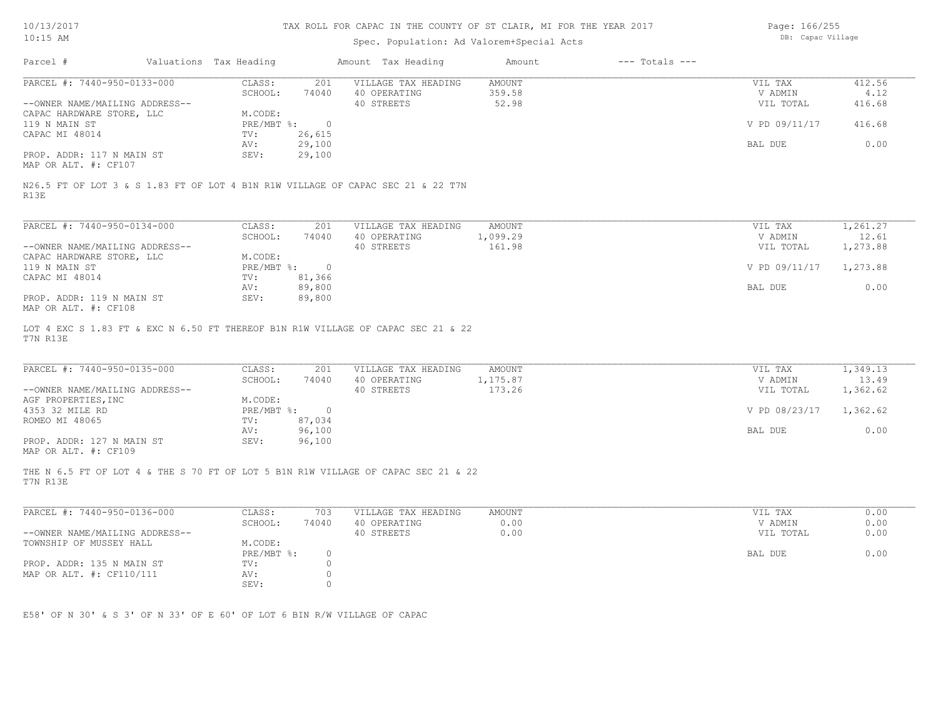# Spec. Population: Ad Valorem+Special Acts

Page: 166/255 DB: Capac Village

| Parcel #                                                                                      | Valuations Tax Heading |                | Amount Tax Heading         | Amount          | $---$ Totals $---$ |                      |                |
|-----------------------------------------------------------------------------------------------|------------------------|----------------|----------------------------|-----------------|--------------------|----------------------|----------------|
| PARCEL #: 7440-950-0133-000                                                                   | CLASS:                 | 201            | VILLAGE TAX HEADING        | <b>AMOUNT</b>   |                    | VIL TAX              | 412.56         |
| --OWNER NAME/MAILING ADDRESS--                                                                | SCHOOL:                | 74040          | 40 OPERATING<br>40 STREETS | 359.58<br>52.98 |                    | V ADMIN<br>VIL TOTAL | 4.12<br>416.68 |
| CAPAC HARDWARE STORE, LLC                                                                     | M.CODE:                |                |                            |                 |                    |                      |                |
| 119 N MAIN ST                                                                                 | PRE/MBT %:             | $\overline{0}$ |                            |                 |                    | V PD 09/11/17        | 416.68         |
| CAPAC MI 48014                                                                                | TV:                    | 26,615         |                            |                 |                    |                      |                |
|                                                                                               | AV:                    | 29,100         |                            |                 |                    | BAL DUE              | 0.00           |
| PROP. ADDR: 117 N MAIN ST                                                                     | SEV:                   | 29,100         |                            |                 |                    |                      |                |
| MAP OR ALT. #: CF107                                                                          |                        |                |                            |                 |                    |                      |                |
| N26.5 FT OF LOT 3 & S 1.83 FT OF LOT 4 B1N R1W VILLAGE OF CAPAC SEC 21 & 22 T7N<br>R13E       |                        |                |                            |                 |                    |                      |                |
| PARCEL #: 7440-950-0134-000                                                                   | CLASS:                 | 201            | VILLAGE TAX HEADING        | AMOUNT          |                    | VIL TAX              | 1,261.27       |
|                                                                                               | SCHOOL:                | 74040          | 40 OPERATING               | 1,099.29        |                    | V ADMIN              | 12.61          |
| --OWNER NAME/MAILING ADDRESS--                                                                |                        |                | 40 STREETS                 | 161.98          |                    | VIL TOTAL            | 1,273.88       |
| CAPAC HARDWARE STORE, LLC                                                                     | M.CODE:                |                |                            |                 |                    |                      |                |
| 119 N MAIN ST                                                                                 |                        | PRE/MBT %: 0   |                            |                 |                    | V PD 09/11/17        | 1,273.88       |
| CAPAC MI 48014                                                                                | TV:                    | 81,366         |                            |                 |                    |                      |                |
|                                                                                               | AV:                    | 89,800         |                            |                 |                    | BAL DUE              | 0.00           |
| PROP. ADDR: 119 N MAIN ST                                                                     | SEV:                   | 89,800         |                            |                 |                    |                      |                |
| MAP OR ALT. #: CF108                                                                          |                        |                |                            |                 |                    |                      |                |
| LOT 4 EXC S 1.83 FT & EXC N 6.50 FT THEREOF B1N R1W VILLAGE OF CAPAC SEC 21 & 22<br>T7N R13E  |                        |                |                            |                 |                    |                      |                |
| PARCEL #: 7440-950-0135-000                                                                   | CLASS:                 | 201            | VILLAGE TAX HEADING        | AMOUNT          |                    | VIL TAX              | 1,349.13       |
|                                                                                               | SCHOOL:                | 74040          | 40 OPERATING               | 1,175.87        |                    | V ADMIN              | 13.49          |
| --OWNER NAME/MAILING ADDRESS--                                                                |                        |                | 40 STREETS                 | 173.26          |                    | VIL TOTAL            | 1,362.62       |
| AGF PROPERTIES, INC                                                                           | M.CODE:                |                |                            |                 |                    |                      |                |
| 4353 32 MILE RD                                                                               | $PRE/MBT$ $\div$       | $\overline{0}$ |                            |                 |                    | V PD 08/23/17        | 1,362.62       |
| ROMEO MI 48065                                                                                | TV:                    | 87,034         |                            |                 |                    |                      |                |
|                                                                                               | AV:                    | 96,100         |                            |                 |                    | BAL DUE              | 0.00           |
| PROP. ADDR: 127 N MAIN ST<br>MAP OR ALT. #: CF109                                             | SEV:                   | 96,100         |                            |                 |                    |                      |                |
| THE N 6.5 FT OF LOT 4 & THE S 70 FT OF LOT 5 B1N R1W VILLAGE OF CAPAC SEC 21 & 22<br>T7N R13E |                        |                |                            |                 |                    |                      |                |
| PARCEL #: 7440-950-0136-000                                                                   | CLASS:                 | 703            | VILLAGE TAX HEADING        | AMOUNT          |                    | VIL TAX              | 0.00           |
|                                                                                               | SCHOOL:                | 74040          | 40 OPERATING               | 0.00            |                    | V ADMIN              | 0.00           |
| --OWNER NAME/MAILING ADDRESS--                                                                |                        |                | 40 STREETS                 | 0.00            |                    | VIL TOTAL            | 0.00           |
| TOWNSHIP OF MUSSEY HALL                                                                       | M.CODE:                |                |                            |                 |                    |                      |                |
|                                                                                               | PRE/MBT %:             | $\circ$        |                            |                 |                    | BAL DUE              | 0.00           |
| PROP. ADDR: 135 N MAIN ST                                                                     | TV:                    | $\circ$        |                            |                 |                    |                      |                |
| MAP OR ALT. #: CF110/111                                                                      | AV:                    | 0<br>$\circ$   |                            |                 |                    |                      |                |
|                                                                                               | SEV:                   |                |                            |                 |                    |                      |                |

E58' OF N 30' & S 3' OF N 33' OF E 60' OF LOT 6 BIN R/W VILLAGE OF CAPAC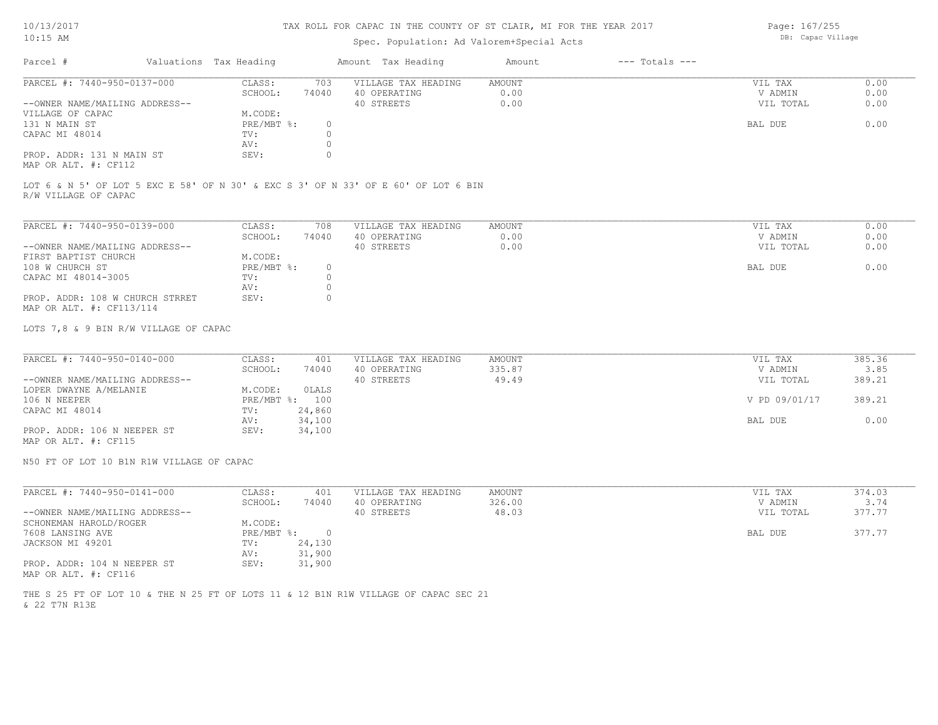## Spec. Population: Ad Valorem+Special Acts

| Parcel #                       | Valuations Tax Heading |       | Amount Tax Heading  | Amount | $---$ Totals $---$ |           |      |
|--------------------------------|------------------------|-------|---------------------|--------|--------------------|-----------|------|
| PARCEL #: 7440-950-0137-000    | CLASS:                 | 703   | VILLAGE TAX HEADING | AMOUNT |                    | VIL TAX   | 0.00 |
|                                | SCHOOL:                | 74040 | 40 OPERATING        | 0.00   |                    | V ADMIN   | 0.00 |
| --OWNER NAME/MAILING ADDRESS-- |                        |       | 40 STREETS          | 0.00   |                    | VIL TOTAL | 0.00 |
| VILLAGE OF CAPAC               | M.CODE:                |       |                     |        |                    |           |      |
| 131 N MAIN ST                  | PRE/MBT %:             |       |                     |        |                    | BAL DUE   | 0.00 |
| CAPAC MI 48014                 | TV:                    |       |                     |        |                    |           |      |
|                                | AV:                    |       |                     |        |                    |           |      |
| PROP. ADDR: 131 N MAIN ST      | SEV:                   |       |                     |        |                    |           |      |
|                                |                        |       |                     |        |                    |           |      |

MAP OR ALT. #: CF112

R/W VILLAGE OF CAPAC LOT 6 & N 5' OF LOT 5 EXC E 58' OF N 30' & EXC S 3' OF N 33' OF E 60' OF LOT 6 BIN

| PARCEL #: 7440-950-0139-000     | CLASS:     | 708   | VILLAGE TAX HEADING | AMOUNT | VIL TAX   | 0.00 |
|---------------------------------|------------|-------|---------------------|--------|-----------|------|
|                                 | SCHOOL:    | 74040 | 40 OPERATING        | 0.00   | V ADMIN   | 0.00 |
| --OWNER NAME/MAILING ADDRESS--  |            |       | 40 STREETS          | 0.00   | VIL TOTAL | 0.00 |
| FIRST BAPTIST CHURCH            | M.CODE:    |       |                     |        |           |      |
| 108 W CHURCH ST                 | PRE/MBT %: |       |                     |        | BAL DUE   | 0.00 |
| CAPAC MI 48014-3005             | TV:        |       |                     |        |           |      |
|                                 | AV:        |       |                     |        |           |      |
| PROP. ADDR: 108 W CHURCH STRRET | SEV:       |       |                     |        |           |      |
| MAP OR ALT. #: CF113/114        |            |       |                     |        |           |      |

LOTS 7,8 & 9 BIN R/W VILLAGE OF CAPAC

| PARCEL #: 7440-950-0140-000    | CLASS:       | 401    | VILLAGE TAX HEADING | AMOUNT | VIL TAX       | 385.36 |
|--------------------------------|--------------|--------|---------------------|--------|---------------|--------|
|                                | SCHOOL:      | 74040  | 40 OPERATING        | 335.87 | V ADMIN       | 3.85   |
| --OWNER NAME/MAILING ADDRESS-- |              |        | 40 STREETS          | 49.49  | VIL TOTAL     | 389.21 |
| LOPER DWAYNE A/MELANIE         | M.CODE:      | OLALS  |                     |        |               |        |
| 106 N NEEPER                   | $PRE/MBT$ %: | 100    |                     |        | V PD 09/01/17 | 389.21 |
| CAPAC MI 48014                 | TV:          | 24,860 |                     |        |               |        |
|                                | AV:          | 34,100 |                     |        | BAL DUE       | 0.00   |
| PROP. ADDR: 106 N NEEPER ST    | SEV:         | 34,100 |                     |        |               |        |
|                                |              |        |                     |        |               |        |

MAP OR ALT. #: CF115

N50 FT OF LOT 10 B1N R1W VILLAGE OF CAPAC

| PARCEL #: 7440-950-0141-000    | CLASS:     | 401    | VILLAGE TAX HEADING | AMOUNT | VIL TAX   | 374.03 |
|--------------------------------|------------|--------|---------------------|--------|-----------|--------|
|                                | SCHOOL:    | 74040  | 40 OPERATING        | 326.00 | V ADMIN   | 3.74   |
| --OWNER NAME/MAILING ADDRESS-- |            |        | 40 STREETS          | 48.03  | VIL TOTAL | 377.77 |
| SCHONEMAN HAROLD/ROGER         | M.CODE:    |        |                     |        |           |        |
| 7608 LANSING AVE               | PRE/MBT %: |        |                     |        | BAL DUE   | 377.77 |
| JACKSON MI 49201               | TV:        | 24,130 |                     |        |           |        |
|                                | AV:        | 31,900 |                     |        |           |        |
| PROP. ADDR: 104 N NEEPER ST    | SEV:       | 31,900 |                     |        |           |        |
| MAP OR ALT. #: CF116           |            |        |                     |        |           |        |

& 22 T7N R13E THE S 25 FT OF LOT 10 & THE N 25 FT OF LOTS 11 & 12 B1N R1W VILLAGE OF CAPAC SEC 21 Page: 167/255 DB: Capac Village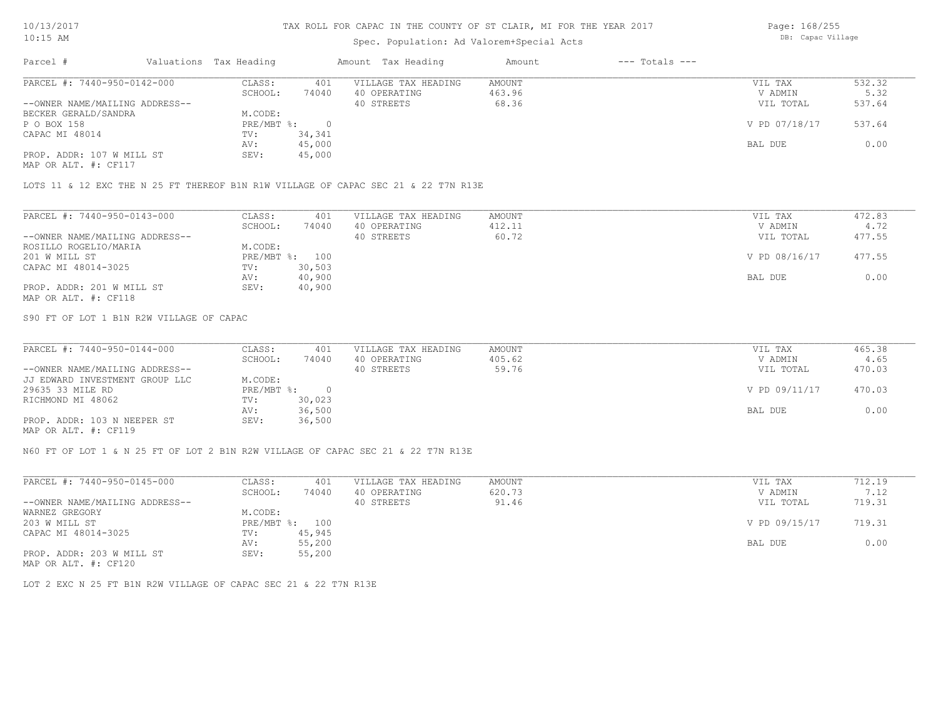### Spec. Population: Ad Valorem+Special Acts

Page: 168/255 DB: Capac Village

| Parcel #                       | Valuations Tax Heading |        | Amount Tax Heading  | Amount | $---$ Totals $---$ |               |        |
|--------------------------------|------------------------|--------|---------------------|--------|--------------------|---------------|--------|
| PARCEL #: 7440-950-0142-000    | CLASS:                 | 401    | VILLAGE TAX HEADING | AMOUNT |                    | VIL TAX       | 532.32 |
|                                | SCHOOL:                | 74040  | 40 OPERATING        | 463.96 |                    | V ADMIN       | 5.32   |
| --OWNER NAME/MAILING ADDRESS-- |                        |        | 40 STREETS          | 68.36  |                    | VIL TOTAL     | 537.64 |
| BECKER GERALD/SANDRA           | M.CODE:                |        |                     |        |                    |               |        |
| P O BOX 158                    | $PRE/MBT$ %:           |        |                     |        |                    | V PD 07/18/17 | 537.64 |
| CAPAC MI 48014                 | TV:                    | 34,341 |                     |        |                    |               |        |
|                                | AV:                    | 45,000 |                     |        |                    | BAL DUE       | 0.00   |
| PROP. ADDR: 107 W MILL ST      | SEV:                   | 45,000 |                     |        |                    |               |        |
| MAP OR ALT. #: CF117           |                        |        |                     |        |                    |               |        |

LOTS 11 & 12 EXC THE N 25 FT THEREOF B1N R1W VILLAGE OF CAPAC SEC 21 & 22 T7N R13E

| PARCEL #: 7440-950-0143-000    | CLASS:     | 401    | VILLAGE TAX HEADING | AMOUNT | VIL TAX       | 472.83 |
|--------------------------------|------------|--------|---------------------|--------|---------------|--------|
|                                | SCHOOL:    | 74040  | 40 OPERATING        | 412.11 | V ADMIN       | 4.72   |
| --OWNER NAME/MAILING ADDRESS-- |            |        | 40 STREETS          | 60.72  | VIL TOTAL     | 477.55 |
| ROSILLO ROGELIO/MARIA          | M.CODE:    |        |                     |        |               |        |
| 201 W MILL ST                  | PRE/MBT %: | 100    |                     |        | V PD 08/16/17 | 477.55 |
| CAPAC MI 48014-3025            | TV:        | 30,503 |                     |        |               |        |
|                                | AV:        | 40,900 |                     |        | BAL DUE       | 0.00   |
| PROP. ADDR: 201 W MILL ST      | SEV:       | 40,900 |                     |        |               |        |
| MAP OR ALT. #: CF118           |            |        |                     |        |               |        |

S90 FT OF LOT 1 B1N R2W VILLAGE OF CAPAC

| PARCEL #: 7440-950-0144-000    | CLASS:       | 401    | VILLAGE TAX HEADING | AMOUNT | VIL TAX       | 465.38 |
|--------------------------------|--------------|--------|---------------------|--------|---------------|--------|
|                                | SCHOOL:      | 74040  | 40 OPERATING        | 405.62 | V ADMIN       | 4.65   |
| --OWNER NAME/MAILING ADDRESS-- |              |        | 40 STREETS          | 59.76  | VIL TOTAL     | 470.03 |
| JJ EDWARD INVESTMENT GROUP LLC | M.CODE:      |        |                     |        |               |        |
| 29635 33 MILE RD               | $PRE/MBT$ %: |        |                     |        | V PD 09/11/17 | 470.03 |
| RICHMOND MI 48062              | TV:          | 30,023 |                     |        |               |        |
|                                | AV:          | 36,500 |                     |        | BAL DUE       | 0.00   |
| PROP. ADDR: 103 N NEEPER ST    | SEV:         | 36,500 |                     |        |               |        |
| $\frac{1}{2}$                  |              |        |                     |        |               |        |

MAP OR ALT. #: CF119

N60 FT OF LOT 1 & N 25 FT OF LOT 2 B1N R2W VILLAGE OF CAPAC SEC 21 & 22 T7N R13E

| PARCEL #: 7440-950-0145-000    | CLASS:  | 401            | VILLAGE TAX HEADING | AMOUNT | VIL TAX       | 712.19 |
|--------------------------------|---------|----------------|---------------------|--------|---------------|--------|
|                                | SCHOOL: | 74040          | 40 OPERATING        | 620.73 | V ADMIN       | 7.12   |
| --OWNER NAME/MAILING ADDRESS-- |         |                | 40 STREETS          | 91.46  | VIL TOTAL     | 719.31 |
| WARNEZ GREGORY                 | M.CODE: |                |                     |        |               |        |
| 203 W MILL ST                  |         | PRE/MBT %: 100 |                     |        | V PD 09/15/17 | 719.31 |
| CAPAC MI 48014-3025            | TV:     | 45,945         |                     |        |               |        |
|                                | AV:     | 55,200         |                     |        | BAL DUE       | 0.00   |
| PROP. ADDR: 203 W MILL ST      | SEV:    | 55,200         |                     |        |               |        |
| MAP OR ALT. #: CF120           |         |                |                     |        |               |        |

LOT 2 EXC N 25 FT B1N R2W VILLAGE OF CAPAC SEC 21 & 22 T7N R13E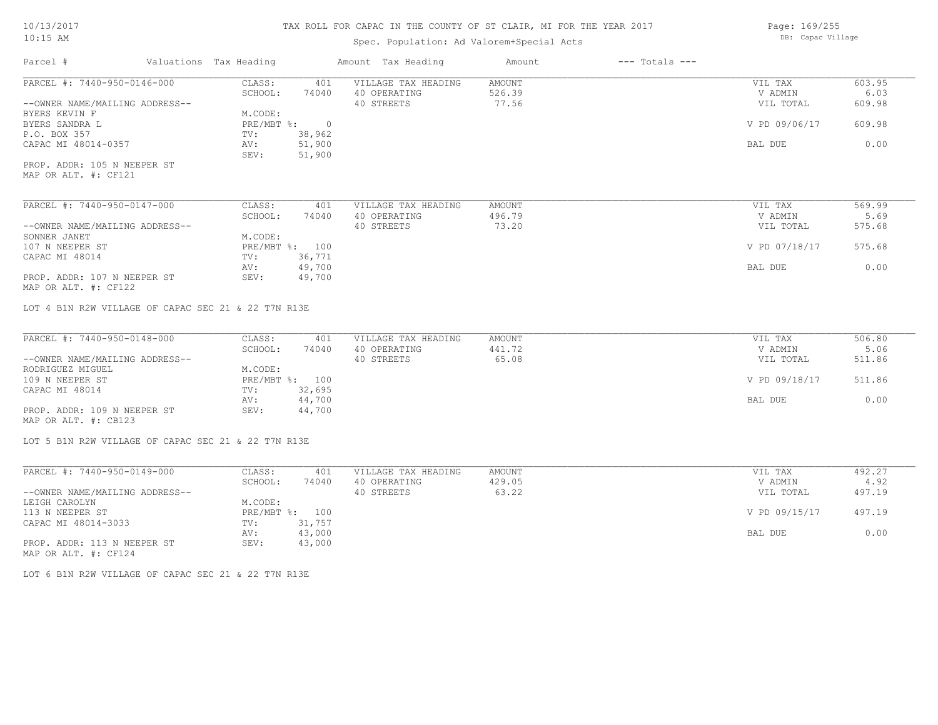# Spec. Population: Ad Valorem+Special Acts

Page: 169/255 DB: Capac Village

| Parcel #                                                      | Valuations Tax Heading |                          | Amount Tax Heading                                | Amount                    | $---$ Totals $---$ |                                 |                          |
|---------------------------------------------------------------|------------------------|--------------------------|---------------------------------------------------|---------------------------|--------------------|---------------------------------|--------------------------|
| PARCEL #: 7440-950-0146-000<br>--OWNER NAME/MAILING ADDRESS-- | CLASS:<br>SCHOOL:      | 401<br>74040             | VILLAGE TAX HEADING<br>40 OPERATING<br>40 STREETS | AMOUNT<br>526.39<br>77.56 |                    | VIL TAX<br>V ADMIN<br>VIL TOTAL | 603.95<br>6.03<br>609.98 |
| BYERS KEVIN F                                                 | M.CODE:                |                          |                                                   |                           |                    |                                 |                          |
| BYERS SANDRA L                                                | PRE/MBT %:             | $\overline{0}$           |                                                   |                           |                    | V PD 09/06/17                   | 609.98                   |
| P.O. BOX 357                                                  | TV:                    | 38,962                   |                                                   |                           |                    |                                 |                          |
| CAPAC MI 48014-0357                                           | AV:<br>SEV:            | 51,900                   |                                                   |                           |                    | BAL DUE                         | 0.00                     |
| PROP. ADDR: 105 N NEEPER ST                                   |                        | 51,900                   |                                                   |                           |                    |                                 |                          |
| MAP OR ALT. #: CF121                                          |                        |                          |                                                   |                           |                    |                                 |                          |
| PARCEL #: 7440-950-0147-000                                   | CLASS:                 | 401                      | VILLAGE TAX HEADING                               | <b>AMOUNT</b>             |                    | VIL TAX                         | 569.99                   |
|                                                               | SCHOOL:                | 74040                    | 40 OPERATING                                      | 496.79                    |                    | V ADMIN                         | 5.69                     |
| --OWNER NAME/MAILING ADDRESS--                                |                        |                          | 40 STREETS                                        | 73.20                     |                    | VIL TOTAL                       | 575.68                   |
| SONNER JANET                                                  | M.CODE:                |                          |                                                   |                           |                    |                                 |                          |
| 107 N NEEPER ST                                               |                        | PRE/MBT %: 100           |                                                   |                           |                    | V PD 07/18/17                   | 575.68                   |
| CAPAC MI 48014                                                | TV:                    | 36,771                   |                                                   |                           |                    |                                 |                          |
|                                                               | AV:                    | 49,700                   |                                                   |                           |                    | BAL DUE                         | 0.00                     |
| PROP. ADDR: 107 N NEEPER ST<br>MAP OR ALT. #: CF122           | SEV:                   | 49,700                   |                                                   |                           |                    |                                 |                          |
|                                                               |                        |                          |                                                   |                           |                    |                                 |                          |
| LOT 4 B1N R2W VILLAGE OF CAPAC SEC 21 & 22 T7N R13E           |                        |                          |                                                   |                           |                    |                                 |                          |
| PARCEL #: 7440-950-0148-000                                   | CLASS:                 | 401                      | VILLAGE TAX HEADING                               | AMOUNT                    |                    | VIL TAX                         | 506.80                   |
|                                                               | SCHOOL:                | 74040                    | 40 OPERATING                                      | 441.72                    |                    | V ADMIN                         | 5.06                     |
| --OWNER NAME/MAILING ADDRESS--                                |                        |                          | 40 STREETS                                        | 65.08                     |                    | VIL TOTAL                       | 511.86                   |
| RODRIGUEZ MIGUEL                                              | M.CODE:                |                          |                                                   |                           |                    |                                 |                          |
| 109 N NEEPER ST<br>CAPAC MI 48014                             | TV:                    | PRE/MBT %: 100<br>32,695 |                                                   |                           |                    | V PD 09/18/17                   | 511.86                   |
|                                                               | AV:                    | 44,700                   |                                                   |                           |                    | BAL DUE                         | 0.00                     |
| PROP. ADDR: 109 N NEEPER ST                                   | SEV:                   | 44,700                   |                                                   |                           |                    |                                 |                          |
| MAP OR ALT. #: CB123                                          |                        |                          |                                                   |                           |                    |                                 |                          |
| LOT 5 B1N R2W VILLAGE OF CAPAC SEC 21 & 22 T7N R13E           |                        |                          |                                                   |                           |                    |                                 |                          |
|                                                               |                        |                          |                                                   |                           |                    |                                 |                          |
| PARCEL #: 7440-950-0149-000                                   | CLASS:                 | 401                      | VILLAGE TAX HEADING                               | AMOUNT                    |                    | VIL TAX                         | 492.27                   |
|                                                               | SCHOOL:                | 74040                    | 40 OPERATING                                      | 429.05                    |                    | V ADMIN                         | 4.92                     |
| --OWNER NAME/MAILING ADDRESS--                                |                        |                          | 40 STREETS                                        | 63.22                     |                    | VIL TOTAL                       | 497.19                   |
| LEIGH CAROLYN                                                 | M.CODE:                |                          |                                                   |                           |                    |                                 |                          |
| 113 N NEEPER ST                                               |                        | PRE/MBT %: 100           |                                                   |                           |                    | V PD 09/15/17                   | 497.19                   |
| CAPAC MI 48014-3033                                           | TV:                    | 31,757                   |                                                   |                           |                    |                                 |                          |
|                                                               | AV:                    | 43,000                   |                                                   |                           |                    | BAL DUE                         | 0.00                     |
| PROP. ADDR: 113 N NEEPER ST<br>MAP OR ALT. #: CF124           | SEV:                   | 43,000                   |                                                   |                           |                    |                                 |                          |
|                                                               |                        |                          |                                                   |                           |                    |                                 |                          |

LOT 6 B1N R2W VILLAGE OF CAPAC SEC 21 & 22 T7N R13E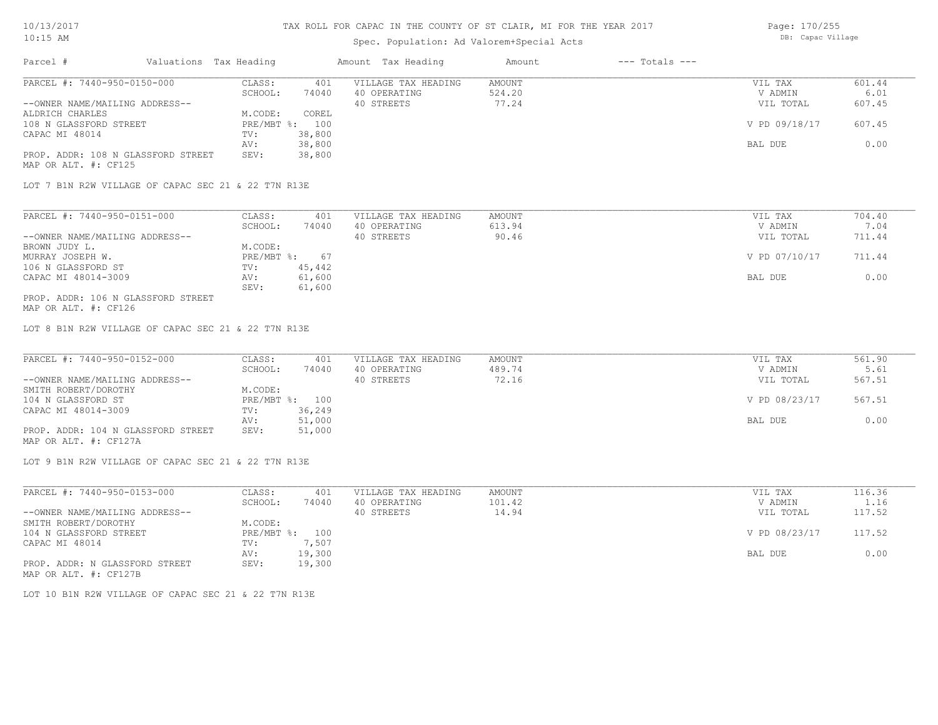## Spec. Population: Ad Valorem+Special Acts

| Parcel #                           | Valuations Tax Heading |                | Amount Tax Heading  | Amount | $---$ Totals $---$ |               |        |
|------------------------------------|------------------------|----------------|---------------------|--------|--------------------|---------------|--------|
| PARCEL #: 7440-950-0150-000        | CLASS:                 | 401            | VILLAGE TAX HEADING | AMOUNT |                    | VIL TAX       | 601.44 |
|                                    | SCHOOL:                | 74040          | 40 OPERATING        | 524.20 |                    | V ADMIN       | 6.01   |
| --OWNER NAME/MAILING ADDRESS--     |                        |                | 40 STREETS          | 77.24  |                    | VIL TOTAL     | 607.45 |
| ALDRICH CHARLES                    | M.CODE:                | COREL          |                     |        |                    |               |        |
| 108 N GLASSFORD STREET             |                        | PRE/MBT %: 100 |                     |        |                    | V PD 09/18/17 | 607.45 |
| CAPAC MI 48014                     | TV:                    | 38,800         |                     |        |                    |               |        |
|                                    | AV:                    | 38,800         |                     |        |                    | BAL DUE       | 0.00   |
| PROP. ADDR: 108 N GLASSFORD STREET | SEV:                   | 38,800         |                     |        |                    |               |        |
| MAP OR ALT. #: CF125               |                        |                |                     |        |                    |               |        |

LOT 7 B1N R2W VILLAGE OF CAPAC SEC 21 & 22 T7N R13E

| PARCEL #: 7440-950-0151-000        | CLASS:       | 401    | VILLAGE TAX HEADING | AMOUNT | VIL TAX       | 704.40 |
|------------------------------------|--------------|--------|---------------------|--------|---------------|--------|
|                                    | SCHOOL:      | 74040  | 40 OPERATING        | 613.94 | V ADMIN       | 7.04   |
| --OWNER NAME/MAILING ADDRESS--     |              |        | 40 STREETS          | 90.46  | VIL TOTAL     | 711.44 |
| BROWN JUDY L.                      | M.CODE:      |        |                     |        |               |        |
| MURRAY JOSEPH W.                   | $PRE/MBT$ %: | 67     |                     |        | V PD 07/10/17 | 711.44 |
| 106 N GLASSFORD ST                 | TV:          | 45,442 |                     |        |               |        |
| CAPAC MI 48014-3009                | AV:          | 61,600 |                     |        | BAL DUE       | 0.00   |
|                                    | SEV:         | 61,600 |                     |        |               |        |
| PROP. ADDR: 106 N GLASSFORD STREET |              |        |                     |        |               |        |

MAP OR ALT. #: CF126

LOT 8 B1N R2W VILLAGE OF CAPAC SEC 21 & 22 T7N R13E

| PARCEL #: 7440-950-0152-000        | CLASS:  | 401            | VILLAGE TAX HEADING | AMOUNT | VIL TAX       | 561.90 |
|------------------------------------|---------|----------------|---------------------|--------|---------------|--------|
|                                    | SCHOOL: | 74040          | 40 OPERATING        | 489.74 | V ADMIN       | 5.61   |
| --OWNER NAME/MAILING ADDRESS--     |         |                | 40 STREETS          | 72.16  | VIL TOTAL     | 567.51 |
| SMITH ROBERT/DOROTHY               | M.CODE: |                |                     |        |               |        |
| 104 N GLASSFORD ST                 |         | PRE/MBT %: 100 |                     |        | V PD 08/23/17 | 567.51 |
| CAPAC MI 48014-3009                | TV:     | 36,249         |                     |        |               |        |
|                                    | AV:     | 51,000         |                     |        | BAL DUE       | 0.00   |
| PROP. ADDR: 104 N GLASSFORD STREET | SEV:    | 51,000         |                     |        |               |        |
| MAP OR ALT. #: CF127A              |         |                |                     |        |               |        |

LOT 9 B1N R2W VILLAGE OF CAPAC SEC 21 & 22 T7N R13E

| PARCEL #: 7440-950-0153-000    | CLASS:     | 401    | VILLAGE TAX HEADING | AMOUNT | VIL TAX       | 116.36 |
|--------------------------------|------------|--------|---------------------|--------|---------------|--------|
|                                | SCHOOL:    | 74040  | 40 OPERATING        | 101.42 | V ADMIN       | 1.16   |
| --OWNER NAME/MAILING ADDRESS-- |            |        | 40 STREETS          | 14.94  | VIL TOTAL     | 117.52 |
| SMITH ROBERT/DOROTHY           | M.CODE:    |        |                     |        |               |        |
| 104 N GLASSFORD STREET         | PRE/MBT %: | 100    |                     |        | V PD 08/23/17 | 117.52 |
| CAPAC MI 48014                 | TV:        | 7,507  |                     |        |               |        |
|                                | AV:        | 19,300 |                     |        | BAL DUE       | 0.00   |
| PROP. ADDR: N GLASSFORD STREET | SEV:       | 19,300 |                     |        |               |        |
| MAP OR ALT. #: CF127B          |            |        |                     |        |               |        |

LOT 10 B1N R2W VILLAGE OF CAPAC SEC 21 & 22 T7N R13E

Page: 170/255 DB: Capac Village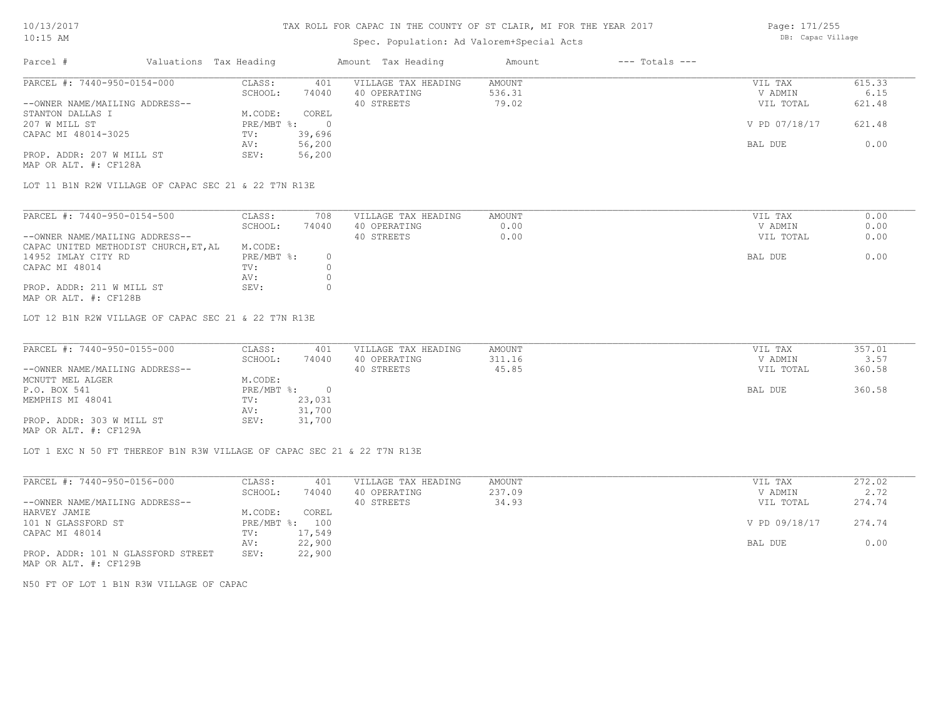## Spec. Population: Ad Valorem+Special Acts

Page: 171/255 DB: Capac Village

| Parcel #                                           | Valuations Tax Heading    |        | Amount Tax Heading  | Amount | $---$ Totals $---$ |               |        |
|----------------------------------------------------|---------------------------|--------|---------------------|--------|--------------------|---------------|--------|
| PARCEL #: 7440-950-0154-000                        | CLASS:                    | 401    | VILLAGE TAX HEADING | AMOUNT |                    | VIL TAX       | 615.33 |
|                                                    | SCHOOL:                   | 74040  | 40 OPERATING        | 536.31 |                    | V ADMIN       | 6.15   |
| --OWNER NAME/MAILING ADDRESS--                     |                           |        | 40 STREETS          | 79.02  |                    | VIL TOTAL     | 621.48 |
| STANTON DALLAS I                                   | M.CODE:                   | COREL  |                     |        |                    |               |        |
| 207 W MILL ST                                      | $PRE/MBT$ $\frac{1}{6}$ : |        |                     |        |                    | V PD 07/18/17 | 621.48 |
| CAPAC MI 48014-3025                                | TV:                       | 39,696 |                     |        |                    |               |        |
|                                                    | AV:                       | 56,200 |                     |        |                    | BAL DUE       | 0.00   |
| PROP. ADDR: 207 W MILL ST<br>MAP OR ALT. #: CF128A | SEV:                      | 56,200 |                     |        |                    |               |        |

LOT 11 B1N R2W VILLAGE OF CAPAC SEC 21 & 22 T7N R13E

| PARCEL #: 7440-950-0154-500           | CLASS:     | 708   | VILLAGE TAX HEADING | AMOUNT | VIL TAX   | 0.00 |
|---------------------------------------|------------|-------|---------------------|--------|-----------|------|
|                                       | SCHOOL:    | 74040 | 40 OPERATING        | 0.00   | V ADMIN   | 0.00 |
| --OWNER NAME/MAILING ADDRESS--        |            |       | 40 STREETS          | 0.00   | VIL TOTAL | 0.00 |
| CAPAC UNITED METHODIST CHURCH, ET, AL | M.CODE:    |       |                     |        |           |      |
| 14952 IMLAY CITY RD                   | PRE/MBT %: |       |                     |        | BAL DUE   | 0.00 |
| CAPAC MI 48014                        | TV:        |       |                     |        |           |      |
|                                       | AV:        |       |                     |        |           |      |
| PROP. ADDR: 211 W MILL ST             | SEV:       |       |                     |        |           |      |

MAP OR ALT. #: CF128B

LOT 12 B1N R2W VILLAGE OF CAPAC SEC 21 & 22 T7N R13E

| PARCEL #: 7440-950-0155-000    | CLASS:     | 401    | VILLAGE TAX HEADING | AMOUNT | VIL TAX   | 357.01 |
|--------------------------------|------------|--------|---------------------|--------|-----------|--------|
|                                | SCHOOL:    | 74040  | 40 OPERATING        | 311.16 | V ADMIN   | 3.57   |
| --OWNER NAME/MAILING ADDRESS-- |            |        | 40 STREETS          | 45.85  | VIL TOTAL | 360.58 |
| MCNUTT MEL ALGER               | M.CODE:    |        |                     |        |           |        |
| P.O. BOX 541                   | PRE/MBT %: |        |                     |        | BAL DUE   | 360.58 |
| MEMPHIS MI 48041               | TV:        | 23,031 |                     |        |           |        |
|                                | AV:        | 31,700 |                     |        |           |        |
| PROP. ADDR: 303 W MILL ST      | SEV:       | 31,700 |                     |        |           |        |
| MAP OR ALT. #: CF129A          |            |        |                     |        |           |        |

 $\mathcal{L}_\mathcal{L} = \mathcal{L}_\mathcal{L} = \mathcal{L}_\mathcal{L} = \mathcal{L}_\mathcal{L} = \mathcal{L}_\mathcal{L} = \mathcal{L}_\mathcal{L} = \mathcal{L}_\mathcal{L} = \mathcal{L}_\mathcal{L} = \mathcal{L}_\mathcal{L} = \mathcal{L}_\mathcal{L} = \mathcal{L}_\mathcal{L} = \mathcal{L}_\mathcal{L} = \mathcal{L}_\mathcal{L} = \mathcal{L}_\mathcal{L} = \mathcal{L}_\mathcal{L} = \mathcal{L}_\mathcal{L} = \mathcal{L}_\mathcal{L}$ 

LOT 1 EXC N 50 FT THEREOF B1N R3W VILLAGE OF CAPAC SEC 21 & 22 T7N R13E

| PARCEL #: 7440-950-0156-000        | CLASS:       | 401    | VILLAGE TAX HEADING | AMOUNT | VIL TAX       | 272.02 |
|------------------------------------|--------------|--------|---------------------|--------|---------------|--------|
|                                    | SCHOOL:      | 74040  | 40 OPERATING        | 237.09 | V ADMIN       | 2.72   |
| --OWNER NAME/MAILING ADDRESS--     |              |        | 40 STREETS          | 34.93  | VIL TOTAL     | 274.74 |
| HARVEY JAMIE                       | M.CODE:      | COREL  |                     |        |               |        |
| 101 N GLASSFORD ST                 | $PRE/MBT$ %: | 100    |                     |        | V PD 09/18/17 | 274.74 |
| CAPAC MI 48014                     | TV:          | 17,549 |                     |        |               |        |
|                                    | AV:          | 22,900 |                     |        | BAL DUE       | 0.00   |
| PROP. ADDR: 101 N GLASSFORD STREET | SEV:         | 22,900 |                     |        |               |        |
|                                    |              |        |                     |        |               |        |

MAP OR ALT. #: CF129B

N50 FT OF LOT 1 B1N R3W VILLAGE OF CAPAC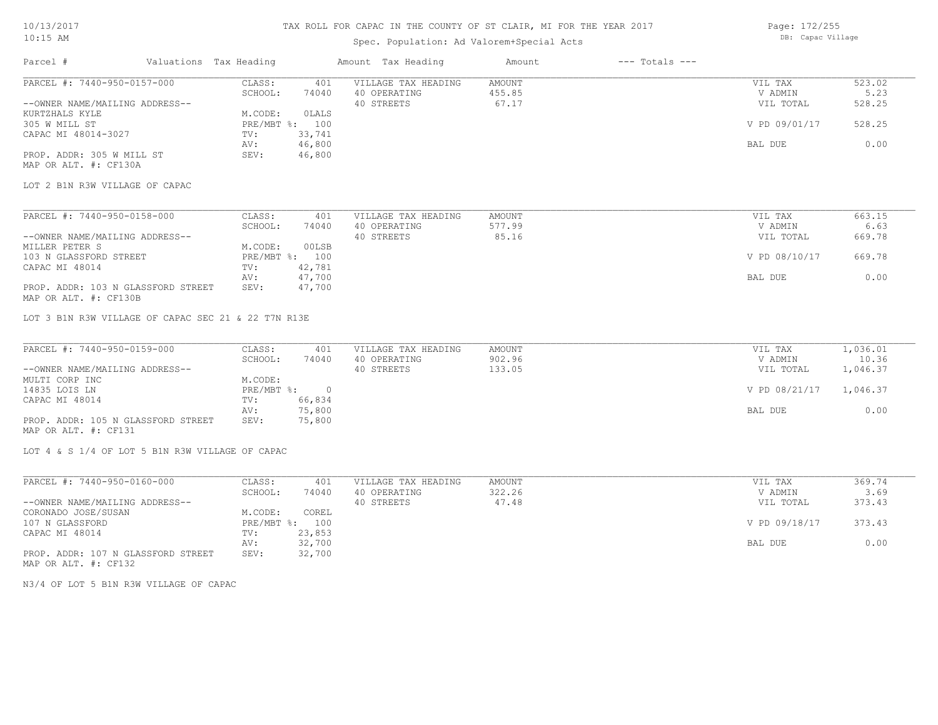N3/4 OF LOT 5 B1N R3W VILLAGE OF CAPAC

PROP. ADDR: 107 N GLASSFORD STREET SEV: 32,700

CAPAC MI 48014 TV: 23,853<br>
AV: 32,700

CORONADO JOSE/SUSAN M.CODE: COREL

MAP OR ALT. #: CF132

### TAX ROLL FOR CAPAC IN THE COUNTY OF ST CLAIR, MI FOR THE YEAR 2017

### Spec. Population: Ad Valorem+Special Acts

Page: 172/255 DB: Capac Village

| Parcel #                                            | Valuations Tax Heading       | Amount Tax Heading  | Amount<br>$---$ Totals $---$ |                |          |
|-----------------------------------------------------|------------------------------|---------------------|------------------------------|----------------|----------|
| PARCEL #: 7440-950-0157-000                         | CLASS:<br>401                | VILLAGE TAX HEADING | <b>AMOUNT</b>                | VIL TAX        | 523.02   |
|                                                     | SCHOOL:<br>74040             | 40 OPERATING        | 455.85                       | V ADMIN        | 5.23     |
| --OWNER NAME/MAILING ADDRESS--                      |                              | 40 STREETS          | 67.17                        | VIL TOTAL      | 528.25   |
| KURTZHALS KYLE                                      | M.CODE:<br>0LALS             |                     |                              |                |          |
| 305 W MILL ST                                       | PRE/MBT %:<br>100            |                     |                              | V PD 09/01/17  | 528.25   |
| CAPAC MI 48014-3027                                 | 33,741<br>TV:                |                     |                              |                |          |
|                                                     | 46,800<br>AV:                |                     |                              | BAL DUE        | 0.00     |
| PROP. ADDR: 305 W MILL ST                           | 46,800<br>SEV:               |                     |                              |                |          |
| MAP OR ALT. #: CF130A                               |                              |                     |                              |                |          |
|                                                     |                              |                     |                              |                |          |
| LOT 2 B1N R3W VILLAGE OF CAPAC                      |                              |                     |                              |                |          |
|                                                     |                              |                     |                              |                |          |
| PARCEL #: 7440-950-0158-000                         | CLASS:<br>401                | VILLAGE TAX HEADING | AMOUNT                       | VIL TAX        | 663.15   |
|                                                     | SCHOOL:<br>74040             | 40 OPERATING        | 577.99                       | V ADMIN        | 6.63     |
| --OWNER NAME/MAILING ADDRESS--                      |                              | 40 STREETS          | 85.16                        | VIL TOTAL      | 669.78   |
| MILLER PETER S                                      | 00LSB<br>M.CODE:             |                     |                              |                |          |
| 103 N GLASSFORD STREET                              | PRE/MBT %: 100               |                     |                              | V PD 08/10/17  | 669.78   |
| CAPAC MI 48014                                      | 42,781<br>TV:                |                     |                              |                |          |
|                                                     | 47,700<br>AV:                |                     |                              | <b>BAL DUE</b> | 0.00     |
| PROP. ADDR: 103 N GLASSFORD STREET                  | 47,700<br>SEV:               |                     |                              |                |          |
| MAP OR ALT. #: CF130B                               |                              |                     |                              |                |          |
| LOT 3 B1N R3W VILLAGE OF CAPAC SEC 21 & 22 T7N R13E |                              |                     |                              |                |          |
|                                                     |                              |                     |                              |                |          |
| PARCEL #: 7440-950-0159-000                         | CLASS:<br>401                | VILLAGE TAX HEADING | <b>AMOUNT</b>                | VIL TAX        | 1,036.01 |
|                                                     | SCHOOL:<br>74040             | 40 OPERATING        | 902.96                       | V ADMIN        | 10.36    |
| --OWNER NAME/MAILING ADDRESS--                      |                              | 40 STREETS          | 133.05                       | VIL TOTAL      | 1,046.37 |
| MULTI CORP INC                                      | M.CODE:                      |                     |                              |                |          |
| 14835 LOIS LN                                       | $\overline{0}$<br>PRE/MBT %: |                     |                              | V PD 08/21/17  | 1,046.37 |
| CAPAC MI 48014                                      | 66,834<br>TV:                |                     |                              |                |          |
|                                                     | 75,800<br>AV:                |                     |                              | BAL DUE        | 0.00     |
| PROP. ADDR: 105 N GLASSFORD STREET                  | SEV:<br>75,800               |                     |                              |                |          |
| MAP OR ALT. #: CF131                                |                              |                     |                              |                |          |
| LOT 4 & S 1/4 OF LOT 5 B1N R3W VILLAGE OF CAPAC     |                              |                     |                              |                |          |
| PARCEL #: 7440-950-0160-000                         | CLASS:<br>401                | VILLAGE TAX HEADING | <b>AMOUNT</b>                | VIL TAX        | 369.74   |
|                                                     | SCHOOL:<br>74040             | 40 OPERATING        | 322.26                       | V ADMIN        | 3.69     |
| --OWNER NAME/MAILING ADDRESS--                      |                              | 40 STREETS          | 47.48                        | VIL TOTAL      | 373.43   |
|                                                     |                              |                     |                              |                |          |

AV: 32,700 BAL DUE 0.00

107 N GLASSFORD PRE/MBT %: 100 V PD 09/18/17 373.43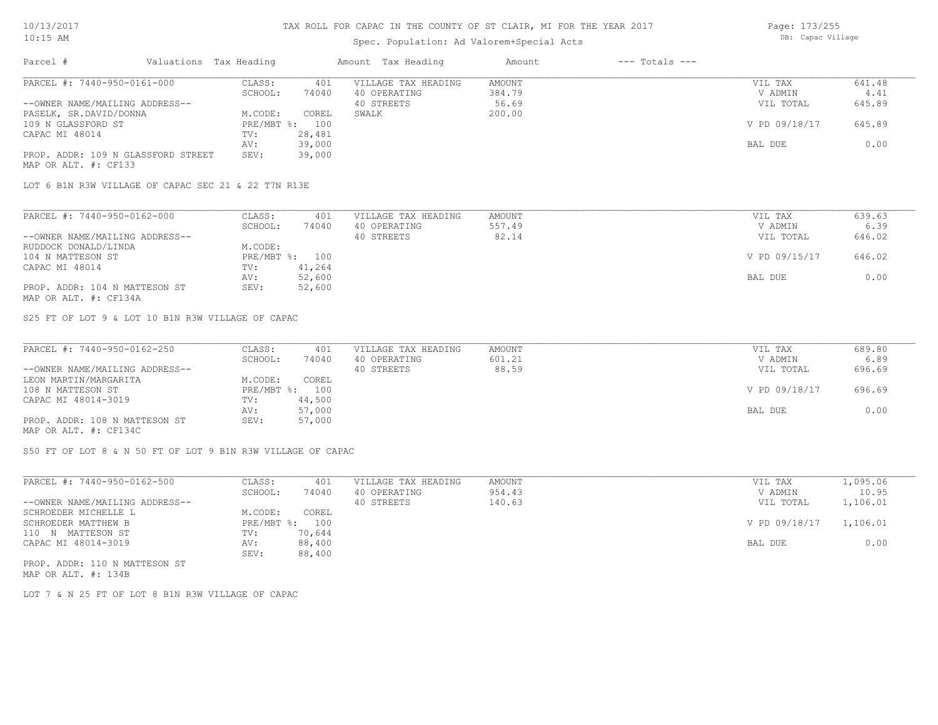### Spec. Population: Ad Valorem+Special Acts

| Page: 173/255     |
|-------------------|
| DB: Capac Village |

| Parcel #                           | Valuations Tax Heading |        | Amount Tax Heading  | Amount | $---$ Totals $---$ |               |        |
|------------------------------------|------------------------|--------|---------------------|--------|--------------------|---------------|--------|
| PARCEL #: 7440-950-0161-000        | CLASS:                 | 401    | VILLAGE TAX HEADING | AMOUNT |                    | VIL TAX       | 641.48 |
|                                    | SCHOOL:                | 74040  | 40 OPERATING        | 384.79 |                    | V ADMIN       | 4.41   |
| --OWNER NAME/MAILING ADDRESS--     |                        |        | 40 STREETS          | 56.69  |                    | VIL TOTAL     | 645.89 |
| PASELK, SR.DAVID/DONNA             | M.CODE:                | COREL  | SWALK               | 200.00 |                    |               |        |
| 109 N GLASSFORD ST                 | $PRE/MBT$ %:           | 100    |                     |        |                    | V PD 09/18/17 | 645.89 |
| CAPAC MI 48014                     | TV:                    | 28,481 |                     |        |                    |               |        |
|                                    | AV:                    | 39,000 |                     |        |                    | BAL DUE       | 0.00   |
| PROP. ADDR: 109 N GLASSFORD STREET | SEV:                   | 39,000 |                     |        |                    |               |        |
| MAP OR ALT. #: CF133               |                        |        |                     |        |                    |               |        |

LOT 6 B1N R3W VILLAGE OF CAPAC SEC 21 & 22 T7N R13E

| PARCEL #: 7440-950-0162-000    | CLASS:  | 401            | VILLAGE TAX HEADING | AMOUNT | VIL TAX       | 639.63 |
|--------------------------------|---------|----------------|---------------------|--------|---------------|--------|
|                                | SCHOOL: | 74040          | 40 OPERATING        | 557.49 | V ADMIN       | 6.39   |
| --OWNER NAME/MAILING ADDRESS-- |         |                | 40 STREETS          | 82.14  | VIL TOTAL     | 646.02 |
| RUDDOCK DONALD/LINDA           | M.CODE: |                |                     |        |               |        |
| 104 N MATTESON ST              |         | PRE/MBT %: 100 |                     |        | V PD 09/15/17 | 646.02 |
| CAPAC MI 48014                 | TV:     | 41,264         |                     |        |               |        |
|                                | AV:     | 52,600         |                     |        | BAL DUE       | 0.00   |
| PROP. ADDR: 104 N MATTESON ST  | SEV:    | 52,600         |                     |        |               |        |
| MAP OR ALT. #: CF134A          |         |                |                     |        |               |        |

S25 FT OF LOT 9 & LOT 10 B1N R3W VILLAGE OF CAPAC

| PARCEL #: 7440-950-0162-250    | CLASS:  | 401            | VILLAGE TAX HEADING | AMOUNT | VIL TAX       | 689.80 |
|--------------------------------|---------|----------------|---------------------|--------|---------------|--------|
|                                | SCHOOL: | 74040          | 40 OPERATING        | 601.21 | V ADMIN       | 6.89   |
| --OWNER NAME/MAILING ADDRESS-- |         |                | 40 STREETS          | 88.59  | VIL TOTAL     | 696.69 |
| LEON MARTIN/MARGARITA          | M.CODE: | COREL          |                     |        |               |        |
| 108 N MATTESON ST              |         | PRE/MBT %: 100 |                     |        | V PD 09/18/17 | 696.69 |
| CAPAC MI 48014-3019            | TV:     | 44,500         |                     |        |               |        |
|                                | AV:     | 57,000         |                     |        | BAL DUE       | 0.00   |
| PROP. ADDR: 108 N MATTESON ST  | SEV:    | 57,000         |                     |        |               |        |
| MAP OR ALT. #: CF134C          |         |                |                     |        |               |        |

S50 FT OF LOT 8 & N 50 FT OF LOT 9 B1N R3W VILLAGE OF CAPAC

| PARCEL #: 7440-950-0162-500    | CLASS:             | 401    | VILLAGE TAX HEADING | AMOUNT | VIL TAX       | 1,095.06 |
|--------------------------------|--------------------|--------|---------------------|--------|---------------|----------|
|                                | SCHOOL:            | 74040  | 40 OPERATING        | 954.43 | V ADMIN       | 10.95    |
| --OWNER NAME/MAILING ADDRESS-- |                    |        | 40 STREETS          | 140.63 | VIL TOTAL     | 1,106.01 |
| SCHROEDER MICHELLE L           | M.CODE:            | COREL  |                     |        |               |          |
| SCHROEDER MATTHEW B            | $PRE/MBT$ $\div$ : | 100    |                     |        | V PD 09/18/17 | 1,106.01 |
| 110 N MATTESON ST              | TV:                | 70,644 |                     |        |               |          |
| CAPAC MI 48014-3019            | AV:                | 88,400 |                     |        | BAL DUE       | 0.00     |
|                                | SEV:               | 88,400 |                     |        |               |          |
| PROP. ADDR: 110 N MATTESON ST  |                    |        |                     |        |               |          |

MAP OR ALT. #: 134B

LOT 7 & N 25 FT OF LOT 8 B1N R3W VILLAGE OF CAPAC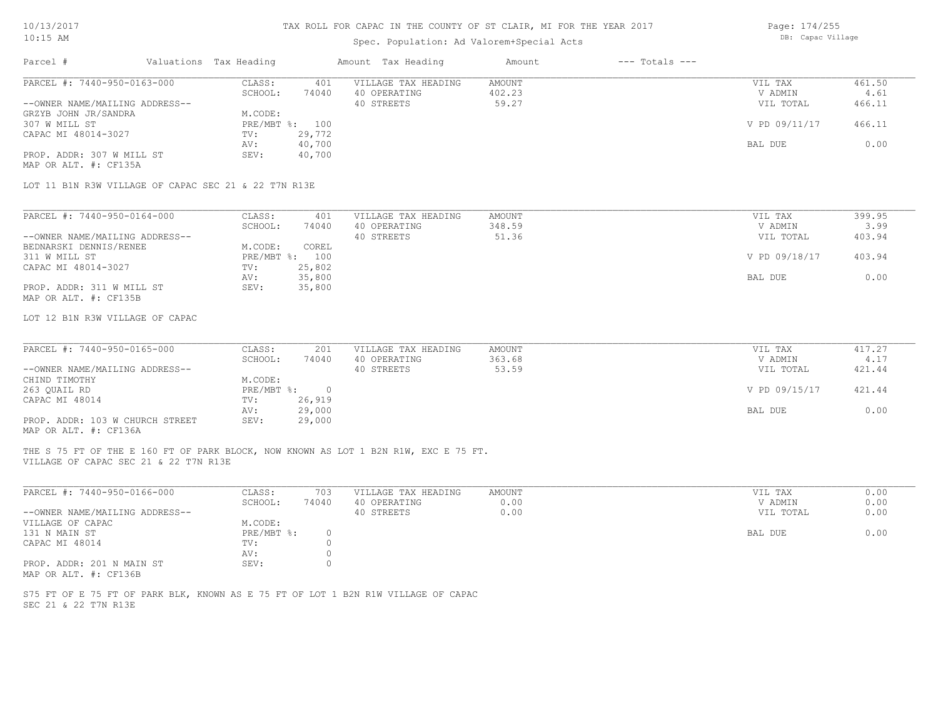# Spec. Population: Ad Valorem+Special Acts

Page: 174/255 DB: Capac Village

| PARCEL #: 7440-950-0163-000<br>CLASS:<br>401<br>VILLAGE TAX HEADING<br><b>AMOUNT</b><br>VIL TAX<br>SCHOOL:<br>74040<br>40 OPERATING<br>402.23<br>V ADMIN<br>40 STREETS<br>59.27<br>VIL TOTAL<br>--OWNER NAME/MAILING ADDRESS--<br>GRZYB JOHN JR/SANDRA<br>M.CODE:<br>307 W MILL ST<br>V PD 09/11/17<br>PRE/MBT %: 100<br>CAPAC MI 48014-3027<br>TV:<br>29,772<br>AV:<br>40,700<br>BAL DUE<br>40,700<br>PROP. ADDR: 307 W MILL ST<br>SEV:<br>MAP OR ALT. #: CF135A<br>LOT 11 B1N R3W VILLAGE OF CAPAC SEC 21 & 22 T7N R13E<br>PARCEL #: 7440-950-0164-000<br>CLASS:<br>AMOUNT<br>401<br>VILLAGE TAX HEADING<br>VIL TAX<br>348.59<br>SCHOOL:<br>74040<br>40 OPERATING<br>V ADMIN<br>40 STREETS<br>51.36<br>--OWNER NAME/MAILING ADDRESS--<br>VIL TOTAL<br>BEDNARSKI DENNIS/RENEE<br>M.CODE:<br>COREL<br>V PD 09/18/17<br>311 W MILL ST<br>PRE/MBT %: 100<br>CAPAC MI 48014-3027<br>25,802<br>TV:<br>35,800<br>AV:<br>BAL DUE<br>SEV:<br>PROP. ADDR: 311 W MILL ST<br>35,800<br>MAP OR ALT. #: CF135B<br>LOT 12 B1N R3W VILLAGE OF CAPAC<br>PARCEL #: 7440-950-0165-000<br>CLASS:<br>VILLAGE TAX HEADING<br>201<br>AMOUNT<br>VIL TAX<br>SCHOOL:<br>40 OPERATING<br>363.68<br>V ADMIN<br>74040<br>40 STREETS<br>53.59<br>--OWNER NAME/MAILING ADDRESS--<br>VIL TOTAL<br>M.CODE:<br>CHIND TIMOTHY<br>263 QUAIL RD<br>PRE/MBT %: 0<br>V PD 09/15/17<br>26,919<br>CAPAC MI 48014<br>TV:<br>AV:<br>29,000<br>BAL DUE<br>PROP. ADDR: 103 W CHURCH STREET<br>SEV:<br>29,000<br>MAP OR ALT. #: CF136A<br>THE S 75 FT OF THE E 160 FT OF PARK BLOCK, NOW KNOWN AS LOT 1 B2N R1W, EXC E 75 FT.<br>VILLAGE OF CAPAC SEC 21 & 22 T7N R13E<br>PARCEL #: 7440-950-0166-000<br>CLASS:<br>703<br><b>AMOUNT</b><br>VILLAGE TAX HEADING<br>VIL TAX<br>0.00<br>SCHOOL:<br>74040<br>40 OPERATING<br>V ADMIN<br>--OWNER NAME/MAILING ADDRESS--<br>40 STREETS<br>0.00<br>VIL TOTAL<br>M.CODE:<br>VILLAGE OF CAPAC<br>131 N MAIN ST<br><b>BAL DUE</b><br>$PRE/MBT$ $\div$<br>$\circ$<br>$\circ$<br>CAPAC MI 48014<br>TV:<br>$\circ$<br>AV:<br>SEV:<br>$\circ$<br>PROP. ADDR: 201 N MAIN ST | Amount Tax Heading<br>Amount<br>$---$ Totals $---$ |  | Valuations Tax Heading | Parcel # |
|------------------------------------------------------------------------------------------------------------------------------------------------------------------------------------------------------------------------------------------------------------------------------------------------------------------------------------------------------------------------------------------------------------------------------------------------------------------------------------------------------------------------------------------------------------------------------------------------------------------------------------------------------------------------------------------------------------------------------------------------------------------------------------------------------------------------------------------------------------------------------------------------------------------------------------------------------------------------------------------------------------------------------------------------------------------------------------------------------------------------------------------------------------------------------------------------------------------------------------------------------------------------------------------------------------------------------------------------------------------------------------------------------------------------------------------------------------------------------------------------------------------------------------------------------------------------------------------------------------------------------------------------------------------------------------------------------------------------------------------------------------------------------------------------------------------------------------------------------------------------------------------------------------------------------------------------------------------------------------------------------------------------------------------------------------------|----------------------------------------------------|--|------------------------|----------|
|                                                                                                                                                                                                                                                                                                                                                                                                                                                                                                                                                                                                                                                                                                                                                                                                                                                                                                                                                                                                                                                                                                                                                                                                                                                                                                                                                                                                                                                                                                                                                                                                                                                                                                                                                                                                                                                                                                                                                                                                                                                                  | 461.50                                             |  |                        |          |
|                                                                                                                                                                                                                                                                                                                                                                                                                                                                                                                                                                                                                                                                                                                                                                                                                                                                                                                                                                                                                                                                                                                                                                                                                                                                                                                                                                                                                                                                                                                                                                                                                                                                                                                                                                                                                                                                                                                                                                                                                                                                  | 4.61                                               |  |                        |          |
|                                                                                                                                                                                                                                                                                                                                                                                                                                                                                                                                                                                                                                                                                                                                                                                                                                                                                                                                                                                                                                                                                                                                                                                                                                                                                                                                                                                                                                                                                                                                                                                                                                                                                                                                                                                                                                                                                                                                                                                                                                                                  | 466.11                                             |  |                        |          |
|                                                                                                                                                                                                                                                                                                                                                                                                                                                                                                                                                                                                                                                                                                                                                                                                                                                                                                                                                                                                                                                                                                                                                                                                                                                                                                                                                                                                                                                                                                                                                                                                                                                                                                                                                                                                                                                                                                                                                                                                                                                                  |                                                    |  |                        |          |
|                                                                                                                                                                                                                                                                                                                                                                                                                                                                                                                                                                                                                                                                                                                                                                                                                                                                                                                                                                                                                                                                                                                                                                                                                                                                                                                                                                                                                                                                                                                                                                                                                                                                                                                                                                                                                                                                                                                                                                                                                                                                  | 466.11                                             |  |                        |          |
|                                                                                                                                                                                                                                                                                                                                                                                                                                                                                                                                                                                                                                                                                                                                                                                                                                                                                                                                                                                                                                                                                                                                                                                                                                                                                                                                                                                                                                                                                                                                                                                                                                                                                                                                                                                                                                                                                                                                                                                                                                                                  |                                                    |  |                        |          |
|                                                                                                                                                                                                                                                                                                                                                                                                                                                                                                                                                                                                                                                                                                                                                                                                                                                                                                                                                                                                                                                                                                                                                                                                                                                                                                                                                                                                                                                                                                                                                                                                                                                                                                                                                                                                                                                                                                                                                                                                                                                                  | 0.00                                               |  |                        |          |
|                                                                                                                                                                                                                                                                                                                                                                                                                                                                                                                                                                                                                                                                                                                                                                                                                                                                                                                                                                                                                                                                                                                                                                                                                                                                                                                                                                                                                                                                                                                                                                                                                                                                                                                                                                                                                                                                                                                                                                                                                                                                  |                                                    |  |                        |          |
|                                                                                                                                                                                                                                                                                                                                                                                                                                                                                                                                                                                                                                                                                                                                                                                                                                                                                                                                                                                                                                                                                                                                                                                                                                                                                                                                                                                                                                                                                                                                                                                                                                                                                                                                                                                                                                                                                                                                                                                                                                                                  |                                                    |  |                        |          |
|                                                                                                                                                                                                                                                                                                                                                                                                                                                                                                                                                                                                                                                                                                                                                                                                                                                                                                                                                                                                                                                                                                                                                                                                                                                                                                                                                                                                                                                                                                                                                                                                                                                                                                                                                                                                                                                                                                                                                                                                                                                                  | 399.95                                             |  |                        |          |
|                                                                                                                                                                                                                                                                                                                                                                                                                                                                                                                                                                                                                                                                                                                                                                                                                                                                                                                                                                                                                                                                                                                                                                                                                                                                                                                                                                                                                                                                                                                                                                                                                                                                                                                                                                                                                                                                                                                                                                                                                                                                  | 3.99                                               |  |                        |          |
|                                                                                                                                                                                                                                                                                                                                                                                                                                                                                                                                                                                                                                                                                                                                                                                                                                                                                                                                                                                                                                                                                                                                                                                                                                                                                                                                                                                                                                                                                                                                                                                                                                                                                                                                                                                                                                                                                                                                                                                                                                                                  | 403.94                                             |  |                        |          |
|                                                                                                                                                                                                                                                                                                                                                                                                                                                                                                                                                                                                                                                                                                                                                                                                                                                                                                                                                                                                                                                                                                                                                                                                                                                                                                                                                                                                                                                                                                                                                                                                                                                                                                                                                                                                                                                                                                                                                                                                                                                                  |                                                    |  |                        |          |
|                                                                                                                                                                                                                                                                                                                                                                                                                                                                                                                                                                                                                                                                                                                                                                                                                                                                                                                                                                                                                                                                                                                                                                                                                                                                                                                                                                                                                                                                                                                                                                                                                                                                                                                                                                                                                                                                                                                                                                                                                                                                  | 403.94                                             |  |                        |          |
|                                                                                                                                                                                                                                                                                                                                                                                                                                                                                                                                                                                                                                                                                                                                                                                                                                                                                                                                                                                                                                                                                                                                                                                                                                                                                                                                                                                                                                                                                                                                                                                                                                                                                                                                                                                                                                                                                                                                                                                                                                                                  |                                                    |  |                        |          |
|                                                                                                                                                                                                                                                                                                                                                                                                                                                                                                                                                                                                                                                                                                                                                                                                                                                                                                                                                                                                                                                                                                                                                                                                                                                                                                                                                                                                                                                                                                                                                                                                                                                                                                                                                                                                                                                                                                                                                                                                                                                                  | 0.00                                               |  |                        |          |
|                                                                                                                                                                                                                                                                                                                                                                                                                                                                                                                                                                                                                                                                                                                                                                                                                                                                                                                                                                                                                                                                                                                                                                                                                                                                                                                                                                                                                                                                                                                                                                                                                                                                                                                                                                                                                                                                                                                                                                                                                                                                  |                                                    |  |                        |          |
|                                                                                                                                                                                                                                                                                                                                                                                                                                                                                                                                                                                                                                                                                                                                                                                                                                                                                                                                                                                                                                                                                                                                                                                                                                                                                                                                                                                                                                                                                                                                                                                                                                                                                                                                                                                                                                                                                                                                                                                                                                                                  |                                                    |  |                        |          |
|                                                                                                                                                                                                                                                                                                                                                                                                                                                                                                                                                                                                                                                                                                                                                                                                                                                                                                                                                                                                                                                                                                                                                                                                                                                                                                                                                                                                                                                                                                                                                                                                                                                                                                                                                                                                                                                                                                                                                                                                                                                                  |                                                    |  |                        |          |
|                                                                                                                                                                                                                                                                                                                                                                                                                                                                                                                                                                                                                                                                                                                                                                                                                                                                                                                                                                                                                                                                                                                                                                                                                                                                                                                                                                                                                                                                                                                                                                                                                                                                                                                                                                                                                                                                                                                                                                                                                                                                  | 417.27                                             |  |                        |          |
|                                                                                                                                                                                                                                                                                                                                                                                                                                                                                                                                                                                                                                                                                                                                                                                                                                                                                                                                                                                                                                                                                                                                                                                                                                                                                                                                                                                                                                                                                                                                                                                                                                                                                                                                                                                                                                                                                                                                                                                                                                                                  | 4.17                                               |  |                        |          |
|                                                                                                                                                                                                                                                                                                                                                                                                                                                                                                                                                                                                                                                                                                                                                                                                                                                                                                                                                                                                                                                                                                                                                                                                                                                                                                                                                                                                                                                                                                                                                                                                                                                                                                                                                                                                                                                                                                                                                                                                                                                                  | 421.44                                             |  |                        |          |
|                                                                                                                                                                                                                                                                                                                                                                                                                                                                                                                                                                                                                                                                                                                                                                                                                                                                                                                                                                                                                                                                                                                                                                                                                                                                                                                                                                                                                                                                                                                                                                                                                                                                                                                                                                                                                                                                                                                                                                                                                                                                  |                                                    |  |                        |          |
|                                                                                                                                                                                                                                                                                                                                                                                                                                                                                                                                                                                                                                                                                                                                                                                                                                                                                                                                                                                                                                                                                                                                                                                                                                                                                                                                                                                                                                                                                                                                                                                                                                                                                                                                                                                                                                                                                                                                                                                                                                                                  | 421.44                                             |  |                        |          |
|                                                                                                                                                                                                                                                                                                                                                                                                                                                                                                                                                                                                                                                                                                                                                                                                                                                                                                                                                                                                                                                                                                                                                                                                                                                                                                                                                                                                                                                                                                                                                                                                                                                                                                                                                                                                                                                                                                                                                                                                                                                                  |                                                    |  |                        |          |
|                                                                                                                                                                                                                                                                                                                                                                                                                                                                                                                                                                                                                                                                                                                                                                                                                                                                                                                                                                                                                                                                                                                                                                                                                                                                                                                                                                                                                                                                                                                                                                                                                                                                                                                                                                                                                                                                                                                                                                                                                                                                  | 0.00                                               |  |                        |          |
|                                                                                                                                                                                                                                                                                                                                                                                                                                                                                                                                                                                                                                                                                                                                                                                                                                                                                                                                                                                                                                                                                                                                                                                                                                                                                                                                                                                                                                                                                                                                                                                                                                                                                                                                                                                                                                                                                                                                                                                                                                                                  |                                                    |  |                        |          |
|                                                                                                                                                                                                                                                                                                                                                                                                                                                                                                                                                                                                                                                                                                                                                                                                                                                                                                                                                                                                                                                                                                                                                                                                                                                                                                                                                                                                                                                                                                                                                                                                                                                                                                                                                                                                                                                                                                                                                                                                                                                                  |                                                    |  |                        |          |
|                                                                                                                                                                                                                                                                                                                                                                                                                                                                                                                                                                                                                                                                                                                                                                                                                                                                                                                                                                                                                                                                                                                                                                                                                                                                                                                                                                                                                                                                                                                                                                                                                                                                                                                                                                                                                                                                                                                                                                                                                                                                  |                                                    |  |                        |          |
|                                                                                                                                                                                                                                                                                                                                                                                                                                                                                                                                                                                                                                                                                                                                                                                                                                                                                                                                                                                                                                                                                                                                                                                                                                                                                                                                                                                                                                                                                                                                                                                                                                                                                                                                                                                                                                                                                                                                                                                                                                                                  | 0.00                                               |  |                        |          |
|                                                                                                                                                                                                                                                                                                                                                                                                                                                                                                                                                                                                                                                                                                                                                                                                                                                                                                                                                                                                                                                                                                                                                                                                                                                                                                                                                                                                                                                                                                                                                                                                                                                                                                                                                                                                                                                                                                                                                                                                                                                                  | 0.00                                               |  |                        |          |
|                                                                                                                                                                                                                                                                                                                                                                                                                                                                                                                                                                                                                                                                                                                                                                                                                                                                                                                                                                                                                                                                                                                                                                                                                                                                                                                                                                                                                                                                                                                                                                                                                                                                                                                                                                                                                                                                                                                                                                                                                                                                  | 0.00                                               |  |                        |          |
|                                                                                                                                                                                                                                                                                                                                                                                                                                                                                                                                                                                                                                                                                                                                                                                                                                                                                                                                                                                                                                                                                                                                                                                                                                                                                                                                                                                                                                                                                                                                                                                                                                                                                                                                                                                                                                                                                                                                                                                                                                                                  |                                                    |  |                        |          |
|                                                                                                                                                                                                                                                                                                                                                                                                                                                                                                                                                                                                                                                                                                                                                                                                                                                                                                                                                                                                                                                                                                                                                                                                                                                                                                                                                                                                                                                                                                                                                                                                                                                                                                                                                                                                                                                                                                                                                                                                                                                                  | 0.00                                               |  |                        |          |
|                                                                                                                                                                                                                                                                                                                                                                                                                                                                                                                                                                                                                                                                                                                                                                                                                                                                                                                                                                                                                                                                                                                                                                                                                                                                                                                                                                                                                                                                                                                                                                                                                                                                                                                                                                                                                                                                                                                                                                                                                                                                  |                                                    |  |                        |          |
|                                                                                                                                                                                                                                                                                                                                                                                                                                                                                                                                                                                                                                                                                                                                                                                                                                                                                                                                                                                                                                                                                                                                                                                                                                                                                                                                                                                                                                                                                                                                                                                                                                                                                                                                                                                                                                                                                                                                                                                                                                                                  |                                                    |  |                        |          |
| MAP OR ALT. #: CF136B                                                                                                                                                                                                                                                                                                                                                                                                                                                                                                                                                                                                                                                                                                                                                                                                                                                                                                                                                                                                                                                                                                                                                                                                                                                                                                                                                                                                                                                                                                                                                                                                                                                                                                                                                                                                                                                                                                                                                                                                                                            |                                                    |  |                        |          |
| S75 FT OF E 75 FT OF PARK BLK, KNOWN AS E 75 FT OF LOT 1 B2N R1W VILLAGE OF CAPAC<br>SEC 21 & 22 T7N R13E                                                                                                                                                                                                                                                                                                                                                                                                                                                                                                                                                                                                                                                                                                                                                                                                                                                                                                                                                                                                                                                                                                                                                                                                                                                                                                                                                                                                                                                                                                                                                                                                                                                                                                                                                                                                                                                                                                                                                        |                                                    |  |                        |          |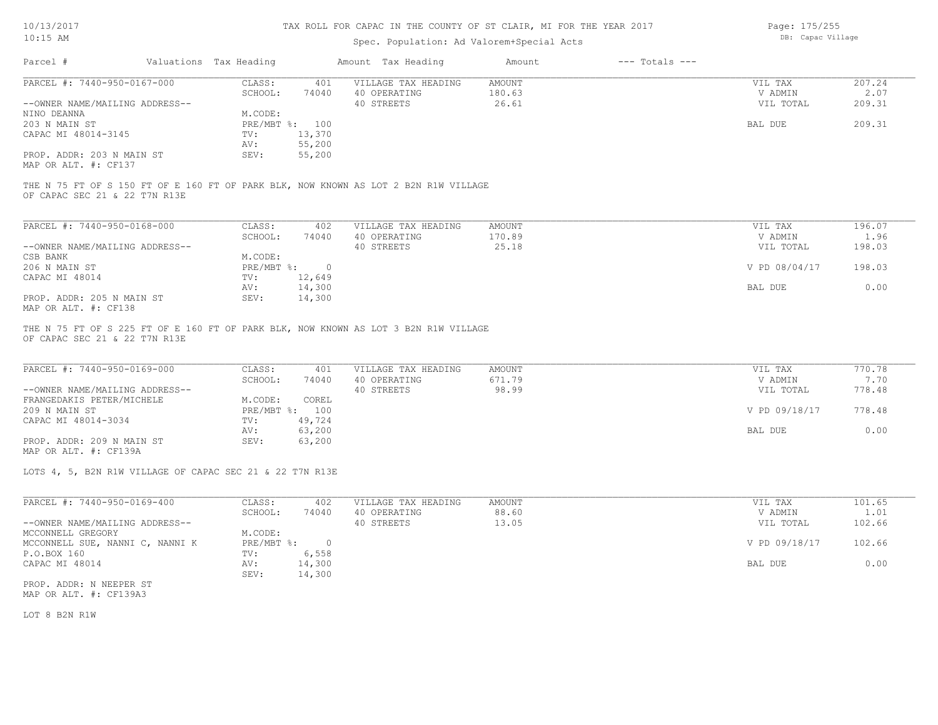Page: 175/255

| $10:15$ AM                                               |                        |                | Spec. Population: Ad Valorem+Special Acts                                           |               |                    | DB: Capac Village |        |
|----------------------------------------------------------|------------------------|----------------|-------------------------------------------------------------------------------------|---------------|--------------------|-------------------|--------|
| Parcel #                                                 | Valuations Tax Heading |                | Amount Tax Heading                                                                  | Amount        | $---$ Totals $---$ |                   |        |
| PARCEL #: 7440-950-0167-000                              | CLASS:                 | 401            | VILLAGE TAX HEADING                                                                 | <b>AMOUNT</b> |                    | VIL TAX           | 207.24 |
|                                                          | SCHOOL:                | 74040          | 40 OPERATING                                                                        | 180.63        |                    | V ADMIN           | 2.07   |
| --OWNER NAME/MAILING ADDRESS--                           |                        |                | 40 STREETS                                                                          | 26.61         |                    | VIL TOTAL         | 209.31 |
| NINO DEANNA                                              | M.CODE:                |                |                                                                                     |               |                    |                   |        |
| 203 N MAIN ST                                            |                        | PRE/MBT %: 100 |                                                                                     |               |                    | BAL DUE           | 209.31 |
| CAPAC MI 48014-3145                                      | TV:                    | 13,370         |                                                                                     |               |                    |                   |        |
|                                                          | AV:                    | 55,200         |                                                                                     |               |                    |                   |        |
| PROP. ADDR: 203 N MAIN ST                                | SEV:                   | 55,200         |                                                                                     |               |                    |                   |        |
| MAP OR ALT. #: CF137                                     |                        |                |                                                                                     |               |                    |                   |        |
|                                                          |                        |                | THE N 75 FT OF S 150 FT OF E 160 FT OF PARK BLK, NOW KNOWN AS LOT 2 B2N R1W VILLAGE |               |                    |                   |        |
| OF CAPAC SEC 21 & 22 T7N R13E                            |                        |                |                                                                                     |               |                    |                   |        |
|                                                          |                        |                |                                                                                     |               |                    |                   |        |
| PARCEL #: 7440-950-0168-000                              | CLASS:                 | 402            | VILLAGE TAX HEADING                                                                 | AMOUNT        |                    | VIL TAX           | 196.07 |
|                                                          | SCHOOL:                | 74040          | 40 OPERATING                                                                        | 170.89        |                    | V ADMIN           | 1.96   |
| --OWNER NAME/MAILING ADDRESS--                           |                        |                | 40 STREETS                                                                          | 25.18         |                    | VIL TOTAL         | 198.03 |
| CSB BANK                                                 | M.CODE:                |                |                                                                                     |               |                    |                   |        |
| 206 N MAIN ST                                            | PRE/MBT %:             | $\overline{0}$ |                                                                                     |               |                    | V PD 08/04/17     | 198.03 |
| CAPAC MI 48014                                           | TV:                    | 12,649         |                                                                                     |               |                    |                   |        |
|                                                          | AV:                    | 14,300         |                                                                                     |               |                    | BAL DUE           | 0.00   |
| PROP. ADDR: 205 N MAIN ST                                | SEV:                   | 14,300         |                                                                                     |               |                    |                   |        |
| MAP OR ALT. #: CF138                                     |                        |                |                                                                                     |               |                    |                   |        |
| OF CAPAC SEC 21 & 22 T7N R13E                            |                        |                | THE N 75 FT OF S 225 FT OF E 160 FT OF PARK BLK, NOW KNOWN AS LOT 3 B2N R1W VILLAGE |               |                    |                   |        |
|                                                          |                        |                |                                                                                     |               |                    |                   |        |
| PARCEL #: 7440-950-0169-000                              | CLASS:                 | 401            | VILLAGE TAX HEADING                                                                 | <b>AMOUNT</b> |                    | VIL TAX           | 770.78 |
|                                                          | SCHOOL:                | 74040          | 40 OPERATING                                                                        | 671.79        |                    | V ADMIN           | 7.70   |
| --OWNER NAME/MAILING ADDRESS--                           |                        |                | 40 STREETS                                                                          | 98.99         |                    | VIL TOTAL         | 778.48 |
| FRANGEDAKIS PETER/MICHELE                                | M.CODE:                | COREL          |                                                                                     |               |                    |                   |        |
| 209 N MAIN ST                                            |                        | PRE/MBT %: 100 |                                                                                     |               |                    | V PD 09/18/17     | 778.48 |
| CAPAC MI 48014-3034                                      | TV:                    | 49,724         |                                                                                     |               |                    |                   |        |
|                                                          | AV:                    | 63,200         |                                                                                     |               |                    | BAL DUE           | 0.00   |
| PROP. ADDR: 209 N MAIN ST                                | SEV:                   | 63,200         |                                                                                     |               |                    |                   |        |
| MAP OR ALT. #: CF139A                                    |                        |                |                                                                                     |               |                    |                   |        |
| LOTS 4, 5, B2N R1W VILLAGE OF CAPAC SEC 21 & 22 T7N R13E |                        |                |                                                                                     |               |                    |                   |        |
|                                                          |                        |                |                                                                                     |               |                    |                   |        |
| PARCEL #: 7440-950-0169-400                              | CLASS:                 | 402            | VILLAGE TAX HEADING                                                                 | <b>AMOUNT</b> |                    | VIL TAX           | 101.65 |
|                                                          | SCHOOL:                | 74040          | 40 OPERATING                                                                        | 88.60         |                    | V ADMIN           | 1.01   |
| --OWNER NAME/MAILING ADDRESS--                           |                        |                | 40 STREETS                                                                          | 13.05         |                    | VIL TOTAL         | 102.66 |
| MCCONNELL GREGORY                                        | M.CODE:                |                |                                                                                     |               |                    |                   |        |

PROP. ADDR: N NEEPER ST SEV: 14,300 CAPAC MI 48014 AV: 14,300 BAL DUE 0.00 P.O.BOX 160 TV: 6,558<br>CAPAC MI 48014 AV: 14,300 MCCONNELL SUE, NANNI C, NANNI K PRE/MBT %: 0 V PD 09/18/17 102.66

MAP OR ALT. #: CF139A3

LOT 8 B2N R1W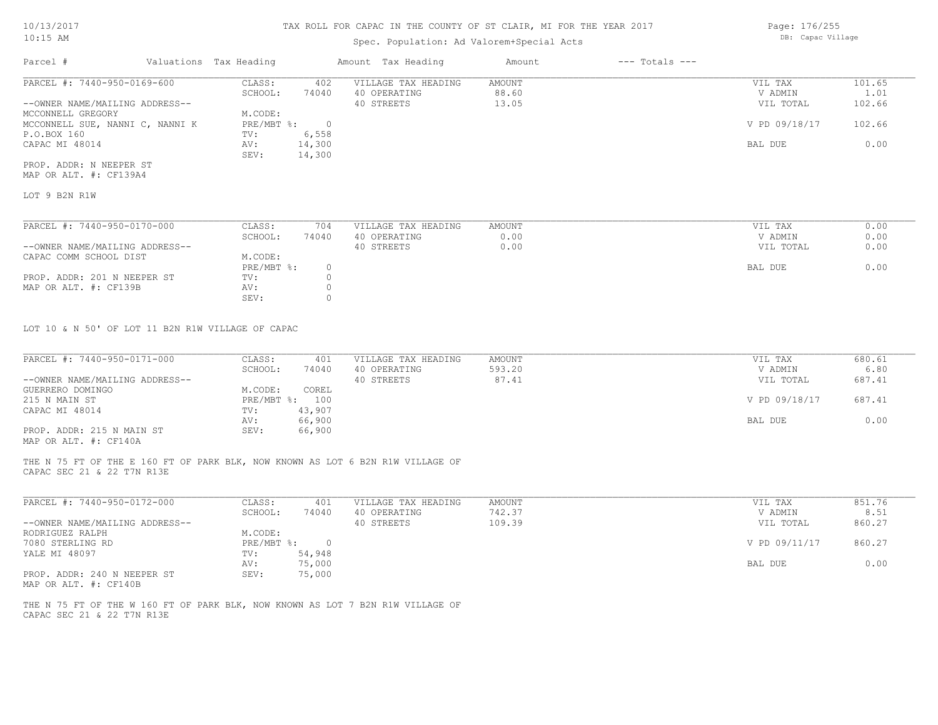## Spec. Population: Ad Valorem+Special Acts

| Parcel #                        | Valuations Tax Heading |        | Amount Tax Heading  | Amount | $---$ Totals $---$ |               |        |
|---------------------------------|------------------------|--------|---------------------|--------|--------------------|---------------|--------|
| PARCEL #: 7440-950-0169-600     | CLASS:                 | 402    | VILLAGE TAX HEADING | AMOUNT |                    | VIL TAX       | 101.65 |
|                                 | SCHOOL:                | 74040  | 40 OPERATING        | 88.60  |                    | V ADMIN       | 1.01   |
| --OWNER NAME/MAILING ADDRESS--  |                        |        | 40 STREETS          | 13.05  |                    | VIL TOTAL     | 102.66 |
| MCCONNELL GREGORY               | M.CODE:                |        |                     |        |                    |               |        |
| MCCONNELL SUE, NANNI C, NANNI K | $PRE/MBT$ %:           |        |                     |        |                    | V PD 09/18/17 | 102.66 |
| P.O.BOX 160                     | TV:                    | 6,558  |                     |        |                    |               |        |
| CAPAC MI 48014                  | AV:                    | 14,300 |                     |        |                    | BAL DUE       | 0.00   |
|                                 | SEV:                   | 14,300 |                     |        |                    |               |        |
| PROP. ADDR: N NEEPER ST         |                        |        |                     |        |                    |               |        |

MAP OR ALT. #: CF139A4

LOT 9 B2N R1W

| PARCEL #: 7440-950-0170-000    | CLASS:     | 704   | VILLAGE TAX HEADING | AMOUNT | VIL TAX   | 0.00 |
|--------------------------------|------------|-------|---------------------|--------|-----------|------|
|                                | SCHOOL:    | 74040 | 40 OPERATING        | 0.00   | V ADMIN   | 0.00 |
| --OWNER NAME/MAILING ADDRESS-- |            |       | 40 STREETS          | 0.00   | VIL TOTAL | 0.00 |
| CAPAC COMM SCHOOL DIST         | M.CODE:    |       |                     |        |           |      |
|                                | PRE/MBT %: |       |                     |        | BAL DUE   | 0.00 |
| PROP. ADDR: 201 N NEEPER ST    | TV:        |       |                     |        |           |      |
| MAP OR ALT. #: CF139B          | AV:        |       |                     |        |           |      |
|                                | SEV:       |       |                     |        |           |      |

LOT 10 & N 50' OF LOT 11 B2N R1W VILLAGE OF CAPAC

| PARCEL #: 7440-950-0171-000    | CLASS:  | 401            | VILLAGE TAX HEADING | AMOUNT | VIL TAX       | 680.61 |
|--------------------------------|---------|----------------|---------------------|--------|---------------|--------|
|                                | SCHOOL: | 74040          | 40 OPERATING        | 593.20 | V ADMIN       | 6.80   |
| --OWNER NAME/MAILING ADDRESS-- |         |                | 40 STREETS          | 87.41  | VIL TOTAL     | 687.41 |
| GUERRERO DOMINGO               | M.CODE: | COREL          |                     |        |               |        |
| 215 N MAIN ST                  |         | PRE/MBT %: 100 |                     |        | V PD 09/18/17 | 687.41 |
| CAPAC MI 48014                 | TV:     | 43,907         |                     |        |               |        |
|                                | AV:     | 66,900         |                     |        | BAL DUE       | 0.00   |
| PROP. ADDR: 215 N MAIN ST      | SEV:    | 66,900         |                     |        |               |        |
|                                |         |                |                     |        |               |        |

MAP OR ALT. #: CF140A

CAPAC SEC 21 & 22 T7N R13E THE N 75 FT OF THE E 160 FT OF PARK BLK, NOW KNOWN AS LOT 6 B2N R1W VILLAGE OF

| PARCEL #: 7440-950-0172-000                                                                                                                    | CLASS:     | 401    | VILLAGE TAX HEADING | AMOUNT | VIL TAX       | 851.76 |
|------------------------------------------------------------------------------------------------------------------------------------------------|------------|--------|---------------------|--------|---------------|--------|
|                                                                                                                                                | SCHOOL:    | 74040  | 40 OPERATING        | 742.37 | V ADMIN       | 8.51   |
| --OWNER NAME/MAILING ADDRESS--                                                                                                                 |            |        | 40 STREETS          | 109.39 | VIL TOTAL     | 860.27 |
| RODRIGUEZ RALPH                                                                                                                                | M.CODE:    |        |                     |        |               |        |
| 7080 STERLING RD                                                                                                                               | PRE/MBT %: |        |                     |        | V PD 09/11/17 | 860.27 |
| YALE MI 48097                                                                                                                                  | TV:        | 54,948 |                     |        |               |        |
|                                                                                                                                                | AV:        | 75,000 |                     |        | BAL DUE       | 0.00   |
| PROP. ADDR: 240 N NEEPER ST<br>the contract of the contract of the contract of the contract of the contract of the contract of the contract of | SEV:       | 75,000 |                     |        |               |        |

MAP OR ALT. #: CF140B

CAPAC SEC 21 & 22 T7N R13E THE N 75 FT OF THE W 160 FT OF PARK BLK, NOW KNOWN AS LOT 7 B2N R1W VILLAGE OF Page: 176/255

DB: Capac Village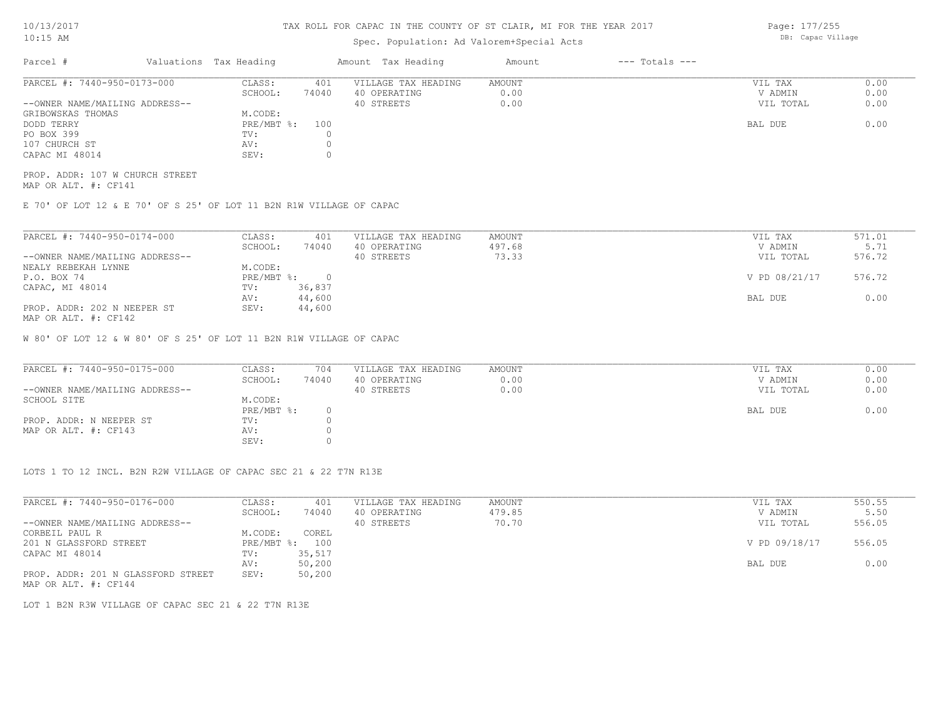## Spec. Population: Ad Valorem+Special Acts

| Parcel #                       | Valuations Tax Heading |       | Amount Tax Heading  | Amount | $---$ Totals $---$ |           |      |
|--------------------------------|------------------------|-------|---------------------|--------|--------------------|-----------|------|
| PARCEL #: 7440-950-0173-000    | CLASS:                 | 401   | VILLAGE TAX HEADING | AMOUNT |                    | VIL TAX   | 0.00 |
|                                | SCHOOL:                | 74040 | 40 OPERATING        | 0.00   |                    | V ADMIN   | 0.00 |
| --OWNER NAME/MAILING ADDRESS-- |                        |       | 40 STREETS          | 0.00   |                    | VIL TOTAL | 0.00 |
| GRIBOWSKAS THOMAS              | M.CODE:                |       |                     |        |                    |           |      |
| DODD TERRY                     | $PRE/MBT$ %:           | 100   |                     |        |                    | BAL DUE   | 0.00 |
| PO BOX 399                     | TV:                    |       |                     |        |                    |           |      |
| 107 CHURCH ST                  | AV:                    |       |                     |        |                    |           |      |
| CAPAC MI 48014                 | SEV:                   |       |                     |        |                    |           |      |
|                                |                        |       |                     |        |                    |           |      |

MAP OR ALT. #: CF141 PROP. ADDR: 107 W CHURCH STREET

E 70' OF LOT 12 & E 70' OF S 25' OF LOT 11 B2N R1W VILLAGE OF CAPAC

| PARCEL #: 7440-950-0174-000    | CLASS:       | 401    | VILLAGE TAX HEADING | AMOUNT | VIL TAX       | 571.01 |
|--------------------------------|--------------|--------|---------------------|--------|---------------|--------|
|                                | SCHOOL:      | 74040  | 40 OPERATING        | 497.68 | V ADMIN       | 5.71   |
| --OWNER NAME/MAILING ADDRESS-- |              |        | 40 STREETS          | 73.33  | VIL TOTAL     | 576.72 |
| NEALY REBEKAH LYNNE            | M.CODE:      |        |                     |        |               |        |
| P.O. BOX 74                    | $PRE/MBT$ %: |        |                     |        | V PD 08/21/17 | 576.72 |
| CAPAC, MI 48014                | TV:          | 36,837 |                     |        |               |        |
|                                | AV:          | 44,600 |                     |        | BAL DUE       | 0.00   |
| PROP. ADDR: 202 N NEEPER ST    | SEV:         | 44,600 |                     |        |               |        |
| MAP OR ALT. #: CF142           |              |        |                     |        |               |        |

W 80' OF LOT 12 & W 80' OF S 25' OF LOT 11 B2N R1W VILLAGE OF CAPAC

| PARCEL #: 7440-950-0175-000    | CLASS:       | 704   | VILLAGE TAX HEADING | AMOUNT | VIL TAX   | 0.00 |
|--------------------------------|--------------|-------|---------------------|--------|-----------|------|
|                                | SCHOOL:      | 74040 | 40 OPERATING        | 0.00   | V ADMIN   | 0.00 |
| --OWNER NAME/MAILING ADDRESS-- |              |       | 40 STREETS          | 0.00   | VIL TOTAL | 0.00 |
| SCHOOL SITE                    | M.CODE:      |       |                     |        |           |      |
|                                | $PRE/MBT$ %: |       |                     |        | BAL DUE   | 0.00 |
| PROP. ADDR: N NEEPER ST        | TV:          |       |                     |        |           |      |
| MAP OR ALT. #: CF143           | AV:          |       |                     |        |           |      |
|                                | SEV:         |       |                     |        |           |      |

LOTS 1 TO 12 INCL. B2N R2W VILLAGE OF CAPAC SEC 21 & 22 T7N R13E

| PARCEL #: 7440-950-0176-000        | CLASS:       | 401    | VILLAGE TAX HEADING | AMOUNT | VIL TAX       | 550.55 |
|------------------------------------|--------------|--------|---------------------|--------|---------------|--------|
|                                    | SCHOOL:      | 74040  | 40 OPERATING        | 479.85 | V ADMIN       | 5.50   |
| --OWNER NAME/MAILING ADDRESS--     |              |        | 40 STREETS          | 70.70  | VIL TOTAL     | 556.05 |
| CORBEIL PAUL R                     | M.CODE:      | COREL  |                     |        |               |        |
| 201 N GLASSFORD STREET             | $PRE/MBT$ %: | 100    |                     |        | V PD 09/18/17 | 556.05 |
| CAPAC MI 48014                     | TV:          | 35,517 |                     |        |               |        |
|                                    | AV:          | 50,200 |                     |        | BAL DUE       | 0.00   |
| PROP. ADDR: 201 N GLASSFORD STREET | SEV:         | 50,200 |                     |        |               |        |
| MAP OR ALT. #: CF144               |              |        |                     |        |               |        |

LOT 1 B2N R3W VILLAGE OF CAPAC SEC 21 & 22 T7N R13E

Page: 177/255 DB: Capac Village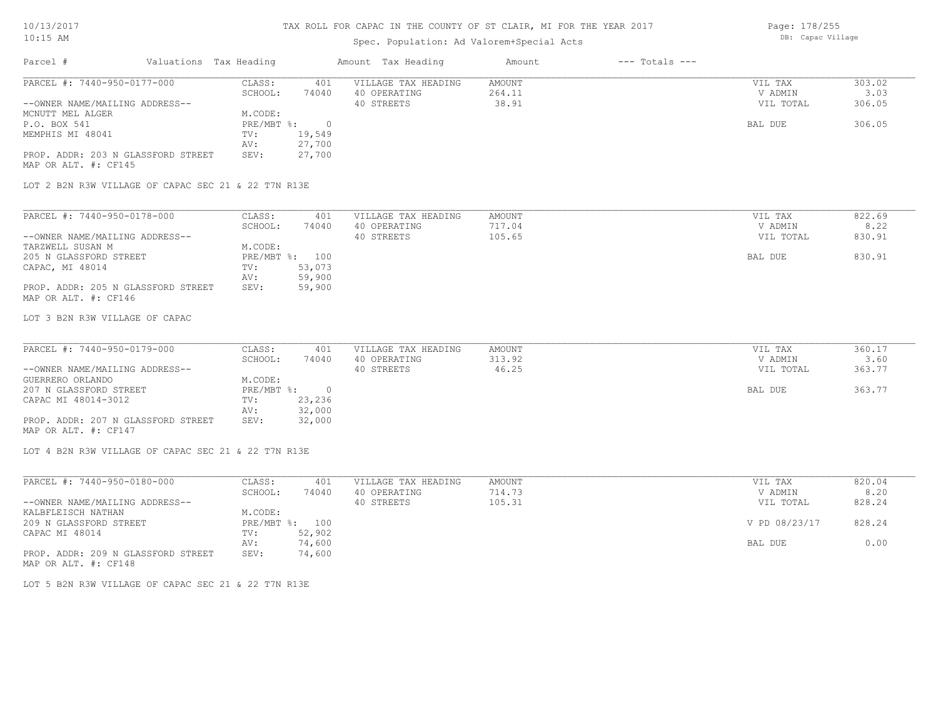# Spec. Population: Ad Valorem+Special Acts

Page: 178/255 DB: Capac Village

| Parcel #<br>Valuations Tax Heading                         |                              | Amount Tax Heading         | Amount<br>$---$ Totals $---$ |                      |                |
|------------------------------------------------------------|------------------------------|----------------------------|------------------------------|----------------------|----------------|
| PARCEL #: 7440-950-0177-000                                | CLASS:<br>401                | VILLAGE TAX HEADING        | <b>AMOUNT</b>                | VIL TAX              | 303.02         |
| --OWNER NAME/MAILING ADDRESS--                             | SCHOOL:<br>74040             | 40 OPERATING<br>40 STREETS | 264.11<br>38.91              | V ADMIN<br>VIL TOTAL | 3.03<br>306.05 |
| MCNUTT MEL ALGER                                           | M.CODE:                      |                            |                              |                      |                |
| P.O. BOX 541                                               | PRE/MBT %:<br>$\overline{0}$ |                            |                              | BAL DUE              | 306.05         |
| MEMPHIS MI 48041                                           | 19,549<br>TV:                |                            |                              |                      |                |
|                                                            | 27,700<br>AV:                |                            |                              |                      |                |
| PROP. ADDR: 203 N GLASSFORD STREET                         | SEV:<br>27,700               |                            |                              |                      |                |
| MAP OR ALT. #: CF145                                       |                              |                            |                              |                      |                |
| LOT 2 B2N R3W VILLAGE OF CAPAC SEC 21 & 22 T7N R13E        |                              |                            |                              |                      |                |
| PARCEL #: 7440-950-0178-000                                | CLASS:<br>401                | VILLAGE TAX HEADING        | AMOUNT                       | VIL TAX              | 822.69         |
|                                                            | SCHOOL:<br>74040             | 40 OPERATING               | 717.04                       | V ADMIN              | 8.22           |
| --OWNER NAME/MAILING ADDRESS--                             |                              | 40 STREETS                 | 105.65                       | VIL TOTAL            | 830.91         |
| TARZWELL SUSAN M                                           | M.CODE:                      |                            |                              |                      |                |
| 205 N GLASSFORD STREET                                     | PRE/MBT %: 100               |                            |                              | BAL DUE              | 830.91         |
| CAPAC, MI 48014                                            | 53,073<br>TV:                |                            |                              |                      |                |
|                                                            | 59,900<br>AV:                |                            |                              |                      |                |
| PROP. ADDR: 205 N GLASSFORD STREET                         | SEV:<br>59,900               |                            |                              |                      |                |
| MAP OR ALT. #: CF146                                       |                              |                            |                              |                      |                |
| LOT 3 B2N R3W VILLAGE OF CAPAC                             |                              |                            |                              |                      |                |
| PARCEL #: 7440-950-0179-000                                | CLASS:<br>401                | VILLAGE TAX HEADING        | <b>AMOUNT</b>                | VIL TAX              | 360.17         |
|                                                            | SCHOOL:<br>74040             | 40 OPERATING               | 313.92                       | V ADMIN              | 3.60           |
| --OWNER NAME/MAILING ADDRESS--                             |                              | 40 STREETS                 | 46.25                        | VIL TOTAL            | 363.77         |
| GUERRERO ORLANDO                                           | M.CODE:                      |                            |                              |                      |                |
| 207 N GLASSFORD STREET                                     | PRE/MBT %:<br>$\overline{0}$ |                            |                              | BAL DUE              | 363.77         |
| CAPAC MI 48014-3012                                        | 23,236<br>TV:                |                            |                              |                      |                |
|                                                            | 32,000<br>AV:                |                            |                              |                      |                |
| PROP. ADDR: 207 N GLASSFORD STREET<br>MAP OR ALT. #: CF147 | SEV:<br>32,000               |                            |                              |                      |                |
| LOT 4 B2N R3W VILLAGE OF CAPAC SEC 21 & 22 T7N R13E        |                              |                            |                              |                      |                |
| PARCEL #: 7440-950-0180-000                                | CLASS:<br>401                | VILLAGE TAX HEADING        | <b>AMOUNT</b>                | VIL TAX              | 820.04         |
|                                                            | SCHOOL:<br>74040             | 40 OPERATING               | 714.73                       | V ADMIN              | 8.20           |
| --OWNER NAME/MAILING ADDRESS--                             |                              | 40 STREETS                 | 105.31                       | VIL TOTAL            | 828.24         |
| KALBFLEISCH NATHAN                                         | M.CODE:                      |                            |                              |                      |                |
| 209 N GLASSFORD STREET                                     | PRE/MBT %: 100               |                            |                              | V PD 08/23/17        | 828.24         |
| CAPAC MI 48014                                             | 52,902<br>TV:                |                            |                              |                      |                |
|                                                            | 74,600<br>AV:                |                            |                              | BAL DUE              | 0.00           |
| PROP. ADDR: 209 N GLASSFORD STREET<br>MAP OR ALT. #: CF148 | SEV:<br>74,600               |                            |                              |                      |                |
| LOT 5 B2N R3W VILLAGE OF CAPAC SEC 21 & 22 T7N R13E        |                              |                            |                              |                      |                |
|                                                            |                              |                            |                              |                      |                |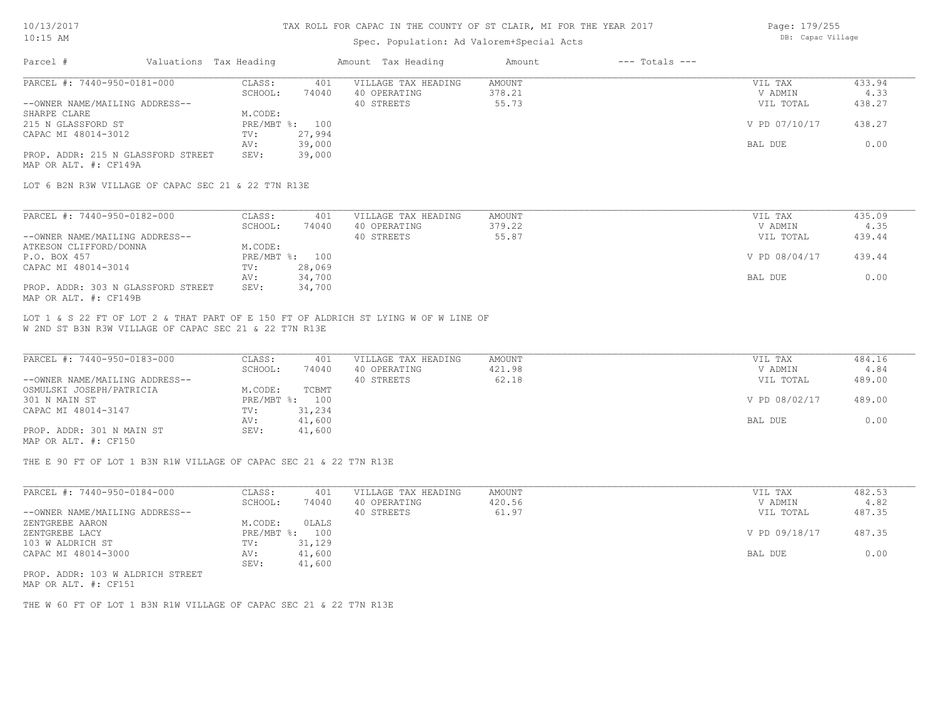### Spec. Population: Ad Valorem+Special Acts

Page: 179/255 DB: Capac Village

| Parcel #                           | Valuations Tax Heading |        | Amount Tax Heading  | Amount | $---$ Totals $---$ |               |        |
|------------------------------------|------------------------|--------|---------------------|--------|--------------------|---------------|--------|
| PARCEL #: 7440-950-0181-000        | CLASS:                 | 401    | VILLAGE TAX HEADING | AMOUNT |                    | VIL TAX       | 433.94 |
|                                    | SCHOOL:                | 74040  | 40 OPERATING        | 378.21 |                    | V ADMIN       | 4.33   |
| --OWNER NAME/MAILING ADDRESS--     |                        |        | 40 STREETS          | 55.73  |                    | VIL TOTAL     | 438.27 |
| SHARPE CLARE                       | M.CODE:                |        |                     |        |                    |               |        |
| 215 N GLASSFORD ST                 | PRE/MBT %:             | 100    |                     |        |                    | V PD 07/10/17 | 438.27 |
| CAPAC MI 48014-3012                | TV:                    | 27,994 |                     |        |                    |               |        |
|                                    | AV:                    | 39,000 |                     |        |                    | BAL DUE       | 0.00   |
| PROP. ADDR: 215 N GLASSFORD STREET | SEV:                   | 39,000 |                     |        |                    |               |        |
| MAP OR ALT. #: CF149A              |                        |        |                     |        |                    |               |        |
|                                    |                        |        |                     |        |                    |               |        |

LOT 6 B2N R3W VILLAGE OF CAPAC SEC 21 & 22 T7N R13E

| PARCEL #: 7440-950-0182-000        | CLASS:  | 401            | VILLAGE TAX HEADING | AMOUNT | VIL TAX       | 435.09 |
|------------------------------------|---------|----------------|---------------------|--------|---------------|--------|
|                                    | SCHOOL: | 74040          | 40 OPERATING        | 379.22 | V ADMIN       | 4.35   |
| --OWNER NAME/MAILING ADDRESS--     |         |                | 40 STREETS          | 55.87  | VIL TOTAL     | 439.44 |
| ATKESON CLIFFORD/DONNA             | M.CODE: |                |                     |        |               |        |
| P.O. BOX 457                       |         | PRE/MBT %: 100 |                     |        | V PD 08/04/17 | 439.44 |
| CAPAC MI 48014-3014                | TV:     | 28,069         |                     |        |               |        |
|                                    | AV:     | 34,700         |                     |        | BAL DUE       | 0.00   |
| PROP. ADDR: 303 N GLASSFORD STREET | SEV:    | 34,700         |                     |        |               |        |
| MAP OR ALT. #: CF149B              |         |                |                     |        |               |        |

W 2ND ST B3N R3W VILLAGE OF CAPAC SEC 21 & 22 T7N R13E LOT 1 & S 22 FT OF LOT 2 & THAT PART OF E 150 FT OF ALDRICH ST LYING W OF W LINE OF

| PARCEL #: 7440-950-0183-000    | CLASS:  | 401            | VILLAGE TAX HEADING | AMOUNT | VIL TAX       | 484.16 |
|--------------------------------|---------|----------------|---------------------|--------|---------------|--------|
|                                | SCHOOL: | 74040          | 40 OPERATING        | 421.98 | V ADMIN       | 4.84   |
| --OWNER NAME/MAILING ADDRESS-- |         |                | 40 STREETS          | 62.18  | VIL TOTAL     | 489.00 |
| OSMULSKI JOSEPH/PATRICIA       | M.CODE: | TCBMT          |                     |        |               |        |
| 301 N MAIN ST                  |         | PRE/MBT %: 100 |                     |        | V PD 08/02/17 | 489.00 |
| CAPAC MI 48014-3147            | TV:     | 31,234         |                     |        |               |        |
|                                | AV:     | 41,600         |                     |        | BAL DUE       | 0.00   |
| PROP. ADDR: 301 N MAIN ST      | SEV:    | 41,600         |                     |        |               |        |
| MAP OR ALT. #: CF150           |         |                |                     |        |               |        |

THE E 90 FT OF LOT 1 B3N R1W VILLAGE OF CAPAC SEC 21 & 22 T7N R13E

| SCHOOL:                        |        |              | AMOUNT | VIL TAX       | 482.53 |
|--------------------------------|--------|--------------|--------|---------------|--------|
|                                | 74040  | 40 OPERATING | 420.56 | V ADMIN       | 4.82   |
| --OWNER NAME/MAILING ADDRESS-- |        | 40 STREETS   | 61.97  | VIL TOTAL     | 487.35 |
| M.CODE:<br>ZENTGREBE AARON     | OLALS  |              |        |               |        |
| $PRE/MBT$ %:<br>ZENTGREBE LACY | 100    |              |        | V PD 09/18/17 | 487.35 |
| 103 W ALDRICH ST<br>TV:        | 31,129 |              |        |               |        |
| CAPAC MI 48014-3000<br>AV:     | 41,600 |              |        | BAL DUE       | 0.00   |
| SEV:                           | 41,600 |              |        |               |        |

MAP OR ALT. #: CF151 PROP. ADDR: 103 W ALDRICH STREET

THE W 60 FT OF LOT 1 B3N R1W VILLAGE OF CAPAC SEC 21 & 22 T7N R13E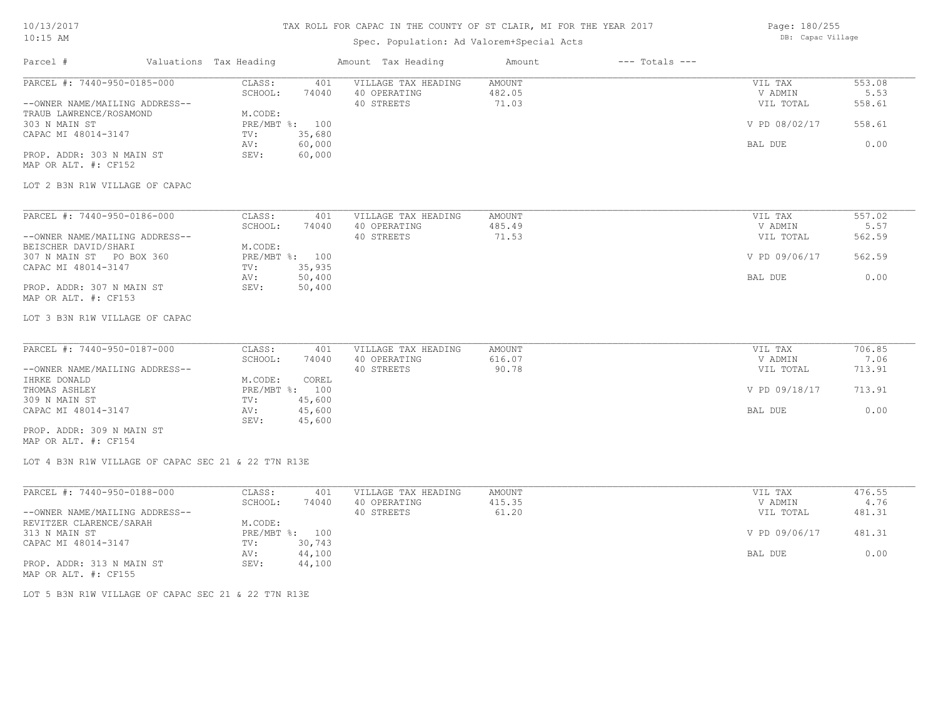### 10/13/2017 10:15 AM

# TAX ROLL FOR CAPAC IN THE COUNTY OF ST CLAIR, MI FOR THE YEAR 2017

# Spec. Population: Ad Valorem+Special Acts

Page: 180/255 DB: Capac Village

| Parcel #                                                                                                                                                                                      | Valuations Tax Heading |                                                    |                                                              | Amount Tax Heading                                | Amount                           | $---$ Totals $---$ |                                                             |                                            |
|-----------------------------------------------------------------------------------------------------------------------------------------------------------------------------------------------|------------------------|----------------------------------------------------|--------------------------------------------------------------|---------------------------------------------------|----------------------------------|--------------------|-------------------------------------------------------------|--------------------------------------------|
| PARCEL #: 7440-950-0185-000<br>--OWNER NAME/MAILING ADDRESS--<br>TRAUB LAWRENCE/ROSAMOND<br>303 N MAIN ST<br>CAPAC MI 48014-3147<br>PROP. ADDR: 303 N MAIN ST<br>MAP OR ALT. #: CF152         |                        | CLASS:<br>SCHOOL:<br>M.CODE:<br>TV:<br>AV:<br>SEV: | 401<br>74040<br>PRE/MBT %: 100<br>35,680<br>60,000<br>60,000 | VILLAGE TAX HEADING<br>40 OPERATING<br>40 STREETS | <b>AMOUNT</b><br>482.05<br>71.03 |                    | VIL TAX<br>V ADMIN<br>VIL TOTAL<br>V PD 08/02/17<br>BAL DUE | 553.08<br>5.53<br>558.61<br>558.61<br>0.00 |
| LOT 2 B3N R1W VILLAGE OF CAPAC                                                                                                                                                                |                        |                                                    |                                                              |                                                   |                                  |                    |                                                             |                                            |
| PARCEL #: 7440-950-0186-000<br>--OWNER NAME/MAILING ADDRESS--<br>BEISCHER DAVID/SHARI<br>307 N MAIN ST PO BOX 360<br>CAPAC MI 48014-3147<br>PROP. ADDR: 307 N MAIN ST<br>MAP OR ALT. #: CF153 |                        | CLASS:<br>SCHOOL:<br>M.CODE:<br>TV:<br>AV:<br>SEV: | 401<br>74040<br>PRE/MBT %: 100<br>35,935<br>50,400<br>50,400 | VILLAGE TAX HEADING<br>40 OPERATING<br>40 STREETS | <b>AMOUNT</b><br>485.49<br>71.53 |                    | VIL TAX<br>V ADMIN<br>VIL TOTAL<br>V PD 09/06/17<br>BAL DUE | 557.02<br>5.57<br>562.59<br>562.59<br>0.00 |
| LOT 3 B3N R1W VILLAGE OF CAPAC                                                                                                                                                                |                        |                                                    |                                                              |                                                   |                                  |                    |                                                             |                                            |
| PARCEL #: 7440-950-0187-000<br>--OWNER NAME/MAILING ADDRESS--<br>IHRKE DONALD                                                                                                                 |                        | CLASS:<br>SCHOOL:<br>M.CODE:                       | 401<br>74040<br>COREL                                        | VILLAGE TAX HEADING<br>40 OPERATING<br>40 STREETS | <b>AMOUNT</b><br>616.07<br>90.78 |                    | VIL TAX<br>V ADMIN<br>VIL TOTAL                             | 706.85<br>7.06<br>713.91                   |
| THOMAS ASHLEY<br>309 N MAIN ST<br>CAPAC MI 48014-3147                                                                                                                                         |                        | TV:<br>AV:                                         | PRE/MBT %: 100<br>45,600<br>45,600                           |                                                   |                                  |                    | V PD 09/18/17<br>BAL DUE                                    | 713.91<br>0.00                             |
| PROP. ADDR: 309 N MAIN ST<br>MAP OR ALT. #: CF154                                                                                                                                             |                        | SEV:                                               | 45,600                                                       |                                                   |                                  |                    |                                                             |                                            |
| LOT 4 B3N R1W VILLAGE OF CAPAC SEC 21 & 22 T7N R13E                                                                                                                                           |                        |                                                    |                                                              |                                                   |                                  |                    |                                                             |                                            |
| PARCEL #: 7440-950-0188-000<br>--OWNER NAME/MAILING ADDRESS--<br>REVITZER CLARENCE/SARAH                                                                                                      |                        | CLASS:<br>SCHOOL:<br>M.CODE:                       | 401<br>74040                                                 | VILLAGE TAX HEADING<br>40 OPERATING<br>40 STREETS | AMOUNT<br>415.35<br>61.20        |                    | VIL TAX<br>V ADMIN<br>VIL TOTAL                             | 476.55<br>4.76<br>481.31                   |
| 313 N MAIN ST<br>CAPAC MI 48014-3147                                                                                                                                                          |                        | TV:                                                | PRE/MBT %: 100<br>30,743                                     |                                                   |                                  |                    | V PD 09/06/17                                               | 481.31                                     |
| PROP. ADDR: 313 N MAIN ST                                                                                                                                                                     |                        | AV:<br>SEV:                                        | 44,100<br>44,100                                             |                                                   |                                  |                    | BAL DUE                                                     | 0.00                                       |

LOT 5 B3N R1W VILLAGE OF CAPAC SEC 21 & 22 T7N R13E

MAP OR ALT. #: CF155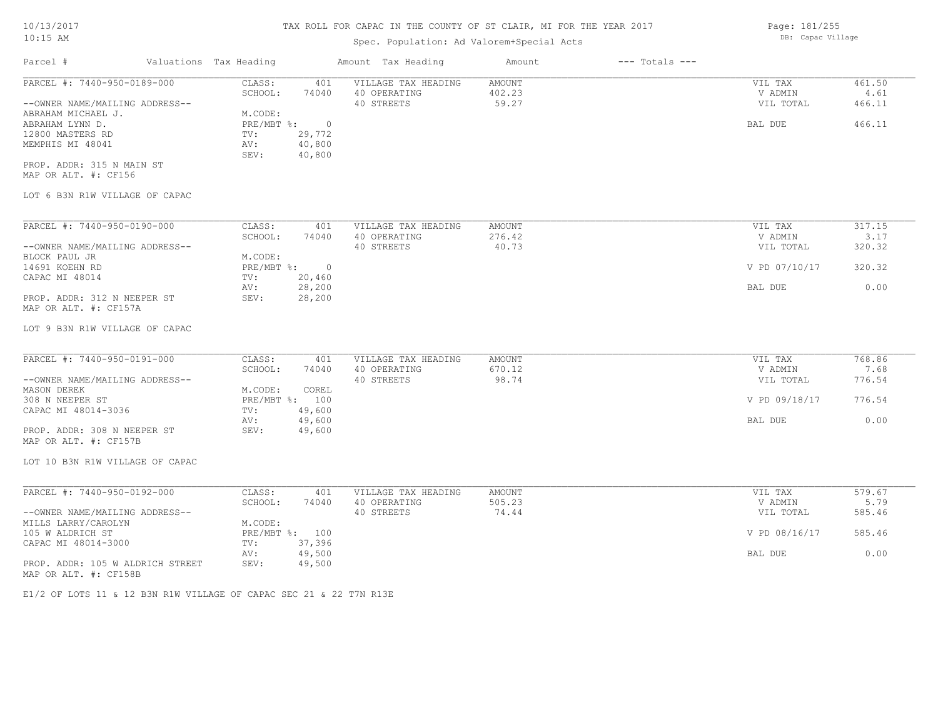# Spec. Population: Ad Valorem+Special Acts

| Parcel #                       | Valuations Tax Heading |        | Amount Tax Heading  | Amount     | $---$ Totals $---$ |           |                    |
|--------------------------------|------------------------|--------|---------------------|------------|--------------------|-----------|--------------------|
| PARCEL #: 7440-950-0189-000    | CLASS:                 | 401    | VILLAGE TAX HEADING | AMOUNT     |                    | VIL TAX   | 461.50             |
|                                | SCHOOL:                | 74040  | 40 OPERATING        | 402.23     |                    | V ADMIN   | 4.61               |
| --OWNER NAME/MAILING ADDRESS-- |                        |        | 40 STREETS          | 59.27      |                    | VIL TOTAL | 466.11             |
| ABRAHAM MICHAEL J.             | M.CODE:                |        |                     |            |                    |           |                    |
| ABRAHAM LYNN D.                | PRE/MBT %:             |        |                     |            |                    | BAL DUE   | 466.11             |
| 12800 MASTERS RD               | TV:                    | 29,772 |                     |            |                    |           |                    |
| MEMPHIS MI 48041               | AV:                    | 40,800 |                     |            |                    |           |                    |
|                                | SEV:                   | 40,800 |                     |            |                    |           |                    |
| PROP. ADDR: 315 N MAIN ST      |                        |        |                     |            |                    |           |                    |
| MAP OR ALT. #: CF156           |                        |        |                     |            |                    |           |                    |
| LOT 6 B3N R1W VILLAGE OF CAPAC |                        |        |                     |            |                    |           |                    |
|                                |                        |        |                     |            |                    |           |                    |
| PARCEL #: 7440-950-0190-000    | CLASS:                 | 401    | VILLAGE TAX HEADING | AMOUNT     |                    | VIL TAX   | 317.15             |
|                                | SCHOOL.                | 74040  | 40 OPERATING        | $276$ $42$ |                    | V ADMIN   | $\mathbf{P}$<br>17 |

|                                | SCHOOL:    | 74040  | 40 OPERATING | 276.42 | V ADMIN       | 3.17   |
|--------------------------------|------------|--------|--------------|--------|---------------|--------|
| --OWNER NAME/MAILING ADDRESS-- |            |        | 40 STREETS   | 40.73  | VIL TOTAL     | 320.32 |
| BLOCK PAUL JR                  | M.CODE:    |        |              |        |               |        |
| 14691 KOEHN RD                 | PRE/MBT %: | $\Box$ |              |        | V PD 07/10/17 | 320.32 |
| CAPAC MI 48014                 | TV:        | 20,460 |              |        |               |        |
|                                | AV:        | 28,200 |              |        | BAL DUE       | 0.00   |
| PROP. ADDR: 312 N NEEPER ST    | SEV:       | 28,200 |              |        |               |        |
| MAP OR ALT. #: CF157A          |            |        |              |        |               |        |

### LOT 9 B3N R1W VILLAGE OF CAPAC

| PARCEL #: 7440-950-0191-000    | CLASS:  | 401            | VILLAGE TAX HEADING | AMOUNT | VIL TAX       | 768.86 |
|--------------------------------|---------|----------------|---------------------|--------|---------------|--------|
|                                | SCHOOL: | 74040          | 40 OPERATING        | 670.12 | V ADMIN       | 7.68   |
| --OWNER NAME/MAILING ADDRESS-- |         |                | 40 STREETS          | 98.74  | VIL TOTAL     | 776.54 |
| MASON DEREK                    | M.CODE: | COREL          |                     |        |               |        |
| 308 N NEEPER ST                |         | PRE/MBT %: 100 |                     |        | V PD 09/18/17 | 776.54 |
| CAPAC MI 48014-3036            | TV:     | 49,600         |                     |        |               |        |
|                                | AV:     | 49,600         |                     |        | BAL DUE       | 0.00   |
| PROP. ADDR: 308 N NEEPER ST    | SEV:    | 49,600         |                     |        |               |        |
| MAP OR ALT. #: CF157B          |         |                |                     |        |               |        |

LOT 10 B3N R1W VILLAGE OF CAPAC

| PARCEL #: 7440-950-0192-000      | CLASS:     | 401    | VILLAGE TAX HEADING | AMOUNT | VIL TAX       | 579.67 |  |
|----------------------------------|------------|--------|---------------------|--------|---------------|--------|--|
|                                  | SCHOOL:    | 74040  | 40 OPERATING        | 505.23 | V ADMIN       | 5.79   |  |
| --OWNER NAME/MAILING ADDRESS--   |            |        | 40 STREETS          | 74.44  | VIL TOTAL     | 585.46 |  |
| MILLS LARRY/CAROLYN              | M.CODE:    |        |                     |        |               |        |  |
| 105 W ALDRICH ST                 | PRE/MBT %: | 100    |                     |        | V PD 08/16/17 | 585.46 |  |
| CAPAC MI 48014-3000              | TV:        | 37,396 |                     |        |               |        |  |
|                                  | AV:        | 49,500 |                     |        | BAL DUE       | 0.00   |  |
| PROP. ADDR: 105 W ALDRICH STREET | SEV:       | 49,500 |                     |        |               |        |  |
| MAP OR ALT. #: CF158B            |            |        |                     |        |               |        |  |

 $\_$  , and the state of the state of the state of the state of the state of the state of the state of the state of the state of the state of the state of the state of the state of the state of the state of the state of the

E1/2 OF LOTS 11 & 12 B3N R1W VILLAGE OF CAPAC SEC 21 & 22 T7N R13E

Page: 181/255 DB: Capac Village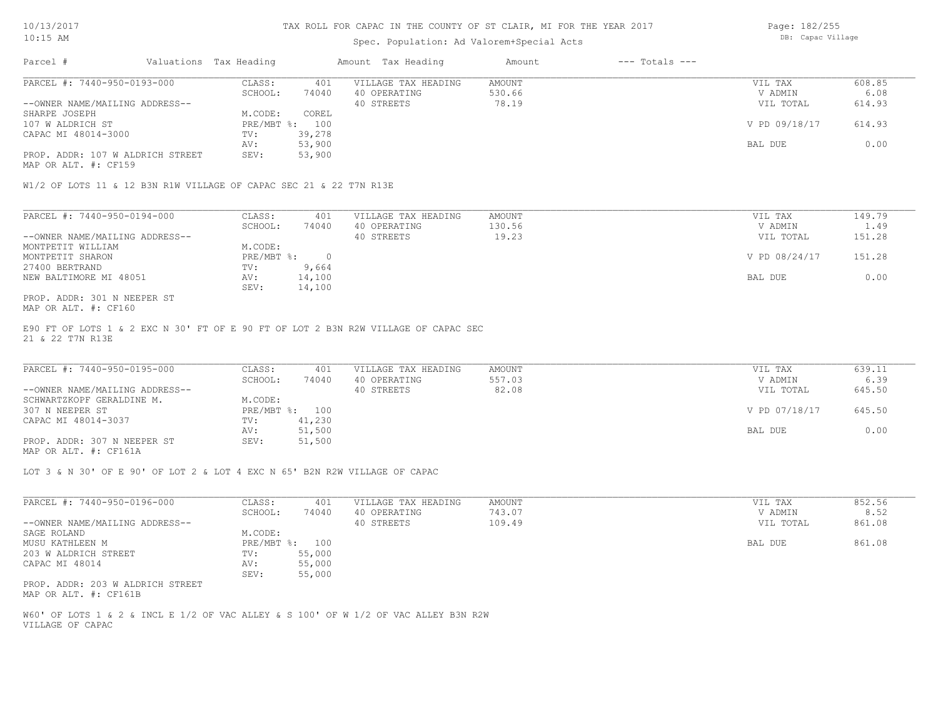### Spec. Population: Ad Valorem+Special Acts

| Page: 182/255     |
|-------------------|
| DB: Capac Village |

| Parcel #                       |                                  | Valuations Tax Heading |        | Amount Tax Heading  | Amount | $---$ Totals $---$ |               |        |
|--------------------------------|----------------------------------|------------------------|--------|---------------------|--------|--------------------|---------------|--------|
| PARCEL #: 7440-950-0193-000    |                                  | CLASS:                 | 401    | VILLAGE TAX HEADING | AMOUNT |                    | VIL TAX       | 608.85 |
|                                |                                  | SCHOOL:                | 74040  | 40 OPERATING        | 530.66 |                    | V ADMIN       | 6.08   |
| --OWNER NAME/MAILING ADDRESS-- |                                  |                        |        | 40 STREETS          | 78.19  |                    | VIL TOTAL     | 614.93 |
| SHARPE JOSEPH                  |                                  | M.CODE:                | COREL  |                     |        |                    |               |        |
| 107 W ALDRICH ST               |                                  | PRE/MBT %:             | 100    |                     |        |                    | V PD 09/18/17 | 614.93 |
| CAPAC MI 48014-3000            |                                  | TV:                    | 39,278 |                     |        |                    |               |        |
|                                |                                  | AV:                    | 53,900 |                     |        |                    | BAL DUE       | 0.00   |
|                                | PROP. ADDR: 107 W ALDRICH STREET | SEV:                   | 53,900 |                     |        |                    |               |        |

MAP OR ALT. #: CF159

W1/2 OF LOTS 11 & 12 B3N R1W VILLAGE OF CAPAC SEC 21 & 22 T7N R13E

| PARCEL #: 7440-950-0194-000    | CLASS:     | 401    | VILLAGE TAX HEADING | AMOUNT | VIL TAX       | 149.79 |
|--------------------------------|------------|--------|---------------------|--------|---------------|--------|
|                                | SCHOOL:    | 74040  | 40 OPERATING        | 130.56 | V ADMIN       | 1.49   |
| --OWNER NAME/MAILING ADDRESS-- |            |        | 40 STREETS          | 19.23  | VIL TOTAL     | 151.28 |
| MONTPETIT WILLIAM              | M.CODE:    |        |                     |        |               |        |
| MONTPETIT SHARON               | PRE/MBT %: |        |                     |        | V PD 08/24/17 | 151.28 |
| 27400 BERTRAND                 | TV:        | 9,664  |                     |        |               |        |
| NEW BALTIMORE MI 48051         | AV:        | 14,100 |                     |        | BAL DUE       | 0.00   |
|                                | SEV:       | 14,100 |                     |        |               |        |
| PROP. ADDR: 301 N NEEPER ST    |            |        |                     |        |               |        |

MAP OR ALT. #: CF160

21 & 22 T7N R13E E90 FT OF LOTS 1 & 2 EXC N 30' FT OF E 90 FT OF LOT 2 B3N R2W VILLAGE OF CAPAC SEC

| PARCEL #: 7440-950-0195-000    | CLASS:  | 401            | VILLAGE TAX HEADING | AMOUNT | VIL TAX       | 639.11 |
|--------------------------------|---------|----------------|---------------------|--------|---------------|--------|
|                                | SCHOOL: | 74040          | 40 OPERATING        | 557.03 | V ADMIN       | 6.39   |
| --OWNER NAME/MAILING ADDRESS-- |         |                | 40 STREETS          | 82.08  | VIL TOTAL     | 645.50 |
| SCHWARTZKOPF GERALDINE M.      | M.CODE: |                |                     |        |               |        |
| 307 N NEEPER ST                |         | PRE/MBT %: 100 |                     |        | V PD 07/18/17 | 645.50 |
| CAPAC MI 48014-3037            | TV:     | 41,230         |                     |        |               |        |
|                                | AV:     | 51,500         |                     |        | BAL DUE       | 0.00   |
| PROP. ADDR: 307 N NEEPER ST    | SEV:    | 51,500         |                     |        |               |        |
|                                |         |                |                     |        |               |        |

MAP OR ALT. #: CF161A

LOT 3 & N 30' OF E 90' OF LOT 2 & LOT 4 EXC N 65' B2N R2W VILLAGE OF CAPAC

| PARCEL #: 7440-950-0196-000                               | CLASS:     | 401    | VILLAGE TAX HEADING | AMOUNT | 852.56<br>VIL TAX   |
|-----------------------------------------------------------|------------|--------|---------------------|--------|---------------------|
|                                                           | SCHOOL:    | 74040  | 40 OPERATING        | 743.07 | 8.52<br>V ADMIN     |
| --OWNER NAME/MAILING ADDRESS--                            |            |        | 40 STREETS          | 109.49 | 861.08<br>VIL TOTAL |
| SAGE ROLAND                                               | M.CODE:    |        |                     |        |                     |
| MUSU KATHLEEN M                                           | PRE/MBT %: | 100    |                     |        | 861.08<br>BAL DUE   |
| 203 W ALDRICH STREET                                      | TV:        | 55,000 |                     |        |                     |
| CAPAC MI 48014                                            | AV:        | 55,000 |                     |        |                     |
|                                                           | SEV:       | 55,000 |                     |        |                     |
| PROP. ADDR: 203 W ALDRICH STREET<br>MAP OR ALT. #: CF161B |            |        |                     |        |                     |

VILLAGE OF CAPAC W60' OF LOTS 1 & 2 & INCL E 1/2 OF VAC ALLEY & S 100' OF W 1/2 OF VAC ALLEY B3N R2W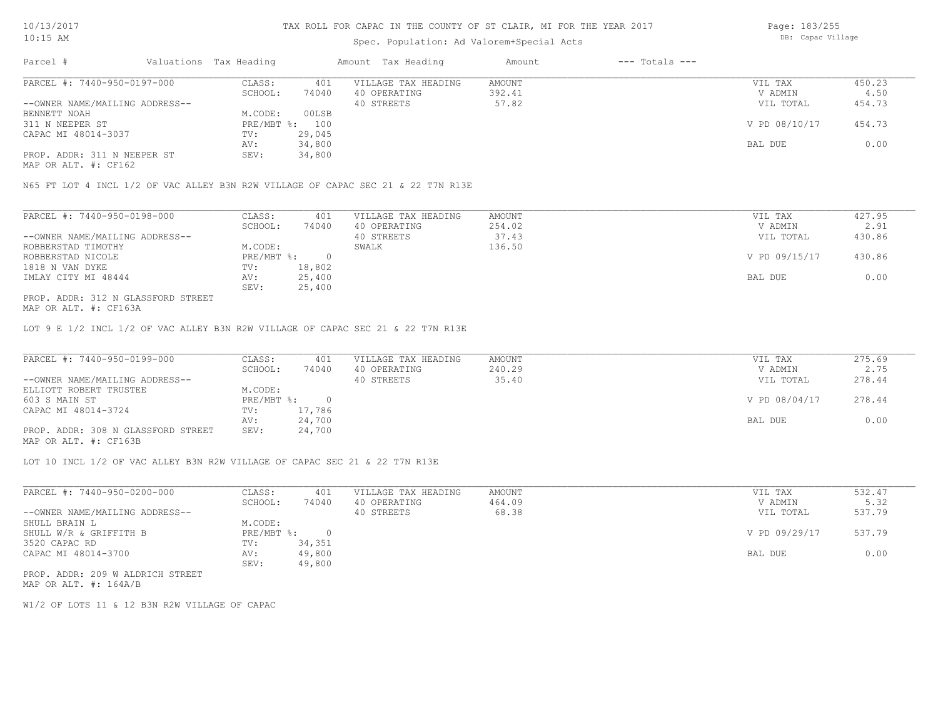# Spec. Population: Ad Valorem+Special Acts

Page: 183/255 DB: Capac Village

| Parcel #                       | Valuations Tax Heading |        | Amount Tax Heading  | Amount | $---$ Totals $---$ |               |        |
|--------------------------------|------------------------|--------|---------------------|--------|--------------------|---------------|--------|
| PARCEL #: 7440-950-0197-000    | CLASS:                 | 401    | VILLAGE TAX HEADING | AMOUNT |                    | VIL TAX       | 450.23 |
|                                | SCHOOL:                | 74040  | 40 OPERATING        | 392.41 |                    | V ADMIN       | 4.50   |
| --OWNER NAME/MAILING ADDRESS-- |                        |        | 40 STREETS          | 57.82  |                    | VIL TOTAL     | 454.73 |
| BENNETT NOAH                   | M.CODE:                | 00LSB  |                     |        |                    |               |        |
| 311 N NEEPER ST                | PRE/MBT %:             | 100    |                     |        |                    | V PD 08/10/17 | 454.73 |
| CAPAC MI 48014-3037            | TV:                    | 29,045 |                     |        |                    |               |        |
|                                | AV:                    | 34,800 |                     |        |                    | BAL DUE       | 0.00   |
| PROP. ADDR: 311 N NEEPER ST    | SEV:                   | 34,800 |                     |        |                    |               |        |
| MAP OR ALT. #: CF162           |                        |        |                     |        |                    |               |        |

N65 FT LOT 4 INCL 1/2 OF VAC ALLEY B3N R2W VILLAGE OF CAPAC SEC 21 & 22 T7N R13E

| PARCEL #: 7440-950-0198-000        | CLASS:     | 401    | VILLAGE TAX HEADING | AMOUNT | VIL TAX       | 427.95 |
|------------------------------------|------------|--------|---------------------|--------|---------------|--------|
|                                    | SCHOOL:    | 74040  | 40 OPERATING        | 254.02 | V ADMIN       | 2.91   |
| --OWNER NAME/MAILING ADDRESS--     |            |        | 40 STREETS          | 37.43  | VIL TOTAL     | 430.86 |
| ROBBERSTAD TIMOTHY                 | M.CODE:    |        | SWALK               | 136.50 |               |        |
| ROBBERSTAD NICOLE                  | PRE/MBT %: |        |                     |        | V PD 09/15/17 | 430.86 |
| 1818 N VAN DYKE                    | TV:        | 18,802 |                     |        |               |        |
| IMLAY CITY MI 48444                | AV:        | 25,400 |                     |        | BAL DUE       | 0.00   |
|                                    | SEV:       | 25,400 |                     |        |               |        |
| PROP. ADDR: 312 N GLASSFORD STREET |            |        |                     |        |               |        |

MAP OR ALT. #: CF163A

LOT 9 E 1/2 INCL 1/2 OF VAC ALLEY B3N R2W VILLAGE OF CAPAC SEC 21 & 22 T7N R13E

| PARCEL #: 7440-950-0199-000        | CLASS:       | 401    | VILLAGE TAX HEADING | AMOUNT | VIL TAX       | 275.69 |
|------------------------------------|--------------|--------|---------------------|--------|---------------|--------|
|                                    | SCHOOL:      | 74040  | 40 OPERATING        | 240.29 | V ADMIN       | 2.75   |
| --OWNER NAME/MAILING ADDRESS--     |              |        | 40 STREETS          | 35.40  | VIL TOTAL     | 278.44 |
| ELLIOTT ROBERT TRUSTEE             | M.CODE:      |        |                     |        |               |        |
| 603 S MAIN ST                      | $PRE/MBT$ %: |        |                     |        | V PD 08/04/17 | 278.44 |
| CAPAC MI 48014-3724                | TV:          | 17,786 |                     |        |               |        |
|                                    | AV:          | 24,700 |                     |        | BAL DUE       | 0.00   |
| PROP. ADDR: 308 N GLASSFORD STREET | SEV:         | 24,700 |                     |        |               |        |
| MAP OR ALT. #: CF163B              |              |        |                     |        |               |        |

LOT 10 INCL 1/2 OF VAC ALLEY B3N R2W VILLAGE OF CAPAC SEC 21 & 22 T7N R13E

| PARCEL #: 7440-950-0200-000      | CLASS:       | 401    | VILLAGE TAX HEADING | AMOUNT | VIL TAX       | 532.47 |
|----------------------------------|--------------|--------|---------------------|--------|---------------|--------|
|                                  | SCHOOL:      | 74040  | 40 OPERATING        | 464.09 | V ADMIN       | 5.32   |
| --OWNER NAME/MAILING ADDRESS--   |              |        | 40 STREETS          | 68.38  | VIL TOTAL     | 537.79 |
| SHULL BRAIN L                    | M.CODE:      |        |                     |        |               |        |
| SHULL W/R & GRIFFITH B           | $PRE/MBT$ %: |        |                     |        | V PD 09/29/17 | 537.79 |
| 3520 CAPAC RD                    | TV:          | 34,351 |                     |        |               |        |
| CAPAC MI 48014-3700              | AV:          | 49,800 |                     |        | BAL DUE       | 0.00   |
|                                  | SEV:         | 49,800 |                     |        |               |        |
| PROP. ADDR: 209 W ALDRICH STREET |              |        |                     |        |               |        |

MAP OR ALT. #: 164A/B

W1/2 OF LOTS 11 & 12 B3N R2W VILLAGE OF CAPAC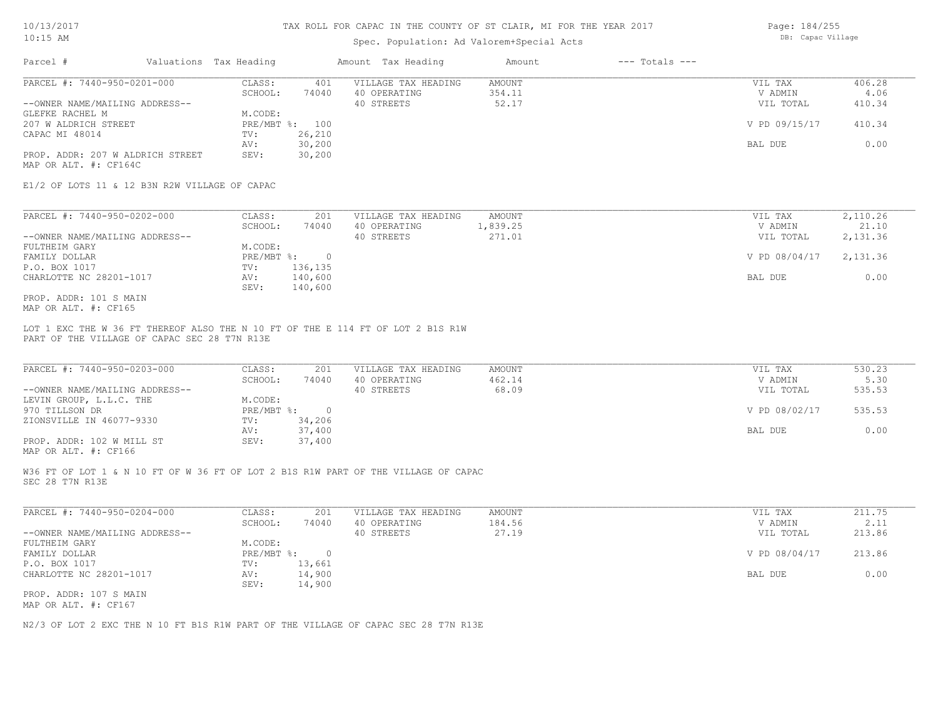### Spec. Population: Ad Valorem+Special Acts

| Page: 184/255     |
|-------------------|
| DB: Capac Village |

| Parcel #                         | Valuations Tax Heading |        | Amount Tax Heading  | Amount | $---$ Totals $---$ |               |        |
|----------------------------------|------------------------|--------|---------------------|--------|--------------------|---------------|--------|
| PARCEL #: 7440-950-0201-000      | CLASS:                 | 401    | VILLAGE TAX HEADING | AMOUNT |                    | VIL TAX       | 406.28 |
|                                  | SCHOOL:                | 74040  | 40 OPERATING        | 354.11 |                    | V ADMIN       | 4.06   |
| --OWNER NAME/MAILING ADDRESS--   |                        |        | 40 STREETS          | 52.17  |                    | VIL TOTAL     | 410.34 |
| GLEFKE RACHEL M                  | M.CODE:                |        |                     |        |                    |               |        |
| 207 W ALDRICH STREET             | PRE/MBT %: 100         |        |                     |        |                    | V PD 09/15/17 | 410.34 |
| CAPAC MI 48014                   | TV:                    | 26,210 |                     |        |                    |               |        |
|                                  | AV:                    | 30,200 |                     |        |                    | BAL DUE       | 0.00   |
| PROP. ADDR: 207 W ALDRICH STREET | SEV:                   | 30,200 |                     |        |                    |               |        |
| MAP OR ALT. #: CF164C            |                        |        |                     |        |                    |               |        |

E1/2 OF LOTS 11 & 12 B3N R2W VILLAGE OF CAPAC

| PARCEL #: 7440-950-0202-000    | CLASS:       | 201     | VILLAGE TAX HEADING | AMOUNT   | VIL TAX       | 2,110.26 |
|--------------------------------|--------------|---------|---------------------|----------|---------------|----------|
|                                | SCHOOL:      | 74040   | 40 OPERATING        | 1,839.25 | V ADMIN       | 21.10    |
| --OWNER NAME/MAILING ADDRESS-- |              |         | 40 STREETS          | 271.01   | VIL TOTAL     | 2,131.36 |
| FULTHEIM GARY                  | M.CODE:      |         |                     |          |               |          |
| FAMILY DOLLAR                  | $PRE/MBT$ %: |         |                     |          | V PD 08/04/17 | 2,131.36 |
| P.O. BOX 1017                  | TV:          | 136,135 |                     |          |               |          |
| CHARLOTTE NC 28201-1017        | AV:          | 140,600 |                     |          | BAL DUE       | 0.00     |
|                                | SEV:         | 140,600 |                     |          |               |          |
| PROP. ADDR: 101 S MAIN         |              |         |                     |          |               |          |

MAP OR ALT. #: CF165

PART OF THE VILLAGE OF CAPAC SEC 28 T7N R13E LOT 1 EXC THE W 36 FT THEREOF ALSO THE N 10 FT OF THE E 114 FT OF LOT 2 B1S R1W

| PARCEL #: 7440-950-0203-000    | CLASS:     | 201    | VILLAGE TAX HEADING | AMOUNT | VIL TAX       | 530.23 |
|--------------------------------|------------|--------|---------------------|--------|---------------|--------|
|                                | SCHOOL:    | 74040  | 40 OPERATING        | 462.14 | V ADMIN       | 5.30   |
| --OWNER NAME/MAILING ADDRESS-- |            |        | 40 STREETS          | 68.09  | VIL TOTAL     | 535.53 |
| LEVIN GROUP, L.L.C. THE        | M.CODE:    |        |                     |        |               |        |
| 970 TILLSON DR                 | PRE/MBT %: |        |                     |        | V PD 08/02/17 | 535.53 |
| ZIONSVILLE IN 46077-9330       | TV:        | 34,206 |                     |        |               |        |
|                                | AV:        | 37,400 |                     |        | BAL DUE       | 0.00   |
| PROP. ADDR: 102 W MILL ST      | SEV:       | 37,400 |                     |        |               |        |
|                                |            |        |                     |        |               |        |

MAP OR ALT. #: CF166

SEC 28 T7N R13E W36 FT OF LOT 1 & N 10 FT OF W 36 FT OF LOT 2 B1S R1W PART OF THE VILLAGE OF CAPAC

| PARCEL #: 7440-950-0204-000    | CLASS:       | 201    | VILLAGE TAX HEADING | AMOUNT | VIL TAX       | 211.75 |
|--------------------------------|--------------|--------|---------------------|--------|---------------|--------|
|                                | SCHOOL:      | 74040  | 40 OPERATING        | 184.56 | V ADMIN       | 2.11   |
| --OWNER NAME/MAILING ADDRESS-- |              |        | 40 STREETS          | 27.19  | VIL TOTAL     | 213.86 |
| FULTHEIM GARY                  | M.CODE:      |        |                     |        |               |        |
| FAMILY DOLLAR                  | $PRE/MBT$ %: |        |                     |        | V PD 08/04/17 | 213.86 |
| P.O. BOX 1017                  | TV:          | 13,661 |                     |        |               |        |
| CHARLOTTE NC 28201-1017        | AV:          | 14,900 |                     |        | BAL DUE       | 0.00   |
|                                | SEV:         | 14,900 |                     |        |               |        |
| PROP. ADDR: 107 S MAIN         |              |        |                     |        |               |        |

MAP OR ALT. #: CF167

N2/3 OF LOT 2 EXC THE N 10 FT B1S R1W PART OF THE VILLAGE OF CAPAC SEC 28 T7N R13E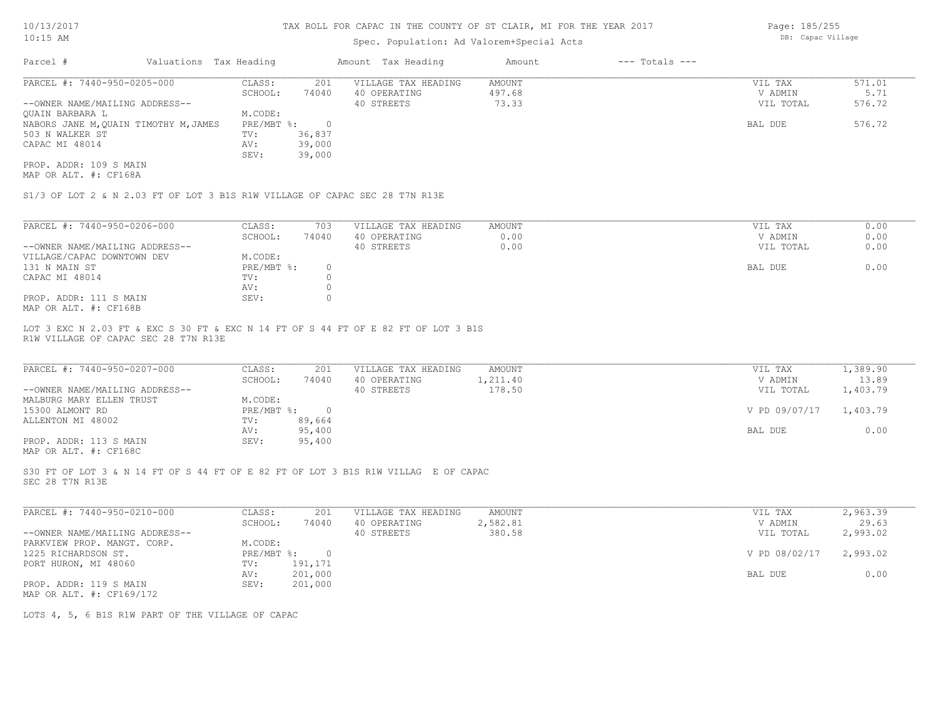## Spec. Population: Ad Valorem+Special Acts

Page: 185/255 DB: Capac Village

| Parcel #                              | Valuations Tax Heading |            |        | Amount Tax Heading  | Amount | $---$ Totals $---$ |           |        |
|---------------------------------------|------------------------|------------|--------|---------------------|--------|--------------------|-----------|--------|
| PARCEL #: 7440-950-0205-000           |                        | CLASS:     | 201    | VILLAGE TAX HEADING | AMOUNT |                    | VIL TAX   | 571.01 |
|                                       |                        | SCHOOL:    | 74040  | 40 OPERATING        | 497.68 |                    | V ADMIN   | 5.71   |
| --OWNER NAME/MAILING ADDRESS--        |                        |            |        | 40 STREETS          | 73.33  |                    | VIL TOTAL | 576.72 |
| OUAIN BARBARA L                       |                        | M.CODE:    |        |                     |        |                    |           |        |
| NABORS JANE M, QUAIN TIMOTHY M, JAMES |                        | PRE/MBT %: |        |                     |        |                    | BAL DUE   | 576.72 |
| 503 N WALKER ST                       |                        | TV:        | 36,837 |                     |        |                    |           |        |
| CAPAC MI 48014                        |                        | AV:        | 39,000 |                     |        |                    |           |        |
|                                       |                        | SEV:       | 39,000 |                     |        |                    |           |        |
| PROP. ADDR: 109 S MAIN                |                        |            |        |                     |        |                    |           |        |

MAP OR ALT. #: CF168A

S1/3 OF LOT 2 & N 2.03 FT OF LOT 3 B1S R1W VILLAGE OF CAPAC SEC 28 T7N R13E

| PARCEL #: 7440-950-0206-000    | CLASS:     | 703   | VILLAGE TAX HEADING | AMOUNT | VIL TAX<br>0.00   |
|--------------------------------|------------|-------|---------------------|--------|-------------------|
|                                | SCHOOL:    | 74040 | 40 OPERATING        | 0.00   | 0.00<br>V ADMIN   |
| --OWNER NAME/MAILING ADDRESS-- |            |       | 40 STREETS          | 0.00   | 0.00<br>VIL TOTAL |
| VILLAGE/CAPAC DOWNTOWN DEV     | M.CODE:    |       |                     |        |                   |
| 131 N MAIN ST                  | PRE/MBT %: |       |                     |        | 0.00<br>BAL DUE   |
| CAPAC MI 48014                 | TV:        |       |                     |        |                   |
|                                | AV:        |       |                     |        |                   |
| PROP. ADDR: 111 S MAIN         | SEV:       |       |                     |        |                   |
| MAP OR ALT. #: CF168B          |            |       |                     |        |                   |

R1W VILLAGE OF CAPAC SEC 28 T7N R13E LOT 3 EXC N 2.03 FT & EXC S 30 FT & EXC N 14 FT OF S 44 FT OF E 82 FT OF LOT 3 B1S

| PARCEL #: 7440-950-0207-000    | CLASS:       | 201    | VILLAGE TAX HEADING | AMOUNT   | VIL TAX       | 1,389.90 |
|--------------------------------|--------------|--------|---------------------|----------|---------------|----------|
|                                | SCHOOL:      | 74040  | 40 OPERATING        | 1,211.40 | V ADMIN       | 13.89    |
| --OWNER NAME/MAILING ADDRESS-- |              |        | 40 STREETS          | 178.50   | VIL TOTAL     | 1,403.79 |
| MALBURG MARY ELLEN TRUST       | M.CODE:      |        |                     |          |               |          |
| 15300 ALMONT RD                | $PRE/MBT$ %: |        |                     |          | V PD 09/07/17 | 1,403.79 |
| ALLENTON MI 48002              | TV:          | 89,664 |                     |          |               |          |
|                                | AV:          | 95,400 |                     |          | BAL DUE       | 0.00     |
| PROP. ADDR: 113 S MAIN         | SEV:         | 95,400 |                     |          |               |          |
|                                |              |        |                     |          |               |          |

MAP OR ALT. #: CF168C

SEC 28 T7N R13E S30 FT OF LOT 3 & N 14 FT OF S 44 FT OF E 82 FT OF LOT 3 B1S R1W VILLAG E OF CAPAC

| PARCEL #: 7440-950-0210-000    | CLASS:     | 201     | VILLAGE TAX HEADING | AMOUNT   | VIL TAX       | 2,963.39 |
|--------------------------------|------------|---------|---------------------|----------|---------------|----------|
|                                | SCHOOL:    | 74040   | 40 OPERATING        | 2,582.81 | V ADMIN       | 29.63    |
| --OWNER NAME/MAILING ADDRESS-- |            |         | 40 STREETS          | 380.58   | VIL TOTAL     | 2,993.02 |
| PARKVIEW PROP. MANGT. CORP.    | M.CODE:    |         |                     |          |               |          |
| 1225 RICHARDSON ST.            | PRE/MBT %: | $\Box$  |                     |          | V PD 08/02/17 | 2,993.02 |
| PORT HURON, MI 48060           | TV:        | 191,171 |                     |          |               |          |
|                                | AV:        | 201,000 |                     |          | BAL DUE       | 0.00     |
| PROP. ADDR: 119 S MAIN         | SEV:       | 201,000 |                     |          |               |          |
| MAP OR ALT. #: CF169/172       |            |         |                     |          |               |          |

 $\_$  , and the state of the state of the state of the state of the state of the state of the state of the state of the state of the state of the state of the state of the state of the state of the state of the state of the

LOTS 4, 5, 6 B1S R1W PART OF THE VILLAGE OF CAPAC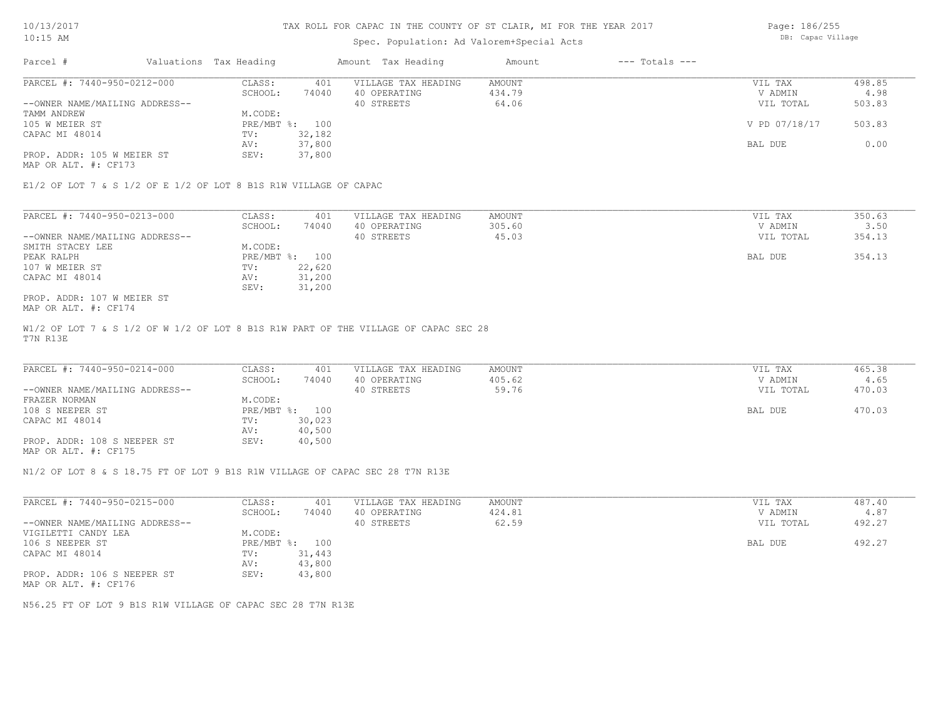# Spec. Population: Ad Valorem+Special Acts

Page: 186/255 DB: Capac Village

| Parcel #                       | Valuations Tax Heading |        | Amount Tax Heading  | Amount | $---$ Totals $---$ |               |        |
|--------------------------------|------------------------|--------|---------------------|--------|--------------------|---------------|--------|
| PARCEL #: 7440-950-0212-000    | CLASS:                 | 401    | VILLAGE TAX HEADING | AMOUNT |                    | VIL TAX       | 498.85 |
|                                | SCHOOL:                | 74040  | 40 OPERATING        | 434.79 |                    | V ADMIN       | 4.98   |
| --OWNER NAME/MAILING ADDRESS-- |                        |        | 40 STREETS          | 64.06  |                    | VIL TOTAL     | 503.83 |
| TAMM ANDREW                    | M.CODE:                |        |                     |        |                    |               |        |
| 105 W MEIER ST                 | PRE/MBT %: 100         |        |                     |        |                    | V PD 07/18/17 | 503.83 |
| CAPAC MI 48014                 | TV:                    | 32,182 |                     |        |                    |               |        |
|                                | AV:                    | 37,800 |                     |        |                    | BAL DUE       | 0.00   |
| PROP. ADDR: 105 W MEIER ST     | SEV:                   | 37,800 |                     |        |                    |               |        |
| MAP OR ALT. #: CF173           |                        |        |                     |        |                    |               |        |

E1/2 OF LOT 7 & S 1/2 OF E 1/2 OF LOT 8 B1S R1W VILLAGE OF CAPAC

| PARCEL #: 7440-950-0213-000    | CLASS:     | 401    | VILLAGE TAX HEADING | AMOUNT | VIL TAX   | 350.63 |
|--------------------------------|------------|--------|---------------------|--------|-----------|--------|
|                                | SCHOOL:    | 74040  | 40 OPERATING        | 305.60 | V ADMIN   | 3.50   |
| --OWNER NAME/MAILING ADDRESS-- |            |        | 40 STREETS          | 45.03  | VIL TOTAL | 354.13 |
| SMITH STACEY LEE               | M.CODE:    |        |                     |        |           |        |
| PEAK RALPH                     | PRE/MBT %: | 100    |                     |        | BAL DUE   | 354.13 |
| 107 W MEIER ST                 | TV:        | 22,620 |                     |        |           |        |
| CAPAC MI 48014                 | AV:        | 31,200 |                     |        |           |        |
|                                | SEV:       | 31,200 |                     |        |           |        |
| PROP. ADDR: 107 W MEIER ST     |            |        |                     |        |           |        |

MAP OR ALT. #: CF174

T7N R13E W1/2 OF LOT 7 & S 1/2 OF W 1/2 OF LOT 8 B1S R1W PART OF THE VILLAGE OF CAPAC SEC 28

| PARCEL #: 7440-950-0214-000    | CLASS:  | 401            | VILLAGE TAX HEADING | AMOUNT | VIL TAX   | 465.38 |
|--------------------------------|---------|----------------|---------------------|--------|-----------|--------|
|                                | SCHOOL: | 74040          | 40 OPERATING        | 405.62 | V ADMIN   | 4.65   |
| --OWNER NAME/MAILING ADDRESS-- |         |                | 40 STREETS          | 59.76  | VIL TOTAL | 470.03 |
| FRAZER NORMAN                  | M.CODE: |                |                     |        |           |        |
| 108 S NEEPER ST                |         | PRE/MBT %: 100 |                     |        | BAL DUE   | 470.03 |
| CAPAC MI 48014                 | TV:     | 30,023         |                     |        |           |        |
|                                | AV:     | 40,500         |                     |        |           |        |
| PROP. ADDR: 108 S NEEPER ST    | SEV:    | 40,500         |                     |        |           |        |
|                                |         |                |                     |        |           |        |

MAP OR ALT. #: CF175

N1/2 OF LOT 8 & S 18.75 FT OF LOT 9 B1S R1W VILLAGE OF CAPAC SEC 28 T7N R13E

| PARCEL #: 7440-950-0215-000    | CLASS:     | 401    | VILLAGE TAX HEADING | AMOUNT | 487.40<br>VIL TAX   |
|--------------------------------|------------|--------|---------------------|--------|---------------------|
|                                | SCHOOL:    | 74040  | 40 OPERATING        | 424.81 | 4.87<br>V ADMIN     |
| --OWNER NAME/MAILING ADDRESS-- |            |        | 40 STREETS          | 62.59  | 492.27<br>VIL TOTAL |
| VIGILETTI CANDY LEA            | M.CODE:    |        |                     |        |                     |
| 106 S NEEPER ST                | PRE/MBT %: | 100    |                     |        | 492.27<br>BAL DUE   |
| CAPAC MI 48014                 | TV:        | 31,443 |                     |        |                     |
|                                | AV:        | 43,800 |                     |        |                     |
| PROP. ADDR: 106 S NEEPER ST    | SEV:       | 43,800 |                     |        |                     |
| MAP OR ALT. #: CF176           |            |        |                     |        |                     |

N56.25 FT OF LOT 9 B1S R1W VILLAGE OF CAPAC SEC 28 T7N R13E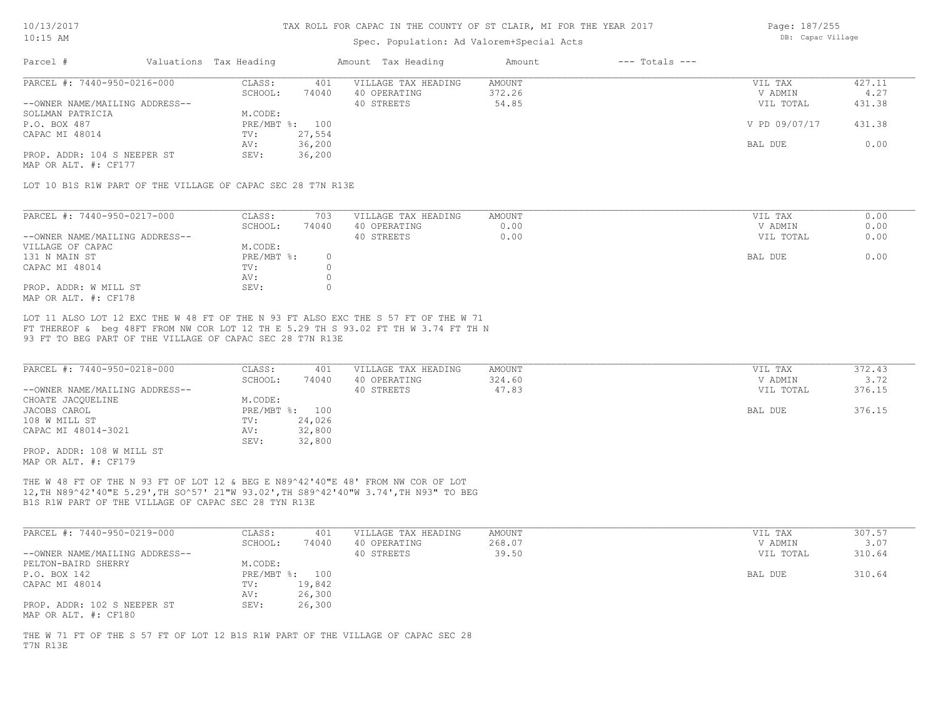### Spec. Population: Ad Valorem+Special Acts

Page: 187/255 DB: Capac Village

| Parcel #                       | Valuations Tax Heading |        | Amount Tax Heading  | Amount | $---$ Totals $---$ |               |        |
|--------------------------------|------------------------|--------|---------------------|--------|--------------------|---------------|--------|
| PARCEL #: 7440-950-0216-000    | CLASS:                 | 401    | VILLAGE TAX HEADING | AMOUNT |                    | VIL TAX       | 427.11 |
|                                | SCHOOL:                | 74040  | 40 OPERATING        | 372.26 |                    | V ADMIN       | 4.27   |
| --OWNER NAME/MAILING ADDRESS-- |                        |        | 40 STREETS          | 54.85  |                    | VIL TOTAL     | 431.38 |
| SOLLMAN PATRICIA               | M.CODE:                |        |                     |        |                    |               |        |
| P.O. BOX 487                   | PRE/MBT %: 100         |        |                     |        |                    | V PD 09/07/17 | 431.38 |
| CAPAC MI 48014                 | TV:                    | 27,554 |                     |        |                    |               |        |
|                                | AV:                    | 36,200 |                     |        |                    | BAL DUE       | 0.00   |
| PROP. ADDR: 104 S NEEPER ST    | SEV:                   | 36,200 |                     |        |                    |               |        |
|                                |                        |        |                     |        |                    |               |        |

MAP OR ALT. #: CF177

LOT 10 B1S R1W PART OF THE VILLAGE OF CAPAC SEC 28 T7N R13E

| PARCEL #: 7440-950-0217-000    | CLASS:     | 703   | VILLAGE TAX HEADING | AMOUNT | VIL TAX   | 0.00 |
|--------------------------------|------------|-------|---------------------|--------|-----------|------|
|                                | SCHOOL:    | 74040 | 40 OPERATING        | 0.00   | V ADMIN   | 0.00 |
| --OWNER NAME/MAILING ADDRESS-- |            |       | 40 STREETS          | 0.00   | VIL TOTAL | 0.00 |
| VILLAGE OF CAPAC               | M.CODE:    |       |                     |        |           |      |
| 131 N MAIN ST                  | PRE/MBT %: |       |                     |        | BAL DUE   | 0.00 |
| CAPAC MI 48014                 | TV:        |       |                     |        |           |      |
|                                | AV:        |       |                     |        |           |      |
| PROP. ADDR: W MILL ST          | SEV:       |       |                     |        |           |      |
| MAP OR ALT. #: CF178           |            |       |                     |        |           |      |

93 FT TO BEG PART OF THE VILLAGE OF CAPAC SEC 28 T7N R13E FT THEREOF & beg 48FT FROM NW COR LOT 12 TH E 5.29 TH S 93.02 FT TH W 3.74 FT TH N LOT 11 ALSO LOT 12 EXC THE W 48 FT OF THE N 93 FT ALSO EXC THE S 57 FT OF THE W 71

| PARCEL #: 7440-950-0218-000    | CLASS:       | 401    | VILLAGE TAX HEADING | AMOUNT | VIL TAX   | 372.43 |
|--------------------------------|--------------|--------|---------------------|--------|-----------|--------|
|                                | SCHOOL:      | 74040  | 40 OPERATING        | 324.60 | V ADMIN   | 3.72   |
| --OWNER NAME/MAILING ADDRESS-- |              |        | 40 STREETS          | 47.83  | VIL TOTAL | 376.15 |
| CHOATE JACQUELINE              | M.CODE:      |        |                     |        |           |        |
| JACOBS CAROL                   | $PRE/MBT$ %: | 100    |                     |        | BAL DUE   | 376.15 |
| 108 W MILL ST                  | TV:          | 24,026 |                     |        |           |        |
| CAPAC MI 48014-3021            | AV:          | 32,800 |                     |        |           |        |
|                                | SEV:         | 32,800 |                     |        |           |        |
| PROP. ADDR: 108 W MILL ST      |              |        |                     |        |           |        |

MAP OR ALT. #: CF179

B1S R1W PART OF THE VILLAGE OF CAPAC SEC 28 TYN R13E 12,TH N89^42'40"E 5.29',TH SO^57' 21"W 93.02',TH S89^42'40"W 3.74',TH N93" TO BEG THE W 48 FT OF THE N 93 FT OF LOT 12 & BEG E N89^42'40"E 48' FROM NW COR OF LOT

| PARCEL #: 7440-950-0219-000                         | CLASS:  | 401            | VILLAGE TAX HEADING | AMOUNT | VIL TAX   | 307.57 |
|-----------------------------------------------------|---------|----------------|---------------------|--------|-----------|--------|
|                                                     | SCHOOL: | 74040          | 40 OPERATING        | 268.07 | V ADMIN   | 3.07   |
| --OWNER NAME/MAILING ADDRESS--                      |         |                | 40 STREETS          | 39.50  | VIL TOTAL | 310.64 |
| PELTON-BAIRD SHERRY                                 | M.CODE: |                |                     |        |           |        |
| P.O. BOX 142                                        |         | PRE/MBT %: 100 |                     |        | BAL DUE   | 310.64 |
| CAPAC MI 48014                                      | TV:     | 19,842         |                     |        |           |        |
|                                                     | AV:     | 26,300         |                     |        |           |        |
| PROP. ADDR: 102 S NEEPER ST<br>MAP OR ALT. #: CF180 | SEV:    | 26,300         |                     |        |           |        |

T7N R13E THE W 71 FT OF THE S 57 FT OF LOT 12 B1S R1W PART OF THE VILLAGE OF CAPAC SEC 28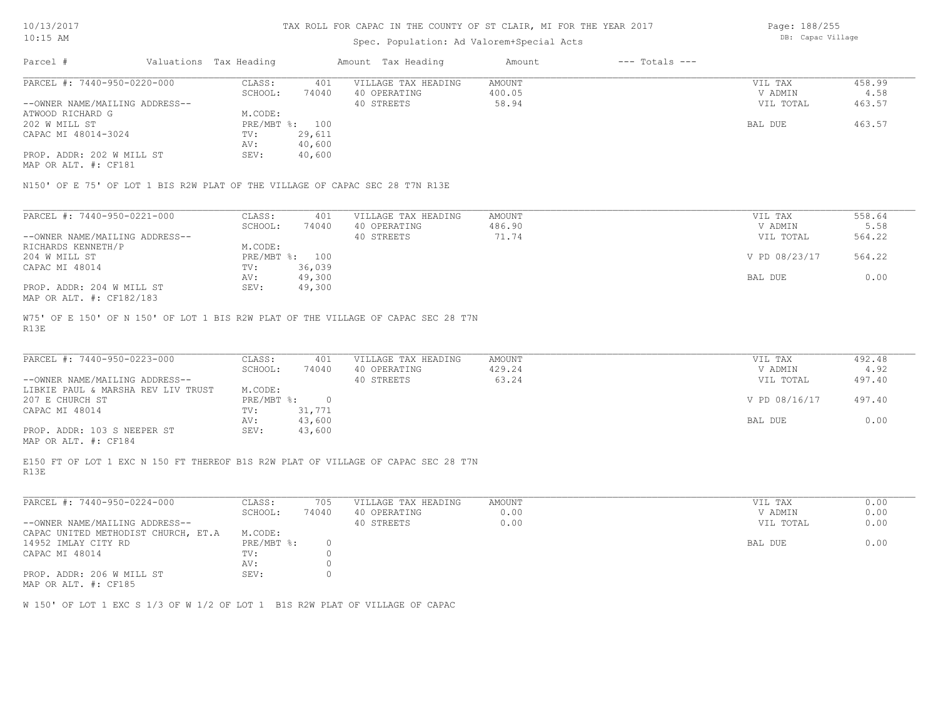## Spec. Population: Ad Valorem+Special Acts

Page: 188/255 DB: Capac Village

| Parcel #                       | Valuations Tax Heading |                | Amount Tax Heading  | Amount | $---$ Totals $---$ |           |        |
|--------------------------------|------------------------|----------------|---------------------|--------|--------------------|-----------|--------|
| PARCEL #: 7440-950-0220-000    | CLASS:                 | 401            | VILLAGE TAX HEADING | AMOUNT |                    | VIL TAX   | 458.99 |
|                                | SCHOOL:                | 74040          | 40 OPERATING        | 400.05 |                    | V ADMIN   | 4.58   |
| --OWNER NAME/MAILING ADDRESS-- |                        |                | 40 STREETS          | 58.94  |                    | VIL TOTAL | 463.57 |
| ATWOOD RICHARD G               | M.CODE:                |                |                     |        |                    |           |        |
| 202 W MILL ST                  |                        | PRE/MBT %: 100 |                     |        |                    | BAL DUE   | 463.57 |
| CAPAC MI 48014-3024            | TV:                    | 29,611         |                     |        |                    |           |        |
|                                | AV:                    | 40,600         |                     |        |                    |           |        |
| PROP. ADDR: 202 W MILL ST      | SEV:                   | 40,600         |                     |        |                    |           |        |
| MAP OR ALT. #: CF181           |                        |                |                     |        |                    |           |        |

| PARCEL #: 7440-950-0221-000    | CLASS:  | 401            | VILLAGE TAX HEADING | AMOUNT | VIL TAX       | 558.64 |
|--------------------------------|---------|----------------|---------------------|--------|---------------|--------|
|                                | SCHOOL: | 74040          | 40 OPERATING        | 486.90 | V ADMIN       | 5.58   |
| --OWNER NAME/MAILING ADDRESS-- |         |                | 40 STREETS          | 71.74  | VIL TOTAL     | 564.22 |
| RICHARDS KENNETH/P             | M.CODE: |                |                     |        |               |        |
| 204 W MILL ST                  |         | PRE/MBT %: 100 |                     |        | V PD 08/23/17 | 564.22 |
| CAPAC MI 48014                 | TV:     | 36,039         |                     |        |               |        |
|                                | AV:     | 49,300         |                     |        | BAL DUE       | 0.00   |
| PROP. ADDR: 204 W MILL ST      | SEV:    | 49,300         |                     |        |               |        |
| MAP OR ALT. #: CF182/183       |         |                |                     |        |               |        |

R13E W75' OF E 150' OF N 150' OF LOT 1 BIS R2W PLAT OF THE VILLAGE OF CAPAC SEC 28 T7N

| PARCEL #: 7440-950-0223-000        | CLASS:     | 401    | VILLAGE TAX HEADING | AMOUNT | VIL TAX       | 492.48 |
|------------------------------------|------------|--------|---------------------|--------|---------------|--------|
|                                    | SCHOOL:    | 74040  | 40 OPERATING        | 429.24 | V ADMIN       | 4.92   |
| --OWNER NAME/MAILING ADDRESS--     |            |        | 40 STREETS          | 63.24  | VIL TOTAL     | 497.40 |
| LIBKIE PAUL & MARSHA REV LIV TRUST | M.CODE:    |        |                     |        |               |        |
| 207 E CHURCH ST                    | PRE/MBT %: |        |                     |        | V PD 08/16/17 | 497.40 |
| CAPAC MI 48014                     | TV:        | 31,771 |                     |        |               |        |
|                                    | AV:        | 43,600 |                     |        | BAL DUE       | 0.00   |
| PROP. ADDR: 103 S NEEPER ST        | SEV:       | 43,600 |                     |        |               |        |
|                                    |            |        |                     |        |               |        |

MAP OR ALT. #: CF184

R13E E150 FT OF LOT 1 EXC N 150 FT THEREOF B1S R2W PLAT OF VILLAGE OF CAPAC SEC 28 T7N

| PARCEL #: 7440-950-0224-000         | CLASS:     | 705   | VILLAGE TAX HEADING | AMOUNT | 0.00<br>VIL TAX   |
|-------------------------------------|------------|-------|---------------------|--------|-------------------|
|                                     | SCHOOL:    | 74040 | 40 OPERATING        | 0.00   | 0.00<br>V ADMIN   |
| --OWNER NAME/MAILING ADDRESS--      |            |       | 40 STREETS          | 0.00   | 0.00<br>VIL TOTAL |
| CAPAC UNITED METHODIST CHURCH, ET.A | M.CODE:    |       |                     |        |                   |
| 14952 IMLAY CITY RD                 | PRE/MBT %: |       |                     |        | 0.00<br>BAL DUE   |
| CAPAC MI 48014                      | TV:        |       |                     |        |                   |
|                                     | AV:        |       |                     |        |                   |
| PROP. ADDR: 206 W MILL ST           | SEV:       |       |                     |        |                   |
| MAP OR ALT. #: CF185                |            |       |                     |        |                   |

W 150' OF LOT 1 EXC S 1/3 OF W 1/2 OF LOT 1 B1S R2W PLAT OF VILLAGE OF CAPAC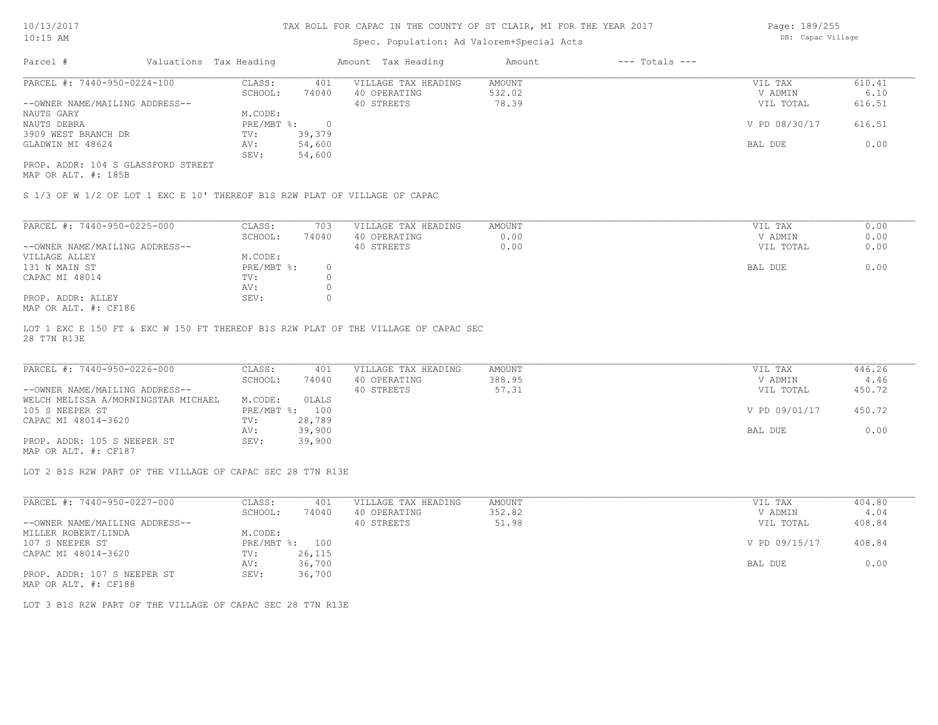# Spec. Population: Ad Valorem+Special Acts

Page: 189/255 DB: Capac Village

| Parcel #                           | Valuations Tax Heading |        | Amount Tax Heading  | Amount | $---$ Totals $---$ |               |        |
|------------------------------------|------------------------|--------|---------------------|--------|--------------------|---------------|--------|
| PARCEL #: 7440-950-0224-100        | CLASS:                 | 401    | VILLAGE TAX HEADING | AMOUNT |                    | VIL TAX       | 610.41 |
|                                    | SCHOOL:                | 74040  | 40 OPERATING        | 532.02 |                    | V ADMIN       | 6.10   |
| --OWNER NAME/MAILING ADDRESS--     |                        |        | 40 STREETS          | 78.39  |                    | VIL TOTAL     | 616.51 |
| NAUTS GARY                         | M.CODE:                |        |                     |        |                    |               |        |
| NAUTS DEBRA                        | PRE/MBT %:             |        |                     |        |                    | V PD 08/30/17 | 616.51 |
| 3909 WEST BRANCH DR                | TV:                    | 39,379 |                     |        |                    |               |        |
| GLADWIN MI 48624                   | AV:                    | 54,600 |                     |        |                    | BAL DUE       | 0.00   |
|                                    | SEV:                   | 54,600 |                     |        |                    |               |        |
| PROP. ADDR: 104 S GLASSFORD STREET |                        |        |                     |        |                    |               |        |

MAP OR ALT. #: 185B

S 1/3 OF W 1/2 OF LOT 1 EXC E 10' THEREOF B1S R2W PLAT OF VILLAGE OF CAPAC

| PARCEL #: 7440-950-0225-000    | CLASS:     | 703   | VILLAGE TAX HEADING | AMOUNT | 0.00<br>VIL TAX   |
|--------------------------------|------------|-------|---------------------|--------|-------------------|
|                                | SCHOOL:    | 74040 | 40 OPERATING        | 0.00   | 0.00<br>V ADMIN   |
| --OWNER NAME/MAILING ADDRESS-- |            |       | 40 STREETS          | 0.00   | 0.00<br>VIL TOTAL |
| VILLAGE ALLEY                  | M.CODE:    |       |                     |        |                   |
| 131 N MAIN ST                  | PRE/MBT %: |       |                     |        | 0.00<br>BAL DUE   |
| CAPAC MI 48014                 | TV:        |       |                     |        |                   |
|                                | AV:        |       |                     |        |                   |
| PROP. ADDR: ALLEY              | SEV:       |       |                     |        |                   |
| $MAD$ $CD$ $ATH$ $L$ $CD10C$   |            |       |                     |        |                   |

MAP OR ALT. #: CF186

28 T7N R13E LOT 1 EXC E 150 FT & EXC W 150 FT THEREOF B1S R2W PLAT OF THE VILLAGE OF CAPAC SEC

| PARCEL #: 7440-950-0226-000         | CLASS:         | 401    | VILLAGE TAX HEADING | AMOUNT | VIL TAX       | 446.26 |
|-------------------------------------|----------------|--------|---------------------|--------|---------------|--------|
|                                     | SCHOOL:        | 74040  | 40 OPERATING        | 388.95 | V ADMIN       | 4.46   |
| --OWNER NAME/MAILING ADDRESS--      |                |        | 40 STREETS          | 57.31  | VIL TOTAL     | 450.72 |
| WELCH MELISSA A/MORNINGSTAR MICHAEL | M.CODE:        | OLALS  |                     |        |               |        |
| 105 S NEEPER ST                     | PRE/MBT %: 100 |        |                     |        | V PD 09/01/17 | 450.72 |
| CAPAC MI 48014-3620                 | TV:            | 28,789 |                     |        |               |        |
|                                     | AV:            | 39,900 |                     |        | BAL DUE       | 0.00   |
| PROP. ADDR: 105 S NEEPER ST         | SEV:           | 39,900 |                     |        |               |        |

MAP OR ALT. #: CF187

LOT 2 B1S R2W PART OF THE VILLAGE OF CAPAC SEC 28 T7N R13E

| PARCEL #: 7440-950-0227-000                           | CLASS:       | 401    | VILLAGE TAX HEADING | AMOUNT | VIL TAX       | 404.80 |
|-------------------------------------------------------|--------------|--------|---------------------|--------|---------------|--------|
|                                                       | SCHOOL:      | 74040  | 40 OPERATING        | 352.82 | V ADMIN       | 4.04   |
| --OWNER NAME/MAILING ADDRESS--                        |              |        | 40 STREETS          | 51.98  | VIL TOTAL     | 408.84 |
| MILLER ROBERT/LINDA                                   | M.CODE:      |        |                     |        |               |        |
| 107 S NEEPER ST                                       | $PRE/MBT$ %: | 100    |                     |        | V PD 09/15/17 | 408.84 |
| CAPAC MI 48014-3620                                   | TV:          | 26,115 |                     |        |               |        |
|                                                       | AV:          | 36,700 |                     |        | BAL DUE       | 0.00   |
| PROP. ADDR: 107 S NEEPER ST                           | SEV:         | 36,700 |                     |        |               |        |
| $\cdots$ $\cdots$ $\cdots$ $\cdots$ $\cdots$ $\cdots$ |              |        |                     |        |               |        |

MAP OR ALT. #: CF188

LOT 3 B1S R2W PART OF THE VILLAGE OF CAPAC SEC 28 T7N R13E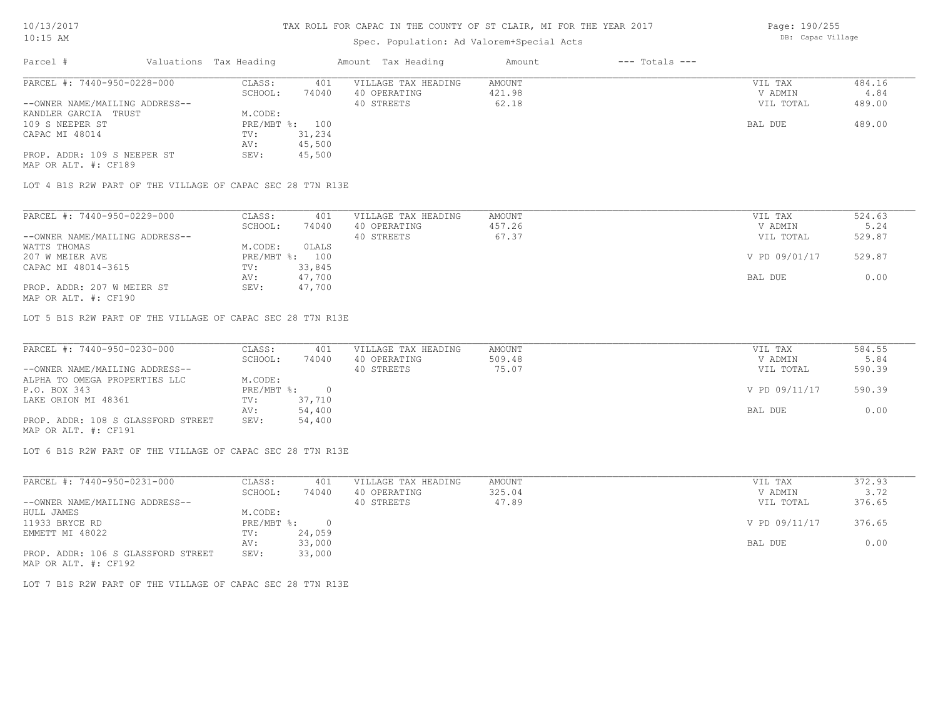# Spec. Population: Ad Valorem+Special Acts

| Parcel #                       | Valuations Tax Heading |                | Amount Tax Heading  | Amount | $---$ Totals $---$ |           |        |
|--------------------------------|------------------------|----------------|---------------------|--------|--------------------|-----------|--------|
| PARCEL #: 7440-950-0228-000    | CLASS:                 | 401            | VILLAGE TAX HEADING | AMOUNT |                    | VIL TAX   | 484.16 |
|                                | SCHOOL:                | 74040          | 40 OPERATING        | 421.98 |                    | V ADMIN   | 4.84   |
| --OWNER NAME/MAILING ADDRESS-- |                        |                | 40 STREETS          | 62.18  |                    | VIL TOTAL | 489.00 |
| KANDLER GARCIA TRUST           | M.CODE:                |                |                     |        |                    |           |        |
| 109 S NEEPER ST                |                        | PRE/MBT %: 100 |                     |        |                    | BAL DUE   | 489.00 |
| CAPAC MI 48014                 | TV:                    | 31,234         |                     |        |                    |           |        |
|                                | AV:                    | 45,500         |                     |        |                    |           |        |
| PROP. ADDR: 109 S NEEPER ST    | SEV:                   | 45,500         |                     |        |                    |           |        |
|                                |                        |                |                     |        |                    |           |        |

MAP OR ALT. #: CF189

LOT 4 B1S R2W PART OF THE VILLAGE OF CAPAC SEC 28 T7N R13E

| PARCEL #: 7440-950-0229-000    | CLASS:  | 401            | VILLAGE TAX HEADING | AMOUNT | VIL TAX       | 524.63 |
|--------------------------------|---------|----------------|---------------------|--------|---------------|--------|
|                                | SCHOOL: | 74040          | 40 OPERATING        | 457.26 | V ADMIN       | 5.24   |
| --OWNER NAME/MAILING ADDRESS-- |         |                | 40 STREETS          | 67.37  | VIL TOTAL     | 529.87 |
| WATTS THOMAS                   | M.CODE: | OLALS          |                     |        |               |        |
| 207 W MEIER AVE                |         | PRE/MBT %: 100 |                     |        | V PD 09/01/17 | 529.87 |
| CAPAC MI 48014-3615            | TV:     | 33,845         |                     |        |               |        |
|                                | AV:     | 47,700         |                     |        | BAL DUE       | 0.00   |
| PROP. ADDR: 207 W MEIER ST     | SEV:    | 47,700         |                     |        |               |        |
|                                |         |                |                     |        |               |        |

MAP OR ALT. #: CF190

LOT 5 B1S R2W PART OF THE VILLAGE OF CAPAC SEC 28 T7N R13E

| PARCEL #: 7440-950-0230-000        | CLASS:       | 401    | VILLAGE TAX HEADING | AMOUNT | VIL TAX       | 584.55 |
|------------------------------------|--------------|--------|---------------------|--------|---------------|--------|
|                                    | SCHOOL:      | 74040  | 40 OPERATING        | 509.48 | V ADMIN       | 5.84   |
| --OWNER NAME/MAILING ADDRESS--     |              |        | 40 STREETS          | 75.07  | VIL TOTAL     | 590.39 |
| ALPHA TO OMEGA PROPERTIES LLC      | M.CODE:      |        |                     |        |               |        |
| P.O. BOX 343                       | $PRE/MBT$ %: |        |                     |        | V PD 09/11/17 | 590.39 |
| LAKE ORION MI 48361                | TV:          | 37,710 |                     |        |               |        |
|                                    | AV:          | 54,400 |                     |        | BAL DUE       | 0.00   |
| PROP. ADDR: 108 S GLASSFORD STREET | SEV:         | 54,400 |                     |        |               |        |
| MAP OR ALT. #: CF191               |              |        |                     |        |               |        |

LOT 6 B1S R2W PART OF THE VILLAGE OF CAPAC SEC 28 T7N R13E

| PARCEL #: 7440-950-0231-000        | CLASS:     | 401    | VILLAGE TAX HEADING | AMOUNT | VIL TAX       | 372.93 |
|------------------------------------|------------|--------|---------------------|--------|---------------|--------|
|                                    | SCHOOL:    | 74040  | 40 OPERATING        | 325.04 | V ADMIN       | 3.72   |
| --OWNER NAME/MAILING ADDRESS--     |            |        | 40 STREETS          | 47.89  | VIL TOTAL     | 376.65 |
| HULL JAMES                         | M.CODE:    |        |                     |        |               |        |
| 11933 BRYCE RD                     | PRE/MBT %: | $\cap$ |                     |        | V PD 09/11/17 | 376.65 |
| EMMETT MI 48022                    | TV:        | 24,059 |                     |        |               |        |
|                                    | AV:        | 33,000 |                     |        | BAL DUE       | 0.00   |
| PROP. ADDR: 106 S GLASSFORD STREET | SEV:       | 33,000 |                     |        |               |        |
| MAP OR ALT. #: CF192               |            |        |                     |        |               |        |

LOT 7 B1S R2W PART OF THE VILLAGE OF CAPAC SEC 28 T7N R13E

Page: 190/255 DB: Capac Village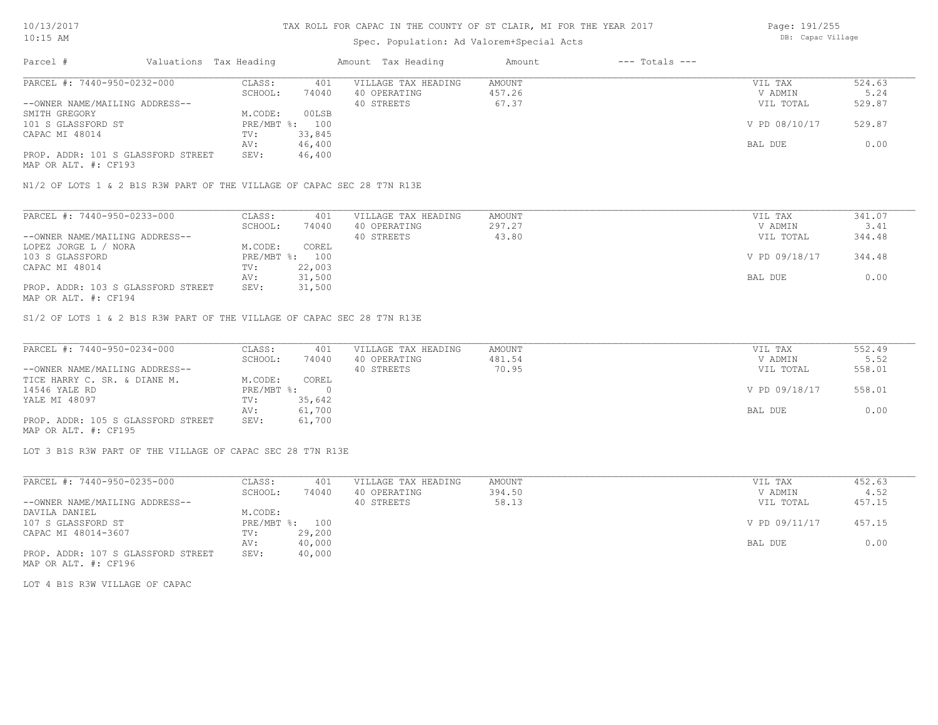## Spec. Population: Ad Valorem+Special Acts

Page: 191/255 DB: Capac Village

| Parcel #                           | Valuations Tax Heading |                | Amount Tax Heading  | Amount | $---$ Totals $---$ |               |        |
|------------------------------------|------------------------|----------------|---------------------|--------|--------------------|---------------|--------|
| PARCEL #: 7440-950-0232-000        | CLASS:                 | 401            | VILLAGE TAX HEADING | AMOUNT |                    | VIL TAX       | 524.63 |
|                                    | SCHOOL:                | 74040          | 40 OPERATING        | 457.26 |                    | V ADMIN       | 5.24   |
| --OWNER NAME/MAILING ADDRESS--     |                        |                | 40 STREETS          | 67.37  |                    | VIL TOTAL     | 529.87 |
| SMITH GREGORY                      | M.CODE:                | 00LSB          |                     |        |                    |               |        |
| 101 S GLASSFORD ST                 |                        | PRE/MBT %: 100 |                     |        |                    | V PD 08/10/17 | 529.87 |
| CAPAC MI 48014                     | TV:                    | 33,845         |                     |        |                    |               |        |
|                                    | AV:                    | 46,400         |                     |        |                    | BAL DUE       | 0.00   |
| PROP. ADDR: 101 S GLASSFORD STREET | SEV:                   | 46,400         |                     |        |                    |               |        |
| MAP OR ALT. #: CF193               |                        |                |                     |        |                    |               |        |

N1/2 OF LOTS 1 & 2 B1S R3W PART OF THE VILLAGE OF CAPAC SEC 28 T7N R13E

| PARCEL #: 7440-950-0233-000        | CLASS:     | 401    | VILLAGE TAX HEADING | AMOUNT | VIL TAX       | 341.07 |
|------------------------------------|------------|--------|---------------------|--------|---------------|--------|
|                                    | SCHOOL:    | 74040  | 40 OPERATING        | 297.27 | V ADMIN       | 3.41   |
| --OWNER NAME/MAILING ADDRESS--     |            |        | 40 STREETS          | 43.80  | VIL TOTAL     | 344.48 |
| LOPEZ JORGE L / NORA               | M.CODE:    | COREL  |                     |        |               |        |
| 103 S GLASSFORD                    | PRE/MBT %: | 100    |                     |        | V PD 09/18/17 | 344.48 |
| CAPAC MI 48014                     | TV:        | 22,003 |                     |        |               |        |
|                                    | AV:        | 31,500 |                     |        | BAL DUE       | 0.00   |
| PROP. ADDR: 103 S GLASSFORD STREET | SEV:       | 31,500 |                     |        |               |        |
| MAP OR ALT. #: CF194               |            |        |                     |        |               |        |

S1/2 OF LOTS 1 & 2 B1S R3W PART OF THE VILLAGE OF CAPAC SEC 28 T7N R13E

| PARCEL #: 7440-950-0234-000        | CLASS:     | 401    | VILLAGE TAX HEADING | AMOUNT | VIL TAX       | 552.49 |
|------------------------------------|------------|--------|---------------------|--------|---------------|--------|
|                                    | SCHOOL:    | 74040  | 40 OPERATING        | 481.54 | V ADMIN       | 5.52   |
| --OWNER NAME/MAILING ADDRESS--     |            |        | 40 STREETS          | 70.95  | VIL TOTAL     | 558.01 |
| TICE HARRY C. SR. & DIANE M.       | M.CODE:    | COREL  |                     |        |               |        |
| 14546 YALE RD                      | PRE/MBT %: |        |                     |        | V PD 09/18/17 | 558.01 |
| YALE MI 48097                      | TV:        | 35,642 |                     |        |               |        |
|                                    | AV:        | 61,700 |                     |        | BAL DUE       | 0.00   |
| PROP. ADDR: 105 S GLASSFORD STREET | SEV:       | 61,700 |                     |        |               |        |
| MAP OR ALT. #: CF195               |            |        |                     |        |               |        |

LOT 3 B1S R3W PART OF THE VILLAGE OF CAPAC SEC 28 T7N R13E

| PARCEL #: 7440-950-0235-000        | CLASS:         | 401    | VILLAGE TAX HEADING | AMOUNT | VIL TAX       | 452.63 |
|------------------------------------|----------------|--------|---------------------|--------|---------------|--------|
|                                    | SCHOOL:        | 74040  | 40 OPERATING        | 394.50 | V ADMIN       | 4.52   |
| --OWNER NAME/MAILING ADDRESS--     |                |        | 40 STREETS          | 58.13  | VIL TOTAL     | 457.15 |
| DAVILA DANIEL                      | M.CODE:        |        |                     |        |               |        |
| 107 S GLASSFORD ST                 | PRE/MBT %: 100 |        |                     |        | V PD 09/11/17 | 457.15 |
| CAPAC MI 48014-3607                | TV:            | 29,200 |                     |        |               |        |
|                                    | AV:            | 40,000 |                     |        | BAL DUE       | 0.00   |
| PROP. ADDR: 107 S GLASSFORD STREET | SEV:           | 40,000 |                     |        |               |        |

MAP OR ALT. #: CF196

LOT 4 B1S R3W VILLAGE OF CAPAC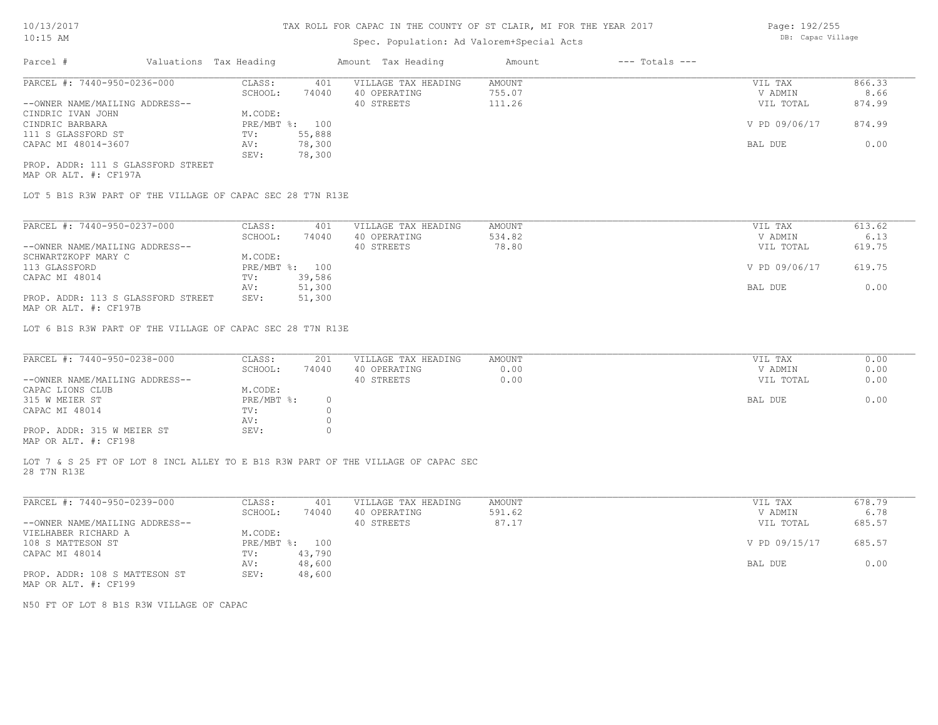# Spec. Population: Ad Valorem+Special Acts

Page: 192/255 DB: Capac Village

| Parcel #                           | Valuations Tax Heading |        | Amount Tax Heading  | Amount | $---$ Totals $---$ |               |        |
|------------------------------------|------------------------|--------|---------------------|--------|--------------------|---------------|--------|
| PARCEL #: 7440-950-0236-000        | CLASS:                 | 401    | VILLAGE TAX HEADING | AMOUNT |                    | VIL TAX       | 866.33 |
|                                    | SCHOOL:                | 74040  | 40 OPERATING        | 755.07 |                    | V ADMIN       | 8.66   |
| --OWNER NAME/MAILING ADDRESS--     |                        |        | 40 STREETS          | 111.26 |                    | VIL TOTAL     | 874.99 |
| CINDRIC IVAN JOHN                  | M.CODE:                |        |                     |        |                    |               |        |
| CINDRIC BARBARA                    | PRE/MBT %: 100         |        |                     |        |                    | V PD 09/06/17 | 874.99 |
| 111 S GLASSFORD ST                 | TV:                    | 55,888 |                     |        |                    |               |        |
| CAPAC MI 48014-3607                | AV:                    | 78,300 |                     |        |                    | BAL DUE       | 0.00   |
|                                    | SEV:                   | 78,300 |                     |        |                    |               |        |
| PROP. ADDR: 111 S GLASSFORD STREET |                        |        |                     |        |                    |               |        |

MAP OR ALT. #: CF197A

LOT 5 B1S R3W PART OF THE VILLAGE OF CAPAC SEC 28 T7N R13E

| PARCEL #: 7440-950-0237-000                           | CLASS:       | 401    | VILLAGE TAX HEADING | AMOUNT | VIL TAX       | 613.62 |
|-------------------------------------------------------|--------------|--------|---------------------|--------|---------------|--------|
|                                                       | SCHOOL:      | 74040  | 40 OPERATING        | 534.82 | V ADMIN       | 6.13   |
| --OWNER NAME/MAILING ADDRESS--                        |              |        | 40 STREETS          | 78.80  | VIL TOTAL     | 619.75 |
| SCHWARTZKOPF MARY C                                   | M.CODE:      |        |                     |        |               |        |
| 113 GLASSFORD                                         | $PRE/MBT$ %: | 100    |                     |        | V PD 09/06/17 | 619.75 |
| CAPAC MI 48014                                        | TV:          | 39,586 |                     |        |               |        |
|                                                       | AV:          | 51,300 |                     |        | BAL DUE       | 0.00   |
| PROP. ADDR: 113 S GLASSFORD STREET                    | SEV:         | 51,300 |                     |        |               |        |
| $\cdots$ $\cdots$ $\cdots$ $\cdots$ $\cdots$ $\cdots$ |              |        |                     |        |               |        |

MAP OR ALT. #: CF197B

LOT 6 B1S R3W PART OF THE VILLAGE OF CAPAC SEC 28 T7N R13E

| PARCEL #: 7440-950-0238-000                           | CLASS:     | 201   | VILLAGE TAX HEADING | AMOUNT | VIL TAX   | 0.00 |
|-------------------------------------------------------|------------|-------|---------------------|--------|-----------|------|
|                                                       | SCHOOL:    | 74040 | 40 OPERATING        | 0.00   | V ADMIN   | 0.00 |
| --OWNER NAME/MAILING ADDRESS--                        |            |       | 40 STREETS          | 0.00   | VIL TOTAL | 0.00 |
| CAPAC LIONS CLUB                                      | M.CODE:    |       |                     |        |           |      |
| 315 W MEIER ST                                        | PRE/MBT %: |       |                     |        | BAL DUE   | 0.00 |
| CAPAC MI 48014                                        | TV:        |       |                     |        |           |      |
|                                                       | AV:        |       |                     |        |           |      |
| PROP. ADDR: 315 W MEIER ST                            | SEV:       |       |                     |        |           |      |
| $\cdots$ $\cdots$ $\cdots$ $\cdots$ $\cdots$ $\cdots$ |            |       |                     |        |           |      |

MAP OR ALT. #: CF198

28 T7N R13E LOT 7 & S 25 FT OF LOT 8 INCL ALLEY TO E B1S R3W PART OF THE VILLAGE OF CAPAC SEC

| PARCEL #: 7440-950-0239-000    | CLASS:       | 401    | VILLAGE TAX HEADING | AMOUNT | VIL TAX       | 678.79 |
|--------------------------------|--------------|--------|---------------------|--------|---------------|--------|
|                                | SCHOOL:      | 74040  | 40 OPERATING        | 591.62 | V ADMIN       | 6.78   |
| --OWNER NAME/MAILING ADDRESS-- |              |        | 40 STREETS          | 87.17  | VIL TOTAL     | 685.57 |
| VIELHABER RICHARD A            | M.CODE:      |        |                     |        |               |        |
| 108 S MATTESON ST              | $PRE/MBT$ %: | 100    |                     |        | V PD 09/15/17 | 685.57 |
| CAPAC MI 48014                 | TV:          | 43,790 |                     |        |               |        |
|                                | AV:          | 48,600 |                     |        | BAL DUE       | 0.00   |
| PROP. ADDR: 108 S MATTESON ST  | SEV:         | 48,600 |                     |        |               |        |
| MAP OR ALT. #: CF199           |              |        |                     |        |               |        |

N50 FT OF LOT 8 B1S R3W VILLAGE OF CAPAC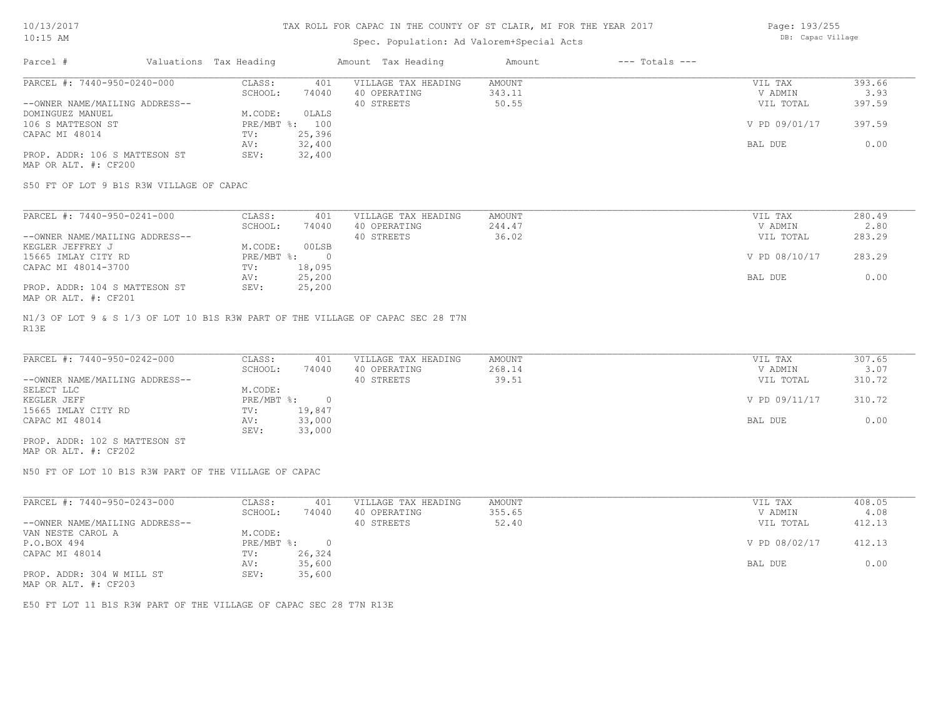### Spec. Population: Ad Valorem+Special Acts

Page: 193/255 DB: Capac Village

| Parcel #                       | Valuations Tax Heading |        | Amount Tax Heading  | Amount | $---$ Totals $---$ |               |        |
|--------------------------------|------------------------|--------|---------------------|--------|--------------------|---------------|--------|
| PARCEL #: 7440-950-0240-000    | CLASS:                 | 401    | VILLAGE TAX HEADING | AMOUNT |                    | VIL TAX       | 393.66 |
|                                | SCHOOL:                | 74040  | 40 OPERATING        | 343.11 |                    | V ADMIN       | 3.93   |
| --OWNER NAME/MAILING ADDRESS-- |                        |        | 40 STREETS          | 50.55  |                    | VIL TOTAL     | 397.59 |
| DOMINGUEZ MANUEL               | M.CODE:                | OLALS  |                     |        |                    |               |        |
| 106 S MATTESON ST              | $PRE/MBT$ %:           | 100    |                     |        |                    | V PD 09/01/17 | 397.59 |
| CAPAC MI 48014                 | TV:                    | 25,396 |                     |        |                    |               |        |
|                                | AV:                    | 32,400 |                     |        |                    | BAL DUE       | 0.00   |
| PROP. ADDR: 106 S MATTESON ST  | SEV:                   | 32,400 |                     |        |                    |               |        |
| MAP OR ALT. #: CF200           |                        |        |                     |        |                    |               |        |

S50 FT OF LOT 9 B1S R3W VILLAGE OF CAPAC

| PARCEL #: 7440-950-0241-000    | CLASS:     | 401    | VILLAGE TAX HEADING | AMOUNT | VIL TAX       | 280.49 |
|--------------------------------|------------|--------|---------------------|--------|---------------|--------|
|                                | SCHOOL:    | 74040  | 40 OPERATING        | 244.47 | V ADMIN       | 2.80   |
| --OWNER NAME/MAILING ADDRESS-- |            |        | 40 STREETS          | 36.02  | VIL TOTAL     | 283.29 |
| KEGLER JEFFREY J               | M.CODE:    | 00LSB  |                     |        |               |        |
| 15665 IMLAY CITY RD            | PRE/MBT %: |        |                     |        | V PD 08/10/17 | 283.29 |
| CAPAC MI 48014-3700            | TV:        | 18,095 |                     |        |               |        |
|                                | AV:        | 25,200 |                     |        | BAL DUE       | 0.00   |
| PROP. ADDR: 104 S MATTESON ST  | SEV:       | 25,200 |                     |        |               |        |
| MAP OR ALT. #: CF201           |            |        |                     |        |               |        |

R13E N1/3 OF LOT 9 & S 1/3 OF LOT 10 B1S R3W PART OF THE VILLAGE OF CAPAC SEC 28 T7N

| PARCEL #: 7440-950-0242-000    | CLASS:       | 401    | VILLAGE TAX HEADING | AMOUNT | VIL TAX       | 307.65 |
|--------------------------------|--------------|--------|---------------------|--------|---------------|--------|
|                                | SCHOOL:      | 74040  | 40 OPERATING        | 268.14 | V ADMIN       | 3.07   |
| --OWNER NAME/MAILING ADDRESS-- |              |        | 40 STREETS          | 39.51  | VIL TOTAL     | 310.72 |
| SELECT LLC                     | M.CODE:      |        |                     |        |               |        |
| KEGLER JEFF                    | $PRE/MBT$ %: |        |                     |        | V PD 09/11/17 | 310.72 |
| 15665 IMLAY CITY RD            | TV:          | 19,847 |                     |        |               |        |
| CAPAC MI 48014                 | AV:          | 33,000 |                     |        | BAL DUE       | 0.00   |
|                                | SEV:         | 33,000 |                     |        |               |        |
| PROP. ADDR: 102 S MATTESON ST  |              |        |                     |        |               |        |

MAP OR ALT. #: CF202

N50 FT OF LOT 10 B1S R3W PART OF THE VILLAGE OF CAPAC

| PARCEL #: 7440-950-0243-000                  | CLASS:     | 401    | VILLAGE TAX HEADING | AMOUNT | VIL TAX       | 408.05 |
|----------------------------------------------|------------|--------|---------------------|--------|---------------|--------|
|                                              | SCHOOL:    | 74040  | 40 OPERATING        | 355.65 | V ADMIN       | 4.08   |
| --OWNER NAME/MAILING ADDRESS--               |            |        | 40 STREETS          | 52.40  | VIL TOTAL     | 412.13 |
| VAN NESTE CAROL A                            | M.CODE:    |        |                     |        |               |        |
| P.O.BOX 494                                  | PRE/MBT %: |        |                     |        | V PD 08/02/17 | 412.13 |
| CAPAC MI 48014                               | TV:        | 26,324 |                     |        |               |        |
|                                              | AV:        | 35,600 |                     |        | BAL DUE       | 0.00   |
| PROP. ADDR: 304 W MILL ST                    | SEV:       | 35,600 |                     |        |               |        |
| $\cdots$ $\cdots$ $\cdots$ $\cdots$ $\cdots$ |            |        |                     |        |               |        |

MAP OR ALT. #: CF203

E50 FT LOT 11 B1S R3W PART OF THE VILLAGE OF CAPAC SEC 28 T7N R13E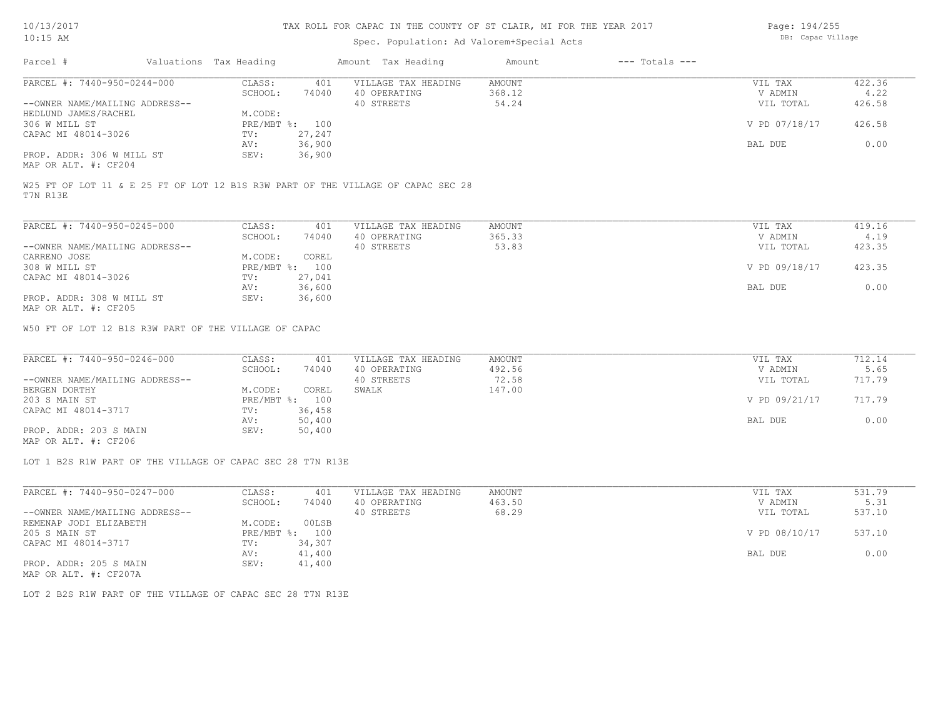| Page: 194/255    |
|------------------|
| DB: Capac Villag |

| $10:15$ AM                                                                                   |                        |                   |                | Spec. Population: Ad Valorem+Special Acts         |                           |                    |                                 | DB: Capac Village        |  |  |  |
|----------------------------------------------------------------------------------------------|------------------------|-------------------|----------------|---------------------------------------------------|---------------------------|--------------------|---------------------------------|--------------------------|--|--|--|
| Parcel #                                                                                     | Valuations Tax Heading |                   |                | Amount Tax Heading                                | Amount                    | $---$ Totals $---$ |                                 |                          |  |  |  |
| PARCEL #: 7440-950-0244-000                                                                  |                        | CLASS:            | 401            | VILLAGE TAX HEADING                               | <b>AMOUNT</b>             |                    | VIL TAX                         | 422.36                   |  |  |  |
|                                                                                              |                        | SCHOOL:           | 74040          | 40 OPERATING                                      | 368.12                    |                    | V ADMIN                         | 4.22                     |  |  |  |
| --OWNER NAME/MAILING ADDRESS--                                                               |                        |                   |                | 40 STREETS                                        | 54.24                     |                    | VIL TOTAL                       | 426.58                   |  |  |  |
| HEDLUND JAMES/RACHEL                                                                         |                        | M.CODE:           |                |                                                   |                           |                    |                                 |                          |  |  |  |
| 306 W MILL ST                                                                                |                        |                   | PRE/MBT %: 100 |                                                   |                           |                    | V PD 07/18/17                   | 426.58                   |  |  |  |
| CAPAC MI 48014-3026                                                                          |                        | TV:               | 27,247         |                                                   |                           |                    |                                 |                          |  |  |  |
|                                                                                              |                        | AV:               | 36,900         |                                                   |                           |                    | BAL DUE                         | 0.00                     |  |  |  |
| PROP. ADDR: 306 W MILL ST<br>MAP OR ALT. #: CF204                                            |                        | SEV:              | 36,900         |                                                   |                           |                    |                                 |                          |  |  |  |
| W25 FT OF LOT 11 & E 25 FT OF LOT 12 B1S R3W PART OF THE VILLAGE OF CAPAC SEC 28<br>T7N R13E |                        |                   |                |                                                   |                           |                    |                                 |                          |  |  |  |
| PARCEL #: 7440-950-0245-000                                                                  |                        | CLASS:            | 401            | VILLAGE TAX HEADING                               | AMOUNT                    |                    | VIL TAX                         | 419.16                   |  |  |  |
|                                                                                              |                        | SCHOOL:           | 74040          | 40 OPERATING                                      | 365.33                    |                    | V ADMIN                         | 4.19                     |  |  |  |
| --OWNER NAME/MAILING ADDRESS--                                                               |                        |                   |                | 40 STREETS                                        | 53.83                     |                    | VIL TOTAL                       | 423.35                   |  |  |  |
| CARRENO JOSE                                                                                 |                        | M.CODE:           | COREL          |                                                   |                           |                    |                                 |                          |  |  |  |
| 308 W MILL ST                                                                                |                        |                   | PRE/MBT %: 100 |                                                   |                           |                    | V PD 09/18/17                   | 423.35                   |  |  |  |
| CAPAC MI 48014-3026                                                                          |                        | TV:               | 27,041         |                                                   |                           |                    |                                 |                          |  |  |  |
|                                                                                              |                        | AV:               | 36,600         |                                                   |                           |                    | BAL DUE                         | 0.00                     |  |  |  |
| PROP. ADDR: 308 W MILL ST                                                                    |                        | SEV:              | 36,600         |                                                   |                           |                    |                                 |                          |  |  |  |
| MAP OR ALT. #: CF205                                                                         |                        |                   |                |                                                   |                           |                    |                                 |                          |  |  |  |
| PARCEL #: 7440-950-0246-000<br>--OWNER NAME/MAILING ADDRESS--                                |                        | CLASS:<br>SCHOOL: | 401<br>74040   | VILLAGE TAX HEADING<br>40 OPERATING<br>40 STREETS | AMOUNT<br>492.56<br>72.58 |                    | VIL TAX<br>V ADMIN<br>VIL TOTAL | 712.14<br>5.65<br>717.79 |  |  |  |
| BERGEN DORTHY                                                                                |                        | M.CODE:           | COREL          | SWALK                                             | 147.00                    |                    |                                 |                          |  |  |  |
| 203 S MAIN ST                                                                                |                        |                   | PRE/MBT %: 100 |                                                   |                           |                    | V PD 09/21/17                   | 717.79                   |  |  |  |
| CAPAC MI 48014-3717                                                                          |                        | TV:               | 36,458         |                                                   |                           |                    |                                 |                          |  |  |  |
|                                                                                              |                        | AV:               | 50,400         |                                                   |                           |                    | BAL DUE                         | 0.00                     |  |  |  |
| PROP. ADDR: 203 S MAIN                                                                       |                        | SEV:              | 50,400         |                                                   |                           |                    |                                 |                          |  |  |  |
| MAP OR ALT. #: CF206                                                                         |                        |                   |                |                                                   |                           |                    |                                 |                          |  |  |  |
| LOT 1 B2S R1W PART OF THE VILLAGE OF CAPAC SEC 28 T7N R13E                                   |                        |                   |                |                                                   |                           |                    |                                 |                          |  |  |  |
| PARCEL #: 7440-950-0247-000                                                                  |                        | CLASS:            | 401            | VILLAGE TAX HEADING                               | AMOUNT                    |                    | VIL TAX                         | 531.79                   |  |  |  |
|                                                                                              |                        | SCHOOL:           | 74040          | 40 OPERATING                                      | 463.50                    |                    | V ADMIN                         | 5.31                     |  |  |  |
| --OWNER NAME/MAILING ADDRESS--                                                               |                        |                   |                | 40 STREETS                                        | 68.29                     |                    | VIL TOTAL                       | 537.10                   |  |  |  |
| REMENAP JODI ELIZABETH                                                                       |                        | M.CODE:           | 00LSB          |                                                   |                           |                    |                                 |                          |  |  |  |
| 205 S MAIN ST                                                                                |                        |                   | PRE/MBT %: 100 |                                                   |                           |                    | V PD 08/10/17                   | 537.10                   |  |  |  |
| CAPAC MI 48014-3717                                                                          |                        | TV:               | 34,307         |                                                   |                           |                    |                                 |                          |  |  |  |
|                                                                                              |                        | AV:               | 41,400         |                                                   |                           |                    | BAL DUE                         | 0.00                     |  |  |  |
| PROP. ADDR: 205 S MAIN<br>MAP OR ALT. #: CF207A                                              |                        | SEV:              | 41,400         |                                                   |                           |                    |                                 |                          |  |  |  |
| LOT 2 B2S R1W PART OF THE VILLAGE OF CAPAC SEC 28 T7N R13E                                   |                        |                   |                |                                                   |                           |                    |                                 |                          |  |  |  |
|                                                                                              |                        |                   |                |                                                   |                           |                    |                                 |                          |  |  |  |
|                                                                                              |                        |                   |                |                                                   |                           |                    |                                 |                          |  |  |  |
|                                                                                              |                        |                   |                |                                                   |                           |                    |                                 |                          |  |  |  |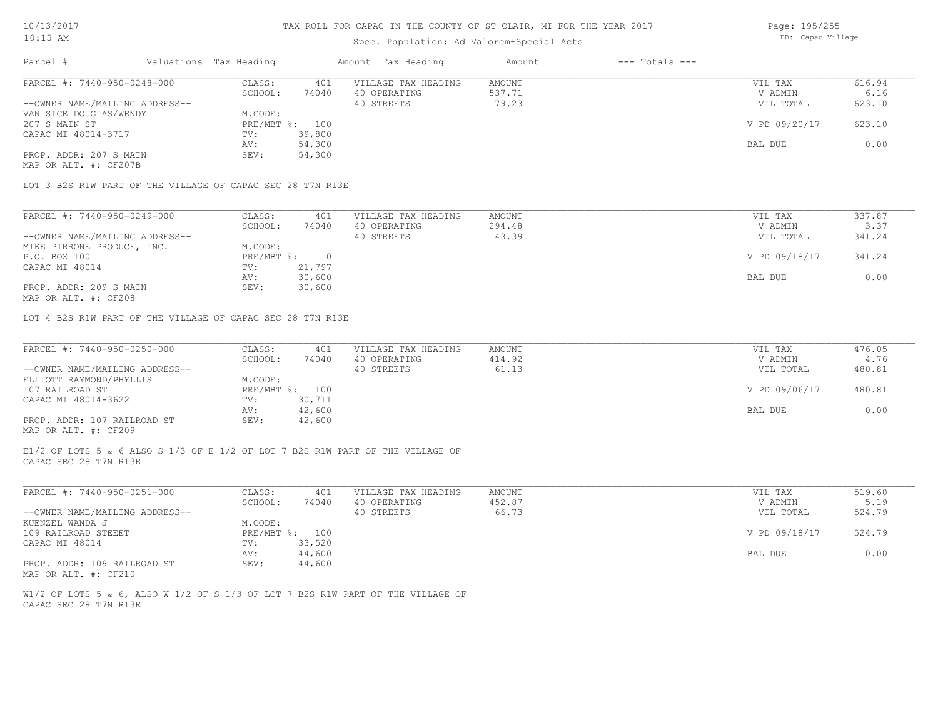### Spec. Population: Ad Valorem+Special Acts

| Page: 195/255     |
|-------------------|
| DB: Capac Village |

| Parcel #                       | Valuations Tax Heading |        | Amount Tax Heading  | Amount | $---$ Totals $---$ |               |        |
|--------------------------------|------------------------|--------|---------------------|--------|--------------------|---------------|--------|
| PARCEL #: 7440-950-0248-000    | CLASS:                 | 401    | VILLAGE TAX HEADING | AMOUNT |                    | VIL TAX       | 616.94 |
|                                | SCHOOL:                | 74040  | 40 OPERATING        | 537.71 |                    | V ADMIN       | 6.16   |
| --OWNER NAME/MAILING ADDRESS-- |                        |        | 40 STREETS          | 79.23  |                    | VIL TOTAL     | 623.10 |
| VAN SICE DOUGLAS/WENDY         | M.CODE:                |        |                     |        |                    |               |        |
| 207 S MAIN ST                  | PRE/MBT %: 100         |        |                     |        |                    | V PD 09/20/17 | 623.10 |
| CAPAC MI 48014-3717            | TV:                    | 39,800 |                     |        |                    |               |        |
|                                | AV:                    | 54,300 |                     |        |                    | BAL DUE       | 0.00   |
| PROP. ADDR: 207 S MAIN         | SEV:                   | 54,300 |                     |        |                    |               |        |
| MAP OR ALT. #: CF207B          |                        |        |                     |        |                    |               |        |

LOT 3 B2S R1W PART OF THE VILLAGE OF CAPAC SEC 28 T7N R13E

| PARCEL #: 7440-950-0249-000    | CLASS:     | 401    | VILLAGE TAX HEADING | AMOUNT | VIL TAX       | 337.87 |
|--------------------------------|------------|--------|---------------------|--------|---------------|--------|
|                                | SCHOOL:    | 74040  | 40 OPERATING        | 294.48 | V ADMIN       | 3.37   |
| --OWNER NAME/MAILING ADDRESS-- |            |        | 40 STREETS          | 43.39  | VIL TOTAL     | 341.24 |
| MIKE PIRRONE PRODUCE, INC.     | M.CODE:    |        |                     |        |               |        |
| P.O. BOX 100                   | PRE/MBT %: |        |                     |        | V PD 09/18/17 | 341.24 |
| CAPAC MI 48014                 | TV:        | 21,797 |                     |        |               |        |
|                                | AV:        | 30,600 |                     |        | BAL DUE       | 0.00   |
| PROP. ADDR: 209 S MAIN         | SEV:       | 30,600 |                     |        |               |        |
|                                |            |        |                     |        |               |        |

MAP OR ALT. #: CF208

LOT 4 B2S R1W PART OF THE VILLAGE OF CAPAC SEC 28 T7N R13E

| PARCEL #: 7440-950-0250-000    | CLASS:  | 401            | VILLAGE TAX HEADING | AMOUNT | VIL TAX       | 476.05 |
|--------------------------------|---------|----------------|---------------------|--------|---------------|--------|
|                                | SCHOOL: | 74040          | 40 OPERATING        | 414.92 | V ADMIN       | 4.76   |
| --OWNER NAME/MAILING ADDRESS-- |         |                | 40 STREETS          | 61.13  | VIL TOTAL     | 480.81 |
| ELLIOTT RAYMOND/PHYLLIS        | M.CODE: |                |                     |        |               |        |
| 107 RAILROAD ST                |         | PRE/MBT %: 100 |                     |        | V PD 09/06/17 | 480.81 |
| CAPAC MI 48014-3622            | TV:     | 30,711         |                     |        |               |        |
|                                | AV:     | 42,600         |                     |        | BAL DUE       | 0.00   |
| PROP. ADDR: 107 RAILROAD ST    | SEV:    | 42,600         |                     |        |               |        |
| MAP OR ALT. #: CF209           |         |                |                     |        |               |        |

CAPAC SEC 28 T7N R13E E1/2 OF LOTS 5 & 6 ALSO S 1/3 OF E 1/2 OF LOT 7 B2S R1W PART OF THE VILLAGE OF

| PARCEL #: 7440-950-0251-000    | CLASS:  | 401            | VILLAGE TAX HEADING | AMOUNT | VIL TAX       | 519.60 |
|--------------------------------|---------|----------------|---------------------|--------|---------------|--------|
|                                | SCHOOL: | 74040          | 40 OPERATING        | 452.87 | V ADMIN       | 5.19   |
| --OWNER NAME/MAILING ADDRESS-- |         |                | 40 STREETS          | 66.73  | VIL TOTAL     | 524.79 |
| KUENZEL WANDA J                | M.CODE: |                |                     |        |               |        |
| 109 RAILROAD STEEET            |         | PRE/MBT %: 100 |                     |        | V PD 09/18/17 | 524.79 |
| CAPAC MI 48014                 | TV:     | 33,520         |                     |        |               |        |
|                                | AV:     | 44,600         |                     |        | BAL DUE       | 0.00   |
| PROP. ADDR: 109 RAILROAD ST    | SEV:    | 44,600         |                     |        |               |        |
| MAP OR ALT. #: CF210           |         |                |                     |        |               |        |

CAPAC SEC 28 T7N R13E W1/2 OF LOTS 5 & 6, ALSO W 1/2 OF S 1/3 OF LOT 7 B2S R1W PART OF THE VILLAGE OF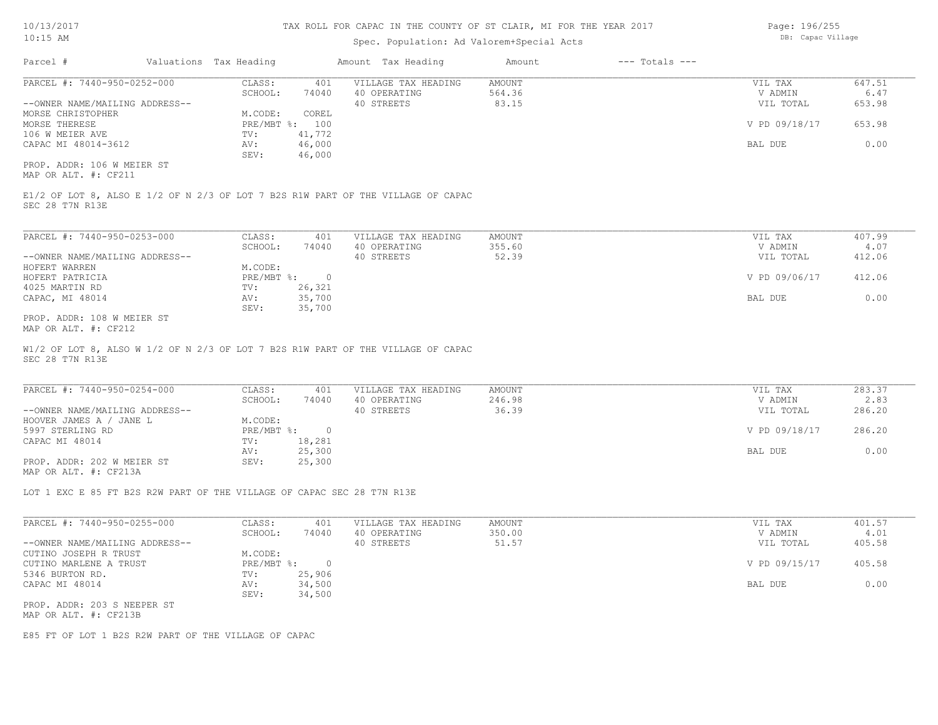### Spec. Population: Ad Valorem+Special Acts

| Page: 196/255     |
|-------------------|
| DB: Capac Village |

| Parcel #                       |  | Valuations Tax Heading | Amount Tax Heading |                     | Amount | $---$ Totals $---$ |               |        |  |
|--------------------------------|--|------------------------|--------------------|---------------------|--------|--------------------|---------------|--------|--|
| PARCEL #: 7440-950-0252-000    |  | CLASS:                 | 401                | VILLAGE TAX HEADING | AMOUNT |                    | VIL TAX       | 647.51 |  |
|                                |  | SCHOOL:                | 74040              | 40 OPERATING        | 564.36 |                    | V ADMIN       | 6.47   |  |
| --OWNER NAME/MAILING ADDRESS-- |  |                        |                    | 40 STREETS          | 83.15  |                    | VIL TOTAL     | 653.98 |  |
| MORSE CHRISTOPHER              |  | M.CODE:                | COREL              |                     |        |                    |               |        |  |
| MORSE THERESE                  |  | $PRE/MBT$ %:           | 100                |                     |        |                    | V PD 09/18/17 | 653.98 |  |
| 106 W MEIER AVE                |  | TV:                    | 41,772             |                     |        |                    |               |        |  |
| CAPAC MI 48014-3612            |  | AV:                    | 46,000             |                     |        |                    | BAL DUE       | 0.00   |  |
|                                |  | SEV:                   | 46,000             |                     |        |                    |               |        |  |
| PROP. ADDR: 106 W MEIER ST     |  |                        |                    |                     |        |                    |               |        |  |

MAP OR ALT. #: CF211

SEC 28 T7N R13E E1/2 OF LOT 8, ALSO E 1/2 OF N 2/3 OF LOT 7 B2S R1W PART OF THE VILLAGE OF CAPAC

| PARCEL #: 7440-950-0253-000    | CLASS:       | 401    | VILLAGE TAX HEADING | AMOUNT | VIL TAX       | 407.99 |
|--------------------------------|--------------|--------|---------------------|--------|---------------|--------|
|                                | SCHOOL:      | 74040  | 40 OPERATING        | 355.60 | V ADMIN       | 4.07   |
| --OWNER NAME/MAILING ADDRESS-- |              |        | 40 STREETS          | 52.39  | VIL TOTAL     | 412.06 |
| HOFERT WARREN                  | M.CODE:      |        |                     |        |               |        |
| HOFERT PATRICIA                | $PRE/MBT$ %: |        |                     |        | V PD 09/06/17 | 412.06 |
| 4025 MARTIN RD                 | TV:          | 26,321 |                     |        |               |        |
| CAPAC, MI 48014                | AV:          | 35,700 |                     |        | BAL DUE       | 0.00   |
|                                | SEV:         | 35,700 |                     |        |               |        |
| PROP. ADDR: 108 W MEIER ST     |              |        |                     |        |               |        |

MAP OR ALT. #: CF212

SEC 28 T7N R13E W1/2 OF LOT 8, ALSO W 1/2 OF N 2/3 OF LOT 7 B2S R1W PART OF THE VILLAGE OF CAPAC

| PARCEL #: 7440-950-0254-000    | CLASS:       | 401    | VILLAGE TAX HEADING | AMOUNT | VIL TAX       | 283.37 |
|--------------------------------|--------------|--------|---------------------|--------|---------------|--------|
|                                | SCHOOL:      | 74040  | 40 OPERATING        | 246.98 | V ADMIN       | 2.83   |
| --OWNER NAME/MAILING ADDRESS-- |              |        | 40 STREETS          | 36.39  | VIL TOTAL     | 286.20 |
| HOOVER JAMES A / JANE L        | M.CODE:      |        |                     |        |               |        |
| 5997 STERLING RD               | $PRE/MBT$ %: |        |                     |        | V PD 09/18/17 | 286.20 |
| CAPAC MI 48014                 | TV:          | 18,281 |                     |        |               |        |
|                                | AV:          | 25,300 |                     |        | BAL DUE       | 0.00   |
| PROP. ADDR: 202 W MEIER ST     | SEV:         | 25,300 |                     |        |               |        |
| MAP OR ALT. #: CF213A          |              |        |                     |        |               |        |

LOT 1 EXC E 85 FT B2S R2W PART OF THE VILLAGE OF CAPAC SEC 28 T7N R13E

| PARCEL #: 7440-950-0255-000    | CLASS:       | 401    | VILLAGE TAX HEADING | AMOUNT | VIL TAX       | 401.57 |
|--------------------------------|--------------|--------|---------------------|--------|---------------|--------|
|                                | SCHOOL:      | 74040  | 40 OPERATING        | 350.00 | V ADMIN       | 4.01   |
| --OWNER NAME/MAILING ADDRESS-- |              |        | 40 STREETS          | 51.57  | VIL TOTAL     | 405.58 |
| CUTINO JOSEPH R TRUST          | M.CODE:      |        |                     |        |               |        |
| CUTINO MARLENE A TRUST         | $PRE/MBT$ %: |        |                     |        | V PD 09/15/17 | 405.58 |
| 5346 BURTON RD.                | TV:          | 25,906 |                     |        |               |        |
| CAPAC MI 48014                 | AV:          | 34,500 |                     |        | BAL DUE       | 0.00   |
|                                | SEV:         | 34,500 |                     |        |               |        |
| PROP. ADDR: 203 S NEEPER ST    |              |        |                     |        |               |        |
|                                |              |        |                     |        |               |        |

MAP OR ALT. #: CF213B

E85 FT OF LOT 1 B2S R2W PART OF THE VILLAGE OF CAPAC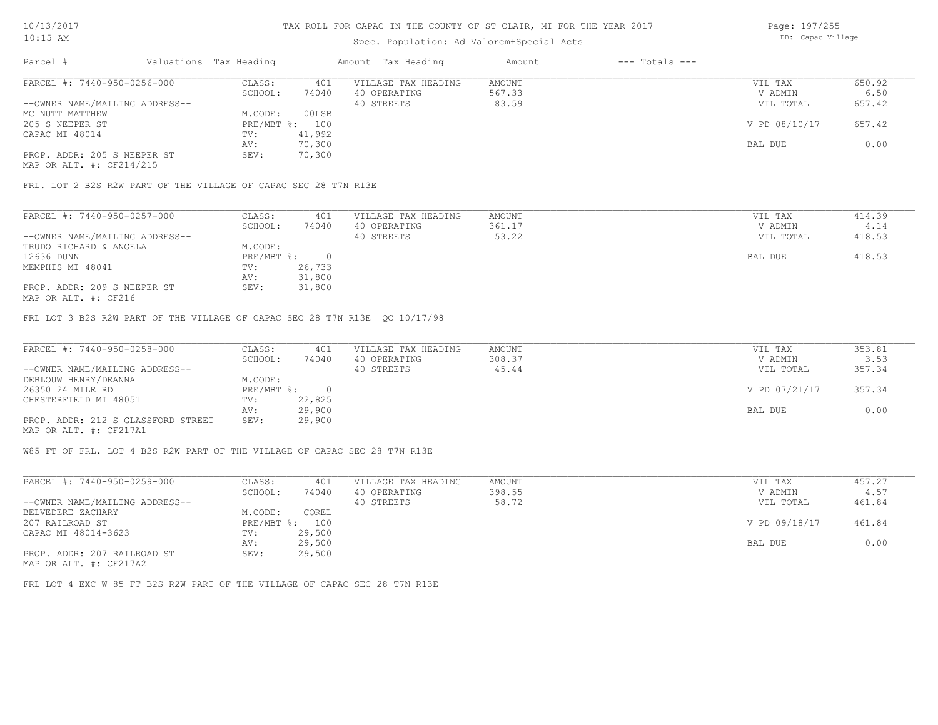# Spec. Population: Ad Valorem+Special Acts

Page: 197/255 DB: Capac Village

| Parcel #                       |  | Valuations Tax Heading |        | Amount Tax Heading  | Amount | $---$ Totals $---$ |               |        |  |
|--------------------------------|--|------------------------|--------|---------------------|--------|--------------------|---------------|--------|--|
| PARCEL #: 7440-950-0256-000    |  | CLASS:                 | 401    | VILLAGE TAX HEADING | AMOUNT |                    | VIL TAX       | 650.92 |  |
|                                |  | SCHOOL:                | 74040  | 40 OPERATING        | 567.33 |                    | V ADMIN       | 6.50   |  |
| --OWNER NAME/MAILING ADDRESS-- |  |                        |        | 40 STREETS          | 83.59  |                    | VIL TOTAL     | 657.42 |  |
| MC NUTT MATTHEW                |  | M.CODE:                | 00LSB  |                     |        |                    |               |        |  |
| 205 S NEEPER ST                |  | $PRE/MBT$ %:           | 100    |                     |        |                    | V PD 08/10/17 | 657.42 |  |
| CAPAC MI 48014                 |  | TV:                    | 41,992 |                     |        |                    |               |        |  |
|                                |  | AV:                    | 70,300 |                     |        |                    | BAL DUE       | 0.00   |  |
| PROP. ADDR: 205 S NEEPER ST    |  | SEV:                   | 70,300 |                     |        |                    |               |        |  |
| MAP OR ALT. #: CF214/215       |  |                        |        |                     |        |                    |               |        |  |

FRL. LOT 2 B2S R2W PART OF THE VILLAGE OF CAPAC SEC 28 T7N R13E

| PARCEL #: 7440-950-0257-000    | CLASS:     | 401    | VILLAGE TAX HEADING | AMOUNT | VIL TAX   | 414.39 |
|--------------------------------|------------|--------|---------------------|--------|-----------|--------|
|                                | SCHOOL:    | 74040  | 40 OPERATING        | 361.17 | V ADMIN   | 4.14   |
| --OWNER NAME/MAILING ADDRESS-- |            |        | 40 STREETS          | 53.22  | VIL TOTAL | 418.53 |
| TRUDO RICHARD & ANGELA         | M.CODE:    |        |                     |        |           |        |
| 12636 DUNN                     | PRE/MBT %: |        |                     |        | BAL DUE   | 418.53 |
| MEMPHIS MI 48041               | TV:        | 26,733 |                     |        |           |        |
|                                | AV:        | 31,800 |                     |        |           |        |
| PROP. ADDR: 209 S NEEPER ST    | SEV:       | 31,800 |                     |        |           |        |
|                                |            |        |                     |        |           |        |

MAP OR ALT. #: CF216

FRL LOT 3 B2S R2W PART OF THE VILLAGE OF CAPAC SEC 28 T7N R13E QC 10/17/98

| PARCEL #: 7440-950-0258-000        | CLASS:       | 401    | VILLAGE TAX HEADING | AMOUNT | VIL TAX       | 353.81 |
|------------------------------------|--------------|--------|---------------------|--------|---------------|--------|
|                                    | SCHOOL:      | 74040  | 40 OPERATING        | 308.37 | V ADMIN       | 3.53   |
| --OWNER NAME/MAILING ADDRESS--     |              |        | 40 STREETS          | 45.44  | VIL TOTAL     | 357.34 |
| DEBLOUW HENRY/DEANNA               | M.CODE:      |        |                     |        |               |        |
| 26350 24 MILE RD                   | $PRE/MBT$ %: |        |                     |        | V PD 07/21/17 | 357.34 |
| CHESTERFIELD MI 48051              | TV:          | 22,825 |                     |        |               |        |
|                                    | AV:          | 29,900 |                     |        | BAL DUE       | 0.00   |
| PROP. ADDR: 212 S GLASSFORD STREET | SEV:         | 29,900 |                     |        |               |        |
| MAP OR ALT. #: CF217A1             |              |        |                     |        |               |        |

W85 FT OF FRL. LOT 4 B2S R2W PART OF THE VILLAGE OF CAPAC SEC 28 T7N R13E

| PARCEL #: 7440-950-0259-000                  | CLASS:       | 401    | VILLAGE TAX HEADING | AMOUNT | VIL TAX       | 457.27 |
|----------------------------------------------|--------------|--------|---------------------|--------|---------------|--------|
|                                              | SCHOOL:      | 74040  | 40 OPERATING        | 398.55 | V ADMIN       | 4.57   |
| --OWNER NAME/MAILING ADDRESS--               |              |        | 40 STREETS          | 58.72  | VIL TOTAL     | 461.84 |
| BELVEDERE ZACHARY                            | M.CODE:      | COREL  |                     |        |               |        |
| 207 RAILROAD ST                              | $PRE/MBT$ %: | 100    |                     |        | V PD 09/18/17 | 461.84 |
| CAPAC MI 48014-3623                          | TV:          | 29,500 |                     |        |               |        |
|                                              | AV:          | 29,500 |                     |        | BAL DUE       | 0.00   |
| PROP. ADDR: 207 RAILROAD ST<br>$\frac{1}{2}$ | SEV:         | 29,500 |                     |        |               |        |

MAP OR ALT. #: CF217A2

FRL LOT 4 EXC W 85 FT B2S R2W PART OF THE VILLAGE OF CAPAC SEC 28 T7N R13E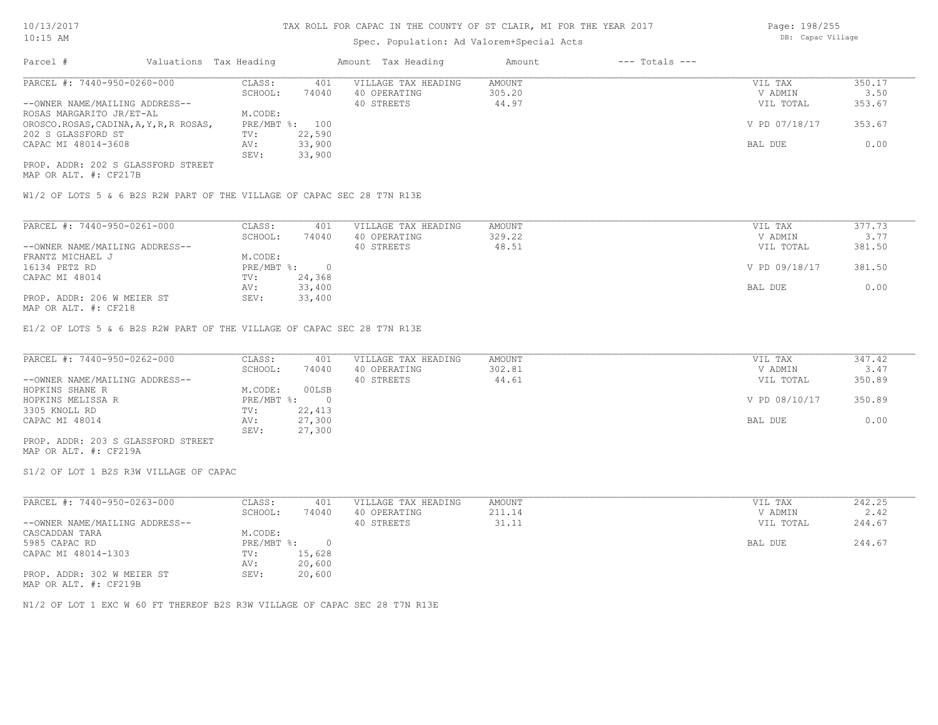# Spec. Population: Ad Valorem+Special Acts

Page: 198/255 DB: Capac Village

| Parcel #                                |  | Valuations Tax Heading |                | Amount Tax Heading  | Amount | $---$ Totals $---$ |               |        |  |
|-----------------------------------------|--|------------------------|----------------|---------------------|--------|--------------------|---------------|--------|--|
| PARCEL #: 7440-950-0260-000             |  | CLASS:                 | 401            | VILLAGE TAX HEADING | AMOUNT |                    | VIL TAX       | 350.17 |  |
|                                         |  | SCHOOL:                | 74040          | 40 OPERATING        | 305.20 |                    | V ADMIN       | 3.50   |  |
| --OWNER NAME/MAILING ADDRESS--          |  |                        |                | 40 STREETS          | 44.97  |                    | VIL TOTAL     | 353.67 |  |
| ROSAS MARGARITO JR/ET-AL                |  | M.CODE:                |                |                     |        |                    |               |        |  |
| OROSCO.ROSAS, CADINA, A, Y, R, R ROSAS, |  |                        | PRE/MBT %: 100 |                     |        |                    | V PD 07/18/17 | 353.67 |  |
| 202 S GLASSFORD ST                      |  | TV:                    | 22,590         |                     |        |                    |               |        |  |
| CAPAC MI 48014-3608                     |  | AV:                    | 33,900         |                     |        |                    | BAL DUE       | 0.00   |  |
|                                         |  | SEV:                   | 33,900         |                     |        |                    |               |        |  |
| PROP. ADDR: 202 S GLASSFORD STREET      |  |                        |                |                     |        |                    |               |        |  |

MAP OR ALT. #: CF217B

W1/2 OF LOTS 5 & 6 B2S R2W PART OF THE VILLAGE OF CAPAC SEC 28 T7N R13E

| PARCEL #: 7440-950-0261-000    | CLASS:     | 401    | VILLAGE TAX HEADING | AMOUNT | VIL TAX       | 377.73 |  |
|--------------------------------|------------|--------|---------------------|--------|---------------|--------|--|
|                                | SCHOOL:    | 74040  | 40 OPERATING        | 329.22 | V ADMIN       | 3.77   |  |
| --OWNER NAME/MAILING ADDRESS-- |            |        | 40 STREETS          | 48.51  | VIL TOTAL     | 381.50 |  |
| FRANTZ MICHAEL J               | M.CODE:    |        |                     |        |               |        |  |
| 16134 PETZ RD                  | PRE/MBT %: |        |                     |        | V PD 09/18/17 | 381.50 |  |
| CAPAC MI 48014                 | TV:        | 24,368 |                     |        |               |        |  |
|                                | AV:        | 33,400 |                     |        | BAL DUE       | 0.00   |  |
| PROP. ADDR: 206 W MEIER ST     | SEV:       | 33,400 |                     |        |               |        |  |
| $MAD$ $CD$ $ATH$ $L$ $CDO10$   |            |        |                     |        |               |        |  |

MAP OR ALT. #: CF218

E1/2 OF LOTS 5 & 6 B2S R2W PART OF THE VILLAGE OF CAPAC SEC 28 T7N R13E

| PARCEL #: 7440-950-0262-000        | CLASS:     | 401    | VILLAGE TAX HEADING | AMOUNT | VIL TAX       | 347.42 |
|------------------------------------|------------|--------|---------------------|--------|---------------|--------|
|                                    | SCHOOL:    | 74040  | 40 OPERATING        | 302.81 | V ADMIN       | 3.47   |
| --OWNER NAME/MAILING ADDRESS--     |            |        | 40 STREETS          | 44.61  | VIL TOTAL     | 350.89 |
| HOPKINS SHANE R                    | M.CODE:    | 00LSB  |                     |        |               |        |
| HOPKINS MELISSA R                  | PRE/MBT %: |        |                     |        | V PD 08/10/17 | 350.89 |
| 3305 KNOLL RD                      | TV:        | 22,413 |                     |        |               |        |
| CAPAC MI 48014                     | AV:        | 27,300 |                     |        | BAL DUE       | 0.00   |
|                                    | SEV:       | 27,300 |                     |        |               |        |
| PROP. ADDR: 203 S GLASSFORD STREET |            |        |                     |        |               |        |

MAP OR ALT. #: CF219A

S1/2 OF LOT 1 B2S R3W VILLAGE OF CAPAC

| PARCEL #: 7440-950-0263-000                                        | CLASS:     | 401    | VILLAGE TAX HEADING | AMOUNT | VIL TAX   | 242.25 |
|--------------------------------------------------------------------|------------|--------|---------------------|--------|-----------|--------|
|                                                                    | SCHOOL:    | 74040  | 40 OPERATING        | 211.14 | V ADMIN   | 2.42   |
| --OWNER NAME/MAILING ADDRESS--                                     |            |        | 40 STREETS          | 31.11  | VIL TOTAL | 244.67 |
| CASCADDAN TARA                                                     | M.CODE:    |        |                     |        |           |        |
| 5985 CAPAC RD                                                      | PRE/MBT %: |        |                     |        | BAL DUE   | 244.67 |
| CAPAC MI 48014-1303                                                | TV:        | 15,628 |                     |        |           |        |
|                                                                    | AV:        | 20,600 |                     |        |           |        |
| PROP. ADDR: 302 W MEIER ST<br>$MAD$ $CD$ $ATM$ $\pm$ , $CDQ1$ $OD$ | SEV:       | 20,600 |                     |        |           |        |

MAP OR ALT. #: CF219B

N1/2 OF LOT 1 EXC W 60 FT THEREOF B2S R3W VILLAGE OF CAPAC SEC 28 T7N R13E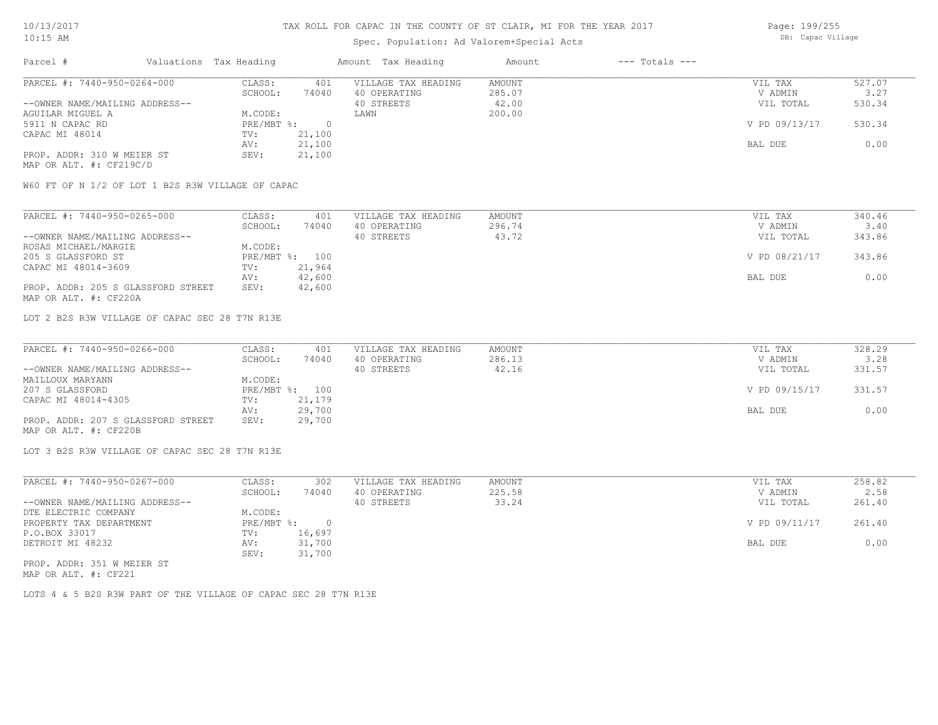# Spec. Population: Ad Valorem+Special Acts

Page: 199/255 DB: Capac Village

| Parcel #                       | Valuations Tax Heading |        | Amount Tax Heading  | Amount | $---$ Totals $---$ |               |        |
|--------------------------------|------------------------|--------|---------------------|--------|--------------------|---------------|--------|
| PARCEL #: 7440-950-0264-000    | CLASS:                 | 401    | VILLAGE TAX HEADING | AMOUNT |                    | VIL TAX       | 527.07 |
|                                | SCHOOL:                | 74040  | 40 OPERATING        | 285.07 |                    | V ADMIN       | 3.27   |
| --OWNER NAME/MAILING ADDRESS-- |                        |        | 40 STREETS          | 42.00  |                    | VIL TOTAL     | 530.34 |
| AGUILAR MIGUEL A               | M.CODE:                |        | LAWN                | 200.00 |                    |               |        |
| 5911 N CAPAC RD                | $PRE/MBT$ %:           |        |                     |        |                    | V PD 09/13/17 | 530.34 |
| CAPAC MI 48014                 | TV:                    | 21,100 |                     |        |                    |               |        |
|                                | AV:                    | 21,100 |                     |        |                    | BAL DUE       | 0.00   |
| PROP. ADDR: 310 W MEIER ST     | SEV:                   | 21,100 |                     |        |                    |               |        |
| MAP OR ALT. #: CF219C/D        |                        |        |                     |        |                    |               |        |

W60 FT OF N 1/2 OF LOT 1 B2S R3W VILLAGE OF CAPAC

| PARCEL #: 7440-950-0265-000        | CLASS:  | 401            | VILLAGE TAX HEADING | AMOUNT | VIL TAX       | 340.46 |
|------------------------------------|---------|----------------|---------------------|--------|---------------|--------|
|                                    | SCHOOL: | 74040          | 40 OPERATING        | 296.74 | V ADMIN       | 3.40   |
| --OWNER NAME/MAILING ADDRESS--     |         |                | 40 STREETS          | 43.72  | VIL TOTAL     | 343.86 |
| ROSAS MICHAEL/MARGIE               | M.CODE: |                |                     |        |               |        |
| 205 S GLASSFORD ST                 |         | PRE/MBT %: 100 |                     |        | V PD 08/21/17 | 343.86 |
| CAPAC MI 48014-3609                | TV:     | 21,964         |                     |        |               |        |
|                                    | AV:     | 42,600         |                     |        | BAL DUE       | 0.00   |
| PROP. ADDR: 205 S GLASSFORD STREET | SEV:    | 42,600         |                     |        |               |        |
| MAP OR ALT. #: CF220A              |         |                |                     |        |               |        |

LOT 2 B2S R3W VILLAGE OF CAPAC SEC 28 T7N R13E

| PARCEL #: 7440-950-0266-000        | CLASS:  | 401            | VILLAGE TAX HEADING | AMOUNT | VIL TAX       | 328.29 |
|------------------------------------|---------|----------------|---------------------|--------|---------------|--------|
|                                    | SCHOOL: | 74040          | 40 OPERATING        | 286.13 | V ADMIN       | 3.28   |
| --OWNER NAME/MAILING ADDRESS--     |         |                | 40 STREETS          | 42.16  | VIL TOTAL     | 331.57 |
| MAILLOUX MARYANN                   | M.CODE: |                |                     |        |               |        |
| 207 S GLASSFORD                    |         | PRE/MBT %: 100 |                     |        | V PD 09/15/17 | 331.57 |
| CAPAC MI 48014-4305                | TV:     | 21,179         |                     |        |               |        |
|                                    | AV:     | 29,700         |                     |        | BAL DUE       | 0.00   |
| PROP. ADDR: 207 S GLASSFORD STREET | SEV:    | 29,700         |                     |        |               |        |
| MAP OR ALT. #: CF220B              |         |                |                     |        |               |        |

LOT 3 B2S R3W VILLAGE OF CAPAC SEC 28 T7N R13E

| PARCEL #: 7440-950-0267-000    | CLASS:     | 302      | VILLAGE TAX HEADING | AMOUNT | VIL TAX       | 258.82 |
|--------------------------------|------------|----------|---------------------|--------|---------------|--------|
|                                | SCHOOL:    | 74040    | 40 OPERATING        | 225.58 | V ADMIN       | 2.58   |
| --OWNER NAME/MAILING ADDRESS-- |            |          | 40 STREETS          | 33.24  | VIL TOTAL     | 261.40 |
| DTE ELECTRIC COMPANY           | M.CODE:    |          |                     |        |               |        |
| PROPERTY TAX DEPARTMENT        | PRE/MBT %: | $\Omega$ |                     |        | V PD 09/11/17 | 261.40 |
| P.O.BOX 33017                  | TV:        | 16,697   |                     |        |               |        |
| DETROIT MI 48232               | AV:        | 31,700   |                     |        | BAL DUE       | 0.00   |
|                                | SEV:       | 31,700   |                     |        |               |        |
| PROP. ADDR: 351 W MEIER ST     |            |          |                     |        |               |        |

MAP OR ALT. #: CF221

LOTS 4 & 5 B2S R3W PART OF THE VILLAGE OF CAPAC SEC 28 T7N R13E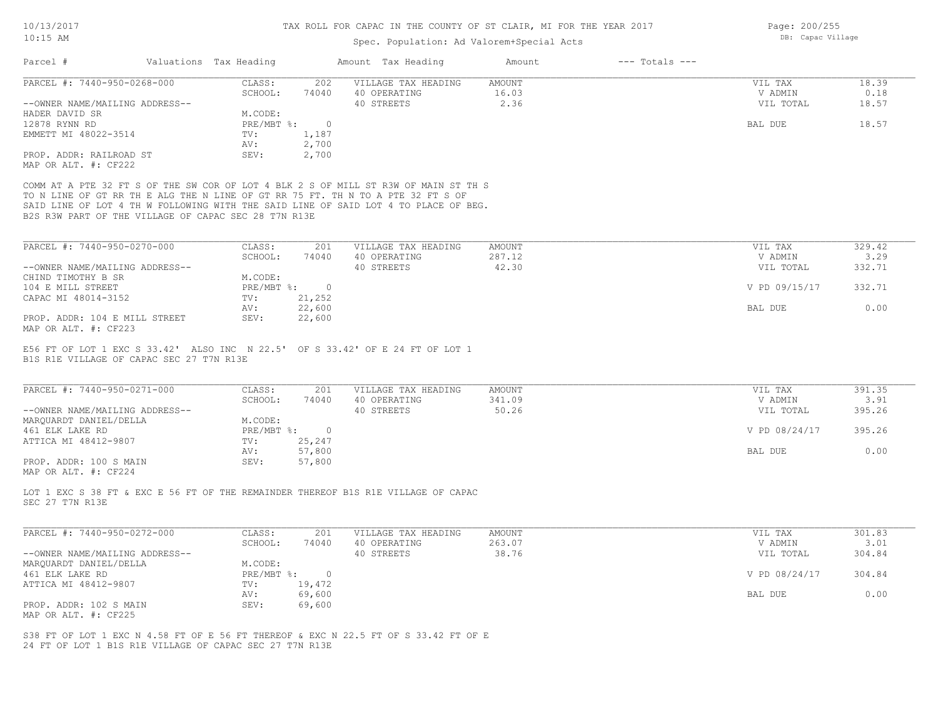# Spec. Population: Ad Valorem+Special Acts

| PARCEL #: 7440-950-0268-000<br>CLASS:<br>202<br>VILLAGE TAX HEADING<br><b>AMOUNT</b><br>VIL TAX<br>16.03<br>SCHOOL:<br>74040<br>40 OPERATING<br>V ADMIN<br>2.36<br>--OWNER NAME/MAILING ADDRESS--<br>40 STREETS<br>VIL TOTAL<br>M.CODE:<br>HADER DAVID SR<br>12878 RYNN RD<br>$\circ$<br>$PRE/MBT$ $\div$<br>BAL DUE<br>1,187<br>EMMETT MI 48022-3514<br>TV:<br>2,700<br>AV:<br>2,700<br>PROP. ADDR: RAILROAD ST<br>SEV:<br>MAP OR ALT. #: CF222<br>COMM AT A PTE 32 FT S OF THE SW COR OF LOT 4 BLK 2 S OF MILL ST R3W OF MAIN ST TH S<br>TO N LINE OF GT RR TH E ALG THE N LINE OF GT RR 75 FT. TH N TO A PTE 32 FT S OF<br>SAID LINE OF LOT 4 TH W FOLLOWING WITH THE SAID LINE OF SAID LOT 4 TO PLACE OF BEG.<br>B2S R3W PART OF THE VILLAGE OF CAPAC SEC 28 T7N R13E<br>PARCEL #: 7440-950-0270-000<br>CLASS:<br><b>AMOUNT</b><br>201<br>VILLAGE TAX HEADING<br>VIL TAX<br>SCHOOL:<br>74040<br>40 OPERATING<br>287.12<br>V ADMIN<br>42.30<br>40 STREETS<br>--OWNER NAME/MAILING ADDRESS--<br>VIL TOTAL<br>CHIND TIMOTHY B SR<br>M.CODE: | 18.39<br>0.18<br>18.57<br>18.57<br>329.42 |
|----------------------------------------------------------------------------------------------------------------------------------------------------------------------------------------------------------------------------------------------------------------------------------------------------------------------------------------------------------------------------------------------------------------------------------------------------------------------------------------------------------------------------------------------------------------------------------------------------------------------------------------------------------------------------------------------------------------------------------------------------------------------------------------------------------------------------------------------------------------------------------------------------------------------------------------------------------------------------------------------------------------------------------------------|-------------------------------------------|
|                                                                                                                                                                                                                                                                                                                                                                                                                                                                                                                                                                                                                                                                                                                                                                                                                                                                                                                                                                                                                                              |                                           |
|                                                                                                                                                                                                                                                                                                                                                                                                                                                                                                                                                                                                                                                                                                                                                                                                                                                                                                                                                                                                                                              |                                           |
|                                                                                                                                                                                                                                                                                                                                                                                                                                                                                                                                                                                                                                                                                                                                                                                                                                                                                                                                                                                                                                              |                                           |
|                                                                                                                                                                                                                                                                                                                                                                                                                                                                                                                                                                                                                                                                                                                                                                                                                                                                                                                                                                                                                                              |                                           |
|                                                                                                                                                                                                                                                                                                                                                                                                                                                                                                                                                                                                                                                                                                                                                                                                                                                                                                                                                                                                                                              |                                           |
|                                                                                                                                                                                                                                                                                                                                                                                                                                                                                                                                                                                                                                                                                                                                                                                                                                                                                                                                                                                                                                              |                                           |
|                                                                                                                                                                                                                                                                                                                                                                                                                                                                                                                                                                                                                                                                                                                                                                                                                                                                                                                                                                                                                                              |                                           |
|                                                                                                                                                                                                                                                                                                                                                                                                                                                                                                                                                                                                                                                                                                                                                                                                                                                                                                                                                                                                                                              |                                           |
|                                                                                                                                                                                                                                                                                                                                                                                                                                                                                                                                                                                                                                                                                                                                                                                                                                                                                                                                                                                                                                              |                                           |
|                                                                                                                                                                                                                                                                                                                                                                                                                                                                                                                                                                                                                                                                                                                                                                                                                                                                                                                                                                                                                                              |                                           |
|                                                                                                                                                                                                                                                                                                                                                                                                                                                                                                                                                                                                                                                                                                                                                                                                                                                                                                                                                                                                                                              |                                           |
|                                                                                                                                                                                                                                                                                                                                                                                                                                                                                                                                                                                                                                                                                                                                                                                                                                                                                                                                                                                                                                              |                                           |
|                                                                                                                                                                                                                                                                                                                                                                                                                                                                                                                                                                                                                                                                                                                                                                                                                                                                                                                                                                                                                                              | 3.29                                      |
|                                                                                                                                                                                                                                                                                                                                                                                                                                                                                                                                                                                                                                                                                                                                                                                                                                                                                                                                                                                                                                              | 332.71                                    |
|                                                                                                                                                                                                                                                                                                                                                                                                                                                                                                                                                                                                                                                                                                                                                                                                                                                                                                                                                                                                                                              |                                           |
| $\overline{0}$<br>104 E MILL STREET<br>$PRE/MBT$ %:<br>V PD 09/15/17                                                                                                                                                                                                                                                                                                                                                                                                                                                                                                                                                                                                                                                                                                                                                                                                                                                                                                                                                                         | 332.71                                    |
| 21,252<br>CAPAC MI 48014-3152<br>TV:                                                                                                                                                                                                                                                                                                                                                                                                                                                                                                                                                                                                                                                                                                                                                                                                                                                                                                                                                                                                         |                                           |
| 22,600<br>AV:<br>BAL DUE                                                                                                                                                                                                                                                                                                                                                                                                                                                                                                                                                                                                                                                                                                                                                                                                                                                                                                                                                                                                                     | 0.00                                      |
| SEV:<br>22,600<br>PROP. ADDR: 104 E MILL STREET<br>MAP OR ALT. #: CF223                                                                                                                                                                                                                                                                                                                                                                                                                                                                                                                                                                                                                                                                                                                                                                                                                                                                                                                                                                      |                                           |
| B1S R1E VILLAGE OF CAPAC SEC 27 T7N R13E                                                                                                                                                                                                                                                                                                                                                                                                                                                                                                                                                                                                                                                                                                                                                                                                                                                                                                                                                                                                     |                                           |
| PARCEL #: 7440-950-0271-000<br>CLASS:<br>VILLAGE TAX HEADING<br>201<br><b>AMOUNT</b><br>VIL TAX<br>SCHOOL:<br>74040<br>40 OPERATING<br>341.09<br>V ADMIN                                                                                                                                                                                                                                                                                                                                                                                                                                                                                                                                                                                                                                                                                                                                                                                                                                                                                     | 391.35<br>3.91                            |
| --OWNER NAME/MAILING ADDRESS--<br>40 STREETS<br>50.26<br>VIL TOTAL                                                                                                                                                                                                                                                                                                                                                                                                                                                                                                                                                                                                                                                                                                                                                                                                                                                                                                                                                                           | 395.26                                    |
| M.CODE:<br>MARQUARDT DANIEL/DELLA                                                                                                                                                                                                                                                                                                                                                                                                                                                                                                                                                                                                                                                                                                                                                                                                                                                                                                                                                                                                            |                                           |
| 461 ELK LAKE RD<br>PRE/MBT %:<br>$\circ$<br>V PD 08/24/17                                                                                                                                                                                                                                                                                                                                                                                                                                                                                                                                                                                                                                                                                                                                                                                                                                                                                                                                                                                    | 395.26                                    |
| ATTICA MI 48412-9807<br>25,247<br>TV:                                                                                                                                                                                                                                                                                                                                                                                                                                                                                                                                                                                                                                                                                                                                                                                                                                                                                                                                                                                                        |                                           |
| 57,800<br>BAL DUE<br>AV:                                                                                                                                                                                                                                                                                                                                                                                                                                                                                                                                                                                                                                                                                                                                                                                                                                                                                                                                                                                                                     | 0.00                                      |
| PROP. ADDR: 100 S MAIN<br>SEV:<br>57,800<br>MAP OR ALT. #: CF224                                                                                                                                                                                                                                                                                                                                                                                                                                                                                                                                                                                                                                                                                                                                                                                                                                                                                                                                                                             |                                           |
| LOT 1 EXC S 38 FT & EXC E 56 FT OF THE REMAINDER THEREOF B1S R1E VILLAGE OF CAPAC                                                                                                                                                                                                                                                                                                                                                                                                                                                                                                                                                                                                                                                                                                                                                                                                                                                                                                                                                            |                                           |
| SEC 27 T7N R13E                                                                                                                                                                                                                                                                                                                                                                                                                                                                                                                                                                                                                                                                                                                                                                                                                                                                                                                                                                                                                              |                                           |
|                                                                                                                                                                                                                                                                                                                                                                                                                                                                                                                                                                                                                                                                                                                                                                                                                                                                                                                                                                                                                                              |                                           |
|                                                                                                                                                                                                                                                                                                                                                                                                                                                                                                                                                                                                                                                                                                                                                                                                                                                                                                                                                                                                                                              | 301.83<br>3.01                            |
| PARCEL #: 7440-950-0272-000<br>CLASS:<br>201<br>VILLAGE TAX HEADING<br><b>AMOUNT</b><br>VIL TAX                                                                                                                                                                                                                                                                                                                                                                                                                                                                                                                                                                                                                                                                                                                                                                                                                                                                                                                                              |                                           |
| SCHOOL:<br>74040<br>40 OPERATING<br>263.07<br>V ADMIN                                                                                                                                                                                                                                                                                                                                                                                                                                                                                                                                                                                                                                                                                                                                                                                                                                                                                                                                                                                        |                                           |
| 38.76<br>--OWNER NAME/MAILING ADDRESS--<br>40 STREETS<br>VIL TOTAL<br>MAROUARDT DANIEL/DELLA<br>M.CODE:                                                                                                                                                                                                                                                                                                                                                                                                                                                                                                                                                                                                                                                                                                                                                                                                                                                                                                                                      | 304.84                                    |
| PRE/MBT %:<br>461 ELK LAKE RD<br>$\circ$<br>V PD 08/24/17                                                                                                                                                                                                                                                                                                                                                                                                                                                                                                                                                                                                                                                                                                                                                                                                                                                                                                                                                                                    | 304.84                                    |
| ATTICA MI 48412-9807<br>19,472<br>TV:                                                                                                                                                                                                                                                                                                                                                                                                                                                                                                                                                                                                                                                                                                                                                                                                                                                                                                                                                                                                        |                                           |
| 69,600<br>BAL DUE<br>AV:                                                                                                                                                                                                                                                                                                                                                                                                                                                                                                                                                                                                                                                                                                                                                                                                                                                                                                                                                                                                                     | 0.00                                      |
| PROP. ADDR: 102 S MAIN<br>SEV:<br>69,600                                                                                                                                                                                                                                                                                                                                                                                                                                                                                                                                                                                                                                                                                                                                                                                                                                                                                                                                                                                                     |                                           |
| MAP OR ALT. #: CF225                                                                                                                                                                                                                                                                                                                                                                                                                                                                                                                                                                                                                                                                                                                                                                                                                                                                                                                                                                                                                         |                                           |
| S38 FT OF LOT 1 EXC N 4.58 FT OF E 56 FT THEREOF & EXC N 22.5 FT OF S 33.42 FT OF E                                                                                                                                                                                                                                                                                                                                                                                                                                                                                                                                                                                                                                                                                                                                                                                                                                                                                                                                                          |                                           |

Page: 200/255 DB: Capac Village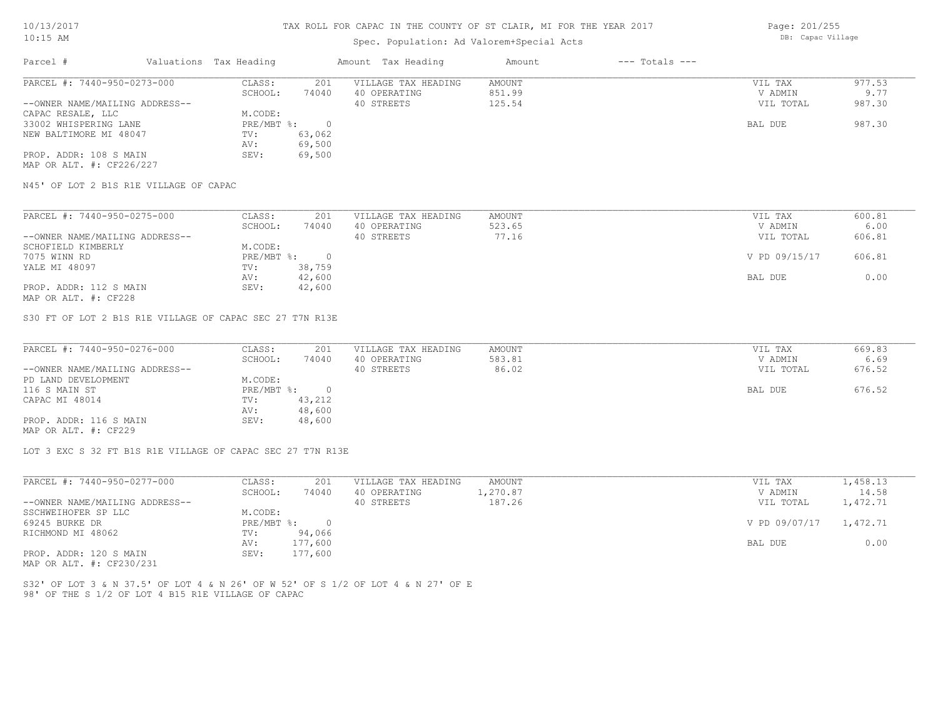# Spec. Population: Ad Valorem+Special Acts

Page: 201/255 DB: Capac Village

| Parcel #                       | Valuations Tax Heading |        | Amount Tax Heading  | Amount | $---$ Totals $---$ |           |        |
|--------------------------------|------------------------|--------|---------------------|--------|--------------------|-----------|--------|
| PARCEL #: 7440-950-0273-000    | CLASS:                 | 201    | VILLAGE TAX HEADING | AMOUNT |                    | VIL TAX   | 977.53 |
|                                | SCHOOL:                | 74040  | 40 OPERATING        | 851.99 |                    | V ADMIN   | 9.77   |
| --OWNER NAME/MAILING ADDRESS-- |                        |        | 40 STREETS          | 125.54 |                    | VIL TOTAL | 987.30 |
| CAPAC RESALE, LLC              | M.CODE:                |        |                     |        |                    |           |        |
| 33002 WHISPERING LANE          | PRE/MBT %:             |        |                     |        |                    | BAL DUE   | 987.30 |
| NEW BALTIMORE MI 48047         | TV:                    | 63,062 |                     |        |                    |           |        |
|                                | AV:                    | 69,500 |                     |        |                    |           |        |
| PROP. ADDR: 108 S MAIN         | SEV:                   | 69,500 |                     |        |                    |           |        |
| MAP OR ALT. #: CF226/227       |                        |        |                     |        |                    |           |        |

N45' OF LOT 2 B1S R1E VILLAGE OF CAPAC

| PARCEL #: 7440-950-0275-000    | CLASS:     | 201    | VILLAGE TAX HEADING | AMOUNT | VIL TAX       | 600.81 |
|--------------------------------|------------|--------|---------------------|--------|---------------|--------|
|                                | SCHOOL:    | 74040  | 40 OPERATING        | 523.65 | V ADMIN       | 6.00   |
| --OWNER NAME/MAILING ADDRESS-- |            |        | 40 STREETS          | 77.16  | VIL TOTAL     | 606.81 |
| SCHOFIELD KIMBERLY             | M.CODE:    |        |                     |        |               |        |
| 7075 WINN RD                   | PRE/MBT %: |        |                     |        | V PD 09/15/17 | 606.81 |
| YALE MI 48097                  | TV:        | 38,759 |                     |        |               |        |
|                                | AV:        | 42,600 |                     |        | BAL DUE       | 0.00   |
| PROP. ADDR: 112 S MAIN         | SEV:       | 42,600 |                     |        |               |        |
|                                |            |        |                     |        |               |        |

MAP OR ALT. #: CF228

S30 FT OF LOT 2 B1S R1E VILLAGE OF CAPAC SEC 27 T7N R13E

| PARCEL #: 7440-950-0276-000    | CLASS:       | 201    | VILLAGE TAX HEADING | AMOUNT | VIL TAX   | 669.83 |
|--------------------------------|--------------|--------|---------------------|--------|-----------|--------|
|                                | SCHOOL:      | 74040  | 40 OPERATING        | 583.81 | V ADMIN   | 6.69   |
| --OWNER NAME/MAILING ADDRESS-- |              |        | 40 STREETS          | 86.02  | VIL TOTAL | 676.52 |
| PD LAND DEVELOPMENT            | M.CODE:      |        |                     |        |           |        |
| 116 S MAIN ST                  | $PRE/MBT$ %: |        |                     |        | BAL DUE   | 676.52 |
| CAPAC MI 48014                 | TV:          | 43,212 |                     |        |           |        |
|                                | AV:          | 48,600 |                     |        |           |        |
| PROP. ADDR: 116 S MAIN         | SEV:         | 48,600 |                     |        |           |        |
| MAP OR ALT. #: CF229           |              |        |                     |        |           |        |

LOT 3 EXC S 32 FT B1S R1E VILLAGE OF CAPAC SEC 27 T7N R13E

| PARCEL #: 7440-950-0277-000    | CLASS:     | 201     | VILLAGE TAX HEADING | AMOUNT   | VIL TAX                | 1,458.13 |
|--------------------------------|------------|---------|---------------------|----------|------------------------|----------|
|                                | SCHOOL:    | 74040   | 40 OPERATING        | 1,270.87 | V ADMIN                | 14.58    |
| --OWNER NAME/MAILING ADDRESS-- |            |         | 40 STREETS          | 187.26   | VIL TOTAL              | 1,472.71 |
| SSCHWEIHOFER SP LLC            | M.CODE:    |         |                     |          |                        |          |
| 69245 BURKE DR                 | PRE/MBT %: |         |                     |          | V PD 09/07/17 1,472.71 |          |
| RICHMOND MI 48062              | TV:        | 94,066  |                     |          |                        |          |
|                                | AV:        | 177,600 |                     |          | BAL DUE                | 0.00     |
| PROP. ADDR: 120 S MAIN         | SEV:       | 177,600 |                     |          |                        |          |
|                                |            |         |                     |          |                        |          |

MAP OR ALT. #: CF230/231

98' OF THE S 1/2 OF LOT 4 B15 R1E VILLAGE OF CAPAC S32' OF LOT 3 & N 37.5' OF LOT 4 & N 26' OF W 52' OF S 1/2 OF LOT 4 & N 27' OF E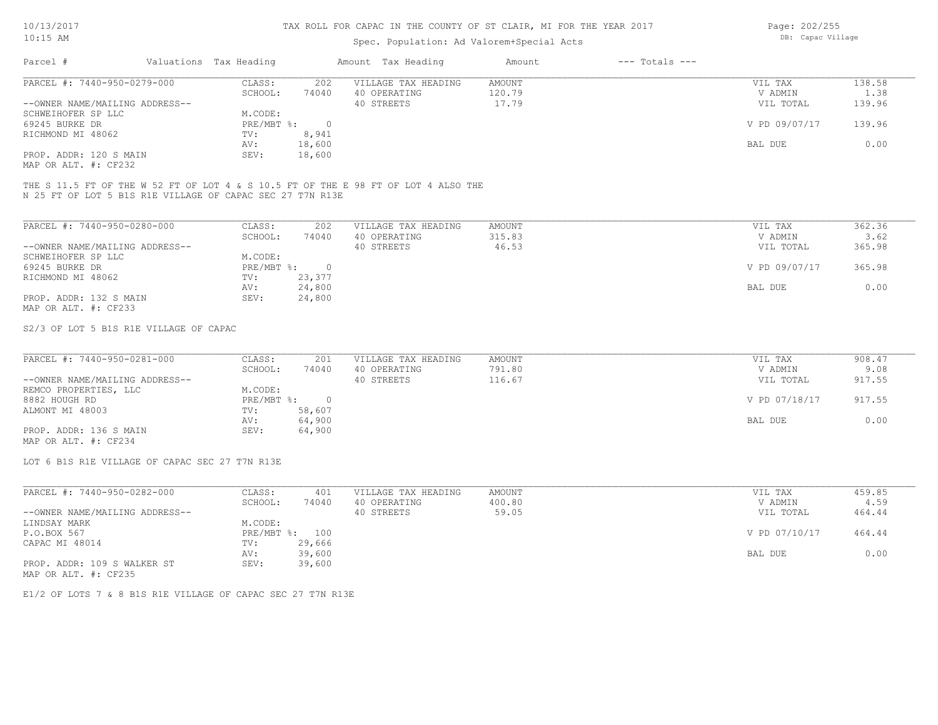## Spec. Population: Ad Valorem+Special Acts

| Page: 202/255     |
|-------------------|
| DB: Capac Village |

| Parcel #                       |  | Valuations Tax Heading |        | Amount Tax Heading  | Amount | $---$ Totals $---$ |               |        |
|--------------------------------|--|------------------------|--------|---------------------|--------|--------------------|---------------|--------|
| PARCEL #: 7440-950-0279-000    |  | CLASS:                 | 202    | VILLAGE TAX HEADING | AMOUNT |                    | VIL TAX       | 138.58 |
|                                |  | SCHOOL:                | 74040  | 40 OPERATING        | 120.79 |                    | V ADMIN       | 1.38   |
| --OWNER NAME/MAILING ADDRESS-- |  |                        |        | 40 STREETS          | 17.79  |                    | VIL TOTAL     | 139.96 |
| SCHWEIHOFER SP LLC             |  | M.CODE:                |        |                     |        |                    |               |        |
| 69245 BURKE DR                 |  | PRE/MBT %:             |        |                     |        |                    | V PD 09/07/17 | 139.96 |
| RICHMOND MI 48062              |  | TV:                    | 8,941  |                     |        |                    |               |        |
|                                |  | AV:                    | 18,600 |                     |        |                    | BAL DUE       | 0.00   |
| PROP. ADDR: 120 S MAIN         |  | SEV:                   | 18,600 |                     |        |                    |               |        |
|                                |  |                        |        |                     |        |                    |               |        |

MAP OR ALT. #: CF232

N 25 FT OF LOT 5 B1S R1E VILLAGE OF CAPAC SEC 27 T7N R13E THE S 11.5 FT OF THE W 52 FT OF LOT 4 & S 10.5 FT OF THE E 98 FT OF LOT 4 ALSO THE

| PARCEL #: 7440-950-0280-000    | CLASS:     | 202    | VILLAGE TAX HEADING | AMOUNT | VIL TAX       | 362.36 |
|--------------------------------|------------|--------|---------------------|--------|---------------|--------|
|                                | SCHOOL:    | 74040  | 40 OPERATING        | 315.83 | V ADMIN       | 3.62   |
| --OWNER NAME/MAILING ADDRESS-- |            |        | 40 STREETS          | 46.53  | VIL TOTAL     | 365.98 |
| SCHWEIHOFER SP LLC             | M.CODE:    |        |                     |        |               |        |
| 69245 BURKE DR                 | PRE/MBT %: | $\Box$ |                     |        | V PD 09/07/17 | 365.98 |
| RICHMOND MI 48062              | TV:        | 23,377 |                     |        |               |        |
|                                | AV:        | 24,800 |                     |        | BAL DUE       | 0.00   |
| PROP. ADDR: 132 S MAIN         | SEV:       | 24,800 |                     |        |               |        |
| MAP OR ALT. #: CF233           |            |        |                     |        |               |        |

S2/3 OF LOT 5 B1S R1E VILLAGE OF CAPAC

| PARCEL #: 7440-950-0281-000    | CLASS:     | 201    | VILLAGE TAX HEADING | AMOUNT | VIL TAX       | 908.47 |
|--------------------------------|------------|--------|---------------------|--------|---------------|--------|
|                                | SCHOOL:    | 74040  | 40 OPERATING        | 791.80 | V ADMIN       | 9.08   |
| --OWNER NAME/MAILING ADDRESS-- |            |        | 40 STREETS          | 116.67 | VIL TOTAL     | 917.55 |
| REMCO PROPERTIES, LLC          | M.CODE:    |        |                     |        |               |        |
| 8882 HOUGH RD                  | PRE/MBT %: |        |                     |        | V PD 07/18/17 | 917.55 |
| ALMONT MI 48003                | TV:        | 58,607 |                     |        |               |        |
|                                | AV:        | 64,900 |                     |        | BAL DUE       | 0.00   |
| PROP. ADDR: 136 S MAIN         | SEV:       | 64,900 |                     |        |               |        |
|                                |            |        |                     |        |               |        |

MAP OR ALT. #: CF234

LOT 6 B1S R1E VILLAGE OF CAPAC SEC 27 T7N R13E

| PARCEL #: 7440-950-0282-000    | CLASS:  | 401            | VILLAGE TAX HEADING | AMOUNT | VIL TAX       | 459.85 |
|--------------------------------|---------|----------------|---------------------|--------|---------------|--------|
|                                | SCHOOL: | 74040          | 40 OPERATING        | 400.80 | V ADMIN       | 4.59   |
| --OWNER NAME/MAILING ADDRESS-- |         |                | 40 STREETS          | 59.05  | VIL TOTAL     | 464.44 |
| LINDSAY MARK                   | M.CODE: |                |                     |        |               |        |
| P.O.BOX 567                    |         | PRE/MBT %: 100 |                     |        | V PD 07/10/17 | 464.44 |
| CAPAC MI 48014                 | TV:     | 29,666         |                     |        |               |        |
|                                | AV:     | 39,600         |                     |        | BAL DUE       | 0.00   |
| PROP. ADDR: 109 S WALKER ST    | SEV:    | 39,600         |                     |        |               |        |
| MAP OR ALT. #: CF235           |         |                |                     |        |               |        |

E1/2 OF LOTS 7 & 8 B1S R1E VILLAGE OF CAPAC SEC 27 T7N R13E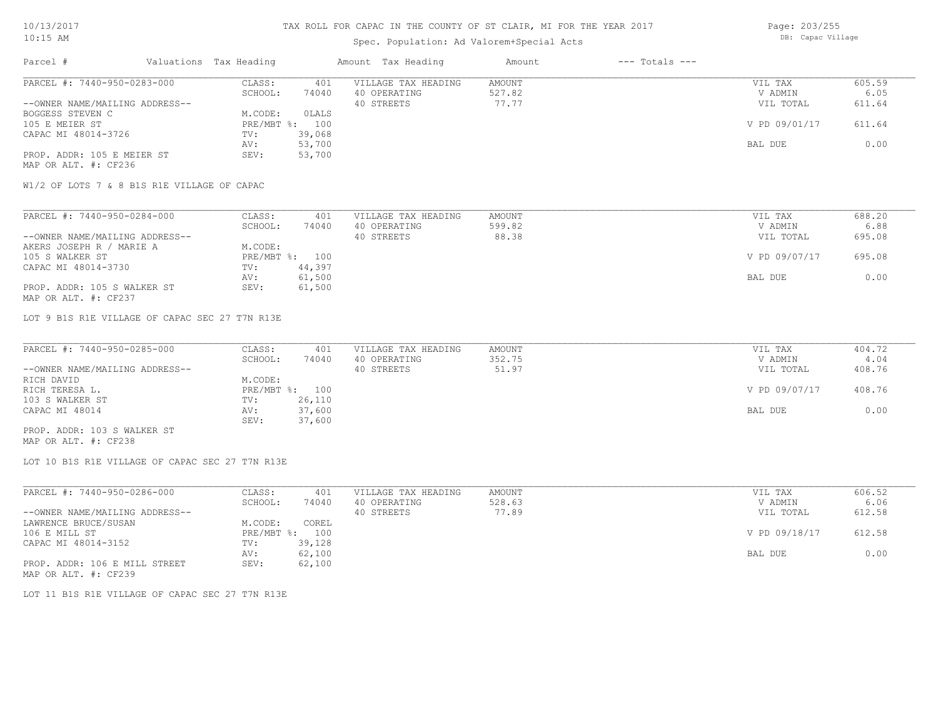# Spec. Population: Ad Valorem+Special Acts

| Page: 203/255     |
|-------------------|
| DB: Capac Village |

| Parcel #                       | Valuations Tax Heading |        | Amount Tax Heading  | Amount | $---$ Totals $---$ |               |        |
|--------------------------------|------------------------|--------|---------------------|--------|--------------------|---------------|--------|
| PARCEL #: 7440-950-0283-000    | CLASS:                 | 401    | VILLAGE TAX HEADING | AMOUNT |                    | VIL TAX       | 605.59 |
|                                | SCHOOL:                | 74040  | 40 OPERATING        | 527.82 |                    | V ADMIN       | 6.05   |
| --OWNER NAME/MAILING ADDRESS-- |                        |        | 40 STREETS          | 77.77  |                    | VIL TOTAL     | 611.64 |
| BOGGESS STEVEN C               | M.CODE:                | OLALS  |                     |        |                    |               |        |
| 105 E MEIER ST                 | $PRE/MBT$ %:           | 100    |                     |        |                    | V PD 09/01/17 | 611.64 |
| CAPAC MI 48014-3726            | TV:                    | 39,068 |                     |        |                    |               |        |
|                                | AV:                    | 53,700 |                     |        |                    | BAL DUE       | 0.00   |
| PROP. ADDR: 105 E MEIER ST     | SEV:                   | 53,700 |                     |        |                    |               |        |
| MAP OR ALT. #: CF236           |                        |        |                     |        |                    |               |        |

W1/2 OF LOTS 7 & 8 B1S R1E VILLAGE OF CAPAC

| PARCEL #: 7440-950-0284-000    | CLASS:  | 401            | VILLAGE TAX HEADING | AMOUNT | VIL TAX       | 688.20 |
|--------------------------------|---------|----------------|---------------------|--------|---------------|--------|
|                                | SCHOOL: | 74040          | 40 OPERATING        | 599.82 | V ADMIN       | 6.88   |
| --OWNER NAME/MAILING ADDRESS-- |         |                | 40 STREETS          | 88.38  | VIL TOTAL     | 695.08 |
| AKERS JOSEPH R / MARIE A       | M.CODE: |                |                     |        |               |        |
| 105 S WALKER ST                |         | PRE/MBT %: 100 |                     |        | V PD 09/07/17 | 695.08 |
| CAPAC MI 48014-3730            | TV:     | 44,397         |                     |        |               |        |
|                                | AV:     | 61,500         |                     |        | BAL DUE       | 0.00   |
| PROP. ADDR: 105 S WALKER ST    | SEV:    | 61,500         |                     |        |               |        |
| MAP OR ALT. #: CF237           |         |                |                     |        |               |        |

LOT 9 B1S R1E VILLAGE OF CAPAC SEC 27 T7N R13E

| PARCEL #: 7440-950-0285-000    | CLASS:  | 401            | VILLAGE TAX HEADING | AMOUNT | VIL TAX       | 404.72 |
|--------------------------------|---------|----------------|---------------------|--------|---------------|--------|
|                                | SCHOOL: | 74040          | 40 OPERATING        | 352.75 | V ADMIN       | 4.04   |
| --OWNER NAME/MAILING ADDRESS-- |         |                | 40 STREETS          | 51.97  | VIL TOTAL     | 408.76 |
| RICH DAVID                     | M.CODE: |                |                     |        |               |        |
| RICH TERESA L.                 |         | PRE/MBT %: 100 |                     |        | V PD 09/07/17 | 408.76 |
| 103 S WALKER ST                | TV:     | 26,110         |                     |        |               |        |
| CAPAC MI 48014                 | AV:     | 37,600         |                     |        | BAL DUE       | 0.00   |
|                                | SEV:    | 37,600         |                     |        |               |        |
| PROP. ADDR: 103 S WALKER ST    |         |                |                     |        |               |        |

MAP OR ALT. #: CF238

LOT 10 B1S R1E VILLAGE OF CAPAC SEC 27 T7N R13E

| PARCEL #: 7440-950-0286-000    | CLASS:       | 401    | VILLAGE TAX HEADING | AMOUNT | VIL TAX       | 606.52 |
|--------------------------------|--------------|--------|---------------------|--------|---------------|--------|
|                                | SCHOOL:      | 74040  | 40 OPERATING        | 528.63 | V ADMIN       | 6.06   |
| --OWNER NAME/MAILING ADDRESS-- |              |        | 40 STREETS          | 77.89  | VIL TOTAL     | 612.58 |
| LAWRENCE BRUCE/SUSAN           | M.CODE:      | COREL  |                     |        |               |        |
| 106 E MILL ST                  | $PRE/MBT$ %: | 100    |                     |        | V PD 09/18/17 | 612.58 |
| CAPAC MI 48014-3152            | TV:          | 39,128 |                     |        |               |        |
|                                | AV:          | 62,100 |                     |        | BAL DUE       | 0.00   |
| PROP. ADDR: 106 E MILL STREET  | SEV:         | 62,100 |                     |        |               |        |
| MAP OR ALT. #: CF239           |              |        |                     |        |               |        |

LOT 11 B1S R1E VILLAGE OF CAPAC SEC 27 T7N R13E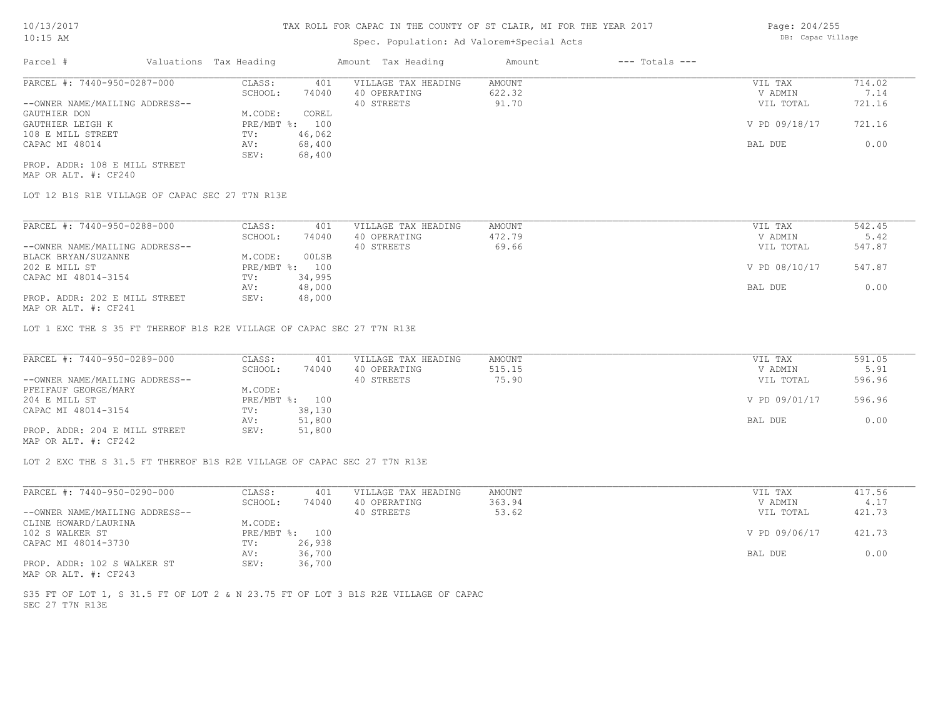# Spec. Population: Ad Valorem+Special Acts

| Parcel #                       | Valuations Tax Heading |        | Amount Tax Heading  | Amount | $---$ Totals $---$ |               |        |
|--------------------------------|------------------------|--------|---------------------|--------|--------------------|---------------|--------|
| PARCEL #: 7440-950-0287-000    | CLASS:                 | 401    | VILLAGE TAX HEADING | AMOUNT |                    | VIL TAX       | 714.02 |
|                                | SCHOOL:                | 74040  | 40 OPERATING        | 622.32 |                    | V ADMIN       | 7.14   |
| --OWNER NAME/MAILING ADDRESS-- |                        |        | 40 STREETS          | 91.70  |                    | VIL TOTAL     | 721.16 |
| GAUTHIER DON                   | M.CODE:                | COREL  |                     |        |                    |               |        |
| GAUTHIER LEIGH K               | PRE/MBT %: 100         |        |                     |        |                    | V PD 09/18/17 | 721.16 |
| 108 E MILL STREET              | TV:                    | 46,062 |                     |        |                    |               |        |
| CAPAC MI 48014                 | AV:                    | 68,400 |                     |        |                    | BAL DUE       | 0.00   |
|                                | SEV:                   | 68,400 |                     |        |                    |               |        |
|                                |                        |        |                     |        |                    |               |        |

MAP OR ALT. #: CF240 PROP. ADDR: 108 E MILL STREET

LOT 12 B1S R1E VILLAGE OF CAPAC SEC 27 T7N R13E

| PARCEL #: 7440-950-0288-000                  | CLASS:       | 401    | VILLAGE TAX HEADING | AMOUNT | VIL TAX       | 542.45 |
|----------------------------------------------|--------------|--------|---------------------|--------|---------------|--------|
|                                              | SCHOOL:      | 74040  | 40 OPERATING        | 472.79 | V ADMIN       | 5.42   |
| --OWNER NAME/MAILING ADDRESS--               |              |        | 40 STREETS          | 69.66  | VIL TOTAL     | 547.87 |
| BLACK BRYAN/SUZANNE                          | M.CODE:      | 00LSB  |                     |        |               |        |
| 202 E MILL ST                                | $PRE/MBT$ %: | 100    |                     |        | V PD 08/10/17 | 547.87 |
| CAPAC MI 48014-3154                          | TV:          | 34,995 |                     |        |               |        |
|                                              | AV:          | 48,000 |                     |        | BAL DUE       | 0.00   |
| PROP. ADDR: 202 E MILL STREET                | SEV:         | 48,000 |                     |        |               |        |
| $\cdots$ $\cdots$ $\cdots$ $\cdots$ $\cdots$ |              |        |                     |        |               |        |

MAP OR ALT. #: CF241

LOT 1 EXC THE S 35 FT THEREOF B1S R2E VILLAGE OF CAPAC SEC 27 T7N R13E

| PARCEL #: 7440-950-0289-000    | CLASS:  | 401            | VILLAGE TAX HEADING | AMOUNT | VIL TAX       | 591.05 |
|--------------------------------|---------|----------------|---------------------|--------|---------------|--------|
|                                | SCHOOL: | 74040          | 40 OPERATING        | 515.15 | V ADMIN       | 5.91   |
| --OWNER NAME/MAILING ADDRESS-- |         |                | 40 STREETS          | 75.90  | VIL TOTAL     | 596.96 |
| PFEIFAUF GEORGE/MARY           | M.CODE: |                |                     |        |               |        |
| 204 E MILL ST                  |         | PRE/MBT %: 100 |                     |        | V PD 09/01/17 | 596.96 |
| CAPAC MI 48014-3154            | TV:     | 38,130         |                     |        |               |        |
|                                | AV:     | 51,800         |                     |        | BAL DUE       | 0.00   |
| PROP. ADDR: 204 E MILL STREET  | SEV:    | 51,800         |                     |        |               |        |
|                                |         |                |                     |        |               |        |

MAP OR ALT. #: CF242

LOT 2 EXC THE S 31.5 FT THEREOF B1S R2E VILLAGE OF CAPAC SEC 27 T7N R13E

| PARCEL #: 7440-950-0290-000    | CLASS:  | 401            | VILLAGE TAX HEADING | AMOUNT | VIL TAX       | 417.56 |
|--------------------------------|---------|----------------|---------------------|--------|---------------|--------|
|                                | SCHOOL: | 74040          | 40 OPERATING        | 363.94 | V ADMIN       | 4.17   |
| --OWNER NAME/MAILING ADDRESS-- |         |                | 40 STREETS          | 53.62  | VIL TOTAL     | 421.73 |
| CLINE HOWARD/LAURINA           | M.CODE: |                |                     |        |               |        |
| 102 S WALKER ST                |         | PRE/MBT %: 100 |                     |        | V PD 09/06/17 | 421.73 |
| CAPAC MI 48014-3730            | TV:     | 26,938         |                     |        |               |        |
|                                | AV:     | 36,700         |                     |        | BAL DUE       | 0.00   |
| PROP. ADDR: 102 S WALKER ST    | SEV:    | 36,700         |                     |        |               |        |
| MAP OR ALT. #: CF243           |         |                |                     |        |               |        |

SEC 27 T7N R13E S35 FT OF LOT 1, S 31.5 FT OF LOT 2 & N 23.75 FT OF LOT 3 B1S R2E VILLAGE OF CAPAC Page: 204/255 DB: Capac Village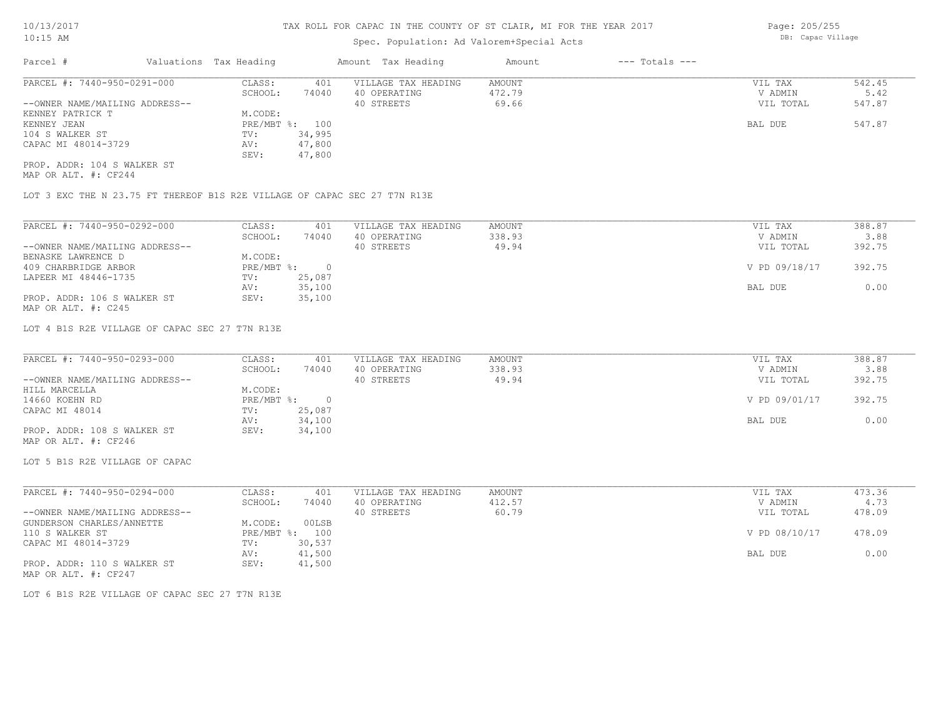# Spec. Population: Ad Valorem+Special Acts

| Parcel #                       | Valuations Tax Heading |        | Amount Tax Heading  | Amount | $---$ Totals $---$ |           |        |
|--------------------------------|------------------------|--------|---------------------|--------|--------------------|-----------|--------|
| PARCEL #: 7440-950-0291-000    | CLASS:                 | 401    | VILLAGE TAX HEADING | AMOUNT |                    | VIL TAX   | 542.45 |
|                                | SCHOOL:                | 74040  | 40 OPERATING        | 472.79 |                    | V ADMIN   | 5.42   |
| --OWNER NAME/MAILING ADDRESS-- |                        |        | 40 STREETS          | 69.66  |                    | VIL TOTAL | 547.87 |
| KENNEY PATRICK T               | M.CODE:                |        |                     |        |                    |           |        |
| KENNEY JEAN                    | PRE/MBT %: 100         |        |                     |        |                    | BAL DUE   | 547.87 |
| 104 S WALKER ST                | TV:                    | 34,995 |                     |        |                    |           |        |
| CAPAC MI 48014-3729            | AV:                    | 47,800 |                     |        |                    |           |        |
|                                | SEV:                   | 47,800 |                     |        |                    |           |        |
| PROP. ADDR: 104 S WALKER ST    |                        |        |                     |        |                    |           |        |

MAP OR ALT. #: CF244

LOT 3 EXC THE N 23.75 FT THEREOF B1S R2E VILLAGE OF CAPAC SEC 27 T7N R13E

| PARCEL #: 7440-950-0292-000    | CLASS:     | 401    | VILLAGE TAX HEADING | AMOUNT | 388.87<br>VIL TAX       |
|--------------------------------|------------|--------|---------------------|--------|-------------------------|
|                                | SCHOOL:    | 74040  | 40 OPERATING        | 338.93 | 3.88<br>V ADMIN         |
| --OWNER NAME/MAILING ADDRESS-- |            |        | 40 STREETS          | 49.94  | 392.75<br>VIL TOTAL     |
| BENASKE LAWRENCE D             | M.CODE:    |        |                     |        |                         |
| 409 CHARBRIDGE ARBOR           | PRE/MBT %: | $\cap$ |                     |        | V PD 09/18/17<br>392.75 |
| LAPEER MI 48446-1735           | TV:        | 25,087 |                     |        |                         |
|                                | AV:        | 35,100 |                     |        | 0.00<br>BAL DUE         |
| PROP. ADDR: 106 S WALKER ST    | SEV:       | 35,100 |                     |        |                         |
| MAP OR ALT. #: C245            |            |        |                     |        |                         |

LOT 4 B1S R2E VILLAGE OF CAPAC SEC 27 T7N R13E

| PARCEL #: 7440-950-0293-000    | CLASS:     | 401    | VILLAGE TAX HEADING | AMOUNT | VIL TAX       | 388.87 |
|--------------------------------|------------|--------|---------------------|--------|---------------|--------|
|                                | SCHOOL:    | 74040  | 40 OPERATING        | 338.93 | V ADMIN       | 3.88   |
| --OWNER NAME/MAILING ADDRESS-- |            |        | 40 STREETS          | 49.94  | VIL TOTAL     | 392.75 |
| HILL MARCELLA                  | M.CODE:    |        |                     |        |               |        |
| 14660 KOEHN RD                 | PRE/MBT %: |        |                     |        | V PD 09/01/17 | 392.75 |
| CAPAC MI 48014                 | TV:        | 25,087 |                     |        |               |        |
|                                | AV:        | 34,100 |                     |        | BAL DUE       | 0.00   |
| PROP. ADDR: 108 S WALKER ST    | SEV:       | 34,100 |                     |        |               |        |
| MAP OR ALT. #: CF246           |            |        |                     |        |               |        |

LOT 5 B1S R2E VILLAGE OF CAPAC

| PARCEL #: 7440-950-0294-000    | CLASS:     | 401    | VILLAGE TAX HEADING | AMOUNT | VIL TAX       | 473.36 |
|--------------------------------|------------|--------|---------------------|--------|---------------|--------|
|                                | SCHOOL:    | 74040  | 40 OPERATING        | 412.57 | V ADMIN       | 4.73   |
| --OWNER NAME/MAILING ADDRESS-- |            |        | 40 STREETS          | 60.79  | VIL TOTAL     | 478.09 |
| GUNDERSON CHARLES/ANNETTE      | M.CODE:    | 00LSB  |                     |        |               |        |
| 110 S WALKER ST                | PRE/MBT %: | 100    |                     |        | V PD 08/10/17 | 478.09 |
| CAPAC MI 48014-3729            | TV:        | 30,537 |                     |        |               |        |
|                                | AV:        | 41,500 |                     |        | BAL DUE       | 0.00   |
| PROP. ADDR: 110 S WALKER ST    | SEV:       | 41,500 |                     |        |               |        |
| MAP OR ALT. #: CF247           |            |        |                     |        |               |        |

LOT 6 B1S R2E VILLAGE OF CAPAC SEC 27 T7N R13E

Page: 205/255 DB: Capac Village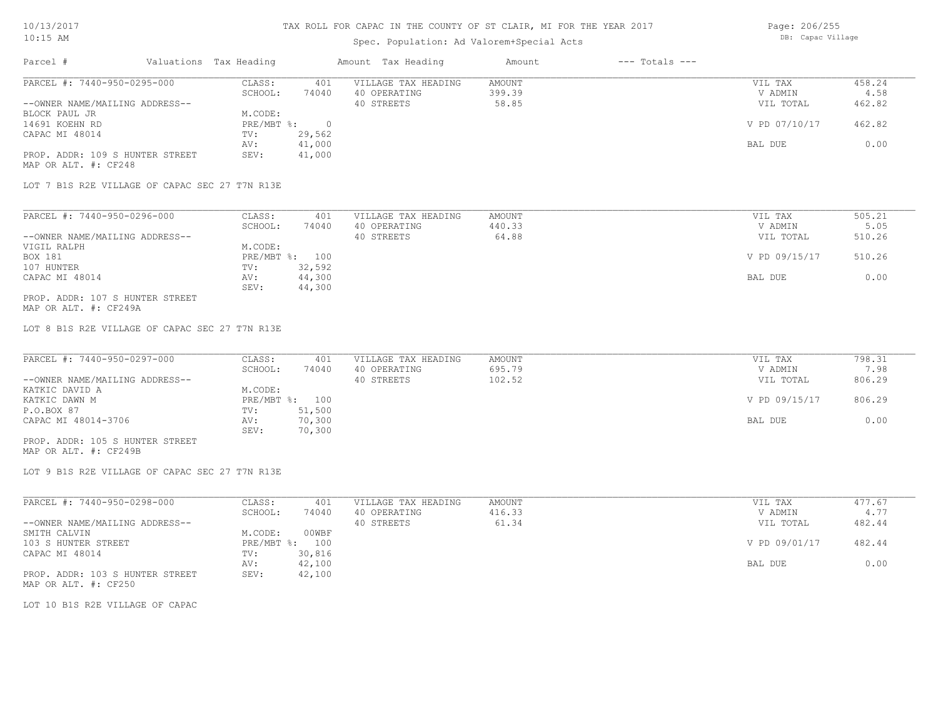## Spec. Population: Ad Valorem+Special Acts

| Page: 206/255     |
|-------------------|
| DB: Capac Village |

| Parcel #                        | Valuations Tax Heading |        | Amount Tax Heading  | Amount | $---$ Totals $---$ |               |        |
|---------------------------------|------------------------|--------|---------------------|--------|--------------------|---------------|--------|
| PARCEL #: 7440-950-0295-000     | CLASS:                 | 401    | VILLAGE TAX HEADING | AMOUNT |                    | VIL TAX       | 458.24 |
|                                 | SCHOOL:                | 74040  | 40 OPERATING        | 399.39 |                    | V ADMIN       | 4.58   |
| --OWNER NAME/MAILING ADDRESS--  |                        |        | 40 STREETS          | 58.85  |                    | VIL TOTAL     | 462.82 |
| BLOCK PAUL JR                   | M.CODE:                |        |                     |        |                    |               |        |
| 14691 KOEHN RD                  | $PRE/MBT$ %:           |        |                     |        |                    | V PD 07/10/17 | 462.82 |
| CAPAC MI 48014                  | TV:                    | 29,562 |                     |        |                    |               |        |
|                                 | AV:                    | 41,000 |                     |        |                    | BAL DUE       | 0.00   |
| PROP. ADDR: 109 S HUNTER STREET | SEV:                   | 41,000 |                     |        |                    |               |        |
| MAP OR ALT. #: CF248            |                        |        |                     |        |                    |               |        |

LOT 7 B1S R2E VILLAGE OF CAPAC SEC 27 T7N R13E

| PARCEL #: 7440-950-0296-000     | CLASS:  | 401            | VILLAGE TAX HEADING | AMOUNT | VIL TAX       | 505.21 |
|---------------------------------|---------|----------------|---------------------|--------|---------------|--------|
|                                 | SCHOOL: | 74040          | 40 OPERATING        | 440.33 | V ADMIN       | 5.05   |
| --OWNER NAME/MAILING ADDRESS--  |         |                | 40 STREETS          | 64.88  | VIL TOTAL     | 510.26 |
| VIGIL RALPH                     | M.CODE: |                |                     |        |               |        |
| BOX 181                         |         | PRE/MBT %: 100 |                     |        | V PD 09/15/17 | 510.26 |
| 107 HUNTER                      | TV:     | 32,592         |                     |        |               |        |
| CAPAC MI 48014                  | AV:     | 44,300         |                     |        | BAL DUE       | 0.00   |
|                                 | SEV:    | 44,300         |                     |        |               |        |
| PROP. ADDR: 107 S HUNTER STREET |         |                |                     |        |               |        |

MAP OR ALT. #: CF249A

LOT 8 B1S R2E VILLAGE OF CAPAC SEC 27 T7N R13E

| PARCEL #: 7440-950-0297-000     | CLASS:  | 401            | VILLAGE TAX HEADING | AMOUNT | VIL TAX       | 798.31 |
|---------------------------------|---------|----------------|---------------------|--------|---------------|--------|
|                                 | SCHOOL: | 74040          | 40 OPERATING        | 695.79 | V ADMIN       | 7.98   |
| --OWNER NAME/MAILING ADDRESS--  |         |                | 40 STREETS          | 102.52 | VIL TOTAL     | 806.29 |
| KATKIC DAVID A                  | M.CODE: |                |                     |        |               |        |
| KATKIC DAWN M                   |         | PRE/MBT %: 100 |                     |        | V PD 09/15/17 | 806.29 |
| P.O.BOX 87                      | TV:     | 51,500         |                     |        |               |        |
| CAPAC MI 48014-3706             | AV:     | 70,300         |                     |        | BAL DUE       | 0.00   |
|                                 | SEV:    | 70,300         |                     |        |               |        |
| PROP. ADDR: 105 S HUNTER STREET |         |                |                     |        |               |        |

MAP OR ALT. #: CF249B

LOT 9 B1S R2E VILLAGE OF CAPAC SEC 27 T7N R13E

| PARCEL #: 7440-950-0298-000     | CLASS:       | 401    | VILLAGE TAX HEADING | AMOUNT | VIL TAX       | 477.67 |
|---------------------------------|--------------|--------|---------------------|--------|---------------|--------|
|                                 | SCHOOL:      | 74040  | 40 OPERATING        | 416.33 | V ADMIN       | 4.77   |
| --OWNER NAME/MAILING ADDRESS--  |              |        | 40 STREETS          | 61.34  | VIL TOTAL     | 482.44 |
| SMITH CALVIN                    | M.CODE:      | 00WBF  |                     |        |               |        |
| 103 S HUNTER STREET             | $PRE/MBT$ %: | 100    |                     |        | V PD 09/01/17 | 482.44 |
| CAPAC MI 48014                  | TV:          | 30,816 |                     |        |               |        |
|                                 | AV:          | 42,100 |                     |        | BAL DUE       | 0.00   |
| PROP. ADDR: 103 S HUNTER STREET | SEV:         | 42,100 |                     |        |               |        |
| MAP OR ALT. #: CF250            |              |        |                     |        |               |        |

LOT 10 B1S R2E VILLAGE OF CAPAC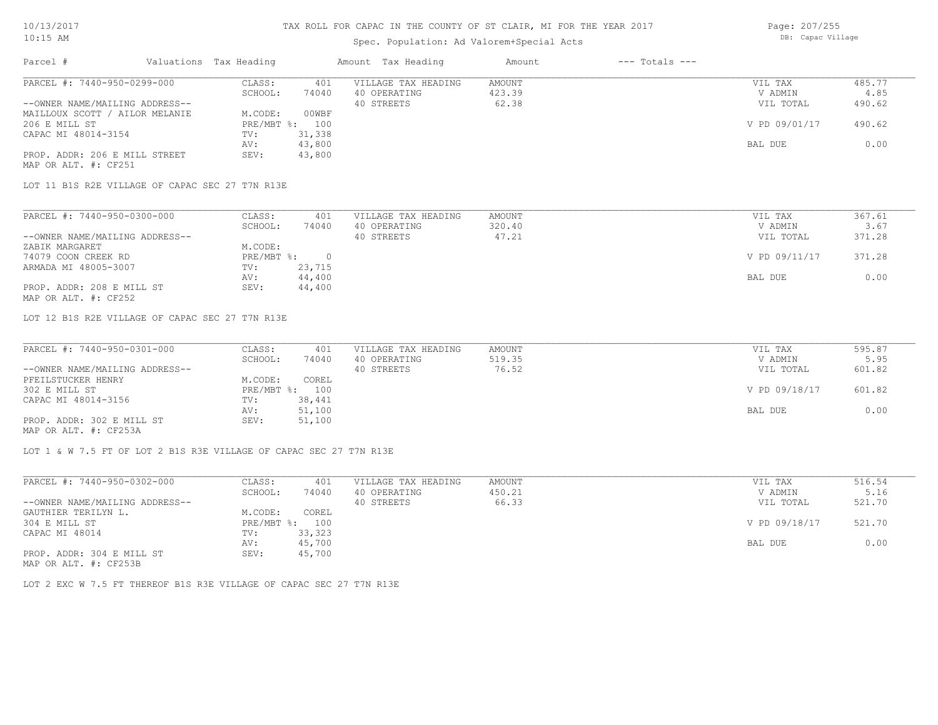# Spec. Population: Ad Valorem+Special Acts

Page: 207/255 DB: Capac Village

| Parcel #                       | Valuations Tax Heading |        | Amount Tax Heading  | Amount | $---$ Totals $---$ |               |        |
|--------------------------------|------------------------|--------|---------------------|--------|--------------------|---------------|--------|
| PARCEL #: 7440-950-0299-000    | CLASS:                 | 401    | VILLAGE TAX HEADING | AMOUNT |                    | VIL TAX       | 485.77 |
|                                | SCHOOL:                | 74040  | 40 OPERATING        | 423.39 |                    | V ADMIN       | 4.85   |
| --OWNER NAME/MAILING ADDRESS-- |                        |        | 40 STREETS          | 62.38  |                    | VIL TOTAL     | 490.62 |
| MAILLOUX SCOTT / AILOR MELANIE | M.CODE:                | 00WBF  |                     |        |                    |               |        |
| 206 E MILL ST                  | PRE/MBT %: 100         |        |                     |        |                    | V PD 09/01/17 | 490.62 |
| CAPAC MI 48014-3154            | TV:                    | 31,338 |                     |        |                    |               |        |
|                                | AV:                    | 43,800 |                     |        |                    | BAL DUE       | 0.00   |
| PROP. ADDR: 206 E MILL STREET  | SEV:                   | 43,800 |                     |        |                    |               |        |
| MAP OR ALT. #: CF251           |                        |        |                     |        |                    |               |        |

LOT 11 B1S R2E VILLAGE OF CAPAC SEC 27 T7N R13E

| PARCEL #: 7440-950-0300-000    | CLASS:     | 401    | VILLAGE TAX HEADING | AMOUNT | VIL TAX       | 367.61 |
|--------------------------------|------------|--------|---------------------|--------|---------------|--------|
|                                | SCHOOL:    | 74040  | 40 OPERATING        | 320.40 | V ADMIN       | 3.67   |
| --OWNER NAME/MAILING ADDRESS-- |            |        | 40 STREETS          | 47.21  | VIL TOTAL     | 371.28 |
| ZABIK MARGARET                 | M.CODE:    |        |                     |        |               |        |
| 74079 COON CREEK RD            | PRE/MBT %: |        |                     |        | V PD 09/11/17 | 371.28 |
| ARMADA MI 48005-3007           | TV:        | 23,715 |                     |        |               |        |
|                                | AV:        | 44,400 |                     |        | BAL DUE       | 0.00   |
| PROP. ADDR: 208 E MILL ST      | SEV:       | 44,400 |                     |        |               |        |
| MAP OR ALT. #: CF252           |            |        |                     |        |               |        |

LOT 12 B1S R2E VILLAGE OF CAPAC SEC 27 T7N R13E

| PARCEL #: 7440-950-0301-000    | CLASS:  | 401            | VILLAGE TAX HEADING | AMOUNT | VIL TAX       | 595.87 |
|--------------------------------|---------|----------------|---------------------|--------|---------------|--------|
|                                | SCHOOL: | 74040          | 40 OPERATING        | 519.35 | V ADMIN       | 5.95   |
| --OWNER NAME/MAILING ADDRESS-- |         |                | 40 STREETS          | 76.52  | VIL TOTAL     | 601.82 |
| PFEILSTUCKER HENRY             | M.CODE: | COREL          |                     |        |               |        |
| 302 E MILL ST                  |         | PRE/MBT %: 100 |                     |        | V PD 09/18/17 | 601.82 |
| CAPAC MI 48014-3156            | TV:     | 38,441         |                     |        |               |        |
|                                | AV:     | 51,100         |                     |        | BAL DUE       | 0.00   |
| PROP. ADDR: 302 E MILL ST      | SEV:    | 51,100         |                     |        |               |        |
| MAP OR ALT. #: CF253A          |         |                |                     |        |               |        |

LOT 1 & W 7.5 FT OF LOT 2 B1S R3E VILLAGE OF CAPAC SEC 27 T7N R13E

| PARCEL #: 7440-950-0302-000                           | CLASS:  | 401            | VILLAGE TAX HEADING | AMOUNT | VIL TAX       | 516.54 |
|-------------------------------------------------------|---------|----------------|---------------------|--------|---------------|--------|
|                                                       | SCHOOL: | 74040          | 40 OPERATING        | 450.21 | V ADMIN       | 5.16   |
| --OWNER NAME/MAILING ADDRESS--                        |         |                | 40 STREETS          | 66.33  | VIL TOTAL     | 521.70 |
| GAUTHIER TERILYN L.                                   | M.CODE: | COREL          |                     |        |               |        |
| 304 E MILL ST                                         |         | PRE/MBT %: 100 |                     |        | V PD 09/18/17 | 521.70 |
| CAPAC MI 48014                                        | TV:     | 33,323         |                     |        |               |        |
|                                                       | AV:     | 45,700         |                     |        | BAL DUE       | 0.00   |
| PROP. ADDR: 304 E MILL ST                             | SEV:    | 45,700         |                     |        |               |        |
| $\cdots$ $\cdots$ $\cdots$ $\cdots$ $\cdots$ $\cdots$ |         |                |                     |        |               |        |

MAP OR ALT. #: CF253B

LOT 2 EXC W 7.5 FT THEREOF B1S R3E VILLAGE OF CAPAC SEC 27 T7N R13E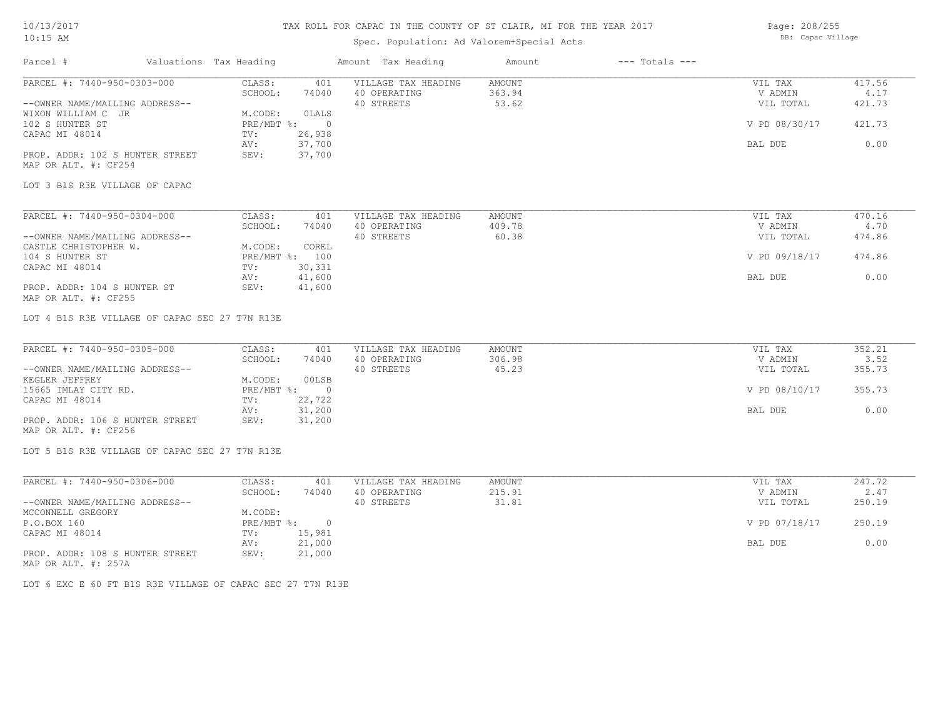# Spec. Population: Ad Valorem+Special Acts

Page: 208/255 DB: Capac Village

| Parcel #                                       | Valuations Tax Heading      |                | Amount Tax Heading                  | Amount                  | $---$ Totals $---$ |                    |                |
|------------------------------------------------|-----------------------------|----------------|-------------------------------------|-------------------------|--------------------|--------------------|----------------|
| PARCEL #: 7440-950-0303-000                    | CLASS:<br>SCHOOL:           | 401<br>74040   | VILLAGE TAX HEADING<br>40 OPERATING | <b>AMOUNT</b><br>363.94 |                    | VIL TAX<br>V ADMIN | 417.56<br>4.17 |
| --OWNER NAME/MAILING ADDRESS--                 |                             |                | 40 STREETS                          | 53.62                   |                    | VIL TOTAL          | 421.73         |
| WIXON WILLIAM C JR                             | M.CODE:                     | <b>OLALS</b>   |                                     |                         |                    |                    |                |
| 102 S HUNTER ST                                | PRE/MBT %:                  | $\overline{0}$ |                                     |                         |                    | V PD 08/30/17      | 421.73         |
| CAPAC MI 48014                                 | TV:                         | 26,938         |                                     |                         |                    |                    |                |
|                                                | AV:                         | 37,700         |                                     |                         |                    | BAL DUE            | 0.00           |
| PROP. ADDR: 102 S HUNTER STREET                | SEV:                        | 37,700         |                                     |                         |                    |                    |                |
| MAP OR ALT. #: CF254                           |                             |                |                                     |                         |                    |                    |                |
| LOT 3 B1S R3E VILLAGE OF CAPAC                 |                             |                |                                     |                         |                    |                    |                |
|                                                |                             |                |                                     |                         |                    |                    |                |
| PARCEL #: 7440-950-0304-000                    | CLASS:                      | 401            | VILLAGE TAX HEADING                 | AMOUNT                  |                    | VIL TAX            | 470.16         |
|                                                | SCHOOL:                     | 74040          | 40 OPERATING                        | 409.78<br>60.38         |                    | V ADMIN            | 4.70           |
| --OWNER NAME/MAILING ADDRESS--                 | M.CODE:                     | COREL          | 40 STREETS                          |                         |                    | VIL TOTAL          | 474.86         |
| CASTLE CHRISTOPHER W.                          |                             | PRE/MBT %: 100 |                                     |                         |                    | V PD 09/18/17      | 474.86         |
| 104 S HUNTER ST                                |                             | 30,331         |                                     |                         |                    |                    |                |
| CAPAC MI 48014                                 | TV:                         | 41,600         |                                     |                         |                    |                    | 0.00           |
| PROP. ADDR: 104 S HUNTER ST                    | AV:<br>SEV:                 | 41,600         |                                     |                         |                    | BAL DUE            |                |
| MAP OR ALT. #: CF255                           |                             |                |                                     |                         |                    |                    |                |
| PARCEL #: 7440-950-0305-000                    |                             |                |                                     |                         |                    |                    |                |
|                                                | CLASS:<br>SCHOOL:           | 401<br>74040   | VILLAGE TAX HEADING                 | AMOUNT<br>306.98        |                    | VIL TAX<br>V ADMIN | 352.21<br>3.52 |
| --OWNER NAME/MAILING ADDRESS--                 |                             |                | 40 OPERATING<br>40 STREETS          | 45.23                   |                    | VIL TOTAL          | 355.73         |
| KEGLER JEFFREY                                 | M.CODE:                     | 00LSB          |                                     |                         |                    |                    |                |
| 15665 IMLAY CITY RD.                           | $PRE/MBT$ $\div$            | $\sim$ 0       |                                     |                         |                    | V PD 08/10/17      | 355.73         |
| CAPAC MI 48014                                 | TV:                         | 22,722         |                                     |                         |                    |                    |                |
|                                                | AV:                         | 31,200         |                                     |                         |                    | BAL DUE            | 0.00           |
| PROP. ADDR: 106 S HUNTER STREET                | SEV:                        | 31,200         |                                     |                         |                    |                    |                |
| MAP OR ALT. #: CF256                           |                             |                |                                     |                         |                    |                    |                |
| LOT 5 B1S R3E VILLAGE OF CAPAC SEC 27 T7N R13E |                             |                |                                     |                         |                    |                    |                |
|                                                |                             |                |                                     |                         |                    |                    |                |
| PARCEL #: 7440-950-0306-000                    | CLASS:                      | 401            | VILLAGE TAX HEADING                 | AMOUNT                  |                    | VIL TAX            | 247.72         |
|                                                | SCHOOL:                     | 74040          | 40 OPERATING                        | 215.91                  |                    | V ADMIN            | 2.47           |
| --OWNER NAME/MAILING ADDRESS--                 |                             |                | 40 STREETS                          | 31.81                   |                    | VIL TOTAL          | 250.19         |
| MCCONNELL GREGORY<br>P.O.BOX 160               | M.CODE:<br>$PRE/MBT$ $\div$ | $\overline{0}$ |                                     |                         |                    | V PD 07/18/17      | 250.19         |
| CAPAC MI 48014                                 | TV:                         | 15,981         |                                     |                         |                    |                    |                |
|                                                | AV:                         | 21,000         |                                     |                         |                    | BAL DUE            | 0.00           |
| PROP. ADDR: 108 S HUNTER STREET                | SEV:                        | 21,000         |                                     |                         |                    |                    |                |
|                                                |                             |                |                                     |                         |                    |                    |                |

MAP OR ALT. #: 257A

LOT 6 EXC E 60 FT B1S R3E VILLAGE OF CAPAC SEC 27 T7N R13E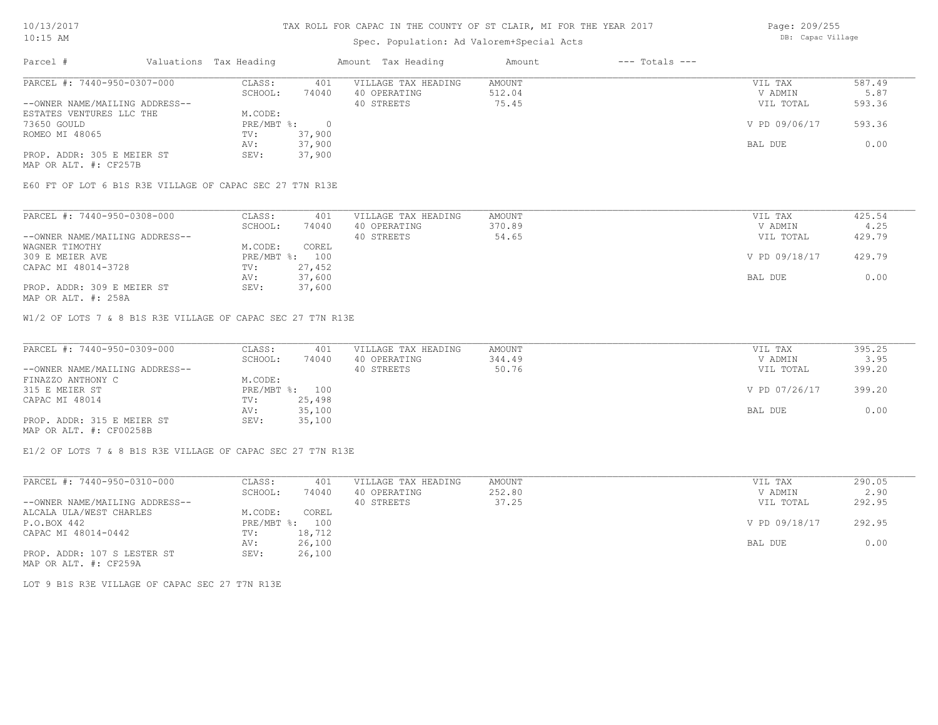## Spec. Population: Ad Valorem+Special Acts

Page: 209/255 DB: Capac Village

| Parcel #                       | Valuations Tax Heading |        | Amount Tax Heading  | Amount | $---$ Totals $---$ |               |        |
|--------------------------------|------------------------|--------|---------------------|--------|--------------------|---------------|--------|
| PARCEL #: 7440-950-0307-000    | CLASS:                 | 401    | VILLAGE TAX HEADING | AMOUNT |                    | VIL TAX       | 587.49 |
|                                | SCHOOL:                | 74040  | 40 OPERATING        | 512.04 |                    | V ADMIN       | 5.87   |
| --OWNER NAME/MAILING ADDRESS-- |                        |        | 40 STREETS          | 75.45  |                    | VIL TOTAL     | 593.36 |
| ESTATES VENTURES LLC THE       | M.CODE:                |        |                     |        |                    |               |        |
| 73650 GOULD                    | PRE/MBT %:             |        |                     |        |                    | V PD 09/06/17 | 593.36 |
| ROMEO MI 48065                 | TV:                    | 37,900 |                     |        |                    |               |        |
|                                | AV:                    | 37,900 |                     |        |                    | BAL DUE       | 0.00   |
| PROP. ADDR: 305 E MEIER ST     | SEV:                   | 37,900 |                     |        |                    |               |        |
| MAP OR ALT. #: CF257B          |                        |        |                     |        |                    |               |        |

E60 FT OF LOT 6 B1S R3E VILLAGE OF CAPAC SEC 27 T7N R13E

| PARCEL #: 7440-950-0308-000    | CLASS:         | 401    | VILLAGE TAX HEADING | AMOUNT | VIL TAX       | 425.54 |
|--------------------------------|----------------|--------|---------------------|--------|---------------|--------|
|                                | SCHOOL:        | 74040  | 40 OPERATING        | 370.89 | V ADMIN       | 4.25   |
| --OWNER NAME/MAILING ADDRESS-- |                |        | 40 STREETS          | 54.65  | VIL TOTAL     | 429.79 |
| WAGNER TIMOTHY                 | M.CODE:        | COREL  |                     |        |               |        |
| 309 E MEIER AVE                | PRE/MBT %: 100 |        |                     |        | V PD 09/18/17 | 429.79 |
| CAPAC MI 48014-3728            | TV:            | 27,452 |                     |        |               |        |
|                                | AV:            | 37,600 |                     |        | BAL DUE       | 0.00   |
| PROP. ADDR: 309 E MEIER ST     | SEV:           | 37,600 |                     |        |               |        |

MAP OR ALT. #: 258A

W1/2 OF LOTS 7 & 8 B1S R3E VILLAGE OF CAPAC SEC 27 T7N R13E

| PARCEL #: 7440-950-0309-000    | CLASS:  | 401            | VILLAGE TAX HEADING | AMOUNT | VIL TAX       | 395.25 |
|--------------------------------|---------|----------------|---------------------|--------|---------------|--------|
|                                | SCHOOL: | 74040          | 40 OPERATING        | 344.49 | V ADMIN       | 3.95   |
| --OWNER NAME/MAILING ADDRESS-- |         |                | 40 STREETS          | 50.76  | VIL TOTAL     | 399.20 |
| FINAZZO ANTHONY C              | M.CODE: |                |                     |        |               |        |
| 315 E MEIER ST                 |         | PRE/MBT %: 100 |                     |        | V PD 07/26/17 | 399.20 |
| CAPAC MI 48014                 | TV:     | 25,498         |                     |        |               |        |
|                                | AV:     | 35,100         |                     |        | BAL DUE       | 0.00   |
| PROP. ADDR: 315 E MEIER ST     | SEV:    | 35,100         |                     |        |               |        |
| MAP OR ALT. #: CF00258B        |         |                |                     |        |               |        |

E1/2 OF LOTS 7 & 8 B1S R3E VILLAGE OF CAPAC SEC 27 T7N R13E

| PARCEL #: 7440-950-0310-000    | CLASS:     | 401    | VILLAGE TAX HEADING | AMOUNT | VIL TAX       | 290.05 |
|--------------------------------|------------|--------|---------------------|--------|---------------|--------|
|                                | SCHOOL:    | 74040  | 40 OPERATING        | 252.80 | V ADMIN       | 2.90   |
| --OWNER NAME/MAILING ADDRESS-- |            |        | 40 STREETS          | 37.25  | VIL TOTAL     | 292.95 |
| ALCALA ULA/WEST CHARLES        | M.CODE:    | COREL  |                     |        |               |        |
| P.O.BOX 442                    | PRE/MBT %: | 100    |                     |        | V PD 09/18/17 | 292.95 |
| CAPAC MI 48014-0442            | TV:        | 18,712 |                     |        |               |        |
|                                | AV:        | 26,100 |                     |        | BAL DUE       | 0.00   |
| PROP. ADDR: 107 S LESTER ST    | SEV:       | 26,100 |                     |        |               |        |
| MAP OR ALT. #: CF259A          |            |        |                     |        |               |        |

LOT 9 B1S R3E VILLAGE OF CAPAC SEC 27 T7N R13E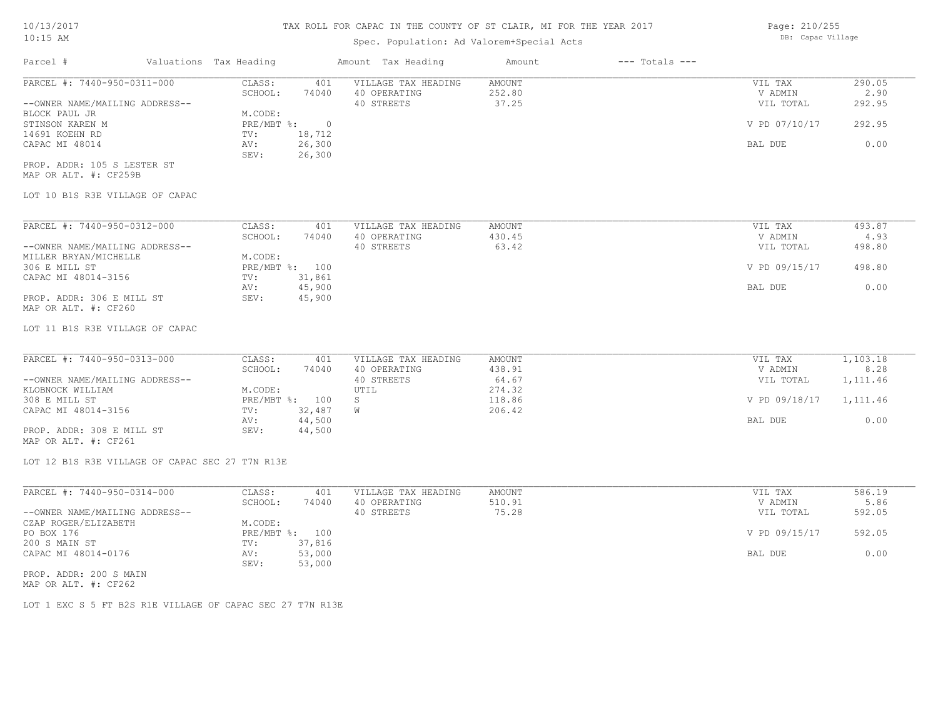# Spec. Population: Ad Valorem+Special Acts

| Parcel #                       | Valuations Tax Heading |        | Amount Tax Heading  | Amount | $---$ Totals $---$ |               |        |
|--------------------------------|------------------------|--------|---------------------|--------|--------------------|---------------|--------|
| PARCEL #: 7440-950-0311-000    | CLASS:                 | 401    | VILLAGE TAX HEADING | AMOUNT |                    | VIL TAX       | 290.05 |
|                                | SCHOOL:                | 74040  | 40 OPERATING        | 252.80 |                    | V ADMIN       | 2.90   |
| --OWNER NAME/MAILING ADDRESS-- |                        |        | 40 STREETS          | 37.25  |                    | VIL TOTAL     | 292.95 |
| BLOCK PAUL JR                  | M.CODE:                |        |                     |        |                    |               |        |
| STINSON KAREN M                | $PRE/MBT$ %:           |        |                     |        |                    | V PD 07/10/17 | 292.95 |
| 14691 KOEHN RD                 | TV:                    | 18,712 |                     |        |                    |               |        |
| CAPAC MI 48014                 | AV:                    | 26,300 |                     |        |                    | BAL DUE       | 0.00   |
|                                | SEV:                   | 26,300 |                     |        |                    |               |        |
| PROP. ADDR: 105 S LESTER ST    |                        |        |                     |        |                    |               |        |

MAP OR ALT. #: CF259B

### LOT 10 B1S R3E VILLAGE OF CAPAC

| PARCEL #: 7440-950-0312-000    | CLASS:       | 401    | VILLAGE TAX HEADING | AMOUNT | VIL TAX       | 493.87 |
|--------------------------------|--------------|--------|---------------------|--------|---------------|--------|
|                                | SCHOOL:      | 74040  | 40 OPERATING        | 430.45 | V ADMIN       | 4.93   |
| --OWNER NAME/MAILING ADDRESS-- |              |        | 40 STREETS          | 63.42  | VIL TOTAL     | 498.80 |
| MILLER BRYAN/MICHELLE          | M.CODE:      |        |                     |        |               |        |
| 306 E MILL ST                  | $PRE/MBT$ %: | 100    |                     |        | V PD 09/15/17 | 498.80 |
| CAPAC MI 48014-3156            | TV:          | 31,861 |                     |        |               |        |
|                                | AV:          | 45,900 |                     |        | BAL DUE       | 0.00   |
| PROP. ADDR: 306 E MILL ST      | SEV:         | 45,900 |                     |        |               |        |
| MAP OR ALT. #: CF260           |              |        |                     |        |               |        |

LOT 11 B1S R3E VILLAGE OF CAPAC

| PARCEL #: 7440-950-0313-000    | CLASS:  | 401            | VILLAGE TAX HEADING | AMOUNT | VIL TAX       | 1,103.18 |
|--------------------------------|---------|----------------|---------------------|--------|---------------|----------|
|                                | SCHOOL: | 74040          | 40 OPERATING        | 438.91 | V ADMIN       | 8.28     |
| --OWNER NAME/MAILING ADDRESS-- |         |                | 40 STREETS          | 64.67  | VIL TOTAL     | 1,111.46 |
| KLOBNOCK WILLIAM               | M.CODE: |                | UTIL                | 274.32 |               |          |
| 308 E MILL ST                  |         | PRE/MBT %: 100 |                     | 118.86 | V PD 09/18/17 | 1,111.46 |
| CAPAC MI 48014-3156            | TV:     | 32,487         |                     | 206.42 |               |          |
|                                | AV:     | 44,500         |                     |        | BAL DUE       | 0.00     |
| PROP. ADDR: 308 E MILL ST      | SEV:    | 44,500         |                     |        |               |          |

MAP OR ALT. #: CF261

LOT 12 B1S R3E VILLAGE OF CAPAC SEC 27 T7N R13E

| PARCEL #: 7440-950-0314-000    | CLASS:  | 401            | VILLAGE TAX HEADING | AMOUNT | VIL TAX       | 586.19 |
|--------------------------------|---------|----------------|---------------------|--------|---------------|--------|
|                                | SCHOOL: | 74040          | 40 OPERATING        | 510.91 | V ADMIN       | 5.86   |
| --OWNER NAME/MAILING ADDRESS-- |         |                | 40 STREETS          | 75.28  | VIL TOTAL     | 592.05 |
| CZAP ROGER/ELIZABETH           | M.CODE: |                |                     |        |               |        |
| PO BOX 176                     |         | PRE/MBT %: 100 |                     |        | V PD 09/15/17 | 592.05 |
| 200 S MAIN ST                  | TV:     | 37,816         |                     |        |               |        |
| CAPAC MI 48014-0176            | AV:     | 53,000         |                     |        | BAL DUE       | 0.00   |
|                                | SEV:    | 53,000         |                     |        |               |        |
| PROP. ADDR: 200 S MAIN         |         |                |                     |        |               |        |

MAP OR ALT. #: CF262

LOT 1 EXC S 5 FT B2S R1E VILLAGE OF CAPAC SEC 27 T7N R13E

Page: 210/255 DB: Capac Village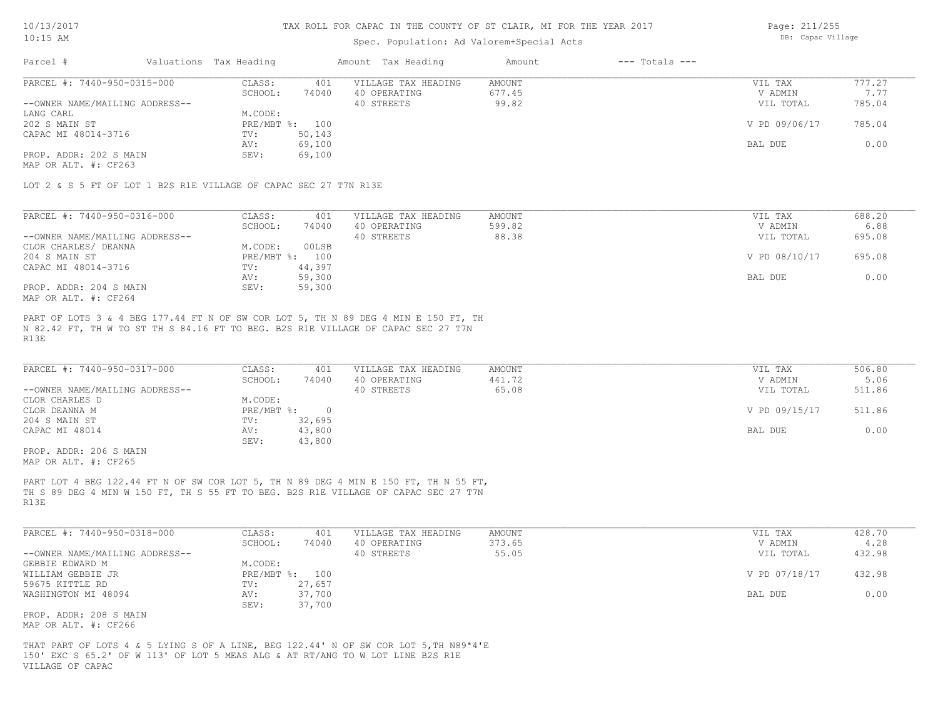### Spec. Population: Ad Valorem+Special Acts

Page: 211/255 DB: Capac Village

| Parcel #                       | Valuations Tax Heading |                | Amount Tax Heading  | Amount | $---$ Totals $---$ |               |        |
|--------------------------------|------------------------|----------------|---------------------|--------|--------------------|---------------|--------|
| PARCEL #: 7440-950-0315-000    | CLASS:                 | 401            | VILLAGE TAX HEADING | AMOUNT |                    | VIL TAX       | 777.27 |
|                                | SCHOOL:                | 74040          | 40 OPERATING        | 677.45 |                    | V ADMIN       | 7.77   |
| --OWNER NAME/MAILING ADDRESS-- |                        |                | 40 STREETS          | 99.82  |                    | VIL TOTAL     | 785.04 |
| LANG CARL                      | M.CODE:                |                |                     |        |                    |               |        |
| 202 S MAIN ST                  |                        | PRE/MBT %: 100 |                     |        |                    | V PD 09/06/17 | 785.04 |
| CAPAC MI 48014-3716            | TV:                    | 50,143         |                     |        |                    |               |        |
|                                | AV:                    | 69,100         |                     |        |                    | BAL DUE       | 0.00   |
| PROP. ADDR: 202 S MAIN         | SEV:                   | 69,100         |                     |        |                    |               |        |
|                                |                        |                |                     |        |                    |               |        |

MAP OR ALT. #: CF263

LOT 2 & S 5 FT OF LOT 1 B2S R1E VILLAGE OF CAPAC SEC 27 T7N R13E

| PARCEL #: 7440-950-0316-000    | CLASS:     | 401    | VILLAGE TAX HEADING | AMOUNT | VIL TAX       | 688.20 |
|--------------------------------|------------|--------|---------------------|--------|---------------|--------|
|                                | SCHOOL:    | 74040  | 40 OPERATING        | 599.82 | V ADMIN       | 6.88   |
| --OWNER NAME/MAILING ADDRESS-- |            |        | 40 STREETS          | 88.38  | VIL TOTAL     | 695.08 |
| CLOR CHARLES/ DEANNA           | M.CODE:    | 00LSB  |                     |        |               |        |
| 204 S MAIN ST                  | PRE/MBT %: | 100    |                     |        | V PD 08/10/17 | 695.08 |
| CAPAC MI 48014-3716            | TV:        | 44,397 |                     |        |               |        |
|                                | AV:        | 59,300 |                     |        | BAL DUE       | 0.00   |
| PROP. ADDR: 204 S MAIN         | SEV:       | 59,300 |                     |        |               |        |
| MAP OR ALT. #: CF264           |            |        |                     |        |               |        |

R13E N 82.42 FT, TH W TO ST TH S 84.16 FT TO BEG. B2S R1E VILLAGE OF CAPAC SEC 27 T7N PART OF LOTS 3 & 4 BEG 177.44 FT N OF SW COR LOT 5, TH N 89 DEG 4 MIN E 150 FT, TH

| PARCEL #: 7440-950-0317-000    | CLASS:     | 401    | VILLAGE TAX HEADING | AMOUNT | VIL TAX       | 506.80 |
|--------------------------------|------------|--------|---------------------|--------|---------------|--------|
|                                | SCHOOL:    | 74040  | 40 OPERATING        | 441.72 | V ADMIN       | 5.06   |
| --OWNER NAME/MAILING ADDRESS-- |            |        | 40 STREETS          | 65.08  | VIL TOTAL     | 511.86 |
| CLOR CHARLES D                 | M.CODE:    |        |                     |        |               |        |
| CLOR DEANNA M                  | PRE/MBT %: |        |                     |        | V PD 09/15/17 | 511.86 |
| 204 S MAIN ST                  | TV:        | 32,695 |                     |        |               |        |
| CAPAC MI 48014                 | AV:        | 43,800 |                     |        | BAL DUE       | 0.00   |
|                                | SEV:       | 43,800 |                     |        |               |        |

MAP OR ALT. #: CF265 PROP. ADDR: 206 S MAIN

R13E TH S 89 DEG 4 MIN W 150 FT, TH S 55 FT TO BEG. B2S R1E VILLAGE OF CAPAC SEC 27 T7N PART LOT 4 BEG 122.44 FT N OF SW COR LOT 5, TH N 89 DEG 4 MIN E 150 FT, TH N 55 FT,

| PARCEL #: 7440-950-0318-000    | CLASS:       | 401    | VILLAGE TAX HEADING | AMOUNT | VIL TAX       | 428.70 |
|--------------------------------|--------------|--------|---------------------|--------|---------------|--------|
|                                | SCHOOL:      | 74040  | 40 OPERATING        | 373.65 | V ADMIN       | 4.28   |
| --OWNER NAME/MAILING ADDRESS-- |              |        | 40 STREETS          | 55.05  | VIL TOTAL     | 432.98 |
| GEBBIE EDWARD M                | M.CODE:      |        |                     |        |               |        |
| WILLIAM GEBBIE JR              | $PRE/MBT$ %: | 100    |                     |        | V PD 07/18/17 | 432.98 |
| 59675 KITTLE RD                | TV:          | 27,657 |                     |        |               |        |
| WASHINGTON MI 48094            | AV:          | 37,700 |                     |        | BAL DUE       | 0.00   |
|                                | SEV:         | 37,700 |                     |        |               |        |
| PROP. ADDR: 208 S MAIN         |              |        |                     |        |               |        |

MAP OR ALT. #: CF266

VILLAGE OF CAPAC 150' EXC S 65.2' OF W 113' OF LOT 5 MEAS ALG & AT RT/ANG TO W LOT LINE B2S R1E THAT PART OF LOTS 4 & 5 LYING S OF A LINE, BEG 122.44' N OF SW COR LOT 5,TH N89ª4'E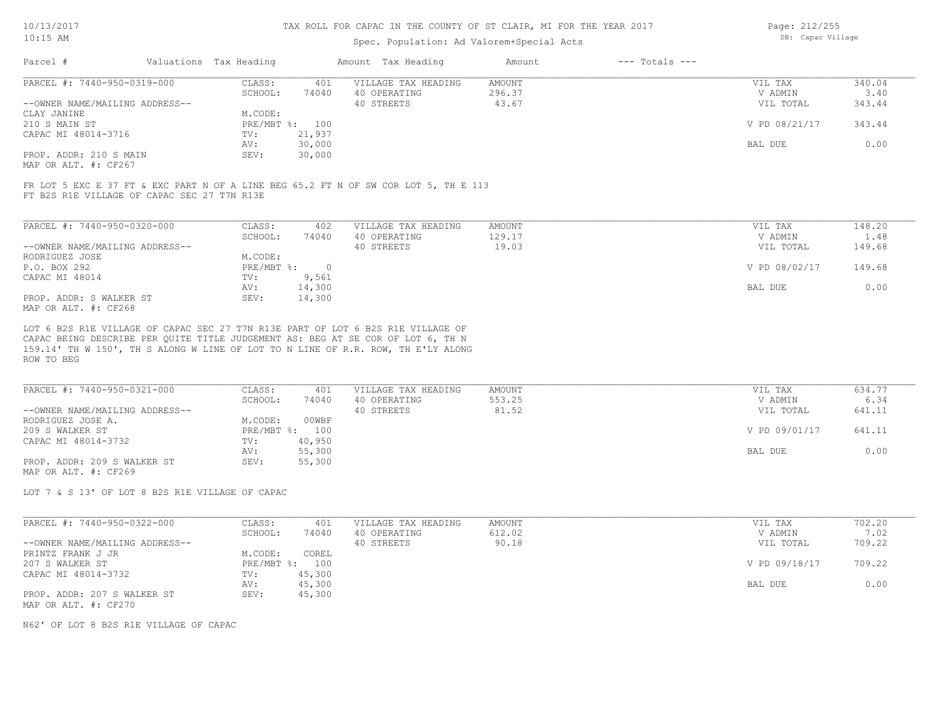### Spec. Population: Ad Valorem+Special Acts

| Page: 212/255     |
|-------------------|
| DB: Capac Village |

| Parcel #                       | Valuations Tax Heading |        | Amount Tax Heading  | Amount | $---$ Totals $---$ |               |        |
|--------------------------------|------------------------|--------|---------------------|--------|--------------------|---------------|--------|
| PARCEL #: 7440-950-0319-000    | CLASS:                 | 401    | VILLAGE TAX HEADING | AMOUNT |                    | VIL TAX       | 340.04 |
|                                | SCHOOL:                | 74040  | 40 OPERATING        | 296.37 |                    | V ADMIN       | 3.40   |
| --OWNER NAME/MAILING ADDRESS-- |                        |        | 40 STREETS          | 43.67  |                    | VIL TOTAL     | 343.44 |
| CLAY JANINE                    | M.CODE:                |        |                     |        |                    |               |        |
| 210 S MAIN ST                  | PRE/MBT %: 100         |        |                     |        |                    | V PD 08/21/17 | 343.44 |
| CAPAC MI 48014-3716            | TV:                    | 21,937 |                     |        |                    |               |        |
|                                | AV:                    | 30,000 |                     |        |                    | BAL DUE       | 0.00   |
| PROP. ADDR: 210 S MAIN         | SEV:                   | 30,000 |                     |        |                    |               |        |
| MAP OR ALT. #: CF267           |                        |        |                     |        |                    |               |        |

FT B2S R1E VILLAGE OF CAPAC SEC 27 T7N R13E FR LOT 5 EXC E 37 FT & EXC PART N OF A LINE BEG 65.2 FT N OF SW COR LOT 5, TH E 113

| PARCEL #: 7440-950-0320-000    | CLASS:     | 402    | VILLAGE TAX HEADING | AMOUNT | 148.20<br>VIL TAX       |  |
|--------------------------------|------------|--------|---------------------|--------|-------------------------|--|
|                                | SCHOOL:    | 74040  | 40 OPERATING        | 129.17 | V ADMIN<br>1.48         |  |
| --OWNER NAME/MAILING ADDRESS-- |            |        | 40 STREETS          | 19.03  | 149.68<br>VIL TOTAL     |  |
| RODRIGUEZ JOSE                 | M.CODE:    |        |                     |        |                         |  |
| P.O. BOX 292                   | PRE/MBT %: | $\cap$ |                     |        | V PD 08/02/17<br>149.68 |  |
| CAPAC MI 48014                 | TV:        | 9,561  |                     |        |                         |  |
|                                | AV:        | 14,300 |                     |        | 0.00<br>BAL DUE         |  |
| PROP. ADDR: S WALKER ST        | SEV:       | 14,300 |                     |        |                         |  |
| MAP OR ALT. #: CF268           |            |        |                     |        |                         |  |

ROW TO BEG 159.14' TH W 150', TH S ALONG W LINE OF LOT TO N LINE OF R.R. ROW, TH E'LY ALONG CAPAC BEING DESCRIBE PER QUITE TITLE JUDGEMENT AS: BEG AT SE COR OF LOT 6, TH N LOT 6 B2S R1E VILLAGE OF CAPAC SEC 27 T7N R13E PART OF LOT 6 B2S R1E VILLAGE OF

| PARCEL #: 7440-950-0321-000    | CLASS:  | 401            | VILLAGE TAX HEADING | AMOUNT | VIL TAX       | 634.77 |
|--------------------------------|---------|----------------|---------------------|--------|---------------|--------|
|                                | SCHOOL: | 74040          | 40 OPERATING        | 553.25 | V ADMIN       | 6.34   |
| --OWNER NAME/MAILING ADDRESS-- |         |                | 40 STREETS          | 81.52  | VIL TOTAL     | 641.11 |
| RODRIGUEZ JOSE A.              | M.CODE: | 00WBF          |                     |        |               |        |
| 209 S WALKER ST                |         | PRE/MBT %: 100 |                     |        | V PD 09/01/17 | 641.11 |
| CAPAC MI 48014-3732            | TV:     | 40,950         |                     |        |               |        |
|                                | AV:     | 55,300         |                     |        | BAL DUE       | 0.00   |
| PROP. ADDR: 209 S WALKER ST    | SEV:    | 55,300         |                     |        |               |        |
| MAP OR ALT. #: CF269           |         |                |                     |        |               |        |

LOT 7 & S 13' OF LOT 8 B2S R1E VILLAGE OF CAPAC

| PARCEL #: 7440-950-0322-000    | CLASS:         | 401    | VILLAGE TAX HEADING | AMOUNT | VIL TAX       | 702.20 |
|--------------------------------|----------------|--------|---------------------|--------|---------------|--------|
|                                | SCHOOL:        | 74040  | 40 OPERATING        | 612.02 | V ADMIN       | 7.02   |
| --OWNER NAME/MAILING ADDRESS-- |                |        | 40 STREETS          | 90.18  | VIL TOTAL     | 709.22 |
| PRINTZ FRANK J JR              | M.CODE:        | COREL  |                     |        |               |        |
| 207 S WALKER ST                | PRE/MBT %: 100 |        |                     |        | V PD 09/18/17 | 709.22 |
| CAPAC MI 48014-3732            | TV:            | 45,300 |                     |        |               |        |
|                                | AV:            | 45,300 |                     |        | BAL DUE       | 0.00   |
| PROP. ADDR: 207 S WALKER ST    | SEV:           | 45,300 |                     |        |               |        |
| MAP OR ALT. #: CF270           |                |        |                     |        |               |        |

N62' OF LOT 8 B2S R1E VILLAGE OF CAPAC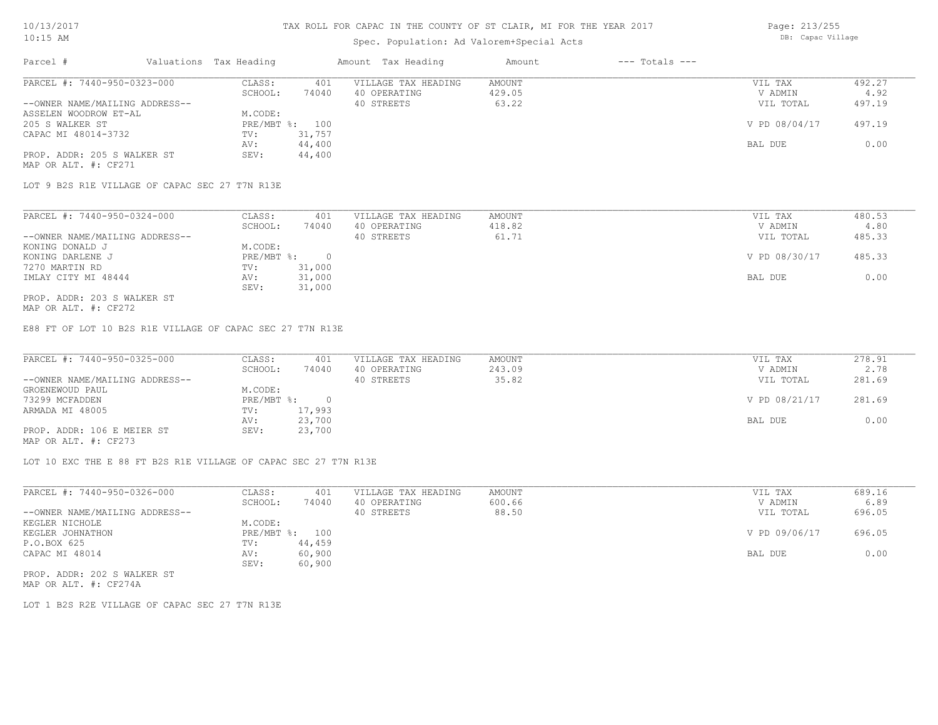# Spec. Population: Ad Valorem+Special Acts

Page: 213/255 DB: Capac Village

| Parcel #                       | Valuations Tax Heading |        | Amount Tax Heading  | Amount | $---$ Totals $---$ |               |        |
|--------------------------------|------------------------|--------|---------------------|--------|--------------------|---------------|--------|
| PARCEL #: 7440-950-0323-000    | CLASS:                 | 401    | VILLAGE TAX HEADING | AMOUNT |                    | VIL TAX       | 492.27 |
|                                | SCHOOL:                | 74040  | 40 OPERATING        | 429.05 |                    | V ADMIN       | 4.92   |
| --OWNER NAME/MAILING ADDRESS-- |                        |        | 40 STREETS          | 63.22  |                    | VIL TOTAL     | 497.19 |
| ASSELEN WOODROW ET-AL          | M.CODE:                |        |                     |        |                    |               |        |
| 205 S WALKER ST                | PRE/MBT %:             | 100    |                     |        |                    | V PD 08/04/17 | 497.19 |
| CAPAC MI 48014-3732            | TV:                    | 31,757 |                     |        |                    |               |        |
|                                | AV:                    | 44,400 |                     |        |                    | BAL DUE       | 0.00   |
| PROP. ADDR: 205 S WALKER ST    | SEV:                   | 44,400 |                     |        |                    |               |        |
| MAP OR ALT. #: CF271           |                        |        |                     |        |                    |               |        |

LOT 9 B2S R1E VILLAGE OF CAPAC SEC 27 T7N R13E

| PARCEL #: 7440-950-0324-000    | CLASS:     | 401    | VILLAGE TAX HEADING | AMOUNT | VIL TAX       | 480.53 |
|--------------------------------|------------|--------|---------------------|--------|---------------|--------|
|                                | SCHOOL:    | 74040  | 40 OPERATING        | 418.82 | V ADMIN       | 4.80   |
| --OWNER NAME/MAILING ADDRESS-- |            |        | 40 STREETS          | 61.71  | VIL TOTAL     | 485.33 |
| KONING DONALD J                | M.CODE:    |        |                     |        |               |        |
| KONING DARLENE J               | PRE/MBT %: |        |                     |        | V PD 08/30/17 | 485.33 |
| 7270 MARTIN RD                 | TV:        | 31,000 |                     |        |               |        |
| IMLAY CITY MI 48444            | AV:        | 31,000 |                     |        | BAL DUE       | 0.00   |
|                                | SEV:       | 31,000 |                     |        |               |        |
| PROP. ADDR: 203 S WALKER ST    |            |        |                     |        |               |        |

MAP OR ALT. #: CF272

E88 FT OF LOT 10 B2S R1E VILLAGE OF CAPAC SEC 27 T7N R13E

| PARCEL #: 7440-950-0325-000    | CLASS:     | 401    | VILLAGE TAX HEADING | AMOUNT | VIL TAX       | 278.91 |
|--------------------------------|------------|--------|---------------------|--------|---------------|--------|
|                                | SCHOOL:    | 74040  | 40 OPERATING        | 243.09 | V ADMIN       | 2.78   |
| --OWNER NAME/MAILING ADDRESS-- |            |        | 40 STREETS          | 35.82  | VIL TOTAL     | 281.69 |
| GROENEWOUD PAUL                | M.CODE:    |        |                     |        |               |        |
| 73299 MCFADDEN                 | PRE/MBT %: |        |                     |        | V PD 08/21/17 | 281.69 |
| ARMADA MI 48005                | TV:        | 17,993 |                     |        |               |        |
|                                | AV:        | 23,700 |                     |        | BAL DUE       | 0.00   |
| PROP. ADDR: 106 E MEIER ST     | SEV:       | 23,700 |                     |        |               |        |
| MAP OR ALT. #: CF273           |            |        |                     |        |               |        |

LOT 10 EXC THE E 88 FT B2S R1E VILLAGE OF CAPAC SEC 27 T7N R13E

| PARCEL #: 7440-950-0326-000    | CLASS:  | 401            | VILLAGE TAX HEADING | AMOUNT | VIL TAX       | 689.16 |
|--------------------------------|---------|----------------|---------------------|--------|---------------|--------|
|                                | SCHOOL: | 74040          | 40 OPERATING        | 600.66 | V ADMIN       | 6.89   |
| --OWNER NAME/MAILING ADDRESS-- |         |                | 40 STREETS          | 88.50  | VIL TOTAL     | 696.05 |
| KEGLER NICHOLE                 | M.CODE: |                |                     |        |               |        |
| KEGLER JOHNATHON               |         | PRE/MBT %: 100 |                     |        | V PD 09/06/17 | 696.05 |
| P.O.BOX 625                    | TV:     | 44,459         |                     |        |               |        |
| CAPAC MI 48014                 | AV:     | 60,900         |                     |        | BAL DUE       | 0.00   |
|                                | SEV:    | 60,900         |                     |        |               |        |
| PROP. ADDR: 202 S WALKER ST    |         |                |                     |        |               |        |

MAP OR ALT. #: CF274A

LOT 1 B2S R2E VILLAGE OF CAPAC SEC 27 T7N R13E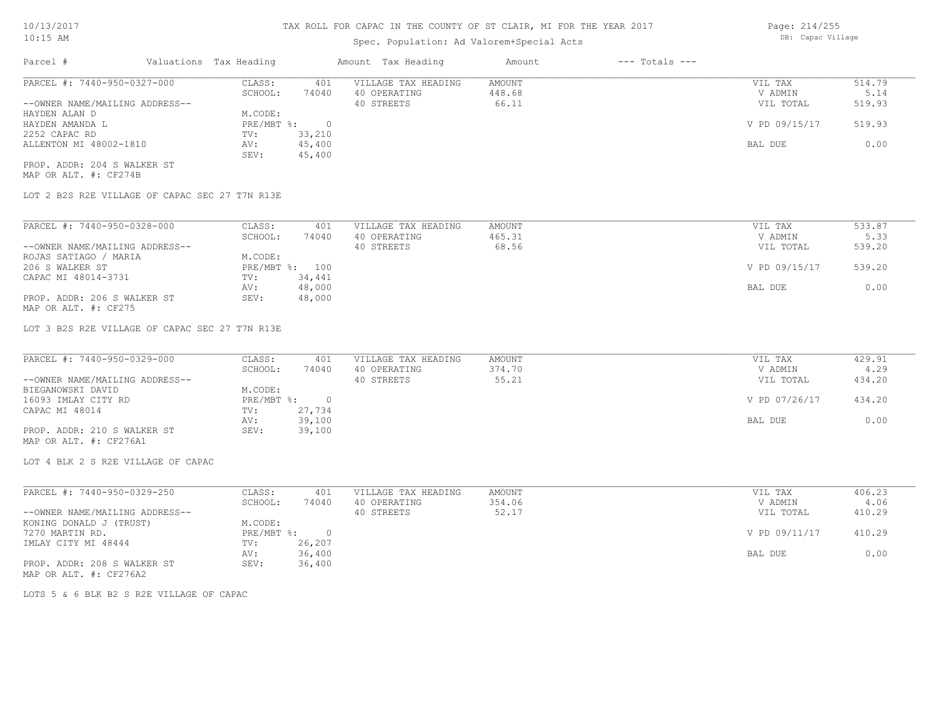# Spec. Population: Ad Valorem+Special Acts

| Parcel #                       | Valuations Tax Heading |        | Amount Tax Heading  | Amount | $---$ Totals $---$ |               |        |
|--------------------------------|------------------------|--------|---------------------|--------|--------------------|---------------|--------|
| PARCEL #: 7440-950-0327-000    | CLASS:                 | 401    | VILLAGE TAX HEADING | AMOUNT |                    | VIL TAX       | 514.79 |
|                                | SCHOOL:                | 74040  | 40 OPERATING        | 448.68 |                    | V ADMIN       | 5.14   |
| --OWNER NAME/MAILING ADDRESS-- |                        |        | 40 STREETS          | 66.11  |                    | VIL TOTAL     | 519.93 |
| HAYDEN ALAN D                  | M.CODE:                |        |                     |        |                    |               |        |
| HAYDEN AMANDA L                | $PRE/MBT$ %:           |        |                     |        |                    | V PD 09/15/17 | 519.93 |
| 2252 CAPAC RD                  | TV:                    | 33,210 |                     |        |                    |               |        |
| ALLENTON MI 48002-1810         | AV:                    | 45,400 |                     |        |                    | BAL DUE       | 0.00   |
|                                | SEV:                   | 45,400 |                     |        |                    |               |        |
| PROP. ADDR: 204 S WALKER ST    |                        |        |                     |        |                    |               |        |

MAP OR ALT. #: CF274B

LOT 2 B2S R2E VILLAGE OF CAPAC SEC 27 T7N R13E

| PARCEL #: 7440-950-0328-000    | CLASS:  | 401            | VILLAGE TAX HEADING | AMOUNT | VIL TAX       | 533.87 |
|--------------------------------|---------|----------------|---------------------|--------|---------------|--------|
|                                | SCHOOL: | 74040          | 40 OPERATING        | 465.31 | V ADMIN       | 5.33   |
| --OWNER NAME/MAILING ADDRESS-- |         |                | 40 STREETS          | 68.56  | VIL TOTAL     | 539.20 |
| ROJAS SATIAGO / MARIA          | M.CODE: |                |                     |        |               |        |
| 206 S WALKER ST                |         | PRE/MBT %: 100 |                     |        | V PD 09/15/17 | 539.20 |
| CAPAC MI 48014-3731            | TV:     | 34,441         |                     |        |               |        |
|                                | AV:     | 48,000         |                     |        | BAL DUE       | 0.00   |
| PROP. ADDR: 206 S WALKER ST    | SEV:    | 48,000         |                     |        |               |        |
| MAP OR ALT. #: CF275           |         |                |                     |        |               |        |

LOT 3 B2S R2E VILLAGE OF CAPAC SEC 27 T7N R13E

| PARCEL #: 7440-950-0329-000    | CLASS:     | 401    | VILLAGE TAX HEADING | AMOUNT | VIL TAX       | 429.91 |
|--------------------------------|------------|--------|---------------------|--------|---------------|--------|
|                                | SCHOOL:    | 74040  | 40 OPERATING        | 374.70 | V ADMIN       | 4.29   |
| --OWNER NAME/MAILING ADDRESS-- |            |        | 40 STREETS          | 55.21  | VIL TOTAL     | 434.20 |
| BIEGANOWSKI DAVID              | M.CODE:    |        |                     |        |               |        |
| 16093 IMLAY CITY RD            | PRE/MBT %: |        |                     |        | V PD 07/26/17 | 434.20 |
| CAPAC MI 48014                 | TV:        | 27,734 |                     |        |               |        |
|                                | AV:        | 39,100 |                     |        | BAL DUE       | 0.00   |
| PROP. ADDR: 210 S WALKER ST    | SEV:       | 39,100 |                     |        |               |        |
| MAP OR ALT. #: CF276A1         |            |        |                     |        |               |        |

LOT 4 BLK 2 S R2E VILLAGE OF CAPAC

| PARCEL #: 7440-950-0329-250    | CLASS:     | 401    | VILLAGE TAX HEADING | AMOUNT | VIL TAX       | 406.23 |
|--------------------------------|------------|--------|---------------------|--------|---------------|--------|
|                                | SCHOOL:    | 74040  | 40 OPERATING        | 354.06 | V ADMIN       | 4.06   |
| --OWNER NAME/MAILING ADDRESS-- |            |        | 40 STREETS          | 52.17  | VIL TOTAL     | 410.29 |
| KONING DONALD J (TRUST)        | M.CODE:    |        |                     |        |               |        |
| 7270 MARTIN RD.                | PRE/MBT %: |        |                     |        | V PD 09/11/17 | 410.29 |
| IMLAY CITY MI 48444            | TV:        | 26,207 |                     |        |               |        |
|                                | AV:        | 36,400 |                     |        | BAL DUE       | 0.00   |
| PROP. ADDR: 208 S WALKER ST    | SEV:       | 36,400 |                     |        |               |        |
| MAP OR ALT. #: CF276A2         |            |        |                     |        |               |        |

LOTS 5 & 6 BLK B2 S R2E VILLAGE OF CAPAC

Page: 214/255 DB: Capac Village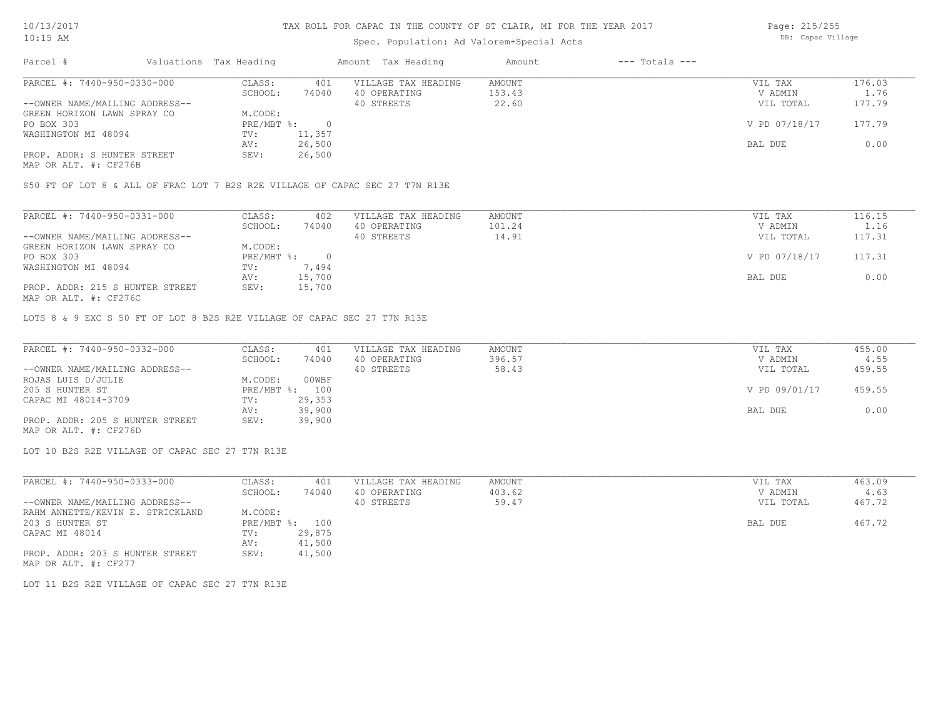# Spec. Population: Ad Valorem+Special Acts

Page: 215/255 DB: Capac Village

| Parcel #                                                       |         | Valuations Tax Heading | Amount Tax Heading |                     | Amount | $---$ Totals $---$ |               |        |  |
|----------------------------------------------------------------|---------|------------------------|--------------------|---------------------|--------|--------------------|---------------|--------|--|
| PARCEL #: 7440-950-0330-000                                    |         | CLASS:                 | 401                | VILLAGE TAX HEADING | AMOUNT |                    | VIL TAX       | 176.03 |  |
|                                                                | SCHOOL: | 74040                  | 40 OPERATING       | 153.43              |        | V ADMIN            | 1.76          |        |  |
| --OWNER NAME/MAILING ADDRESS--                                 |         |                        |                    | 40 STREETS          | 22.60  |                    | VIL TOTAL     | 177.79 |  |
| GREEN HORIZON LAWN SPRAY CO                                    |         | M.CODE:                |                    |                     |        |                    |               |        |  |
| PO BOX 303                                                     |         | $PRE/MBT$ %:           |                    |                     |        |                    | V PD 07/18/17 | 177.79 |  |
| WASHINGTON MI 48094                                            |         | TV:                    | 11,357             |                     |        |                    |               |        |  |
|                                                                |         | AV:                    | 26,500             |                     |        |                    | BAL DUE       | 0.00   |  |
| PROP. ADDR: S HUNTER STREET                                    |         | SEV:                   | 26,500             |                     |        |                    |               |        |  |
| $\cdots$ $\cdots$ $\cdots$ $\cdots$ $\cdots$ $\cdots$ $\cdots$ |         |                        |                    |                     |        |                    |               |        |  |

MAP OR ALT. #: CF276B

S50 FT OF LOT 8 & ALL OF FRAC LOT 7 B2S R2E VILLAGE OF CAPAC SEC 27 T7N R13E

| PARCEL #: 7440-950-0331-000     | CLASS:     | 402    | VILLAGE TAX HEADING | AMOUNT | VIL TAX       | 116.15 |
|---------------------------------|------------|--------|---------------------|--------|---------------|--------|
|                                 | SCHOOL:    | 74040  | 40 OPERATING        | 101.24 | V ADMIN       | 1.16   |
| --OWNER NAME/MAILING ADDRESS--  |            |        | 40 STREETS          | 14.91  | VIL TOTAL     | 117.31 |
| GREEN HORIZON LAWN SPRAY CO     | M.CODE:    |        |                     |        |               |        |
| PO BOX 303                      | PRE/MBT %: |        |                     |        | V PD 07/18/17 | 117.31 |
| WASHINGTON MI 48094             | TV:        | 7,494  |                     |        |               |        |
|                                 | AV:        | 15,700 |                     |        | BAL DUE       | 0.00   |
| PROP. ADDR: 215 S HUNTER STREET | SEV:       | 15,700 |                     |        |               |        |
| MAP OR ALT. #: CF276C           |            |        |                     |        |               |        |

LOTS 8 & 9 EXC S 50 FT OF LOT 8 B2S R2E VILLAGE OF CAPAC SEC 27 T7N R13E

| PARCEL #: 7440-950-0332-000     | CLASS:  | 401            | VILLAGE TAX HEADING | AMOUNT | VIL TAX       | 455.00 |
|---------------------------------|---------|----------------|---------------------|--------|---------------|--------|
|                                 | SCHOOL: | 74040          | 40 OPERATING        | 396.57 | V ADMIN       | 4.55   |
| --OWNER NAME/MAILING ADDRESS--  |         |                | 40 STREETS          | 58.43  | VIL TOTAL     | 459.55 |
| ROJAS LUIS D/JULIE              | M.CODE: | 00WBF          |                     |        |               |        |
| 205 S HUNTER ST                 |         | PRE/MBT %: 100 |                     |        | V PD 09/01/17 | 459.55 |
| CAPAC MI 48014-3709             | TV:     | 29,353         |                     |        |               |        |
|                                 | AV:     | 39,900         |                     |        | BAL DUE       | 0.00   |
| PROP. ADDR: 205 S HUNTER STREET | SEV:    | 39,900         |                     |        |               |        |
| MAP OR ALT. #: CF276D           |         |                |                     |        |               |        |

LOT 10 B2S R2E VILLAGE OF CAPAC SEC 27 T7N R13E

| PARCEL #: 7440-950-0333-000      | CLASS:     | 401    | VILLAGE TAX HEADING | AMOUNT | VIL TAX   | 463.09 |
|----------------------------------|------------|--------|---------------------|--------|-----------|--------|
|                                  | SCHOOL:    | 74040  | 40 OPERATING        | 403.62 | V ADMIN   | 4.63   |
| --OWNER NAME/MAILING ADDRESS--   |            |        | 40 STREETS          | 59.47  | VIL TOTAL | 467.72 |
| RAHM ANNETTE/KEVIN E. STRICKLAND | M.CODE:    |        |                     |        |           |        |
| 203 S HUNTER ST                  | PRE/MBT %: | 100    |                     |        | BAL DUE   | 467.72 |
| CAPAC MI 48014                   | TV:        | 29,875 |                     |        |           |        |
|                                  | AV:        | 41,500 |                     |        |           |        |
| PROP. ADDR: 203 S HUNTER STREET  | SEV:       | 41,500 |                     |        |           |        |
| MAP OR ALT. #: CF277             |            |        |                     |        |           |        |

LOT 11 B2S R2E VILLAGE OF CAPAC SEC 27 T7N R13E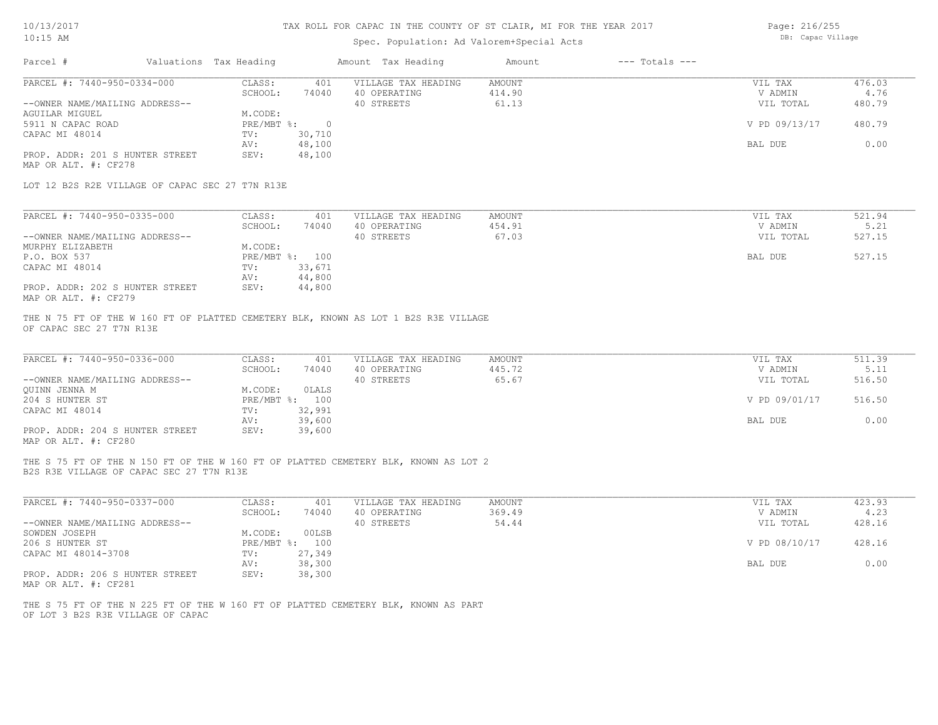# Spec. Population: Ad Valorem+Special Acts

Page: 216/255 DB: Capac Village

| Parcel #                                                      | Valuations Tax Heading |                           |                  | Amount Tax Heading                                                                  | Amount                           | $---$ Totals $---$ |                                 |                          |
|---------------------------------------------------------------|------------------------|---------------------------|------------------|-------------------------------------------------------------------------------------|----------------------------------|--------------------|---------------------------------|--------------------------|
| PARCEL #: 7440-950-0334-000<br>--OWNER NAME/MAILING ADDRESS-- |                        | CLASS:<br>SCHOOL:         | 401<br>74040     | VILLAGE TAX HEADING<br>40 OPERATING<br>40 STREETS                                   | <b>AMOUNT</b><br>414.90<br>61.13 |                    | VIL TAX<br>V ADMIN<br>VIL TOTAL | 476.03<br>4.76<br>480.79 |
| AGUILAR MIGUEL                                                |                        | M.CODE:<br>PRE/MBT %: 0   |                  |                                                                                     |                                  |                    |                                 | 480.79                   |
| 5911 N CAPAC ROAD<br>CAPAC MI 48014                           |                        | TV:                       | 30,710           |                                                                                     |                                  |                    | V PD 09/13/17                   |                          |
| PROP. ADDR: 201 S HUNTER STREET                               |                        | AV:<br>SEV:               | 48,100<br>48,100 |                                                                                     |                                  |                    | BAL DUE                         | 0.00                     |
| MAP OR ALT. #: CF278                                          |                        |                           |                  |                                                                                     |                                  |                    |                                 |                          |
| LOT 12 B2S R2E VILLAGE OF CAPAC SEC 27 T7N R13E               |                        |                           |                  |                                                                                     |                                  |                    |                                 |                          |
| PARCEL #: 7440-950-0335-000                                   |                        | CLASS:                    | 401              | VILLAGE TAX HEADING                                                                 | AMOUNT                           |                    | VIL TAX                         | 521.94                   |
|                                                               |                        | SCHOOL:                   | 74040            | 40 OPERATING                                                                        | 454.91                           |                    | V ADMIN                         | 5.21                     |
| --OWNER NAME/MAILING ADDRESS--                                |                        |                           |                  | 40 STREETS                                                                          | 67.03                            |                    | VIL TOTAL                       | 527.15                   |
| MURPHY ELIZABETH                                              |                        | M.CODE:                   |                  |                                                                                     |                                  |                    |                                 |                          |
| P.O. BOX 537<br>CAPAC MI 48014                                |                        | PRE/MBT %: 100<br>TV:     | 33,671           |                                                                                     |                                  |                    | BAL DUE                         | 527.15                   |
|                                                               |                        | AV:                       | 44,800           |                                                                                     |                                  |                    |                                 |                          |
| PROP. ADDR: 202 S HUNTER STREET                               |                        | SEV:                      | 44,800           |                                                                                     |                                  |                    |                                 |                          |
| MAP OR ALT. #: CF279                                          |                        |                           |                  |                                                                                     |                                  |                    |                                 |                          |
| PARCEL #: 7440-950-0336-000<br>--OWNER NAME/MAILING ADDRESS-- |                        | CLASS:<br>SCHOOL:         | 401<br>74040     | VILLAGE TAX HEADING<br>40 OPERATING<br>40 STREETS                                   | <b>AMOUNT</b><br>445.72<br>65.67 |                    | VIL TAX<br>V ADMIN<br>VIL TOTAL | 511.39<br>5.11<br>516.50 |
| QUINN JENNA M                                                 |                        | M.CODE:                   | OLALS            |                                                                                     |                                  |                    |                                 |                          |
| 204 S HUNTER ST                                               |                        | PRE/MBT %: 100            |                  |                                                                                     |                                  |                    | V PD 09/01/17                   | 516.50                   |
| CAPAC MI 48014                                                |                        | TV:<br>AV:                | 32,991<br>39,600 |                                                                                     |                                  |                    | BAL DUE                         | 0.00                     |
| PROP. ADDR: 204 S HUNTER STREET                               |                        | SEV:                      | 39,600           |                                                                                     |                                  |                    |                                 |                          |
| MAP OR ALT. #: CF280                                          |                        |                           |                  |                                                                                     |                                  |                    |                                 |                          |
| B2S R3E VILLAGE OF CAPAC SEC 27 T7N R13E                      |                        |                           |                  | THE S 75 FT OF THE N 150 FT OF THE W 160 FT OF PLATTED CEMETERY BLK, KNOWN AS LOT 2 |                                  |                    |                                 |                          |
| PARCEL #: 7440-950-0337-000                                   |                        | CLASS:                    | 401              | VILLAGE TAX HEADING                                                                 | <b>AMOUNT</b>                    |                    | VIL TAX                         | 423.93                   |
|                                                               |                        | SCHOOL:                   | 74040            | 40 OPERATING                                                                        | 369.49                           |                    | V ADMIN                         | 4.23                     |
| --OWNER NAME/MAILING ADDRESS--                                |                        |                           |                  | 40 STREETS                                                                          | 54.44                            |                    | VIL TOTAL                       | 428.16                   |
| SOWDEN JOSEPH<br>206 S HUNTER ST                              |                        | M.CODE:<br>PRE/MBT %: 100 | 00LSB            |                                                                                     |                                  |                    | V PD 08/10/17                   | 428.16                   |
| CAPAC MI 48014-3708                                           |                        | TV:                       | 27,349           |                                                                                     |                                  |                    |                                 |                          |
|                                                               |                        | AV:                       | 38,300           |                                                                                     |                                  |                    | BAL DUE                         | 0.00                     |
| PROP. ADDR: 206 S HUNTER STREET<br>MAP OR ALT. #: CF281       |                        | SEV:                      | 38,300           |                                                                                     |                                  |                    |                                 |                          |
| OF LOT 3 B2S R3E VILLAGE OF CAPAC                             |                        |                           |                  | THE S 75 FT OF THE N 225 FT OF THE W 160 FT OF PLATTED CEMETERY BLK, KNOWN AS PART  |                                  |                    |                                 |                          |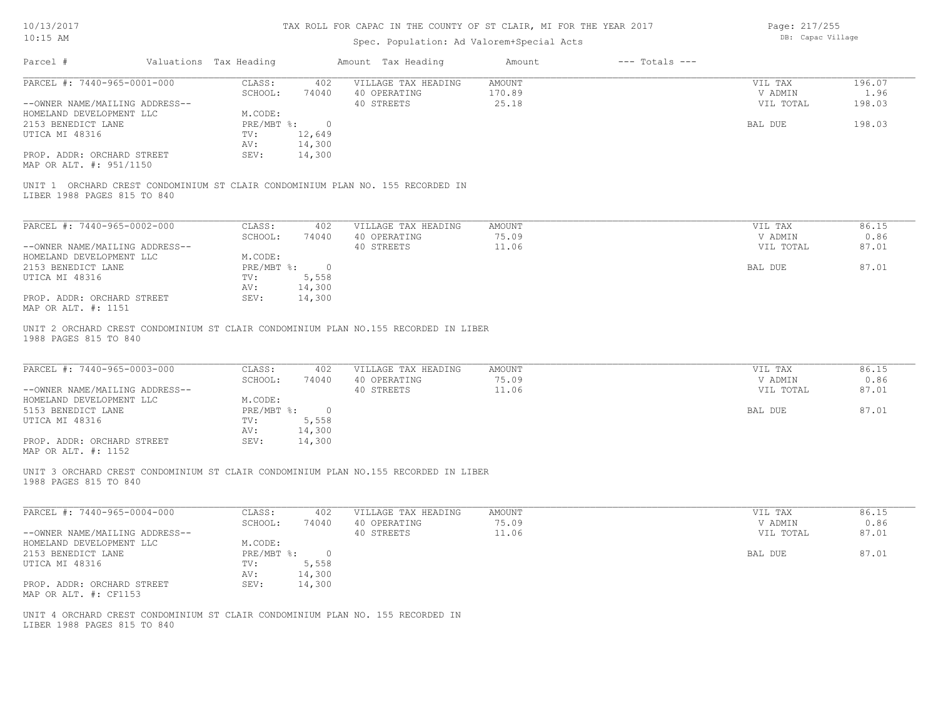# Spec. Population: Ad Valorem+Special Acts

Page: 217/255 DB: Capac Village

| Parcel #                                                      | Valuations Tax Heading |                        | Amount Tax Heading                                                                  | Amount                    | $---$ Totals $---$ |                                 |                          |
|---------------------------------------------------------------|------------------------|------------------------|-------------------------------------------------------------------------------------|---------------------------|--------------------|---------------------------------|--------------------------|
| PARCEL #: 7440-965-0001-000<br>--OWNER NAME/MAILING ADDRESS-- | CLASS:<br>SCHOOL:      | 402<br>74040           | VILLAGE TAX HEADING<br>40 OPERATING<br>40 STREETS                                   | AMOUNT<br>170.89<br>25.18 |                    | VIL TAX<br>V ADMIN<br>VIL TOTAL | 196.07<br>1.96<br>198.03 |
| HOMELAND DEVELOPMENT LLC                                      | M.CODE:                |                        |                                                                                     |                           |                    |                                 |                          |
| 2153 BENEDICT LANE<br>UTICA MI 48316                          |                        | PRE/MBT %: 0<br>12,649 |                                                                                     |                           |                    | BAL DUE                         | 198.03                   |
|                                                               | TV:<br>AV:             | 14,300                 |                                                                                     |                           |                    |                                 |                          |
| PROP. ADDR: ORCHARD STREET<br>MAP OR ALT. #: 951/1150         | SEV:                   | 14,300                 |                                                                                     |                           |                    |                                 |                          |
| LIBER 1988 PAGES 815 TO 840                                   |                        |                        | UNIT 1 ORCHARD CREST CONDOMINIUM ST CLAIR CONDOMINIUM PLAN NO. 155 RECORDED IN      |                           |                    |                                 |                          |
| PARCEL #: 7440-965-0002-000                                   | CLASS:                 | 402                    | VILLAGE TAX HEADING                                                                 | AMOUNT                    |                    | VIL TAX                         | 86.15                    |
|                                                               | SCHOOL:                | 74040                  | 40 OPERATING                                                                        | 75.09                     |                    | V ADMIN                         | 0.86                     |
| --OWNER NAME/MAILING ADDRESS--                                |                        |                        | 40 STREETS                                                                          | 11.06                     |                    | VIL TOTAL                       | 87.01                    |
| HOMELAND DEVELOPMENT LLC                                      | M.CODE:                |                        |                                                                                     |                           |                    |                                 |                          |
| 2153 BENEDICT LANE                                            | $PRE/MBT$ %:           | $\overline{0}$         |                                                                                     |                           |                    | BAL DUE                         | 87.01                    |
| UTICA MI 48316                                                | TV:                    | 5,558                  |                                                                                     |                           |                    |                                 |                          |
|                                                               | AV:                    | 14,300                 |                                                                                     |                           |                    |                                 |                          |
| PROP. ADDR: ORCHARD STREET<br>MAP OR ALT. #: 1151             | SEV:                   | 14,300                 |                                                                                     |                           |                    |                                 |                          |
| 1988 PAGES 815 TO 840<br>PARCEL #: 7440-965-0003-000          | CLASS:                 | 402                    | VILLAGE TAX HEADING                                                                 | AMOUNT                    |                    | VIL TAX                         | 86.15                    |
|                                                               | SCHOOL:                | 74040                  | 40 OPERATING                                                                        | 75.09                     |                    | V ADMIN                         | 0.86                     |
| --OWNER NAME/MAILING ADDRESS--<br>HOMELAND DEVELOPMENT LLC    | M.CODE:                |                        | 40 STREETS                                                                          | 11.06                     |                    | VIL TOTAL                       | 87.01                    |
| 5153 BENEDICT LANE                                            | $PRE/MBT$ %:           | $\overline{0}$         |                                                                                     |                           |                    | BAL DUE                         | 87.01                    |
| UTICA MI 48316                                                | TV:                    | 5,558                  |                                                                                     |                           |                    |                                 |                          |
|                                                               | AV:                    | 14,300                 |                                                                                     |                           |                    |                                 |                          |
| PROP. ADDR: ORCHARD STREET<br>MAP OR ALT. #: 1152             | SEV:                   | 14,300                 |                                                                                     |                           |                    |                                 |                          |
| 1988 PAGES 815 TO 840                                         |                        |                        | UNIT 3 ORCHARD CREST CONDOMINIUM ST CLAIR CONDOMINIUM PLAN NO.155 RECORDED IN LIBER |                           |                    |                                 |                          |
| PARCEL #: 7440-965-0004-000                                   | CLASS:<br>SCHOOL:      | 402<br>74040           | VILLAGE TAX HEADING<br>40 OPERATING                                                 | AMOUNT<br>75.09           |                    | VIL TAX<br>V ADMIN              | 86.15<br>0.86            |
| --OWNER NAME/MAILING ADDRESS--                                |                        |                        | 40 STREETS                                                                          | 11.06                     |                    | VIL TOTAL                       | 87.01                    |
| HOMELAND DEVELOPMENT LLC                                      | M.CODE:                |                        |                                                                                     |                           |                    |                                 |                          |
| 2153 BENEDICT LANE                                            |                        | PRE/MBT %: 0           |                                                                                     |                           |                    | BAL DUE                         | 87.01                    |
| UTICA MI 48316                                                | TV:                    | 5,558                  |                                                                                     |                           |                    |                                 |                          |
|                                                               | AV:                    | 14,300                 |                                                                                     |                           |                    |                                 |                          |
| PROP. ADDR: ORCHARD STREET<br>MAP OR ALT. #: CF1153           | SEV:                   | 14,300                 |                                                                                     |                           |                    |                                 |                          |
| LIBER 1988 PAGES 815 TO 840                                   |                        |                        | UNIT 4 ORCHARD CREST CONDOMINIUM ST CLAIR CONDOMINIUM PLAN NO. 155 RECORDED IN      |                           |                    |                                 |                          |
|                                                               |                        |                        |                                                                                     |                           |                    |                                 |                          |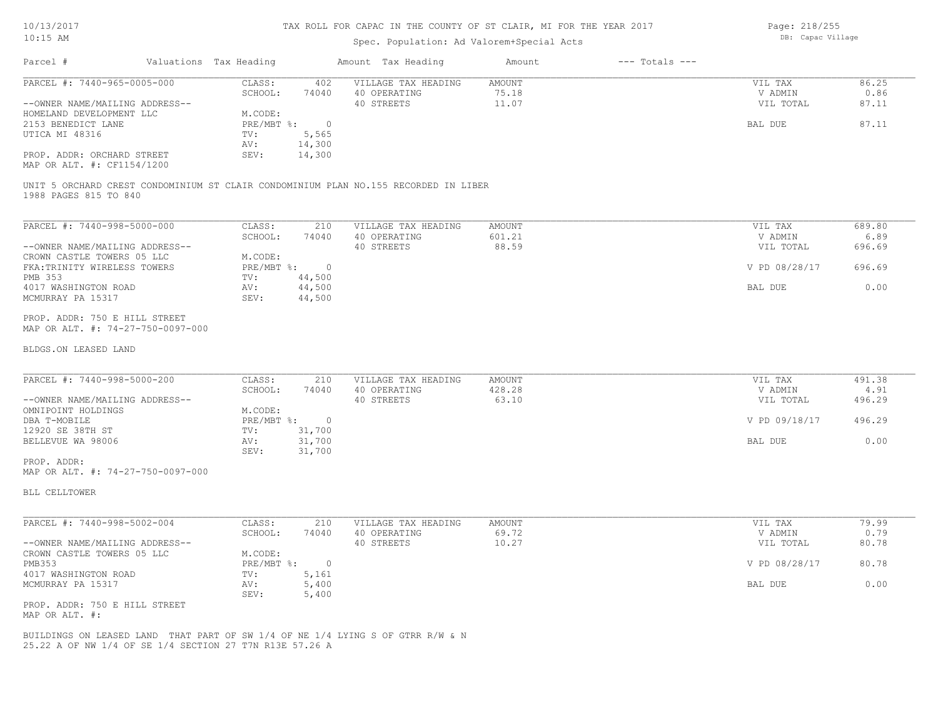### Spec. Population: Ad Valorem+Special Acts

| Page: 218/255     |
|-------------------|
| DB: Capac Village |

| Parcel #                       | Valuations Tax Heading |        | Amount Tax Heading  | Amount | $---$ Totals $---$ |           |       |
|--------------------------------|------------------------|--------|---------------------|--------|--------------------|-----------|-------|
| PARCEL #: 7440-965-0005-000    | CLASS:                 | 402    | VILLAGE TAX HEADING | AMOUNT |                    | VIL TAX   | 86.25 |
|                                | SCHOOL:                | 74040  | 40 OPERATING        | 75.18  |                    | V ADMIN   | 0.86  |
| --OWNER NAME/MAILING ADDRESS-- |                        |        | 40 STREETS          | 11.07  |                    | VIL TOTAL | 87.11 |
| HOMELAND DEVELOPMENT LLC       | M.CODE:                |        |                     |        |                    |           |       |
| 2153 BENEDICT LANE             | PRE/MBT %:             |        |                     |        |                    | BAL DUE   | 87.11 |
| UTICA MI 48316                 | TV:                    | 5,565  |                     |        |                    |           |       |
|                                | AV:                    | 14,300 |                     |        |                    |           |       |
| PROP. ADDR: ORCHARD STREET     | SEV:                   | 14,300 |                     |        |                    |           |       |
| MAP OR ALT. #: CF1154/1200     |                        |        |                     |        |                    |           |       |

1988 PAGES 815 TO 840 UNIT 5 ORCHARD CREST CONDOMINIUM ST CLAIR CONDOMINIUM PLAN NO.155 RECORDED IN LIBER

| PARCEL #: 7440-998-5000-000    | CLASS:     | 210    | VILLAGE TAX HEADING | AMOUNT | VIL TAX       | 689.80 |
|--------------------------------|------------|--------|---------------------|--------|---------------|--------|
|                                | SCHOOL:    | 74040  | 40 OPERATING        | 601.21 | V ADMIN       | 6.89   |
| --OWNER NAME/MAILING ADDRESS-- |            |        | 40 STREETS          | 88.59  | VIL TOTAL     | 696.69 |
| CROWN CASTLE TOWERS 05 LLC     | M.CODE:    |        |                     |        |               |        |
| FKA: TRINITY WIRELESS TOWERS   | PRE/MBT %: |        |                     |        | V PD 08/28/17 | 696.69 |
| PMB 353                        | TV:        | 44,500 |                     |        |               |        |
| 4017 WASHINGTON ROAD           | AV:        | 44,500 |                     |        | BAL DUE       | 0.00   |
| MCMURRAY PA 15317              | SEV:       | 44,500 |                     |        |               |        |
|                                |            |        |                     |        |               |        |

MAP OR ALT. #: 74-27-750-0097-000 PROP. ADDR: 750 E HILL STREET

#### BLDGS.ON LEASED LAND

| PARCEL #: 7440-998-5000-200    | CLASS:     | 210    | VILLAGE TAX HEADING | AMOUNT | VIL TAX       | 491.38 |
|--------------------------------|------------|--------|---------------------|--------|---------------|--------|
|                                | SCHOOL:    | 74040  | 40 OPERATING        | 428.28 | V ADMIN       | 4.91   |
| --OWNER NAME/MAILING ADDRESS-- |            |        | 40 STREETS          | 63.10  | VIL TOTAL     | 496.29 |
| OMNIPOINT HOLDINGS             | M.CODE:    |        |                     |        |               |        |
| DBA T-MOBILE                   | PRE/MBT %: |        |                     |        | V PD 09/18/17 | 496.29 |
| 12920 SE 38TH ST               | TV:        | 31,700 |                     |        |               |        |
| BELLEVUE WA 98006              | AV:        | 31,700 |                     |        | BAL DUE       | 0.00   |
|                                | SEV:       | 31,700 |                     |        |               |        |
| PROP. ADDR:                    |            |        |                     |        |               |        |

 $\mathcal{L}_\mathcal{L} = \mathcal{L}_\mathcal{L} = \mathcal{L}_\mathcal{L} = \mathcal{L}_\mathcal{L} = \mathcal{L}_\mathcal{L} = \mathcal{L}_\mathcal{L} = \mathcal{L}_\mathcal{L} = \mathcal{L}_\mathcal{L} = \mathcal{L}_\mathcal{L} = \mathcal{L}_\mathcal{L} = \mathcal{L}_\mathcal{L} = \mathcal{L}_\mathcal{L} = \mathcal{L}_\mathcal{L} = \mathcal{L}_\mathcal{L} = \mathcal{L}_\mathcal{L} = \mathcal{L}_\mathcal{L} = \mathcal{L}_\mathcal{L}$ 

MAP OR ALT. #: 74-27-750-0097-000

BLL CELLTOWER

| PARCEL #: 7440-998-5002-004    | CLASS:     | 210   | VILLAGE TAX HEADING | AMOUNT | VIL TAX       | 79.99 |
|--------------------------------|------------|-------|---------------------|--------|---------------|-------|
|                                | SCHOOL:    | 74040 | 40 OPERATING        | 69.72  | V ADMIN       | 0.79  |
| --OWNER NAME/MAILING ADDRESS-- |            |       | 40 STREETS          | 10.27  | VIL TOTAL     | 80.78 |
| CROWN CASTLE TOWERS 05 LLC     | M.CODE:    |       |                     |        |               |       |
| PMB353                         | PRE/MBT %: |       |                     |        | V PD 08/28/17 | 80.78 |
| 4017 WASHINGTON ROAD           | TV:        | 5,161 |                     |        |               |       |
| MCMURRAY PA 15317              | AV:        | 5,400 |                     |        | BAL DUE       | 0.00  |
|                                | SEV:       | 5,400 |                     |        |               |       |
| PROP. ADDR: 750 E HILL STREET  |            |       |                     |        |               |       |

MAP OR ALT. #:

25.22 A OF NW 1/4 OF SE 1/4 SECTION 27 T7N R13E 57.26 A BUILDINGS ON LEASED LAND THAT PART OF SW 1/4 OF NE 1/4 LYING S OF GTRR R/W & N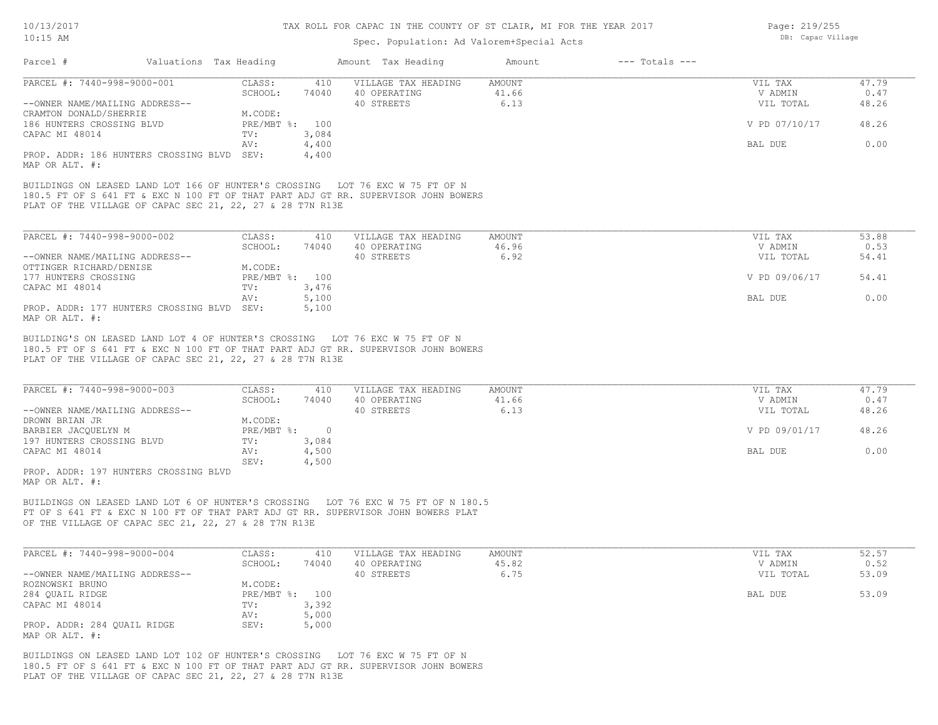### Spec. Population: Ad Valorem+Special Acts

| Parcel #                       | Valuations Tax Heading                                    |                |       | Amount Tax Heading                                                                 | Amount | $---$ Totals $---$ |               |       |
|--------------------------------|-----------------------------------------------------------|----------------|-------|------------------------------------------------------------------------------------|--------|--------------------|---------------|-------|
| PARCEL #: 7440-998-9000-001    |                                                           | CLASS:         | 410   | VILLAGE TAX HEADING                                                                | AMOUNT |                    | VIL TAX       | 47.79 |
|                                |                                                           | SCHOOL:        | 74040 | 40 OPERATING                                                                       | 41.66  |                    | V ADMIN       | 0.47  |
| --OWNER NAME/MAILING ADDRESS-- |                                                           |                |       | 40 STREETS                                                                         | 6.13   |                    | VIL TOTAL     | 48.26 |
| CRAMTON DONALD/SHERRIE         |                                                           | M.CODE:        |       |                                                                                    |        |                    |               |       |
| 186 HUNTERS CROSSING BLVD      |                                                           | PRE/MBT %: 100 |       |                                                                                    |        |                    | V PD 07/10/17 | 48.26 |
| CAPAC MI 48014                 |                                                           | TV:            | 3,084 |                                                                                    |        |                    |               |       |
|                                |                                                           | AV:            | 4,400 |                                                                                    |        |                    | BAL DUE       | 0.00  |
| MAP OR ALT. #:                 | PROP. ADDR: 186 HUNTERS CROSSING BLVD                     | SEV:           | 4,400 |                                                                                    |        |                    |               |       |
|                                | BUILDINGS ON LEASED LAND LOT 166 OF HUNTER'S CROSSING     |                |       | LOT 76 EXC W 75 FT OF N                                                            |        |                    |               |       |
|                                |                                                           |                |       | 180.5 FT OF S 641 FT & EXC N 100 FT OF THAT PART ADJ GT RR. SUPERVISOR JOHN BOWERS |        |                    |               |       |
|                                | PLAT OF THE VILLAGE OF CAPAC SEC 21, 22, 27 & 28 T7N R13E |                |       |                                                                                    |        |                    |               |       |

| PARCEL #: 7440-998-9000-002                | CLASS:       | 410   | VILLAGE TAX HEADING | AMOUNT | VIL TAX       | 53.88 |
|--------------------------------------------|--------------|-------|---------------------|--------|---------------|-------|
|                                            | SCHOOL:      | 74040 | 40 OPERATING        | 46.96  | V ADMIN       | 0.53  |
| --OWNER NAME/MAILING ADDRESS--             |              |       | 40 STREETS          | 6.92   | VIL TOTAL     | 54.41 |
| OTTINGER RICHARD/DENISE                    | M.CODE:      |       |                     |        |               |       |
| 177 HUNTERS CROSSING                       | $PRE/MBT$ %: | 100   |                     |        | V PD 09/06/17 | 54.41 |
| CAPAC MI 48014                             | TV:          | 3,476 |                     |        |               |       |
|                                            | AV:          | 5,100 |                     |        | BAL DUE       | 0.00  |
| PROP. ADDR: 177 HUNTERS CROSSING BLVD SEV: |              | 5,100 |                     |        |               |       |
| MAP OR ALT. #:                             |              |       |                     |        |               |       |

PLAT OF THE VILLAGE OF CAPAC SEC 21, 22, 27 & 28 T7N R13E 180.5 FT OF S 641 FT & EXC N 100 FT OF THAT PART ADJ GT RR. SUPERVISOR JOHN BOWERS BUILDING'S ON LEASED LAND LOT 4 OF HUNTER'S CROSSING LOT 76 EXC W 75 FT OF N

| PARCEL #: 7440-998-9000-003    | CLASS:       | 410   | VILLAGE TAX HEADING | AMOUNT | VIL TAX       | 47.79 |
|--------------------------------|--------------|-------|---------------------|--------|---------------|-------|
|                                | SCHOOL:      | 74040 | 40 OPERATING        | 41.66  | V ADMIN       | 0.47  |
| --OWNER NAME/MAILING ADDRESS-- |              |       | 40 STREETS          | 6.13   | VIL TOTAL     | 48.26 |
| DROWN BRIAN JR                 | M.CODE:      |       |                     |        |               |       |
| BARBIER JACOUELYN M            | $PRE/MBT$ %: |       |                     |        | V PD 09/01/17 | 48.26 |
| 197 HUNTERS CROSSING BLVD      | TV:          | 3,084 |                     |        |               |       |
| CAPAC MI 48014                 | AV:          | 4,500 |                     |        | BAL DUE       | 0.00  |
|                                | SEV:         | 4,500 |                     |        |               |       |
| ODOR 107 UHWTTP COOCCING THIN  |              |       |                     |        |               |       |

MAP OR ALT. #: PROP. ADDR: 197 HUNTERS CROSSING BLVD

OF THE VILLAGE OF CAPAC SEC 21, 22, 27 & 28 T7N R13E FT OF S 641 FT & EXC N 100 FT OF THAT PART ADJ GT RR. SUPERVISOR JOHN BOWERS PLAT BUILDINGS ON LEASED LAND LOT 6 OF HUNTER'S CROSSING LOT 76 EXC W 75 FT OF N 180.5

| PARCEL #: 7440-998-9000-004    | CLASS:         | 410   | VILLAGE TAX HEADING | AMOUNT | VIL TAX   | 52.57 |
|--------------------------------|----------------|-------|---------------------|--------|-----------|-------|
|                                | SCHOOL:        | 74040 | 40 OPERATING        | 45.82  | V ADMIN   | 0.52  |
| --OWNER NAME/MAILING ADDRESS-- |                |       | 40 STREETS          | 6.75   | VIL TOTAL | 53.09 |
| ROZNOWSKI BRUNO                | M.CODE:        |       |                     |        |           |       |
| 284 QUAIL RIDGE                | PRE/MBT %: 100 |       |                     |        | BAL DUE   | 53.09 |
| CAPAC MI 48014                 | TV:            | 3,392 |                     |        |           |       |
|                                | AV:            | 5,000 |                     |        |           |       |
| PROP. ADDR: 284 QUAIL RIDGE    | SEV:           | 5,000 |                     |        |           |       |
| MAP OR ALT. #:                 |                |       |                     |        |           |       |

PLAT OF THE VILLAGE OF CAPAC SEC 21, 22, 27 & 28 T7N R13E 180.5 FT OF S 641 FT & EXC N 100 FT OF THAT PART ADJ GT RR. SUPERVISOR JOHN BOWERS BUILDINGS ON LEASED LAND LOT 102 OF HUNTER'S CROSSING LOT 76 EXC W 75 FT OF N

Page: 219/255 DB: Capac Village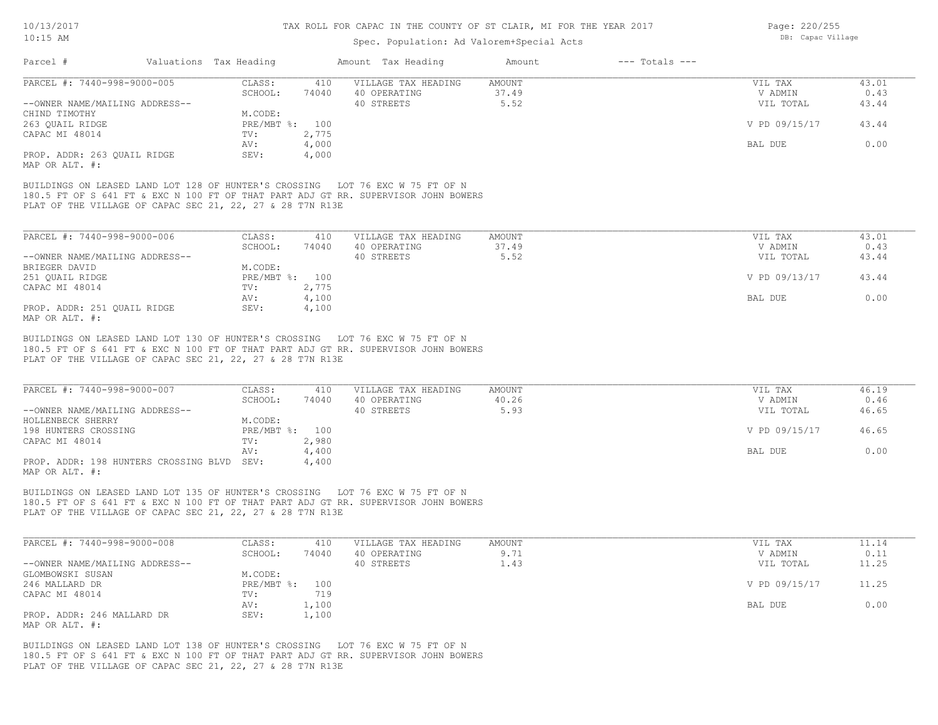### Spec. Population: Ad Valorem+Special Acts

| Parcel #                                                                                                                                                                                                                                                                                                                                                | Valuations Tax Heading | Amount Tax Heading    |                     | Amount        | $---$ Totals $---$ |               |               |
|---------------------------------------------------------------------------------------------------------------------------------------------------------------------------------------------------------------------------------------------------------------------------------------------------------------------------------------------------------|------------------------|-----------------------|---------------------|---------------|--------------------|---------------|---------------|
| PARCEL #: 7440-998-9000-005                                                                                                                                                                                                                                                                                                                             | CLASS:                 | 410                   | VILLAGE TAX HEADING | <b>AMOUNT</b> |                    | VIL TAX       | 43.01         |
|                                                                                                                                                                                                                                                                                                                                                         | SCHOOL:                | 74040<br>40 OPERATING |                     | 37.49         |                    | V ADMIN       | 0.43          |
| --OWNER NAME/MAILING ADDRESS--                                                                                                                                                                                                                                                                                                                          |                        | 40 STREETS            |                     | 5.52          |                    | VIL TOTAL     | 43.44         |
| CHIND TIMOTHY                                                                                                                                                                                                                                                                                                                                           | M.CODE:                |                       |                     |               |                    |               |               |
| 263 QUAIL RIDGE                                                                                                                                                                                                                                                                                                                                         | PRE/MBT %:             | 100                   |                     |               |                    | V PD 09/15/17 | 43.44         |
| CAPAC MI 48014                                                                                                                                                                                                                                                                                                                                          | TV:                    | 2,775                 |                     |               |                    |               |               |
|                                                                                                                                                                                                                                                                                                                                                         | AV:                    | 4,000                 |                     |               |                    | BAL DUE       | 0.00          |
| PROP. ADDR: 263 QUAIL RIDGE                                                                                                                                                                                                                                                                                                                             | SEV:                   | 4,000                 |                     |               |                    |               |               |
|                                                                                                                                                                                                                                                                                                                                                         |                        |                       |                     |               |                    |               |               |
|                                                                                                                                                                                                                                                                                                                                                         |                        |                       |                     |               |                    |               |               |
|                                                                                                                                                                                                                                                                                                                                                         | CLASS:                 | 410                   | VILLAGE TAX HEADING | AMOUNT        |                    | VIL TAX       |               |
|                                                                                                                                                                                                                                                                                                                                                         | SCHOOL:                | 74040<br>40 OPERATING |                     | 37.49         |                    | V ADMIN       | 43.01<br>0.43 |
|                                                                                                                                                                                                                                                                                                                                                         |                        | 40 STREETS            |                     | 5.52          |                    | VIL TOTAL     | 43.44         |
|                                                                                                                                                                                                                                                                                                                                                         | M.CODE:                |                       |                     |               |                    |               |               |
| MAP OR ALT. #:<br>BUILDINGS ON LEASED LAND LOT 128 OF HUNTER'S CROSSING LOT 76 EXC W 75 FT OF N<br>180.5 FT OF S 641 FT & EXC N 100 FT OF THAT PART ADJ GT RR. SUPERVISOR JOHN BOWERS<br>PLAT OF THE VILLAGE OF CAPAC SEC 21, 22, 27 & 28 T7N R13E<br>PARCEL #: 7440-998-9000-006<br>--OWNER NAME/MAILING ADDRESS--<br>BRIEGER DAVID<br>251 OUAIL RIDGE | PRE/MBT %: 100         |                       |                     |               |                    | V PD 09/13/17 | 43.44         |
| CAPAC MI 48014                                                                                                                                                                                                                                                                                                                                          | TV:                    | 2,775                 |                     |               |                    |               |               |
|                                                                                                                                                                                                                                                                                                                                                         | AV:                    | 4,100                 |                     |               |                    | BAL DUE       | 0.00          |

PLAT OF THE VILLAGE OF CAPAC SEC 21, 22, 27 & 28 T7N R13E 180.5 FT OF S 641 FT & EXC N 100 FT OF THAT PART ADJ GT RR. SUPERVISOR JOHN BOWERS

| PARCEL #: 7440-998-9000-007           | CLASS:         | 410   | VILLAGE TAX HEADING | AMOUNT | VIL TAX       | 46.19 |
|---------------------------------------|----------------|-------|---------------------|--------|---------------|-------|
|                                       | SCHOOL:        | 74040 | 40 OPERATING        | 40.26  | V ADMIN       | 0.46  |
| --OWNER NAME/MAILING ADDRESS--        |                |       | 40 STREETS          | 5.93   | VIL TOTAL     | 46.65 |
| HOLLENBECK SHERRY                     | M.CODE:        |       |                     |        |               |       |
| 198 HUNTERS CROSSING                  | PRE/MBT %: 100 |       |                     |        | V PD 09/15/17 | 46.65 |
| CAPAC MI 48014                        | TV:            | 2,980 |                     |        |               |       |
|                                       | AV:            | 4,400 |                     |        | BAL DUE       | 0.00  |
| PROP. ADDR: 198 HUNTERS CROSSING BLVD | SEV:           | 4,400 |                     |        |               |       |
| MAP OR ALT. #:                        |                |       |                     |        |               |       |

PLAT OF THE VILLAGE OF CAPAC SEC 21, 22, 27 & 28 T7N R13E 180.5 FT OF S 641 FT & EXC N 100 FT OF THAT PART ADJ GT RR. SUPERVISOR JOHN BOWERS BUILDINGS ON LEASED LAND LOT 135 OF HUNTER'S CROSSING LOT 76 EXC W 75 FT OF N

| PARCEL #: 7440-998-9000-008    | CLASS:     | 410   | VILLAGE TAX HEADING | AMOUNT | VIL TAX       | 11.14 |
|--------------------------------|------------|-------|---------------------|--------|---------------|-------|
|                                | SCHOOL:    | 74040 | 40 OPERATING        | 9.71   | V ADMIN       | 0.11  |
| --OWNER NAME/MAILING ADDRESS-- |            |       | 40 STREETS          | 1.43   | VIL TOTAL     | 11.25 |
| GLOMBOWSKI SUSAN               | M.CODE:    |       |                     |        |               |       |
| 246 MALLARD DR                 | PRE/MBT %: | 100   |                     |        | V PD 09/15/17 | 11.25 |
| CAPAC MI 48014                 | TV:        | 719   |                     |        |               |       |
|                                | AV:        | 1,100 |                     |        | BAL DUE       | 0.00  |
| PROP. ADDR: 246 MALLARD DR     | SEV:       | 1,100 |                     |        |               |       |
| MAP OR ALT. #:                 |            |       |                     |        |               |       |

PLAT OF THE VILLAGE OF CAPAC SEC 21, 22, 27 & 28 T7N R13E 180.5 FT OF S 641 FT & EXC N 100 FT OF THAT PART ADJ GT RR. SUPERVISOR JOHN BOWERS BUILDINGS ON LEASED LAND LOT 138 OF HUNTER'S CROSSING LOT 76 EXC W 75 FT OF N

Page: 220/255 DB: Capac Village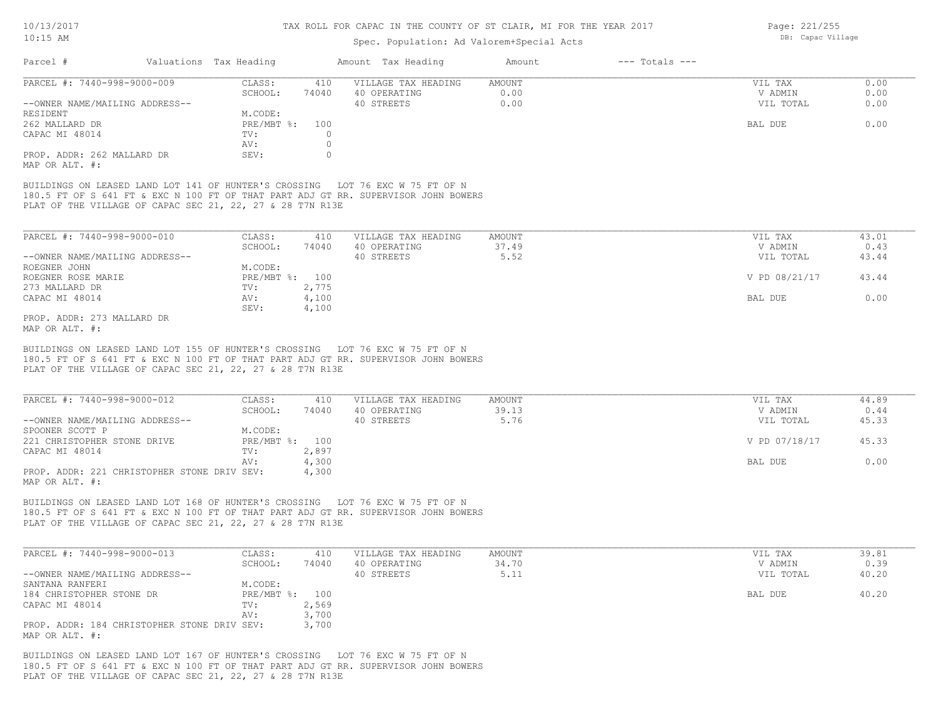### Spec. Population: Ad Valorem+Special Acts

| Page: 221/255     |
|-------------------|
| DB: Capac Village |

| Parcel #                       | Valuations Tax Heading |       | Amount Tax Heading  | Amount | $---$ Totals $---$ |           |      |
|--------------------------------|------------------------|-------|---------------------|--------|--------------------|-----------|------|
| PARCEL #: 7440-998-9000-009    | CLASS:                 | 410   | VILLAGE TAX HEADING | AMOUNT |                    | VIL TAX   | 0.00 |
|                                | SCHOOL:                | 74040 | 40 OPERATING        | 0.00   |                    | V ADMIN   | 0.00 |
| --OWNER NAME/MAILING ADDRESS-- |                        |       | 40 STREETS          | 0.00   |                    | VIL TOTAL | 0.00 |
| RESIDENT                       | M.CODE:                |       |                     |        |                    |           |      |
| 262 MALLARD DR                 | $PRE/MBT$ %:           | 100   |                     |        |                    | BAL DUE   | 0.00 |
| CAPAC MI 48014                 | TV:                    |       |                     |        |                    |           |      |
|                                | AV:                    |       |                     |        |                    |           |      |
| PROP. ADDR: 262 MALLARD DR     | SEV:                   |       |                     |        |                    |           |      |
| MAP OR ALT. #:                 |                        |       |                     |        |                    |           |      |

PLAT OF THE VILLAGE OF CAPAC SEC 21, 22, 27 & 28 T7N R13E 180.5 FT OF S 641 FT & EXC N 100 FT OF THAT PART ADJ GT RR. SUPERVISOR JOHN BOWERS BUILDINGS ON LEASED LAND LOT 141 OF HUNTER'S CROSSING LOT 76 EXC W 75 FT OF N

| PARCEL #: 7440-998-9000-010    | CLASS:         | 410   | VILLAGE TAX HEADING | AMOUNT | VIL TAX       | 43.01 |
|--------------------------------|----------------|-------|---------------------|--------|---------------|-------|
|                                | SCHOOL:        | 74040 | 40 OPERATING        | 37.49  | V ADMIN       | 0.43  |
| --OWNER NAME/MAILING ADDRESS-- |                |       | 40 STREETS          | 5.52   | VIL TOTAL     | 43.44 |
| ROEGNER JOHN                   | M.CODE:        |       |                     |        |               |       |
| ROEGNER ROSE MARIE             | PRE/MBT %: 100 |       |                     |        | V PD 08/21/17 | 43.44 |
| 273 MALLARD DR                 | TV:            | 2,775 |                     |        |               |       |
| CAPAC MI 48014                 | AV:            | 4,100 |                     |        | BAL DUE       | 0.00  |
|                                | SEV:           | 4,100 |                     |        |               |       |
| PROP. ADDR: 273 MALLARD DR     |                |       |                     |        |               |       |

MAP OR ALT. #:

PLAT OF THE VILLAGE OF CAPAC SEC 21, 22, 27 & 28 T7N R13E 180.5 FT OF S 641 FT & EXC N 100 FT OF THAT PART ADJ GT RR. SUPERVISOR JOHN BOWERS BUILDINGS ON LEASED LAND LOT 155 OF HUNTER'S CROSSING LOT 76 EXC W 75 FT OF N

| PARCEL #: 7440-998-9000-012                 | CLASS:         | 410   | VILLAGE TAX HEADING | AMOUNT | VIL TAX |               | 44.89 |
|---------------------------------------------|----------------|-------|---------------------|--------|---------|---------------|-------|
|                                             | SCHOOL:        | 74040 | 40 OPERATING        | 39.13  | V ADMIN |               | 0.44  |
| --OWNER NAME/MAILING ADDRESS--              |                |       | 40 STREETS          | 5.76   |         | VIL TOTAL     | 45.33 |
| SPOONER SCOTT P                             | M.CODE:        |       |                     |        |         |               |       |
| 221 CHRISTOPHER STONE DRIVE                 | PRE/MBT %: 100 |       |                     |        |         | V PD 07/18/17 | 45.33 |
| CAPAC MI 48014                              | TV:            | 2,897 |                     |        |         |               |       |
|                                             | AV:            | 4,300 |                     |        | BAL DUE |               | 0.00  |
| PROP. ADDR: 221 CHRISTOPHER STONE DRIV SEV: |                | 4,300 |                     |        |         |               |       |
| MAP OR ALT. #:                              |                |       |                     |        |         |               |       |

PLAT OF THE VILLAGE OF CAPAC SEC 21, 22, 27 & 28 T7N R13E 180.5 FT OF S 641 FT & EXC N 100 FT OF THAT PART ADJ GT RR. SUPERVISOR JOHN BOWERS BUILDINGS ON LEASED LAND LOT 168 OF HUNTER'S CROSSING LOT 76 EXC W 75 FT OF N

| PARCEL #: 7440-998-9000-013                 | CLASS:         | 410   | VILLAGE TAX HEADING | AMOUNT | VIL TAX   | 39.81 |
|---------------------------------------------|----------------|-------|---------------------|--------|-----------|-------|
|                                             | SCHOOL:        | 74040 | 40 OPERATING        | 34.70  | V ADMIN   | 0.39  |
| --OWNER NAME/MAILING ADDRESS--              |                |       | 40 STREETS          | 5.11   | VIL TOTAL | 40.20 |
| SANTANA RANFERI                             | M.CODE:        |       |                     |        |           |       |
| 184 CHRISTOPHER STONE DR                    | PRE/MBT %: 100 |       |                     |        | BAL DUE   | 40.20 |
| CAPAC MI 48014                              | TV:            | 2,569 |                     |        |           |       |
|                                             | AV:            | 3,700 |                     |        |           |       |
| PROP. ADDR: 184 CHRISTOPHER STONE DRIV SEV: |                | 3,700 |                     |        |           |       |
| MAP OR ALT. #:                              |                |       |                     |        |           |       |

PLAT OF THE VILLAGE OF CAPAC SEC 21, 22, 27 & 28 T7N R13E 180.5 FT OF S 641 FT & EXC N 100 FT OF THAT PART ADJ GT RR. SUPERVISOR JOHN BOWERS BUILDINGS ON LEASED LAND LOT 167 OF HUNTER'S CROSSING LOT 76 EXC W 75 FT OF N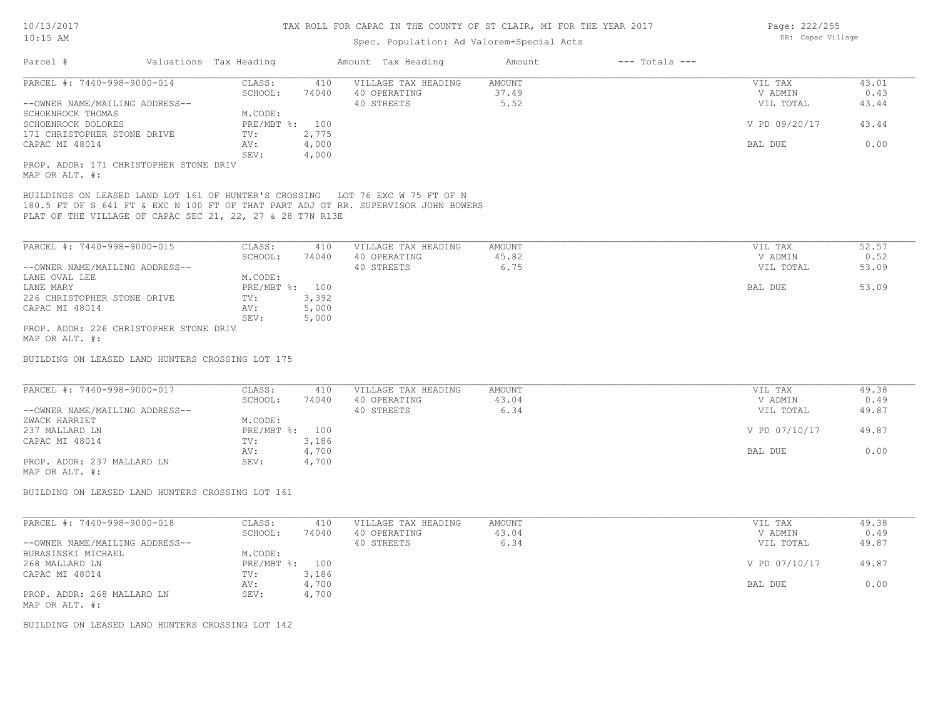# Spec. Population: Ad Valorem+Special Acts

| Valuations Tax Heading<br>Amount Tax Heading<br>Amount<br>$---$ Totals $---$<br>CLASS:<br>410<br>VILLAGE TAX HEADING<br>AMOUNT<br>VIL TAX<br>74040<br>37.49<br>SCHOOL:<br>40 OPERATING<br>V ADMIN<br>5.52<br>40 STREETS<br>VIL TOTAL<br>43.44<br>M.CODE:<br>PRE/MBT %: 100<br>V PD 09/20/17<br>43.44<br>171 CHRISTOPHER STONE DRIVE<br>2,775<br>TV:<br>4,000<br>0.00<br>AV:<br>BAL DUE<br>SEV:<br>4,000<br>PROP. ADDR: 171 CHRISTOPHER STONE DRIV<br>BUILDINGS ON LEASED LAND LOT 161 OF HUNTER'S CROSSING LOT 76 EXC W 75 FT OF N<br>180.5 FT OF S 641 FT & EXC N 100 FT OF THAT PART ADJ GT RR. SUPERVISOR JOHN BOWERS<br>PLAT OF THE VILLAGE OF CAPAC SEC 21, 22, 27 & 28 T7N R13E<br>PARCEL #: 7440-998-9000-015<br>52.57<br>CLASS:<br>410<br>VILLAGE TAX HEADING<br>AMOUNT<br>VIL TAX<br>SCHOOL:<br>45.82<br>74040<br>40 OPERATING<br>V ADMIN<br>0.52<br>40 STREETS<br>6.75<br>--OWNER NAME/MAILING ADDRESS--<br>VIL TOTAL<br>53.09<br>M.CODE:<br>LANE OVAL LEE<br>53.09<br>PRE/MBT %: 100<br>BAL DUE<br>3,392<br>226 CHRISTOPHER STONE DRIVE<br>TV:<br>5,000<br>CAPAC MI 48014<br>AV:<br>5,000<br>SEV:<br>PROP. ADDR: 226 CHRISTOPHER STONE DRIV<br>MAP OR ALT. #:<br>BUILDING ON LEASED LAND HUNTERS CROSSING LOT 175<br>CLASS:<br><b>AMOUNT</b><br>410<br>VILLAGE TAX HEADING<br>VIL TAX<br>43.04<br>SCHOOL:<br>74040<br>40 OPERATING<br>V ADMIN<br>6.34<br>40 STREETS<br>VIL TOTAL<br>M.CODE:<br>PRE/MBT %: 100<br>V PD 07/10/17<br>3,186<br>TV:<br>4,700<br>BAL DUE<br>AV:<br>SEV:<br>4,700<br>BUILDING ON LEASED LAND HUNTERS CROSSING LOT 161<br>CLASS:<br>410<br>VILLAGE TAX HEADING<br><b>AMOUNT</b><br>VIL TAX<br>74040<br>43.04<br>SCHOOL:<br>40 OPERATING<br>V ADMIN<br>40 STREETS<br>6.34<br>VIL TOTAL<br>M.CODE:<br>PRE/MBT %: 100<br>V PD 07/10/17<br>TV:<br>3,186<br>4,700<br>0.00<br>AV:<br>BAL DUE<br>SEV:<br>PROP. ADDR: 268 MALLARD LN<br>4,700<br>BUILDING ON LEASED LAND HUNTERS CROSSING LOT 142 |                                              | spec. Population: Ad valorem+special Acts |  |       |
|------------------------------------------------------------------------------------------------------------------------------------------------------------------------------------------------------------------------------------------------------------------------------------------------------------------------------------------------------------------------------------------------------------------------------------------------------------------------------------------------------------------------------------------------------------------------------------------------------------------------------------------------------------------------------------------------------------------------------------------------------------------------------------------------------------------------------------------------------------------------------------------------------------------------------------------------------------------------------------------------------------------------------------------------------------------------------------------------------------------------------------------------------------------------------------------------------------------------------------------------------------------------------------------------------------------------------------------------------------------------------------------------------------------------------------------------------------------------------------------------------------------------------------------------------------------------------------------------------------------------------------------------------------------------------------------------------------------------------------------------------------------------------------------------------------------------------------------------------------------------------------------------------------------------------|----------------------------------------------|-------------------------------------------|--|-------|
|                                                                                                                                                                                                                                                                                                                                                                                                                                                                                                                                                                                                                                                                                                                                                                                                                                                                                                                                                                                                                                                                                                                                                                                                                                                                                                                                                                                                                                                                                                                                                                                                                                                                                                                                                                                                                                                                                                                              | Parcel #                                     |                                           |  |       |
|                                                                                                                                                                                                                                                                                                                                                                                                                                                                                                                                                                                                                                                                                                                                                                                                                                                                                                                                                                                                                                                                                                                                                                                                                                                                                                                                                                                                                                                                                                                                                                                                                                                                                                                                                                                                                                                                                                                              | PARCEL #: 7440-998-9000-014                  |                                           |  | 43.01 |
|                                                                                                                                                                                                                                                                                                                                                                                                                                                                                                                                                                                                                                                                                                                                                                                                                                                                                                                                                                                                                                                                                                                                                                                                                                                                                                                                                                                                                                                                                                                                                                                                                                                                                                                                                                                                                                                                                                                              |                                              |                                           |  | 0.43  |
|                                                                                                                                                                                                                                                                                                                                                                                                                                                                                                                                                                                                                                                                                                                                                                                                                                                                                                                                                                                                                                                                                                                                                                                                                                                                                                                                                                                                                                                                                                                                                                                                                                                                                                                                                                                                                                                                                                                              | --OWNER NAME/MAILING ADDRESS--               |                                           |  |       |
|                                                                                                                                                                                                                                                                                                                                                                                                                                                                                                                                                                                                                                                                                                                                                                                                                                                                                                                                                                                                                                                                                                                                                                                                                                                                                                                                                                                                                                                                                                                                                                                                                                                                                                                                                                                                                                                                                                                              | SCHOENROCK THOMAS                            |                                           |  |       |
|                                                                                                                                                                                                                                                                                                                                                                                                                                                                                                                                                                                                                                                                                                                                                                                                                                                                                                                                                                                                                                                                                                                                                                                                                                                                                                                                                                                                                                                                                                                                                                                                                                                                                                                                                                                                                                                                                                                              | SCHOENROCK DOLORES                           |                                           |  |       |
|                                                                                                                                                                                                                                                                                                                                                                                                                                                                                                                                                                                                                                                                                                                                                                                                                                                                                                                                                                                                                                                                                                                                                                                                                                                                                                                                                                                                                                                                                                                                                                                                                                                                                                                                                                                                                                                                                                                              |                                              |                                           |  |       |
|                                                                                                                                                                                                                                                                                                                                                                                                                                                                                                                                                                                                                                                                                                                                                                                                                                                                                                                                                                                                                                                                                                                                                                                                                                                                                                                                                                                                                                                                                                                                                                                                                                                                                                                                                                                                                                                                                                                              | CAPAC MI 48014                               |                                           |  |       |
|                                                                                                                                                                                                                                                                                                                                                                                                                                                                                                                                                                                                                                                                                                                                                                                                                                                                                                                                                                                                                                                                                                                                                                                                                                                                                                                                                                                                                                                                                                                                                                                                                                                                                                                                                                                                                                                                                                                              |                                              |                                           |  |       |
|                                                                                                                                                                                                                                                                                                                                                                                                                                                                                                                                                                                                                                                                                                                                                                                                                                                                                                                                                                                                                                                                                                                                                                                                                                                                                                                                                                                                                                                                                                                                                                                                                                                                                                                                                                                                                                                                                                                              | MAP OR ALT. #:                               |                                           |  |       |
|                                                                                                                                                                                                                                                                                                                                                                                                                                                                                                                                                                                                                                                                                                                                                                                                                                                                                                                                                                                                                                                                                                                                                                                                                                                                                                                                                                                                                                                                                                                                                                                                                                                                                                                                                                                                                                                                                                                              |                                              |                                           |  |       |
|                                                                                                                                                                                                                                                                                                                                                                                                                                                                                                                                                                                                                                                                                                                                                                                                                                                                                                                                                                                                                                                                                                                                                                                                                                                                                                                                                                                                                                                                                                                                                                                                                                                                                                                                                                                                                                                                                                                              |                                              |                                           |  |       |
|                                                                                                                                                                                                                                                                                                                                                                                                                                                                                                                                                                                                                                                                                                                                                                                                                                                                                                                                                                                                                                                                                                                                                                                                                                                                                                                                                                                                                                                                                                                                                                                                                                                                                                                                                                                                                                                                                                                              |                                              |                                           |  |       |
|                                                                                                                                                                                                                                                                                                                                                                                                                                                                                                                                                                                                                                                                                                                                                                                                                                                                                                                                                                                                                                                                                                                                                                                                                                                                                                                                                                                                                                                                                                                                                                                                                                                                                                                                                                                                                                                                                                                              |                                              |                                           |  |       |
|                                                                                                                                                                                                                                                                                                                                                                                                                                                                                                                                                                                                                                                                                                                                                                                                                                                                                                                                                                                                                                                                                                                                                                                                                                                                                                                                                                                                                                                                                                                                                                                                                                                                                                                                                                                                                                                                                                                              |                                              |                                           |  |       |
|                                                                                                                                                                                                                                                                                                                                                                                                                                                                                                                                                                                                                                                                                                                                                                                                                                                                                                                                                                                                                                                                                                                                                                                                                                                                                                                                                                                                                                                                                                                                                                                                                                                                                                                                                                                                                                                                                                                              | LANE MARY                                    |                                           |  |       |
|                                                                                                                                                                                                                                                                                                                                                                                                                                                                                                                                                                                                                                                                                                                                                                                                                                                                                                                                                                                                                                                                                                                                                                                                                                                                                                                                                                                                                                                                                                                                                                                                                                                                                                                                                                                                                                                                                                                              |                                              |                                           |  |       |
|                                                                                                                                                                                                                                                                                                                                                                                                                                                                                                                                                                                                                                                                                                                                                                                                                                                                                                                                                                                                                                                                                                                                                                                                                                                                                                                                                                                                                                                                                                                                                                                                                                                                                                                                                                                                                                                                                                                              |                                              |                                           |  |       |
|                                                                                                                                                                                                                                                                                                                                                                                                                                                                                                                                                                                                                                                                                                                                                                                                                                                                                                                                                                                                                                                                                                                                                                                                                                                                                                                                                                                                                                                                                                                                                                                                                                                                                                                                                                                                                                                                                                                              |                                              |                                           |  |       |
|                                                                                                                                                                                                                                                                                                                                                                                                                                                                                                                                                                                                                                                                                                                                                                                                                                                                                                                                                                                                                                                                                                                                                                                                                                                                                                                                                                                                                                                                                                                                                                                                                                                                                                                                                                                                                                                                                                                              |                                              |                                           |  |       |
|                                                                                                                                                                                                                                                                                                                                                                                                                                                                                                                                                                                                                                                                                                                                                                                                                                                                                                                                                                                                                                                                                                                                                                                                                                                                                                                                                                                                                                                                                                                                                                                                                                                                                                                                                                                                                                                                                                                              |                                              |                                           |  |       |
|                                                                                                                                                                                                                                                                                                                                                                                                                                                                                                                                                                                                                                                                                                                                                                                                                                                                                                                                                                                                                                                                                                                                                                                                                                                                                                                                                                                                                                                                                                                                                                                                                                                                                                                                                                                                                                                                                                                              | PARCEL #: 7440-998-9000-017                  |                                           |  | 49.38 |
|                                                                                                                                                                                                                                                                                                                                                                                                                                                                                                                                                                                                                                                                                                                                                                                                                                                                                                                                                                                                                                                                                                                                                                                                                                                                                                                                                                                                                                                                                                                                                                                                                                                                                                                                                                                                                                                                                                                              |                                              |                                           |  | 0.49  |
|                                                                                                                                                                                                                                                                                                                                                                                                                                                                                                                                                                                                                                                                                                                                                                                                                                                                                                                                                                                                                                                                                                                                                                                                                                                                                                                                                                                                                                                                                                                                                                                                                                                                                                                                                                                                                                                                                                                              | --OWNER NAME/MAILING ADDRESS--               |                                           |  | 49.87 |
|                                                                                                                                                                                                                                                                                                                                                                                                                                                                                                                                                                                                                                                                                                                                                                                                                                                                                                                                                                                                                                                                                                                                                                                                                                                                                                                                                                                                                                                                                                                                                                                                                                                                                                                                                                                                                                                                                                                              | ZWACK HARRIET                                |                                           |  |       |
|                                                                                                                                                                                                                                                                                                                                                                                                                                                                                                                                                                                                                                                                                                                                                                                                                                                                                                                                                                                                                                                                                                                                                                                                                                                                                                                                                                                                                                                                                                                                                                                                                                                                                                                                                                                                                                                                                                                              | 237 MALLARD LN                               |                                           |  | 49.87 |
|                                                                                                                                                                                                                                                                                                                                                                                                                                                                                                                                                                                                                                                                                                                                                                                                                                                                                                                                                                                                                                                                                                                                                                                                                                                                                                                                                                                                                                                                                                                                                                                                                                                                                                                                                                                                                                                                                                                              | CAPAC MI 48014                               |                                           |  |       |
|                                                                                                                                                                                                                                                                                                                                                                                                                                                                                                                                                                                                                                                                                                                                                                                                                                                                                                                                                                                                                                                                                                                                                                                                                                                                                                                                                                                                                                                                                                                                                                                                                                                                                                                                                                                                                                                                                                                              |                                              |                                           |  | 0.00  |
|                                                                                                                                                                                                                                                                                                                                                                                                                                                                                                                                                                                                                                                                                                                                                                                                                                                                                                                                                                                                                                                                                                                                                                                                                                                                                                                                                                                                                                                                                                                                                                                                                                                                                                                                                                                                                                                                                                                              | PROP. ADDR: 237 MALLARD LN<br>MAP OR ALT. #: |                                           |  |       |
|                                                                                                                                                                                                                                                                                                                                                                                                                                                                                                                                                                                                                                                                                                                                                                                                                                                                                                                                                                                                                                                                                                                                                                                                                                                                                                                                                                                                                                                                                                                                                                                                                                                                                                                                                                                                                                                                                                                              |                                              |                                           |  |       |
|                                                                                                                                                                                                                                                                                                                                                                                                                                                                                                                                                                                                                                                                                                                                                                                                                                                                                                                                                                                                                                                                                                                                                                                                                                                                                                                                                                                                                                                                                                                                                                                                                                                                                                                                                                                                                                                                                                                              | PARCEL #: 7440-998-9000-018                  |                                           |  | 49.38 |
|                                                                                                                                                                                                                                                                                                                                                                                                                                                                                                                                                                                                                                                                                                                                                                                                                                                                                                                                                                                                                                                                                                                                                                                                                                                                                                                                                                                                                                                                                                                                                                                                                                                                                                                                                                                                                                                                                                                              |                                              |                                           |  | 0.49  |
|                                                                                                                                                                                                                                                                                                                                                                                                                                                                                                                                                                                                                                                                                                                                                                                                                                                                                                                                                                                                                                                                                                                                                                                                                                                                                                                                                                                                                                                                                                                                                                                                                                                                                                                                                                                                                                                                                                                              | --OWNER NAME/MAILING ADDRESS--               |                                           |  | 49.87 |
|                                                                                                                                                                                                                                                                                                                                                                                                                                                                                                                                                                                                                                                                                                                                                                                                                                                                                                                                                                                                                                                                                                                                                                                                                                                                                                                                                                                                                                                                                                                                                                                                                                                                                                                                                                                                                                                                                                                              | BURASINSKI MICHAEL                           |                                           |  |       |
|                                                                                                                                                                                                                                                                                                                                                                                                                                                                                                                                                                                                                                                                                                                                                                                                                                                                                                                                                                                                                                                                                                                                                                                                                                                                                                                                                                                                                                                                                                                                                                                                                                                                                                                                                                                                                                                                                                                              | 268 MALLARD LN                               |                                           |  | 49.87 |
|                                                                                                                                                                                                                                                                                                                                                                                                                                                                                                                                                                                                                                                                                                                                                                                                                                                                                                                                                                                                                                                                                                                                                                                                                                                                                                                                                                                                                                                                                                                                                                                                                                                                                                                                                                                                                                                                                                                              | CAPAC MI 48014                               |                                           |  |       |
|                                                                                                                                                                                                                                                                                                                                                                                                                                                                                                                                                                                                                                                                                                                                                                                                                                                                                                                                                                                                                                                                                                                                                                                                                                                                                                                                                                                                                                                                                                                                                                                                                                                                                                                                                                                                                                                                                                                              |                                              |                                           |  |       |
|                                                                                                                                                                                                                                                                                                                                                                                                                                                                                                                                                                                                                                                                                                                                                                                                                                                                                                                                                                                                                                                                                                                                                                                                                                                                                                                                                                                                                                                                                                                                                                                                                                                                                                                                                                                                                                                                                                                              |                                              |                                           |  |       |
|                                                                                                                                                                                                                                                                                                                                                                                                                                                                                                                                                                                                                                                                                                                                                                                                                                                                                                                                                                                                                                                                                                                                                                                                                                                                                                                                                                                                                                                                                                                                                                                                                                                                                                                                                                                                                                                                                                                              | MAP OR ALT. #:                               |                                           |  |       |
|                                                                                                                                                                                                                                                                                                                                                                                                                                                                                                                                                                                                                                                                                                                                                                                                                                                                                                                                                                                                                                                                                                                                                                                                                                                                                                                                                                                                                                                                                                                                                                                                                                                                                                                                                                                                                                                                                                                              |                                              |                                           |  |       |

Page: 222/255 DB: Capac Village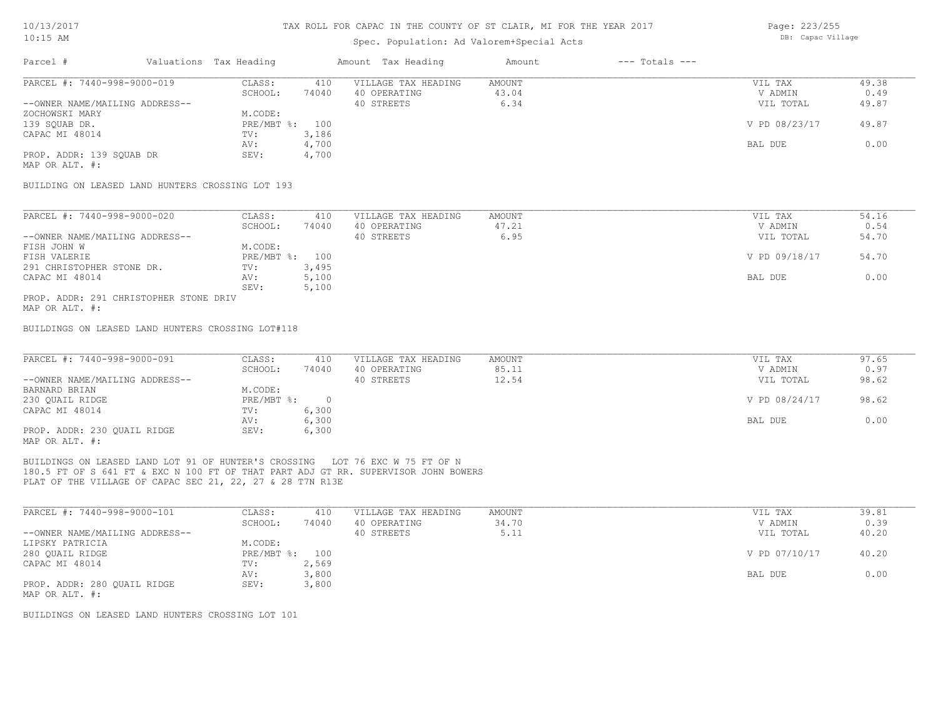### Spec. Population: Ad Valorem+Special Acts

| Page: 223/255     |
|-------------------|
| DB: Capac Village |

| Parcel #                       | Valuations Tax Heading |       | Amount Tax Heading  | Amount | $---$ Totals $---$ |               |       |
|--------------------------------|------------------------|-------|---------------------|--------|--------------------|---------------|-------|
| PARCEL #: 7440-998-9000-019    | CLASS:                 | 410   | VILLAGE TAX HEADING | AMOUNT |                    | VIL TAX       | 49.38 |
|                                | SCHOOL:                | 74040 | 40 OPERATING        | 43.04  |                    | V ADMIN       | 0.49  |
| --OWNER NAME/MAILING ADDRESS-- |                        |       | 40 STREETS          | 6.34   |                    | VIL TOTAL     | 49.87 |
| ZOCHOWSKI MARY                 | M.CODE:                |       |                     |        |                    |               |       |
| 139 SQUAB DR.                  | PRE/MBT %: 100         |       |                     |        |                    | V PD 08/23/17 | 49.87 |
| CAPAC MI 48014                 | TV:                    | 3,186 |                     |        |                    |               |       |
|                                | AV:                    | 4,700 |                     |        |                    | BAL DUE       | 0.00  |
| PROP. ADDR: 139 SQUAB DR       | SEV:                   | 4,700 |                     |        |                    |               |       |
|                                |                        |       |                     |        |                    |               |       |

MAP OR ALT. #:

BUILDING ON LEASED LAND HUNTERS CROSSING LOT 193

| PARCEL #: 7440-998-9000-020            | CLASS:         | 410   | VILLAGE TAX HEADING | AMOUNT | VIL TAX       | 54.16 |
|----------------------------------------|----------------|-------|---------------------|--------|---------------|-------|
|                                        | SCHOOL:        | 74040 | 40 OPERATING        | 47.21  | V ADMIN       | 0.54  |
| --OWNER NAME/MAILING ADDRESS--         |                |       | 40 STREETS          | 6.95   | VIL TOTAL     | 54.70 |
| FISH JOHN W                            | M.CODE:        |       |                     |        |               |       |
| FISH VALERIE                           | PRE/MBT %: 100 |       |                     |        | V PD 09/18/17 | 54.70 |
| 291 CHRISTOPHER STONE DR.              | TV:            | 3,495 |                     |        |               |       |
| CAPAC MI 48014                         | AV:            | 5,100 |                     |        | BAL DUE       | 0.00  |
|                                        | SEV:           | 5,100 |                     |        |               |       |
| PROP. ADDR: 291 CHRISTOPHER STONE DRIV |                |       |                     |        |               |       |

MAP OR ALT. #:

BUILDINGS ON LEASED LAND HUNTERS CROSSING LOT#118

| PARCEL #: 7440-998-9000-091    | CLASS:       | 410   | VILLAGE TAX HEADING | AMOUNT | VIL TAX       | 97.65 |
|--------------------------------|--------------|-------|---------------------|--------|---------------|-------|
|                                | SCHOOL:      | 74040 | 40 OPERATING        | 85.11  | V ADMIN       | 0.97  |
| --OWNER NAME/MAILING ADDRESS-- |              |       | 40 STREETS          | 12.54  | VIL TOTAL     | 98.62 |
| BARNARD BRIAN                  | M.CODE:      |       |                     |        |               |       |
| 230 OUAIL RIDGE                | $PRE/MBT$ %: |       |                     |        | V PD 08/24/17 | 98.62 |
| CAPAC MI 48014                 | TV:          | 6,300 |                     |        |               |       |
|                                | AV:          | 6,300 |                     |        | BAL DUE       | 0.00  |
| PROP. ADDR: 230 OUAIL RIDGE    | SEV:         | 6,300 |                     |        |               |       |
| MAP OR ALT. #:                 |              |       |                     |        |               |       |

PLAT OF THE VILLAGE OF CAPAC SEC 21, 22, 27 & 28 T7N R13E 180.5 FT OF S 641 FT & EXC N 100 FT OF THAT PART ADJ GT RR. SUPERVISOR JOHN BOWERS BUILDINGS ON LEASED LAND LOT 91 OF HUNTER'S CROSSING LOT 76 EXC W 75 FT OF N

| PARCEL #: 7440-998-9000-101    | CLASS:       | 410   | VILLAGE TAX HEADING | AMOUNT | VIL TAX       | 39.81 |
|--------------------------------|--------------|-------|---------------------|--------|---------------|-------|
|                                | SCHOOL:      | 74040 | 40 OPERATING        | 34.70  | V ADMIN       | 0.39  |
| --OWNER NAME/MAILING ADDRESS-- |              |       | 40 STREETS          | 5.11   | VIL TOTAL     | 40.20 |
| LIPSKY PATRICIA                | M.CODE:      |       |                     |        |               |       |
| 280 QUAIL RIDGE                | $PRE/MBT$ %: | 100   |                     |        | V PD 07/10/17 | 40.20 |
| CAPAC MI 48014                 | TV:          | 2,569 |                     |        |               |       |
|                                | AV:          | 3,800 |                     |        | BAL DUE       | 0.00  |
| PROP. ADDR: 280 QUAIL RIDGE    | SEV:         | 3,800 |                     |        |               |       |
| MAP OR ALT. #:                 |              |       |                     |        |               |       |

BUILDINGS ON LEASED LAND HUNTERS CROSSING LOT 101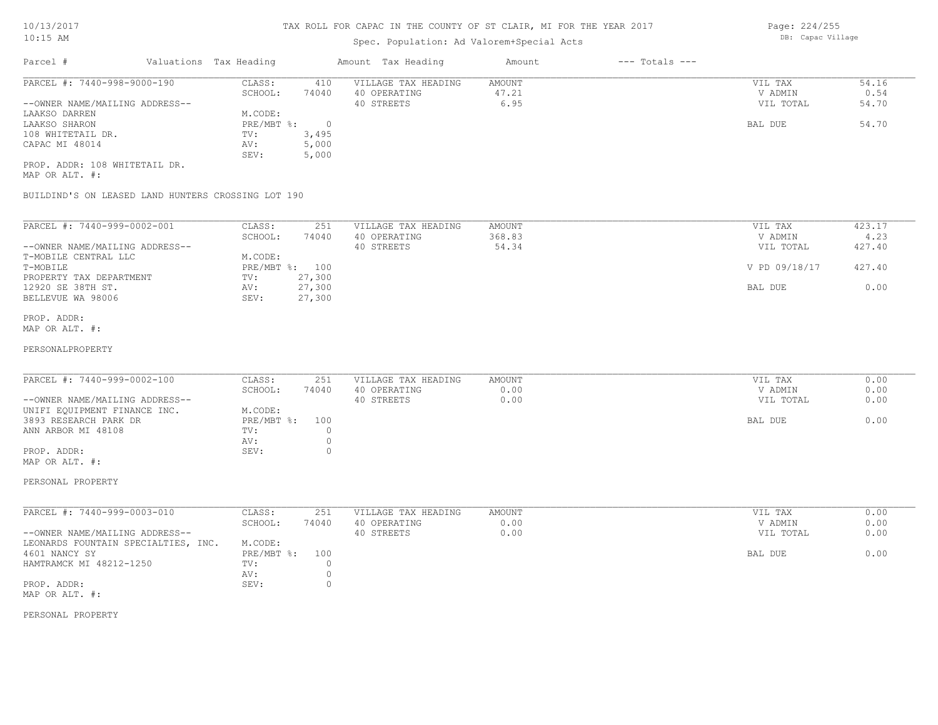# Spec. Population: Ad Valorem+Special Acts

| Parcel #                       | Valuations Tax Heading |       | Amount Tax Heading  | Amount | $---$ Totals $---$ |           |       |
|--------------------------------|------------------------|-------|---------------------|--------|--------------------|-----------|-------|
| PARCEL #: 7440-998-9000-190    | CLASS:                 | 410   | VILLAGE TAX HEADING | AMOUNT |                    | VIL TAX   | 54.16 |
|                                | SCHOOL:                | 74040 | 40 OPERATING        | 47.21  |                    | V ADMIN   | 0.54  |
| --OWNER NAME/MAILING ADDRESS-- |                        |       | 40 STREETS          | 6.95   |                    | VIL TOTAL | 54.70 |
| LAAKSO DARREN                  | M.CODE:                |       |                     |        |                    |           |       |
| LAAKSO SHARON                  | $PRE/MBT$ %:           |       |                     |        |                    | BAL DUE   | 54.70 |
| 108 WHITETAIL DR.              | TV:                    | 3,495 |                     |        |                    |           |       |
| CAPAC MI 48014                 | AV:                    | 5,000 |                     |        |                    |           |       |
|                                | SEV:                   | 5,000 |                     |        |                    |           |       |
| PROP. ADDR: 108 WHITETAIL DR.  |                        |       |                     |        |                    |           |       |

MAP OR ALT. #:

BUILDIND'S ON LEASED LAND HUNTERS CROSSING LOT 190

| PARCEL #: 7440-999-0002-001    | CLASS:       | 251    | VILLAGE TAX HEADING | AMOUNT | VIL TAX       | 423.17 |
|--------------------------------|--------------|--------|---------------------|--------|---------------|--------|
|                                | SCHOOL:      | 74040  | 40 OPERATING        | 368.83 | V ADMIN       | 4.23   |
| --OWNER NAME/MAILING ADDRESS-- |              |        | 40 STREETS          | 54.34  | VIL TOTAL     | 427.40 |
| T-MOBILE CENTRAL LLC           | M.CODE:      |        |                     |        |               |        |
| T-MOBILE                       | $PRE/MBT$ %: | 100    |                     |        | V PD 09/18/17 | 427.40 |
| PROPERTY TAX DEPARTMENT        | TV:          | 27,300 |                     |        |               |        |
| 12920 SE 38TH ST.              | AV:          | 27,300 |                     |        | BAL DUE       | 0.00   |
| BELLEVUE WA 98006              | SEV:         | 27,300 |                     |        |               |        |

#### MAP OR ALT. #: PROP. ADDR:

#### PERSONALPROPERTY

| PARCEL #: 7440-999-0002-100    | CLASS:         | 251   | VILLAGE TAX HEADING | AMOUNT | VIL TAX   | 0.00 |
|--------------------------------|----------------|-------|---------------------|--------|-----------|------|
|                                | SCHOOL:        | 74040 | 40 OPERATING        | 0.00   | V ADMIN   | 0.00 |
| --OWNER NAME/MAILING ADDRESS-- |                |       | 40 STREETS          | 0.00   | VIL TOTAL | 0.00 |
| UNIFI EQUIPMENT FINANCE INC.   | M.CODE:        |       |                     |        |           |      |
| 3893 RESEARCH PARK DR          | PRE/MBT %: 100 |       |                     |        | BAL DUE   | 0.00 |
| ANN ARBOR MI 48108             | TV:            |       |                     |        |           |      |
|                                | AV:            |       |                     |        |           |      |
| PROP. ADDR:                    | SEV:           |       |                     |        |           |      |
| MAP OR ALT. #:                 |                |       |                     |        |           |      |

# PERSONAL PROPERTY

| PARCEL #: 7440-999-0003-010         | CLASS:       | 251   | VILLAGE TAX HEADING | AMOUNT | VIL TAX   | 0.00 |
|-------------------------------------|--------------|-------|---------------------|--------|-----------|------|
|                                     | SCHOOL:      | 74040 | 40 OPERATING        | 0.00   | V ADMIN   | 0.00 |
| --OWNER NAME/MAILING ADDRESS--      |              |       | 40 STREETS          | 0.00   | VIL TOTAL | 0.00 |
| LEONARDS FOUNTAIN SPECIALTIES, INC. | M.CODE:      |       |                     |        |           |      |
| 4601 NANCY SY                       | $PRE/MBT$ %: | 100   |                     |        | BAL DUE   | 0.00 |
| HAMTRAMCK MI 48212-1250             | TV:          |       |                     |        |           |      |
|                                     | AV:          |       |                     |        |           |      |
| PROP. ADDR:                         | SEV:         |       |                     |        |           |      |
| MAP OR ALT. #:                      |              |       |                     |        |           |      |

### PERSONAL PROPERTY

Page: 224/255 DB: Capac Village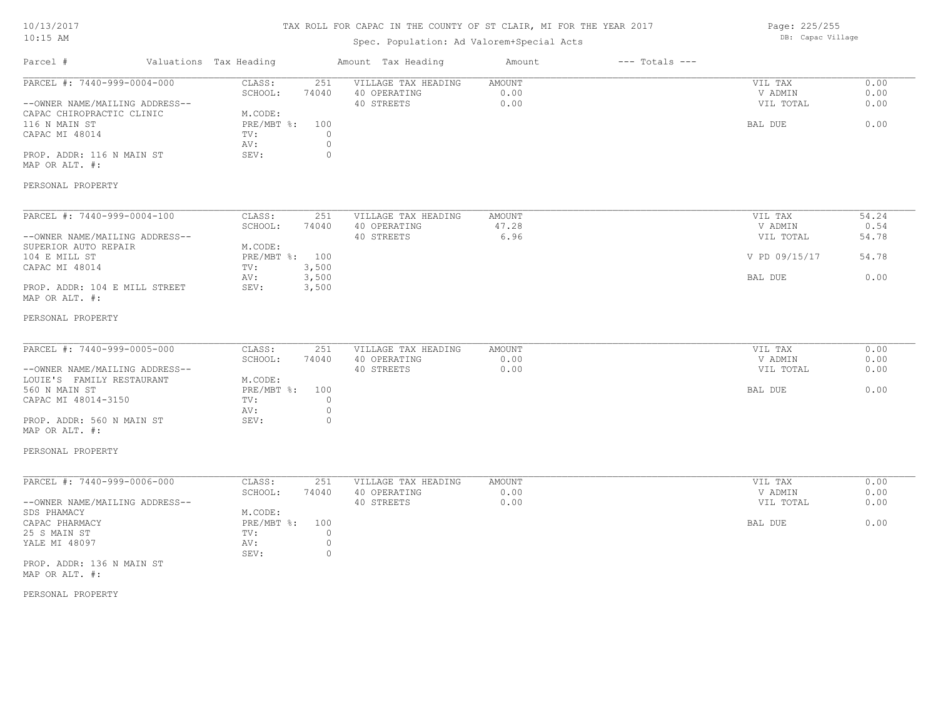# TAX ROLL FOR CAPAC IN THE COUNTY OF ST CLAIR, MI FOR THE YEAR 2017

# Spec. Population: Ad Valorem+Special Acts

Page: 225/255 DB: Capac Village

| Parcel #                                                                                                                                                                                               | Valuations Tax Heading |                                                                                                                                | Amount Tax Heading                                | Amount                  | $---$ Totals $---$ |                                                             |                                         |
|--------------------------------------------------------------------------------------------------------------------------------------------------------------------------------------------------------|------------------------|--------------------------------------------------------------------------------------------------------------------------------|---------------------------------------------------|-------------------------|--------------------|-------------------------------------------------------------|-----------------------------------------|
| PARCEL #: 7440-999-0004-000<br>--OWNER NAME/MAILING ADDRESS--<br>CAPAC CHIROPRACTIC CLINIC<br>116 N MAIN ST<br>CAPAC MI 48014<br>PROP. ADDR: 116 N MAIN ST<br>MAP OR ALT. #:<br>PERSONAL PROPERTY      |                        | CLASS:<br>251<br>SCHOOL:<br>74040<br>M.CODE:<br>PRE/MBT %:<br>100<br>$\circ$<br>TV:<br>$\circ$<br>AV:<br>SEV:<br>$\circ$       | VILLAGE TAX HEADING<br>40 OPERATING<br>40 STREETS | AMOUNT<br>0.00<br>0.00  |                    | VIL TAX<br>V ADMIN<br>VIL TOTAL<br>BAL DUE                  | 0.00<br>0.00<br>0.00<br>0.00            |
| PARCEL #: 7440-999-0004-100<br>--OWNER NAME/MAILING ADDRESS--<br>SUPERIOR AUTO REPAIR<br>104 E MILL ST<br>CAPAC MI 48014<br>PROP. ADDR: 104 E MILL STREET<br>MAP OR ALT. #:<br>PERSONAL PROPERTY       |                        | CLASS:<br>251<br>SCHOOL:<br>74040<br>M.CODE:<br>PRE/MBT %: 100<br>3,500<br>TV:<br>AV:<br>3,500<br>SEV:<br>3,500                | VILLAGE TAX HEADING<br>40 OPERATING<br>40 STREETS | AMOUNT<br>47.28<br>6.96 |                    | VIL TAX<br>V ADMIN<br>VIL TOTAL<br>V PD 09/15/17<br>BAL DUE | 54.24<br>0.54<br>54.78<br>54.78<br>0.00 |
| PARCEL #: 7440-999-0005-000<br>--OWNER NAME/MAILING ADDRESS--<br>LOUIE'S FAMILY RESTAURANT<br>560 N MAIN ST<br>CAPAC MI 48014-3150<br>PROP. ADDR: 560 N MAIN ST<br>MAP OR ALT. #:<br>PERSONAL PROPERTY |                        | CLASS:<br>251<br>SCHOOL:<br>74040<br>M.CODE:<br>$PRE/MBT$ $\div$<br>100<br>TV:<br>$\circ$<br>$\circ$<br>AV:<br>$\circ$<br>SEV: | VILLAGE TAX HEADING<br>40 OPERATING<br>40 STREETS | AMOUNT<br>0.00<br>0.00  |                    | VIL TAX<br>V ADMIN<br>VIL TOTAL<br>BAL DUE                  | 0.00<br>0.00<br>0.00<br>0.00            |
| PARCEL #: 7440-999-0006-000<br>--OWNER NAME/MAILING ADDRESS--<br>SDS PHAMACY<br>CAPAC PHARMACY<br>25 S MAIN ST<br>YALE MI 48097<br>PROP. ADDR: 136 N MAIN ST<br>MAP OR ALT. #:                         |                        | 251<br>CLASS:<br>SCHOOL:<br>74040<br>M.CODE:<br>PRE/MBT %:<br>100<br>TV:<br>$\circ$<br>$\circ$<br>AV:<br>$\circ$<br>SEV:       | VILLAGE TAX HEADING<br>40 OPERATING<br>40 STREETS | AMOUNT<br>0.00<br>0.00  |                    | VIL TAX<br>V ADMIN<br>VIL TOTAL<br>BAL DUE                  | 0.00<br>0.00<br>0.00<br>0.00            |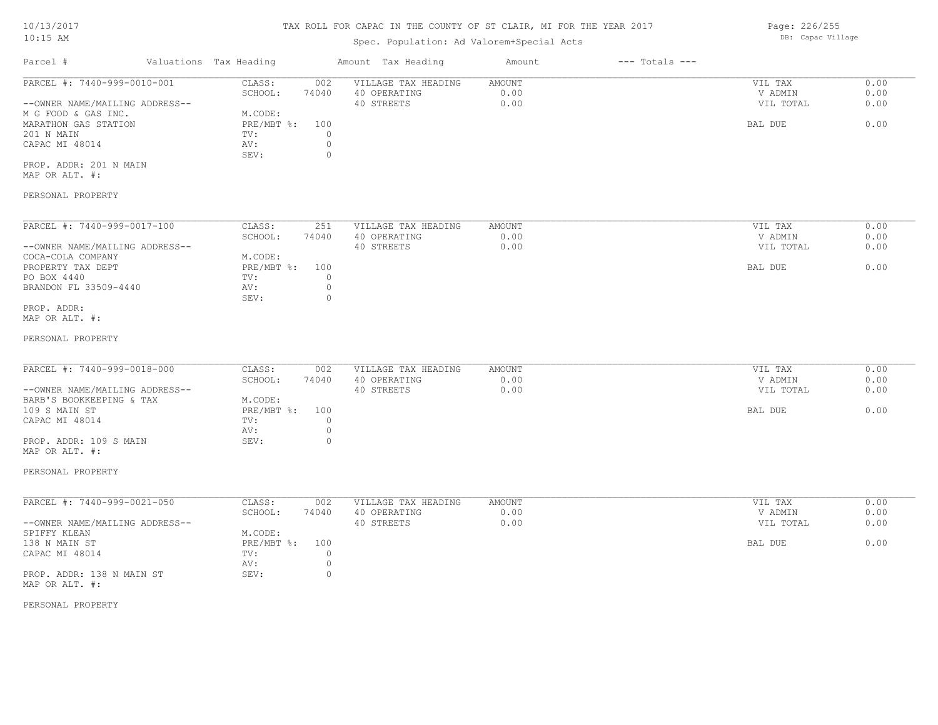### Spec. Population: Ad Valorem+Special Acts

Parcel # Valuations Tax Heading Amount Tax Heading Amount --- Totals ---PROP. ADDR: 201 N MAIN SEV: 0 CAPAC MI 48014  $\qquad \qquad \text{AV:} \qquad \qquad 0$ <br>SEV: 0 201 N MAIN TV: 0 MARATHON GAS STATION **EXAMPLE SECURE A PRE/MBT %:** 100 BAL DUE 6.00 M G FOOD & GAS INC. M.CODE: --OWNER NAME/MAILING ADDRESS-- 40 STREETS 0.00 VIL TOTAL 0.00 SCHOOL: 74040 40 OPERATING 0.00 V ADMIN 0.00 PARCEL #: 7440-999-0010-001 CLASS: 002 VILLAGE TAX HEADING AMOUNT AMOUNT VIL TAX 0.00<br>SCHOOL: 74040 40 OPERATING 0.00 000 VADMIN 0.00  $\mathcal{L}_\mathcal{L} = \mathcal{L}_\mathcal{L} = \mathcal{L}_\mathcal{L} = \mathcal{L}_\mathcal{L} = \mathcal{L}_\mathcal{L} = \mathcal{L}_\mathcal{L} = \mathcal{L}_\mathcal{L} = \mathcal{L}_\mathcal{L} = \mathcal{L}_\mathcal{L} = \mathcal{L}_\mathcal{L} = \mathcal{L}_\mathcal{L} = \mathcal{L}_\mathcal{L} = \mathcal{L}_\mathcal{L} = \mathcal{L}_\mathcal{L} = \mathcal{L}_\mathcal{L} = \mathcal{L}_\mathcal{L} = \mathcal{L}_\mathcal{L}$ 

MAP OR ALT. #:

#### PERSONAL PROPERTY

| PARCEL #: 7440-999-0017-100    | CLASS:       | 251      | VILLAGE TAX HEADING | AMOUNT | VIL TAX   | 0.00 |
|--------------------------------|--------------|----------|---------------------|--------|-----------|------|
|                                | SCHOOL:      | 74040    | 40 OPERATING        | 0.00   | V ADMIN   | 0.00 |
| --OWNER NAME/MAILING ADDRESS-- |              |          | 40 STREETS          | 0.00   | VIL TOTAL | 0.00 |
| COCA-COLA COMPANY              | M.CODE:      |          |                     |        |           |      |
| PROPERTY TAX DEPT              | $PRE/MBT$ %: | 100      |                     |        | BAL DUE   | 0.00 |
| PO BOX 4440                    | TV:          |          |                     |        |           |      |
| BRANDON FL 33509-4440          | AV:          |          |                     |        |           |      |
|                                | SEV:         | $^{(1)}$ |                     |        |           |      |
| PROP. ADDR:                    |              |          |                     |        |           |      |

MAP OR ALT. #:

#### PERSONAL PROPERTY

| PARCEL #: 7440-999-0018-000    | CLASS:       | 002   | VILLAGE TAX HEADING | AMOUNT | VIL TAX   | 0.00 |
|--------------------------------|--------------|-------|---------------------|--------|-----------|------|
|                                | SCHOOL:      | 74040 | 40 OPERATING        | 0.00   | V ADMIN   | 0.00 |
| --OWNER NAME/MAILING ADDRESS-- |              |       | 40 STREETS          | 0.00   | VIL TOTAL | 0.00 |
| BARB'S BOOKKEEPING & TAX       | M.CODE:      |       |                     |        |           |      |
| 109 S MAIN ST                  | $PRE/MBT$ %: | 100   |                     |        | BAL DUE   | 0.00 |
| CAPAC MI 48014                 | TV:          |       |                     |        |           |      |
|                                | AV:          |       |                     |        |           |      |
| PROP. ADDR: 109 S MAIN         | SEV:         |       |                     |        |           |      |

#### PERSONAL PROPERTY

MAP OR ALT. #:

| PARCEL #: 7440-999-0021-050    | CLASS:       | 002   | VILLAGE TAX HEADING | AMOUNT | 0.00<br>VIL TAX   |
|--------------------------------|--------------|-------|---------------------|--------|-------------------|
|                                | SCHOOL:      | 74040 | 40 OPERATING        | 0.00   | 0.00<br>V ADMIN   |
| --OWNER NAME/MAILING ADDRESS-- |              |       | 40 STREETS          | 0.00   | 0.00<br>VIL TOTAL |
| SPIFFY KLEAN                   | M.CODE:      |       |                     |        |                   |
| 138 N MAIN ST                  | $PRE/MBT$ %: | 100   |                     |        | 0.00<br>BAL DUE   |
| CAPAC MI 48014                 | TV:          |       |                     |        |                   |
|                                | AV:          |       |                     |        |                   |
| PROP. ADDR: 138 N MAIN ST      | SEV:         |       |                     |        |                   |
| MAP OR ALT. #:                 |              |       |                     |        |                   |

PERSONAL PROPERTY

Page: 226/255 DB: Capac Village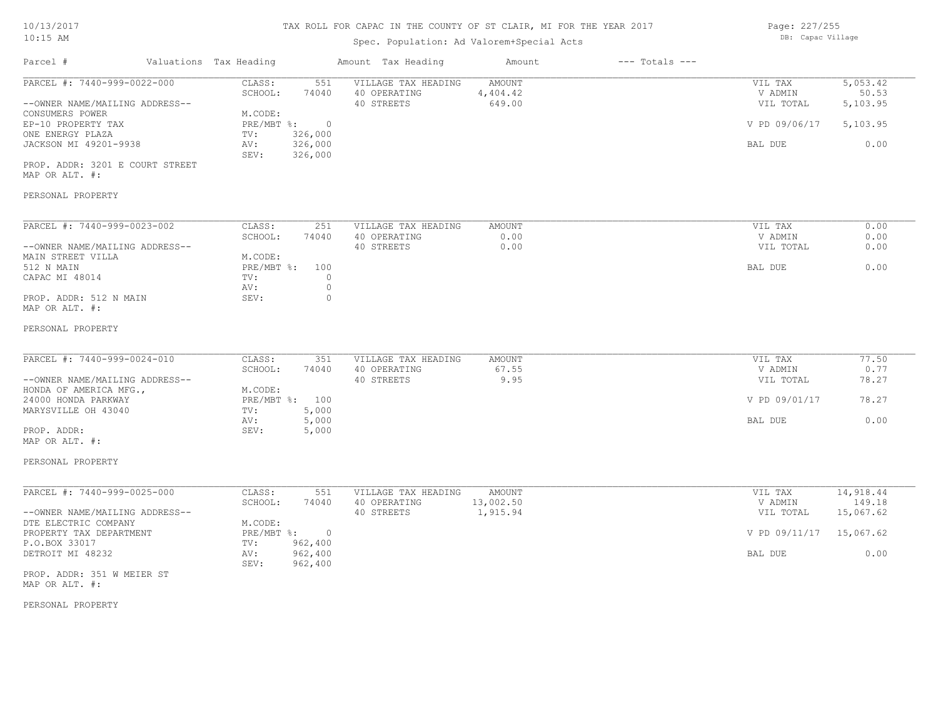# Spec. Population: Ad Valorem+Special Acts

Page: 227/255 DB: Capac Village

| Parcel #                                                                                                                                                                                                                   | Valuations Tax Heading                                                                                                                    | Amount Tax Heading                                                                 | Amount                                 | $---$ Totals $---$ |                                                             |                                                       |
|----------------------------------------------------------------------------------------------------------------------------------------------------------------------------------------------------------------------------|-------------------------------------------------------------------------------------------------------------------------------------------|------------------------------------------------------------------------------------|----------------------------------------|--------------------|-------------------------------------------------------------|-------------------------------------------------------|
| PARCEL #: 7440-999-0022-000<br>--OWNER NAME/MAILING ADDRESS--<br>CONSUMERS POWER<br>EP-10 PROPERTY TAX<br>ONE ENERGY PLAZA<br>JACKSON MI 49201-9938<br>PROP. ADDR: 3201 E COURT STREET<br>MAP OR ALT. #:                   | CLASS:<br>551<br>SCHOOL:<br>74040<br>M.CODE:<br>PRE/MBT %:<br>$\overline{0}$<br>326,000<br>TV:<br>326,000<br>AV:<br>326,000<br>SEV:       | VILLAGE TAX HEADING<br>40 OPERATING<br>40 STREETS                                  | <b>AMOUNT</b><br>4,404.42<br>649.00    |                    | VIL TAX<br>V ADMIN<br>VIL TOTAL<br>V PD 09/06/17<br>BAL DUE | 5,053.42<br>50.53<br>5,103.95<br>5,103.95<br>0.00     |
| PERSONAL PROPERTY                                                                                                                                                                                                          |                                                                                                                                           |                                                                                    |                                        |                    |                                                             |                                                       |
| PARCEL #: 7440-999-0023-002<br>--OWNER NAME/MAILING ADDRESS--<br>MAIN STREET VILLA<br>512 N MAIN<br>CAPAC MI 48014<br>PROP. ADDR: 512 N MAIN<br>MAP OR ALT. #:                                                             | CLASS:<br>251<br>SCHOOL:<br>74040<br>M.CODE:<br>PRE/MBT %:<br>100<br>TV:<br>AV:<br>SEV:                                                   | VILLAGE TAX HEADING<br>40 OPERATING<br>40 STREETS<br>$\circ$<br>$\circ$<br>$\circ$ | <b>AMOUNT</b><br>0.00<br>0.00          |                    | VIL TAX<br>V ADMIN<br>VIL TOTAL<br>BAL DUE                  | 0.00<br>0.00<br>0.00<br>0.00                          |
| PERSONAL PROPERTY                                                                                                                                                                                                          |                                                                                                                                           |                                                                                    |                                        |                    |                                                             |                                                       |
| PARCEL #: 7440-999-0024-010<br>--OWNER NAME/MAILING ADDRESS--<br>HONDA OF AMERICA MFG.,<br>24000 HONDA PARKWAY<br>MARYSVILLE OH 43040<br>PROP. ADDR:<br>MAP OR ALT. #:                                                     | CLASS:<br>351<br>SCHOOL:<br>74040<br>M.CODE:<br>PRE/MBT %: 100<br>5,000<br>TV:<br>AV:<br>5,000<br>SEV:<br>5,000                           | VILLAGE TAX HEADING<br>40 OPERATING<br>40 STREETS                                  | <b>AMOUNT</b><br>67.55<br>9.95         |                    | VIL TAX<br>V ADMIN<br>VIL TOTAL<br>V PD 09/01/17<br>BAL DUE | 77.50<br>0.77<br>78.27<br>78.27<br>0.00               |
| PERSONAL PROPERTY                                                                                                                                                                                                          |                                                                                                                                           |                                                                                    |                                        |                    |                                                             |                                                       |
| PARCEL #: 7440-999-0025-000<br>--OWNER NAME/MAILING ADDRESS--<br>DTE ELECTRIC COMPANY<br>PROPERTY TAX DEPARTMENT<br>P.O.BOX 33017<br>DETROIT MI 48232<br>PROP. ADDR: 351 W MEIER ST<br>MAP OR ALT. #:<br>PERSONAL PROPERTY | CLASS:<br>551<br>SCHOOL:<br>74040<br>M.CODE:<br>$PRE/MBT$ $\div$<br>$\overline{0}$<br>962,400<br>TV:<br>962,400<br>AV:<br>962,400<br>SEV: | VILLAGE TAX HEADING<br>40 OPERATING<br>40 STREETS                                  | <b>AMOUNT</b><br>13,002.50<br>1,915.94 |                    | VIL TAX<br>V ADMIN<br>VIL TOTAL<br>V PD 09/11/17<br>BAL DUE | 14,918.44<br>149.18<br>15,067.62<br>15,067.62<br>0.00 |
|                                                                                                                                                                                                                            |                                                                                                                                           |                                                                                    |                                        |                    |                                                             |                                                       |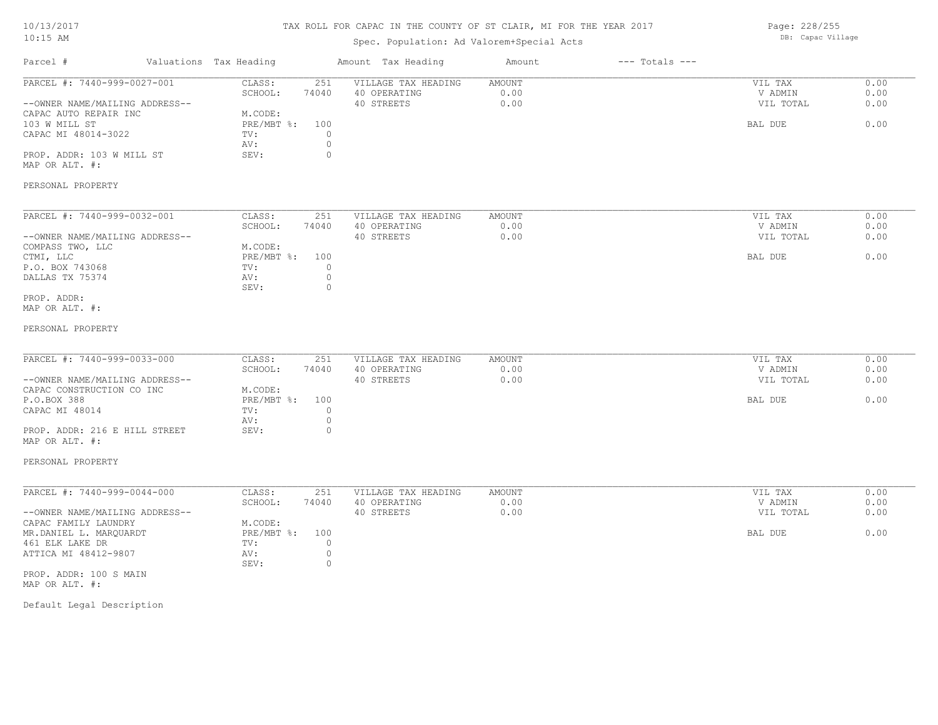# TAX ROLL FOR CAPAC IN THE COUNTY OF ST CLAIR, MI FOR THE YEAR 2017

# Spec. Population: Ad Valorem+Special Acts

Page: 228/255 DB: Capac Village

| PARCEL #: 7440-999-0027-001<br>CLASS:<br>251<br>VILLAGE TAX HEADING<br><b>AMOUNT</b><br>VIL TAX<br>0.00<br>SCHOOL:<br>74040<br>40 OPERATING<br>V ADMIN<br>0.00<br>--OWNER NAME/MAILING ADDRESS--<br>40 STREETS<br>VIL TOTAL<br>CAPAC AUTO REPAIR INC<br>M.CODE:<br>103 W MILL ST<br>$PRE/MBT$ $\div$<br>100<br>BAL DUE<br>CAPAC MI 48014-3022<br>$\circ$<br>TV:<br>$\circ$<br>AV:<br>$\circ$<br>PROP. ADDR: 103 W MILL ST<br>SEV:<br>MAP OR ALT. #:<br>PERSONAL PROPERTY<br>PARCEL #: 7440-999-0032-001<br>CLASS:<br>251<br>VILLAGE TAX HEADING<br>AMOUNT<br>VIL TAX<br>0.00<br>SCHOOL:<br>40 OPERATING<br>74040<br>V ADMIN<br>40 STREETS<br>0.00<br>VIL TOTAL<br>--OWNER NAME/MAILING ADDRESS--<br>M.CODE:<br>COMPASS TWO, LLC<br>PRE/MBT %:<br>CTMI, LLC<br>100<br>BAL DUE<br>P.O. BOX 743068<br>TV:<br>0<br>$\circ$<br>DALLAS TX 75374<br>AV:<br>SEV:<br>0<br>PROP. ADDR:<br>MAP OR ALT. #:<br>PERSONAL PROPERTY<br>PARCEL #: 7440-999-0033-000<br>CLASS:<br>VILLAGE TAX HEADING<br>AMOUNT<br>VIL TAX<br>251<br>SCHOOL:<br>0.00<br>74040<br>40 OPERATING<br>V ADMIN<br>40 STREETS<br>0.00<br>VIL TOTAL<br>--OWNER NAME/MAILING ADDRESS--<br>CAPAC CONSTRUCTION CO INC<br>M.CODE:<br>P.O.BOX 388<br>$PRE/MBT$ $\div$<br>100<br>BAL DUE<br>$\circ$<br>CAPAC MI 48014<br>TV:<br>$\circ$<br>AV:<br>$\circ$<br>PROP. ADDR: 216 E HILL STREET<br>SEV:<br>MAP OR ALT. #:<br>PERSONAL PROPERTY<br>PARCEL #: 7440-999-0044-000<br>CLASS:<br>VIL TAX<br>251<br>VILLAGE TAX HEADING<br>AMOUNT<br>SCHOOL:<br>74040<br>40 OPERATING<br>0.00<br>V ADMIN<br>40 STREETS<br>0.00<br>--OWNER NAME/MAILING ADDRESS--<br>VIL TOTAL<br>CAPAC FAMILY LAUNDRY<br>M.CODE:<br>PRE/MBT %:<br>100<br>BAL DUE<br>MR.DANIEL L. MARQUARDT<br>$\Omega$<br>461 ELK LAKE DR<br>TV:<br>$\circ$<br>ATTICA MI 48412-9807<br>AV: | Parcel # | Valuations Tax Heading | Amount Tax Heading | Amount | $---$ Totals $---$ |                              |
|------------------------------------------------------------------------------------------------------------------------------------------------------------------------------------------------------------------------------------------------------------------------------------------------------------------------------------------------------------------------------------------------------------------------------------------------------------------------------------------------------------------------------------------------------------------------------------------------------------------------------------------------------------------------------------------------------------------------------------------------------------------------------------------------------------------------------------------------------------------------------------------------------------------------------------------------------------------------------------------------------------------------------------------------------------------------------------------------------------------------------------------------------------------------------------------------------------------------------------------------------------------------------------------------------------------------------------------------------------------------------------------------------------------------------------------------------------------------------------------------------------------------------------------------------------------------------------------------------------------------------------------------------------------------------------------------------------------------------------------------------------------------------------------------|----------|------------------------|--------------------|--------|--------------------|------------------------------|
|                                                                                                                                                                                                                                                                                                                                                                                                                                                                                                                                                                                                                                                                                                                                                                                                                                                                                                                                                                                                                                                                                                                                                                                                                                                                                                                                                                                                                                                                                                                                                                                                                                                                                                                                                                                                |          |                        |                    |        |                    | 0.00<br>0.00<br>0.00<br>0.00 |
|                                                                                                                                                                                                                                                                                                                                                                                                                                                                                                                                                                                                                                                                                                                                                                                                                                                                                                                                                                                                                                                                                                                                                                                                                                                                                                                                                                                                                                                                                                                                                                                                                                                                                                                                                                                                |          |                        |                    |        |                    |                              |
|                                                                                                                                                                                                                                                                                                                                                                                                                                                                                                                                                                                                                                                                                                                                                                                                                                                                                                                                                                                                                                                                                                                                                                                                                                                                                                                                                                                                                                                                                                                                                                                                                                                                                                                                                                                                |          |                        |                    |        |                    | 0.00<br>0.00<br>0.00<br>0.00 |
|                                                                                                                                                                                                                                                                                                                                                                                                                                                                                                                                                                                                                                                                                                                                                                                                                                                                                                                                                                                                                                                                                                                                                                                                                                                                                                                                                                                                                                                                                                                                                                                                                                                                                                                                                                                                |          |                        |                    |        |                    |                              |
|                                                                                                                                                                                                                                                                                                                                                                                                                                                                                                                                                                                                                                                                                                                                                                                                                                                                                                                                                                                                                                                                                                                                                                                                                                                                                                                                                                                                                                                                                                                                                                                                                                                                                                                                                                                                |          |                        |                    |        |                    | 0.00<br>0.00<br>0.00<br>0.00 |
| $\circ$<br>SEV:<br>PROP. ADDR: 100 S MAIN<br>MAP OR ALT. #:<br>Default Legal Description                                                                                                                                                                                                                                                                                                                                                                                                                                                                                                                                                                                                                                                                                                                                                                                                                                                                                                                                                                                                                                                                                                                                                                                                                                                                                                                                                                                                                                                                                                                                                                                                                                                                                                       |          |                        |                    |        |                    | 0.00<br>0.00<br>0.00<br>0.00 |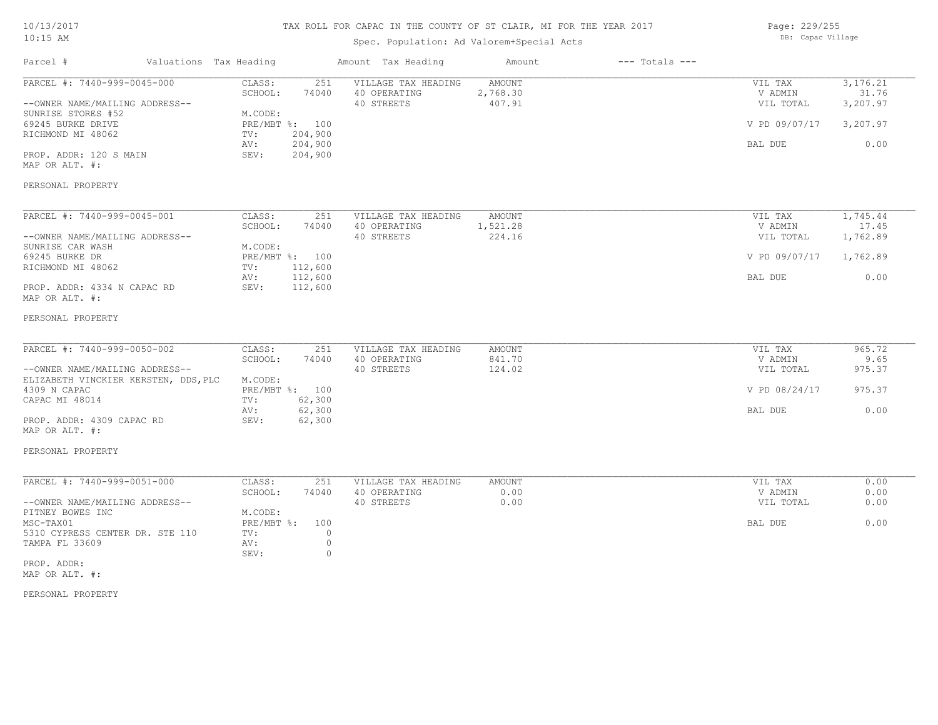# TAX ROLL FOR CAPAC IN THE COUNTY OF ST CLAIR, MI FOR THE YEAR 2017

# Spec. Population: Ad Valorem+Special Acts

Page: 229/255 DB: Capac Village

| Parcel #                                                                                                                                                                                       | Valuations Tax Heading |                                                                      |                                               | Amount Tax Heading                                | Amount                              | $---$ Totals $---$ |                                                             |                                                     |
|------------------------------------------------------------------------------------------------------------------------------------------------------------------------------------------------|------------------------|----------------------------------------------------------------------|-----------------------------------------------|---------------------------------------------------|-------------------------------------|--------------------|-------------------------------------------------------------|-----------------------------------------------------|
| PARCEL #: 7440-999-0045-000<br>--OWNER NAME/MAILING ADDRESS--<br>SUNRISE STORES #52<br>69245 BURKE DRIVE<br>RICHMOND MI 48062<br>PROP. ADDR: 120 S MAIN<br>MAP OR ALT. #:<br>PERSONAL PROPERTY |                        | CLASS:<br>SCHOOL:<br>M.CODE:<br>PRE/MBT %: 100<br>TV:<br>AV:<br>SEV: | 251<br>74040<br>204,900<br>204,900<br>204,900 | VILLAGE TAX HEADING<br>40 OPERATING<br>40 STREETS | <b>AMOUNT</b><br>2,768.30<br>407.91 |                    | VIL TAX<br>V ADMIN<br>VIL TOTAL<br>V PD 09/07/17<br>BAL DUE | 3, 176. 21<br>31.76<br>3,207.97<br>3,207.97<br>0.00 |
|                                                                                                                                                                                                |                        |                                                                      |                                               |                                                   |                                     |                    |                                                             |                                                     |
| PARCEL #: 7440-999-0045-001<br>--OWNER NAME/MAILING ADDRESS--<br>SUNRISE CAR WASH<br>69245 BURKE DR<br>RICHMOND MI 48062                                                                       |                        | CLASS:<br>SCHOOL:<br>M.CODE:<br>PRE/MBT %: 100<br>TV:                | 251<br>74040<br>112,600                       | VILLAGE TAX HEADING<br>40 OPERATING<br>40 STREETS | <b>AMOUNT</b><br>1,521.28<br>224.16 |                    | VIL TAX<br>V ADMIN<br>VIL TOTAL<br>V PD 09/07/17            | 1,745.44<br>17.45<br>1,762.89<br>1,762.89           |
| PROP. ADDR: 4334 N CAPAC RD<br>MAP OR ALT. #:                                                                                                                                                  |                        | AV:<br>SEV:                                                          | 112,600<br>112,600                            |                                                   |                                     |                    | BAL DUE                                                     | 0.00                                                |
| PERSONAL PROPERTY                                                                                                                                                                              |                        |                                                                      |                                               |                                                   |                                     |                    |                                                             |                                                     |
| PARCEL #: 7440-999-0050-002                                                                                                                                                                    |                        | CLASS:                                                               | 251                                           | VILLAGE TAX HEADING                               | <b>AMOUNT</b>                       |                    | VIL TAX                                                     | 965.72                                              |
| --OWNER NAME/MAILING ADDRESS--<br>ELIZABETH VINCKIER KERSTEN, DDS, PLC                                                                                                                         |                        | SCHOOL:<br>M.CODE:                                                   | 74040                                         | 40 OPERATING<br>40 STREETS                        | 841.70<br>124.02                    |                    | V ADMIN<br>VIL TOTAL                                        | 9.65<br>975.37                                      |
| 4309 N CAPAC<br>CAPAC MI 48014                                                                                                                                                                 |                        | PRE/MBT %: 100<br>TV:                                                | 62,300                                        |                                                   |                                     |                    | V PD 08/24/17                                               | 975.37                                              |
| PROP. ADDR: 4309 CAPAC RD<br>MAP OR ALT. #:                                                                                                                                                    |                        | AV:<br>SEV:                                                          | 62,300<br>62,300                              |                                                   |                                     |                    | BAL DUE                                                     | 0.00                                                |
| PERSONAL PROPERTY                                                                                                                                                                              |                        |                                                                      |                                               |                                                   |                                     |                    |                                                             |                                                     |
| PARCEL #: 7440-999-0051-000                                                                                                                                                                    |                        | CLASS:                                                               | 251                                           | VILLAGE TAX HEADING                               | <b>AMOUNT</b>                       |                    | VIL TAX                                                     | 0.00                                                |
| --OWNER NAME/MAILING ADDRESS--<br>PITNEY BOWES INC                                                                                                                                             |                        | SCHOOL:<br>M.CODE:                                                   | 74040                                         | 40 OPERATING<br>40 STREETS                        | 0.00<br>0.00                        |                    | V ADMIN<br>VIL TOTAL                                        | 0.00<br>0.00                                        |
| MSC-TAX01<br>5310 CYPRESS CENTER DR. STE 110<br>TAMPA FL 33609                                                                                                                                 |                        | $PRE/MBT$ $\div$<br>TV:<br>AV:<br>SEV:                               | 100<br>$\circ$<br>$\circ$<br>$\circ$          |                                                   |                                     |                    | BAL DUE                                                     | 0.00                                                |
| PROP. ADDR:<br>MAP OR ALT. #:                                                                                                                                                                  |                        |                                                                      |                                               |                                                   |                                     |                    |                                                             |                                                     |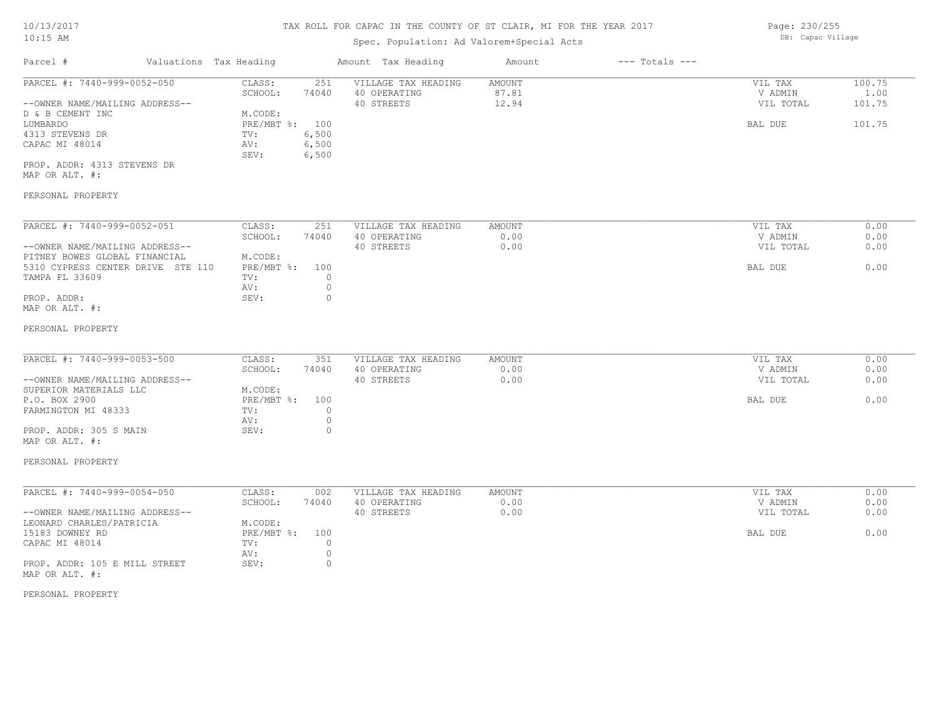# Spec. Population: Ad Valorem+Special Acts

| Parcel #                       | Valuations Tax Heading |       | Amount Tax Heading  | Amount | $---$ Totals $---$ |           |        |
|--------------------------------|------------------------|-------|---------------------|--------|--------------------|-----------|--------|
| PARCEL #: 7440-999-0052-050    | CLASS:                 | 251   | VILLAGE TAX HEADING | AMOUNT |                    | VIL TAX   | 100.75 |
|                                | SCHOOL:                | 74040 | 40 OPERATING        | 87.81  |                    | V ADMIN   | 1.00   |
| --OWNER NAME/MAILING ADDRESS-- |                        |       | 40 STREETS          | 12.94  |                    | VIL TOTAL | 101.75 |
| D & B CEMENT INC               | M.CODE:                |       |                     |        |                    |           |        |
| LUMBARDO                       | PRE/MBT %: 100         |       |                     |        |                    | BAL DUE   | 101.75 |
| 4313 STEVENS DR                | TV:                    | 6,500 |                     |        |                    |           |        |
| CAPAC MI 48014                 | AV:                    | 6,500 |                     |        |                    |           |        |
|                                | SEV:                   | 6,500 |                     |        |                    |           |        |
| PROP. ADDR: 4313 STEVENS DR    |                        |       |                     |        |                    |           |        |
|                                |                        |       |                     |        |                    |           |        |

MAP OR ALT. #:

### PERSONAL PROPERTY

| PARCEL #: 7440-999-0052-051       | CLASS:     | 251   | VILLAGE TAX HEADING | AMOUNT | 0.00<br>VIL TAX   |
|-----------------------------------|------------|-------|---------------------|--------|-------------------|
|                                   | SCHOOL:    | 74040 | 40 OPERATING        | 0.00   | 0.00<br>V ADMIN   |
| --OWNER NAME/MAILING ADDRESS--    |            |       | 40 STREETS          | 0.00   | 0.00<br>VIL TOTAL |
| PITNEY BOWES GLOBAL FINANCIAL     | M.CODE:    |       |                     |        |                   |
| 5310 CYPRESS CENTER DRIVE STE 110 | PRE/MBT %: | 100   |                     |        | 0.00<br>BAL DUE   |
| TAMPA FL 33609                    | TV:        |       |                     |        |                   |
|                                   | AV:        |       |                     |        |                   |
| PROP. ADDR:                       | SEV:       |       |                     |        |                   |
| MAP OR ALT. #:                    |            |       |                     |        |                   |

#### PERSONAL PROPERTY

| 74040<br>0.00<br>40 OPERATING<br>SCHOOL:             | V ADMIN   |      |
|------------------------------------------------------|-----------|------|
|                                                      |           | 0.00 |
| --OWNER NAME/MAILING ADDRESS--<br>0.00<br>40 STREETS | VIL TOTAL | 0.00 |
| SUPERIOR MATERIALS LLC<br>M.CODE:                    |           |      |
| PRE/MBT %:<br>P.O. BOX 2900<br>100                   | BAL DUE   | 0.00 |
| FARMINGTON MI 48333<br>TV:                           |           |      |
| AV:                                                  |           |      |
| PROP. ADDR: 305 S MAIN<br>SEV:                       |           |      |

# MAP OR ALT. #:

#### PERSONAL PROPERTY

| PARCEL #: 7440-999-0054-050    | CLASS:         | 002   | VILLAGE TAX HEADING | AMOUNT | VIL TAX   | 0.00 |
|--------------------------------|----------------|-------|---------------------|--------|-----------|------|
|                                | SCHOOL:        | 74040 | 40 OPERATING        | 0.00   | V ADMIN   | 0.00 |
| --OWNER NAME/MAILING ADDRESS-- |                |       | 40 STREETS          | 0.00   | VIL TOTAL | 0.00 |
| LEONARD CHARLES/PATRICIA       | M.CODE:        |       |                     |        |           |      |
| 15183 DOWNEY RD                | PRE/MBT %: 100 |       |                     |        | BAL DUE   | 0.00 |
| CAPAC MI 48014                 | TV:            |       |                     |        |           |      |
|                                | AV:            |       |                     |        |           |      |
| PROP. ADDR: 105 E MILL STREET  | SEV:           |       |                     |        |           |      |
| MAP OR ALT. #:                 |                |       |                     |        |           |      |

#### PERSONAL PROPERTY

Page: 230/255 DB: Capac Village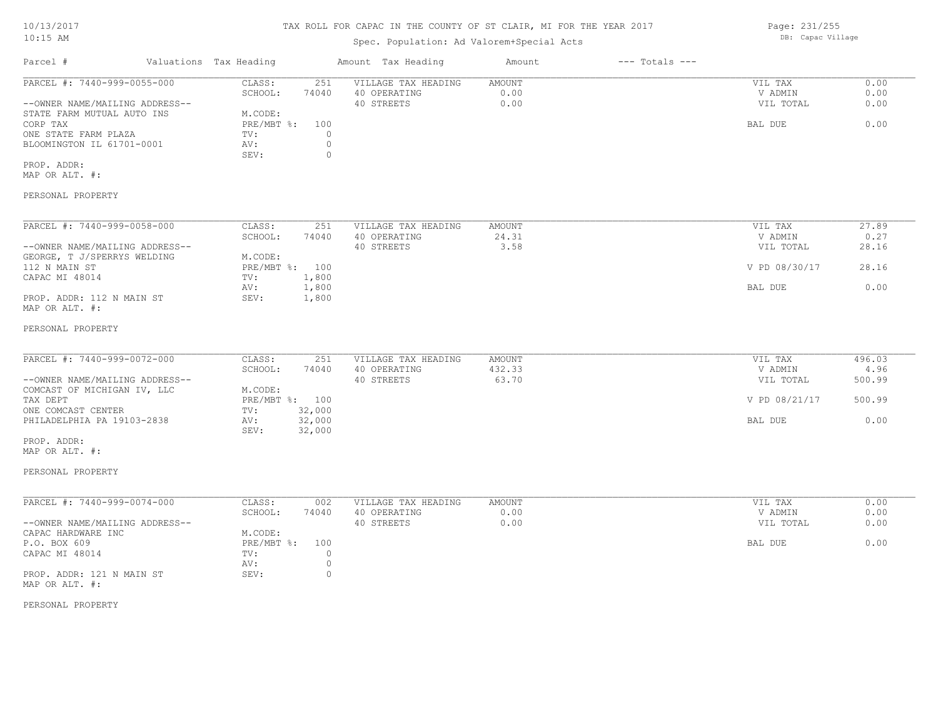#### TAX ROLL FOR CAPAC IN THE COUNTY OF ST CLAIR, MI FOR THE YEAR 2017

### Spec. Population: Ad Valorem+Special Acts

| Parcel #                       | Valuations Tax Heading |       | Amount Tax Heading  | Amount | $---$ Totals $---$ |               |       |
|--------------------------------|------------------------|-------|---------------------|--------|--------------------|---------------|-------|
| PARCEL #: 7440-999-0055-000    | CLASS:                 | 251   | VILLAGE TAX HEADING | AMOUNT |                    | VIL TAX       | 0.00  |
|                                | SCHOOL:                | 74040 | 40 OPERATING        | 0.00   |                    | V ADMIN       | 0.00  |
| --OWNER NAME/MAILING ADDRESS-- |                        |       | 40 STREETS          | 0.00   |                    | VIL TOTAL     | 0.00  |
| STATE FARM MUTUAL AUTO INS     | M.CODE:                |       |                     |        |                    |               |       |
| CORP TAX                       | $PRE/MBT$ %:           | 100   |                     |        |                    | BAL DUE       | 0.00  |
| ONE STATE FARM PLAZA           | TV:                    |       |                     |        |                    |               |       |
| BLOOMINGTON IL 61701-0001      | AV:                    |       |                     |        |                    |               |       |
|                                | SEV:                   |       |                     |        |                    |               |       |
| PROP. ADDR:                    |                        |       |                     |        |                    |               |       |
| MAP OR ALT. #:                 |                        |       |                     |        |                    |               |       |
| PERSONAL PROPERTY              |                        |       |                     |        |                    |               |       |
| PARCEL #: 7440-999-0058-000    | CLASS:                 | 251   | VILLAGE TAX HEADING | AMOUNT |                    | VIL TAX       | 27.89 |
|                                | SCHOOL:                | 74040 | 40 OPERATING        | 24.31  |                    | V ADMIN       | 0.27  |
| --OWNER NAME/MAILING ADDRESS-- |                        |       | 40 STREETS          | 3.58   |                    | VIL TOTAL     | 28.16 |
| GEORGE, T J/SPERRYS WELDING    | M.CODE:                |       |                     |        |                    |               |       |
| 112 N MAIN ST                  | PRE/MBT %: 100         |       |                     |        |                    | V PD 08/30/17 | 28.16 |
| $\cdots$                       |                        | .     |                     |        |                    |               |       |

| --OWNER NAME/MAILING ADDRESS-- |         |                | 40 STREETS | ು. ೨୪ | VIL TOTAL     | 48.IG |
|--------------------------------|---------|----------------|------------|-------|---------------|-------|
| GEORGE, T J/SPERRYS WELDING    | M.CODE: |                |            |       |               |       |
| 112 N MAIN ST                  |         | PRE/MBT %: 100 |            |       | V PD 08/30/17 | 28.16 |
| CAPAC MI 48014                 | TV:     | .800           |            |       |               |       |
|                                | AV:     | .800           |            |       | BAL DUE       | 0.00  |
| PROP. ADDR: 112 N MAIN ST      | SEV:    | .800           |            |       |               |       |
| MAP OR ALT. #:                 |         |                |            |       |               |       |

#### PERSONAL PROPERTY

| PARCEL #: 7440-999-0072-000    | CLASS:         | 251    | VILLAGE TAX HEADING | AMOUNT | VIL TAX       | 496.03 |
|--------------------------------|----------------|--------|---------------------|--------|---------------|--------|
|                                | SCHOOL:        | 74040  | 40 OPERATING        | 432.33 | V ADMIN       | 4.96   |
| --OWNER NAME/MAILING ADDRESS-- |                |        | 40 STREETS          | 63.70  | VIL TOTAL     | 500.99 |
| COMCAST OF MICHIGAN IV, LLC    | M.CODE:        |        |                     |        |               |        |
| TAX DEPT                       | PRE/MBT %: 100 |        |                     |        | V PD 08/21/17 | 500.99 |
| ONE COMCAST CENTER             | TV:            | 32,000 |                     |        |               |        |
| PHILADELPHIA PA 19103-2838     | AV:            | 32,000 |                     |        | BAL DUE       | 0.00   |
|                                | SEV:           | 32,000 |                     |        |               |        |

MAP OR ALT. #: PROP. ADDR:

PERSONAL PROPERTY

#### MAP OR ALT. #: PROP. ADDR: 121 N MAIN ST SEV: 0 AV: 0 CAPAC MI 48014  $TV:$  0  $AV:$  0 P.O. BOX 609 PRE/MBT %: 100 BAL DUE 0.00 CAPAC HARDWARE INC<br>
P.O. BOX 609<br>
PRE/MBT %: 100 --OWNER NAME/MAILING ADDRESS-- 40 STREETS 0.00 VIL TOTAL 0.00 SCHOOL: 74040 40 OPERATING 0.00 V ADMIN 0.00 PARCEL #: 7440-999-0074-000 CLASS: 002 VILLAGE TAX HEADING AMOUNT VIL TAX VIL TAX 0.00<br>SCHOOL: 74040 40 OPERATING 0.00 000 VADMIN 0.00

PERSONAL PROPERTY

Page: 231/255 DB: Capac Village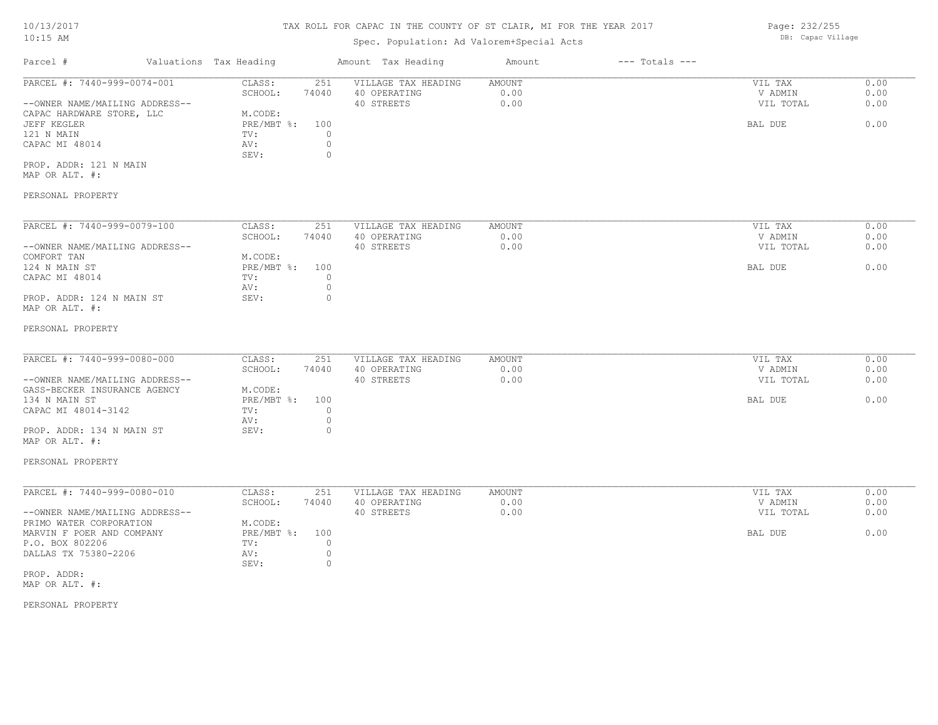### Spec. Population: Ad Valorem+Special Acts

Parcel # Valuations Tax Heading Amount Tax Heading Amount --- Totals ---PERSONAL PROPERTY MAP OR ALT. #: PROP. ADDR: 121 N MAIN SEV: 0 CAPAC MI 48014  $\qquad \qquad \text{AV:} \qquad \qquad 0$ <br>SEV: 0 121 N MAIN  $TV:$  0 JEFF KEGLER PRE/MBT %: 100 BAL DUE 0.00 CAPAC HARDWARE STORE, LLC M.CODE:<br>
JEFF KEGLER
BLER
BLER
BLER
MET 8: 100 --OWNER NAME/MAILING ADDRESS-- 40 STREETS 0.00 VIL TOTAL 0.00 SCHOOL: 74040 40 OPERATING 0.00 V ADMIN 0.00 PARCEL #: 7440-999-0074-001 CLASS: 251 VILLAGE TAX HEADING AMOUNT AUGUST 20.00 VIL TAX 0.00<br>SCHOOL: 74040 40 OPERATING 0.00 000 VADMIN 0.00  $\mathcal{L}_\mathcal{L} = \mathcal{L}_\mathcal{L} = \mathcal{L}_\mathcal{L} = \mathcal{L}_\mathcal{L} = \mathcal{L}_\mathcal{L} = \mathcal{L}_\mathcal{L} = \mathcal{L}_\mathcal{L} = \mathcal{L}_\mathcal{L} = \mathcal{L}_\mathcal{L} = \mathcal{L}_\mathcal{L} = \mathcal{L}_\mathcal{L} = \mathcal{L}_\mathcal{L} = \mathcal{L}_\mathcal{L} = \mathcal{L}_\mathcal{L} = \mathcal{L}_\mathcal{L} = \mathcal{L}_\mathcal{L} = \mathcal{L}_\mathcal{L}$ 

| PARCEL #: 7440-999-0079-100    | CLASS:     | 251   | VILLAGE TAX HEADING | AMOUNT | VIL TAX   | 0.00 |
|--------------------------------|------------|-------|---------------------|--------|-----------|------|
|                                | SCHOOL:    | 74040 | 40 OPERATING        | 0.00   | V ADMIN   | 0.00 |
| --OWNER NAME/MAILING ADDRESS-- |            |       | 40 STREETS          | 0.00   | VIL TOTAL | 0.00 |
| COMFORT TAN                    | M.CODE:    |       |                     |        |           |      |
| 124 N MAIN ST                  | PRE/MBT %: | 100   |                     |        | BAL DUE   | 0.00 |
| CAPAC MI 48014                 | TV:        |       |                     |        |           |      |
|                                | AV:        |       |                     |        |           |      |
| PROP. ADDR: 124 N MAIN ST      | SEV:       |       |                     |        |           |      |
| MAP OR ALT. #:                 |            |       |                     |        |           |      |

#### PERSONAL PROPERTY

| PARCEL #: 7440-999-0080-000    | CLASS:     | 251   | VILLAGE TAX HEADING | AMOUNT | VIL TAX   | 0.00 |
|--------------------------------|------------|-------|---------------------|--------|-----------|------|
|                                | SCHOOL:    | 74040 | 40 OPERATING        | 0.00   | V ADMIN   | 0.00 |
| --OWNER NAME/MAILING ADDRESS-- |            |       | 40 STREETS          | 0.00   | VIL TOTAL | 0.00 |
| GASS-BECKER INSURANCE AGENCY   | M.CODE:    |       |                     |        |           |      |
| 134 N MAIN ST                  | PRE/MBT %: | 100   |                     |        | BAL DUE   | 0.00 |
| CAPAC MI 48014-3142            | TV:        |       |                     |        |           |      |
|                                | AV:        |       |                     |        |           |      |
| PROP. ADDR: 134 N MAIN ST      | SEV:       |       |                     |        |           |      |
|                                |            |       |                     |        |           |      |

# MAP OR ALT. #:

#### PERSONAL PROPERTY

| PARCEL #: 7440-999-0080-010    | CLASS:     | 251   | VILLAGE TAX HEADING | AMOUNT | VIL TAX   | 0.00 |
|--------------------------------|------------|-------|---------------------|--------|-----------|------|
|                                | SCHOOL:    | 74040 | 40 OPERATING        | 0.00   | V ADMIN   | 0.00 |
| --OWNER NAME/MAILING ADDRESS-- |            |       | 40 STREETS          | 0.00   | VIL TOTAL | 0.00 |
| PRIMO WATER CORPORATION        | M.CODE:    |       |                     |        |           |      |
| MARVIN F POER AND COMPANY      | PRE/MBT %: | 100   |                     |        | BAL DUE   | 0.00 |
| P.O. BOX 802206                | TV:        |       |                     |        |           |      |
| DALLAS TX 75380-2206           | AV:        |       |                     |        |           |      |
|                                | SEV:       |       |                     |        |           |      |
| PROP. ADDR:                    |            |       |                     |        |           |      |

MAP OR ALT. #:

PERSONAL PROPERTY

Page: 232/255 DB: Capac Village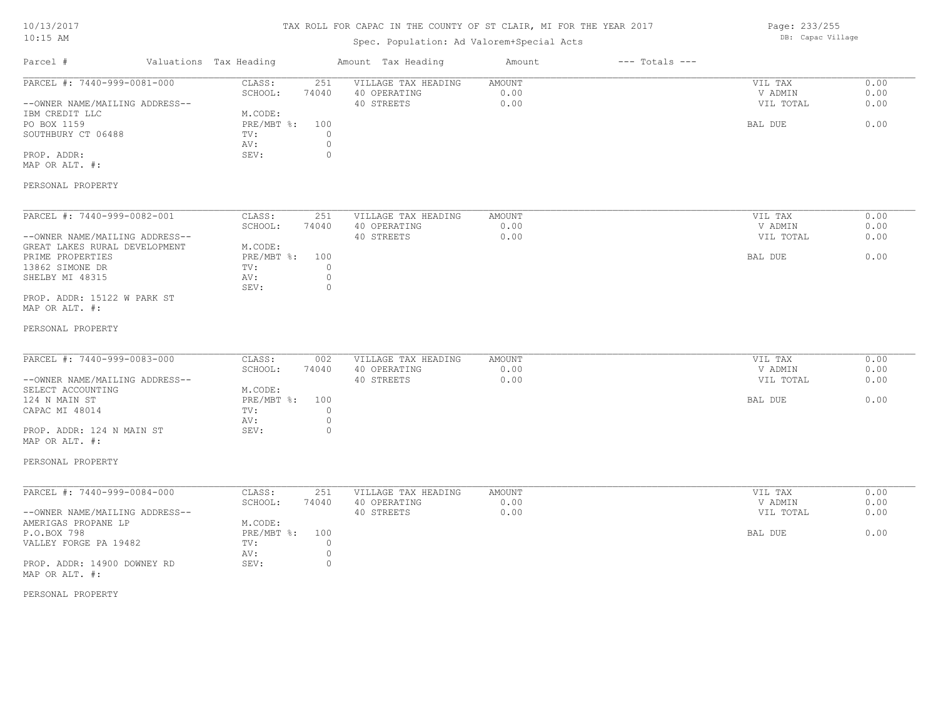# TAX ROLL FOR CAPAC IN THE COUNTY OF ST CLAIR, MI FOR THE YEAR 2017

# Spec. Population: Ad Valorem+Special Acts

Page: 233/255 DB: Capac Village

| Parcel #                                                                                                                                              | Valuations Tax Heading                                                                                   | Amount Tax Heading                                                      | Amount                 | $---$ Totals $---$ |                                            |                              |
|-------------------------------------------------------------------------------------------------------------------------------------------------------|----------------------------------------------------------------------------------------------------------|-------------------------------------------------------------------------|------------------------|--------------------|--------------------------------------------|------------------------------|
| PARCEL #: 7440-999-0081-000<br>--OWNER NAME/MAILING ADDRESS--<br>IBM CREDIT LLC<br>PO BOX 1159<br>SOUTHBURY CT 06488<br>PROP. ADDR:<br>MAP OR ALT. #: | CLASS:<br>251<br>SCHOOL:<br>74040<br>M.CODE:<br>$PRE/MBT$ $\div$<br>100<br>TV:<br>AV:<br>$\circ$<br>SEV: | VILLAGE TAX HEADING<br>40 OPERATING<br>40 STREETS<br>$\circ$<br>$\circ$ | AMOUNT<br>0.00<br>0.00 |                    | VIL TAX<br>V ADMIN<br>VIL TOTAL<br>BAL DUE | 0.00<br>0.00<br>0.00<br>0.00 |
| PERSONAL PROPERTY                                                                                                                                     |                                                                                                          |                                                                         |                        |                    |                                            |                              |
| PARCEL #: 7440-999-0082-001<br>--OWNER NAME/MAILING ADDRESS--<br>GREAT LAKES RURAL DEVELOPMENT<br>PRIME PROPERTIES                                    | CLASS:<br>251<br>SCHOOL:<br>74040<br>M.CODE:<br>$PRE/MBT$ $\div$<br>100                                  | VILLAGE TAX HEADING<br>40 OPERATING<br>40 STREETS                       | AMOUNT<br>0.00<br>0.00 |                    | VIL TAX<br>V ADMIN<br>VIL TOTAL<br>BAL DUE | 0.00<br>0.00<br>0.00<br>0.00 |
| 13862 SIMONE DR<br>SHELBY MI 48315<br>PROP. ADDR: 15122 W PARK ST                                                                                     | TV:<br>AV:<br>SEV:                                                                                       | $\circ$<br>$\circ$<br>$\circ$                                           |                        |                    |                                            |                              |
| MAP OR ALT. #:<br>PERSONAL PROPERTY                                                                                                                   |                                                                                                          |                                                                         |                        |                    |                                            |                              |
|                                                                                                                                                       |                                                                                                          |                                                                         |                        |                    |                                            |                              |
| PARCEL #: 7440-999-0083-000<br>--OWNER NAME/MAILING ADDRESS--                                                                                         | CLASS:<br>002<br>SCHOOL:<br>74040                                                                        | VILLAGE TAX HEADING<br>40 OPERATING<br>40 STREETS                       | AMOUNT<br>0.00<br>0.00 |                    | VIL TAX<br>V ADMIN<br>VIL TOTAL            | 0.00<br>0.00<br>0.00         |
| SELECT ACCOUNTING<br>124 N MAIN ST<br>CAPAC MI 48014                                                                                                  | M.CODE:<br>PRE/MBT %:<br>100<br>TV:<br>AV:                                                               | $\circ$<br>$\circ$                                                      |                        |                    | BAL DUE                                    | 0.00                         |
| PROP. ADDR: 124 N MAIN ST<br>MAP OR ALT. #:                                                                                                           | SEV:<br>$\circ$                                                                                          |                                                                         |                        |                    |                                            |                              |
| PERSONAL PROPERTY                                                                                                                                     |                                                                                                          |                                                                         |                        |                    |                                            |                              |
| PARCEL #: 7440-999-0084-000<br>--OWNER NAME/MAILING ADDRESS--                                                                                         | 251<br>CLASS:<br>SCHOOL:<br>74040                                                                        | VILLAGE TAX HEADING<br>40 OPERATING<br>40 STREETS                       | AMOUNT<br>0.00<br>0.00 |                    | VIL TAX<br>V ADMIN<br>VIL TOTAL            | 0.00<br>0.00<br>0.00         |
| AMERIGAS PROPANE LP<br>P.O.BOX 798<br>VALLEY FORGE PA 19482                                                                                           | M.CODE:<br>PRE/MBT %:<br>100<br>$\circ$<br>TV:<br>AV:                                                    | $\circ$                                                                 |                        |                    | BAL DUE                                    | 0.00                         |
| PROP. ADDR: 14900 DOWNEY RD<br>MAP OR ALT. #:                                                                                                         | SEV:                                                                                                     | $\circ$                                                                 |                        |                    |                                            |                              |
| PERSONAL PROPERTY                                                                                                                                     |                                                                                                          |                                                                         |                        |                    |                                            |                              |
|                                                                                                                                                       |                                                                                                          |                                                                         |                        |                    |                                            |                              |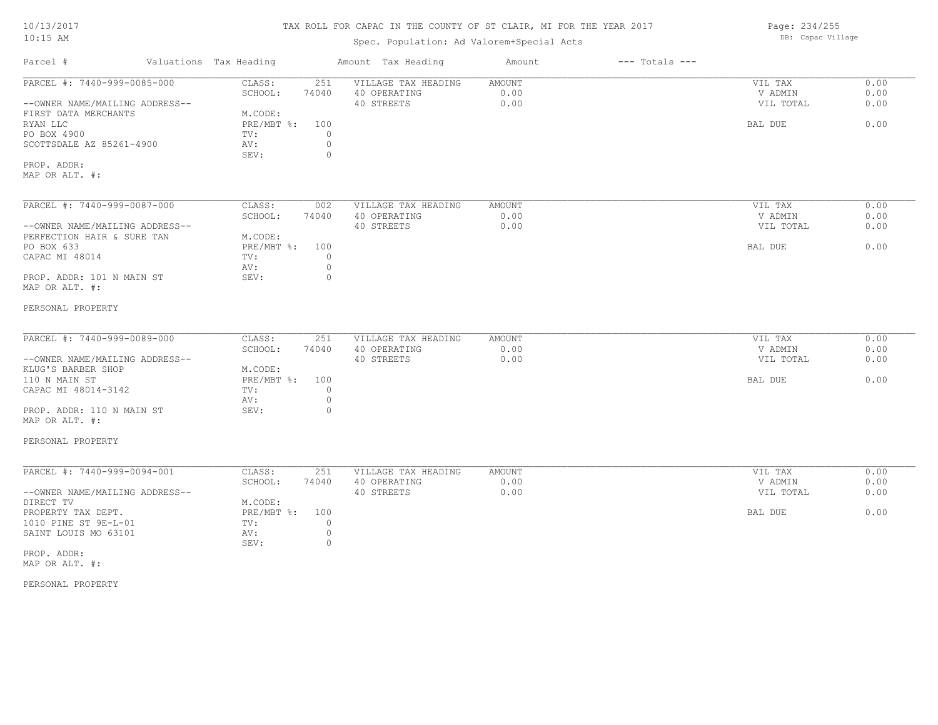# 10/13/2017

#### TAX ROLL FOR CAPAC IN THE COUNTY OF ST CLAIR, MI FOR THE YEAR 2017

# Spec. Population: Ad Valorem+Special Acts

Parcel # Valuations Tax Heading Amount Tax Heading Amount --- Totals ---MAP OR ALT. #: PROP. ADDR: SEV: 0 SCOTTSDALE AZ 85261-4900 AV: 0 PO BOX 4900 TV: 0 RYAN LLC PRE/MBT %: 100 BAL DUE 0.00 FIRST DATA MERCHANTS MODE: MACODE: RYAN LLC PRE/MBT %: --OWNER NAME/MAILING ADDRESS-- 40 STREETS 0.00 VIL TOTAL 0.00 SCHOOL: 74040 40 OPERATING 0.00 V ADMIN 0.00 PARCEL #: 7440-999-0085-000 CLASS: 251 VILLAGE TAX HEADING AMOUNT AMOUNT VIL TAX 0.00<br>SCHOOL: 74040 40 OPERATING 0.00 0.00 VADMIN 0.00  $\mathcal{L}_\mathcal{L} = \mathcal{L}_\mathcal{L} = \mathcal{L}_\mathcal{L} = \mathcal{L}_\mathcal{L} = \mathcal{L}_\mathcal{L} = \mathcal{L}_\mathcal{L} = \mathcal{L}_\mathcal{L} = \mathcal{L}_\mathcal{L} = \mathcal{L}_\mathcal{L} = \mathcal{L}_\mathcal{L} = \mathcal{L}_\mathcal{L} = \mathcal{L}_\mathcal{L} = \mathcal{L}_\mathcal{L} = \mathcal{L}_\mathcal{L} = \mathcal{L}_\mathcal{L} = \mathcal{L}_\mathcal{L} = \mathcal{L}_\mathcal{L}$ PERSONAL PROPERTY MAP OR ALT. #: PROP. ADDR: 101 N MAIN ST SEV: 0 AV: 0 CAPAC MI 48014  $TV:$  0<br>av: 0 PO BOX 633 PRE/MBT %: 100 BAL DUE 0.00 PERFECTION HAIR & SURE TAN M.CODE:<br>PO BOX 633 PRE/MBT %: --OWNER NAME/MAILING ADDRESS-- 40 STREETS 0.00 VIL TOTAL 0.00 SCHOOL: 74040 40 OPERATING 0.00 V ADMIN 0.00 PARCEL #: 7440-999-0087-000 CLASS: 002 VILLAGE TAX HEADING AMOUNT 0.00 VIL TAX 0.00 00 PERSONAL PROPERTY MAP OR ALT. #: PROP. ADDR: 110 N MAIN ST SEV: 0 AV: 0 CAPAC MI 48014-3142 TV: 0<br>AV: 0 110 N MAIN ST PRE/MBT %: 100 BAL DUE 0.00 KLUG'S BARBER SHOP M.CODE:<br>110 N MAIN ST RE/MBT %: --OWNER NAME/MAILING ADDRESS-- 40 STREETS 0.00 VIL TOTAL 0.00 SCHOOL: 74040 40 OPERATING 0.00 V ADMIN 0.00 PARCEL #: 7440-999-0089-000 CLASS: 251 VILLAGE TAX HEADING AMOUNT AMOUNT VIL TAX 0.00<br>SCHOOL: 74040 40 OPERATING 0.00 0.00 VADMIN 0.00  $\mathcal{L}_\mathcal{L} = \mathcal{L}_\mathcal{L} = \mathcal{L}_\mathcal{L} = \mathcal{L}_\mathcal{L} = \mathcal{L}_\mathcal{L} = \mathcal{L}_\mathcal{L} = \mathcal{L}_\mathcal{L} = \mathcal{L}_\mathcal{L} = \mathcal{L}_\mathcal{L} = \mathcal{L}_\mathcal{L} = \mathcal{L}_\mathcal{L} = \mathcal{L}_\mathcal{L} = \mathcal{L}_\mathcal{L} = \mathcal{L}_\mathcal{L} = \mathcal{L}_\mathcal{L} = \mathcal{L}_\mathcal{L} = \mathcal{L}_\mathcal{L}$ PERSONAL PROPERTY MAP OR ALT. #: PROP. ADDR: SEV: 0 SAINT LOUIS MO 63101 AV: 0<br>
SEV: 0 1010 PINE ST 9E-L-01 TV: 0 PROPERTY TAX DEPT. PRESMBT %: 100 BAL DUE 0.00 DIRECT TV M.CODE: --OWNER NAME/MAILING ADDRESS-- 40 STREETS 0.00 VIL TOTAL 0.00 SCHOOL: 74040 40 OPERATING 0.00 V ADMIN 0.00 PARCEL #: 7440-999-0094-001 CLASS: 251 VILLAGE TAX HEADING AMOUNT (2008) PARCEL #: 7440-999-0094-001 CLASS: 251 VILLAGE TAX HEADING AMOUNT (2008) PARTING (2009) PADMIN  $\mathcal{L}_\mathcal{L} = \mathcal{L}_\mathcal{L} = \mathcal{L}_\mathcal{L} = \mathcal{L}_\mathcal{L} = \mathcal{L}_\mathcal{L} = \mathcal{L}_\mathcal{L} = \mathcal{L}_\mathcal{L} = \mathcal{L}_\mathcal{L} = \mathcal{L}_\mathcal{L} = \mathcal{L}_\mathcal{L} = \mathcal{L}_\mathcal{L} = \mathcal{L}_\mathcal{L} = \mathcal{L}_\mathcal{L} = \mathcal{L}_\mathcal{L} = \mathcal{L}_\mathcal{L} = \mathcal{L}_\mathcal{L} = \mathcal{L}_\mathcal{L}$ 

10:15 AM

Page: 234/255 DB: Capac Village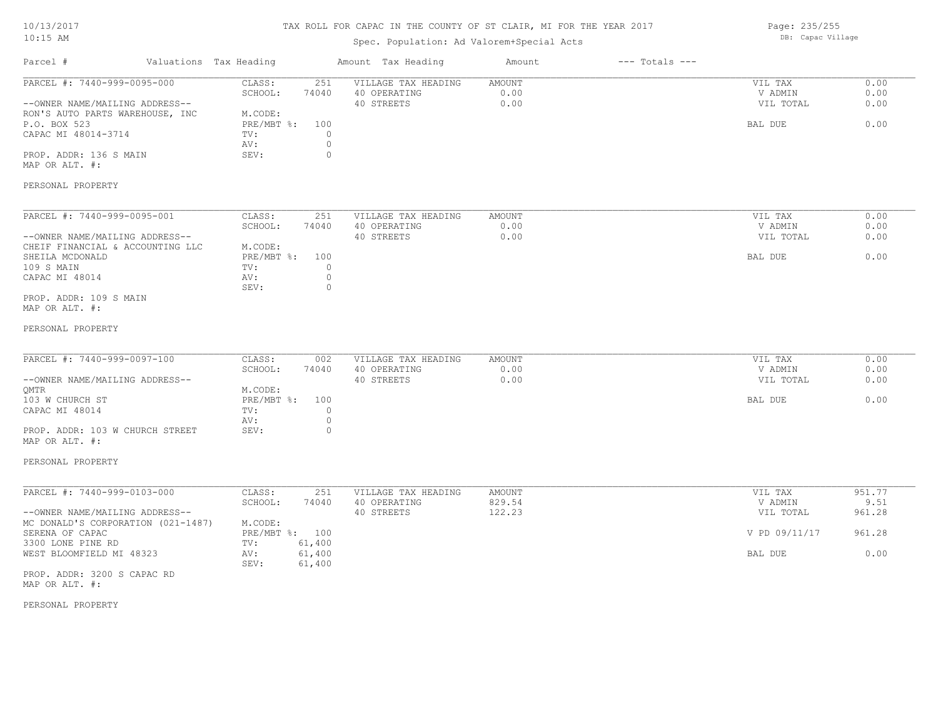# TAX ROLL FOR CAPAC IN THE COUNTY OF ST CLAIR, MI FOR THE YEAR 2017

# Spec. Population: Ad Valorem+Special Acts

Page: 235/255 DB: Capac Village

| Parcel #<br>Valuations Tax Heading                                 |                                     | Amount Tax Heading                  | Amount         | $---$ Totals $---$ |                    |              |
|--------------------------------------------------------------------|-------------------------------------|-------------------------------------|----------------|--------------------|--------------------|--------------|
| PARCEL #: 7440-999-0095-000                                        | 251<br>CLASS:<br>SCHOOL:<br>74040   | VILLAGE TAX HEADING<br>40 OPERATING | AMOUNT<br>0.00 |                    | VIL TAX<br>V ADMIN | 0.00<br>0.00 |
| --OWNER NAME/MAILING ADDRESS--<br>RON'S AUTO PARTS WAREHOUSE, INC  | M.CODE:                             | 40 STREETS                          | 0.00           |                    | VIL TOTAL          | 0.00         |
| P.O. BOX 523                                                       | PRE/MBT %:<br>100                   |                                     |                |                    | BAL DUE            | 0.00         |
| CAPAC MI 48014-3714                                                | $\circ$<br>TV:                      |                                     |                |                    |                    |              |
|                                                                    | $\circ$<br>AV:                      |                                     |                |                    |                    |              |
| PROP. ADDR: 136 S MAIN                                             | SEV:<br>$\circ$                     |                                     |                |                    |                    |              |
| MAP OR ALT. #:                                                     |                                     |                                     |                |                    |                    |              |
| PERSONAL PROPERTY                                                  |                                     |                                     |                |                    |                    |              |
| PARCEL #: 7440-999-0095-001                                        | CLASS:<br>251                       | VILLAGE TAX HEADING                 | AMOUNT         |                    | VIL TAX            | 0.00         |
|                                                                    | SCHOOL:<br>74040                    | 40 OPERATING<br>40 STREETS          | 0.00<br>0.00   |                    | V ADMIN            | 0.00<br>0.00 |
| --OWNER NAME/MAILING ADDRESS--<br>CHEIF FINANCIAL & ACCOUNTING LLC | M.CODE:                             |                                     |                |                    | VIL TOTAL          |              |
| SHEILA MCDONALD                                                    | $PRE/MBT$ %:<br>100                 |                                     |                |                    | BAL DUE            | 0.00         |
| 109 S MAIN                                                         | TV:<br>$\circ$                      |                                     |                |                    |                    |              |
| CAPAC MI 48014                                                     | $\circ$<br>AV:                      |                                     |                |                    |                    |              |
|                                                                    | SEV:<br>$\circ$                     |                                     |                |                    |                    |              |
| PROP. ADDR: 109 S MAIN<br>MAP OR ALT. #:                           |                                     |                                     |                |                    |                    |              |
|                                                                    |                                     |                                     |                |                    |                    |              |
| PERSONAL PROPERTY                                                  |                                     |                                     |                |                    |                    |              |
| PARCEL #: 7440-999-0097-100                                        | CLASS:<br>002                       | VILLAGE TAX HEADING                 | <b>AMOUNT</b>  |                    | VIL TAX            | 0.00         |
|                                                                    | SCHOOL:<br>74040                    | 40 OPERATING                        | 0.00           |                    | V ADMIN            | 0.00         |
| --OWNER NAME/MAILING ADDRESS--                                     |                                     | 40 STREETS                          | 0.00           |                    | VIL TOTAL          | 0.00         |
| OMTR                                                               | M.CODE:                             |                                     |                |                    |                    |              |
| 103 W CHURCH ST<br>CAPAC MI 48014                                  | PRE/MBT %:<br>100<br>$\circ$<br>TV: |                                     |                |                    | BAL DUE            | 0.00         |
|                                                                    | AV:<br>$\circ$                      |                                     |                |                    |                    |              |
| PROP. ADDR: 103 W CHURCH STREET                                    | $\circ$<br>SEV:                     |                                     |                |                    |                    |              |
| MAP OR ALT. #:                                                     |                                     |                                     |                |                    |                    |              |
| PERSONAL PROPERTY                                                  |                                     |                                     |                |                    |                    |              |
| PARCEL #: 7440-999-0103-000                                        | CLASS:<br>251                       | VILLAGE TAX HEADING                 | AMOUNT         |                    | VIL TAX            | 951.77       |
|                                                                    | SCHOOL:<br>74040                    | 40 OPERATING                        | 829.54         |                    | V ADMIN            | 9.51         |
| --OWNER NAME/MAILING ADDRESS--                                     |                                     | 40 STREETS                          | 122.23         |                    | VIL TOTAL          | 961.28       |
| MC DONALD'S CORPORATION (021-1487)                                 | M.CODE:                             |                                     |                |                    |                    |              |
| SERENA OF CAPAC                                                    | PRE/MBT %: 100                      |                                     |                |                    | V PD 09/11/17      | 961.28       |
| 3300 LONE PINE RD                                                  | 61,400<br>TV:                       |                                     |                |                    |                    |              |
| WEST BLOOMFIELD MI 48323                                           | 61,400<br>AV:<br>SEV:<br>61,400     |                                     |                |                    | BAL DUE            | 0.00         |
| PROP. ADDR: 3200 S CAPAC RD<br>MAP OR ALT. #:                      |                                     |                                     |                |                    |                    |              |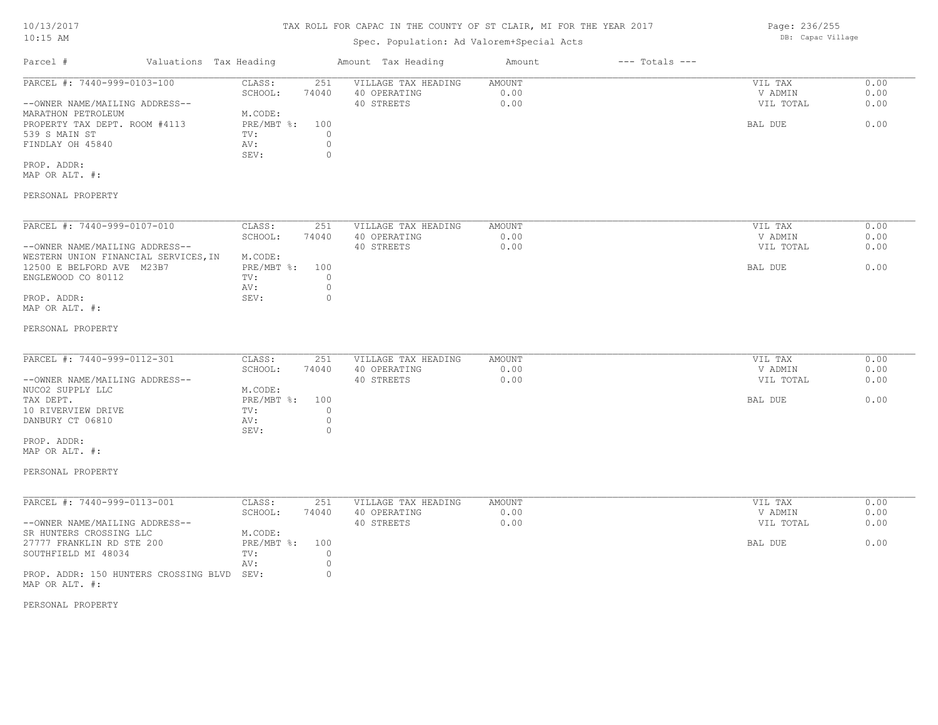#### TAX ROLL FOR CAPAC IN THE COUNTY OF ST CLAIR, MI FOR THE YEAR 2017

### Spec. Population: Ad Valorem+Special Acts

Parcel # Valuations Tax Heading Amount Tax Heading Amount --- Totals ---MAP OR ALT. #: PROP. ADDR: SEV: 0 FINDLAY OH 45840  $\qquad \qquad \text{AV:} \qquad \qquad 0$ <br>SEV: 0 539 S MAIN ST TV: 0 PROPERTY TAX DEPT. ROOM #4113 PRE/MBT %: 100 BAL DUE 6.00 MARATHON PETROLEUM MODE: --OWNER NAME/MAILING ADDRESS-- 40 STREETS 0.00 VIL TOTAL 0.00 SCHOOL: 74040 40 OPERATING 0.00 V ADMIN 0.00 PARCEL #: 7440-999-0103-100 CLASS: 251 VILLAGE TAX HEADING AMOUNT AUGUST 20.00 VIL TAX 0.00<br>SCHOOL: 74040 40 OPERATING 0.00 0.00 VADMIN 0.00  $\mathcal{L}_\mathcal{L} = \mathcal{L}_\mathcal{L} = \mathcal{L}_\mathcal{L} = \mathcal{L}_\mathcal{L} = \mathcal{L}_\mathcal{L} = \mathcal{L}_\mathcal{L} = \mathcal{L}_\mathcal{L} = \mathcal{L}_\mathcal{L} = \mathcal{L}_\mathcal{L} = \mathcal{L}_\mathcal{L} = \mathcal{L}_\mathcal{L} = \mathcal{L}_\mathcal{L} = \mathcal{L}_\mathcal{L} = \mathcal{L}_\mathcal{L} = \mathcal{L}_\mathcal{L} = \mathcal{L}_\mathcal{L} = \mathcal{L}_\mathcal{L}$ 

#### PERSONAL PROPERTY

| PARCEL #: 7440-999-0107-010          | CLASS:     | 251   | VILLAGE TAX HEADING | AMOUNT | 0.00<br>VIL TAX   |
|--------------------------------------|------------|-------|---------------------|--------|-------------------|
|                                      | SCHOOL:    | 74040 | 40 OPERATING        | 0.00   | 0.00<br>V ADMIN   |
| --OWNER NAME/MAILING ADDRESS--       |            |       | 40 STREETS          | 0.00   | 0.00<br>VIL TOTAL |
| WESTERN UNION FINANCIAL SERVICES, IN | M.CODE:    |       |                     |        |                   |
| 12500 E BELFORD AVE M23B7            | PRE/MBT %: | 100   |                     |        | 0.00<br>BAL DUE   |
| ENGLEWOOD CO 80112                   | TV:        |       |                     |        |                   |
|                                      | AV:        |       |                     |        |                   |
| PROP. ADDR:                          | SEV:       |       |                     |        |                   |
| MAP OR ALT. #:                       |            |       |                     |        |                   |

#### PERSONAL PROPERTY

| PARCEL #: 7440-999-0112-301                                                                     | CLASS:         | 251   | VILLAGE TAX HEADING | AMOUNT | VIL TAX   | 0.00 |
|-------------------------------------------------------------------------------------------------|----------------|-------|---------------------|--------|-----------|------|
|                                                                                                 | SCHOOL:        | 74040 | 40 OPERATING        | 0.00   | V ADMIN   | 0.00 |
| --OWNER NAME/MAILING ADDRESS--                                                                  |                |       | 40 STREETS          | 0.00   | VIL TOTAL | 0.00 |
| NUCO2 SUPPLY LLC                                                                                | M.CODE:        |       |                     |        |           |      |
| TAX DEPT.                                                                                       | PRE/MBT %: 100 |       |                     |        | BAL DUE   | 0.00 |
| 10 RIVERVIEW DRIVE                                                                              | TV:            |       |                     |        |           |      |
| DANBURY CT 06810                                                                                | AV:            |       |                     |        |           |      |
|                                                                                                 | SEV:           |       |                     |        |           |      |
| the contract of the contract of the contract of the contract of the contract of the contract of |                |       |                     |        |           |      |

#### MAP OR ALT. #: PROP. ADDR:

# PERSONAL PROPERTY

| PARCEL #: 7440-999-0113-001                | CLASS:     | 251   | VILLAGE TAX HEADING | AMOUNT | VIL TAX   | 0.00 |
|--------------------------------------------|------------|-------|---------------------|--------|-----------|------|
|                                            | SCHOOL:    | 74040 | 40 OPERATING        | 0.00   | V ADMIN   | 0.00 |
| --OWNER NAME/MAILING ADDRESS--             |            |       | 40 STREETS          | 0.00   | VIL TOTAL | 0.00 |
| SR HUNTERS CROSSING LLC                    | M.CODE:    |       |                     |        |           |      |
| 27777 FRANKLIN RD STE 200                  | PRE/MBT %: | 100   |                     |        | BAL DUE   | 0.00 |
| SOUTHFIELD MI 48034                        | TV:        |       |                     |        |           |      |
|                                            | AV:        |       |                     |        |           |      |
| PROP. ADDR: 150 HUNTERS CROSSING BLVD SEV: |            |       |                     |        |           |      |
| MAP OR ALT. #:                             |            |       |                     |        |           |      |

PERSONAL PROPERTY

Page: 236/255 DB: Capac Village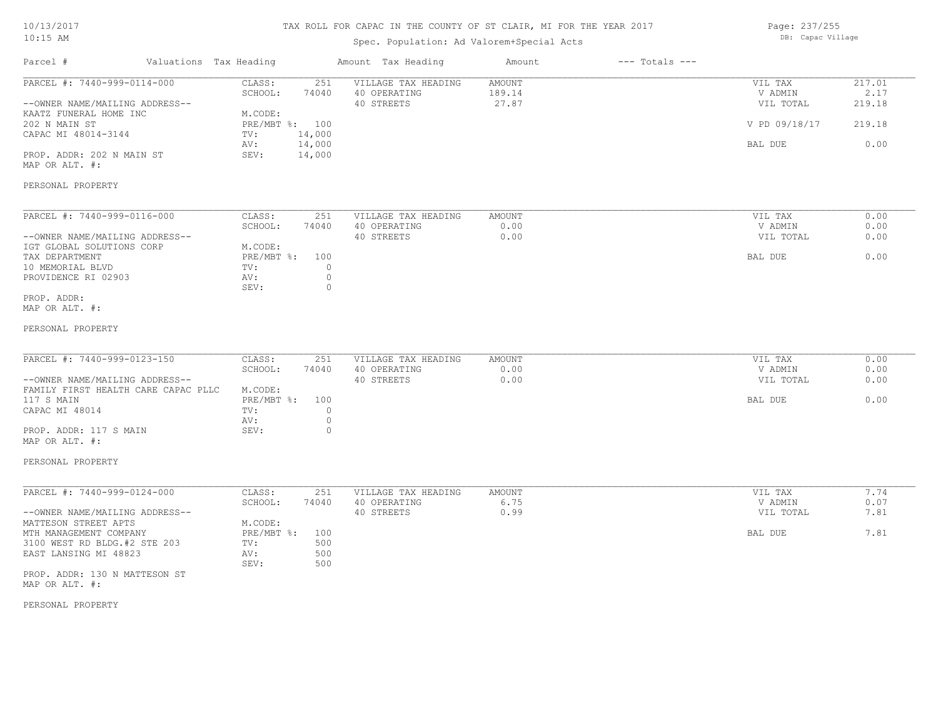| 10/13/2017<br>$10:15$ AM                                       | TAX ROLL FOR CAPAC IN THE COUNTY OF ST CLAIR, MI FOR THE YEAR 2017<br>Spec. Population: Ad Valorem+Special Acts |                           |                          |                                     |                  |                    | Page: 237/255<br>DB: Capac Village |                |
|----------------------------------------------------------------|-----------------------------------------------------------------------------------------------------------------|---------------------------|--------------------------|-------------------------------------|------------------|--------------------|------------------------------------|----------------|
| Parcel #                                                       |                                                                                                                 | Valuations Tax Heading    |                          | Amount Tax Heading                  | Amount           | $---$ Totals $---$ |                                    |                |
| PARCEL #: 7440-999-0114-000                                    |                                                                                                                 | CLASS:<br>SCHOOL:         | 251<br>74040             | VILLAGE TAX HEADING<br>40 OPERATING | AMOUNT<br>189.14 |                    | VIL TAX<br>V ADMIN                 | 217.01<br>2.17 |
| --OWNER NAME/MAILING ADDRESS--                                 |                                                                                                                 |                           |                          | 40 STREETS                          | 27.87            |                    | VIL TOTAL                          | 219.18         |
| KAATZ FUNERAL HOME INC<br>202 N MAIN ST<br>CAPAC MI 48014-3144 |                                                                                                                 | M.CODE:<br>TV:            | PRE/MBT %: 100<br>14,000 |                                     |                  |                    | V PD 09/18/17                      | 219.18         |
| PROP. ADDR: 202 N MAIN ST                                      |                                                                                                                 | AV:<br>SEV:               | 14,000<br>14,000         |                                     |                  |                    | BAL DUE                            | 0.00           |
| MAP OR ALT. #:                                                 |                                                                                                                 |                           |                          |                                     |                  |                    |                                    |                |
| PERSONAL PROPERTY                                              |                                                                                                                 |                           |                          |                                     |                  |                    |                                    |                |
| PARCEL #: 7440-999-0116-000                                    |                                                                                                                 | CLASS:                    | 251                      | VILLAGE TAX HEADING                 | AMOUNT           |                    | VIL TAX                            | 0.00           |
|                                                                |                                                                                                                 | SCHOOL:                   | 74040                    | 40 OPERATING                        | 0.00             |                    | V ADMIN                            | 0.00           |
| --OWNER NAME/MAILING ADDRESS--<br>IGT GLOBAL SOLUTIONS CORP    |                                                                                                                 | M.CODE:                   |                          | 40 STREETS                          | 0.00             |                    | VIL TOTAL                          | 0.00           |
| TAX DEPARTMENT                                                 |                                                                                                                 | $PRE/MBT$ $\div$          | 100                      |                                     |                  |                    | BAL DUE                            | 0.00           |
| 10 MEMORIAL BLVD                                               |                                                                                                                 | TV:                       | $\circ$                  |                                     |                  |                    |                                    |                |
| PROVIDENCE RI 02903                                            |                                                                                                                 | AV:<br>SEV:               | $\circ$<br>$\circ$       |                                     |                  |                    |                                    |                |
| PROP. ADDR:                                                    |                                                                                                                 |                           |                          |                                     |                  |                    |                                    |                |
| MAP OR ALT. #:                                                 |                                                                                                                 |                           |                          |                                     |                  |                    |                                    |                |
| PERSONAL PROPERTY                                              |                                                                                                                 |                           |                          |                                     |                  |                    |                                    |                |
| PARCEL #: 7440-999-0123-150                                    |                                                                                                                 | CLASS:                    | 251                      | VILLAGE TAX HEADING                 | <b>AMOUNT</b>    |                    | VIL TAX                            | 0.00           |
|                                                                |                                                                                                                 | SCHOOL:                   | 74040                    | 40 OPERATING                        | 0.00             |                    | V ADMIN                            | 0.00           |
| --OWNER NAME/MAILING ADDRESS--                                 |                                                                                                                 |                           |                          | 40 STREETS                          | 0.00             |                    | VIL TOTAL                          | 0.00           |
| FAMILY FIRST HEALTH CARE CAPAC PLLC                            |                                                                                                                 | M.CODE:                   |                          |                                     |                  |                    |                                    |                |
| 117 S MAIN                                                     |                                                                                                                 | $PRE/MBT$ $\frac{1}{6}$ : | 100                      |                                     |                  |                    | BAL DUE                            | 0.00           |
| CAPAC MI 48014                                                 |                                                                                                                 | TV:<br>AV:                | $\circ$<br>$\circ$       |                                     |                  |                    |                                    |                |
| PROP. ADDR: 117 S MAIN                                         |                                                                                                                 | SEV:                      | $\circ$                  |                                     |                  |                    |                                    |                |
| MAP OR ALT. #:                                                 |                                                                                                                 |                           |                          |                                     |                  |                    |                                    |                |
| PERSONAL PROPERTY                                              |                                                                                                                 |                           |                          |                                     |                  |                    |                                    |                |
| PARCEL #: 7440-999-0124-000                                    |                                                                                                                 | CLASS:                    | 251                      | VILLAGE TAX HEADING                 | <b>AMOUNT</b>    |                    | VIL TAX                            | 7.74           |
|                                                                |                                                                                                                 | SCHOOL:                   | 74040                    | 40 OPERATING                        | 6.75             |                    | V ADMIN                            | 0.07           |
| --OWNER NAME/MAILING ADDRESS--<br>MATTESON STREET APTS         |                                                                                                                 | M.CODE:                   |                          | 40 STREETS                          | 0.99             |                    | VIL TOTAL                          | 7.81           |
| MTH MANAGEMENT COMPANY                                         |                                                                                                                 | PRE/MBT %:                | 100                      |                                     |                  |                    | BAL DUE                            | 7.81           |
| 3100 WEST RD BLDG.#2 STE 203                                   |                                                                                                                 | TV:                       | 500                      |                                     |                  |                    |                                    |                |
| EAST LANSING MI 48823                                          |                                                                                                                 | AV:<br>SEV:               | 500<br>500               |                                     |                  |                    |                                    |                |
| PROP. ADDR: 130 N MATTESON ST<br>MAP OR ALT. #:                |                                                                                                                 |                           |                          |                                     |                  |                    |                                    |                |

PERSONAL PROPERTY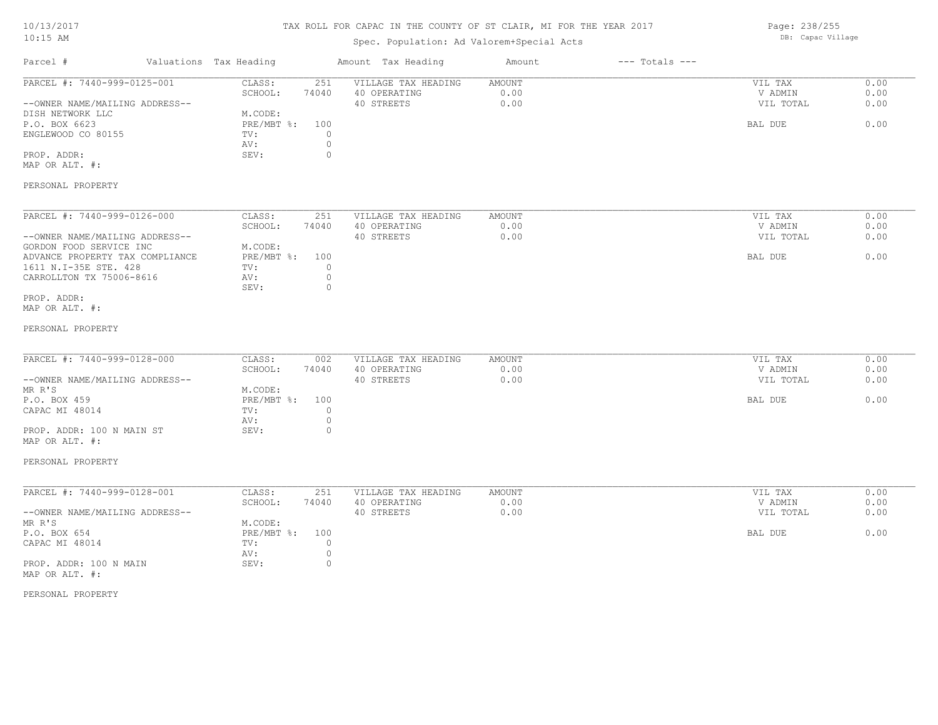# TAX ROLL FOR CAPAC IN THE COUNTY OF ST CLAIR, MI FOR THE YEAR 2017

# Spec. Population: Ad Valorem+Special Acts

Page: 238/255 DB: Capac Village

| Parcel #                                                                                                                                                                                                          | Valuations Tax Heading                                                                                                         | Amount Tax Heading                                | Amount                        | $---$ Totals $---$ |                                            |                              |
|-------------------------------------------------------------------------------------------------------------------------------------------------------------------------------------------------------------------|--------------------------------------------------------------------------------------------------------------------------------|---------------------------------------------------|-------------------------------|--------------------|--------------------------------------------|------------------------------|
| PARCEL #: 7440-999-0125-001<br>--OWNER NAME/MAILING ADDRESS--<br>DISH NETWORK LLC<br>P.O. BOX 6623<br>ENGLEWOOD CO 80155<br>PROP. ADDR:<br>MAP OR ALT. #:                                                         | CLASS:<br>251<br>SCHOOL:<br>74040<br>M.CODE:<br>PRE/MBT %:<br>100<br>$\circ$<br>TV:<br>$\circ$<br>AV:<br>$\circ$<br>SEV:       | VILLAGE TAX HEADING<br>40 OPERATING<br>40 STREETS | AMOUNT<br>0.00<br>0.00        |                    | VIL TAX<br>V ADMIN<br>VIL TOTAL<br>BAL DUE | 0.00<br>0.00<br>0.00<br>0.00 |
| PERSONAL PROPERTY                                                                                                                                                                                                 |                                                                                                                                |                                                   |                               |                    |                                            |                              |
| PARCEL #: 7440-999-0126-000<br>--OWNER NAME/MAILING ADDRESS--<br>GORDON FOOD SERVICE INC<br>ADVANCE PROPERTY TAX COMPLIANCE<br>1611 N.I-35E STE. 428<br>CARROLLTON TX 75006-8616<br>PROP. ADDR:<br>MAP OR ALT. #: | CLASS:<br>251<br>SCHOOL:<br>74040<br>M.CODE:<br>$PRE/MBT$ $\div$<br>100<br>$\circ$<br>TV:<br>$\circ$<br>AV:<br>SEV:<br>$\circ$ | VILLAGE TAX HEADING<br>40 OPERATING<br>40 STREETS | AMOUNT<br>0.00<br>0.00        |                    | VIL TAX<br>V ADMIN<br>VIL TOTAL<br>BAL DUE | 0.00<br>0.00<br>0.00<br>0.00 |
| PERSONAL PROPERTY                                                                                                                                                                                                 |                                                                                                                                |                                                   |                               |                    |                                            |                              |
| PARCEL #: 7440-999-0128-000<br>--OWNER NAME/MAILING ADDRESS--<br>MR R'S<br>P.O. BOX 459<br>CAPAC MI 48014<br>PROP. ADDR: 100 N MAIN ST<br>MAP OR ALT. #:<br>PERSONAL PROPERTY                                     | CLASS:<br>002<br>SCHOOL:<br>74040<br>M.CODE:<br>PRE/MBT %:<br>100<br>$\circ$<br>TV:<br>$\circ$<br>AV:<br>$\circ$<br>SEV:       | VILLAGE TAX HEADING<br>40 OPERATING<br>40 STREETS | <b>AMOUNT</b><br>0.00<br>0.00 |                    | VIL TAX<br>V ADMIN<br>VIL TOTAL<br>BAL DUE | 0.00<br>0.00<br>0.00<br>0.00 |
| PARCEL #: 7440-999-0128-001<br>--OWNER NAME/MAILING ADDRESS--<br>MR R'S<br>P.O. BOX 654<br>CAPAC MI 48014<br>PROP. ADDR: 100 N MAIN<br>MAP OR ALT. #:                                                             | CLASS:<br>251<br>SCHOOL:<br>74040<br>M.CODE:<br>PRE/MBT %:<br>100<br>$\circ$<br>TV:<br>$\circ$<br>AV:<br>SEV:<br>$\circ$       | VILLAGE TAX HEADING<br>40 OPERATING<br>40 STREETS | AMOUNT<br>0.00<br>0.00        |                    | VIL TAX<br>V ADMIN<br>VIL TOTAL<br>BAL DUE | 0.00<br>0.00<br>0.00<br>0.00 |
| PERSONAL PROPERTY                                                                                                                                                                                                 |                                                                                                                                |                                                   |                               |                    |                                            |                              |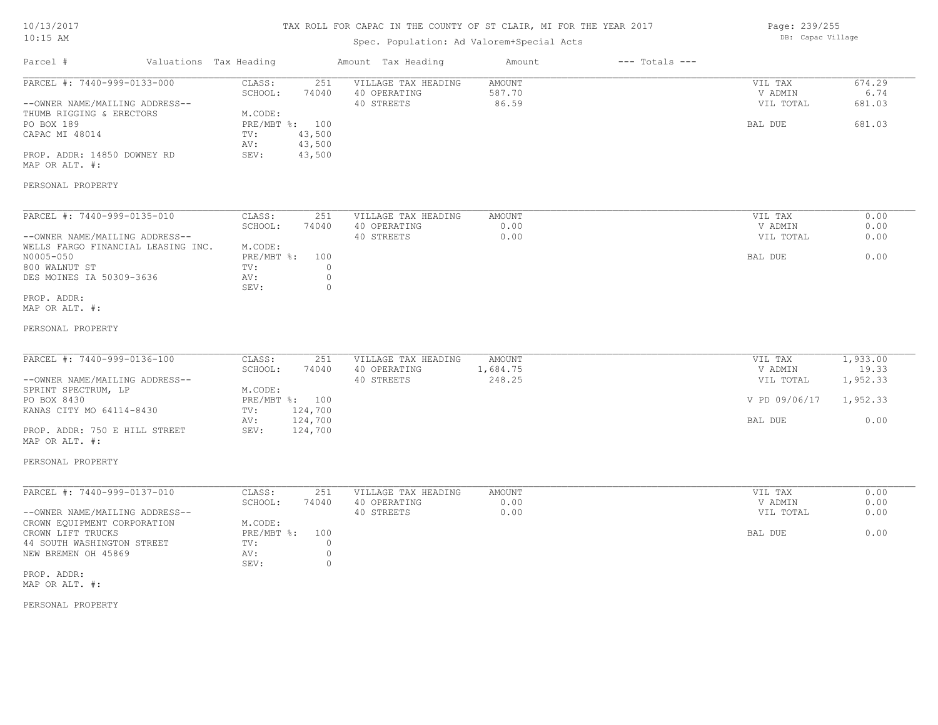# TAX ROLL FOR CAPAC IN THE COUNTY OF ST CLAIR, MI FOR THE YEAR 2017

# Spec. Population: Ad Valorem+Special Acts

Page: 239/255 DB: Capac Village

| Parcel #                                                                                                                                                                                                | Valuations Tax Heading                                                                                                       | Amount Tax Heading                                | Amount                           | $---$ Totals $---$ |                                                             |                                                   |
|---------------------------------------------------------------------------------------------------------------------------------------------------------------------------------------------------------|------------------------------------------------------------------------------------------------------------------------------|---------------------------------------------------|----------------------------------|--------------------|-------------------------------------------------------------|---------------------------------------------------|
| PARCEL #: 7440-999-0133-000<br>--OWNER NAME/MAILING ADDRESS--<br>THUMB RIGGING & ERECTORS<br>PO BOX 189<br>CAPAC MI 48014<br>PROP. ADDR: 14850 DOWNEY RD<br>MAP OR ALT. #:                              | CLASS:<br>251<br>SCHOOL:<br>74040<br>M.CODE:<br>PRE/MBT %: 100<br>43,500<br>TV:<br>43,500<br>AV:<br>43,500<br>SEV:           | VILLAGE TAX HEADING<br>40 OPERATING<br>40 STREETS | <b>AMOUNT</b><br>587.70<br>86.59 |                    | VIL TAX<br>V ADMIN<br>VIL TOTAL<br>BAL DUE                  | 674.29<br>6.74<br>681.03<br>681.03                |
| PERSONAL PROPERTY                                                                                                                                                                                       |                                                                                                                              |                                                   |                                  |                    |                                                             |                                                   |
| PARCEL #: 7440-999-0135-010<br>--OWNER NAME/MAILING ADDRESS--<br>WELLS FARGO FINANCIAL LEASING INC.<br>N0005-050<br>800 WALNUT ST<br>DES MOINES IA 50309-3636<br>PROP. ADDR:<br>MAP OR ALT. #:          | CLASS:<br>251<br>SCHOOL:<br>74040<br>M.CODE:<br>PRE/MBT %:<br>100<br>$\circ$<br>TV:<br>$\mathbb O$<br>AV:<br>SEV:<br>$\circ$ | VILLAGE TAX HEADING<br>40 OPERATING<br>40 STREETS | <b>AMOUNT</b><br>0.00<br>0.00    |                    | VIL TAX<br>V ADMIN<br>VIL TOTAL<br>BAL DUE                  | 0.00<br>0.00<br>0.00<br>0.00                      |
| PERSONAL PROPERTY                                                                                                                                                                                       |                                                                                                                              |                                                   |                                  |                    |                                                             |                                                   |
| PARCEL #: 7440-999-0136-100<br>--OWNER NAME/MAILING ADDRESS--<br>SPRINT SPECTRUM, LP<br>PO BOX 8430<br>KANAS CITY MO 64114-8430<br>PROP. ADDR: 750 E HILL STREET<br>MAP OR ALT. #:<br>PERSONAL PROPERTY | CLASS:<br>251<br>SCHOOL:<br>74040<br>M.CODE:<br>PRE/MBT %: 100<br>124,700<br>TV:<br>124,700<br>AV:<br>124,700<br>SEV:        | VILLAGE TAX HEADING<br>40 OPERATING<br>40 STREETS | AMOUNT<br>1,684.75<br>248.25     |                    | VIL TAX<br>V ADMIN<br>VIL TOTAL<br>V PD 09/06/17<br>BAL DUE | 1,933.00<br>19.33<br>1,952.33<br>1,952.33<br>0.00 |
|                                                                                                                                                                                                         |                                                                                                                              |                                                   |                                  |                    |                                                             |                                                   |
| PARCEL #: 7440-999-0137-010<br>--OWNER NAME/MAILING ADDRESS--<br>CROWN EQUIPMENT CORPORATION<br>CROWN LIFT TRUCKS<br>44 SOUTH WASHINGTON STREET                                                         | CLASS:<br>251<br>SCHOOL:<br>74040<br>M.CODE:<br>PRE/MBT %:<br>100<br>TV:<br>$\circ$                                          | VILLAGE TAX HEADING<br>40 OPERATING<br>40 STREETS | <b>AMOUNT</b><br>0.00<br>0.00    |                    | VIL TAX<br>V ADMIN<br>VIL TOTAL<br>BAL DUE                  | 0.00<br>0.00<br>0.00<br>0.00                      |
| NEW BREMEN OH 45869<br>PROP. ADDR:<br>MAP OR ALT. #:                                                                                                                                                    | $\circ$<br>AV:<br>$\circ$<br>SEV:                                                                                            |                                                   |                                  |                    |                                                             |                                                   |
|                                                                                                                                                                                                         |                                                                                                                              |                                                   |                                  |                    |                                                             |                                                   |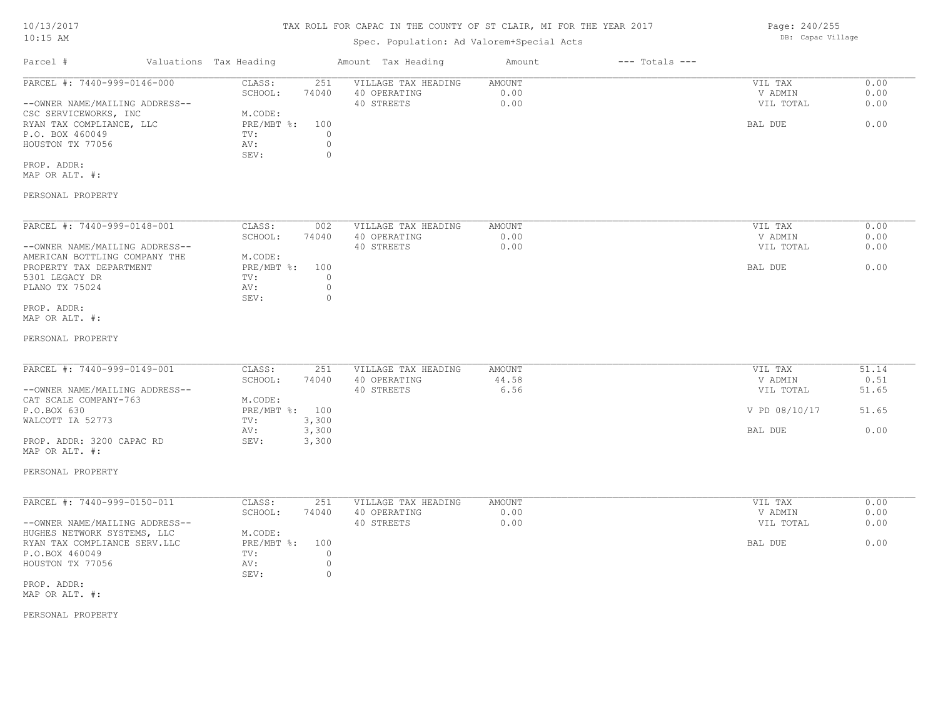#### TAX ROLL FOR CAPAC IN THE COUNTY OF ST CLAIR, MI FOR THE YEAR 2017

### Spec. Population: Ad Valorem+Special Acts

Parcel # Valuations Tax Heading Amount Tax Heading Amount --- Totals ---PROP. ADDR: SEV: 0  $\begin{array}{ccccccccc} \text{AU} : & & & & \text{A} \text{V} : & & & \text{O} \text{U} \text{V} & & & \text{A} \text{V} : & & \text{A} \text{V} : & & \text{A} \text{V} : & & \text{A} \text{V} : & & \text{A} \text{V} : & & \text{A} \text{V} : & & \text{A} \text{V} : & & \text{A} \text{V} : & & \text{A} \text{V} : & & \text{A} \text{V} : & & \text{A} \text{V} : & & \text{A} \text{V} : & & \text{A} \text{V} : & &$ P.O. BOX 460049 TV: 0 RYAN TAX COMPLIANCE, LLC BRE/MBT %: 100 BAL DUE 6.00 CSC SERVICEWORKS, INC M.CODE: --OWNER NAME/MAILING ADDRESS-- 40 STREETS 0.00 VIL TOTAL 0.00 SCHOOL: 74040 40 OPERATING 0.00 V ADMIN 0.00 PARCEL #: 7440-999-0146-000 CLASS: 251 VILLAGE TAX HEADING AMOUNT AUGUST 20.00 VIL TAX 0.00<br>SCHOOL: 74040 40 OPERATING 0.00 0.00 VADMIN 0.00  $\mathcal{L}_\mathcal{L} = \mathcal{L}_\mathcal{L} = \mathcal{L}_\mathcal{L} = \mathcal{L}_\mathcal{L} = \mathcal{L}_\mathcal{L} = \mathcal{L}_\mathcal{L} = \mathcal{L}_\mathcal{L} = \mathcal{L}_\mathcal{L} = \mathcal{L}_\mathcal{L} = \mathcal{L}_\mathcal{L} = \mathcal{L}_\mathcal{L} = \mathcal{L}_\mathcal{L} = \mathcal{L}_\mathcal{L} = \mathcal{L}_\mathcal{L} = \mathcal{L}_\mathcal{L} = \mathcal{L}_\mathcal{L} = \mathcal{L}_\mathcal{L}$ 

MAP OR ALT. #:

#### PERSONAL PROPERTY

| PARCEL #: 7440-999-0148-001    | CLASS:     | 002   | VILLAGE TAX HEADING | AMOUNT | 0.00<br>VIL TAX   |
|--------------------------------|------------|-------|---------------------|--------|-------------------|
|                                | SCHOOL:    | 74040 | 40 OPERATING        | 0.00   | 0.00<br>V ADMIN   |
| --OWNER NAME/MAILING ADDRESS-- |            |       | 40 STREETS          | 0.00   | 0.00<br>VIL TOTAL |
| AMERICAN BOTTLING COMPANY THE  | M.CODE:    |       |                     |        |                   |
| PROPERTY TAX DEPARTMENT        | PRE/MBT %: | 100   |                     |        | 0.00<br>BAL DUE   |
| 5301 LEGACY DR                 | TV:        |       |                     |        |                   |
| PLANO TX 75024                 | AV:        |       |                     |        |                   |
|                                | SEV:       |       |                     |        |                   |
| PROP. ADDR:                    |            |       |                     |        |                   |

MAP OR ALT. #:

#### PERSONAL PROPERTY

| PARCEL #: 7440-999-0149-001    | CLASS:         | 251   | VILLAGE TAX HEADING | AMOUNT | VIL TAX       | 51.14 |
|--------------------------------|----------------|-------|---------------------|--------|---------------|-------|
|                                | SCHOOL:        | 74040 | 40 OPERATING        | 44.58  | V ADMIN       | 0.51  |
| --OWNER NAME/MAILING ADDRESS-- |                |       | 40 STREETS          | 6.56   | VIL TOTAL     | 51.65 |
| CAT SCALE COMPANY-763          | M.CODE:        |       |                     |        |               |       |
| P.O.BOX 630                    | PRE/MBT %: 100 |       |                     |        | V PD 08/10/17 | 51.65 |
| WALCOTT IA 52773               | TV:            | 3,300 |                     |        |               |       |
|                                | AV:            | 3,300 |                     |        | BAL DUE       | 0.00  |
| PROP. ADDR: 3200 CAPAC RD      | SEV:           | 3,300 |                     |        |               |       |

PERSONAL PROPERTY

MAP OR ALT. #:

| PARCEL #: 7440-999-0150-011    | CLASS:     | 251   | VILLAGE TAX HEADING | AMOUNT | 0.00<br>VIL TAX   |
|--------------------------------|------------|-------|---------------------|--------|-------------------|
|                                | SCHOOL:    | 74040 | 40 OPERATING        | 0.00   | 0.00<br>V ADMIN   |
| --OWNER NAME/MAILING ADDRESS-- |            |       | 40 STREETS          | 0.00   | 0.00<br>VIL TOTAL |
| HUGHES NETWORK SYSTEMS, LLC    | M.CODE:    |       |                     |        |                   |
| RYAN TAX COMPLIANCE SERV.LLC   | PRE/MBT %: | 100   |                     |        | 0.00<br>BAL DUE   |
| P.O.BOX 460049                 | TV:        |       |                     |        |                   |
| HOUSTON TX 77056               | AV:        |       |                     |        |                   |
|                                | SEV:       |       |                     |        |                   |
| PROP. ADDR:                    |            |       |                     |        |                   |

MAP OR ALT. #:

PERSONAL PROPERTY

Page: 240/255 DB: Capac Village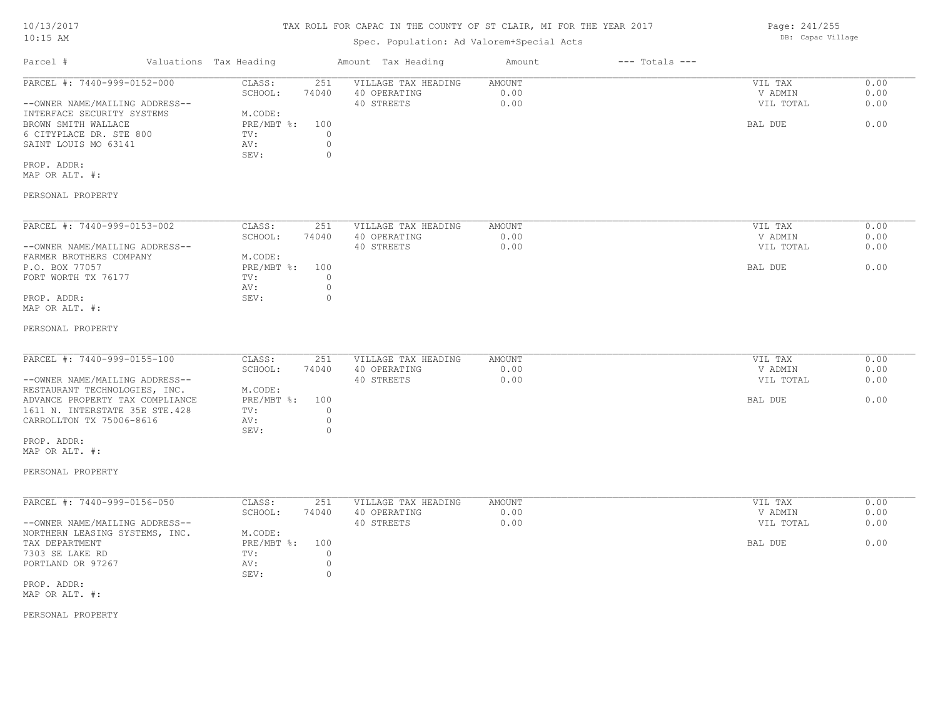### Spec. Population: Ad Valorem+Special Acts

Parcel # Valuations Tax Heading Amount Tax Heading Amount --- Totals ---PERSONAL PROPERTY MAP OR ALT. #: PROP. ADDR: SEV: 0 SAINT LOUIS MO 63141 AV: 0 6 CITYPLACE DR. STE 800 TV: 0 BROWN SMITH WALLACE PRE/MBT %: 100 BAL DUE 0.00 INTERFACE SECURITY SYSTEMS M.CODE:<br>BROWN SMITH WALLACE FRE/MBT %: --OWNER NAME/MAILING ADDRESS-- 40 STREETS 0.00 VIL TOTAL 0.00 SCHOOL: 74040 40 OPERATING 0.00 V ADMIN 0.00 PARCEL #: 7440-999-0152-000 CLASS: 251 VILLAGE TAX HEADING AMOUNT AMOUNT VIL TAX 0.00<br>SCHOOL: 74040 40 OPERATING 0.00 0.00 VADMIN 0.00  $\mathcal{L}_\mathcal{L} = \mathcal{L}_\mathcal{L} = \mathcal{L}_\mathcal{L} = \mathcal{L}_\mathcal{L} = \mathcal{L}_\mathcal{L} = \mathcal{L}_\mathcal{L} = \mathcal{L}_\mathcal{L} = \mathcal{L}_\mathcal{L} = \mathcal{L}_\mathcal{L} = \mathcal{L}_\mathcal{L} = \mathcal{L}_\mathcal{L} = \mathcal{L}_\mathcal{L} = \mathcal{L}_\mathcal{L} = \mathcal{L}_\mathcal{L} = \mathcal{L}_\mathcal{L} = \mathcal{L}_\mathcal{L} = \mathcal{L}_\mathcal{L}$ PERSONAL PROPERTY MAP OR ALT. #: PROP. ADDR: 0 AV: 0 FORT WORTH TX 76177 TV: 0<br>
AV: 0 P.O. BOX 77057 PREMBT %: 100 PRE/MBT %: 100 PRE/MBT %: 100 BAL DUE 6.00 FARMER BROTHERS COMPANY M.CODE:<br>P.O. BOX 77057 PRE/MBT %: --OWNER NAME/MAILING ADDRESS-- 40 STREETS 0.00 VIL TOTAL 0.00 SCHOOL: 74040 40 OPERATING 0.00 V ADMIN 0.00 PARCEL #: 7440-999-0153-002 CLASS: 251 VILLAGE TAX HEADING AMOUNT AUGUST 2010 VIL TAX 0.00 PERSONAL PROPERTY MAP OR ALT. #: PROP. ADDR: SEV: 0 CARROLLTON TX 75006-8616 AV: 0<br>SEV: 0 1611 N. INTERSTATE 35E STE.428 TV: 0 ADVANCE PROPERTY TAX COMPLIANCE PRE/MBT %: 100 BAL DUE 6.00 RESTAURANT TECHNOLOGIES, INC. M.CODE: --OWNER NAME/MAILING ADDRESS-- 40 STREETS 0.00 VIL TOTAL 0.00 SCHOOL: 74040 40 OPERATING 0.00 V ADMIN 0.00 PARCEL #: 7440-999-0155-100 CLASS: 251 VILLAGE TAX HEADING AMOUNT VIL TAX 0.00  $\mathcal{L}_\mathcal{L} = \mathcal{L}_\mathcal{L} = \mathcal{L}_\mathcal{L} = \mathcal{L}_\mathcal{L} = \mathcal{L}_\mathcal{L} = \mathcal{L}_\mathcal{L} = \mathcal{L}_\mathcal{L} = \mathcal{L}_\mathcal{L} = \mathcal{L}_\mathcal{L} = \mathcal{L}_\mathcal{L} = \mathcal{L}_\mathcal{L} = \mathcal{L}_\mathcal{L} = \mathcal{L}_\mathcal{L} = \mathcal{L}_\mathcal{L} = \mathcal{L}_\mathcal{L} = \mathcal{L}_\mathcal{L} = \mathcal{L}_\mathcal{L}$ PERSONAL PROPERTY MAP OR ALT. #: PROP. ADDR: SEV: 0 PORTLAND OR 97267 AV: 0 and 0 and 0 and 0 and 0 and 0 and 0 and 0 and 0 and 0 and 0 and 0 and 0 and 0 and 0 and 0 and 0 and 0 and 0 and 0 and 0 and 0 and 0 and 0 and 0 and 0 and 0 and 0 and 0 and 0 and 0 and 0 and 0 and 0 7303 SE LAKE RD TV: 0 TAX DEPARTMENT TAX PRE/MBT %: 100 BAL DUE 0.00 NORTHERN LEASING SYSTEMS, INC. M.CODE:<br>TAX DEPARTMENT FRE/MBT \$: --OWNER NAME/MAILING ADDRESS-- 40 STREETS 0.00 VIL TOTAL 0.00 SCHOOL: 74040 40 OPERATING 0.00 V ADMIN 0.00 PARCEL #: 7440-999-0156-050 CLASS: 251 VILLAGE TAX HEADING AMOUNT VIL TAX 0.00

Page: 241/255 DB: Capac Village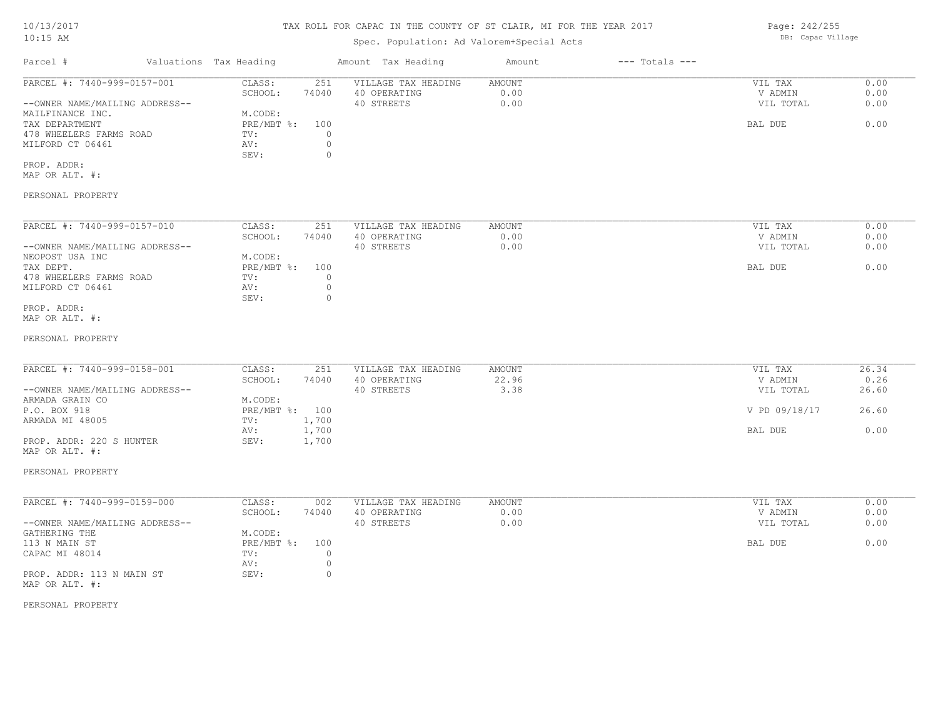# TAX ROLL FOR CAPAC IN THE COUNTY OF ST CLAIR, MI FOR THE YEAR 2017

# Spec. Population: Ad Valorem+Special Acts

| Parcel #                       | Valuations Tax Heading |       | Amount Tax Heading  | Amount | $---$ Totals $---$ |           |      |
|--------------------------------|------------------------|-------|---------------------|--------|--------------------|-----------|------|
| PARCEL #: 7440-999-0157-001    | CLASS:                 | 251   | VILLAGE TAX HEADING | AMOUNT |                    | VIL TAX   | 0.00 |
|                                | SCHOOL:                | 74040 | 40 OPERATING        | 0.00   |                    | V ADMIN   | 0.00 |
| --OWNER NAME/MAILING ADDRESS-- |                        |       | 40 STREETS          | 0.00   |                    | VIL TOTAL | 0.00 |
| MAILFINANCE INC.               | M.CODE:                |       |                     |        |                    |           |      |
| TAX DEPARTMENT                 | PRE/MBT %:             | 100   |                     |        |                    | BAL DUE   | 0.00 |
| 478 WHEELERS FARMS ROAD        | TV:                    |       |                     |        |                    |           |      |
| MILFORD CT 06461               | AV:                    |       |                     |        |                    |           |      |
|                                | SEV:                   |       |                     |        |                    |           |      |
| PROP. ADDR:                    |                        |       |                     |        |                    |           |      |

MAP OR ALT. #:

### PERSONAL PROPERTY

| PARCEL #: 7440-999-0157-010    | CLASS:       | 251   | VILLAGE TAX HEADING | AMOUNT | VIL TAX   | 0.00 |
|--------------------------------|--------------|-------|---------------------|--------|-----------|------|
|                                | SCHOOL:      | 74040 | 40 OPERATING        | 0.00   | V ADMIN   | 0.00 |
| --OWNER NAME/MAILING ADDRESS-- |              |       | 40 STREETS          | 0.00   | VIL TOTAL | 0.00 |
| NEOPOST USA INC                | M.CODE:      |       |                     |        |           |      |
| TAX DEPT.                      | $PRE/MBT$ %: | 100   |                     |        | BAL DUE   | 0.00 |
| 478 WHEELERS FARMS ROAD        | TV:          |       |                     |        |           |      |
| MILFORD CT 06461               | AV:          |       |                     |        |           |      |
|                                | SEV:         | (     |                     |        |           |      |
| PROP. ADDR:                    |              |       |                     |        |           |      |

MAP OR ALT. #:

#### PERSONAL PROPERTY

| PARCEL #: 7440-999-0158-001    | CLASS:         | 251   | VILLAGE TAX HEADING | AMOUNT | VIL TAX       | 26.34 |
|--------------------------------|----------------|-------|---------------------|--------|---------------|-------|
|                                |                |       |                     |        |               |       |
|                                | SCHOOL:        | 74040 | 40 OPERATING        | 22.96  | V ADMIN       | 0.26  |
| --OWNER NAME/MAILING ADDRESS-- |                |       | 40 STREETS          | 3.38   | VIL TOTAL     | 26.60 |
| ARMADA GRAIN CO                | M.CODE:        |       |                     |        |               |       |
| P.O. BOX 918                   | PRE/MBT %: 100 |       |                     |        | V PD 09/18/17 | 26.60 |
| ARMADA MI 48005                | TV:            | 1,700 |                     |        |               |       |
|                                | AV:            | 1,700 |                     |        | BAL DUE       | 0.00  |
| PROP. ADDR: 220 S HUNTER       | SEV:           | 1,700 |                     |        |               |       |

PERSONAL PROPERTY

MAP OR ALT. #:

| PARCEL #: 7440-999-0159-000    | CLASS:       | 002   | VILLAGE TAX HEADING | AMOUNT | VIL TAX   | 0.00 |
|--------------------------------|--------------|-------|---------------------|--------|-----------|------|
|                                | SCHOOL:      | 74040 | 40 OPERATING        | 0.00   | V ADMIN   | 0.00 |
| --OWNER NAME/MAILING ADDRESS-- |              |       | 40 STREETS          | 0.00   | VIL TOTAL | 0.00 |
| GATHERING THE                  | M.CODE:      |       |                     |        |           |      |
| 113 N MAIN ST                  | $PRE/MBT$ %: | 100   |                     |        | BAL DUE   | 0.00 |
| CAPAC MI 48014                 | TV:          |       |                     |        |           |      |
|                                | AV:          |       |                     |        |           |      |
| PROP. ADDR: 113 N MAIN ST      | SEV:         |       |                     |        |           |      |
| MAP OR ALT. #:                 |              |       |                     |        |           |      |

PERSONAL PROPERTY

Page: 242/255 DB: Capac Village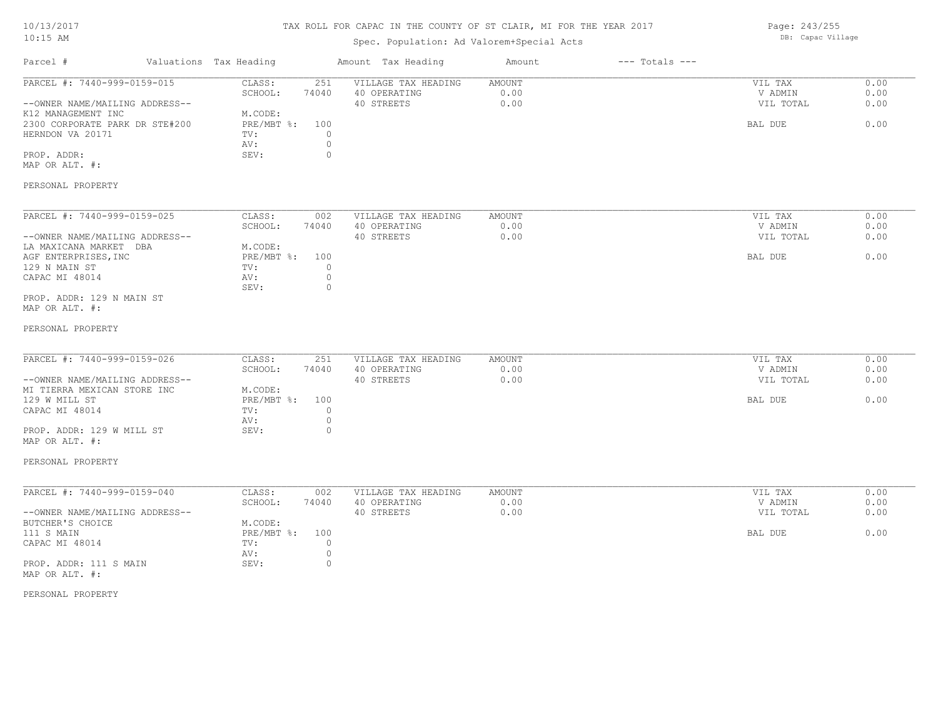# TAX ROLL FOR CAPAC IN THE COUNTY OF ST CLAIR, MI FOR THE YEAR 2017

# Spec. Population: Ad Valorem+Special Acts

Page: 243/255 DB: Capac Village

| Parcel #                                                      | Valuations Tax Heading |                   |                    | Amount Tax Heading                                | Amount                 | $---$ Totals $---$ |                                 |                      |
|---------------------------------------------------------------|------------------------|-------------------|--------------------|---------------------------------------------------|------------------------|--------------------|---------------------------------|----------------------|
| PARCEL #: 7440-999-0159-015<br>--OWNER NAME/MAILING ADDRESS-- |                        | CLASS:<br>SCHOOL: | 251<br>74040       | VILLAGE TAX HEADING<br>40 OPERATING<br>40 STREETS | AMOUNT<br>0.00<br>0.00 |                    | VIL TAX<br>V ADMIN<br>VIL TOTAL | 0.00<br>0.00<br>0.00 |
| K12 MANAGEMENT INC                                            |                        | M.CODE:           |                    |                                                   |                        |                    |                                 |                      |
| 2300 CORPORATE PARK DR STE#200                                |                        | $PRE/MBT$ $\div$  | 100                |                                                   |                        |                    | BAL DUE                         | 0.00                 |
| HERNDON VA 20171                                              |                        | TV:<br>AV:        | $\circ$<br>$\circ$ |                                                   |                        |                    |                                 |                      |
| PROP. ADDR:                                                   |                        | SEV:              | $\circ$            |                                                   |                        |                    |                                 |                      |
| MAP OR ALT. #:                                                |                        |                   |                    |                                                   |                        |                    |                                 |                      |
| PERSONAL PROPERTY                                             |                        |                   |                    |                                                   |                        |                    |                                 |                      |
| PARCEL #: 7440-999-0159-025                                   |                        | CLASS:            | 002                | VILLAGE TAX HEADING                               | AMOUNT                 |                    | VIL TAX                         | 0.00                 |
|                                                               |                        | SCHOOL:           | 74040              | 40 OPERATING                                      | 0.00                   |                    | V ADMIN                         | 0.00                 |
| --OWNER NAME/MAILING ADDRESS--<br>LA MAXICANA MARKET DBA      |                        | M.CODE:           |                    | 40 STREETS                                        | 0.00                   |                    | VIL TOTAL                       | 0.00                 |
| AGF ENTERPRISES, INC                                          |                        | PRE/MBT %:        | 100                |                                                   |                        |                    | BAL DUE                         | 0.00                 |
| 129 N MAIN ST                                                 |                        | TV:               | $\circ$            |                                                   |                        |                    |                                 |                      |
| CAPAC MI 48014                                                |                        | AV:               | $\circ$            |                                                   |                        |                    |                                 |                      |
| PROP. ADDR: 129 N MAIN ST                                     |                        | SEV:              | $\circ$            |                                                   |                        |                    |                                 |                      |
| MAP OR ALT. #:                                                |                        |                   |                    |                                                   |                        |                    |                                 |                      |
| PERSONAL PROPERTY                                             |                        |                   |                    |                                                   |                        |                    |                                 |                      |
|                                                               |                        |                   |                    |                                                   |                        |                    |                                 |                      |
| PARCEL #: 7440-999-0159-026                                   |                        | CLASS:<br>SCHOOL: | 251<br>74040       | VILLAGE TAX HEADING<br>40 OPERATING               | AMOUNT<br>0.00         |                    | VIL TAX<br>V ADMIN              | 0.00<br>0.00         |
| --OWNER NAME/MAILING ADDRESS--                                |                        |                   |                    | 40 STREETS                                        | 0.00                   |                    | VIL TOTAL                       | 0.00                 |
| MI TIERRA MEXICAN STORE INC                                   |                        | M.CODE:           |                    |                                                   |                        |                    |                                 |                      |
| 129 W MILL ST                                                 |                        | PRE/MBT %:        | 100                |                                                   |                        |                    | BAL DUE                         | 0.00                 |
| CAPAC MI 48014                                                |                        | TV:               | $\circ$            |                                                   |                        |                    |                                 |                      |
|                                                               |                        | AV:               | $\circ$            |                                                   |                        |                    |                                 |                      |
| PROP. ADDR: 129 W MILL ST<br>MAP OR ALT. #:                   |                        | SEV:              | $\circ$            |                                                   |                        |                    |                                 |                      |
| PERSONAL PROPERTY                                             |                        |                   |                    |                                                   |                        |                    |                                 |                      |
| PARCEL #: 7440-999-0159-040                                   |                        | CLASS:            | 002                | VILLAGE TAX HEADING                               | AMOUNT                 |                    | VIL TAX                         | 0.00                 |
|                                                               |                        | SCHOOL:           | 74040              | 40 OPERATING                                      | 0.00                   |                    | V ADMIN                         | 0.00                 |
| --OWNER NAME/MAILING ADDRESS--                                |                        |                   |                    | 40 STREETS                                        | 0.00                   |                    | VIL TOTAL                       | 0.00                 |
| BUTCHER'S CHOICE                                              |                        | M.CODE:           |                    |                                                   |                        |                    |                                 |                      |
| 111 S MAIN                                                    |                        | $PRE/MBT$ %:      | 100                |                                                   |                        |                    | BAL DUE                         | 0.00                 |
| CAPAC MI 48014                                                |                        | TV:               | $\circ$            |                                                   |                        |                    |                                 |                      |
|                                                               |                        | AV:               | $\circ$            |                                                   |                        |                    |                                 |                      |
| PROP. ADDR: 111 S MAIN<br>MAP OR ALT. #:                      |                        | SEV:              | $\circ$            |                                                   |                        |                    |                                 |                      |
|                                                               |                        |                   |                    |                                                   |                        |                    |                                 |                      |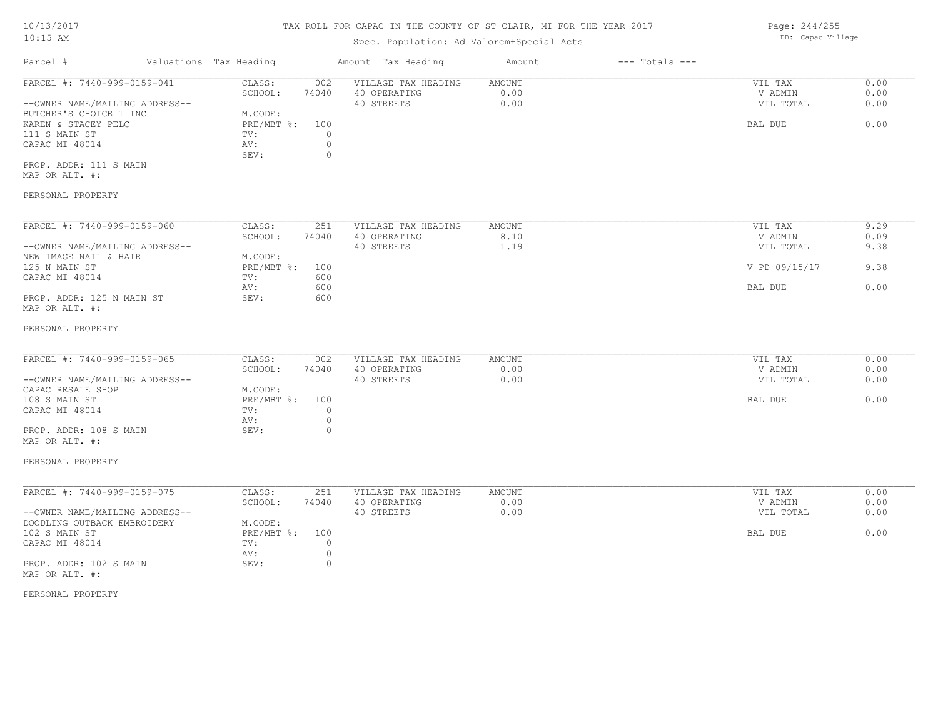### Spec. Population: Ad Valorem+Special Acts

Parcel # Valuations Tax Heading Amount Tax Heading Amount --- Totals ---PROP. ADDR: 111 S MAIN SEV: 0 CAPAC MI 48014  $\qquad \qquad \text{AV:} \qquad \qquad 0$ <br>SEV: 0 111 S MAIN ST TV: 0 KAREN & STACEY PELC **Example 3** PRE/MBT %: 100 BAL DUE BAL DUE 6.00 BUTCHER'S CHOICE 1 INC M.CODE: --OWNER NAME/MAILING ADDRESS-- 40 STREETS 0.00 VIL TOTAL 0.00 SCHOOL: 74040 40 OPERATING 0.00 V ADMIN 0.00 PARCEL #: 7440-999-0159-041 CLASS: 002 VILLAGE TAX HEADING AMOUNT AMOUNT VIL TAX 0.00<br>SCHOOL: 74040 40 OPERATING 0.00 000 VADMIN 0.00  $\mathcal{L}_\mathcal{L} = \mathcal{L}_\mathcal{L} = \mathcal{L}_\mathcal{L} = \mathcal{L}_\mathcal{L} = \mathcal{L}_\mathcal{L} = \mathcal{L}_\mathcal{L} = \mathcal{L}_\mathcal{L} = \mathcal{L}_\mathcal{L} = \mathcal{L}_\mathcal{L} = \mathcal{L}_\mathcal{L} = \mathcal{L}_\mathcal{L} = \mathcal{L}_\mathcal{L} = \mathcal{L}_\mathcal{L} = \mathcal{L}_\mathcal{L} = \mathcal{L}_\mathcal{L} = \mathcal{L}_\mathcal{L} = \mathcal{L}_\mathcal{L}$ 

MAP OR ALT. #:

#### PERSONAL PROPERTY

| PARCEL #: 7440-999-0159-060    | CLASS:     | 251   | VILLAGE TAX HEADING | AMOUNT | VIL TAX       | 9.29 |
|--------------------------------|------------|-------|---------------------|--------|---------------|------|
|                                | SCHOOL:    | 74040 | 40 OPERATING        | 8.10   | V ADMIN       | 0.09 |
| --OWNER NAME/MAILING ADDRESS-- |            |       | 40 STREETS          | 1.19   | VIL TOTAL     | 9.38 |
| NEW IMAGE NAIL & HAIR          | M.CODE:    |       |                     |        |               |      |
| 125 N MAIN ST                  | PRE/MBT %: | 100   |                     |        | V PD 09/15/17 | 9.38 |
| CAPAC MI 48014                 | TV:        | 600   |                     |        |               |      |
|                                | AV:        | 600   |                     |        | BAL DUE       | 0.00 |
| PROP. ADDR: 125 N MAIN ST      | SEV:       | 600   |                     |        |               |      |
| MAP OR ALT. #:                 |            |       |                     |        |               |      |

#### PERSONAL PROPERTY

| 74040<br>40 OPERATING<br>0.00<br>SCHOOL:<br>V ADMIN<br>0.00<br>VIL TOTAL<br>40 STREETS<br>M.CODE: | PARCEL #: 7440-999-0159-065<br>AMOUNT<br>CLASS:<br>VILLAGE TAX HEADING<br>002 | VIL TAX<br>0.00 |
|---------------------------------------------------------------------------------------------------|-------------------------------------------------------------------------------|-----------------|
| --OWNER NAME/MAILING ADDRESS--<br>CAPAC RESALE SHOP                                               |                                                                               | 0.00            |
|                                                                                                   |                                                                               | 0.00            |
|                                                                                                   |                                                                               |                 |
| 108 S MAIN ST                                                                                     | $PRE/MBT$ %:<br>100                                                           | 0.00<br>BAL DUE |
| CAPAC MI 48014<br>TV:                                                                             |                                                                               |                 |
| AV:                                                                                               |                                                                               |                 |
| PROP. ADDR: 108 S MAIN<br>SEV:                                                                    |                                                                               |                 |

# MAP OR ALT. #:

#### PERSONAL PROPERTY

| PARCEL #: 7440-999-0159-075    | CLASS:     | 251   | VILLAGE TAX HEADING | AMOUNT | VIL TAX   | 0.00 |
|--------------------------------|------------|-------|---------------------|--------|-----------|------|
|                                | SCHOOL:    | 74040 | 40 OPERATING        | 0.00   | V ADMIN   | 0.00 |
| --OWNER NAME/MAILING ADDRESS-- |            |       | 40 STREETS          | 0.00   | VIL TOTAL | 0.00 |
| DOODLING OUTBACK EMBROIDERY    | M.CODE:    |       |                     |        |           |      |
| 102 S MAIN ST                  | PRE/MBT %: | 100   |                     |        | BAL DUE   | 0.00 |
| CAPAC MI 48014                 | TV:        |       |                     |        |           |      |
|                                | AV:        |       |                     |        |           |      |
| PROP. ADDR: 102 S MAIN         | SEV:       |       |                     |        |           |      |
| MAP OR ALT. #:                 |            |       |                     |        |           |      |

#### PERSONAL PROPERTY

Page: 244/255 DB: Capac Village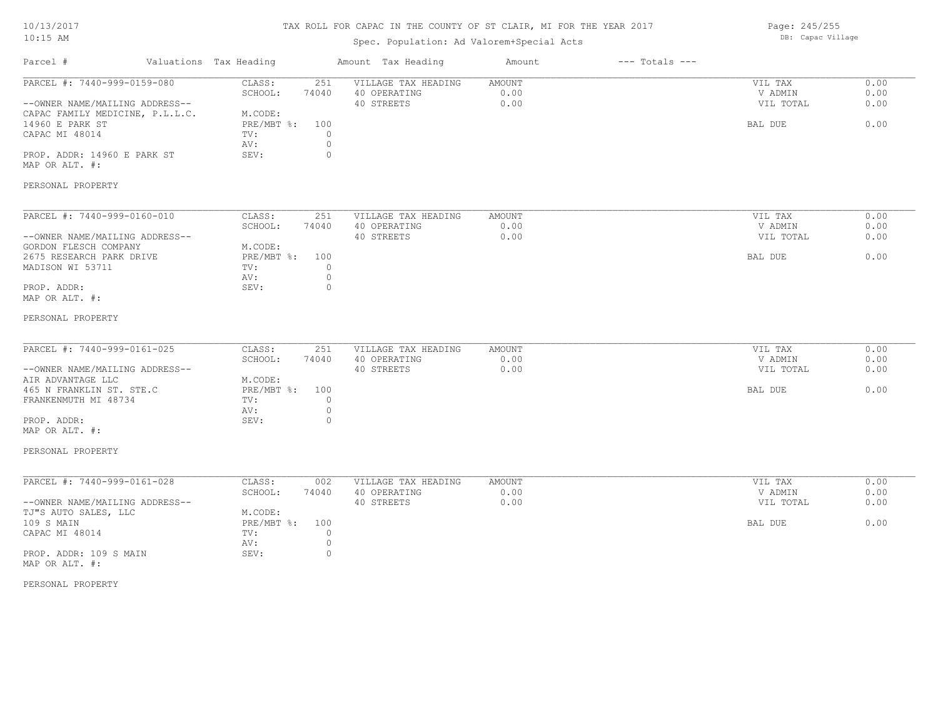# TAX ROLL FOR CAPAC IN THE COUNTY OF ST CLAIR, MI FOR THE YEAR 2017

# Spec. Population: Ad Valorem+Special Acts

Page: 245/255 DB: Capac Village

| Parcel #                                                                                                                                                                               | Valuations Tax Heading                                                                                                         | Amount Tax Heading                                | Amount                        | $---$ Totals $---$ |                                            |                              |
|----------------------------------------------------------------------------------------------------------------------------------------------------------------------------------------|--------------------------------------------------------------------------------------------------------------------------------|---------------------------------------------------|-------------------------------|--------------------|--------------------------------------------|------------------------------|
| PARCEL #: 7440-999-0159-080<br>--OWNER NAME/MAILING ADDRESS--<br>CAPAC FAMILY MEDICINE, P.L.L.C.<br>14960 E PARK ST<br>CAPAC MI 48014<br>PROP. ADDR: 14960 E PARK ST<br>MAP OR ALT. #: | CLASS:<br>251<br>SCHOOL:<br>74040<br>M.CODE:<br>$PRE/MBT$ $\div$<br>100<br>$\circ$<br>TV:<br>$\circ$<br>AV:<br>SEV:<br>$\circ$ | VILLAGE TAX HEADING<br>40 OPERATING<br>40 STREETS | AMOUNT<br>0.00<br>0.00        |                    | VIL TAX<br>V ADMIN<br>VIL TOTAL<br>BAL DUE | 0.00<br>0.00<br>0.00<br>0.00 |
| PERSONAL PROPERTY                                                                                                                                                                      |                                                                                                                                |                                                   |                               |                    |                                            |                              |
| PARCEL #: 7440-999-0160-010<br>--OWNER NAME/MAILING ADDRESS--<br>GORDON FLESCH COMPANY<br>2675 RESEARCH PARK DRIVE<br>MADISON WI 53711<br>PROP. ADDR:<br>MAP OR ALT. #:                | CLASS:<br>251<br>SCHOOL:<br>74040<br>M.CODE:<br>$PRE/MBT$ %:<br>100<br>$\circ$<br>TV:<br>$\circ$<br>AV:<br>$\circ$<br>SEV:     | VILLAGE TAX HEADING<br>40 OPERATING<br>40 STREETS | <b>AMOUNT</b><br>0.00<br>0.00 |                    | VIL TAX<br>V ADMIN<br>VIL TOTAL<br>BAL DUE | 0.00<br>0.00<br>0.00<br>0.00 |
| PERSONAL PROPERTY                                                                                                                                                                      |                                                                                                                                |                                                   |                               |                    |                                            |                              |
| PARCEL #: 7440-999-0161-025<br>--OWNER NAME/MAILING ADDRESS--<br>AIR ADVANTAGE LLC<br>465 N FRANKLIN ST. STE.C<br>FRANKENMUTH MI 48734<br>PROP. ADDR:<br>MAP OR ALT. #:                | CLASS:<br>251<br>SCHOOL:<br>74040<br>M.CODE:<br>PRE/MBT %:<br>100<br>TV:<br>$\circ$<br>$\circ$<br>AV:<br>$\circ$<br>SEV:       | VILLAGE TAX HEADING<br>40 OPERATING<br>40 STREETS | AMOUNT<br>0.00<br>0.00        |                    | VIL TAX<br>V ADMIN<br>VIL TOTAL<br>BAL DUE | 0.00<br>0.00<br>0.00<br>0.00 |
| PERSONAL PROPERTY                                                                                                                                                                      |                                                                                                                                |                                                   |                               |                    |                                            |                              |
| PARCEL #: 7440-999-0161-028<br>--OWNER NAME/MAILING ADDRESS--<br>TJ"S AUTO SALES, LLC<br>109 S MAIN<br>CAPAC MI 48014<br>PROP. ADDR: 109 S MAIN<br>MAP OR ALT. #:                      | CLASS:<br>002<br>SCHOOL:<br>74040<br>M.CODE:<br>$PRE/MBT$ $\div$<br>100<br>$\circ$<br>TV:<br>$\circ$<br>AV:<br>SEV:<br>$\circ$ | VILLAGE TAX HEADING<br>40 OPERATING<br>40 STREETS | AMOUNT<br>0.00<br>0.00        |                    | VIL TAX<br>V ADMIN<br>VIL TOTAL<br>BAL DUE | 0.00<br>0.00<br>0.00<br>0.00 |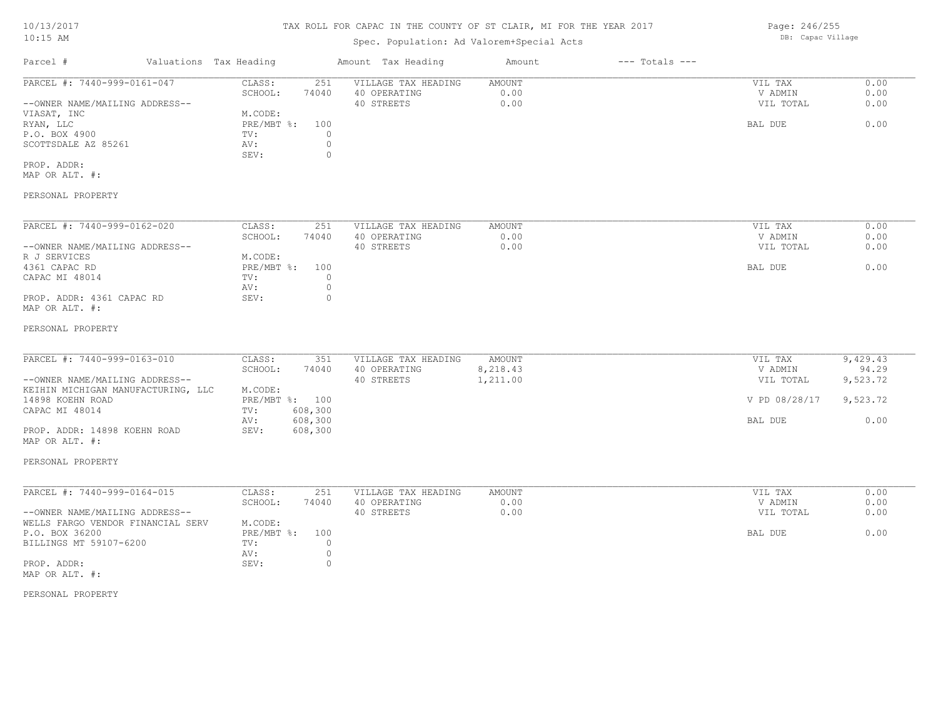# Spec. Population: Ad Valorem+Special Acts

| Parcel #                       | Valuations Tax Heading |       | Amount Tax Heading  | Amount | $---$ Totals $---$ |           |      |
|--------------------------------|------------------------|-------|---------------------|--------|--------------------|-----------|------|
| PARCEL #: 7440-999-0161-047    | CLASS:                 | 251   | VILLAGE TAX HEADING | AMOUNT |                    | VIL TAX   | 0.00 |
|                                | SCHOOL:                | 74040 | 40 OPERATING        | 0.00   |                    | V ADMIN   | 0.00 |
| --OWNER NAME/MAILING ADDRESS-- |                        |       | 40 STREETS          | 0.00   |                    | VIL TOTAL | 0.00 |
| VIASAT, INC                    | M.CODE:                |       |                     |        |                    |           |      |
| RYAN, LLC                      | PRE/MBT %: 100         |       |                     |        |                    | BAL DUE   | 0.00 |
| P.O. BOX 4900                  | TV:                    |       |                     |        |                    |           |      |
| SCOTTSDALE AZ 85261            | AV:                    |       |                     |        |                    |           |      |
|                                | SEV:                   |       |                     |        |                    |           |      |
| PROP. ADDR:                    |                        |       |                     |        |                    |           |      |

MAP OR ALT. #:

### PERSONAL PROPERTY

| PARCEL #: 7440-999-0162-020    | CLASS:     | 251   | VILLAGE TAX HEADING | AMOUNT | VIL TAX   | 0.00 |
|--------------------------------|------------|-------|---------------------|--------|-----------|------|
|                                | SCHOOL:    | 74040 | 40 OPERATING        | 0.00   | V ADMIN   | 0.00 |
| --OWNER NAME/MAILING ADDRESS-- |            |       | 40 STREETS          | 0.00   | VIL TOTAL | 0.00 |
| R J SERVICES                   | M.CODE:    |       |                     |        |           |      |
| 4361 CAPAC RD                  | PRE/MBT %: | 100   |                     |        | BAL DUE   | 0.00 |
| CAPAC MI 48014                 | TV:        |       |                     |        |           |      |
|                                | AV:        |       |                     |        |           |      |
| PROP. ADDR: 4361 CAPAC RD      | SEV:       |       |                     |        |           |      |
| MAP OR ALT. #:                 |            |       |                     |        |           |      |

#### PERSONAL PROPERTY

| PARCEL #: 7440-999-0163-010        | CLASS:  | 351            | VILLAGE TAX HEADING | AMOUNT   | VIL TAX       | 9,429.43 |
|------------------------------------|---------|----------------|---------------------|----------|---------------|----------|
|                                    | SCHOOL: | 74040          | 40 OPERATING        | 8,218.43 | V ADMIN       | 94.29    |
| --OWNER NAME/MAILING ADDRESS--     |         |                | 40 STREETS          | 1,211.00 | VIL TOTAL     | 9,523.72 |
| KEIHIN MICHIGAN MANUFACTURING, LLC | M.CODE: |                |                     |          |               |          |
| 14898 KOEHN ROAD                   |         | PRE/MBT %: 100 |                     |          | V PD 08/28/17 | 9,523.72 |
| CAPAC MI 48014                     | TV:     | 608,300        |                     |          |               |          |
|                                    | AV:     | 608,300        |                     |          | BAL DUE       | 0.00     |
| PROP. ADDR: 14898 KOEHN ROAD       | SEV:    | 608,300        |                     |          |               |          |

MAP OR ALT. #:

#### PERSONAL PROPERTY

| PARCEL #: 7440-999-0164-015       | CLASS:         | 251   | VILLAGE TAX HEADING | AMOUNT | VIL TAX   | 0.00 |
|-----------------------------------|----------------|-------|---------------------|--------|-----------|------|
|                                   | SCHOOL:        | 74040 | 40 OPERATING        | 0.00   | V ADMIN   | 0.00 |
| --OWNER NAME/MAILING ADDRESS--    |                |       | 40 STREETS          | 0.00   | VIL TOTAL | 0.00 |
| WELLS FARGO VENDOR FINANCIAL SERV | M.CODE:        |       |                     |        |           |      |
| P.O. BOX 36200                    | PRE/MBT %: 100 |       |                     |        | BAL DUE   | 0.00 |
| BILLINGS MT 59107-6200            | TV:            |       |                     |        |           |      |
|                                   | AV:            |       |                     |        |           |      |
| PROP. ADDR:                       | SEV:           |       |                     |        |           |      |
| MAP OR ALT. #:                    |                |       |                     |        |           |      |

#### PERSONAL PROPERTY

Page: 246/255 DB: Capac Village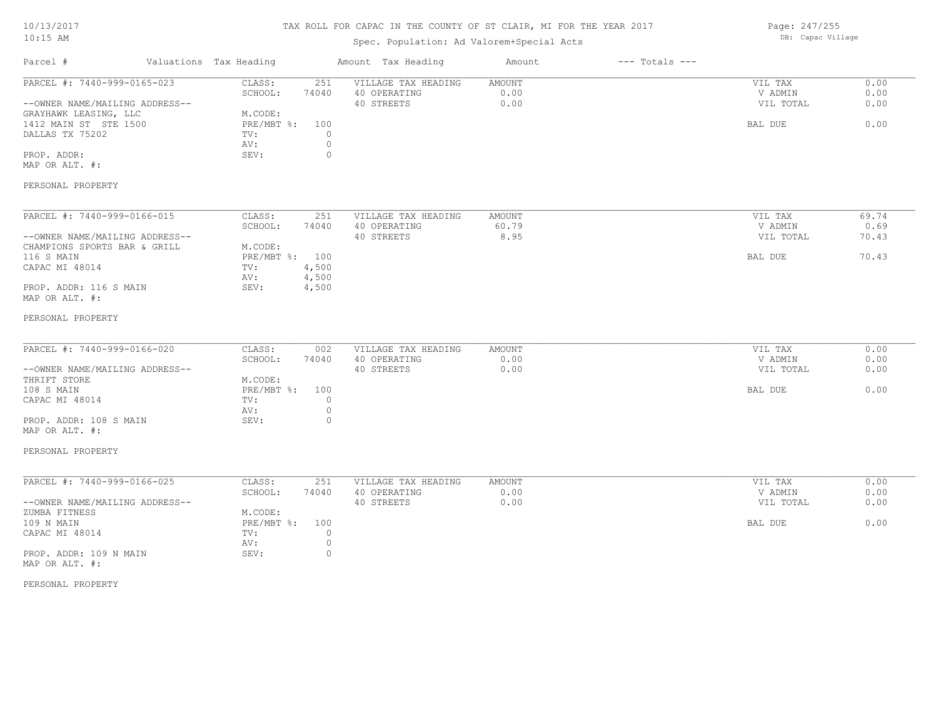# TAX ROLL FOR CAPAC IN THE COUNTY OF ST CLAIR, MI FOR THE YEAR 2017

# Spec. Population: Ad Valorem+Special Acts

Page: 247/255 DB: Capac Village

| Parcel #                                                                                                                                                                                       | Valuations Tax Heading                                                                                                     | Amount Tax Heading                                                                               | Amount                  | $---$ Totals $---$ |                                            |                                 |
|------------------------------------------------------------------------------------------------------------------------------------------------------------------------------------------------|----------------------------------------------------------------------------------------------------------------------------|--------------------------------------------------------------------------------------------------|-------------------------|--------------------|--------------------------------------------|---------------------------------|
| PARCEL #: 7440-999-0165-023<br>--OWNER NAME/MAILING ADDRESS--<br>GRAYHAWK LEASING, LLC<br>1412 MAIN ST STE 1500<br>DALLAS TX 75202<br>PROP. ADDR:<br>MAP OR ALT. #:<br>PERSONAL PROPERTY       | CLASS:<br>SCHOOL:<br>74040<br>M.CODE:<br>PRE/MBT %:<br>TV:<br>AV:<br>SEV:                                                  | 251<br>VILLAGE TAX HEADING<br>40 OPERATING<br>40 STREETS<br>100<br>$\circ$<br>$\circ$<br>$\circ$ | AMOUNT<br>0.00<br>0.00  |                    | VIL TAX<br>V ADMIN<br>VIL TOTAL<br>BAL DUE | 0.00<br>0.00<br>0.00<br>0.00    |
| PARCEL #: 7440-999-0166-015<br>--OWNER NAME/MAILING ADDRESS--<br>CHAMPIONS SPORTS BAR & GRILL<br>116 S MAIN<br>CAPAC MI 48014<br>PROP. ADDR: 116 S MAIN<br>MAP OR ALT. #:<br>PERSONAL PROPERTY | CLASS:<br>SCHOOL:<br>74040<br>M.CODE:<br>$PRE/MBT$ $\frac{6}{3}$ :<br>100<br>4,500<br>TV:<br>4,500<br>AV:<br>4,500<br>SEV: | 251<br>VILLAGE TAX HEADING<br>40 OPERATING<br>40 STREETS                                         | AMOUNT<br>60.79<br>8.95 |                    | VIL TAX<br>V ADMIN<br>VIL TOTAL<br>BAL DUE | 69.74<br>0.69<br>70.43<br>70.43 |
| PARCEL #: 7440-999-0166-020<br>--OWNER NAME/MAILING ADDRESS--<br>THRIFT STORE<br>108 S MAIN<br>CAPAC MI 48014<br>PROP. ADDR: 108 S MAIN<br>MAP OR ALT. #:<br>PERSONAL PROPERTY                 | CLASS:<br>SCHOOL:<br>74040<br>M.CODE:<br>PRE/MBT %:<br>TV:<br>AV:<br>SEV:                                                  | VILLAGE TAX HEADING<br>002<br>40 OPERATING<br>40 STREETS<br>100<br>$\circ$<br>$\circ$<br>$\circ$ | AMOUNT<br>0.00<br>0.00  |                    | VIL TAX<br>V ADMIN<br>VIL TOTAL<br>BAL DUE | 0.00<br>0.00<br>0.00<br>0.00    |
| PARCEL #: 7440-999-0166-025<br>--OWNER NAME/MAILING ADDRESS--<br>ZUMBA FITNESS<br>109 N MAIN<br>CAPAC MI 48014<br>PROP. ADDR: 109 N MAIN<br>MAP OR ALT. #:                                     | CLASS:<br>74040<br>SCHOOL:<br>M.CODE:<br>PRE/MBT %:<br>TV:<br>AV:<br>SEV:                                                  | VILLAGE TAX HEADING<br>251<br>40 OPERATING<br>40 STREETS<br>100<br>$\circ$<br>$\circ$<br>$\circ$ | AMOUNT<br>0.00<br>0.00  |                    | VIL TAX<br>V ADMIN<br>VIL TOTAL<br>BAL DUE | 0.00<br>0.00<br>0.00<br>0.00    |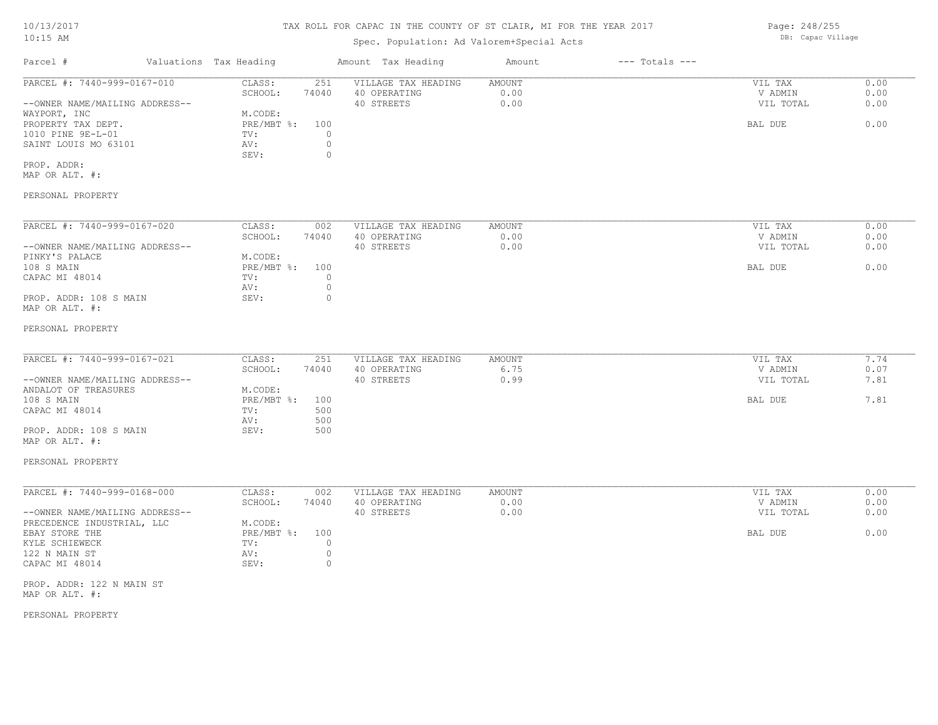### Spec. Population: Ad Valorem+Special Acts

Parcel # Valuations Tax Heading Amount Tax Heading Amount --- Totals ---PROP. ADDR: SEV: 0 SAINT LOUIS MO 63101 AV: 0<br>SEV: 0 1010 PINE 9E-L-01 TV: 0 PROPERTY TAX DEPT. PRESMBT %: 100 BAL DUE 0.00 WAYPORT, INC<br>
PROPERTY TAX DEPT.<br>
PRE/MBT %: 100 --OWNER NAME/MAILING ADDRESS-- 40 STREETS 0.00 VIL TOTAL 0.00 SCHOOL: 74040 40 OPERATING 0.00 V ADMIN 0.00 PARCEL #: 7440-999-0167-010 CLASS: 251 VILLAGE TAX HEADING AMOUNT AUGUST 20.00 VIL TAX 0.00<br>SCHOOL: 74040 40 OPERATING 0.00 0.00 VADMIN 0.00  $\mathcal{L}_\mathcal{L} = \mathcal{L}_\mathcal{L} = \mathcal{L}_\mathcal{L} = \mathcal{L}_\mathcal{L} = \mathcal{L}_\mathcal{L} = \mathcal{L}_\mathcal{L} = \mathcal{L}_\mathcal{L} = \mathcal{L}_\mathcal{L} = \mathcal{L}_\mathcal{L} = \mathcal{L}_\mathcal{L} = \mathcal{L}_\mathcal{L} = \mathcal{L}_\mathcal{L} = \mathcal{L}_\mathcal{L} = \mathcal{L}_\mathcal{L} = \mathcal{L}_\mathcal{L} = \mathcal{L}_\mathcal{L} = \mathcal{L}_\mathcal{L}$ 

MAP OR ALT. #:

#### PERSONAL PROPERTY

| PARCEL #: 7440-999-0167-020    | CLASS:     | 002   | VILLAGE TAX HEADING | AMOUNT | VIL TAX   | 0.00 |
|--------------------------------|------------|-------|---------------------|--------|-----------|------|
|                                | SCHOOL:    | 74040 | 40 OPERATING        | 0.00   | V ADMIN   | 0.00 |
| --OWNER NAME/MAILING ADDRESS-- |            |       | 40 STREETS          | 0.00   | VIL TOTAL | 0.00 |
| PINKY'S PALACE                 | M.CODE:    |       |                     |        |           |      |
| 108 S MAIN                     | PRE/MBT %: | 100   |                     |        | BAL DUE   | 0.00 |
| CAPAC MI 48014                 | TV:        |       |                     |        |           |      |
|                                | AV:        |       |                     |        |           |      |
| PROP. ADDR: 108 S MAIN         | SEV:       |       |                     |        |           |      |
| MAP OR ALT. #:                 |            |       |                     |        |           |      |

#### PERSONAL PROPERTY

| PARCEL #: 7440-999-0167-021    | CLASS:     | 251   | VILLAGE TAX HEADING | AMOUNT | VIL TAX   | 7.74 |
|--------------------------------|------------|-------|---------------------|--------|-----------|------|
|                                | SCHOOL:    | 74040 | 40 OPERATING        | 6.75   | V ADMIN   | 0.07 |
| --OWNER NAME/MAILING ADDRESS-- |            |       | 40 STREETS          | 0.99   | VIL TOTAL | 7.81 |
| ANDALOT OF TREASURES           | M.CODE:    |       |                     |        |           |      |
| 108 S MAIN                     | PRE/MBT %: | 100   |                     |        | BAL DUE   | 7.81 |
| CAPAC MI 48014                 | TV:        | 500   |                     |        |           |      |
|                                | AV:        | 500   |                     |        |           |      |
| PROP. ADDR: 108 S MAIN         | SEV:       | 500   |                     |        |           |      |
|                                |            |       |                     |        |           |      |

MAP OR ALT. #:

#### PERSONAL PROPERTY

| PARCEL #: 7440-999-0168-000    | CLASS:         | 002   | VILLAGE TAX HEADING | AMOUNT | VIL TAX   | 0.00 |
|--------------------------------|----------------|-------|---------------------|--------|-----------|------|
|                                | SCHOOL:        | 74040 | 40 OPERATING        | 0.00   | V ADMIN   | 0.00 |
| --OWNER NAME/MAILING ADDRESS-- |                |       | 40 STREETS          | 0.00   | VIL TOTAL | 0.00 |
| PRECEDENCE INDUSTRIAL, LLC     | M.CODE:        |       |                     |        |           |      |
| EBAY STORE THE                 | PRE/MBT %: 100 |       |                     |        | BAL DUE   | 0.00 |
| KYLE SCHIEWECK                 | TV:            |       |                     |        |           |      |
| 122 N MAIN ST                  | AV:            |       |                     |        |           |      |
| CAPAC MI 48014                 | SEV:           |       |                     |        |           |      |

MAP OR ALT. #: PROP. ADDR: 122 N MAIN ST

PERSONAL PROPERTY

Page: 248/255 DB: Capac Village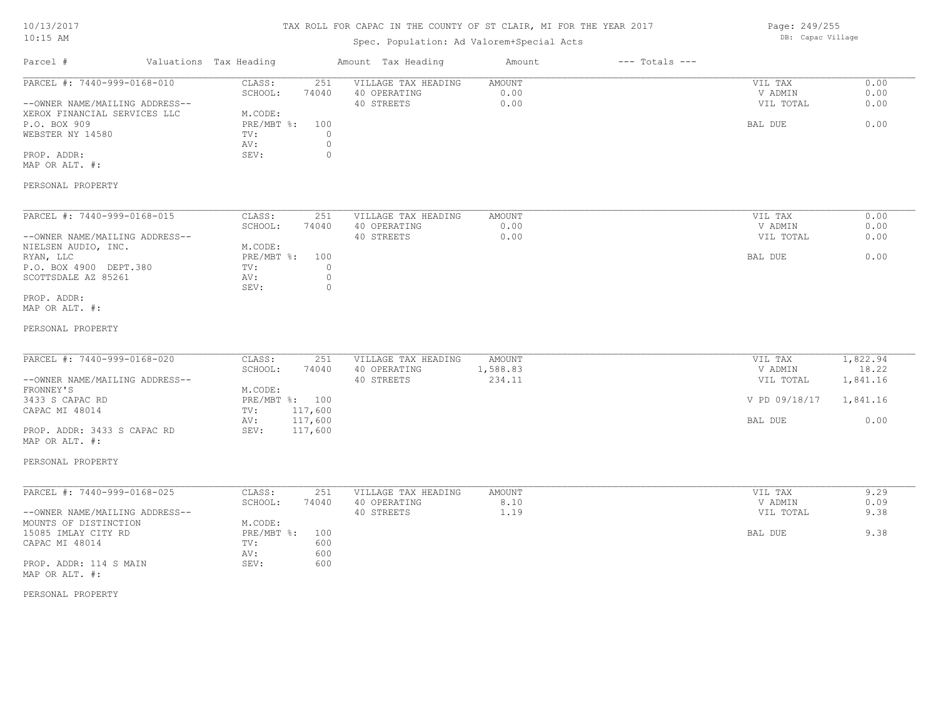# TAX ROLL FOR CAPAC IN THE COUNTY OF ST CLAIR, MI FOR THE YEAR 2017

# Spec. Population: Ad Valorem+Special Acts

Page: 249/255 DB: Capac Village

| Parcel #                                                                                                                                                                                         | Valuations Tax Heading                                                                                                   | Amount Tax Heading                                | Amount                        | $---$ Totals $---$ |                                                             |                                                   |
|--------------------------------------------------------------------------------------------------------------------------------------------------------------------------------------------------|--------------------------------------------------------------------------------------------------------------------------|---------------------------------------------------|-------------------------------|--------------------|-------------------------------------------------------------|---------------------------------------------------|
| PARCEL #: 7440-999-0168-010<br>--OWNER NAME/MAILING ADDRESS--<br>XEROX FINANCIAL SERVICES LLC<br>P.O. BOX 909<br>WEBSTER NY 14580<br>PROP. ADDR:<br>MAP OR ALT. #:                               | CLASS:<br>251<br>SCHOOL:<br>74040<br>M.CODE:<br>PRE/MBT %:<br>100<br>$\circ$<br>TV:<br>AV:<br>$\circ$<br>$\circ$<br>SEV: | VILLAGE TAX HEADING<br>40 OPERATING<br>40 STREETS | <b>AMOUNT</b><br>0.00<br>0.00 |                    | VIL TAX<br>V ADMIN<br>VIL TOTAL<br>BAL DUE                  | 0.00<br>0.00<br>0.00<br>0.00                      |
| PERSONAL PROPERTY                                                                                                                                                                                |                                                                                                                          |                                                   |                               |                    |                                                             |                                                   |
| PARCEL #: 7440-999-0168-015<br>--OWNER NAME/MAILING ADDRESS--<br>NIELSEN AUDIO, INC.<br>RYAN, LLC<br>P.O. BOX 4900 DEPT.380<br>SCOTTSDALE AZ 85261                                               | CLASS:<br>251<br>SCHOOL:<br>74040<br>M.CODE:<br>$PRE/MBT$ $\div$<br>100<br>TV:<br>0<br>$\circ$<br>AV:<br>SEV:<br>$\circ$ | VILLAGE TAX HEADING<br>40 OPERATING<br>40 STREETS | AMOUNT<br>0.00<br>0.00        |                    | VIL TAX<br>V ADMIN<br>VIL TOTAL<br>BAL DUE                  | 0.00<br>0.00<br>0.00<br>0.00                      |
| PROP. ADDR:<br>MAP OR ALT. #:<br>PERSONAL PROPERTY                                                                                                                                               |                                                                                                                          |                                                   |                               |                    |                                                             |                                                   |
| PARCEL #: 7440-999-0168-020<br>--OWNER NAME/MAILING ADDRESS--<br>FRONNEY'S<br>3433 S CAPAC RD<br>CAPAC MI 48014<br>PROP. ADDR: 3433 S CAPAC RD<br>MAP OR ALT. #:<br>PERSONAL PROPERTY            | CLASS:<br>251<br>SCHOOL:<br>74040<br>M.CODE:<br>PRE/MBT %: 100<br>TV:<br>117,600<br>117,600<br>AV:<br>SEV:<br>117,600    | VILLAGE TAX HEADING<br>40 OPERATING<br>40 STREETS | AMOUNT<br>1,588.83<br>234.11  |                    | VIL TAX<br>V ADMIN<br>VIL TOTAL<br>V PD 09/18/17<br>BAL DUE | 1,822.94<br>18.22<br>1,841.16<br>1,841.16<br>0.00 |
| PARCEL #: 7440-999-0168-025<br>--OWNER NAME/MAILING ADDRESS--<br>MOUNTS OF DISTINCTION<br>15085 IMLAY CITY RD<br>CAPAC MI 48014<br>PROP. ADDR: 114 S MAIN<br>MAP OR ALT. #:<br>PERSONAL PROPERTY | CLASS:<br>251<br>SCHOOL:<br>74040<br>M.CODE:<br>PRE/MBT %:<br>100<br>TV:<br>600<br>600<br>AV:<br>SEV:<br>600             | VILLAGE TAX HEADING<br>40 OPERATING<br>40 STREETS | AMOUNT<br>8.10<br>1.19        |                    | VIL TAX<br>V ADMIN<br>VIL TOTAL<br>BAL DUE                  | 9.29<br>0.09<br>9.38<br>9.38                      |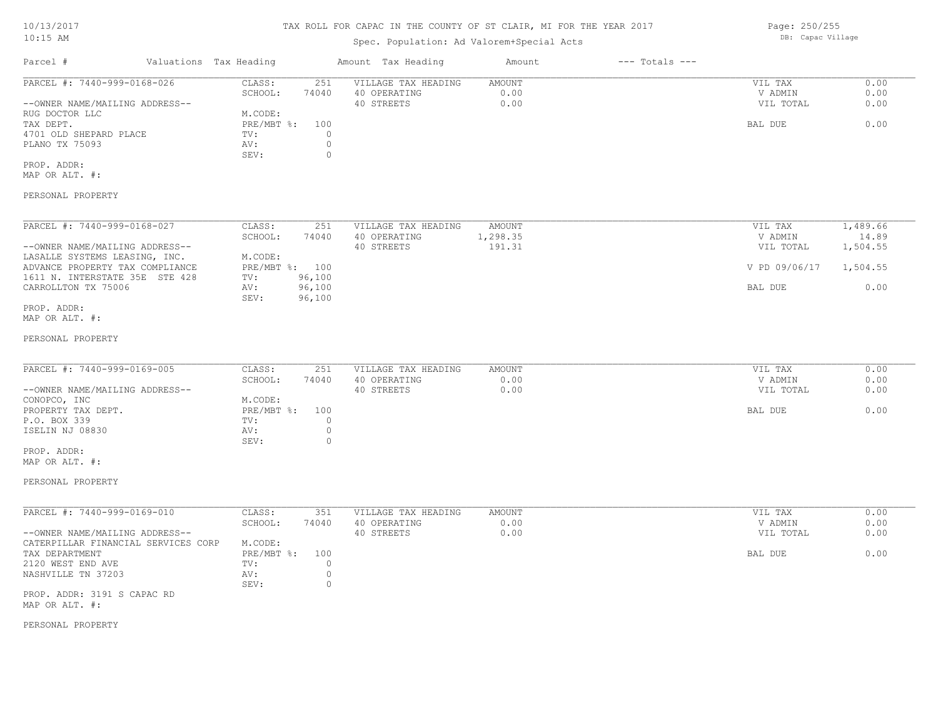# TAX ROLL FOR CAPAC IN THE COUNTY OF ST CLAIR, MI FOR THE YEAR 2017

# Spec. Population: Ad Valorem+Special Acts

| Parcel #                       | Valuations Tax Heading |       | Amount Tax Heading  | Amount | $---$ Totals $---$ |           |      |
|--------------------------------|------------------------|-------|---------------------|--------|--------------------|-----------|------|
| PARCEL #: 7440-999-0168-026    | CLASS:                 | 251   | VILLAGE TAX HEADING | AMOUNT |                    | VIL TAX   | 0.00 |
|                                | SCHOOL:                | 74040 | 40 OPERATING        | 0.00   |                    | V ADMIN   | 0.00 |
| --OWNER NAME/MAILING ADDRESS-- |                        |       | 40 STREETS          | 0.00   |                    | VIL TOTAL | 0.00 |
| RUG DOCTOR LLC                 | M.CODE:                |       |                     |        |                    |           |      |
| TAX DEPT.                      | $PRE/MBT$ %:           | 100   |                     |        |                    | BAL DUE   | 0.00 |
| 4701 OLD SHEPARD PLACE         | TV:                    |       |                     |        |                    |           |      |
| PLANO TX 75093                 | AV:                    |       |                     |        |                    |           |      |
|                                | SEV:                   |       |                     |        |                    |           |      |
| PROP. ADDR:                    |                        |       |                     |        |                    |           |      |

MAP OR ALT. #:

### PERSONAL PROPERTY

| PARCEL #: 7440-999-0168-027     | CLASS:       | 251    | VILLAGE TAX HEADING | AMOUNT    | VIL TAX       | 1,489.66 |
|---------------------------------|--------------|--------|---------------------|-----------|---------------|----------|
|                                 | SCHOOL:      | 74040  | 40 OPERATING        | ., 298.35 | V ADMIN       | 14.89    |
| --OWNER NAME/MAILING ADDRESS--  |              |        | 40 STREETS          | 191.31    | VIL TOTAL     | 1,504.55 |
| LASALLE SYSTEMS LEASING, INC.   | M.CODE:      |        |                     |           |               |          |
| ADVANCE PROPERTY TAX COMPLIANCE | $PRE/MBT$ %: | 100    |                     |           | V PD 09/06/17 | 1,504.55 |
| 1611 N. INTERSTATE 35E STE 428  | TV:          | 96,100 |                     |           |               |          |
| CARROLLTON TX 75006             | AV:          | 96,100 |                     |           | BAL DUE       | 0.00     |
|                                 | SEV:         | 96,100 |                     |           |               |          |
| PROP. ADDR:                     |              |        |                     |           |               |          |

#### MAP OR ALT. #:

#### PERSONAL PROPERTY

| PARCEL #: 7440-999-0169-005    | CLASS:       | 251   | VILLAGE TAX HEADING | AMOUNT | VIL TAX   | 0.00 |
|--------------------------------|--------------|-------|---------------------|--------|-----------|------|
|                                | SCHOOL:      | 74040 | 40 OPERATING        | 0.00   | V ADMIN   | 0.00 |
| --OWNER NAME/MAILING ADDRESS-- |              |       | 40 STREETS          | 0.00   | VIL TOTAL | 0.00 |
| CONOPCO, INC                   | M.CODE:      |       |                     |        |           |      |
| PROPERTY TAX DEPT.             | $PRE/MBT$ %: | 100   |                     |        | BAL DUE   | 0.00 |
| P.O. BOX 339                   | TV:          |       |                     |        |           |      |
| ISELIN NJ 08830                | AV:          |       |                     |        |           |      |
|                                | SEV:         |       |                     |        |           |      |

#### MAP OR ALT. #: PROP. ADDR:

#### PERSONAL PROPERTY

| PARCEL #: 7440-999-0169-010         | CLASS:     | 351   | VILLAGE TAX HEADING | AMOUNT | VIL TAX   | 0.00 |
|-------------------------------------|------------|-------|---------------------|--------|-----------|------|
|                                     | SCHOOL:    | 74040 | 40 OPERATING        | 0.00   | V ADMIN   | 0.00 |
| --OWNER NAME/MAILING ADDRESS--      |            |       | 40 STREETS          | 0.00   | VIL TOTAL | 0.00 |
| CATERPILLAR FINANCIAL SERVICES CORP | M.CODE:    |       |                     |        |           |      |
| TAX DEPARTMENT                      | PRE/MBT %: | 100   |                     |        | BAL DUE   | 0.00 |
| 2120 WEST END AVE                   | TV:        |       |                     |        |           |      |
| NASHVILLE TN 37203                  | AV:        |       |                     |        |           |      |
|                                     | SEV:       |       |                     |        |           |      |
| PROP. ADDR: 3191 S CAPAC RD         |            |       |                     |        |           |      |

MAP OR ALT. #:

#### PERSONAL PROPERTY

Page: 250/255 DB: Capac Village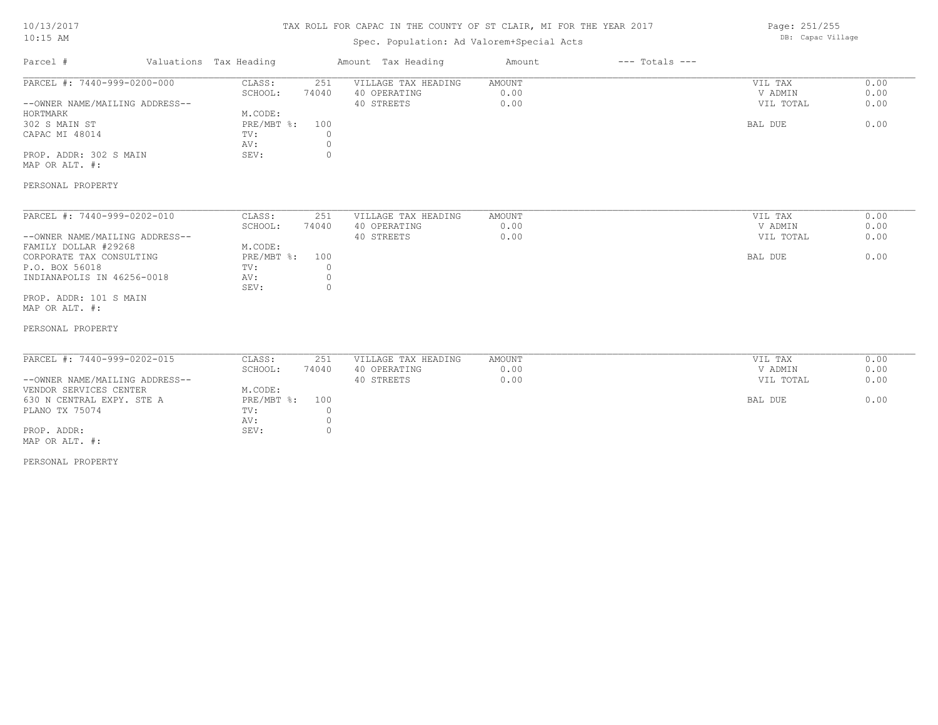# TAX ROLL FOR CAPAC IN THE COUNTY OF ST CLAIR, MI FOR THE YEAR 2017

# Spec. Population: Ad Valorem+Special Acts

Page: 251/255 DB: Capac Village

| Parcel #                                                                                                                                                                                                                           | Valuations Tax Heading                                           |                                                      | Amount Tax Heading                                | Amount                 | $---$ Totals $---$ |                                            |                              |
|------------------------------------------------------------------------------------------------------------------------------------------------------------------------------------------------------------------------------------|------------------------------------------------------------------|------------------------------------------------------|---------------------------------------------------|------------------------|--------------------|--------------------------------------------|------------------------------|
| PARCEL #: 7440-999-0200-000<br>--OWNER NAME/MAILING ADDRESS--                                                                                                                                                                      | CLASS:<br>SCHOOL:                                                | 251<br>74040                                         | VILLAGE TAX HEADING<br>40 OPERATING<br>40 STREETS | AMOUNT<br>0.00<br>0.00 |                    | VIL TAX<br>V ADMIN<br>VIL TOTAL            | 0.00<br>0.00<br>0.00         |
| HORTMARK<br>302 S MAIN ST<br>CAPAC MI 48014<br>PROP. ADDR: 302 S MAIN<br>MAP OR ALT. #:                                                                                                                                            | M.CODE:<br>PRE/MBT %:<br>TV:<br>AV:<br>SEV:                      | 100<br>0<br>$\circ$<br>$\circ$                       |                                                   |                        |                    | BAL DUE                                    | 0.00                         |
| PERSONAL PROPERTY                                                                                                                                                                                                                  |                                                                  |                                                      |                                                   |                        |                    |                                            |                              |
| PARCEL #: 7440-999-0202-010<br>--OWNER NAME/MAILING ADDRESS--<br>FAMILY DOLLAR #29268<br>CORPORATE TAX CONSULTING<br>P.O. BOX 56018<br>INDIANAPOLIS IN 46256-0018<br>PROP. ADDR: 101 S MAIN<br>MAP OR ALT. #:<br>PERSONAL PROPERTY | CLASS:<br>SCHOOL:<br>M.CODE:<br>PRE/MBT %:<br>TV:<br>AV:<br>SEV: | 251<br>74040<br>100<br>$\circ$<br>$\circ$<br>$\circ$ | VILLAGE TAX HEADING<br>40 OPERATING<br>40 STREETS | AMOUNT<br>0.00<br>0.00 |                    | VIL TAX<br>V ADMIN<br>VIL TOTAL<br>BAL DUE | 0.00<br>0.00<br>0.00<br>0.00 |
| PARCEL #: 7440-999-0202-015<br>--OWNER NAME/MAILING ADDRESS--<br>VENDOR SERVICES CENTER<br>630 N CENTRAL EXPY. STE A<br>PLANO TX 75074<br>PROP. ADDR:<br>MAP OR ALT. #:                                                            | CLASS:<br>SCHOOL:<br>M.CODE:<br>PRE/MBT %:<br>TV:<br>AV:<br>SEV: | 251<br>74040<br>100<br>0<br>$\circ$<br>$\circ$       | VILLAGE TAX HEADING<br>40 OPERATING<br>40 STREETS | AMOUNT<br>0.00<br>0.00 |                    | VIL TAX<br>V ADMIN<br>VIL TOTAL<br>BAL DUE | 0.00<br>0.00<br>0.00<br>0.00 |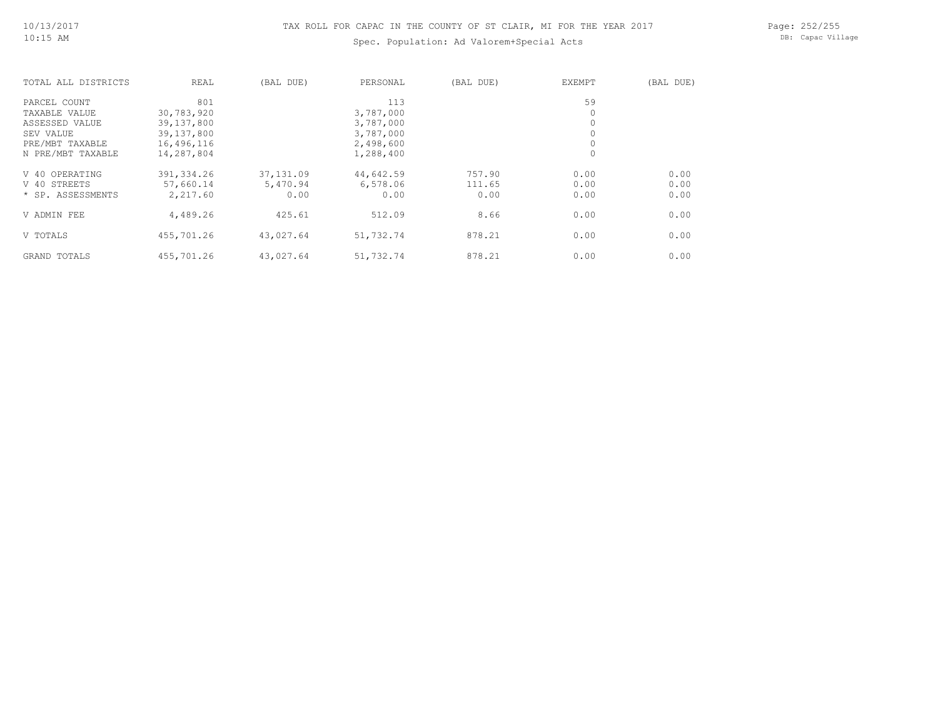# Spec. Population: Ad Valorem+Special Acts

Page: 252/255 DB: Capac Village

| TOTAL ALL DISTRICTS | REAL       | (BAL DUE) | PERSONAL  | (BAL DUE) | EXEMPT  | (BAL DUE) |
|---------------------|------------|-----------|-----------|-----------|---------|-----------|
| PARCEL COUNT        | 801        |           | 113       |           | 59      |           |
| TAXABLE VALUE       | 30,783,920 |           | 3,787,000 |           | $\circ$ |           |
| ASSESSED VALUE      | 39,137,800 |           | 3,787,000 |           | $\circ$ |           |
| SEV VALUE           | 39,137,800 |           | 3,787,000 |           | $\circ$ |           |
| PRE/MBT TAXABLE     | 16,496,116 |           | 2,498,600 |           | $\circ$ |           |
| N PRE/MBT TAXABLE   | 14,287,804 |           | 1,288,400 |           | $\circ$ |           |
| V 40 OPERATING      | 391,334.26 | 37,131.09 | 44,642.59 | 757.90    | 0.00    | 0.00      |
| V 40 STREETS        | 57,660.14  | 5,470.94  | 6,578.06  | 111.65    | 0.00    | 0.00      |
| * SP. ASSESSMENTS   | 2,217.60   | 0.00      | 0.00      | 0.00      | 0.00    | 0.00      |
| V ADMIN FEE         | 4,489.26   | 425.61    | 512.09    | 8.66      | 0.00    | 0.00      |
| V TOTALS            | 455,701.26 | 43,027.64 | 51,732.74 | 878.21    | 0.00    | 0.00      |
| GRAND TOTALS        | 455,701.26 | 43,027.64 | 51,732.74 | 878.21    | 0.00    | 0.00      |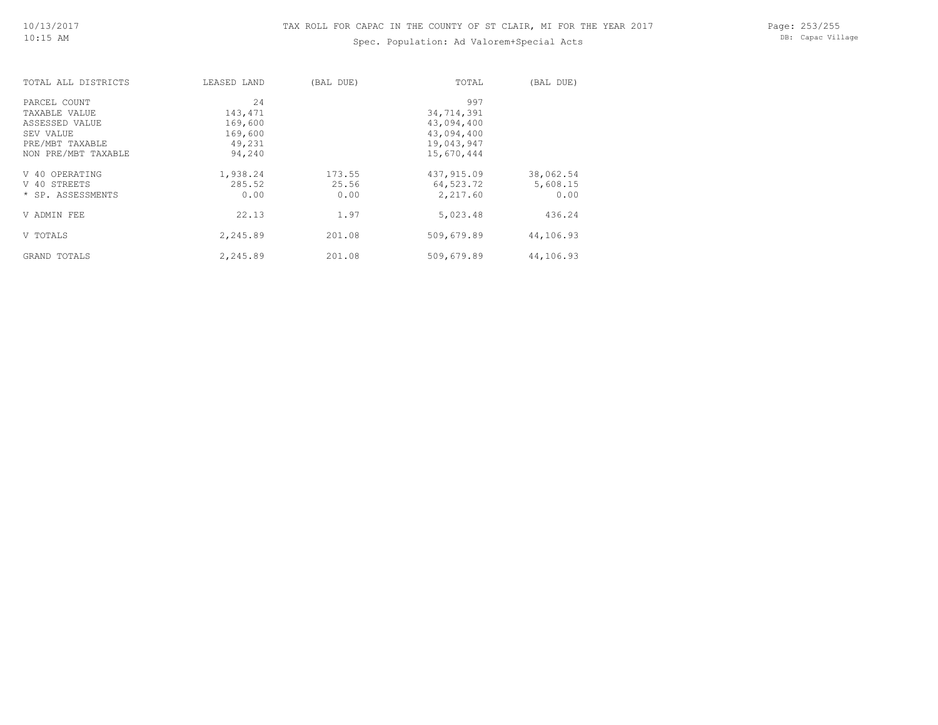# Spec. Population: Ad Valorem+Special Acts

Page: 253/255 DB: Capac Village

| TOTAL ALL DISTRICTS | LEASED LAND | (BAL DUE) | TOTAL      | (BAL DUE) |
|---------------------|-------------|-----------|------------|-----------|
| PARCEL COUNT        | 2.4         |           | 997        |           |
| TAXABLE VALUE       | 143,471     |           | 34,714,391 |           |
| ASSESSED VALUE      | 169,600     |           | 43,094,400 |           |
| SEV VALUE           | 169,600     |           | 43,094,400 |           |
| PRE/MBT TAXABLE     | 49,231      |           | 19,043,947 |           |
| NON PRE/MBT TAXABLE | 94,240      |           | 15,670,444 |           |
| V 40 OPERATING      | 1,938.24    | 173.55    | 437,915.09 | 38,062.54 |
| V 40 STREETS        | 285.52      | 25.56     | 64,523.72  | 5,608.15  |
| * SP. ASSESSMENTS   | 0.00        | 0.00      | 2,217.60   | 0.00      |
| V ADMIN FEE         | 22.13       | 1.97      | 5,023.48   | 436.24    |
| V TOTALS            | 2,245.89    | 201.08    | 509,679.89 | 44,106.93 |
| GRAND TOTALS        | 2,245.89    | 201.08    | 509,679.89 | 44,106.93 |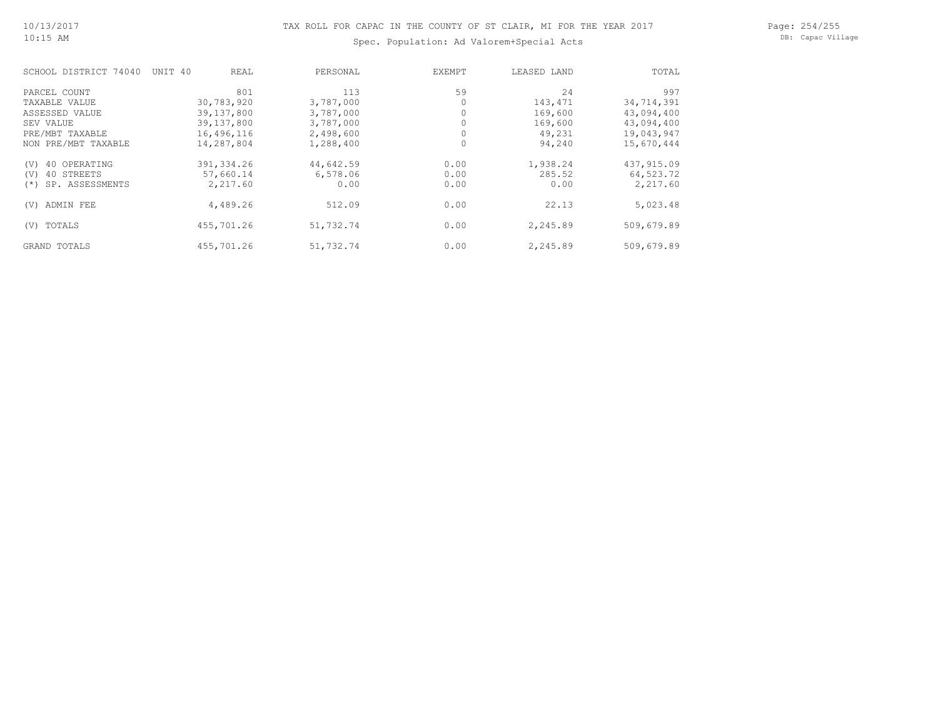#### Page: 254/255 DB: Capac Village

# Spec. Population: Ad Valorem+Special Acts

| SCHOOL DISTRICT 74040       | REAL<br>UNIT 40 | PERSONAL  | EXEMPT | LEASED LAND | TOTAL      |
|-----------------------------|-----------------|-----------|--------|-------------|------------|
| PARCEL COUNT                | 801             | 113       | 59     | 24          | 997        |
| TAXABLE VALUE               | 30,783,920      | 3,787,000 |        | 143,471     | 34,714,391 |
| ASSESSED VALUE              | 39,137,800      | 3,787,000 |        | 169,600     | 43,094,400 |
| SEV VALUE                   | 39,137,800      | 3,787,000 |        | 169,600     | 43,094,400 |
| PRE/MBT TAXABLE             | 16,496,116      | 2,498,600 |        | 49,231      | 19,043,947 |
| NON PRE/MBT TAXABLE         | 14,287,804      | 1,288,400 |        | 94,240      | 15,670,444 |
| 40 OPERATING<br>(V)         | 391, 334.26     | 44,642.59 | 0.00   | 1,938.24    | 437,915.09 |
| 40 STREETS<br>(V)           | 57,660.14       | 6,578.06  | 0.00   | 285.52      | 64,523.72  |
| SP. ASSESSMENTS<br>$^{(*)}$ | 2,217.60        | 0.00      | 0.00   | 0.00        | 2,217.60   |
| ADMIN FEE<br>(V)            | 4,489.26        | 512.09    | 0.00   | 22.13       | 5,023.48   |
| TOTALS<br>(V)               | 455,701.26      | 51,732.74 | 0.00   | 2,245.89    | 509,679.89 |
| GRAND TOTALS                | 455,701.26      | 51,732.74 | 0.00   | 2,245.89    | 509,679.89 |